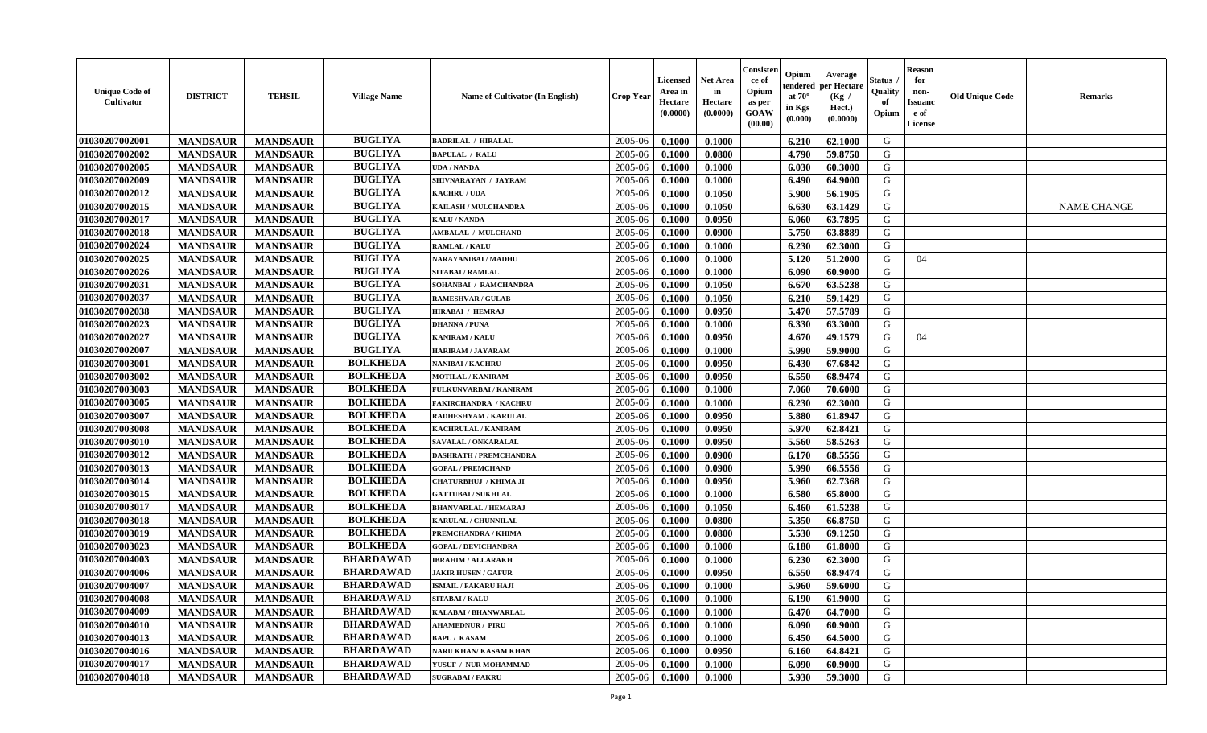| <b>Unique Code of</b><br><b>Cultivator</b> | <b>DISTRICT</b> | <b>TEHSIL</b>   | <b>Village Name</b> | Name of Cultivator (In English) | <b>Crop Year</b> | <b>Licensed</b><br>Area in<br>Hectare<br>(0.0000) | Net Area<br>in<br>Hectare<br>(0.0000) | Consister<br>ce of<br>Opium<br>as per<br><b>GOAW</b><br>(00.00) | Opium<br>endered<br>at $70^\circ$<br>in Kgs<br>(0.000) | Average<br>per Hectare<br>(Kg /<br>Hect.)<br>(0.0000) | Status<br>Quality<br>of<br>Opium | <b>Reason</b><br>for<br>non-<br><b>Issuand</b><br>e of<br><b>License</b> | <b>Old Unique Code</b> | <b>Remarks</b>     |
|--------------------------------------------|-----------------|-----------------|---------------------|---------------------------------|------------------|---------------------------------------------------|---------------------------------------|-----------------------------------------------------------------|--------------------------------------------------------|-------------------------------------------------------|----------------------------------|--------------------------------------------------------------------------|------------------------|--------------------|
| 01030207002001                             | <b>MANDSAUR</b> | <b>MANDSAUR</b> | <b>BUGLIYA</b>      | <b>BADRILAL / HIRALAL</b>       | 2005-06          | 0.1000                                            | 0.1000                                |                                                                 | 6.210                                                  | 62.1000                                               | G                                |                                                                          |                        |                    |
| 01030207002002                             | <b>MANDSAUR</b> | <b>MANDSAUR</b> | <b>BUGLIYA</b>      | <b>BAPULAL / KALU</b>           | 2005-06          | 0.1000                                            | 0.0800                                |                                                                 | 4.790                                                  | 59.8750                                               | G                                |                                                                          |                        |                    |
| 01030207002005                             | <b>MANDSAUR</b> | <b>MANDSAUR</b> | <b>BUGLIYA</b>      | <b>UDA / NANDA</b>              | 2005-06          | 0.1000                                            | 0.1000                                |                                                                 | 6.030                                                  | 60.3000                                               | G                                |                                                                          |                        |                    |
| 01030207002009                             | <b>MANDSAUR</b> | <b>MANDSAUR</b> | <b>BUGLIYA</b>      | SHIVNARAYAN / JAYRAM            | 2005-06          | 0.1000                                            | 0.1000                                |                                                                 | 6.490                                                  | 64.9000                                               | G                                |                                                                          |                        |                    |
| 01030207002012                             | <b>MANDSAUR</b> | <b>MANDSAUR</b> | <b>BUGLIYA</b>      | <b>KACHRU / UDA</b>             | 2005-06          | 0.1000                                            | 0.1050                                |                                                                 | 5.900                                                  | 56.1905                                               | G                                |                                                                          |                        |                    |
| 01030207002015                             | <b>MANDSAUR</b> | <b>MANDSAUR</b> | <b>BUGLIYA</b>      | KAILASH / MULCHANDRA            | 2005-06          | 0.1000                                            | 0.1050                                |                                                                 | 6.630                                                  | 63.1429                                               | G                                |                                                                          |                        | <b>NAME CHANGE</b> |
| 01030207002017                             | <b>MANDSAUR</b> | <b>MANDSAUR</b> | <b>BUGLIYA</b>      | <b>KALU / NANDA</b>             | 2005-06          | 0.1000                                            | 0.0950                                |                                                                 | 6.060                                                  | 63.7895                                               | G                                |                                                                          |                        |                    |
| 01030207002018                             | <b>MANDSAUR</b> | <b>MANDSAUR</b> | <b>BUGLIYA</b>      | <b>AMBALAL / MULCHAND</b>       | 2005-06          | 0.1000                                            | 0.0900                                |                                                                 | 5.750                                                  | 63.8889                                               | ${\bf G}$                        |                                                                          |                        |                    |
| 01030207002024                             | <b>MANDSAUR</b> | <b>MANDSAUR</b> | <b>BUGLIYA</b>      | <b>RAMLAL / KALU</b>            | 2005-06          | 0.1000                                            | 0.1000                                |                                                                 | 6.230                                                  | 62.3000                                               | G                                |                                                                          |                        |                    |
| 01030207002025                             | <b>MANDSAUR</b> | <b>MANDSAUR</b> | <b>BUGLIYA</b>      | NARAYANIBAI / MADHU             | 2005-06          | 0.1000                                            | 0.1000                                |                                                                 | 5.120                                                  | 51.2000                                               | G                                | 04                                                                       |                        |                    |
| 01030207002026                             | <b>MANDSAUR</b> | <b>MANDSAUR</b> | <b>BUGLIYA</b>      | SITABAI / RAMLAL                | 2005-06          | 0.1000                                            | 0.1000                                |                                                                 | 6.090                                                  | 60.9000                                               | G                                |                                                                          |                        |                    |
| 01030207002031                             | <b>MANDSAUR</b> | <b>MANDSAUR</b> | <b>BUGLIYA</b>      | SOHANBAI / RAMCHANDRA           | 2005-06          | 0.1000                                            | 0.1050                                |                                                                 | 6.670                                                  | 63.5238                                               | G                                |                                                                          |                        |                    |
| 01030207002037                             | <b>MANDSAUR</b> | <b>MANDSAUR</b> | <b>BUGLIYA</b>      | <b>RAMESHVAR / GULAB</b>        | 2005-06          | 0.1000                                            | 0.1050                                |                                                                 | 6.210                                                  | 59.1429                                               | G                                |                                                                          |                        |                    |
| 01030207002038                             | <b>MANDSAUR</b> | <b>MANDSAUR</b> | <b>BUGLIYA</b>      | <b>HIRABAI / HEMRAJ</b>         | 2005-06          | 0.1000                                            | 0.0950                                |                                                                 | 5.470                                                  | 57.5789                                               | G                                |                                                                          |                        |                    |
| 01030207002023                             | <b>MANDSAUR</b> | <b>MANDSAUR</b> | <b>BUGLIYA</b>      | <b>DHANNA / PUNA</b>            | 2005-06          | 0.1000                                            | 0.1000                                |                                                                 | 6.330                                                  | 63.3000                                               | G                                |                                                                          |                        |                    |
| 01030207002027                             | <b>MANDSAUR</b> | <b>MANDSAUR</b> | <b>BUGLIYA</b>      | <b>KANIRAM / KALU</b>           | 2005-06          | 0.1000                                            | 0.0950                                |                                                                 | 4.670                                                  | 49.1579                                               | G                                | 04                                                                       |                        |                    |
| 01030207002007                             | <b>MANDSAUR</b> | <b>MANDSAUR</b> | <b>BUGLIYA</b>      | HARIRAM / JAYARAM               | 2005-06          | 0.1000                                            | 0.1000                                |                                                                 | 5.990                                                  | 59.9000                                               | G                                |                                                                          |                        |                    |
| 01030207003001                             | <b>MANDSAUR</b> | <b>MANDSAUR</b> | <b>BOLKHEDA</b>     | <b>NANIBAI/KACHRU</b>           | 2005-06          | 0.1000                                            | 0.0950                                |                                                                 | 6.430                                                  | 67.6842                                               | G                                |                                                                          |                        |                    |
| 01030207003002                             | <b>MANDSAUR</b> | <b>MANDSAUR</b> | <b>BOLKHEDA</b>     | <b>MOTILAL / KANIRAM</b>        | 2005-06          | 0.1000                                            | 0.0950                                |                                                                 | 6.550                                                  | 68.9474                                               | G                                |                                                                          |                        |                    |
| 01030207003003                             | <b>MANDSAUR</b> | <b>MANDSAUR</b> | <b>BOLKHEDA</b>     | FULKUNVARBAI / KANIRAM          | 2005-06          | 0.1000                                            | 0.1000                                |                                                                 | 7.060                                                  | 70.6000                                               | G                                |                                                                          |                        |                    |
| 01030207003005                             | <b>MANDSAUR</b> | <b>MANDSAUR</b> | <b>BOLKHEDA</b>     | <b>FAKIRCHANDRA / KACHRU</b>    | 2005-06          | 0.1000                                            | 0.1000                                |                                                                 | 6.230                                                  | 62.3000                                               | G                                |                                                                          |                        |                    |
| 01030207003007                             | <b>MANDSAUR</b> | <b>MANDSAUR</b> | <b>BOLKHEDA</b>     | RADHESHYAM / KARULAL            | 2005-06          | 0.1000                                            | 0.0950                                |                                                                 | 5.880                                                  | 61.8947                                               | G                                |                                                                          |                        |                    |
| 01030207003008                             | <b>MANDSAUR</b> | <b>MANDSAUR</b> | <b>BOLKHEDA</b>     | KACHRULAL / KANIRAM             | 2005-06          | 0.1000                                            | 0.0950                                |                                                                 | 5.970                                                  | 62.8421                                               | G                                |                                                                          |                        |                    |
| 01030207003010                             | <b>MANDSAUR</b> | <b>MANDSAUR</b> | <b>BOLKHEDA</b>     | SAVALAL / ONKARALAL             | 2005-06          | 0.1000                                            | 0.0950                                |                                                                 | 5.560                                                  | 58.5263                                               | G                                |                                                                          |                        |                    |
| 01030207003012                             | <b>MANDSAUR</b> | <b>MANDSAUR</b> | <b>BOLKHEDA</b>     | <b>DASHRATH / PREMCHANDRA</b>   | 2005-06          | 0.1000                                            | 0.0900                                |                                                                 | 6.170                                                  | 68.5556                                               | G                                |                                                                          |                        |                    |
| 01030207003013                             | <b>MANDSAUR</b> | <b>MANDSAUR</b> | <b>BOLKHEDA</b>     | <b>GOPAL / PREMCHAND</b>        | 2005-06          | 0.1000                                            | 0.0900                                |                                                                 | 5.990                                                  | 66.5556                                               | G                                |                                                                          |                        |                    |
| 01030207003014                             | <b>MANDSAUR</b> | <b>MANDSAUR</b> | <b>BOLKHEDA</b>     | CHATURBHUJ / KHIMA JI           | 2005-06          | 0.1000                                            | 0.0950                                |                                                                 | 5.960                                                  | 62.7368                                               | G                                |                                                                          |                        |                    |
| 01030207003015                             | <b>MANDSAUR</b> | <b>MANDSAUR</b> | <b>BOLKHEDA</b>     | <b>GATTUBAI/SUKHLAL</b>         | 2005-06          | 0.1000                                            | 0.1000                                |                                                                 | 6.580                                                  | 65.8000                                               | G                                |                                                                          |                        |                    |
| 01030207003017                             | <b>MANDSAUR</b> | <b>MANDSAUR</b> | <b>BOLKHEDA</b>     | <b>BHANVARLAL / HEMARAJ</b>     | 2005-06          | 0.1000                                            | 0.1050                                |                                                                 | 6.460                                                  | 61.5238                                               | G                                |                                                                          |                        |                    |
| 01030207003018                             | <b>MANDSAUR</b> | <b>MANDSAUR</b> | <b>BOLKHEDA</b>     | KARULAL / CHUNNILAL             | 2005-06          | 0.1000                                            | 0.0800                                |                                                                 | 5.350                                                  | 66.8750                                               | G                                |                                                                          |                        |                    |
| 01030207003019                             | <b>MANDSAUR</b> | <b>MANDSAUR</b> | <b>BOLKHEDA</b>     | PREMCHANDRA / KHIMA             | 2005-06          | 0.1000                                            | 0.0800                                |                                                                 | 5.530                                                  | 69.1250                                               | G                                |                                                                          |                        |                    |
| 01030207003023                             | <b>MANDSAUR</b> | <b>MANDSAUR</b> | <b>BOLKHEDA</b>     | <b>GOPAL / DEVICHANDRA</b>      | 2005-06          | 0.1000                                            | 0.1000                                |                                                                 | 6.180                                                  | 61.8000                                               | ${\bf G}$                        |                                                                          |                        |                    |
| 01030207004003                             | <b>MANDSAUR</b> | <b>MANDSAUR</b> | <b>BHARDAWAD</b>    | <b>IBRAHIM / ALLARAKH</b>       | 2005-06          | 0.1000                                            | 0.1000                                |                                                                 | 6.230                                                  | 62.3000                                               | G                                |                                                                          |                        |                    |
| 01030207004006                             | <b>MANDSAUR</b> | <b>MANDSAUR</b> | <b>BHARDAWAD</b>    | <b>JAKIR HUSEN / GAFUR</b>      | 2005-06          | 0.1000                                            | 0.0950                                |                                                                 | 6.550                                                  | 68.9474                                               | G                                |                                                                          |                        |                    |
| 01030207004007                             | <b>MANDSAUR</b> | <b>MANDSAUR</b> | <b>BHARDAWAD</b>    | <b>ISMAIL / FAKARU HAJI</b>     | 2005-06          | 0.1000                                            | 0.1000                                |                                                                 | 5.960                                                  | 59.6000                                               | G                                |                                                                          |                        |                    |
| 01030207004008                             | <b>MANDSAUR</b> | <b>MANDSAUR</b> | <b>BHARDAWAD</b>    | <b>SITABAI/KALU</b>             | 2005-06          | 0.1000                                            | 0.1000                                |                                                                 | 6.190                                                  | 61.9000                                               | G                                |                                                                          |                        |                    |
| 01030207004009                             | <b>MANDSAUR</b> | <b>MANDSAUR</b> | <b>BHARDAWAD</b>    | KALABAI / BHANWARLAL            | 2005-06          | 0.1000                                            | 0.1000                                |                                                                 | 6.470                                                  | 64.7000                                               | G                                |                                                                          |                        |                    |
| 01030207004010                             | <b>MANDSAUR</b> | <b>MANDSAUR</b> | <b>BHARDAWAD</b>    | <b>AHAMEDNUR / PIRU</b>         | 2005-06          | 0.1000                                            | 0.1000                                |                                                                 | 6.090                                                  | 60.9000                                               | G                                |                                                                          |                        |                    |
| 01030207004013                             | <b>MANDSAUR</b> | <b>MANDSAUR</b> | <b>BHARDAWAD</b>    | <b>BAPU/KASAM</b>               | 2005-06          | 0.1000                                            | 0.1000                                |                                                                 | 6.450                                                  | 64.5000                                               | G                                |                                                                          |                        |                    |
| 01030207004016                             | <b>MANDSAUR</b> | <b>MANDSAUR</b> | <b>BHARDAWAD</b>    | NARU KHAN/ KASAM KHAN           | 2005-06          | 0.1000                                            | 0.0950                                |                                                                 | 6.160                                                  | 64.8421                                               | $\mathbf G$                      |                                                                          |                        |                    |
| 01030207004017                             | <b>MANDSAUR</b> | <b>MANDSAUR</b> | <b>BHARDAWAD</b>    | YUSUF / NUR MOHAMMAD            | 2005-06          | 0.1000                                            | 0.1000                                |                                                                 | 6.090                                                  | 60.9000                                               | G                                |                                                                          |                        |                    |
| 01030207004018                             | <b>MANDSAUR</b> | <b>MANDSAUR</b> | <b>BHARDAWAD</b>    | <b>SUGRABAI/FAKRU</b>           | 2005-06          | 0.1000                                            | 0.1000                                |                                                                 | 5.930                                                  | 59.3000                                               | G                                |                                                                          |                        |                    |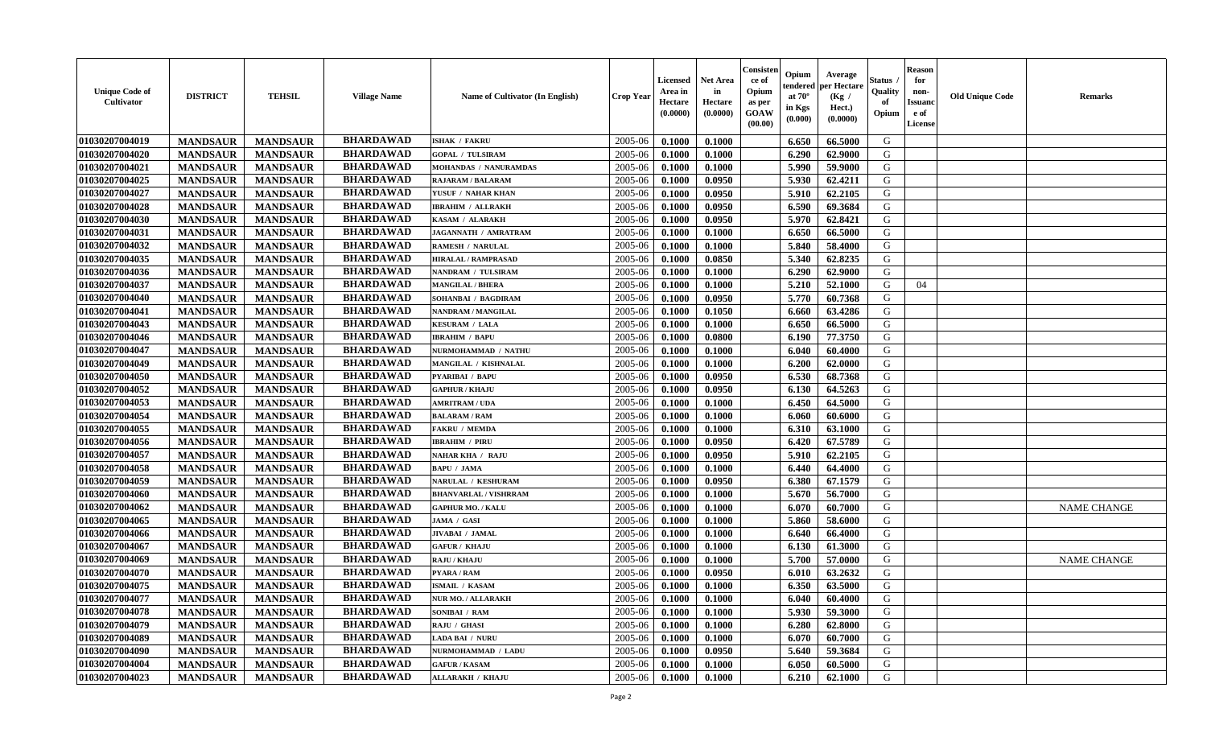| <b>Unique Code of</b><br>Cultivator | <b>DISTRICT</b> | <b>TEHSIL</b>   | <b>Village Name</b> | <b>Name of Cultivator (In English)</b> | <b>Crop Year</b> | <b>Licensed</b><br>Area in<br>Hectare<br>(0.0000) | <b>Net Area</b><br>in<br>Hectare<br>(0.0000) | Consister<br>ce of<br>Opium<br>as per<br><b>GOAW</b><br>(00.00) | Opium<br>tendered<br>at $70^\circ$<br>in Kgs<br>(0.000) | Average<br>per Hectare<br>(Kg /<br>Hect.)<br>(0.0000) | <b>Status</b><br>Quality<br>of<br>Opium | <b>Reason</b><br>for<br>non-<br><b>Issuand</b><br>e of<br>License | <b>Old Unique Code</b> | <b>Remarks</b>     |
|-------------------------------------|-----------------|-----------------|---------------------|----------------------------------------|------------------|---------------------------------------------------|----------------------------------------------|-----------------------------------------------------------------|---------------------------------------------------------|-------------------------------------------------------|-----------------------------------------|-------------------------------------------------------------------|------------------------|--------------------|
| 01030207004019                      | <b>MANDSAUR</b> | <b>MANDSAUR</b> | <b>BHARDAWAD</b>    | <b>ISHAK / FAKRU</b>                   | 2005-06          | 0.1000                                            | 0.1000                                       |                                                                 | 6.650                                                   | 66.5000                                               | G                                       |                                                                   |                        |                    |
| 01030207004020                      | <b>MANDSAUR</b> | <b>MANDSAUR</b> | <b>BHARDAWAD</b>    | <b>GOPAL / TULSIRAM</b>                | 2005-06          | 0.1000                                            | 0.1000                                       |                                                                 | 6.290                                                   | 62.9000                                               | G                                       |                                                                   |                        |                    |
| 01030207004021                      | <b>MANDSAUR</b> | <b>MANDSAUR</b> | <b>BHARDAWAD</b>    | <b>MOHANDAS / NANURAMDAS</b>           | 2005-06          | 0.1000                                            | 0.1000                                       |                                                                 | 5.990                                                   | 59.9000                                               | G                                       |                                                                   |                        |                    |
| 01030207004025                      | <b>MANDSAUR</b> | <b>MANDSAUR</b> | <b>BHARDAWAD</b>    | RAJARAM / BALARAM                      | 2005-06          | 0.1000                                            | 0.0950                                       |                                                                 | 5.930                                                   | 62.4211                                               | G                                       |                                                                   |                        |                    |
| 01030207004027                      | <b>MANDSAUR</b> | <b>MANDSAUR</b> | <b>BHARDAWAD</b>    | YUSUF / NAHAR KHAN                     | 2005-06          | 0.1000                                            | 0.0950                                       |                                                                 | 5.910                                                   | 62.2105                                               | G                                       |                                                                   |                        |                    |
| 01030207004028                      | <b>MANDSAUR</b> | <b>MANDSAUR</b> | <b>BHARDAWAD</b>    | <b>IBRAHIM / ALLRAKH</b>               | 2005-06          | 0.1000                                            | 0.0950                                       |                                                                 | 6.590                                                   | 69.3684                                               | G                                       |                                                                   |                        |                    |
| 01030207004030                      | <b>MANDSAUR</b> | <b>MANDSAUR</b> | <b>BHARDAWAD</b>    | KASAM / ALARAKH                        | 2005-06          | 0.1000                                            | 0.0950                                       |                                                                 | 5.970                                                   | 62.8421                                               | G                                       |                                                                   |                        |                    |
| 01030207004031                      | <b>MANDSAUR</b> | <b>MANDSAUR</b> | <b>BHARDAWAD</b>    | JAGANNATH / AMRATRAM                   | 2005-06          | 0.1000                                            | 0.1000                                       |                                                                 | 6.650                                                   | 66.5000                                               | G                                       |                                                                   |                        |                    |
| 01030207004032                      | <b>MANDSAUR</b> | <b>MANDSAUR</b> | <b>BHARDAWAD</b>    | <b>RAMESH / NARULAL</b>                | 2005-06          | 0.1000                                            | 0.1000                                       |                                                                 | 5.840                                                   | 58.4000                                               | G                                       |                                                                   |                        |                    |
| 01030207004035                      | <b>MANDSAUR</b> | <b>MANDSAUR</b> | <b>BHARDAWAD</b>    | <b>HIRALAL / RAMPRASAD</b>             | 2005-06          | 0.1000                                            | 0.0850                                       |                                                                 | 5.340                                                   | 62.8235                                               | G                                       |                                                                   |                        |                    |
| 01030207004036                      | <b>MANDSAUR</b> | <b>MANDSAUR</b> | <b>BHARDAWAD</b>    | NANDRAM / TULSIRAM                     | 2005-06          | 0.1000                                            | 0.1000                                       |                                                                 | 6.290                                                   | 62.9000                                               | G                                       |                                                                   |                        |                    |
| 01030207004037                      | <b>MANDSAUR</b> | <b>MANDSAUR</b> | <b>BHARDAWAD</b>    | <b>MANGILAL / BHERA</b>                | 2005-06          | 0.1000                                            | 0.1000                                       |                                                                 | 5.210                                                   | 52.1000                                               | G                                       | 04                                                                |                        |                    |
| 01030207004040                      | <b>MANDSAUR</b> | <b>MANDSAUR</b> | <b>BHARDAWAD</b>    | SOHANBAI / BAGDIRAM                    | 2005-06          | 0.1000                                            | 0.0950                                       |                                                                 | 5.770                                                   | 60.7368                                               | G                                       |                                                                   |                        |                    |
| 01030207004041                      | <b>MANDSAUR</b> | <b>MANDSAUR</b> | <b>BHARDAWAD</b>    | NANDRAM / MANGILAL                     | 2005-06          | 0.1000                                            | 0.1050                                       |                                                                 | 6.660                                                   | 63.4286                                               | G                                       |                                                                   |                        |                    |
| 01030207004043                      | <b>MANDSAUR</b> | <b>MANDSAUR</b> | <b>BHARDAWAD</b>    | <b>KESURAM / LALA</b>                  | 2005-06          | 0.1000                                            | 0.1000                                       |                                                                 | 6.650                                                   | 66.5000                                               | G                                       |                                                                   |                        |                    |
| 01030207004046                      | <b>MANDSAUR</b> | <b>MANDSAUR</b> | <b>BHARDAWAD</b>    | <b>IBRAHIM / BAPU</b>                  | 2005-06          | 0.1000                                            | 0.0800                                       |                                                                 | 6.190                                                   | 77.3750                                               | G                                       |                                                                   |                        |                    |
| 01030207004047                      | <b>MANDSAUR</b> | <b>MANDSAUR</b> | <b>BHARDAWAD</b>    | NURMOHAMMAD / NATHU                    | 2005-06          | 0.1000                                            | 0.1000                                       |                                                                 | 6.040                                                   | 60.4000                                               | G                                       |                                                                   |                        |                    |
| 01030207004049                      | <b>MANDSAUR</b> | <b>MANDSAUR</b> | <b>BHARDAWAD</b>    | MANGILAL / KISHNALAL                   | 2005-06          | 0.1000                                            | 0.1000                                       |                                                                 | 6.200                                                   | 62.0000                                               | G                                       |                                                                   |                        |                    |
| 01030207004050                      | <b>MANDSAUR</b> | <b>MANDSAUR</b> | <b>BHARDAWAD</b>    | <b>PYARIBAI / BAPU</b>                 | 2005-06          | 0.1000                                            | 0.0950                                       |                                                                 | 6.530                                                   | 68.7368                                               | G                                       |                                                                   |                        |                    |
| 01030207004052                      | <b>MANDSAUR</b> | <b>MANDSAUR</b> | <b>BHARDAWAD</b>    | <b>GAPHUR / KHAJU</b>                  | 2005-06          | 0.1000                                            | 0.0950                                       |                                                                 | 6.130                                                   | 64.5263                                               | G                                       |                                                                   |                        |                    |
| 01030207004053                      | <b>MANDSAUR</b> | <b>MANDSAUR</b> | <b>BHARDAWAD</b>    | <b>AMRITRAM / UDA</b>                  | 2005-06          | 0.1000                                            | 0.1000                                       |                                                                 | 6.450                                                   | 64.5000                                               | G                                       |                                                                   |                        |                    |
| 01030207004054                      | <b>MANDSAUR</b> | <b>MANDSAUR</b> | <b>BHARDAWAD</b>    | <b>BALARAM / RAM</b>                   | 2005-06          | 0.1000                                            | 0.1000                                       |                                                                 | 6.060                                                   | 60.6000                                               | G                                       |                                                                   |                        |                    |
| 01030207004055                      | <b>MANDSAUR</b> | <b>MANDSAUR</b> | <b>BHARDAWAD</b>    | <b>FAKRU / MEMDA</b>                   | 2005-06          | 0.1000                                            | 0.1000                                       |                                                                 | 6.310                                                   | 63.1000                                               | G                                       |                                                                   |                        |                    |
| 01030207004056                      | <b>MANDSAUR</b> | <b>MANDSAUR</b> | <b>BHARDAWAD</b>    | <b>IBRAHIM / PIRU</b>                  | 2005-06          | 0.1000                                            | 0.0950                                       |                                                                 | 6.420                                                   | 67.5789                                               | G                                       |                                                                   |                        |                    |
| 01030207004057                      | <b>MANDSAUR</b> | <b>MANDSAUR</b> | <b>BHARDAWAD</b>    | NAHAR KHA / RAJU                       | 2005-06          | 0.1000                                            | 0.0950                                       |                                                                 | 5.910                                                   | 62.2105                                               | G                                       |                                                                   |                        |                    |
| 01030207004058                      | <b>MANDSAUR</b> | <b>MANDSAUR</b> | <b>BHARDAWAD</b>    | <b>BAPU / JAMA</b>                     | 2005-06          | 0.1000                                            | 0.1000                                       |                                                                 | 6.440                                                   | 64.4000                                               | G                                       |                                                                   |                        |                    |
| 01030207004059                      | <b>MANDSAUR</b> | <b>MANDSAUR</b> | <b>BHARDAWAD</b>    | NARULAL / KESHURAM                     | 2005-06          | 0.1000                                            | 0.0950                                       |                                                                 | 6.380                                                   | 67.1579                                               | G                                       |                                                                   |                        |                    |
| 01030207004060                      | <b>MANDSAUR</b> | <b>MANDSAUR</b> | <b>BHARDAWAD</b>    | <b>BHANVARLAL / VISHRRAM</b>           | 2005-06          | 0.1000                                            | 0.1000                                       |                                                                 | 5.670                                                   | 56.7000                                               | G                                       |                                                                   |                        |                    |
| 01030207004062                      | <b>MANDSAUR</b> | <b>MANDSAUR</b> | <b>BHARDAWAD</b>    | <b>GAPHUR MO. / KALU</b>               | 2005-06          | 0.1000                                            | 0.1000                                       |                                                                 | 6.070                                                   | 60.7000                                               | G                                       |                                                                   |                        | <b>NAME CHANGE</b> |
| 01030207004065                      | <b>MANDSAUR</b> | <b>MANDSAUR</b> | <b>BHARDAWAD</b>    | JAMA / GASI                            | 2005-06          | 0.1000                                            | 0.1000                                       |                                                                 | 5.860                                                   | 58.6000                                               | G                                       |                                                                   |                        |                    |
| 01030207004066                      | <b>MANDSAUR</b> | <b>MANDSAUR</b> | <b>BHARDAWAD</b>    | JIVABAI / JAMAL                        | 2005-06          | 0.1000                                            | 0.1000                                       |                                                                 | 6.640                                                   | 66.4000                                               | G                                       |                                                                   |                        |                    |
| 01030207004067                      | <b>MANDSAUR</b> | <b>MANDSAUR</b> | <b>BHARDAWAD</b>    | <b>GAFUR / KHAJU</b>                   | 2005-06          | 0.1000                                            | 0.1000                                       |                                                                 | 6.130                                                   | 61.3000                                               | G                                       |                                                                   |                        |                    |
| 01030207004069                      | <b>MANDSAUR</b> | <b>MANDSAUR</b> | <b>BHARDAWAD</b>    | RAJU / KHAJU                           | 2005-06          | 0.1000                                            | 0.1000                                       |                                                                 | 5.700                                                   | 57.0000                                               | G                                       |                                                                   |                        | <b>NAME CHANGE</b> |
| 01030207004070                      | <b>MANDSAUR</b> | <b>MANDSAUR</b> | <b>BHARDAWAD</b>    | <b>PYARA / RAM</b>                     | 2005-06          | 0.1000                                            | 0.0950                                       |                                                                 | 6.010                                                   | 63.2632                                               | G                                       |                                                                   |                        |                    |
| 01030207004075                      | <b>MANDSAUR</b> | <b>MANDSAUR</b> | BHARDAWAD           | <b>ISMAIL / KASAM</b>                  | 2005-06          | 0.1000                                            | 0.1000                                       |                                                                 | 6.350                                                   | 63.5000                                               | G                                       |                                                                   |                        |                    |
| 01030207004077                      | <b>MANDSAUR</b> | MANDSAUR        | <b>BHARDAWAD</b>    | <b>NUR MO. / ALLARAKH</b>              | $2005 - 06$      | 0.1000                                            | 0.1000                                       |                                                                 | $6.040$                                                 | 60.4000                                               | G                                       |                                                                   |                        |                    |
| 01030207004078                      | <b>MANDSAUR</b> | <b>MANDSAUR</b> | <b>BHARDAWAD</b>    | SONIBAI / RAM                          | 2005-06          | 0.1000                                            | 0.1000                                       |                                                                 | 5.930                                                   | 59.3000                                               | G                                       |                                                                   |                        |                    |
| 01030207004079                      | <b>MANDSAUR</b> | <b>MANDSAUR</b> | <b>BHARDAWAD</b>    | RAJU / GHASI                           | 2005-06          | 0.1000                                            | 0.1000                                       |                                                                 | 6.280                                                   | 62.8000                                               | G                                       |                                                                   |                        |                    |
| 01030207004089                      | <b>MANDSAUR</b> | <b>MANDSAUR</b> | <b>BHARDAWAD</b>    | <b>LADA BAI / NURU</b>                 | 2005-06          | 0.1000                                            | 0.1000                                       |                                                                 | 6.070                                                   | 60.7000                                               | G                                       |                                                                   |                        |                    |
| 01030207004090                      | <b>MANDSAUR</b> | <b>MANDSAUR</b> | <b>BHARDAWAD</b>    | NURMOHAMMAD / LADU                     | 2005-06          | 0.1000                                            | 0.0950                                       |                                                                 | 5.640                                                   | 59.3684                                               | G                                       |                                                                   |                        |                    |
| 01030207004004                      | <b>MANDSAUR</b> | <b>MANDSAUR</b> | <b>BHARDAWAD</b>    | <b>GAFUR / KASAM</b>                   | 2005-06          | 0.1000                                            | 0.1000                                       |                                                                 | 6.050                                                   | 60.5000                                               | G                                       |                                                                   |                        |                    |
| 01030207004023                      | <b>MANDSAUR</b> | <b>MANDSAUR</b> | <b>BHARDAWAD</b>    | <b>ALLARAKH / KHAJU</b>                | 2005-06          | 0.1000                                            | 0.1000                                       |                                                                 | 6.210                                                   | 62.1000                                               | G                                       |                                                                   |                        |                    |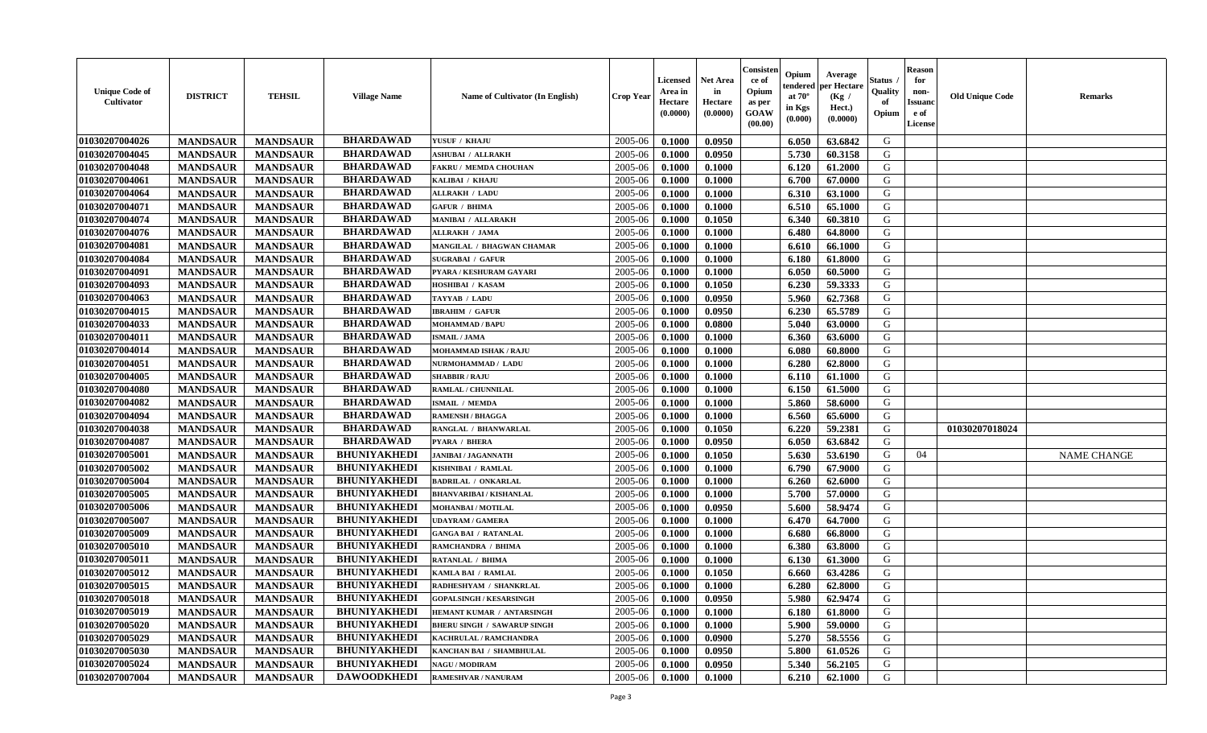| <b>Unique Code of</b><br><b>Cultivator</b> | <b>DISTRICT</b> | <b>TEHSIL</b>   | <b>Village Name</b> | Name of Cultivator (In English)    | <b>Crop Year</b> | <b>Licensed</b><br>Area in<br>Hectare<br>(0.0000) | <b>Net Area</b><br>in<br>Hectare<br>(0.0000) | Consisteı<br>ce of<br>Opium<br>as per<br><b>GOAW</b><br>(00.00) | Opium<br>endered<br>at $70^\circ$<br>in Kgs<br>$(\mathbf{0.000})$ | Average<br>per Hectare<br>(Kg /<br>Hect.)<br>(0.0000) | Status<br>Quality<br>of<br>Opium | Reason<br>for<br>non-<br>Issuan<br>e of<br>License | <b>Old Unique Code</b> | <b>Remarks</b>     |
|--------------------------------------------|-----------------|-----------------|---------------------|------------------------------------|------------------|---------------------------------------------------|----------------------------------------------|-----------------------------------------------------------------|-------------------------------------------------------------------|-------------------------------------------------------|----------------------------------|----------------------------------------------------|------------------------|--------------------|
| 01030207004026                             | <b>MANDSAUR</b> | <b>MANDSAUR</b> | <b>BHARDAWAD</b>    | YUSUF / KHAJU                      | 2005-06          | 0.1000                                            | 0.0950                                       |                                                                 | 6.050                                                             | 63.6842                                               | G                                |                                                    |                        |                    |
| 01030207004045                             | <b>MANDSAUR</b> | <b>MANDSAUR</b> | <b>BHARDAWAD</b>    | <b>ASHUBAI / ALLRAKH</b>           | 2005-06          | 0.1000                                            | 0.0950                                       |                                                                 | 5.730                                                             | 60.3158                                               | G                                |                                                    |                        |                    |
| 01030207004048                             | <b>MANDSAUR</b> | <b>MANDSAUR</b> | <b>BHARDAWAD</b>    | <b>FAKRU / MEMDA CHOUHAN</b>       | 2005-06          | 0.1000                                            | 0.1000                                       |                                                                 | 6.120                                                             | 61.2000                                               | G                                |                                                    |                        |                    |
| 01030207004061                             | <b>MANDSAUR</b> | <b>MANDSAUR</b> | <b>BHARDAWAD</b>    | KALIBAI / KHAJU                    | 2005-06          | 0.1000                                            | 0.1000                                       |                                                                 | 6.700                                                             | 67.0000                                               | G                                |                                                    |                        |                    |
| 01030207004064                             | <b>MANDSAUR</b> | <b>MANDSAUR</b> | <b>BHARDAWAD</b>    | <b>ALLRAKH / LADU</b>              | 2005-06          | 0.1000                                            | 0.1000                                       |                                                                 | 6.310                                                             | 63.1000                                               | G                                |                                                    |                        |                    |
| 01030207004071                             | <b>MANDSAUR</b> | <b>MANDSAUR</b> | <b>BHARDAWAD</b>    | <b>GAFUR / BHIMA</b>               | 2005-06          | 0.1000                                            | 0.1000                                       |                                                                 | 6.510                                                             | 65.1000                                               | G                                |                                                    |                        |                    |
| 01030207004074                             | <b>MANDSAUR</b> | <b>MANDSAUR</b> | <b>BHARDAWAD</b>    | <b>MANIBAI / ALLARAKH</b>          | 2005-06          | 0.1000                                            | 0.1050                                       |                                                                 | 6.340                                                             | 60.3810                                               | G                                |                                                    |                        |                    |
| 01030207004076                             | <b>MANDSAUR</b> | <b>MANDSAUR</b> | <b>BHARDAWAD</b>    | <b>ALLRAKH / JAMA</b>              | 2005-06          | 0.1000                                            | 0.1000                                       |                                                                 | 6.480                                                             | 64.8000                                               | G                                |                                                    |                        |                    |
| 01030207004081                             | <b>MANDSAUR</b> | <b>MANDSAUR</b> | <b>BHARDAWAD</b>    | MANGILAL / BHAGWAN CHAMAR          | 2005-06          | 0.1000                                            | 0.1000                                       |                                                                 | 6.610                                                             | 66.1000                                               | G                                |                                                    |                        |                    |
| 01030207004084                             | <b>MANDSAUR</b> | <b>MANDSAUR</b> | <b>BHARDAWAD</b>    | <b>SUGRABAI / GAFUR</b>            | 2005-06          | 0.1000                                            | 0.1000                                       |                                                                 | 6.180                                                             | 61.8000                                               | G                                |                                                    |                        |                    |
| 01030207004091                             | <b>MANDSAUR</b> | <b>MANDSAUR</b> | <b>BHARDAWAD</b>    | PYARA / KESHURAM GAYARI            | 2005-06          | 0.1000                                            | 0.1000                                       |                                                                 | 6.050                                                             | 60.5000                                               | G                                |                                                    |                        |                    |
| 01030207004093                             | <b>MANDSAUR</b> | <b>MANDSAUR</b> | <b>BHARDAWAD</b>    | HOSHIBAI / KASAM                   | 2005-06          | 0.1000                                            | 0.1050                                       |                                                                 | 6.230                                                             | 59.3333                                               | G                                |                                                    |                        |                    |
| 01030207004063                             | <b>MANDSAUR</b> | <b>MANDSAUR</b> | <b>BHARDAWAD</b>    | TAYYAB / LADU                      | 2005-06          | 0.1000                                            | 0.0950                                       |                                                                 | 5.960                                                             | 62.7368                                               | G                                |                                                    |                        |                    |
| 01030207004015                             | <b>MANDSAUR</b> | <b>MANDSAUR</b> | <b>BHARDAWAD</b>    | <b>IBRAHIM / GAFUR</b>             | 2005-06          | 0.1000                                            | 0.0950                                       |                                                                 | 6.230                                                             | 65.5789                                               | G                                |                                                    |                        |                    |
| 01030207004033                             | <b>MANDSAUR</b> | <b>MANDSAUR</b> | <b>BHARDAWAD</b>    | <b>MOHAMMAD / BAPU</b>             | 2005-06          | 0.1000                                            | 0.0800                                       |                                                                 | 5.040                                                             | 63.0000                                               | G                                |                                                    |                        |                    |
| 01030207004011                             | <b>MANDSAUR</b> | <b>MANDSAUR</b> | <b>BHARDAWAD</b>    | <b>ISMAIL / JAMA</b>               | 2005-06          | 0.1000                                            | 0.1000                                       |                                                                 | 6.360                                                             | 63.6000                                               | G                                |                                                    |                        |                    |
| 01030207004014                             | <b>MANDSAUR</b> | <b>MANDSAUR</b> | <b>BHARDAWAD</b>    | MOHAMMAD ISHAK / RAJU              | 2005-06          | 0.1000                                            | 0.1000                                       |                                                                 | 6.080                                                             | 60.8000                                               | G                                |                                                    |                        |                    |
| 01030207004051                             | <b>MANDSAUR</b> | <b>MANDSAUR</b> | <b>BHARDAWAD</b>    | NURMOHAMMAD / LADU                 | 2005-06          | 0.1000                                            | 0.1000                                       |                                                                 | 6.280                                                             | 62.8000                                               | G                                |                                                    |                        |                    |
| 01030207004005                             | <b>MANDSAUR</b> | <b>MANDSAUR</b> | <b>BHARDAWAD</b>    | <b>SHABBIR / RAJU</b>              | 2005-06          | 0.1000                                            | 0.1000                                       |                                                                 | 6.110                                                             | 61.1000                                               | G                                |                                                    |                        |                    |
| 01030207004080                             | <b>MANDSAUR</b> | <b>MANDSAUR</b> | <b>BHARDAWAD</b>    | <b>RAMLAL / CHUNNILAL</b>          | 2005-06          | 0.1000                                            | 0.1000                                       |                                                                 | 6.150                                                             | 61.5000                                               | G                                |                                                    |                        |                    |
| 01030207004082                             | <b>MANDSAUR</b> | <b>MANDSAUR</b> | <b>BHARDAWAD</b>    | <b>ISMAIL / MEMDA</b>              | 2005-06          | 0.1000                                            | 0.1000                                       |                                                                 | 5.860                                                             | 58.6000                                               | G                                |                                                    |                        |                    |
| 01030207004094                             | <b>MANDSAUR</b> | <b>MANDSAUR</b> | <b>BHARDAWAD</b>    | <b>RAMENSH / BHAGGA</b>            | 2005-06          | 0.1000                                            | 0.1000                                       |                                                                 | 6.560                                                             | 65.6000                                               | G                                |                                                    |                        |                    |
| 01030207004038                             | <b>MANDSAUR</b> | <b>MANDSAUR</b> | <b>BHARDAWAD</b>    | RANGLAL / BHANWARLAL               | 2005-06          | 0.1000                                            | 0.1050                                       |                                                                 | 6.220                                                             | 59.2381                                               | G                                |                                                    | 01030207018024         |                    |
| 01030207004087                             | <b>MANDSAUR</b> | <b>MANDSAUR</b> | <b>BHARDAWAD</b>    | PYARA / BHERA                      | 2005-06          | 0.1000                                            | 0.0950                                       |                                                                 | 6.050                                                             | 63.6842                                               | G                                |                                                    |                        |                    |
| 01030207005001                             | <b>MANDSAUR</b> | <b>MANDSAUR</b> | <b>BHUNIYAKHEDI</b> | <b>JANIBAI / JAGANNATH</b>         | 2005-06          | 0.1000                                            | 0.1050                                       |                                                                 | 5.630                                                             | 53.6190                                               | G                                | 04                                                 |                        | <b>NAME CHANGE</b> |
| 01030207005002                             | <b>MANDSAUR</b> | <b>MANDSAUR</b> | <b>BHUNIYAKHEDI</b> | KISHNIBAI / RAMLAL                 | 2005-06          | 0.1000                                            | 0.1000                                       |                                                                 | 6.790                                                             | 67.9000                                               | G                                |                                                    |                        |                    |
| 01030207005004                             | <b>MANDSAUR</b> | <b>MANDSAUR</b> | <b>BHUNIYAKHEDI</b> | <b>BADRILAL / ONKARLAL</b>         | 2005-06          | 0.1000                                            | 0.1000                                       |                                                                 | 6.260                                                             | 62.6000                                               | G                                |                                                    |                        |                    |
| 01030207005005                             | <b>MANDSAUR</b> | <b>MANDSAUR</b> | <b>BHUNIYAKHEDI</b> | <b>BHANVARIBAI / KISHANLAL</b>     | 2005-06          | 0.1000                                            | 0.1000                                       |                                                                 | 5.700                                                             | 57.0000                                               | G                                |                                                    |                        |                    |
| 01030207005006                             | <b>MANDSAUR</b> | <b>MANDSAUR</b> | <b>BHUNIYAKHEDI</b> | MOHANBAI / MOTILAL                 | 2005-06          | 0.1000                                            | 0.0950                                       |                                                                 | 5.600                                                             | 58.9474                                               | G                                |                                                    |                        |                    |
| 01030207005007                             | <b>MANDSAUR</b> | <b>MANDSAUR</b> | <b>BHUNIYAKHEDI</b> | <b>UDAYRAM / GAMERA</b>            | 2005-06          | 0.1000                                            | 0.1000                                       |                                                                 | 6.470                                                             | 64.7000                                               | G                                |                                                    |                        |                    |
| 01030207005009                             | <b>MANDSAUR</b> | <b>MANDSAUR</b> | <b>BHUNIYAKHEDI</b> | <b>GANGA BAI / RATANLAL</b>        | 2005-06          | 0.1000                                            | 0.1000                                       |                                                                 | 6.680                                                             | 66.8000                                               | G                                |                                                    |                        |                    |
| 01030207005010                             | <b>MANDSAUR</b> | <b>MANDSAUR</b> | <b>BHUNIYAKHEDI</b> | RAMCHANDRA / BHIMA                 | 2005-06          | 0.1000                                            | 0.1000                                       |                                                                 | 6.380                                                             | 63.8000                                               | G                                |                                                    |                        |                    |
| 01030207005011                             | <b>MANDSAUR</b> | <b>MANDSAUR</b> | <b>BHUNIYAKHEDI</b> | RATANLAL / BHIMA                   | 2005-06          | 0.1000                                            | 0.1000                                       |                                                                 | 6.130                                                             | 61.3000                                               | G                                |                                                    |                        |                    |
| 01030207005012                             | <b>MANDSAUR</b> | <b>MANDSAUR</b> | <b>BHUNIYAKHEDI</b> | KAMLA BAI / RAMLAL                 | 2005-06          | 0.1000                                            | 0.1050                                       |                                                                 | 6.660                                                             | 63.4286                                               | G                                |                                                    |                        |                    |
| 01030207005015                             | <b>MANDSAUR</b> | <b>MANDSAUR</b> | <b>BHUNIYAKHEDI</b> | RADHESHYAM / SHANKRLAL             | 2005-06          | 0.1000                                            | 0.1000                                       |                                                                 | 6.280                                                             | 62.8000                                               | G                                |                                                    |                        |                    |
| 01030207005018                             | <b>MANDSAUR</b> | <b>MANDSAUR</b> | <b>BHUNIYAKHEDI</b> | <b>GOPALSINGH / KESARSINGH</b>     | $2005 - 06$      | 0.1000                                            | 0.0950                                       |                                                                 | $5.980$                                                           | 62.9474                                               | G                                |                                                    |                        |                    |
| 01030207005019                             | <b>MANDSAUR</b> | <b>MANDSAUR</b> | <b>BHUNIYAKHEDI</b> | HEMANT KUMAR / ANTARSINGH          | 2005-06          | 0.1000                                            | 0.1000                                       |                                                                 | 6.180                                                             | 61.8000                                               | G                                |                                                    |                        |                    |
| <b>01030207005020</b>                      | <b>MANDSAUR</b> | <b>MANDSAUR</b> | <b>BHUNIYAKHEDI</b> | <b>BHERU SINGH / SAWARUP SINGH</b> | 2005-06          | 0.1000                                            | 0.1000                                       |                                                                 | 5.900                                                             | 59.0000                                               | G                                |                                                    |                        |                    |
| 01030207005029                             | <b>MANDSAUR</b> | <b>MANDSAUR</b> | <b>BHUNIYAKHEDI</b> | KACHRULAL / RAMCHANDRA             | 2005-06          | 0.1000                                            | 0.0900                                       |                                                                 | 5.270                                                             | 58.5556                                               | G                                |                                                    |                        |                    |
| 01030207005030                             | <b>MANDSAUR</b> | <b>MANDSAUR</b> | <b>BHUNIYAKHEDI</b> | KANCHAN BAI / SHAMBHULAL           | 2005-06          | 0.1000                                            | 0.0950                                       |                                                                 | 5.800                                                             | 61.0526                                               | G                                |                                                    |                        |                    |
| 01030207005024                             | <b>MANDSAUR</b> | <b>MANDSAUR</b> | <b>BHUNIYAKHEDI</b> | <b>NAGU / MODIRAM</b>              | 2005-06          | 0.1000                                            | 0.0950                                       |                                                                 | 5.340                                                             | 56.2105                                               | G                                |                                                    |                        |                    |
| 01030207007004                             | <b>MANDSAUR</b> | <b>MANDSAUR</b> | <b>DAWOODKHEDI</b>  | <b>RAMESHVAR / NANURAM</b>         | 2005-06          | 0.1000                                            | 0.1000                                       |                                                                 | 6.210                                                             | 62.1000                                               | G                                |                                                    |                        |                    |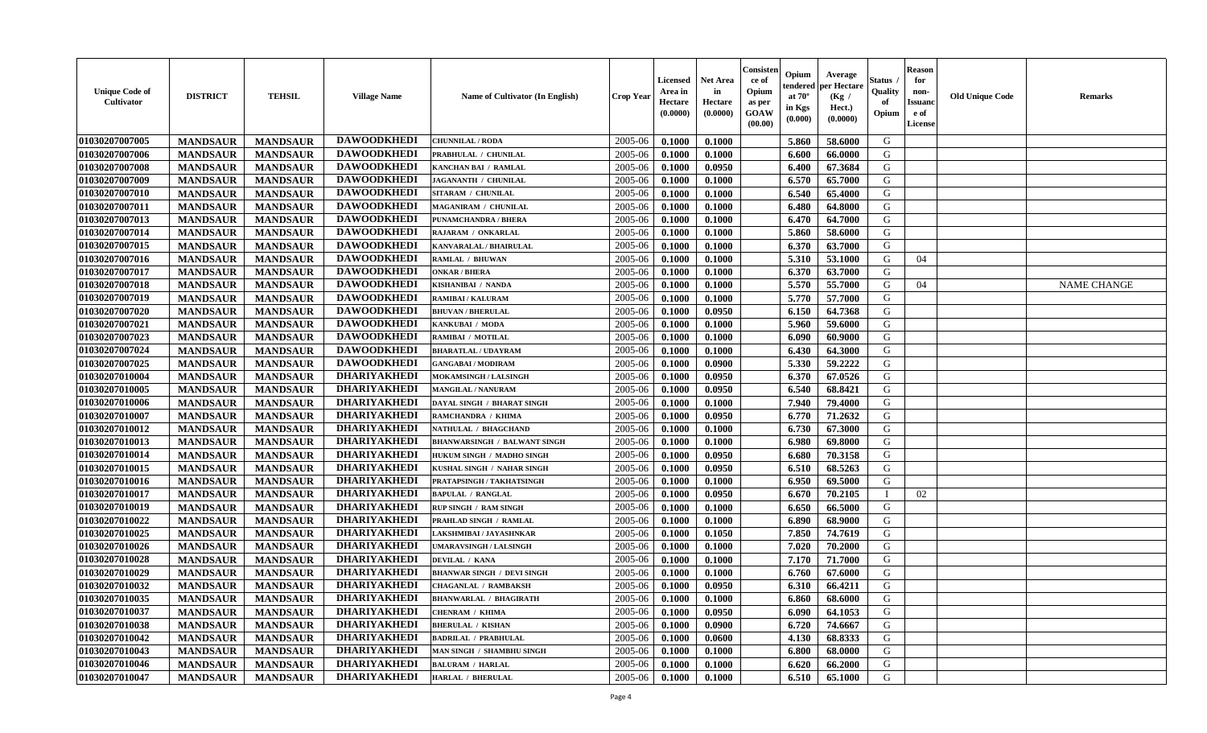| <b>Unique Code of</b><br><b>Cultivator</b> | <b>DISTRICT</b> | <b>TEHSIL</b>   | <b>Village Name</b> | Name of Cultivator (In English)     | <b>Crop Year</b> | <b>Licensed</b><br>Area in<br>Hectare<br>(0.0000) | <b>Net Area</b><br>in<br>Hectare<br>(0.0000) | Consisteı<br>ce of<br>Opium<br>as per<br><b>GOAW</b><br>(00.00) | Opium<br>endered<br>at $70^\circ$<br>in Kgs<br>$(\mathbf{0.000})$ | Average<br>per Hectare<br>(Kg /<br>Hect.)<br>(0.0000) | Status<br>Quality<br>of<br>Opium | Reason<br>for<br>non-<br>Issuan<br>e of<br>License | <b>Old Unique Code</b> | <b>Remarks</b>     |
|--------------------------------------------|-----------------|-----------------|---------------------|-------------------------------------|------------------|---------------------------------------------------|----------------------------------------------|-----------------------------------------------------------------|-------------------------------------------------------------------|-------------------------------------------------------|----------------------------------|----------------------------------------------------|------------------------|--------------------|
| 01030207007005                             | <b>MANDSAUR</b> | <b>MANDSAUR</b> | <b>DAWOODKHEDI</b>  | <b>CHUNNILAL / RODA</b>             | 2005-06          | 0.1000                                            | 0.1000                                       |                                                                 | 5.860                                                             | 58.6000                                               | G                                |                                                    |                        |                    |
| 01030207007006                             | <b>MANDSAUR</b> | <b>MANDSAUR</b> | <b>DAWOODKHEDI</b>  | PRABHULAL / CHUNILAL                | 2005-06          | 0.1000                                            | 0.1000                                       |                                                                 | 6.600                                                             | 66.0000                                               | G                                |                                                    |                        |                    |
| 01030207007008                             | <b>MANDSAUR</b> | <b>MANDSAUR</b> | <b>DAWOODKHEDI</b>  | <b>KANCHAN BAI / RAMLAL</b>         | 2005-06          | 0.1000                                            | 0.0950                                       |                                                                 | 6.400                                                             | 67.3684                                               | G                                |                                                    |                        |                    |
| 01030207007009                             | <b>MANDSAUR</b> | <b>MANDSAUR</b> | <b>DAWOODKHEDI</b>  | JAGANANTH / CHUNILAL                | 2005-06          | 0.1000                                            | 0.1000                                       |                                                                 | 6.570                                                             | 65.7000                                               | G                                |                                                    |                        |                    |
| 01030207007010                             | <b>MANDSAUR</b> | <b>MANDSAUR</b> | <b>DAWOODKHEDI</b>  | SITARAM / CHUNILAL                  | 2005-06          | 0.1000                                            | 0.1000                                       |                                                                 | 6.540                                                             | 65.4000                                               | G                                |                                                    |                        |                    |
| 01030207007011                             | <b>MANDSAUR</b> | <b>MANDSAUR</b> | <b>DAWOODKHEDI</b>  | <b>MAGANIRAM / CHUNILAL</b>         | 2005-06          | 0.1000                                            | 0.1000                                       |                                                                 | 6.480                                                             | 64.8000                                               | G                                |                                                    |                        |                    |
| 01030207007013                             | <b>MANDSAUR</b> | <b>MANDSAUR</b> | <b>DAWOODKHEDI</b>  | <b>PUNAMCHANDRA / BHERA</b>         | 2005-06          | 0.1000                                            | 0.1000                                       |                                                                 | 6.470                                                             | 64.7000                                               | G                                |                                                    |                        |                    |
| 01030207007014                             | <b>MANDSAUR</b> | <b>MANDSAUR</b> | <b>DAWOODKHEDI</b>  | RAJARAM / ONKARLAL                  | 2005-06          | 0.1000                                            | 0.1000                                       |                                                                 | 5.860                                                             | 58.6000                                               | G                                |                                                    |                        |                    |
| 01030207007015                             | <b>MANDSAUR</b> | <b>MANDSAUR</b> | <b>DAWOODKHEDI</b>  | KANVARALAL / BHAIRULAL              | 2005-06          | 0.1000                                            | 0.1000                                       |                                                                 | 6.370                                                             | 63.7000                                               | G                                |                                                    |                        |                    |
| 01030207007016                             | <b>MANDSAUR</b> | <b>MANDSAUR</b> | <b>DAWOODKHEDI</b>  | RAMLAL / BHUWAN                     | 2005-06          | 0.1000                                            | 0.1000                                       |                                                                 | 5.310                                                             | 53.1000                                               | G                                | 04                                                 |                        |                    |
| 01030207007017                             | <b>MANDSAUR</b> | <b>MANDSAUR</b> | <b>DAWOODKHEDI</b>  | <b>ONKAR / BHERA</b>                | 2005-06          | 0.1000                                            | 0.1000                                       |                                                                 | 6.370                                                             | 63.7000                                               | G                                |                                                    |                        |                    |
| 01030207007018                             | <b>MANDSAUR</b> | <b>MANDSAUR</b> | <b>DAWOODKHEDI</b>  | KISHANIBAI / NANDA                  | 2005-06          | 0.1000                                            | 0.1000                                       |                                                                 | 5.570                                                             | 55.7000                                               | G                                | 04                                                 |                        | <b>NAME CHANGE</b> |
| 01030207007019                             | <b>MANDSAUR</b> | <b>MANDSAUR</b> | <b>DAWOODKHEDI</b>  | <b>RAMIBAI/KALURAM</b>              | 2005-06          | 0.1000                                            | 0.1000                                       |                                                                 | 5.770                                                             | 57.7000                                               | G                                |                                                    |                        |                    |
| 01030207007020                             | <b>MANDSAUR</b> | <b>MANDSAUR</b> | <b>DAWOODKHEDI</b>  | <b>BHUVAN / BHERULAL</b>            | 2005-06          | 0.1000                                            | 0.0950                                       |                                                                 | 6.150                                                             | 64.7368                                               | G                                |                                                    |                        |                    |
| 01030207007021                             | <b>MANDSAUR</b> | <b>MANDSAUR</b> | <b>DAWOODKHEDI</b>  | KANKUBAI / MODA                     | 2005-06          | 0.1000                                            | 0.1000                                       |                                                                 | 5.960                                                             | 59.6000                                               | G                                |                                                    |                        |                    |
| 01030207007023                             | <b>MANDSAUR</b> | <b>MANDSAUR</b> | <b>DAWOODKHEDI</b>  | RAMIBAI / MOTILAL                   | 2005-06          | 0.1000                                            | 0.1000                                       |                                                                 | 6.090                                                             | 60.9000                                               | G                                |                                                    |                        |                    |
| 01030207007024                             | <b>MANDSAUR</b> | <b>MANDSAUR</b> | <b>DAWOODKHEDI</b>  | <b>BHARATLAL / UDAYRAM</b>          | 2005-06          | 0.1000                                            | 0.1000                                       |                                                                 | 6.430                                                             | 64.3000                                               | G                                |                                                    |                        |                    |
| 01030207007025                             | <b>MANDSAUR</b> | <b>MANDSAUR</b> | <b>DAWOODKHEDI</b>  | <b>GANGABAI/MODIRAM</b>             | 2005-06          | 0.1000                                            | 0.0900                                       |                                                                 | 5.330                                                             | 59,2222                                               | G                                |                                                    |                        |                    |
| 01030207010004                             | <b>MANDSAUR</b> | <b>MANDSAUR</b> | <b>DHARIYAKHEDI</b> | MOKAMSINGH / LALSINGH               | 2005-06          | 0.1000                                            | 0.0950                                       |                                                                 | 6.370                                                             | 67.0526                                               | G                                |                                                    |                        |                    |
| 01030207010005                             | <b>MANDSAUR</b> | <b>MANDSAUR</b> | <b>DHARIYAKHEDI</b> | <b>MANGILAL / NANURAM</b>           | 2005-06          | 0.1000                                            | 0.0950                                       |                                                                 | 6.540                                                             | 68.8421                                               | G                                |                                                    |                        |                    |
| 01030207010006                             | <b>MANDSAUR</b> | <b>MANDSAUR</b> | <b>DHARIYAKHEDI</b> | DAYAL SINGH / BHARAT SINGH          | 2005-06          | 0.1000                                            | 0.1000                                       |                                                                 | 7.940                                                             | 79.4000                                               | G                                |                                                    |                        |                    |
| 01030207010007                             | <b>MANDSAUR</b> | <b>MANDSAUR</b> | <b>DHARIYAKHEDI</b> | RAMCHANDRA / KHIMA                  | 2005-06          | 0.1000                                            | 0.0950                                       |                                                                 | 6.770                                                             | 71.2632                                               | G                                |                                                    |                        |                    |
| 01030207010012                             | <b>MANDSAUR</b> | <b>MANDSAUR</b> | <b>DHARIYAKHEDI</b> | NATHULAL / BHAGCHAND                | 2005-06          | 0.1000                                            | 0.1000                                       |                                                                 | 6.730                                                             | 67.3000                                               | G                                |                                                    |                        |                    |
| 01030207010013                             | <b>MANDSAUR</b> | <b>MANDSAUR</b> | <b>DHARIYAKHEDI</b> | <b>BHANWARSINGH / BALWANT SINGH</b> | 2005-06          | 0.1000                                            | 0.1000                                       |                                                                 | 6.980                                                             | 69.8000                                               | G                                |                                                    |                        |                    |
| 01030207010014                             | <b>MANDSAUR</b> | <b>MANDSAUR</b> | <b>DHARIYAKHEDI</b> | HUKUM SINGH / MADHO SINGH           | 2005-06          | 0.1000                                            | 0.0950                                       |                                                                 | 6.680                                                             | 70.3158                                               | G                                |                                                    |                        |                    |
| 01030207010015                             | <b>MANDSAUR</b> | <b>MANDSAUR</b> | <b>DHARIYAKHEDI</b> | KUSHAL SINGH / NAHAR SINGH          | 2005-06          | 0.1000                                            | 0.0950                                       |                                                                 | 6.510                                                             | 68.5263                                               | G                                |                                                    |                        |                    |
| 01030207010016                             | <b>MANDSAUR</b> | <b>MANDSAUR</b> | <b>DHARIYAKHEDI</b> | PRATAPSINGH / TAKHATSINGH           | 2005-06          | 0.1000                                            | 0.1000                                       |                                                                 | 6.950                                                             | 69.5000                                               | G                                |                                                    |                        |                    |
| 01030207010017                             | <b>MANDSAUR</b> | <b>MANDSAUR</b> | <b>DHARIYAKHEDI</b> | <b>BAPULAL / RANGLAL</b>            | 2005-06          | 0.1000                                            | 0.0950                                       |                                                                 | 6.670                                                             | 70.2105                                               | - 1                              | 02                                                 |                        |                    |
| 01030207010019                             | <b>MANDSAUR</b> | <b>MANDSAUR</b> | <b>DHARIYAKHEDI</b> | <b>RUP SINGH / RAM SINGH</b>        | 2005-06          | 0.1000                                            | 0.1000                                       |                                                                 | 6.650                                                             | 66.5000                                               | G                                |                                                    |                        |                    |
| 01030207010022                             | <b>MANDSAUR</b> | <b>MANDSAUR</b> | <b>DHARIYAKHEDI</b> | PRAHLAD SINGH / RAMLAL              | 2005-06          | 0.1000                                            | 0.1000                                       |                                                                 | 6.890                                                             | 68.9000                                               | G                                |                                                    |                        |                    |
| 01030207010025                             | <b>MANDSAUR</b> | <b>MANDSAUR</b> | <b>DHARIYAKHEDI</b> | LAKSHMIBAI / JAYASHNKAR             | 2005-06          | 0.1000                                            | 0.1050                                       |                                                                 | 7.850                                                             | 74.7619                                               | G                                |                                                    |                        |                    |
| 01030207010026                             | <b>MANDSAUR</b> | <b>MANDSAUR</b> | <b>DHARIYAKHEDI</b> | <b>UMARAVSINGH / LALSINGH</b>       | 2005-06          | 0.1000                                            | 0.1000                                       |                                                                 | 7.020                                                             | 70.2000                                               | G                                |                                                    |                        |                    |
| 01030207010028                             | <b>MANDSAUR</b> | <b>MANDSAUR</b> | <b>DHARIYAKHEDI</b> | DEVILAL / KANA                      | 2005-06          | 0.1000                                            | 0.1000                                       |                                                                 | 7.170                                                             | 71.7000                                               | G                                |                                                    |                        |                    |
| 01030207010029                             | <b>MANDSAUR</b> | <b>MANDSAUR</b> | <b>DHARIYAKHEDI</b> | <b>BHANWAR SINGH / DEVI SINGH</b>   | 2005-06          | 0.1000                                            | 0.1000                                       |                                                                 | 6.760                                                             | 67.6000                                               | G                                |                                                    |                        |                    |
| 01030207010032                             | <b>MANDSAUR</b> | <b>MANDSAUR</b> | <b>DHARIYAKHEDI</b> | <b>CHAGANLAL / RAMBAKSH</b>         | 2005-06          | 0.1000                                            | 0.0950                                       |                                                                 | 6.310                                                             | 66.4211                                               | G                                |                                                    |                        |                    |
| 01030207010035                             | <b>MANDSAUR</b> | <b>MANDSAUR</b> | DHARIYAKHEDI        | <b>BHANWARLAL / BHAGIRATH</b>       | $2005 - 06$      | 0.1000                                            | 0.1000                                       |                                                                 | $6.860$                                                           | 68.6000                                               | G                                |                                                    |                        |                    |
| 01030207010037                             | <b>MANDSAUR</b> | <b>MANDSAUR</b> | <b>DHARIYAKHEDI</b> | <b>CHENRAM / KHIMA</b>              | 2005-06          | 0.1000                                            | 0.0950                                       |                                                                 | 6.090                                                             | 64.1053                                               | G                                |                                                    |                        |                    |
| 01030207010038                             | <b>MANDSAUR</b> | <b>MANDSAUR</b> | <b>DHARIYAKHEDI</b> | <b>BHERULAL / KISHAN</b>            | 2005-06          | 0.1000                                            | 0.0900                                       |                                                                 | 6.720                                                             | 74.6667                                               | G                                |                                                    |                        |                    |
| 01030207010042                             | <b>MANDSAUR</b> | <b>MANDSAUR</b> | <b>DHARIYAKHEDI</b> | <b>BADRILAL / PRABHULAL</b>         | 2005-06          | 0.1000                                            | 0.0600                                       |                                                                 | 4.130                                                             | 68.8333                                               | G                                |                                                    |                        |                    |
| 01030207010043                             | <b>MANDSAUR</b> | <b>MANDSAUR</b> | <b>DHARIYAKHEDI</b> | MAN SINGH / SHAMBHU SINGH           | 2005-06          | 0.1000                                            | 0.1000                                       |                                                                 | 6.800                                                             | 68.0000                                               | G                                |                                                    |                        |                    |
| 01030207010046                             | <b>MANDSAUR</b> | <b>MANDSAUR</b> | <b>DHARIYAKHEDI</b> | <b>BALURAM / HARLAL</b>             | 2005-06          | 0.1000                                            | 0.1000                                       |                                                                 | 6.620                                                             | 66.2000                                               | G                                |                                                    |                        |                    |
| 01030207010047                             | <b>MANDSAUR</b> | <b>MANDSAUR</b> | <b>DHARIYAKHEDI</b> | <b>HARLAL / BHERULAL</b>            | 2005-06          | 0.1000                                            | 0.1000                                       |                                                                 | 6.510                                                             | 65.1000                                               | G                                |                                                    |                        |                    |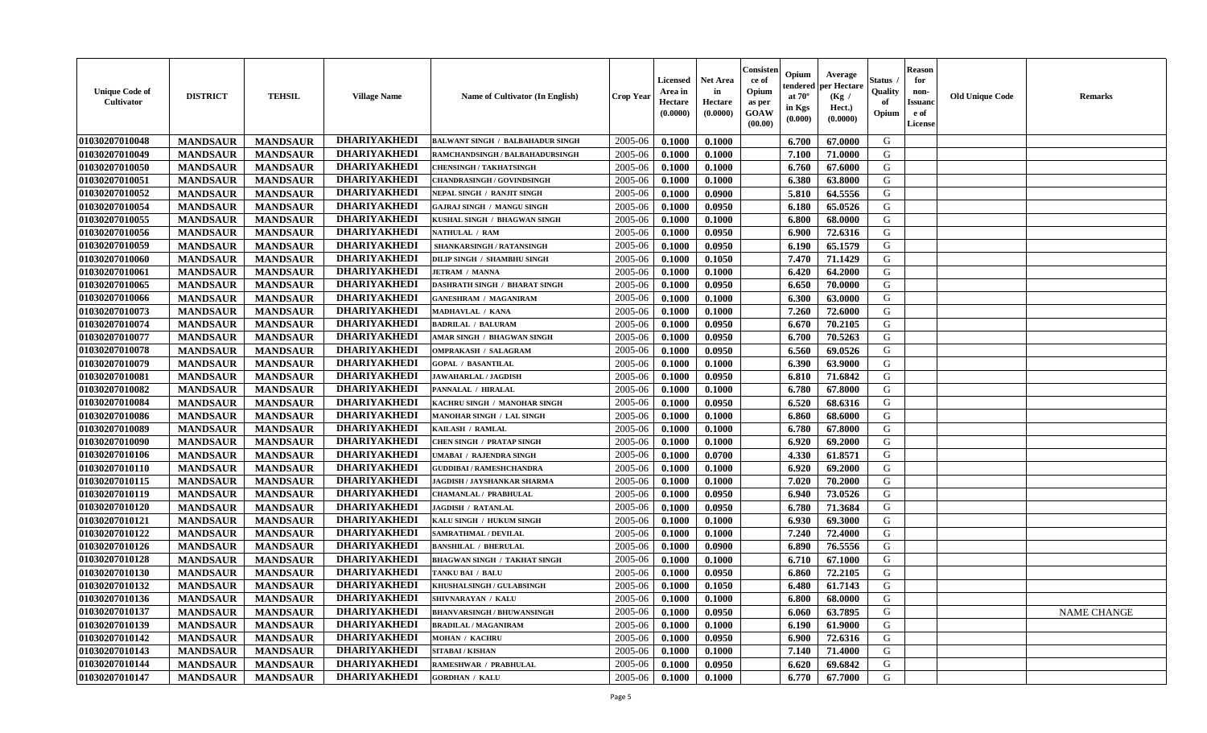| <b>Unique Code of</b><br><b>Cultivator</b> | <b>DISTRICT</b> | <b>TEHSIL</b>   | <b>Village Name</b> | Name of Cultivator (In English)         | <b>Crop Year</b> | <b>Licensed</b><br>Area in<br>Hectare<br>(0.0000) | <b>Net Area</b><br>in<br>Hectare<br>(0.0000) | Consister<br>ce of<br>Opium<br>as per<br><b>GOAW</b><br>(00.00) | Opium<br>endered<br>at $70^{\circ}$<br>in Kgs<br>$(\mathbf{0.000})$ | Average<br>per Hectare<br>(Kg)<br>Hect.)<br>(0.0000) | Status<br>Quality<br>of<br>Opium | <b>Reason</b><br>for<br>non-<br><b>Issuano</b><br>e of<br>License | <b>Old Unique Code</b> | <b>Remarks</b> |
|--------------------------------------------|-----------------|-----------------|---------------------|-----------------------------------------|------------------|---------------------------------------------------|----------------------------------------------|-----------------------------------------------------------------|---------------------------------------------------------------------|------------------------------------------------------|----------------------------------|-------------------------------------------------------------------|------------------------|----------------|
| 01030207010048                             | <b>MANDSAUR</b> | <b>MANDSAUR</b> | <b>DHARIYAKHEDI</b> | <b>BALWANT SINGH / BALBAHADUR SINGH</b> | 2005-06          | 0.1000                                            | 0.1000                                       |                                                                 | 6.700                                                               | 67.0000                                              | G                                |                                                                   |                        |                |
| 01030207010049                             | <b>MANDSAUR</b> | <b>MANDSAUR</b> | <b>DHARIYAKHEDI</b> | RAMCHANDSINGH / BALBAHADURSINGH         | 2005-06          | 0.1000                                            | 0.1000                                       |                                                                 | 7.100                                                               | 71.0000                                              | G                                |                                                                   |                        |                |
| 01030207010050                             | <b>MANDSAUR</b> | <b>MANDSAUR</b> | <b>DHARIYAKHEDI</b> | <b>CHENSINGH / TAKHATSINGH</b>          | 2005-06          | 0.1000                                            | 0.1000                                       |                                                                 | 6.760                                                               | 67.6000                                              | G                                |                                                                   |                        |                |
| 01030207010051                             | <b>MANDSAUR</b> | <b>MANDSAUR</b> | <b>DHARIYAKHEDI</b> | <b>CHANDRASINGH / GOVINDSINGH</b>       | 2005-06          | 0.1000                                            | 0.1000                                       |                                                                 | 6.380                                                               | 63.8000                                              | G                                |                                                                   |                        |                |
| 01030207010052                             | <b>MANDSAUR</b> | <b>MANDSAUR</b> | <b>DHARIYAKHEDI</b> | NEPAL SINGH / RANJIT SINGH              | 2005-06          | 0.1000                                            | 0.0900                                       |                                                                 | 5.810                                                               | 64.5556                                              | G                                |                                                                   |                        |                |
| 01030207010054                             | <b>MANDSAUR</b> | <b>MANDSAUR</b> | <b>DHARIYAKHEDI</b> | <b>GAJRAJ SINGH / MANGU SINGH</b>       | 2005-06          | 0.1000                                            | 0.0950                                       |                                                                 | 6.180                                                               | 65.0526                                              | G                                |                                                                   |                        |                |
| 01030207010055                             | <b>MANDSAUR</b> | <b>MANDSAUR</b> | <b>DHARIYAKHEDI</b> | KUSHAL SINGH / BHAGWAN SINGH            | 2005-06          | 0.1000                                            | 0.1000                                       |                                                                 | 6.800                                                               | 68.0000                                              | G                                |                                                                   |                        |                |
| 01030207010056                             | <b>MANDSAUR</b> | <b>MANDSAUR</b> | <b>DHARIYAKHEDI</b> | <b>NATHULAL / RAM</b>                   | 2005-06          | 0.1000                                            | 0.0950                                       |                                                                 | 6.900                                                               | 72.6316                                              | G                                |                                                                   |                        |                |
| 01030207010059                             | <b>MANDSAUR</b> | <b>MANDSAUR</b> | <b>DHARIYAKHEDI</b> | SHANKARSINGH / RATANSINGH               | 2005-06          | 0.1000                                            | 0.0950                                       |                                                                 | 6.190                                                               | 65.1579                                              | G                                |                                                                   |                        |                |
| 01030207010060                             | <b>MANDSAUR</b> | <b>MANDSAUR</b> | <b>DHARIYAKHEDI</b> | DILIP SINGH / SHAMBHU SINGH             | 2005-06          | 0.1000                                            | 0.1050                                       |                                                                 | 7.470                                                               | 71.1429                                              | G                                |                                                                   |                        |                |
| 01030207010061                             | <b>MANDSAUR</b> | <b>MANDSAUR</b> | <b>DHARIYAKHEDI</b> | <b>JETRAM / MANNA</b>                   | 2005-06          | 0.1000                                            | 0.1000                                       |                                                                 | 6.420                                                               | 64.2000                                              | G                                |                                                                   |                        |                |
| 01030207010065                             | <b>MANDSAUR</b> | <b>MANDSAUR</b> | <b>DHARIYAKHEDI</b> | <b>DASHRATH SINGH / BHARAT SINGH</b>    | 2005-06          | 0.1000                                            | 0.0950                                       |                                                                 | 6.650                                                               | 70.0000                                              | G                                |                                                                   |                        |                |
| 01030207010066                             | <b>MANDSAUR</b> | <b>MANDSAUR</b> | <b>DHARIYAKHEDI</b> | <b>GANESHRAM / MAGANIRAM</b>            | 2005-06          | 0.1000                                            | 0.1000                                       |                                                                 | 6.300                                                               | 63.0000                                              | G                                |                                                                   |                        |                |
| 01030207010073                             | <b>MANDSAUR</b> | <b>MANDSAUR</b> | <b>DHARIYAKHEDI</b> | MADHAVLAL / KANA                        | 2005-06          | 0.1000                                            | 0.1000                                       |                                                                 | 7.260                                                               | 72.6000                                              | G                                |                                                                   |                        |                |
| 01030207010074                             | <b>MANDSAUR</b> | <b>MANDSAUR</b> | <b>DHARIYAKHEDI</b> | <b>BADRILAL / BALURAM</b>               | 2005-06          | 0.1000                                            | 0.0950                                       |                                                                 | 6.670                                                               | 70.2105                                              | G                                |                                                                   |                        |                |
| 01030207010077                             | <b>MANDSAUR</b> | <b>MANDSAUR</b> | <b>DHARIYAKHEDI</b> | AMAR SINGH / BHAGWAN SINGH              | 2005-06          | 0.1000                                            | 0.0950                                       |                                                                 | 6.700                                                               | 70.5263                                              | G                                |                                                                   |                        |                |
| 01030207010078                             | <b>MANDSAUR</b> | <b>MANDSAUR</b> | <b>DHARIYAKHEDI</b> | <b>OMPRAKASH / SALAGRAM</b>             | 2005-06          | 0.1000                                            | 0.0950                                       |                                                                 | 6.560                                                               | 69.0526                                              | G                                |                                                                   |                        |                |
| 01030207010079                             | <b>MANDSAUR</b> | <b>MANDSAUR</b> | <b>DHARIYAKHEDI</b> | <b>GOPAL / BASANTILAL</b>               | 2005-06          | 0.1000                                            | 0.1000                                       |                                                                 | 6.390                                                               | 63.9000                                              | G                                |                                                                   |                        |                |
| 01030207010081                             | <b>MANDSAUR</b> | <b>MANDSAUR</b> | <b>DHARIYAKHEDI</b> | <b>JAWAHARLAL / JAGDISH</b>             | 2005-06          | 0.1000                                            | 0.0950                                       |                                                                 | 6.810                                                               | 71.6842                                              | G                                |                                                                   |                        |                |
| 01030207010082                             | <b>MANDSAUR</b> | <b>MANDSAUR</b> | <b>DHARIYAKHEDI</b> | PANNALAL / HIRALAL                      | 2005-06          | 0.1000                                            | 0.1000                                       |                                                                 | 6.780                                                               | 67.8000                                              | G                                |                                                                   |                        |                |
| 01030207010084                             | <b>MANDSAUR</b> | <b>MANDSAUR</b> | <b>DHARIYAKHEDI</b> | KACHRU SINGH / MANOHAR SINGH            | 2005-06          | 0.1000                                            | 0.0950                                       |                                                                 | 6.520                                                               | 68.6316                                              | G                                |                                                                   |                        |                |
| 01030207010086                             | <b>MANDSAUR</b> | <b>MANDSAUR</b> | <b>DHARIYAKHEDI</b> | MANOHAR SINGH / LAL SINGH               | 2005-06          | 0.1000                                            | 0.1000                                       |                                                                 | 6.860                                                               | 68.6000                                              | G                                |                                                                   |                        |                |
| 01030207010089                             | <b>MANDSAUR</b> | <b>MANDSAUR</b> | <b>DHARIYAKHEDI</b> | KAILASH / RAMLAL                        | 2005-06          | 0.1000                                            | 0.1000                                       |                                                                 | 6.780                                                               | 67.8000                                              | G                                |                                                                   |                        |                |
| 01030207010090                             | <b>MANDSAUR</b> | <b>MANDSAUR</b> | <b>DHARIYAKHEDI</b> | <b>CHEN SINGH / PRATAP SINGH</b>        | 2005-06          | 0.1000                                            | 0.1000                                       |                                                                 | 6.920                                                               | 69.2000                                              | G                                |                                                                   |                        |                |
| 01030207010106                             | <b>MANDSAUR</b> | <b>MANDSAUR</b> | <b>DHARIYAKHEDI</b> | UMABAI / RAJENDRA SINGH                 | 2005-06          | 0.1000                                            | 0.0700                                       |                                                                 | 4.330                                                               | 61.8571                                              | G                                |                                                                   |                        |                |
| 01030207010110                             | <b>MANDSAUR</b> | <b>MANDSAUR</b> | <b>DHARIYAKHEDI</b> | <b>GUDDIBAI / RAMESHCHANDRA</b>         | 2005-06          | 0.1000                                            | 0.1000                                       |                                                                 | 6.920                                                               | 69.2000                                              | G                                |                                                                   |                        |                |
| 01030207010115                             | <b>MANDSAUR</b> | <b>MANDSAUR</b> | <b>DHARIYAKHEDI</b> | JAGDISH / JAYSHANKAR SHARMA             | 2005-06          | 0.1000                                            | 0.1000                                       |                                                                 | 7.020                                                               | 70.2000                                              | G                                |                                                                   |                        |                |
| 01030207010119                             | <b>MANDSAUR</b> | <b>MANDSAUR</b> | <b>DHARIYAKHEDI</b> | CHAMANLAL / PRABHULAL                   | 2005-06          | 0.1000                                            | 0.0950                                       |                                                                 | 6.940                                                               | 73.0526                                              | G                                |                                                                   |                        |                |
| 01030207010120                             | <b>MANDSAUR</b> | <b>MANDSAUR</b> | <b>DHARIYAKHEDI</b> | <b>JAGDISH / RATANLAL</b>               | 2005-06          | 0.1000                                            | 0.0950                                       |                                                                 | 6.780                                                               | 71.3684                                              | G                                |                                                                   |                        |                |
| 01030207010121                             | <b>MANDSAUR</b> | <b>MANDSAUR</b> | <b>DHARIYAKHEDI</b> | KALU SINGH / HUKUM SINGH                | 2005-06          | 0.1000                                            | 0.1000                                       |                                                                 | 6.930                                                               | 69.3000                                              | G                                |                                                                   |                        |                |
| 01030207010122                             | <b>MANDSAUR</b> | <b>MANDSAUR</b> | <b>DHARIYAKHEDI</b> | SAMRATHMAL / DEVILAL                    | 2005-06          | 0.1000                                            | 0.1000                                       |                                                                 | 7.240                                                               | 72.4000                                              | G                                |                                                                   |                        |                |
| 01030207010126                             | <b>MANDSAUR</b> | <b>MANDSAUR</b> | <b>DHARIYAKHEDI</b> | <b>BANSHILAL / BHERULAL</b>             | 2005-06          | 0.1000                                            | 0.0900                                       |                                                                 | 6.890                                                               | 76.5556                                              | G                                |                                                                   |                        |                |
| 01030207010128                             | <b>MANDSAUR</b> | <b>MANDSAUR</b> | <b>DHARIYAKHEDI</b> | BHAGWAN SINGH / TAKHAT SINGH            | 2005-06          | 0.1000                                            | 0.1000                                       |                                                                 | 6.710                                                               | 67.1000                                              | G                                |                                                                   |                        |                |
| 01030207010130                             | <b>MANDSAUR</b> | <b>MANDSAUR</b> | <b>DHARIYAKHEDI</b> | <b>TANKU BAI / BALU</b>                 | 2005-06          | 0.1000                                            | 0.0950                                       |                                                                 | 6.860                                                               | 72.2105                                              | G                                |                                                                   |                        |                |
| 01030207010132                             | <b>MANDSAUR</b> | <b>MANDSAUR</b> | <b>DHARIYAKHEDI</b> | KHUSHALSINGH / GULABSINGH               | 2005-06          | 0.1000                                            | 0.1050                                       |                                                                 | 6.480                                                               | 61.7143                                              | G                                |                                                                   |                        |                |
| 01030207010136                             | <b>MANDSAUR</b> | <b>MANDSAUR</b> | <b>DHARIYAKHEDI</b> | SHIVNARAYAN / KALU                      | $2005 - 06$      | 0.1000                                            | 0.1000                                       |                                                                 | 6.800                                                               | 68.0000                                              | G                                |                                                                   |                        |                |
| 01030207010137                             | <b>MANDSAUR</b> | <b>MANDSAUR</b> | <b>DHARIYAKHEDI</b> | <b>BHANVARSINGH / BHUWANSINGH</b>       | 2005-06          | 0.1000                                            | 0.0950                                       |                                                                 | 6.060                                                               | 63.7895                                              | G                                |                                                                   |                        | NAME CHANGE    |
| 01030207010139                             | <b>MANDSAUR</b> | <b>MANDSAUR</b> | <b>DHARIYAKHEDI</b> | <b>BRADILAL / MAGANIRAM</b>             | 2005-06          | 0.1000                                            | 0.1000                                       |                                                                 | 6.190                                                               | 61.9000                                              | G                                |                                                                   |                        |                |
| 01030207010142                             | <b>MANDSAUR</b> | <b>MANDSAUR</b> | <b>DHARIYAKHEDI</b> | <b>MOHAN / KACHRU</b>                   | 2005-06          | 0.1000                                            | 0.0950                                       |                                                                 | 6.900                                                               | 72.6316                                              | G                                |                                                                   |                        |                |
| 01030207010143                             | <b>MANDSAUR</b> | <b>MANDSAUR</b> | <b>DHARIYAKHEDI</b> | SITABAI / KISHAN                        | 2005-06          | 0.1000                                            | 0.1000                                       |                                                                 | 7.140                                                               | 71.4000                                              | G                                |                                                                   |                        |                |
| 01030207010144                             | <b>MANDSAUR</b> | <b>MANDSAUR</b> | <b>DHARIYAKHEDI</b> | RAMESHWAR / PRABHULAL                   | 2005-06          | 0.1000                                            | 0.0950                                       |                                                                 | 6.620                                                               | 69.6842                                              | G                                |                                                                   |                        |                |
| 01030207010147                             | <b>MANDSAUR</b> | <b>MANDSAUR</b> | <b>DHARIYAKHEDI</b> | <b>GORDHAN / KALU</b>                   | 2005-06          | 0.1000                                            | 0.1000                                       |                                                                 | 6.770                                                               | 67.7000                                              | G                                |                                                                   |                        |                |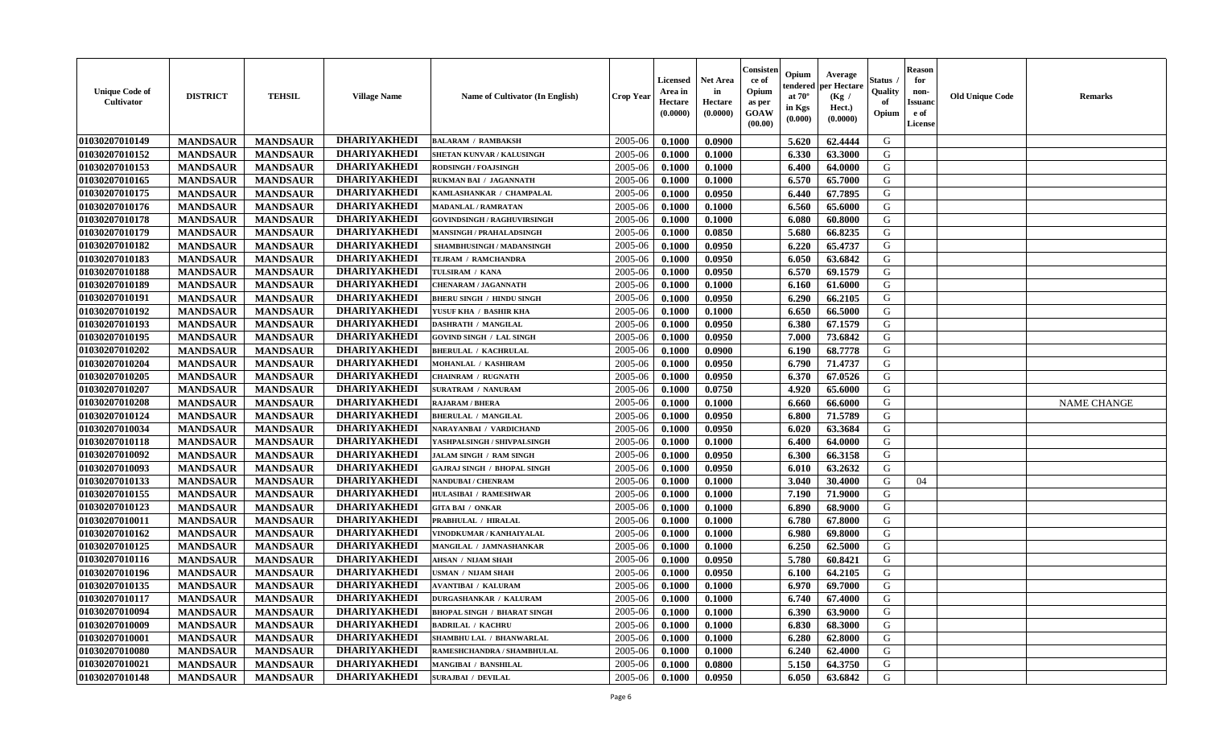| <b>Unique Code of</b><br><b>Cultivator</b> | <b>DISTRICT</b> | <b>TEHSIL</b>   | <b>Village Name</b> | Name of Cultivator (In English)    | <b>Crop Year</b> | <b>Licensed</b><br>Area in<br>Hectare<br>(0.0000) | <b>Net Area</b><br>in<br>Hectare<br>(0.0000) | Consisteı<br>ce of<br>Opium<br>as per<br><b>GOAW</b><br>(00.00) | Opium<br>endered<br>at $70^\circ$<br>in Kgs<br>$(\mathbf{0.000})$ | Average<br>per Hectare<br>(Kg /<br>Hect.)<br>(0.0000) | Status<br>Quality<br>of<br>Opium | Reason<br>for<br>non-<br>Issuan<br>e of<br>License | <b>Old Unique Code</b> | <b>Remarks</b>     |
|--------------------------------------------|-----------------|-----------------|---------------------|------------------------------------|------------------|---------------------------------------------------|----------------------------------------------|-----------------------------------------------------------------|-------------------------------------------------------------------|-------------------------------------------------------|----------------------------------|----------------------------------------------------|------------------------|--------------------|
| 01030207010149                             | <b>MANDSAUR</b> | <b>MANDSAUR</b> | <b>DHARIYAKHEDI</b> | <b>BALARAM / RAMBAKSH</b>          | 2005-06          | 0.1000                                            | 0.0900                                       |                                                                 | 5.620                                                             | 62.4444                                               | G                                |                                                    |                        |                    |
| 01030207010152                             | <b>MANDSAUR</b> | <b>MANDSAUR</b> | <b>DHARIYAKHEDI</b> | SHETAN KUNVAR / KALUSINGH          | 2005-06          | 0.1000                                            | 0.1000                                       |                                                                 | 6.330                                                             | 63.3000                                               | G                                |                                                    |                        |                    |
| 01030207010153                             | <b>MANDSAUR</b> | <b>MANDSAUR</b> | <b>DHARIYAKHEDI</b> | <b>RODSINGH / FOAJSINGH</b>        | 2005-06          | 0.1000                                            | 0.1000                                       |                                                                 | 6.400                                                             | 64.0000                                               | G                                |                                                    |                        |                    |
| 01030207010165                             | <b>MANDSAUR</b> | <b>MANDSAUR</b> | <b>DHARIYAKHEDI</b> | RUKMAN BAI / JAGANNATH             | 2005-06          | 0.1000                                            | 0.1000                                       |                                                                 | 6.570                                                             | 65.7000                                               | G                                |                                                    |                        |                    |
| 01030207010175                             | <b>MANDSAUR</b> | <b>MANDSAUR</b> | <b>DHARIYAKHEDI</b> | KAMLASHANKAR / CHAMPALAL           | 2005-06          | 0.1000                                            | 0.0950                                       |                                                                 | 6.440                                                             | 67.7895                                               | G                                |                                                    |                        |                    |
| 01030207010176                             | <b>MANDSAUR</b> | <b>MANDSAUR</b> | <b>DHARIYAKHEDI</b> | <b>MADANLAL / RAMRATAN</b>         | 2005-06          | 0.1000                                            | 0.1000                                       |                                                                 | 6.560                                                             | 65.6000                                               | G                                |                                                    |                        |                    |
| 01030207010178                             | <b>MANDSAUR</b> | <b>MANDSAUR</b> | <b>DHARIYAKHEDI</b> | <b>GOVINDSINGH / RAGHUVIRSINGH</b> | 2005-06          | 0.1000                                            | 0.1000                                       |                                                                 | 6.080                                                             | 60.8000                                               | G                                |                                                    |                        |                    |
| 01030207010179                             | <b>MANDSAUR</b> | <b>MANDSAUR</b> | <b>DHARIYAKHEDI</b> | <b>MANSINGH / PRAHALADSINGH</b>    | 2005-06          | 0.1000                                            | 0.0850                                       |                                                                 | 5.680                                                             | 66.8235                                               | G                                |                                                    |                        |                    |
| 01030207010182                             | <b>MANDSAUR</b> | <b>MANDSAUR</b> | <b>DHARIYAKHEDI</b> | SHAMBHUSINGH / MADANSINGH          | 2005-06          | 0.1000                                            | 0.0950                                       |                                                                 | 6.220                                                             | 65.4737                                               | G                                |                                                    |                        |                    |
| 01030207010183                             | <b>MANDSAUR</b> | <b>MANDSAUR</b> | <b>DHARIYAKHEDI</b> | TEJRAM / RAMCHANDRA                | 2005-06          | 0.1000                                            | 0.0950                                       |                                                                 | 6.050                                                             | 63.6842                                               | G                                |                                                    |                        |                    |
| 01030207010188                             | <b>MANDSAUR</b> | <b>MANDSAUR</b> | <b>DHARIYAKHEDI</b> | TULSIRAM / KANA                    | 2005-06          | 0.1000                                            | 0.0950                                       |                                                                 | 6.570                                                             | 69.1579                                               | G                                |                                                    |                        |                    |
| 01030207010189                             | <b>MANDSAUR</b> | <b>MANDSAUR</b> | <b>DHARIYAKHEDI</b> | <b>CHENARAM / JAGANNATH</b>        | 2005-06          | 0.1000                                            | 0.1000                                       |                                                                 | 6.160                                                             | 61.6000                                               | G                                |                                                    |                        |                    |
| 01030207010191                             | <b>MANDSAUR</b> | <b>MANDSAUR</b> | <b>DHARIYAKHEDI</b> | <b>BHERU SINGH / HINDU SINGH</b>   | 2005-06          | 0.1000                                            | 0.0950                                       |                                                                 | 6.290                                                             | 66.2105                                               | G                                |                                                    |                        |                    |
| 01030207010192                             | <b>MANDSAUR</b> | <b>MANDSAUR</b> | <b>DHARIYAKHEDI</b> | YUSUF KHA / BASHIR KHA             | 2005-06          | 0.1000                                            | 0.1000                                       |                                                                 | 6.650                                                             | 66.5000                                               | G                                |                                                    |                        |                    |
| 01030207010193                             | <b>MANDSAUR</b> | <b>MANDSAUR</b> | <b>DHARIYAKHEDI</b> | <b>DASHRATH / MANGILAL</b>         | 2005-06          | 0.1000                                            | 0.0950                                       |                                                                 | 6.380                                                             | 67.1579                                               | G                                |                                                    |                        |                    |
| 01030207010195                             | <b>MANDSAUR</b> | <b>MANDSAUR</b> | <b>DHARIYAKHEDI</b> | GOVIND SINGH / LAL SINGH           | 2005-06          | 0.1000                                            | 0.0950                                       |                                                                 | 7.000                                                             | 73.6842                                               | G                                |                                                    |                        |                    |
| 01030207010202                             | <b>MANDSAUR</b> | <b>MANDSAUR</b> | <b>DHARIYAKHEDI</b> | <b>BHERULAL / KACHRULAL</b>        | 2005-06          | 0.1000                                            | 0.0900                                       |                                                                 | 6.190                                                             | 68.7778                                               | G                                |                                                    |                        |                    |
| 01030207010204                             | <b>MANDSAUR</b> | <b>MANDSAUR</b> | <b>DHARIYAKHEDI</b> | MOHANLAL / KASHIRAM                | 2005-06          | 0.1000                                            | 0.0950                                       |                                                                 | 6.790                                                             | 71.4737                                               | G                                |                                                    |                        |                    |
| 01030207010205                             | <b>MANDSAUR</b> | <b>MANDSAUR</b> | <b>DHARIYAKHEDI</b> | <b>CHAINRAM / RUGNATH</b>          | 2005-06          | 0.1000                                            | 0.0950                                       |                                                                 | 6.370                                                             | 67.0526                                               | G                                |                                                    |                        |                    |
| 01030207010207                             | <b>MANDSAUR</b> | <b>MANDSAUR</b> | <b>DHARIYAKHEDI</b> | <b>SURATRAM / NANURAM</b>          | 2005-06          | 0.1000                                            | 0.0750                                       |                                                                 | 4.920                                                             | 65.6000                                               | G                                |                                                    |                        |                    |
| 01030207010208                             | <b>MANDSAUR</b> | <b>MANDSAUR</b> | <b>DHARIYAKHEDI</b> | <b>RAJARAM / BHERA</b>             | 2005-06          | 0.1000                                            | 0.1000                                       |                                                                 | 6.660                                                             | 66.6000                                               | G                                |                                                    |                        | <b>NAME CHANGE</b> |
| 01030207010124                             | <b>MANDSAUR</b> | <b>MANDSAUR</b> | <b>DHARIYAKHEDI</b> | <b>BHERULAL / MANGILAL</b>         | 2005-06          | 0.1000                                            | 0.0950                                       |                                                                 | 6.800                                                             | 71.5789                                               | G                                |                                                    |                        |                    |
| 01030207010034                             | <b>MANDSAUR</b> | <b>MANDSAUR</b> | <b>DHARIYAKHEDI</b> | NARAYANBAI / VARDICHAND            | 2005-06          | 0.1000                                            | 0.0950                                       |                                                                 | 6.020                                                             | 63.3684                                               | G                                |                                                    |                        |                    |
| 01030207010118                             | <b>MANDSAUR</b> | <b>MANDSAUR</b> | <b>DHARIYAKHEDI</b> | YASHPALSINGH / SHIVPALSINGH        | 2005-06          | 0.1000                                            | 0.1000                                       |                                                                 | 6.400                                                             | 64.0000                                               | G                                |                                                    |                        |                    |
| 01030207010092                             | <b>MANDSAUR</b> | <b>MANDSAUR</b> | <b>DHARIYAKHEDI</b> | <b>JALAM SINGH / RAM SINGH</b>     | 2005-06          | 0.1000                                            | 0.0950                                       |                                                                 | 6.300                                                             | 66.3158                                               | G                                |                                                    |                        |                    |
| 01030207010093                             | <b>MANDSAUR</b> | <b>MANDSAUR</b> | <b>DHARIYAKHEDI</b> | <b>GAJRAJ SINGH / BHOPAL SINGH</b> | 2005-06          | 0.1000                                            | 0.0950                                       |                                                                 | 6.010                                                             | 63.2632                                               | G                                |                                                    |                        |                    |
| 01030207010133                             | <b>MANDSAUR</b> | <b>MANDSAUR</b> | <b>DHARIYAKHEDI</b> | <b>NANDUBAI/CHENRAM</b>            | 2005-06          | 0.1000                                            | 0.1000                                       |                                                                 | 3.040                                                             | 30.4000                                               | G                                | 04                                                 |                        |                    |
| 01030207010155                             | <b>MANDSAUR</b> | <b>MANDSAUR</b> | <b>DHARIYAKHEDI</b> | <b>HULASIBAI / RAMESHWAR</b>       | 2005-06          | 0.1000                                            | 0.1000                                       |                                                                 | 7.190                                                             | 71.9000                                               | G                                |                                                    |                        |                    |
| 01030207010123                             | <b>MANDSAUR</b> | <b>MANDSAUR</b> | <b>DHARIYAKHEDI</b> | <b>GITA BAI / ONKAR</b>            | 2005-06          | 0.1000                                            | 0.1000                                       |                                                                 | 6.890                                                             | 68.9000                                               | G                                |                                                    |                        |                    |
| 01030207010011                             | <b>MANDSAUR</b> | <b>MANDSAUR</b> | <b>DHARIYAKHEDI</b> | PRABHULAL / HIRALAL                | 2005-06          | 0.1000                                            | 0.1000                                       |                                                                 | 6.780                                                             | 67.8000                                               | G                                |                                                    |                        |                    |
| 01030207010162                             | <b>MANDSAUR</b> | <b>MANDSAUR</b> | <b>DHARIYAKHEDI</b> | VINODKUMAR / KANHAIYALAL           | 2005-06          | 0.1000                                            | 0.1000                                       |                                                                 | 6.980                                                             | 69.8000                                               | G                                |                                                    |                        |                    |
| 01030207010125                             | <b>MANDSAUR</b> | <b>MANDSAUR</b> | <b>DHARIYAKHEDI</b> | MANGILAL / JAMNASHANKAR            | 2005-06          | 0.1000                                            | 0.1000                                       |                                                                 | 6.250                                                             | 62.5000                                               | G                                |                                                    |                        |                    |
| 01030207010116                             | <b>MANDSAUR</b> | <b>MANDSAUR</b> | <b>DHARIYAKHEDI</b> | AHSAN / NIJAM SHAH                 | 2005-06          | 0.1000                                            | 0.0950                                       |                                                                 | 5.780                                                             | 60.8421                                               | G                                |                                                    |                        |                    |
| 01030207010196                             | <b>MANDSAUR</b> | <b>MANDSAUR</b> | <b>DHARIYAKHEDI</b> | <b>JSMAN / NIJAM SHAH</b>          | 2005-06          | 0.1000                                            | 0.0950                                       |                                                                 | 6.100                                                             | 64.2105                                               | G                                |                                                    |                        |                    |
| 01030207010135                             | <b>MANDSAUR</b> | <b>MANDSAUR</b> | <b>DHARIYAKHEDI</b> | AVANTIBAI / KALURAM                | 2005-06          | 0.1000                                            | 0.1000                                       |                                                                 | 6.970                                                             | 69.7000                                               | G                                |                                                    |                        |                    |
| 01030207010117                             | <b>MANDSAUR</b> | <b>MANDSAUR</b> | <b>DHARIYAKHEDI</b> | <b>DURGASHANKAR / KALURAM</b>      | $2005 - 06$      | 0.1000                                            | 0.1000                                       |                                                                 |                                                                   | $6.740 \pm 67.4000$                                   | G                                |                                                    |                        |                    |
| 01030207010094                             | <b>MANDSAUR</b> | <b>MANDSAUR</b> | <b>DHARIYAKHEDI</b> | <b>BHOPAL SINGH / BHARAT SINGH</b> | 2005-06          | 0.1000                                            | 0.1000                                       |                                                                 | 6.390                                                             | 63.9000                                               | G                                |                                                    |                        |                    |
| 01030207010009                             | <b>MANDSAUR</b> | <b>MANDSAUR</b> | <b>DHARIYAKHEDI</b> | <b>BADRILAL / KACHRU</b>           | 2005-06          | 0.1000                                            | 0.1000                                       |                                                                 | 6.830                                                             | 68.3000                                               | G                                |                                                    |                        |                    |
| 01030207010001                             | <b>MANDSAUR</b> | <b>MANDSAUR</b> | <b>DHARIYAKHEDI</b> | SHAMBHU LAL / BHANWARLAL           | 2005-06          | 0.1000                                            | 0.1000                                       |                                                                 | 6.280                                                             | 62.8000                                               | G                                |                                                    |                        |                    |
| 01030207010080                             | <b>MANDSAUR</b> | <b>MANDSAUR</b> | <b>DHARIYAKHEDI</b> | RAMESHCHANDRA / SHAMBHULAL         | 2005-06          | 0.1000                                            | 0.1000                                       |                                                                 | 6.240                                                             | 62.4000                                               | G                                |                                                    |                        |                    |
| 01030207010021                             | <b>MANDSAUR</b> | <b>MANDSAUR</b> | <b>DHARIYAKHEDI</b> | <b>MANGIBAI / BANSHILAL</b>        | 2005-06          | 0.1000                                            | 0.0800                                       |                                                                 | 5.150                                                             | 64.3750                                               | G                                |                                                    |                        |                    |
| 01030207010148                             | <b>MANDSAUR</b> | <b>MANDSAUR</b> | <b>DHARIYAKHEDI</b> | <b>SURAJBAI / DEVILAL</b>          | 2005-06          | 0.1000                                            | 0.0950                                       |                                                                 | 6.050                                                             | 63.6842                                               | G                                |                                                    |                        |                    |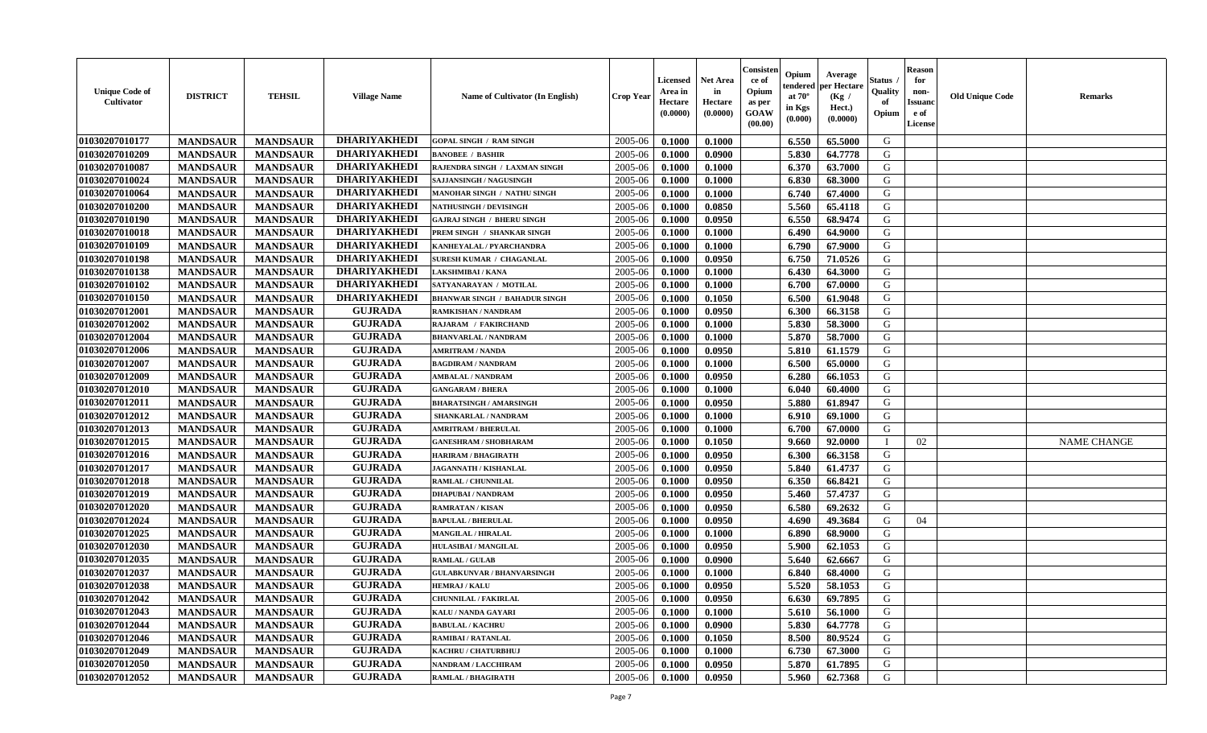| <b>Unique Code of</b><br><b>Cultivator</b> | <b>DISTRICT</b> | <b>TEHSIL</b>   | <b>Village Name</b> | Name of Cultivator (In English)      | <b>Crop Year</b> | <b>Licensed</b><br>Area in<br>Hectare<br>(0.0000) | <b>Net Area</b><br>in<br>Hectare<br>(0.0000) | Consisteı<br>ce of<br>Opium<br>as per<br><b>GOAW</b><br>(00.00) | Opium<br>endered<br>at $70^\circ$<br>in Kgs<br>$(\mathbf{0.000})$ | Average<br>per Hectare<br>(Kg /<br>Hect.)<br>(0.0000) | Status<br>Quality<br>of<br>Opium | Reason<br>for<br>non-<br>Issuan<br>e of<br>License | <b>Old Unique Code</b> | <b>Remarks</b>     |
|--------------------------------------------|-----------------|-----------------|---------------------|--------------------------------------|------------------|---------------------------------------------------|----------------------------------------------|-----------------------------------------------------------------|-------------------------------------------------------------------|-------------------------------------------------------|----------------------------------|----------------------------------------------------|------------------------|--------------------|
| 01030207010177                             | <b>MANDSAUR</b> | <b>MANDSAUR</b> | <b>DHARIYAKHEDI</b> | <b>GOPAL SINGH / RAM SINGH</b>       | 2005-06          | 0.1000                                            | 0.1000                                       |                                                                 | 6.550                                                             | 65.5000                                               | G                                |                                                    |                        |                    |
| 01030207010209                             | <b>MANDSAUR</b> | <b>MANDSAUR</b> | <b>DHARIYAKHEDI</b> | <b>BANOBEE / BASHIR</b>              | 2005-06          | 0.1000                                            | 0.0900                                       |                                                                 | 5.830                                                             | 64.7778                                               | G                                |                                                    |                        |                    |
| 01030207010087                             | <b>MANDSAUR</b> | <b>MANDSAUR</b> | <b>DHARIYAKHEDI</b> | RAJENDRA SINGH / LAXMAN SINGH        | 2005-06          | 0.1000                                            | 0.1000                                       |                                                                 | 6.370                                                             | 63.7000                                               | G                                |                                                    |                        |                    |
| 01030207010024                             | <b>MANDSAUR</b> | <b>MANDSAUR</b> | <b>DHARIYAKHEDI</b> | SAJJANSINGH / NAGUSINGH              | 2005-06          | 0.1000                                            | 0.1000                                       |                                                                 | 6.830                                                             | 68.3000                                               | G                                |                                                    |                        |                    |
| 01030207010064                             | <b>MANDSAUR</b> | <b>MANDSAUR</b> | <b>DHARIYAKHEDI</b> | <b>MANOHAR SINGH / NATHU SINGH</b>   | 2005-06          | 0.1000                                            | 0.1000                                       |                                                                 | 6.740                                                             | 67.4000                                               | G                                |                                                    |                        |                    |
| 01030207010200                             | <b>MANDSAUR</b> | <b>MANDSAUR</b> | <b>DHARIYAKHEDI</b> | <b>NATHUSINGH / DEVISINGH</b>        | 2005-06          | 0.1000                                            | 0.0850                                       |                                                                 | 5.560                                                             | 65.4118                                               | G                                |                                                    |                        |                    |
| 01030207010190                             | <b>MANDSAUR</b> | <b>MANDSAUR</b> | <b>DHARIYAKHEDI</b> | <b>GAJRAJ SINGH / BHERU SINGH</b>    | 2005-06          | 0.1000                                            | 0.0950                                       |                                                                 | 6.550                                                             | 68.9474                                               | G                                |                                                    |                        |                    |
| 01030207010018                             | <b>MANDSAUR</b> | <b>MANDSAUR</b> | <b>DHARIYAKHEDI</b> | PREM SINGH / SHANKAR SINGH           | 2005-06          | 0.1000                                            | 0.1000                                       |                                                                 | 6.490                                                             | 64.9000                                               | G                                |                                                    |                        |                    |
| 01030207010109                             | <b>MANDSAUR</b> | <b>MANDSAUR</b> | <b>DHARIYAKHEDI</b> | KANHEYALAL / PYARCHANDRA             | 2005-06          | 0.1000                                            | 0.1000                                       |                                                                 | 6.790                                                             | 67.9000                                               | G                                |                                                    |                        |                    |
| 01030207010198                             | <b>MANDSAUR</b> | <b>MANDSAUR</b> | <b>DHARIYAKHEDI</b> | SURESH KUMAR / CHAGANLAL             | 2005-06          | 0.1000                                            | 0.0950                                       |                                                                 | 6.750                                                             | 71.0526                                               | G                                |                                                    |                        |                    |
| 01030207010138                             | <b>MANDSAUR</b> | <b>MANDSAUR</b> | <b>DHARIYAKHEDI</b> | AKSHMIBAI / KANA                     | 2005-06          | 0.1000                                            | 0.1000                                       |                                                                 | 6.430                                                             | 64.3000                                               | G                                |                                                    |                        |                    |
| 01030207010102                             | <b>MANDSAUR</b> | <b>MANDSAUR</b> | <b>DHARIYAKHEDI</b> | SATYANARAYAN / MOTILAL               | 2005-06          | 0.1000                                            | 0.1000                                       |                                                                 | 6.700                                                             | 67.0000                                               | G                                |                                                    |                        |                    |
| 01030207010150                             | <b>MANDSAUR</b> | <b>MANDSAUR</b> | <b>DHARIYAKHEDI</b> | <b>BHANWAR SINGH / BAHADUR SINGH</b> | 2005-06          | 0.1000                                            | 0.1050                                       |                                                                 | 6.500                                                             | 61.9048                                               | G                                |                                                    |                        |                    |
| 01030207012001                             | <b>MANDSAUR</b> | <b>MANDSAUR</b> | <b>GUJRADA</b>      | RAMKISHAN / NANDRAM                  | 2005-06          | 0.1000                                            | 0.0950                                       |                                                                 | 6.300                                                             | 66.3158                                               | G                                |                                                    |                        |                    |
| 01030207012002                             | <b>MANDSAUR</b> | <b>MANDSAUR</b> | <b>GUJRADA</b>      | <b>RAJARAM / FAKIRCHAND</b>          | 2005-06          | 0.1000                                            | 0.1000                                       |                                                                 | 5.830                                                             | 58.3000                                               | G                                |                                                    |                        |                    |
| 01030207012004                             | <b>MANDSAUR</b> | <b>MANDSAUR</b> | <b>GUJRADA</b>      | <b>BHANVARLAL / NANDRAM</b>          | 2005-06          | 0.1000                                            | 0.1000                                       |                                                                 | 5.870                                                             | 58.7000                                               | G                                |                                                    |                        |                    |
| 01030207012006                             | <b>MANDSAUR</b> | <b>MANDSAUR</b> | <b>GUJRADA</b>      | <b>AMRITRAM / NANDA</b>              | 2005-06          | 0.1000                                            | 0.0950                                       |                                                                 | 5.810                                                             | 61.1579                                               | G                                |                                                    |                        |                    |
| 01030207012007                             | <b>MANDSAUR</b> | <b>MANDSAUR</b> | <b>GUJRADA</b>      | <b>BAGDIRAM / NANDRAM</b>            | 2005-06          | 0.1000                                            | 0.1000                                       |                                                                 | 6.500                                                             | 65.0000                                               | G                                |                                                    |                        |                    |
| 01030207012009                             | <b>MANDSAUR</b> | <b>MANDSAUR</b> | <b>GUJRADA</b>      | <b>AMBALAL / NANDRAM</b>             | 2005-06          | 0.1000                                            | 0.0950                                       |                                                                 | 6.280                                                             | 66.1053                                               | G                                |                                                    |                        |                    |
| 01030207012010                             | <b>MANDSAUR</b> | <b>MANDSAUR</b> | <b>GUJRADA</b>      | <b>GANGARAM / BHERA</b>              | 2005-06          | 0.1000                                            | 0.1000                                       |                                                                 | 6.040                                                             | 60.4000                                               | G                                |                                                    |                        |                    |
| 01030207012011                             | <b>MANDSAUR</b> | <b>MANDSAUR</b> | <b>GUJRADA</b>      | <b>BHARATSINGH / AMARSINGH</b>       | 2005-06          | 0.1000                                            | 0.0950                                       |                                                                 | 5.880                                                             | 61.8947                                               | G                                |                                                    |                        |                    |
| 01030207012012                             | <b>MANDSAUR</b> | <b>MANDSAUR</b> | <b>GUJRADA</b>      | SHANKARLAL / NANDRAM                 | 2005-06          | 0.1000                                            | 0.1000                                       |                                                                 | 6.910                                                             | 69.1000                                               | G                                |                                                    |                        |                    |
| 01030207012013                             | <b>MANDSAUR</b> | <b>MANDSAUR</b> | <b>GUJRADA</b>      | <b>AMRITRAM / BHERULAL</b>           | 2005-06          | 0.1000                                            | 0.1000                                       |                                                                 | 6.700                                                             | 67.0000                                               | G                                |                                                    |                        |                    |
| 01030207012015                             | <b>MANDSAUR</b> | <b>MANDSAUR</b> | <b>GUJRADA</b>      | <b>GANESHRAM / SHOBHARAM</b>         | 2005-06          | 0.1000                                            | 0.1050                                       |                                                                 | 9.660                                                             | 92.0000                                               | $\blacksquare$                   | 02                                                 |                        | <b>NAME CHANGE</b> |
| 01030207012016                             | <b>MANDSAUR</b> | <b>MANDSAUR</b> | <b>GUJRADA</b>      | <b>HARIRAM / BHAGIRATH</b>           | 2005-06          | 0.1000                                            | 0.0950                                       |                                                                 | 6.300                                                             | 66.3158                                               | G                                |                                                    |                        |                    |
| 01030207012017                             | <b>MANDSAUR</b> | <b>MANDSAUR</b> | <b>GUJRADA</b>      | <b>JAGANNATH / KISHANLAL</b>         | 2005-06          | 0.1000                                            | 0.0950                                       |                                                                 | 5.840                                                             | 61.4737                                               | G                                |                                                    |                        |                    |
| 01030207012018                             | <b>MANDSAUR</b> | <b>MANDSAUR</b> | <b>GUJRADA</b>      | RAMLAL / CHUNNILAL                   | 2005-06          | 0.1000                                            | 0.0950                                       |                                                                 | 6.350                                                             | 66.8421                                               | G                                |                                                    |                        |                    |
| 01030207012019                             | <b>MANDSAUR</b> | <b>MANDSAUR</b> | <b>GUJRADA</b>      | <b>DHAPUBAI/NANDRAM</b>              | 2005-06          | 0.1000                                            | 0.0950                                       |                                                                 | 5.460                                                             | 57,4737                                               | G                                |                                                    |                        |                    |
| 01030207012020                             | <b>MANDSAUR</b> | <b>MANDSAUR</b> | <b>GUJRADA</b>      | <b>RAMRATAN / KISAN</b>              | 2005-06          | 0.1000                                            | 0.0950                                       |                                                                 | 6.580                                                             | 69.2632                                               | G                                |                                                    |                        |                    |
| 01030207012024                             | <b>MANDSAUR</b> | <b>MANDSAUR</b> | <b>GUJRADA</b>      | <b>BAPULAL / BHERULAL</b>            | 2005-06          | 0.1000                                            | 0.0950                                       |                                                                 | 4.690                                                             | 49.3684                                               | G                                | 04                                                 |                        |                    |
| 01030207012025                             | <b>MANDSAUR</b> | <b>MANDSAUR</b> | <b>GUJRADA</b>      | <b>MANGILAL / HIRALAL</b>            | 2005-06          | 0.1000                                            | 0.1000                                       |                                                                 | 6.890                                                             | 68.9000                                               | G                                |                                                    |                        |                    |
| 01030207012030                             | <b>MANDSAUR</b> | <b>MANDSAUR</b> | <b>GUJRADA</b>      | HULASIBAI / MANGILAL                 | 2005-06          | 0.1000                                            | 0.0950                                       |                                                                 | 5.900                                                             | 62.1053                                               | G                                |                                                    |                        |                    |
| 01030207012035                             | <b>MANDSAUR</b> | <b>MANDSAUR</b> | <b>GUJRADA</b>      | <b>RAMLAL / GULAB</b>                | 2005-06          | 0.1000                                            | 0.0900                                       |                                                                 | 5.640                                                             | 62.6667                                               | G                                |                                                    |                        |                    |
| 01030207012037                             | <b>MANDSAUR</b> | <b>MANDSAUR</b> | <b>GUJRADA</b>      | <b>GULABKUNVAR / BHANVARSINGH</b>    | 2005-06          | 0.1000                                            | 0.1000                                       |                                                                 | 6.840                                                             | 68.4000                                               | G                                |                                                    |                        |                    |
| 01030207012038                             | <b>MANDSAUR</b> | <b>MANDSAUR</b> | <b>GUJRADA</b>      | <b>HEMRAJ / KALU</b>                 | 2005-06          | 0.1000                                            | 0.0950                                       |                                                                 | 5.520                                                             | 58.1053                                               | G                                |                                                    |                        |                    |
| <b>01030207012042</b>                      | <b>MANDSAUR</b> | <b>MANDSAUR</b> | <b>GUJRADA</b>      | <b>CHUNNILAL / FAKIRLAL</b>          | $2005 - 06$      | 0.1000                                            | 0.0950                                       |                                                                 | 6.630                                                             | 69.7895                                               | G                                |                                                    |                        |                    |
| 01030207012043                             | <b>MANDSAUR</b> | <b>MANDSAUR</b> | <b>GUJRADA</b>      | KALU / NANDA GAYARI                  | 2005-06          | 0.1000                                            | 0.1000                                       |                                                                 | 5.610                                                             | 56.1000                                               | G                                |                                                    |                        |                    |
| 01030207012044                             | <b>MANDSAUR</b> | <b>MANDSAUR</b> | <b>GUJRADA</b>      | <b>BABULAL / KACHRU</b>              | 2005-06          | 0.1000                                            | 0.0900                                       |                                                                 | 5.830                                                             | 64.7778                                               | G                                |                                                    |                        |                    |
| 01030207012046                             | <b>MANDSAUR</b> | <b>MANDSAUR</b> | <b>GUJRADA</b>      | <b>RAMIBAI/RATANLAL</b>              | 2005-06          | 0.1000                                            | 0.1050                                       |                                                                 | 8.500                                                             | 80.9524                                               | G                                |                                                    |                        |                    |
| 01030207012049                             | <b>MANDSAUR</b> | <b>MANDSAUR</b> | <b>GUJRADA</b>      | KACHRU / CHATURBHUJ                  | 2005-06          | 0.1000                                            | 0.1000                                       |                                                                 | 6.730                                                             | 67.3000                                               | G                                |                                                    |                        |                    |
| 01030207012050                             | <b>MANDSAUR</b> | <b>MANDSAUR</b> | <b>GUJRADA</b>      | <b>NANDRAM / LACCHIRAM</b>           | 2005-06          | 0.1000                                            | 0.0950                                       |                                                                 | 5.870                                                             | 61.7895                                               | G                                |                                                    |                        |                    |
| 01030207012052                             | <b>MANDSAUR</b> | <b>MANDSAUR</b> | <b>GUJRADA</b>      | <b>RAMLAL / BHAGIRATH</b>            | 2005-06          | 0.1000                                            | 0.0950                                       |                                                                 | 5.960                                                             | 62.7368                                               | G                                |                                                    |                        |                    |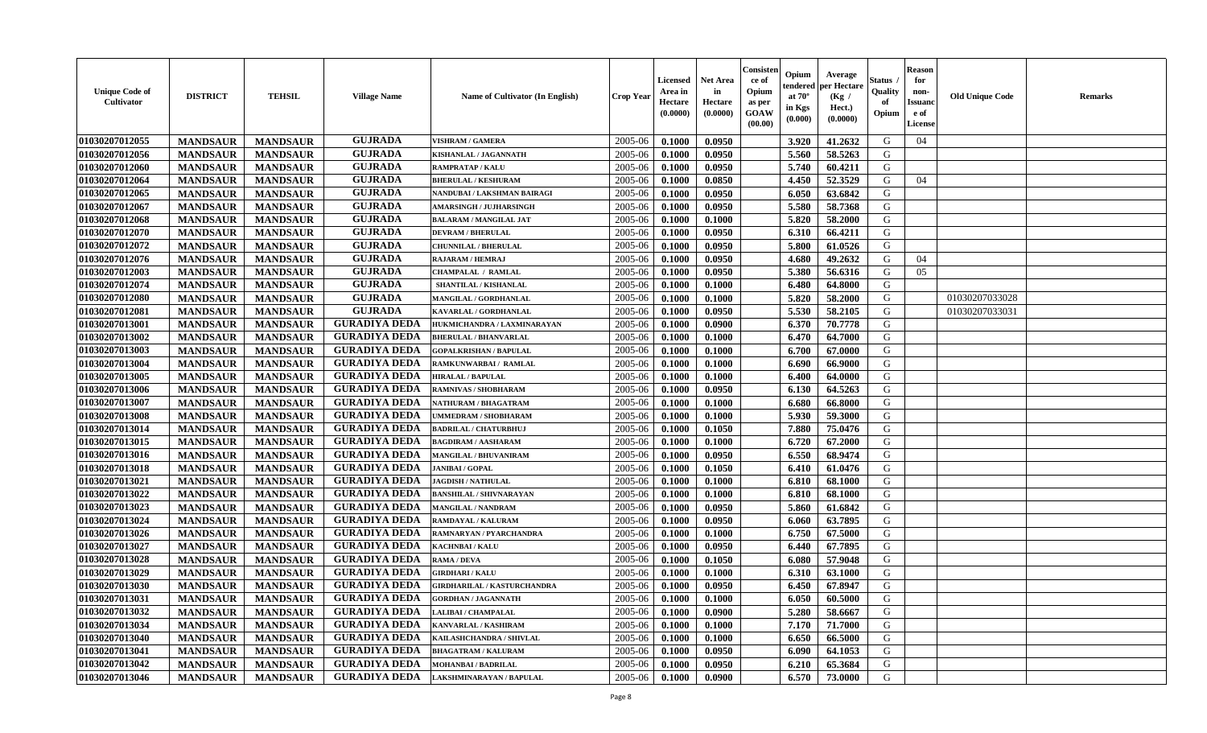| <b>Unique Code of</b><br><b>Cultivator</b> | <b>DISTRICT</b> | <b>TEHSIL</b>   | <b>Village Name</b>  | Name of Cultivator (In English)    | <b>Crop Year</b> | <b>Licensed</b><br>Area in<br>Hectare<br>(0.0000) | <b>Net Area</b><br>in<br>Hectare<br>(0.0000) | Consisteı<br>ce of<br>Opium<br>as per<br><b>GOAW</b><br>(00.00) | Opium<br>endered<br>at $70^\circ$<br>in Kgs<br>$(\mathbf{0.000})$ | Average<br>per Hectare<br>(Kg /<br>Hect.)<br>(0.0000) | Status<br>Quality<br>of<br>Opium | Reason<br>for<br>non-<br>Issuan<br>e of<br>License | <b>Old Unique Code</b> | <b>Remarks</b> |
|--------------------------------------------|-----------------|-----------------|----------------------|------------------------------------|------------------|---------------------------------------------------|----------------------------------------------|-----------------------------------------------------------------|-------------------------------------------------------------------|-------------------------------------------------------|----------------------------------|----------------------------------------------------|------------------------|----------------|
| 01030207012055                             | <b>MANDSAUR</b> | <b>MANDSAUR</b> | <b>GUJRADA</b>       | <b>VISHRAM / GAMERA</b>            | 2005-06          | 0.1000                                            | 0.0950                                       |                                                                 | 3.920                                                             | 41.2632                                               | G                                | 04                                                 |                        |                |
| 01030207012056                             | <b>MANDSAUR</b> | <b>MANDSAUR</b> | <b>GUJRADA</b>       | KISHANLAL / JAGANNATH              | 2005-06          | 0.1000                                            | 0.0950                                       |                                                                 | 5.560                                                             | 58.5263                                               | G                                |                                                    |                        |                |
| 01030207012060                             | <b>MANDSAUR</b> | <b>MANDSAUR</b> | <b>GUJRADA</b>       | <b>RAMPRATAP / KALU</b>            | 2005-06          | 0.1000                                            | 0.0950                                       |                                                                 | 5.740                                                             | 60.4211                                               | G                                |                                                    |                        |                |
| 01030207012064                             | <b>MANDSAUR</b> | <b>MANDSAUR</b> | <b>GUJRADA</b>       | <b>BHERULAL / KESHURAM</b>         | 2005-06          | 0.1000                                            | 0.0850                                       |                                                                 | 4.450                                                             | 52.3529                                               | G                                | 04                                                 |                        |                |
| 01030207012065                             | <b>MANDSAUR</b> | <b>MANDSAUR</b> | <b>GUJRADA</b>       | NANDUBAI / LAKSHMAN BAIRAGI        | 2005-06          | 0.1000                                            | 0.0950                                       |                                                                 | 6.050                                                             | 63.6842                                               | G                                |                                                    |                        |                |
| 01030207012067                             | <b>MANDSAUR</b> | <b>MANDSAUR</b> | <b>GUJRADA</b>       | <b>AMARSINGH / JUJHARSINGH</b>     | 2005-06          | 0.1000                                            | 0.0950                                       |                                                                 | 5.580                                                             | 58.7368                                               | G                                |                                                    |                        |                |
| 01030207012068                             | <b>MANDSAUR</b> | <b>MANDSAUR</b> | <b>GUJRADA</b>       | <b>BALARAM / MANGILAL JAT</b>      | 2005-06          | 0.1000                                            | 0.1000                                       |                                                                 | 5.820                                                             | 58.2000                                               | G                                |                                                    |                        |                |
| 01030207012070                             | <b>MANDSAUR</b> | <b>MANDSAUR</b> | <b>GUJRADA</b>       | <b>DEVRAM / BHERULAL</b>           | 2005-06          | 0.1000                                            | 0.0950                                       |                                                                 | 6.310                                                             | 66.4211                                               | G                                |                                                    |                        |                |
| 01030207012072                             | <b>MANDSAUR</b> | <b>MANDSAUR</b> | <b>GUJRADA</b>       | <b>CHUNNILAL / BHERULAL</b>        | 2005-06          | 0.1000                                            | 0.0950                                       |                                                                 | 5.800                                                             | 61.0526                                               | G                                |                                                    |                        |                |
| 01030207012076                             | <b>MANDSAUR</b> | <b>MANDSAUR</b> | <b>GUJRADA</b>       | RAJARAM / HEMRAJ                   | 2005-06          | 0.1000                                            | 0.0950                                       |                                                                 | 4.680                                                             | 49.2632                                               | G                                | 04                                                 |                        |                |
| 01030207012003                             | <b>MANDSAUR</b> | <b>MANDSAUR</b> | <b>GUJRADA</b>       | CHAMPALAL / RAMLAL                 | 2005-06          | 0.1000                                            | 0.0950                                       |                                                                 | 5.380                                                             | 56.6316                                               | G                                | 05                                                 |                        |                |
| 01030207012074                             | <b>MANDSAUR</b> | <b>MANDSAUR</b> | <b>GUJRADA</b>       | SHANTILAL / KISHANLAL              | 2005-06          | 0.1000                                            | 0.1000                                       |                                                                 | 6.480                                                             | 64.8000                                               | G                                |                                                    |                        |                |
| 01030207012080                             | <b>MANDSAUR</b> | <b>MANDSAUR</b> | <b>GUJRADA</b>       | MANGILAL / GORDHANLAL              | 2005-06          | 0.1000                                            | 0.1000                                       |                                                                 | 5.820                                                             | 58.2000                                               | G                                |                                                    | 01030207033028         |                |
| 01030207012081                             | <b>MANDSAUR</b> | <b>MANDSAUR</b> | <b>GUJRADA</b>       | KAVARLAL / GORDHANLAL              | 2005-06          | 0.1000                                            | 0.0950                                       |                                                                 | 5.530                                                             | 58.2105                                               | G                                |                                                    | 01030207033031         |                |
| 01030207013001                             | <b>MANDSAUR</b> | <b>MANDSAUR</b> | <b>GURADIYA DEDA</b> | HUKMICHANDRA / LAXMINARAYAN        | 2005-06          | 0.1000                                            | 0.0900                                       |                                                                 | 6.370                                                             | 70.7778                                               | G                                |                                                    |                        |                |
| 01030207013002                             | <b>MANDSAUR</b> | <b>MANDSAUR</b> | <b>GURADIYA DEDA</b> | <b>BHERULAL / BHANVARLAL</b>       | 2005-06          | 0.1000                                            | 0.1000                                       |                                                                 | 6.470                                                             | 64.7000                                               | G                                |                                                    |                        |                |
| 01030207013003                             | <b>MANDSAUR</b> | <b>MANDSAUR</b> | <b>GURADIYA DEDA</b> | <b>GOPALKRISHAN / BAPULAL</b>      | 2005-06          | 0.1000                                            | 0.1000                                       |                                                                 | 6.700                                                             | 67.0000                                               | G                                |                                                    |                        |                |
| 01030207013004                             | <b>MANDSAUR</b> | <b>MANDSAUR</b> | <b>GURADIYA DEDA</b> | RAMKUNWARBAI / RAMLAL              | 2005-06          | 0.1000                                            | 0.1000                                       |                                                                 | 6.690                                                             | 66.9000                                               | G                                |                                                    |                        |                |
| 01030207013005                             | <b>MANDSAUR</b> | <b>MANDSAUR</b> | <b>GURADIYA DEDA</b> | <b>HIRALAL / BAPULAL</b>           | 2005-06          | 0.1000                                            | 0.1000                                       |                                                                 | 6.400                                                             | 64.0000                                               | G                                |                                                    |                        |                |
| 01030207013006                             | <b>MANDSAUR</b> | <b>MANDSAUR</b> | <b>GURADIYA DEDA</b> | RAMNIVAS / SHOBHARAM               | 2005-06          | 0.1000                                            | 0.0950                                       |                                                                 | 6.130                                                             | 64.5263                                               | G                                |                                                    |                        |                |
| 01030207013007                             | <b>MANDSAUR</b> | <b>MANDSAUR</b> | <b>GURADIYA DEDA</b> | NATHURAM / BHAGATRAM               | 2005-06          | 0.1000                                            | 0.1000                                       |                                                                 | 6.680                                                             | 66.8000                                               | G                                |                                                    |                        |                |
| 01030207013008                             | <b>MANDSAUR</b> | <b>MANDSAUR</b> | <b>GURADIYA DEDA</b> | <b>JMMEDRAM / SHOBHARAM</b>        | 2005-06          | 0.1000                                            | 0.1000                                       |                                                                 | 5.930                                                             | 59.3000                                               | G                                |                                                    |                        |                |
| 01030207013014                             | <b>MANDSAUR</b> | <b>MANDSAUR</b> | <b>GURADIYA DEDA</b> | <b>BADRILAL / CHATURBHUJ</b>       | 2005-06          | 0.1000                                            | 0.1050                                       |                                                                 | 7.880                                                             | 75.0476                                               | G                                |                                                    |                        |                |
| 01030207013015                             | <b>MANDSAUR</b> | <b>MANDSAUR</b> | <b>GURADIYA DEDA</b> | <b>BAGDIRAM / AASHARAM</b>         | 2005-06          | 0.1000                                            | 0.1000                                       |                                                                 | 6.720                                                             | 67.2000                                               | G                                |                                                    |                        |                |
| 01030207013016                             | <b>MANDSAUR</b> | <b>MANDSAUR</b> | <b>GURADIYA DEDA</b> | <b>MANGILAL / BHUVANIRAM</b>       | 2005-06          | 0.1000                                            | 0.0950                                       |                                                                 | 6.550                                                             | 68.9474                                               | G                                |                                                    |                        |                |
| 01030207013018                             | <b>MANDSAUR</b> | <b>MANDSAUR</b> | <b>GURADIYA DEDA</b> | <b>JANIBAI/GOPAL</b>               | 2005-06          | 0.1000                                            | 0.1050                                       |                                                                 | 6.410                                                             | 61.0476                                               | G                                |                                                    |                        |                |
| 01030207013021                             | <b>MANDSAUR</b> | <b>MANDSAUR</b> | <b>GURADIYA DEDA</b> | <b>JAGDISH / NATHULAL</b>          | 2005-06          | 0.1000                                            | 0.1000                                       |                                                                 | 6.810                                                             | 68.1000                                               | G                                |                                                    |                        |                |
| 01030207013022                             | <b>MANDSAUR</b> | <b>MANDSAUR</b> | <b>GURADIYA DEDA</b> | <b>BANSHILAL / SHIVNARAYAN</b>     | 2005-06          | 0.1000                                            | 0.1000                                       |                                                                 | 6.810                                                             | 68.1000                                               | G                                |                                                    |                        |                |
| 01030207013023                             | <b>MANDSAUR</b> | <b>MANDSAUR</b> | <b>GURADIYA DEDA</b> | <b>MANGILAL / NANDRAM</b>          | 2005-06          | 0.1000                                            | 0.0950                                       |                                                                 | 5.860                                                             | 61.6842                                               | G                                |                                                    |                        |                |
| 01030207013024                             | <b>MANDSAUR</b> | <b>MANDSAUR</b> | <b>GURADIYA DEDA</b> | RAMDAYAL / KALURAM                 | 2005-06          | 0.1000                                            | 0.0950                                       |                                                                 | 6.060                                                             | 63.7895                                               | G                                |                                                    |                        |                |
| 01030207013026                             | <b>MANDSAUR</b> | <b>MANDSAUR</b> | <b>GURADIYA DEDA</b> | RAMNARYAN / PYARCHANDRA            | 2005-06          | 0.1000                                            | 0.1000                                       |                                                                 | 6.750                                                             | 67.5000                                               | G                                |                                                    |                        |                |
| 01030207013027                             | <b>MANDSAUR</b> | <b>MANDSAUR</b> | <b>GURADIYA DEDA</b> | KACHNBAI / KALU                    | 2005-06          | 0.1000                                            | 0.0950                                       |                                                                 | 6.440                                                             | 67.7895                                               | G                                |                                                    |                        |                |
| 01030207013028                             | <b>MANDSAUR</b> | <b>MANDSAUR</b> | <b>GURADIYA DEDA</b> | RAMA / DEVA                        | 2005-06          | 0.1000                                            | 0.1050                                       |                                                                 | 6.080                                                             | 57.9048                                               | G                                |                                                    |                        |                |
| 01030207013029                             | <b>MANDSAUR</b> | <b>MANDSAUR</b> | <b>GURADIYA DEDA</b> | <b>GIRDHARI / KALU</b>             | 2005-06          | 0.1000                                            | 0.1000                                       |                                                                 | 6.310                                                             | 63.1000                                               | G                                |                                                    |                        |                |
| 01030207013030                             | <b>MANDSAUR</b> | <b>MANDSAUR</b> | <b>GURADIYA DEDA</b> | <b>GIRDHARILAL / KASTURCHANDRA</b> | 2005-06          | 0.1000                                            | 0.0950                                       |                                                                 | 6.450                                                             | 67.8947                                               | G                                |                                                    |                        |                |
| 01030207013031                             | <b>MANDSAUR</b> | <b>MANDSAUR</b> | <b>GURADIYA DEDA</b> | <b>GORDHAN / JAGANNATH</b>         | $2005 - 06$      | 0.1000                                            | 0.1000                                       |                                                                 | $6.050$                                                           | 60.5000                                               | G                                |                                                    |                        |                |
| 01030207013032                             | <b>MANDSAUR</b> | <b>MANDSAUR</b> | <b>GURADIYA DEDA</b> | LALIBAI / CHAMPALAL                | 2005-06          | 0.1000                                            | 0.0900                                       |                                                                 | 5.280                                                             | 58.6667                                               | G                                |                                                    |                        |                |
| 01030207013034                             | <b>MANDSAUR</b> | <b>MANDSAUR</b> | <b>GURADIYA DEDA</b> | KANVARLAL / KASHIRAM               | 2005-06          | 0.1000                                            | 0.1000                                       |                                                                 | 7.170                                                             | 71.7000                                               | G                                |                                                    |                        |                |
| 01030207013040                             | <b>MANDSAUR</b> | <b>MANDSAUR</b> | <b>GURADIYA DEDA</b> | KAILASHCHANDRA / SHIVLAL           | 2005-06          | 0.1000                                            | 0.1000                                       |                                                                 | 6.650                                                             | 66.5000                                               | G                                |                                                    |                        |                |
| 01030207013041                             | <b>MANDSAUR</b> | <b>MANDSAUR</b> | <b>GURADIYA DEDA</b> | <b>BHAGATRAM / KALURAM</b>         | 2005-06          | 0.1000                                            | 0.0950                                       |                                                                 | 6.090                                                             | 64.1053                                               | G                                |                                                    |                        |                |
| 01030207013042                             | <b>MANDSAUR</b> | <b>MANDSAUR</b> | <b>GURADIYA DEDA</b> | <b>MOHANBAI/BADRILAL</b>           | 2005-06          | 0.1000                                            | 0.0950                                       |                                                                 | 6.210                                                             | 65.3684                                               | G                                |                                                    |                        |                |
| 01030207013046                             | <b>MANDSAUR</b> | <b>MANDSAUR</b> | <b>GURADIYA DEDA</b> | LAKSHMINARAYAN / BAPULAL           | 2005-06          | 0.1000                                            | 0.0900                                       |                                                                 | 6.570                                                             | 73.0000                                               | G                                |                                                    |                        |                |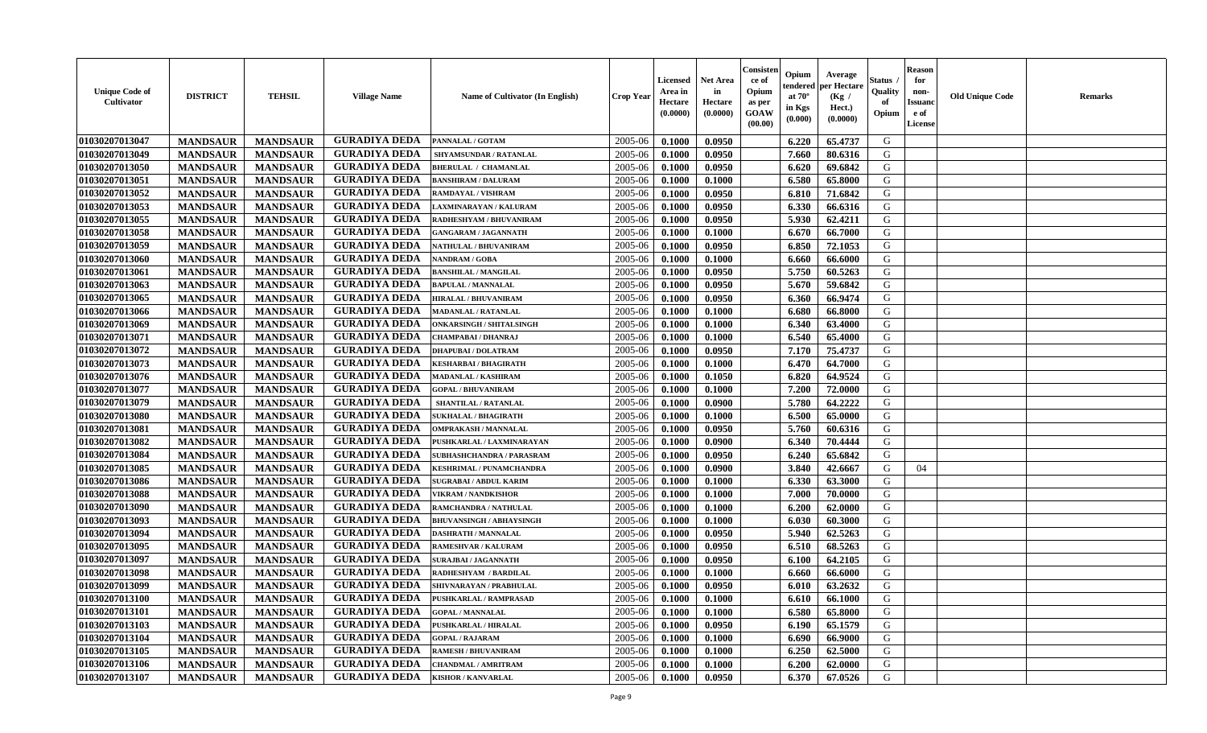| <b>Unique Code of</b><br>Cultivator | <b>DISTRICT</b> | <b>TEHSIL</b>   | <b>Village Name</b>  | <b>Name of Cultivator (In English)</b> | <b>Crop Year</b> | Licensed<br>Area in<br>Hectare<br>(0.0000) | <b>Net Area</b><br>in<br>Hectare<br>(0.0000) | Consister<br>ce of<br>Opium<br>as per<br><b>GOAW</b><br>(00.00) | Opium<br>endered<br>at $70^{\circ}$<br>in Kgs<br>(0.000) | Average<br>per Hectare<br>(Kg /<br>Hect.)<br>(0.0000) | Status<br>Quality<br>of<br>Opium | <b>Reason</b><br>for<br>non-<br><b>Issuano</b><br>e of<br>License | <b>Old Unique Code</b> | <b>Remarks</b> |
|-------------------------------------|-----------------|-----------------|----------------------|----------------------------------------|------------------|--------------------------------------------|----------------------------------------------|-----------------------------------------------------------------|----------------------------------------------------------|-------------------------------------------------------|----------------------------------|-------------------------------------------------------------------|------------------------|----------------|
| 01030207013047                      | <b>MANDSAUR</b> | <b>MANDSAUR</b> | <b>GURADIYA DEDA</b> | PANNALAL / GOTAM                       | 2005-06          | 0.1000                                     | 0.0950                                       |                                                                 | 6.220                                                    | 65.4737                                               | G                                |                                                                   |                        |                |
| 01030207013049                      | <b>MANDSAUR</b> | <b>MANDSAUR</b> | <b>GURADIYA DEDA</b> | <b>SHYAMSUNDAR / RATANLAL</b>          | 2005-06          | 0.1000                                     | 0.0950                                       |                                                                 | 7.660                                                    | 80.6316                                               | G                                |                                                                   |                        |                |
| 01030207013050                      | <b>MANDSAUR</b> | <b>MANDSAUR</b> | <b>GURADIYA DEDA</b> | <b>BHERULAL / CHAMANLAL</b>            | 2005-06          | 0.1000                                     | 0.0950                                       |                                                                 | 6.620                                                    | 69.6842                                               | G                                |                                                                   |                        |                |
| 01030207013051                      | <b>MANDSAUR</b> | <b>MANDSAUR</b> | <b>GURADIYA DEDA</b> | <b>BANSHIRAM / DALURAM</b>             | 2005-06          | 0.1000                                     | 0.1000                                       |                                                                 | 6.580                                                    | 65.8000                                               | G                                |                                                                   |                        |                |
| 01030207013052                      | <b>MANDSAUR</b> | <b>MANDSAUR</b> | <b>GURADIYA DEDA</b> | RAMDAYAL / VISHRAM                     | 2005-06          | 0.1000                                     | 0.0950                                       |                                                                 | 6.810                                                    | 71.6842                                               | G                                |                                                                   |                        |                |
| 01030207013053                      | <b>MANDSAUR</b> | <b>MANDSAUR</b> | <b>GURADIYA DEDA</b> | LAXMINARAYAN / KALURAM                 | 2005-06          | 0.1000                                     | 0.0950                                       |                                                                 | 6.330                                                    | 66.6316                                               | G                                |                                                                   |                        |                |
| 01030207013055                      | <b>MANDSAUR</b> | <b>MANDSAUR</b> | <b>GURADIYA DEDA</b> | RADHESHYAM / BHUVANIRAM                | 2005-06          | 0.1000                                     | 0.0950                                       |                                                                 | 5.930                                                    | 62,4211                                               | G                                |                                                                   |                        |                |
| 01030207013058                      | <b>MANDSAUR</b> | <b>MANDSAUR</b> | <b>GURADIYA DEDA</b> | <b>GANGARAM / JAGANNATH</b>            | 2005-06          | 0.1000                                     | 0.1000                                       |                                                                 | 6.670                                                    | 66.7000                                               | G                                |                                                                   |                        |                |
| 01030207013059                      | <b>MANDSAUR</b> | <b>MANDSAUR</b> | <b>GURADIYA DEDA</b> | NATHULAL / BHUVANIRAM                  | 2005-06          | 0.1000                                     | 0.0950                                       |                                                                 | 6.850                                                    | 72.1053                                               | G                                |                                                                   |                        |                |
| 01030207013060                      | <b>MANDSAUR</b> | <b>MANDSAUR</b> | <b>GURADIYA DEDA</b> | <b>NANDRAM / GOBA</b>                  | 2005-06          | 0.1000                                     | 0.1000                                       |                                                                 | 6.660                                                    | 66.6000                                               | G                                |                                                                   |                        |                |
| 01030207013061                      | <b>MANDSAUR</b> | <b>MANDSAUR</b> | <b>GURADIYA DEDA</b> | <b>BANSHILAL / MANGILAL</b>            | 2005-06          | 0.1000                                     | 0.0950                                       |                                                                 | 5.750                                                    | 60.5263                                               | G                                |                                                                   |                        |                |
| 01030207013063                      | <b>MANDSAUR</b> | <b>MANDSAUR</b> | <b>GURADIYA DEDA</b> | <b>BAPULAL / MANNALAL</b>              | 2005-06          | 0.1000                                     | 0.0950                                       |                                                                 | 5.670                                                    | 59.6842                                               | G                                |                                                                   |                        |                |
| 01030207013065                      | <b>MANDSAUR</b> | <b>MANDSAUR</b> | <b>GURADIYA DEDA</b> | <b>HIRALAL / BHUVANIRAM</b>            | 2005-06          | 0.1000                                     | 0.0950                                       |                                                                 | 6.360                                                    | 66.9474                                               | G                                |                                                                   |                        |                |
| 01030207013066                      | <b>MANDSAUR</b> | <b>MANDSAUR</b> | <b>GURADIYA DEDA</b> | <b>MADANLAL / RATANLAL</b>             | 2005-06          | 0.1000                                     | 0.1000                                       |                                                                 | 6.680                                                    | 66.8000                                               | G                                |                                                                   |                        |                |
| 01030207013069                      | <b>MANDSAUR</b> | <b>MANDSAUR</b> | <b>GURADIYA DEDA</b> | <b>ONKARSINGH / SHITALSINGH</b>        | 2005-06          | 0.1000                                     | 0.1000                                       |                                                                 | 6.340                                                    | 63.4000                                               | G                                |                                                                   |                        |                |
| 01030207013071                      | <b>MANDSAUR</b> | <b>MANDSAUR</b> | <b>GURADIYA DEDA</b> | CHAMPABAI / DHANRAJ                    | 2005-06          | 0.1000                                     | 0.1000                                       |                                                                 | 6.540                                                    | 65.4000                                               | G                                |                                                                   |                        |                |
| 01030207013072                      | <b>MANDSAUR</b> | <b>MANDSAUR</b> | <b>GURADIYA DEDA</b> | <b>DHAPUBAI/DOLATRAM</b>               | 2005-06          | 0.1000                                     | 0.0950                                       |                                                                 | 7.170                                                    | 75.4737                                               | G                                |                                                                   |                        |                |
| 01030207013073                      | <b>MANDSAUR</b> | <b>MANDSAUR</b> | <b>GURADIYA DEDA</b> | <b>KESHARBAI / BHAGIRATH</b>           | 2005-06          | 0.1000                                     | 0.1000                                       |                                                                 | 6.470                                                    | 64.7000                                               | G                                |                                                                   |                        |                |
| 01030207013076                      | <b>MANDSAUR</b> | <b>MANDSAUR</b> | <b>GURADIYA DEDA</b> | <b>MADANLAL / KASHIRAM</b>             | 2005-06          | 0.1000                                     | 0.1050                                       |                                                                 | 6.820                                                    | 64.9524                                               | G                                |                                                                   |                        |                |
| 01030207013077                      | <b>MANDSAUR</b> | <b>MANDSAUR</b> | <b>GURADIYA DEDA</b> | <b>GOPAL / BHUVANIRAM</b>              | 2005-06          | 0.1000                                     | 0.1000                                       |                                                                 | 7.200                                                    | 72.0000                                               | G                                |                                                                   |                        |                |
| 01030207013079                      | <b>MANDSAUR</b> | <b>MANDSAUR</b> | <b>GURADIYA DEDA</b> | SHANTILAL / RATANLAL                   | 2005-06          | 0.1000                                     | 0.0900                                       |                                                                 | 5.780                                                    | 64.2222                                               | G                                |                                                                   |                        |                |
| 01030207013080                      | <b>MANDSAUR</b> | <b>MANDSAUR</b> | <b>GURADIYA DEDA</b> | <b>SUKHALAL / BHAGIRATH</b>            | 2005-06          | 0.1000                                     | 0.1000                                       |                                                                 | 6.500                                                    | 65.0000                                               | G                                |                                                                   |                        |                |
| 01030207013081                      | <b>MANDSAUR</b> | <b>MANDSAUR</b> | <b>GURADIYA DEDA</b> | <b>OMPRAKASH / MANNALAL</b>            | 2005-06          | 0.1000                                     | 0.0950                                       |                                                                 | 5.760                                                    | 60.6316                                               | G                                |                                                                   |                        |                |
| 01030207013082                      | <b>MANDSAUR</b> | <b>MANDSAUR</b> | <b>GURADIYA DEDA</b> | PUSHKARLAL / LAXMINARAYAN              | 2005-06          | 0.1000                                     | 0.0900                                       |                                                                 | 6.340                                                    | 70.4444                                               | G                                |                                                                   |                        |                |
| 01030207013084                      | <b>MANDSAUR</b> | <b>MANDSAUR</b> | <b>GURADIYA DEDA</b> | SUBHASHCHANDRA / PARASRAM              | 2005-06          | 0.1000                                     | 0.0950                                       |                                                                 | 6.240                                                    | 65.6842                                               | G                                |                                                                   |                        |                |
| 01030207013085                      | <b>MANDSAUR</b> | <b>MANDSAUR</b> | <b>GURADIYA DEDA</b> | KESHRIMAL / PUNAMCHANDRA               | 2005-06          | 0.1000                                     | 0.0900                                       |                                                                 | 3.840                                                    | 42.6667                                               | G                                | 04                                                                |                        |                |
| 01030207013086                      | <b>MANDSAUR</b> | <b>MANDSAUR</b> | <b>GURADIYA DEDA</b> | <b>SUGRABAI/ ABDUL KARIM</b>           | 2005-06          | 0.1000                                     | 0.1000                                       |                                                                 | 6.330                                                    | 63.3000                                               | G                                |                                                                   |                        |                |
| 01030207013088                      | <b>MANDSAUR</b> | <b>MANDSAUR</b> | <b>GURADIYA DEDA</b> | <b>VIKRAM / NANDKISHOR</b>             | 2005-06          | 0.1000                                     | 0.1000                                       |                                                                 | 7.000                                                    | 70.0000                                               | G                                |                                                                   |                        |                |
| 01030207013090                      | <b>MANDSAUR</b> | <b>MANDSAUR</b> | <b>GURADIYA DEDA</b> | RAMCHANDRA / NATHULAL                  | 2005-06          | 0.1000                                     | 0.1000                                       |                                                                 | 6.200                                                    | 62.0000                                               | G                                |                                                                   |                        |                |
| 01030207013093                      | <b>MANDSAUR</b> | <b>MANDSAUR</b> | <b>GURADIYA DEDA</b> | <b>BHUVANSINGH / ABHAYSINGH</b>        | 2005-06          | 0.1000                                     | 0.1000                                       |                                                                 | 6.030                                                    | 60.3000                                               | G                                |                                                                   |                        |                |
| 01030207013094                      | <b>MANDSAUR</b> | <b>MANDSAUR</b> | <b>GURADIYA DEDA</b> | <b>DASHRATH / MANNALAL</b>             | 2005-06          | 0.1000                                     | 0.0950                                       |                                                                 | 5.940                                                    | 62.5263                                               | G                                |                                                                   |                        |                |
| 01030207013095                      | <b>MANDSAUR</b> | <b>MANDSAUR</b> | <b>GURADIYA DEDA</b> | RAMESHVAR / KALURAM                    | 2005-06          | 0.1000                                     | 0.0950                                       |                                                                 | 6.510                                                    | 68.5263                                               | G                                |                                                                   |                        |                |
| 01030207013097                      | <b>MANDSAUR</b> | <b>MANDSAUR</b> | <b>GURADIYA DEDA</b> | <b>SURAJBAI / JAGANNATH</b>            | 2005-06          | 0.1000                                     | 0.0950                                       |                                                                 | 6.100                                                    | 64.2105                                               | G                                |                                                                   |                        |                |
| 01030207013098                      | <b>MANDSAUR</b> | <b>MANDSAUR</b> | <b>GURADIYA DEDA</b> | RADHESHYAM / BARDILAL                  | 2005-06          | 0.1000                                     | 0.1000                                       |                                                                 | 6.660                                                    | 66.6000                                               | G                                |                                                                   |                        |                |
| 01030207013099                      | <b>MANDSAUR</b> | <b>MANDSAUR</b> | <b>GURADIYA DEDA</b> | SHIVNARAYAN / PRABHULAL                | 2005-06          | 0.1000                                     | 0.0950                                       |                                                                 | 6.010                                                    | 63.2632                                               | G                                |                                                                   |                        |                |
| 01030207013100                      | <b>MANDSAUR</b> | <b>MANDSAUR</b> | GURADIYA DEDA        | <b>PUSHKARLAL / RAMPRASAD</b>          | 2005-06          | 0.1000                                     | 0.1000                                       |                                                                 | $6.610$                                                  | 66.1000                                               | G                                |                                                                   |                        |                |
| 01030207013101                      | <b>MANDSAUR</b> | <b>MANDSAUR</b> | <b>GURADIYA DEDA</b> | <b>GOPAL / MANNALAL</b>                | 2005-06          | 0.1000                                     | 0.1000                                       |                                                                 | 6.580                                                    | 65.8000                                               | G                                |                                                                   |                        |                |
| 01030207013103                      | <b>MANDSAUR</b> | <b>MANDSAUR</b> | <b>GURADIYA DEDA</b> | PUSHKARLAL / HIRALAL                   | 2005-06          | 0.1000                                     | 0.0950                                       |                                                                 | 6.190                                                    | 65.1579                                               | G                                |                                                                   |                        |                |
| 01030207013104                      | <b>MANDSAUR</b> | <b>MANDSAUR</b> | <b>GURADIYA DEDA</b> | <b>GOPAL / RAJARAM</b>                 | 2005-06          | 0.1000                                     | 0.1000                                       |                                                                 | 6.690                                                    | 66.9000                                               | G                                |                                                                   |                        |                |
| 01030207013105                      | <b>MANDSAUR</b> | <b>MANDSAUR</b> | <b>GURADIYA DEDA</b> | <b>RAMESH / BHUVANIRAM</b>             | 2005-06          | 0.1000                                     | 0.1000                                       |                                                                 | 6.250                                                    | 62.5000                                               | G                                |                                                                   |                        |                |
| 01030207013106                      | <b>MANDSAUR</b> | <b>MANDSAUR</b> | <b>GURADIYA DEDA</b> | <b>CHANDMAL / AMRITRAM</b>             | 2005-06          | 0.1000                                     | 0.1000                                       |                                                                 | 6.200                                                    | 62.0000                                               | G                                |                                                                   |                        |                |
| 01030207013107                      | <b>MANDSAUR</b> | <b>MANDSAUR</b> | <b>GURADIYA DEDA</b> | <b>KISHOR / KANVARLAL</b>              | 2005-06          | 0.1000                                     | 0.0950                                       |                                                                 | 6.370                                                    | 67.0526                                               | G                                |                                                                   |                        |                |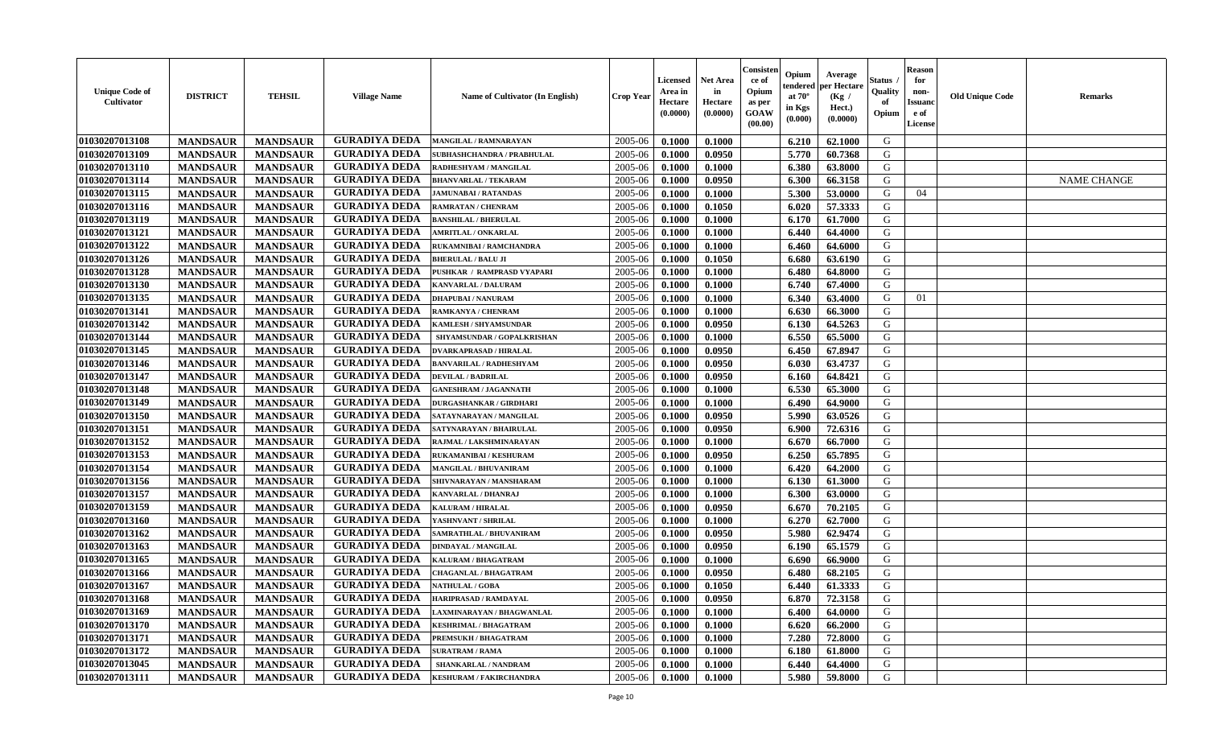| <b>Unique Code of</b><br>Cultivator | <b>DISTRICT</b> | <b>TEHSIL</b>   | <b>Village Name</b>  | Name of Cultivator (In English) | Crop Year | Licensed<br>Area in<br>Hectare<br>(0.0000) | <b>Net Area</b><br>in<br>Hectare<br>(0.0000) | Consisten<br>ce of<br>Opium<br>as per<br><b>GOAW</b><br>(00.00) | Opium<br>tendered<br>at $70^{\circ}$<br>in Kgs<br>(0.000) | Average<br>per Hectare<br>(Kg /<br>Hect.)<br>(0.0000) | Status<br>Quality<br>of<br>Opium | <b>Reason</b><br>for<br>non-<br><b>Issuand</b><br>e of<br>License | <b>Old Unique Code</b> | <b>Remarks</b>     |
|-------------------------------------|-----------------|-----------------|----------------------|---------------------------------|-----------|--------------------------------------------|----------------------------------------------|-----------------------------------------------------------------|-----------------------------------------------------------|-------------------------------------------------------|----------------------------------|-------------------------------------------------------------------|------------------------|--------------------|
| 01030207013108                      | <b>MANDSAUR</b> | <b>MANDSAUR</b> | <b>GURADIYA DEDA</b> | <b>MANGILAL / RAMNARAYAN</b>    | 2005-06   | 0.1000                                     | 0.1000                                       |                                                                 | 6.210                                                     | 62.1000                                               | G                                |                                                                   |                        |                    |
| 01030207013109                      | <b>MANDSAUR</b> | <b>MANDSAUR</b> | <b>GURADIYA DEDA</b> | SUBHASHCHANDRA / PRABHULAL      | 2005-06   | 0.1000                                     | 0.0950                                       |                                                                 | 5.770                                                     | 60.7368                                               | G                                |                                                                   |                        |                    |
| 01030207013110                      | <b>MANDSAUR</b> | <b>MANDSAUR</b> | <b>GURADIYA DEDA</b> | RADHESHYAM / MANGILAL           | 2005-06   | 0.1000                                     | 0.1000                                       |                                                                 | 6.380                                                     | 63.8000                                               | G                                |                                                                   |                        |                    |
| 01030207013114                      | <b>MANDSAUR</b> | <b>MANDSAUR</b> | <b>GURADIYA DEDA</b> | <b>BHANVARLAL / TEKARAM</b>     | 2005-06   | 0.1000                                     | 0.0950                                       |                                                                 | 6.300                                                     | 66.3158                                               | G                                |                                                                   |                        | <b>NAME CHANGE</b> |
| 01030207013115                      | <b>MANDSAUR</b> | <b>MANDSAUR</b> | <b>GURADIYA DEDA</b> | <b>JAMUNABAI / RATANDAS</b>     | 2005-06   | 0.1000                                     | 0.1000                                       |                                                                 | 5.300                                                     | 53.0000                                               | G                                | 04                                                                |                        |                    |
| 01030207013116                      | <b>MANDSAUR</b> | <b>MANDSAUR</b> | <b>GURADIYA DEDA</b> | RAMRATAN / CHENRAM              | 2005-06   | 0.1000                                     | 0.1050                                       |                                                                 | 6.020                                                     | 57.3333                                               | G                                |                                                                   |                        |                    |
| 01030207013119                      | <b>MANDSAUR</b> | <b>MANDSAUR</b> | <b>GURADIYA DEDA</b> | <b>BANSHILAL / BHERULAL</b>     | 2005-06   | 0.1000                                     | 0.1000                                       |                                                                 | 6.170                                                     | 61.7000                                               | G                                |                                                                   |                        |                    |
| 01030207013121                      | <b>MANDSAUR</b> | <b>MANDSAUR</b> | <b>GURADIYA DEDA</b> | <b>AMRITLAL / ONKARLAL</b>      | 2005-06   | 0.1000                                     | 0.1000                                       |                                                                 | 6.440                                                     | 64.4000                                               | G                                |                                                                   |                        |                    |
| 01030207013122                      | <b>MANDSAUR</b> | <b>MANDSAUR</b> | <b>GURADIYA DEDA</b> | RUKAMNIBAI / RAMCHANDRA         | 2005-06   | 0.1000                                     | 0.1000                                       |                                                                 | 6.460                                                     | 64.6000                                               | G                                |                                                                   |                        |                    |
| 01030207013126                      | <b>MANDSAUR</b> | <b>MANDSAUR</b> | <b>GURADIYA DEDA</b> | <b>BHERULAL / BALU JI</b>       | 2005-06   | 0.1000                                     | 0.1050                                       |                                                                 | 6.680                                                     | 63.6190                                               | G                                |                                                                   |                        |                    |
| 01030207013128                      | <b>MANDSAUR</b> | <b>MANDSAUR</b> | <b>GURADIYA DEDA</b> | PUSHKAR / RAMPRASD VYAPARI      | 2005-06   | 0.1000                                     | 0.1000                                       |                                                                 | 6.480                                                     | 64.8000                                               | G                                |                                                                   |                        |                    |
| 01030207013130                      | <b>MANDSAUR</b> | <b>MANDSAUR</b> | <b>GURADIYA DEDA</b> | KANVARLAL / DALURAM             | 2005-06   | 0.1000                                     | 0.1000                                       |                                                                 | 6.740                                                     | 67.4000                                               | G                                |                                                                   |                        |                    |
| 01030207013135                      | <b>MANDSAUR</b> | <b>MANDSAUR</b> | <b>GURADIYA DEDA</b> | <b>DHAPUBAI/NANURAM</b>         | 2005-06   | 0.1000                                     | 0.1000                                       |                                                                 | 6.340                                                     | 63.4000                                               | G                                | 01                                                                |                        |                    |
| 01030207013141                      | <b>MANDSAUR</b> | <b>MANDSAUR</b> | <b>GURADIYA DEDA</b> | RAMKANYA / CHENRAM              | 2005-06   | 0.1000                                     | 0.1000                                       |                                                                 | 6.630                                                     | 66.3000                                               | G                                |                                                                   |                        |                    |
| 01030207013142                      | <b>MANDSAUR</b> | <b>MANDSAUR</b> | <b>GURADIYA DEDA</b> | KAMLESH / SHYAMSUNDAR           | 2005-06   | 0.1000                                     | 0.0950                                       |                                                                 | 6.130                                                     | 64.5263                                               | G                                |                                                                   |                        |                    |
| 01030207013144                      | <b>MANDSAUR</b> | <b>MANDSAUR</b> | <b>GURADIYA DEDA</b> | SHYAMSUNDAR / GOPALKRISHAN      | 2005-06   | 0.1000                                     | 0.1000                                       |                                                                 | 6.550                                                     | 65.5000                                               | G                                |                                                                   |                        |                    |
| 01030207013145                      | <b>MANDSAUR</b> | <b>MANDSAUR</b> | <b>GURADIYA DEDA</b> | DVARKAPRASAD / HIRALAL          | 2005-06   | 0.1000                                     | 0.0950                                       |                                                                 | 6.450                                                     | 67.8947                                               | G                                |                                                                   |                        |                    |
| 01030207013146                      | <b>MANDSAUR</b> | <b>MANDSAUR</b> | <b>GURADIYA DEDA</b> | <b>BANVARILAL / RADHESHYAM</b>  | 2005-06   | 0.1000                                     | 0.0950                                       |                                                                 | 6.030                                                     | 63,4737                                               | G                                |                                                                   |                        |                    |
| 01030207013147                      | <b>MANDSAUR</b> | <b>MANDSAUR</b> | <b>GURADIYA DEDA</b> | <b>DEVILAL / BADRILAL</b>       | 2005-06   | 0.1000                                     | 0.0950                                       |                                                                 | 6.160                                                     | 64.8421                                               | G                                |                                                                   |                        |                    |
| 01030207013148                      | <b>MANDSAUR</b> | <b>MANDSAUR</b> | <b>GURADIYA DEDA</b> | GANESHRAM / JAGANNATH           | 2005-06   | 0.1000                                     | 0.1000                                       |                                                                 | 6.530                                                     | 65.3000                                               | G                                |                                                                   |                        |                    |
| 01030207013149                      | <b>MANDSAUR</b> | <b>MANDSAUR</b> | <b>GURADIYA DEDA</b> | DURGASHANKAR / GIRDHARI         | 2005-06   | 0.1000                                     | 0.1000                                       |                                                                 | 6.490                                                     | 64.9000                                               | G                                |                                                                   |                        |                    |
| 01030207013150                      | <b>MANDSAUR</b> | <b>MANDSAUR</b> | <b>GURADIYA DEDA</b> | SATAYNARAYAN / MANGILAL         | 2005-06   | 0.1000                                     | 0.0950                                       |                                                                 | 5.990                                                     | 63.0526                                               | G                                |                                                                   |                        |                    |
| 01030207013151                      | <b>MANDSAUR</b> | <b>MANDSAUR</b> | <b>GURADIYA DEDA</b> | SATYNARAYAN / BHAIRULAL         | 2005-06   | 0.1000                                     | 0.0950                                       |                                                                 | 6.900                                                     | 72.6316                                               | G                                |                                                                   |                        |                    |
| 01030207013152                      | <b>MANDSAUR</b> | <b>MANDSAUR</b> | <b>GURADIYA DEDA</b> | RAJMAL / LAKSHMINARAYAN         | 2005-06   | 0.1000                                     | 0.1000                                       |                                                                 | 6.670                                                     | 66.7000                                               | G                                |                                                                   |                        |                    |
| 01030207013153                      | <b>MANDSAUR</b> | <b>MANDSAUR</b> | <b>GURADIYA DEDA</b> | RUKAMANIBAI / KESHURAM          | 2005-06   | 0.1000                                     | 0.0950                                       |                                                                 | 6.250                                                     | 65.7895                                               | G                                |                                                                   |                        |                    |
| 01030207013154                      | <b>MANDSAUR</b> | <b>MANDSAUR</b> | <b>GURADIYA DEDA</b> | <b>MANGILAL / BHUVANIRAM</b>    | 2005-06   | 0.1000                                     | 0.1000                                       |                                                                 | 6.420                                                     | 64.2000                                               | G                                |                                                                   |                        |                    |
| 01030207013156                      | <b>MANDSAUR</b> | <b>MANDSAUR</b> | <b>GURADIYA DEDA</b> | SHIVNARAYAN / MANSHARAM         | 2005-06   | 0.1000                                     | 0.1000                                       |                                                                 | 6.130                                                     | 61.3000                                               | G                                |                                                                   |                        |                    |
| 01030207013157                      | <b>MANDSAUR</b> | <b>MANDSAUR</b> | <b>GURADIYA DEDA</b> | KANVARLAL / DHANRAJ             | 2005-06   | 0.1000                                     | 0.1000                                       |                                                                 | 6.300                                                     | 63.0000                                               | G                                |                                                                   |                        |                    |
| 01030207013159                      | <b>MANDSAUR</b> | <b>MANDSAUR</b> | <b>GURADIYA DEDA</b> | KALURAM / HIRALAL               | 2005-06   | 0.1000                                     | 0.0950                                       |                                                                 | 6.670                                                     | 70.2105                                               | G                                |                                                                   |                        |                    |
| 01030207013160                      | <b>MANDSAUR</b> | <b>MANDSAUR</b> | <b>GURADIYA DEDA</b> | YASHNVANT / SHRILAL             | 2005-06   | 0.1000                                     | 0.1000                                       |                                                                 | 6.270                                                     | 62.7000                                               | G                                |                                                                   |                        |                    |
| 01030207013162                      | <b>MANDSAUR</b> | <b>MANDSAUR</b> | <b>GURADIYA DEDA</b> | SAMRATHLAL / BHUVANIRAM         | 2005-06   | 0.1000                                     | 0.0950                                       |                                                                 | 5.980                                                     | 62.9474                                               | G                                |                                                                   |                        |                    |
| 01030207013163                      | <b>MANDSAUR</b> | <b>MANDSAUR</b> | <b>GURADIYA DEDA</b> | <b>DINDAYAL / MANGILAL</b>      | 2005-06   | 0.1000                                     | 0.0950                                       |                                                                 | 6.190                                                     | 65.1579                                               | G                                |                                                                   |                        |                    |
| 01030207013165                      | <b>MANDSAUR</b> | <b>MANDSAUR</b> | <b>GURADIYA DEDA</b> | KALURAM / BHAGATRAM             | 2005-06   | 0.1000                                     | 0.1000                                       |                                                                 | 6.690                                                     | 66.9000                                               | G                                |                                                                   |                        |                    |
| 01030207013166                      | <b>MANDSAUR</b> | <b>MANDSAUR</b> | <b>GURADIYA DEDA</b> | CHAGANLAL / BHAGATRAM           | 2005-06   | 0.1000                                     | 0.0950                                       |                                                                 | 6.480                                                     | 68.2105                                               | G                                |                                                                   |                        |                    |
| 01030207013167                      | <b>MANDSAUR</b> | <b>MANDSAUR</b> | <b>GURADIYA DEDA</b> | <b>NATHULAL / GOBA</b>          | 2005-06   | 0.1000                                     | 0.1050                                       |                                                                 | 6.440                                                     | 61.3333                                               | G                                |                                                                   |                        |                    |
| 01030207013168                      | <b>MANDSAUR</b> | <b>MANDSAUR</b> | <b>GURADIYA DEDA</b> | <b>HARIPRASAD / RAMDAYAL</b>    | 2005-06   | 0.1000                                     | 0.0950                                       |                                                                 | $6.870$                                                   | 72.3158                                               | G                                |                                                                   |                        |                    |
| 01030207013169                      | <b>MANDSAUR</b> | <b>MANDSAUR</b> | <b>GURADIYA DEDA</b> | LAXMINARAYAN / BHAGWANLAL       | 2005-06   | 0.1000                                     | 0.1000                                       |                                                                 | 6.400                                                     | 64.0000                                               | G                                |                                                                   |                        |                    |
| 01030207013170                      | <b>MANDSAUR</b> | <b>MANDSAUR</b> | <b>GURADIYA DEDA</b> | <b>KESHRIMAL / BHAGATRAM</b>    | 2005-06   | 0.1000                                     | 0.1000                                       |                                                                 | 6.620                                                     | 66.2000                                               | G                                |                                                                   |                        |                    |
| 01030207013171                      | <b>MANDSAUR</b> | <b>MANDSAUR</b> | <b>GURADIYA DEDA</b> | PREMSUKH / BHAGATRAM            | 2005-06   | 0.1000                                     | 0.1000                                       |                                                                 | 7.280                                                     | 72.8000                                               | G                                |                                                                   |                        |                    |
| 01030207013172                      | <b>MANDSAUR</b> | <b>MANDSAUR</b> | <b>GURADIYA DEDA</b> | <b>SURATRAM / RAMA</b>          | 2005-06   | 0.1000                                     | 0.1000                                       |                                                                 | 6.180                                                     | 61.8000                                               | G                                |                                                                   |                        |                    |
| 01030207013045                      | <b>MANDSAUR</b> | <b>MANDSAUR</b> | <b>GURADIYA DEDA</b> | SHANKARLAL / NANDRAM            | 2005-06   | 0.1000                                     | 0.1000                                       |                                                                 | 6.440                                                     | 64.4000                                               | G                                |                                                                   |                        |                    |
| 01030207013111                      | <b>MANDSAUR</b> | <b>MANDSAUR</b> | <b>GURADIYA DEDA</b> | <b>KESHURAM / FAKIRCHANDRA</b>  | 2005-06   | 0.1000                                     | $\boldsymbol{0.1000}$                        |                                                                 | 5.980                                                     | 59.8000                                               | G                                |                                                                   |                        |                    |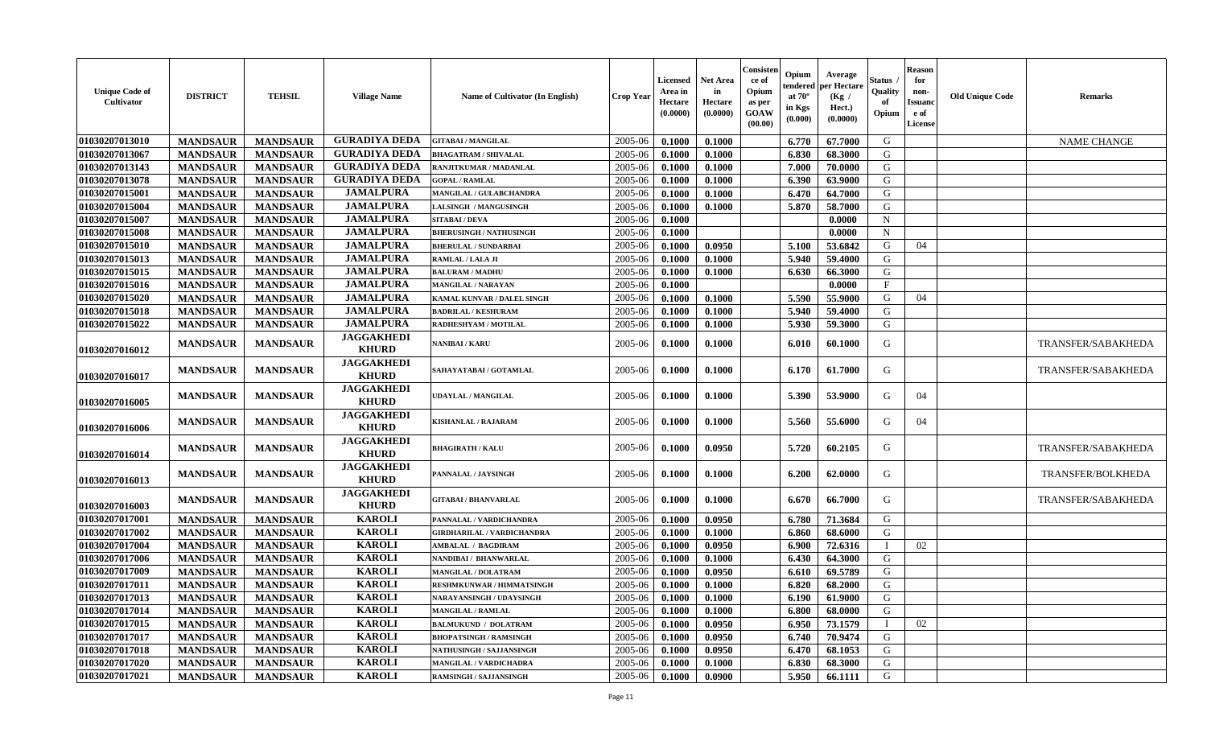| <b>Unique Code of</b><br>Cultivator | <b>DISTRICT</b> | <b>TEHSIL</b>   | <b>Village Name</b>               | Name of Cultivator (In English)  | <b>Crop Year</b> | <b>Licensed</b><br>Area in<br>Hectare<br>(0.0000) | <b>Net Area</b><br>in<br>Hectare<br>(0.0000) | Consiste<br>ce of<br>Opium<br>as per<br><b>GOAW</b><br>(00.00) | Opium<br>endereo<br>at 70°<br>in Kgs<br>(0.000) | Average<br>er Hectare<br>(Kg /<br>Hect.)<br>(0.0000) | Status<br>Quality<br>of<br>Opium | <b>Reason</b><br>for<br>non-<br>Issuand<br>e of<br>License | <b>Old Unique Code</b> | <b>Remarks</b>           |
|-------------------------------------|-----------------|-----------------|-----------------------------------|----------------------------------|------------------|---------------------------------------------------|----------------------------------------------|----------------------------------------------------------------|-------------------------------------------------|------------------------------------------------------|----------------------------------|------------------------------------------------------------|------------------------|--------------------------|
| 01030207013010                      | <b>MANDSAUR</b> | <b>MANDSAUR</b> | <b>GURADIYA DEDA</b>              | <b>GITABAI/MANGILAL</b>          | 2005-06          | 0.1000                                            | 0.1000                                       |                                                                | 6.770                                           | 67.7000                                              | G                                |                                                            |                        | <b>NAME CHANGE</b>       |
| 01030207013067                      | <b>MANDSAUR</b> | <b>MANDSAUR</b> | <b>GURADIYA DEDA</b>              | <b>BHAGATRAM / SHIVALAL</b>      | 2005-06          | 0.1000                                            | 0.1000                                       |                                                                | 6.830                                           | 68.3000                                              | G                                |                                                            |                        |                          |
| 01030207013143                      | <b>MANDSAUR</b> | <b>MANDSAUR</b> | <b>GURADIYA DEDA</b>              | RANJITKUMAR / MADANLAL           | 2005-06          | 0.1000                                            | 0.1000                                       |                                                                | 7.000                                           | 70.0000                                              | G                                |                                                            |                        |                          |
| 01030207013078                      | <b>MANDSAUR</b> | <b>MANDSAUR</b> | <b>GURADIYA DEDA</b>              | <b>GOPAL / RAMLAL</b>            | 2005-06          | 0.1000                                            | 0.1000                                       |                                                                | 6.390                                           | 63.9000                                              | G                                |                                                            |                        |                          |
| 01030207015001                      | <b>MANDSAUR</b> | <b>MANDSAUR</b> | <b>JAMALPURA</b>                  | MANGILAL / GULABCHANDRA          | 2005-06          | 0.1000                                            | 0.1000                                       |                                                                | 6.470                                           | 64.7000                                              | G                                |                                                            |                        |                          |
| 01030207015004                      | <b>MANDSAUR</b> | <b>MANDSAUR</b> | <b>JAMALPURA</b>                  | ALSINGH / MANGUSINGH             | 2005-06          | 0.1000                                            | 0.1000                                       |                                                                | 5.870                                           | 58.7000                                              | G                                |                                                            |                        |                          |
| 01030207015007                      | <b>MANDSAUR</b> | <b>MANDSAUR</b> | <b>JAMALPURA</b>                  | <b>SITABAI/DEVA</b>              | 2005-06          | 0.1000                                            |                                              |                                                                |                                                 | 0.0000                                               | $\mathbf N$                      |                                                            |                        |                          |
| 01030207015008                      | <b>MANDSAUR</b> | <b>MANDSAUR</b> | <b>JAMALPURA</b>                  | <b>BHERUSINGH / NATHUSINGH</b>   | 2005-06          | 0.1000                                            |                                              |                                                                |                                                 | 0.0000                                               | $\mathbf N$                      |                                                            |                        |                          |
| 01030207015010                      | <b>MANDSAUR</b> | <b>MANDSAUR</b> | <b>JAMALPURA</b>                  | <b>BHERULAL / SUNDARBAI</b>      | 2005-06          | 0.1000                                            | 0.0950                                       |                                                                | 5.100                                           | 53.6842                                              | G                                | 04                                                         |                        |                          |
| 01030207015013                      | <b>MANDSAUR</b> | <b>MANDSAUR</b> | <b>JAMALPURA</b>                  | RAMLAL / LALA JI                 | 2005-06          | 0.1000                                            | 0.1000                                       |                                                                | 5.940                                           | 59.4000                                              | G                                |                                                            |                        |                          |
| 01030207015015                      | <b>MANDSAUR</b> | <b>MANDSAUR</b> | <b>JAMALPURA</b>                  | <b>BALURAM / MADHU</b>           | 2005-06          | 0.1000                                            | 0.1000                                       |                                                                | 6.630                                           | 66.3000                                              | G                                |                                                            |                        |                          |
| 01030207015016                      | <b>MANDSAUR</b> | <b>MANDSAUR</b> | <b>JAMALPURA</b>                  | MANGILAL / NARAYAN               | 2005-06          | 0.1000                                            |                                              |                                                                |                                                 | 0.0000                                               | $\mathbf{F}$                     |                                                            |                        |                          |
| 01030207015020                      | <b>MANDSAUR</b> | <b>MANDSAUR</b> | <b>JAMALPURA</b>                  | KAMAL KUNVAR / DALEL SINGH       | 2005-06          | 0.1000                                            | 0.1000                                       |                                                                | 5.590                                           | 55.9000                                              | G                                | 04                                                         |                        |                          |
| 01030207015018                      | <b>MANDSAUR</b> | <b>MANDSAUR</b> | <b>JAMALPURA</b>                  | <b>BADRILAL / KESHURAM</b>       | 2005-06          | 0.1000                                            | 0.1000                                       |                                                                | 5.940                                           | 59.4000                                              | ${\bf G}$                        |                                                            |                        |                          |
| 01030207015022                      | <b>MANDSAUR</b> | <b>MANDSAUR</b> | <b>JAMALPURA</b>                  | RADHESHYAM / MOTILAL             | 2005-06          | 0.1000                                            | 0.1000                                       |                                                                | 5.930                                           | 59.3000                                              | G                                |                                                            |                        |                          |
| 01030207016012                      | <b>MANDSAUR</b> | <b>MANDSAUR</b> | <b>JAGGAKHEDI</b><br><b>KHURD</b> | <b>VANIBAI/KARU</b>              | 2005-06          | 0.1000                                            | 0.1000                                       |                                                                | 6.010                                           | 60.1000                                              | G                                |                                                            |                        | TRANSFER/SABAKHEDA       |
| 01030207016017                      | <b>MANDSAUR</b> | <b>MANDSAUR</b> | <b>JAGGAKHEDI</b><br><b>KHURD</b> | <b>SAHAYATABAI / GOTAMLAL</b>    | 2005-06          | 0.1000                                            | 0.1000                                       |                                                                | 6.170                                           | 61.7000                                              | G                                |                                                            |                        | TRANSFER/SABAKHEDA       |
| 01030207016005                      | <b>MANDSAUR</b> | <b>MANDSAUR</b> | <b>JAGGAKHEDI</b><br><b>KHURD</b> | <b>UDAYLAL / MANGILAL</b>        | 2005-06          | 0.1000                                            | 0.1000                                       |                                                                | 5.390                                           | 53.9000                                              | G                                | 04                                                         |                        |                          |
| 01030207016006                      | <b>MANDSAUR</b> | <b>MANDSAUR</b> | <b>JAGGAKHEDI</b><br><b>KHURD</b> | KISHANLAL / RAJARAM              | 2005-06          | 0.1000                                            | 0.1000                                       |                                                                | 5.560                                           | 55.6000                                              | G                                | 04                                                         |                        |                          |
| 01030207016014                      | <b>MANDSAUR</b> | <b>MANDSAUR</b> | <b>JAGGAKHEDI</b><br><b>KHURD</b> | <b>BHAGIRATH / KALU</b>          | 2005-06          | 0.1000                                            | 0.0950                                       |                                                                | 5.720                                           | 60.2105                                              | G                                |                                                            |                        | TRANSFER/SABAKHEDA       |
| 01030207016013                      | <b>MANDSAUR</b> | <b>MANDSAUR</b> | <b>JAGGAKHEDI</b><br><b>KHURD</b> | PANNALAL / JAYSINGH              | 2005-06          | 0.1000                                            | 0.1000                                       |                                                                | 6.200                                           | 62.0000                                              | G                                |                                                            |                        | <b>TRANSFER/BOLKHEDA</b> |
| 01030207016003                      | <b>MANDSAUR</b> | <b>MANDSAUR</b> | <b>JAGGAKHEDI</b><br><b>KHURD</b> | <b>GITABAI/BHANVARLAL</b>        | 2005-06          | 0.1000                                            | 0.1000                                       |                                                                | 6.670                                           | 66.7000                                              | G                                |                                                            |                        | TRANSFER/SABAKHEDA       |
| 01030207017001                      | <b>MANDSAUR</b> | <b>MANDSAUR</b> | <b>KAROLI</b>                     | PANNALAL / VARDICHANDRA          | 2005-06          | 0.1000                                            | 0.0950                                       |                                                                | 6.780                                           | 71.3684                                              | G                                |                                                            |                        |                          |
| 01030207017002                      | <b>MANDSAUR</b> | <b>MANDSAUR</b> | <b>KAROLI</b>                     | GIRDHARILAL / VARDICHANDRA       | 2005-06          | 0.1000                                            | 0.1000                                       |                                                                | 6.860                                           | 68.6000                                              | G                                |                                                            |                        |                          |
| 01030207017004                      | <b>MANDSAUR</b> | <b>MANDSAUR</b> | <b>KAROLI</b>                     | <b>AMBALAL / BAGDIRAM</b>        | 2005-06          | 0.1000                                            | 0.0950                                       |                                                                | 6.900                                           | 72.6316                                              | $\mathbf I$                      | 02                                                         |                        |                          |
| 01030207017006                      | <b>MANDSAUR</b> | <b>MANDSAUR</b> | <b>KAROLI</b>                     | NANDIBAI / BHANWARLAL            | 2005-06          | 0.1000                                            | 0.1000                                       |                                                                | 6.430                                           | 64.3000                                              | G                                |                                                            |                        |                          |
| 01030207017009                      | <b>MANDSAUR</b> | <b>MANDSAUR</b> | <b>KAROLI</b>                     | <b>MANGILAL / DOLATRAM</b>       | 2005-06          | 0.1000                                            | 0.0950                                       |                                                                | 6.610                                           | 69.5789                                              | G                                |                                                            |                        |                          |
| 01030207017011                      | <b>MANDSAUR</b> | <b>MANDSAUR</b> | <b>KAROLI</b>                     | <b>RESHMKUNWAR / HIMMATSINGH</b> | 2005-06          | 0.1000                                            | 0.1000                                       |                                                                | 6.820                                           | 68.2000                                              | G                                |                                                            |                        |                          |
| 01030207017013                      | <b>MANDSAUR</b> | <b>MANDSAUR</b> | <b>KAROLI</b>                     | NARAYANSINGH / UDAYSINGH         | 2005-06          | 0.1000                                            | 0.1000                                       |                                                                | 6.190                                           | 61.9000                                              | G                                |                                                            |                        |                          |
| 01030207017014                      | <b>MANDSAUR</b> | <b>MANDSAUR</b> | <b>KAROLI</b>                     | <b>MANGILAL / RAMLAL</b>         | 2005-06          | 0.1000                                            | 0.1000                                       |                                                                | 6.800                                           | 68.0000                                              | G                                |                                                            |                        |                          |
| 01030207017015                      | <b>MANDSAUR</b> | <b>MANDSAUR</b> | <b>KAROLI</b>                     | <b>BALMUKUND / DOLATRAM</b>      | 2005-06          | 0.1000                                            | 0.0950                                       |                                                                | 6.950                                           | 73.1579                                              | $\mathbf I$                      | 02                                                         |                        |                          |
| 01030207017017                      | <b>MANDSAUR</b> | <b>MANDSAUR</b> | <b>KAROLI</b>                     | <b>BHOPATSINGH / RAMSINGH</b>    | 2005-06          | 0.1000                                            | 0.0950                                       |                                                                | 6.740                                           | 70.9474                                              | G                                |                                                            |                        |                          |
| 01030207017018                      | <b>MANDSAUR</b> | <b>MANDSAUR</b> | <b>KAROLI</b>                     | NATHUSINGH / SAJJANSINGH         | 2005-06          | 0.1000                                            | 0.0950                                       |                                                                | 6.470                                           | 68.1053                                              | G                                |                                                            |                        |                          |
| 01030207017020                      | <b>MANDSAUR</b> | <b>MANDSAUR</b> | <b>KAROLI</b>                     | MANGILAL / VARDICHADRA           | 2005-06          | 0.1000                                            | 0.1000                                       |                                                                | 6.830                                           | 68.3000                                              | G                                |                                                            |                        |                          |
| 01030207017021                      | <b>MANDSAUR</b> | <b>MANDSAUR</b> | <b>KAROLI</b>                     | <b>RAMSINGH / SAJJANSINGH</b>    | 2005-06          | 0.1000                                            | 0.0900                                       |                                                                | 5.950                                           | 66.1111                                              | G                                |                                                            |                        |                          |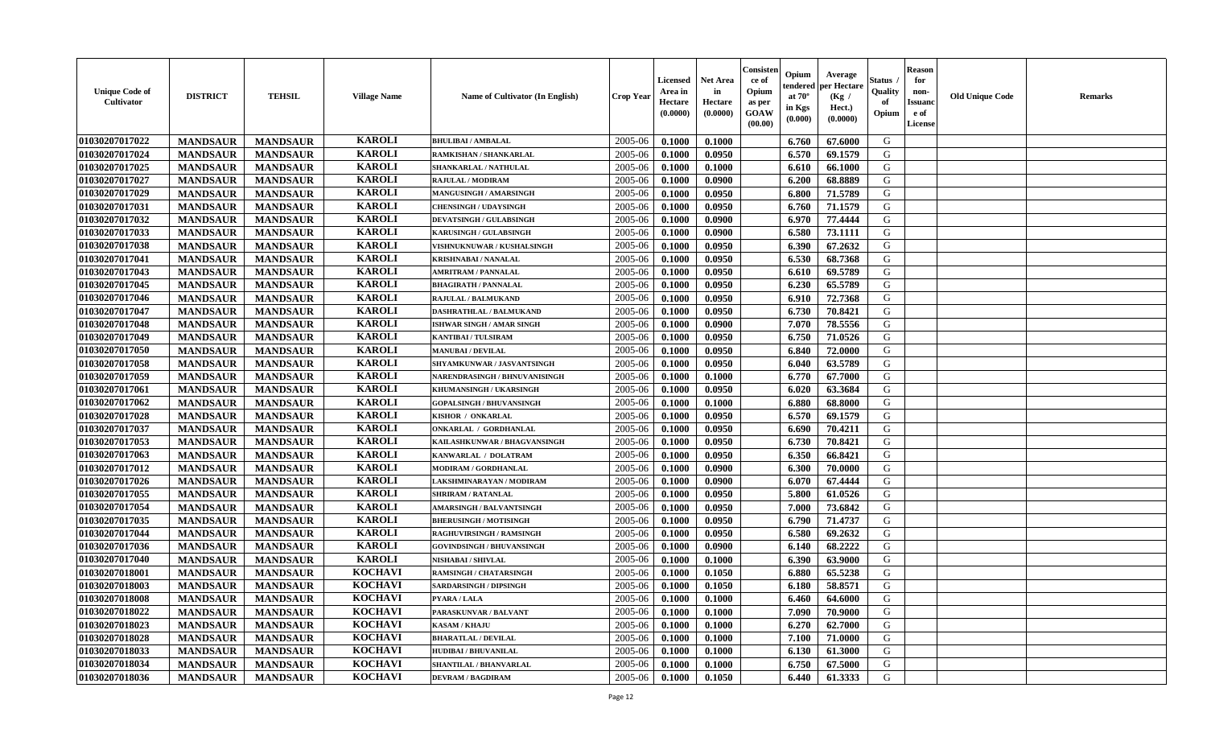| <b>Unique Code of</b><br><b>Cultivator</b> | <b>DISTRICT</b> | <b>TEHSIL</b>   | <b>Village Name</b> | Name of Cultivator (In English)  | <b>Crop Year</b> | <b>Licensed</b><br>Area in<br>Hectare<br>(0.0000) | <b>Net Area</b><br>in<br>Hectare<br>(0.0000) | Consister<br>ce of<br>Opium<br>as per<br><b>GOAW</b><br>(00.00) | Opium<br>endered<br>at $70^\circ$<br>in Kgs<br>(0.000) | Average<br><b>per Hectare</b><br>(Kg)<br>Hect.)<br>(0.0000) | Status<br>Quality<br>of<br>Opium | <b>Reason</b><br>for<br>non-<br><b>Issuand</b><br>e of<br><b>License</b> | <b>Old Unique Code</b> | <b>Remarks</b> |
|--------------------------------------------|-----------------|-----------------|---------------------|----------------------------------|------------------|---------------------------------------------------|----------------------------------------------|-----------------------------------------------------------------|--------------------------------------------------------|-------------------------------------------------------------|----------------------------------|--------------------------------------------------------------------------|------------------------|----------------|
| 01030207017022                             | <b>MANDSAUR</b> | <b>MANDSAUR</b> | <b>KAROLI</b>       | <b>BHULIBAI / AMBALAL</b>        | 2005-06          | 0.1000                                            | 0.1000                                       |                                                                 | 6.760                                                  | 67.6000                                                     | G                                |                                                                          |                        |                |
| 01030207017024                             | <b>MANDSAUR</b> | <b>MANDSAUR</b> | <b>KAROLI</b>       | RAMKISHAN / SHANKARLAL           | 2005-06          | 0.1000                                            | 0.0950                                       |                                                                 | 6.570                                                  | 69.1579                                                     | G                                |                                                                          |                        |                |
| 01030207017025                             | <b>MANDSAUR</b> | <b>MANDSAUR</b> | <b>KAROLI</b>       | SHANKARLAL / NATHULAL            | 2005-06          | 0.1000                                            | 0.1000                                       |                                                                 | 6.610                                                  | 66.1000                                                     | G                                |                                                                          |                        |                |
| 01030207017027                             | <b>MANDSAUR</b> | <b>MANDSAUR</b> | <b>KAROLI</b>       | <b>RAJULAL / MODIRAM</b>         | 2005-06          | 0.1000                                            | 0.0900                                       |                                                                 | 6.200                                                  | 68.8889                                                     | G                                |                                                                          |                        |                |
| 01030207017029                             | <b>MANDSAUR</b> | <b>MANDSAUR</b> | <b>KAROLI</b>       | <b>MANGUSINGH / AMARSINGH</b>    | 2005-06          | 0.1000                                            | 0.0950                                       |                                                                 | 6.800                                                  | 71.5789                                                     | G                                |                                                                          |                        |                |
| 01030207017031                             | <b>MANDSAUR</b> | <b>MANDSAUR</b> | <b>KAROLI</b>       | <b>CHENSINGH / UDAYSINGH</b>     | 2005-06          | 0.1000                                            | 0.0950                                       |                                                                 | 6.760                                                  | 71.1579                                                     | G                                |                                                                          |                        |                |
| 01030207017032                             | <b>MANDSAUR</b> | <b>MANDSAUR</b> | <b>KAROLI</b>       | <b>DEVATSINGH / GULABSINGH</b>   | 2005-06          | 0.1000                                            | 0.0900                                       |                                                                 | 6.970                                                  | 77.4444                                                     | G                                |                                                                          |                        |                |
| 01030207017033                             | <b>MANDSAUR</b> | <b>MANDSAUR</b> | <b>KAROLI</b>       | KARUSINGH / GULABSINGH           | 2005-06          | 0.1000                                            | 0.0900                                       |                                                                 | 6.580                                                  | 73.1111                                                     | ${\bf G}$                        |                                                                          |                        |                |
| 01030207017038                             | <b>MANDSAUR</b> | <b>MANDSAUR</b> | <b>KAROLI</b>       | VISHNUKNUWAR / KUSHALSINGH       | 2005-06          | 0.1000                                            | 0.0950                                       |                                                                 | 6.390                                                  | 67.2632                                                     | G                                |                                                                          |                        |                |
| 01030207017041                             | <b>MANDSAUR</b> | <b>MANDSAUR</b> | <b>KAROLI</b>       | <b>KRISHNABAI / NANALAL</b>      | 2005-06          | 0.1000                                            | 0.0950                                       |                                                                 | 6.530                                                  | 68.7368                                                     | G                                |                                                                          |                        |                |
| 01030207017043                             | <b>MANDSAUR</b> | <b>MANDSAUR</b> | <b>KAROLI</b>       | <b>AMRITRAM / PANNALAL</b>       | 2005-06          | 0.1000                                            | 0.0950                                       |                                                                 | 6.610                                                  | 69.5789                                                     | G                                |                                                                          |                        |                |
| 01030207017045                             | <b>MANDSAUR</b> | <b>MANDSAUR</b> | <b>KAROLI</b>       | <b>BHAGIRATH / PANNALAL</b>      | 2005-06          | 0.1000                                            | 0.0950                                       |                                                                 | 6.230                                                  | 65.5789                                                     | G                                |                                                                          |                        |                |
| 01030207017046                             | <b>MANDSAUR</b> | <b>MANDSAUR</b> | <b>KAROLI</b>       | <b>RAJULAL / BALMUKAND</b>       | 2005-06          | 0.1000                                            | 0.0950                                       |                                                                 | 6.910                                                  | 72.7368                                                     | G                                |                                                                          |                        |                |
| 01030207017047                             | <b>MANDSAUR</b> | <b>MANDSAUR</b> | <b>KAROLI</b>       | <b>DASHRATHLAL / BALMUKAND</b>   | 2005-06          | 0.1000                                            | 0.0950                                       |                                                                 | 6.730                                                  | 70.8421                                                     | G                                |                                                                          |                        |                |
| 01030207017048                             | <b>MANDSAUR</b> | <b>MANDSAUR</b> | <b>KAROLI</b>       | ISHWAR SINGH / AMAR SINGH        | 2005-06          | 0.1000                                            | 0.0900                                       |                                                                 | 7.070                                                  | 78.5556                                                     | G                                |                                                                          |                        |                |
| 01030207017049                             | <b>MANDSAUR</b> | <b>MANDSAUR</b> | <b>KAROLI</b>       | <b>KANTIBAI / TULSIRAM</b>       | 2005-06          | 0.1000                                            | 0.0950                                       |                                                                 | 6.750                                                  | 71.0526                                                     | G                                |                                                                          |                        |                |
| 01030207017050                             | <b>MANDSAUR</b> | <b>MANDSAUR</b> | <b>KAROLI</b>       | <b>MANUBAI/DEVILAL</b>           | 2005-06          | 0.1000                                            | 0.0950                                       |                                                                 | 6.840                                                  | 72.0000                                                     | G                                |                                                                          |                        |                |
| 01030207017058                             | <b>MANDSAUR</b> | <b>MANDSAUR</b> | <b>KAROLI</b>       | SHYAMKUNWAR / JASVANTSINGH       | 2005-06          | 0.1000                                            | 0.0950                                       |                                                                 | 6.040                                                  | 63.5789                                                     | G                                |                                                                          |                        |                |
| 01030207017059                             | <b>MANDSAUR</b> | <b>MANDSAUR</b> | <b>KAROLI</b>       | NARENDRASINGH / BHNUVANISINGH    | 2005-06          | 0.1000                                            | 0.1000                                       |                                                                 | 6.770                                                  | 67.7000                                                     | G                                |                                                                          |                        |                |
| 01030207017061                             | <b>MANDSAUR</b> | <b>MANDSAUR</b> | <b>KAROLI</b>       | KHUMANSINGH / UKARSINGH          | 2005-06          | 0.1000                                            | 0.0950                                       |                                                                 | 6.020                                                  | 63.3684                                                     | G                                |                                                                          |                        |                |
| 01030207017062                             | <b>MANDSAUR</b> | <b>MANDSAUR</b> | <b>KAROLI</b>       | <b>GOPALSINGH / BHUVANSINGH</b>  | 2005-06          | 0.1000                                            | 0.1000                                       |                                                                 | 6.880                                                  | 68.8000                                                     | G                                |                                                                          |                        |                |
| 01030207017028                             | <b>MANDSAUR</b> | <b>MANDSAUR</b> | <b>KAROLI</b>       | KISHOR / ONKARLAL                | 2005-06          | 0.1000                                            | 0.0950                                       |                                                                 | 6.570                                                  | 69.1579                                                     | G                                |                                                                          |                        |                |
| 01030207017037                             | <b>MANDSAUR</b> | <b>MANDSAUR</b> | <b>KAROLI</b>       | ONKARLAL / GORDHANLAL            | 2005-06          | 0.1000                                            | 0.0950                                       |                                                                 | 6.690                                                  | 70.4211                                                     | G                                |                                                                          |                        |                |
| 01030207017053                             | <b>MANDSAUR</b> | <b>MANDSAUR</b> | <b>KAROLI</b>       | KAILASHKUNWAR / BHAGVANSINGH     | 2005-06          | 0.1000                                            | 0.0950                                       |                                                                 | 6.730                                                  | 70.8421                                                     | G                                |                                                                          |                        |                |
| 01030207017063                             | <b>MANDSAUR</b> | <b>MANDSAUR</b> | <b>KAROLI</b>       | KANWARLAL / DOLATRAM             | 2005-06          | 0.1000                                            | 0.0950                                       |                                                                 | 6.350                                                  | 66.8421                                                     | G                                |                                                                          |                        |                |
| 01030207017012                             | <b>MANDSAUR</b> | <b>MANDSAUR</b> | <b>KAROLI</b>       | MODIRAM / GORDHANLAL             | 2005-06          | 0.1000                                            | 0.0900                                       |                                                                 | 6.300                                                  | 70.0000                                                     | G                                |                                                                          |                        |                |
| 01030207017026                             | <b>MANDSAUR</b> | <b>MANDSAUR</b> | <b>KAROLI</b>       | LAKSHMINARAYAN / MODIRAM         | 2005-06          | 0.1000                                            | 0.0900                                       |                                                                 | 6.070                                                  | 67.4444                                                     | G                                |                                                                          |                        |                |
| 01030207017055                             | <b>MANDSAUR</b> | <b>MANDSAUR</b> | <b>KAROLI</b>       | <b>SHRIRAM / RATANLAL</b>        | 2005-06          | 0.1000                                            | 0.0950                                       |                                                                 | 5.800                                                  | 61.0526                                                     | G                                |                                                                          |                        |                |
| 01030207017054                             | <b>MANDSAUR</b> | <b>MANDSAUR</b> | <b>KAROLI</b>       | <b>AMARSINGH / BALVANTSINGH</b>  | 2005-06          | 0.1000                                            | 0.0950                                       |                                                                 | 7.000                                                  | 73.6842                                                     | G                                |                                                                          |                        |                |
| 01030207017035                             | <b>MANDSAUR</b> | <b>MANDSAUR</b> | <b>KAROLI</b>       | <b>BHERUSINGH / MOTISINGH</b>    | 2005-06          | 0.1000                                            | 0.0950                                       |                                                                 | 6.790                                                  | 71.4737                                                     | G                                |                                                                          |                        |                |
| 01030207017044                             | <b>MANDSAUR</b> | <b>MANDSAUR</b> | <b>KAROLI</b>       | <b>RAGHUVIRSINGH / RAMSINGH</b>  | 2005-06          | 0.1000                                            | 0.0950                                       |                                                                 | 6.580                                                  | 69.2632                                                     | G                                |                                                                          |                        |                |
| 01030207017036                             | <b>MANDSAUR</b> | <b>MANDSAUR</b> | <b>KAROLI</b>       | <b>GOVINDSINGH / BHUVANSINGH</b> | 2005-06          | 0.1000                                            | 0.0900                                       |                                                                 | 6.140                                                  | 68.2222                                                     | ${\bf G}$                        |                                                                          |                        |                |
| 01030207017040                             | <b>MANDSAUR</b> | <b>MANDSAUR</b> | <b>KAROLI</b>       | NISHABAI / SHIVLAL               | 2005-06          | 0.1000                                            | 0.1000                                       |                                                                 | 6.390                                                  | 63.9000                                                     | G                                |                                                                          |                        |                |
| 01030207018001                             | <b>MANDSAUR</b> | <b>MANDSAUR</b> | <b>KOCHAVI</b>      | <b>RAMSINGH / CHATARSINGH</b>    | 2005-06          | 0.1000                                            | 0.1050                                       |                                                                 | 6.880                                                  | 65.5238                                                     | G                                |                                                                          |                        |                |
| 01030207018003                             | <b>MANDSAUR</b> | <b>MANDSAUR</b> | <b>KOCHAVI</b>      | <b>SARDARSINGH / DIPSINGH</b>    | 2005-06          | 0.1000                                            | 0.1050                                       |                                                                 | 6.180                                                  | 58.8571                                                     | G                                |                                                                          |                        |                |
| 01030207018008                             | <b>MANDSAUR</b> | <b>MANDSAUR</b> | <b>KOCHAVI</b>      | PYARA / LALA                     | 2005-06          | 0.1000                                            | 0.1000                                       |                                                                 | 6.460                                                  | 64.6000                                                     | G                                |                                                                          |                        |                |
| 01030207018022                             | <b>MANDSAUR</b> | <b>MANDSAUR</b> | <b>KOCHAVI</b>      | PARASKUNVAR / BALVANT            | 2005-06          | 0.1000                                            | 0.1000                                       |                                                                 | 7.090                                                  | 70.9000                                                     | G                                |                                                                          |                        |                |
| 01030207018023                             | <b>MANDSAUR</b> | <b>MANDSAUR</b> | <b>KOCHAVI</b>      | <b>KASAM / KHAJU</b>             | 2005-06          | 0.1000                                            | 0.1000                                       |                                                                 | 6.270                                                  | 62.7000                                                     | G                                |                                                                          |                        |                |
| 01030207018028                             | <b>MANDSAUR</b> | <b>MANDSAUR</b> | <b>KOCHAVI</b>      | <b>BHARATLAL / DEVILAL</b>       | 2005-06          | 0.1000                                            | 0.1000                                       |                                                                 | 7.100                                                  | 71.0000                                                     | G                                |                                                                          |                        |                |
| 01030207018033                             | <b>MANDSAUR</b> | <b>MANDSAUR</b> | <b>KOCHAVI</b>      | HUDIBAI / BHUVANILAL             | 2005-06          | 0.1000                                            | 0.1000                                       |                                                                 | 6.130                                                  | 61.3000                                                     | G                                |                                                                          |                        |                |
| 01030207018034                             | <b>MANDSAUR</b> | <b>MANDSAUR</b> | <b>KOCHAVI</b>      | SHANTILAL / BHANVARLAL           | 2005-06          | 0.1000                                            | 0.1000                                       |                                                                 | 6.750                                                  | 67.5000                                                     | G                                |                                                                          |                        |                |
| 01030207018036                             | <b>MANDSAUR</b> | <b>MANDSAUR</b> | <b>KOCHAVI</b>      | <b>DEVRAM / BAGDIRAM</b>         | 2005-06          | 0.1000                                            | 0.1050                                       |                                                                 | 6.440                                                  | 61.3333                                                     | G                                |                                                                          |                        |                |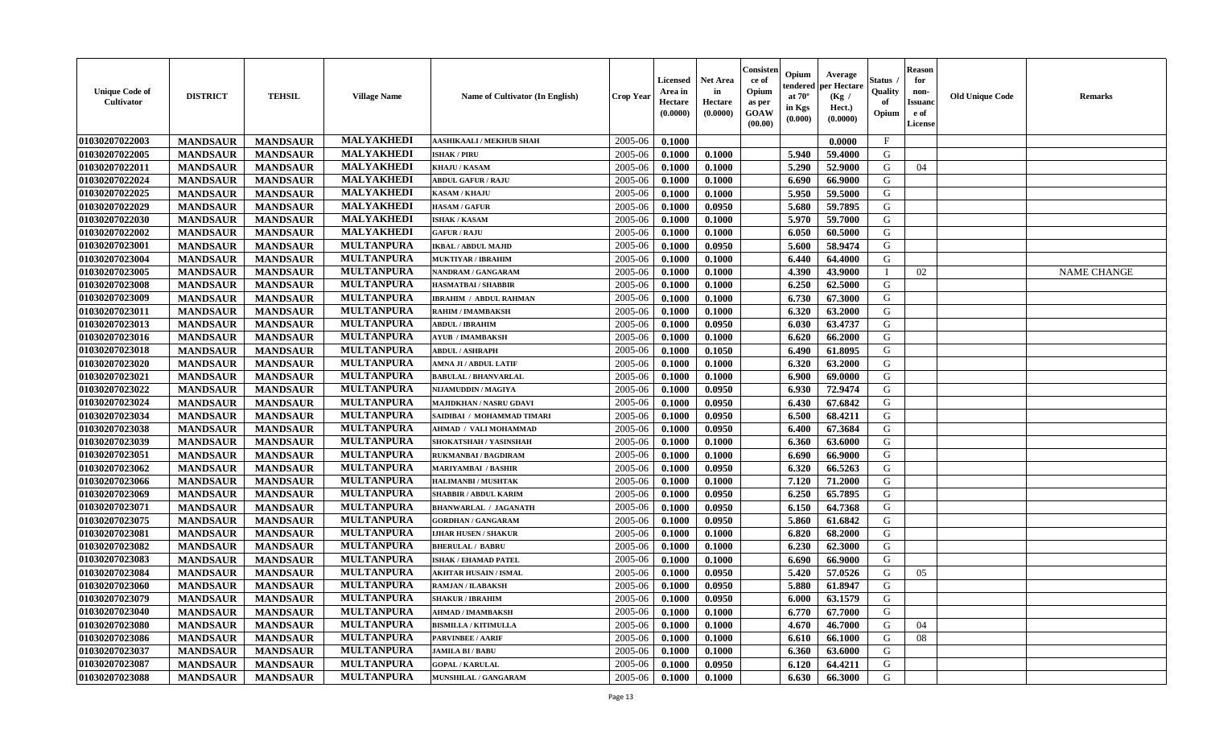| <b>Unique Code of</b><br><b>Cultivator</b> | <b>DISTRICT</b> | <b>TEHSIL</b>   | <b>Village Name</b> | Name of Cultivator (In English) | <b>Crop Year</b> | <b>Licensed</b><br>Area in<br>Hectare<br>(0.0000) | <b>Net Area</b><br>in<br>Hectare<br>(0.0000) | Consisteı<br>ce of<br>Opium<br>as per<br><b>GOAW</b><br>(00.00) | Opium<br>endered<br>at $70^\circ$<br>in Kgs<br>$(\mathbf{0.000})$ | Average<br>per Hectare<br>(Kg)<br>Hect.)<br>(0.0000) | Status<br>Quality<br>of<br>Opium | Reason<br>for<br>non-<br>Issuan<br>e of<br>License | <b>Old Unique Code</b> | <b>Remarks</b>     |
|--------------------------------------------|-----------------|-----------------|---------------------|---------------------------------|------------------|---------------------------------------------------|----------------------------------------------|-----------------------------------------------------------------|-------------------------------------------------------------------|------------------------------------------------------|----------------------------------|----------------------------------------------------|------------------------|--------------------|
| 01030207022003                             | <b>MANDSAUR</b> | <b>MANDSAUR</b> | <b>MALYAKHEDI</b>   | <b>AASHIKAALI / MEKHUB SHAH</b> | 2005-06          | 0.1000                                            |                                              |                                                                 |                                                                   | 0.0000                                               | $\mathbf{F}$                     |                                                    |                        |                    |
| 01030207022005                             | <b>MANDSAUR</b> | <b>MANDSAUR</b> | <b>MALYAKHEDI</b>   | <b>ISHAK/PIRU</b>               | 2005-06          | 0.1000                                            | 0.1000                                       |                                                                 | 5.940                                                             | 59.4000                                              | G                                |                                                    |                        |                    |
| 01030207022011                             | <b>MANDSAUR</b> | <b>MANDSAUR</b> | <b>MALYAKHEDI</b>   | <b>KHAJU / KASAM</b>            | 2005-06          | 0.1000                                            | 0.1000                                       |                                                                 | 5.290                                                             | 52.9000                                              | G                                | 04                                                 |                        |                    |
| 01030207022024                             | <b>MANDSAUR</b> | <b>MANDSAUR</b> | <b>MALYAKHEDI</b>   | <b>ABDUL GAFUR / RAJU</b>       | 2005-06          | 0.1000                                            | 0.1000                                       |                                                                 | 6.690                                                             | 66.9000                                              | G                                |                                                    |                        |                    |
| 01030207022025                             | <b>MANDSAUR</b> | <b>MANDSAUR</b> | MALYAKHEDI          | <b>KASAM / KHAJU</b>            | 2005-06          | 0.1000                                            | 0.1000                                       |                                                                 | 5.950                                                             | 59.5000                                              | G                                |                                                    |                        |                    |
| 01030207022029                             | <b>MANDSAUR</b> | <b>MANDSAUR</b> | MALYAKHEDI          | <b>HASAM / GAFUR</b>            | 2005-06          | 0.1000                                            | 0.0950                                       |                                                                 | 5.680                                                             | 59.7895                                              | G                                |                                                    |                        |                    |
| 01030207022030                             | <b>MANDSAUR</b> | <b>MANDSAUR</b> | <b>MALYAKHEDI</b>   | ISHAK / KASAM                   | 2005-06          | 0.1000                                            | 0.1000                                       |                                                                 | 5.970                                                             | 59.7000                                              | G                                |                                                    |                        |                    |
| 01030207022002                             | <b>MANDSAUR</b> | <b>MANDSAUR</b> | MALYAKHEDI          | <b>GAFUR / RAJU</b>             | 2005-06          | 0.1000                                            | 0.1000                                       |                                                                 | 6.050                                                             | 60.5000                                              | G                                |                                                    |                        |                    |
| 01030207023001                             | <b>MANDSAUR</b> | <b>MANDSAUR</b> | <b>MULTANPURA</b>   | <b>IKBAL / ABDUL MAJID</b>      | 2005-06          | 0.1000                                            | 0.0950                                       |                                                                 | 5.600                                                             | 58.9474                                              | G                                |                                                    |                        |                    |
| 01030207023004                             | <b>MANDSAUR</b> | <b>MANDSAUR</b> | <b>MULTANPURA</b>   | <b>MUKTIYAR / IBRAHIM</b>       | 2005-06          | 0.1000                                            | 0.1000                                       |                                                                 | 6.440                                                             | 64.4000                                              | G                                |                                                    |                        |                    |
| 01030207023005                             | <b>MANDSAUR</b> | <b>MANDSAUR</b> | <b>MULTANPURA</b>   | NANDRAM / GANGARAM              | 2005-06          | 0.1000                                            | 0.1000                                       |                                                                 | 4.390                                                             | 43.9000                                              |                                  | 02                                                 |                        | <b>NAME CHANGE</b> |
| 01030207023008                             | <b>MANDSAUR</b> | <b>MANDSAUR</b> | <b>MULTANPURA</b>   | <b>HASMATBAI/SHABBIR</b>        | 2005-06          | 0.1000                                            | 0.1000                                       |                                                                 | 6.250                                                             | 62.5000                                              | G                                |                                                    |                        |                    |
| 01030207023009                             | <b>MANDSAUR</b> | <b>MANDSAUR</b> | <b>MULTANPURA</b>   | <b>IBRAHIM / ABDUL RAHMAN</b>   | 2005-06          | 0.1000                                            | 0.1000                                       |                                                                 | 6.730                                                             | 67.3000                                              | G                                |                                                    |                        |                    |
| 01030207023011                             | <b>MANDSAUR</b> | <b>MANDSAUR</b> | <b>MULTANPURA</b>   | RAHIM / IMAMBAKSH               | 2005-06          | 0.1000                                            | 0.1000                                       |                                                                 | 6.320                                                             | 63.2000                                              | G                                |                                                    |                        |                    |
| 01030207023013                             | <b>MANDSAUR</b> | <b>MANDSAUR</b> | <b>MULTANPURA</b>   | <b>ABDUL / IBRAHIM</b>          | 2005-06          | 0.1000                                            | 0.0950                                       |                                                                 | 6.030                                                             | 63.4737                                              | G                                |                                                    |                        |                    |
| 01030207023016                             | <b>MANDSAUR</b> | <b>MANDSAUR</b> | <b>MULTANPURA</b>   | AYUB / IMAMBAKSH                | 2005-06          | 0.1000                                            | 0.1000                                       |                                                                 | 6.620                                                             | 66.2000                                              | G                                |                                                    |                        |                    |
| 01030207023018                             | <b>MANDSAUR</b> | <b>MANDSAUR</b> | <b>MULTANPURA</b>   | <b>ABDUL / ASHRAPH</b>          | 2005-06          | 0.1000                                            | 0.1050                                       |                                                                 | 6.490                                                             | 61.8095                                              | G                                |                                                    |                        |                    |
| 01030207023020                             | <b>MANDSAUR</b> | <b>MANDSAUR</b> | <b>MULTANPURA</b>   | <b>AMNA JI / ABDUL LATIF</b>    | 2005-06          | 0.1000                                            | 0.1000                                       |                                                                 | 6.320                                                             | 63.2000                                              | G                                |                                                    |                        |                    |
| 01030207023021                             | <b>MANDSAUR</b> | <b>MANDSAUR</b> | <b>MULTANPURA</b>   | <b>BABULAL / BHANVARLAL</b>     | 2005-06          | 0.1000                                            | 0.1000                                       |                                                                 | 6.900                                                             | 69.0000                                              | G                                |                                                    |                        |                    |
| 01030207023022                             | <b>MANDSAUR</b> | <b>MANDSAUR</b> | <b>MULTANPURA</b>   | NIJAMUDDIN / MAGIYA             | 2005-06          | 0.1000                                            | 0.0950                                       |                                                                 | 6.930                                                             | 72.9474                                              | G                                |                                                    |                        |                    |
| 01030207023024                             | <b>MANDSAUR</b> | <b>MANDSAUR</b> | <b>MULTANPURA</b>   | <b>MAJIDKHAN / NASRU GDAVI</b>  | 2005-06          | 0.1000                                            | 0.0950                                       |                                                                 | 6.430                                                             | 67.6842                                              | G                                |                                                    |                        |                    |
| 01030207023034                             | <b>MANDSAUR</b> | <b>MANDSAUR</b> | <b>MULTANPURA</b>   | SAIDIBAI / MOHAMMAD TIMARI      | 2005-06          | 0.1000                                            | 0.0950                                       |                                                                 | 6.500                                                             | 68.4211                                              | G                                |                                                    |                        |                    |
| 01030207023038                             | <b>MANDSAUR</b> | <b>MANDSAUR</b> | <b>MULTANPURA</b>   | <b>AHMAD / VALI MOHAMMAD</b>    | 2005-06          | 0.1000                                            | 0.0950                                       |                                                                 | 6.400                                                             | 67.3684                                              | G                                |                                                    |                        |                    |
| 01030207023039                             | <b>MANDSAUR</b> | <b>MANDSAUR</b> | <b>MULTANPURA</b>   | SHOKATSHAH / YASINSHAH          | 2005-06          | 0.1000                                            | 0.1000                                       |                                                                 | 6.360                                                             | 63.6000                                              | G                                |                                                    |                        |                    |
| 01030207023051                             | <b>MANDSAUR</b> | <b>MANDSAUR</b> | <b>MULTANPURA</b>   | <b>RUKMANBAI/BAGDIRAM</b>       | 2005-06          | 0.1000                                            | 0.1000                                       |                                                                 | 6.690                                                             | 66.9000                                              | G                                |                                                    |                        |                    |
| 01030207023062                             | <b>MANDSAUR</b> | <b>MANDSAUR</b> | <b>MULTANPURA</b>   | <b>MARIYAMBAI / BASHIR</b>      | 2005-06          | 0.1000                                            | 0.0950                                       |                                                                 | 6.320                                                             | 66.5263                                              | G                                |                                                    |                        |                    |
| 01030207023066                             | <b>MANDSAUR</b> | <b>MANDSAUR</b> | <b>MULTANPURA</b>   | <b>HALIMANBI / MUSHTAK</b>      | 2005-06          | 0.1000                                            | 0.1000                                       |                                                                 | 7.120                                                             | 71.2000                                              | G                                |                                                    |                        |                    |
| 01030207023069                             | <b>MANDSAUR</b> | <b>MANDSAUR</b> | <b>MULTANPURA</b>   | <b>SHABBIR / ABDUL KARIM</b>    | 2005-06          | 0.1000                                            | 0.0950                                       |                                                                 | 6.250                                                             | 65.7895                                              | G                                |                                                    |                        |                    |
| 01030207023071                             | <b>MANDSAUR</b> | <b>MANDSAUR</b> | <b>MULTANPURA</b>   | <b>BHANWARLAL / JAGANATH</b>    | 2005-06          | 0.1000                                            | 0.0950                                       |                                                                 | 6.150                                                             | 64.7368                                              | G                                |                                                    |                        |                    |
| 01030207023075                             | <b>MANDSAUR</b> | <b>MANDSAUR</b> | <b>MULTANPURA</b>   | <b>GORDHAN / GANGARAM</b>       | 2005-06          | 0.1000                                            | 0.0950                                       |                                                                 | 5.860                                                             | 61.6842                                              | G                                |                                                    |                        |                    |
| 01030207023081                             | <b>MANDSAUR</b> | <b>MANDSAUR</b> | <b>MULTANPURA</b>   | <b>LJHAR HUSEN / SHAKUR</b>     | 2005-06          | 0.1000                                            | 0.1000                                       |                                                                 | 6.820                                                             | 68.2000                                              | G                                |                                                    |                        |                    |
| 01030207023082                             | <b>MANDSAUR</b> | <b>MANDSAUR</b> | <b>MULTANPURA</b>   | <b>BHERULAL / BABRU</b>         | 2005-06          | 0.1000                                            | 0.1000                                       |                                                                 | 6.230                                                             | 62.3000                                              | G                                |                                                    |                        |                    |
| 01030207023083                             | <b>MANDSAUR</b> | <b>MANDSAUR</b> | <b>MULTANPURA</b>   | <b>ISHAK / EHAMAD PATEL</b>     | 2005-06          | 0.1000                                            | 0.1000                                       |                                                                 | 6.690                                                             | 66.9000                                              | G                                |                                                    |                        |                    |
| 01030207023084                             | <b>MANDSAUR</b> | <b>MANDSAUR</b> | <b>MULTANPURA</b>   | <b>AKHTAR HUSAIN / ISMAL</b>    | 2005-06          | 0.1000                                            | 0.0950                                       |                                                                 | 5.420                                                             | 57.0526                                              | G                                | 05                                                 |                        |                    |
| 01030207023060                             | <b>MANDSAUR</b> | <b>MANDSAUR</b> | <b>MULTANPURA</b>   | RAMJAN / ILABAKSH               | 2005-06          | 0.1000                                            | 0.0950                                       |                                                                 | 5.880                                                             | 61.8947                                              | G                                |                                                    |                        |                    |
| 01030207023079                             | <b>MANDSAUR</b> | <b>MANDSAUR</b> | <b>MULTANPURA</b>   | <b>SHAKUR / IBRAHIM</b>         | $2005 - 06$      | 0.1000                                            | 0.0950                                       |                                                                 |                                                                   | $6.000 \pm 63.1579$                                  | G                                |                                                    |                        |                    |
| 01030207023040                             | <b>MANDSAUR</b> | <b>MANDSAUR</b> | <b>MULTANPURA</b>   | <b>AHMAD / IMAMBAKSH</b>        | 2005-06          | 0.1000                                            | 0.1000                                       |                                                                 | 6.770                                                             | 67.7000                                              | G                                |                                                    |                        |                    |
| <b>01030207023080</b>                      | <b>MANDSAUR</b> | <b>MANDSAUR</b> | <b>MULTANPURA</b>   | <b>BISMILLA / KITIMULLA</b>     | 2005-06          | 0.1000                                            | 0.1000                                       |                                                                 | 4.670                                                             | 46.7000                                              | G                                | 04                                                 |                        |                    |
| 01030207023086                             | <b>MANDSAUR</b> | <b>MANDSAUR</b> | <b>MULTANPURA</b>   | <b>PARVINBEE / AARIF</b>        | 2005-06          | 0.1000                                            | 0.1000                                       |                                                                 | 6.610                                                             | 66.1000                                              | G                                | 08                                                 |                        |                    |
| 01030207023037                             | <b>MANDSAUR</b> | <b>MANDSAUR</b> | <b>MULTANPURA</b>   | <b>JAMILA BI/BABU</b>           | 2005-06          | 0.1000                                            | 0.1000                                       |                                                                 | 6.360                                                             | 63.6000                                              | G                                |                                                    |                        |                    |
| 01030207023087                             | <b>MANDSAUR</b> | <b>MANDSAUR</b> | <b>MULTANPURA</b>   | <b>GOPAL / KARULAL</b>          | 2005-06          | 0.1000                                            | 0.0950                                       |                                                                 | 6.120                                                             | 64.4211                                              | G                                |                                                    |                        |                    |
| 01030207023088                             | <b>MANDSAUR</b> | <b>MANDSAUR</b> | <b>MULTANPURA</b>   | <b>MUNSHILAL / GANGARAM</b>     | 2005-06          | 0.1000                                            | 0.1000                                       |                                                                 | 6.630                                                             | 66.3000                                              | G                                |                                                    |                        |                    |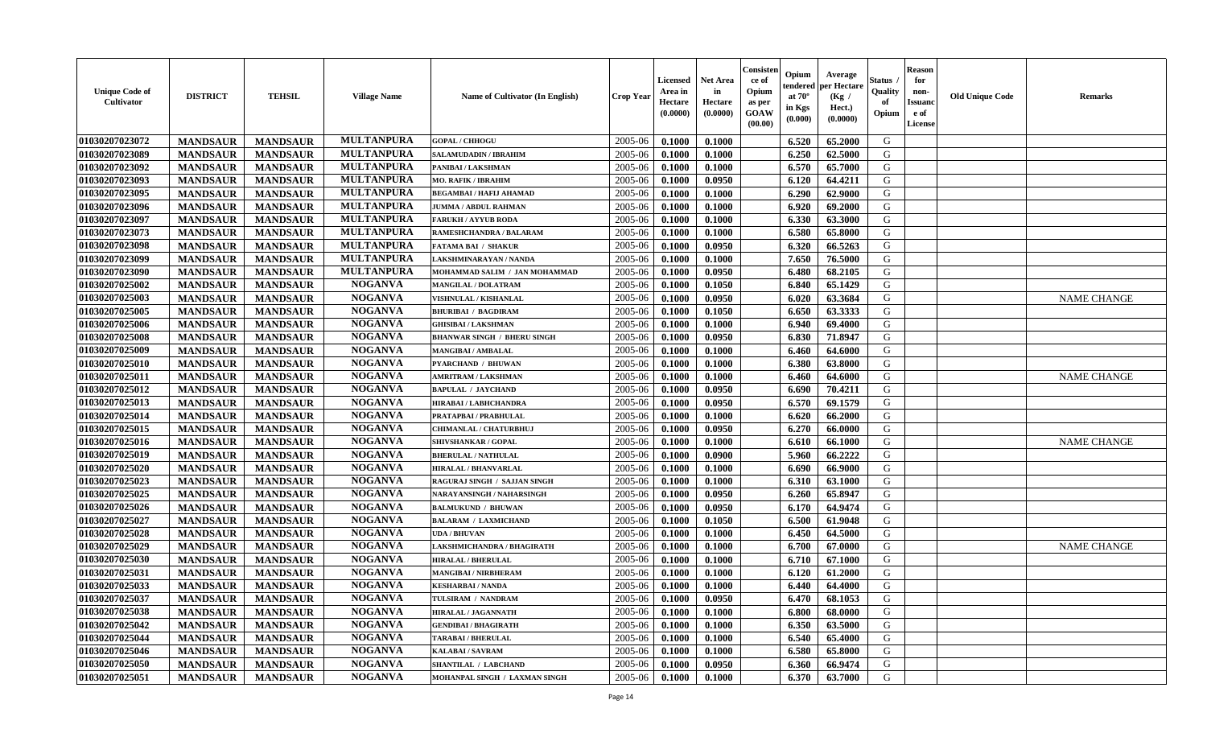| <b>Unique Code of</b><br>Cultivator | <b>DISTRICT</b> | <b>TEHSIL</b>   | <b>Village Name</b> | <b>Name of Cultivator (In English)</b> | <b>Crop Year</b> | <b>Licensed</b><br>Area in<br>Hectare<br>(0.0000) | <b>Net Area</b><br>in<br>Hectare<br>(0.0000) | Consister<br>ce of<br>Opium<br>as per<br>GOAW<br>(00.00) | Opium<br>endere<br>at $70^\circ$<br>in Kgs<br>(0.000) | Average<br>per Hectare<br>(Kg /<br>Hect.)<br>(0.0000) | Status<br>Quality<br>of<br>Opium | <b>Reason</b><br>for<br>non-<br>Issuan<br>e of<br>License | <b>Old Unique Code</b> | <b>Remarks</b>     |
|-------------------------------------|-----------------|-----------------|---------------------|----------------------------------------|------------------|---------------------------------------------------|----------------------------------------------|----------------------------------------------------------|-------------------------------------------------------|-------------------------------------------------------|----------------------------------|-----------------------------------------------------------|------------------------|--------------------|
| 01030207023072                      | <b>MANDSAUR</b> | <b>MANDSAUR</b> | <b>MULTANPURA</b>   | <b>GOPAL / CHHOGU</b>                  | 2005-06          | 0.1000                                            | 0.1000                                       |                                                          | 6.520                                                 | 65.2000                                               | G                                |                                                           |                        |                    |
| 01030207023089                      | <b>MANDSAUR</b> | <b>MANDSAUR</b> | <b>MULTANPURA</b>   | <b>SALAMUDADIN / IBRAHIM</b>           | 2005-06          | 0.1000                                            | 0.1000                                       |                                                          | 6.250                                                 | 62.5000                                               | G                                |                                                           |                        |                    |
| 01030207023092                      | <b>MANDSAUR</b> | <b>MANDSAUR</b> | <b>MULTANPURA</b>   | PANIBAI / LAKSHMAN                     | 2005-06          | 0.1000                                            | 0.1000                                       |                                                          | 6.570                                                 | 65.7000                                               | G                                |                                                           |                        |                    |
| 01030207023093                      | <b>MANDSAUR</b> | <b>MANDSAUR</b> | <b>MULTANPURA</b>   | <b>MO. RAFIK / IBRAHIM</b>             | 2005-06          | 0.1000                                            | 0.0950                                       |                                                          | 6.120                                                 | 64.4211                                               | G                                |                                                           |                        |                    |
| 01030207023095                      | <b>MANDSAUR</b> | <b>MANDSAUR</b> | <b>MULTANPURA</b>   | <b>BEGAMBAI / HAFIJ AHAMAD</b>         | 2005-06          | 0.1000                                            | 0.1000                                       |                                                          | 6.290                                                 | 62.9000                                               | G                                |                                                           |                        |                    |
| 01030207023096                      | <b>MANDSAUR</b> | <b>MANDSAUR</b> | <b>MULTANPURA</b>   | <b>JUMMA / ABDUL RAHMAN</b>            | 2005-06          | 0.1000                                            | 0.1000                                       |                                                          | 6.920                                                 | 69.2000                                               | G                                |                                                           |                        |                    |
| 01030207023097                      | <b>MANDSAUR</b> | <b>MANDSAUR</b> | <b>MULTANPURA</b>   | <b>FARUKH / AYYUB RODA</b>             | 2005-06          | 0.1000                                            | 0.1000                                       |                                                          | 6.330                                                 | 63.3000                                               | G                                |                                                           |                        |                    |
| 01030207023073                      | <b>MANDSAUR</b> | <b>MANDSAUR</b> | <b>MULTANPURA</b>   | RAMESHCHANDRA / BALARAM                | 2005-06          | 0.1000                                            | 0.1000                                       |                                                          | 6.580                                                 | 65.8000                                               | G                                |                                                           |                        |                    |
| 01030207023098                      | <b>MANDSAUR</b> | <b>MANDSAUR</b> | <b>MULTANPURA</b>   | <b>FATAMA BAI / SHAKUR</b>             | 2005-06          | 0.1000                                            | 0.0950                                       |                                                          | 6.320                                                 | 66.5263                                               | G                                |                                                           |                        |                    |
| 01030207023099                      | <b>MANDSAUR</b> | <b>MANDSAUR</b> | <b>MULTANPURA</b>   | LAKSHMINARAYAN / NANDA                 | 2005-06          | 0.1000                                            | 0.1000                                       |                                                          | 7.650                                                 | 76.5000                                               | G                                |                                                           |                        |                    |
| 01030207023090                      | <b>MANDSAUR</b> | <b>MANDSAUR</b> | <b>MULTANPURA</b>   | MOHAMMAD SALIM / JAN MOHAMMAD          | 2005-06          | 0.1000                                            | 0.0950                                       |                                                          | 6.480                                                 | 68.2105                                               | G                                |                                                           |                        |                    |
| 01030207025002                      | <b>MANDSAUR</b> | <b>MANDSAUR</b> | <b>NOGANVA</b>      | <b>MANGILAL / DOLATRAM</b>             | 2005-06          | 0.1000                                            | 0.1050                                       |                                                          | 6.840                                                 | 65.1429                                               | G                                |                                                           |                        |                    |
| 01030207025003                      | <b>MANDSAUR</b> | <b>MANDSAUR</b> | <b>NOGANVA</b>      | VISHNULAL / KISHANLAL                  | 2005-06          | 0.1000                                            | 0.0950                                       |                                                          | 6.020                                                 | 63.3684                                               | G                                |                                                           |                        | <b>NAME CHANGE</b> |
| 01030207025005                      | <b>MANDSAUR</b> | <b>MANDSAUR</b> | <b>NOGANVA</b>      | <b>BHURIBAI / BAGDIRAM</b>             | 2005-06          | 0.1000                                            | 0.1050                                       |                                                          | 6.650                                                 | 63.3333                                               | G                                |                                                           |                        |                    |
| 01030207025006                      | <b>MANDSAUR</b> | <b>MANDSAUR</b> | <b>NOGANVA</b>      | <b>GHISIBAI/LAKSHMAN</b>               | 2005-06          | 0.1000                                            | 0.1000                                       |                                                          | 6.940                                                 | 69.4000                                               | G                                |                                                           |                        |                    |
| 01030207025008                      | <b>MANDSAUR</b> | <b>MANDSAUR</b> | <b>NOGANVA</b>      | <b>BHANWAR SINGH / BHERU SINGH</b>     | 2005-06          | 0.1000                                            | 0.0950                                       |                                                          | 6.830                                                 | 71.8947                                               | G                                |                                                           |                        |                    |
| 01030207025009                      | <b>MANDSAUR</b> | <b>MANDSAUR</b> | <b>NOGANVA</b>      | <b>MANGIBAI/AMBALAL</b>                | 2005-06          | 0.1000                                            | 0.1000                                       |                                                          | 6.460                                                 | 64.6000                                               | G                                |                                                           |                        |                    |
| 01030207025010                      | <b>MANDSAUR</b> | <b>MANDSAUR</b> | <b>NOGANVA</b>      | <b>PYARCHAND / BHUWAN</b>              | 2005-06          | 0.1000                                            | 0.1000                                       |                                                          | 6.380                                                 | 63.8000                                               | G                                |                                                           |                        |                    |
| 01030207025011                      | <b>MANDSAUR</b> | <b>MANDSAUR</b> | <b>NOGANVA</b>      | <b>AMRITRAM / LAKSHMAN</b>             | 2005-06          | 0.1000                                            | 0.1000                                       |                                                          | 6.460                                                 | 64.6000                                               | G                                |                                                           |                        | <b>NAME CHANGE</b> |
| 01030207025012                      | <b>MANDSAUR</b> | <b>MANDSAUR</b> | <b>NOGANVA</b>      | <b>BAPULAL / JAYCHAND</b>              | 2005-06          | 0.1000                                            | 0.0950                                       |                                                          | 6.690                                                 | 70.4211                                               | G                                |                                                           |                        |                    |
| 01030207025013                      | <b>MANDSAUR</b> | <b>MANDSAUR</b> | <b>NOGANVA</b>      | HIRABAI / LABHCHANDRA                  | 2005-06          | 0.1000                                            | 0.0950                                       |                                                          | 6.570                                                 | 69.1579                                               | G                                |                                                           |                        |                    |
| 01030207025014                      | <b>MANDSAUR</b> | <b>MANDSAUR</b> | <b>NOGANVA</b>      | PRATAPBAI / PRABHULAL                  | 2005-06          | 0.1000                                            | 0.1000                                       |                                                          | 6.620                                                 | 66.2000                                               | G                                |                                                           |                        |                    |
| 01030207025015                      | <b>MANDSAUR</b> | <b>MANDSAUR</b> | <b>NOGANVA</b>      | <b>CHIMANLAL / CHATURBHUJ</b>          | 2005-06          | 0.1000                                            | 0.0950                                       |                                                          | 6.270                                                 | 66.0000                                               | G                                |                                                           |                        |                    |
| 01030207025016                      | <b>MANDSAUR</b> | <b>MANDSAUR</b> | <b>NOGANVA</b>      | SHIVSHANKAR / GOPAL                    | 2005-06          | 0.1000                                            | 0.1000                                       |                                                          | 6.610                                                 | 66.1000                                               | G                                |                                                           |                        | <b>NAME CHANGE</b> |
| 01030207025019                      | <b>MANDSAUR</b> | <b>MANDSAUR</b> | <b>NOGANVA</b>      | <b>BHERULAL / NATHULAL</b>             | 2005-06          | 0.1000                                            | 0.0900                                       |                                                          | 5.960                                                 | 66.2222                                               | G                                |                                                           |                        |                    |
| 01030207025020                      | <b>MANDSAUR</b> | <b>MANDSAUR</b> | <b>NOGANVA</b>      | <b>HIRALAL / BHANVARLAL</b>            | 2005-06          | 0.1000                                            | 0.1000                                       |                                                          | 6.690                                                 | 66.9000                                               | G                                |                                                           |                        |                    |
| 01030207025023                      | <b>MANDSAUR</b> | <b>MANDSAUR</b> | <b>NOGANVA</b>      | RAGURAJ SINGH / SAJJAN SINGH           | 2005-06          | 0.1000                                            | 0.1000                                       |                                                          | 6.310                                                 | 63.1000                                               | G                                |                                                           |                        |                    |
| 01030207025025                      | <b>MANDSAUR</b> | <b>MANDSAUR</b> | <b>NOGANVA</b>      | NARAYANSINGH / NAHARSINGH              | 2005-06          | 0.1000                                            | 0.0950                                       |                                                          | 6.260                                                 | 65.8947                                               | G                                |                                                           |                        |                    |
| 01030207025026                      | <b>MANDSAUR</b> | <b>MANDSAUR</b> | <b>NOGANVA</b>      | <b>BALMUKUND / BHUWAN</b>              | 2005-06          | 0.1000                                            | 0.0950                                       |                                                          | 6.170                                                 | 64.9474                                               | G                                |                                                           |                        |                    |
| 01030207025027                      | <b>MANDSAUR</b> | <b>MANDSAUR</b> | <b>NOGANVA</b>      | <b>BALARAM / LAXMICHAND</b>            | 2005-06          | 0.1000                                            | 0.1050                                       |                                                          | 6.500                                                 | 61.9048                                               | G                                |                                                           |                        |                    |
| 01030207025028                      | <b>MANDSAUR</b> | <b>MANDSAUR</b> | <b>NOGANVA</b>      | <b>UDA / BHUVAN</b>                    | 2005-06          | 0.1000                                            | 0.1000                                       |                                                          | 6.450                                                 | 64.5000                                               | G                                |                                                           |                        |                    |
| 01030207025029                      | <b>MANDSAUR</b> | <b>MANDSAUR</b> | <b>NOGANVA</b>      | LAKSHMICHANDRA / BHAGIRATH             | 2005-06          | 0.1000                                            | 0.1000                                       |                                                          | 6.700                                                 | 67.0000                                               | G                                |                                                           |                        | <b>NAME CHANGE</b> |
| 01030207025030                      | <b>MANDSAUR</b> | <b>MANDSAUR</b> | <b>NOGANVA</b>      | <b>HIRALAL / BHERULAL</b>              | 2005-06          | 0.1000                                            | 0.1000                                       |                                                          | 6.710                                                 | 67.1000                                               | G                                |                                                           |                        |                    |
| 01030207025031                      | <b>MANDSAUR</b> | <b>MANDSAUR</b> | <b>NOGANVA</b>      | <b>MANGIBAI / NIRBHERAM</b>            | 2005-06          | 0.1000                                            | 0.1000                                       |                                                          | 6.120                                                 | 61.2000                                               | G                                |                                                           |                        |                    |
| 01030207025033                      | <b>MANDSAUR</b> | <b>MANDSAUR</b> | <b>NOGANVA</b>      | <b>KESHARBAI/NANDA</b>                 | 2005-06          | 0.1000                                            | 0.1000                                       |                                                          | 6.440                                                 | 64.4000                                               | G                                |                                                           |                        |                    |
| 01030207025037                      | <b>MANDSAUR</b> | <b>MANDSAUR</b> | <b>NOGANVA</b>      | TULSIRAM / NANDRAM                     | $2005 - 06$      | 0.1000                                            | 0.0950                                       |                                                          | 6.470                                                 | 68.1053                                               | G                                |                                                           |                        |                    |
| 01030207025038                      | <b>MANDSAUR</b> | <b>MANDSAUR</b> | <b>NOGANVA</b>      | <b>HIRALAL / JAGANNATH</b>             | 2005-06          | 0.1000                                            | 0.1000                                       |                                                          | 6.800                                                 | 68.0000                                               | G                                |                                                           |                        |                    |
| 01030207025042                      | <b>MANDSAUR</b> | <b>MANDSAUR</b> | <b>NOGANVA</b>      | <b>GENDIBAI / BHAGIRATH</b>            | 2005-06          | 0.1000                                            | 0.1000                                       |                                                          | 6.350                                                 | 63.5000                                               | G                                |                                                           |                        |                    |
| 01030207025044                      | <b>MANDSAUR</b> | <b>MANDSAUR</b> | <b>NOGANVA</b>      | <b>TARABAI / BHERULAL</b>              | 2005-06          | 0.1000                                            | 0.1000                                       |                                                          | 6.540                                                 | 65.4000                                               | G                                |                                                           |                        |                    |
| 01030207025046                      | <b>MANDSAUR</b> | <b>MANDSAUR</b> | <b>NOGANVA</b>      | <b>KALABAI/SAVRAM</b>                  | 2005-06          | 0.1000                                            | 0.1000                                       |                                                          | 6.580                                                 | 65.8000                                               | G                                |                                                           |                        |                    |
| 01030207025050                      | <b>MANDSAUR</b> | <b>MANDSAUR</b> | <b>NOGANVA</b>      | <b>SHANTILAL / LABCHAND</b>            | 2005-06          | 0.1000                                            | 0.0950                                       |                                                          | 6.360                                                 | 66.9474                                               | G                                |                                                           |                        |                    |
| 01030207025051                      | <b>MANDSAUR</b> | <b>MANDSAUR</b> | <b>NOGANVA</b>      | MOHANPAL SINGH / LAXMAN SINGH          | 2005-06          | 0.1000                                            | 0.1000                                       |                                                          | 6.370                                                 | 63.7000                                               | G                                |                                                           |                        |                    |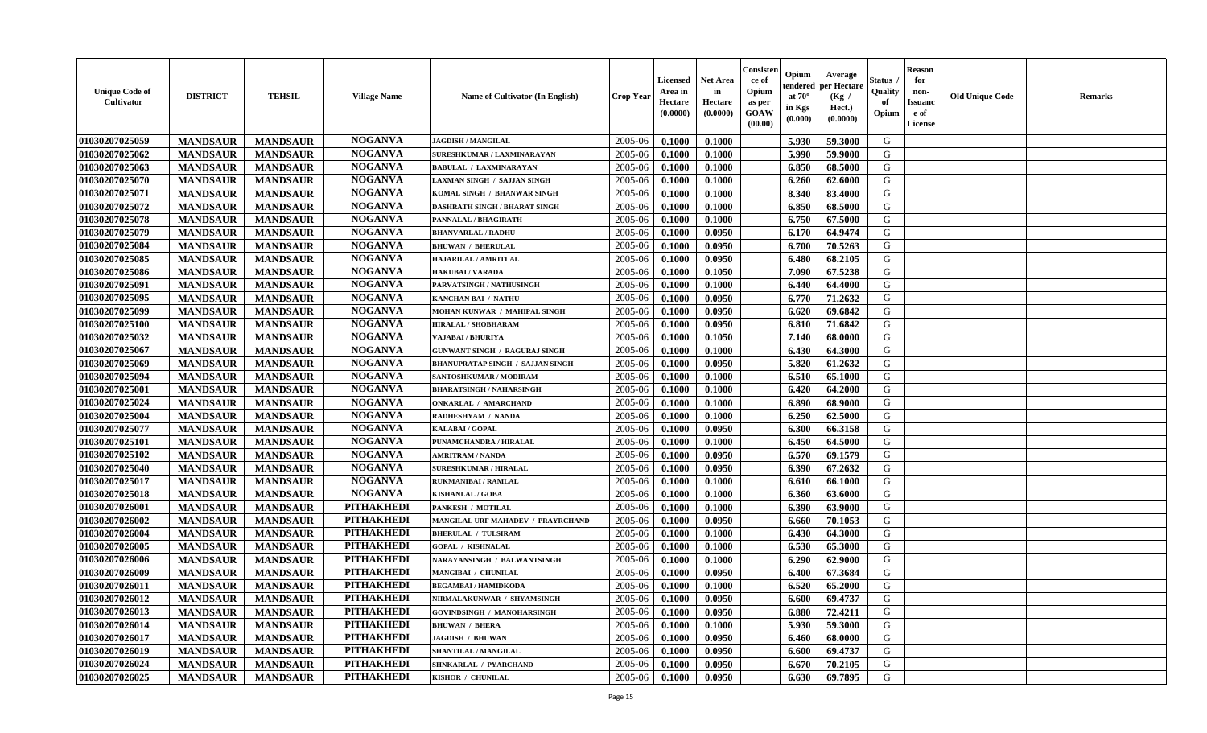| <b>Unique Code of</b><br><b>Cultivator</b> | <b>DISTRICT</b> | <b>TEHSIL</b>   | <b>Village Name</b> | Name of Cultivator (In English)         | <b>Crop Year</b> | <b>Licensed</b><br>Area in<br>Hectare<br>(0.0000) | <b>Net Area</b><br>in<br>Hectare<br>(0.0000) | Consister<br>ce of<br>Opium<br>as per<br><b>GOAW</b><br>(00.00) | Opium<br>endered<br>at $70^{\circ}$<br>in Kgs<br>$(\mathbf{0.000})$ | Average<br>per Hectare<br>(Kg)<br>Hect.)<br>(0.0000) | Status<br>Quality<br>of<br>Opium | <b>Reason</b><br>for<br>non-<br><b>Issuano</b><br>e of<br>License | <b>Old Unique Code</b> | <b>Remarks</b> |
|--------------------------------------------|-----------------|-----------------|---------------------|-----------------------------------------|------------------|---------------------------------------------------|----------------------------------------------|-----------------------------------------------------------------|---------------------------------------------------------------------|------------------------------------------------------|----------------------------------|-------------------------------------------------------------------|------------------------|----------------|
| 01030207025059                             | <b>MANDSAUR</b> | <b>MANDSAUR</b> | <b>NOGANVA</b>      | <b>JAGDISH / MANGILAL</b>               | 2005-06          | 0.1000                                            | 0.1000                                       |                                                                 | 5.930                                                               | 59.3000                                              | G                                |                                                                   |                        |                |
| 01030207025062                             | <b>MANDSAUR</b> | <b>MANDSAUR</b> | <b>NOGANVA</b>      | SURESHKUMAR / LAXMINARAYAN              | 2005-06          | 0.1000                                            | 0.1000                                       |                                                                 | 5.990                                                               | 59.9000                                              | G                                |                                                                   |                        |                |
| 01030207025063                             | <b>MANDSAUR</b> | <b>MANDSAUR</b> | <b>NOGANVA</b>      | <b>BABULAL / LAXMINARAYAN</b>           | 2005-06          | 0.1000                                            | 0.1000                                       |                                                                 | 6.850                                                               | 68.5000                                              | G                                |                                                                   |                        |                |
| 01030207025070                             | <b>MANDSAUR</b> | <b>MANDSAUR</b> | <b>NOGANVA</b>      | LAXMAN SINGH / SAJJAN SINGH             | 2005-06          | 0.1000                                            | 0.1000                                       |                                                                 | 6.260                                                               | 62.6000                                              | G                                |                                                                   |                        |                |
| 01030207025071                             | <b>MANDSAUR</b> | <b>MANDSAUR</b> | <b>NOGANVA</b>      | KOMAL SINGH / BHANWAR SINGH             | 2005-06          | 0.1000                                            | 0.1000                                       |                                                                 | 8.340                                                               | 83.4000                                              | G                                |                                                                   |                        |                |
| 01030207025072                             | <b>MANDSAUR</b> | <b>MANDSAUR</b> | <b>NOGANVA</b>      | DASHRATH SINGH / BHARAT SINGH           | 2005-06          | 0.1000                                            | 0.1000                                       |                                                                 | 6.850                                                               | 68.5000                                              | G                                |                                                                   |                        |                |
| 01030207025078                             | <b>MANDSAUR</b> | <b>MANDSAUR</b> | <b>NOGANVA</b>      | PANNALAL / BHAGIRATH                    | 2005-06          | 0.1000                                            | 0.1000                                       |                                                                 | 6.750                                                               | 67.5000                                              | G                                |                                                                   |                        |                |
| 01030207025079                             | <b>MANDSAUR</b> | <b>MANDSAUR</b> | <b>NOGANVA</b>      | <b>BHANVARLAL / RADHU</b>               | 2005-06          | 0.1000                                            | 0.0950                                       |                                                                 | 6.170                                                               | 64.9474                                              | G                                |                                                                   |                        |                |
| 01030207025084                             | <b>MANDSAUR</b> | <b>MANDSAUR</b> | <b>NOGANVA</b>      | <b>BHUWAN / BHERULAL</b>                | 2005-06          | 0.1000                                            | 0.0950                                       |                                                                 | 6.700                                                               | 70.5263                                              | G                                |                                                                   |                        |                |
| 01030207025085                             | <b>MANDSAUR</b> | <b>MANDSAUR</b> | <b>NOGANVA</b>      | HAJARILAL / AMRITLAL                    | 2005-06          | 0.1000                                            | 0.0950                                       |                                                                 | 6.480                                                               | 68.2105                                              | G                                |                                                                   |                        |                |
| 01030207025086                             | <b>MANDSAUR</b> | <b>MANDSAUR</b> | <b>NOGANVA</b>      | <b>HAKUBAI/VARADA</b>                   | 2005-06          | 0.1000                                            | 0.1050                                       |                                                                 | 7.090                                                               | 67.5238                                              | G                                |                                                                   |                        |                |
| 01030207025091                             | <b>MANDSAUR</b> | <b>MANDSAUR</b> | <b>NOGANVA</b>      | PARVATSINGH / NATHUSINGH                | 2005-06          | 0.1000                                            | 0.1000                                       |                                                                 | 6.440                                                               | 64.4000                                              | G                                |                                                                   |                        |                |
| 01030207025095                             | <b>MANDSAUR</b> | <b>MANDSAUR</b> | <b>NOGANVA</b>      | <b>KANCHAN BAI / NATHU</b>              | 2005-06          | 0.1000                                            | 0.0950                                       |                                                                 | 6.770                                                               | 71.2632                                              | G                                |                                                                   |                        |                |
| 01030207025099                             | <b>MANDSAUR</b> | <b>MANDSAUR</b> | <b>NOGANVA</b>      | MOHAN KUNWAR / MAHIPAL SINGH            | 2005-06          | 0.1000                                            | 0.0950                                       |                                                                 | 6.620                                                               | 69.6842                                              | G                                |                                                                   |                        |                |
| 01030207025100                             | <b>MANDSAUR</b> | <b>MANDSAUR</b> | <b>NOGANVA</b>      | <b>HIRALAL / SHOBHARAM</b>              | 2005-06          | 0.1000                                            | 0.0950                                       |                                                                 | 6.810                                                               | 71.6842                                              | G                                |                                                                   |                        |                |
| 01030207025032                             | <b>MANDSAUR</b> | <b>MANDSAUR</b> | <b>NOGANVA</b>      | VAJABAI / BHURIYA                       | 2005-06          | 0.1000                                            | 0.1050                                       |                                                                 | 7.140                                                               | 68.0000                                              | G                                |                                                                   |                        |                |
| 01030207025067                             | <b>MANDSAUR</b> | <b>MANDSAUR</b> | <b>NOGANVA</b>      | <b>GUNWANT SINGH / RAGURAJ SINGH</b>    | 2005-06          | 0.1000                                            | 0.1000                                       |                                                                 | 6.430                                                               | 64.3000                                              | G                                |                                                                   |                        |                |
| 01030207025069                             | <b>MANDSAUR</b> | <b>MANDSAUR</b> | <b>NOGANVA</b>      | <b>BHANUPRATAP SINGH / SAJJAN SINGH</b> | 2005-06          | 0.1000                                            | 0.0950                                       |                                                                 | 5.820                                                               | 61.2632                                              | G                                |                                                                   |                        |                |
| 01030207025094                             | <b>MANDSAUR</b> | <b>MANDSAUR</b> | <b>NOGANVA</b>      | SANTOSHKUMAR / MODIRAM                  | 2005-06          | 0.1000                                            | 0.1000                                       |                                                                 | 6.510                                                               | 65.1000                                              | G                                |                                                                   |                        |                |
| 01030207025001                             | <b>MANDSAUR</b> | <b>MANDSAUR</b> | <b>NOGANVA</b>      | <b>BHARATSINGH / NAHARSINGH</b>         | 2005-06          | 0.1000                                            | 0.1000                                       |                                                                 | 6.420                                                               | 64.2000                                              | G                                |                                                                   |                        |                |
| 01030207025024                             | <b>MANDSAUR</b> | <b>MANDSAUR</b> | <b>NOGANVA</b>      | <b>ONKARLAL / AMARCHAND</b>             | 2005-06          | 0.1000                                            | 0.1000                                       |                                                                 | 6.890                                                               | 68.9000                                              | G                                |                                                                   |                        |                |
| 01030207025004                             | <b>MANDSAUR</b> | <b>MANDSAUR</b> | <b>NOGANVA</b>      | RADHESHYAM / NANDA                      | 2005-06          | 0.1000                                            | 0.1000                                       |                                                                 | 6.250                                                               | 62.5000                                              | G                                |                                                                   |                        |                |
| 01030207025077                             | <b>MANDSAUR</b> | <b>MANDSAUR</b> | <b>NOGANVA</b>      | <b>KALABAI/GOPAL</b>                    | 2005-06          | 0.1000                                            | 0.0950                                       |                                                                 | 6.300                                                               | 66.3158                                              | G                                |                                                                   |                        |                |
| 01030207025101                             | <b>MANDSAUR</b> | <b>MANDSAUR</b> | <b>NOGANVA</b>      | PUNAMCHANDRA / HIRALAL                  | 2005-06          | 0.1000                                            | 0.1000                                       |                                                                 | 6.450                                                               | 64.5000                                              | G                                |                                                                   |                        |                |
| 01030207025102                             | <b>MANDSAUR</b> | <b>MANDSAUR</b> | <b>NOGANVA</b>      | <b>AMRITRAM / NANDA</b>                 | 2005-06          | 0.1000                                            | 0.0950                                       |                                                                 | 6.570                                                               | 69.1579                                              | G                                |                                                                   |                        |                |
| 01030207025040                             | <b>MANDSAUR</b> | <b>MANDSAUR</b> | <b>NOGANVA</b>      | <b>SURESHKUMAR / HIRALAL</b>            | 2005-06          | 0.1000                                            | 0.0950                                       |                                                                 | 6.390                                                               | 67.2632                                              | G                                |                                                                   |                        |                |
| 01030207025017                             | <b>MANDSAUR</b> | <b>MANDSAUR</b> | <b>NOGANVA</b>      | RUKMANIBAI / RAMLAL                     | 2005-06          | 0.1000                                            | 0.1000                                       |                                                                 | 6.610                                                               | 66.1000                                              | G                                |                                                                   |                        |                |
| 01030207025018                             | <b>MANDSAUR</b> | <b>MANDSAUR</b> | <b>NOGANVA</b>      | <b>KISHANLAL / GOBA</b>                 | 2005-06          | 0.1000                                            | 0.1000                                       |                                                                 | 6.360                                                               | 63.6000                                              | G                                |                                                                   |                        |                |
| 01030207026001                             | <b>MANDSAUR</b> | <b>MANDSAUR</b> | <b>PITHAKHEDI</b>   | PANKESH / MOTILAL                       | 2005-06          | 0.1000                                            | 0.1000                                       |                                                                 | 6.390                                                               | 63.9000                                              | G                                |                                                                   |                        |                |
| 01030207026002                             | <b>MANDSAUR</b> | <b>MANDSAUR</b> | <b>PITHAKHEDI</b>   | MANGILAL URF MAHADEV / PRAYRCHAND       | 2005-06          | 0.1000                                            | 0.0950                                       |                                                                 | 6.660                                                               | 70.1053                                              | G                                |                                                                   |                        |                |
| 01030207026004                             | <b>MANDSAUR</b> | <b>MANDSAUR</b> | <b>PITHAKHEDI</b>   | <b>BHERULAL / TULSIRAM</b>              | 2005-06          | 0.1000                                            | 0.1000                                       |                                                                 | 6.430                                                               | 64.3000                                              | G                                |                                                                   |                        |                |
| 01030207026005                             | <b>MANDSAUR</b> | <b>MANDSAUR</b> | <b>PITHAKHEDI</b>   | <b>GOPAL / KISHNALAL</b>                | 2005-06          | 0.1000                                            | 0.1000                                       |                                                                 | 6.530                                                               | 65.3000                                              | G                                |                                                                   |                        |                |
| 01030207026006                             | <b>MANDSAUR</b> | <b>MANDSAUR</b> | <b>PITHAKHEDI</b>   | NARAYANSINGH / BALWANTSINGH             | 2005-06          | 0.1000                                            | 0.1000                                       |                                                                 | 6.290                                                               | 62.9000                                              | G                                |                                                                   |                        |                |
| 01030207026009                             | <b>MANDSAUR</b> | <b>MANDSAUR</b> | <b>PITHAKHEDI</b>   | MANGIBAI / CHUNILAL                     | 2005-06          | 0.1000                                            | 0.0950                                       |                                                                 | 6.400                                                               | 67.3684                                              | G                                |                                                                   |                        |                |
| 01030207026011                             | <b>MANDSAUR</b> | <b>MANDSAUR</b> | <b>PITHAKHEDI</b>   | <b>BEGAMBAI/HAMIDKODA</b>               | 2005-06          | 0.1000                                            | 0.1000                                       |                                                                 | 6.520                                                               | 65.2000                                              | G                                |                                                                   |                        |                |
| 01030207026012                             | <b>MANDSAUR</b> | <b>MANDSAUR</b> | PITHAKHEDI          | NIRMALAKUNWAR / SHYAMSINGH              | 2005-06          | 0.1000                                            | 0.0950                                       |                                                                 | 6.600                                                               | 69.4737                                              | G                                |                                                                   |                        |                |
| 01030207026013                             | <b>MANDSAUR</b> | <b>MANDSAUR</b> | <b>PITHAKHEDI</b>   | <b>GOVINDSINGH / MANOHARSINGH</b>       | 2005-06          | 0.1000                                            | 0.0950                                       |                                                                 | 6.880                                                               | 72.4211                                              | G                                |                                                                   |                        |                |
| 01030207026014                             | <b>MANDSAUR</b> | <b>MANDSAUR</b> | <b>PITHAKHEDI</b>   | <b>BHUWAN / BHERA</b>                   | 2005-06          | 0.1000                                            | 0.1000                                       |                                                                 | 5.930                                                               | 59.3000                                              | G                                |                                                                   |                        |                |
| 01030207026017                             | <b>MANDSAUR</b> | <b>MANDSAUR</b> | <b>PITHAKHEDI</b>   | <b>JAGDISH / BHUWAN</b>                 | 2005-06          | 0.1000                                            | 0.0950                                       |                                                                 | 6.460                                                               | 68.0000                                              | G                                |                                                                   |                        |                |
| 01030207026019                             | <b>MANDSAUR</b> | <b>MANDSAUR</b> | <b>PITHAKHEDI</b>   | SHANTILAL / MANGILAL                    | 2005-06          | 0.1000                                            | 0.0950                                       |                                                                 | 6.600                                                               | 69.4737                                              | G                                |                                                                   |                        |                |
| 01030207026024                             | <b>MANDSAUR</b> | <b>MANDSAUR</b> | <b>PITHAKHEDI</b>   | SHNKARLAL / PYARCHAND                   | 2005-06          | 0.1000                                            | 0.0950                                       |                                                                 | 6.670                                                               | 70.2105                                              | G                                |                                                                   |                        |                |
| 01030207026025                             | <b>MANDSAUR</b> | <b>MANDSAUR</b> | <b>PITHAKHEDI</b>   | KISHOR / CHUNILAL                       | 2005-06          | 0.1000                                            | 0.0950                                       |                                                                 | 6.630                                                               | 69.7895                                              | G                                |                                                                   |                        |                |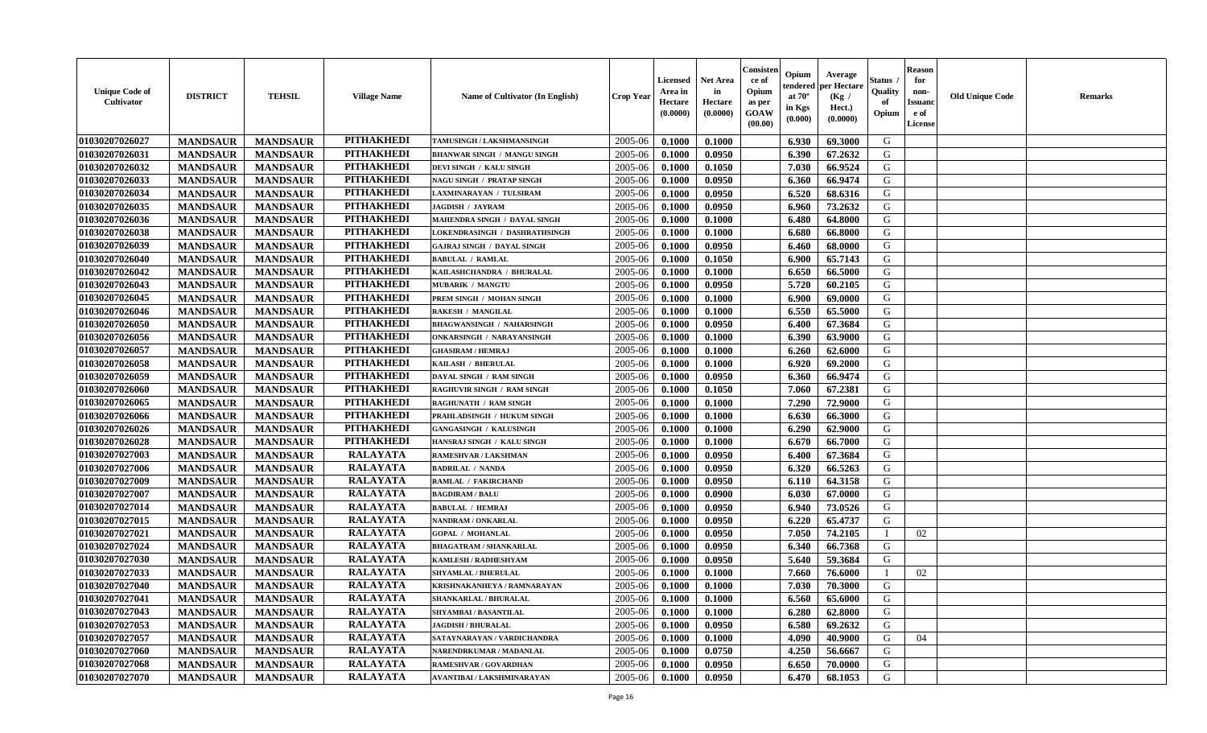| <b>Unique Code of</b><br><b>Cultivator</b> | <b>DISTRICT</b> | <b>TEHSIL</b>   | <b>Village Name</b> | Name of Cultivator (In English)    | <b>Crop Year</b> | <b>Licensed</b><br>Area in<br>Hectare<br>(0.0000) | <b>Net Area</b><br>in<br>Hectare<br>(0.0000) | Consister<br>ce of<br>Opium<br>as per<br><b>GOAW</b><br>(00.00) | Opium<br>endered<br>at $70^{\circ}$<br>in Kgs<br>$(\mathbf{0.000})$ | Average<br>per Hectare<br>(Kg)<br>Hect.)<br>(0.0000) | Status<br>Quality<br>of<br>Opium | <b>Reason</b><br>for<br>non-<br><b>Issuano</b><br>e of<br>License | <b>Old Unique Code</b> | <b>Remarks</b> |
|--------------------------------------------|-----------------|-----------------|---------------------|------------------------------------|------------------|---------------------------------------------------|----------------------------------------------|-----------------------------------------------------------------|---------------------------------------------------------------------|------------------------------------------------------|----------------------------------|-------------------------------------------------------------------|------------------------|----------------|
| 01030207026027                             | <b>MANDSAUR</b> | <b>MANDSAUR</b> | <b>PITHAKHEDI</b>   | TAMUSINGH / LAKSHMANSINGH          | 2005-06          | 0.1000                                            | 0.1000                                       |                                                                 | 6.930                                                               | 69.3000                                              | G                                |                                                                   |                        |                |
| 01030207026031                             | <b>MANDSAUR</b> | <b>MANDSAUR</b> | <b>PITHAKHEDI</b>   | <b>BHANWAR SINGH / MANGU SINGH</b> | 2005-06          | 0.1000                                            | 0.0950                                       |                                                                 | 6.390                                                               | 67.2632                                              | G                                |                                                                   |                        |                |
| 01030207026032                             | <b>MANDSAUR</b> | <b>MANDSAUR</b> | <b>PITHAKHEDI</b>   | DEVI SINGH / KALU SINGH            | 2005-06          | 0.1000                                            | 0.1050                                       |                                                                 | 7.030                                                               | 66.9524                                              | G                                |                                                                   |                        |                |
| 01030207026033                             | <b>MANDSAUR</b> | <b>MANDSAUR</b> | <b>PITHAKHEDI</b>   | <b>NAGU SINGH / PRATAP SINGH</b>   | 2005-06          | 0.1000                                            | 0.0950                                       |                                                                 | 6.360                                                               | 66.9474                                              | G                                |                                                                   |                        |                |
| 01030207026034                             | <b>MANDSAUR</b> | <b>MANDSAUR</b> | <b>PITHAKHEDI</b>   | LAXMINARAYAN / TULSIRAM            | 2005-06          | 0.1000                                            | 0.0950                                       |                                                                 | 6.520                                                               | 68.6316                                              | G                                |                                                                   |                        |                |
| 01030207026035                             | <b>MANDSAUR</b> | <b>MANDSAUR</b> | <b>PITHAKHEDI</b>   | <b>JAGDISH / JAYRAM</b>            | 2005-06          | 0.1000                                            | 0.0950                                       |                                                                 | 6.960                                                               | 73.2632                                              | G                                |                                                                   |                        |                |
| 01030207026036                             | <b>MANDSAUR</b> | <b>MANDSAUR</b> | <b>PITHAKHEDI</b>   | MAHENDRA SINGH / DAYAL SINGH       | 2005-06          | 0.1000                                            | 0.1000                                       |                                                                 | 6.480                                                               | 64.8000                                              | G                                |                                                                   |                        |                |
| 01030207026038                             | <b>MANDSAUR</b> | <b>MANDSAUR</b> | <b>PITHAKHEDI</b>   | LOKENDRASINGH / DASHRATHSINGH      | 2005-06          | 0.1000                                            | 0.1000                                       |                                                                 | 6.680                                                               | 66.8000                                              | G                                |                                                                   |                        |                |
| 01030207026039                             | <b>MANDSAUR</b> | <b>MANDSAUR</b> | <b>PITHAKHEDI</b>   | <b>GAJRAJ SINGH / DAYAL SINGH</b>  | 2005-06          | 0.1000                                            | 0.0950                                       |                                                                 | 6.460                                                               | 68.0000                                              | G                                |                                                                   |                        |                |
| 01030207026040                             | <b>MANDSAUR</b> | <b>MANDSAUR</b> | <b>PITHAKHEDI</b>   | <b>BABULAL / RAMLAL</b>            | 2005-06          | 0.1000                                            | 0.1050                                       |                                                                 | 6.900                                                               | 65.7143                                              | G                                |                                                                   |                        |                |
| 01030207026042                             | <b>MANDSAUR</b> | <b>MANDSAUR</b> | <b>PITHAKHEDI</b>   | KAILASHCHANDRA / BHURALAL          | 2005-06          | 0.1000                                            | 0.1000                                       |                                                                 | 6.650                                                               | 66.5000                                              | G                                |                                                                   |                        |                |
| 01030207026043                             | <b>MANDSAUR</b> | <b>MANDSAUR</b> | <b>PITHAKHEDI</b>   | <b>MUBARIK / MANGTU</b>            | 2005-06          | 0.1000                                            | 0.0950                                       |                                                                 | 5.720                                                               | 60.2105                                              | G                                |                                                                   |                        |                |
| 01030207026045                             | <b>MANDSAUR</b> | <b>MANDSAUR</b> | <b>PITHAKHEDI</b>   | PREM SINGH / MOHAN SINGH           | 2005-06          | 0.1000                                            | 0.1000                                       |                                                                 | 6.900                                                               | 69.0000                                              | G                                |                                                                   |                        |                |
| 01030207026046                             | <b>MANDSAUR</b> | <b>MANDSAUR</b> | <b>PITHAKHEDI</b>   | <b>RAKESH / MANGILAL</b>           | 2005-06          | 0.1000                                            | 0.1000                                       |                                                                 | 6.550                                                               | 65.5000                                              | G                                |                                                                   |                        |                |
| 01030207026050                             | <b>MANDSAUR</b> | <b>MANDSAUR</b> | <b>PITHAKHEDI</b>   | <b>BHAGWANSINGH / NAHARSINGH</b>   | 2005-06          | 0.1000                                            | 0.0950                                       |                                                                 | 6.400                                                               | 67.3684                                              | G                                |                                                                   |                        |                |
| 01030207026056                             | <b>MANDSAUR</b> | <b>MANDSAUR</b> | <b>PITHAKHEDI</b>   | <b>ONKARSINGH / NARAYANSINGH</b>   | 2005-06          | 0.1000                                            | 0.1000                                       |                                                                 | 6.390                                                               | 63.9000                                              | G                                |                                                                   |                        |                |
| 01030207026057                             | <b>MANDSAUR</b> | <b>MANDSAUR</b> | <b>PITHAKHEDI</b>   | <b>GHASIRAM / HEMRAJ</b>           | 2005-06          | 0.1000                                            | 0.1000                                       |                                                                 | 6.260                                                               | 62.6000                                              | G                                |                                                                   |                        |                |
| 01030207026058                             | <b>MANDSAUR</b> | <b>MANDSAUR</b> | <b>PITHAKHEDI</b>   | KAILASH / BHERULAL                 | 2005-06          | 0.1000                                            | 0.1000                                       |                                                                 | 6.920                                                               | 69.2000                                              | G                                |                                                                   |                        |                |
| 01030207026059                             | <b>MANDSAUR</b> | <b>MANDSAUR</b> | <b>PITHAKHEDI</b>   | DAYAL SINGH / RAM SINGH            | 2005-06          | 0.1000                                            | 0.0950                                       |                                                                 | 6.360                                                               | 66.9474                                              | G                                |                                                                   |                        |                |
| 01030207026060                             | <b>MANDSAUR</b> | <b>MANDSAUR</b> | <b>PITHAKHEDI</b>   | <b>RAGHUVIR SINGH / RAM SINGH</b>  | 2005-06          | 0.1000                                            | 0.1050                                       |                                                                 | 7.060                                                               | 67.2381                                              | G                                |                                                                   |                        |                |
| 01030207026065                             | <b>MANDSAUR</b> | <b>MANDSAUR</b> | <b>PITHAKHEDI</b>   | <b>RAGHUNATH / RAM SINGH</b>       | 2005-06          | 0.1000                                            | 0.1000                                       |                                                                 | 7.290                                                               | 72.9000                                              | G                                |                                                                   |                        |                |
| 01030207026066                             | <b>MANDSAUR</b> | <b>MANDSAUR</b> | <b>PITHAKHEDI</b>   | PRAHLADSINGH / HUKUM SINGH         | 2005-06          | 0.1000                                            | 0.1000                                       |                                                                 | 6.630                                                               | 66.3000                                              | G                                |                                                                   |                        |                |
| 01030207026026                             | <b>MANDSAUR</b> | <b>MANDSAUR</b> | <b>PITHAKHEDI</b>   | <b>GANGASINGH / KALUSINGH</b>      | 2005-06          | 0.1000                                            | 0.1000                                       |                                                                 | 6.290                                                               | 62.9000                                              | G                                |                                                                   |                        |                |
| 01030207026028                             | <b>MANDSAUR</b> | <b>MANDSAUR</b> | <b>PITHAKHEDI</b>   | HANSRAJ SINGH / KALU SINGH         | 2005-06          | 0.1000                                            | 0.1000                                       |                                                                 | 6.670                                                               | 66.7000                                              | G                                |                                                                   |                        |                |
| 01030207027003                             | <b>MANDSAUR</b> | <b>MANDSAUR</b> | <b>RALAYATA</b>     | RAMESHVAR / LAKSHMAN               | 2005-06          | 0.1000                                            | 0.0950                                       |                                                                 | 6.400                                                               | 67.3684                                              | G                                |                                                                   |                        |                |
| 01030207027006                             | <b>MANDSAUR</b> | <b>MANDSAUR</b> | <b>RALAYATA</b>     | <b>BADRILAL / NANDA</b>            | 2005-06          | 0.1000                                            | 0.0950                                       |                                                                 | 6.320                                                               | 66.5263                                              | G                                |                                                                   |                        |                |
| 01030207027009                             | <b>MANDSAUR</b> | <b>MANDSAUR</b> | <b>RALAYATA</b>     | RAMLAL / FAKIRCHAND                | 2005-06          | 0.1000                                            | 0.0950                                       |                                                                 | 6.110                                                               | 64.3158                                              | G                                |                                                                   |                        |                |
| 01030207027007                             | <b>MANDSAUR</b> | <b>MANDSAUR</b> | <b>RALAYATA</b>     | <b>BAGDIRAM / BALU</b>             | 2005-06          | 0.1000                                            | 0.0900                                       |                                                                 | 6.030                                                               | 67.0000                                              | G                                |                                                                   |                        |                |
| 01030207027014                             | <b>MANDSAUR</b> | <b>MANDSAUR</b> | <b>RALAYATA</b>     | <b>BABULAL / HEMRAJ</b>            | 2005-06          | 0.1000                                            | 0.0950                                       |                                                                 | 6.940                                                               | 73.0526                                              | G                                |                                                                   |                        |                |
| 01030207027015                             | <b>MANDSAUR</b> | <b>MANDSAUR</b> | <b>RALAYATA</b>     | NANDRAM / ONKARLAL                 | 2005-06          | 0.1000                                            | 0.0950                                       |                                                                 | 6.220                                                               | 65.4737                                              | G                                |                                                                   |                        |                |
| 01030207027021                             | <b>MANDSAUR</b> | <b>MANDSAUR</b> | <b>RALAYATA</b>     | <b>GOPAL / MOHANLAL</b>            | 2005-06          | 0.1000                                            | 0.0950                                       |                                                                 | 7.050                                                               | 74.2105                                              |                                  | 02                                                                |                        |                |
| 01030207027024                             | <b>MANDSAUR</b> | <b>MANDSAUR</b> | <b>RALAYATA</b>     | <b>BHAGATRAM / SHANKARLAL</b>      | 2005-06          | 0.1000                                            | 0.0950                                       |                                                                 | 6.340                                                               | 66.7368                                              | G                                |                                                                   |                        |                |
| 01030207027030                             | <b>MANDSAUR</b> | <b>MANDSAUR</b> | <b>RALAYATA</b>     | KAMLESH / RADHESHYAM               | 2005-06          | 0.1000                                            | 0.0950                                       |                                                                 | 5.640                                                               | 59.3684                                              | G                                |                                                                   |                        |                |
| 01030207027033                             | <b>MANDSAUR</b> | <b>MANDSAUR</b> | <b>RALAYATA</b>     | SHYAMLAL / BHERULAL                | 2005-06          | 0.1000                                            | 0.1000                                       |                                                                 | 7.660                                                               | 76.6000                                              |                                  | 02                                                                |                        |                |
| 01030207027040                             | <b>MANDSAUR</b> | <b>MANDSAUR</b> | <b>RALAYATA</b>     | KRISHNAKANHEYA / RAMNARAYAN        | 2005-06          | 0.1000                                            | 0.1000                                       |                                                                 | 7.030                                                               | 70.3000                                              | G                                |                                                                   |                        |                |
| 01030207027041                             | <b>MANDSAUR</b> | <b>MANDSAUR</b> | <b>RALAYATA</b>     | SHANKARLAL / BHURALAL              | $2005 - 06$      | 0.1000                                            | 0.1000                                       |                                                                 | 6.560                                                               | 65.6000                                              | G                                |                                                                   |                        |                |
| 01030207027043                             | <b>MANDSAUR</b> | <b>MANDSAUR</b> | <b>RALAYATA</b>     | SHYAMBAI / BASANTILAL              | 2005-06          | 0.1000                                            | 0.1000                                       |                                                                 | 6.280                                                               | 62.8000                                              | G                                |                                                                   |                        |                |
| 01030207027053                             | <b>MANDSAUR</b> | <b>MANDSAUR</b> | <b>RALAYATA</b>     | <b>JAGDISH / BHURALAL</b>          | 2005-06          | 0.1000                                            | 0.0950                                       |                                                                 | 6.580                                                               | 69.2632                                              | G                                |                                                                   |                        |                |
| 01030207027057                             | <b>MANDSAUR</b> | <b>MANDSAUR</b> | <b>RALAYATA</b>     | SATAYNARAYAN / VARDICHANDRA        | 2005-06          | 0.1000                                            | 0.1000                                       |                                                                 | 4.090                                                               | 40.9000                                              | G                                | 04                                                                |                        |                |
| 01030207027060                             | <b>MANDSAUR</b> | <b>MANDSAUR</b> | <b>RALAYATA</b>     | NARENDRKUMAR / MADANLAL            | 2005-06          | 0.1000                                            | 0.0750                                       |                                                                 | 4.250                                                               | 56.6667                                              | G                                |                                                                   |                        |                |
| 01030207027068                             | <b>MANDSAUR</b> | <b>MANDSAUR</b> | <b>RALAYATA</b>     | RAMESHVAR / GOVARDHAN              | 2005-06          | 0.1000                                            | 0.0950                                       |                                                                 | 6.650                                                               | 70.0000                                              | G                                |                                                                   |                        |                |
| 01030207027070                             | <b>MANDSAUR</b> | <b>MANDSAUR</b> | <b>RALAYATA</b>     | AVANTIBAI / LAKSHMINARAYAN         | 2005-06          | 0.1000                                            | 0.0950                                       |                                                                 | 6.470                                                               | 68.1053                                              | G                                |                                                                   |                        |                |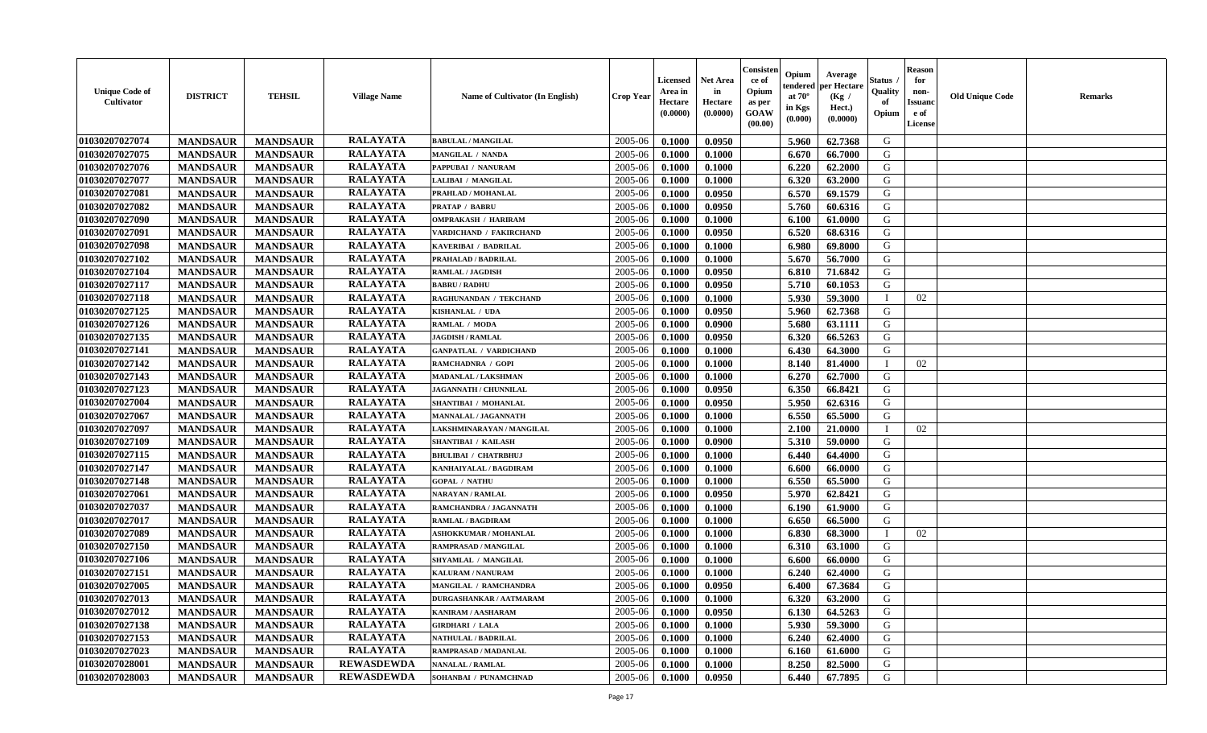| <b>Unique Code of</b><br><b>Cultivator</b> | <b>DISTRICT</b> | <b>TEHSIL</b>   | <b>Village Name</b> | Name of Cultivator (In English) | <b>Crop Year</b> | <b>Licensed</b><br>Area in<br>Hectare<br>(0.0000) | <b>Net Area</b><br>in<br>Hectare<br>(0.0000) | Consister<br>ce of<br>Opium<br>as per<br>GOAW<br>(00.00) | Opium<br>endered<br>at $70^\circ$<br>in Kgs<br>(0.000) | Average<br>per Hectare<br>(Kg /<br>Hect.)<br>(0.0000) | Status<br>Quality<br>of<br>Opium | <b>Reason</b><br>for<br>non-<br><b>Issuand</b><br>e of<br>License | <b>Old Unique Code</b> | Remarks |
|--------------------------------------------|-----------------|-----------------|---------------------|---------------------------------|------------------|---------------------------------------------------|----------------------------------------------|----------------------------------------------------------|--------------------------------------------------------|-------------------------------------------------------|----------------------------------|-------------------------------------------------------------------|------------------------|---------|
| 01030207027074                             | <b>MANDSAUR</b> | <b>MANDSAUR</b> | <b>RALAYATA</b>     | <b>BABULAL / MANGILAL</b>       | 2005-06          | 0.1000                                            | 0.0950                                       |                                                          | 5.960                                                  | 62.7368                                               | G                                |                                                                   |                        |         |
| 01030207027075                             | <b>MANDSAUR</b> | <b>MANDSAUR</b> | <b>RALAYATA</b>     | MANGILAL / NANDA                | 2005-06          | 0.1000                                            | 0.1000                                       |                                                          | 6.670                                                  | 66.7000                                               | G                                |                                                                   |                        |         |
| 01030207027076                             | <b>MANDSAUR</b> | <b>MANDSAUR</b> | <b>RALAYATA</b>     | PAPPUBAI / NANURAM              | 2005-06          | 0.1000                                            | 0.1000                                       |                                                          | 6.220                                                  | 62.2000                                               | G                                |                                                                   |                        |         |
| 01030207027077                             | <b>MANDSAUR</b> | <b>MANDSAUR</b> | <b>RALAYATA</b>     | LALIBAI / MANGILAL              | 2005-06          | 0.1000                                            | 0.1000                                       |                                                          | 6.320                                                  | 63.2000                                               | G                                |                                                                   |                        |         |
| 01030207027081                             | <b>MANDSAUR</b> | <b>MANDSAUR</b> | <b>RALAYATA</b>     | PRAHLAD / MOHANLAL              | 2005-06          | 0.1000                                            | 0.0950                                       |                                                          | 6.570                                                  | 69.1579                                               | G                                |                                                                   |                        |         |
| 01030207027082                             | <b>MANDSAUR</b> | <b>MANDSAUR</b> | <b>RALAYATA</b>     | <b>PRATAP / BABRU</b>           | 2005-06          | 0.1000                                            | 0.0950                                       |                                                          | 5.760                                                  | 60.6316                                               | G                                |                                                                   |                        |         |
| 01030207027090                             | <b>MANDSAUR</b> | <b>MANDSAUR</b> | <b>RALAYATA</b>     | <b>OMPRAKASH / HARIRAM</b>      | 2005-06          | 0.1000                                            | 0.1000                                       |                                                          | 6.100                                                  | 61.0000                                               | G                                |                                                                   |                        |         |
| 01030207027091                             | <b>MANDSAUR</b> | <b>MANDSAUR</b> | <b>RALAYATA</b>     | VARDICHAND / FAKIRCHAND         | 2005-06          | 0.1000                                            | 0.0950                                       |                                                          | 6.520                                                  | 68.6316                                               | G                                |                                                                   |                        |         |
| 01030207027098                             | <b>MANDSAUR</b> | <b>MANDSAUR</b> | <b>RALAYATA</b>     | KAVERIBAI / BADRILAL            | 2005-06          | 0.1000                                            | 0.1000                                       |                                                          | 6.980                                                  | 69.8000                                               | G                                |                                                                   |                        |         |
| 01030207027102                             | <b>MANDSAUR</b> | <b>MANDSAUR</b> | <b>RALAYATA</b>     | PRAHALAD / BADRILAL             | 2005-06          | 0.1000                                            | 0.1000                                       |                                                          | 5.670                                                  | 56.7000                                               | G                                |                                                                   |                        |         |
| 01030207027104                             | <b>MANDSAUR</b> | <b>MANDSAUR</b> | <b>RALAYATA</b>     | <b>RAMLAL / JAGDISH</b>         | 2005-06          | 0.1000                                            | 0.0950                                       |                                                          | 6.810                                                  | 71.6842                                               | G                                |                                                                   |                        |         |
| 01030207027117                             | <b>MANDSAUR</b> | <b>MANDSAUR</b> | <b>RALAYATA</b>     | <b>BABRU / RADHU</b>            | 2005-06          | 0.1000                                            | 0.0950                                       |                                                          | 5.710                                                  | 60.1053                                               | G                                |                                                                   |                        |         |
| 01030207027118                             | <b>MANDSAUR</b> | <b>MANDSAUR</b> | <b>RALAYATA</b>     | RAGHUNANDAN / TEKCHAND          | 2005-06          | 0.1000                                            | 0.1000                                       |                                                          | 5.930                                                  | 59.3000                                               | $\mathbf{I}$                     | 02                                                                |                        |         |
| 01030207027125                             | <b>MANDSAUR</b> | <b>MANDSAUR</b> | <b>RALAYATA</b>     | KISHANLAL / UDA                 | 2005-06          | 0.1000                                            | 0.0950                                       |                                                          | 5.960                                                  | 62.7368                                               | G                                |                                                                   |                        |         |
| 01030207027126                             | <b>MANDSAUR</b> | <b>MANDSAUR</b> | <b>RALAYATA</b>     | RAMLAL / MODA                   | 2005-06          | 0.1000                                            | 0.0900                                       |                                                          | 5.680                                                  | 63.1111                                               | $\mathbf G$                      |                                                                   |                        |         |
| 01030207027135                             | <b>MANDSAUR</b> | <b>MANDSAUR</b> | <b>RALAYATA</b>     | <b>JAGDISH / RAMLAL</b>         | 2005-06          | 0.1000                                            | 0.0950                                       |                                                          | 6.320                                                  | 66.5263                                               | G                                |                                                                   |                        |         |
| 01030207027141                             | <b>MANDSAUR</b> | <b>MANDSAUR</b> | <b>RALAYATA</b>     | <b>GANPATLAL / VARDICHAND</b>   | 2005-06          | 0.1000                                            | 0.1000                                       |                                                          | 6.430                                                  | 64.3000                                               | G                                |                                                                   |                        |         |
| 01030207027142                             | <b>MANDSAUR</b> | <b>MANDSAUR</b> | <b>RALAYATA</b>     | RAMCHADNRA / GOPI               | 2005-06          | 0.1000                                            | 0.1000                                       |                                                          | 8.140                                                  | 81.4000                                               | $\mathbf{I}$                     | 02                                                                |                        |         |
| 01030207027143                             | <b>MANDSAUR</b> | <b>MANDSAUR</b> | <b>RALAYATA</b>     | <b>MADANLAL / LAKSHMAN</b>      | 2005-06          | 0.1000                                            | 0.1000                                       |                                                          | 6.270                                                  | 62.7000                                               | G                                |                                                                   |                        |         |
| 01030207027123                             | <b>MANDSAUR</b> | <b>MANDSAUR</b> | <b>RALAYATA</b>     | JAGANNATH / CHUNNILAL           | 2005-06          | 0.1000                                            | 0.0950                                       |                                                          | 6.350                                                  | 66.8421                                               | G                                |                                                                   |                        |         |
| 01030207027004                             | <b>MANDSAUR</b> | <b>MANDSAUR</b> | <b>RALAYATA</b>     | SHANTIBAI / MOHANLAL            | 2005-06          | 0.1000                                            | 0.0950                                       |                                                          | 5.950                                                  | 62.6316                                               | G                                |                                                                   |                        |         |
| 01030207027067                             | <b>MANDSAUR</b> | <b>MANDSAUR</b> | <b>RALAYATA</b>     | <b>MANNALAL / JAGANNATH</b>     | 2005-06          | 0.1000                                            | 0.1000                                       |                                                          | 6.550                                                  | 65.5000                                               | G                                |                                                                   |                        |         |
| 01030207027097                             | <b>MANDSAUR</b> | <b>MANDSAUR</b> | <b>RALAYATA</b>     | LAKSHMINARAYAN / MANGILAL       | 2005-06          | 0.1000                                            | 0.1000                                       |                                                          | 2.100                                                  | 21.0000                                               |                                  | 02                                                                |                        |         |
| 01030207027109                             | <b>MANDSAUR</b> | <b>MANDSAUR</b> | <b>RALAYATA</b>     | <b>SHANTIBAI / KAILASH</b>      | 2005-06          | 0.1000                                            | 0.0900                                       |                                                          | 5.310                                                  | 59.0000                                               | G                                |                                                                   |                        |         |
| 01030207027115                             | <b>MANDSAUR</b> | <b>MANDSAUR</b> | <b>RALAYATA</b>     | <b>BHULIBAI / CHATRBHUJ</b>     | 2005-06          | 0.1000                                            | 0.1000                                       |                                                          | 6.440                                                  | 64.4000                                               | G                                |                                                                   |                        |         |
| 01030207027147                             | <b>MANDSAUR</b> | <b>MANDSAUR</b> | <b>RALAYATA</b>     | KANHAIYALAL / BAGDIRAM          | 2005-06          | 0.1000                                            | 0.1000                                       |                                                          | 6.600                                                  | 66.0000                                               | G                                |                                                                   |                        |         |
| 01030207027148                             | <b>MANDSAUR</b> | <b>MANDSAUR</b> | <b>RALAYATA</b>     | <b>GOPAL / NATHU</b>            | 2005-06          | 0.1000                                            | 0.1000                                       |                                                          | 6.550                                                  | 65.5000                                               | G                                |                                                                   |                        |         |
| 01030207027061                             | <b>MANDSAUR</b> | <b>MANDSAUR</b> | <b>RALAYATA</b>     | <b>NARAYAN / RAMLAL</b>         | 2005-06          | 0.1000                                            | 0.0950                                       |                                                          | 5.970                                                  | 62.8421                                               | G                                |                                                                   |                        |         |
| 01030207027037                             | <b>MANDSAUR</b> | <b>MANDSAUR</b> | <b>RALAYATA</b>     | RAMCHANDRA / JAGANNATH          | 2005-06          | 0.1000                                            | 0.1000                                       |                                                          | 6.190                                                  | 61.9000                                               | G                                |                                                                   |                        |         |
| 01030207027017                             | <b>MANDSAUR</b> | <b>MANDSAUR</b> | <b>RALAYATA</b>     | <b>RAMLAL / BAGDIRAM</b>        | 2005-06          | 0.1000                                            | 0.1000                                       |                                                          | 6.650                                                  | 66.5000                                               | G                                |                                                                   |                        |         |
| 01030207027089                             | <b>MANDSAUR</b> | <b>MANDSAUR</b> | <b>RALAYATA</b>     | <b>ASHOKKUMAR / MOHANLAL</b>    | 2005-06          | 0.1000                                            | 0.1000                                       |                                                          | 6.830                                                  | 68.3000                                               | $\mathbf{I}$                     | 02                                                                |                        |         |
| 01030207027150                             | <b>MANDSAUR</b> | <b>MANDSAUR</b> | <b>RALAYATA</b>     | RAMPRASAD / MANGILAL            | 2005-06          | 0.1000                                            | 0.1000                                       |                                                          | 6.310                                                  | 63.1000                                               | G                                |                                                                   |                        |         |
| 01030207027106                             | <b>MANDSAUR</b> | <b>MANDSAUR</b> | <b>RALAYATA</b>     | SHYAMLAL / MANGILAL             | 2005-06          | 0.1000                                            | 0.1000                                       |                                                          | 6.600                                                  | 66.0000                                               | G                                |                                                                   |                        |         |
| 01030207027151                             | <b>MANDSAUR</b> | <b>MANDSAUR</b> | <b>RALAYATA</b>     | KALURAM / NANURAM               | 2005-06          | 0.1000                                            | 0.1000                                       |                                                          | 6.240                                                  | 62.4000                                               | G                                |                                                                   |                        |         |
| 01030207027005                             | <b>MANDSAUR</b> | <b>MANDSAUR</b> | <b>RALAYATA</b>     | <b>MANGILAL / RAMCHANDRA</b>    | 2005-06          | 0.1000                                            | 0.0950                                       |                                                          | 6.400                                                  | 67.3684                                               | G                                |                                                                   |                        |         |
| 01030207027013                             | <b>MANDSAUR</b> | <b>MANDSAUR</b> | <b>RALAYATA</b>     | <b>DURGASHANKAR / AATMARAM</b>  | 2005-06          | 0.1000                                            | 0.1000                                       |                                                          | 6.320                                                  | 63.2000                                               | G                                |                                                                   |                        |         |
| 01030207027012                             | <b>MANDSAUR</b> | <b>MANDSAUR</b> | <b>RALAYATA</b>     | <b>KANIRAM / AASHARAM</b>       | 2005-06          | 0.1000                                            | 0.0950                                       |                                                          | 6.130                                                  | 64.5263                                               | G                                |                                                                   |                        |         |
| 01030207027138                             | <b>MANDSAUR</b> | <b>MANDSAUR</b> | <b>RALAYATA</b>     | <b>GIRDHARI / LALA</b>          | 2005-06          | 0.1000                                            | 0.1000                                       |                                                          | 5.930                                                  | 59.3000                                               | G                                |                                                                   |                        |         |
| 01030207027153                             | <b>MANDSAUR</b> | <b>MANDSAUR</b> | <b>RALAYATA</b>     | NATHULAL / BADRILAL             | 2005-06          | 0.1000                                            | 0.1000                                       |                                                          | 6.240                                                  | 62.4000                                               | G                                |                                                                   |                        |         |
| 01030207027023                             | <b>MANDSAUR</b> | <b>MANDSAUR</b> | <b>RALAYATA</b>     | RAMPRASAD / MADANLAL            | 2005-06          | 0.1000                                            | 0.1000                                       |                                                          | 6.160                                                  | 61.6000                                               | ${\bf G}$                        |                                                                   |                        |         |
| 01030207028001                             | <b>MANDSAUR</b> | <b>MANDSAUR</b> | REWASDEWDA          | NANALAL / RAMLAL                | 2005-06          | 0.1000                                            | 0.1000                                       |                                                          | 8.250                                                  | 82.5000                                               | G                                |                                                                   |                        |         |
| 01030207028003                             | <b>MANDSAUR</b> | <b>MANDSAUR</b> | <b>REWASDEWDA</b>   | SOHANBAI / PUNAMCHNAD           | 2005-06          | 0.1000                                            | 0.0950                                       |                                                          | 6.440                                                  | 67.7895                                               | G                                |                                                                   |                        |         |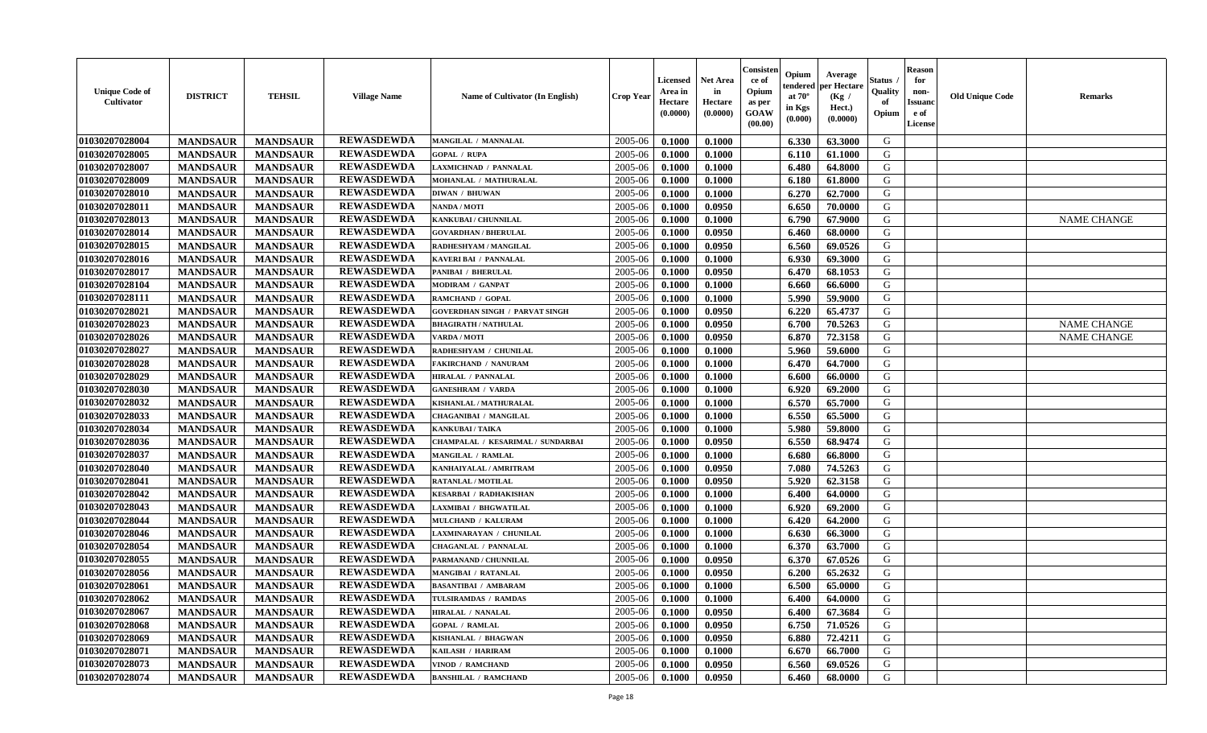| <b>Unique Code of</b><br>Cultivator | <b>DISTRICT</b> | <b>TEHSIL</b>   | <b>Village Name</b> | Name of Cultivator (In English)       | <b>Crop Year</b> | <b>Licensed</b><br>Area in<br>Hectare<br>(0.0000) | <b>Net Area</b><br>in<br>Hectare<br>(0.0000) | Consisteı<br>ce of<br>Opium<br>as per<br>GOAW<br>(00.00) | Opium<br>endered<br>at $70^\circ$<br>in Kgs<br>$(\mathbf{0.000})$ | Average<br>oer Hectare<br>(Kg /<br>Hect.)<br>(0.0000) | Status<br>Quality<br>of<br>Opium | Reason<br>for<br>non-<br>Issuan<br>e of<br>License | <b>Old Unique Code</b> | <b>Remarks</b>     |
|-------------------------------------|-----------------|-----------------|---------------------|---------------------------------------|------------------|---------------------------------------------------|----------------------------------------------|----------------------------------------------------------|-------------------------------------------------------------------|-------------------------------------------------------|----------------------------------|----------------------------------------------------|------------------------|--------------------|
| 01030207028004                      | <b>MANDSAUR</b> | <b>MANDSAUR</b> | <b>REWASDEWDA</b>   | MANGILAL / MANNALAL                   | 2005-06          | 0.1000                                            | 0.1000                                       |                                                          | 6.330                                                             | 63.3000                                               | G                                |                                                    |                        |                    |
| 01030207028005                      | <b>MANDSAUR</b> | <b>MANDSAUR</b> | <b>REWASDEWDA</b>   | <b>GOPAL / RUPA</b>                   | 2005-06          | 0.1000                                            | 0.1000                                       |                                                          | 6.110                                                             | 61.1000                                               | G                                |                                                    |                        |                    |
| 01030207028007                      | <b>MANDSAUR</b> | <b>MANDSAUR</b> | <b>REWASDEWDA</b>   | AXMICHNAD / PANNALAL                  | 2005-06          | 0.1000                                            | 0.1000                                       |                                                          | 6.480                                                             | 64.8000                                               | G                                |                                                    |                        |                    |
| 01030207028009                      | <b>MANDSAUR</b> | <b>MANDSAUR</b> | <b>REWASDEWDA</b>   | MOHANLAL / MATHURALAL                 | 2005-06          | 0.1000                                            | 0.1000                                       |                                                          | 6.180                                                             | 61.8000                                               | G                                |                                                    |                        |                    |
| 01030207028010                      | <b>MANDSAUR</b> | <b>MANDSAUR</b> | <b>REWASDEWDA</b>   | <b>DIWAN / BHUWAN</b>                 | 2005-06          | 0.1000                                            | 0.1000                                       |                                                          | 6.270                                                             | 62.7000                                               | G                                |                                                    |                        |                    |
| 01030207028011                      | <b>MANDSAUR</b> | <b>MANDSAUR</b> | <b>REWASDEWDA</b>   | NANDA / MOTI                          | 2005-06          | 0.1000                                            | 0.0950                                       |                                                          | 6.650                                                             | 70.0000                                               | G                                |                                                    |                        |                    |
| 01030207028013                      | <b>MANDSAUR</b> | <b>MANDSAUR</b> | <b>REWASDEWDA</b>   | KANKUBAI / CHUNNILAL                  | 2005-06          | 0.1000                                            | 0.1000                                       |                                                          | 6.790                                                             | 67.9000                                               | G                                |                                                    |                        | <b>NAME CHANGE</b> |
| 01030207028014                      | <b>MANDSAUR</b> | <b>MANDSAUR</b> | <b>REWASDEWDA</b>   | <b>GOVARDHAN / BHERULAL</b>           | 2005-06          | 0.1000                                            | 0.0950                                       |                                                          | 6.460                                                             | 68.0000                                               | G                                |                                                    |                        |                    |
| 01030207028015                      | <b>MANDSAUR</b> | <b>MANDSAUR</b> | <b>REWASDEWDA</b>   | RADHESHYAM / MANGILAL                 | 2005-06          | 0.1000                                            | 0.0950                                       |                                                          | 6.560                                                             | 69.0526                                               | G                                |                                                    |                        |                    |
| 01030207028016                      | <b>MANDSAUR</b> | <b>MANDSAUR</b> | <b>REWASDEWDA</b>   | <b>KAVERI BAI / PANNALAL</b>          | 2005-06          | 0.1000                                            | 0.1000                                       |                                                          | 6.930                                                             | 69.3000                                               | G                                |                                                    |                        |                    |
| 01030207028017                      | <b>MANDSAUR</b> | <b>MANDSAUR</b> | <b>REWASDEWDA</b>   | PANIBAI / BHERULAL                    | 2005-06          | 0.1000                                            | 0.0950                                       |                                                          | 6.470                                                             | 68.1053                                               | G                                |                                                    |                        |                    |
| 01030207028104                      | <b>MANDSAUR</b> | <b>MANDSAUR</b> | <b>REWASDEWDA</b>   | <b>MODIRAM / GANPAT</b>               | 2005-06          | 0.1000                                            | 0.1000                                       |                                                          | 6.660                                                             | 66.6000                                               | G                                |                                                    |                        |                    |
| 01030207028111                      | <b>MANDSAUR</b> | <b>MANDSAUR</b> | <b>REWASDEWDA</b>   | RAMCHAND / GOPAL                      | 2005-06          | 0.1000                                            | 0.1000                                       |                                                          | 5.990                                                             | 59.9000                                               | G                                |                                                    |                        |                    |
| 01030207028021                      | <b>MANDSAUR</b> | <b>MANDSAUR</b> | <b>REWASDEWDA</b>   | <b>GOVERDHAN SINGH / PARVAT SINGH</b> | 2005-06          | 0.1000                                            | 0.0950                                       |                                                          | 6.220                                                             | 65,4737                                               | G                                |                                                    |                        |                    |
| 01030207028023                      | <b>MANDSAUR</b> | <b>MANDSAUR</b> | <b>REWASDEWDA</b>   | <b>BHAGIRATH / NATHULAL</b>           | 2005-06          | 0.1000                                            | 0.0950                                       |                                                          | 6.700                                                             | 70.5263                                               | G                                |                                                    |                        | <b>NAME CHANGE</b> |
| 01030207028026                      | <b>MANDSAUR</b> | <b>MANDSAUR</b> | <b>REWASDEWDA</b>   | <b>VARDA / MOTI</b>                   | 2005-06          | 0.1000                                            | 0.0950                                       |                                                          | 6.870                                                             | 72.3158                                               | G                                |                                                    |                        | <b>NAME CHANGE</b> |
| 01030207028027                      | <b>MANDSAUR</b> | <b>MANDSAUR</b> | <b>REWASDEWDA</b>   | RADHESHYAM / CHUNILAL                 | 2005-06          | 0.1000                                            | 0.1000                                       |                                                          | 5.960                                                             | 59.6000                                               | G                                |                                                    |                        |                    |
| 01030207028028                      | <b>MANDSAUR</b> | <b>MANDSAUR</b> | <b>REWASDEWDA</b>   | <b>FAKIRCHAND / NANURAM</b>           | 2005-06          | 0.1000                                            | 0.1000                                       |                                                          | 6.470                                                             | 64.7000                                               | G                                |                                                    |                        |                    |
| 01030207028029                      | <b>MANDSAUR</b> | <b>MANDSAUR</b> | <b>REWASDEWDA</b>   | <b>HIRALAL / PANNALAL</b>             | 2005-06          | 0.1000                                            | 0.1000                                       |                                                          | 6.600                                                             | 66.0000                                               | G                                |                                                    |                        |                    |
| 01030207028030                      | <b>MANDSAUR</b> | <b>MANDSAUR</b> | <b>REWASDEWDA</b>   | <b>GANESHRAM / VARDA</b>              | 2005-06          | 0.1000                                            | 0.1000                                       |                                                          | 6.920                                                             | 69.2000                                               | G                                |                                                    |                        |                    |
| 01030207028032                      | <b>MANDSAUR</b> | <b>MANDSAUR</b> | <b>REWASDEWDA</b>   | KISHANLAL / MATHURALAL                | 2005-06          | 0.1000                                            | 0.1000                                       |                                                          | 6.570                                                             | 65.7000                                               | G                                |                                                    |                        |                    |
| 01030207028033                      | <b>MANDSAUR</b> | <b>MANDSAUR</b> | <b>REWASDEWDA</b>   | <b>CHAGANIBAI / MANGILAL</b>          | 2005-06          | 0.1000                                            | 0.1000                                       |                                                          | 6.550                                                             | 65.5000                                               | G                                |                                                    |                        |                    |
| 01030207028034                      | <b>MANDSAUR</b> | <b>MANDSAUR</b> | <b>REWASDEWDA</b>   | <b>KANKUBAI / TAIKA</b>               | 2005-06          | 0.1000                                            | 0.1000                                       |                                                          | 5.980                                                             | 59.8000                                               | G                                |                                                    |                        |                    |
| 01030207028036                      | <b>MANDSAUR</b> | <b>MANDSAUR</b> | <b>REWASDEWDA</b>   | CHAMPALAL / KESARIMAL / SUNDARBAI     | 2005-06          | 0.1000                                            | 0.0950                                       |                                                          | 6.550                                                             | 68.9474                                               | G                                |                                                    |                        |                    |
| 01030207028037                      | <b>MANDSAUR</b> | <b>MANDSAUR</b> | <b>REWASDEWDA</b>   | MANGILAL / RAMLAL                     | 2005-06          | 0.1000                                            | 0.1000                                       |                                                          | 6.680                                                             | 66.8000                                               | G                                |                                                    |                        |                    |
| 01030207028040                      | <b>MANDSAUR</b> | <b>MANDSAUR</b> | <b>REWASDEWDA</b>   | KANHAIYALAL / AMRITRAM                | 2005-06          | 0.1000                                            | 0.0950                                       |                                                          | 7.080                                                             | 74.5263                                               | G                                |                                                    |                        |                    |
| 01030207028041                      | <b>MANDSAUR</b> | <b>MANDSAUR</b> | <b>REWASDEWDA</b>   | RATANLAL / MOTILAL                    | 2005-06          | 0.1000                                            | 0.0950                                       |                                                          | 5.920                                                             | 62.3158                                               | G                                |                                                    |                        |                    |
| 01030207028042                      | <b>MANDSAUR</b> | <b>MANDSAUR</b> | <b>REWASDEWDA</b>   | KESARBAI / RADHAKISHAN                | 2005-06          | 0.1000                                            | 0.1000                                       |                                                          | 6.400                                                             | 64.0000                                               | G                                |                                                    |                        |                    |
| 01030207028043                      | <b>MANDSAUR</b> | <b>MANDSAUR</b> | <b>REWASDEWDA</b>   | LAXMIBAI / BHGWATILAL                 | 2005-06          | 0.1000                                            | 0.1000                                       |                                                          | 6.920                                                             | 69.2000                                               | G                                |                                                    |                        |                    |
| 01030207028044                      | <b>MANDSAUR</b> | <b>MANDSAUR</b> | <b>REWASDEWDA</b>   | <b>MULCHAND / KALURAM</b>             | 2005-06          | 0.1000                                            | 0.1000                                       |                                                          | 6.420                                                             | 64.2000                                               | G                                |                                                    |                        |                    |
| 01030207028046                      | <b>MANDSAUR</b> | <b>MANDSAUR</b> | <b>REWASDEWDA</b>   | AXMINARAYAN / CHUNILAL                | 2005-06          | 0.1000                                            | 0.1000                                       |                                                          | 6.630                                                             | 66.3000                                               | G                                |                                                    |                        |                    |
| 01030207028054                      | <b>MANDSAUR</b> | <b>MANDSAUR</b> | <b>REWASDEWDA</b>   | <b>CHAGANLAL / PANNALAL</b>           | 2005-06          | 0.1000                                            | 0.1000                                       |                                                          | 6.370                                                             | 63.7000                                               | G                                |                                                    |                        |                    |
| 01030207028055                      | <b>MANDSAUR</b> | <b>MANDSAUR</b> | <b>REWASDEWDA</b>   | PARMANAND / CHUNNILAL                 | 2005-06          | 0.1000                                            | 0.0950                                       |                                                          | 6.370                                                             | 67.0526                                               | G                                |                                                    |                        |                    |
| 01030207028056                      | <b>MANDSAUR</b> | <b>MANDSAUR</b> | <b>REWASDEWDA</b>   | MANGIBAI / RATANLAL                   | 2005-06          | 0.1000                                            | 0.0950                                       |                                                          | 6.200                                                             | 65.2632                                               | G                                |                                                    |                        |                    |
| 01030207028061                      | <b>MANDSAUR</b> | <b>MANDSAUR</b> | <b>REWASDEWDA</b>   | <b>BASANTIBAI / AMBARAM</b>           | 2005-06          | 0.1000                                            | 0.1000                                       |                                                          | 6.500                                                             | 65.0000                                               | G                                |                                                    |                        |                    |
| 01030207028062                      | <b>MANDSAUR</b> | MANDSAUR        | <b>REWASDEWDA</b>   | TULSIRAMDAS / RAMDAS                  | $2005-06$        | 0.1000                                            | 0.1000                                       |                                                          | 6.400                                                             | 64.0000                                               | G                                |                                                    |                        |                    |
| 01030207028067                      | <b>MANDSAUR</b> | <b>MANDSAUR</b> | <b>REWASDEWDA</b>   | <b>HIRALAL / NANALAL</b>              | 2005-06          | 0.1000                                            | 0.0950                                       |                                                          | 6.400                                                             | 67.3684                                               | G                                |                                                    |                        |                    |
| 01030207028068                      | <b>MANDSAUR</b> | <b>MANDSAUR</b> | <b>REWASDEWDA</b>   | <b>GOPAL / RAMLAL</b>                 | 2005-06          | 0.1000                                            | 0.0950                                       |                                                          | 6.750                                                             | 71.0526                                               | G                                |                                                    |                        |                    |
| 01030207028069                      | <b>MANDSAUR</b> | <b>MANDSAUR</b> | <b>REWASDEWDA</b>   | KISHANLAL / BHAGWAN                   | 2005-06          | 0.1000                                            | 0.0950                                       |                                                          | 6.880                                                             | 72.4211                                               | G                                |                                                    |                        |                    |
| 01030207028071                      | <b>MANDSAUR</b> | <b>MANDSAUR</b> | <b>REWASDEWDA</b>   | KAILASH / HARIRAM                     | 2005-06          | 0.1000                                            | 0.1000                                       |                                                          | 6.670                                                             | 66.7000                                               | G                                |                                                    |                        |                    |
| 01030207028073                      | <b>MANDSAUR</b> | <b>MANDSAUR</b> | <b>REWASDEWDA</b>   | VINOD / RAMCHAND                      | 2005-06          | 0.1000                                            | 0.0950                                       |                                                          | 6.560                                                             | 69.0526                                               | G                                |                                                    |                        |                    |
| 01030207028074                      | <b>MANDSAUR</b> | <b>MANDSAUR</b> | <b>REWASDEWDA</b>   | <b>BANSHILAL / RAMCHAND</b>           | 2005-06          | 0.1000                                            | 0.0950                                       |                                                          | 6.460                                                             | 68.0000                                               | G                                |                                                    |                        |                    |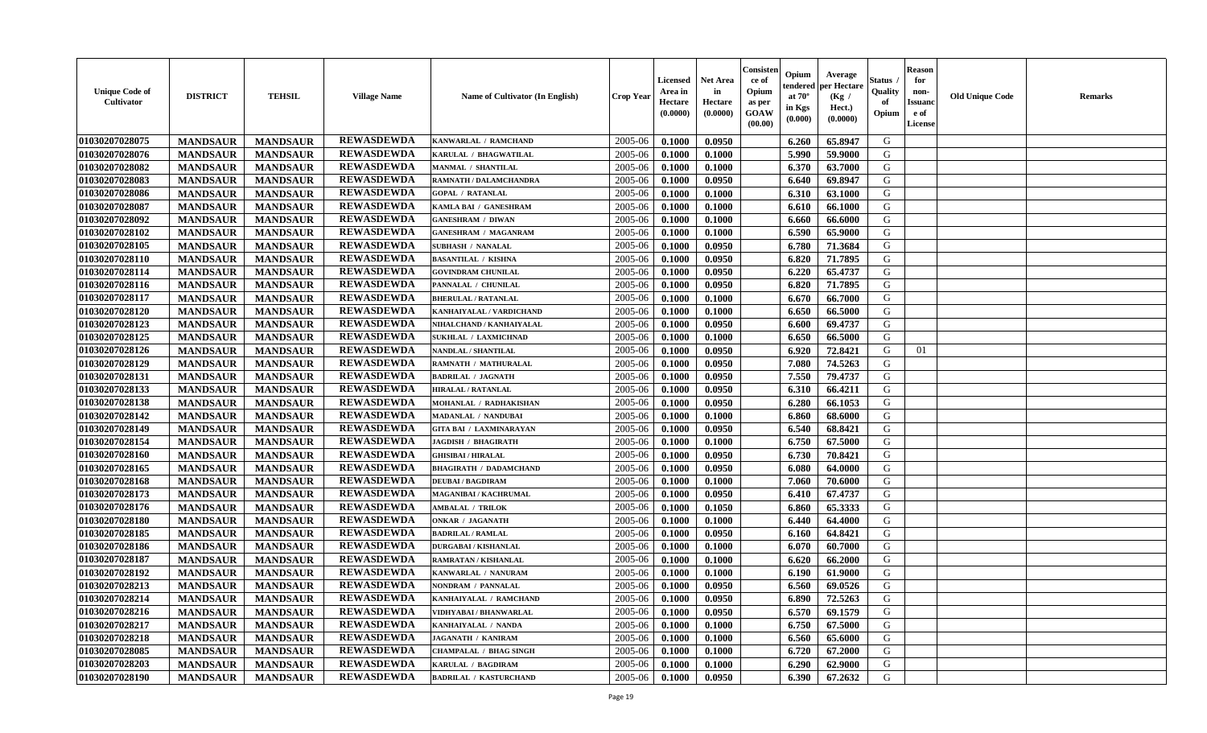| <b>Unique Code of</b><br><b>Cultivator</b> | <b>DISTRICT</b> | <b>TEHSIL</b>   | <b>Village Name</b> | Name of Cultivator (In English) | <b>Crop Year</b> | <b>Licensed</b><br>Area in<br>Hectare<br>(0.0000) | <b>Net Area</b><br>in<br>Hectare<br>(0.0000) | Consisteı<br>ce of<br>Opium<br>as per<br><b>GOAW</b><br>(00.00) | Opium<br>endered<br>at $70^\circ$<br>in Kgs<br>$(\mathbf{0.000})$ | Average<br>per Hectare<br>(Kg /<br>Hect.)<br>(0.0000) | Status<br>Quality<br>of<br>Opium | Reason<br>for<br>non-<br>Issuan<br>e of<br>License | <b>Old Unique Code</b> | <b>Remarks</b> |
|--------------------------------------------|-----------------|-----------------|---------------------|---------------------------------|------------------|---------------------------------------------------|----------------------------------------------|-----------------------------------------------------------------|-------------------------------------------------------------------|-------------------------------------------------------|----------------------------------|----------------------------------------------------|------------------------|----------------|
| 01030207028075                             | <b>MANDSAUR</b> | <b>MANDSAUR</b> | <b>REWASDEWDA</b>   | KANWARLAL / RAMCHAND            | 2005-06          | 0.1000                                            | 0.0950                                       |                                                                 | 6.260                                                             | 65.8947                                               | G                                |                                                    |                        |                |
| 01030207028076                             | <b>MANDSAUR</b> | <b>MANDSAUR</b> | <b>REWASDEWDA</b>   | KARULAL / BHAGWATILAL           | 2005-06          | 0.1000                                            | 0.1000                                       |                                                                 | 5.990                                                             | 59.9000                                               | G                                |                                                    |                        |                |
| 01030207028082                             | <b>MANDSAUR</b> | <b>MANDSAUR</b> | <b>REWASDEWDA</b>   | MANMAL / SHANTILAL              | 2005-06          | 0.1000                                            | 0.1000                                       |                                                                 | 6.370                                                             | 63.7000                                               | G                                |                                                    |                        |                |
| 01030207028083                             | <b>MANDSAUR</b> | <b>MANDSAUR</b> | <b>REWASDEWDA</b>   | RAMNATH / DALAMCHANDRA          | 2005-06          | 0.1000                                            | 0.0950                                       |                                                                 | 6.640                                                             | 69.8947                                               | G                                |                                                    |                        |                |
| 01030207028086                             | <b>MANDSAUR</b> | <b>MANDSAUR</b> | <b>REWASDEWDA</b>   | <b>GOPAL / RATANLAL</b>         | 2005-06          | 0.1000                                            | 0.1000                                       |                                                                 | 6.310                                                             | 63.1000                                               | G                                |                                                    |                        |                |
| 01030207028087                             | <b>MANDSAUR</b> | <b>MANDSAUR</b> | <b>REWASDEWDA</b>   | KAMLA BAI / GANESHRAM           | 2005-06          | 0.1000                                            | 0.1000                                       |                                                                 | 6.610                                                             | 66.1000                                               | G                                |                                                    |                        |                |
| 01030207028092                             | <b>MANDSAUR</b> | <b>MANDSAUR</b> | <b>REWASDEWDA</b>   | <b>GANESHRAM / DIWAN</b>        | 2005-06          | 0.1000                                            | 0.1000                                       |                                                                 | 6.660                                                             | 66.6000                                               | G                                |                                                    |                        |                |
| 01030207028102                             | <b>MANDSAUR</b> | <b>MANDSAUR</b> | <b>REWASDEWDA</b>   | <b>GANESHRAM / MAGANRAM</b>     | 2005-06          | 0.1000                                            | 0.1000                                       |                                                                 | 6.590                                                             | 65.9000                                               | G                                |                                                    |                        |                |
| 01030207028105                             | <b>MANDSAUR</b> | <b>MANDSAUR</b> | <b>REWASDEWDA</b>   | <b>SUBHASH / NANALAL</b>        | 2005-06          | 0.1000                                            | 0.0950                                       |                                                                 | 6.780                                                             | 71.3684                                               | G                                |                                                    |                        |                |
| 01030207028110                             | <b>MANDSAUR</b> | <b>MANDSAUR</b> | <b>REWASDEWDA</b>   | <b>BASANTILAL / KISHNA</b>      | 2005-06          | 0.1000                                            | 0.0950                                       |                                                                 | 6.820                                                             | 71.7895                                               | G                                |                                                    |                        |                |
| 01030207028114                             | <b>MANDSAUR</b> | <b>MANDSAUR</b> | <b>REWASDEWDA</b>   | <b>GOVINDRAM CHUNILAL</b>       | 2005-06          | 0.1000                                            | 0.0950                                       |                                                                 | 6.220                                                             | 65,4737                                               | G                                |                                                    |                        |                |
| 01030207028116                             | <b>MANDSAUR</b> | <b>MANDSAUR</b> | <b>REWASDEWDA</b>   | PANNALAL / CHUNILAL             | 2005-06          | 0.1000                                            | 0.0950                                       |                                                                 | 6.820                                                             | 71.7895                                               | G                                |                                                    |                        |                |
| 01030207028117                             | <b>MANDSAUR</b> | <b>MANDSAUR</b> | <b>REWASDEWDA</b>   | <b>BHERULAL / RATANLAL</b>      | 2005-06          | 0.1000                                            | 0.1000                                       |                                                                 | 6.670                                                             | 66.7000                                               | G                                |                                                    |                        |                |
| 01030207028120                             | <b>MANDSAUR</b> | <b>MANDSAUR</b> | <b>REWASDEWDA</b>   | KANHAIYALAL / VARDICHAND        | 2005-06          | 0.1000                                            | 0.1000                                       |                                                                 | 6.650                                                             | 66.5000                                               | G                                |                                                    |                        |                |
| 01030207028123                             | <b>MANDSAUR</b> | <b>MANDSAUR</b> | <b>REWASDEWDA</b>   | NIHALCHAND / KANHAIYALAL        | 2005-06          | 0.1000                                            | 0.0950                                       |                                                                 | 6.600                                                             | 69.4737                                               | G                                |                                                    |                        |                |
| 01030207028125                             | <b>MANDSAUR</b> | <b>MANDSAUR</b> | <b>REWASDEWDA</b>   | <b>SUKHLAL / LAXMICHNAD</b>     | 2005-06          | 0.1000                                            | 0.1000                                       |                                                                 | 6.650                                                             | 66.5000                                               | G                                |                                                    |                        |                |
| 01030207028126                             | <b>MANDSAUR</b> | <b>MANDSAUR</b> | <b>REWASDEWDA</b>   | NANDLAL / SHANTILAL             | 2005-06          | 0.1000                                            | 0.0950                                       |                                                                 | 6.920                                                             | 72.8421                                               | G                                | 01                                                 |                        |                |
| 01030207028129                             | <b>MANDSAUR</b> | <b>MANDSAUR</b> | <b>REWASDEWDA</b>   | RAMNATH / MATHURALAL            | 2005-06          | 0.1000                                            | 0.0950                                       |                                                                 | 7.080                                                             | 74.5263                                               | G                                |                                                    |                        |                |
| 01030207028131                             | <b>MANDSAUR</b> | <b>MANDSAUR</b> | <b>REWASDEWDA</b>   | <b>BADRILAL / JAGNATH</b>       | 2005-06          | 0.1000                                            | 0.0950                                       |                                                                 | 7.550                                                             | 79.4737                                               | G                                |                                                    |                        |                |
| 01030207028133                             | <b>MANDSAUR</b> | <b>MANDSAUR</b> | <b>REWASDEWDA</b>   | <b>HIRALAL / RATANLAL</b>       | 2005-06          | 0.1000                                            | 0.0950                                       |                                                                 | 6.310                                                             | 66.4211                                               | G                                |                                                    |                        |                |
| 01030207028138                             | <b>MANDSAUR</b> | <b>MANDSAUR</b> | <b>REWASDEWDA</b>   | MOHANLAL / RADHAKISHAN          | 2005-06          | 0.1000                                            | 0.0950                                       |                                                                 | 6.280                                                             | 66.1053                                               | G                                |                                                    |                        |                |
| 01030207028142                             | <b>MANDSAUR</b> | <b>MANDSAUR</b> | <b>REWASDEWDA</b>   | MADANLAL / NANDUBAI             | 2005-06          | 0.1000                                            | 0.1000                                       |                                                                 | 6.860                                                             | 68.6000                                               | G                                |                                                    |                        |                |
| 01030207028149                             | <b>MANDSAUR</b> | <b>MANDSAUR</b> | <b>REWASDEWDA</b>   | <b>GITA BAI / LAXMINARAYAN</b>  | 2005-06          | 0.1000                                            | 0.0950                                       |                                                                 | 6.540                                                             | 68.8421                                               | G                                |                                                    |                        |                |
| 01030207028154                             | <b>MANDSAUR</b> | <b>MANDSAUR</b> | <b>REWASDEWDA</b>   | <b>JAGDISH / BHAGIRATH</b>      | 2005-06          | 0.1000                                            | 0.1000                                       |                                                                 | 6.750                                                             | 67.5000                                               | G                                |                                                    |                        |                |
| 01030207028160                             | <b>MANDSAUR</b> | <b>MANDSAUR</b> | <b>REWASDEWDA</b>   | <b>GHISIBAI / HIRALAL</b>       | 2005-06          | 0.1000                                            | 0.0950                                       |                                                                 | 6.730                                                             | 70.8421                                               | G                                |                                                    |                        |                |
| 01030207028165                             | <b>MANDSAUR</b> | <b>MANDSAUR</b> | <b>REWASDEWDA</b>   | <b>BHAGIRATH / DADAMCHAND</b>   | 2005-06          | 0.1000                                            | 0.0950                                       |                                                                 | 6.080                                                             | 64.0000                                               | G                                |                                                    |                        |                |
| 01030207028168                             | <b>MANDSAUR</b> | <b>MANDSAUR</b> | <b>REWASDEWDA</b>   | <b>DEUBAI/BAGDIRAM</b>          | 2005-06          | 0.1000                                            | 0.1000                                       |                                                                 | 7.060                                                             | 70.6000                                               | G                                |                                                    |                        |                |
| 01030207028173                             | <b>MANDSAUR</b> | <b>MANDSAUR</b> | <b>REWASDEWDA</b>   | MAGANIBAI / KACHRUMAL           | 2005-06          | 0.1000                                            | 0.0950                                       |                                                                 | 6.410                                                             | 67.4737                                               | G                                |                                                    |                        |                |
| 01030207028176                             | <b>MANDSAUR</b> | <b>MANDSAUR</b> | <b>REWASDEWDA</b>   | <b>AMBALAL / TRILOK</b>         | 2005-06          | 0.1000                                            | 0.1050                                       |                                                                 | 6.860                                                             | 65.3333                                               | G                                |                                                    |                        |                |
| 01030207028180                             | <b>MANDSAUR</b> | <b>MANDSAUR</b> | <b>REWASDEWDA</b>   | <b>ONKAR / JAGANATH</b>         | 2005-06          | 0.1000                                            | 0.1000                                       |                                                                 | 6.440                                                             | 64.4000                                               | G                                |                                                    |                        |                |
| 01030207028185                             | <b>MANDSAUR</b> | <b>MANDSAUR</b> | <b>REWASDEWDA</b>   | <b>BADRILAL / RAMLAL</b>        | 2005-06          | 0.1000                                            | 0.0950                                       |                                                                 | 6.160                                                             | 64.8421                                               | G                                |                                                    |                        |                |
| 01030207028186                             | <b>MANDSAUR</b> | <b>MANDSAUR</b> | <b>REWASDEWDA</b>   | <b>DURGABAI/KISHANLAL</b>       | 2005-06          | 0.1000                                            | 0.1000                                       |                                                                 | 6.070                                                             | 60.7000                                               | G                                |                                                    |                        |                |
| 01030207028187                             | <b>MANDSAUR</b> | <b>MANDSAUR</b> | <b>REWASDEWDA</b>   | RAMRATAN / KISHANLAL            | 2005-06          | 0.1000                                            | 0.1000                                       |                                                                 | 6.620                                                             | 66.2000                                               | G                                |                                                    |                        |                |
| 01030207028192                             | <b>MANDSAUR</b> | <b>MANDSAUR</b> | <b>REWASDEWDA</b>   | KANWARLAL / NANURAM             | 2005-06          | 0.1000                                            | 0.1000                                       |                                                                 | 6.190                                                             | 61.9000                                               | G                                |                                                    |                        |                |
| 01030207028213                             | <b>MANDSAUR</b> | <b>MANDSAUR</b> | <b>REWASDEWDA</b>   | NONDRAM / PANNALAL              | 2005-06          | 0.1000                                            | 0.0950                                       |                                                                 | 6.560                                                             | 69.0526                                               | G                                |                                                    |                        |                |
| 01030207028214                             | <b>MANDSAUR</b> | <b>MANDSAUR</b> | <b>REWASDEWDA</b>   | KANHAIYALAL / RAMCHAND          | $2005 - 06$      | 0.1000                                            | 0.0950                                       |                                                                 |                                                                   | 6.890 72.5263                                         | G                                |                                                    |                        |                |
| 01030207028216                             | <b>MANDSAUR</b> | <b>MANDSAUR</b> | <b>REWASDEWDA</b>   | VIDHYABAI / BHANWARLAL          | 2005-06          | 0.1000                                            | 0.0950                                       |                                                                 | 6.570                                                             | 69.1579                                               | G                                |                                                    |                        |                |
| 01030207028217                             | <b>MANDSAUR</b> | <b>MANDSAUR</b> | <b>REWASDEWDA</b>   | KANHAIYALAL / NANDA             | 2005-06          | 0.1000                                            | 0.1000                                       |                                                                 | 6.750                                                             | 67.5000                                               | G                                |                                                    |                        |                |
| 01030207028218                             | <b>MANDSAUR</b> | <b>MANDSAUR</b> | <b>REWASDEWDA</b>   | <b>JAGANATH / KANIRAM</b>       | 2005-06          | 0.1000                                            | 0.1000                                       |                                                                 | 6.560                                                             | 65.6000                                               | G                                |                                                    |                        |                |
| 01030207028085                             | <b>MANDSAUR</b> | <b>MANDSAUR</b> | <b>REWASDEWDA</b>   | <b>CHAMPALAL / BHAG SINGH</b>   | 2005-06          | 0.1000                                            | 0.1000                                       |                                                                 | 6.720                                                             | 67.2000                                               | G                                |                                                    |                        |                |
| 01030207028203                             | <b>MANDSAUR</b> | <b>MANDSAUR</b> | <b>REWASDEWDA</b>   | KARULAL / BAGDIRAM              | 2005-06          | 0.1000                                            | 0.1000                                       |                                                                 | 6.290                                                             | 62.9000                                               | G                                |                                                    |                        |                |
| 01030207028190                             | <b>MANDSAUR</b> | <b>MANDSAUR</b> | <b>REWASDEWDA</b>   | <b>BADRILAL / KASTURCHAND</b>   | 2005-06          | 0.1000                                            | 0.0950                                       |                                                                 | 6.390                                                             | 67.2632                                               | G                                |                                                    |                        |                |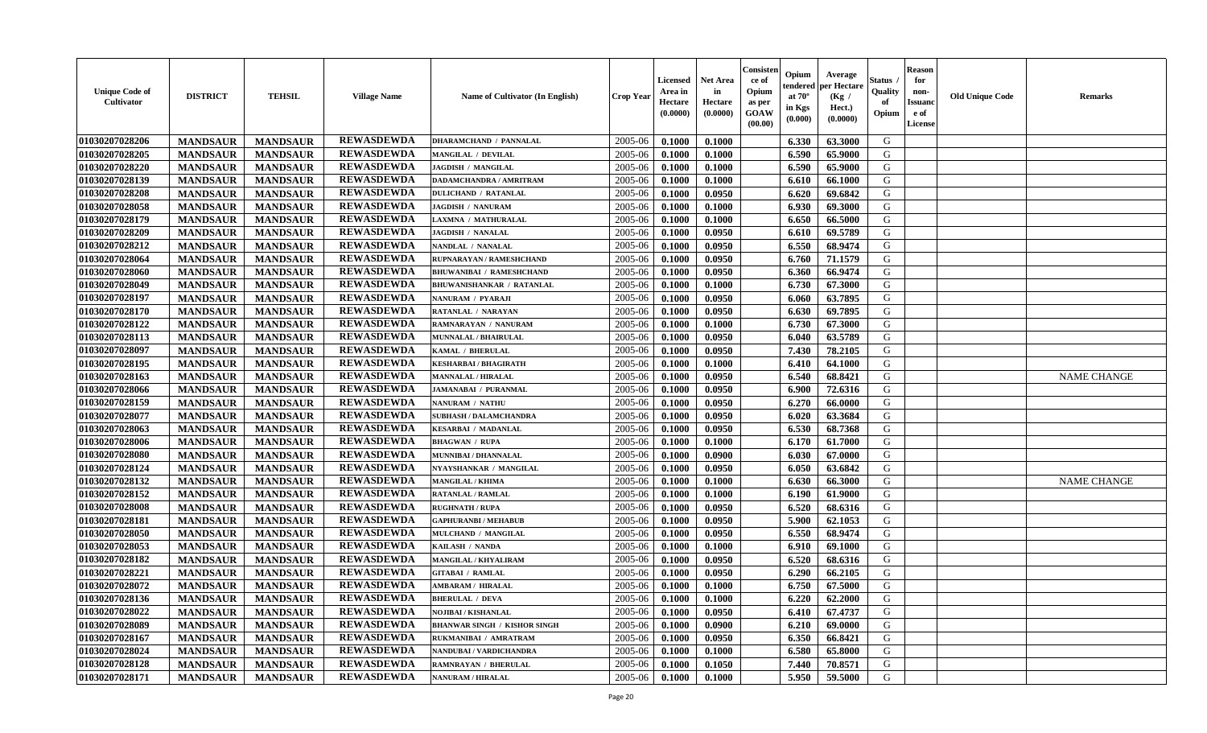| <b>Unique Code of</b><br><b>Cultivator</b> | <b>DISTRICT</b> | <b>TEHSIL</b>   | <b>Village Name</b> | Name of Cultivator (In English)     | <b>Crop Year</b> | <b>Licensed</b><br>Area in<br>Hectare<br>(0.0000) | <b>Net Area</b><br>in<br>Hectare<br>(0.0000) | Consisteı<br>ce of<br>Opium<br>as per<br><b>GOAW</b><br>(00.00) | Opium<br>endered<br>at $70^\circ$<br>in Kgs<br>$(\mathbf{0.000})$ | Average<br>per Hectare<br>(Kg /<br>Hect.)<br>(0.0000) | Status<br>Quality<br>of<br>Opium | Reason<br>for<br>non-<br>Issuan<br>e of<br>License | <b>Old Unique Code</b> | <b>Remarks</b>     |
|--------------------------------------------|-----------------|-----------------|---------------------|-------------------------------------|------------------|---------------------------------------------------|----------------------------------------------|-----------------------------------------------------------------|-------------------------------------------------------------------|-------------------------------------------------------|----------------------------------|----------------------------------------------------|------------------------|--------------------|
| 01030207028206                             | <b>MANDSAUR</b> | <b>MANDSAUR</b> | <b>REWASDEWDA</b>   | <b>DHARAMCHAND / PANNALAL</b>       | 2005-06          | 0.1000                                            | 0.1000                                       |                                                                 | 6.330                                                             | 63.3000                                               | G                                |                                                    |                        |                    |
| 01030207028205                             | <b>MANDSAUR</b> | <b>MANDSAUR</b> | <b>REWASDEWDA</b>   | MANGILAL / DEVILAL                  | 2005-06          | 0.1000                                            | 0.1000                                       |                                                                 | 6.590                                                             | 65.9000                                               | G                                |                                                    |                        |                    |
| 01030207028220                             | <b>MANDSAUR</b> | <b>MANDSAUR</b> | <b>REWASDEWDA</b>   | <b>JAGDISH / MANGILAL</b>           | 2005-06          | 0.1000                                            | 0.1000                                       |                                                                 | 6.590                                                             | 65.9000                                               | G                                |                                                    |                        |                    |
| 01030207028139                             | <b>MANDSAUR</b> | <b>MANDSAUR</b> | <b>REWASDEWDA</b>   | <b>DADAMCHANDRA / AMRITRAM</b>      | 2005-06          | 0.1000                                            | 0.1000                                       |                                                                 | 6.610                                                             | 66.1000                                               | G                                |                                                    |                        |                    |
| 01030207028208                             | <b>MANDSAUR</b> | <b>MANDSAUR</b> | <b>REWASDEWDA</b>   | <b>DULICHAND / RATANLAL</b>         | 2005-06          | 0.1000                                            | 0.0950                                       |                                                                 | 6.620                                                             | 69.6842                                               | G                                |                                                    |                        |                    |
| 01030207028058                             | <b>MANDSAUR</b> | <b>MANDSAUR</b> | <b>REWASDEWDA</b>   | <b>JAGDISH / NANURAM</b>            | 2005-06          | 0.1000                                            | 0.1000                                       |                                                                 | 6.930                                                             | 69.3000                                               | G                                |                                                    |                        |                    |
| 01030207028179                             | <b>MANDSAUR</b> | <b>MANDSAUR</b> | <b>REWASDEWDA</b>   | LAXMNA / MATHURALAL                 | 2005-06          | 0.1000                                            | 0.1000                                       |                                                                 | 6.650                                                             | 66.5000                                               | G                                |                                                    |                        |                    |
| 01030207028209                             | <b>MANDSAUR</b> | <b>MANDSAUR</b> | <b>REWASDEWDA</b>   | <b>JAGDISH / NANALAL</b>            | 2005-06          | 0.1000                                            | 0.0950                                       |                                                                 | 6.610                                                             | 69.5789                                               | G                                |                                                    |                        |                    |
| 01030207028212                             | <b>MANDSAUR</b> | <b>MANDSAUR</b> | <b>REWASDEWDA</b>   | NANDLAL / NANALAL                   | 2005-06          | 0.1000                                            | 0.0950                                       |                                                                 | 6.550                                                             | 68.9474                                               | G                                |                                                    |                        |                    |
| 01030207028064                             | <b>MANDSAUR</b> | <b>MANDSAUR</b> | <b>REWASDEWDA</b>   | RUPNARAYAN / RAMESHCHAND            | 2005-06          | 0.1000                                            | 0.0950                                       |                                                                 | 6.760                                                             | 71.1579                                               | G                                |                                                    |                        |                    |
| 01030207028060                             | <b>MANDSAUR</b> | <b>MANDSAUR</b> | <b>REWASDEWDA</b>   | <b>BHUWANIBAI / RAMESHCHAND</b>     | 2005-06          | 0.1000                                            | 0.0950                                       |                                                                 | 6.360                                                             | 66.9474                                               | G                                |                                                    |                        |                    |
| 01030207028049                             | <b>MANDSAUR</b> | <b>MANDSAUR</b> | <b>REWASDEWDA</b>   | <b>BHUWANISHANKAR / RATANLAL</b>    | 2005-06          | 0.1000                                            | 0.1000                                       |                                                                 | 6.730                                                             | 67.3000                                               | G                                |                                                    |                        |                    |
| 01030207028197                             | <b>MANDSAUR</b> | <b>MANDSAUR</b> | <b>REWASDEWDA</b>   | NANURAM / PYARAJI                   | 2005-06          | 0.1000                                            | 0.0950                                       |                                                                 | 6.060                                                             | 63.7895                                               | G                                |                                                    |                        |                    |
| 01030207028170                             | <b>MANDSAUR</b> | <b>MANDSAUR</b> | <b>REWASDEWDA</b>   | RATANLAL / NARAYAN                  | 2005-06          | 0.1000                                            | 0.0950                                       |                                                                 | 6.630                                                             | 69.7895                                               | G                                |                                                    |                        |                    |
| 01030207028122                             | <b>MANDSAUR</b> | <b>MANDSAUR</b> | <b>REWASDEWDA</b>   | RAMNARAYAN / NANURAM                | 2005-06          | 0.1000                                            | 0.1000                                       |                                                                 | 6.730                                                             | 67.3000                                               | G                                |                                                    |                        |                    |
| 01030207028113                             | <b>MANDSAUR</b> | <b>MANDSAUR</b> | <b>REWASDEWDA</b>   | MUNNALAL / BHAIRULAL                | 2005-06          | 0.1000                                            | 0.0950                                       |                                                                 | 6.040                                                             | 63.5789                                               | G                                |                                                    |                        |                    |
| 01030207028097                             | <b>MANDSAUR</b> | <b>MANDSAUR</b> | <b>REWASDEWDA</b>   | KAMAL / BHERULAL                    | 2005-06          | 0.1000                                            | 0.0950                                       |                                                                 | 7.430                                                             | 78.2105                                               | G                                |                                                    |                        |                    |
| 01030207028195                             | <b>MANDSAUR</b> | <b>MANDSAUR</b> | <b>REWASDEWDA</b>   | <b>KESHARBAI/BHAGIRATH</b>          | 2005-06          | 0.1000                                            | 0.1000                                       |                                                                 | 6.410                                                             | 64.1000                                               | G                                |                                                    |                        |                    |
| 01030207028163                             | <b>MANDSAUR</b> | <b>MANDSAUR</b> | <b>REWASDEWDA</b>   | <b>MANNALAL / HIRALAL</b>           | 2005-06          | 0.1000                                            | 0.0950                                       |                                                                 | 6.540                                                             | 68.8421                                               | G                                |                                                    |                        | <b>NAME CHANGE</b> |
| 01030207028066                             | <b>MANDSAUR</b> | <b>MANDSAUR</b> | <b>REWASDEWDA</b>   | <b>JAMANABAI / PURANMAL</b>         | 2005-06          | 0.1000                                            | 0.0950                                       |                                                                 | 6.900                                                             | 72.6316                                               | G                                |                                                    |                        |                    |
| 01030207028159                             | <b>MANDSAUR</b> | <b>MANDSAUR</b> | <b>REWASDEWDA</b>   | NANURAM / NATHU                     | 2005-06          | 0.1000                                            | 0.0950                                       |                                                                 | 6.270                                                             | 66.0000                                               | G                                |                                                    |                        |                    |
| 01030207028077                             | <b>MANDSAUR</b> | <b>MANDSAUR</b> | <b>REWASDEWDA</b>   | <b>SUBHASH / DALAMCHANDRA</b>       | 2005-06          | 0.1000                                            | 0.0950                                       |                                                                 | 6.020                                                             | 63.3684                                               | G                                |                                                    |                        |                    |
| 01030207028063                             | <b>MANDSAUR</b> | <b>MANDSAUR</b> | <b>REWASDEWDA</b>   | <b>KESARBAI / MADANLAL</b>          | 2005-06          | 0.1000                                            | 0.0950                                       |                                                                 | 6.530                                                             | 68.7368                                               | G                                |                                                    |                        |                    |
| 01030207028006                             | <b>MANDSAUR</b> | <b>MANDSAUR</b> | <b>REWASDEWDA</b>   | <b>BHAGWAN / RUPA</b>               | 2005-06          | 0.1000                                            | 0.1000                                       |                                                                 | 6.170                                                             | 61.7000                                               | G                                |                                                    |                        |                    |
| 01030207028080                             | <b>MANDSAUR</b> | <b>MANDSAUR</b> | <b>REWASDEWDA</b>   | MUNNIBAI / DHANNALAL                | 2005-06          | 0.1000                                            | 0.0900                                       |                                                                 | 6.030                                                             | 67.0000                                               | G                                |                                                    |                        |                    |
| 01030207028124                             | <b>MANDSAUR</b> | <b>MANDSAUR</b> | <b>REWASDEWDA</b>   | NYAYSHANKAR / MANGILAL              | 2005-06          | 0.1000                                            | 0.0950                                       |                                                                 | 6.050                                                             | 63.6842                                               | G                                |                                                    |                        |                    |
| 01030207028132                             | <b>MANDSAUR</b> | <b>MANDSAUR</b> | <b>REWASDEWDA</b>   | <b>MANGILAL / KHIMA</b>             | 2005-06          | 0.1000                                            | 0.1000                                       |                                                                 | 6.630                                                             | 66.3000                                               | G                                |                                                    |                        | <b>NAME CHANGE</b> |
| 01030207028152                             | <b>MANDSAUR</b> | <b>MANDSAUR</b> | <b>REWASDEWDA</b>   | <b>RATANLAL / RAMLAL</b>            | 2005-06          | 0.1000                                            | 0.1000                                       |                                                                 | 6.190                                                             | 61.9000                                               | G                                |                                                    |                        |                    |
| 01030207028008                             | <b>MANDSAUR</b> | <b>MANDSAUR</b> | <b>REWASDEWDA</b>   | <b>RUGHNATH / RUPA</b>              | 2005-06          | 0.1000                                            | 0.0950                                       |                                                                 | 6.520                                                             | 68.6316                                               | G                                |                                                    |                        |                    |
| 01030207028181                             | <b>MANDSAUR</b> | <b>MANDSAUR</b> | <b>REWASDEWDA</b>   | <b>GAPHURANBI / MEHABUB</b>         | 2005-06          | 0.1000                                            | 0.0950                                       |                                                                 | 5.900                                                             | 62.1053                                               | G                                |                                                    |                        |                    |
| 01030207028050                             | <b>MANDSAUR</b> | <b>MANDSAUR</b> | <b>REWASDEWDA</b>   | MULCHAND / MANGILAL                 | 2005-06          | 0.1000                                            | 0.0950                                       |                                                                 | 6.550                                                             | 68.9474                                               | G                                |                                                    |                        |                    |
| 01030207028053                             | <b>MANDSAUR</b> | <b>MANDSAUR</b> | <b>REWASDEWDA</b>   | KAILASH / NANDA                     | 2005-06          | 0.1000                                            | 0.1000                                       |                                                                 | 6.910                                                             | 69.1000                                               | G                                |                                                    |                        |                    |
| 01030207028182                             | <b>MANDSAUR</b> | <b>MANDSAUR</b> | <b>REWASDEWDA</b>   | MANGILAL / KHYALIRAM                | 2005-06          | 0.1000                                            | 0.0950                                       |                                                                 | 6.520                                                             | 68.6316                                               | G                                |                                                    |                        |                    |
| 01030207028221                             | <b>MANDSAUR</b> | <b>MANDSAUR</b> | <b>REWASDEWDA</b>   | <b>GITABAI / RAMLAL</b>             | 2005-06          | 0.1000                                            | 0.0950                                       |                                                                 | 6.290                                                             | 66.2105                                               | G                                |                                                    |                        |                    |
| 01030207028072                             | <b>MANDSAUR</b> | <b>MANDSAUR</b> | <b>REWASDEWDA</b>   | <b>AMBARAM / HIRALAL</b>            | 2005-06          | 0.1000                                            | 0.1000                                       |                                                                 | 6.750                                                             | 67.5000                                               | G                                |                                                    |                        |                    |
| 01030207028136                             | <b>MANDSAUR</b> | <b>MANDSAUR</b> | <b>REWASDEWDA</b>   | <b>BHERULAL / DEVA</b>              | $2005 - 06$      | 0.1000                                            | 0.1000                                       |                                                                 | $6.220$                                                           | 62.2000                                               | G                                |                                                    |                        |                    |
| 01030207028022                             | <b>MANDSAUR</b> | <b>MANDSAUR</b> | <b>REWASDEWDA</b>   | <b>NOJIBAI / KISHANLAL</b>          | 2005-06          | 0.1000                                            | 0.0950                                       |                                                                 | 6.410                                                             | 67.4737                                               | G                                |                                                    |                        |                    |
| 01030207028089                             | <b>MANDSAUR</b> | <b>MANDSAUR</b> | <b>REWASDEWDA</b>   | <b>BHANWAR SINGH / KISHOR SINGH</b> | 2005-06          | 0.1000                                            | 0.0900                                       |                                                                 | 6.210                                                             | 69.0000                                               | G                                |                                                    |                        |                    |
| 01030207028167                             | <b>MANDSAUR</b> | <b>MANDSAUR</b> | <b>REWASDEWDA</b>   | RUKMANIBAI / AMRATRAM               | 2005-06          | 0.1000                                            | 0.0950                                       |                                                                 | 6.350                                                             | 66.8421                                               | G                                |                                                    |                        |                    |
| 01030207028024                             | <b>MANDSAUR</b> | <b>MANDSAUR</b> | <b>REWASDEWDA</b>   | NANDUBAI / VARDICHANDRA             | 2005-06          | 0.1000                                            | 0.1000                                       |                                                                 | 6.580                                                             | 65.8000                                               | G                                |                                                    |                        |                    |
| 01030207028128                             | <b>MANDSAUR</b> | <b>MANDSAUR</b> | <b>REWASDEWDA</b>   | <b>RAMNRAYAN / BHERULAL</b>         | 2005-06          | 0.1000                                            | 0.1050                                       |                                                                 | 7.440                                                             | 70.8571                                               | G                                |                                                    |                        |                    |
| 01030207028171                             | <b>MANDSAUR</b> | <b>MANDSAUR</b> | <b>REWASDEWDA</b>   | <b>NANURAM / HIRALAL</b>            | 2005-06          | 0.1000                                            | 0.1000                                       |                                                                 | 5.950                                                             | 59.5000                                               | G                                |                                                    |                        |                    |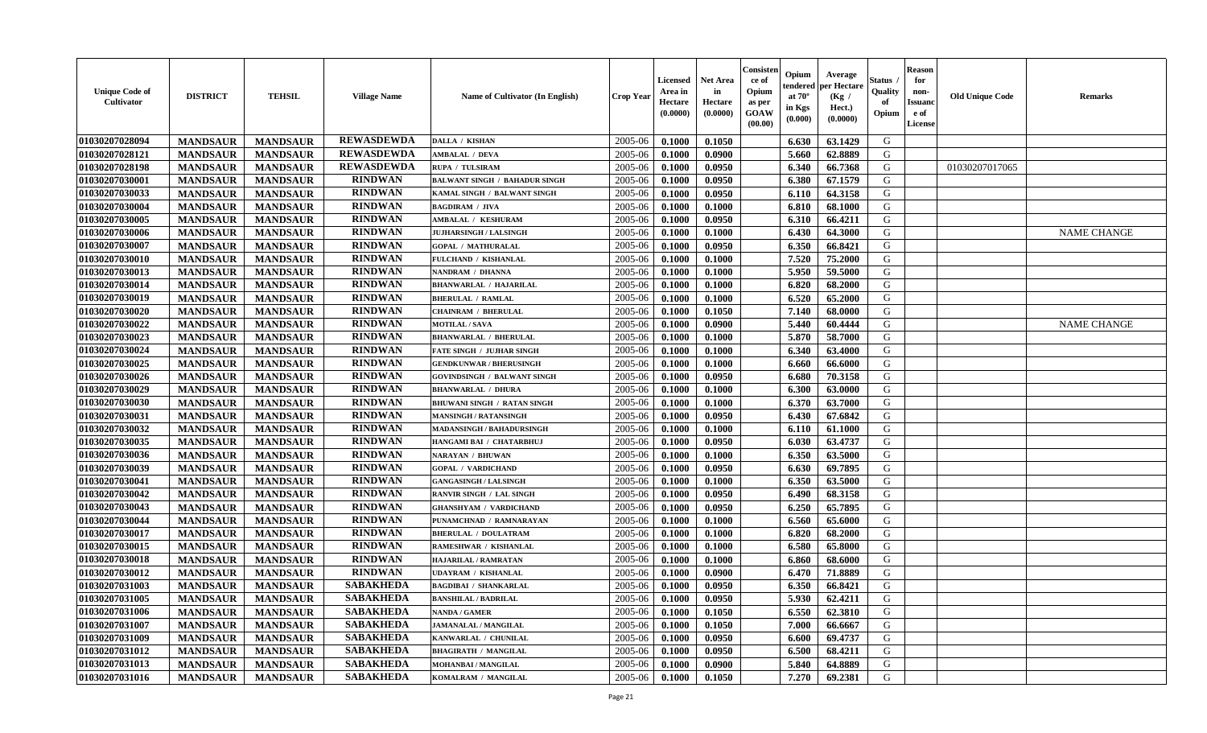| <b>Unique Code of</b><br>Cultivator | <b>DISTRICT</b> | <b>TEHSIL</b>   | <b>Village Name</b> | Name of Cultivator (In English)      | <b>Crop Year</b>   | <b>Licensed</b><br>Area in<br>Hectare<br>(0.0000) | <b>Net Area</b><br>in<br>Hectare<br>(0.0000) | Consisteı<br>ce of<br>Opium<br>as per<br>GOAW<br>(00.00) | Opium<br>endered<br>at $70^\circ$<br>in Kgs<br>$({\bf 0.000})$ | Average<br>oer Hectare<br>(Kg /<br>Hect.)<br>(0.0000) | Status<br>Quality<br>of<br>Opium | Reason<br>for<br>non-<br>Issuan<br>e of<br>License | <b>Old Unique Code</b> | <b>Remarks</b>     |
|-------------------------------------|-----------------|-----------------|---------------------|--------------------------------------|--------------------|---------------------------------------------------|----------------------------------------------|----------------------------------------------------------|----------------------------------------------------------------|-------------------------------------------------------|----------------------------------|----------------------------------------------------|------------------------|--------------------|
| 01030207028094                      | <b>MANDSAUR</b> | <b>MANDSAUR</b> | <b>REWASDEWDA</b>   | <b>DALLA / KISHAN</b>                | 2005-06            | 0.1000                                            | 0.1050                                       |                                                          | 6.630                                                          | 63.1429                                               | G                                |                                                    |                        |                    |
| 01030207028121                      | <b>MANDSAUR</b> | <b>MANDSAUR</b> | <b>REWASDEWDA</b>   | <b>AMBALAL / DEVA</b>                | 2005-06            | 0.1000                                            | 0.0900                                       |                                                          | 5.660                                                          | 62.8889                                               | G                                |                                                    |                        |                    |
| 01030207028198                      | <b>MANDSAUR</b> | <b>MANDSAUR</b> | <b>REWASDEWDA</b>   | RUPA / TULSIRAM                      | 2005-06            | 0.1000                                            | 0.0950                                       |                                                          | 6.340                                                          | 66.7368                                               | G                                |                                                    | 01030207017065         |                    |
| 01030207030001                      | <b>MANDSAUR</b> | <b>MANDSAUR</b> | <b>RINDWAN</b>      | <b>BALWANT SINGH / BAHADUR SINGH</b> | 2005-06            | 0.1000                                            | 0.0950                                       |                                                          | 6.380                                                          | 67.1579                                               | G                                |                                                    |                        |                    |
| 01030207030033                      | <b>MANDSAUR</b> | <b>MANDSAUR</b> | <b>RINDWAN</b>      | KAMAL SINGH / BALWANT SINGH          | 2005-06            | 0.1000                                            | 0.0950                                       |                                                          | 6.110                                                          | 64.3158                                               | G                                |                                                    |                        |                    |
| 01030207030004                      | <b>MANDSAUR</b> | <b>MANDSAUR</b> | <b>RINDWAN</b>      | <b>BAGDIRAM / JIVA</b>               | 2005-06            | 0.1000                                            | 0.1000                                       |                                                          | 6.810                                                          | 68.1000                                               | G                                |                                                    |                        |                    |
| 01030207030005                      | <b>MANDSAUR</b> | <b>MANDSAUR</b> | <b>RINDWAN</b>      | AMBALAL / KESHURAM                   | 2005-06            | 0.1000                                            | 0.0950                                       |                                                          | 6.310                                                          | 66.4211                                               | G                                |                                                    |                        |                    |
| 01030207030006                      | <b>MANDSAUR</b> | <b>MANDSAUR</b> | <b>RINDWAN</b>      | <b>JUJHARSINGH / LALSINGH</b>        | 2005-06            | 0.1000                                            | 0.1000                                       |                                                          | 6.430                                                          | 64.3000                                               | G                                |                                                    |                        | <b>NAME CHANGE</b> |
| 01030207030007                      | <b>MANDSAUR</b> | <b>MANDSAUR</b> | <b>RINDWAN</b>      | <b>GOPAL / MATHURALAL</b>            | 2005-06            | 0.1000                                            | 0.0950                                       |                                                          | 6.350                                                          | 66.8421                                               | G                                |                                                    |                        |                    |
| 01030207030010                      | <b>MANDSAUR</b> | <b>MANDSAUR</b> | <b>RINDWAN</b>      | FULCHAND / KISHANLAL                 | 2005-06            | 0.1000                                            | 0.1000                                       |                                                          | 7.520                                                          | 75.2000                                               | G                                |                                                    |                        |                    |
| 01030207030013                      | <b>MANDSAUR</b> | <b>MANDSAUR</b> | <b>RINDWAN</b>      | NANDRAM / DHANNA                     | 2005-06            | 0.1000                                            | 0.1000                                       |                                                          | 5.950                                                          | 59.5000                                               | G                                |                                                    |                        |                    |
| 01030207030014                      | <b>MANDSAUR</b> | <b>MANDSAUR</b> | <b>RINDWAN</b>      | <b>BHANWARLAL / HAJARILAL</b>        | 2005-06            | 0.1000                                            | 0.1000                                       |                                                          | 6.820                                                          | 68.2000                                               | G                                |                                                    |                        |                    |
| 01030207030019                      | <b>MANDSAUR</b> | <b>MANDSAUR</b> | <b>RINDWAN</b>      | <b>BHERULAL / RAMLAL</b>             | 2005-06            | 0.1000                                            | 0.1000                                       |                                                          | 6.520                                                          | 65.2000                                               | G                                |                                                    |                        |                    |
| 01030207030020                      | <b>MANDSAUR</b> | <b>MANDSAUR</b> | <b>RINDWAN</b>      | <b>CHAINRAM / BHERULAL</b>           | 2005-06            | 0.1000                                            | 0.1050                                       |                                                          | 7.140                                                          | 68.0000                                               | G                                |                                                    |                        |                    |
| 01030207030022                      | <b>MANDSAUR</b> | <b>MANDSAUR</b> | <b>RINDWAN</b>      | <b>MOTILAL / SAVA</b>                | 2005-06            | 0.1000                                            | 0.0900                                       |                                                          | 5.440                                                          | 60.4444                                               | G                                |                                                    |                        | <b>NAME CHANGE</b> |
| 01030207030023                      | <b>MANDSAUR</b> | <b>MANDSAUR</b> | <b>RINDWAN</b>      | <b>BHANWARLAL / BHERULAL</b>         | 2005-06            | 0.1000                                            | 0.1000                                       |                                                          | 5.870                                                          | 58.7000                                               | G                                |                                                    |                        |                    |
| 01030207030024                      | <b>MANDSAUR</b> | <b>MANDSAUR</b> | <b>RINDWAN</b>      | <b>FATE SINGH / JUJHAR SINGH</b>     | 2005-06            | 0.1000                                            | 0.1000                                       |                                                          | 6.340                                                          | 63.4000                                               | G                                |                                                    |                        |                    |
| 01030207030025                      | <b>MANDSAUR</b> | <b>MANDSAUR</b> | <b>RINDWAN</b>      | <b>GENDKUNWAR / BHERUSINGH</b>       | 2005-06            | 0.1000                                            | 0.1000                                       |                                                          | 6.660                                                          | 66.6000                                               | G                                |                                                    |                        |                    |
| 01030207030026                      | <b>MANDSAUR</b> | <b>MANDSAUR</b> | <b>RINDWAN</b>      | <b>GOVINDSINGH / BALWANT SINGH</b>   | 2005-06            | 0.1000                                            | 0.0950                                       |                                                          | 6.680                                                          | 70.3158                                               | G                                |                                                    |                        |                    |
| 01030207030029                      | <b>MANDSAUR</b> | <b>MANDSAUR</b> | <b>RINDWAN</b>      | <b>BHANWARLAL / DHURA</b>            | 2005-06            | 0.1000                                            | 0.1000                                       |                                                          | 6.300                                                          | 63.0000                                               | G                                |                                                    |                        |                    |
| 01030207030030                      | <b>MANDSAUR</b> | <b>MANDSAUR</b> | <b>RINDWAN</b>      | <b>BHUWANI SINGH / RATAN SINGH</b>   | 2005-06            | 0.1000                                            | 0.1000                                       |                                                          | 6.370                                                          | 63.7000                                               | G                                |                                                    |                        |                    |
| 01030207030031                      | <b>MANDSAUR</b> | <b>MANDSAUR</b> | <b>RINDWAN</b>      | <b>MANSINGH / RATANSINGH</b>         | 2005-06            | 0.1000                                            | 0.0950                                       |                                                          | 6.430                                                          | 67.6842                                               | G                                |                                                    |                        |                    |
| 01030207030032                      | <b>MANDSAUR</b> | <b>MANDSAUR</b> | <b>RINDWAN</b>      | MADANSINGH / BAHADURSINGH            | 2005-06            | 0.1000                                            | 0.1000                                       |                                                          | 6.110                                                          | 61.1000                                               | G                                |                                                    |                        |                    |
| 01030207030035                      | <b>MANDSAUR</b> | <b>MANDSAUR</b> | <b>RINDWAN</b>      | HANGAMI BAI / CHATARBHUJ             | 2005-06            | 0.1000                                            | 0.0950                                       |                                                          | 6.030                                                          | 63.4737                                               | G                                |                                                    |                        |                    |
| 01030207030036                      | <b>MANDSAUR</b> | <b>MANDSAUR</b> | <b>RINDWAN</b>      | NARAYAN / BHUWAN                     | 2005-06            | 0.1000                                            | 0.1000                                       |                                                          | 6.350                                                          | 63.5000                                               | G                                |                                                    |                        |                    |
| 01030207030039                      | <b>MANDSAUR</b> | <b>MANDSAUR</b> | <b>RINDWAN</b>      | <b>GOPAL / VARDICHAND</b>            | 2005-06            | 0.1000                                            | 0.0950                                       |                                                          | 6.630                                                          | 69.7895                                               | G                                |                                                    |                        |                    |
| 01030207030041                      | <b>MANDSAUR</b> | <b>MANDSAUR</b> | <b>RINDWAN</b>      | <b>GANGASINGH / LALSINGH</b>         | 2005-06            | 0.1000                                            | 0.1000                                       |                                                          | 6.350                                                          | 63.5000                                               | G                                |                                                    |                        |                    |
| 01030207030042                      | <b>MANDSAUR</b> | <b>MANDSAUR</b> | <b>RINDWAN</b>      | RANVIR SINGH / LAL SINGH             | 2005-06            | 0.1000                                            | 0.0950                                       |                                                          | 6.490                                                          | 68.3158                                               | G                                |                                                    |                        |                    |
| 01030207030043                      | <b>MANDSAUR</b> | <b>MANDSAUR</b> | <b>RINDWAN</b>      | <b>GHANSHYAM / VARDICHAND</b>        | 2005-06            | 0.1000                                            | 0.0950                                       |                                                          | 6.250                                                          | 65.7895                                               | G                                |                                                    |                        |                    |
| 01030207030044                      | <b>MANDSAUR</b> | <b>MANDSAUR</b> | <b>RINDWAN</b>      | PUNAMCHNAD / RAMNARAYAN              | 2005-06            | 0.1000                                            | 0.1000                                       |                                                          | 6.560                                                          | 65.6000                                               | G                                |                                                    |                        |                    |
| 01030207030017                      | <b>MANDSAUR</b> | <b>MANDSAUR</b> | <b>RINDWAN</b>      | <b>BHERULAL / DOULATRAM</b>          | 2005-06            | 0.1000                                            | 0.1000                                       |                                                          | 6.820                                                          | 68.2000                                               | G                                |                                                    |                        |                    |
| 01030207030015                      | <b>MANDSAUR</b> | <b>MANDSAUR</b> | <b>RINDWAN</b>      | RAMESHWAR / KISHANLAL                | 2005-06            | 0.1000                                            | 0.1000                                       |                                                          | 6.580                                                          | 65.8000                                               | G                                |                                                    |                        |                    |
| 01030207030018                      | <b>MANDSAUR</b> | <b>MANDSAUR</b> | <b>RINDWAN</b>      | HAJARILAL / RAMRATAN                 | 2005-06            | 0.1000                                            | 0.1000                                       |                                                          | 6.860                                                          | 68.6000                                               | G                                |                                                    |                        |                    |
| 01030207030012                      | <b>MANDSAUR</b> | <b>MANDSAUR</b> | <b>RINDWAN</b>      | UDAYRAM / KISHANLAL                  | 2005-06            | 0.1000                                            | 0.0900                                       |                                                          | 6.470                                                          | 71.8889                                               | G                                |                                                    |                        |                    |
| 01030207031003                      | <b>MANDSAUR</b> | <b>MANDSAUR</b> | <b>SABAKHEDA</b>    | <b>BAGDIBAI / SHANKARLAL</b>         | 2005-06            | 0.1000                                            | 0.0950                                       |                                                          | 6.350                                                          | 66.8421                                               | G                                |                                                    |                        |                    |
| 01030207031005                      | <b>MANDSAUR</b> | MANDSAUR        | <b>SABAKHEDA</b>    | <b>BANSHILAL / BADRILAL</b>          | $2005-06$   0.1000 |                                                   | 0.0950                                       |                                                          | 5.930                                                          | 62.4211                                               | G                                |                                                    |                        |                    |
| 01030207031006                      | <b>MANDSAUR</b> | <b>MANDSAUR</b> | <b>SABAKHEDA</b>    | <b>NANDA / GAMER</b>                 | 2005-06            | 0.1000                                            | 0.1050                                       |                                                          | 6.550                                                          | 62.3810                                               | G                                |                                                    |                        |                    |
| 01030207031007                      | <b>MANDSAUR</b> | <b>MANDSAUR</b> | <b>SABAKHEDA</b>    | <b>JAMANALAL / MANGILAL</b>          | 2005-06            | 0.1000                                            | 0.1050                                       |                                                          | 7.000                                                          | 66.6667                                               | G                                |                                                    |                        |                    |
| 01030207031009                      | <b>MANDSAUR</b> | <b>MANDSAUR</b> | <b>SABAKHEDA</b>    | KANWARLAL / CHUNILAL                 | 2005-06            | 0.1000                                            | 0.0950                                       |                                                          | 6.600                                                          | 69.4737                                               | G                                |                                                    |                        |                    |
| 01030207031012                      | <b>MANDSAUR</b> | <b>MANDSAUR</b> | <b>SABAKHEDA</b>    | <b>BHAGIRATH / MANGILAL</b>          | 2005-06            | 0.1000                                            | 0.0950                                       |                                                          | 6.500                                                          | 68.4211                                               | G                                |                                                    |                        |                    |
| 01030207031013                      | <b>MANDSAUR</b> | <b>MANDSAUR</b> | <b>SABAKHEDA</b>    | MOHANBAI / MANGILAL                  | 2005-06            | 0.1000                                            | 0.0900                                       |                                                          | 5.840                                                          | 64.8889                                               | G                                |                                                    |                        |                    |
| 01030207031016                      | <b>MANDSAUR</b> | <b>MANDSAUR</b> | <b>SABAKHEDA</b>    | KOMALRAM / MANGILAL                  | 2005-06            | 0.1000                                            | 0.1050                                       |                                                          | 7.270                                                          | 69.2381                                               | G                                |                                                    |                        |                    |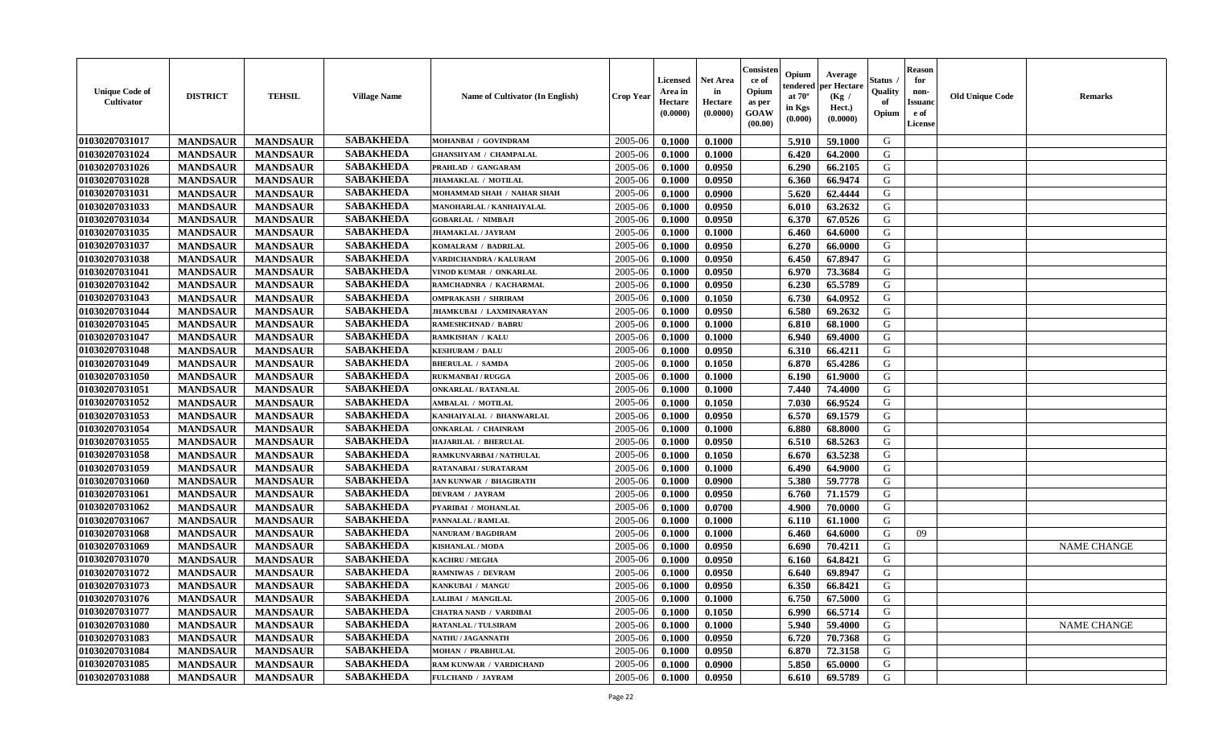| <b>Unique Code of</b><br>Cultivator | <b>DISTRICT</b> | <b>TEHSIL</b>   | <b>Village Name</b> | Name of Cultivator (In English) | <b>Crop Year</b> | <b>Licensed</b><br>Area in<br>Hectare<br>(0.0000) | <b>Net Area</b><br>in<br>Hectare<br>(0.0000) | Consisten<br>ce of<br>Opium<br>as per<br><b>GOAW</b><br>(00.00) | Opium<br>tendered<br>at $70^{\circ}$<br>in Kgs<br>(0.000) | Average<br>per Hectare<br>(Kg /<br>Hect.)<br>(0.0000) | Status .<br>Quality<br>of<br>Opium | <b>Reason</b><br>for<br>non-<br><b>Issuanc</b><br>e of<br>License | <b>Old Unique Code</b> | <b>Remarks</b>     |
|-------------------------------------|-----------------|-----------------|---------------------|---------------------------------|------------------|---------------------------------------------------|----------------------------------------------|-----------------------------------------------------------------|-----------------------------------------------------------|-------------------------------------------------------|------------------------------------|-------------------------------------------------------------------|------------------------|--------------------|
| 01030207031017                      | <b>MANDSAUR</b> | <b>MANDSAUR</b> | <b>SABAKHEDA</b>    | MOHANBAI / GOVINDRAM            | 2005-06          | 0.1000                                            | 0.1000                                       |                                                                 | 5.910                                                     | 59.1000                                               | G                                  |                                                                   |                        |                    |
| 01030207031024                      | <b>MANDSAUR</b> | <b>MANDSAUR</b> | <b>SABAKHEDA</b>    | <b>GHANSHYAM / CHAMPALAL</b>    | 2005-06          | 0.1000                                            | 0.1000                                       |                                                                 | 6.420                                                     | 64.2000                                               | G                                  |                                                                   |                        |                    |
| 01030207031026                      | <b>MANDSAUR</b> | <b>MANDSAUR</b> | <b>SABAKHEDA</b>    | PRAHLAD / GANGARAM              | 2005-06          | 0.1000                                            | 0.0950                                       |                                                                 | 6.290                                                     | 66.2105                                               | G                                  |                                                                   |                        |                    |
| 01030207031028                      | <b>MANDSAUR</b> | <b>MANDSAUR</b> | <b>SABAKHEDA</b>    | JHAMAKLAL / MOTILAL             | 2005-06          | 0.1000                                            | 0.0950                                       |                                                                 | 6.360                                                     | 66.9474                                               | G                                  |                                                                   |                        |                    |
| 01030207031031                      | <b>MANDSAUR</b> | <b>MANDSAUR</b> | <b>SABAKHEDA</b>    | MOHAMMAD SHAH / NAHAR SHAH      | 2005-06          | 0.1000                                            | 0.0900                                       |                                                                 | 5.620                                                     | 62.4444                                               | G                                  |                                                                   |                        |                    |
| 01030207031033                      | <b>MANDSAUR</b> | <b>MANDSAUR</b> | <b>SABAKHEDA</b>    | <b>MANOHARLAL / KANHAIYALAL</b> | 2005-06          | 0.1000                                            | 0.0950                                       |                                                                 | 6.010                                                     | 63.2632                                               | G                                  |                                                                   |                        |                    |
| 01030207031034                      | <b>MANDSAUR</b> | <b>MANDSAUR</b> | <b>SABAKHEDA</b>    | <b>GOBARLAL / NIMBAJI</b>       | 2005-06          | 0.1000                                            | 0.0950                                       |                                                                 | 6.370                                                     | 67.0526                                               | G                                  |                                                                   |                        |                    |
| 01030207031035                      | <b>MANDSAUR</b> | <b>MANDSAUR</b> | <b>SABAKHEDA</b>    | <b>JHAMAKLAL / JAYRAM</b>       | 2005-06          | 0.1000                                            | 0.1000                                       |                                                                 | 6.460                                                     | 64.6000                                               | G                                  |                                                                   |                        |                    |
| 01030207031037                      | <b>MANDSAUR</b> | <b>MANDSAUR</b> | <b>SABAKHEDA</b>    | KOMALRAM / BADRILAL             | 2005-06          | 0.1000                                            | 0.0950                                       |                                                                 | 6.270                                                     | 66.0000                                               | G                                  |                                                                   |                        |                    |
| 01030207031038                      | <b>MANDSAUR</b> | <b>MANDSAUR</b> | <b>SABAKHEDA</b>    | VARDICHANDRA / KALURAM          | 2005-06          | 0.1000                                            | 0.0950                                       |                                                                 | 6.450                                                     | 67.8947                                               | G                                  |                                                                   |                        |                    |
| 01030207031041                      | <b>MANDSAUR</b> | <b>MANDSAUR</b> | <b>SABAKHEDA</b>    | VINOD KUMAR / ONKARLAL          | 2005-06          | 0.1000                                            | 0.0950                                       |                                                                 | 6.970                                                     | 73.3684                                               | G                                  |                                                                   |                        |                    |
| 01030207031042                      | <b>MANDSAUR</b> | <b>MANDSAUR</b> | <b>SABAKHEDA</b>    | RAMCHADNRA / KACHARMAL          | 2005-06          | 0.1000                                            | 0.0950                                       |                                                                 | 6.230                                                     | 65.5789                                               | G                                  |                                                                   |                        |                    |
| 01030207031043                      | <b>MANDSAUR</b> | <b>MANDSAUR</b> | <b>SABAKHEDA</b>    | <b>OMPRAKASH / SHRIRAM</b>      | 2005-06          | 0.1000                                            | 0.1050                                       |                                                                 | 6.730                                                     | 64.0952                                               | G                                  |                                                                   |                        |                    |
| 01030207031044                      | <b>MANDSAUR</b> | <b>MANDSAUR</b> | <b>SABAKHEDA</b>    | JHAMKUBAI / LAXMINARAYAN        | 2005-06          | 0.1000                                            | 0.0950                                       |                                                                 | 6.580                                                     | 69.2632                                               | G                                  |                                                                   |                        |                    |
| 01030207031045                      | <b>MANDSAUR</b> | <b>MANDSAUR</b> | <b>SABAKHEDA</b>    | <b>RAMESHCHNAD / BABRU</b>      | 2005-06          | 0.1000                                            | 0.1000                                       |                                                                 | 6.810                                                     | 68.1000                                               | G                                  |                                                                   |                        |                    |
| 01030207031047                      | <b>MANDSAUR</b> | <b>MANDSAUR</b> | <b>SABAKHEDA</b>    | RAMKISHAN / KALU                | 2005-06          | 0.1000                                            | 0.1000                                       |                                                                 | 6.940                                                     | 69.4000                                               | G                                  |                                                                   |                        |                    |
| 01030207031048                      | <b>MANDSAUR</b> | <b>MANDSAUR</b> | <b>SABAKHEDA</b>    | <b>KESHURAM / DALU</b>          | 2005-06          | 0.1000                                            | 0.0950                                       |                                                                 | 6.310                                                     | 66.4211                                               | G                                  |                                                                   |                        |                    |
| 01030207031049                      | <b>MANDSAUR</b> | <b>MANDSAUR</b> | <b>SABAKHEDA</b>    | <b>BHERULAL / SAMDA</b>         | 2005-06          | 0.1000                                            | 0.1050                                       |                                                                 | 6.870                                                     | 65.4286                                               | G                                  |                                                                   |                        |                    |
| 01030207031050                      | <b>MANDSAUR</b> | <b>MANDSAUR</b> | <b>SABAKHEDA</b>    | <b>RUKMANBAI / RUGGA</b>        | 2005-06          | 0.1000                                            | 0.1000                                       |                                                                 | 6.190                                                     | 61.9000                                               | G                                  |                                                                   |                        |                    |
| 01030207031051                      | <b>MANDSAUR</b> | <b>MANDSAUR</b> | <b>SABAKHEDA</b>    | <b>ONKARLAL / RATANLAL</b>      | 2005-06          | 0.1000                                            | 0.1000                                       |                                                                 | 7.440                                                     | 74.4000                                               | G                                  |                                                                   |                        |                    |
| 01030207031052                      | <b>MANDSAUR</b> | <b>MANDSAUR</b> | <b>SABAKHEDA</b>    | AMBALAL / MOTILAL               | 2005-06          | 0.1000                                            | 0.1050                                       |                                                                 | 7.030                                                     | 66.9524                                               | G                                  |                                                                   |                        |                    |
| 01030207031053                      | <b>MANDSAUR</b> | <b>MANDSAUR</b> | <b>SABAKHEDA</b>    | KANHAIYALAL / BHANWARLAL        | 2005-06          | 0.1000                                            | 0.0950                                       |                                                                 | 6.570                                                     | 69.1579                                               | G                                  |                                                                   |                        |                    |
| 01030207031054                      | <b>MANDSAUR</b> | <b>MANDSAUR</b> | <b>SABAKHEDA</b>    | <b>ONKARLAL / CHAINRAM</b>      | 2005-06          | 0.1000                                            | 0.1000                                       |                                                                 | 6.880                                                     | 68.8000                                               | G                                  |                                                                   |                        |                    |
| 01030207031055                      | <b>MANDSAUR</b> | <b>MANDSAUR</b> | <b>SABAKHEDA</b>    | HAJARILAL / BHERULAL            | 2005-06          | 0.1000                                            | 0.0950                                       |                                                                 | 6.510                                                     | 68.5263                                               | G                                  |                                                                   |                        |                    |
| 01030207031058                      | <b>MANDSAUR</b> | <b>MANDSAUR</b> | <b>SABAKHEDA</b>    | RAMKUNVARBAI / NATHULAL         | 2005-06          | 0.1000                                            | 0.1050                                       |                                                                 | 6.670                                                     | 63.5238                                               | G                                  |                                                                   |                        |                    |
| 01030207031059                      | <b>MANDSAUR</b> | <b>MANDSAUR</b> | <b>SABAKHEDA</b>    | RATANABAI / SURATARAM           | 2005-06          | 0.1000                                            | 0.1000                                       |                                                                 | 6.490                                                     | 64.9000                                               | G                                  |                                                                   |                        |                    |
| 01030207031060                      | <b>MANDSAUR</b> | <b>MANDSAUR</b> | <b>SABAKHEDA</b>    | <b>JAN KUNWAR / BHAGIRATH</b>   | 2005-06          | 0.1000                                            | 0.0900                                       |                                                                 | 5.380                                                     | 59.7778                                               | G                                  |                                                                   |                        |                    |
| 01030207031061                      | <b>MANDSAUR</b> | <b>MANDSAUR</b> | <b>SABAKHEDA</b>    | <b>DEVRAM / JAYRAM</b>          | 2005-06          | 0.1000                                            | 0.0950                                       |                                                                 | 6.760                                                     | 71.1579                                               | G                                  |                                                                   |                        |                    |
| 01030207031062                      | <b>MANDSAUR</b> | <b>MANDSAUR</b> | <b>SABAKHEDA</b>    | PYARIBAI / MOHANLAL             | 2005-06          | 0.1000                                            | 0.0700                                       |                                                                 | 4.900                                                     | 70.0000                                               | G                                  |                                                                   |                        |                    |
| 01030207031067                      | <b>MANDSAUR</b> | <b>MANDSAUR</b> | <b>SABAKHEDA</b>    | PANNALAL / RAMLAL               | 2005-06          | 0.1000                                            | 0.1000                                       |                                                                 | 6.110                                                     | 61.1000                                               | G                                  |                                                                   |                        |                    |
| 01030207031068                      | <b>MANDSAUR</b> | <b>MANDSAUR</b> | <b>SABAKHEDA</b>    | NANURAM / BAGDIRAM              | 2005-06          | 0.1000                                            | 0.1000                                       |                                                                 | 6.460                                                     | 64.6000                                               | G                                  | 09                                                                |                        |                    |
| 01030207031069                      | <b>MANDSAUR</b> | <b>MANDSAUR</b> | <b>SABAKHEDA</b>    | <b>KISHANLAL / MODA</b>         | 2005-06          | 0.1000                                            | 0.0950                                       |                                                                 | 6.690                                                     | 70.4211                                               | G                                  |                                                                   |                        | <b>NAME CHANGE</b> |
| 01030207031070                      | <b>MANDSAUR</b> | <b>MANDSAUR</b> | <b>SABAKHEDA</b>    | <b>KACHRU / MEGHA</b>           | 2005-06          | 0.1000                                            | 0.0950                                       |                                                                 | 6.160                                                     | 64.8421                                               | G                                  |                                                                   |                        |                    |
| 01030207031072                      | <b>MANDSAUR</b> | <b>MANDSAUR</b> | <b>SABAKHEDA</b>    | <b>RAMNIWAS / DEVRAM</b>        | 2005-06          | 0.1000                                            | 0.0950                                       |                                                                 | 6.640                                                     | 69.8947                                               | G                                  |                                                                   |                        |                    |
| 01030207031073                      | <b>MANDSAUR</b> | <b>MANDSAUR</b> | <b>SABAKHEDA</b>    | KANKUBAI / MANGU                | 2005-06          | 0.1000                                            | 0.0950                                       |                                                                 | 6.350                                                     | 66.8421                                               | G                                  |                                                                   |                        |                    |
| 01030207031076                      | <b>MANDSAUR</b> | <b>MANDSAUR</b> | SABAKHEDA           | <b>LALIBAI / MANGILAL</b>       | $2005 - 06$      | 0.1000                                            | 0.1000                                       |                                                                 | 6.750                                                     | 67.5000                                               | G                                  |                                                                   |                        |                    |
| 01030207031077                      | <b>MANDSAUR</b> | <b>MANDSAUR</b> | <b>SABAKHEDA</b>    | <b>CHATRA NAND / VARDIBAI</b>   | 2005-06          | 0.1000                                            | 0.1050                                       |                                                                 | 6.990                                                     | 66.5714                                               | G                                  |                                                                   |                        |                    |
| 01030207031080                      | <b>MANDSAUR</b> | <b>MANDSAUR</b> | <b>SABAKHEDA</b>    | RATANLAL / TULSIRAM             | 2005-06          | 0.1000                                            | 0.1000                                       |                                                                 | 5.940                                                     | 59.4000                                               | G                                  |                                                                   |                        | <b>NAME CHANGE</b> |
| 01030207031083                      | <b>MANDSAUR</b> | <b>MANDSAUR</b> | <b>SABAKHEDA</b>    | NATHU / JAGANNATH               | 2005-06          | 0.1000                                            | 0.0950                                       |                                                                 | 6.720                                                     | 70.7368                                               | G                                  |                                                                   |                        |                    |
| 01030207031084                      | <b>MANDSAUR</b> | <b>MANDSAUR</b> | <b>SABAKHEDA</b>    | <b>MOHAN / PRABHULAL</b>        | 2005-06          | 0.1000                                            | 0.0950                                       |                                                                 | 6.870                                                     | 72.3158                                               | G                                  |                                                                   |                        |                    |
| 01030207031085                      | <b>MANDSAUR</b> | <b>MANDSAUR</b> | <b>SABAKHEDA</b>    | RAM KUNWAR / VARDICHAND         | 2005-06          | 0.1000                                            | 0.0900                                       |                                                                 | 5.850                                                     | 65.0000                                               | G                                  |                                                                   |                        |                    |
| 01030207031088                      | <b>MANDSAUR</b> | <b>MANDSAUR</b> | <b>SABAKHEDA</b>    | FULCHAND / JAYRAM               | 2005-06          | 0.1000                                            | 0.0950                                       |                                                                 | 6.610                                                     | 69.5789                                               | G                                  |                                                                   |                        |                    |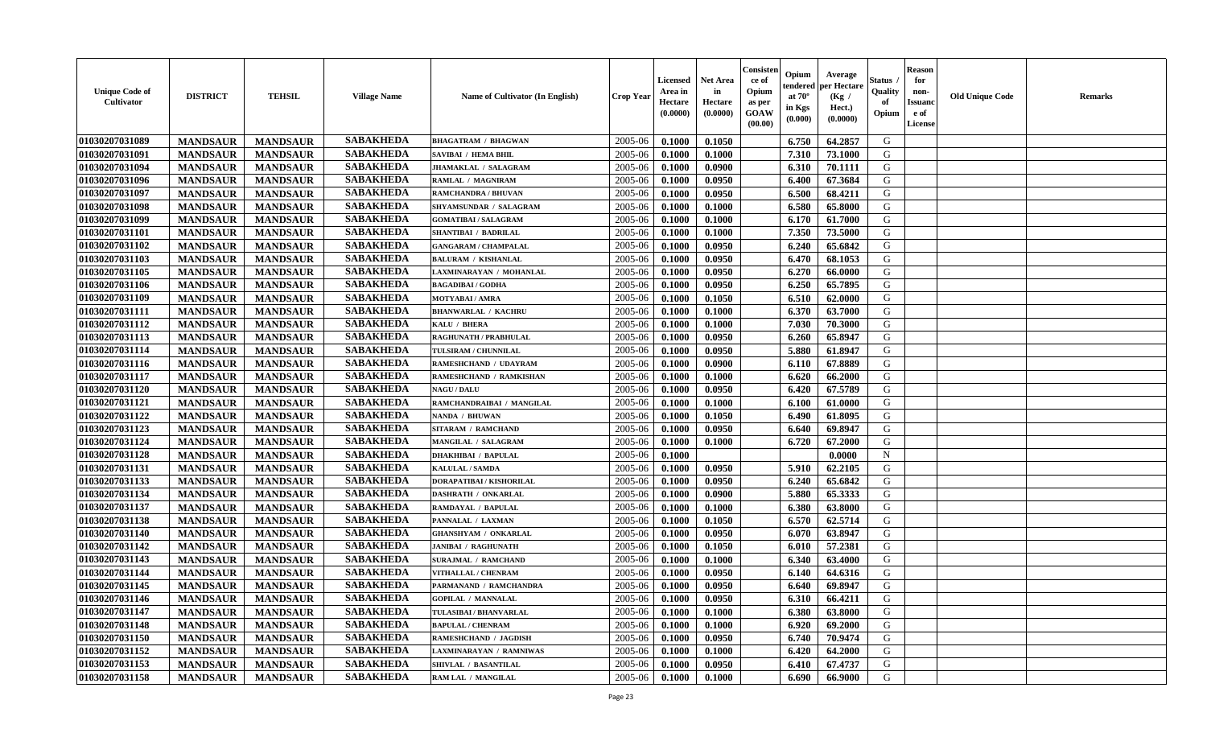| <b>Unique Code of</b><br><b>Cultivator</b> | <b>DISTRICT</b> | <b>TEHSIL</b>   | <b>Village Name</b> | Name of Cultivator (In English) | <b>Crop Year</b> | <b>Licensed</b><br>Area in<br>Hectare<br>(0.0000) | <b>Net Area</b><br>in<br>Hectare<br>(0.0000) | Consisteı<br>ce of<br>Opium<br>as per<br><b>GOAW</b><br>(00.00) | Opium<br>endered<br>at $70^\circ$<br>in Kgs<br>$(\mathbf{0.000})$ | Average<br>per Hectare<br>(Kg /<br>Hect.)<br>(0.0000) | Status<br>Quality<br>of<br>Opium | Reason<br>for<br>non-<br>Issuan<br>e of<br>License | <b>Old Unique Code</b> | <b>Remarks</b> |
|--------------------------------------------|-----------------|-----------------|---------------------|---------------------------------|------------------|---------------------------------------------------|----------------------------------------------|-----------------------------------------------------------------|-------------------------------------------------------------------|-------------------------------------------------------|----------------------------------|----------------------------------------------------|------------------------|----------------|
| 01030207031089                             | <b>MANDSAUR</b> | <b>MANDSAUR</b> | <b>SABAKHEDA</b>    | <b>BHAGATRAM / BHAGWAN</b>      | 2005-06          | 0.1000                                            | 0.1050                                       |                                                                 | 6.750                                                             | 64.2857                                               | G                                |                                                    |                        |                |
| 01030207031091                             | <b>MANDSAUR</b> | <b>MANDSAUR</b> | <b>SABAKHEDA</b>    | SAVIBAI / HEMA BHIL             | 2005-06          | 0.1000                                            | 0.1000                                       |                                                                 | 7.310                                                             | 73.1000                                               | G                                |                                                    |                        |                |
| 01030207031094                             | <b>MANDSAUR</b> | <b>MANDSAUR</b> | <b>SABAKHEDA</b>    | JHAMAKLAL / SALAGRAM            | 2005-06          | 0.1000                                            | 0.0900                                       |                                                                 | 6.310                                                             | 70.1111                                               | G                                |                                                    |                        |                |
| 01030207031096                             | <b>MANDSAUR</b> | <b>MANDSAUR</b> | <b>SABAKHEDA</b>    | RAMLAL / MAGNIRAM               | 2005-06          | 0.1000                                            | 0.0950                                       |                                                                 | 6.400                                                             | 67.3684                                               | G                                |                                                    |                        |                |
| 01030207031097                             | <b>MANDSAUR</b> | <b>MANDSAUR</b> | <b>SABAKHEDA</b>    | RAMCHANDRA / BHUVAN             | 2005-06          | 0.1000                                            | 0.0950                                       |                                                                 | 6.500                                                             | 68.4211                                               | G                                |                                                    |                        |                |
| 01030207031098                             | <b>MANDSAUR</b> | <b>MANDSAUR</b> | <b>SABAKHEDA</b>    | SHYAMSUNDAR / SALAGRAM          | 2005-06          | 0.1000                                            | 0.1000                                       |                                                                 | 6.580                                                             | 65.8000                                               | G                                |                                                    |                        |                |
| 01030207031099                             | <b>MANDSAUR</b> | <b>MANDSAUR</b> | <b>SABAKHEDA</b>    | <b>GOMATIBAI / SALAGRAM</b>     | 2005-06          | 0.1000                                            | 0.1000                                       |                                                                 | 6.170                                                             | 61.7000                                               | G                                |                                                    |                        |                |
| 01030207031101                             | <b>MANDSAUR</b> | <b>MANDSAUR</b> | <b>SABAKHEDA</b>    | <b>SHANTIBAI / BADRILAL</b>     | 2005-06          | 0.1000                                            | 0.1000                                       |                                                                 | 7.350                                                             | 73.5000                                               | G                                |                                                    |                        |                |
| 01030207031102                             | <b>MANDSAUR</b> | <b>MANDSAUR</b> | <b>SABAKHEDA</b>    | <b>GANGARAM / CHAMPALAL</b>     | 2005-06          | 0.1000                                            | 0.0950                                       |                                                                 | 6.240                                                             | 65.6842                                               | G                                |                                                    |                        |                |
| 01030207031103                             | <b>MANDSAUR</b> | <b>MANDSAUR</b> | <b>SABAKHEDA</b>    | <b>BALURAM / KISHANLAL</b>      | 2005-06          | 0.1000                                            | 0.0950                                       |                                                                 | 6.470                                                             | 68.1053                                               | G                                |                                                    |                        |                |
| 01030207031105                             | <b>MANDSAUR</b> | <b>MANDSAUR</b> | <b>SABAKHEDA</b>    | LAXMINARAYAN / MOHANLAL         | 2005-06          | 0.1000                                            | 0.0950                                       |                                                                 | 6.270                                                             | 66.0000                                               | G                                |                                                    |                        |                |
| 01030207031106                             | <b>MANDSAUR</b> | <b>MANDSAUR</b> | <b>SABAKHEDA</b>    | <b>BAGADIBAI/GODHA</b>          | 2005-06          | 0.1000                                            | 0.0950                                       |                                                                 | 6.250                                                             | 65.7895                                               | G                                |                                                    |                        |                |
| 01030207031109                             | <b>MANDSAUR</b> | <b>MANDSAUR</b> | <b>SABAKHEDA</b>    | <b>MOTYABAI/AMRA</b>            | 2005-06          | 0.1000                                            | 0.1050                                       |                                                                 | 6.510                                                             | 62.0000                                               | G                                |                                                    |                        |                |
| 01030207031111                             | <b>MANDSAUR</b> | <b>MANDSAUR</b> | <b>SABAKHEDA</b>    | <b>BHANWARLAL / KACHRU</b>      | 2005-06          | 0.1000                                            | 0.1000                                       |                                                                 | 6.370                                                             | 63.7000                                               | G                                |                                                    |                        |                |
| 01030207031112                             | <b>MANDSAUR</b> | <b>MANDSAUR</b> | <b>SABAKHEDA</b>    | KALU / BHERA                    | 2005-06          | 0.1000                                            | 0.1000                                       |                                                                 | 7.030                                                             | 70.3000                                               | G                                |                                                    |                        |                |
| 01030207031113                             | <b>MANDSAUR</b> | <b>MANDSAUR</b> | <b>SABAKHEDA</b>    | RAGHUNATH / PRABHULAL           | 2005-06          | 0.1000                                            | 0.0950                                       |                                                                 | 6.260                                                             | 65.8947                                               | G                                |                                                    |                        |                |
| 01030207031114                             | <b>MANDSAUR</b> | <b>MANDSAUR</b> | <b>SABAKHEDA</b>    | TULSIRAM / CHUNNILAL            | 2005-06          | 0.1000                                            | 0.0950                                       |                                                                 | 5.880                                                             | 61.8947                                               | G                                |                                                    |                        |                |
| 01030207031116                             | <b>MANDSAUR</b> | <b>MANDSAUR</b> | <b>SABAKHEDA</b>    | RAMESHCHAND / UDAYRAM           | 2005-06          | 0.1000                                            | 0.0900                                       |                                                                 | 6.110                                                             | 67.8889                                               | G                                |                                                    |                        |                |
| 01030207031117                             | <b>MANDSAUR</b> | <b>MANDSAUR</b> | <b>SABAKHEDA</b>    | RAMESHCHAND / RAMKISHAN         | 2005-06          | 0.1000                                            | 0.1000                                       |                                                                 | 6.620                                                             | 66.2000                                               | G                                |                                                    |                        |                |
| 01030207031120                             | <b>MANDSAUR</b> | <b>MANDSAUR</b> | <b>SABAKHEDA</b>    | <b>NAGU / DALU</b>              | 2005-06          | 0.1000                                            | 0.0950                                       |                                                                 | 6.420                                                             | 67.5789                                               | G                                |                                                    |                        |                |
| 01030207031121                             | <b>MANDSAUR</b> | <b>MANDSAUR</b> | <b>SABAKHEDA</b>    | RAMCHANDRAIBAI / MANGILAL       | 2005-06          | 0.1000                                            | 0.1000                                       |                                                                 | 6.100                                                             | 61.0000                                               | G                                |                                                    |                        |                |
| 01030207031122                             | <b>MANDSAUR</b> | <b>MANDSAUR</b> | <b>SABAKHEDA</b>    | NANDA / BHUWAN                  | 2005-06          | 0.1000                                            | 0.1050                                       |                                                                 | 6.490                                                             | 61.8095                                               | G                                |                                                    |                        |                |
| 01030207031123                             | <b>MANDSAUR</b> | <b>MANDSAUR</b> | <b>SABAKHEDA</b>    | SITARAM / RAMCHAND              | 2005-06          | 0.1000                                            | 0.0950                                       |                                                                 | 6.640                                                             | 69.8947                                               | G                                |                                                    |                        |                |
| 01030207031124                             | <b>MANDSAUR</b> | <b>MANDSAUR</b> | <b>SABAKHEDA</b>    | MANGILAL / SALAGRAM             | 2005-06          | 0.1000                                            | 0.1000                                       |                                                                 | 6.720                                                             | 67.2000                                               | G                                |                                                    |                        |                |
| 01030207031128                             | <b>MANDSAUR</b> | <b>MANDSAUR</b> | <b>SABAKHEDA</b>    | <b>DHAKHIBAI / BAPULAL</b>      | 2005-06          | 0.1000                                            |                                              |                                                                 |                                                                   | 0.0000                                                | $\mathbf N$                      |                                                    |                        |                |
| 01030207031131                             | <b>MANDSAUR</b> | <b>MANDSAUR</b> | <b>SABAKHEDA</b>    | <b>KALULAL / SAMDA</b>          | 2005-06          | 0.1000                                            | 0.0950                                       |                                                                 | 5.910                                                             | 62.2105                                               | G                                |                                                    |                        |                |
| 01030207031133                             | <b>MANDSAUR</b> | <b>MANDSAUR</b> | <b>SABAKHEDA</b>    | DORAPATIBAI / KISHORILAL        | 2005-06          | 0.1000                                            | 0.0950                                       |                                                                 | 6.240                                                             | 65.6842                                               | G                                |                                                    |                        |                |
| 01030207031134                             | <b>MANDSAUR</b> | <b>MANDSAUR</b> | <b>SABAKHEDA</b>    | <b>DASHRATH / ONKARLAL</b>      | 2005-06          | 0.1000                                            | 0.0900                                       |                                                                 | 5.880                                                             | 65.3333                                               | G                                |                                                    |                        |                |
| 01030207031137                             | <b>MANDSAUR</b> | <b>MANDSAUR</b> | <b>SABAKHEDA</b>    | RAMDAYAL / BAPULAL              | 2005-06          | 0.1000                                            | 0.1000                                       |                                                                 | 6.380                                                             | 63.8000                                               | G                                |                                                    |                        |                |
| 01030207031138                             | <b>MANDSAUR</b> | <b>MANDSAUR</b> | <b>SABAKHEDA</b>    | PANNALAL / LAXMAN               | 2005-06          | 0.1000                                            | 0.1050                                       |                                                                 | 6.570                                                             | 62.5714                                               | G                                |                                                    |                        |                |
| 01030207031140                             | <b>MANDSAUR</b> | <b>MANDSAUR</b> | <b>SABAKHEDA</b>    | <b>GHANSHYAM / ONKARLAL</b>     | 2005-06          | 0.1000                                            | 0.0950                                       |                                                                 | 6.070                                                             | 63.8947                                               | G                                |                                                    |                        |                |
| 01030207031142                             | <b>MANDSAUR</b> | <b>MANDSAUR</b> | <b>SABAKHEDA</b>    | <b>JANIBAI / RAGHUNATH</b>      | 2005-06          | 0.1000                                            | 0.1050                                       |                                                                 | 6.010                                                             | 57.2381                                               | G                                |                                                    |                        |                |
| 01030207031143                             | <b>MANDSAUR</b> | <b>MANDSAUR</b> | <b>SABAKHEDA</b>    | SURAJMAL / RAMCHAND             | 2005-06          | 0.1000                                            | 0.1000                                       |                                                                 | 6.340                                                             | 63.4000                                               | G                                |                                                    |                        |                |
| 01030207031144                             | <b>MANDSAUR</b> | <b>MANDSAUR</b> | <b>SABAKHEDA</b>    | VITHALLAL / CHENRAM             | 2005-06          | 0.1000                                            | 0.0950                                       |                                                                 | 6.140                                                             | 64.6316                                               | G                                |                                                    |                        |                |
| 01030207031145                             | <b>MANDSAUR</b> | <b>MANDSAUR</b> | <b>SABAKHEDA</b>    | PARMANAND / RAMCHANDRA          | 2005-06          | 0.1000                                            | 0.0950                                       |                                                                 | 6.640                                                             | 69.8947                                               | G                                |                                                    |                        |                |
| 01030207031146                             | <b>MANDSAUR</b> | MANDSAUR        | <b>SABAKHEDA</b>    | <b>GOPILAL / MANNALAL</b>       | $2005-06$ 0.1000 |                                                   | 0.0950                                       |                                                                 | $6.310$                                                           | 66.4211                                               | G                                |                                                    |                        |                |
| 01030207031147                             | <b>MANDSAUR</b> | <b>MANDSAUR</b> | <b>SABAKHEDA</b>    | TULASIBAI / BHANVARLAL          | 2005-06          | 0.1000                                            | 0.1000                                       |                                                                 | 6.380                                                             | 63.8000                                               | G                                |                                                    |                        |                |
| 01030207031148                             | <b>MANDSAUR</b> | <b>MANDSAUR</b> | <b>SABAKHEDA</b>    | <b>BAPULAL / CHENRAM</b>        | 2005-06          | 0.1000                                            | 0.1000                                       |                                                                 | 6.920                                                             | 69.2000                                               | G                                |                                                    |                        |                |
| 01030207031150                             | <b>MANDSAUR</b> | <b>MANDSAUR</b> | <b>SABAKHEDA</b>    | RAMESHCHAND / JAGDISH           | 2005-06          | 0.1000                                            | 0.0950                                       |                                                                 | 6.740                                                             | 70.9474                                               | G                                |                                                    |                        |                |
| 01030207031152                             | <b>MANDSAUR</b> | <b>MANDSAUR</b> | <b>SABAKHEDA</b>    | <b>LAXMINARAYAN / RAMNIWAS</b>  | 2005-06          | 0.1000                                            | 0.1000                                       |                                                                 | 6.420                                                             | 64.2000                                               | G                                |                                                    |                        |                |
| 01030207031153                             | <b>MANDSAUR</b> | <b>MANDSAUR</b> | <b>SABAKHEDA</b>    | SHIVLAL / BASANTILAL            | 2005-06          | 0.1000                                            | 0.0950                                       |                                                                 | 6.410                                                             | 67.4737                                               | G                                |                                                    |                        |                |
| 01030207031158                             | <b>MANDSAUR</b> | <b>MANDSAUR</b> | <b>SABAKHEDA</b>    | RAM LAL / MANGILAL              | 2005-06          | 0.1000                                            | 0.1000                                       |                                                                 | 6.690                                                             | 66.9000                                               | G                                |                                                    |                        |                |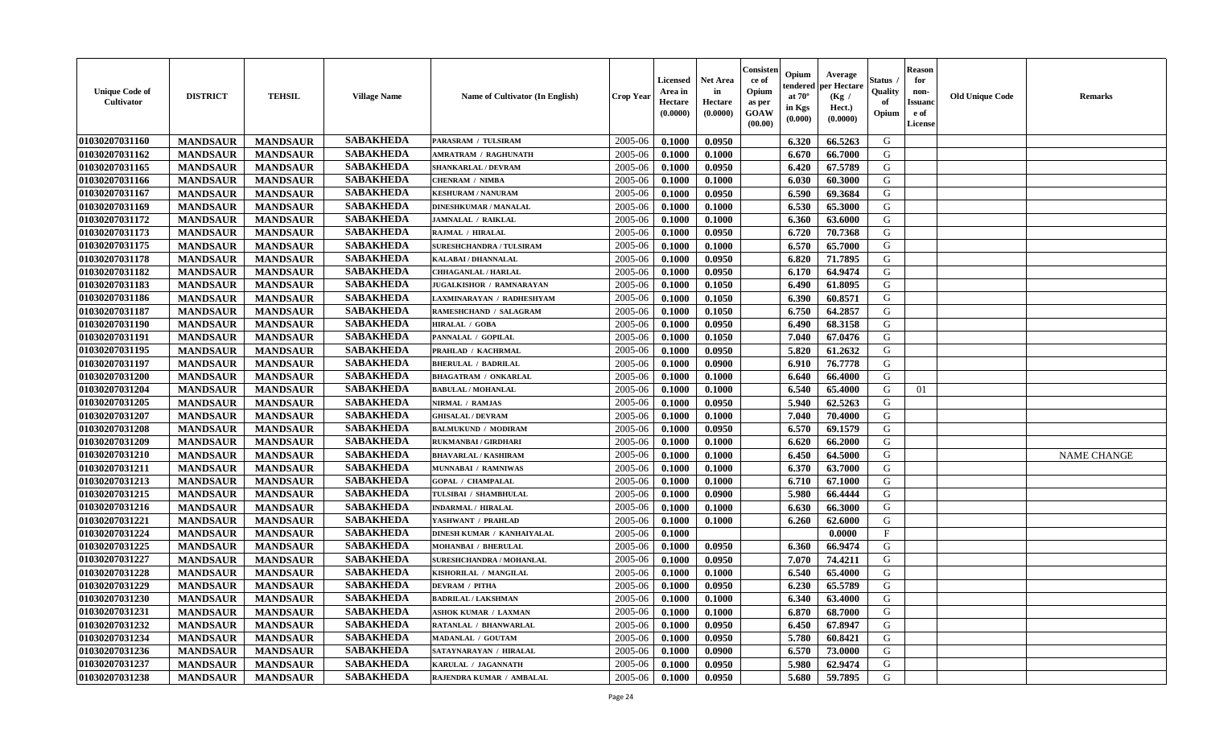| <b>Unique Code of</b><br>Cultivator | <b>DISTRICT</b> | <b>TEHSIL</b>   | <b>Village Name</b> | Name of Cultivator (In English) | <b>Crop Year</b> | <b>Licensed</b><br>Area in<br>Hectare<br>(0.0000) | <b>Net Area</b><br>in<br>Hectare<br>(0.0000) | Consisten<br>ce of<br>Opium<br>as per<br><b>GOAW</b><br>(00.00) | Opium<br>tendered<br>at $70^{\circ}$<br>in Kgs<br>(0.000) | Average<br>per Hectare<br>(Kg /<br>Hect.)<br>(0.0000) | Status .<br>Quality<br>of<br>Opium | <b>Reason</b><br>for<br>non-<br><b>Issuanc</b><br>e of<br>License | <b>Old Unique Code</b> | <b>Remarks</b>     |
|-------------------------------------|-----------------|-----------------|---------------------|---------------------------------|------------------|---------------------------------------------------|----------------------------------------------|-----------------------------------------------------------------|-----------------------------------------------------------|-------------------------------------------------------|------------------------------------|-------------------------------------------------------------------|------------------------|--------------------|
| 01030207031160                      | <b>MANDSAUR</b> | <b>MANDSAUR</b> | <b>SABAKHEDA</b>    | PARASRAM / TULSIRAM             | 2005-06          | 0.1000                                            | 0.0950                                       |                                                                 | 6.320                                                     | 66.5263                                               | G                                  |                                                                   |                        |                    |
| 01030207031162                      | <b>MANDSAUR</b> | <b>MANDSAUR</b> | <b>SABAKHEDA</b>    | <b>AMRATRAM / RAGHUNATH</b>     | 2005-06          | 0.1000                                            | 0.1000                                       |                                                                 | 6.670                                                     | 66.7000                                               | G                                  |                                                                   |                        |                    |
| 01030207031165                      | <b>MANDSAUR</b> | <b>MANDSAUR</b> | <b>SABAKHEDA</b>    | SHANKARLAL / DEVRAM             | 2005-06          | 0.1000                                            | 0.0950                                       |                                                                 | 6.420                                                     | 67.5789                                               | G                                  |                                                                   |                        |                    |
| 01030207031166                      | <b>MANDSAUR</b> | <b>MANDSAUR</b> | <b>SABAKHEDA</b>    | <b>CHENRAM / NIMBA</b>          | 2005-06          | 0.1000                                            | 0.1000                                       |                                                                 | 6.030                                                     | 60.3000                                               | G                                  |                                                                   |                        |                    |
| 01030207031167                      | <b>MANDSAUR</b> | <b>MANDSAUR</b> | <b>SABAKHEDA</b>    | <b>KESHURAM / NANURAM</b>       | 2005-06          | 0.1000                                            | 0.0950                                       |                                                                 | 6.590                                                     | 69.3684                                               | G                                  |                                                                   |                        |                    |
| 01030207031169                      | <b>MANDSAUR</b> | <b>MANDSAUR</b> | <b>SABAKHEDA</b>    | <b>DINESHKUMAR / MANALAL</b>    | 2005-06          | 0.1000                                            | 0.1000                                       |                                                                 | 6.530                                                     | 65.3000                                               | G                                  |                                                                   |                        |                    |
| 01030207031172                      | <b>MANDSAUR</b> | <b>MANDSAUR</b> | <b>SABAKHEDA</b>    | <b>JAMNALAL / RAIKLAL</b>       | 2005-06          | 0.1000                                            | 0.1000                                       |                                                                 | 6.360                                                     | 63.6000                                               | G                                  |                                                                   |                        |                    |
| 01030207031173                      | <b>MANDSAUR</b> | <b>MANDSAUR</b> | <b>SABAKHEDA</b>    | RAJMAL / HIRALAL                | 2005-06          | 0.1000                                            | 0.0950                                       |                                                                 | 6.720                                                     | 70.7368                                               | G                                  |                                                                   |                        |                    |
| 01030207031175                      | <b>MANDSAUR</b> | <b>MANDSAUR</b> | <b>SABAKHEDA</b>    | <b>SURESHCHANDRA / TULSIRAM</b> | 2005-06          | 0.1000                                            | 0.1000                                       |                                                                 | 6.570                                                     | 65.7000                                               | G                                  |                                                                   |                        |                    |
| 01030207031178                      | <b>MANDSAUR</b> | <b>MANDSAUR</b> | <b>SABAKHEDA</b>    | KALABAI / DHANNALAL             | 2005-06          | 0.1000                                            | 0.0950                                       |                                                                 | 6.820                                                     | 71.7895                                               | G                                  |                                                                   |                        |                    |
| 01030207031182                      | <b>MANDSAUR</b> | <b>MANDSAUR</b> | <b>SABAKHEDA</b>    | <b>CHHAGANLAL / HARLAL</b>      | 2005-06          | 0.1000                                            | 0.0950                                       |                                                                 | 6.170                                                     | 64.9474                                               | G                                  |                                                                   |                        |                    |
| 01030207031183                      | <b>MANDSAUR</b> | <b>MANDSAUR</b> | <b>SABAKHEDA</b>    | JUGALKISHOR / RAMNARAYAN        | 2005-06          | 0.1000                                            | 0.1050                                       |                                                                 | 6.490                                                     | 61.8095                                               | G                                  |                                                                   |                        |                    |
| 01030207031186                      | <b>MANDSAUR</b> | <b>MANDSAUR</b> | <b>SABAKHEDA</b>    | LAXMINARAYAN / RADHESHYAM       | 2005-06          | 0.1000                                            | 0.1050                                       |                                                                 | 6.390                                                     | 60.8571                                               | G                                  |                                                                   |                        |                    |
| 01030207031187                      | <b>MANDSAUR</b> | <b>MANDSAUR</b> | <b>SABAKHEDA</b>    | RAMESHCHAND / SALAGRAM          | 2005-06          | 0.1000                                            | 0.1050                                       |                                                                 | 6.750                                                     | 64.2857                                               | G                                  |                                                                   |                        |                    |
| 01030207031190                      | <b>MANDSAUR</b> | <b>MANDSAUR</b> | <b>SABAKHEDA</b>    | <b>HIRALAL / GOBA</b>           | 2005-06          | 0.1000                                            | 0.0950                                       |                                                                 | 6.490                                                     | 68.3158                                               | G                                  |                                                                   |                        |                    |
| 01030207031191                      | <b>MANDSAUR</b> | <b>MANDSAUR</b> | <b>SABAKHEDA</b>    | PANNALAL / GOPILAL              | 2005-06          | 0.1000                                            | 0.1050                                       |                                                                 | 7.040                                                     | 67.0476                                               | G                                  |                                                                   |                        |                    |
| 01030207031195                      | <b>MANDSAUR</b> | <b>MANDSAUR</b> | <b>SABAKHEDA</b>    | PRAHLAD / KACHRMAL              | 2005-06          | 0.1000                                            | 0.0950                                       |                                                                 | 5.820                                                     | 61.2632                                               | G                                  |                                                                   |                        |                    |
| 01030207031197                      | <b>MANDSAUR</b> | <b>MANDSAUR</b> | <b>SABAKHEDA</b>    | <b>BHERULAL / BADRILAL</b>      | 2005-06          | 0.1000                                            | 0.0900                                       |                                                                 | 6.910                                                     | 76.7778                                               | G                                  |                                                                   |                        |                    |
| 01030207031200                      | <b>MANDSAUR</b> | <b>MANDSAUR</b> | <b>SABAKHEDA</b>    | <b>BHAGATRAM / ONKARLAL</b>     | 2005-06          | 0.1000                                            | 0.1000                                       |                                                                 | 6.640                                                     | 66.4000                                               | G                                  |                                                                   |                        |                    |
| 01030207031204                      | <b>MANDSAUR</b> | <b>MANDSAUR</b> | <b>SABAKHEDA</b>    | <b>BABULAL / MOHANLAL</b>       | 2005-06          | 0.1000                                            | 0.1000                                       |                                                                 | 6.540                                                     | 65.4000                                               | G                                  | 01                                                                |                        |                    |
| 01030207031205                      | <b>MANDSAUR</b> | <b>MANDSAUR</b> | <b>SABAKHEDA</b>    | NIRMAL / RAMJAS                 | 2005-06          | 0.1000                                            | 0.0950                                       |                                                                 | 5.940                                                     | 62.5263                                               | G                                  |                                                                   |                        |                    |
| 01030207031207                      | <b>MANDSAUR</b> | <b>MANDSAUR</b> | <b>SABAKHEDA</b>    | <b>GHISALAL / DEVRAM</b>        | 2005-06          | 0.1000                                            | 0.1000                                       |                                                                 | 7.040                                                     | 70.4000                                               | G                                  |                                                                   |                        |                    |
| 01030207031208                      | <b>MANDSAUR</b> | <b>MANDSAUR</b> | <b>SABAKHEDA</b>    | <b>BALMUKUND / MODIRAM</b>      | 2005-06          | 0.1000                                            | 0.0950                                       |                                                                 | 6.570                                                     | 69.1579                                               | G                                  |                                                                   |                        |                    |
| 01030207031209                      | <b>MANDSAUR</b> | <b>MANDSAUR</b> | <b>SABAKHEDA</b>    | RUKMANBAI / GIRDHARI            | 2005-06          | 0.1000                                            | 0.1000                                       |                                                                 | 6.620                                                     | 66.2000                                               | G                                  |                                                                   |                        |                    |
| 01030207031210                      | <b>MANDSAUR</b> | <b>MANDSAUR</b> | <b>SABAKHEDA</b>    | <b>BHAVARLAL / KASHIRAM</b>     | 2005-06          | 0.1000                                            | 0.1000                                       |                                                                 | 6.450                                                     | 64.5000                                               | G                                  |                                                                   |                        | <b>NAME CHANGE</b> |
| 01030207031211                      | <b>MANDSAUR</b> | <b>MANDSAUR</b> | <b>SABAKHEDA</b>    | MUNNABAI / RAMNIWAS             | 2005-06          | 0.1000                                            | 0.1000                                       |                                                                 | 6.370                                                     | 63.7000                                               | G                                  |                                                                   |                        |                    |
| 01030207031213                      | <b>MANDSAUR</b> | <b>MANDSAUR</b> | <b>SABAKHEDA</b>    | <b>GOPAL / CHAMPALAL</b>        | 2005-06          | 0.1000                                            | 0.1000                                       |                                                                 | 6.710                                                     | 67.1000                                               | G                                  |                                                                   |                        |                    |
| 01030207031215                      | <b>MANDSAUR</b> | <b>MANDSAUR</b> | <b>SABAKHEDA</b>    | TULSIBAI / SHAMBHULAL           | 2005-06          | 0.1000                                            | 0.0900                                       |                                                                 | 5.980                                                     | 66.4444                                               | G                                  |                                                                   |                        |                    |
| 01030207031216                      | <b>MANDSAUR</b> | <b>MANDSAUR</b> | <b>SABAKHEDA</b>    | <b>INDARMAL / HIRALAL</b>       | 2005-06          | 0.1000                                            | 0.1000                                       |                                                                 | 6.630                                                     | 66.3000                                               | G                                  |                                                                   |                        |                    |
| 01030207031221                      | <b>MANDSAUR</b> | <b>MANDSAUR</b> | <b>SABAKHEDA</b>    | YASHWANT / PRAHLAD              | 2005-06          | 0.1000                                            | 0.1000                                       |                                                                 | 6.260                                                     | 62.6000                                               | G                                  |                                                                   |                        |                    |
| 01030207031224                      | <b>MANDSAUR</b> | <b>MANDSAUR</b> | <b>SABAKHEDA</b>    | DINESH KUMAR / KANHAIYALAL      | 2005-06          | 0.1000                                            |                                              |                                                                 |                                                           | 0.0000                                                | $\mathbf F$                        |                                                                   |                        |                    |
| 01030207031225                      | <b>MANDSAUR</b> | <b>MANDSAUR</b> | <b>SABAKHEDA</b>    | <b>MOHANBAI / BHERULAL</b>      | 2005-06          | 0.1000                                            | 0.0950                                       |                                                                 | 6.360                                                     | 66.9474                                               | G                                  |                                                                   |                        |                    |
| 01030207031227                      | <b>MANDSAUR</b> | <b>MANDSAUR</b> | <b>SABAKHEDA</b>    | SURESHCHANDRA / MOHANLAL        | 2005-06          | 0.1000                                            | 0.0950                                       |                                                                 | 7.070                                                     | 74.4211                                               | G                                  |                                                                   |                        |                    |
| 01030207031228                      | <b>MANDSAUR</b> | <b>MANDSAUR</b> | <b>SABAKHEDA</b>    | KISHORILAL / MANGILAL           | 2005-06          | 0.1000                                            | 0.1000                                       |                                                                 | 6.540                                                     | 65.4000                                               | G                                  |                                                                   |                        |                    |
| 01030207031229                      | <b>MANDSAUR</b> | <b>MANDSAUR</b> | <b>SABAKHEDA</b>    | <b>DEVRAM / PITHA</b>           | 2005-06          | 0.1000                                            | 0.0950                                       |                                                                 | 6.230                                                     | 65.5789                                               | G                                  |                                                                   |                        |                    |
| 01030207031230                      | <b>MANDSAUR</b> | <b>MANDSAUR</b> | <b>SABAKHEDA</b>    | <b>BADRILAL / LAKSHMAN</b>      | 2005-06          | 0.1000                                            | 0.1000                                       |                                                                 | 6.340                                                     | 63.4000                                               | G                                  |                                                                   |                        |                    |
| 01030207031231                      | <b>MANDSAUR</b> | <b>MANDSAUR</b> | <b>SABAKHEDA</b>    | <b>ASHOK KUMAR / LAXMAN</b>     | 2005-06          | 0.1000                                            | 0.1000                                       |                                                                 | 6.870                                                     | 68.7000                                               | G                                  |                                                                   |                        |                    |
| 01030207031232                      | <b>MANDSAUR</b> | <b>MANDSAUR</b> | <b>SABAKHEDA</b>    | RATANLAL / BHANWARLAL           | 2005-06          | 0.1000                                            | 0.0950                                       |                                                                 | 6.450                                                     | 67.8947                                               | G                                  |                                                                   |                        |                    |
| 01030207031234                      | <b>MANDSAUR</b> | <b>MANDSAUR</b> | <b>SABAKHEDA</b>    | <b>MADANLAL / GOUTAM</b>        | 2005-06          | 0.1000                                            | 0.0950                                       |                                                                 | 5.780                                                     | 60.8421                                               | G                                  |                                                                   |                        |                    |
| 01030207031236                      | <b>MANDSAUR</b> | <b>MANDSAUR</b> | <b>SABAKHEDA</b>    | SATAYNARAYAN / HIRALAL          | 2005-06          | 0.1000                                            | 0.0900                                       |                                                                 | 6.570                                                     | 73.0000                                               | G                                  |                                                                   |                        |                    |
| 01030207031237                      | <b>MANDSAUR</b> | <b>MANDSAUR</b> | <b>SABAKHEDA</b>    | KARULAL / JAGANNATH             | 2005-06          | 0.1000                                            | 0.0950                                       |                                                                 | 5.980                                                     | 62.9474                                               | G                                  |                                                                   |                        |                    |
| 01030207031238                      | <b>MANDSAUR</b> | <b>MANDSAUR</b> | <b>SABAKHEDA</b>    | RAJENDRA KUMAR / AMBALAL        | 2005-06          | 0.1000                                            | 0.0950                                       |                                                                 | 5.680                                                     | 59.7895                                               | G                                  |                                                                   |                        |                    |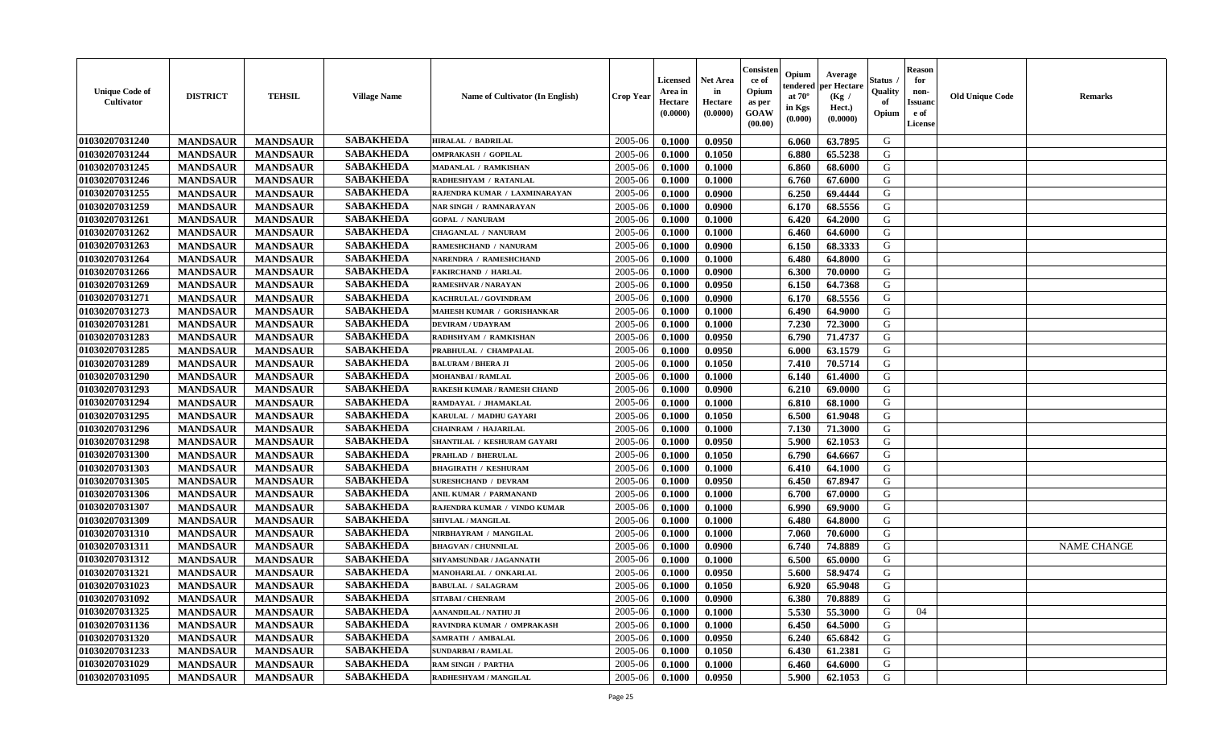| <b>Unique Code of</b><br>Cultivator | <b>DISTRICT</b> | <b>TEHSIL</b>   | <b>Village Name</b> | <b>Name of Cultivator (In English)</b> | <b>Crop Year</b> | <b>Licensed</b><br>Area in<br>Hectare<br>(0.0000) | <b>Net Area</b><br>in<br>Hectare<br>(0.0000) | Consisten<br>ce of<br>Opium<br>as per<br><b>GOAW</b><br>(00.00) | Opium<br>tendered<br>at $70^{\circ}$<br>in Kgs<br>(0.000) | Average<br>per Hectare<br>(Kg /<br>Hect.)<br>(0.0000) | Status .<br>Quality<br>of<br>Opium | <b>Reason</b><br>for<br>non-<br><b>Issuanc</b><br>e of<br>License | <b>Old Unique Code</b> | <b>Remarks</b>     |
|-------------------------------------|-----------------|-----------------|---------------------|----------------------------------------|------------------|---------------------------------------------------|----------------------------------------------|-----------------------------------------------------------------|-----------------------------------------------------------|-------------------------------------------------------|------------------------------------|-------------------------------------------------------------------|------------------------|--------------------|
| 01030207031240                      | <b>MANDSAUR</b> | <b>MANDSAUR</b> | <b>SABAKHEDA</b>    | <b>HIRALAL / BADRILAL</b>              | 2005-06          | 0.1000                                            | 0.0950                                       |                                                                 | 6.060                                                     | 63.7895                                               | G                                  |                                                                   |                        |                    |
| 01030207031244                      | <b>MANDSAUR</b> | <b>MANDSAUR</b> | <b>SABAKHEDA</b>    | <b>OMPRAKASH / GOPILAL</b>             | 2005-06          | 0.1000                                            | 0.1050                                       |                                                                 | 6.880                                                     | 65.5238                                               | G                                  |                                                                   |                        |                    |
| 01030207031245                      | <b>MANDSAUR</b> | <b>MANDSAUR</b> | <b>SABAKHEDA</b>    | MADANLAL / RAMKISHAN                   | 2005-06          | 0.1000                                            | 0.1000                                       |                                                                 | 6.860                                                     | 68.6000                                               | G                                  |                                                                   |                        |                    |
| 01030207031246                      | <b>MANDSAUR</b> | <b>MANDSAUR</b> | <b>SABAKHEDA</b>    | RADHESHYAM / RATANLAL                  | 2005-06          | 0.1000                                            | 0.1000                                       |                                                                 | 6.760                                                     | 67.6000                                               | G                                  |                                                                   |                        |                    |
| 01030207031255                      | <b>MANDSAUR</b> | <b>MANDSAUR</b> | <b>SABAKHEDA</b>    | RAJENDRA KUMAR / LAXMINARAYAN          | 2005-06          | 0.1000                                            | 0.0900                                       |                                                                 | 6.250                                                     | 69.4444                                               | G                                  |                                                                   |                        |                    |
| 01030207031259                      | <b>MANDSAUR</b> | <b>MANDSAUR</b> | <b>SABAKHEDA</b>    | <b>NAR SINGH / RAMNARAYAN</b>          | 2005-06          | 0.1000                                            | 0.0900                                       |                                                                 | 6.170                                                     | 68.5556                                               | G                                  |                                                                   |                        |                    |
| 01030207031261                      | <b>MANDSAUR</b> | <b>MANDSAUR</b> | <b>SABAKHEDA</b>    | <b>GOPAL / NANURAM</b>                 | 2005-06          | 0.1000                                            | 0.1000                                       |                                                                 | 6.420                                                     | 64.2000                                               | G                                  |                                                                   |                        |                    |
| 01030207031262                      | <b>MANDSAUR</b> | <b>MANDSAUR</b> | <b>SABAKHEDA</b>    | <b>CHAGANLAL / NANURAM</b>             | 2005-06          | 0.1000                                            | 0.1000                                       |                                                                 | 6.460                                                     | 64.6000                                               | G                                  |                                                                   |                        |                    |
| 01030207031263                      | <b>MANDSAUR</b> | <b>MANDSAUR</b> | <b>SABAKHEDA</b>    | RAMESHCHAND / NANURAM                  | 2005-06          | 0.1000                                            | 0.0900                                       |                                                                 | 6.150                                                     | 68.3333                                               | G                                  |                                                                   |                        |                    |
| 01030207031264                      | <b>MANDSAUR</b> | <b>MANDSAUR</b> | <b>SABAKHEDA</b>    | NARENDRA / RAMESHCHAND                 | 2005-06          | 0.1000                                            | 0.1000                                       |                                                                 | 6.480                                                     | 64.8000                                               | G                                  |                                                                   |                        |                    |
| 01030207031266                      | <b>MANDSAUR</b> | <b>MANDSAUR</b> | <b>SABAKHEDA</b>    | <b>FAKIRCHAND / HARLAL</b>             | 2005-06          | 0.1000                                            | 0.0900                                       |                                                                 | 6.300                                                     | 70.0000                                               | G                                  |                                                                   |                        |                    |
| 01030207031269                      | <b>MANDSAUR</b> | <b>MANDSAUR</b> | <b>SABAKHEDA</b>    | RAMESHVAR / NARAYAN                    | 2005-06          | 0.1000                                            | 0.0950                                       |                                                                 | 6.150                                                     | 64.7368                                               | G                                  |                                                                   |                        |                    |
| 01030207031271                      | <b>MANDSAUR</b> | <b>MANDSAUR</b> | <b>SABAKHEDA</b>    | KACHRULAL / GOVINDRAM                  | 2005-06          | 0.1000                                            | 0.0900                                       |                                                                 | 6.170                                                     | 68.5556                                               | G                                  |                                                                   |                        |                    |
| 01030207031273                      | <b>MANDSAUR</b> | <b>MANDSAUR</b> | <b>SABAKHEDA</b>    | MAHESH KUMAR / GORISHANKAR             | 2005-06          | 0.1000                                            | 0.1000                                       |                                                                 | 6.490                                                     | 64.9000                                               | G                                  |                                                                   |                        |                    |
| 01030207031281                      | <b>MANDSAUR</b> | <b>MANDSAUR</b> | <b>SABAKHEDA</b>    | <b>DEVIRAM / UDAYRAM</b>               | 2005-06          | 0.1000                                            | 0.1000                                       |                                                                 | 7.230                                                     | 72.3000                                               | G                                  |                                                                   |                        |                    |
| 01030207031283                      | <b>MANDSAUR</b> | <b>MANDSAUR</b> | <b>SABAKHEDA</b>    | RADHSHYAM / RAMKISHAN                  | 2005-06          | 0.1000                                            | 0.0950                                       |                                                                 | 6.790                                                     | 71.4737                                               | G                                  |                                                                   |                        |                    |
| 01030207031285                      | <b>MANDSAUR</b> | <b>MANDSAUR</b> | <b>SABAKHEDA</b>    | PRABHULAL / CHAMPALAL                  | 2005-06          | 0.1000                                            | 0.0950                                       |                                                                 | 6.000                                                     | 63.1579                                               | G                                  |                                                                   |                        |                    |
| 01030207031289                      | <b>MANDSAUR</b> | <b>MANDSAUR</b> | <b>SABAKHEDA</b>    | <b>BALURAM / BHERA JI</b>              | 2005-06          | 0.1000                                            | 0.1050                                       |                                                                 | 7.410                                                     | 70.5714                                               | G                                  |                                                                   |                        |                    |
| 01030207031290                      | <b>MANDSAUR</b> | <b>MANDSAUR</b> | <b>SABAKHEDA</b>    | <b>MOHANBAI/RAMLAL</b>                 | 2005-06          | 0.1000                                            | 0.1000                                       |                                                                 | 6.140                                                     | 61.4000                                               | G                                  |                                                                   |                        |                    |
| 01030207031293                      | <b>MANDSAUR</b> | <b>MANDSAUR</b> | <b>SABAKHEDA</b>    | <b>RAKESH KUMAR / RAMESH CHAND</b>     | 2005-06          | 0.1000                                            | 0.0900                                       |                                                                 | 6.210                                                     | 69.0000                                               | G                                  |                                                                   |                        |                    |
| 01030207031294                      | <b>MANDSAUR</b> | <b>MANDSAUR</b> | <b>SABAKHEDA</b>    | RAMDAYAL / JHAMAKLAL                   | 2005-06          | 0.1000                                            | 0.1000                                       |                                                                 | 6.810                                                     | 68.1000                                               | G                                  |                                                                   |                        |                    |
| 01030207031295                      | <b>MANDSAUR</b> | <b>MANDSAUR</b> | <b>SABAKHEDA</b>    | KARULAL / MADHU GAYARI                 | 2005-06          | 0.1000                                            | 0.1050                                       |                                                                 | 6.500                                                     | 61.9048                                               | G                                  |                                                                   |                        |                    |
| 01030207031296                      | <b>MANDSAUR</b> | <b>MANDSAUR</b> | <b>SABAKHEDA</b>    | <b>CHAINRAM / HAJARILAL</b>            | 2005-06          | 0.1000                                            | 0.1000                                       |                                                                 | 7.130                                                     | 71.3000                                               | G                                  |                                                                   |                        |                    |
| 01030207031298                      | <b>MANDSAUR</b> | <b>MANDSAUR</b> | <b>SABAKHEDA</b>    | SHANTILAL / KESHURAM GAYARI            | 2005-06          | 0.1000                                            | 0.0950                                       |                                                                 | 5.900                                                     | 62.1053                                               | G                                  |                                                                   |                        |                    |
| 01030207031300                      | <b>MANDSAUR</b> | <b>MANDSAUR</b> | <b>SABAKHEDA</b>    | <b>PRAHLAD / BHERULAL</b>              | 2005-06          | 0.1000                                            | 0.1050                                       |                                                                 | 6.790                                                     | 64.6667                                               | G                                  |                                                                   |                        |                    |
| 01030207031303                      | <b>MANDSAUR</b> | <b>MANDSAUR</b> | <b>SABAKHEDA</b>    | <b>BHAGIRATH / KESHURAM</b>            | 2005-06          | 0.1000                                            | 0.1000                                       |                                                                 | 6.410                                                     | 64.1000                                               | G                                  |                                                                   |                        |                    |
| 01030207031305                      | <b>MANDSAUR</b> | <b>MANDSAUR</b> | <b>SABAKHEDA</b>    | <b>SURESHCHAND / DEVRAM</b>            | 2005-06          | 0.1000                                            | 0.0950                                       |                                                                 | 6.450                                                     | 67.8947                                               | G                                  |                                                                   |                        |                    |
| 01030207031306                      | <b>MANDSAUR</b> | <b>MANDSAUR</b> | <b>SABAKHEDA</b>    | ANIL KUMAR / PARMANAND                 | 2005-06          | 0.1000                                            | 0.1000                                       |                                                                 | 6.700                                                     | 67.0000                                               | G                                  |                                                                   |                        |                    |
| 01030207031307                      | <b>MANDSAUR</b> | <b>MANDSAUR</b> | <b>SABAKHEDA</b>    | RAJENDRA KUMAR / VINDO KUMAR           | 2005-06          | 0.1000                                            | 0.1000                                       |                                                                 | 6.990                                                     | 69.9000                                               | G                                  |                                                                   |                        |                    |
| 01030207031309                      | <b>MANDSAUR</b> | <b>MANDSAUR</b> | <b>SABAKHEDA</b>    | SHIVLAL / MANGILAL                     | 2005-06          | 0.1000                                            | 0.1000                                       |                                                                 | 6.480                                                     | 64.8000                                               | G                                  |                                                                   |                        |                    |
| 01030207031310                      | <b>MANDSAUR</b> | <b>MANDSAUR</b> | <b>SABAKHEDA</b>    | NIRBHAYRAM / MANGILAL                  | 2005-06          | 0.1000                                            | 0.1000                                       |                                                                 | 7.060                                                     | 70.6000                                               | G                                  |                                                                   |                        |                    |
| 01030207031311                      | <b>MANDSAUR</b> | <b>MANDSAUR</b> | <b>SABAKHEDA</b>    | <b>BHAGVAN / CHUNNILAL</b>             | 2005-06          | 0.1000                                            | 0.0900                                       |                                                                 | 6.740                                                     | 74.8889                                               | G                                  |                                                                   |                        | <b>NAME CHANGE</b> |
| 01030207031312                      | <b>MANDSAUR</b> | <b>MANDSAUR</b> | <b>SABAKHEDA</b>    | SHYAMSUNDAR / JAGANNATH                | 2005-06          | 0.1000                                            | 0.1000                                       |                                                                 | 6.500                                                     | 65.0000                                               | G                                  |                                                                   |                        |                    |
| 01030207031321                      | <b>MANDSAUR</b> | <b>MANDSAUR</b> | <b>SABAKHEDA</b>    | MANOHARLAL / ONKARLAL                  | 2005-06          | 0.1000                                            | 0.0950                                       |                                                                 | 5.600                                                     | 58.9474                                               | G                                  |                                                                   |                        |                    |
| 01030207031023                      | <b>MANDSAUR</b> | <b>MANDSAUR</b> | <b>SABAKHEDA</b>    | <b>BABULAL / SALAGRAM</b>              | 2005-06          | 0.1000                                            | 0.1050                                       |                                                                 | 6.920                                                     | 65.9048                                               | G                                  |                                                                   |                        |                    |
| 01030207031092                      | <b>MANDSAUR</b> | <b>MANDSAUR</b> | SABAKHEDA           | SITABAI / CHENRAM                      | $2005 - 06$      | 0.1000                                            | 0.0900                                       |                                                                 | 6.380                                                     | 70.8889                                               | G                                  |                                                                   |                        |                    |
| 01030207031325                      | <b>MANDSAUR</b> | <b>MANDSAUR</b> | <b>SABAKHEDA</b>    | AANANDILAL / NATHU JI                  | 2005-06          | 0.1000                                            | 0.1000                                       |                                                                 | 5.530                                                     | 55.3000                                               | G                                  | 04                                                                |                        |                    |
| 01030207031136                      | <b>MANDSAUR</b> | <b>MANDSAUR</b> | <b>SABAKHEDA</b>    | RAVINDRA KUMAR / OMPRAKASH             | 2005-06          | 0.1000                                            | 0.1000                                       |                                                                 | 6.450                                                     | 64.5000                                               | G                                  |                                                                   |                        |                    |
| 01030207031320                      | <b>MANDSAUR</b> | <b>MANDSAUR</b> | <b>SABAKHEDA</b>    | <b>SAMRATH / AMBALAL</b>               | 2005-06          | 0.1000                                            | 0.0950                                       |                                                                 | 6.240                                                     | 65.6842                                               | G                                  |                                                                   |                        |                    |
| 01030207031233                      | <b>MANDSAUR</b> | <b>MANDSAUR</b> | <b>SABAKHEDA</b>    | <b>SUNDARBAI/RAMLAL</b>                | 2005-06          | 0.1000                                            | 0.1050                                       |                                                                 | 6.430                                                     | 61.2381                                               | G                                  |                                                                   |                        |                    |
| 01030207031029                      | <b>MANDSAUR</b> | <b>MANDSAUR</b> | <b>SABAKHEDA</b>    | <b>RAM SINGH / PARTHA</b>              | 2005-06          | 0.1000                                            | 0.1000                                       |                                                                 | 6.460                                                     | 64.6000                                               | G                                  |                                                                   |                        |                    |
| 01030207031095                      | <b>MANDSAUR</b> | <b>MANDSAUR</b> | <b>SABAKHEDA</b>    | RADHESHYAM / MANGILAL                  | 2005-06          | 0.1000                                            | 0.0950                                       |                                                                 | 5.900                                                     | 62.1053                                               | G                                  |                                                                   |                        |                    |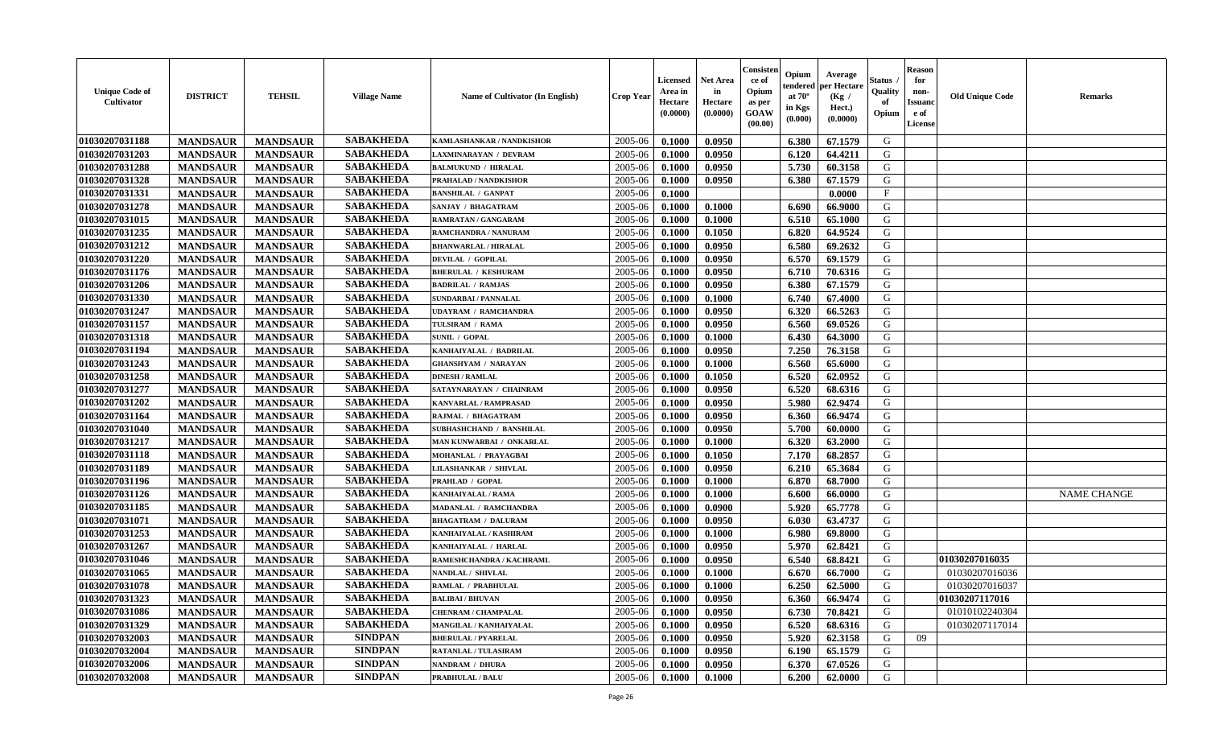| <b>Unique Code of</b><br>Cultivator | <b>DISTRICT</b> | <b>TEHSIL</b>   | <b>Village Name</b> | Name of Cultivator (In English) | <b>Crop Year</b> | <b>Licensed</b><br>Area in<br>Hectare<br>(0.0000) | <b>Net Area</b><br>in<br>Hectare<br>(0.0000) | Consister<br>ce of<br>Opium<br>as per<br>GOAW<br>(00.00) | Opium<br>endered<br>at $70^\circ$<br>in Kgs<br>(0.000) | Average<br>per Hectare<br>(Kg /<br>Hect.)<br>(0.0000) | <b>Status</b> .<br>Quality<br>of<br>Opium | <b>Reason</b><br>for<br>non-<br><b>Issuanc</b><br>e of<br>License | <b>Old Unique Code</b> | <b>Remarks</b>     |
|-------------------------------------|-----------------|-----------------|---------------------|---------------------------------|------------------|---------------------------------------------------|----------------------------------------------|----------------------------------------------------------|--------------------------------------------------------|-------------------------------------------------------|-------------------------------------------|-------------------------------------------------------------------|------------------------|--------------------|
| 01030207031188                      | <b>MANDSAUR</b> | <b>MANDSAUR</b> | <b>SABAKHEDA</b>    | KAMLASHANKAR / NANDKISHOR       | 2005-06          | 0.1000                                            | 0.0950                                       |                                                          | 6.380                                                  | 67.1579                                               | G                                         |                                                                   |                        |                    |
| 01030207031203                      | <b>MANDSAUR</b> | <b>MANDSAUR</b> | <b>SABAKHEDA</b>    | LAXMINARAYAN / DEVRAM           | 2005-06          | 0.1000                                            | 0.0950                                       |                                                          | 6.120                                                  | 64.4211                                               | G                                         |                                                                   |                        |                    |
| 01030207031288                      | <b>MANDSAUR</b> | <b>MANDSAUR</b> | <b>SABAKHEDA</b>    | <b>BALMUKUND / HIRALAL</b>      | 2005-06          | 0.1000                                            | 0.0950                                       |                                                          | 5.730                                                  | 60.3158                                               | G                                         |                                                                   |                        |                    |
| 01030207031328                      | <b>MANDSAUR</b> | <b>MANDSAUR</b> | <b>SABAKHEDA</b>    | PRAHALAD / NANDKISHOR           | 2005-06          | 0.1000                                            | 0.0950                                       |                                                          | 6.380                                                  | 67.1579                                               | G                                         |                                                                   |                        |                    |
| 01030207031331                      | <b>MANDSAUR</b> | <b>MANDSAUR</b> | <b>SABAKHEDA</b>    | <b>BANSHILAL / GANPAT</b>       | 2005-06          | 0.1000                                            |                                              |                                                          |                                                        | 0.0000                                                | $\mathbf F$                               |                                                                   |                        |                    |
| 01030207031278                      | <b>MANDSAUR</b> | <b>MANDSAUR</b> | <b>SABAKHEDA</b>    | SANJAY / BHAGATRAM              | 2005-06          | 0.1000                                            | 0.1000                                       |                                                          | 6.690                                                  | 66.9000                                               | G                                         |                                                                   |                        |                    |
| 01030207031015                      | <b>MANDSAUR</b> | <b>MANDSAUR</b> | <b>SABAKHEDA</b>    | RAMRATAN / GANGARAM             | 2005-06          | 0.1000                                            | 0.1000                                       |                                                          | 6.510                                                  | 65.1000                                               | G                                         |                                                                   |                        |                    |
| 01030207031235                      | <b>MANDSAUR</b> | <b>MANDSAUR</b> | <b>SABAKHEDA</b>    | RAMCHANDRA / NANURAM            | 2005-06          | 0.1000                                            | 0.1050                                       |                                                          | 6.820                                                  | 64.9524                                               | G                                         |                                                                   |                        |                    |
| 01030207031212                      | <b>MANDSAUR</b> | <b>MANDSAUR</b> | <b>SABAKHEDA</b>    | <b>BHANWARLAL / HIRALAL</b>     | 2005-06          | 0.1000                                            | 0.0950                                       |                                                          | 6.580                                                  | 69.2632                                               | G                                         |                                                                   |                        |                    |
| 01030207031220                      | <b>MANDSAUR</b> | <b>MANDSAUR</b> | <b>SABAKHEDA</b>    | <b>DEVILAL / GOPILAL</b>        | 2005-06          | 0.1000                                            | 0.0950                                       |                                                          | 6.570                                                  | 69.1579                                               | G                                         |                                                                   |                        |                    |
| 01030207031176                      | <b>MANDSAUR</b> | <b>MANDSAUR</b> | <b>SABAKHEDA</b>    | <b>BHERULAL / KESHURAM</b>      | 2005-06          | 0.1000                                            | 0.0950                                       |                                                          | 6.710                                                  | 70.6316                                               | G                                         |                                                                   |                        |                    |
| 01030207031206                      | <b>MANDSAUR</b> | <b>MANDSAUR</b> | <b>SABAKHEDA</b>    | <b>BADRILAL / RAMJAS</b>        | 2005-06          | 0.1000                                            | 0.0950                                       |                                                          | 6.380                                                  | 67.1579                                               | G                                         |                                                                   |                        |                    |
| 01030207031330                      | <b>MANDSAUR</b> | <b>MANDSAUR</b> | <b>SABAKHEDA</b>    | <b>SUNDARBAI / PANNALAL</b>     | 2005-06          | 0.1000                                            | 0.1000                                       |                                                          | 6.740                                                  | 67.4000                                               | G                                         |                                                                   |                        |                    |
| 01030207031247                      | <b>MANDSAUR</b> | <b>MANDSAUR</b> | <b>SABAKHEDA</b>    | <b>UDAYRAM / RAMCHANDRA</b>     | 2005-06          | 0.1000                                            | 0.0950                                       |                                                          | 6.320                                                  | 66.5263                                               | G                                         |                                                                   |                        |                    |
| 01030207031157                      | <b>MANDSAUR</b> | <b>MANDSAUR</b> | <b>SABAKHEDA</b>    | TULSIRAM / RAMA                 | 2005-06          | 0.1000                                            | 0.0950                                       |                                                          | 6.560                                                  | 69.0526                                               | ${\bf G}$                                 |                                                                   |                        |                    |
| 01030207031318                      | <b>MANDSAUR</b> | <b>MANDSAUR</b> | <b>SABAKHEDA</b>    | <b>SUNIL / GOPAL</b>            | 2005-06          | 0.1000                                            | 0.1000                                       |                                                          | 6.430                                                  | 64.3000                                               | G                                         |                                                                   |                        |                    |
| 01030207031194                      | <b>MANDSAUR</b> | <b>MANDSAUR</b> | <b>SABAKHEDA</b>    | KANHAIYALAL / BADRILAL          | 2005-06          | 0.1000                                            | 0.0950                                       |                                                          | 7.250                                                  | 76.3158                                               | G                                         |                                                                   |                        |                    |
| 01030207031243                      | <b>MANDSAUR</b> | <b>MANDSAUR</b> | <b>SABAKHEDA</b>    | <b>GHANSHYAM / NARAYAN</b>      | 2005-06          | 0.1000                                            | 0.1000                                       |                                                          | 6.560                                                  | 65.6000                                               | G                                         |                                                                   |                        |                    |
| 01030207031258                      | <b>MANDSAUR</b> | <b>MANDSAUR</b> | <b>SABAKHEDA</b>    | <b>DINESH / RAMLAL</b>          | 2005-06          | 0.1000                                            | 0.1050                                       |                                                          | 6.520                                                  | 62.0952                                               | G                                         |                                                                   |                        |                    |
| 01030207031277                      | <b>MANDSAUR</b> | <b>MANDSAUR</b> | <b>SABAKHEDA</b>    | SATAYNARAYAN / CHAINRAM         | 2005-06          | 0.1000                                            | 0.0950                                       |                                                          | 6.520                                                  | 68.6316                                               | G                                         |                                                                   |                        |                    |
| 01030207031202                      | <b>MANDSAUR</b> | <b>MANDSAUR</b> | <b>SABAKHEDA</b>    | <b>KANVARLAL / RAMPRASAD</b>    | 2005-06          | 0.1000                                            | 0.0950                                       |                                                          | 5.980                                                  | 62.9474                                               | G                                         |                                                                   |                        |                    |
| 01030207031164                      | <b>MANDSAUR</b> | <b>MANDSAUR</b> | <b>SABAKHEDA</b>    | RAJMAL / BHAGATRAM              | 2005-06          | 0.1000                                            | 0.0950                                       |                                                          | 6.360                                                  | 66.9474                                               | G                                         |                                                                   |                        |                    |
| 01030207031040                      | <b>MANDSAUR</b> | <b>MANDSAUR</b> | <b>SABAKHEDA</b>    | SUBHASHCHAND / BANSHILAL        | 2005-06          | 0.1000                                            | 0.0950                                       |                                                          | 5.700                                                  | 60.0000                                               | G                                         |                                                                   |                        |                    |
| 01030207031217                      | <b>MANDSAUR</b> | <b>MANDSAUR</b> | <b>SABAKHEDA</b>    | MAN KUNWARBAI / ONKARLAL        | 2005-06          | 0.1000                                            | 0.1000                                       |                                                          | 6.320                                                  | 63.2000                                               | G                                         |                                                                   |                        |                    |
| 01030207031118                      | <b>MANDSAUR</b> | <b>MANDSAUR</b> | <b>SABAKHEDA</b>    | MOHANLAL / PRAYAGBAI            | 2005-06          | 0.1000                                            | 0.1050                                       |                                                          | 7.170                                                  | 68.2857                                               | G                                         |                                                                   |                        |                    |
| 01030207031189                      | <b>MANDSAUR</b> | <b>MANDSAUR</b> | <b>SABAKHEDA</b>    | <b>LILASHANKAR / SHIVLAL</b>    | 2005-06          | 0.1000                                            | 0.0950                                       |                                                          | 6.210                                                  | 65.3684                                               | G                                         |                                                                   |                        |                    |
| 01030207031196                      | <b>MANDSAUR</b> | <b>MANDSAUR</b> | <b>SABAKHEDA</b>    | PRAHLAD / GOPAL                 | 2005-06          | 0.1000                                            | 0.1000                                       |                                                          | 6.870                                                  | 68.7000                                               | G                                         |                                                                   |                        |                    |
| 01030207031126                      | <b>MANDSAUR</b> | <b>MANDSAUR</b> | <b>SABAKHEDA</b>    | <b>KANHAIYALAL / RAMA</b>       | 2005-06          | 0.1000                                            | 0.1000                                       |                                                          | 6.600                                                  | 66.0000                                               | G                                         |                                                                   |                        | <b>NAME CHANGE</b> |
| 01030207031185                      | <b>MANDSAUR</b> | <b>MANDSAUR</b> | <b>SABAKHEDA</b>    | MADANLAL / RAMCHANDRA           | 2005-06          | 0.1000                                            | 0.0900                                       |                                                          | 5.920                                                  | 65.7778                                               | G                                         |                                                                   |                        |                    |
| 01030207031071                      | <b>MANDSAUR</b> | <b>MANDSAUR</b> | <b>SABAKHEDA</b>    | <b>BHAGATRAM / DALURAM</b>      | 2005-06          | 0.1000                                            | 0.0950                                       |                                                          | 6.030                                                  | 63.4737                                               | G                                         |                                                                   |                        |                    |
| 01030207031253                      | <b>MANDSAUR</b> | <b>MANDSAUR</b> | <b>SABAKHEDA</b>    | KANHAIYALAL / KASHIRAM          | 2005-06          | 0.1000                                            | 0.1000                                       |                                                          | 6.980                                                  | 69.8000                                               | G                                         |                                                                   |                        |                    |
| 01030207031267                      | <b>MANDSAUR</b> | <b>MANDSAUR</b> | <b>SABAKHEDA</b>    | KANHAIYALAL / HARLAL            | 2005-06          | 0.1000                                            | 0.0950                                       |                                                          | 5.970                                                  | 62.8421                                               | G                                         |                                                                   |                        |                    |
| 01030207031046                      | <b>MANDSAUR</b> | <b>MANDSAUR</b> | <b>SABAKHEDA</b>    | RAMESHCHANDRA / KACHRAML        | 2005-06          | 0.1000                                            | 0.0950                                       |                                                          | 6.540                                                  | 68.8421                                               | G                                         |                                                                   | 01030207016035         |                    |
| 01030207031065                      | <b>MANDSAUR</b> | <b>MANDSAUR</b> | <b>SABAKHEDA</b>    | NANDLAL / SHIVLAL               | 2005-06          | 0.1000                                            | 0.1000                                       |                                                          | 6.670                                                  | 66.7000                                               | G                                         |                                                                   | 01030207016036         |                    |
| 01030207031078                      | <b>MANDSAUR</b> | <b>MANDSAUR</b> | <b>SABAKHEDA</b>    | RAMLAL / PRABHULAL              | 2005-06          | 0.1000                                            | 0.1000                                       |                                                          | 6.250                                                  | 62.5000                                               | ${\bf G}$                                 |                                                                   | 01030207016037         |                    |
| 01030207031323                      | <b>MANDSAUR</b> | <b>MANDSAUR</b> | <b>SABAKHEDA</b>    | <b>BALIBAI/BHUVAN</b>           | 2005-06          | 0.1000                                            | 0.0950                                       |                                                          | 6.360                                                  | 66.9474                                               | G                                         |                                                                   | 01030207117016         |                    |
| 01030207031086                      | <b>MANDSAUR</b> | <b>MANDSAUR</b> | <b>SABAKHEDA</b>    | <b>CHENRAM / CHAMPALAL</b>      | 2005-06          | 0.1000                                            | 0.0950                                       |                                                          | 6.730                                                  | 70.8421                                               | G                                         |                                                                   | 01010102240304         |                    |
| 01030207031329                      | <b>MANDSAUR</b> | <b>MANDSAUR</b> | <b>SABAKHEDA</b>    | MANGILAL / KANHAIYALAL          | 2005-06          | 0.1000                                            | 0.0950                                       |                                                          | 6.520                                                  | 68.6316                                               | G                                         |                                                                   | 01030207117014         |                    |
| 01030207032003                      | <b>MANDSAUR</b> | <b>MANDSAUR</b> | <b>SINDPAN</b>      | <b>BHERULAL / PYARELAL</b>      | 2005-06          | 0.1000                                            | 0.0950                                       |                                                          | 5.920                                                  | 62.3158                                               | G                                         | 09                                                                |                        |                    |
| 01030207032004                      | <b>MANDSAUR</b> | <b>MANDSAUR</b> | <b>SINDPAN</b>      | RATANLAL / TULASIRAM            | 2005-06          | 0.1000                                            | 0.0950                                       |                                                          | 6.190                                                  | 65.1579                                               | ${\bf G}$                                 |                                                                   |                        |                    |
| 01030207032006                      | <b>MANDSAUR</b> | <b>MANDSAUR</b> | <b>SINDPAN</b>      | NANDRAM / DHURA                 | 2005-06          | 0.1000                                            | 0.0950                                       |                                                          | 6.370                                                  | 67.0526                                               | G                                         |                                                                   |                        |                    |
| 01030207032008                      | <b>MANDSAUR</b> | <b>MANDSAUR</b> | <b>SINDPAN</b>      | <b>PRABHULAL / BALU</b>         | 2005-06          | 0.1000                                            | 0.1000                                       |                                                          | 6.200                                                  | 62.0000                                               | G                                         |                                                                   |                        |                    |
|                                     |                 |                 |                     |                                 |                  |                                                   |                                              |                                                          |                                                        |                                                       |                                           |                                                                   |                        |                    |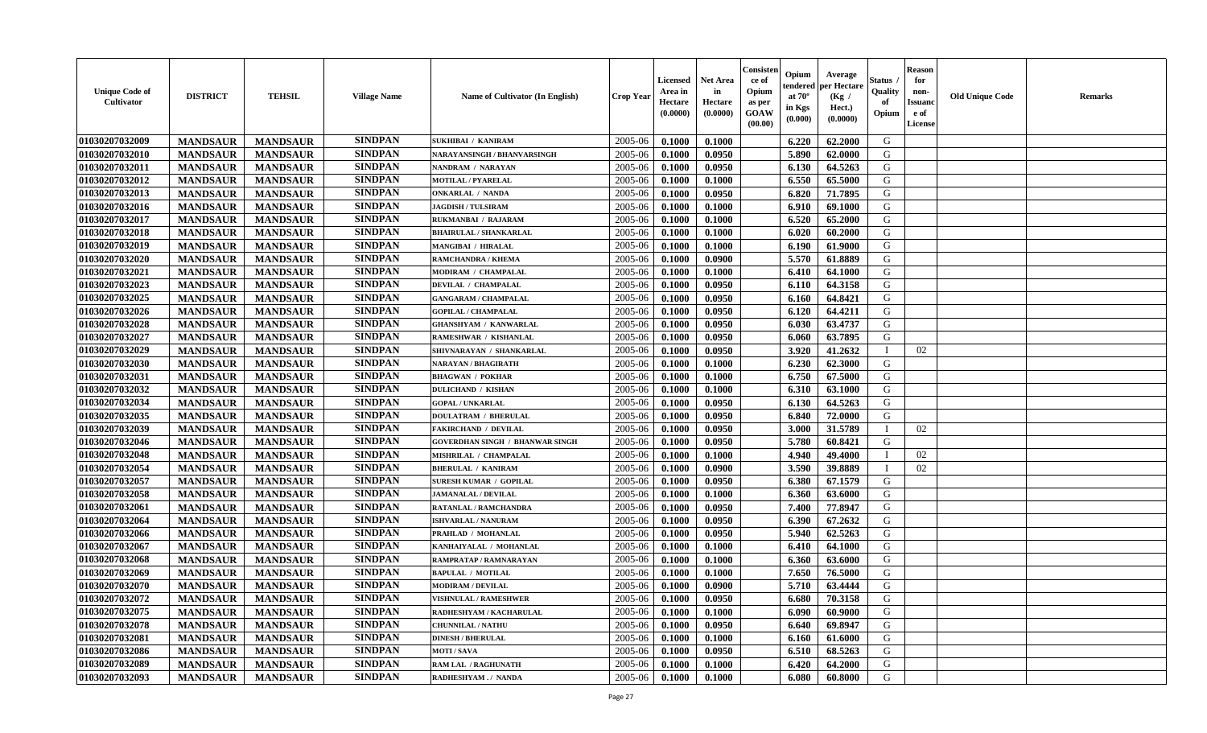| <b>Unique Code of</b><br><b>Cultivator</b> | <b>DISTRICT</b> | <b>TEHSIL</b>   | <b>Village Name</b> | <b>Name of Cultivator (In English)</b> | <b>Crop Year</b> | <b>Licensed</b><br>Area in<br>Hectare<br>(0.0000) | Net Area<br>in<br>Hectare<br>(0.0000) | Consisteı<br>ce of<br>Opium<br>as per<br>GOAW<br>(00.00) | Opium<br>endered<br>at $70^\circ$<br>in Kgs<br>(0.000) | Average<br>per Hectare<br>(Kg /<br>Hect.)<br>(0.0000) | Status<br>Quality<br>of<br>Opium | <b>Reason</b><br>for<br>non-<br><b>Issuand</b><br>e of<br>License | <b>Old Unique Code</b> | Remarks |
|--------------------------------------------|-----------------|-----------------|---------------------|----------------------------------------|------------------|---------------------------------------------------|---------------------------------------|----------------------------------------------------------|--------------------------------------------------------|-------------------------------------------------------|----------------------------------|-------------------------------------------------------------------|------------------------|---------|
| 01030207032009                             | <b>MANDSAUR</b> | <b>MANDSAUR</b> | <b>SINDPAN</b>      | <b>SUKHIBAI / KANIRAM</b>              | 2005-06          | 0.1000                                            | 0.1000                                |                                                          | 6.220                                                  | 62.2000                                               | G                                |                                                                   |                        |         |
| 01030207032010                             | <b>MANDSAUR</b> | <b>MANDSAUR</b> | <b>SINDPAN</b>      | NARAYANSINGH / BHANVARSINGH            | 2005-06          | 0.1000                                            | 0.0950                                |                                                          | 5.890                                                  | 62.0000                                               | G                                |                                                                   |                        |         |
| 01030207032011                             | <b>MANDSAUR</b> | <b>MANDSAUR</b> | <b>SINDPAN</b>      | NANDRAM / NARAYAN                      | 2005-06          | 0.1000                                            | 0.0950                                |                                                          | 6.130                                                  | 64.5263                                               | G                                |                                                                   |                        |         |
| 01030207032012                             | <b>MANDSAUR</b> | <b>MANDSAUR</b> | <b>SINDPAN</b>      | <b>MOTILAL / PYARELAL</b>              | 2005-06          | 0.1000                                            | 0.1000                                |                                                          | 6.550                                                  | 65.5000                                               | G                                |                                                                   |                        |         |
| 01030207032013                             | <b>MANDSAUR</b> | <b>MANDSAUR</b> | <b>SINDPAN</b>      | <b>ONKARLAL / NANDA</b>                | 2005-06          | 0.1000                                            | 0.0950                                |                                                          | 6.820                                                  | 71.7895                                               | G                                |                                                                   |                        |         |
| 01030207032016                             | <b>MANDSAUR</b> | <b>MANDSAUR</b> | <b>SINDPAN</b>      | <b>JAGDISH / TULSIRAM</b>              | 2005-06          | 0.1000                                            | 0.1000                                |                                                          | 6.910                                                  | 69.1000                                               | G                                |                                                                   |                        |         |
| 01030207032017                             | <b>MANDSAUR</b> | <b>MANDSAUR</b> | <b>SINDPAN</b>      | RUKMANBAI / RAJARAM                    | 2005-06          | 0.1000                                            | 0.1000                                |                                                          | 6.520                                                  | 65.2000                                               | G                                |                                                                   |                        |         |
| 01030207032018                             | <b>MANDSAUR</b> | <b>MANDSAUR</b> | <b>SINDPAN</b>      | <b>BHAIRULAL / SHANKARLAL</b>          | 2005-06          | 0.1000                                            | 0.1000                                |                                                          | 6.020                                                  | 60.2000                                               | G                                |                                                                   |                        |         |
| 01030207032019                             | <b>MANDSAUR</b> | <b>MANDSAUR</b> | <b>SINDPAN</b>      | <b>MANGIBAI / HIRALAL</b>              | 2005-06          | 0.1000                                            | 0.1000                                |                                                          | 6.190                                                  | 61.9000                                               | G                                |                                                                   |                        |         |
| 01030207032020                             | <b>MANDSAUR</b> | <b>MANDSAUR</b> | <b>SINDPAN</b>      | RAMCHANDRA / KHEMA                     | 2005-06          | 0.1000                                            | 0.0900                                |                                                          | 5.570                                                  | 61.8889                                               | G                                |                                                                   |                        |         |
| 01030207032021                             | <b>MANDSAUR</b> | <b>MANDSAUR</b> | <b>SINDPAN</b>      | MODIRAM / CHAMPALAL                    | 2005-06          | 0.1000                                            | 0.1000                                |                                                          | 6.410                                                  | 64.1000                                               | G                                |                                                                   |                        |         |
| 01030207032023                             | <b>MANDSAUR</b> | <b>MANDSAUR</b> | <b>SINDPAN</b>      | DEVILAL / CHAMPALAL                    | 2005-06          | 0.1000                                            | 0.0950                                |                                                          | 6.110                                                  | 64.3158                                               | G                                |                                                                   |                        |         |
| 01030207032025                             | <b>MANDSAUR</b> | <b>MANDSAUR</b> | <b>SINDPAN</b>      | <b>GANGARAM / CHAMPALAL</b>            | 2005-06          | 0.1000                                            | 0.0950                                |                                                          | 6.160                                                  | 64.8421                                               | G                                |                                                                   |                        |         |
| 01030207032026                             | <b>MANDSAUR</b> | <b>MANDSAUR</b> | <b>SINDPAN</b>      | <b>GOPILAL / CHAMPALAL</b>             | 2005-06          | 0.1000                                            | 0.0950                                |                                                          | 6.120                                                  | 64.4211                                               | G                                |                                                                   |                        |         |
| 01030207032028                             | <b>MANDSAUR</b> | <b>MANDSAUR</b> | <b>SINDPAN</b>      | <b>GHANSHYAM / KANWARLAL</b>           | 2005-06          | 0.1000                                            | 0.0950                                |                                                          | 6.030                                                  | 63.4737                                               | $\mathbf G$                      |                                                                   |                        |         |
| 01030207032027                             | <b>MANDSAUR</b> | <b>MANDSAUR</b> | <b>SINDPAN</b>      | RAMESHWAR / KISHANLAL                  | 2005-06          | 0.1000                                            | 0.0950                                |                                                          | 6.060                                                  | 63.7895                                               | G                                |                                                                   |                        |         |
| 01030207032029                             | <b>MANDSAUR</b> | <b>MANDSAUR</b> | <b>SINDPAN</b>      | SHIVNARAYAN / SHANKARLAL               | 2005-06          | 0.1000                                            | 0.0950                                |                                                          | 3.920                                                  | 41.2632                                               | T                                | 02                                                                |                        |         |
| 01030207032030                             | <b>MANDSAUR</b> | <b>MANDSAUR</b> | <b>SINDPAN</b>      | <b>NARAYAN / BHAGIRATH</b>             | 2005-06          | 0.1000                                            | 0.1000                                |                                                          | 6.230                                                  | 62.3000                                               | G                                |                                                                   |                        |         |
| 01030207032031                             | <b>MANDSAUR</b> | <b>MANDSAUR</b> | <b>SINDPAN</b>      | <b>BHAGWAN / POKHAR</b>                | 2005-06          | 0.1000                                            | 0.1000                                |                                                          | 6.750                                                  | 67.5000                                               | G                                |                                                                   |                        |         |
| 01030207032032                             | <b>MANDSAUR</b> | <b>MANDSAUR</b> | <b>SINDPAN</b>      | <b>DULICHAND / KISHAN</b>              | 2005-06          | 0.1000                                            | 0.1000                                |                                                          | 6.310                                                  | 63.1000                                               | G                                |                                                                   |                        |         |
| 01030207032034                             | <b>MANDSAUR</b> | <b>MANDSAUR</b> | <b>SINDPAN</b>      | <b>GOPAL / UNKARLAL</b>                | 2005-06          | 0.1000                                            | 0.0950                                |                                                          | 6.130                                                  | 64.5263                                               | G                                |                                                                   |                        |         |
| 01030207032035                             | <b>MANDSAUR</b> | <b>MANDSAUR</b> | <b>SINDPAN</b>      | <b>DOULATRAM / BHERULAL</b>            | 2005-06          | 0.1000                                            | 0.0950                                |                                                          | 6.840                                                  | 72.0000                                               | G                                |                                                                   |                        |         |
| 01030207032039                             | <b>MANDSAUR</b> | <b>MANDSAUR</b> | <b>SINDPAN</b>      | <b>FAKIRCHAND / DEVILAL</b>            | 2005-06          | 0.1000                                            | 0.0950                                |                                                          | 3.000                                                  | 31.5789                                               |                                  | 02                                                                |                        |         |
| 01030207032046                             | <b>MANDSAUR</b> | <b>MANDSAUR</b> | <b>SINDPAN</b>      | <b>GOVERDHAN SINGH / BHANWAR SINGH</b> | 2005-06          | 0.1000                                            | 0.0950                                |                                                          | 5.780                                                  | 60.8421                                               | G                                |                                                                   |                        |         |
| 01030207032048                             | <b>MANDSAUR</b> | <b>MANDSAUR</b> | <b>SINDPAN</b>      | MISHRILAL / CHAMPALAL                  | 2005-06          | 0.1000                                            | 0.1000                                |                                                          | 4.940                                                  | 49.4000                                               | T                                | 02                                                                |                        |         |
| 01030207032054                             | <b>MANDSAUR</b> | <b>MANDSAUR</b> | <b>SINDPAN</b>      | <b>BHERULAL / KANIRAM</b>              | 2005-06          | 0.1000                                            | 0.0900                                |                                                          | 3.590                                                  | 39.8889                                               | <sup>1</sup>                     | 02                                                                |                        |         |
| 01030207032057                             | <b>MANDSAUR</b> | <b>MANDSAUR</b> | <b>SINDPAN</b>      | <b>SURESH KUMAR / GOPILAL</b>          | 2005-06          | 0.1000                                            | 0.0950                                |                                                          | 6.380                                                  | 67.1579                                               | G                                |                                                                   |                        |         |
| 01030207032058                             | <b>MANDSAUR</b> | <b>MANDSAUR</b> | <b>SINDPAN</b>      | <b>JAMANALAL / DEVILAL</b>             | 2005-06          | 0.1000                                            | 0.1000                                |                                                          | 6.360                                                  | 63.6000                                               | G                                |                                                                   |                        |         |
| 01030207032061                             | <b>MANDSAUR</b> | <b>MANDSAUR</b> | <b>SINDPAN</b>      | <b>RATANLAL / RAMCHANDRA</b>           | 2005-06          | 0.1000                                            | 0.0950                                |                                                          | 7.400                                                  | 77.8947                                               | G                                |                                                                   |                        |         |
| 01030207032064                             | <b>MANDSAUR</b> | <b>MANDSAUR</b> | <b>SINDPAN</b>      | <b>ISHVARLAL / NANURAM</b>             | 2005-06          | 0.1000                                            | 0.0950                                |                                                          | 6.390                                                  | 67.2632                                               | G                                |                                                                   |                        |         |
| 01030207032066                             | <b>MANDSAUR</b> | <b>MANDSAUR</b> | <b>SINDPAN</b>      | PRAHLAD / MOHANLAL                     | 2005-06          | 0.1000                                            | 0.0950                                |                                                          | 5.940                                                  | 62.5263                                               | G                                |                                                                   |                        |         |
| 01030207032067                             | <b>MANDSAUR</b> | <b>MANDSAUR</b> | <b>SINDPAN</b>      | KANHAIYALAL / MOHANLAL                 | 2005-06          | 0.1000                                            | 0.1000                                |                                                          | 6.410                                                  | 64.1000                                               | G                                |                                                                   |                        |         |
| 01030207032068                             | <b>MANDSAUR</b> | <b>MANDSAUR</b> | <b>SINDPAN</b>      | RAMPRATAP / RAMNARAYAN                 | 2005-06          | 0.1000                                            | 0.1000                                |                                                          | 6.360                                                  | 63.6000                                               | G                                |                                                                   |                        |         |
| 01030207032069                             | <b>MANDSAUR</b> | <b>MANDSAUR</b> | <b>SINDPAN</b>      | <b>BAPULAL / MOTILAL</b>               | 2005-06          | 0.1000                                            | 0.1000                                |                                                          | 7.650                                                  | 76.5000                                               | G                                |                                                                   |                        |         |
| 01030207032070                             | <b>MANDSAUR</b> | <b>MANDSAUR</b> | <b>SINDPAN</b>      | <b>MODIRAM / DEVILAL</b>               | 2005-06          | 0.1000                                            | 0.0900                                |                                                          | 5.710                                                  | 63.4444                                               | G                                |                                                                   |                        |         |
| 01030207032072                             | <b>MANDSAUR</b> | <b>MANDSAUR</b> | <b>SINDPAN</b>      | <b>VISHNULAL / RAMESHWER</b>           | 2005-06          | 0.1000                                            | 0.0950                                |                                                          | 6.680                                                  | 70.3158                                               | G                                |                                                                   |                        |         |
| 01030207032075                             | <b>MANDSAUR</b> | <b>MANDSAUR</b> | <b>SINDPAN</b>      | RADHESHYAM / KACHARULAL                | 2005-06          | 0.1000                                            | 0.1000                                |                                                          | 6.090                                                  | 60.9000                                               | G                                |                                                                   |                        |         |
| 01030207032078                             | <b>MANDSAUR</b> | <b>MANDSAUR</b> | <b>SINDPAN</b>      | <b>CHUNNILAL / NATHU</b>               | 2005-06          | 0.1000                                            | 0.0950                                |                                                          | 6.640                                                  | 69.8947                                               | G                                |                                                                   |                        |         |
| 01030207032081                             | <b>MANDSAUR</b> | <b>MANDSAUR</b> | <b>SINDPAN</b>      | <b>DINESH / BHERULAL</b>               | 2005-06          | 0.1000                                            | 0.1000                                |                                                          | 6.160                                                  | 61.6000                                               | G                                |                                                                   |                        |         |
| 01030207032086                             | <b>MANDSAUR</b> | <b>MANDSAUR</b> | <b>SINDPAN</b>      | <b>MOTI/SAVA</b>                       | 2005-06          | 0.1000                                            | 0.0950                                |                                                          | 6.510                                                  | 68.5263                                               | ${\bf G}$                        |                                                                   |                        |         |
| 01030207032089                             | <b>MANDSAUR</b> | <b>MANDSAUR</b> | <b>SINDPAN</b>      | <b>RAM LAL / RAGHUNATH</b>             | 2005-06          | 0.1000                                            | 0.1000                                |                                                          | 6.420                                                  | 64.2000                                               | G                                |                                                                   |                        |         |
| 01030207032093                             | <b>MANDSAUR</b> | <b>MANDSAUR</b> | <b>SINDPAN</b>      | RADHESHYAM./ NANDA                     | 2005-06          | 0.1000                                            | 0.1000                                |                                                          | 6.080                                                  | 60.8000                                               | G                                |                                                                   |                        |         |
|                                            |                 |                 |                     |                                        |                  |                                                   |                                       |                                                          |                                                        |                                                       |                                  |                                                                   |                        |         |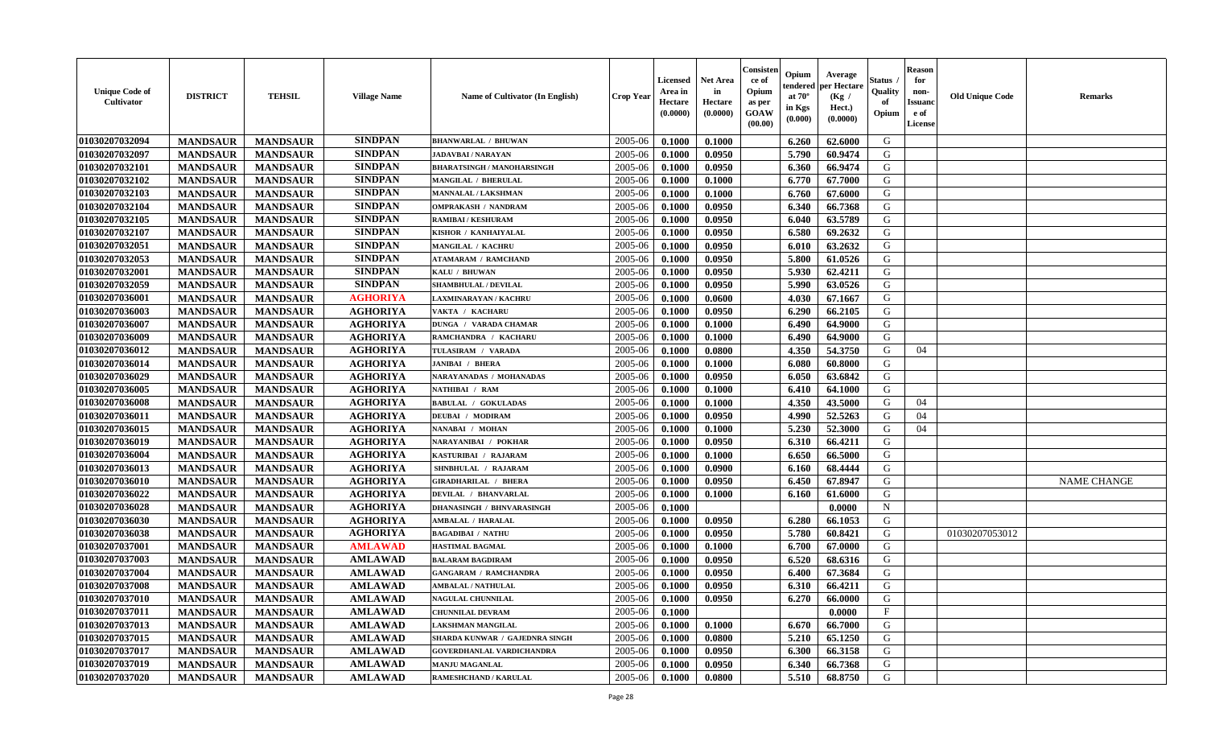| <b>Unique Code of</b><br><b>Cultivator</b> | <b>DISTRICT</b> | <b>TEHSIL</b>   | <b>Village Name</b> | Name of Cultivator (In English)   | <b>Crop Year</b> | <b>Licensed</b><br>Area in<br>Hectare<br>(0.0000) | <b>Net Area</b><br>in<br>Hectare<br>(0.0000) | Consister<br>ce of<br>Opium<br>as per<br><b>GOAW</b><br>(00.00) | Opium<br>endered<br>at $70^{\circ}$<br>in Kgs<br>$(\mathbf{0.000})$ | Average<br>per Hectare<br>(Kg /<br>Hect.)<br>(0.0000) | <b>Status</b><br>Quality<br>of<br>Opium | <b>Reason</b><br>for<br>non-<br><b>Issuanc</b><br>e of<br>License | <b>Old Unique Code</b> | <b>Remarks</b>     |
|--------------------------------------------|-----------------|-----------------|---------------------|-----------------------------------|------------------|---------------------------------------------------|----------------------------------------------|-----------------------------------------------------------------|---------------------------------------------------------------------|-------------------------------------------------------|-----------------------------------------|-------------------------------------------------------------------|------------------------|--------------------|
| 01030207032094                             | <b>MANDSAUR</b> | <b>MANDSAUR</b> | <b>SINDPAN</b>      | <b>BHANWARLAL / BHUWAN</b>        | 2005-06          | 0.1000                                            | 0.1000                                       |                                                                 | 6.260                                                               | 62.6000                                               | G                                       |                                                                   |                        |                    |
| 01030207032097                             | <b>MANDSAUR</b> | <b>MANDSAUR</b> | <b>SINDPAN</b>      | <b>JADAVBAI / NARAYAN</b>         | 2005-06          | 0.1000                                            | 0.0950                                       |                                                                 | 5.790                                                               | 60.9474                                               | G                                       |                                                                   |                        |                    |
| 01030207032101                             | <b>MANDSAUR</b> | <b>MANDSAUR</b> | <b>SINDPAN</b>      | <b>BHARATSINGH / MANOHARSINGH</b> | 2005-06          | 0.1000                                            | 0.0950                                       |                                                                 | 6.360                                                               | 66.9474                                               | G                                       |                                                                   |                        |                    |
| 01030207032102                             | <b>MANDSAUR</b> | <b>MANDSAUR</b> | <b>SINDPAN</b>      | MANGILAL / BHERULAL               | 2005-06          | 0.1000                                            | 0.1000                                       |                                                                 | 6.770                                                               | 67.7000                                               | G                                       |                                                                   |                        |                    |
| 01030207032103                             | <b>MANDSAUR</b> | <b>MANDSAUR</b> | <b>SINDPAN</b>      | <b>MANNALAL / LAKSHMAN</b>        | 2005-06          | 0.1000                                            | 0.1000                                       |                                                                 | 6.760                                                               | 67.6000                                               | G                                       |                                                                   |                        |                    |
| 01030207032104                             | <b>MANDSAUR</b> | <b>MANDSAUR</b> | <b>SINDPAN</b>      | <b>OMPRAKASH / NANDRAM</b>        | 2005-06          | 0.1000                                            | 0.0950                                       |                                                                 | 6.340                                                               | 66.7368                                               | G                                       |                                                                   |                        |                    |
| 01030207032105                             | <b>MANDSAUR</b> | <b>MANDSAUR</b> | <b>SINDPAN</b>      | <b>RAMIBAI/KESHURAM</b>           | 2005-06          | 0.1000                                            | 0.0950                                       |                                                                 | 6.040                                                               | 63.5789                                               | G                                       |                                                                   |                        |                    |
| 01030207032107                             | <b>MANDSAUR</b> | <b>MANDSAUR</b> | <b>SINDPAN</b>      | KISHOR / KANHAIYALAL              | 2005-06          | 0.1000                                            | 0.0950                                       |                                                                 | 6.580                                                               | 69.2632                                               | G                                       |                                                                   |                        |                    |
| 01030207032051                             | <b>MANDSAUR</b> | <b>MANDSAUR</b> | <b>SINDPAN</b>      | MANGILAL / KACHRU                 | 2005-06          | 0.1000                                            | 0.0950                                       |                                                                 | 6.010                                                               | 63.2632                                               | G                                       |                                                                   |                        |                    |
| 01030207032053                             | <b>MANDSAUR</b> | <b>MANDSAUR</b> | <b>SINDPAN</b>      | <b>ATAMARAM / RAMCHAND</b>        | 2005-06          | 0.1000                                            | 0.0950                                       |                                                                 | 5.800                                                               | 61.0526                                               | G                                       |                                                                   |                        |                    |
| 01030207032001                             | <b>MANDSAUR</b> | <b>MANDSAUR</b> | <b>SINDPAN</b>      | KALU / BHUWAN                     | 2005-06          | 0.1000                                            | 0.0950                                       |                                                                 | 5.930                                                               | 62.4211                                               | G                                       |                                                                   |                        |                    |
| 01030207032059                             | <b>MANDSAUR</b> | <b>MANDSAUR</b> | <b>SINDPAN</b>      | SHAMBHULAL / DEVILAL              | 2005-06          | 0.1000                                            | 0.0950                                       |                                                                 | 5.990                                                               | 63.0526                                               | G                                       |                                                                   |                        |                    |
| 01030207036001                             | <b>MANDSAUR</b> | <b>MANDSAUR</b> | <b>AGHORIYA</b>     | LAXMINARAYAN / KACHRU             | 2005-06          | 0.1000                                            | 0.0600                                       |                                                                 | 4.030                                                               | 67.1667                                               | G                                       |                                                                   |                        |                    |
| 01030207036003                             | <b>MANDSAUR</b> | <b>MANDSAUR</b> | <b>AGHORIYA</b>     | VAKTA / KACHARU                   | 2005-06          | 0.1000                                            | 0.0950                                       |                                                                 | 6.290                                                               | 66.2105                                               | G                                       |                                                                   |                        |                    |
| 01030207036007                             | <b>MANDSAUR</b> | <b>MANDSAUR</b> | <b>AGHORIYA</b>     | DUNGA / VARADA CHAMAR             | 2005-06          | 0.1000                                            | 0.1000                                       |                                                                 | 6.490                                                               | 64.9000                                               | G                                       |                                                                   |                        |                    |
| 01030207036009                             | <b>MANDSAUR</b> | <b>MANDSAUR</b> | <b>AGHORIYA</b>     | RAMCHANDRA / KACHARU              | 2005-06          | 0.1000                                            | 0.1000                                       |                                                                 | 6.490                                                               | 64.9000                                               | G                                       |                                                                   |                        |                    |
| 01030207036012                             | <b>MANDSAUR</b> | <b>MANDSAUR</b> | <b>AGHORIYA</b>     | TULASIRAM / VARADA                | 2005-06          | 0.1000                                            | 0.0800                                       |                                                                 | 4.350                                                               | 54.3750                                               | G                                       | 04                                                                |                        |                    |
| 01030207036014                             | <b>MANDSAUR</b> | <b>MANDSAUR</b> | <b>AGHORIYA</b>     | <b>JANIBAI / BHERA</b>            | 2005-06          | 0.1000                                            | 0.1000                                       |                                                                 | 6.080                                                               | 60.8000                                               | G                                       |                                                                   |                        |                    |
| 01030207036029                             | <b>MANDSAUR</b> | <b>MANDSAUR</b> | <b>AGHORIYA</b>     | NARAYANADAS / MOHANADAS           | 2005-06          | 0.1000                                            | 0.0950                                       |                                                                 | 6.050                                                               | 63.6842                                               | G                                       |                                                                   |                        |                    |
| 01030207036005                             | <b>MANDSAUR</b> | <b>MANDSAUR</b> | <b>AGHORIYA</b>     | NATHIBAI / RAM                    | 2005-06          | 0.1000                                            | 0.1000                                       |                                                                 | 6.410                                                               | 64.1000                                               | G                                       |                                                                   |                        |                    |
| 01030207036008                             | <b>MANDSAUR</b> | <b>MANDSAUR</b> | <b>AGHORIYA</b>     | <b>BABULAL / GOKULADAS</b>        | 2005-06          | 0.1000                                            | 0.1000                                       |                                                                 | 4.350                                                               | 43.5000                                               | G                                       | 04                                                                |                        |                    |
| 01030207036011                             | <b>MANDSAUR</b> | <b>MANDSAUR</b> | <b>AGHORIYA</b>     | DEUBAI / MODIRAM                  | 2005-06          | 0.1000                                            | 0.0950                                       |                                                                 | 4.990                                                               | 52.5263                                               | G                                       | 04                                                                |                        |                    |
| 01030207036015                             | <b>MANDSAUR</b> | <b>MANDSAUR</b> | <b>AGHORIYA</b>     | NANABAI / MOHAN                   | 2005-06          | 0.1000                                            | 0.1000                                       |                                                                 | 5.230                                                               | 52.3000                                               | G                                       | 04                                                                |                        |                    |
| 01030207036019                             | <b>MANDSAUR</b> | <b>MANDSAUR</b> | <b>AGHORIYA</b>     | NARAYANIBAI / POKHAR              | 2005-06          | 0.1000                                            | 0.0950                                       |                                                                 | 6.310                                                               | 66.4211                                               | G                                       |                                                                   |                        |                    |
| 01030207036004                             | <b>MANDSAUR</b> | <b>MANDSAUR</b> | <b>AGHORIYA</b>     | KASTURIBAI / RAJARAM              | 2005-06          | 0.1000                                            | 0.1000                                       |                                                                 | 6.650                                                               | 66.5000                                               | G                                       |                                                                   |                        |                    |
| 01030207036013                             | <b>MANDSAUR</b> | <b>MANDSAUR</b> | <b>AGHORIYA</b>     | SHNBHULAL / RAJARAM               | 2005-06          | 0.1000                                            | 0.0900                                       |                                                                 | 6.160                                                               | 68.4444                                               | G                                       |                                                                   |                        |                    |
| 01030207036010                             | <b>MANDSAUR</b> | <b>MANDSAUR</b> | <b>AGHORIYA</b>     | GIRADHARILAL / BHERA              | 2005-06          | 0.1000                                            | 0.0950                                       |                                                                 | 6.450                                                               | 67.8947                                               | G                                       |                                                                   |                        | <b>NAME CHANGE</b> |
| 01030207036022                             | <b>MANDSAUR</b> | <b>MANDSAUR</b> | <b>AGHORIYA</b>     | DEVILAL / BHANVARLAL              | 2005-06          | 0.1000                                            | 0.1000                                       |                                                                 | 6.160                                                               | 61.6000                                               | G                                       |                                                                   |                        |                    |
| 01030207036028                             | <b>MANDSAUR</b> | <b>MANDSAUR</b> | <b>AGHORIYA</b>     | <b>DHANASINGH / BHNVARASINGH</b>  | 2005-06          | 0.1000                                            |                                              |                                                                 |                                                                     | 0.0000                                                | $\mathbf N$                             |                                                                   |                        |                    |
| 01030207036030                             | <b>MANDSAUR</b> | <b>MANDSAUR</b> | <b>AGHORIYA</b>     | <b>AMBALAL / HARALAL</b>          | 2005-06          | 0.1000                                            | 0.0950                                       |                                                                 | 6.280                                                               | 66.1053                                               | G                                       |                                                                   |                        |                    |
| 01030207036038                             | <b>MANDSAUR</b> | <b>MANDSAUR</b> | <b>AGHORIYA</b>     | <b>BAGADIBAI / NATHU</b>          | 2005-06          | 0.1000                                            | 0.0950                                       |                                                                 | 5.780                                                               | 60.8421                                               | G                                       |                                                                   | 01030207053012         |                    |
| 01030207037001                             | <b>MANDSAUR</b> | <b>MANDSAUR</b> | <b>AMLAWAD</b>      | <b>HASTIMAL BAGMAL</b>            | 2005-06          | 0.1000                                            | 0.1000                                       |                                                                 | 6.700                                                               | 67.0000                                               | G                                       |                                                                   |                        |                    |
| 01030207037003                             | <b>MANDSAUR</b> | <b>MANDSAUR</b> | <b>AMLAWAD</b>      | <b>BALARAM BAGDIRAM</b>           | 2005-06          | 0.1000                                            | 0.0950                                       |                                                                 | 6.520                                                               | 68.6316                                               | G                                       |                                                                   |                        |                    |
| 01030207037004                             | <b>MANDSAUR</b> | <b>MANDSAUR</b> | <b>AMLAWAD</b>      | <b>GANGARAM / RAMCHANDRA</b>      | 2005-06          | 0.1000                                            | 0.0950                                       |                                                                 | 6.400                                                               | 67.3684                                               | G                                       |                                                                   |                        |                    |
| 01030207037008                             | <b>MANDSAUR</b> | <b>MANDSAUR</b> | <b>AMLAWAD</b>      | <b>AMBALAL / NATHULAL</b>         | 2005-06          | 0.1000                                            | 0.0950                                       |                                                                 | 6.310                                                               | 66.4211                                               | G                                       |                                                                   |                        |                    |
| 01030207037010                             | <b>MANDSAUR</b> | MANDSAUR        | AMLAWAD             | <b>NAGULAL CHUNNILAL</b>          | $2005 - 06$      | 0.1000                                            | 0.0950                                       |                                                                 | 6.270                                                               | 66.0000                                               | G                                       |                                                                   |                        |                    |
| 01030207037011                             | <b>MANDSAUR</b> | <b>MANDSAUR</b> | <b>AMLAWAD</b>      | <b>CHUNNILAL DEVRAM</b>           | 2005-06          | 0.1000                                            |                                              |                                                                 |                                                                     | 0.0000                                                | $\mathbf{F}$                            |                                                                   |                        |                    |
| 01030207037013                             | <b>MANDSAUR</b> | <b>MANDSAUR</b> | <b>AMLAWAD</b>      | LAKSHMAN MANGILAL                 | 2005-06          | 0.1000                                            | 0.1000                                       |                                                                 | 6.670                                                               | 66.7000                                               | G                                       |                                                                   |                        |                    |
| 01030207037015                             | <b>MANDSAUR</b> | <b>MANDSAUR</b> | <b>AMLAWAD</b>      | SHARDA KUNWAR / GAJEDNRA SINGH    | 2005-06          | 0.1000                                            | 0.0800                                       |                                                                 | 5.210                                                               | 65.1250                                               | G                                       |                                                                   |                        |                    |
| 01030207037017                             | <b>MANDSAUR</b> | <b>MANDSAUR</b> | <b>AMLAWAD</b>      | <b>GOVERDHANLAL VARDICHANDRA</b>  | 2005-06          | 0.1000                                            | 0.0950                                       |                                                                 | 6.300                                                               | 66.3158                                               | G                                       |                                                                   |                        |                    |
| 01030207037019                             | <b>MANDSAUR</b> | <b>MANDSAUR</b> | <b>AMLAWAD</b>      | <b>MANJU MAGANLAL</b>             | 2005-06          | 0.1000                                            | 0.0950                                       |                                                                 | 6.340                                                               | 66.7368                                               | G                                       |                                                                   |                        |                    |
| 01030207037020                             | <b>MANDSAUR</b> | <b>MANDSAUR</b> | <b>AMLAWAD</b>      | RAMESHCHAND / KARULAL             | 2005-06          | 0.1000                                            | 0.0800                                       |                                                                 | 5.510                                                               | 68.8750                                               | G                                       |                                                                   |                        |                    |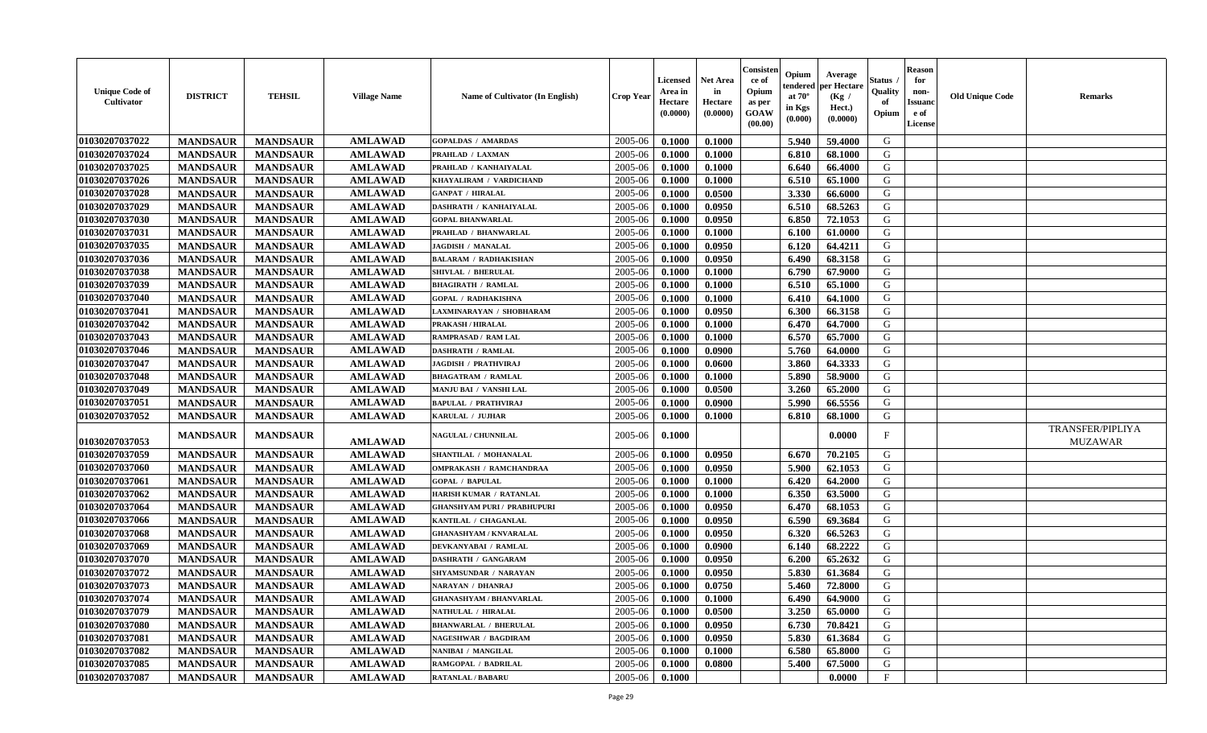| <b>Unique Code of</b><br>Cultivator | <b>DISTRICT</b> | <b>TEHSIL</b>   | <b>Village Name</b> | Name of Cultivator (In English)    | <b>Crop Year</b> | <b>Licensed</b><br>Area in<br>Hectare<br>(0.0000) | <b>Net Area</b><br>in<br>Hectare<br>(0.0000) | Consister<br>ce of<br>Opium<br>as per<br><b>GOAW</b><br>(00.00) | Opium<br>endered<br>at $70^{\circ}$<br>in Kgs<br>(0.000) | Average<br>per Hectare<br>(Kg /<br>Hect.)<br>(0.0000) | <b>Status</b><br>Quality<br>of<br>Opium | <b>Reason</b><br>for<br>non-<br><b>Issuand</b><br>e of<br>License | <b>Old Unique Code</b> | <b>Remarks</b>                     |
|-------------------------------------|-----------------|-----------------|---------------------|------------------------------------|------------------|---------------------------------------------------|----------------------------------------------|-----------------------------------------------------------------|----------------------------------------------------------|-------------------------------------------------------|-----------------------------------------|-------------------------------------------------------------------|------------------------|------------------------------------|
| 01030207037022                      | <b>MANDSAUR</b> | <b>MANDSAUR</b> | <b>AMLAWAD</b>      | <b>GOPALDAS / AMARDAS</b>          | 2005-06          | 0.1000                                            | 0.1000                                       |                                                                 | 5.940                                                    | 59.4000                                               | G                                       |                                                                   |                        |                                    |
| 01030207037024                      | <b>MANDSAUR</b> | <b>MANDSAUR</b> | <b>AMLAWAD</b>      | PRAHLAD / LAXMAN                   | 2005-06          | 0.1000                                            | 0.1000                                       |                                                                 | 6.810                                                    | 68.1000                                               | G                                       |                                                                   |                        |                                    |
| 01030207037025                      | <b>MANDSAUR</b> | <b>MANDSAUR</b> | <b>AMLAWAD</b>      | PRAHLAD / KANHAIYALAL              | 2005-06          | 0.1000                                            | 0.1000                                       |                                                                 | 6.640                                                    | 66.4000                                               | G                                       |                                                                   |                        |                                    |
| 01030207037026                      | <b>MANDSAUR</b> | <b>MANDSAUR</b> | <b>AMLAWAD</b>      | KHAYALIRAM / VARDICHAND            | 2005-06          | 0.1000                                            | 0.1000                                       |                                                                 | 6.510                                                    | 65.1000                                               | G                                       |                                                                   |                        |                                    |
| 01030207037028                      | <b>MANDSAUR</b> | <b>MANDSAUR</b> | <b>AMLAWAD</b>      | <b>GANPAT / HIRALAL</b>            | 2005-06          | 0.1000                                            | 0.0500                                       |                                                                 | 3.330                                                    | 66.6000                                               | G                                       |                                                                   |                        |                                    |
| 01030207037029                      | <b>MANDSAUR</b> | <b>MANDSAUR</b> | <b>AMLAWAD</b>      | DASHRATH / KANHAIYALAL             | 2005-06          | 0.1000                                            | 0.0950                                       |                                                                 | 6.510                                                    | 68.5263                                               | G                                       |                                                                   |                        |                                    |
| 01030207037030                      | <b>MANDSAUR</b> | <b>MANDSAUR</b> | <b>AMLAWAD</b>      | <b>GOPAL BHANWARLAL</b>            | 2005-06          | 0.1000                                            | 0.0950                                       |                                                                 | 6.850                                                    | 72.1053                                               | G                                       |                                                                   |                        |                                    |
| 01030207037031                      | <b>MANDSAUR</b> | <b>MANDSAUR</b> | <b>AMLAWAD</b>      | PRAHLAD / BHANWARLAL               | 2005-06          | 0.1000                                            | 0.1000                                       |                                                                 | 6.100                                                    | 61.0000                                               | G                                       |                                                                   |                        |                                    |
| 01030207037035                      | <b>MANDSAUR</b> | <b>MANDSAUR</b> | <b>AMLAWAD</b>      | <b>JAGDISH / MANALAL</b>           | 2005-06          | 0.1000                                            | 0.0950                                       |                                                                 | 6.120                                                    | 64.4211                                               | G                                       |                                                                   |                        |                                    |
| 01030207037036                      | <b>MANDSAUR</b> | <b>MANDSAUR</b> | <b>AMLAWAD</b>      | <b>BALARAM / RADHAKISHAN</b>       | 2005-06          | 0.1000                                            | 0.0950                                       |                                                                 | 6.490                                                    | 68.3158                                               | G                                       |                                                                   |                        |                                    |
| 01030207037038                      | <b>MANDSAUR</b> | <b>MANDSAUR</b> | <b>AMLAWAD</b>      | SHIVLAL / BHERULAL                 | 2005-06          | 0.1000                                            | 0.1000                                       |                                                                 | 6.790                                                    | 67.9000                                               | G                                       |                                                                   |                        |                                    |
| 01030207037039                      | <b>MANDSAUR</b> | <b>MANDSAUR</b> | <b>AMLAWAD</b>      | <b>BHAGIRATH / RAMLAL</b>          | 2005-06          | 0.1000                                            | 0.1000                                       |                                                                 | 6.510                                                    | 65.1000                                               | G                                       |                                                                   |                        |                                    |
| 01030207037040                      | <b>MANDSAUR</b> | <b>MANDSAUR</b> | <b>AMLAWAD</b>      | <b>GOPAL / RADHAKISHNA</b>         | 2005-06          | 0.1000                                            | 0.1000                                       |                                                                 | 6.410                                                    | 64.1000                                               | G                                       |                                                                   |                        |                                    |
| 01030207037041                      | <b>MANDSAUR</b> | <b>MANDSAUR</b> | <b>AMLAWAD</b>      | LAXMINARAYAN / SHOBHARAM           | 2005-06          | 0.1000                                            | 0.0950                                       |                                                                 | 6.300                                                    | 66.3158                                               | G                                       |                                                                   |                        |                                    |
| 01030207037042                      | <b>MANDSAUR</b> | <b>MANDSAUR</b> | <b>AMLAWAD</b>      | PRAKASH / HIRALAL                  | 2005-06          | 0.1000                                            | 0.1000                                       |                                                                 | 6.470                                                    | 64.7000                                               | G                                       |                                                                   |                        |                                    |
| 01030207037043                      | <b>MANDSAUR</b> | <b>MANDSAUR</b> | <b>AMLAWAD</b>      | RAMPRASAD / RAM LAL                | 2005-06          | 0.1000                                            | 0.1000                                       |                                                                 | 6.570                                                    | 65.7000                                               | G                                       |                                                                   |                        |                                    |
| 01030207037046                      | <b>MANDSAUR</b> | <b>MANDSAUR</b> | <b>AMLAWAD</b>      | <b>DASHRATH / RAMLAL</b>           | 2005-06          | 0.1000                                            | 0.0900                                       |                                                                 | 5.760                                                    | 64.0000                                               | G                                       |                                                                   |                        |                                    |
| 01030207037047                      | <b>MANDSAUR</b> | <b>MANDSAUR</b> | <b>AMLAWAD</b>      | <b>JAGDISH / PRATHVIRAJ</b>        | 2005-06          | 0.1000                                            | 0.0600                                       |                                                                 | 3.860                                                    | 64.3333                                               | G                                       |                                                                   |                        |                                    |
| 01030207037048                      | <b>MANDSAUR</b> | <b>MANDSAUR</b> | <b>AMLAWAD</b>      | <b>BHAGATRAM / RAMLAL</b>          | 2005-06          | 0.1000                                            | 0.1000                                       |                                                                 | 5.890                                                    | 58.9000                                               | G                                       |                                                                   |                        |                                    |
| 01030207037049                      | <b>MANDSAUR</b> | <b>MANDSAUR</b> | <b>AMLAWAD</b>      | MANJU BAI / VANSHI LAL             | 2005-06          | 0.1000                                            | 0.0500                                       |                                                                 | 3.260                                                    | 65.2000                                               | G                                       |                                                                   |                        |                                    |
| 01030207037051                      | <b>MANDSAUR</b> | <b>MANDSAUR</b> | <b>AMLAWAD</b>      | <b>BAPULAL / PRATHVIRAJ</b>        | 2005-06          | 0.1000                                            | 0.0900                                       |                                                                 | 5.990                                                    | 66.5556                                               | G                                       |                                                                   |                        |                                    |
| 01030207037052                      | <b>MANDSAUR</b> | <b>MANDSAUR</b> | <b>AMLAWAD</b>      | KARULAL / JUJHAR                   | 2005-06          | 0.1000                                            | 0.1000                                       |                                                                 | 6.810                                                    | 68.1000                                               | G                                       |                                                                   |                        |                                    |
| 01030207037053                      | <b>MANDSAUR</b> | <b>MANDSAUR</b> | <b>AMLAWAD</b>      | <b>NAGULAL / CHUNNILAL</b>         | 2005-06          | 0.1000                                            |                                              |                                                                 |                                                          | 0.0000                                                | F                                       |                                                                   |                        | TRANSFER/PIPLIYA<br><b>MUZAWAR</b> |
| 01030207037059                      | <b>MANDSAUR</b> | <b>MANDSAUR</b> | <b>AMLAWAD</b>      | SHANTILAL / MOHANALAL              | 2005-06          | 0.1000                                            | 0.0950                                       |                                                                 | 6.670                                                    | 70.2105                                               | G                                       |                                                                   |                        |                                    |
| 01030207037060                      | <b>MANDSAUR</b> | <b>MANDSAUR</b> | <b>AMLAWAD</b>      | OMPRAKASH / RAMCHANDRAA            | 2005-06          | 0.1000                                            | 0.0950                                       |                                                                 | 5.900                                                    | 62.1053                                               | G                                       |                                                                   |                        |                                    |
| 01030207037061                      | <b>MANDSAUR</b> | <b>MANDSAUR</b> | <b>AMLAWAD</b>      | <b>GOPAL / BAPULAL</b>             | 2005-06          | 0.1000                                            | 0.1000                                       |                                                                 | 6.420                                                    | 64.2000                                               | G                                       |                                                                   |                        |                                    |
| 01030207037062                      | <b>MANDSAUR</b> | <b>MANDSAUR</b> | <b>AMLAWAD</b>      | HARISH KUMAR / RATANLAL            | 2005-06          | 0.1000                                            | 0.1000                                       |                                                                 | 6.350                                                    | 63.5000                                               | G                                       |                                                                   |                        |                                    |
| 01030207037064                      | <b>MANDSAUR</b> | <b>MANDSAUR</b> | <b>AMLAWAD</b>      | <b>GHANSHYAM PURI / PRABHUPURI</b> | 2005-06          | 0.1000                                            | 0.0950                                       |                                                                 | 6.470                                                    | 68.1053                                               | G                                       |                                                                   |                        |                                    |
| 01030207037066                      | <b>MANDSAUR</b> | <b>MANDSAUR</b> | <b>AMLAWAD</b>      | KANTILAL / CHAGANLAL               | 2005-06          | 0.1000                                            | 0.0950                                       |                                                                 | 6.590                                                    | 69.3684                                               | G                                       |                                                                   |                        |                                    |
| 01030207037068                      | <b>MANDSAUR</b> | <b>MANDSAUR</b> | <b>AMLAWAD</b>      | <b>GHANASHYAM / KNVARALAL</b>      | 2005-06          | 0.1000                                            | 0.0950                                       |                                                                 | 6.320                                                    | 66.5263                                               | G                                       |                                                                   |                        |                                    |
| 01030207037069                      | <b>MANDSAUR</b> | <b>MANDSAUR</b> | <b>AMLAWAD</b>      | DEVKANYABAI / RAMLAL               | 2005-06          | 0.1000                                            | 0.0900                                       |                                                                 | 6.140                                                    | 68.2222                                               | G                                       |                                                                   |                        |                                    |
| 01030207037070                      | <b>MANDSAUR</b> | <b>MANDSAUR</b> | <b>AMLAWAD</b>      | <b>DASHRATH / GANGARAM</b>         | 2005-06          | 0.1000                                            | 0.0950                                       |                                                                 | 6.200                                                    | 65.2632                                               | G                                       |                                                                   |                        |                                    |
| 01030207037072                      | <b>MANDSAUR</b> | <b>MANDSAUR</b> | <b>AMLAWAD</b>      | SHYAMSUNDAR / NARAYAN              | 2005-06          | 0.1000                                            | 0.0950                                       |                                                                 | 5.830                                                    | 61.3684                                               | G                                       |                                                                   |                        |                                    |
| 01030207037073                      | <b>MANDSAUR</b> | <b>MANDSAUR</b> | <b>AMLAWAD</b>      | NARAYAN / DHANRAJ                  | 2005-06          | 0.1000                                            | 0.0750                                       |                                                                 | 5.460                                                    | 72.8000                                               | G                                       |                                                                   |                        |                                    |
| 01030207037074                      | <b>MANDSAUR</b> | MANDSAUR        | AMLAWAD             | <b>GHANASHYAM / BHANVARLAL</b>     | $2005 - 06$      | 0.1000                                            | 0.1000                                       |                                                                 | $6.490$                                                  | 64.9000                                               | G                                       |                                                                   |                        |                                    |
| 01030207037079                      | <b>MANDSAUR</b> | <b>MANDSAUR</b> | <b>AMLAWAD</b>      | NATHULAL / HIRALAL                 | 2005-06          | 0.1000                                            | 0.0500                                       |                                                                 | 3.250                                                    | 65.0000                                               | G                                       |                                                                   |                        |                                    |
| 01030207037080                      | <b>MANDSAUR</b> | <b>MANDSAUR</b> | <b>AMLAWAD</b>      | <b>BHANWARLAL / BHERULAL</b>       | 2005-06          | 0.1000                                            | 0.0950                                       |                                                                 | 6.730                                                    | 70.8421                                               | G                                       |                                                                   |                        |                                    |
| 01030207037081                      | <b>MANDSAUR</b> | <b>MANDSAUR</b> | <b>AMLAWAD</b>      | <b>NAGESHWAR / BAGDIRAM</b>        | 2005-06          | 0.1000                                            | 0.0950                                       |                                                                 | 5.830                                                    | 61.3684                                               | G                                       |                                                                   |                        |                                    |
| 01030207037082                      | <b>MANDSAUR</b> | <b>MANDSAUR</b> | <b>AMLAWAD</b>      | NANIBAI / MANGILAL                 | 2005-06          | 0.1000                                            | 0.1000                                       |                                                                 | 6.580                                                    | 65.8000                                               | G                                       |                                                                   |                        |                                    |
| 01030207037085                      | <b>MANDSAUR</b> | <b>MANDSAUR</b> | <b>AMLAWAD</b>      | RAMGOPAL / BADRILAL                | 2005-06          | 0.1000                                            | 0.0800                                       |                                                                 | 5.400                                                    | 67.5000                                               | G                                       |                                                                   |                        |                                    |
| 01030207037087                      | <b>MANDSAUR</b> | <b>MANDSAUR</b> | <b>AMLAWAD</b>      | <b>RATANLAL / BABARU</b>           | 2005-06          | 0.1000                                            |                                              |                                                                 |                                                          | 0.0000                                                | $\mathbf F$                             |                                                                   |                        |                                    |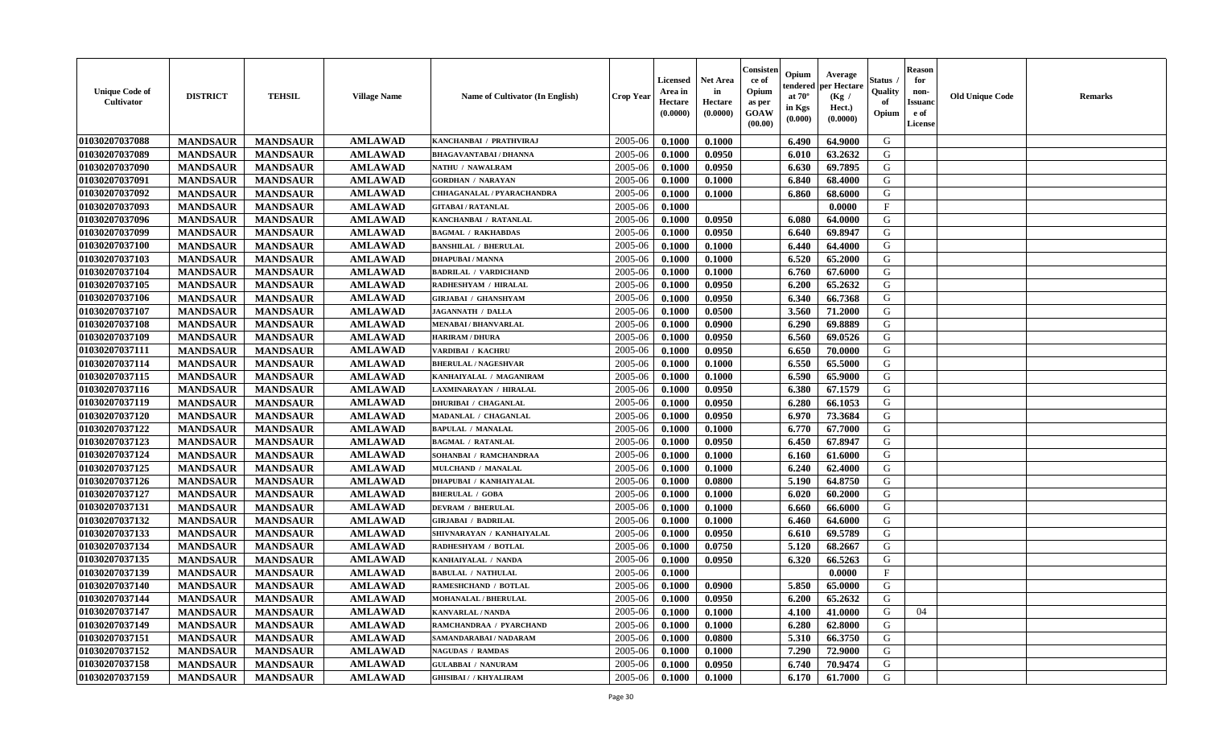| <b>Unique Code of</b><br>Cultivator | <b>DISTRICT</b> | <b>TEHSIL</b>   | <b>Village Name</b> | Name of Cultivator (In English) | <b>Crop Year</b> | <b>Licensed</b><br>Area in<br>Hectare<br>(0.0000) | <b>Net Area</b><br>in<br>Hectare<br>(0.0000) | Consister<br>ce of<br>Opium<br>as per<br><b>GOAW</b><br>(00.00) | Opium<br>endered<br>at $70^{\circ}$<br>in Kgs<br>$(\mathbf{0.000})$ | Average<br>per Hectare<br>(Kg /<br>Hect.)<br>(0.0000) | <b>Status</b><br>Quality<br>of<br>Opium | <b>Reason</b><br>for<br>non-<br><b>Issuand</b><br>e of<br>License | <b>Old Unique Code</b> | <b>Remarks</b> |
|-------------------------------------|-----------------|-----------------|---------------------|---------------------------------|------------------|---------------------------------------------------|----------------------------------------------|-----------------------------------------------------------------|---------------------------------------------------------------------|-------------------------------------------------------|-----------------------------------------|-------------------------------------------------------------------|------------------------|----------------|
| 01030207037088                      | <b>MANDSAUR</b> | <b>MANDSAUR</b> | <b>AMLAWAD</b>      | KANCHANBAI / PRATHVIRAJ         | 2005-06          | 0.1000                                            | 0.1000                                       |                                                                 | 6.490                                                               | 64.9000                                               | G                                       |                                                                   |                        |                |
| 01030207037089                      | <b>MANDSAUR</b> | <b>MANDSAUR</b> | <b>AMLAWAD</b>      | <b>BHAGAVANTABAI / DHANNA</b>   | 2005-06          | 0.1000                                            | 0.0950                                       |                                                                 | 6.010                                                               | 63.2632                                               | G                                       |                                                                   |                        |                |
| 01030207037090                      | <b>MANDSAUR</b> | <b>MANDSAUR</b> | <b>AMLAWAD</b>      | NATHU / NAWALRAM                | 2005-06          | 0.1000                                            | 0.0950                                       |                                                                 | 6.630                                                               | 69.7895                                               | G                                       |                                                                   |                        |                |
| 01030207037091                      | <b>MANDSAUR</b> | <b>MANDSAUR</b> | <b>AMLAWAD</b>      | <b>GORDHAN / NARAYAN</b>        | 2005-06          | 0.1000                                            | 0.1000                                       |                                                                 | 6.840                                                               | 68.4000                                               | G                                       |                                                                   |                        |                |
| 01030207037092                      | <b>MANDSAUR</b> | <b>MANDSAUR</b> | <b>AMLAWAD</b>      | CHHAGANALAL / PYARACHANDRA      | 2005-06          | 0.1000                                            | 0.1000                                       |                                                                 | 6.860                                                               | 68.6000                                               | G                                       |                                                                   |                        |                |
| 01030207037093                      | <b>MANDSAUR</b> | <b>MANDSAUR</b> | <b>AMLAWAD</b>      | <b>GITABAI/RATANLAL</b>         | 2005-06          | 0.1000                                            |                                              |                                                                 |                                                                     | 0.0000                                                | $\mathbf{F}$                            |                                                                   |                        |                |
| 01030207037096                      | <b>MANDSAUR</b> | <b>MANDSAUR</b> | <b>AMLAWAD</b>      | KANCHANBAI / RATANLAL           | 2005-06          | 0.1000                                            | 0.0950                                       |                                                                 | 6.080                                                               | 64.0000                                               | G                                       |                                                                   |                        |                |
| 01030207037099                      | <b>MANDSAUR</b> | <b>MANDSAUR</b> | <b>AMLAWAD</b>      | <b>BAGMAL / RAKHABDAS</b>       | 2005-06          | 0.1000                                            | 0.0950                                       |                                                                 | 6.640                                                               | 69.8947                                               | G                                       |                                                                   |                        |                |
| 01030207037100                      | <b>MANDSAUR</b> | <b>MANDSAUR</b> | <b>AMLAWAD</b>      | <b>BANSHILAL / BHERULAL</b>     | 2005-06          | 0.1000                                            | 0.1000                                       |                                                                 | 6.440                                                               | 64.4000                                               | G                                       |                                                                   |                        |                |
| 01030207037103                      | <b>MANDSAUR</b> | <b>MANDSAUR</b> | <b>AMLAWAD</b>      | <b>DHAPUBAI/MANNA</b>           | 2005-06          | 0.1000                                            | 0.1000                                       |                                                                 | 6.520                                                               | 65.2000                                               | G                                       |                                                                   |                        |                |
| 01030207037104                      | <b>MANDSAUR</b> | <b>MANDSAUR</b> | <b>AMLAWAD</b>      | <b>BADRILAL / VARDICHAND</b>    | 2005-06          | 0.1000                                            | 0.1000                                       |                                                                 | 6.760                                                               | 67.6000                                               | G                                       |                                                                   |                        |                |
| 01030207037105                      | <b>MANDSAUR</b> | <b>MANDSAUR</b> | <b>AMLAWAD</b>      | RADHESHYAM / HIRALAL            | 2005-06          | 0.1000                                            | 0.0950                                       |                                                                 | 6.200                                                               | 65.2632                                               | G                                       |                                                                   |                        |                |
| 01030207037106                      | <b>MANDSAUR</b> | <b>MANDSAUR</b> | <b>AMLAWAD</b>      | <b>GIRJABAI / GHANSHYAM</b>     | 2005-06          | 0.1000                                            | 0.0950                                       |                                                                 | 6.340                                                               | 66.7368                                               | G                                       |                                                                   |                        |                |
| 01030207037107                      | <b>MANDSAUR</b> | <b>MANDSAUR</b> | <b>AMLAWAD</b>      | JAGANNATH / DALLA               | 2005-06          | 0.1000                                            | 0.0500                                       |                                                                 | 3.560                                                               | 71.2000                                               | G                                       |                                                                   |                        |                |
| 01030207037108                      | <b>MANDSAUR</b> | <b>MANDSAUR</b> | <b>AMLAWAD</b>      | <b>MENABAI/BHANVARLAL</b>       | 2005-06          | 0.1000                                            | 0.0900                                       |                                                                 | 6.290                                                               | 69.8889                                               | G                                       |                                                                   |                        |                |
| 01030207037109                      | <b>MANDSAUR</b> | <b>MANDSAUR</b> | <b>AMLAWAD</b>      | <b>HARIRAM / DHURA</b>          | 2005-06          | 0.1000                                            | 0.0950                                       |                                                                 | 6.560                                                               | 69.0526                                               | G                                       |                                                                   |                        |                |
| 01030207037111                      | <b>MANDSAUR</b> | <b>MANDSAUR</b> | <b>AMLAWAD</b>      | VARDIBAI / KACHRU               | 2005-06          | 0.1000                                            | 0.0950                                       |                                                                 | 6.650                                                               | 70.0000                                               | G                                       |                                                                   |                        |                |
| 01030207037114                      | <b>MANDSAUR</b> | <b>MANDSAUR</b> | <b>AMLAWAD</b>      | <b>BHERULAL / NAGESHVAR</b>     | 2005-06          | 0.1000                                            | 0.1000                                       |                                                                 | 6.550                                                               | 65.5000                                               | G                                       |                                                                   |                        |                |
| 01030207037115                      | <b>MANDSAUR</b> | <b>MANDSAUR</b> | <b>AMLAWAD</b>      | KANHAIYALAL / MAGANIRAM         | 2005-06          | 0.1000                                            | 0.1000                                       |                                                                 | 6.590                                                               | 65.9000                                               | G                                       |                                                                   |                        |                |
| 01030207037116                      | <b>MANDSAUR</b> | <b>MANDSAUR</b> | <b>AMLAWAD</b>      | LAXMINARAYAN / HIRALAL          | 2005-06          | 0.1000                                            | 0.0950                                       |                                                                 | 6.380                                                               | 67.1579                                               | G                                       |                                                                   |                        |                |
| 01030207037119                      | <b>MANDSAUR</b> | <b>MANDSAUR</b> | <b>AMLAWAD</b>      | <b>DHURIBAI / CHAGANLAL</b>     | 2005-06          | 0.1000                                            | 0.0950                                       |                                                                 | 6.280                                                               | 66.1053                                               | G                                       |                                                                   |                        |                |
| 01030207037120                      | <b>MANDSAUR</b> | <b>MANDSAUR</b> | <b>AMLAWAD</b>      | MADANLAL / CHAGANLAL            | 2005-06          | 0.1000                                            | 0.0950                                       |                                                                 | 6.970                                                               | 73.3684                                               | G                                       |                                                                   |                        |                |
| 01030207037122                      | <b>MANDSAUR</b> | <b>MANDSAUR</b> | <b>AMLAWAD</b>      | <b>BAPULAL / MANALAL</b>        | 2005-06          | 0.1000                                            | 0.1000                                       |                                                                 | 6.770                                                               | 67.7000                                               | G                                       |                                                                   |                        |                |
| 01030207037123                      | <b>MANDSAUR</b> | <b>MANDSAUR</b> | <b>AMLAWAD</b>      | <b>BAGMAL / RATANLAL</b>        | 2005-06          | 0.1000                                            | 0.0950                                       |                                                                 | 6.450                                                               | 67.8947                                               | G                                       |                                                                   |                        |                |
| 01030207037124                      | <b>MANDSAUR</b> | <b>MANDSAUR</b> | <b>AMLAWAD</b>      | SOHANBAI / RAMCHANDRAA          | 2005-06          | 0.1000                                            | 0.1000                                       |                                                                 | 6.160                                                               | 61.6000                                               | G                                       |                                                                   |                        |                |
| 01030207037125                      | <b>MANDSAUR</b> | <b>MANDSAUR</b> | <b>AMLAWAD</b>      | MULCHAND / MANALAL              | 2005-06          | 0.1000                                            | 0.1000                                       |                                                                 | 6.240                                                               | 62.4000                                               | G                                       |                                                                   |                        |                |
| 01030207037126                      | <b>MANDSAUR</b> | <b>MANDSAUR</b> | <b>AMLAWAD</b>      | DHAPUBAI / KANHAIYALAL          | 2005-06          | 0.1000                                            | 0.0800                                       |                                                                 | 5.190                                                               | 64.8750                                               | G                                       |                                                                   |                        |                |
| 01030207037127                      | <b>MANDSAUR</b> | <b>MANDSAUR</b> | <b>AMLAWAD</b>      | <b>BHERULAL / GOBA</b>          | 2005-06          | 0.1000                                            | 0.1000                                       |                                                                 | 6.020                                                               | 60.2000                                               | G                                       |                                                                   |                        |                |
| 01030207037131                      | <b>MANDSAUR</b> | <b>MANDSAUR</b> | <b>AMLAWAD</b>      | <b>DEVRAM / BHERULAL</b>        | 2005-06          | 0.1000                                            | 0.1000                                       |                                                                 | 6.660                                                               | 66.6000                                               | G                                       |                                                                   |                        |                |
| 01030207037132                      | <b>MANDSAUR</b> | <b>MANDSAUR</b> | <b>AMLAWAD</b>      | <b>GIRJABAI / BADRILAL</b>      | 2005-06          | 0.1000                                            | 0.1000                                       |                                                                 | 6.460                                                               | 64.6000                                               | G                                       |                                                                   |                        |                |
| 01030207037133                      | <b>MANDSAUR</b> | <b>MANDSAUR</b> | <b>AMLAWAD</b>      | SHIVNARAYAN / KANHAIYALAL       | 2005-06          | 0.1000                                            | 0.0950                                       |                                                                 | 6.610                                                               | 69.5789                                               | G                                       |                                                                   |                        |                |
| 01030207037134                      | <b>MANDSAUR</b> | <b>MANDSAUR</b> | <b>AMLAWAD</b>      | RADHESHYAM / BOTLAL             | 2005-06          | 0.1000                                            | 0.0750                                       |                                                                 | 5.120                                                               | 68.2667                                               | G                                       |                                                                   |                        |                |
| 01030207037135                      | <b>MANDSAUR</b> | <b>MANDSAUR</b> | <b>AMLAWAD</b>      | KANHAIYALAL / NANDA             | 2005-06          | 0.1000                                            | 0.0950                                       |                                                                 | 6.320                                                               | 66.5263                                               | G                                       |                                                                   |                        |                |
| 01030207037139                      | <b>MANDSAUR</b> | <b>MANDSAUR</b> | <b>AMLAWAD</b>      | <b>BABULAL / NATHULAL</b>       | 2005-06          | 0.1000                                            |                                              |                                                                 |                                                                     | 0.0000                                                | $\mathbf{F}$                            |                                                                   |                        |                |
| 01030207037140                      | <b>MANDSAUR</b> | <b>MANDSAUR</b> | <b>AMLAWAD</b>      | <b>RAMESHCHAND / BOTLAL</b>     | 2005-06          | 0.1000                                            | 0.0900                                       |                                                                 | 5.850                                                               | 65.0000                                               | G                                       |                                                                   |                        |                |
| 01030207037144                      | <b>MANDSAUR</b> | MANDSAUR        | AMLAWAD             | <b>MOHANALAL / BHERULAL</b>     | $2005 - 06$      | 0.1000                                            | 0.0950                                       |                                                                 | $6.200$                                                             | 65.2632                                               | G                                       |                                                                   |                        |                |
| 01030207037147                      | <b>MANDSAUR</b> | <b>MANDSAUR</b> | <b>AMLAWAD</b>      | <b>KANVARLAL / NANDA</b>        | 2005-06          | 0.1000                                            | 0.1000                                       |                                                                 | 4.100                                                               | 41.0000                                               | G                                       | 04                                                                |                        |                |
| 01030207037149                      | <b>MANDSAUR</b> | <b>MANDSAUR</b> | <b>AMLAWAD</b>      | RAMCHANDRAA / PYARCHAND         | 2005-06          | 0.1000                                            | 0.1000                                       |                                                                 | 6.280                                                               | 62.8000                                               | G                                       |                                                                   |                        |                |
| 01030207037151                      | <b>MANDSAUR</b> | <b>MANDSAUR</b> | <b>AMLAWAD</b>      | SAMANDARABAI / NADARAM          | 2005-06          | 0.1000                                            | 0.0800                                       |                                                                 | 5.310                                                               | 66.3750                                               | G                                       |                                                                   |                        |                |
| 01030207037152                      | <b>MANDSAUR</b> | <b>MANDSAUR</b> | <b>AMLAWAD</b>      | <b>NAGUDAS / RAMDAS</b>         | 2005-06          | 0.1000                                            | 0.1000                                       |                                                                 | 7.290                                                               | 72.9000                                               | G                                       |                                                                   |                        |                |
| 01030207037158                      | <b>MANDSAUR</b> | <b>MANDSAUR</b> | <b>AMLAWAD</b>      | <b>GULABBAI / NANURAM</b>       | 2005-06          | 0.1000                                            | 0.0950                                       |                                                                 | 6.740                                                               | 70.9474                                               | G                                       |                                                                   |                        |                |
| 01030207037159                      | <b>MANDSAUR</b> | <b>MANDSAUR</b> | <b>AMLAWAD</b>      | <b>GHISIBAI / / KHYALIRAM</b>   | 2005-06          | 0.1000                                            | 0.1000                                       |                                                                 | 6.170                                                               | 61.7000                                               | G                                       |                                                                   |                        |                |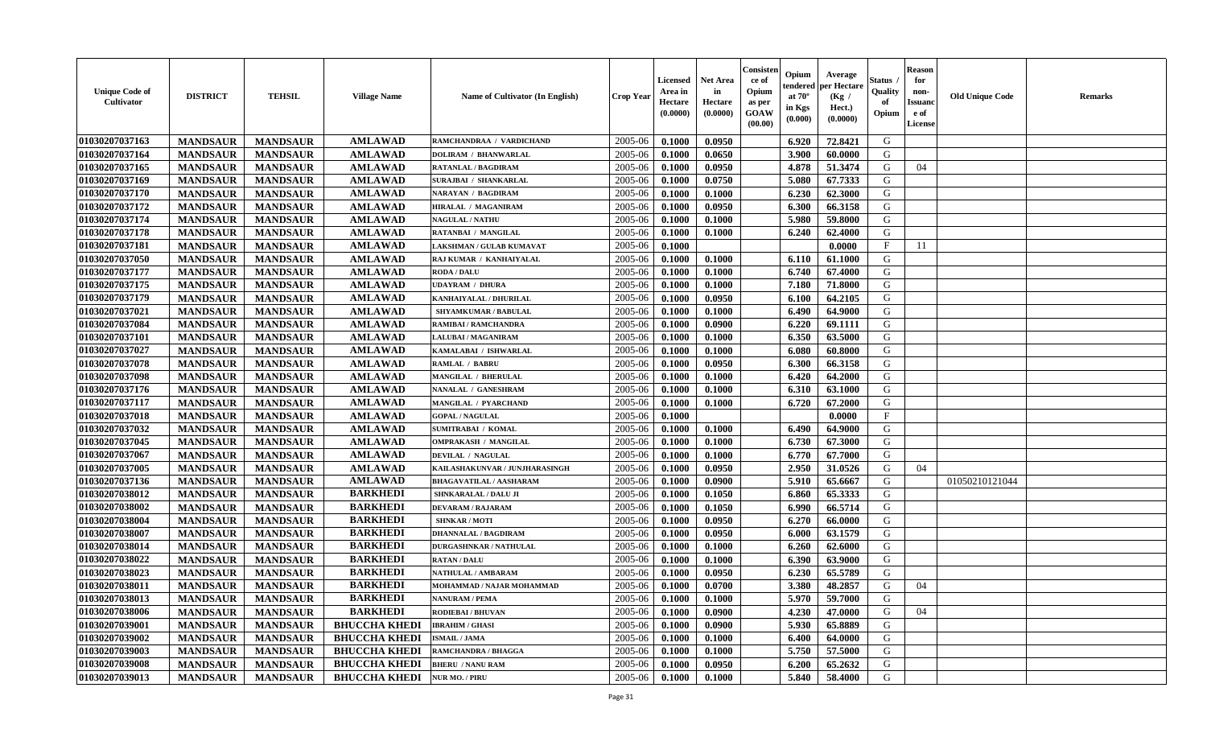| <b>Unique Code of</b><br><b>Cultivator</b> | <b>DISTRICT</b> | <b>TEHSIL</b>   | <b>Village Name</b>  | Name of Cultivator (In English) | <b>Crop Year</b> | <b>Licensed</b><br>Area in<br>Hectare<br>(0.0000) | <b>Net Area</b><br>in<br>Hectare<br>(0.0000) | Consister<br>ce of<br>Opium<br>as per<br><b>GOAW</b><br>(00.00) | Opium<br>endered<br>at $70^{\circ}$<br>in Kgs<br>$(\mathbf{0.000})$ | Average<br>per Hectare<br>(Kg /<br>Hect.)<br>(0.0000) | <b>Status</b><br>Quality<br>of<br>Opium | <b>Reason</b><br>for<br>non-<br><b>Issuanc</b><br>e of<br>License | <b>Old Unique Code</b> | <b>Remarks</b> |
|--------------------------------------------|-----------------|-----------------|----------------------|---------------------------------|------------------|---------------------------------------------------|----------------------------------------------|-----------------------------------------------------------------|---------------------------------------------------------------------|-------------------------------------------------------|-----------------------------------------|-------------------------------------------------------------------|------------------------|----------------|
| 01030207037163                             | <b>MANDSAUR</b> | <b>MANDSAUR</b> | <b>AMLAWAD</b>       | RAMCHANDRAA / VARDICHAND        | 2005-06          | 0.1000                                            | 0.0950                                       |                                                                 | 6.920                                                               | 72.8421                                               | G                                       |                                                                   |                        |                |
| 01030207037164                             | <b>MANDSAUR</b> | <b>MANDSAUR</b> | <b>AMLAWAD</b>       | <b>DOLIRAM / BHANWARLAL</b>     | 2005-06          | 0.1000                                            | 0.0650                                       |                                                                 | 3.900                                                               | 60.0000                                               | G                                       |                                                                   |                        |                |
| 01030207037165                             | <b>MANDSAUR</b> | <b>MANDSAUR</b> | <b>AMLAWAD</b>       | RATANLAL / BAGDIRAM             | 2005-06          | 0.1000                                            | 0.0950                                       |                                                                 | 4.878                                                               | 51.3474                                               | G                                       | 04                                                                |                        |                |
| 01030207037169                             | <b>MANDSAUR</b> | <b>MANDSAUR</b> | <b>AMLAWAD</b>       | SURAJBAI / SHANKARLAL           | 2005-06          | 0.1000                                            | 0.0750                                       |                                                                 | 5.080                                                               | 67.7333                                               | G                                       |                                                                   |                        |                |
| 01030207037170                             | <b>MANDSAUR</b> | <b>MANDSAUR</b> | <b>AMLAWAD</b>       | NARAYAN / BAGDIRAM              | 2005-06          | 0.1000                                            | 0.1000                                       |                                                                 | 6.230                                                               | 62.3000                                               | G                                       |                                                                   |                        |                |
| 01030207037172                             | <b>MANDSAUR</b> | <b>MANDSAUR</b> | <b>AMLAWAD</b>       | HIRALAL / MAGANIRAM             | 2005-06          | 0.1000                                            | 0.0950                                       |                                                                 | 6.300                                                               | 66.3158                                               | G                                       |                                                                   |                        |                |
| 01030207037174                             | <b>MANDSAUR</b> | <b>MANDSAUR</b> | <b>AMLAWAD</b>       | <b>NAGULAL / NATHU</b>          | 2005-06          | 0.1000                                            | 0.1000                                       |                                                                 | 5.980                                                               | 59.8000                                               | G                                       |                                                                   |                        |                |
| 01030207037178                             | <b>MANDSAUR</b> | <b>MANDSAUR</b> | <b>AMLAWAD</b>       | RATANBAI / MANGILAL             | 2005-06          | 0.1000                                            | 0.1000                                       |                                                                 | 6.240                                                               | 62.4000                                               | G                                       |                                                                   |                        |                |
| 01030207037181                             | <b>MANDSAUR</b> | <b>MANDSAUR</b> | <b>AMLAWAD</b>       | LAKSHMAN / GULAB KUMAVAT        | 2005-06          | 0.1000                                            |                                              |                                                                 |                                                                     | 0.0000                                                | F                                       | 11                                                                |                        |                |
| 01030207037050                             | <b>MANDSAUR</b> | <b>MANDSAUR</b> | <b>AMLAWAD</b>       | RAJ KUMAR / KANHAIYALAL         | 2005-06          | 0.1000                                            | 0.1000                                       |                                                                 | 6.110                                                               | 61.1000                                               | G                                       |                                                                   |                        |                |
| 01030207037177                             | <b>MANDSAUR</b> | <b>MANDSAUR</b> | <b>AMLAWAD</b>       | <b>RODA / DALU</b>              | 2005-06          | 0.1000                                            | 0.1000                                       |                                                                 | 6.740                                                               | 67.4000                                               | G                                       |                                                                   |                        |                |
| 01030207037175                             | <b>MANDSAUR</b> | <b>MANDSAUR</b> | <b>AMLAWAD</b>       | <b>UDAYRAM / DHURA</b>          | 2005-06          | 0.1000                                            | 0.1000                                       |                                                                 | 7.180                                                               | 71.8000                                               | G                                       |                                                                   |                        |                |
| 01030207037179                             | <b>MANDSAUR</b> | <b>MANDSAUR</b> | <b>AMLAWAD</b>       | KANHAIYALAL / DHURILAL          | 2005-06          | 0.1000                                            | 0.0950                                       |                                                                 | 6.100                                                               | 64.2105                                               | G                                       |                                                                   |                        |                |
| 01030207037021                             | <b>MANDSAUR</b> | <b>MANDSAUR</b> | <b>AMLAWAD</b>       | SHYAMKUMAR / BABULAL            | 2005-06          | 0.1000                                            | 0.1000                                       |                                                                 | 6.490                                                               | 64.9000                                               | G                                       |                                                                   |                        |                |
| 01030207037084                             | <b>MANDSAUR</b> | <b>MANDSAUR</b> | <b>AMLAWAD</b>       | RAMIBAI / RAMCHANDRA            | 2005-06          | 0.1000                                            | 0.0900                                       |                                                                 | 6.220                                                               | 69.1111                                               | G                                       |                                                                   |                        |                |
| 01030207037101                             | <b>MANDSAUR</b> | <b>MANDSAUR</b> | <b>AMLAWAD</b>       | LALUBAI / MAGANIRAM             | 2005-06          | 0.1000                                            | 0.1000                                       |                                                                 | 6.350                                                               | 63.5000                                               | G                                       |                                                                   |                        |                |
| 01030207037027                             | <b>MANDSAUR</b> | <b>MANDSAUR</b> | <b>AMLAWAD</b>       | KAMALABAI / ISHWARLAL           | 2005-06          | 0.1000                                            | 0.1000                                       |                                                                 | 6.080                                                               | 60.8000                                               | G                                       |                                                                   |                        |                |
| 01030207037078                             | <b>MANDSAUR</b> | <b>MANDSAUR</b> | <b>AMLAWAD</b>       | <b>RAMLAL / BABRU</b>           | 2005-06          | 0.1000                                            | 0.0950                                       |                                                                 | 6.300                                                               | 66.3158                                               | G                                       |                                                                   |                        |                |
| 01030207037098                             | <b>MANDSAUR</b> | <b>MANDSAUR</b> | <b>AMLAWAD</b>       | MANGILAL / BHERULAL             | 2005-06          | 0.1000                                            | 0.1000                                       |                                                                 | 6.420                                                               | 64.2000                                               | G                                       |                                                                   |                        |                |
| 01030207037176                             | <b>MANDSAUR</b> | <b>MANDSAUR</b> | <b>AMLAWAD</b>       | NANALAL / GANESHRAM             | 2005-06          | 0.1000                                            | 0.1000                                       |                                                                 | 6.310                                                               | 63.1000                                               | G                                       |                                                                   |                        |                |
| 01030207037117                             | <b>MANDSAUR</b> | <b>MANDSAUR</b> | <b>AMLAWAD</b>       | MANGILAL / PYARCHAND            | 2005-06          | 0.1000                                            | 0.1000                                       |                                                                 | 6.720                                                               | 67.2000                                               | G                                       |                                                                   |                        |                |
| 01030207037018                             | <b>MANDSAUR</b> | <b>MANDSAUR</b> | <b>AMLAWAD</b>       | <b>GOPAL / NAGULAL</b>          | 2005-06          | 0.1000                                            |                                              |                                                                 |                                                                     | 0.0000                                                | $\mathbf{F}$                            |                                                                   |                        |                |
| 01030207037032                             | <b>MANDSAUR</b> | <b>MANDSAUR</b> | <b>AMLAWAD</b>       | <b>SUMITRABAI / KOMAL</b>       | 2005-06          | 0.1000                                            | 0.1000                                       |                                                                 | 6.490                                                               | 64.9000                                               | G                                       |                                                                   |                        |                |
| 01030207037045                             | <b>MANDSAUR</b> | <b>MANDSAUR</b> | <b>AMLAWAD</b>       | <b>OMPRAKASH / MANGILAL</b>     | 2005-06          | 0.1000                                            | 0.1000                                       |                                                                 | 6.730                                                               | 67.3000                                               | G                                       |                                                                   |                        |                |
| 01030207037067                             | <b>MANDSAUR</b> | <b>MANDSAUR</b> | <b>AMLAWAD</b>       | DEVILAL / NAGULAL               | 2005-06          | 0.1000                                            | 0.1000                                       |                                                                 | 6.770                                                               | 67.7000                                               | G                                       |                                                                   |                        |                |
| 01030207037005                             | <b>MANDSAUR</b> | <b>MANDSAUR</b> | <b>AMLAWAD</b>       | KAILASHAKUNVAR / JUNJHARASINGH  | 2005-06          | 0.1000                                            | 0.0950                                       |                                                                 | 2.950                                                               | 31.0526                                               | G                                       | 04                                                                |                        |                |
| 01030207037136                             | <b>MANDSAUR</b> | <b>MANDSAUR</b> | <b>AMLAWAD</b>       | <b>BHAGAVATILAL / AASHARAM</b>  | 2005-06          | 0.1000                                            | 0.0900                                       |                                                                 | 5.910                                                               | 65.6667                                               | G                                       |                                                                   | 01050210121044         |                |
| 01030207038012                             | <b>MANDSAUR</b> | <b>MANDSAUR</b> | <b>BARKHEDI</b>      | <b>SHNKARALAL / DALU JI</b>     | 2005-06          | 0.1000                                            | 0.1050                                       |                                                                 | 6.860                                                               | 65.3333                                               | G                                       |                                                                   |                        |                |
| 01030207038002                             | <b>MANDSAUR</b> | <b>MANDSAUR</b> | <b>BARKHEDI</b>      | <b>DEVARAM / RAJARAM</b>        | 2005-06          | 0.1000                                            | 0.1050                                       |                                                                 | 6.990                                                               | 66.5714                                               | G                                       |                                                                   |                        |                |
| 01030207038004                             | <b>MANDSAUR</b> | <b>MANDSAUR</b> | <b>BARKHEDI</b>      | <b>SHNKAR / MOTI</b>            | 2005-06          | 0.1000                                            | 0.0950                                       |                                                                 | 6.270                                                               | 66.0000                                               | G                                       |                                                                   |                        |                |
| 01030207038007                             | <b>MANDSAUR</b> | <b>MANDSAUR</b> | <b>BARKHEDI</b>      | <b>DHANNALAL / BAGDIRAM</b>     | 2005-06          | 0.1000                                            | 0.0950                                       |                                                                 | 6.000                                                               | 63.1579                                               | G                                       |                                                                   |                        |                |
| 01030207038014                             | <b>MANDSAUR</b> | <b>MANDSAUR</b> | <b>BARKHEDI</b>      | <b>DURGASHNKAR / NATHULAL</b>   | 2005-06          | 0.1000                                            | 0.1000                                       |                                                                 | 6.260                                                               | 62.6000                                               | G                                       |                                                                   |                        |                |
| 01030207038022                             | <b>MANDSAUR</b> | <b>MANDSAUR</b> | <b>BARKHEDI</b>      | <b>RATAN / DALU</b>             | 2005-06          | 0.1000                                            | 0.1000                                       |                                                                 | 6.390                                                               | 63.9000                                               | G                                       |                                                                   |                        |                |
| 01030207038023                             | <b>MANDSAUR</b> | <b>MANDSAUR</b> | <b>BARKHEDI</b>      | NATHULAL / AMBARAM              | 2005-06          | 0.1000                                            | 0.0950                                       |                                                                 | 6.230                                                               | 65.5789                                               | G                                       |                                                                   |                        |                |
| 01030207038011                             | <b>MANDSAUR</b> | <b>MANDSAUR</b> | <b>BARKHEDI</b>      | MOHAMMAD / NAJAR MOHAMMAD       | 2005-06          | 0.1000                                            | 0.0700                                       |                                                                 | 3.380                                                               | 48.2857                                               | G                                       | 04                                                                |                        |                |
| 01030207038013                             | <b>MANDSAUR</b> | MANDSAUR        | <b>BARKHEDI</b>      | <b>NANURAM / PEMA</b>           | $2005 - 06$      | 0.1000                                            | 0.1000                                       |                                                                 |                                                                     | $5.970$ 59.7000                                       | G                                       |                                                                   |                        |                |
| 01030207038006                             | <b>MANDSAUR</b> | <b>MANDSAUR</b> | <b>BARKHEDI</b>      | RODIEBAI / BHUVAN               | 2005-06          | 0.1000                                            | 0.0900                                       |                                                                 | 4.230                                                               | 47.0000                                               | G                                       | 04                                                                |                        |                |
| 01030207039001                             | <b>MANDSAUR</b> | <b>MANDSAUR</b> | <b>BHUCCHA KHEDI</b> | <b>IBRAHIM / GHASI</b>          | 2005-06          | 0.1000                                            | 0.0900                                       |                                                                 | 5.930                                                               | 65.8889                                               | G                                       |                                                                   |                        |                |
| 01030207039002                             | <b>MANDSAUR</b> | <b>MANDSAUR</b> | <b>BHUCCHA KHEDI</b> | <b>ISMAIL / JAMA</b>            | 2005-06          | 0.1000                                            | 0.1000                                       |                                                                 | 6.400                                                               | 64.0000                                               | G                                       |                                                                   |                        |                |
| 01030207039003                             | <b>MANDSAUR</b> | <b>MANDSAUR</b> | <b>BHUCCHA KHEDI</b> | RAMCHANDRA / BHAGGA             | 2005-06          | 0.1000                                            | 0.1000                                       |                                                                 | 5.750                                                               | 57.5000                                               | G                                       |                                                                   |                        |                |
| 01030207039008                             | <b>MANDSAUR</b> | <b>MANDSAUR</b> | <b>BHUCCHA KHEDI</b> | <b>BHERU / NANU RAM</b>         | 2005-06          | 0.1000                                            | 0.0950                                       |                                                                 | 6.200                                                               | 65.2632                                               | G                                       |                                                                   |                        |                |
| 01030207039013                             | <b>MANDSAUR</b> | <b>MANDSAUR</b> | <b>BHUCCHA KHEDI</b> | <b>NUR MO. / PIRU</b>           | 2005-06          | 0.1000                                            | 0.1000                                       |                                                                 | 5.840                                                               | 58.4000                                               | G                                       |                                                                   |                        |                |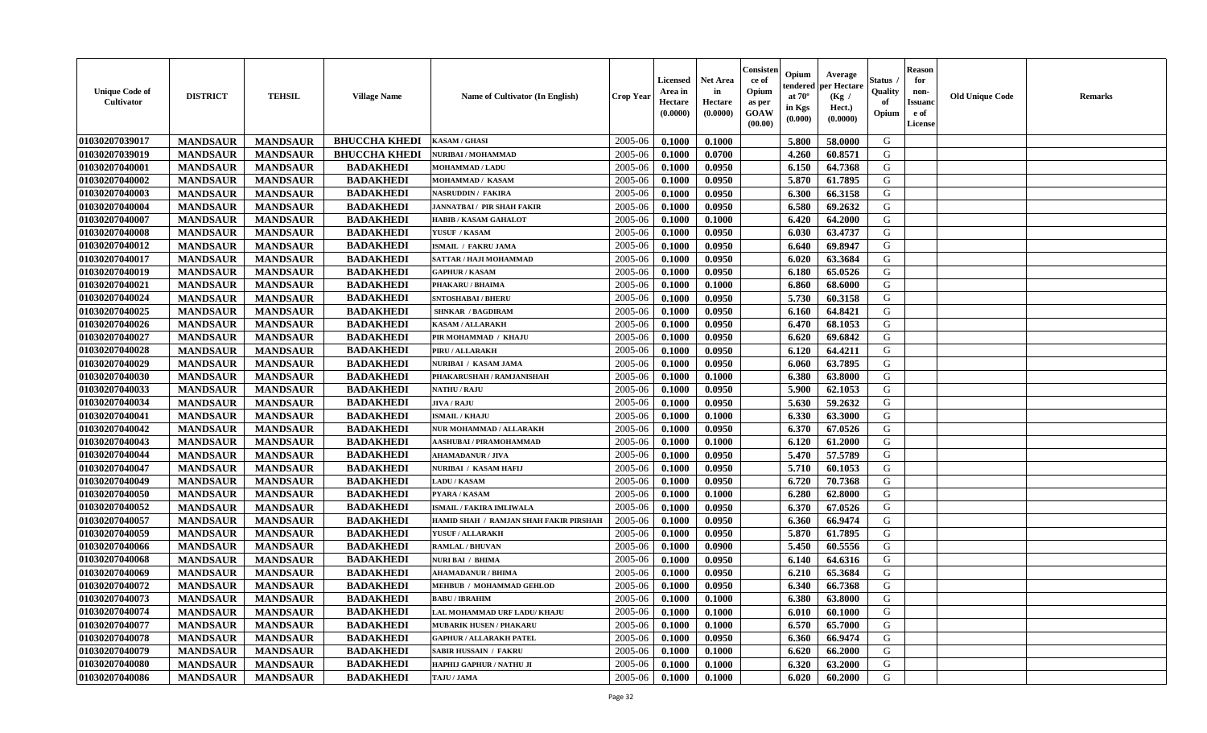| <b>Unique Code of</b><br><b>Cultivator</b> | <b>DISTRICT</b> | <b>TEHSIL</b>   | <b>Village Name</b>  | Name of Cultivator (In English)                       | <b>Crop Year</b> | Licensed<br>Area in<br>Hectare<br>(0.0000) | <b>Net Area</b><br>in<br>Hectare<br>(0.0000) | Consister<br>ce of<br>Opium<br>as per<br>GOAW<br>(00.00) | Opium<br>endered<br>at $70^\circ$<br>in Kgs<br>(0.000) | Average<br>per Hectare<br>(Kg /<br>Hect.)<br>(0.0000) | <b>Status</b> .<br>Quality<br>of<br>Opium | <b>Reason</b><br>for<br>non-<br><b>Issuanc</b><br>e of<br>License | <b>Old Unique Code</b> | <b>Remarks</b> |
|--------------------------------------------|-----------------|-----------------|----------------------|-------------------------------------------------------|------------------|--------------------------------------------|----------------------------------------------|----------------------------------------------------------|--------------------------------------------------------|-------------------------------------------------------|-------------------------------------------|-------------------------------------------------------------------|------------------------|----------------|
| 01030207039017                             | <b>MANDSAUR</b> | <b>MANDSAUR</b> | <b>BHUCCHA KHEDI</b> | <b>KASAM / GHASI</b>                                  | 2005-06          | 0.1000                                     | 0.1000                                       |                                                          | 5.800                                                  | 58.0000                                               | G                                         |                                                                   |                        |                |
| 01030207039019                             | <b>MANDSAUR</b> | <b>MANDSAUR</b> | <b>BHUCCHA KHEDI</b> | NURIBAI / MOHAMMAD                                    | 2005-06          | 0.1000                                     | 0.0700                                       |                                                          | 4.260                                                  | 60.8571                                               | G                                         |                                                                   |                        |                |
| 01030207040001                             | <b>MANDSAUR</b> | <b>MANDSAUR</b> | <b>BADAKHEDI</b>     | <b>MOHAMMAD / LADU</b>                                | 2005-06          | 0.1000                                     | 0.0950                                       |                                                          | 6.150                                                  | 64.7368                                               | G                                         |                                                                   |                        |                |
| 01030207040002                             | <b>MANDSAUR</b> | <b>MANDSAUR</b> | <b>BADAKHEDI</b>     | MOHAMMAD / KASAM                                      | 2005-06          | 0.1000                                     | 0.0950                                       |                                                          | 5.870                                                  | 61.7895                                               | G                                         |                                                                   |                        |                |
| 01030207040003                             | <b>MANDSAUR</b> | <b>MANDSAUR</b> | <b>BADAKHEDI</b>     | NASRUDDIN / FAKIRA                                    | 2005-06          | 0.1000                                     | 0.0950                                       |                                                          | 6.300                                                  | 66.3158                                               | G                                         |                                                                   |                        |                |
| 01030207040004                             | <b>MANDSAUR</b> | <b>MANDSAUR</b> | <b>BADAKHEDI</b>     | JANNATBAI / PIR SHAH FAKIR                            | 2005-06          | 0.1000                                     | 0.0950                                       |                                                          | 6.580                                                  | 69.2632                                               | G                                         |                                                                   |                        |                |
| 01030207040007                             | <b>MANDSAUR</b> | <b>MANDSAUR</b> | <b>BADAKHEDI</b>     | <b>HABIB / KASAM GAHALOT</b>                          | 2005-06          | 0.1000                                     | 0.1000                                       |                                                          | 6.420                                                  | 64.2000                                               | ${\bf G}$                                 |                                                                   |                        |                |
| 01030207040008                             | <b>MANDSAUR</b> | <b>MANDSAUR</b> | <b>BADAKHEDI</b>     | YUSUF / KASAM                                         | 2005-06          | 0.1000                                     | 0.0950                                       |                                                          | 6.030                                                  | 63,4737                                               | G                                         |                                                                   |                        |                |
| 01030207040012                             | <b>MANDSAUR</b> | <b>MANDSAUR</b> | <b>BADAKHEDI</b>     | <b>ISMAIL / FAKRU JAMA</b>                            | 2005-06          | 0.1000                                     | 0.0950                                       |                                                          | 6.640                                                  | 69.8947                                               | G                                         |                                                                   |                        |                |
| 01030207040017                             | <b>MANDSAUR</b> | <b>MANDSAUR</b> | <b>BADAKHEDI</b>     | SATTAR / HAJI MOHAMMAD                                | 2005-06          | 0.1000                                     | 0.0950                                       |                                                          | 6.020                                                  | 63.3684                                               | G                                         |                                                                   |                        |                |
| 01030207040019                             | <b>MANDSAUR</b> | <b>MANDSAUR</b> | <b>BADAKHEDI</b>     | <b>GAPHUR / KASAM</b>                                 | 2005-06          | 0.1000                                     | 0.0950                                       |                                                          | 6.180                                                  | 65.0526                                               | G                                         |                                                                   |                        |                |
| 01030207040021                             | <b>MANDSAUR</b> | <b>MANDSAUR</b> | <b>BADAKHEDI</b>     | PHAKARU / BHAIMA                                      | 2005-06          | 0.1000                                     | 0.1000                                       |                                                          | 6.860                                                  | 68.6000                                               | G                                         |                                                                   |                        |                |
| 01030207040024                             | <b>MANDSAUR</b> | <b>MANDSAUR</b> | <b>BADAKHEDI</b>     | <b>SNTOSHABAI / BHERU</b>                             | 2005-06          | 0.1000                                     | 0.0950                                       |                                                          | 5.730                                                  | 60.3158                                               | G                                         |                                                                   |                        |                |
| 01030207040025                             | <b>MANDSAUR</b> | <b>MANDSAUR</b> | <b>BADAKHEDI</b>     | <b>SHNKAR / BAGDIRAM</b>                              | 2005-06          | 0.1000                                     | 0.0950                                       |                                                          | 6.160                                                  | 64.8421                                               | G                                         |                                                                   |                        |                |
| 01030207040026                             | <b>MANDSAUR</b> | <b>MANDSAUR</b> | <b>BADAKHEDI</b>     | KASAM / ALLARAKH                                      | 2005-06          | 0.1000                                     | 0.0950                                       |                                                          | 6.470                                                  | 68.1053                                               | ${\bf G}$                                 |                                                                   |                        |                |
| 01030207040027                             | <b>MANDSAUR</b> | <b>MANDSAUR</b> | <b>BADAKHEDI</b>     | PIR MOHAMMAD / KHAJU                                  | 2005-06          | 0.1000                                     | 0.0950                                       |                                                          | 6.620                                                  | 69.6842                                               | G                                         |                                                                   |                        |                |
| 01030207040028                             | <b>MANDSAUR</b> | <b>MANDSAUR</b> | <b>BADAKHEDI</b>     | PIRU / ALLARAKH                                       | 2005-06          | 0.1000                                     | 0.0950                                       |                                                          | 6.120                                                  | 64.4211                                               | $\mathsf G$                               |                                                                   |                        |                |
| 01030207040029                             | <b>MANDSAUR</b> | <b>MANDSAUR</b> | <b>BADAKHEDI</b>     | <b>NURIBAI / KASAM JAMA</b>                           | 2005-06          | 0.1000                                     | 0.0950                                       |                                                          | 6.060                                                  | 63.7895                                               | G                                         |                                                                   |                        |                |
| 01030207040030                             | <b>MANDSAUR</b> | <b>MANDSAUR</b> | <b>BADAKHEDI</b>     | PHAKARUSHAH / RAMJANISHAH                             | 2005-06          | 0.1000                                     | 0.1000                                       |                                                          | 6.380                                                  | 63.8000                                               | G                                         |                                                                   |                        |                |
| 01030207040033                             | <b>MANDSAUR</b> | <b>MANDSAUR</b> | <b>BADAKHEDI</b>     | <b>NATHU / RAJU</b>                                   | 2005-06          | 0.1000                                     | 0.0950                                       |                                                          | 5.900                                                  | 62.1053                                               | G                                         |                                                                   |                        |                |
| 01030207040034                             | <b>MANDSAUR</b> | <b>MANDSAUR</b> | <b>BADAKHEDI</b>     | <b>JIVA / RAJU</b>                                    | 2005-06          | 0.1000                                     | 0.0950                                       |                                                          | 5.630                                                  | 59.2632                                               | G                                         |                                                                   |                        |                |
| 01030207040041                             | <b>MANDSAUR</b> | <b>MANDSAUR</b> | <b>BADAKHEDI</b>     | <b>ISMAIL / KHAJU</b>                                 | 2005-06          | 0.1000                                     | 0.1000                                       |                                                          | 6.330                                                  | 63.3000                                               | G                                         |                                                                   |                        |                |
| 01030207040042                             | <b>MANDSAUR</b> | <b>MANDSAUR</b> | <b>BADAKHEDI</b>     | NUR MOHAMMAD / ALLARAKH                               | 2005-06          | 0.1000                                     | 0.0950                                       |                                                          | 6.370                                                  | 67.0526                                               | ${\bf G}$                                 |                                                                   |                        |                |
| 01030207040043                             | <b>MANDSAUR</b> | <b>MANDSAUR</b> | <b>BADAKHEDI</b>     | <b>AASHUBAI / PIRAMOHAMMAD</b>                        | 2005-06          | 0.1000                                     | 0.1000                                       |                                                          | 6.120                                                  | 61.2000                                               | ${\bf G}$                                 |                                                                   |                        |                |
| 01030207040044                             | <b>MANDSAUR</b> | <b>MANDSAUR</b> | <b>BADAKHEDI</b>     | <b>AHAMADANUR / JIVA</b>                              | 2005-06          | 0.1000                                     | 0.0950                                       |                                                          | 5.470                                                  | 57.5789                                               | G                                         |                                                                   |                        |                |
| 01030207040047                             | <b>MANDSAUR</b> | <b>MANDSAUR</b> | <b>BADAKHEDI</b>     | NURIBAI / KASAM HAFIJ                                 | 2005-06          | 0.1000                                     | 0.0950                                       |                                                          | 5.710                                                  | 60.1053                                               | G                                         |                                                                   |                        |                |
| 01030207040049                             | <b>MANDSAUR</b> | <b>MANDSAUR</b> | <b>BADAKHEDI</b>     | <b>LADU / KASAM</b>                                   | 2005-06          | 0.1000                                     | 0.0950                                       |                                                          | 6.720                                                  | 70.7368                                               | G                                         |                                                                   |                        |                |
| 01030207040050                             | <b>MANDSAUR</b> | <b>MANDSAUR</b> | <b>BADAKHEDI</b>     | PYARA / KASAM                                         | 2005-06          | 0.1000                                     | 0.1000                                       |                                                          | 6.280                                                  | 62.8000                                               | G                                         |                                                                   |                        |                |
| 01030207040052                             | <b>MANDSAUR</b> | <b>MANDSAUR</b> | <b>BADAKHEDI</b>     | <b>ISMAIL / FAKIRA IMLIWALA</b>                       | 2005-06          | 0.1000                                     | 0.0950                                       |                                                          | 6.370                                                  | 67.0526                                               | G                                         |                                                                   |                        |                |
| 01030207040057                             | <b>MANDSAUR</b> | <b>MANDSAUR</b> | <b>BADAKHEDI</b>     | HAMID SHAH / RAMJAN SHAH FAKIR PIRSHAH                | 2005-06          | 0.1000                                     | 0.0950                                       |                                                          | 6.360                                                  | 66.9474                                               | G                                         |                                                                   |                        |                |
| 01030207040059                             | <b>MANDSAUR</b> | <b>MANDSAUR</b> | <b>BADAKHEDI</b>     | YUSUF / ALLARAKH                                      | 2005-06          | 0.1000                                     | 0.0950                                       |                                                          | 5.870                                                  | 61.7895                                               | G                                         |                                                                   |                        |                |
| 01030207040066                             | <b>MANDSAUR</b> | <b>MANDSAUR</b> | <b>BADAKHEDI</b>     | <b>RAMLAL / BHUVAN</b>                                | 2005-06          | 0.1000                                     | 0.0900                                       |                                                          | 5.450                                                  | 60.5556                                               | G                                         |                                                                   |                        |                |
| 01030207040068                             | <b>MANDSAUR</b> | <b>MANDSAUR</b> | <b>BADAKHEDI</b>     | NURI BAI / BHIMA                                      | 2005-06          | 0.1000                                     | 0.0950                                       |                                                          | 6.140                                                  | 64.6316                                               | G                                         |                                                                   |                        |                |
| 01030207040069                             | <b>MANDSAUR</b> |                 | <b>BADAKHEDI</b>     |                                                       | 2005-06          |                                            |                                              |                                                          |                                                        |                                                       | G                                         |                                                                   |                        |                |
|                                            |                 | <b>MANDSAUR</b> |                      | <b>AHAMADANUR / BHIMA</b>                             |                  | 0.1000                                     | 0.0950                                       |                                                          | 6.210                                                  | 65.3684                                               |                                           |                                                                   |                        |                |
| 01030207040072                             | <b>MANDSAUR</b> | <b>MANDSAUR</b> | <b>BADAKHEDI</b>     | MEHBUB / MOHAMMAD GEHLOD                              | 2005-06          | 0.1000                                     | 0.0950                                       |                                                          | 6.340                                                  | 66.7368                                               | ${\bf G}$                                 |                                                                   |                        |                |
| 01030207040073                             | <b>MANDSAUR</b> | <b>MANDSAUR</b> | <b>BADAKHEDI</b>     | <b>BABU / IBRAHIM</b><br>LAL MOHAMMAD URF LADU/ KHAJU | 2005-06          | 0.1000                                     | 0.1000                                       |                                                          | 6.380                                                  | 63.8000                                               | G                                         |                                                                   |                        |                |
| 01030207040074                             | <b>MANDSAUR</b> | <b>MANDSAUR</b> | <b>BADAKHEDI</b>     |                                                       | 2005-06          | 0.1000                                     | 0.1000                                       |                                                          | 6.010                                                  | 60.1000                                               | G                                         |                                                                   |                        |                |
| 01030207040077                             | <b>MANDSAUR</b> | <b>MANDSAUR</b> | <b>BADAKHEDI</b>     | <b>MUBARIK HUSEN / PHAKARU</b>                        | 2005-06          | 0.1000                                     | 0.1000                                       |                                                          | 6.570                                                  | 65.7000                                               | G                                         |                                                                   |                        |                |
| 01030207040078                             | <b>MANDSAUR</b> | <b>MANDSAUR</b> | <b>BADAKHEDI</b>     | <b>GAPHUR / ALLARAKH PATEL</b>                        | 2005-06          | 0.1000                                     | 0.0950                                       |                                                          | 6.360                                                  | 66.9474                                               | G                                         |                                                                   |                        |                |
| 01030207040079                             | <b>MANDSAUR</b> | <b>MANDSAUR</b> | <b>BADAKHEDI</b>     | <b>SABIR HUSSAIN / FAKRU</b>                          | 2005-06          | 0.1000                                     | 0.1000                                       |                                                          | 6.620                                                  | 66.2000                                               | ${\bf G}$                                 |                                                                   |                        |                |
| 01030207040080                             | <b>MANDSAUR</b> | <b>MANDSAUR</b> | <b>BADAKHEDI</b>     | HAPHIJ GAPHUR / NATHU JI                              | 2005-06          | 0.1000                                     | 0.1000                                       |                                                          | 6.320                                                  | 63.2000                                               | G                                         |                                                                   |                        |                |
| 01030207040086                             | <b>MANDSAUR</b> | <b>MANDSAUR</b> | <b>BADAKHEDI</b>     | TAJU / JAMA                                           | 2005-06          | 0.1000                                     | 0.1000                                       |                                                          | 6.020                                                  | 60.2000                                               | G                                         |                                                                   |                        |                |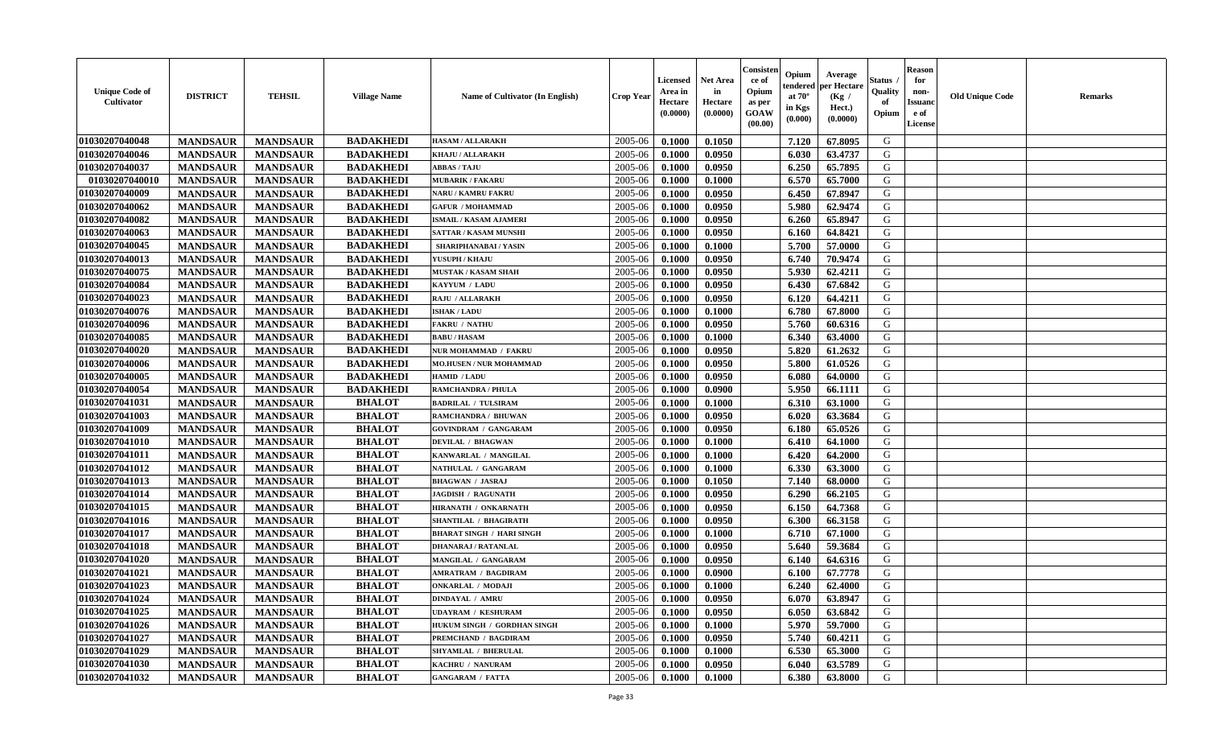| <b>Unique Code of</b><br><b>Cultivator</b> | <b>DISTRICT</b> | <b>TEHSIL</b>   | <b>Village Name</b> | Name of Cultivator (In English)  | <b>Crop Year</b> | Licensed<br>Area in<br>Hectare<br>(0.0000) | Net Area<br>in<br>Hectare<br>(0.0000) | Consisteı<br>ce of<br>Opium<br>as per<br>GOAW<br>(00.00) | Opium<br>endered<br>at $70^\circ$<br>in Kgs<br>(0.000) | Average<br>per Hectare<br>(Kg /<br>Hect.)<br>(0.0000) | Status<br>Quality<br>of<br>Opium | <b>Reason</b><br>for<br>non-<br><b>Issuand</b><br>e of<br>License | <b>Old Unique Code</b> | Remarks |
|--------------------------------------------|-----------------|-----------------|---------------------|----------------------------------|------------------|--------------------------------------------|---------------------------------------|----------------------------------------------------------|--------------------------------------------------------|-------------------------------------------------------|----------------------------------|-------------------------------------------------------------------|------------------------|---------|
| 01030207040048                             | <b>MANDSAUR</b> | <b>MANDSAUR</b> | <b>BADAKHEDI</b>    | <b>HASAM / ALLARAKH</b>          | 2005-06          | 0.1000                                     | 0.1050                                |                                                          | 7.120                                                  | 67.8095                                               | G                                |                                                                   |                        |         |
| 01030207040046                             | <b>MANDSAUR</b> | <b>MANDSAUR</b> | <b>BADAKHEDI</b>    | KHAJU / ALLARAKH                 | 2005-06          | 0.1000                                     | 0.0950                                |                                                          | 6.030                                                  | 63.4737                                               | G                                |                                                                   |                        |         |
| 01030207040037                             | <b>MANDSAUR</b> | <b>MANDSAUR</b> | <b>BADAKHEDI</b>    | <b>ABBAS / TAJU</b>              | 2005-06          | 0.1000                                     | 0.0950                                |                                                          | 6.250                                                  | 65.7895                                               | G                                |                                                                   |                        |         |
| 01030207040010                             | <b>MANDSAUR</b> | <b>MANDSAUR</b> | <b>BADAKHEDI</b>    | <b>MUBARIK / FAKARU</b>          | 2005-06          | 0.1000                                     | 0.1000                                |                                                          | 6.570                                                  | 65.7000                                               | G                                |                                                                   |                        |         |
| 01030207040009                             | <b>MANDSAUR</b> | <b>MANDSAUR</b> | <b>BADAKHEDI</b>    | NARU / KAMRU FAKRU               | 2005-06          | 0.1000                                     | 0.0950                                |                                                          | 6.450                                                  | 67.8947                                               | G                                |                                                                   |                        |         |
| 01030207040062                             | <b>MANDSAUR</b> | <b>MANDSAUR</b> | <b>BADAKHEDI</b>    | <b>GAFUR / MOHAMMAD</b>          | 2005-06          | 0.1000                                     | 0.0950                                |                                                          | 5.980                                                  | 62.9474                                               | G                                |                                                                   |                        |         |
| 01030207040082                             | <b>MANDSAUR</b> | <b>MANDSAUR</b> | <b>BADAKHEDI</b>    | <b>ISMAIL / KASAM AJAMERI</b>    | 2005-06          | 0.1000                                     | 0.0950                                |                                                          | 6.260                                                  | 65.8947                                               | G                                |                                                                   |                        |         |
| 01030207040063                             | <b>MANDSAUR</b> | <b>MANDSAUR</b> | <b>BADAKHEDI</b>    | <b>SATTAR / KASAM MUNSHI</b>     | 2005-06          | 0.1000                                     | 0.0950                                |                                                          | 6.160                                                  | 64.8421                                               | G                                |                                                                   |                        |         |
| 01030207040045                             | <b>MANDSAUR</b> | <b>MANDSAUR</b> | <b>BADAKHEDI</b>    | SHARIPHANABAI / YASIN            | 2005-06          | 0.1000                                     | 0.1000                                |                                                          | 5.700                                                  | 57.0000                                               | G                                |                                                                   |                        |         |
| 01030207040013                             | <b>MANDSAUR</b> | <b>MANDSAUR</b> | <b>BADAKHEDI</b>    | YUSUPH / KHAJU                   | 2005-06          | 0.1000                                     | 0.0950                                |                                                          | 6.740                                                  | 70.9474                                               | G                                |                                                                   |                        |         |
| 01030207040075                             | <b>MANDSAUR</b> | <b>MANDSAUR</b> | <b>BADAKHEDI</b>    | <b>MUSTAK / KASAM SHAH</b>       | 2005-06          | 0.1000                                     | 0.0950                                |                                                          | 5.930                                                  | 62.4211                                               | G                                |                                                                   |                        |         |
| 01030207040084                             | <b>MANDSAUR</b> | <b>MANDSAUR</b> | <b>BADAKHEDI</b>    | KAYYUM / LADU                    | 2005-06          | 0.1000                                     | 0.0950                                |                                                          | 6.430                                                  | 67.6842                                               | G                                |                                                                   |                        |         |
| 01030207040023                             | <b>MANDSAUR</b> | <b>MANDSAUR</b> | <b>BADAKHEDI</b>    | <b>RAJU / ALLARAKH</b>           | 2005-06          | 0.1000                                     | 0.0950                                |                                                          | 6.120                                                  | 64.4211                                               | G                                |                                                                   |                        |         |
| 01030207040076                             | <b>MANDSAUR</b> | <b>MANDSAUR</b> | <b>BADAKHEDI</b>    | <b>ISHAK / LADU</b>              | 2005-06          | 0.1000                                     | 0.1000                                |                                                          | 6.780                                                  | 67.8000                                               | G                                |                                                                   |                        |         |
| 01030207040096                             | <b>MANDSAUR</b> | <b>MANDSAUR</b> | <b>BADAKHEDI</b>    | <b>FAKRU / NATHU</b>             | 2005-06          | 0.1000                                     | 0.0950                                |                                                          | 5.760                                                  | 60.6316                                               | $\mathbf G$                      |                                                                   |                        |         |
| 01030207040085                             | <b>MANDSAUR</b> | <b>MANDSAUR</b> | <b>BADAKHEDI</b>    | <b>BABU/HASAM</b>                | 2005-06          | 0.1000                                     | 0.1000                                |                                                          | 6.340                                                  | 63.4000                                               | G                                |                                                                   |                        |         |
| 01030207040020                             | <b>MANDSAUR</b> | <b>MANDSAUR</b> | <b>BADAKHEDI</b>    | NUR MOHAMMAD / FAKRU             | 2005-06          | 0.1000                                     | 0.0950                                |                                                          | 5.820                                                  | 61.2632                                               | G                                |                                                                   |                        |         |
| 01030207040006                             | <b>MANDSAUR</b> | <b>MANDSAUR</b> | <b>BADAKHEDI</b>    | <b>MO.HUSEN / NUR MOHAMMAD</b>   | 2005-06          | 0.1000                                     | 0.0950                                |                                                          | 5.800                                                  | 61.0526                                               | G                                |                                                                   |                        |         |
| 01030207040005                             | <b>MANDSAUR</b> | <b>MANDSAUR</b> | <b>BADAKHEDI</b>    | HAMID / LADU                     | 2005-06          | 0.1000                                     | 0.0950                                |                                                          | 6.080                                                  | 64.0000                                               | G                                |                                                                   |                        |         |
| 01030207040054                             | <b>MANDSAUR</b> | <b>MANDSAUR</b> | <b>BADAKHEDI</b>    | <b>RAMCHANDRA / PHULA</b>        | 2005-06          | 0.1000                                     | 0.0900                                |                                                          | 5.950                                                  | 66.1111                                               | G                                |                                                                   |                        |         |
| 01030207041031                             | <b>MANDSAUR</b> | <b>MANDSAUR</b> | <b>BHALOT</b>       | <b>BADRILAL / TULSIRAM</b>       | 2005-06          | 0.1000                                     | 0.1000                                |                                                          | 6.310                                                  | 63.1000                                               | G                                |                                                                   |                        |         |
| 01030207041003                             | <b>MANDSAUR</b> | <b>MANDSAUR</b> | <b>BHALOT</b>       | RAMCHANDRA / BHUWAN              | 2005-06          | 0.1000                                     | 0.0950                                |                                                          | 6.020                                                  | 63.3684                                               | G                                |                                                                   |                        |         |
| 01030207041009                             | <b>MANDSAUR</b> | <b>MANDSAUR</b> | <b>BHALOT</b>       | <b>GOVINDRAM / GANGARAM</b>      | 2005-06          | 0.1000                                     | 0.0950                                |                                                          | 6.180                                                  | 65.0526                                               | G                                |                                                                   |                        |         |
| 01030207041010                             | <b>MANDSAUR</b> | <b>MANDSAUR</b> | <b>BHALOT</b>       | <b>DEVILAL / BHAGWAN</b>         | 2005-06          | 0.1000                                     | 0.1000                                |                                                          | 6.410                                                  | 64.1000                                               | G                                |                                                                   |                        |         |
| 01030207041011                             | <b>MANDSAUR</b> | <b>MANDSAUR</b> | <b>BHALOT</b>       | KANWARLAL / MANGILAL             | 2005-06          | 0.1000                                     | 0.1000                                |                                                          | 6.420                                                  | 64.2000                                               | G                                |                                                                   |                        |         |
| 01030207041012                             | <b>MANDSAUR</b> | <b>MANDSAUR</b> | <b>BHALOT</b>       | NATHULAL / GANGARAM              | 2005-06          | 0.1000                                     | 0.1000                                |                                                          | 6.330                                                  | 63.3000                                               | G                                |                                                                   |                        |         |
| 01030207041013                             | <b>MANDSAUR</b> | <b>MANDSAUR</b> | <b>BHALOT</b>       | <b>BHAGWAN / JASRAJ</b>          | 2005-06          | 0.1000                                     | 0.1050                                |                                                          | 7.140                                                  | 68.0000                                               | G                                |                                                                   |                        |         |
| 01030207041014                             | <b>MANDSAUR</b> | <b>MANDSAUR</b> | <b>BHALOT</b>       | <b>JAGDISH / RAGUNATH</b>        | 2005-06          | 0.1000                                     | 0.0950                                |                                                          | 6.290                                                  | 66.2105                                               | G                                |                                                                   |                        |         |
| 01030207041015                             | <b>MANDSAUR</b> | <b>MANDSAUR</b> | <b>BHALOT</b>       | HIRANATH / ONKARNATH             | 2005-06          | 0.1000                                     | 0.0950                                |                                                          | 6.150                                                  | 64.7368                                               | G                                |                                                                   |                        |         |
| 01030207041016                             | <b>MANDSAUR</b> | <b>MANDSAUR</b> | <b>BHALOT</b>       | <b>SHANTILAL / BHAGIRATH</b>     | 2005-06          | 0.1000                                     | 0.0950                                |                                                          | 6.300                                                  | 66.3158                                               | G                                |                                                                   |                        |         |
| 01030207041017                             | <b>MANDSAUR</b> | <b>MANDSAUR</b> | <b>BHALOT</b>       | <b>BHARAT SINGH / HARI SINGH</b> | 2005-06          | 0.1000                                     | 0.1000                                |                                                          | 6.710                                                  | 67.1000                                               | G                                |                                                                   |                        |         |
| 01030207041018                             | <b>MANDSAUR</b> | <b>MANDSAUR</b> | <b>BHALOT</b>       | <b>DHANARAJ / RATANLAL</b>       | 2005-06          | 0.1000                                     | 0.0950                                |                                                          | 5.640                                                  | 59.3684                                               | G                                |                                                                   |                        |         |
| 01030207041020                             | <b>MANDSAUR</b> | <b>MANDSAUR</b> | <b>BHALOT</b>       | MANGILAL / GANGARAM              | 2005-06          | 0.1000                                     | 0.0950                                |                                                          | 6.140                                                  | 64.6316                                               | G                                |                                                                   |                        |         |
| 01030207041021                             | <b>MANDSAUR</b> | <b>MANDSAUR</b> | <b>BHALOT</b>       | <b>AMRATRAM / BAGDIRAM</b>       | 2005-06          | 0.1000                                     | 0.0900                                |                                                          | 6.100                                                  | 67.7778                                               | G                                |                                                                   |                        |         |
| 01030207041023                             | <b>MANDSAUR</b> | <b>MANDSAUR</b> | <b>BHALOT</b>       | <b>ONKARLAL / MODAJI</b>         | 2005-06          | 0.1000                                     | 0.1000                                |                                                          | 6.240                                                  | 62.4000                                               | G                                |                                                                   |                        |         |
| 01030207041024                             | <b>MANDSAUR</b> | <b>MANDSAUR</b> | <b>BHALOT</b>       | <b>DINDAYAL / AMRU</b>           | 2005-06          | 0.1000                                     | 0.0950                                |                                                          | 6.070                                                  | 63.8947                                               | G                                |                                                                   |                        |         |
| 01030207041025                             | <b>MANDSAUR</b> | <b>MANDSAUR</b> | <b>BHALOT</b>       | <b>UDAYRAM / KESHURAM</b>        | 2005-06          | 0.1000                                     | 0.0950                                |                                                          | 6.050                                                  | 63.6842                                               | G                                |                                                                   |                        |         |
| 01030207041026                             | <b>MANDSAUR</b> | <b>MANDSAUR</b> | <b>BHALOT</b>       | HUKUM SINGH / GORDHAN SINGH      | 2005-06          | 0.1000                                     | 0.1000                                |                                                          | 5.970                                                  | 59.7000                                               | G                                |                                                                   |                        |         |
| 01030207041027                             | <b>MANDSAUR</b> | <b>MANDSAUR</b> | <b>BHALOT</b>       | PREMCHAND / BAGDIRAM             | 2005-06          | 0.1000                                     | 0.0950                                |                                                          | 5.740                                                  | 60.4211                                               | G                                |                                                                   |                        |         |
| 01030207041029                             | <b>MANDSAUR</b> | <b>MANDSAUR</b> | <b>BHALOT</b>       | SHYAMLAL / BHERULAL              | 2005-06          | 0.1000                                     | 0.1000                                |                                                          | 6.530                                                  | 65.3000                                               | ${\bf G}$                        |                                                                   |                        |         |
| 01030207041030                             | <b>MANDSAUR</b> | <b>MANDSAUR</b> | <b>BHALOT</b>       | KACHRU / NANURAM                 | 2005-06          | 0.1000                                     | 0.0950                                |                                                          | 6.040                                                  | 63.5789                                               | G                                |                                                                   |                        |         |
| 01030207041032                             | <b>MANDSAUR</b> | <b>MANDSAUR</b> | <b>BHALOT</b>       | <b>GANGARAM / FATTA</b>          | 2005-06          | 0.1000                                     | 0.1000                                |                                                          | 6.380                                                  | 63.8000                                               | G                                |                                                                   |                        |         |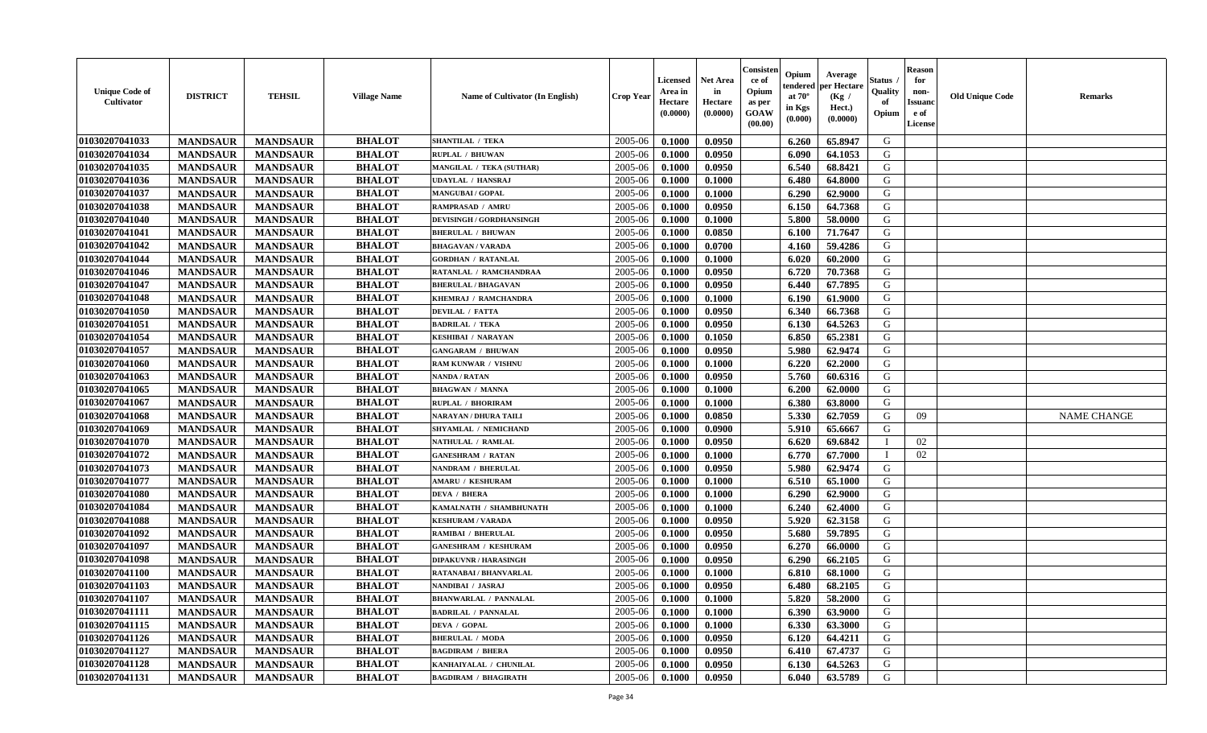| <b>Unique Code of</b><br><b>Cultivator</b> | <b>DISTRICT</b> | <b>TEHSIL</b>   | <b>Village Name</b> | Name of Cultivator (In English) | <b>Crop Year</b> | <b>Licensed</b><br>Area in<br>Hectare<br>(0.0000) | Net Area<br>in<br>Hectare<br>(0.0000) | Consister<br>ce of<br>Opium<br>as per<br><b>GOAW</b><br>(00.00) | Opium<br>endered<br>at $70^\circ$<br>in Kgs<br>(0.000) | Average<br>per Hectare<br>(Kg /<br>Hect.)<br>(0.0000) | Status<br>Quality<br>of<br>Opium | <b>Reason</b><br>for<br>non-<br><b>Issuand</b><br>e of<br><b>License</b> | <b>Old Unique Code</b> | <b>Remarks</b>     |
|--------------------------------------------|-----------------|-----------------|---------------------|---------------------------------|------------------|---------------------------------------------------|---------------------------------------|-----------------------------------------------------------------|--------------------------------------------------------|-------------------------------------------------------|----------------------------------|--------------------------------------------------------------------------|------------------------|--------------------|
| 01030207041033                             | <b>MANDSAUR</b> | <b>MANDSAUR</b> | <b>BHALOT</b>       | <b>SHANTILAL / TEKA</b>         | 2005-06          | 0.1000                                            | 0.0950                                |                                                                 | 6.260                                                  | 65.8947                                               | G                                |                                                                          |                        |                    |
| 01030207041034                             | <b>MANDSAUR</b> | <b>MANDSAUR</b> | <b>BHALOT</b>       | RUPLAL / BHUWAN                 | 2005-06          | 0.1000                                            | 0.0950                                |                                                                 | 6.090                                                  | 64.1053                                               | G                                |                                                                          |                        |                    |
| 01030207041035                             | <b>MANDSAUR</b> | <b>MANDSAUR</b> | <b>BHALOT</b>       | MANGILAL / TEKA (SUTHAR)        | 2005-06          | 0.1000                                            | 0.0950                                |                                                                 | 6.540                                                  | 68.8421                                               | G                                |                                                                          |                        |                    |
| 01030207041036                             | <b>MANDSAUR</b> | <b>MANDSAUR</b> | <b>BHALOT</b>       | <b>UDAYLAL / HANSRAJ</b>        | 2005-06          | 0.1000                                            | 0.1000                                |                                                                 | 6.480                                                  | 64.8000                                               | G                                |                                                                          |                        |                    |
| 01030207041037                             | <b>MANDSAUR</b> | <b>MANDSAUR</b> | <b>BHALOT</b>       | <b>MANGUBAI/GOPAL</b>           | 2005-06          | 0.1000                                            | 0.1000                                |                                                                 | 6.290                                                  | 62.9000                                               | G                                |                                                                          |                        |                    |
| 01030207041038                             | <b>MANDSAUR</b> | <b>MANDSAUR</b> | <b>BHALOT</b>       | RAMPRASAD / AMRU                | 2005-06          | 0.1000                                            | 0.0950                                |                                                                 | 6.150                                                  | 64.7368                                               | G                                |                                                                          |                        |                    |
| 01030207041040                             | <b>MANDSAUR</b> | <b>MANDSAUR</b> | <b>BHALOT</b>       | <b>DEVISINGH / GORDHANSINGH</b> | 2005-06          | 0.1000                                            | 0.1000                                |                                                                 | 5.800                                                  | 58.0000                                               | G                                |                                                                          |                        |                    |
| 01030207041041                             | <b>MANDSAUR</b> | <b>MANDSAUR</b> | <b>BHALOT</b>       | <b>BHERULAL / BHUWAN</b>        | 2005-06          | 0.1000                                            | 0.0850                                |                                                                 | 6.100                                                  | 71.7647                                               | ${\bf G}$                        |                                                                          |                        |                    |
| 01030207041042                             | <b>MANDSAUR</b> | <b>MANDSAUR</b> | <b>BHALOT</b>       | <b>BHAGAVAN / VARADA</b>        | 2005-06          | 0.1000                                            | 0.0700                                |                                                                 | 4.160                                                  | 59.4286                                               | G                                |                                                                          |                        |                    |
| 01030207041044                             | <b>MANDSAUR</b> | <b>MANDSAUR</b> | <b>BHALOT</b>       | <b>GORDHAN / RATANLAL</b>       | 2005-06          | 0.1000                                            | 0.1000                                |                                                                 | 6.020                                                  | 60.2000                                               | G                                |                                                                          |                        |                    |
| 01030207041046                             | <b>MANDSAUR</b> | <b>MANDSAUR</b> | <b>BHALOT</b>       | RATANLAL / RAMCHANDRAA          | 2005-06          | 0.1000                                            | 0.0950                                |                                                                 | 6.720                                                  | 70.7368                                               | G                                |                                                                          |                        |                    |
| 01030207041047                             | <b>MANDSAUR</b> | <b>MANDSAUR</b> | <b>BHALOT</b>       | <b>BHERULAL / BHAGAVAN</b>      | 2005-06          | 0.1000                                            | 0.0950                                |                                                                 | 6.440                                                  | 67.7895                                               | G                                |                                                                          |                        |                    |
| 01030207041048                             | <b>MANDSAUR</b> | <b>MANDSAUR</b> | <b>BHALOT</b>       | KHEMRAJ / RAMCHANDRA            | 2005-06          | 0.1000                                            | 0.1000                                |                                                                 | 6.190                                                  | 61.9000                                               | G                                |                                                                          |                        |                    |
| 01030207041050                             | <b>MANDSAUR</b> | <b>MANDSAUR</b> | <b>BHALOT</b>       | <b>DEVILAL / FATTA</b>          | 2005-06          | 0.1000                                            | 0.0950                                |                                                                 | 6.340                                                  | 66.7368                                               | G                                |                                                                          |                        |                    |
| 01030207041051                             | <b>MANDSAUR</b> | <b>MANDSAUR</b> | <b>BHALOT</b>       | <b>BADRILAL / TEKA</b>          | 2005-06          | 0.1000                                            | 0.0950                                |                                                                 | 6.130                                                  | 64.5263                                               | G                                |                                                                          |                        |                    |
| 01030207041054                             | <b>MANDSAUR</b> | <b>MANDSAUR</b> | <b>BHALOT</b>       | <b>KESHIBAI / NARAYAN</b>       | 2005-06          | 0.1000                                            | 0.1050                                |                                                                 | 6.850                                                  | 65.2381                                               | G                                |                                                                          |                        |                    |
| 01030207041057                             | <b>MANDSAUR</b> | <b>MANDSAUR</b> | <b>BHALOT</b>       | <b>GANGARAM / BHUWAN</b>        | 2005-06          | 0.1000                                            | 0.0950                                |                                                                 | 5.980                                                  | 62.9474                                               | G                                |                                                                          |                        |                    |
| 01030207041060                             | <b>MANDSAUR</b> | <b>MANDSAUR</b> | <b>BHALOT</b>       | RAM KUNWAR / VISHNU             | 2005-06          | 0.1000                                            | 0.1000                                |                                                                 | 6.220                                                  | 62.2000                                               | G                                |                                                                          |                        |                    |
| 01030207041063                             | <b>MANDSAUR</b> | <b>MANDSAUR</b> | <b>BHALOT</b>       | <b>NANDA / RATAN</b>            | 2005-06          | 0.1000                                            | 0.0950                                |                                                                 | 5.760                                                  | 60.6316                                               | G                                |                                                                          |                        |                    |
| 01030207041065                             | <b>MANDSAUR</b> | <b>MANDSAUR</b> | <b>BHALOT</b>       | <b>BHAGWAN / MANNA</b>          | 2005-06          | 0.1000                                            | 0.1000                                |                                                                 | 6.200                                                  | 62.0000                                               | G                                |                                                                          |                        |                    |
| 01030207041067                             | <b>MANDSAUR</b> | <b>MANDSAUR</b> | <b>BHALOT</b>       | RUPLAL / BHORIRAM               | 2005-06          | 0.1000                                            | 0.1000                                |                                                                 | 6.380                                                  | 63.8000                                               | G                                |                                                                          |                        |                    |
| 01030207041068                             | <b>MANDSAUR</b> | <b>MANDSAUR</b> | <b>BHALOT</b>       | <b>NARAYAN / DHURA TAILI</b>    | 2005-06          | 0.1000                                            | 0.0850                                |                                                                 | 5.330                                                  | 62.7059                                               | G                                | 09                                                                       |                        | <b>NAME CHANGE</b> |
| 01030207041069                             | <b>MANDSAUR</b> | <b>MANDSAUR</b> | <b>BHALOT</b>       | SHYAMLAL / NEMICHAND            | 2005-06          | 0.1000                                            | 0.0900                                |                                                                 | 5.910                                                  | 65.6667                                               | G                                |                                                                          |                        |                    |
| 01030207041070                             | <b>MANDSAUR</b> | <b>MANDSAUR</b> | <b>BHALOT</b>       | NATHULAL / RAMLAL               | 2005-06          | 0.1000                                            | 0.0950                                |                                                                 | 6.620                                                  | 69.6842                                               |                                  | 02                                                                       |                        |                    |
| 01030207041072                             | <b>MANDSAUR</b> | <b>MANDSAUR</b> | <b>BHALOT</b>       | <b>GANESHRAM / RATAN</b>        | 2005-06          | 0.1000                                            | 0.1000                                |                                                                 | 6.770                                                  | 67.7000                                               | <sup>1</sup>                     | 02                                                                       |                        |                    |
| 01030207041073                             | <b>MANDSAUR</b> | <b>MANDSAUR</b> | <b>BHALOT</b>       | <b>NANDRAM / BHERULAL</b>       | 2005-06          | 0.1000                                            | 0.0950                                |                                                                 | 5.980                                                  | 62.9474                                               | G                                |                                                                          |                        |                    |
| 01030207041077                             | <b>MANDSAUR</b> | <b>MANDSAUR</b> | <b>BHALOT</b>       | <b>AMARU / KESHURAM</b>         | 2005-06          | 0.1000                                            | 0.1000                                |                                                                 | 6.510                                                  | 65.1000                                               | G                                |                                                                          |                        |                    |
| 01030207041080                             | <b>MANDSAUR</b> | <b>MANDSAUR</b> | <b>BHALOT</b>       | <b>DEVA / BHERA</b>             | 2005-06          | 0.1000                                            | 0.1000                                |                                                                 | 6.290                                                  | 62.9000                                               | G                                |                                                                          |                        |                    |
| 01030207041084                             | <b>MANDSAUR</b> | <b>MANDSAUR</b> | <b>BHALOT</b>       | KAMALNATH / SHAMBHUNATH         | 2005-06          | 0.1000                                            | 0.1000                                |                                                                 | 6.240                                                  | 62.4000                                               | G                                |                                                                          |                        |                    |
| 01030207041088                             | <b>MANDSAUR</b> | <b>MANDSAUR</b> | <b>BHALOT</b>       | <b>KESHURAM / VARADA</b>        | 2005-06          | 0.1000                                            | 0.0950                                |                                                                 | 5.920                                                  | 62.3158                                               | G                                |                                                                          |                        |                    |
| 01030207041092                             | <b>MANDSAUR</b> | <b>MANDSAUR</b> | <b>BHALOT</b>       | <b>RAMIBAI / BHERULAL</b>       | 2005-06          | 0.1000                                            | 0.0950                                |                                                                 | 5.680                                                  | 59.7895                                               | G                                |                                                                          |                        |                    |
| 01030207041097                             | <b>MANDSAUR</b> | <b>MANDSAUR</b> | <b>BHALOT</b>       | <b>GANESHRAM / KESHURAM</b>     | 2005-06          | 0.1000                                            | 0.0950                                |                                                                 | 6.270                                                  | 66.0000                                               | ${\bf G}$                        |                                                                          |                        |                    |
| 01030207041098                             | <b>MANDSAUR</b> | <b>MANDSAUR</b> | <b>BHALOT</b>       | <b>DIPAKUVNR / HARASINGH</b>    | 2005-06          | 0.1000                                            | 0.0950                                |                                                                 | 6.290                                                  | 66.2105                                               | G                                |                                                                          |                        |                    |
| 01030207041100                             | <b>MANDSAUR</b> | <b>MANDSAUR</b> | <b>BHALOT</b>       | RATANABAI / BHANVARLAL          | 2005-06          | 0.1000                                            | 0.1000                                |                                                                 | 6.810                                                  | 68.1000                                               | G                                |                                                                          |                        |                    |
| 01030207041103                             | <b>MANDSAUR</b> | <b>MANDSAUR</b> | <b>BHALOT</b>       | NANDIBAI / JASRAJ               | 2005-06          | 0.1000                                            | 0.0950                                |                                                                 | 6.480                                                  | 68.2105                                               | G                                |                                                                          |                        |                    |
| 01030207041107                             | <b>MANDSAUR</b> | <b>MANDSAUR</b> | <b>BHALOT</b>       | <b>BHANWARLAL / PANNALAL</b>    | 2005-06          | 0.1000                                            | 0.1000                                |                                                                 | 5.820                                                  | 58.2000                                               | G                                |                                                                          |                        |                    |
| 01030207041111                             | <b>MANDSAUR</b> | <b>MANDSAUR</b> | <b>BHALOT</b>       | <b>BADRILAL / PANNALAL</b>      | 2005-06          | 0.1000                                            | 0.1000                                |                                                                 | 6.390                                                  | 63.9000                                               | G                                |                                                                          |                        |                    |
| 01030207041115                             | <b>MANDSAUR</b> | <b>MANDSAUR</b> | <b>BHALOT</b>       | <b>DEVA / GOPAL</b>             | 2005-06          | 0.1000                                            | 0.1000                                |                                                                 | 6.330                                                  | 63.3000                                               | G                                |                                                                          |                        |                    |
| 01030207041126                             | <b>MANDSAUR</b> | <b>MANDSAUR</b> | <b>BHALOT</b>       | <b>BHERULAL / MODA</b>          | 2005-06          | 0.1000                                            | 0.0950                                |                                                                 | 6.120                                                  | 64.4211                                               | G                                |                                                                          |                        |                    |
| 01030207041127                             | <b>MANDSAUR</b> | <b>MANDSAUR</b> | <b>BHALOT</b>       | <b>BAGDIRAM / BHERA</b>         | 2005-06          | 0.1000                                            | 0.0950                                |                                                                 | 6.410                                                  | 67.4737                                               | ${\bf G}$                        |                                                                          |                        |                    |
| 01030207041128                             | <b>MANDSAUR</b> | <b>MANDSAUR</b> | <b>BHALOT</b>       | KANHAIYALAL / CHUNILAL          | 2005-06          | 0.1000                                            | 0.0950                                |                                                                 | 6.130                                                  | 64.5263                                               | G                                |                                                                          |                        |                    |
| 01030207041131                             | <b>MANDSAUR</b> | <b>MANDSAUR</b> | <b>BHALOT</b>       | <b>BAGDIRAM / BHAGIRATH</b>     | 2005-06          | 0.1000                                            | 0.0950                                |                                                                 | 6.040                                                  | 63.5789                                               | G                                |                                                                          |                        |                    |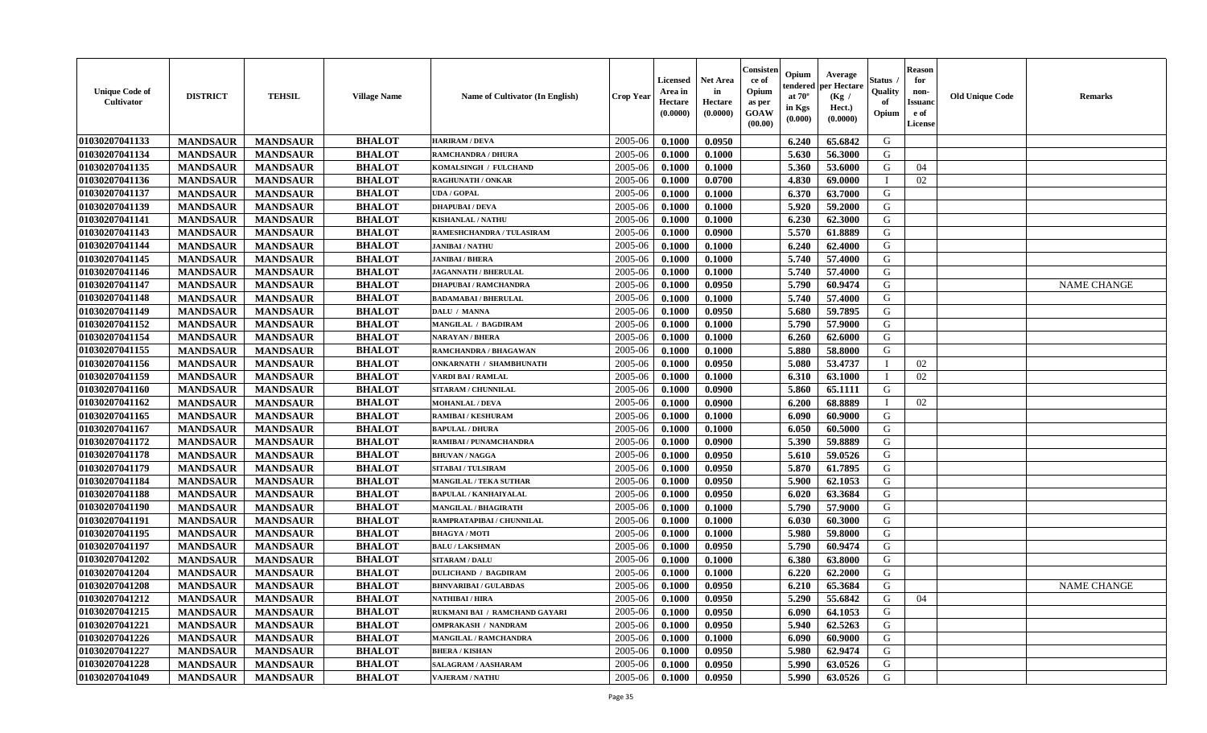| <b>Unique Code of</b><br>Cultivator | <b>DISTRICT</b> | <b>TEHSIL</b>   | <b>Village Name</b> | Name of Cultivator (In English) | <b>Crop Year</b> | <b>Licensed</b><br>Area in<br>Hectare<br>(0.0000) | <b>Net Area</b><br>in<br>Hectare<br>(0.0000) | Consister<br>ce of<br>Opium<br>as per<br><b>GOAW</b><br>(00.00) | Opium<br>endered<br>at $70^{\circ}$<br>in Kgs<br>(0.000) | Average<br>per Hectare<br>(Kg /<br>Hect.)<br>(0.0000) | <b>Status</b><br>Quality<br>of<br>Opium | <b>Reason</b><br>for<br>non-<br><b>Issuand</b><br>e of<br>License | <b>Old Unique Code</b> | <b>Remarks</b>     |
|-------------------------------------|-----------------|-----------------|---------------------|---------------------------------|------------------|---------------------------------------------------|----------------------------------------------|-----------------------------------------------------------------|----------------------------------------------------------|-------------------------------------------------------|-----------------------------------------|-------------------------------------------------------------------|------------------------|--------------------|
| 01030207041133                      | <b>MANDSAUR</b> | <b>MANDSAUR</b> | <b>BHALOT</b>       | <b>HARIRAM / DEVA</b>           | 2005-06          | 0.1000                                            | 0.0950                                       |                                                                 | 6.240                                                    | 65.6842                                               | G                                       |                                                                   |                        |                    |
| 01030207041134                      | <b>MANDSAUR</b> | <b>MANDSAUR</b> | <b>BHALOT</b>       | <b>RAMCHANDRA / DHURA</b>       | 2005-06          | 0.1000                                            | 0.1000                                       |                                                                 | 5.630                                                    | 56.3000                                               | G                                       |                                                                   |                        |                    |
| 01030207041135                      | <b>MANDSAUR</b> | <b>MANDSAUR</b> | <b>BHALOT</b>       | KOMALSINGH / FULCHAND           | 2005-06          | 0.1000                                            | 0.1000                                       |                                                                 | 5.360                                                    | 53.6000                                               | G                                       | 04                                                                |                        |                    |
| 01030207041136                      | <b>MANDSAUR</b> | <b>MANDSAUR</b> | <b>BHALOT</b>       | <b>RAGHUNATH / ONKAR</b>        | 2005-06          | 0.1000                                            | 0.0700                                       |                                                                 | 4.830                                                    | 69.0000                                               |                                         | 02                                                                |                        |                    |
| 01030207041137                      | <b>MANDSAUR</b> | <b>MANDSAUR</b> | <b>BHALOT</b>       | <b>UDA / GOPAL</b>              | 2005-06          | 0.1000                                            | 0.1000                                       |                                                                 | 6.370                                                    | 63.7000                                               | G                                       |                                                                   |                        |                    |
| 01030207041139                      | <b>MANDSAUR</b> | <b>MANDSAUR</b> | <b>BHALOT</b>       | <b>DHAPUBAI/DEVA</b>            | 2005-06          | 0.1000                                            | 0.1000                                       |                                                                 | 5.920                                                    | 59.2000                                               | G                                       |                                                                   |                        |                    |
| 01030207041141                      | <b>MANDSAUR</b> | <b>MANDSAUR</b> | <b>BHALOT</b>       | <b>KISHANLAL / NATHU</b>        | 2005-06          | 0.1000                                            | 0.1000                                       |                                                                 | 6.230                                                    | 62.3000                                               | G                                       |                                                                   |                        |                    |
| 01030207041143                      | <b>MANDSAUR</b> | <b>MANDSAUR</b> | <b>BHALOT</b>       | RAMESHCHANDRA / TULASIRAM       | 2005-06          | 0.1000                                            | 0.0900                                       |                                                                 | 5.570                                                    | 61.8889                                               | G                                       |                                                                   |                        |                    |
| 01030207041144                      | <b>MANDSAUR</b> | <b>MANDSAUR</b> | <b>BHALOT</b>       | <b>JANIBAI / NATHU</b>          | 2005-06          | 0.1000                                            | 0.1000                                       |                                                                 | 6.240                                                    | 62.4000                                               | G                                       |                                                                   |                        |                    |
| 01030207041145                      | <b>MANDSAUR</b> | <b>MANDSAUR</b> | <b>BHALOT</b>       | JANIBAI / BHERA                 | 2005-06          | 0.1000                                            | 0.1000                                       |                                                                 | 5.740                                                    | 57.4000                                               | G                                       |                                                                   |                        |                    |
| 01030207041146                      | <b>MANDSAUR</b> | <b>MANDSAUR</b> | <b>BHALOT</b>       | <b>JAGANNATH / BHERULAL</b>     | 2005-06          | 0.1000                                            | 0.1000                                       |                                                                 | 5.740                                                    | 57.4000                                               | G                                       |                                                                   |                        |                    |
| 01030207041147                      | <b>MANDSAUR</b> | <b>MANDSAUR</b> | <b>BHALOT</b>       | <b>DHAPUBAI/RAMCHANDRA</b>      | 2005-06          | 0.1000                                            | 0.0950                                       |                                                                 | 5.790                                                    | 60.9474                                               | G                                       |                                                                   |                        | <b>NAME CHANGE</b> |
| 01030207041148                      | <b>MANDSAUR</b> | <b>MANDSAUR</b> | <b>BHALOT</b>       | <b>BADAMABAI/BHERULAL</b>       | 2005-06          | 0.1000                                            | 0.1000                                       |                                                                 | 5.740                                                    | 57.4000                                               | G                                       |                                                                   |                        |                    |
| 01030207041149                      | <b>MANDSAUR</b> | <b>MANDSAUR</b> | <b>BHALOT</b>       | <b>DALU / MANNA</b>             | 2005-06          | 0.1000                                            | 0.0950                                       |                                                                 | 5.680                                                    | 59.7895                                               | G                                       |                                                                   |                        |                    |
| 01030207041152                      | <b>MANDSAUR</b> | <b>MANDSAUR</b> | <b>BHALOT</b>       | MANGILAL / BAGDIRAM             | 2005-06          | 0.1000                                            | 0.1000                                       |                                                                 | 5.790                                                    | 57.9000                                               | G                                       |                                                                   |                        |                    |
| 01030207041154                      | <b>MANDSAUR</b> | <b>MANDSAUR</b> | <b>BHALOT</b>       | NARAYAN / BHERA                 | 2005-06          | 0.1000                                            | 0.1000                                       |                                                                 | 6.260                                                    | 62.6000                                               | G                                       |                                                                   |                        |                    |
| 01030207041155                      | <b>MANDSAUR</b> | <b>MANDSAUR</b> | <b>BHALOT</b>       | RAMCHANDRA / BHAGAWAN           | 2005-06          | 0.1000                                            | 0.1000                                       |                                                                 | 5.880                                                    | 58.8000                                               | G                                       |                                                                   |                        |                    |
| 01030207041156                      | <b>MANDSAUR</b> | <b>MANDSAUR</b> | <b>BHALOT</b>       | <b>ONKARNATH / SHAMBHUNATH</b>  | 2005-06          | 0.1000                                            | 0.0950                                       |                                                                 | 5.080                                                    | 53,4737                                               |                                         | 02                                                                |                        |                    |
| 01030207041159                      | <b>MANDSAUR</b> | <b>MANDSAUR</b> | <b>BHALOT</b>       | <b>VARDI BAI / RAMLAL</b>       | 2005-06          | 0.1000                                            | 0.1000                                       |                                                                 | 6.310                                                    | 63.1000                                               |                                         | 02                                                                |                        |                    |
| 01030207041160                      | <b>MANDSAUR</b> | <b>MANDSAUR</b> | <b>BHALOT</b>       | <b>SITARAM / CHUNNILAL</b>      | 2005-06          | 0.1000                                            | 0.0900                                       |                                                                 | 5.860                                                    | 65.1111                                               | G                                       |                                                                   |                        |                    |
| 01030207041162                      | <b>MANDSAUR</b> | <b>MANDSAUR</b> | <b>BHALOT</b>       | <b>MOHANLAL / DEVA</b>          | 2005-06          | 0.1000                                            | 0.0900                                       |                                                                 | 6.200                                                    | 68.8889                                               |                                         | 02                                                                |                        |                    |
| 01030207041165                      | <b>MANDSAUR</b> | <b>MANDSAUR</b> | <b>BHALOT</b>       | <b>RAMIBAI / KESHURAM</b>       | 2005-06          | 0.1000                                            | 0.1000                                       |                                                                 | 6.090                                                    | 60.9000                                               | G                                       |                                                                   |                        |                    |
| 01030207041167                      | <b>MANDSAUR</b> | <b>MANDSAUR</b> | <b>BHALOT</b>       | <b>BAPULAL / DHURA</b>          | 2005-06          | 0.1000                                            | 0.1000                                       |                                                                 | 6.050                                                    | 60.5000                                               | G                                       |                                                                   |                        |                    |
| 01030207041172                      | <b>MANDSAUR</b> | <b>MANDSAUR</b> | <b>BHALOT</b>       | RAMIBAI / PUNAMCHANDRA          | 2005-06          | 0.1000                                            | 0.0900                                       |                                                                 | 5.390                                                    | 59.8889                                               | G                                       |                                                                   |                        |                    |
| 01030207041178                      | <b>MANDSAUR</b> | <b>MANDSAUR</b> | <b>BHALOT</b>       | <b>BHUVAN / NAGGA</b>           | 2005-06          | 0.1000                                            | 0.0950                                       |                                                                 | 5.610                                                    | 59.0526                                               | G                                       |                                                                   |                        |                    |
| 01030207041179                      | <b>MANDSAUR</b> | <b>MANDSAUR</b> | <b>BHALOT</b>       | <b>SITABAI / TULSIRAM</b>       | 2005-06          | 0.1000                                            | 0.0950                                       |                                                                 | 5.870                                                    | 61.7895                                               | G                                       |                                                                   |                        |                    |
| 01030207041184                      | <b>MANDSAUR</b> | <b>MANDSAUR</b> | <b>BHALOT</b>       | <b>MANGILAL / TEKA SUTHAR</b>   | 2005-06          | 0.1000                                            | 0.0950                                       |                                                                 | 5.900                                                    | 62.1053                                               | G                                       |                                                                   |                        |                    |
| 01030207041188                      | <b>MANDSAUR</b> | <b>MANDSAUR</b> | <b>BHALOT</b>       | <b>BAPULAL / KANHAIYALAL</b>    | 2005-06          | 0.1000                                            | 0.0950                                       |                                                                 | 6.020                                                    | 63.3684                                               | G                                       |                                                                   |                        |                    |
| 01030207041190                      | <b>MANDSAUR</b> | <b>MANDSAUR</b> | <b>BHALOT</b>       | <b>MANGILAL / BHAGIRATH</b>     | 2005-06          | 0.1000                                            | 0.1000                                       |                                                                 | 5.790                                                    | 57.9000                                               | G                                       |                                                                   |                        |                    |
| 01030207041191                      | <b>MANDSAUR</b> | <b>MANDSAUR</b> | <b>BHALOT</b>       | RAMPRATAPIBAI / CHUNNILAL       | 2005-06          | 0.1000                                            | 0.1000                                       |                                                                 | 6.030                                                    | 60.3000                                               | G                                       |                                                                   |                        |                    |
| 01030207041195                      | <b>MANDSAUR</b> | <b>MANDSAUR</b> | <b>BHALOT</b>       | <b>BHAGYA/MOTI</b>              | 2005-06          | 0.1000                                            | 0.1000                                       |                                                                 | 5.980                                                    | 59.8000                                               | G                                       |                                                                   |                        |                    |
| 01030207041197                      | <b>MANDSAUR</b> | <b>MANDSAUR</b> | <b>BHALOT</b>       | <b>BALU / LAKSHMAN</b>          | 2005-06          | 0.1000                                            | 0.0950                                       |                                                                 | 5.790                                                    | 60.9474                                               | G                                       |                                                                   |                        |                    |
| 01030207041202                      | <b>MANDSAUR</b> | <b>MANDSAUR</b> | <b>BHALOT</b>       | <b>SITARAM / DALU</b>           | 2005-06          | 0.1000                                            | 0.1000                                       |                                                                 | 6.380                                                    | 63.8000                                               | G                                       |                                                                   |                        |                    |
| 01030207041204                      | <b>MANDSAUR</b> | <b>MANDSAUR</b> | <b>BHALOT</b>       | <b>DULICHAND / BAGDIRAM</b>     | 2005-06          | 0.1000                                            | 0.1000                                       |                                                                 | 6.220                                                    | 62.2000                                               | G                                       |                                                                   |                        |                    |
| 01030207041208                      | <b>MANDSAUR</b> | <b>MANDSAUR</b> | <b>BHALOT</b>       | <b>BHNVARIBAI / GULABDAS</b>    | 2005-06          | 0.1000                                            | 0.0950                                       |                                                                 | 6.210                                                    | 65.3684                                               | G                                       |                                                                   |                        | <b>NAME CHANGE</b> |
| 01030207041212                      | <b>MANDSAUR</b> | MANDSAUR        | <b>BHALOT</b>       | NATHIBAI / HIRA                 | $2005 - 06$      | 0.1000                                            | 0.0950                                       |                                                                 |                                                          | $5.290 \pm 55.6842$                                   | G                                       | 04                                                                |                        |                    |
| 01030207041215                      | <b>MANDSAUR</b> | <b>MANDSAUR</b> | <b>BHALOT</b>       | RUKMANI BAI / RAMCHAND GAYARI   | 2005-06          | 0.1000                                            | 0.0950                                       |                                                                 | 6.090                                                    | 64.1053                                               | G                                       |                                                                   |                        |                    |
| 01030207041221                      | <b>MANDSAUR</b> | <b>MANDSAUR</b> | <b>BHALOT</b>       | <b>OMPRAKASH / NANDRAM</b>      | 2005-06          | 0.1000                                            | 0.0950                                       |                                                                 | 5.940                                                    | 62.5263                                               | G                                       |                                                                   |                        |                    |
| 01030207041226                      | <b>MANDSAUR</b> | <b>MANDSAUR</b> | <b>BHALOT</b>       | MANGILAL / RAMCHANDRA           | 2005-06          | 0.1000                                            | 0.1000                                       |                                                                 | 6.090                                                    | 60.9000                                               | G                                       |                                                                   |                        |                    |
| 01030207041227                      | <b>MANDSAUR</b> | <b>MANDSAUR</b> | <b>BHALOT</b>       | <b>BHERA / KISHAN</b>           | 2005-06          | 0.1000                                            | 0.0950                                       |                                                                 | 5.980                                                    | 62.9474                                               | G                                       |                                                                   |                        |                    |
| 01030207041228                      | <b>MANDSAUR</b> | <b>MANDSAUR</b> | <b>BHALOT</b>       | SALAGRAM / AASHARAM             | 2005-06          | 0.1000                                            | 0.0950                                       |                                                                 | 5.990                                                    | 63.0526                                               | G                                       |                                                                   |                        |                    |
| 01030207041049                      | <b>MANDSAUR</b> | <b>MANDSAUR</b> | <b>BHALOT</b>       | <b>VAJERAM / NATHU</b>          | 2005-06          | 0.1000                                            | 0.0950                                       |                                                                 | 5.990                                                    | 63.0526                                               | G                                       |                                                                   |                        |                    |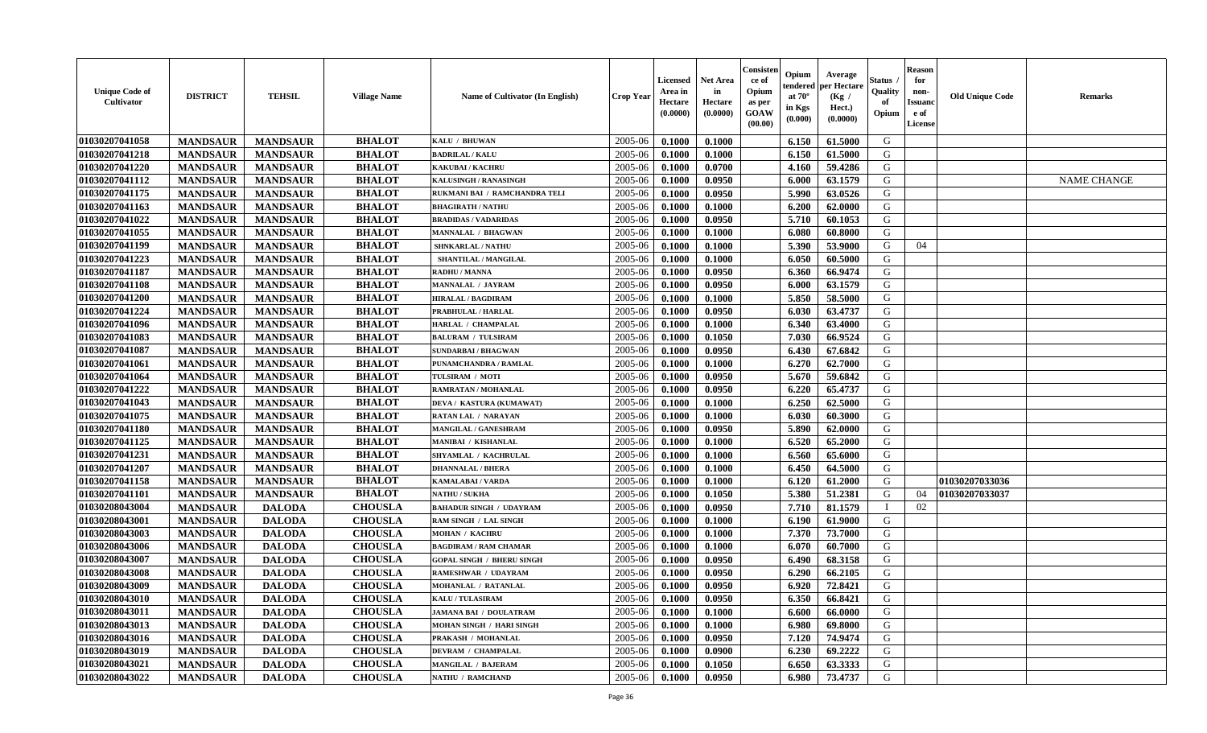| <b>Unique Code of</b><br>Cultivator | <b>DISTRICT</b> | <b>TEHSIL</b>   | <b>Village Name</b> | <b>Name of Cultivator (In English)</b> | <b>Crop Year</b> | Licensed<br>Area in<br>Hectare<br>(0.0000) | <b>Net Area</b><br>in<br>Hectare<br>(0.0000) | Consister<br>ce of<br>Opium<br>as per<br>GOAW<br>(00.00) | Opium<br>endered<br>at $70^\circ$<br>in Kgs<br>(0.000) | Average<br>per Hectare<br>(Kg /<br>Hect.)<br>(0.0000) | Status<br>Quality<br>of<br>Opium | <b>Reason</b><br>for<br>non-<br><b>Issuanc</b><br>e of<br>License | <b>Old Unique Code</b> | Remarks            |
|-------------------------------------|-----------------|-----------------|---------------------|----------------------------------------|------------------|--------------------------------------------|----------------------------------------------|----------------------------------------------------------|--------------------------------------------------------|-------------------------------------------------------|----------------------------------|-------------------------------------------------------------------|------------------------|--------------------|
| 01030207041058                      | <b>MANDSAUR</b> | <b>MANDSAUR</b> | <b>BHALOT</b>       | KALU / BHUWAN                          | 2005-06          | 0.1000                                     | 0.1000                                       |                                                          | 6.150                                                  | 61.5000                                               | G                                |                                                                   |                        |                    |
| 01030207041218                      | <b>MANDSAUR</b> | <b>MANDSAUR</b> | <b>BHALOT</b>       | <b>BADRILAL / KALU</b>                 | 2005-06          | 0.1000                                     | 0.1000                                       |                                                          | 6.150                                                  | 61.5000                                               | G                                |                                                                   |                        |                    |
| 01030207041220                      | <b>MANDSAUR</b> | <b>MANDSAUR</b> | <b>BHALOT</b>       | <b>KAKUBAI/KACHRU</b>                  | 2005-06          | 0.1000                                     | 0.0700                                       |                                                          | 4.160                                                  | 59.4286                                               | G                                |                                                                   |                        |                    |
| 01030207041112                      | <b>MANDSAUR</b> | <b>MANDSAUR</b> | <b>BHALOT</b>       | KALUSINGH / RANASINGH                  | 2005-06          | 0.1000                                     | 0.0950                                       |                                                          | 6.000                                                  | 63.1579                                               | G                                |                                                                   |                        | <b>NAME CHANGE</b> |
| 01030207041175                      | <b>MANDSAUR</b> | <b>MANDSAUR</b> | <b>BHALOT</b>       | RUKMANI BAI / RAMCHANDRA TELI          | 2005-06          | 0.1000                                     | 0.0950                                       |                                                          | 5.990                                                  | 63.0526                                               | G                                |                                                                   |                        |                    |
| 01030207041163                      | <b>MANDSAUR</b> | <b>MANDSAUR</b> | <b>BHALOT</b>       | <b>BHAGIRATH / NATHU</b>               | 2005-06          | 0.1000                                     | 0.1000                                       |                                                          | 6.200                                                  | 62.0000                                               | G                                |                                                                   |                        |                    |
| 01030207041022                      | <b>MANDSAUR</b> | <b>MANDSAUR</b> | <b>BHALOT</b>       | <b>BRADIDAS / VADARIDAS</b>            | 2005-06          | 0.1000                                     | 0.0950                                       |                                                          | 5.710                                                  | 60.1053                                               | G                                |                                                                   |                        |                    |
| 01030207041055                      | <b>MANDSAUR</b> | <b>MANDSAUR</b> | <b>BHALOT</b>       | <b>MANNALAL / BHAGWAN</b>              | 2005-06          | 0.1000                                     | 0.1000                                       |                                                          | 6.080                                                  | 60.8000                                               | G                                |                                                                   |                        |                    |
| 01030207041199                      | <b>MANDSAUR</b> | <b>MANDSAUR</b> | <b>BHALOT</b>       | SHNKARLAL / NATHU                      | 2005-06          | 0.1000                                     | 0.1000                                       |                                                          | 5.390                                                  | 53.9000                                               | G                                | 04                                                                |                        |                    |
| 01030207041223                      | <b>MANDSAUR</b> | <b>MANDSAUR</b> | <b>BHALOT</b>       | SHANTILAL / MANGILAL                   | 2005-06          | 0.1000                                     | 0.1000                                       |                                                          | 6.050                                                  | 60.5000                                               | G                                |                                                                   |                        |                    |
| 01030207041187                      | <b>MANDSAUR</b> | <b>MANDSAUR</b> | <b>BHALOT</b>       | <b>RADHU / MANNA</b>                   | 2005-06          | 0.1000                                     | 0.0950                                       |                                                          | 6.360                                                  | 66.9474                                               | G                                |                                                                   |                        |                    |
| 01030207041108                      | <b>MANDSAUR</b> | <b>MANDSAUR</b> | <b>BHALOT</b>       | <b>MANNALAL / JAYRAM</b>               | 2005-06          | 0.1000                                     | 0.0950                                       |                                                          | 6.000                                                  | 63.1579                                               | G                                |                                                                   |                        |                    |
| 01030207041200                      | <b>MANDSAUR</b> | <b>MANDSAUR</b> | <b>BHALOT</b>       | <b>HIRALAL / BAGDIRAM</b>              | 2005-06          | 0.1000                                     | 0.1000                                       |                                                          | 5.850                                                  | 58.5000                                               | G                                |                                                                   |                        |                    |
| 01030207041224                      | <b>MANDSAUR</b> | <b>MANDSAUR</b> | <b>BHALOT</b>       | PRABHULAL / HARLAL                     | 2005-06          | 0.1000                                     | 0.0950                                       |                                                          | 6.030                                                  | 63.4737                                               | G                                |                                                                   |                        |                    |
| 01030207041096                      | <b>MANDSAUR</b> | <b>MANDSAUR</b> | <b>BHALOT</b>       | HARLAL / CHAMPALAL                     | 2005-06          | 0.1000                                     | 0.1000                                       |                                                          | 6.340                                                  | 63.4000                                               | G                                |                                                                   |                        |                    |
| 01030207041083                      | <b>MANDSAUR</b> | <b>MANDSAUR</b> | <b>BHALOT</b>       | <b>BALURAM / TULSIRAM</b>              | 2005-06          | 0.1000                                     | 0.1050                                       |                                                          | 7.030                                                  | 66.9524                                               | G                                |                                                                   |                        |                    |
| 01030207041087                      | <b>MANDSAUR</b> | <b>MANDSAUR</b> | <b>BHALOT</b>       | <b>SUNDARBAI/BHAGWAN</b>               | 2005-06          | 0.1000                                     | 0.0950                                       |                                                          | 6.430                                                  | 67.6842                                               | G                                |                                                                   |                        |                    |
| 01030207041061                      | <b>MANDSAUR</b> | <b>MANDSAUR</b> | <b>BHALOT</b>       | PUNAMCHANDRA / RAMLAL                  | 2005-06          | 0.1000                                     | 0.1000                                       |                                                          | 6.270                                                  | 62.7000                                               | G                                |                                                                   |                        |                    |
| 01030207041064                      | <b>MANDSAUR</b> | <b>MANDSAUR</b> | <b>BHALOT</b>       | TULSIRAM / MOTI                        | 2005-06          | 0.1000                                     | 0.0950                                       |                                                          | 5.670                                                  | 59.6842                                               | G                                |                                                                   |                        |                    |
| 01030207041222                      | <b>MANDSAUR</b> | <b>MANDSAUR</b> | <b>BHALOT</b>       | RAMRATAN / MOHANLAL                    | 2005-06          | 0.1000                                     | 0.0950                                       |                                                          | 6.220                                                  | 65.4737                                               | G                                |                                                                   |                        |                    |
| 01030207041043                      | <b>MANDSAUR</b> | <b>MANDSAUR</b> | <b>BHALOT</b>       | DEVA / KASTURA (KUMAWAT)               | 2005-06          | 0.1000                                     | 0.1000                                       |                                                          | 6.250                                                  | 62.5000                                               | G                                |                                                                   |                        |                    |
| 01030207041075                      | <b>MANDSAUR</b> | <b>MANDSAUR</b> | <b>BHALOT</b>       | <b>RATAN LAL / NARAYAN</b>             | 2005-06          | 0.1000                                     | 0.1000                                       |                                                          | 6.030                                                  | 60.3000                                               | G                                |                                                                   |                        |                    |
| 01030207041180                      | <b>MANDSAUR</b> | <b>MANDSAUR</b> | <b>BHALOT</b>       | <b>MANGILAL / GANESHRAM</b>            | 2005-06          | 0.1000                                     | 0.0950                                       |                                                          | 5.890                                                  | 62.0000                                               | G                                |                                                                   |                        |                    |
| 01030207041125                      | <b>MANDSAUR</b> | <b>MANDSAUR</b> | <b>BHALOT</b>       | <b>MANIBAI / KISHANLAL</b>             | 2005-06          | 0.1000                                     | 0.1000                                       |                                                          | 6.520                                                  | 65.2000                                               | G                                |                                                                   |                        |                    |
| 01030207041231                      | <b>MANDSAUR</b> | <b>MANDSAUR</b> | <b>BHALOT</b>       | SHYAMLAL / KACHRULAL                   | 2005-06          | 0.1000                                     | 0.1000                                       |                                                          | 6.560                                                  | 65.6000                                               | G                                |                                                                   |                        |                    |
| 01030207041207                      | <b>MANDSAUR</b> | <b>MANDSAUR</b> | <b>BHALOT</b>       | <b>DHANNALAL / BHERA</b>               | 2005-06          | 0.1000                                     | 0.1000                                       |                                                          | 6.450                                                  | 64.5000                                               | G                                |                                                                   |                        |                    |
| 01030207041158                      | <b>MANDSAUR</b> | <b>MANDSAUR</b> | <b>BHALOT</b>       | <b>KAMALABAI/VARDA</b>                 | 2005-06          | 0.1000                                     | 0.1000                                       |                                                          | 6.120                                                  | 61.2000                                               | G                                |                                                                   | 01030207033036         |                    |
| 01030207041101                      | <b>MANDSAUR</b> | <b>MANDSAUR</b> | <b>BHALOT</b>       | NATHU / SUKHA                          | 2005-06          | 0.1000                                     | 0.1050                                       |                                                          | 5.380                                                  | 51.2381                                               | G                                | 04                                                                | 01030207033037         |                    |
| 01030208043004                      | <b>MANDSAUR</b> | <b>DALODA</b>   | <b>CHOUSLA</b>      | <b>BAHADUR SINGH / UDAYRAM</b>         | 2005-06          | 0.1000                                     | 0.0950                                       |                                                          | 7.710                                                  | 81.1579                                               | $\mathbf{I}$                     | 02                                                                |                        |                    |
| 01030208043001                      | <b>MANDSAUR</b> | <b>DALODA</b>   | <b>CHOUSLA</b>      | RAM SINGH / LAL SINGH                  | 2005-06          | 0.1000                                     | 0.1000                                       |                                                          | 6.190                                                  | 61.9000                                               | G                                |                                                                   |                        |                    |
| 01030208043003                      | <b>MANDSAUR</b> | <b>DALODA</b>   | <b>CHOUSLA</b>      | <b>MOHAN / KACHRU</b>                  | 2005-06          | 0.1000                                     | 0.1000                                       |                                                          | 7.370                                                  | 73.7000                                               | G                                |                                                                   |                        |                    |
| 01030208043006                      | <b>MANDSAUR</b> | <b>DALODA</b>   | <b>CHOUSLA</b>      | <b>BAGDIRAM / RAM CHAMAR</b>           | 2005-06          | 0.1000                                     | 0.1000                                       |                                                          | 6.070                                                  | 60.7000                                               | G                                |                                                                   |                        |                    |
| 01030208043007                      | <b>MANDSAUR</b> | <b>DALODA</b>   | <b>CHOUSLA</b>      | <b>GOPAL SINGH / BHERU SINGH</b>       | 2005-06          | 0.1000                                     | 0.0950                                       |                                                          | 6.490                                                  | 68.3158                                               | G                                |                                                                   |                        |                    |
| 01030208043008                      | <b>MANDSAUR</b> | <b>DALODA</b>   | <b>CHOUSLA</b>      | <b>RAMESHWAR / UDAYRAM</b>             | 2005-06          | 0.1000                                     | 0.0950                                       |                                                          | 6.290                                                  | 66.2105                                               | G                                |                                                                   |                        |                    |
| 01030208043009                      | <b>MANDSAUR</b> | <b>DALODA</b>   | <b>CHOUSLA</b>      | <b>MOHANLAL / RATANLAL</b>             | 2005-06          | 0.1000                                     | 0.0950                                       |                                                          | 6.920                                                  | 72.8421                                               | G                                |                                                                   |                        |                    |
| 01030208043010                      | <b>MANDSAUR</b> | <b>DALODA</b>   | <b>CHOUSLA</b>      | <b>KALU / TULASIRAM</b>                | 2005-06          | 0.1000                                     | 0.0950                                       |                                                          | 6.350                                                  | 66.8421                                               | G                                |                                                                   |                        |                    |
| 01030208043011                      | <b>MANDSAUR</b> | <b>DALODA</b>   | <b>CHOUSLA</b>      | <b>JAMANA BAI / DOULATRAM</b>          | 2005-06          | 0.1000                                     | 0.1000                                       |                                                          | 6.600                                                  | 66.0000                                               | G                                |                                                                   |                        |                    |
| 01030208043013                      | <b>MANDSAUR</b> | <b>DALODA</b>   | <b>CHOUSLA</b>      | <b>MOHAN SINGH / HARI SINGH</b>        | 2005-06          | 0.1000                                     | 0.1000                                       |                                                          | 6.980                                                  | 69.8000                                               | G                                |                                                                   |                        |                    |
| 01030208043016                      | <b>MANDSAUR</b> | <b>DALODA</b>   | <b>CHOUSLA</b>      | PRAKASH / MOHANLAL                     | 2005-06          | 0.1000                                     | 0.0950                                       |                                                          | 7.120                                                  | 74.9474                                               | G                                |                                                                   |                        |                    |
| 01030208043019                      | <b>MANDSAUR</b> | <b>DALODA</b>   | <b>CHOUSLA</b>      | <b>DEVRAM / CHAMPALAL</b>              | 2005-06          | 0.1000                                     | 0.0900                                       |                                                          | 6.230                                                  | 69.2222                                               | G                                |                                                                   |                        |                    |
| 01030208043021                      | <b>MANDSAUR</b> | <b>DALODA</b>   | <b>CHOUSLA</b>      | <b>MANGILAL / BAJERAM</b>              | 2005-06          | 0.1000                                     | 0.1050                                       |                                                          | 6.650                                                  | 63.3333                                               | G                                |                                                                   |                        |                    |
| 01030208043022                      | <b>MANDSAUR</b> | <b>DALODA</b>   | <b>CHOUSLA</b>      | <b>NATHU / RAMCHAND</b>                | 2005-06          | 0.1000                                     | 0.0950                                       |                                                          | 6.980                                                  | 73.4737                                               | G                                |                                                                   |                        |                    |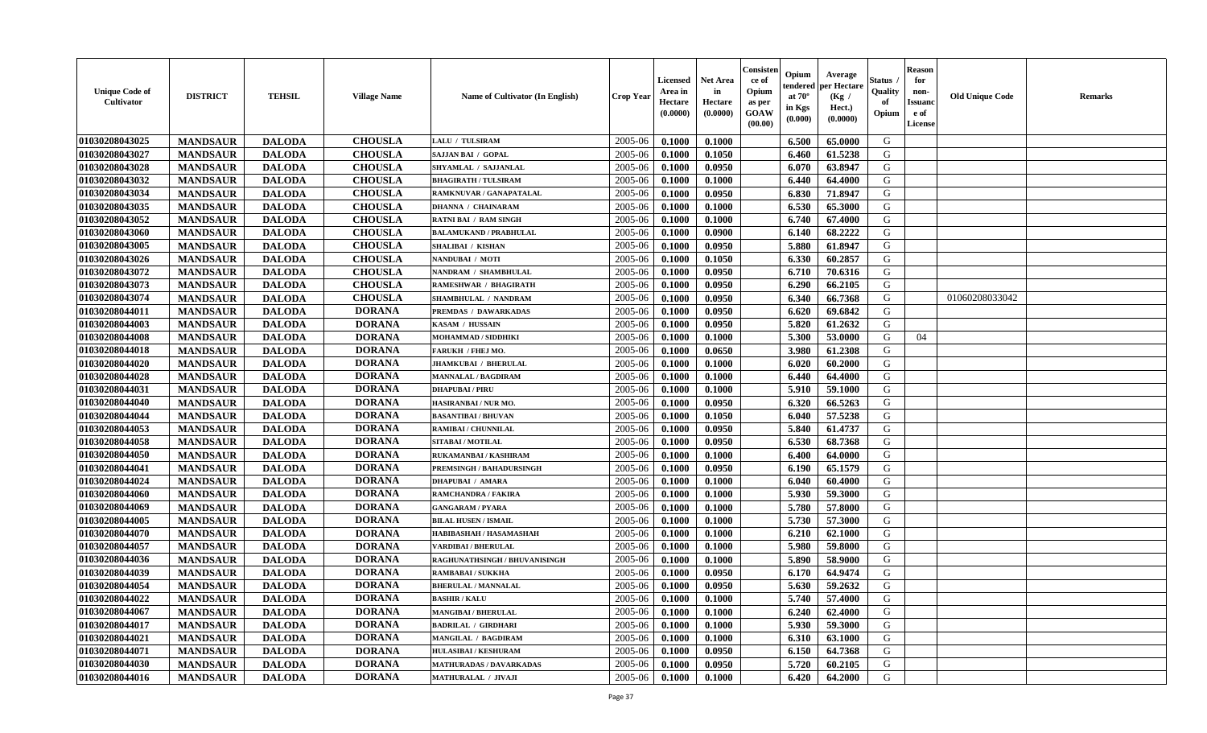| <b>Unique Code of</b><br><b>Cultivator</b> | <b>DISTRICT</b> | <b>TEHSIL</b> | <b>Village Name</b> | Name of Cultivator (In English) | <b>Crop Year</b> | <b>Licensed</b><br>Area in<br>Hectare<br>(0.0000) | <b>Net Area</b><br>in<br>Hectare<br>(0.0000) | Consister<br>ce of<br>Opium<br>as per<br><b>GOAW</b><br>(00.00) | Opium<br>endered<br>at $70^\circ$<br>in Kgs<br>(0.000) | Average<br>per Hectare<br>(Kg)<br>Hect.)<br>(0.0000) | Status<br>Quality<br>of<br>Opium | <b>Reason</b><br>for<br>non-<br><b>Issuand</b><br>e of<br><b>License</b> | <b>Old Unique Code</b> | <b>Remarks</b> |
|--------------------------------------------|-----------------|---------------|---------------------|---------------------------------|------------------|---------------------------------------------------|----------------------------------------------|-----------------------------------------------------------------|--------------------------------------------------------|------------------------------------------------------|----------------------------------|--------------------------------------------------------------------------|------------------------|----------------|
| 01030208043025                             | <b>MANDSAUR</b> | <b>DALODA</b> | <b>CHOUSLA</b>      | LALU / TULSIRAM                 | 2005-06          | 0.1000                                            | 0.1000                                       |                                                                 | 6.500                                                  | 65.0000                                              | G                                |                                                                          |                        |                |
| 01030208043027                             | <b>MANDSAUR</b> | <b>DALODA</b> | <b>CHOUSLA</b>      | SAJJAN BAI / GOPAL              | 2005-06          | 0.1000                                            | 0.1050                                       |                                                                 | 6.460                                                  | 61.5238                                              | G                                |                                                                          |                        |                |
| 01030208043028                             | <b>MANDSAUR</b> | <b>DALODA</b> | <b>CHOUSLA</b>      | SHYAMLAL / SAJJANLAL            | 2005-06          | 0.1000                                            | 0.0950                                       |                                                                 | 6.070                                                  | 63.8947                                              | G                                |                                                                          |                        |                |
| 01030208043032                             | <b>MANDSAUR</b> | <b>DALODA</b> | <b>CHOUSLA</b>      | <b>BHAGIRATH / TULSIRAM</b>     | 2005-06          | 0.1000                                            | 0.1000                                       |                                                                 | 6.440                                                  | 64.4000                                              | G                                |                                                                          |                        |                |
| 01030208043034                             | <b>MANDSAUR</b> | <b>DALODA</b> | <b>CHOUSLA</b>      | RAMKNUVAR / GANAPATALAL         | 2005-06          | 0.1000                                            | 0.0950                                       |                                                                 | 6.830                                                  | 71.8947                                              | G                                |                                                                          |                        |                |
| 01030208043035                             | <b>MANDSAUR</b> | <b>DALODA</b> | <b>CHOUSLA</b>      | <b>DHANNA / CHAINARAM</b>       | 2005-06          | 0.1000                                            | 0.1000                                       |                                                                 | 6.530                                                  | 65.3000                                              | G                                |                                                                          |                        |                |
| 01030208043052                             | <b>MANDSAUR</b> | <b>DALODA</b> | <b>CHOUSLA</b>      | <b>RATNI BAI / RAM SINGH</b>    | 2005-06          | 0.1000                                            | 0.1000                                       |                                                                 | 6.740                                                  | 67.4000                                              | G                                |                                                                          |                        |                |
| 01030208043060                             | <b>MANDSAUR</b> | <b>DALODA</b> | <b>CHOUSLA</b>      | <b>BALAMUKAND / PRABHULAL</b>   | 2005-06          | 0.1000                                            | 0.0900                                       |                                                                 | 6.140                                                  | 68.2222                                              | G                                |                                                                          |                        |                |
| 01030208043005                             | <b>MANDSAUR</b> | <b>DALODA</b> | <b>CHOUSLA</b>      | <b>SHALIBAI / KISHAN</b>        | 2005-06          | 0.1000                                            | 0.0950                                       |                                                                 | 5.880                                                  | 61.8947                                              | G                                |                                                                          |                        |                |
| 01030208043026                             | <b>MANDSAUR</b> | <b>DALODA</b> | <b>CHOUSLA</b>      | NANDUBAI / MOTI                 | 2005-06          | 0.1000                                            | 0.1050                                       |                                                                 | 6.330                                                  | 60.2857                                              | G                                |                                                                          |                        |                |
| 01030208043072                             | <b>MANDSAUR</b> | <b>DALODA</b> | <b>CHOUSLA</b>      | NANDRAM / SHAMBHULAL            | 2005-06          | 0.1000                                            | 0.0950                                       |                                                                 | 6.710                                                  | 70.6316                                              | G                                |                                                                          |                        |                |
| 01030208043073                             | <b>MANDSAUR</b> | <b>DALODA</b> | <b>CHOUSLA</b>      | <b>RAMESHWAR / BHAGIRATH</b>    | 2005-06          | 0.1000                                            | 0.0950                                       |                                                                 | 6.290                                                  | 66.2105                                              | G                                |                                                                          |                        |                |
| 01030208043074                             | <b>MANDSAUR</b> | <b>DALODA</b> | <b>CHOUSLA</b>      | SHAMBHULAL / NANDRAM            | 2005-06          | 0.1000                                            | 0.0950                                       |                                                                 | 6.340                                                  | 66.7368                                              | G                                |                                                                          | 01060208033042         |                |
| 01030208044011                             | <b>MANDSAUR</b> | <b>DALODA</b> | <b>DORANA</b>       | PREMDAS / DAWARKADAS            | 2005-06          | 0.1000                                            | 0.0950                                       |                                                                 | 6.620                                                  | 69.6842                                              | G                                |                                                                          |                        |                |
| 01030208044003                             | <b>MANDSAUR</b> | <b>DALODA</b> | <b>DORANA</b>       | KASAM / HUSSAIN                 | 2005-06          | 0.1000                                            | 0.0950                                       |                                                                 | 5.820                                                  | 61.2632                                              | G                                |                                                                          |                        |                |
| 01030208044008                             | <b>MANDSAUR</b> | <b>DALODA</b> | <b>DORANA</b>       | MOHAMMAD / SIDDHIKI             | 2005-06          | 0.1000                                            | 0.1000                                       |                                                                 | 5.300                                                  | 53.0000                                              | G                                | 04                                                                       |                        |                |
| 01030208044018                             | <b>MANDSAUR</b> | <b>DALODA</b> | <b>DORANA</b>       | <b>FARUKH / FHEJ MO.</b>        | 2005-06          | 0.1000                                            | 0.0650                                       |                                                                 | 3.980                                                  | 61.2308                                              | G                                |                                                                          |                        |                |
| 01030208044020                             | <b>MANDSAUR</b> | <b>DALODA</b> | <b>DORANA</b>       | <b>JHAMKUBAI / BHERULAL</b>     | 2005-06          | 0.1000                                            | 0.1000                                       |                                                                 | 6.020                                                  | 60.2000                                              | G                                |                                                                          |                        |                |
| 01030208044028                             | <b>MANDSAUR</b> | <b>DALODA</b> | <b>DORANA</b>       | <b>MANNALAL / BAGDIRAM</b>      | 2005-06          | 0.1000                                            | 0.1000                                       |                                                                 | 6.440                                                  | 64.4000                                              | G                                |                                                                          |                        |                |
| 01030208044031                             | <b>MANDSAUR</b> | <b>DALODA</b> | <b>DORANA</b>       | <b>DHAPUBAI/PIRU</b>            | 2005-06          | 0.1000                                            | 0.1000                                       |                                                                 | 5.910                                                  | 59.1000                                              | G                                |                                                                          |                        |                |
| 01030208044040                             | <b>MANDSAUR</b> | <b>DALODA</b> | <b>DORANA</b>       | HASIRANBAI / NUR MO.            | 2005-06          | 0.1000                                            | 0.0950                                       |                                                                 | 6.320                                                  | 66.5263                                              | G                                |                                                                          |                        |                |
| 01030208044044                             | <b>MANDSAUR</b> | <b>DALODA</b> | <b>DORANA</b>       | <b>BASANTIBAI/BHUVAN</b>        | 2005-06          | 0.1000                                            | 0.1050                                       |                                                                 | 6.040                                                  | 57.5238                                              | G                                |                                                                          |                        |                |
| 01030208044053                             | <b>MANDSAUR</b> | <b>DALODA</b> | <b>DORANA</b>       | RAMIBAI / CHUNNILAL             | 2005-06          | 0.1000                                            | 0.0950                                       |                                                                 | 5.840                                                  | 61.4737                                              | G                                |                                                                          |                        |                |
| 01030208044058                             | <b>MANDSAUR</b> | <b>DALODA</b> | <b>DORANA</b>       | SITABAI / MOTILAL               | 2005-06          | 0.1000                                            | 0.0950                                       |                                                                 | 6.530                                                  | 68.7368                                              | G                                |                                                                          |                        |                |
| 01030208044050                             | <b>MANDSAUR</b> | <b>DALODA</b> | <b>DORANA</b>       | RUKAMANBAI / KASHIRAM           | 2005-06          | 0.1000                                            | 0.1000                                       |                                                                 | 6.400                                                  | 64.0000                                              | G                                |                                                                          |                        |                |
| 01030208044041                             | <b>MANDSAUR</b> | <b>DALODA</b> | <b>DORANA</b>       | <b>PREMSINGH / BAHADURSINGH</b> | 2005-06          | 0.1000                                            | 0.0950                                       |                                                                 | 6.190                                                  | 65.1579                                              | G                                |                                                                          |                        |                |
| 01030208044024                             | <b>MANDSAUR</b> | <b>DALODA</b> | <b>DORANA</b>       | <b>DHAPUBAI / AMARA</b>         | 2005-06          | 0.1000                                            | 0.1000                                       |                                                                 | 6.040                                                  | 60.4000                                              | G                                |                                                                          |                        |                |
| 01030208044060                             | <b>MANDSAUR</b> | <b>DALODA</b> | <b>DORANA</b>       | <b>RAMCHANDRA / FAKIRA</b>      | 2005-06          | 0.1000                                            | 0.1000                                       |                                                                 | 5.930                                                  | 59.3000                                              | G                                |                                                                          |                        |                |
| 01030208044069                             | <b>MANDSAUR</b> | <b>DALODA</b> | <b>DORANA</b>       | <b>GANGARAM / PYARA</b>         | 2005-06          | 0.1000                                            | 0.1000                                       |                                                                 | 5.780                                                  | 57.8000                                              | G                                |                                                                          |                        |                |
| 01030208044005                             | <b>MANDSAUR</b> | <b>DALODA</b> | <b>DORANA</b>       | <b>BILAL HUSEN / ISMAIL</b>     | 2005-06          | 0.1000                                            | 0.1000                                       |                                                                 | 5.730                                                  | 57.3000                                              | G                                |                                                                          |                        |                |
| 01030208044070                             | <b>MANDSAUR</b> | <b>DALODA</b> | <b>DORANA</b>       | HABIBASHAH / HASAMASHAH         | 2005-06          | 0.1000                                            | 0.1000                                       |                                                                 | 6.210                                                  | 62.1000                                              | G                                |                                                                          |                        |                |
| 01030208044057                             | <b>MANDSAUR</b> | <b>DALODA</b> | <b>DORANA</b>       | <b>VARDIBAI / BHERULAL</b>      | 2005-06          | 0.1000                                            | 0.1000                                       |                                                                 | 5.980                                                  | 59.8000                                              | G                                |                                                                          |                        |                |
| 01030208044036                             | <b>MANDSAUR</b> | <b>DALODA</b> | <b>DORANA</b>       | RAGHUNATHSINGH / BHUVANISINGH   | 2005-06          | 0.1000                                            | 0.1000                                       |                                                                 | 5.890                                                  | 58.9000                                              | G                                |                                                                          |                        |                |
| 01030208044039                             | <b>MANDSAUR</b> | <b>DALODA</b> | <b>DORANA</b>       | <b>RAMBABAI/SUKKHA</b>          | 2005-06          | 0.1000                                            | 0.0950                                       |                                                                 | 6.170                                                  | 64.9474                                              | G                                |                                                                          |                        |                |
| 01030208044054                             | <b>MANDSAUR</b> | <b>DALODA</b> | <b>DORANA</b>       | <b>BHERULAL / MANNALAL</b>      | 2005-06          | 0.1000                                            | 0.0950                                       |                                                                 | 5.630                                                  | 59.2632                                              | G                                |                                                                          |                        |                |
| 01030208044022                             | <b>MANDSAUR</b> | <b>DALODA</b> | <b>DORANA</b>       | <b>BASHIR / KALU</b>            | 2005-06          | 0.1000                                            | 0.1000                                       |                                                                 | 5.740                                                  | 57.4000                                              | G                                |                                                                          |                        |                |
| 01030208044067                             | <b>MANDSAUR</b> | <b>DALODA</b> | <b>DORANA</b>       | <b>MANGIBAI / BHERULAL</b>      | 2005-06          | 0.1000                                            | 0.1000                                       |                                                                 | 6.240                                                  | 62.4000                                              | G                                |                                                                          |                        |                |
| 01030208044017                             | <b>MANDSAUR</b> | <b>DALODA</b> | <b>DORANA</b>       | <b>BADRILAL / GIRDHARI</b>      | 2005-06          | 0.1000                                            | 0.1000                                       |                                                                 | 5.930                                                  | 59.3000                                              | G                                |                                                                          |                        |                |
| 01030208044021                             | <b>MANDSAUR</b> | <b>DALODA</b> | <b>DORANA</b>       | MANGILAL / BAGDIRAM             | 2005-06          | 0.1000                                            | 0.1000                                       |                                                                 | 6.310                                                  | 63.1000                                              | G                                |                                                                          |                        |                |
| 01030208044071                             | <b>MANDSAUR</b> | <b>DALODA</b> | <b>DORANA</b>       | <b>HULASIBAI / KESHURAM</b>     | 2005-06          | 0.1000                                            | 0.0950                                       |                                                                 | 6.150                                                  | 64.7368                                              | ${\bf G}$                        |                                                                          |                        |                |
| 01030208044030                             | <b>MANDSAUR</b> | <b>DALODA</b> | <b>DORANA</b>       | <b>MATHURADAS / DAVARKADAS</b>  | 2005-06          | 0.1000                                            | 0.0950                                       |                                                                 | 5.720                                                  | 60.2105                                              | G                                |                                                                          |                        |                |
| 01030208044016                             | <b>MANDSAUR</b> | <b>DALODA</b> | <b>DORANA</b>       | <b>MATHURALAL / JIVAJI</b>      | 2005-06          | 0.1000                                            | 0.1000                                       |                                                                 | 6.420                                                  | 64.2000                                              | G                                |                                                                          |                        |                |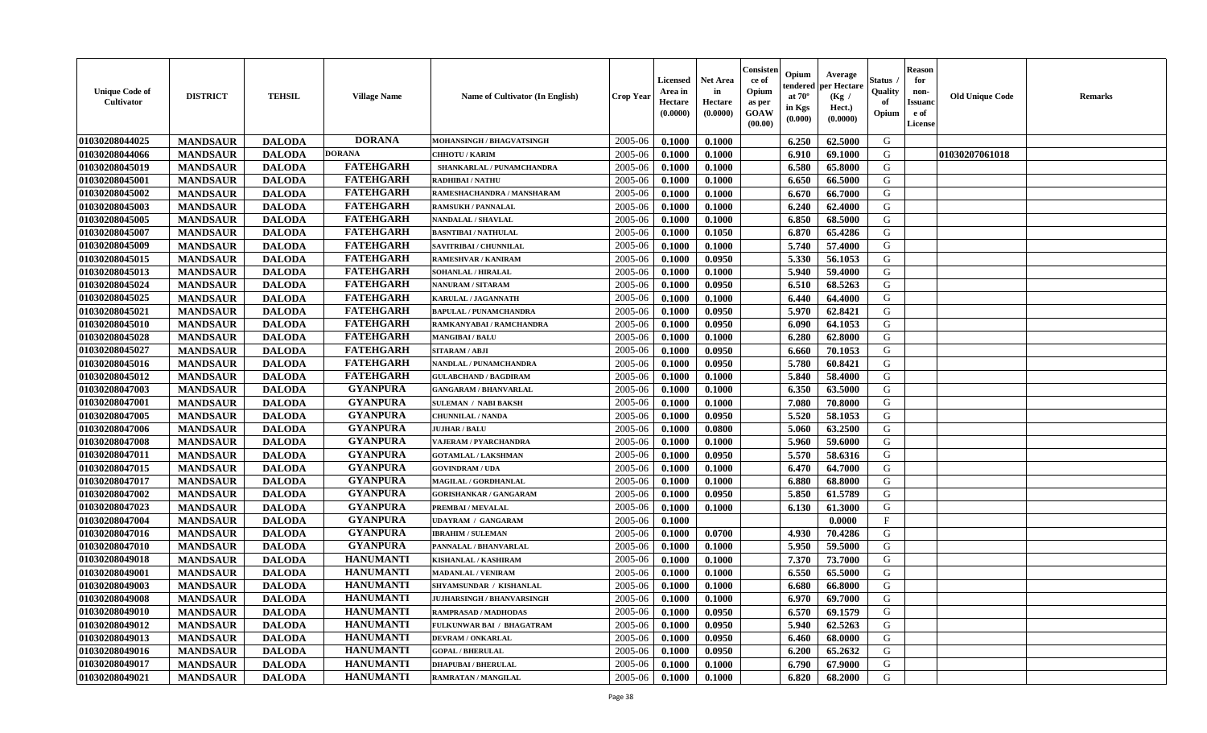| <b>Unique Code of</b><br><b>Cultivator</b> | <b>DISTRICT</b> | <b>TEHSIL</b> | <b>Village Name</b> | Name of Cultivator (In English)   | <b>Crop Year</b> | <b>Licensed</b><br>Area in<br>Hectare<br>(0.0000) | <b>Net Area</b><br>in<br>Hectare<br>(0.0000) | Consisteı<br>ce of<br>Opium<br>as per<br><b>GOAW</b><br>(00.00) | Opium<br>endered<br>at $70^\circ$<br>in Kgs<br>$(\mathbf{0.000})$ | Average<br>per Hectare<br>(Kg /<br>Hect.)<br>(0.0000) | Status<br>Quality<br>of<br>Opium | Reason<br>for<br>non-<br>Issuan<br>e of<br><b>License</b> | <b>Old Unique Code</b> | <b>Remarks</b> |
|--------------------------------------------|-----------------|---------------|---------------------|-----------------------------------|------------------|---------------------------------------------------|----------------------------------------------|-----------------------------------------------------------------|-------------------------------------------------------------------|-------------------------------------------------------|----------------------------------|-----------------------------------------------------------|------------------------|----------------|
| 01030208044025                             | <b>MANDSAUR</b> | <b>DALODA</b> | <b>DORANA</b>       | MOHANSINGH / BHAGVATSINGH         | 2005-06          | 0.1000                                            | 0.1000                                       |                                                                 | 6.250                                                             | 62.5000                                               | G                                |                                                           |                        |                |
| 01030208044066                             | <b>MANDSAUR</b> | <b>DALODA</b> | <b>DORANA</b>       | <b>CHHOTU / KARIM</b>             | 2005-06          | 0.1000                                            | 0.1000                                       |                                                                 | 6.910                                                             | 69.1000                                               | G                                |                                                           | 01030207061018         |                |
| 01030208045019                             | <b>MANDSAUR</b> | <b>DALODA</b> | <b>FATEHGARH</b>    | SHANKARLAL / PUNAMCHANDRA         | 2005-06          | 0.1000                                            | 0.1000                                       |                                                                 | 6.580                                                             | 65.8000                                               | G                                |                                                           |                        |                |
| 01030208045001                             | <b>MANDSAUR</b> | <b>DALODA</b> | <b>FATEHGARH</b>    | <b>RADHIBAI / NATHU</b>           | 2005-06          | 0.1000                                            | 0.1000                                       |                                                                 | 6.650                                                             | 66.5000                                               | G                                |                                                           |                        |                |
| 01030208045002                             | <b>MANDSAUR</b> | <b>DALODA</b> | <b>FATEHGARH</b>    | RAMESHACHANDRA / MANSHARAM        | 2005-06          | 0.1000                                            | 0.1000                                       |                                                                 | 6.670                                                             | 66.7000                                               | G                                |                                                           |                        |                |
| 01030208045003                             | <b>MANDSAUR</b> | <b>DALODA</b> | <b>FATEHGARH</b>    | <b>RAMSUKH / PANNALAL</b>         | 2005-06          | 0.1000                                            | 0.1000                                       |                                                                 | 6.240                                                             | 62.4000                                               | G                                |                                                           |                        |                |
| 01030208045005                             | <b>MANDSAUR</b> | <b>DALODA</b> | <b>FATEHGARH</b>    | <b>NANDALAL / SHAVLAL</b>         | 2005-06          | 0.1000                                            | 0.1000                                       |                                                                 | 6.850                                                             | 68.5000                                               | G                                |                                                           |                        |                |
| 01030208045007                             | <b>MANDSAUR</b> | <b>DALODA</b> | <b>FATEHGARH</b>    | <b>BASNTIBAI / NATHULAL</b>       | 2005-06          | 0.1000                                            | 0.1050                                       |                                                                 | 6.870                                                             | 65.4286                                               | G                                |                                                           |                        |                |
| 01030208045009                             | <b>MANDSAUR</b> | <b>DALODA</b> | <b>FATEHGARH</b>    | SAVITRIBAI / CHUNNILAL            | 2005-06          | 0.1000                                            | 0.1000                                       |                                                                 | 5.740                                                             | 57.4000                                               | G                                |                                                           |                        |                |
| 01030208045015                             | <b>MANDSAUR</b> | <b>DALODA</b> | <b>FATEHGARH</b>    | RAMESHVAR / KANIRAM               | 2005-06          | 0.1000                                            | 0.0950                                       |                                                                 | 5.330                                                             | 56.1053                                               | G                                |                                                           |                        |                |
| 01030208045013                             | <b>MANDSAUR</b> | <b>DALODA</b> | <b>FATEHGARH</b>    | SOHANLAL / HIRALAL                | 2005-06          | 0.1000                                            | 0.1000                                       |                                                                 | 5.940                                                             | 59.4000                                               | G                                |                                                           |                        |                |
| 01030208045024                             | <b>MANDSAUR</b> | <b>DALODA</b> | <b>FATEHGARH</b>    | <b>NANURAM / SITARAM</b>          | 2005-06          | 0.1000                                            | 0.0950                                       |                                                                 | 6.510                                                             | 68.5263                                               | G                                |                                                           |                        |                |
| 01030208045025                             | <b>MANDSAUR</b> | <b>DALODA</b> | <b>FATEHGARH</b>    | KARULAL / JAGANNATH               | 2005-06          | 0.1000                                            | 0.1000                                       |                                                                 | 6.440                                                             | 64.4000                                               | G                                |                                                           |                        |                |
| 01030208045021                             | <b>MANDSAUR</b> | <b>DALODA</b> | <b>FATEHGARH</b>    | <b>BAPULAL / PUNAMCHANDRA</b>     | 2005-06          | 0.1000                                            | 0.0950                                       |                                                                 | 5.970                                                             | 62.8421                                               | G                                |                                                           |                        |                |
| 01030208045010                             | <b>MANDSAUR</b> | <b>DALODA</b> | <b>FATEHGARH</b>    | RAMKANYABAI / RAMCHANDRA          | 2005-06          | 0.1000                                            | 0.0950                                       |                                                                 | 6.090                                                             | 64.1053                                               | G                                |                                                           |                        |                |
| 01030208045028                             | <b>MANDSAUR</b> | <b>DALODA</b> | <b>FATEHGARH</b>    | <b>MANGIBAI/BALU</b>              | 2005-06          | 0.1000                                            | 0.1000                                       |                                                                 | 6.280                                                             | 62.8000                                               | G                                |                                                           |                        |                |
| 01030208045027                             | <b>MANDSAUR</b> | <b>DALODA</b> | <b>FATEHGARH</b>    | <b>SITARAM / ABJI</b>             | 2005-06          | 0.1000                                            | 0.0950                                       |                                                                 | 6.660                                                             | 70.1053                                               | G                                |                                                           |                        |                |
| 01030208045016                             | <b>MANDSAUR</b> | <b>DALODA</b> | <b>FATEHGARH</b>    | NANDLAL / PUNAMCHANDRA            | 2005-06          | 0.1000                                            | 0.0950                                       |                                                                 | 5.780                                                             | 60.8421                                               | G                                |                                                           |                        |                |
| 01030208045012                             | <b>MANDSAUR</b> | <b>DALODA</b> | <b>FATEHGARH</b>    | <b>GULABCHAND / BAGDIRAM</b>      | 2005-06          | 0.1000                                            | 0.1000                                       |                                                                 | 5.840                                                             | 58.4000                                               | G                                |                                                           |                        |                |
| 01030208047003                             | <b>MANDSAUR</b> | <b>DALODA</b> | <b>GYANPURA</b>     | <b>GANGARAM / BHANVARLAL</b>      | 2005-06          | 0.1000                                            | 0.1000                                       |                                                                 | 6.350                                                             | 63.5000                                               | G                                |                                                           |                        |                |
| 01030208047001                             | <b>MANDSAUR</b> | <b>DALODA</b> | <b>GYANPURA</b>     | <b>SULEMAN / NABI BAKSH</b>       | 2005-06          | 0.1000                                            | 0.1000                                       |                                                                 | 7.080                                                             | 70.8000                                               | G                                |                                                           |                        |                |
| 01030208047005                             | <b>MANDSAUR</b> | <b>DALODA</b> | <b>GYANPURA</b>     | <b>CHUNNILAL / NANDA</b>          | 2005-06          | 0.1000                                            | 0.0950                                       |                                                                 | 5.520                                                             | 58.1053                                               | G                                |                                                           |                        |                |
| 01030208047006                             | <b>MANDSAUR</b> | <b>DALODA</b> | <b>GYANPURA</b>     | <b>JUJHAR / BALU</b>              | 2005-06          | 0.1000                                            | 0.0800                                       |                                                                 | 5.060                                                             | 63.2500                                               | G                                |                                                           |                        |                |
| 01030208047008                             | <b>MANDSAUR</b> | <b>DALODA</b> | <b>GYANPURA</b>     | <b>VAJERAM / PYARCHANDRA</b>      | 2005-06          | 0.1000                                            | 0.1000                                       |                                                                 | 5.960                                                             | 59.6000                                               | G                                |                                                           |                        |                |
| 01030208047011                             | <b>MANDSAUR</b> | <b>DALODA</b> | <b>GYANPURA</b>     | <b>GOTAMLAL / LAKSHMAN</b>        | 2005-06          | 0.1000                                            | 0.0950                                       |                                                                 | 5.570                                                             | 58.6316                                               | G                                |                                                           |                        |                |
| 01030208047015                             | <b>MANDSAUR</b> | <b>DALODA</b> | <b>GYANPURA</b>     | <b>GOVINDRAM / UDA</b>            | 2005-06          | 0.1000                                            | 0.1000                                       |                                                                 | 6.470                                                             | 64.7000                                               | G                                |                                                           |                        |                |
| 01030208047017                             | <b>MANDSAUR</b> | <b>DALODA</b> | <b>GYANPURA</b>     | MAGILAL / GORDHANLAL              | 2005-06          | 0.1000                                            | 0.1000                                       |                                                                 | 6.880                                                             | 68.8000                                               | G                                |                                                           |                        |                |
| 01030208047002                             | <b>MANDSAUR</b> | <b>DALODA</b> | <b>GYANPURA</b>     | <b>GORISHANKAR / GANGARAM</b>     | 2005-06          | 0.1000                                            | 0.0950                                       |                                                                 | 5.850                                                             | 61.5789                                               | G                                |                                                           |                        |                |
| 01030208047023                             | <b>MANDSAUR</b> | <b>DALODA</b> | <b>GYANPURA</b>     | PREMBAI / MEVALAL                 | 2005-06          | 0.1000                                            | 0.1000                                       |                                                                 | 6.130                                                             | 61.3000                                               | G                                |                                                           |                        |                |
| 01030208047004                             | <b>MANDSAUR</b> | <b>DALODA</b> | <b>GYANPURA</b>     | <b>UDAYRAM / GANGARAM</b>         | 2005-06          | 0.1000                                            |                                              |                                                                 |                                                                   | 0.0000                                                | $_{\rm F}$                       |                                                           |                        |                |
| 01030208047016                             | <b>MANDSAUR</b> | <b>DALODA</b> | <b>GYANPURA</b>     | <b>IBRAHIM / SULEMAN</b>          | 2005-06          | 0.1000                                            | 0.0700                                       |                                                                 | 4.930                                                             | 70.4286                                               | G                                |                                                           |                        |                |
| 01030208047010                             | <b>MANDSAUR</b> | <b>DALODA</b> | <b>GYANPURA</b>     | PANNALAL / BHANVARLAL             | 2005-06          | 0.1000                                            | 0.1000                                       |                                                                 | 5.950                                                             | 59.5000                                               | G                                |                                                           |                        |                |
| 01030208049018                             | <b>MANDSAUR</b> | <b>DALODA</b> | <b>HANUMANTI</b>    | KISHANLAL / KASHIRAM              | 2005-06          | 0.1000                                            | 0.1000                                       |                                                                 | 7.370                                                             | 73.7000                                               | G                                |                                                           |                        |                |
| 01030208049001                             | <b>MANDSAUR</b> | <b>DALODA</b> | <b>HANUMANTI</b>    | <b>MADANLAL / VENIRAM</b>         | 2005-06          | 0.1000                                            | 0.1000                                       |                                                                 | 6.550                                                             | 65.5000                                               | G                                |                                                           |                        |                |
| 01030208049003                             | <b>MANDSAUR</b> | <b>DALODA</b> | <b>HANUMANTI</b>    | <b>SHYAMSUNDAR / KISHANLAL</b>    | 2005-06          | 0.1000                                            | 0.1000                                       |                                                                 | 6.680                                                             | 66.8000                                               | G                                |                                                           |                        |                |
| 01030208049008                             | <b>MANDSAUR</b> | <b>DALODA</b> | <b>HANUMANTI</b>    | <b>JUJHARSINGH / BHANVARSINGH</b> | $2005 - 06$      | 0.1000                                            | 0.1000                                       |                                                                 | 6.970                                                             | 69.7000                                               | G                                |                                                           |                        |                |
| 01030208049010                             | <b>MANDSAUR</b> | <b>DALODA</b> | <b>HANUMANTI</b>    | RAMPRASAD / MADHODAS              | 2005-06          | 0.1000                                            | 0.0950                                       |                                                                 | 6.570                                                             | 69.1579                                               | G                                |                                                           |                        |                |
| 01030208049012                             | <b>MANDSAUR</b> | <b>DALODA</b> | <b>HANUMANTI</b>    | FULKUNWAR BAI / BHAGATRAM         | 2005-06          | 0.1000                                            | 0.0950                                       |                                                                 | 5.940                                                             | 62.5263                                               | G                                |                                                           |                        |                |
| 01030208049013                             | <b>MANDSAUR</b> | <b>DALODA</b> | <b>HANUMANTI</b>    | <b>DEVRAM / ONKARLAL</b>          | 2005-06          | 0.1000                                            | 0.0950                                       |                                                                 | 6.460                                                             | 68.0000                                               | G                                |                                                           |                        |                |
| 01030208049016                             | <b>MANDSAUR</b> | <b>DALODA</b> | <b>HANUMANTI</b>    | <b>GOPAL / BHERULAL</b>           | 2005-06          | 0.1000                                            | 0.0950                                       |                                                                 | 6.200                                                             | 65.2632                                               | G                                |                                                           |                        |                |
| 01030208049017                             | <b>MANDSAUR</b> | <b>DALODA</b> | <b>HANUMANTI</b>    | <b>DHAPUBAI/BHERULAL</b>          | 2005-06          | 0.1000                                            | 0.1000                                       |                                                                 | 6.790                                                             | 67.9000                                               | G                                |                                                           |                        |                |
| 01030208049021                             | <b>MANDSAUR</b> | <b>DALODA</b> | <b>HANUMANTI</b>    | <b>RAMRATAN / MANGILAL</b>        | 2005-06          | 0.1000                                            | 0.1000                                       |                                                                 | 6.820                                                             | 68.2000                                               | G                                |                                                           |                        |                |
|                                            |                 |               |                     |                                   |                  |                                                   |                                              |                                                                 |                                                                   |                                                       |                                  |                                                           |                        |                |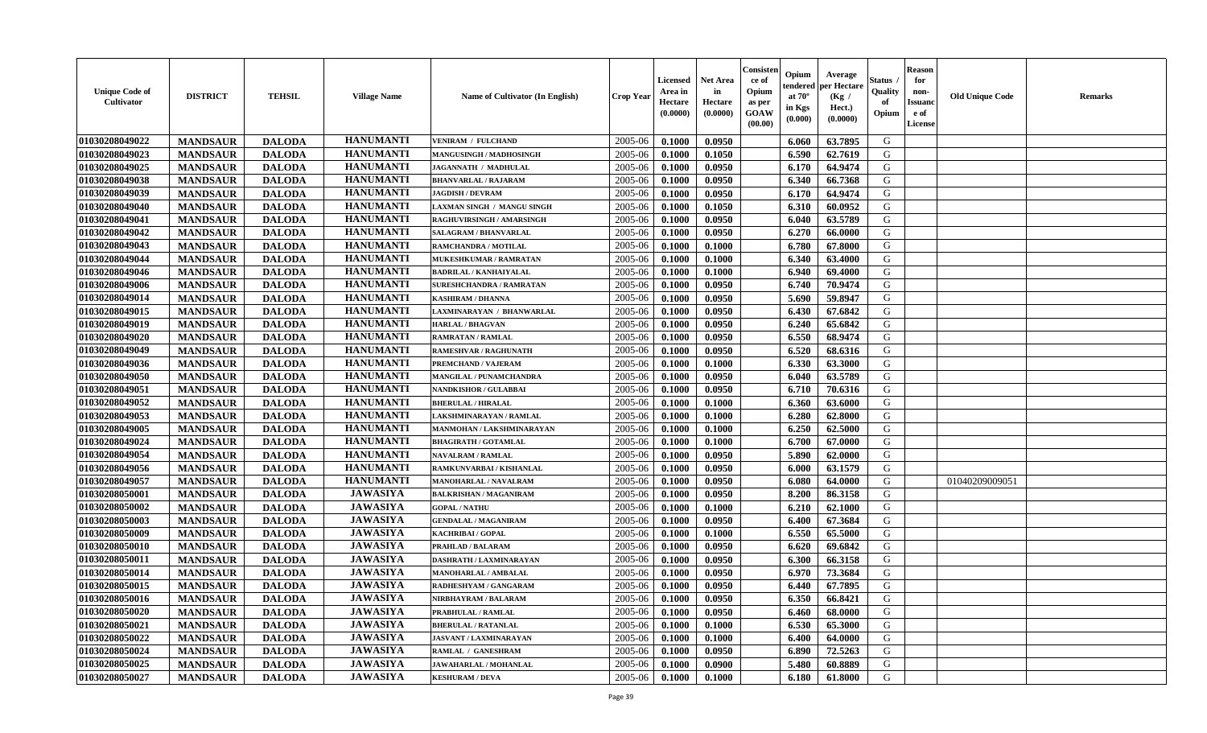| <b>Unique Code of</b><br><b>Cultivator</b> | <b>DISTRICT</b> | <b>TEHSIL</b> | <b>Village Name</b> | Name of Cultivator (In English) | <b>Crop Year</b> | <b>Licensed</b><br>Area in<br>Hectare<br>(0.0000) | <b>Net Area</b><br>in<br>Hectare<br>(0.0000) | Consister<br>ce of<br>Opium<br>as per<br>GOAW<br>(00.00) | Opium<br>endered<br>at $70^\circ$<br>in Kgs<br>(0.000) | Average<br>per Hectare<br>(Kg /<br>Hect.)<br>(0.0000) | <b>Status</b><br>Quality<br>of<br>Opium | <b>Reason</b><br>for<br>non-<br><b>Issuand</b><br>e of<br>License | <b>Old Unique Code</b> | <b>Remarks</b> |
|--------------------------------------------|-----------------|---------------|---------------------|---------------------------------|------------------|---------------------------------------------------|----------------------------------------------|----------------------------------------------------------|--------------------------------------------------------|-------------------------------------------------------|-----------------------------------------|-------------------------------------------------------------------|------------------------|----------------|
| 01030208049022                             | <b>MANDSAUR</b> | <b>DALODA</b> | <b>HANUMANTI</b>    | <b>VENIRAM / FULCHAND</b>       | 2005-06          | 0.1000                                            | 0.0950                                       |                                                          | 6.060                                                  | 63.7895                                               | G                                       |                                                                   |                        |                |
| 01030208049023                             | <b>MANDSAUR</b> | <b>DALODA</b> | <b>HANUMANTI</b>    | MANGUSINGH / MADHOSINGH         | 2005-06          | 0.1000                                            | 0.1050                                       |                                                          | 6.590                                                  | 62.7619                                               | G                                       |                                                                   |                        |                |
| 01030208049025                             | <b>MANDSAUR</b> | <b>DALODA</b> | <b>HANUMANTI</b>    | JAGANNATH / MADHULAL            | 2005-06          | 0.1000                                            | 0.0950                                       |                                                          | 6.170                                                  | 64.9474                                               | G                                       |                                                                   |                        |                |
| 01030208049038                             | <b>MANDSAUR</b> | <b>DALODA</b> | <b>HANUMANTI</b>    | <b>BHANVARLAL / RAJARAM</b>     | 2005-06          | 0.1000                                            | 0.0950                                       |                                                          | 6.340                                                  | 66.7368                                               | G                                       |                                                                   |                        |                |
| 01030208049039                             | <b>MANDSAUR</b> | <b>DALODA</b> | <b>HANUMANTI</b>    | <b>JAGDISH / DEVRAM</b>         | 2005-06          | 0.1000                                            | 0.0950                                       |                                                          | 6.170                                                  | 64.9474                                               | G                                       |                                                                   |                        |                |
| 01030208049040                             | <b>MANDSAUR</b> | <b>DALODA</b> | <b>HANUMANTI</b>    | AXMAN SINGH / MANGU SINGH       | 2005-06          | 0.1000                                            | 0.1050                                       |                                                          | 6.310                                                  | 60.0952                                               | G                                       |                                                                   |                        |                |
| 01030208049041                             | <b>MANDSAUR</b> | <b>DALODA</b> | <b>HANUMANTI</b>    | RAGHUVIRSINGH / AMARSINGH       | 2005-06          | 0.1000                                            | 0.0950                                       |                                                          | 6.040                                                  | 63.5789                                               | ${\bf G}$                               |                                                                   |                        |                |
| 01030208049042                             | <b>MANDSAUR</b> | <b>DALODA</b> | <b>HANUMANTI</b>    | <b>SALAGRAM / BHANVARLAL</b>    | 2005-06          | 0.1000                                            | 0.0950                                       |                                                          | 6.270                                                  | 66.0000                                               | G                                       |                                                                   |                        |                |
| 01030208049043                             | <b>MANDSAUR</b> | <b>DALODA</b> | <b>HANUMANTI</b>    | RAMCHANDRA / MOTILAL            | 2005-06          | 0.1000                                            | 0.1000                                       |                                                          | 6.780                                                  | 67.8000                                               | G                                       |                                                                   |                        |                |
| 01030208049044                             | <b>MANDSAUR</b> | <b>DALODA</b> | <b>HANUMANTI</b>    | MUKESHKUMAR / RAMRATAN          | 2005-06          | 0.1000                                            | 0.1000                                       |                                                          | 6.340                                                  | 63.4000                                               | G                                       |                                                                   |                        |                |
| 01030208049046                             | <b>MANDSAUR</b> | <b>DALODA</b> | <b>HANUMANTI</b>    | <b>BADRILAL / KANHAIYALAL</b>   | 2005-06          | 0.1000                                            | 0.1000                                       |                                                          | 6.940                                                  | 69.4000                                               | $\mathbf G$                             |                                                                   |                        |                |
| 01030208049006                             | <b>MANDSAUR</b> | <b>DALODA</b> | <b>HANUMANTI</b>    | <b>SURESHCHANDRA / RAMRATAN</b> | 2005-06          | 0.1000                                            | 0.0950                                       |                                                          | 6.740                                                  | 70.9474                                               | G                                       |                                                                   |                        |                |
| 01030208049014                             | <b>MANDSAUR</b> | <b>DALODA</b> | <b>HANUMANTI</b>    | KASHIRAM / DHANNA               | 2005-06          | 0.1000                                            | 0.0950                                       |                                                          | 5.690                                                  | 59.8947                                               | G                                       |                                                                   |                        |                |
| 01030208049015                             | <b>MANDSAUR</b> | <b>DALODA</b> | <b>HANUMANTI</b>    | AXMINARAYAN / BHANWARLAL        | 2005-06          | 0.1000                                            | 0.0950                                       |                                                          | 6.430                                                  | 67.6842                                               | G                                       |                                                                   |                        |                |
| 01030208049019                             | <b>MANDSAUR</b> | <b>DALODA</b> | <b>HANUMANTI</b>    | <b>HARLAL / BHAGVAN</b>         | 2005-06          | 0.1000                                            | 0.0950                                       |                                                          | 6.240                                                  | 65.6842                                               | G                                       |                                                                   |                        |                |
| 01030208049020                             | <b>MANDSAUR</b> | <b>DALODA</b> | <b>HANUMANTI</b>    | <b>RAMRATAN / RAMLAL</b>        | 2005-06          | 0.1000                                            | 0.0950                                       |                                                          | 6.550                                                  | 68.9474                                               | G                                       |                                                                   |                        |                |
| 01030208049049                             | <b>MANDSAUR</b> | <b>DALODA</b> | <b>HANUMANTI</b>    | RAMESHVAR / RAGHUNATH           | 2005-06          | 0.1000                                            | 0.0950                                       |                                                          | 6.520                                                  | 68.6316                                               | G                                       |                                                                   |                        |                |
| 01030208049036                             | <b>MANDSAUR</b> | <b>DALODA</b> | <b>HANUMANTI</b>    | PREMCHAND / VAJERAM             | 2005-06          | 0.1000                                            | 0.1000                                       |                                                          | 6.330                                                  | 63.3000                                               | G                                       |                                                                   |                        |                |
| 01030208049050                             | <b>MANDSAUR</b> | <b>DALODA</b> | <b>HANUMANTI</b>    | MANGILAL / PUNAMCHANDRA         | 2005-06          | 0.1000                                            | 0.0950                                       |                                                          | 6.040                                                  | 63.5789                                               | G                                       |                                                                   |                        |                |
| 01030208049051                             | <b>MANDSAUR</b> | <b>DALODA</b> | <b>HANUMANTI</b>    | NANDKISHOR / GULABBAI           | 2005-06          | 0.1000                                            | 0.0950                                       |                                                          | 6.710                                                  | 70.6316                                               | G                                       |                                                                   |                        |                |
| 01030208049052                             | <b>MANDSAUR</b> | <b>DALODA</b> | <b>HANUMANTI</b>    | <b>BHERULAL / HIRALAL</b>       | 2005-06          | 0.1000                                            | 0.1000                                       |                                                          | 6.360                                                  | 63.6000                                               | G                                       |                                                                   |                        |                |
| 01030208049053                             | <b>MANDSAUR</b> | <b>DALODA</b> | <b>HANUMANTI</b>    | LAKSHMINARAYAN / RAMLAL         | 2005-06          | 0.1000                                            | 0.1000                                       |                                                          | 6.280                                                  | 62.8000                                               | G                                       |                                                                   |                        |                |
| 01030208049005                             | <b>MANDSAUR</b> | <b>DALODA</b> | <b>HANUMANTI</b>    | MANMOHAN / LAKSHMINARAYAN       | 2005-06          | 0.1000                                            | 0.1000                                       |                                                          | 6.250                                                  | 62.5000                                               | ${\bf G}$                               |                                                                   |                        |                |
| 01030208049024                             | <b>MANDSAUR</b> | <b>DALODA</b> | <b>HANUMANTI</b>    | <b>BHAGIRATH / GOTAMLAL</b>     | 2005-06          | 0.1000                                            | 0.1000                                       |                                                          | 6.700                                                  | 67.0000                                               | G                                       |                                                                   |                        |                |
| 01030208049054                             | <b>MANDSAUR</b> | <b>DALODA</b> | <b>HANUMANTI</b>    | <b>NAVALRAM / RAMLAL</b>        | 2005-06          | 0.1000                                            | 0.0950                                       |                                                          | 5.890                                                  | 62.0000                                               | G                                       |                                                                   |                        |                |
| 01030208049056                             | <b>MANDSAUR</b> | <b>DALODA</b> | <b>HANUMANTI</b>    | RAMKUNVARBAI / KISHANLAL        | 2005-06          | 0.1000                                            | 0.0950                                       |                                                          | 6.000                                                  | 63.1579                                               | G                                       |                                                                   |                        |                |
| 01030208049057                             | <b>MANDSAUR</b> | <b>DALODA</b> | <b>HANUMANTI</b>    | <b>MANOHARLAL / NAVALRAM</b>    | 2005-06          | 0.1000                                            | 0.0950                                       |                                                          | 6.080                                                  | 64.0000                                               | G                                       |                                                                   | 01040209009051         |                |
| 01030208050001                             | <b>MANDSAUR</b> | <b>DALODA</b> | <b>JAWASIYA</b>     | <b>BALKRISHAN / MAGANIRAM</b>   | 2005-06          | 0.1000                                            | 0.0950                                       |                                                          | 8.200                                                  | 86.3158                                               | G                                       |                                                                   |                        |                |
| 01030208050002                             | <b>MANDSAUR</b> | <b>DALODA</b> | <b>JAWASIYA</b>     | <b>GOPAL / NATHU</b>            | 2005-06          | 0.1000                                            | 0.1000                                       |                                                          | 6.210                                                  | 62.1000                                               | G                                       |                                                                   |                        |                |
| 01030208050003                             | <b>MANDSAUR</b> | <b>DALODA</b> | <b>JAWASIYA</b>     | <b>GENDALAL / MAGANIRAM</b>     | 2005-06          | 0.1000                                            | 0.0950                                       |                                                          | 6.400                                                  | 67.3684                                               | G                                       |                                                                   |                        |                |
| 01030208050009                             | <b>MANDSAUR</b> | <b>DALODA</b> | <b>JAWASIYA</b>     | KACHRIBAI / GOPAL               | 2005-06          | 0.1000                                            | 0.1000                                       |                                                          | 6.550                                                  | 65.5000                                               | ${\bf G}$                               |                                                                   |                        |                |
| 01030208050010                             | <b>MANDSAUR</b> | <b>DALODA</b> | <b>JAWASIYA</b>     | PRAHLAD / BALARAM               | 2005-06          | 0.1000                                            | 0.0950                                       |                                                          | 6.620                                                  | 69.6842                                               | G                                       |                                                                   |                        |                |
| 01030208050011                             | <b>MANDSAUR</b> | <b>DALODA</b> | <b>JAWASIYA</b>     | DASHRATH / LAXMINARAYAN         | 2005-06          | 0.1000                                            | 0.0950                                       |                                                          | 6.300                                                  | 66.3158                                               | G                                       |                                                                   |                        |                |
| 01030208050014                             | <b>MANDSAUR</b> | <b>DALODA</b> | <b>JAWASIYA</b>     | MANOHARLAL / AMBALAL            | 2005-06          | 0.1000                                            | 0.0950                                       |                                                          | 6.970                                                  | 73.3684                                               | G                                       |                                                                   |                        |                |
| 01030208050015                             | <b>MANDSAUR</b> | <b>DALODA</b> | <b>JAWASIYA</b>     | RADHESHYAM / GANGARAM           | 2005-06          | 0.1000                                            | 0.0950                                       |                                                          | 6.440                                                  | 67.7895                                               | G                                       |                                                                   |                        |                |
| 01030208050016                             | <b>MANDSAUR</b> | <b>DALODA</b> | <b>JAWASIYA</b>     | NIRBHAYRAM / BALARAM            | 2005-06          | 0.1000                                            | 0.0950                                       |                                                          | 6.350                                                  | 66.8421                                               | G                                       |                                                                   |                        |                |
| 01030208050020                             | <b>MANDSAUR</b> | <b>DALODA</b> | <b>JAWASIYA</b>     | PRABHULAL / RAMLAL              | 2005-06          | 0.1000                                            | 0.0950                                       |                                                          | 6.460                                                  | 68.0000                                               | G                                       |                                                                   |                        |                |
| 01030208050021                             | <b>MANDSAUR</b> | <b>DALODA</b> | <b>JAWASIYA</b>     | <b>BHERULAL / RATANLAL</b>      | 2005-06          | 0.1000                                            | 0.1000                                       |                                                          | 6.530                                                  | 65.3000                                               | G                                       |                                                                   |                        |                |
| 01030208050022                             | <b>MANDSAUR</b> | <b>DALODA</b> | <b>JAWASIYA</b>     | <b>JASVANT / LAXMINARAYAN</b>   | 2005-06          | 0.1000                                            | 0.1000                                       |                                                          | 6.400                                                  | 64.0000                                               | ${\bf G}$                               |                                                                   |                        |                |
| 01030208050024                             | <b>MANDSAUR</b> | <b>DALODA</b> | <b>JAWASIYA</b>     | RAMLAL / GANESHRAM              | 2005-06          | 0.1000                                            | 0.0950                                       |                                                          | 6.890                                                  | 72.5263                                               | G                                       |                                                                   |                        |                |
| 01030208050025                             | <b>MANDSAUR</b> | <b>DALODA</b> | <b>JAWASIYA</b>     | <b>JAWAHARLAL / MOHANLAL</b>    | 2005-06          | 0.1000                                            | 0.0900                                       |                                                          | 5.480                                                  | 60.8889                                               | G                                       |                                                                   |                        |                |
| 01030208050027                             | <b>MANDSAUR</b> | <b>DALODA</b> | <b>JAWASIYA</b>     | <b>KESHURAM / DEVA</b>          | 2005-06          | 0.1000                                            | 0.1000                                       |                                                          | 6.180                                                  | 61.8000                                               | G                                       |                                                                   |                        |                |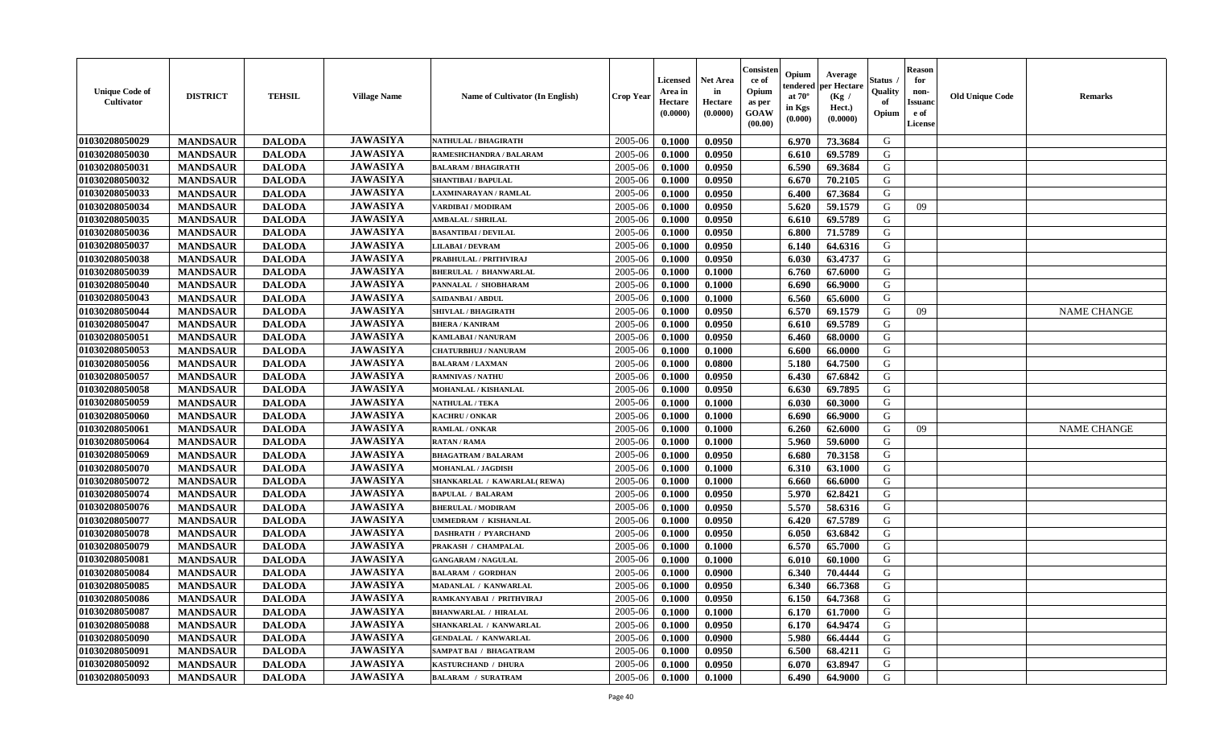| <b>Unique Code of</b><br>Cultivator | <b>DISTRICT</b> | <b>TEHSIL</b> | <b>Village Name</b> | Name of Cultivator (In English) | <b>Crop Year</b> | <b>Licensed</b><br>Area in<br>Hectare<br>(0.0000) | <b>Net Area</b><br>in<br>Hectare<br>(0.0000) | Consister<br>ce of<br>Opium<br>as per<br>GOAW<br>(00.00) | Opium<br>endered<br>at $70^\circ$<br>in Kgs<br>(0.000) | Average<br>per Hectare<br>(Kg /<br>Hect.)<br>(0.0000) | <b>Status</b><br>Quality<br>of<br>Opium | <b>Reason</b><br>for<br>non-<br><b>Issuanc</b><br>e of<br>License | <b>Old Unique Code</b> | <b>Remarks</b>     |
|-------------------------------------|-----------------|---------------|---------------------|---------------------------------|------------------|---------------------------------------------------|----------------------------------------------|----------------------------------------------------------|--------------------------------------------------------|-------------------------------------------------------|-----------------------------------------|-------------------------------------------------------------------|------------------------|--------------------|
| 01030208050029                      | <b>MANDSAUR</b> | <b>DALODA</b> | <b>JAWASIYA</b>     | <b>NATHULAL / BHAGIRATH</b>     | 2005-06          | 0.1000                                            | 0.0950                                       |                                                          | 6.970                                                  | 73.3684                                               | G                                       |                                                                   |                        |                    |
| 01030208050030                      | <b>MANDSAUR</b> | <b>DALODA</b> | <b>JAWASIYA</b>     | RAMESHCHANDRA / BALARAM         | 2005-06          | 0.1000                                            | 0.0950                                       |                                                          | 6.610                                                  | 69.5789                                               | G                                       |                                                                   |                        |                    |
| 01030208050031                      | <b>MANDSAUR</b> | <b>DALODA</b> | <b>JAWASIYA</b>     | <b>BALARAM / BHAGIRATH</b>      | 2005-06          | 0.1000                                            | 0.0950                                       |                                                          | 6.590                                                  | 69.3684                                               | G                                       |                                                                   |                        |                    |
| 01030208050032                      | <b>MANDSAUR</b> | <b>DALODA</b> | <b>JAWASIYA</b>     | <b>SHANTIBAI / BAPULAL</b>      | 2005-06          | 0.1000                                            | 0.0950                                       |                                                          | 6.670                                                  | 70.2105                                               | G                                       |                                                                   |                        |                    |
| 01030208050033                      | <b>MANDSAUR</b> | <b>DALODA</b> | <b>JAWASIYA</b>     | LAXMINARAYAN / RAMLAL           | 2005-06          | 0.1000                                            | 0.0950                                       |                                                          | 6.400                                                  | 67.3684                                               | G                                       |                                                                   |                        |                    |
| 01030208050034                      | <b>MANDSAUR</b> | <b>DALODA</b> | <b>JAWASIYA</b>     | VARDIBAI / MODIRAM              | 2005-06          | 0.1000                                            | 0.0950                                       |                                                          | 5.620                                                  | 59.1579                                               | G                                       | 09                                                                |                        |                    |
| 01030208050035                      | <b>MANDSAUR</b> | <b>DALODA</b> | <b>JAWASIYA</b>     | <b>AMBALAL / SHRILAL</b>        | 2005-06          | 0.1000                                            | 0.0950                                       |                                                          | 6.610                                                  | 69.5789                                               | ${\bf G}$                               |                                                                   |                        |                    |
| 01030208050036                      | <b>MANDSAUR</b> | <b>DALODA</b> | <b>JAWASIYA</b>     | <b>BASANTIBAI / DEVILAL</b>     | 2005-06          | 0.1000                                            | 0.0950                                       |                                                          | 6.800                                                  | 71.5789                                               | G                                       |                                                                   |                        |                    |
| 01030208050037                      | <b>MANDSAUR</b> | <b>DALODA</b> | <b>JAWASIYA</b>     | <b>LILABAI/DEVRAM</b>           | 2005-06          | 0.1000                                            | 0.0950                                       |                                                          | 6.140                                                  | 64.6316                                               | G                                       |                                                                   |                        |                    |
| 01030208050038                      | <b>MANDSAUR</b> | <b>DALODA</b> | <b>JAWASIYA</b>     | PRABHULAL / PRITHVIRAJ          | 2005-06          | 0.1000                                            | 0.0950                                       |                                                          | 6.030                                                  | 63.4737                                               | G                                       |                                                                   |                        |                    |
| 01030208050039                      | <b>MANDSAUR</b> | <b>DALODA</b> | <b>JAWASIYA</b>     | <b>BHERULAL / BHANWARLAL</b>    | 2005-06          | 0.1000                                            | 0.1000                                       |                                                          | 6.760                                                  | 67.6000                                               | $\mathbf G$                             |                                                                   |                        |                    |
| 01030208050040                      | <b>MANDSAUR</b> | <b>DALODA</b> | <b>JAWASIYA</b>     | PANNALAL / SHOBHARAM            | 2005-06          | 0.1000                                            | 0.1000                                       |                                                          | 6.690                                                  | 66.9000                                               | G                                       |                                                                   |                        |                    |
| 01030208050043                      | <b>MANDSAUR</b> | <b>DALODA</b> | <b>JAWASIYA</b>     | SAIDANBAI / ABDUL               | 2005-06          | 0.1000                                            | 0.1000                                       |                                                          | 6.560                                                  | 65.6000                                               | G                                       |                                                                   |                        |                    |
| 01030208050044                      | <b>MANDSAUR</b> | <b>DALODA</b> | <b>JAWASIYA</b>     | <b>SHIVLAL / BHAGIRATH</b>      | 2005-06          | 0.1000                                            | 0.0950                                       |                                                          | 6.570                                                  | 69.1579                                               | G                                       | 09                                                                |                        | <b>NAME CHANGE</b> |
| 01030208050047                      | <b>MANDSAUR</b> | <b>DALODA</b> | <b>JAWASIYA</b>     | <b>BHERA / KANIRAM</b>          | 2005-06          | 0.1000                                            | 0.0950                                       |                                                          | 6.610                                                  | 69.5789                                               | G                                       |                                                                   |                        |                    |
| 01030208050051                      | <b>MANDSAUR</b> | <b>DALODA</b> | <b>JAWASIYA</b>     | <b>KAMLABAI/NANURAM</b>         | 2005-06          | 0.1000                                            | 0.0950                                       |                                                          | 6.460                                                  | 68.0000                                               | G                                       |                                                                   |                        |                    |
| 01030208050053                      | <b>MANDSAUR</b> | <b>DALODA</b> | <b>JAWASIYA</b>     | <b>CHATURBHUJ / NANURAM</b>     | 2005-06          | 0.1000                                            | 0.1000                                       |                                                          | 6.600                                                  | 66.0000                                               | G                                       |                                                                   |                        |                    |
| 01030208050056                      | <b>MANDSAUR</b> | <b>DALODA</b> | <b>JAWASIYA</b>     | <b>BALARAM / LAXMAN</b>         | 2005-06          | 0.1000                                            | 0.0800                                       |                                                          | 5.180                                                  | 64.7500                                               | G                                       |                                                                   |                        |                    |
| 01030208050057                      | <b>MANDSAUR</b> | <b>DALODA</b> | <b>JAWASIYA</b>     | <b>RAMNIVAS / NATHU</b>         | 2005-06          | 0.1000                                            | 0.0950                                       |                                                          | 6.430                                                  | 67.6842                                               | G                                       |                                                                   |                        |                    |
| 01030208050058                      | <b>MANDSAUR</b> | <b>DALODA</b> | <b>JAWASIYA</b>     | MOHANLAL / KISHANLAL            | 2005-06          | 0.1000                                            | 0.0950                                       |                                                          | 6.630                                                  | 69.7895                                               | G                                       |                                                                   |                        |                    |
| 01030208050059                      | <b>MANDSAUR</b> | <b>DALODA</b> | <b>JAWASIYA</b>     | <b>NATHULAL / TEKA</b>          | 2005-06          | 0.1000                                            | 0.1000                                       |                                                          | 6.030                                                  | 60.3000                                               | G                                       |                                                                   |                        |                    |
| 01030208050060                      | <b>MANDSAUR</b> | <b>DALODA</b> | <b>JAWASIYA</b>     | <b>KACHRU/ONKAR</b>             | 2005-06          | 0.1000                                            | 0.1000                                       |                                                          | 6.690                                                  | 66.9000                                               | G                                       |                                                                   |                        |                    |
| 01030208050061                      | <b>MANDSAUR</b> | <b>DALODA</b> | <b>JAWASIYA</b>     | <b>RAMLAL / ONKAR</b>           | 2005-06          | 0.1000                                            | 0.1000                                       |                                                          | 6.260                                                  | 62.6000                                               | ${\bf G}$                               | 09                                                                |                        | <b>NAME CHANGE</b> |
| 01030208050064                      | <b>MANDSAUR</b> | <b>DALODA</b> | <b>JAWASIYA</b>     | <b>RATAN / RAMA</b>             | 2005-06          | 0.1000                                            | 0.1000                                       |                                                          | 5.960                                                  | 59.6000                                               | G                                       |                                                                   |                        |                    |
| 01030208050069                      | <b>MANDSAUR</b> | <b>DALODA</b> | <b>JAWASIYA</b>     | <b>BHAGATRAM / BALARAM</b>      | 2005-06          | 0.1000                                            | 0.0950                                       |                                                          | 6.680                                                  | 70.3158                                               | G                                       |                                                                   |                        |                    |
| 01030208050070                      | <b>MANDSAUR</b> | <b>DALODA</b> | <b>JAWASIYA</b>     | <b>MOHANLAL / JAGDISH</b>       | 2005-06          | 0.1000                                            | 0.1000                                       |                                                          | 6.310                                                  | 63.1000                                               | G                                       |                                                                   |                        |                    |
| 01030208050072                      | <b>MANDSAUR</b> | <b>DALODA</b> | <b>JAWASIYA</b>     | SHANKARLAL / KAWARLAL(REWA)     | 2005-06          | 0.1000                                            | 0.1000                                       |                                                          | 6.660                                                  | 66.6000                                               | G                                       |                                                                   |                        |                    |
| 01030208050074                      | <b>MANDSAUR</b> | <b>DALODA</b> | <b>JAWASIYA</b>     | <b>BAPULAL / BALARAM</b>        | 2005-06          | 0.1000                                            | 0.0950                                       |                                                          | 5.970                                                  | 62.8421                                               | G                                       |                                                                   |                        |                    |
| 01030208050076                      | <b>MANDSAUR</b> | <b>DALODA</b> | <b>JAWASIYA</b>     | <b>BHERULAL / MODIRAM</b>       | 2005-06          | 0.1000                                            | 0.0950                                       |                                                          | 5.570                                                  | 58.6316                                               | G                                       |                                                                   |                        |                    |
| 01030208050077                      | <b>MANDSAUR</b> | <b>DALODA</b> | <b>JAWASIYA</b>     | UMMEDRAM / KISHANLAL            | 2005-06          | 0.1000                                            | 0.0950                                       |                                                          | 6.420                                                  | 67.5789                                               | G                                       |                                                                   |                        |                    |
| 01030208050078                      | <b>MANDSAUR</b> | <b>DALODA</b> | <b>JAWASIYA</b>     | <b>DASHRATH / PYARCHAND</b>     | 2005-06          | 0.1000                                            | 0.0950                                       |                                                          | 6.050                                                  | 63.6842                                               | ${\bf G}$                               |                                                                   |                        |                    |
| 01030208050079                      | <b>MANDSAUR</b> | <b>DALODA</b> | <b>JAWASIYA</b>     | PRAKASH / CHAMPALAL             | 2005-06          | 0.1000                                            | 0.1000                                       |                                                          | 6.570                                                  | 65.7000                                               | G                                       |                                                                   |                        |                    |
| 01030208050081                      | <b>MANDSAUR</b> | <b>DALODA</b> | <b>JAWASIYA</b>     | <b>GANGARAM / NAGULAL</b>       | 2005-06          | 0.1000                                            | 0.1000                                       |                                                          | 6.010                                                  | 60.1000                                               | G                                       |                                                                   |                        |                    |
| 01030208050084                      | <b>MANDSAUR</b> | <b>DALODA</b> | <b>JAWASIYA</b>     | <b>BALARAM / GORDHAN</b>        | 2005-06          | 0.1000                                            | 0.0900                                       |                                                          | 6.340                                                  | 70.4444                                               | G                                       |                                                                   |                        |                    |
| 01030208050085                      | <b>MANDSAUR</b> | <b>DALODA</b> | <b>JAWASIYA</b>     | MADANLAL / KANWARLAL            | 2005-06          | 0.1000                                            | 0.0950                                       |                                                          | 6.340                                                  | 66.7368                                               | G                                       |                                                                   |                        |                    |
| 01030208050086                      | <b>MANDSAUR</b> | <b>DALODA</b> | <b>JAWASIYA</b>     | RAMKANYABAI / PRITHVIRAJ        | 2005-06          | 0.1000                                            | 0.0950                                       |                                                          | 6.150                                                  | 64.7368                                               | G                                       |                                                                   |                        |                    |
| 01030208050087                      | <b>MANDSAUR</b> | <b>DALODA</b> | <b>JAWASIYA</b>     | <b>BHANWARLAL / HIRALAL</b>     | 2005-06          | 0.1000                                            | 0.1000                                       |                                                          | 6.170                                                  | 61.7000                                               | G                                       |                                                                   |                        |                    |
| 01030208050088                      | <b>MANDSAUR</b> | <b>DALODA</b> | <b>JAWASIYA</b>     | SHANKARLAL / KANWARLAL          | 2005-06          | 0.1000                                            | 0.0950                                       |                                                          | 6.170                                                  | 64.9474                                               | G                                       |                                                                   |                        |                    |
| 01030208050090                      | <b>MANDSAUR</b> | <b>DALODA</b> | <b>JAWASIYA</b>     | <b>GENDALAL / KANWARLAL</b>     | 2005-06          | 0.1000                                            | 0.0900                                       |                                                          | 5.980                                                  | 66.4444                                               | ${\bf G}$                               |                                                                   |                        |                    |
| 01030208050091                      | <b>MANDSAUR</b> | <b>DALODA</b> | <b>JAWASIYA</b>     | SAMPAT BAI / BHAGATRAM          | 2005-06          | 0.1000                                            | 0.0950                                       |                                                          | 6.500                                                  | 68.4211                                               | G                                       |                                                                   |                        |                    |
| 01030208050092                      | <b>MANDSAUR</b> | <b>DALODA</b> | <b>JAWASIYA</b>     | KASTURCHAND / DHURA             | 2005-06          | 0.1000                                            | 0.0950                                       |                                                          | 6.070                                                  | 63.8947                                               | G                                       |                                                                   |                        |                    |
| 01030208050093                      | <b>MANDSAUR</b> | <b>DALODA</b> | <b>JAWASIYA</b>     | <b>BALARAM / SURATRAM</b>       | 2005-06          | 0.1000                                            | 0.1000                                       |                                                          | 6.490                                                  | 64.9000                                               | G                                       |                                                                   |                        |                    |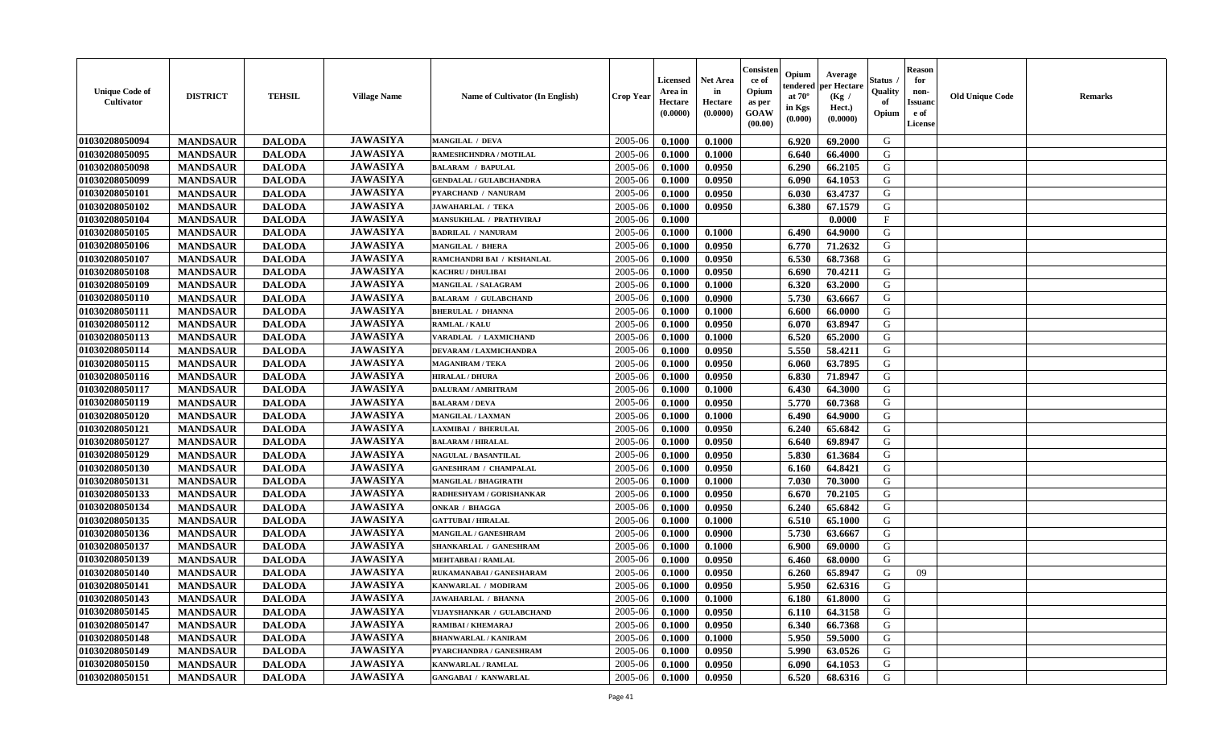| <b>Unique Code of</b><br><b>Cultivator</b> | <b>DISTRICT</b> | <b>TEHSIL</b> | <b>Village Name</b> | Name of Cultivator (In English) | <b>Crop Year</b> | <b>Licensed</b><br>Area in<br>Hectare<br>(0.0000) | <b>Net Area</b><br>in<br>Hectare<br>(0.0000) | Consisteı<br>ce of<br>Opium<br>as per<br><b>GOAW</b><br>(00.00) | Opium<br>endered<br>at $70^\circ$<br>in Kgs<br>$(\mathbf{0.000})$ | Average<br>per Hectare<br>(Kg /<br>Hect.)<br>(0.0000) | Status<br>Quality<br>of<br>Opium | <b>Reason</b><br>for<br>non-<br>Issuan<br>e of<br>License | <b>Old Unique Code</b> | <b>Remarks</b> |
|--------------------------------------------|-----------------|---------------|---------------------|---------------------------------|------------------|---------------------------------------------------|----------------------------------------------|-----------------------------------------------------------------|-------------------------------------------------------------------|-------------------------------------------------------|----------------------------------|-----------------------------------------------------------|------------------------|----------------|
| 01030208050094                             | <b>MANDSAUR</b> | <b>DALODA</b> | <b>JAWASIYA</b>     | <b>MANGILAL / DEVA</b>          | 2005-06          | 0.1000                                            | 0.1000                                       |                                                                 | 6.920                                                             | 69.2000                                               | G                                |                                                           |                        |                |
| 01030208050095                             | <b>MANDSAUR</b> | <b>DALODA</b> | <b>JAWASIYA</b>     | RAMESHCHNDRA / MOTILAL          | 2005-06          | 0.1000                                            | 0.1000                                       |                                                                 | 6.640                                                             | 66.4000                                               | G                                |                                                           |                        |                |
| 01030208050098                             | <b>MANDSAUR</b> | <b>DALODA</b> | <b>JAWASIYA</b>     | <b>BALARAM / BAPULAL</b>        | 2005-06          | 0.1000                                            | 0.0950                                       |                                                                 | 6.290                                                             | 66.2105                                               | G                                |                                                           |                        |                |
| 01030208050099                             | <b>MANDSAUR</b> | <b>DALODA</b> | <b>JAWASIYA</b>     | <b>GENDALAL / GULABCHANDRA</b>  | 2005-06          | 0.1000                                            | 0.0950                                       |                                                                 | 6.090                                                             | 64.1053                                               | G                                |                                                           |                        |                |
| 01030208050101                             | <b>MANDSAUR</b> | <b>DALODA</b> | <b>JAWASIYA</b>     | PYARCHAND / NANURAM             | 2005-06          | 0.1000                                            | 0.0950                                       |                                                                 | 6.030                                                             | 63.4737                                               | G                                |                                                           |                        |                |
| 01030208050102                             | <b>MANDSAUR</b> | <b>DALODA</b> | <b>JAWASIYA</b>     | <b>JAWAHARLAL / TEKA</b>        | 2005-06          | 0.1000                                            | 0.0950                                       |                                                                 | 6.380                                                             | 67.1579                                               | G                                |                                                           |                        |                |
| 01030208050104                             | <b>MANDSAUR</b> | <b>DALODA</b> | <b>JAWASIYA</b>     | <b>MANSUKHLAL / PRATHVIRAJ</b>  | 2005-06          | 0.1000                                            |                                              |                                                                 |                                                                   | 0.0000                                                | $\mathbf{F}$                     |                                                           |                        |                |
| 01030208050105                             | <b>MANDSAUR</b> | <b>DALODA</b> | <b>JAWASIYA</b>     | <b>BADRILAL / NANURAM</b>       | 2005-06          | 0.1000                                            | 0.1000                                       |                                                                 | 6.490                                                             | 64.9000                                               | G                                |                                                           |                        |                |
| 01030208050106                             | <b>MANDSAUR</b> | <b>DALODA</b> | <b>JAWASIYA</b>     | <b>MANGILAL / BHERA</b>         | 2005-06          | 0.1000                                            | 0.0950                                       |                                                                 | 6.770                                                             | 71.2632                                               | G                                |                                                           |                        |                |
| 01030208050107                             | <b>MANDSAUR</b> | <b>DALODA</b> | <b>JAWASIYA</b>     | RAMCHANDRI BAI / KISHANLAL      | 2005-06          | 0.1000                                            | 0.0950                                       |                                                                 | 6.530                                                             | 68.7368                                               | G                                |                                                           |                        |                |
| 01030208050108                             | <b>MANDSAUR</b> | <b>DALODA</b> | <b>JAWASIYA</b>     | <b>KACHRU / DHULIBAI</b>        | 2005-06          | 0.1000                                            | 0.0950                                       |                                                                 | 6.690                                                             | 70.4211                                               | G                                |                                                           |                        |                |
| 01030208050109                             | <b>MANDSAUR</b> | <b>DALODA</b> | <b>JAWASIYA</b>     | <b>MANGILAL / SALAGRAM</b>      | 2005-06          | 0.1000                                            | 0.1000                                       |                                                                 | 6.320                                                             | 63.2000                                               | G                                |                                                           |                        |                |
| 01030208050110                             | <b>MANDSAUR</b> | <b>DALODA</b> | <b>JAWASIYA</b>     | <b>BALARAM / GULABCHAND</b>     | 2005-06          | 0.1000                                            | 0.0900                                       |                                                                 | 5.730                                                             | 63.6667                                               | G                                |                                                           |                        |                |
| 01030208050111                             | <b>MANDSAUR</b> | <b>DALODA</b> | <b>JAWASIYA</b>     | <b>BHERULAL / DHANNA</b>        | 2005-06          | 0.1000                                            | 0.1000                                       |                                                                 | 6.600                                                             | 66.0000                                               | G                                |                                                           |                        |                |
| 01030208050112                             | <b>MANDSAUR</b> | <b>DALODA</b> | <b>JAWASIYA</b>     | <b>RAMLAL / KALU</b>            | 2005-06          | 0.1000                                            | 0.0950                                       |                                                                 | 6.070                                                             | 63.8947                                               | G                                |                                                           |                        |                |
| 01030208050113                             | <b>MANDSAUR</b> | <b>DALODA</b> | <b>JAWASIYA</b>     | VARADLAL / LAXMICHAND           | 2005-06          | 0.1000                                            | 0.1000                                       |                                                                 | 6.520                                                             | 65.2000                                               | G                                |                                                           |                        |                |
| 01030208050114                             | <b>MANDSAUR</b> | <b>DALODA</b> | <b>JAWASIYA</b>     | <b>DEVARAM / LAXMICHANDRA</b>   | 2005-06          | 0.1000                                            | 0.0950                                       |                                                                 | 5.550                                                             | 58.4211                                               | G                                |                                                           |                        |                |
| 01030208050115                             | <b>MANDSAUR</b> | <b>DALODA</b> | <b>JAWASIYA</b>     | <b>MAGANIRAM / TEKA</b>         | 2005-06          | 0.1000                                            | 0.0950                                       |                                                                 | 6.060                                                             | 63.7895                                               | G                                |                                                           |                        |                |
| 01030208050116                             | <b>MANDSAUR</b> | <b>DALODA</b> | <b>JAWASIYA</b>     | <b>HIRALAL / DHURA</b>          | 2005-06          | 0.1000                                            | 0.0950                                       |                                                                 | 6.830                                                             | 71.8947                                               | G                                |                                                           |                        |                |
| 01030208050117                             | <b>MANDSAUR</b> | <b>DALODA</b> | <b>JAWASIYA</b>     | <b>DALURAM / AMRITRAM</b>       | 2005-06          | 0.1000                                            | 0.1000                                       |                                                                 | 6.430                                                             | 64.3000                                               | G                                |                                                           |                        |                |
| 01030208050119                             | <b>MANDSAUR</b> | <b>DALODA</b> | <b>JAWASIYA</b>     | <b>BALARAM / DEVA</b>           | 2005-06          | 0.1000                                            | 0.0950                                       |                                                                 | 5.770                                                             | 60.7368                                               | G                                |                                                           |                        |                |
| 01030208050120                             | <b>MANDSAUR</b> | <b>DALODA</b> | <b>JAWASIYA</b>     | <b>MANGILAL / LAXMAN</b>        | 2005-06          | 0.1000                                            | 0.1000                                       |                                                                 | 6.490                                                             | 64.9000                                               | G                                |                                                           |                        |                |
| 01030208050121                             | <b>MANDSAUR</b> | <b>DALODA</b> | <b>JAWASIYA</b>     | <b>LAXMIBAI / BHERULAL</b>      | 2005-06          | 0.1000                                            | 0.0950                                       |                                                                 | 6.240                                                             | 65.6842                                               | G                                |                                                           |                        |                |
| 01030208050127                             | <b>MANDSAUR</b> | <b>DALODA</b> | <b>JAWASIYA</b>     | <b>BALARAM / HIRALAL</b>        | 2005-06          | 0.1000                                            | 0.0950                                       |                                                                 | 6.640                                                             | 69.8947                                               | G                                |                                                           |                        |                |
| 01030208050129                             | <b>MANDSAUR</b> | <b>DALODA</b> | <b>JAWASIYA</b>     | <b>NAGULAL / BASANTILAL</b>     | 2005-06          | 0.1000                                            | 0.0950                                       |                                                                 | 5.830                                                             | 61.3684                                               | G                                |                                                           |                        |                |
| 01030208050130                             | <b>MANDSAUR</b> | <b>DALODA</b> | <b>JAWASIYA</b>     | <b>GANESHRAM / CHAMPALAL</b>    | 2005-06          | 0.1000                                            | 0.0950                                       |                                                                 | 6.160                                                             | 64.8421                                               | G                                |                                                           |                        |                |
| 01030208050131                             | <b>MANDSAUR</b> | <b>DALODA</b> | <b>JAWASIYA</b>     | MANGILAL / BHAGIRATH            | 2005-06          | 0.1000                                            | 0.1000                                       |                                                                 | 7.030                                                             | 70.3000                                               | G                                |                                                           |                        |                |
| 01030208050133                             | <b>MANDSAUR</b> | <b>DALODA</b> | <b>JAWASIYA</b>     | RADHESHYAM / GORISHANKAR        | 2005-06          | 0.1000                                            | 0.0950                                       |                                                                 | 6.670                                                             | 70.2105                                               | G                                |                                                           |                        |                |
| 01030208050134                             | <b>MANDSAUR</b> | <b>DALODA</b> | <b>JAWASIYA</b>     | <b>ONKAR / BHAGGA</b>           | 2005-06          | 0.1000                                            | 0.0950                                       |                                                                 | 6.240                                                             | 65.6842                                               | G                                |                                                           |                        |                |
| 01030208050135                             | <b>MANDSAUR</b> | <b>DALODA</b> | <b>JAWASIYA</b>     | <b>GATTUBAI/HIRALAL</b>         | 2005-06          | 0.1000                                            | 0.1000                                       |                                                                 | 6.510                                                             | 65.1000                                               | G                                |                                                           |                        |                |
| 01030208050136                             | <b>MANDSAUR</b> | <b>DALODA</b> | <b>JAWASIYA</b>     | MANGILAL / GANESHRAM            | 2005-06          | 0.1000                                            | 0.0900                                       |                                                                 | 5.730                                                             | 63.6667                                               | G                                |                                                           |                        |                |
| 01030208050137                             | <b>MANDSAUR</b> | <b>DALODA</b> | <b>JAWASIYA</b>     | SHANKARLAL / GANESHRAM          | 2005-06          | 0.1000                                            | 0.1000                                       |                                                                 | 6.900                                                             | 69.0000                                               | G                                |                                                           |                        |                |
| 01030208050139                             | <b>MANDSAUR</b> | <b>DALODA</b> | <b>JAWASIYA</b>     | MEHTABBAI / RAMLAL              | 2005-06          | 0.1000                                            | 0.0950                                       |                                                                 | 6.460                                                             | 68.0000                                               | G                                |                                                           |                        |                |
| 01030208050140                             | <b>MANDSAUR</b> | <b>DALODA</b> | <b>JAWASIYA</b>     | RUKAMANABAI / GANESHARAM        | 2005-06          | 0.1000                                            | 0.0950                                       |                                                                 | 6.260                                                             | 65.8947                                               | G                                | 09                                                        |                        |                |
| 01030208050141                             | <b>MANDSAUR</b> | <b>DALODA</b> | <b>JAWASIYA</b>     | KANWARLAL / MODIRAM             | 2005-06          | 0.1000                                            | 0.0950                                       |                                                                 | 5.950                                                             | 62.6316                                               | G                                |                                                           |                        |                |
| 01030208050143                             | <b>MANDSAUR</b> | <b>DALODA</b> | <b>JAWASIYA</b>     | <b>JAWAHARLAL / BHANNA</b>      | $2005 - 06$      | 0.1000                                            | 0.1000                                       |                                                                 |                                                                   | $6.180 \pm 61.8000$                                   | G                                |                                                           |                        |                |
| 01030208050145                             | <b>MANDSAUR</b> | <b>DALODA</b> | <b>JAWASIYA</b>     | VIJAYSHANKAR / GULABCHAND       | 2005-06          | 0.1000                                            | 0.0950                                       |                                                                 | 6.110                                                             | 64.3158                                               | G                                |                                                           |                        |                |
| 01030208050147                             | <b>MANDSAUR</b> | <b>DALODA</b> | <b>JAWASIYA</b>     | RAMIBAI / KHEMARAJ              | 2005-06          | 0.1000                                            | 0.0950                                       |                                                                 | 6.340                                                             | 66.7368                                               | G                                |                                                           |                        |                |
| 01030208050148                             | <b>MANDSAUR</b> | <b>DALODA</b> | <b>JAWASIYA</b>     | <b>BHANWARLAL / KANIRAM</b>     | 2005-06          | 0.1000                                            | 0.1000                                       |                                                                 | 5.950                                                             | 59.5000                                               | G                                |                                                           |                        |                |
| 01030208050149                             | <b>MANDSAUR</b> | <b>DALODA</b> | <b>JAWASIYA</b>     | PYARCHANDRA / GANESHRAM         | 2005-06          | 0.1000                                            | 0.0950                                       |                                                                 | 5.990                                                             | 63.0526                                               | G                                |                                                           |                        |                |
| 01030208050150                             | <b>MANDSAUR</b> | <b>DALODA</b> | <b>JAWASIYA</b>     | KANWARLAL / RAMLAL              | 2005-06          | 0.1000                                            | 0.0950                                       |                                                                 | 6.090                                                             | 64.1053                                               | G                                |                                                           |                        |                |
| 01030208050151                             | <b>MANDSAUR</b> | <b>DALODA</b> | <b>JAWASIYA</b>     | <b>GANGABAI / KANWARLAL</b>     | 2005-06          | 0.1000                                            | 0.0950                                       |                                                                 | 6.520                                                             | 68.6316                                               | G                                |                                                           |                        |                |
|                                            |                 |               |                     |                                 |                  |                                                   |                                              |                                                                 |                                                                   |                                                       |                                  |                                                           |                        |                |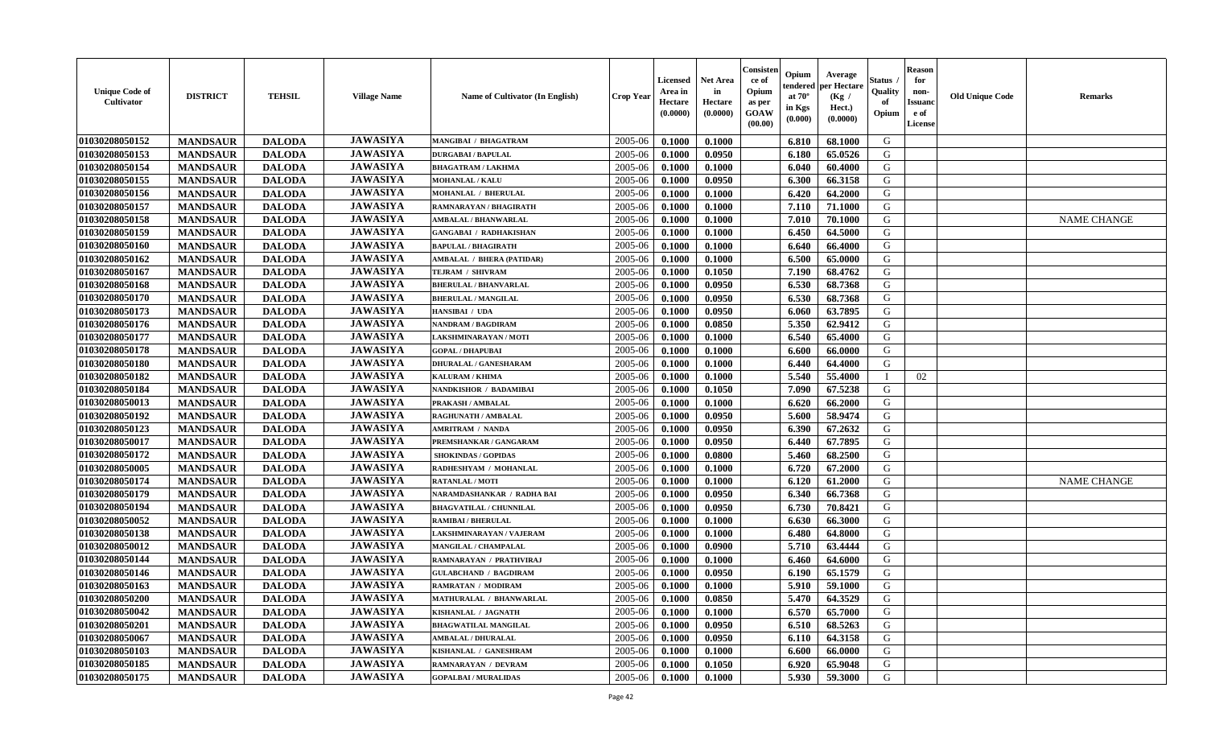| <b>Unique Code of</b><br><b>Cultivator</b> | <b>DISTRICT</b> | <b>TEHSIL</b> | <b>Village Name</b> | Name of Cultivator (In English)  | <b>Crop Year</b> | <b>Licensed</b><br>Area in<br>Hectare<br>(0.0000) | <b>Net Area</b><br>in<br>Hectare<br>(0.0000) | Consisteı<br>ce of<br>Opium<br>as per<br>GOAW<br>(00.00) | Opium<br>endered<br>at $70^\circ$<br>in Kgs<br>(0.000) | Average<br>per Hectare<br>(Kg /<br>Hect.)<br>(0.0000) | Status<br>Quality<br>of<br>Opium | <b>Reason</b><br>for<br>non-<br>Issuano<br>e of<br>License | <b>Old Unique Code</b> | Remarks            |
|--------------------------------------------|-----------------|---------------|---------------------|----------------------------------|------------------|---------------------------------------------------|----------------------------------------------|----------------------------------------------------------|--------------------------------------------------------|-------------------------------------------------------|----------------------------------|------------------------------------------------------------|------------------------|--------------------|
| 01030208050152                             | <b>MANDSAUR</b> | <b>DALODA</b> | <b>JAWASIYA</b>     | MANGIBAI / BHAGATRAM             | 2005-06          | 0.1000                                            | 0.1000                                       |                                                          | 6.810                                                  | 68.1000                                               | G                                |                                                            |                        |                    |
| 01030208050153                             | <b>MANDSAUR</b> | <b>DALODA</b> | <b>JAWASIYA</b>     | <b>DURGABAI/BAPULAL</b>          | 2005-06          | 0.1000                                            | 0.0950                                       |                                                          | 6.180                                                  | 65.0526                                               | G                                |                                                            |                        |                    |
| 01030208050154                             | <b>MANDSAUR</b> | <b>DALODA</b> | <b>JAWASIYA</b>     | <b>BHAGATRAM / LAKHMA</b>        | 2005-06          | 0.1000                                            | 0.1000                                       |                                                          | 6.040                                                  | 60.4000                                               | G                                |                                                            |                        |                    |
| 01030208050155                             | <b>MANDSAUR</b> | <b>DALODA</b> | <b>JAWASIYA</b>     | <b>MOHANLAL / KALU</b>           | 2005-06          | 0.1000                                            | 0.0950                                       |                                                          | 6.300                                                  | 66.3158                                               | G                                |                                                            |                        |                    |
| 01030208050156                             | <b>MANDSAUR</b> | <b>DALODA</b> | <b>JAWASIYA</b>     | <b>MOHANLAL / BHERULAL</b>       | 2005-06          | 0.1000                                            | 0.1000                                       |                                                          | 6.420                                                  | 64.2000                                               | G                                |                                                            |                        |                    |
| 01030208050157                             | <b>MANDSAUR</b> | <b>DALODA</b> | <b>JAWASIYA</b>     | RAMNARAYAN / BHAGIRATH           | 2005-06          | 0.1000                                            | 0.1000                                       |                                                          | 7.110                                                  | 71.1000                                               | G                                |                                                            |                        |                    |
| 01030208050158                             | <b>MANDSAUR</b> | <b>DALODA</b> | <b>JAWASIYA</b>     | AMBALAL / BHANWARLAL             | 2005-06          | 0.1000                                            | 0.1000                                       |                                                          | 7.010                                                  | 70.1000                                               | G                                |                                                            |                        | <b>NAME CHANGE</b> |
| 01030208050159                             | <b>MANDSAUR</b> | <b>DALODA</b> | <b>JAWASIYA</b>     | <b>GANGABAI / RADHAKISHAN</b>    | 2005-06          | 0.1000                                            | 0.1000                                       |                                                          | 6.450                                                  | 64.5000                                               | G                                |                                                            |                        |                    |
| 01030208050160                             | <b>MANDSAUR</b> | <b>DALODA</b> | <b>JAWASIYA</b>     | <b>BAPULAL / BHAGIRATH</b>       | 2005-06          | 0.1000                                            | 0.1000                                       |                                                          | 6.640                                                  | 66.4000                                               | G                                |                                                            |                        |                    |
| 01030208050162                             | <b>MANDSAUR</b> | <b>DALODA</b> | <b>JAWASIYA</b>     | <b>AMBALAL / BHERA (PATIDAR)</b> | 2005-06          | 0.1000                                            | 0.1000                                       |                                                          | 6.500                                                  | 65.0000                                               | G                                |                                                            |                        |                    |
| 01030208050167                             | <b>MANDSAUR</b> | <b>DALODA</b> | <b>JAWASIYA</b>     | TEJRAM / SHIVRAM                 | 2005-06          | 0.1000                                            | 0.1050                                       |                                                          | 7.190                                                  | 68.4762                                               | G                                |                                                            |                        |                    |
| 01030208050168                             | <b>MANDSAUR</b> | <b>DALODA</b> | <b>JAWASIYA</b>     | <b>BHERULAL / BHANVARLAL</b>     | 2005-06          | 0.1000                                            | 0.0950                                       |                                                          | 6.530                                                  | 68.7368                                               | G                                |                                                            |                        |                    |
| 01030208050170                             | <b>MANDSAUR</b> | <b>DALODA</b> | <b>JAWASIYA</b>     | <b>BHERULAL / MANGILAL</b>       | 2005-06          | 0.1000                                            | 0.0950                                       |                                                          | 6.530                                                  | 68.7368                                               | G                                |                                                            |                        |                    |
| 01030208050173                             | <b>MANDSAUR</b> | <b>DALODA</b> | <b>JAWASIYA</b>     | HANSIBAI / UDA                   | 2005-06          | 0.1000                                            | 0.0950                                       |                                                          | 6.060                                                  | 63.7895                                               | G                                |                                                            |                        |                    |
| 01030208050176                             | <b>MANDSAUR</b> | <b>DALODA</b> | <b>JAWASIYA</b>     | <b>NANDRAM / BAGDIRAM</b>        | 2005-06          | 0.1000                                            | 0.0850                                       |                                                          | 5.350                                                  | 62.9412                                               | $\mathbf G$                      |                                                            |                        |                    |
| 01030208050177                             | <b>MANDSAUR</b> | <b>DALODA</b> | <b>JAWASIYA</b>     | LAKSHMINARAYAN / MOTI            | 2005-06          | 0.1000                                            | 0.1000                                       |                                                          | 6.540                                                  | 65.4000                                               | G                                |                                                            |                        |                    |
| 01030208050178                             | <b>MANDSAUR</b> | <b>DALODA</b> | <b>JAWASIYA</b>     | <b>GOPAL / DHAPUBAI</b>          | 2005-06          | 0.1000                                            | 0.1000                                       |                                                          | 6.600                                                  | 66.0000                                               | G                                |                                                            |                        |                    |
| 01030208050180                             | <b>MANDSAUR</b> | <b>DALODA</b> | <b>JAWASIYA</b>     | <b>DHURALAL / GANESHARAM</b>     | 2005-06          | 0.1000                                            | 0.1000                                       |                                                          | 6.440                                                  | 64.4000                                               | G                                |                                                            |                        |                    |
| 01030208050182                             | <b>MANDSAUR</b> | <b>DALODA</b> | <b>JAWASIYA</b>     | KALURAM / KHIMA                  | 2005-06          | 0.1000                                            | 0.1000                                       |                                                          | 5.540                                                  | 55.4000                                               | $\mathbf I$                      | 02                                                         |                        |                    |
| 01030208050184                             | <b>MANDSAUR</b> | <b>DALODA</b> | <b>JAWASIYA</b>     | <b>NANDKISHOR / BADAMIBAI</b>    | 2005-06          | 0.1000                                            | 0.1050                                       |                                                          | 7.090                                                  | 67.5238                                               | G                                |                                                            |                        |                    |
| 01030208050013                             | <b>MANDSAUR</b> | <b>DALODA</b> | <b>JAWASIYA</b>     | PRAKASH / AMBALAL                | 2005-06          | 0.1000                                            | 0.1000                                       |                                                          | 6.620                                                  | 66.2000                                               | G                                |                                                            |                        |                    |
| 01030208050192                             | <b>MANDSAUR</b> | <b>DALODA</b> | <b>JAWASIYA</b>     | <b>RAGHUNATH / AMBALAL</b>       | 2005-06          | 0.1000                                            | 0.0950                                       |                                                          | 5.600                                                  | 58.9474                                               | G                                |                                                            |                        |                    |
| 01030208050123                             | <b>MANDSAUR</b> | <b>DALODA</b> | <b>JAWASIYA</b>     | <b>AMRITRAM / NANDA</b>          | 2005-06          | 0.1000                                            | 0.0950                                       |                                                          | 6.390                                                  | 67.2632                                               | G                                |                                                            |                        |                    |
| 01030208050017                             | <b>MANDSAUR</b> | <b>DALODA</b> | <b>JAWASIYA</b>     | PREMSHANKAR / GANGARAM           | 2005-06          | 0.1000                                            | 0.0950                                       |                                                          | 6.440                                                  | 67.7895                                               | G                                |                                                            |                        |                    |
| 01030208050172                             | <b>MANDSAUR</b> | <b>DALODA</b> | <b>JAWASIYA</b>     | <b>SHOKINDAS / GOPIDAS</b>       | 2005-06          | 0.1000                                            | 0.0800                                       |                                                          | 5.460                                                  | 68.2500                                               | G                                |                                                            |                        |                    |
| 01030208050005                             | <b>MANDSAUR</b> | <b>DALODA</b> | <b>JAWASIYA</b>     | RADHESHYAM / MOHANLAL            | 2005-06          | 0.1000                                            | 0.1000                                       |                                                          | 6.720                                                  | 67.2000                                               | G                                |                                                            |                        |                    |
| 01030208050174                             | <b>MANDSAUR</b> | <b>DALODA</b> | <b>JAWASIYA</b>     | <b>RATANLAL / MOTI</b>           | 2005-06          | 0.1000                                            | 0.1000                                       |                                                          | 6.120                                                  | 61.2000                                               | G                                |                                                            |                        | <b>NAME CHANGE</b> |
| 01030208050179                             | <b>MANDSAUR</b> | <b>DALODA</b> | <b>JAWASIYA</b>     | NARAMDASHANKAR / RADHA BAI       | 2005-06          | 0.1000                                            | 0.0950                                       |                                                          | 6.340                                                  | 66.7368                                               | G                                |                                                            |                        |                    |
| 01030208050194                             | <b>MANDSAUR</b> | <b>DALODA</b> | <b>JAWASIYA</b>     | <b>BHAGVATILAL / CHUNNILAL</b>   | 2005-06          | 0.1000                                            | 0.0950                                       |                                                          | 6.730                                                  | 70.8421                                               | G                                |                                                            |                        |                    |
| 01030208050052                             | <b>MANDSAUR</b> | <b>DALODA</b> | <b>JAWASIYA</b>     | <b>RAMIBAI / BHERULAL</b>        | 2005-06          | 0.1000                                            | 0.1000                                       |                                                          | 6.630                                                  | 66.3000                                               | G                                |                                                            |                        |                    |
| 01030208050138                             | <b>MANDSAUR</b> | <b>DALODA</b> | <b>JAWASIYA</b>     | LAKSHMINARAYAN / VAJERAM         | 2005-06          | 0.1000                                            | 0.1000                                       |                                                          | 6.480                                                  | 64.8000                                               | G                                |                                                            |                        |                    |
| 01030208050012                             | <b>MANDSAUR</b> | <b>DALODA</b> | <b>JAWASIYA</b>     | MANGILAL / CHAMPALAL             | 2005-06          | 0.1000                                            | 0.0900                                       |                                                          | 5.710                                                  | 63.4444                                               | G                                |                                                            |                        |                    |
| 01030208050144                             | <b>MANDSAUR</b> | <b>DALODA</b> | <b>JAWASIYA</b>     | RAMNARAYAN / PRATHVIRAJ          | 2005-06          | 0.1000                                            | 0.1000                                       |                                                          | 6.460                                                  | 64.6000                                               | G                                |                                                            |                        |                    |
| 01030208050146                             | <b>MANDSAUR</b> | <b>DALODA</b> | <b>JAWASIYA</b>     | <b>GULABCHAND / BAGDIRAM</b>     | 2005-06          | 0.1000                                            | 0.0950                                       |                                                          | 6.190                                                  | 65.1579                                               | G                                |                                                            |                        |                    |
| 01030208050163                             | <b>MANDSAUR</b> | <b>DALODA</b> | <b>JAWASIYA</b>     | <b>RAMRATAN / MODIRAM</b>        | 2005-06          | 0.1000                                            | 0.1000                                       |                                                          | 5.910                                                  | 59.1000                                               | G                                |                                                            |                        |                    |
| 01030208050200                             | <b>MANDSAUR</b> | <b>DALODA</b> | <b>JAWASIYA</b>     | MATHURALAL / BHANWARLAL          | 2005-06          | 0.1000                                            | 0.0850                                       |                                                          | 5.470                                                  | 64.3529                                               | G                                |                                                            |                        |                    |
| 01030208050042                             | <b>MANDSAUR</b> | <b>DALODA</b> | <b>JAWASIYA</b>     | KISHANLAL / JAGNATH              | 2005-06          | 0.1000                                            | 0.1000                                       |                                                          | 6.570                                                  | 65.7000                                               | G                                |                                                            |                        |                    |
| 01030208050201                             | <b>MANDSAUR</b> | <b>DALODA</b> | <b>JAWASIYA</b>     | <b>BHAGWATILAL MANGILAL</b>      | 2005-06          | 0.1000                                            | 0.0950                                       |                                                          | 6.510                                                  | 68.5263                                               | G                                |                                                            |                        |                    |
| 01030208050067                             | <b>MANDSAUR</b> | <b>DALODA</b> | <b>JAWASIYA</b>     | <b>AMBALAL / DHURALAL</b>        | 2005-06          | 0.1000                                            | 0.0950                                       |                                                          | 6.110                                                  | 64.3158                                               | G                                |                                                            |                        |                    |
| 01030208050103                             | <b>MANDSAUR</b> | <b>DALODA</b> | <b>JAWASIYA</b>     | KISHANLAL / GANESHRAM            | 2005-06          | 0.1000                                            | 0.1000                                       |                                                          | 6.600                                                  | 66.0000                                               | ${\bf G}$                        |                                                            |                        |                    |
| 01030208050185                             | <b>MANDSAUR</b> | <b>DALODA</b> | <b>JAWASIYA</b>     | RAMNARAYAN / DEVRAM              | 2005-06          | 0.1000                                            | 0.1050                                       |                                                          | 6.920                                                  | 65.9048                                               | G                                |                                                            |                        |                    |
| 01030208050175                             | <b>MANDSAUR</b> | <b>DALODA</b> | <b>JAWASIYA</b>     | <b>GOPALBAI/MURALIDAS</b>        | 2005-06          | 0.1000                                            | 0.1000                                       |                                                          | 5.930                                                  | 59.3000                                               | G                                |                                                            |                        |                    |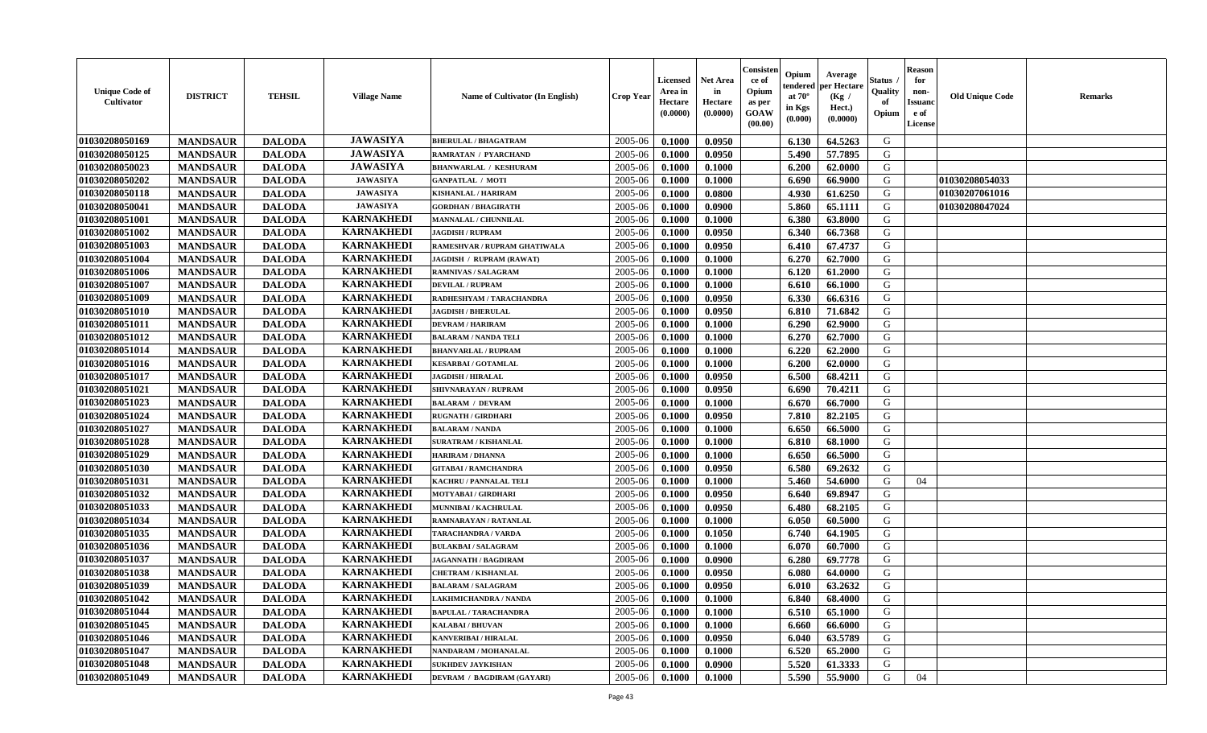| <b>Unique Code of</b><br><b>Cultivator</b> | <b>DISTRICT</b> | <b>TEHSIL</b> | <b>Village Name</b> | Name of Cultivator (In English) | <b>Crop Year</b> | <b>Licensed</b><br>Area in<br>Hectare<br>(0.0000) | <b>Net Area</b><br>in<br>Hectare<br>(0.0000) | Consister<br>ce of<br>Opium<br>as per<br><b>GOAW</b><br>(00.00) | Opium<br>endered<br>at $70^\circ$<br>in Kgs<br>(0.000) | Average<br>per Hectare<br>(Kg /<br>Hect.)<br>(0.0000) | Status<br>Quality<br>of<br>Opium | <b>Reason</b><br>for<br>non-<br><b>Issuand</b><br>e of<br><b>License</b> | <b>Old Unique Code</b> | <b>Remarks</b> |
|--------------------------------------------|-----------------|---------------|---------------------|---------------------------------|------------------|---------------------------------------------------|----------------------------------------------|-----------------------------------------------------------------|--------------------------------------------------------|-------------------------------------------------------|----------------------------------|--------------------------------------------------------------------------|------------------------|----------------|
| 01030208050169                             | <b>MANDSAUR</b> | <b>DALODA</b> | <b>JAWASIYA</b>     | <b>BHERULAL / BHAGATRAM</b>     | 2005-06          | 0.1000                                            | 0.0950                                       |                                                                 | 6.130                                                  | 64.5263                                               | G                                |                                                                          |                        |                |
| 01030208050125                             | <b>MANDSAUR</b> | <b>DALODA</b> | <b>JAWASIYA</b>     | <b>RAMRATAN / PYARCHAND</b>     | 2005-06          | 0.1000                                            | 0.0950                                       |                                                                 | 5.490                                                  | 57.7895                                               | G                                |                                                                          |                        |                |
| 01030208050023                             | <b>MANDSAUR</b> | <b>DALODA</b> | <b>JAWASIYA</b>     | <b>BHANWARLAL / KESHURAM</b>    | 2005-06          | 0.1000                                            | 0.1000                                       |                                                                 | 6.200                                                  | 62.0000                                               | G                                |                                                                          |                        |                |
| 01030208050202                             | <b>MANDSAUR</b> | <b>DALODA</b> | <b>JAWASIYA</b>     | <b>GANPATLAL / MOTI</b>         | 2005-06          | 0.1000                                            | 0.1000                                       |                                                                 | 6.690                                                  | 66.9000                                               | G                                |                                                                          | 01030208054033         |                |
| 01030208050118                             | <b>MANDSAUR</b> | <b>DALODA</b> | <b>JAWASIYA</b>     | <b>KISHANLAL / HARIRAM</b>      | 2005-06          | 0.1000                                            | 0.0800                                       |                                                                 | 4.930                                                  | 61.6250                                               | G                                |                                                                          | 01030207061016         |                |
| 01030208050041                             | <b>MANDSAUR</b> | <b>DALODA</b> | <b>JAWASIYA</b>     | <b>GORDHAN / BHAGIRATH</b>      | 2005-06          | 0.1000                                            | 0.0900                                       |                                                                 | 5.860                                                  | 65.1111                                               | G                                |                                                                          | 01030208047024         |                |
| 01030208051001                             | <b>MANDSAUR</b> | <b>DALODA</b> | <b>KARNAKHEDI</b>   | <b>MANNALAL / CHUNNILAL</b>     | 2005-06          | 0.1000                                            | 0.1000                                       |                                                                 | 6.380                                                  | 63.8000                                               | G                                |                                                                          |                        |                |
| 01030208051002                             | <b>MANDSAUR</b> | <b>DALODA</b> | <b>KARNAKHEDI</b>   | <b>JAGDISH / RUPRAM</b>         | 2005-06          | 0.1000                                            | 0.0950                                       |                                                                 | 6.340                                                  | 66.7368                                               | ${\bf G}$                        |                                                                          |                        |                |
| 01030208051003                             | <b>MANDSAUR</b> | <b>DALODA</b> | <b>KARNAKHEDI</b>   | RAMESHVAR / RUPRAM GHATIWALA    | 2005-06          | 0.1000                                            | 0.0950                                       |                                                                 | 6.410                                                  | 67.4737                                               | G                                |                                                                          |                        |                |
| 01030208051004                             | <b>MANDSAUR</b> | <b>DALODA</b> | <b>KARNAKHEDI</b>   | JAGDISH / RUPRAM (RAWAT)        | 2005-06          | 0.1000                                            | 0.1000                                       |                                                                 | 6.270                                                  | 62.7000                                               | G                                |                                                                          |                        |                |
| 01030208051006                             | <b>MANDSAUR</b> | <b>DALODA</b> | <b>KARNAKHEDI</b>   | <b>RAMNIVAS / SALAGRAM</b>      | 2005-06          | 0.1000                                            | 0.1000                                       |                                                                 | 6.120                                                  | 61.2000                                               | G                                |                                                                          |                        |                |
| 01030208051007                             | <b>MANDSAUR</b> | <b>DALODA</b> | <b>KARNAKHEDI</b>   | <b>DEVILAL / RUPRAM</b>         | 2005-06          | 0.1000                                            | 0.1000                                       |                                                                 | 6.610                                                  | 66.1000                                               | G                                |                                                                          |                        |                |
| 01030208051009                             | <b>MANDSAUR</b> | <b>DALODA</b> | <b>KARNAKHEDI</b>   | RADHESHYAM / TARACHANDRA        | 2005-06          | 0.1000                                            | 0.0950                                       |                                                                 | 6.330                                                  | 66.6316                                               | G                                |                                                                          |                        |                |
| 01030208051010                             | <b>MANDSAUR</b> | <b>DALODA</b> | <b>KARNAKHEDI</b>   | <b>JAGDISH / BHERULAL</b>       | 2005-06          | 0.1000                                            | 0.0950                                       |                                                                 | 6.810                                                  | 71.6842                                               | G                                |                                                                          |                        |                |
| 01030208051011                             | <b>MANDSAUR</b> | <b>DALODA</b> | <b>KARNAKHEDI</b>   | <b>DEVRAM / HARIRAM</b>         | 2005-06          | 0.1000                                            | 0.1000                                       |                                                                 | 6.290                                                  | 62.9000                                               | G                                |                                                                          |                        |                |
| 01030208051012                             | <b>MANDSAUR</b> | <b>DALODA</b> | <b>KARNAKHEDI</b>   | <b>BALARAM / NANDA TELI</b>     | 2005-06          | 0.1000                                            | 0.1000                                       |                                                                 | 6.270                                                  | 62.7000                                               | G                                |                                                                          |                        |                |
| 01030208051014                             | <b>MANDSAUR</b> | <b>DALODA</b> | <b>KARNAKHEDI</b>   | <b>BHANVARLAL / RUPRAM</b>      | 2005-06          | 0.1000                                            | 0.1000                                       |                                                                 | 6.220                                                  | 62.2000                                               | G                                |                                                                          |                        |                |
| 01030208051016                             | <b>MANDSAUR</b> | <b>DALODA</b> | <b>KARNAKHEDI</b>   | <b>KESARBAI/GOTAMLAL</b>        | 2005-06          | 0.1000                                            | 0.1000                                       |                                                                 | 6.200                                                  | 62.0000                                               | G                                |                                                                          |                        |                |
| 01030208051017                             | <b>MANDSAUR</b> | <b>DALODA</b> | <b>KARNAKHEDI</b>   | <b>JAGDISH / HIRALAL</b>        | 2005-06          | 0.1000                                            | 0.0950                                       |                                                                 | 6.500                                                  | 68.4211                                               | G                                |                                                                          |                        |                |
| 01030208051021                             | <b>MANDSAUR</b> | <b>DALODA</b> | <b>KARNAKHEDI</b>   | SHIVNARAYAN / RUPRAM            | 2005-06          | 0.1000                                            | 0.0950                                       |                                                                 | 6.690                                                  | 70.4211                                               | G                                |                                                                          |                        |                |
| 01030208051023                             | <b>MANDSAUR</b> | <b>DALODA</b> | <b>KARNAKHEDI</b>   | <b>BALARAM / DEVRAM</b>         | 2005-06          | 0.1000                                            | 0.1000                                       |                                                                 | 6.670                                                  | 66.7000                                               | G                                |                                                                          |                        |                |
| 01030208051024                             | <b>MANDSAUR</b> | <b>DALODA</b> | <b>KARNAKHEDI</b>   | <b>RUGNATH / GIRDHARI</b>       | 2005-06          | 0.1000                                            | 0.0950                                       |                                                                 | 7.810                                                  | 82.2105                                               | G                                |                                                                          |                        |                |
| 01030208051027                             | <b>MANDSAUR</b> | <b>DALODA</b> | <b>KARNAKHEDI</b>   | <b>BALARAM / NANDA</b>          | 2005-06          | 0.1000                                            | 0.1000                                       |                                                                 | 6.650                                                  | 66.5000                                               | G                                |                                                                          |                        |                |
| 01030208051028                             | <b>MANDSAUR</b> | <b>DALODA</b> | <b>KARNAKHEDI</b>   | <b>SURATRAM / KISHANLAL</b>     | 2005-06          | 0.1000                                            | 0.1000                                       |                                                                 | 6.810                                                  | 68.1000                                               | G                                |                                                                          |                        |                |
| 01030208051029                             | <b>MANDSAUR</b> | <b>DALODA</b> | <b>KARNAKHEDI</b>   | <b>HARIRAM / DHANNA</b>         | 2005-06          | 0.1000                                            | 0.1000                                       |                                                                 | 6.650                                                  | 66.5000                                               | G                                |                                                                          |                        |                |
| 01030208051030                             | <b>MANDSAUR</b> | <b>DALODA</b> | <b>KARNAKHEDI</b>   | <b>GITABAI/RAMCHANDRA</b>       | 2005-06          | 0.1000                                            | 0.0950                                       |                                                                 | 6.580                                                  | 69.2632                                               | G                                |                                                                          |                        |                |
| 01030208051031                             | <b>MANDSAUR</b> | <b>DALODA</b> | <b>KARNAKHEDI</b>   | <b>KACHRU / PANNALAL TELI</b>   | 2005-06          | 0.1000                                            | 0.1000                                       |                                                                 | 5.460                                                  | 54.6000                                               | G                                | 04                                                                       |                        |                |
| 01030208051032                             | <b>MANDSAUR</b> | <b>DALODA</b> | <b>KARNAKHEDI</b>   | MOTYABAI / GIRDHARI             | 2005-06          | 0.1000                                            | 0.0950                                       |                                                                 | 6.640                                                  | 69.8947                                               | G                                |                                                                          |                        |                |
| 01030208051033                             | <b>MANDSAUR</b> | <b>DALODA</b> | <b>KARNAKHEDI</b>   | MUNNIBAI / KACHRULAL            | 2005-06          | 0.1000                                            | 0.0950                                       |                                                                 | 6.480                                                  | 68.2105                                               | G                                |                                                                          |                        |                |
| 01030208051034                             | <b>MANDSAUR</b> | <b>DALODA</b> | <b>KARNAKHEDI</b>   | <b>RAMNARAYAN / RATANLAL</b>    | 2005-06          | 0.1000                                            | 0.1000                                       |                                                                 | 6.050                                                  | 60.5000                                               | G                                |                                                                          |                        |                |
| 01030208051035                             | <b>MANDSAUR</b> | <b>DALODA</b> | <b>KARNAKHEDI</b>   | TARACHANDRA / VARDA             | 2005-06          | 0.1000                                            | 0.1050                                       |                                                                 | 6.740                                                  | 64.1905                                               | G                                |                                                                          |                        |                |
| 01030208051036                             | <b>MANDSAUR</b> | <b>DALODA</b> | <b>KARNAKHEDI</b>   | <b>BULAKBAI/SALAGRAM</b>        | 2005-06          | 0.1000                                            | 0.1000                                       |                                                                 | 6.070                                                  | 60.7000                                               | ${\bf G}$                        |                                                                          |                        |                |
| 01030208051037                             | <b>MANDSAUR</b> | <b>DALODA</b> | <b>KARNAKHEDI</b>   | <b>JAGANNATH / BAGDIRAM</b>     | 2005-06          | 0.1000                                            | 0.0900                                       |                                                                 | 6.280                                                  | 69.7778                                               | G                                |                                                                          |                        |                |
| 01030208051038                             | <b>MANDSAUR</b> | <b>DALODA</b> | <b>KARNAKHEDI</b>   | <b>CHETRAM / KISHANLAL</b>      | 2005-06          | 0.1000                                            | 0.0950                                       |                                                                 | 6.080                                                  | 64.0000                                               | G                                |                                                                          |                        |                |
| 01030208051039                             | <b>MANDSAUR</b> | <b>DALODA</b> | <b>KARNAKHEDI</b>   | <b>BALARAM / SALAGRAM</b>       | 2005-06          | 0.1000                                            | 0.0950                                       |                                                                 | 6.010                                                  | 63.2632                                               | G                                |                                                                          |                        |                |
| 01030208051042                             | <b>MANDSAUR</b> | <b>DALODA</b> | <b>KARNAKHEDI</b>   | LAKHMICHANDRA / NANDA           | 2005-06          | 0.1000                                            | 0.1000                                       |                                                                 | 6.840                                                  | 68.4000                                               | G                                |                                                                          |                        |                |
| 01030208051044                             | <b>MANDSAUR</b> | <b>DALODA</b> | <b>KARNAKHEDI</b>   | <b>BAPULAL / TARACHANDRA</b>    | 2005-06          | 0.1000                                            | 0.1000                                       |                                                                 | 6.510                                                  | 65.1000                                               | G                                |                                                                          |                        |                |
| 01030208051045                             | <b>MANDSAUR</b> | <b>DALODA</b> | <b>KARNAKHEDI</b>   | <b>KALABAI/BHUVAN</b>           | 2005-06          | 0.1000                                            | 0.1000                                       |                                                                 | 6.660                                                  | 66.6000                                               | G                                |                                                                          |                        |                |
| 01030208051046                             | <b>MANDSAUR</b> | <b>DALODA</b> | <b>KARNAKHEDI</b>   | <b>KANVERIBAI / HIRALAL</b>     | 2005-06          | 0.1000                                            | 0.0950                                       |                                                                 | 6.040                                                  | 63.5789                                               | G                                |                                                                          |                        |                |
| 01030208051047                             | <b>MANDSAUR</b> | <b>DALODA</b> | <b>KARNAKHEDI</b>   | <b>NANDARAM / MOHANALAL</b>     | 2005-06          | 0.1000                                            | 0.1000                                       |                                                                 | 6.520                                                  | 65.2000                                               | G                                |                                                                          |                        |                |
| 01030208051048                             | <b>MANDSAUR</b> | <b>DALODA</b> | <b>KARNAKHEDI</b>   | <b>SUKHDEV JAYKISHAN</b>        | 2005-06          | 0.1000                                            | 0.0900                                       |                                                                 | 5.520                                                  | 61.3333                                               | G                                |                                                                          |                        |                |
| 01030208051049                             | <b>MANDSAUR</b> | <b>DALODA</b> | <b>KARNAKHEDI</b>   | DEVRAM / BAGDIRAM (GAYARI)      | 2005-06          | 0.1000                                            | 0.1000                                       |                                                                 | 5.590                                                  | 55.9000                                               | G                                | 04                                                                       |                        |                |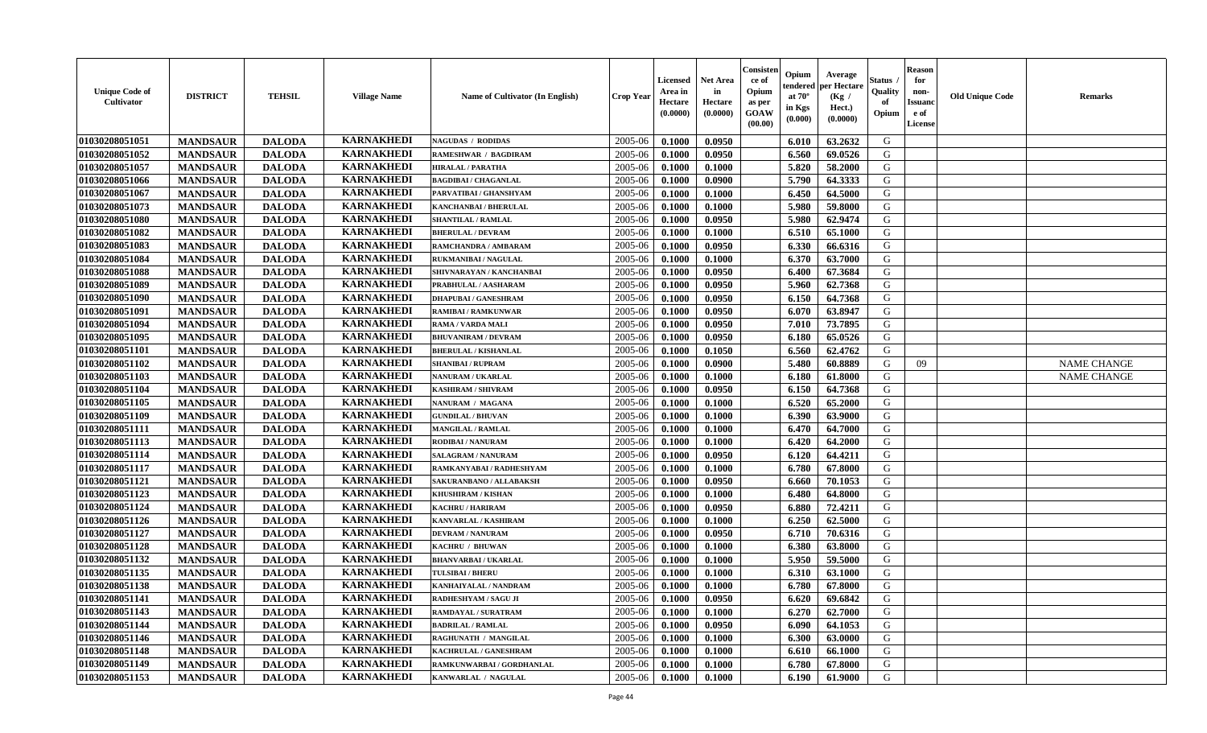| <b>Unique Code of</b><br><b>Cultivator</b> | <b>DISTRICT</b> | <b>TEHSIL</b> | <b>Village Name</b> | Name of Cultivator (In English) | <b>Crop Year</b> | <b>Licensed</b><br>Area in<br>Hectare<br>(0.0000) | <b>Net Area</b><br>in<br>Hectare<br>(0.0000) | Consisteı<br>ce of<br>Opium<br>as per<br><b>GOAW</b><br>(00.00) | Opium<br>endered<br>at $70^\circ$<br>in Kgs<br>$(\mathbf{0.000})$ | Average<br>per Hectare<br>(Kg /<br>Hect.)<br>(0.0000) | Status<br>Quality<br>of<br>Opium | Reason<br>for<br>non-<br>Issuan<br>e of<br>License | <b>Old Unique Code</b> | <b>Remarks</b>     |
|--------------------------------------------|-----------------|---------------|---------------------|---------------------------------|------------------|---------------------------------------------------|----------------------------------------------|-----------------------------------------------------------------|-------------------------------------------------------------------|-------------------------------------------------------|----------------------------------|----------------------------------------------------|------------------------|--------------------|
| 01030208051051                             | <b>MANDSAUR</b> | <b>DALODA</b> | <b>KARNAKHEDI</b>   | <b>NAGUDAS / RODIDAS</b>        | 2005-06          | 0.1000                                            | 0.0950                                       |                                                                 | 6.010                                                             | 63.2632                                               | G                                |                                                    |                        |                    |
| 01030208051052                             | <b>MANDSAUR</b> | <b>DALODA</b> | <b>KARNAKHEDI</b>   | <b>RAMESHWAR / BAGDIRAM</b>     | 2005-06          | 0.1000                                            | 0.0950                                       |                                                                 | 6.560                                                             | 69.0526                                               | G                                |                                                    |                        |                    |
| 01030208051057                             | <b>MANDSAUR</b> | <b>DALODA</b> | <b>KARNAKHEDI</b>   | <b>HIRALAL / PARATHA</b>        | 2005-06          | 0.1000                                            | 0.1000                                       |                                                                 | 5.820                                                             | 58.2000                                               | G                                |                                                    |                        |                    |
| 01030208051066                             | <b>MANDSAUR</b> | <b>DALODA</b> | <b>KARNAKHEDI</b>   | <b>BAGDIBAI / CHAGANLAL</b>     | 2005-06          | 0.1000                                            | 0.0900                                       |                                                                 | 5.790                                                             | 64.3333                                               | G                                |                                                    |                        |                    |
| 01030208051067                             | <b>MANDSAUR</b> | <b>DALODA</b> | <b>KARNAKHEDI</b>   | PARVATIBAI / GHANSHYAM          | 2005-06          | 0.1000                                            | 0.1000                                       |                                                                 | 6.450                                                             | 64.5000                                               | G                                |                                                    |                        |                    |
| 01030208051073                             | <b>MANDSAUR</b> | <b>DALODA</b> | <b>KARNAKHEDI</b>   | <b>KANCHANBAI / BHERULAL</b>    | 2005-06          | 0.1000                                            | 0.1000                                       |                                                                 | 5.980                                                             | 59.8000                                               | G                                |                                                    |                        |                    |
| 01030208051080                             | <b>MANDSAUR</b> | <b>DALODA</b> | <b>KARNAKHEDI</b>   | <b>SHANTILAL / RAMLAL</b>       | 2005-06          | 0.1000                                            | 0.0950                                       |                                                                 | 5.980                                                             | 62.9474                                               | G                                |                                                    |                        |                    |
| 01030208051082                             | <b>MANDSAUR</b> | <b>DALODA</b> | <b>KARNAKHEDI</b>   | <b>BHERULAL / DEVRAM</b>        | 2005-06          | 0.1000                                            | 0.1000                                       |                                                                 | 6.510                                                             | 65.1000                                               | G                                |                                                    |                        |                    |
| 01030208051083                             | <b>MANDSAUR</b> | <b>DALODA</b> | <b>KARNAKHEDI</b>   | RAMCHANDRA / AMBARAM            | 2005-06          | 0.1000                                            | 0.0950                                       |                                                                 | 6.330                                                             | 66.6316                                               | G                                |                                                    |                        |                    |
| 01030208051084                             | <b>MANDSAUR</b> | <b>DALODA</b> | <b>KARNAKHEDI</b>   | RUKMANIBAI / NAGULAL            | 2005-06          | 0.1000                                            | 0.1000                                       |                                                                 | 6.370                                                             | 63.7000                                               | G                                |                                                    |                        |                    |
| 01030208051088                             | <b>MANDSAUR</b> | <b>DALODA</b> | <b>KARNAKHEDI</b>   | SHIVNARAYAN / KANCHANBAI        | 2005-06          | 0.1000                                            | 0.0950                                       |                                                                 | 6.400                                                             | 67.3684                                               | G                                |                                                    |                        |                    |
| 01030208051089                             | <b>MANDSAUR</b> | <b>DALODA</b> | <b>KARNAKHEDI</b>   | PRABHULAL / AASHARAM            | 2005-06          | 0.1000                                            | 0.0950                                       |                                                                 | 5.960                                                             | 62.7368                                               | G                                |                                                    |                        |                    |
| 01030208051090                             | <b>MANDSAUR</b> | <b>DALODA</b> | <b>KARNAKHEDI</b>   | <b>DHAPUBAI/GANESHRAM</b>       | 2005-06          | 0.1000                                            | 0.0950                                       |                                                                 | 6.150                                                             | 64.7368                                               | G                                |                                                    |                        |                    |
| 01030208051091                             | <b>MANDSAUR</b> | <b>DALODA</b> | <b>KARNAKHEDI</b>   | <b>RAMIBAI / RAMKUNWAR</b>      | 2005-06          | 0.1000                                            | 0.0950                                       |                                                                 | 6.070                                                             | 63.8947                                               | G                                |                                                    |                        |                    |
| 01030208051094                             | <b>MANDSAUR</b> | <b>DALODA</b> | <b>KARNAKHEDI</b>   | RAMA / VARDA MALI               | 2005-06          | 0.1000                                            | 0.0950                                       |                                                                 | 7.010                                                             | 73.7895                                               | G                                |                                                    |                        |                    |
| 01030208051095                             | <b>MANDSAUR</b> | <b>DALODA</b> | <b>KARNAKHEDI</b>   | <b>BHUVANIRAM / DEVRAM</b>      | 2005-06          | 0.1000                                            | 0.0950                                       |                                                                 | 6.180                                                             | 65.0526                                               | G                                |                                                    |                        |                    |
| 01030208051101                             | <b>MANDSAUR</b> | <b>DALODA</b> | <b>KARNAKHEDI</b>   | <b>BHERULAL / KISHANLAL</b>     | 2005-06          | 0.1000                                            | 0.1050                                       |                                                                 | 6.560                                                             | 62.4762                                               | G                                |                                                    |                        |                    |
| 01030208051102                             | <b>MANDSAUR</b> | <b>DALODA</b> | <b>KARNAKHEDI</b>   | <b>SHANIBAI / RUPRAM</b>        | 2005-06          | 0.1000                                            | 0.0900                                       |                                                                 | 5.480                                                             | 60.8889                                               | G                                | 09                                                 |                        | <b>NAME CHANGE</b> |
| 01030208051103                             | <b>MANDSAUR</b> | <b>DALODA</b> | <b>KARNAKHEDI</b>   | <b>NANURAM / UKARLAL</b>        | 2005-06          | 0.1000                                            | 0.1000                                       |                                                                 | 6.180                                                             | 61.8000                                               | G                                |                                                    |                        | <b>NAME CHANGE</b> |
| 01030208051104                             | <b>MANDSAUR</b> | <b>DALODA</b> | <b>KARNAKHEDI</b>   | KASHIRAM / SHIVRAM              | 2005-06          | 0.1000                                            | 0.0950                                       |                                                                 | 6.150                                                             | 64.7368                                               | G                                |                                                    |                        |                    |
| 01030208051105                             | <b>MANDSAUR</b> | <b>DALODA</b> | <b>KARNAKHEDI</b>   | NANURAM / MAGANA                | 2005-06          | 0.1000                                            | 0.1000                                       |                                                                 | 6.520                                                             | 65.2000                                               | G                                |                                                    |                        |                    |
| 01030208051109                             | <b>MANDSAUR</b> | <b>DALODA</b> | <b>KARNAKHEDI</b>   | <b>GUNDILAL / BHUVAN</b>        | 2005-06          | 0.1000                                            | 0.1000                                       |                                                                 | 6.390                                                             | 63.9000                                               | G                                |                                                    |                        |                    |
| 01030208051111                             | <b>MANDSAUR</b> | <b>DALODA</b> | <b>KARNAKHEDI</b>   | <b>MANGILAL / RAMLAL</b>        | 2005-06          | 0.1000                                            | 0.1000                                       |                                                                 | 6.470                                                             | 64.7000                                               | G                                |                                                    |                        |                    |
| 01030208051113                             | <b>MANDSAUR</b> | <b>DALODA</b> | <b>KARNAKHEDI</b>   | RODIBAI / NANURAM               | 2005-06          | 0.1000                                            | 0.1000                                       |                                                                 | 6.420                                                             | 64.2000                                               | G                                |                                                    |                        |                    |
| 01030208051114                             | <b>MANDSAUR</b> | <b>DALODA</b> | <b>KARNAKHEDI</b>   | <b>SALAGRAM / NANURAM</b>       | 2005-06          | 0.1000                                            | 0.0950                                       |                                                                 | 6.120                                                             | 64.4211                                               | G                                |                                                    |                        |                    |
| 01030208051117                             | <b>MANDSAUR</b> | <b>DALODA</b> | <b>KARNAKHEDI</b>   | RAMKANYABAI / RADHESHYAM        | 2005-06          | 0.1000                                            | 0.1000                                       |                                                                 | 6.780                                                             | 67.8000                                               | G                                |                                                    |                        |                    |
| 01030208051121                             | <b>MANDSAUR</b> | <b>DALODA</b> | <b>KARNAKHEDI</b>   | SAKURANBANO / ALLABAKSH         | 2005-06          | 0.1000                                            | 0.0950                                       |                                                                 | 6.660                                                             | 70.1053                                               | G                                |                                                    |                        |                    |
| 01030208051123                             | <b>MANDSAUR</b> | <b>DALODA</b> | <b>KARNAKHEDI</b>   | KHUSHIRAM / KISHAN              | 2005-06          | 0.1000                                            | 0.1000                                       |                                                                 | 6.480                                                             | 64.8000                                               | G                                |                                                    |                        |                    |
| 01030208051124                             | <b>MANDSAUR</b> | <b>DALODA</b> | <b>KARNAKHEDI</b>   | <b>KACHRU / HARIRAM</b>         | 2005-06          | 0.1000                                            | 0.0950                                       |                                                                 | 6.880                                                             | 72,4211                                               | G                                |                                                    |                        |                    |
| 01030208051126                             | <b>MANDSAUR</b> | <b>DALODA</b> | <b>KARNAKHEDI</b>   | KANVARLAL / KASHIRAM            | 2005-06          | 0.1000                                            | 0.1000                                       |                                                                 | 6.250                                                             | 62.5000                                               | G                                |                                                    |                        |                    |
| 01030208051127                             | <b>MANDSAUR</b> | <b>DALODA</b> | <b>KARNAKHEDI</b>   | <b>DEVRAM / NANURAM</b>         | 2005-06          | 0.1000                                            | 0.0950                                       |                                                                 | 6.710                                                             | 70.6316                                               | G                                |                                                    |                        |                    |
| 01030208051128                             | <b>MANDSAUR</b> | <b>DALODA</b> | <b>KARNAKHEDI</b>   | KACHRU / BHUWAN                 | 2005-06          | 0.1000                                            | 0.1000                                       |                                                                 | 6.380                                                             | 63.8000                                               | G                                |                                                    |                        |                    |
| 01030208051132                             | <b>MANDSAUR</b> | <b>DALODA</b> | <b>KARNAKHEDI</b>   | <b>BHANVARBAI/UKARLAL</b>       | 2005-06          | 0.1000                                            | 0.1000                                       |                                                                 | 5.950                                                             | 59.5000                                               | G                                |                                                    |                        |                    |
| 01030208051135                             | <b>MANDSAUR</b> | <b>DALODA</b> | <b>KARNAKHEDI</b>   | <b>TULSIBAI/BHERU</b>           | 2005-06          | 0.1000                                            | 0.1000                                       |                                                                 | 6.310                                                             | 63.1000                                               | G                                |                                                    |                        |                    |
| 01030208051138                             | <b>MANDSAUR</b> | <b>DALODA</b> | <b>KARNAKHEDI</b>   | KANHAIYALAL / NANDRAM           | 2005-06          | 0.1000                                            | 0.1000                                       |                                                                 | 6.780                                                             | 67.8000                                               | G                                |                                                    |                        |                    |
| 01030208051141                             | <b>MANDSAUR</b> | <b>DALODA</b> | <b>KARNAKHEDI</b>   | RADHESHYAM / SAGU JI            | $2005 - 06$      | 0.1000                                            | 0.0950                                       |                                                                 | $6.620$                                                           | 69.6842                                               | G                                |                                                    |                        |                    |
| 01030208051143                             | <b>MANDSAUR</b> | <b>DALODA</b> | <b>KARNAKHEDI</b>   | RAMDAYAL / SURATRAM             | 2005-06          | 0.1000                                            | 0.1000                                       |                                                                 | 6.270                                                             | 62.7000                                               | G                                |                                                    |                        |                    |
| 01030208051144                             | <b>MANDSAUR</b> | <b>DALODA</b> | <b>KARNAKHEDI</b>   | <b>BADRILAL / RAMLAL</b>        | 2005-06          | 0.1000                                            | 0.0950                                       |                                                                 | 6.090                                                             | 64.1053                                               | G                                |                                                    |                        |                    |
| 01030208051146                             | <b>MANDSAUR</b> | <b>DALODA</b> | <b>KARNAKHEDI</b>   | RAGHUNATH / MANGILAL            | 2005-06          | 0.1000                                            | 0.1000                                       |                                                                 | 6.300                                                             | 63.0000                                               | G                                |                                                    |                        |                    |
| 01030208051148                             | <b>MANDSAUR</b> | <b>DALODA</b> | <b>KARNAKHEDI</b>   | KACHRULAL / GANESHRAM           | 2005-06          | 0.1000                                            | 0.1000                                       |                                                                 | 6.610                                                             | 66.1000                                               | G                                |                                                    |                        |                    |
| 01030208051149                             | <b>MANDSAUR</b> | <b>DALODA</b> | <b>KARNAKHEDI</b>   | RAMKUNWARBAI / GORDHANLAL       | 2005-06          | 0.1000                                            | 0.1000                                       |                                                                 | 6.780                                                             | 67.8000                                               | G                                |                                                    |                        |                    |
| 01030208051153                             | <b>MANDSAUR</b> | <b>DALODA</b> | <b>KARNAKHEDI</b>   | KANWARLAL / NAGULAL             | 2005-06          | 0.1000                                            | 0.1000                                       |                                                                 | 6.190                                                             | 61.9000                                               | G                                |                                                    |                        |                    |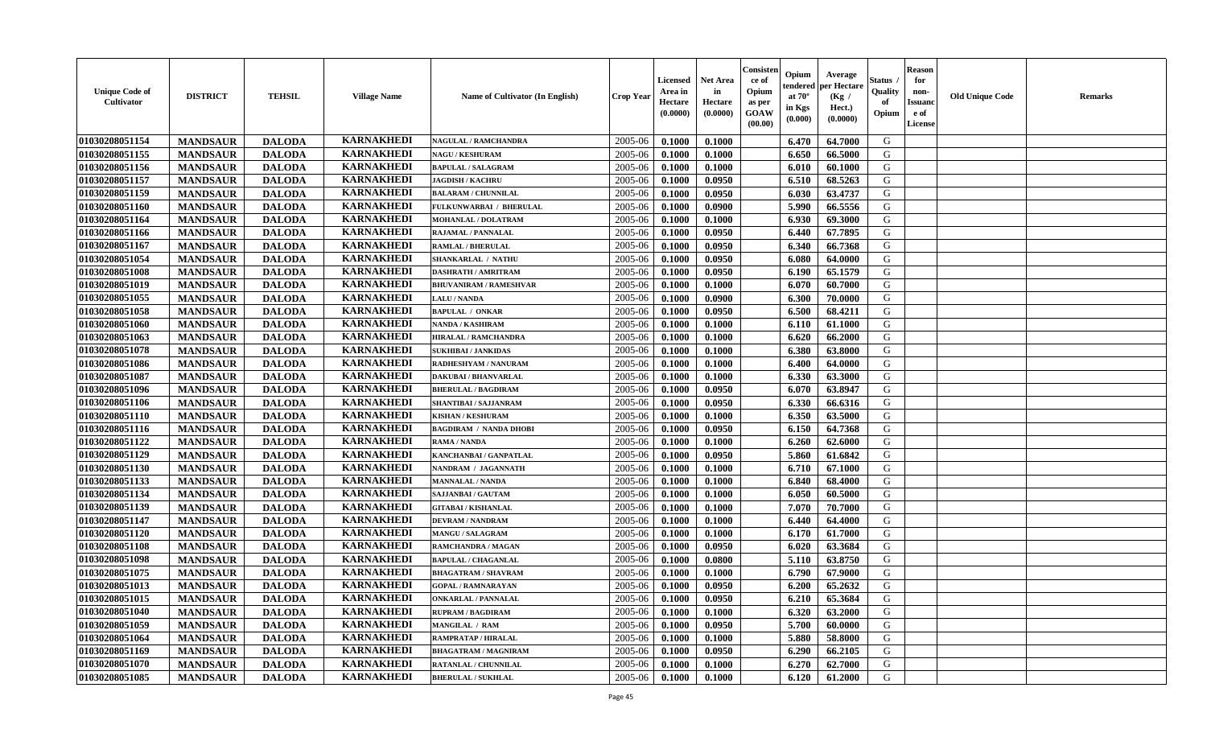| <b>Unique Code of</b><br><b>Cultivator</b> | <b>DISTRICT</b> | <b>TEHSIL</b> | <b>Village Name</b> | Name of Cultivator (In English) | <b>Crop Year</b> | Licensed<br>Area in<br>Hectare<br>(0.0000) | <b>Net Area</b><br>in<br>Hectare<br>(0.0000) | Consister<br>ce of<br>Opium<br>as per<br>GOAW<br>(00.00) | Opium<br>endered<br>at $70^\circ$<br>in Kgs<br>(0.000) | Average<br>per Hectare<br>(Kg /<br>Hect.)<br>(0.0000) | Status<br>Quality<br>of<br>Opium | <b>Reason</b><br>for<br>non-<br><b>Issuand</b><br>e of<br>License | <b>Old Unique Code</b> | <b>Remarks</b> |
|--------------------------------------------|-----------------|---------------|---------------------|---------------------------------|------------------|--------------------------------------------|----------------------------------------------|----------------------------------------------------------|--------------------------------------------------------|-------------------------------------------------------|----------------------------------|-------------------------------------------------------------------|------------------------|----------------|
| 01030208051154                             | <b>MANDSAUR</b> | <b>DALODA</b> | <b>KARNAKHEDI</b>   | NAGULAL / RAMCHANDRA            | 2005-06          | 0.1000                                     | 0.1000                                       |                                                          | 6.470                                                  | 64.7000                                               | G                                |                                                                   |                        |                |
| 01030208051155                             | <b>MANDSAUR</b> | <b>DALODA</b> | <b>KARNAKHEDI</b>   | <b>NAGU / KESHURAM</b>          | 2005-06          | 0.1000                                     | 0.1000                                       |                                                          | 6.650                                                  | 66.5000                                               | G                                |                                                                   |                        |                |
| 01030208051156                             | <b>MANDSAUR</b> | <b>DALODA</b> | <b>KARNAKHEDI</b>   | <b>BAPULAL / SALAGRAM</b>       | 2005-06          | 0.1000                                     | 0.1000                                       |                                                          | 6.010                                                  | 60.1000                                               | G                                |                                                                   |                        |                |
| 01030208051157                             | <b>MANDSAUR</b> | <b>DALODA</b> | <b>KARNAKHEDI</b>   | <b>JAGDISH / KACHRU</b>         | 2005-06          | 0.1000                                     | 0.0950                                       |                                                          | 6.510                                                  | 68.5263                                               | G                                |                                                                   |                        |                |
| 01030208051159                             | <b>MANDSAUR</b> | <b>DALODA</b> | <b>KARNAKHEDI</b>   | <b>BALARAM / CHUNNILAL</b>      | 2005-06          | 0.1000                                     | 0.0950                                       |                                                          | 6.030                                                  | 63.4737                                               | G                                |                                                                   |                        |                |
| 01030208051160                             | <b>MANDSAUR</b> | <b>DALODA</b> | <b>KARNAKHEDI</b>   | FULKUNWARBAI / BHERULAL         | 2005-06          | 0.1000                                     | 0.0900                                       |                                                          | 5.990                                                  | 66.5556                                               | G                                |                                                                   |                        |                |
| 01030208051164                             | <b>MANDSAUR</b> | <b>DALODA</b> | <b>KARNAKHEDI</b>   | MOHANLAL / DOLATRAM             | 2005-06          | 0.1000                                     | 0.1000                                       |                                                          | 6.930                                                  | 69.3000                                               | G                                |                                                                   |                        |                |
| 01030208051166                             | <b>MANDSAUR</b> | <b>DALODA</b> | <b>KARNAKHEDI</b>   | RAJAMAL / PANNALAL              | 2005-06          | 0.1000                                     | 0.0950                                       |                                                          | 6.440                                                  | 67.7895                                               | G                                |                                                                   |                        |                |
| 01030208051167                             | <b>MANDSAUR</b> | <b>DALODA</b> | <b>KARNAKHEDI</b>   | <b>RAMLAL / BHERULAL</b>        | 2005-06          | 0.1000                                     | 0.0950                                       |                                                          | 6.340                                                  | 66.7368                                               | G                                |                                                                   |                        |                |
| 01030208051054                             | <b>MANDSAUR</b> | <b>DALODA</b> | <b>KARNAKHEDI</b>   | <b>SHANKARLAL / NATHU</b>       | 2005-06          | 0.1000                                     | 0.0950                                       |                                                          | 6.080                                                  | 64.0000                                               | G                                |                                                                   |                        |                |
| 01030208051008                             | <b>MANDSAUR</b> | <b>DALODA</b> | <b>KARNAKHEDI</b>   | <b>DASHRATH / AMRITRAM</b>      | 2005-06          | 0.1000                                     | 0.0950                                       |                                                          | 6.190                                                  | 65.1579                                               | $\mathbf G$                      |                                                                   |                        |                |
| 01030208051019                             | <b>MANDSAUR</b> | <b>DALODA</b> | <b>KARNAKHEDI</b>   | <b>BHUVANIRAM / RAMESHVAR</b>   | 2005-06          | 0.1000                                     | 0.1000                                       |                                                          | 6.070                                                  | 60.7000                                               | G                                |                                                                   |                        |                |
| 01030208051055                             | <b>MANDSAUR</b> | <b>DALODA</b> | <b>KARNAKHEDI</b>   | <b>LALU / NANDA</b>             | 2005-06          | 0.1000                                     | 0.0900                                       |                                                          | 6.300                                                  | 70.0000                                               | G                                |                                                                   |                        |                |
| 01030208051058                             | <b>MANDSAUR</b> | <b>DALODA</b> | <b>KARNAKHEDI</b>   | <b>BAPULAL / ONKAR</b>          | 2005-06          | 0.1000                                     | 0.0950                                       |                                                          | 6.500                                                  | 68.4211                                               | G                                |                                                                   |                        |                |
| 01030208051060                             | <b>MANDSAUR</b> | <b>DALODA</b> | <b>KARNAKHEDI</b>   | <b>NANDA / KASHIRAM</b>         | 2005-06          | 0.1000                                     | 0.1000                                       |                                                          | 6.110                                                  | 61.1000                                               | G                                |                                                                   |                        |                |
| 01030208051063                             | <b>MANDSAUR</b> | <b>DALODA</b> | <b>KARNAKHEDI</b>   | <b>HIRALAL / RAMCHANDRA</b>     | 2005-06          | 0.1000                                     | 0.1000                                       |                                                          | 6.620                                                  | 66.2000                                               | G                                |                                                                   |                        |                |
| 01030208051078                             | <b>MANDSAUR</b> | <b>DALODA</b> | <b>KARNAKHEDI</b>   | <b>SUKHIBAI / JANKIDAS</b>      | 2005-06          | 0.1000                                     | 0.1000                                       |                                                          | 6.380                                                  | 63.8000                                               | G                                |                                                                   |                        |                |
| 01030208051086                             | <b>MANDSAUR</b> | <b>DALODA</b> | <b>KARNAKHEDI</b>   | RADHESHYAM / NANURAM            | 2005-06          | 0.1000                                     | 0.1000                                       |                                                          | 6.400                                                  | 64.0000                                               | G                                |                                                                   |                        |                |
| 01030208051087                             | <b>MANDSAUR</b> | <b>DALODA</b> | <b>KARNAKHEDI</b>   | <b>DAKUBAI / BHANVARLAL</b>     | 2005-06          | 0.1000                                     | 0.1000                                       |                                                          | 6.330                                                  | 63.3000                                               | G                                |                                                                   |                        |                |
| 01030208051096                             | <b>MANDSAUR</b> | <b>DALODA</b> | <b>KARNAKHEDI</b>   | <b>BHERULAL / BAGDIRAM</b>      | 2005-06          | 0.1000                                     | 0.0950                                       |                                                          | 6.070                                                  | 63.8947                                               | G                                |                                                                   |                        |                |
| 01030208051106                             | <b>MANDSAUR</b> | <b>DALODA</b> | <b>KARNAKHEDI</b>   | SHANTIBAI / SAJJANRAM           | 2005-06          | 0.1000                                     | 0.0950                                       |                                                          | 6.330                                                  | 66.6316                                               | G                                |                                                                   |                        |                |
| 01030208051110                             | <b>MANDSAUR</b> | <b>DALODA</b> | <b>KARNAKHEDI</b>   | <b>KISHAN / KESHURAM</b>        | 2005-06          | 0.1000                                     | 0.1000                                       |                                                          | 6.350                                                  | 63.5000                                               | G                                |                                                                   |                        |                |
| 01030208051116                             | <b>MANDSAUR</b> | <b>DALODA</b> | <b>KARNAKHEDI</b>   | <b>BAGDIRAM / NANDA DHOBI</b>   | 2005-06          | 0.1000                                     | 0.0950                                       |                                                          | 6.150                                                  | 64.7368                                               | G                                |                                                                   |                        |                |
| 01030208051122                             | <b>MANDSAUR</b> | <b>DALODA</b> | <b>KARNAKHEDI</b>   | RAMA / NANDA                    | 2005-06          | 0.1000                                     | 0.1000                                       |                                                          | 6.260                                                  | 62.6000                                               | G                                |                                                                   |                        |                |
| 01030208051129                             | <b>MANDSAUR</b> | <b>DALODA</b> | <b>KARNAKHEDI</b>   | KANCHANBAI / GANPATLAL          | 2005-06          | 0.1000                                     | 0.0950                                       |                                                          | 5.860                                                  | 61.6842                                               | G                                |                                                                   |                        |                |
| 01030208051130                             | <b>MANDSAUR</b> | <b>DALODA</b> | <b>KARNAKHEDI</b>   | NANDRAM / JAGANNATH             | 2005-06          | 0.1000                                     | 0.1000                                       |                                                          | 6.710                                                  | 67.1000                                               | G                                |                                                                   |                        |                |
| 01030208051133                             | <b>MANDSAUR</b> | <b>DALODA</b> | <b>KARNAKHEDI</b>   | <b>MANNALAL / NANDA</b>         | 2005-06          | 0.1000                                     | 0.1000                                       |                                                          | 6.840                                                  | 68.4000                                               | G                                |                                                                   |                        |                |
| 01030208051134                             | <b>MANDSAUR</b> | <b>DALODA</b> | <b>KARNAKHEDI</b>   | SAJJANBAI / GAUTAM              | 2005-06          | 0.1000                                     | 0.1000                                       |                                                          | 6.050                                                  | 60.5000                                               | G                                |                                                                   |                        |                |
| 01030208051139                             | <b>MANDSAUR</b> | <b>DALODA</b> | <b>KARNAKHEDI</b>   | <b>GITABAI/KISHANLAL</b>        | 2005-06          | 0.1000                                     | 0.1000                                       |                                                          | 7.070                                                  | 70.7000                                               | G                                |                                                                   |                        |                |
| 01030208051147                             | <b>MANDSAUR</b> | <b>DALODA</b> | <b>KARNAKHEDI</b>   | <b>DEVRAM / NANDRAM</b>         | 2005-06          | 0.1000                                     | 0.1000                                       |                                                          | 6.440                                                  | 64.4000                                               | G                                |                                                                   |                        |                |
| 01030208051120                             | <b>MANDSAUR</b> | <b>DALODA</b> | <b>KARNAKHEDI</b>   | MANGU / SALAGRAM                | 2005-06          | 0.1000                                     | 0.1000                                       |                                                          | 6.170                                                  | 61.7000                                               | ${\bf G}$                        |                                                                   |                        |                |
| 01030208051108                             | <b>MANDSAUR</b> | <b>DALODA</b> | <b>KARNAKHEDI</b>   | RAMCHANDRA / MAGAN              | 2005-06          | 0.1000                                     | 0.0950                                       |                                                          | 6.020                                                  | 63.3684                                               | G                                |                                                                   |                        |                |
| 01030208051098                             | <b>MANDSAUR</b> | <b>DALODA</b> | <b>KARNAKHEDI</b>   | <b>BAPULAL / CHAGANLAL</b>      | 2005-06          | 0.1000                                     | 0.0800                                       |                                                          | 5.110                                                  | 63.8750                                               | G                                |                                                                   |                        |                |
| 01030208051075                             | <b>MANDSAUR</b> | <b>DALODA</b> | <b>KARNAKHEDI</b>   | <b>BHAGATRAM / SHAVRAM</b>      | 2005-06          | 0.1000                                     | 0.1000                                       |                                                          | 6.790                                                  | 67.9000                                               | G                                |                                                                   |                        |                |
| 01030208051013                             | <b>MANDSAUR</b> | <b>DALODA</b> | <b>KARNAKHEDI</b>   | <b>GOPAL / RAMNARAYAN</b>       | 2005-06          | 0.1000                                     | 0.0950                                       |                                                          | 6.200                                                  | 65.2632                                               | G                                |                                                                   |                        |                |
| 01030208051015                             | <b>MANDSAUR</b> | <b>DALODA</b> | <b>KARNAKHEDI</b>   | <b>ONKARLAL / PANNALAL</b>      | 2005-06          | 0.1000                                     | 0.0950                                       |                                                          | 6.210                                                  | 65.3684                                               | G                                |                                                                   |                        |                |
| 01030208051040                             | <b>MANDSAUR</b> | <b>DALODA</b> | <b>KARNAKHEDI</b>   | <b>RUPRAM / BAGDIRAM</b>        | 2005-06          | 0.1000                                     | 0.1000                                       |                                                          | 6.320                                                  | 63.2000                                               | G                                |                                                                   |                        |                |
| 01030208051059                             | <b>MANDSAUR</b> | <b>DALODA</b> | <b>KARNAKHEDI</b>   | MANGILAL / RAM                  | 2005-06          | 0.1000                                     | 0.0950                                       |                                                          | 5.700                                                  | 60.0000                                               | G                                |                                                                   |                        |                |
| 01030208051064                             | <b>MANDSAUR</b> | <b>DALODA</b> | <b>KARNAKHEDI</b>   | RAMPRATAP / HIRALAL             | 2005-06          | 0.1000                                     | 0.1000                                       |                                                          | 5.880                                                  | 58.8000                                               | G                                |                                                                   |                        |                |
| 01030208051169                             | <b>MANDSAUR</b> | <b>DALODA</b> | <b>KARNAKHEDI</b>   | <b>BHAGATRAM / MAGNIRAM</b>     | 2005-06          | 0.1000                                     | 0.0950                                       |                                                          | 6.290                                                  | 66.2105                                               | G                                |                                                                   |                        |                |
| 01030208051070                             | <b>MANDSAUR</b> | <b>DALODA</b> | <b>KARNAKHEDI</b>   | <b>RATANLAL / CHUNNILAL</b>     | 2005-06          | 0.1000                                     | 0.1000                                       |                                                          | 6.270                                                  | 62.7000                                               | G                                |                                                                   |                        |                |
| 01030208051085                             | <b>MANDSAUR</b> | <b>DALODA</b> | <b>KARNAKHEDI</b>   | <b>BHERULAL / SUKHLAL</b>       | 2005-06          | 0.1000                                     | 0.1000                                       |                                                          | 6.120                                                  | 61.2000                                               | G                                |                                                                   |                        |                |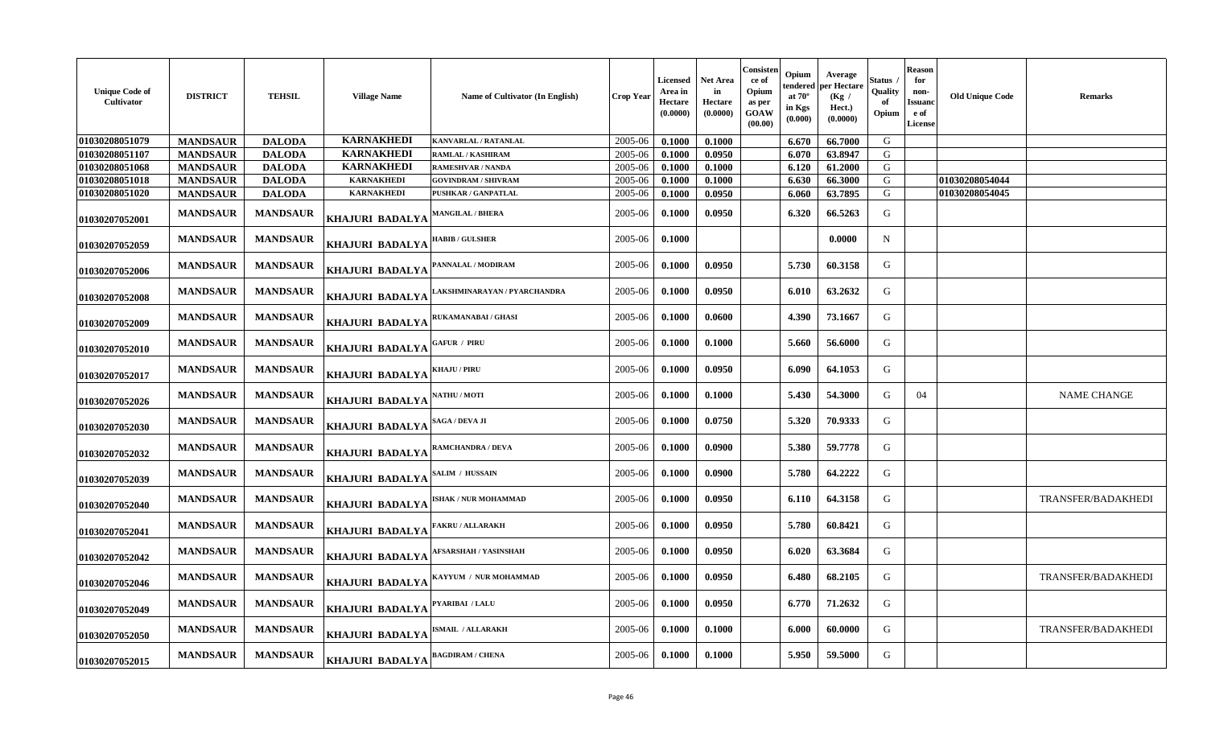| <b>Unique Code of</b><br>Cultivator | <b>DISTRICT</b> | <b>TEHSIL</b>   | <b>Village Name</b>    | Name of Cultivator (In English)        | <b>Crop Year</b> | <b>Licensed</b><br>Area in<br><b>Hectare</b><br>(0.0000) | Net Area<br>in<br>Hectare<br>(0.0000) | Consisten<br>ce of<br>Opium<br>as per<br>GOAW<br>(00.00) | Opium<br>tendered<br>at $70^\circ$<br>in Kgs<br>(0.000) | Average<br>per Hectare<br>(Kg /<br>Hect.)<br>(0.0000) | Status<br>Quality<br>-of<br>Opium | <b>Reason</b><br>for<br>non-<br>Issuanc<br>e of<br>License | <b>Old Unique Code</b> | <b>Remarks</b>     |
|-------------------------------------|-----------------|-----------------|------------------------|----------------------------------------|------------------|----------------------------------------------------------|---------------------------------------|----------------------------------------------------------|---------------------------------------------------------|-------------------------------------------------------|-----------------------------------|------------------------------------------------------------|------------------------|--------------------|
| 01030208051079                      | <b>MANDSAUR</b> | <b>DALODA</b>   | <b>KARNAKHEDI</b>      | <b>KANVARLAL / RATANLAL</b>            | 2005-06          | 0.1000                                                   | 0.1000                                |                                                          | 6.670                                                   | 66.7000                                               | G                                 |                                                            |                        |                    |
| 01030208051107                      | <b>MANDSAUR</b> | <b>DALODA</b>   | <b>KARNAKHEDI</b>      | <b>RAMLAL / KASHIRAM</b>               | 2005-06          | 0.1000                                                   | 0.0950                                |                                                          | 6.070                                                   | 63.8947                                               | G                                 |                                                            |                        |                    |
| 01030208051068                      | <b>MANDSAUR</b> | <b>DALODA</b>   | <b>KARNAKHEDI</b>      | <b>RAMESHVAR / NANDA</b>               | 2005-06          | 0.1000                                                   | 0.1000                                |                                                          | 6.120                                                   | 61.2000                                               | G                                 |                                                            |                        |                    |
| 01030208051018                      | <b>MANDSAUR</b> | <b>DALODA</b>   | <b>KARNAKHEDI</b>      | <b>GOVINDRAM / SHIVRAM</b>             | 2005-06          | 0.1000                                                   | 0.1000                                |                                                          | 6.630                                                   | 66.3000                                               | G                                 |                                                            | 01030208054044         |                    |
| 01030208051020                      | <b>MANDSAUR</b> | <b>DALODA</b>   | <b>KARNAKHEDI</b>      | PUSHKAR / GANPATLAL                    | 2005-06          | 0.1000                                                   | 0.0950                                |                                                          | 6.060                                                   | 63.7895                                               | G                                 |                                                            | 01030208054045         |                    |
| 01030207052001                      | <b>MANDSAUR</b> | <b>MANDSAUR</b> | <b>KHAJURI BADALYA</b> | <b>MANGILAL / BHERA</b>                | 2005-06          | 0.1000                                                   | 0.0950                                |                                                          | 6.320                                                   | 66.5263                                               | G                                 |                                                            |                        |                    |
| 01030207052059                      | <b>MANDSAUR</b> | <b>MANDSAUR</b> | <b>KHAJURI BADALYA</b> | <b>HABIB / GULSHER</b>                 | 2005-06          | 0.1000                                                   |                                       |                                                          |                                                         | 0.0000                                                | N                                 |                                                            |                        |                    |
| 01030207052006                      | <b>MANDSAUR</b> | <b>MANDSAUR</b> | KHAJURI BADALYA        | PANNALAL / MODIRAM                     | 2005-06          | 0.1000                                                   | 0.0950                                |                                                          | 5.730                                                   | 60.3158                                               | G                                 |                                                            |                        |                    |
| 01030207052008                      | <b>MANDSAUR</b> | <b>MANDSAUR</b> | <b>KHAJURI BADALYA</b> | LAKSHMINARAYAN / PYARCHANDRA           | 2005-06          | 0.1000                                                   | 0.0950                                |                                                          | 6.010                                                   | 63.2632                                               | G                                 |                                                            |                        |                    |
| 01030207052009                      | <b>MANDSAUR</b> | <b>MANDSAUR</b> | <b>KHAJURI BADALYA</b> | RUKAMANABAI / GHASI                    | 2005-06          | 0.1000                                                   | 0.0600                                |                                                          | 4.390                                                   | 73.1667                                               | G                                 |                                                            |                        |                    |
| 01030207052010                      | <b>MANDSAUR</b> | <b>MANDSAUR</b> | KHAJURI BADALYA        | <b>GAFUR / PIRU</b>                    | 2005-06          | 0.1000                                                   | 0.1000                                |                                                          | 5.660                                                   | 56.6000                                               | G                                 |                                                            |                        |                    |
| 01030207052017                      | <b>MANDSAUR</b> | <b>MANDSAUR</b> | KHAJURI BADALYA        | <b>KHAJU / PIRU</b>                    | 2005-06          | 0.1000                                                   | 0.0950                                |                                                          | 6.090                                                   | 64.1053                                               | G                                 |                                                            |                        |                    |
| 01030207052026                      | <b>MANDSAUR</b> | <b>MANDSAUR</b> | KHAJURI BADALYA        | <b>NATHU / MOTI</b>                    | 2005-06          | 0.1000                                                   | 0.1000                                |                                                          | 5.430                                                   | 54.3000                                               | G                                 | 04                                                         |                        | <b>NAME CHANGE</b> |
| 01030207052030                      | <b>MANDSAUR</b> | <b>MANDSAUR</b> | KHAJURI BADALYA        | SAGA / DEVA JI                         | 2005-06          | 0.1000                                                   | 0.0750                                |                                                          | 5.320                                                   | 70.9333                                               | G                                 |                                                            |                        |                    |
| 01030207052032                      | <b>MANDSAUR</b> | <b>MANDSAUR</b> | KHAJURI BADALYA        | RAMCHANDRA / DEVA                      | 2005-06          | 0.1000                                                   | 0.0900                                |                                                          | 5.380                                                   | 59.7778                                               | G                                 |                                                            |                        |                    |
| 01030207052039                      | <b>MANDSAUR</b> | <b>MANDSAUR</b> | KHAJURI BADALYA        | SALIM / HUSSAIN                        | 2005-06          | 0.1000                                                   | 0.0900                                |                                                          | 5.780                                                   | 64.2222                                               | G                                 |                                                            |                        |                    |
| 01030207052040                      | <b>MANDSAUR</b> | <b>MANDSAUR</b> | <b>KHAJURI BADALYA</b> | <b>ISHAK / NUR MOHAMMAD</b>            | 2005-06          | 0.1000                                                   | 0.0950                                |                                                          | 6.110                                                   | 64.3158                                               | G                                 |                                                            |                        | TRANSFER/BADAKHEDI |
| 01030207052041                      | <b>MANDSAUR</b> | <b>MANDSAUR</b> | <b>KHAJURI BADALYA</b> | <b>FAKRU / ALLARAKH</b>                | 2005-06          | 0.1000                                                   | 0.0950                                |                                                          | 5.780                                                   | 60.8421                                               | G                                 |                                                            |                        |                    |
| 01030207052042                      | <b>MANDSAUR</b> | <b>MANDSAUR</b> | KHAJURI BADALYA        | AFSARSHAH / YASINSHAH                  | 2005-06          | 0.1000                                                   | 0.0950                                |                                                          | 6.020                                                   | 63.3684                                               | G                                 |                                                            |                        |                    |
| 01030207052046                      | <b>MANDSAUR</b> | <b>MANDSAUR</b> | KHAJURI BADALYA        | KAYYUM / NUR MOHAMMAD                  | 2005-06          | 0.1000                                                   | 0.0950                                |                                                          | 6.480                                                   | 68.2105                                               | G                                 |                                                            |                        | TRANSFER/BADAKHEDI |
| 01030207052049                      | <b>MANDSAUR</b> | <b>MANDSAUR</b> | <b>KHAJURI BADALYA</b> | PYARIBAI / LALU                        | 2005-06          | 0.1000                                                   | 0.0950                                |                                                          | 6.770                                                   | 71.2632                                               | G                                 |                                                            |                        |                    |
| 01030207052050                      | <b>MANDSAUR</b> | <b>MANDSAUR</b> | <b>KHAJURI BADALYA</b> | $\textbf{ISMAIL}\ / \textbf{ALLARAKH}$ | 2005-06          | 0.1000                                                   | 0.1000                                |                                                          | 6.000                                                   | 60.0000                                               | G                                 |                                                            |                        | TRANSFER/BADAKHEDI |
| 01030207052015                      | <b>MANDSAUR</b> | <b>MANDSAUR</b> | KHAJURI BADALYA        | <b>BAGDIRAM / CHENA</b>                | 2005-06          | 0.1000                                                   | 0.1000                                |                                                          | 5.950                                                   | 59.5000                                               | G                                 |                                                            |                        |                    |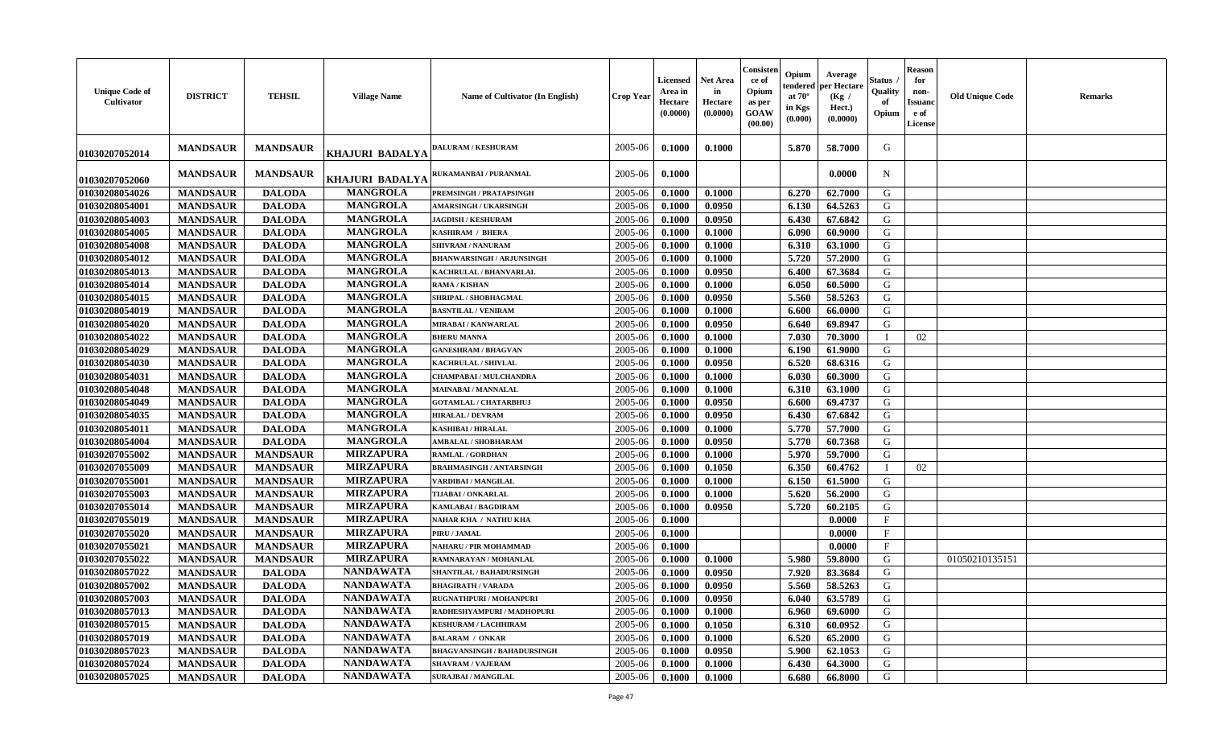| <b>Unique Code of</b><br><b>Cultivator</b> | <b>DISTRICT</b> | <b>TEHSIL</b>   | <b>Village Name</b>    | <b>Name of Cultivator (In English)</b> | <b>Crop Year</b> | <b>Licensed</b><br>Area in<br>Hectare<br>(0.0000) | <b>Net Area</b><br>in<br>Hectare<br>(0.0000) | Consisteı<br>ce of<br>Opium<br>as per<br><b>GOAW</b><br>(00.00) | Opium<br>endered<br>at $70^\circ$<br>in Kgs<br>(0.000) | Average<br>per Hectare<br>(Kg /<br>Hect.)<br>(0.0000) | Status<br>Quality<br>of<br>Opium | <b>Reason</b><br>for<br>non-<br><b>Issuano</b><br>e of<br>License | <b>Old Unique Code</b> | <b>Remarks</b> |
|--------------------------------------------|-----------------|-----------------|------------------------|----------------------------------------|------------------|---------------------------------------------------|----------------------------------------------|-----------------------------------------------------------------|--------------------------------------------------------|-------------------------------------------------------|----------------------------------|-------------------------------------------------------------------|------------------------|----------------|
| 01030207052014                             | <b>MANDSAUR</b> | <b>MANDSAUR</b> | <b>KHAJURI BADALYA</b> | <b>DALURAM / KESHURAM</b>              | 2005-06          | 0.1000                                            | 0.1000                                       |                                                                 | 5.870                                                  | 58.7000                                               | G                                |                                                                   |                        |                |
| 01030207052060                             | <b>MANDSAUR</b> | <b>MANDSAUR</b> | KHAJURI BADALYA        | RUKAMANBAI / PURANMAL                  | 2005-06          | 0.1000                                            |                                              |                                                                 |                                                        | 0.0000                                                | N                                |                                                                   |                        |                |
| 01030208054026                             | <b>MANDSAUR</b> | <b>DALODA</b>   | <b>MANGROLA</b>        | <b>PREMSINGH / PRATAPSINGH</b>         | 2005-06          | 0.1000                                            | 0.1000                                       |                                                                 | 6.270                                                  | 62.7000                                               | G                                |                                                                   |                        |                |
| 01030208054001                             | <b>MANDSAUR</b> | <b>DALODA</b>   | <b>MANGROLA</b>        | <b>AMARSINGH / UKARSINGH</b>           | 2005-06          | 0.1000                                            | 0.0950                                       |                                                                 | 6.130                                                  | 64.5263                                               | G                                |                                                                   |                        |                |
| 01030208054003                             | <b>MANDSAUR</b> | <b>DALODA</b>   | <b>MANGROLA</b>        | <b>JAGDISH / KESHURAM</b>              | 2005-06          | 0.1000                                            | 0.0950                                       |                                                                 | 6.430                                                  | 67.6842                                               | G                                |                                                                   |                        |                |
| 01030208054005                             | <b>MANDSAUR</b> | <b>DALODA</b>   | <b>MANGROLA</b>        | KASHIRAM / BHERA                       | 2005-06          | 0.1000                                            | 0.1000                                       |                                                                 | 6.090                                                  | 60.9000                                               | G                                |                                                                   |                        |                |
| 01030208054008                             | <b>MANDSAUR</b> | <b>DALODA</b>   | <b>MANGROLA</b>        | <b>SHIVRAM / NANURAM</b>               | 2005-06          | 0.1000                                            | 0.1000                                       |                                                                 | 6.310                                                  | 63.1000                                               | G                                |                                                                   |                        |                |
| 01030208054012                             | <b>MANDSAUR</b> | <b>DALODA</b>   | <b>MANGROLA</b>        | <b>BHANWARSINGH / ARJUNSINGH</b>       | 2005-06          | 0.1000                                            | 0.1000                                       |                                                                 | 5.720                                                  | 57.2000                                               | G                                |                                                                   |                        |                |
| 01030208054013                             | <b>MANDSAUR</b> | <b>DALODA</b>   | <b>MANGROLA</b>        | KACHRULAL / BHANVARLAL                 | 2005-06          | 0.1000                                            | 0.0950                                       |                                                                 | 6.400                                                  | 67.3684                                               | G                                |                                                                   |                        |                |
| 01030208054014                             | <b>MANDSAUR</b> | <b>DALODA</b>   | <b>MANGROLA</b>        | <b>RAMA / KISHAN</b>                   | 2005-06          | 0.1000                                            | 0.1000                                       |                                                                 | 6.050                                                  | 60.5000                                               | G                                |                                                                   |                        |                |
| 01030208054015                             | <b>MANDSAUR</b> | <b>DALODA</b>   | <b>MANGROLA</b>        | SHRIPAL / SHOBHAGMAL                   | 2005-06          | 0.1000                                            | 0.0950                                       |                                                                 | 5.560                                                  | 58.5263                                               | G                                |                                                                   |                        |                |
| 01030208054019                             | <b>MANDSAUR</b> | <b>DALODA</b>   | <b>MANGROLA</b>        | <b>BASNTILAL / VENIRAM</b>             | 2005-06          | 0.1000                                            | 0.1000                                       |                                                                 | 6.600                                                  | 66.0000                                               | G                                |                                                                   |                        |                |
| 01030208054020                             | <b>MANDSAUR</b> | <b>DALODA</b>   | <b>MANGROLA</b>        | MIRABAI / KANWARLAL                    | 2005-06          | 0.1000                                            | 0.0950                                       |                                                                 | 6.640                                                  | 69.8947                                               | G                                |                                                                   |                        |                |
| 01030208054022                             | <b>MANDSAUR</b> | <b>DALODA</b>   | <b>MANGROLA</b>        | <b>BHERU MANNA</b>                     | 2005-06          | 0.1000                                            | 0.1000                                       |                                                                 | 7.030                                                  | 70.3000                                               | $\blacksquare$                   | 02                                                                |                        |                |
| 01030208054029                             | <b>MANDSAUR</b> | <b>DALODA</b>   | <b>MANGROLA</b>        | <b>GANESHRAM / BHAGVAN</b>             | 2005-06          | 0.1000                                            | 0.1000                                       |                                                                 | 6.190                                                  | 61.9000                                               | G                                |                                                                   |                        |                |
| 01030208054030                             | <b>MANDSAUR</b> | <b>DALODA</b>   | <b>MANGROLA</b>        | <b>KACHRULAL / SHIVLAL</b>             | 2005-06          | 0.1000                                            | 0.0950                                       |                                                                 | 6.520                                                  | 68.6316                                               | G                                |                                                                   |                        |                |
| 01030208054031                             | <b>MANDSAUR</b> | <b>DALODA</b>   | <b>MANGROLA</b>        | <b>CHAMPABAI / MULCHANDRA</b>          | 2005-06          | 0.1000                                            | 0.1000                                       |                                                                 | 6.030                                                  | 60.3000                                               | G                                |                                                                   |                        |                |
| 01030208054048                             | <b>MANDSAUR</b> | <b>DALODA</b>   | <b>MANGROLA</b>        | MAINABAI / MANNALAL                    | 2005-06          | 0.1000                                            | 0.1000                                       |                                                                 | 6.310                                                  | 63.1000                                               | G                                |                                                                   |                        |                |
| 01030208054049                             | <b>MANDSAUR</b> | <b>DALODA</b>   | <b>MANGROLA</b>        | <b>GOTAMLAL / CHATARBHUJ</b>           | 2005-06          | 0.1000                                            | 0.0950                                       |                                                                 | 6.600                                                  | 69.4737                                               | G                                |                                                                   |                        |                |
| 01030208054035                             | <b>MANDSAUR</b> | <b>DALODA</b>   | <b>MANGROLA</b>        | <b>HIRALAL / DEVRAM</b>                | 2005-06          | 0.1000                                            | 0.0950                                       |                                                                 | 6.430                                                  | 67.6842                                               | G                                |                                                                   |                        |                |
| 01030208054011                             | <b>MANDSAUR</b> | <b>DALODA</b>   | <b>MANGROLA</b>        | <b>KASHIBAI / HIRALAL</b>              | 2005-06          | 0.1000                                            | 0.1000                                       |                                                                 | 5.770                                                  | 57.7000                                               | G                                |                                                                   |                        |                |
| 01030208054004                             | <b>MANDSAUR</b> | <b>DALODA</b>   | <b>MANGROLA</b>        | <b>AMBALAL / SHOBHARAM</b>             | 2005-06          | 0.1000                                            | 0.0950                                       |                                                                 | 5.770                                                  | 60.7368                                               | G                                |                                                                   |                        |                |
| 01030207055002                             | <b>MANDSAUR</b> | <b>MANDSAUR</b> | <b>MIRZAPURA</b>       | <b>RAMLAL / GORDHAN</b>                | 2005-06          | 0.1000                                            | 0.1000                                       |                                                                 | 5.970                                                  | 59.7000                                               | G                                |                                                                   |                        |                |
|                                            |                 |                 | <b>MIRZAPURA</b>       |                                        |                  |                                                   |                                              |                                                                 |                                                        |                                                       | $\mathbf I$                      |                                                                   |                        |                |
| 01030207055009                             | <b>MANDSAUR</b> | <b>MANDSAUR</b> | <b>MIRZAPURA</b>       | <b>BRAHMASINGH / ANTARSINGH</b>        | 2005-06          | 0.1000                                            | 0.1050                                       |                                                                 | 6.350                                                  | 60.4762                                               |                                  | 02                                                                |                        |                |
| 01030207055001                             | <b>MANDSAUR</b> | <b>MANDSAUR</b> | <b>MIRZAPURA</b>       | VARDIBAI / MANGILAL                    | 2005-06          | 0.1000                                            | 0.1000                                       |                                                                 | 6.150                                                  | 61.5000<br>56.2000                                    | G<br>G                           |                                                                   |                        |                |
| 01030207055003                             | <b>MANDSAUR</b> | <b>MANDSAUR</b> |                        | TIJABAI / ONKARLAL                     | 2005-06          | 0.1000                                            | 0.1000                                       |                                                                 | 5.620                                                  |                                                       |                                  |                                                                   |                        |                |
| 01030207055014                             | <b>MANDSAUR</b> | <b>MANDSAUR</b> | <b>MIRZAPURA</b>       | <b>KAMLABAI/BAGDIRAM</b>               | 2005-06          | 0.1000                                            | 0.0950                                       |                                                                 | 5.720                                                  | 60.2105                                               | G                                |                                                                   |                        |                |
| 01030207055019                             | <b>MANDSAUR</b> | <b>MANDSAUR</b> | <b>MIRZAPURA</b>       | NAHAR KHA / NATHU KHA                  | 2005-06          | 0.1000                                            |                                              |                                                                 |                                                        | 0.0000                                                | $\mathbf{F}$                     |                                                                   |                        |                |
| 01030207055020                             | <b>MANDSAUR</b> | <b>MANDSAUR</b> | <b>MIRZAPURA</b>       | PIRU / JAMAL                           | 2005-06          | 0.1000                                            |                                              |                                                                 |                                                        | 0.0000                                                | $_{\rm F}$                       |                                                                   |                        |                |
| 01030207055021                             | <b>MANDSAUR</b> | <b>MANDSAUR</b> | <b>MIRZAPURA</b>       | NAHARU / PIR MOHAMMAD                  | 2005-06          | 0.1000                                            |                                              |                                                                 |                                                        | 0.0000                                                | $\mathbf{F}$                     |                                                                   |                        |                |
| 01030207055022                             | <b>MANDSAUR</b> | <b>MANDSAUR</b> | <b>MIRZAPURA</b>       | RAMNARAYAN / MOHANLAL                  | 2005-06          | 0.1000                                            | 0.1000                                       |                                                                 | 5.980                                                  | 59.8000                                               | G                                |                                                                   | 01050210135151         |                |
| 01030208057022                             | <b>MANDSAUR</b> | <b>DALODA</b>   | <b>NANDAWATA</b>       | SHANTILAL / BAHADURSINGH               | 2005-06          | 0.1000                                            | 0.0950                                       |                                                                 | 7.920                                                  | 83.3684                                               | G                                |                                                                   |                        |                |
| 01030208057002                             | <b>MANDSAUR</b> | <b>DALODA</b>   | <b>NANDAWATA</b>       | <b>BHAGIRATH / VARADA</b>              | 2005-06          | 0.1000                                            | 0.0950                                       |                                                                 | 5.560                                                  | 58.5263                                               | G                                |                                                                   |                        |                |
| 01030208057003                             | <b>MANDSAUR</b> | <b>DALODA</b>   | NANDAWATA              | <b>RUGNATHPURI / MOHANPURI</b>         | $2005 - 06$      | 0.1000                                            | 0.0950                                       |                                                                 | 6.040                                                  | 63.5789                                               | G                                |                                                                   |                        |                |
| 01030208057013                             | <b>MANDSAUR</b> | <b>DALODA</b>   | <b>NANDAWATA</b>       | RADHESHYAMPURI / MADHOPURI             | 2005-06          | 0.1000                                            | 0.1000                                       |                                                                 | 6.960                                                  | 69.6000                                               | G                                |                                                                   |                        |                |
| 01030208057015                             | <b>MANDSAUR</b> | <b>DALODA</b>   | <b>NANDAWATA</b>       | <b>KESHURAM / LACHHIRAM</b>            | 2005-06          | 0.1000                                            | 0.1050                                       |                                                                 | 6.310                                                  | 60.0952                                               | G                                |                                                                   |                        |                |
| 01030208057019                             | <b>MANDSAUR</b> | <b>DALODA</b>   | <b>NANDAWATA</b>       | <b>BALARAM / ONKAR</b>                 | 2005-06          | 0.1000                                            | 0.1000                                       |                                                                 | 6.520                                                  | 65.2000                                               | G                                |                                                                   |                        |                |
| 01030208057023                             | <b>MANDSAUR</b> | <b>DALODA</b>   | <b>NANDAWATA</b>       | <b>BHAGVANSINGH / BAHADURSINGH</b>     | 2005-06          | 0.1000                                            | 0.0950                                       |                                                                 | 5.900                                                  | 62.1053                                               | G                                |                                                                   |                        |                |
| 01030208057024                             | <b>MANDSAUR</b> | <b>DALODA</b>   | <b>NANDAWATA</b>       | <b>SHAVRAM / VAJERAM</b>               | 2005-06          | 0.1000                                            | 0.1000                                       |                                                                 | 6.430                                                  | 64.3000                                               | G                                |                                                                   |                        |                |
| 01030208057025                             | <b>MANDSAUR</b> | <b>DALODA</b>   | <b>NANDAWATA</b>       | <b>SURAJBAI / MANGILAL</b>             | 2005-06          | 0.1000                                            | 0.1000                                       |                                                                 | 6.680                                                  | 66.8000                                               | G                                |                                                                   |                        |                |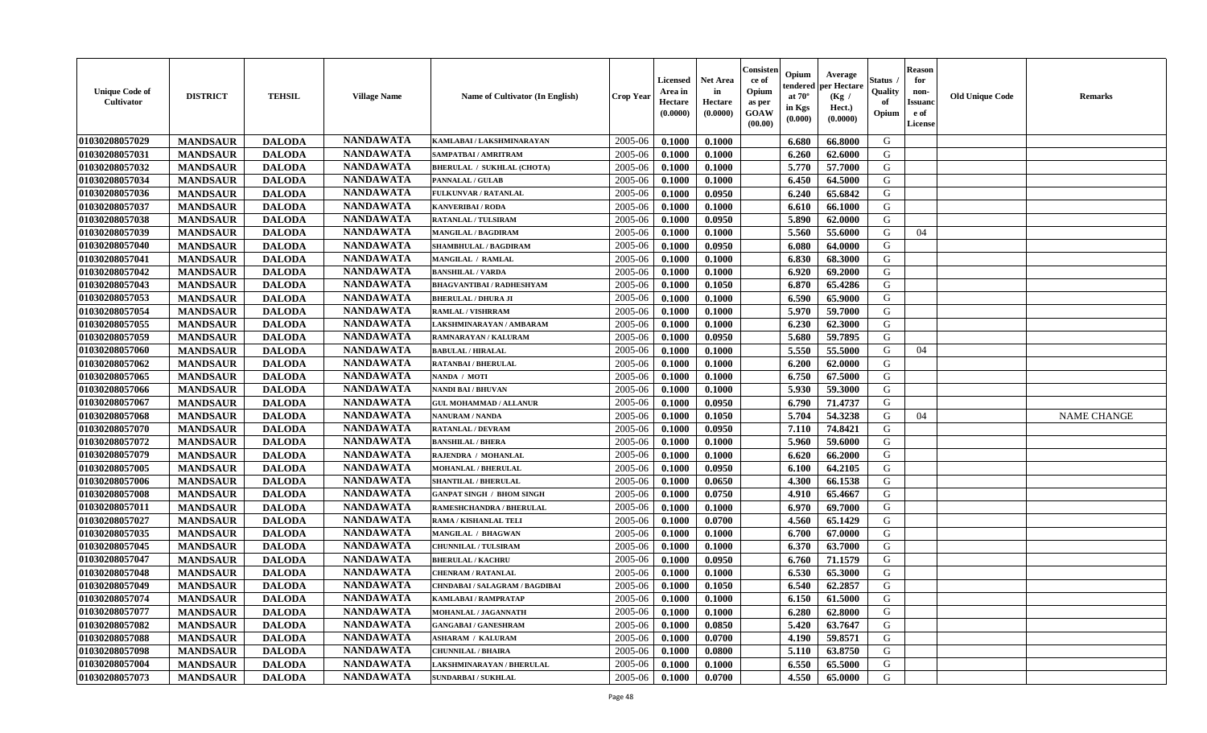| <b>Unique Code of</b><br>Cultivator | <b>DISTRICT</b> | <b>TEHSIL</b> | <b>Village Name</b> | Name of Cultivator (In English)   | <b>Crop Year</b> | <b>Licensed</b><br>Area in<br>Hectare<br>(0.0000) | <b>Net Area</b><br>in<br>Hectare<br>(0.0000) | Consisten<br>ce of<br>Opium<br>as per<br><b>GOAW</b><br>(00.00) | Opium<br>tendered<br>at $70^\circ$<br>in Kgs<br>(0.000) | Average<br>per Hectare<br>(Kg /<br>Hect.)<br>(0.0000) | Status .<br>Quality<br>of<br>Opium | <b>Reason</b><br>for<br>non-<br><b>Issuanc</b><br>e of<br>License | <b>Old Unique Code</b> | <b>Remarks</b>     |
|-------------------------------------|-----------------|---------------|---------------------|-----------------------------------|------------------|---------------------------------------------------|----------------------------------------------|-----------------------------------------------------------------|---------------------------------------------------------|-------------------------------------------------------|------------------------------------|-------------------------------------------------------------------|------------------------|--------------------|
| 01030208057029                      | <b>MANDSAUR</b> | <b>DALODA</b> | <b>NANDAWATA</b>    | KAMLABAI / LAKSHMINARAYAN         | 2005-06          | 0.1000                                            | 0.1000                                       |                                                                 | 6.680                                                   | 66.8000                                               | G                                  |                                                                   |                        |                    |
| 01030208057031                      | <b>MANDSAUR</b> | <b>DALODA</b> | <b>NANDAWATA</b>    | SAMPATBAI / AMRITRAM              | 2005-06          | 0.1000                                            | 0.1000                                       |                                                                 | 6.260                                                   | 62.6000                                               | G                                  |                                                                   |                        |                    |
| 01030208057032                      | <b>MANDSAUR</b> | <b>DALODA</b> | <b>NANDAWATA</b>    | <b>BHERULAL / SUKHLAL (CHOTA)</b> | 2005-06          | 0.1000                                            | 0.1000                                       |                                                                 | 5.770                                                   | 57.7000                                               | G                                  |                                                                   |                        |                    |
| 01030208057034                      | <b>MANDSAUR</b> | <b>DALODA</b> | <b>NANDAWATA</b>    | PANNALAL / GULAB                  | 2005-06          | 0.1000                                            | 0.1000                                       |                                                                 | 6.450                                                   | 64.5000                                               | G                                  |                                                                   |                        |                    |
| 01030208057036                      | <b>MANDSAUR</b> | <b>DALODA</b> | <b>NANDAWATA</b>    | FULKUNVAR / RATANLAL              | 2005-06          | 0.1000                                            | 0.0950                                       |                                                                 | 6.240                                                   | 65.6842                                               | G                                  |                                                                   |                        |                    |
| 01030208057037                      | <b>MANDSAUR</b> | <b>DALODA</b> | <b>NANDAWATA</b>    | <b>KANVERIBAI / RODA</b>          | 2005-06          | 0.1000                                            | 0.1000                                       |                                                                 | 6.610                                                   | 66.1000                                               | G                                  |                                                                   |                        |                    |
| 01030208057038                      | <b>MANDSAUR</b> | <b>DALODA</b> | <b>NANDAWATA</b>    | <b>RATANLAL / TULSIRAM</b>        | 2005-06          | 0.1000                                            | 0.0950                                       |                                                                 | 5.890                                                   | 62.0000                                               | G                                  |                                                                   |                        |                    |
| 01030208057039                      | <b>MANDSAUR</b> | <b>DALODA</b> | <b>NANDAWATA</b>    | <b>MANGILAL / BAGDIRAM</b>        | 2005-06          | 0.1000                                            | 0.1000                                       |                                                                 | 5.560                                                   | 55.6000                                               | G                                  | 04                                                                |                        |                    |
| 01030208057040                      | <b>MANDSAUR</b> | <b>DALODA</b> | <b>NANDAWATA</b>    | <b>SHAMBHULAL / BAGDIRAM</b>      | 2005-06          | 0.1000                                            | 0.0950                                       |                                                                 | 6.080                                                   | 64.0000                                               | G                                  |                                                                   |                        |                    |
| 01030208057041                      | <b>MANDSAUR</b> | <b>DALODA</b> | <b>NANDAWATA</b>    | MANGILAL / RAMLAL                 | 2005-06          | 0.1000                                            | 0.1000                                       |                                                                 | 6.830                                                   | 68.3000                                               | G                                  |                                                                   |                        |                    |
| 01030208057042                      | <b>MANDSAUR</b> | <b>DALODA</b> | <b>NANDAWATA</b>    | <b>BANSHILAL / VARDA</b>          | 2005-06          | 0.1000                                            | 0.1000                                       |                                                                 | 6.920                                                   | 69.2000                                               | G                                  |                                                                   |                        |                    |
| 01030208057043                      | <b>MANDSAUR</b> | <b>DALODA</b> | <b>NANDAWATA</b>    | <b>BHAGVANTIBAI / RADHESHYAM</b>  | 2005-06          | 0.1000                                            | 0.1050                                       |                                                                 | 6.870                                                   | 65.4286                                               | G                                  |                                                                   |                        |                    |
| 01030208057053                      | <b>MANDSAUR</b> | <b>DALODA</b> | <b>NANDAWATA</b>    | <b>BHERULAL / DHURA JI</b>        | 2005-06          | 0.1000                                            | 0.1000                                       |                                                                 | 6.590                                                   | 65.9000                                               | G                                  |                                                                   |                        |                    |
| 01030208057054                      | <b>MANDSAUR</b> | <b>DALODA</b> | <b>NANDAWATA</b>    | <b>RAMLAL / VISHRRAM</b>          | 2005-06          | 0.1000                                            | 0.1000                                       |                                                                 | 5.970                                                   | 59.7000                                               | G                                  |                                                                   |                        |                    |
| 01030208057055                      | <b>MANDSAUR</b> | <b>DALODA</b> | <b>NANDAWATA</b>    | LAKSHMINARAYAN / AMBARAM          | 2005-06          | 0.1000                                            | 0.1000                                       |                                                                 | 6.230                                                   | 62.3000                                               | G                                  |                                                                   |                        |                    |
| 01030208057059                      | <b>MANDSAUR</b> | <b>DALODA</b> | <b>NANDAWATA</b>    | RAMNARAYAN / KALURAM              | 2005-06          | 0.1000                                            | 0.0950                                       |                                                                 | 5.680                                                   | 59.7895                                               | G                                  |                                                                   |                        |                    |
| 01030208057060                      | <b>MANDSAUR</b> | <b>DALODA</b> | <b>NANDAWATA</b>    | <b>BABULAL / HIRALAL</b>          | 2005-06          | 0.1000                                            | 0.1000                                       |                                                                 | 5.550                                                   | 55.5000                                               | G                                  | 04                                                                |                        |                    |
| 01030208057062                      | <b>MANDSAUR</b> | <b>DALODA</b> | <b>NANDAWATA</b>    | <b>RATANBAI/BHERULAL</b>          | 2005-06          | 0.1000                                            | 0.1000                                       |                                                                 | 6.200                                                   | 62.0000                                               | G                                  |                                                                   |                        |                    |
| 01030208057065                      | <b>MANDSAUR</b> | <b>DALODA</b> | <b>NANDAWATA</b>    | NANDA / MOTI                      | 2005-06          | 0.1000                                            | 0.1000                                       |                                                                 | 6.750                                                   | 67.5000                                               | G                                  |                                                                   |                        |                    |
| 01030208057066                      | <b>MANDSAUR</b> | <b>DALODA</b> | <b>NANDAWATA</b>    | NANDI BAI / BHUVAN                | 2005-06          | 0.1000                                            | 0.1000                                       |                                                                 | 5.930                                                   | 59.3000                                               | G                                  |                                                                   |                        |                    |
| 01030208057067                      | <b>MANDSAUR</b> | <b>DALODA</b> | <b>NANDAWATA</b>    | <b>GUL MOHAMMAD / ALLANUR</b>     | 2005-06          | 0.1000                                            | 0.0950                                       |                                                                 | 6.790                                                   | 71.4737                                               | G                                  |                                                                   |                        |                    |
| 01030208057068                      | <b>MANDSAUR</b> | <b>DALODA</b> | <b>NANDAWATA</b>    | <b>NANURAM / NANDA</b>            | 2005-06          | 0.1000                                            | 0.1050                                       |                                                                 | 5.704                                                   | 54.3238                                               | G                                  | 04                                                                |                        | <b>NAME CHANGE</b> |
| 01030208057070                      | <b>MANDSAUR</b> | <b>DALODA</b> | <b>NANDAWATA</b>    | <b>RATANLAL / DEVRAM</b>          | 2005-06          | 0.1000                                            | 0.0950                                       |                                                                 | 7.110                                                   | 74.8421                                               | G                                  |                                                                   |                        |                    |
| 01030208057072                      | <b>MANDSAUR</b> | <b>DALODA</b> | <b>NANDAWATA</b>    | <b>BANSHILAL / BHERA</b>          | 2005-06          | 0.1000                                            | 0.1000                                       |                                                                 | 5.960                                                   | 59.6000                                               | G                                  |                                                                   |                        |                    |
| 01030208057079                      | <b>MANDSAUR</b> | <b>DALODA</b> | <b>NANDAWATA</b>    | RAJENDRA / MOHANLAL               | 2005-06          | 0.1000                                            | 0.1000                                       |                                                                 | 6.620                                                   | 66.2000                                               | G                                  |                                                                   |                        |                    |
| 01030208057005                      | <b>MANDSAUR</b> | <b>DALODA</b> | <b>NANDAWATA</b>    | <b>MOHANLAL / BHERULAL</b>        | 2005-06          | 0.1000                                            | 0.0950                                       |                                                                 | 6.100                                                   | 64.2105                                               | G                                  |                                                                   |                        |                    |
| 01030208057006                      | <b>MANDSAUR</b> | <b>DALODA</b> | <b>NANDAWATA</b>    | SHANTILAL / BHERULAL              | 2005-06          | 0.1000                                            | 0.0650                                       |                                                                 | 4.300                                                   | 66.1538                                               | G                                  |                                                                   |                        |                    |
| 01030208057008                      | <b>MANDSAUR</b> | <b>DALODA</b> | <b>NANDAWATA</b>    | <b>GANPAT SINGH / BHOM SINGH</b>  | 2005-06          | 0.1000                                            | 0.0750                                       |                                                                 | 4.910                                                   | 65.4667                                               | G                                  |                                                                   |                        |                    |
| 01030208057011                      | <b>MANDSAUR</b> | <b>DALODA</b> | <b>NANDAWATA</b>    | RAMESHCHANDRA / BHERULAL          | 2005-06          | 0.1000                                            | 0.1000                                       |                                                                 | 6.970                                                   | 69.7000                                               | G                                  |                                                                   |                        |                    |
| 01030208057027                      | <b>MANDSAUR</b> | <b>DALODA</b> | <b>NANDAWATA</b>    | RAMA / KISHANLAL TELI             | 2005-06          | 0.1000                                            | 0.0700                                       |                                                                 | 4.560                                                   | 65.1429                                               | G                                  |                                                                   |                        |                    |
| 01030208057035                      | <b>MANDSAUR</b> | <b>DALODA</b> | <b>NANDAWATA</b>    | <b>MANGILAL / BHAGWAN</b>         | 2005-06          | 0.1000                                            | 0.1000                                       |                                                                 | 6.700                                                   | 67.0000                                               | G                                  |                                                                   |                        |                    |
| 01030208057045                      | <b>MANDSAUR</b> | <b>DALODA</b> | <b>NANDAWATA</b>    | <b>CHUNNILAL / TULSIRAM</b>       | 2005-06          | 0.1000                                            | 0.1000                                       |                                                                 | 6.370                                                   | 63.7000                                               | G                                  |                                                                   |                        |                    |
| 01030208057047                      | <b>MANDSAUR</b> | <b>DALODA</b> | <b>NANDAWATA</b>    | <b>BHERULAL / KACHRU</b>          | 2005-06          | 0.1000                                            | 0.0950                                       |                                                                 | 6.760                                                   | 71.1579                                               | G                                  |                                                                   |                        |                    |
| 01030208057048                      | <b>MANDSAUR</b> | <b>DALODA</b> | <b>NANDAWATA</b>    | <b>CHENRAM / RATANLAL</b>         | 2005-06          | 0.1000                                            | 0.1000                                       |                                                                 | 6.530                                                   | 65.3000                                               | G                                  |                                                                   |                        |                    |
| 01030208057049                      | <b>MANDSAUR</b> | <b>DALODA</b> | <b>NANDAWATA</b>    | CHNDABAI / SALAGRAM / BAGDIBAI    | 2005-06          | 0.1000                                            | 0.1050                                       |                                                                 | 6.540                                                   | 62.2857                                               | G                                  |                                                                   |                        |                    |
| 01030208057074                      | <b>MANDSAUR</b> | <b>DALODA</b> | <b>NANDAWATA</b>    | KAMLABAI / RAMPRATAP              | $2005 - 06$      | 0.1000                                            | 0.1000                                       |                                                                 | 6.150                                                   | 61.5000                                               | G                                  |                                                                   |                        |                    |
| 01030208057077                      | <b>MANDSAUR</b> | <b>DALODA</b> | <b>NANDAWATA</b>    | MOHANLAL / JAGANNATH              | 2005-06          | 0.1000                                            | 0.1000                                       |                                                                 | 6.280                                                   | 62.8000                                               | G                                  |                                                                   |                        |                    |
| 01030208057082                      | <b>MANDSAUR</b> | <b>DALODA</b> | <b>NANDAWATA</b>    | <b>GANGABAI/GANESHRAM</b>         | 2005-06          | 0.1000                                            | 0.0850                                       |                                                                 | 5.420                                                   | 63.7647                                               | G                                  |                                                                   |                        |                    |
| 01030208057088                      | <b>MANDSAUR</b> | <b>DALODA</b> | <b>NANDAWATA</b>    | <b>ASHARAM / KALURAM</b>          | 2005-06          | 0.1000                                            | 0.0700                                       |                                                                 | 4.190                                                   | 59.8571                                               | G                                  |                                                                   |                        |                    |
| 01030208057098                      | <b>MANDSAUR</b> | <b>DALODA</b> | <b>NANDAWATA</b>    | <b>CHUNNILAL / BHAIRA</b>         | 2005-06          | 0.1000                                            | 0.0800                                       |                                                                 | 5.110                                                   | 63.8750                                               | G                                  |                                                                   |                        |                    |
| 01030208057004                      | <b>MANDSAUR</b> | <b>DALODA</b> | <b>NANDAWATA</b>    | LAKSHMINARAYAN / BHERULAL         | 2005-06          | 0.1000                                            | 0.1000                                       |                                                                 | 6.550                                                   | 65.5000                                               | G                                  |                                                                   |                        |                    |
| 01030208057073                      | <b>MANDSAUR</b> | <b>DALODA</b> | <b>NANDAWATA</b>    | <b>SUNDARBAI / SUKHLAL</b>        | 2005-06          | 0.1000                                            | 0.0700                                       |                                                                 | 4.550                                                   | 65.0000                                               | G                                  |                                                                   |                        |                    |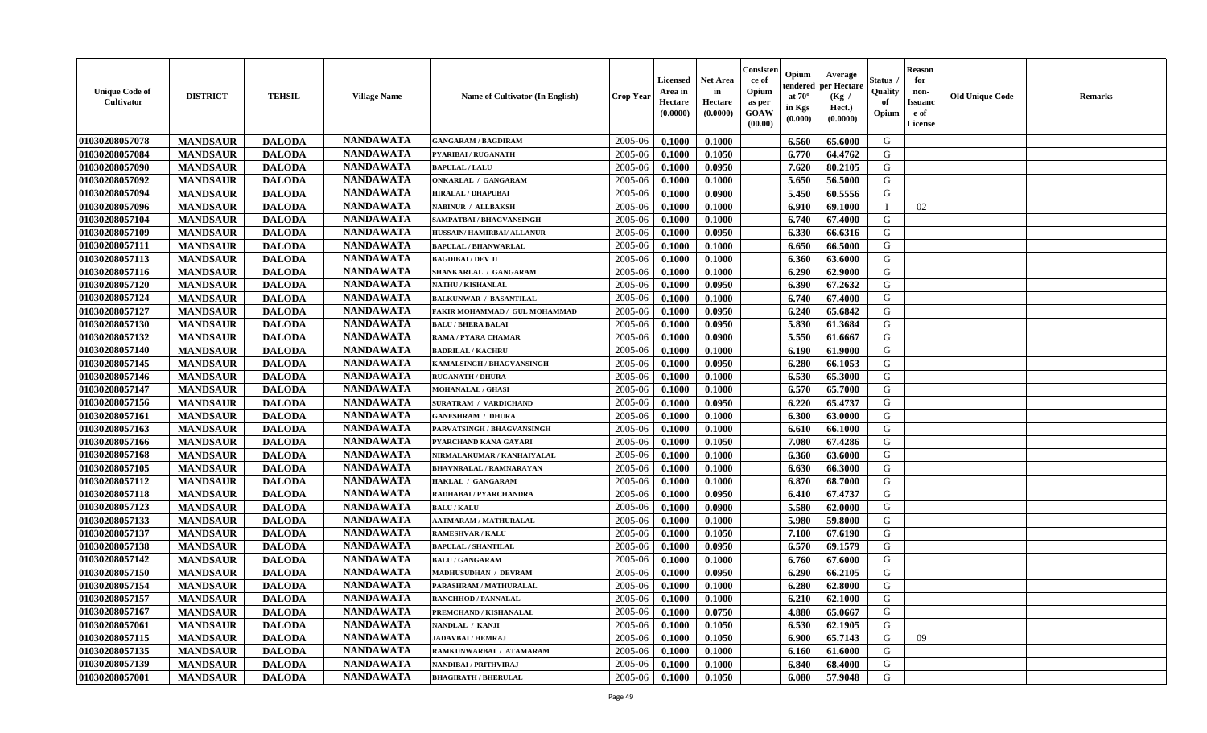| <b>Unique Code of</b><br><b>Cultivator</b> | <b>DISTRICT</b> | <b>TEHSIL</b> | <b>Village Name</b> | Name of Cultivator (In English) | <b>Crop Year</b> | <b>Licensed</b><br>Area in<br>Hectare<br>(0.0000) | <b>Net Area</b><br>in<br>Hectare<br>(0.0000) | Consisteı<br>ce of<br>Opium<br>as per<br><b>GOAW</b><br>(00.00) | Opium<br>endered<br>at $70^\circ$<br>in Kgs<br>$(\mathbf{0.000})$ | Average<br>per Hectare<br>(Kg /<br>Hect.)<br>(0.0000) | Status<br>Quality<br>of<br>Opium | <b>Reason</b><br>for<br>non-<br>Issuan<br>e of<br>License | <b>Old Unique Code</b> | <b>Remarks</b> |
|--------------------------------------------|-----------------|---------------|---------------------|---------------------------------|------------------|---------------------------------------------------|----------------------------------------------|-----------------------------------------------------------------|-------------------------------------------------------------------|-------------------------------------------------------|----------------------------------|-----------------------------------------------------------|------------------------|----------------|
| 01030208057078                             | <b>MANDSAUR</b> | <b>DALODA</b> | <b>NANDAWATA</b>    | <b>GANGARAM / BAGDIRAM</b>      | 2005-06          | 0.1000                                            | 0.1000                                       |                                                                 | 6.560                                                             | 65.6000                                               | G                                |                                                           |                        |                |
| 01030208057084                             | <b>MANDSAUR</b> | <b>DALODA</b> | <b>NANDAWATA</b>    | PYARIBAI / RUGANATH             | 2005-06          | 0.1000                                            | 0.1050                                       |                                                                 | 6.770                                                             | 64.4762                                               | G                                |                                                           |                        |                |
| 01030208057090                             | <b>MANDSAUR</b> | <b>DALODA</b> | <b>NANDAWATA</b>    | <b>BAPULAL / LALU</b>           | 2005-06          | 0.1000                                            | 0.0950                                       |                                                                 | 7.620                                                             | 80.2105                                               | G                                |                                                           |                        |                |
| 01030208057092                             | <b>MANDSAUR</b> | <b>DALODA</b> | <b>NANDAWATA</b>    | <b>ONKARLAL / GANGARAM</b>      | 2005-06          | 0.1000                                            | 0.1000                                       |                                                                 | 5.650                                                             | 56.5000                                               | G                                |                                                           |                        |                |
| 01030208057094                             | <b>MANDSAUR</b> | <b>DALODA</b> | <b>NANDAWATA</b>    | <b>HIRALAL / DHAPUBAI</b>       | 2005-06          | 0.1000                                            | 0.0900                                       |                                                                 | 5.450                                                             | 60.5556                                               | G                                |                                                           |                        |                |
| 01030208057096                             | <b>MANDSAUR</b> | <b>DALODA</b> | <b>NANDAWATA</b>    | <b>NABINUR / ALLBAKSH</b>       | 2005-06          | 0.1000                                            | 0.1000                                       |                                                                 | 6.910                                                             | 69.1000                                               | $\blacksquare$                   | 02                                                        |                        |                |
| 01030208057104                             | <b>MANDSAUR</b> | <b>DALODA</b> | <b>NANDAWATA</b>    | SAMPATBAI / BHAGVANSINGH        | 2005-06          | 0.1000                                            | 0.1000                                       |                                                                 | 6.740                                                             | 67.4000                                               | G                                |                                                           |                        |                |
| 01030208057109                             | <b>MANDSAUR</b> | <b>DALODA</b> | <b>NANDAWATA</b>    | HUSSAIN/HAMIRBAI/ ALLANUR       | 2005-06          | 0.1000                                            | 0.0950                                       |                                                                 | 6.330                                                             | 66.6316                                               | G                                |                                                           |                        |                |
| 01030208057111                             | <b>MANDSAUR</b> | <b>DALODA</b> | <b>NANDAWATA</b>    | <b>BAPULAL / BHANWARLAL</b>     | 2005-06          | 0.1000                                            | 0.1000                                       |                                                                 | 6.650                                                             | 66.5000                                               | G                                |                                                           |                        |                |
| 01030208057113                             | <b>MANDSAUR</b> | <b>DALODA</b> | <b>NANDAWATA</b>    | <b>BAGDIBAI / DEV JI</b>        | 2005-06          | 0.1000                                            | 0.1000                                       |                                                                 | 6.360                                                             | 63.6000                                               | G                                |                                                           |                        |                |
| 01030208057116                             | <b>MANDSAUR</b> | <b>DALODA</b> | <b>NANDAWATA</b>    | SHANKARLAL / GANGARAM           | 2005-06          | 0.1000                                            | 0.1000                                       |                                                                 | 6.290                                                             | 62.9000                                               | G                                |                                                           |                        |                |
| 01030208057120                             | <b>MANDSAUR</b> | <b>DALODA</b> | <b>NANDAWATA</b>    | <b>NATHU / KISHANLAL</b>        | 2005-06          | 0.1000                                            | 0.0950                                       |                                                                 | 6.390                                                             | 67.2632                                               | G                                |                                                           |                        |                |
| 01030208057124                             | <b>MANDSAUR</b> | <b>DALODA</b> | <b>NANDAWATA</b>    | <b>BALKUNWAR / BASANTILAL</b>   | 2005-06          | 0.1000                                            | 0.1000                                       |                                                                 | 6.740                                                             | 67.4000                                               | G                                |                                                           |                        |                |
| 01030208057127                             | <b>MANDSAUR</b> | <b>DALODA</b> | <b>NANDAWATA</b>    | FAKIR MOHAMMAD / GUL MOHAMMAD   | 2005-06          | 0.1000                                            | 0.0950                                       |                                                                 | 6.240                                                             | 65.6842                                               | G                                |                                                           |                        |                |
| 01030208057130                             | <b>MANDSAUR</b> | <b>DALODA</b> | <b>NANDAWATA</b>    | <b>BALU / BHERA BALAI</b>       | 2005-06          | 0.1000                                            | 0.0950                                       |                                                                 | 5.830                                                             | 61.3684                                               | G                                |                                                           |                        |                |
| 01030208057132                             | <b>MANDSAUR</b> | <b>DALODA</b> | <b>NANDAWATA</b>    | RAMA / PYARA CHAMAR             | 2005-06          | 0.1000                                            | 0.0900                                       |                                                                 | 5.550                                                             | 61.6667                                               | G                                |                                                           |                        |                |
| 01030208057140                             | <b>MANDSAUR</b> | <b>DALODA</b> | <b>NANDAWATA</b>    | <b>BADRILAL / KACHRU</b>        | 2005-06          | 0.1000                                            | 0.1000                                       |                                                                 | 6.190                                                             | 61.9000                                               | G                                |                                                           |                        |                |
| 01030208057145                             | <b>MANDSAUR</b> | <b>DALODA</b> | <b>NANDAWATA</b>    | KAMALSINGH / BHAGVANSINGH       | 2005-06          | 0.1000                                            | 0.0950                                       |                                                                 | 6.280                                                             | 66.1053                                               | G                                |                                                           |                        |                |
| 01030208057146                             | <b>MANDSAUR</b> | <b>DALODA</b> | <b>NANDAWATA</b>    | <b>RUGANATH / DHURA</b>         | 2005-06          | 0.1000                                            | 0.1000                                       |                                                                 | 6.530                                                             | 65.3000                                               | G                                |                                                           |                        |                |
| 01030208057147                             | <b>MANDSAUR</b> | <b>DALODA</b> | <b>NANDAWATA</b>    | <b>MOHANALAL / GHASI</b>        | 2005-06          | 0.1000                                            | 0.1000                                       |                                                                 | 6.570                                                             | 65.7000                                               | G                                |                                                           |                        |                |
| 01030208057156                             | <b>MANDSAUR</b> | <b>DALODA</b> | <b>NANDAWATA</b>    | <b>SURATRAM / VARDICHAND</b>    | 2005-06          | 0.1000                                            | 0.0950                                       |                                                                 | 6.220                                                             | 65.4737                                               | G                                |                                                           |                        |                |
| 01030208057161                             | <b>MANDSAUR</b> | <b>DALODA</b> | <b>NANDAWATA</b>    | <b>GANESHRAM / DHURA</b>        | 2005-06          | 0.1000                                            | 0.1000                                       |                                                                 | 6.300                                                             | 63.0000                                               | G                                |                                                           |                        |                |
| 01030208057163                             | <b>MANDSAUR</b> | <b>DALODA</b> | <b>NANDAWATA</b>    | PARVATSINGH / BHAGVANSINGH      | 2005-06          | 0.1000                                            | 0.1000                                       |                                                                 | 6.610                                                             | 66.1000                                               | G                                |                                                           |                        |                |
| 01030208057166                             | <b>MANDSAUR</b> | <b>DALODA</b> | <b>NANDAWATA</b>    | PYARCHAND KANA GAYARI           | 2005-06          | 0.1000                                            | 0.1050                                       |                                                                 | 7.080                                                             | 67.4286                                               | G                                |                                                           |                        |                |
| 01030208057168                             | <b>MANDSAUR</b> | <b>DALODA</b> | <b>NANDAWATA</b>    | NIRMALAKUMAR / KANHAIYALAL      | 2005-06          | 0.1000                                            | 0.1000                                       |                                                                 | 6.360                                                             | 63.6000                                               | G                                |                                                           |                        |                |
| 01030208057105                             | <b>MANDSAUR</b> | <b>DALODA</b> | <b>NANDAWATA</b>    | <b>BHAVNRALAL / RAMNARAYAN</b>  | 2005-06          | 0.1000                                            | 0.1000                                       |                                                                 | 6.630                                                             | 66.3000                                               | G                                |                                                           |                        |                |
| 01030208057112                             | <b>MANDSAUR</b> | <b>DALODA</b> | <b>NANDAWATA</b>    | HAKLAL / GANGARAM               | 2005-06          | 0.1000                                            | 0.1000                                       |                                                                 | 6.870                                                             | 68.7000                                               | G                                |                                                           |                        |                |
| 01030208057118                             | <b>MANDSAUR</b> | <b>DALODA</b> | <b>NANDAWATA</b>    | RADHABAI / PYARCHANDRA          | 2005-06          | 0.1000                                            | 0.0950                                       |                                                                 | 6.410                                                             | 67.4737                                               | G                                |                                                           |                        |                |
| 01030208057123                             | <b>MANDSAUR</b> | <b>DALODA</b> | <b>NANDAWATA</b>    | <b>BALU / KALU</b>              | 2005-06          | 0.1000                                            | 0.0900                                       |                                                                 | 5.580                                                             | 62.0000                                               | G                                |                                                           |                        |                |
| 01030208057133                             | <b>MANDSAUR</b> | <b>DALODA</b> | <b>NANDAWATA</b>    | <b>AATMARAM / MATHURALAL</b>    | 2005-06          | 0.1000                                            | 0.1000                                       |                                                                 | 5.980                                                             | 59.8000                                               | G                                |                                                           |                        |                |
| 01030208057137                             | <b>MANDSAUR</b> | <b>DALODA</b> | <b>NANDAWATA</b>    | <b>RAMESHVAR / KALU</b>         | 2005-06          | 0.1000                                            | 0.1050                                       |                                                                 | 7.100                                                             | 67.6190                                               | G                                |                                                           |                        |                |
| 01030208057138                             | <b>MANDSAUR</b> | <b>DALODA</b> | <b>NANDAWATA</b>    | <b>BAPULAL / SHANTILAL</b>      | 2005-06          | 0.1000                                            | 0.0950                                       |                                                                 | 6.570                                                             | 69.1579                                               | G                                |                                                           |                        |                |
| 01030208057142                             | <b>MANDSAUR</b> | <b>DALODA</b> | <b>NANDAWATA</b>    | <b>BALU / GANGARAM</b>          | 2005-06          | 0.1000                                            | 0.1000                                       |                                                                 | 6.760                                                             | 67.6000                                               | G                                |                                                           |                        |                |
| 01030208057150                             | <b>MANDSAUR</b> | <b>DALODA</b> | <b>NANDAWATA</b>    | <b>MADHUSUDHAN / DEVRAM</b>     | 2005-06          | 0.1000                                            | 0.0950                                       |                                                                 | 6.290                                                             | 66.2105                                               | G                                |                                                           |                        |                |
| 01030208057154                             | <b>MANDSAUR</b> | <b>DALODA</b> | <b>NANDAWATA</b>    | PARASHRAM / MATHURALAL          | 2005-06          | 0.1000                                            | 0.1000                                       |                                                                 | 6.280                                                             | 62.8000                                               | G                                |                                                           |                        |                |
| 01030208057157                             | <b>MANDSAUR</b> | <b>DALODA</b> | <b>NANDAWATA</b>    | <b>RANCHHOD / PANNALAL</b>      | $2005 - 06$      | 0.1000                                            | 0.1000                                       |                                                                 | $6.210$                                                           | 62.1000                                               | G                                |                                                           |                        |                |
| 01030208057167                             | <b>MANDSAUR</b> | <b>DALODA</b> | <b>NANDAWATA</b>    | PREMCHAND / KISHANALAL          | 2005-06          | 0.1000                                            | 0.0750                                       |                                                                 | 4.880                                                             | 65.0667                                               | G                                |                                                           |                        |                |
| 01030208057061                             | <b>MANDSAUR</b> | <b>DALODA</b> | <b>NANDAWATA</b>    | NANDLAL / KANJI                 | 2005-06          | 0.1000                                            | 0.1050                                       |                                                                 | 6.530                                                             | 62.1905                                               | G                                |                                                           |                        |                |
| 01030208057115                             | <b>MANDSAUR</b> | <b>DALODA</b> | <b>NANDAWATA</b>    | <b>JADAVBAI / HEMRAJ</b>        | 2005-06          | 0.1000                                            | 0.1050                                       |                                                                 | 6.900                                                             | 65.7143                                               | G                                | 09                                                        |                        |                |
| 01030208057135                             | <b>MANDSAUR</b> | <b>DALODA</b> | <b>NANDAWATA</b>    | RAMKUNWARBAI / ATAMARAM         | 2005-06          | 0.1000                                            | 0.1000                                       |                                                                 | 6.160                                                             | 61.6000                                               | G                                |                                                           |                        |                |
| 01030208057139                             | <b>MANDSAUR</b> | <b>DALODA</b> | <b>NANDAWATA</b>    | NANDIBAI / PRITHVIRAJ           | 2005-06          | 0.1000                                            | 0.1000                                       |                                                                 | 6.840                                                             | 68.4000                                               | G                                |                                                           |                        |                |
| 01030208057001                             | <b>MANDSAUR</b> | <b>DALODA</b> | <b>NANDAWATA</b>    | <b>BHAGIRATH / BHERULAL</b>     | 2005-06          | 0.1000                                            | 0.1050                                       |                                                                 | 6.080                                                             | 57.9048                                               | G                                |                                                           |                        |                |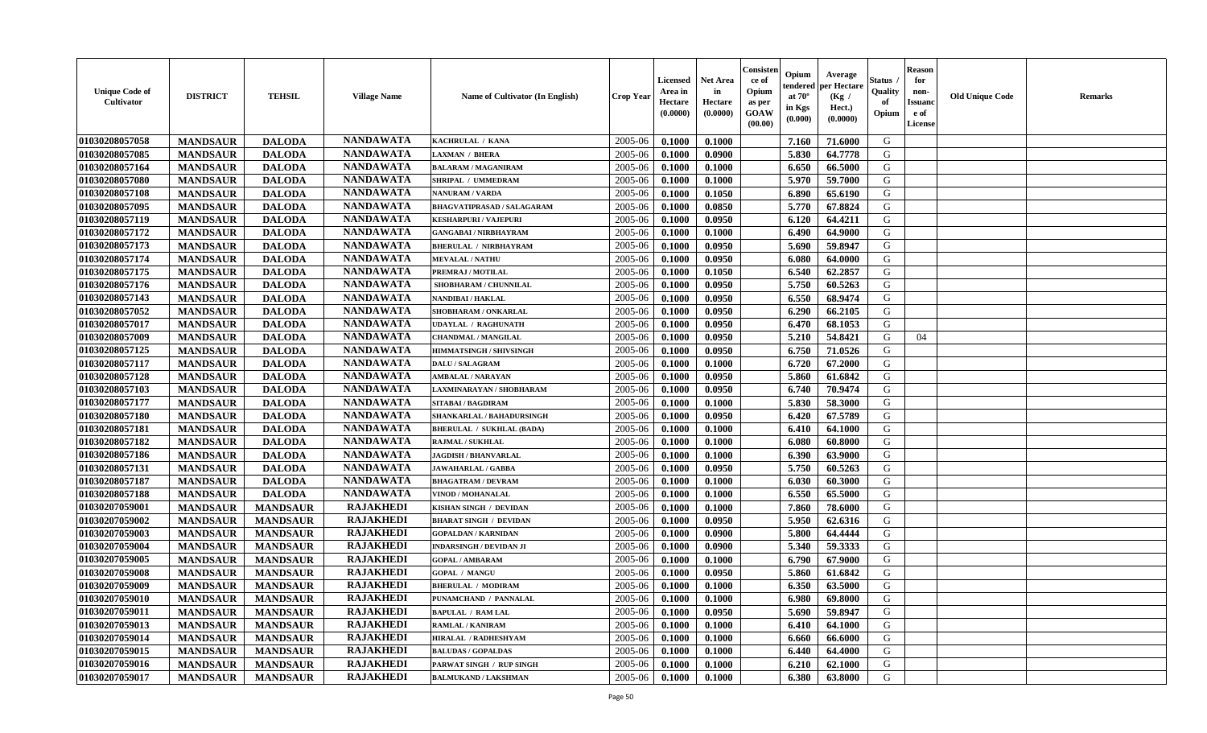| <b>Unique Code of</b><br><b>Cultivator</b> | <b>DISTRICT</b> | <b>TEHSIL</b>   | <b>Village Name</b> | Name of Cultivator (In English)   | <b>Crop Year</b> | <b>Licensed</b><br>Area in<br>Hectare<br>(0.0000) | <b>Net Area</b><br>in<br>Hectare<br>(0.0000) | Consister<br>ce of<br>Opium<br>as per<br><b>GOAW</b><br>(00.00) | Opium<br>endered<br>at $70^\circ$<br>in Kgs<br>(0.000) | Average<br>per Hectare<br>(Kg /<br>Hect.)<br>(0.0000) | Status<br>Quality<br>of<br>Opium | <b>Reason</b><br>for<br>non-<br><b>Issuand</b><br>e of<br><b>License</b> | <b>Old Unique Code</b> | <b>Remarks</b> |
|--------------------------------------------|-----------------|-----------------|---------------------|-----------------------------------|------------------|---------------------------------------------------|----------------------------------------------|-----------------------------------------------------------------|--------------------------------------------------------|-------------------------------------------------------|----------------------------------|--------------------------------------------------------------------------|------------------------|----------------|
| 01030208057058                             | <b>MANDSAUR</b> | <b>DALODA</b>   | <b>NANDAWATA</b>    | KACHRULAL / KANA                  | 2005-06          | 0.1000                                            | 0.1000                                       |                                                                 | 7.160                                                  | 71.6000                                               | G                                |                                                                          |                        |                |
| 01030208057085                             | <b>MANDSAUR</b> | <b>DALODA</b>   | <b>NANDAWATA</b>    | <b>LAXMAN / BHERA</b>             | 2005-06          | 0.1000                                            | 0.0900                                       |                                                                 | 5.830                                                  | 64.7778                                               | G                                |                                                                          |                        |                |
| 01030208057164                             | <b>MANDSAUR</b> | <b>DALODA</b>   | <b>NANDAWATA</b>    | <b>BALARAM / MAGANIRAM</b>        | 2005-06          | 0.1000                                            | 0.1000                                       |                                                                 | 6.650                                                  | 66.5000                                               | G                                |                                                                          |                        |                |
| 01030208057080                             | <b>MANDSAUR</b> | <b>DALODA</b>   | <b>NANDAWATA</b>    | SHRIPAL / UMMEDRAM                | 2005-06          | 0.1000                                            | 0.1000                                       |                                                                 | 5.970                                                  | 59.7000                                               | G                                |                                                                          |                        |                |
| 01030208057108                             | <b>MANDSAUR</b> | <b>DALODA</b>   | <b>NANDAWATA</b>    | <b>NANURAM / VARDA</b>            | 2005-06          | 0.1000                                            | 0.1050                                       |                                                                 | 6.890                                                  | 65.6190                                               | G                                |                                                                          |                        |                |
| 01030208057095                             | <b>MANDSAUR</b> | <b>DALODA</b>   | <b>NANDAWATA</b>    | <b>BHAGVATIPRASAD / SALAGARAM</b> | 2005-06          | 0.1000                                            | 0.0850                                       |                                                                 | 5.770                                                  | 67.8824                                               | G                                |                                                                          |                        |                |
| 01030208057119                             | <b>MANDSAUR</b> | <b>DALODA</b>   | <b>NANDAWATA</b>    | <b>KESHARPURI / VAJEPURI</b>      | 2005-06          | 0.1000                                            | 0.0950                                       |                                                                 | 6.120                                                  | 64.4211                                               | G                                |                                                                          |                        |                |
| 01030208057172                             | <b>MANDSAUR</b> | <b>DALODA</b>   | <b>NANDAWATA</b>    | <b>GANGABAI / NIRBHAYRAM</b>      | 2005-06          | 0.1000                                            | 0.1000                                       |                                                                 | 6.490                                                  | 64.9000                                               | G                                |                                                                          |                        |                |
| 01030208057173                             | <b>MANDSAUR</b> | <b>DALODA</b>   | <b>NANDAWATA</b>    | <b>BHERULAL / NIRBHAYRAM</b>      | 2005-06          | 0.1000                                            | 0.0950                                       |                                                                 | 5.690                                                  | 59.8947                                               | G                                |                                                                          |                        |                |
| 01030208057174                             | <b>MANDSAUR</b> | <b>DALODA</b>   | <b>NANDAWATA</b>    | <b>MEVALAL / NATHU</b>            | 2005-06          | 0.1000                                            | 0.0950                                       |                                                                 | 6.080                                                  | 64.0000                                               | G                                |                                                                          |                        |                |
| 01030208057175                             | <b>MANDSAUR</b> | <b>DALODA</b>   | <b>NANDAWATA</b>    | PREMRAJ / MOTILAL                 | 2005-06          | 0.1000                                            | 0.1050                                       |                                                                 | 6.540                                                  | 62.2857                                               | G                                |                                                                          |                        |                |
| 01030208057176                             | <b>MANDSAUR</b> | <b>DALODA</b>   | <b>NANDAWATA</b>    | SHOBHARAM / CHUNNILAL             | 2005-06          | 0.1000                                            | 0.0950                                       |                                                                 | 5.750                                                  | 60.5263                                               | G                                |                                                                          |                        |                |
| 01030208057143                             | <b>MANDSAUR</b> | <b>DALODA</b>   | <b>NANDAWATA</b>    | <b>NANDIBAI / HAKLAL</b>          | 2005-06          | 0.1000                                            | 0.0950                                       |                                                                 | 6.550                                                  | 68.9474                                               | G                                |                                                                          |                        |                |
| 01030208057052                             | <b>MANDSAUR</b> | <b>DALODA</b>   | <b>NANDAWATA</b>    | SHOBHARAM / ONKARLAL              | 2005-06          | 0.1000                                            | 0.0950                                       |                                                                 | 6.290                                                  | 66.2105                                               | G                                |                                                                          |                        |                |
| 01030208057017                             | <b>MANDSAUR</b> | <b>DALODA</b>   | <b>NANDAWATA</b>    | UDAYLAL / RAGHUNATH               | 2005-06          | 0.1000                                            | 0.0950                                       |                                                                 | 6.470                                                  | 68.1053                                               | G                                |                                                                          |                        |                |
| 01030208057009                             | <b>MANDSAUR</b> | <b>DALODA</b>   | <b>NANDAWATA</b>    | <b>CHANDMAL / MANGILAL</b>        | 2005-06          | 0.1000                                            | 0.0950                                       |                                                                 | 5.210                                                  | 54.8421                                               | G                                | 04                                                                       |                        |                |
| 01030208057125                             | <b>MANDSAUR</b> | <b>DALODA</b>   | <b>NANDAWATA</b>    | <b>HIMMATSINGH / SHIVSINGH</b>    | 2005-06          | 0.1000                                            | 0.0950                                       |                                                                 | 6.750                                                  | 71.0526                                               | G                                |                                                                          |                        |                |
| 01030208057117                             | <b>MANDSAUR</b> | <b>DALODA</b>   | <b>NANDAWATA</b>    | <b>DALU / SALAGRAM</b>            | 2005-06          | 0.1000                                            | 0.1000                                       |                                                                 | 6.720                                                  | 67.2000                                               | G                                |                                                                          |                        |                |
| 01030208057128                             | <b>MANDSAUR</b> | <b>DALODA</b>   | <b>NANDAWATA</b>    | <b>AMBALAL / NARAYAN</b>          | 2005-06          | 0.1000                                            | 0.0950                                       |                                                                 | 5.860                                                  | 61.6842                                               | G                                |                                                                          |                        |                |
| 01030208057103                             | <b>MANDSAUR</b> | <b>DALODA</b>   | <b>NANDAWATA</b>    | LAXMINARAYAN / SHOBHARAM          | 2005-06          | 0.1000                                            | 0.0950                                       |                                                                 | 6.740                                                  | 70.9474                                               | G                                |                                                                          |                        |                |
| 01030208057177                             | <b>MANDSAUR</b> | <b>DALODA</b>   | <b>NANDAWATA</b>    | <b>SITABAI/BAGDIRAM</b>           | 2005-06          | 0.1000                                            | 0.1000                                       |                                                                 | 5.830                                                  | 58.3000                                               | G                                |                                                                          |                        |                |
| 01030208057180                             | <b>MANDSAUR</b> | <b>DALODA</b>   | <b>NANDAWATA</b>    | SHANKARLAL / BAHADURSINGH         | 2005-06          | 0.1000                                            | 0.0950                                       |                                                                 | 6.420                                                  | 67.5789                                               | G                                |                                                                          |                        |                |
| 01030208057181                             | <b>MANDSAUR</b> | <b>DALODA</b>   | <b>NANDAWATA</b>    | <b>BHERULAL / SUKHLAL (BADA)</b>  | 2005-06          | 0.1000                                            | 0.1000                                       |                                                                 | 6.410                                                  | 64.1000                                               | G                                |                                                                          |                        |                |
| 01030208057182                             | <b>MANDSAUR</b> | <b>DALODA</b>   | <b>NANDAWATA</b>    | <b>RAJMAL / SUKHLAL</b>           | 2005-06          | 0.1000                                            | 0.1000                                       |                                                                 | 6.080                                                  | 60.8000                                               | G                                |                                                                          |                        |                |
| 01030208057186                             | <b>MANDSAUR</b> | <b>DALODA</b>   | <b>NANDAWATA</b>    | <b>JAGDISH / BHANVARLAL</b>       | 2005-06          | 0.1000                                            | 0.1000                                       |                                                                 | 6.390                                                  | 63.9000                                               | G                                |                                                                          |                        |                |
| 01030208057131                             | <b>MANDSAUR</b> | <b>DALODA</b>   | <b>NANDAWATA</b>    | <b>JAWAHARLAL / GABBA</b>         | 2005-06          | 0.1000                                            | 0.0950                                       |                                                                 | 5.750                                                  | 60.5263                                               | G                                |                                                                          |                        |                |
| 01030208057187                             | <b>MANDSAUR</b> | <b>DALODA</b>   | <b>NANDAWATA</b>    | <b>BHAGATRAM / DEVRAM</b>         | 2005-06          | 0.1000                                            | 0.1000                                       |                                                                 | 6.030                                                  | 60.3000                                               | G                                |                                                                          |                        |                |
| 01030208057188                             | <b>MANDSAUR</b> | <b>DALODA</b>   | <b>NANDAWATA</b>    | <b>VINOD / MOHANALAL</b>          | 2005-06          | 0.1000                                            | 0.1000                                       |                                                                 | 6.550                                                  | 65.5000                                               | G                                |                                                                          |                        |                |
| 01030207059001                             | <b>MANDSAUR</b> | <b>MANDSAUR</b> | <b>RAJAKHEDI</b>    | KISHAN SINGH / DEVIDAN            | 2005-06          | 0.1000                                            | 0.1000                                       |                                                                 | 7.860                                                  | 78.6000                                               | G                                |                                                                          |                        |                |
| 01030207059002                             | <b>MANDSAUR</b> | <b>MANDSAUR</b> | <b>RAJAKHEDI</b>    | <b>BHARAT SINGH / DEVIDAN</b>     | 2005-06          | 0.1000                                            | 0.0950                                       |                                                                 | 5.950                                                  | 62.6316                                               | G                                |                                                                          |                        |                |
| 01030207059003                             | <b>MANDSAUR</b> | <b>MANDSAUR</b> | <b>RAJAKHEDI</b>    | <b>GOPALDAN / KARNIDAN</b>        | 2005-06          | 0.1000                                            | 0.0900                                       |                                                                 | 5.800                                                  | 64.4444                                               | G                                |                                                                          |                        |                |
| 01030207059004                             | <b>MANDSAUR</b> | <b>MANDSAUR</b> | <b>RAJAKHEDI</b>    | <b>INDARSINGH / DEVIDAN JI</b>    | 2005-06          | 0.1000                                            | 0.0900                                       |                                                                 | 5.340                                                  | 59.3333                                               | ${\bf G}$                        |                                                                          |                        |                |
| 01030207059005                             | <b>MANDSAUR</b> | <b>MANDSAUR</b> | <b>RAJAKHEDI</b>    | <b>GOPAL / AMBARAM</b>            | 2005-06          | 0.1000                                            | 0.1000                                       |                                                                 | 6.790                                                  | 67.9000                                               | G                                |                                                                          |                        |                |
| 01030207059008                             | <b>MANDSAUR</b> | <b>MANDSAUR</b> | <b>RAJAKHEDI</b>    | <b>GOPAL / MANGU</b>              | 2005-06          | 0.1000                                            | 0.0950                                       |                                                                 | 5.860                                                  | 61.6842                                               | G                                |                                                                          |                        |                |
| 01030207059009                             | <b>MANDSAUR</b> | <b>MANDSAUR</b> | <b>RAJAKHEDI</b>    | <b>BHERULAL / MODIRAM</b>         | 2005-06          | 0.1000                                            | 0.1000                                       |                                                                 | 6.350                                                  | 63.5000                                               | G                                |                                                                          |                        |                |
| 01030207059010                             | <b>MANDSAUR</b> | <b>MANDSAUR</b> | <b>RAJAKHEDI</b>    | PUNAMCHAND / PANNALAL             | 2005-06          | 0.1000                                            | 0.1000                                       |                                                                 | 6.980                                                  | 69.8000                                               | G                                |                                                                          |                        |                |
| 01030207059011                             | <b>MANDSAUR</b> | <b>MANDSAUR</b> | <b>RAJAKHEDI</b>    | <b>BAPULAL / RAM LAL</b>          | 2005-06          | 0.1000                                            | 0.0950                                       |                                                                 | 5.690                                                  | 59.8947                                               | G                                |                                                                          |                        |                |
| 01030207059013                             | <b>MANDSAUR</b> | <b>MANDSAUR</b> | <b>RAJAKHEDI</b>    | RAMLAL / KANIRAM                  | 2005-06          | 0.1000                                            | 0.1000                                       |                                                                 | 6.410                                                  | 64.1000                                               | G                                |                                                                          |                        |                |
| 01030207059014                             | <b>MANDSAUR</b> | <b>MANDSAUR</b> | <b>RAJAKHEDI</b>    | <b>HIRALAL / RADHESHYAM</b>       | 2005-06          | 0.1000                                            | 0.1000                                       |                                                                 | 6.660                                                  | 66.6000                                               | G                                |                                                                          |                        |                |
| 01030207059015                             | <b>MANDSAUR</b> | <b>MANDSAUR</b> | <b>RAJAKHEDI</b>    | <b>BALUDAS / GOPALDAS</b>         | 2005-06          | 0.1000                                            | 0.1000                                       |                                                                 | 6.440                                                  | 64.4000                                               | ${\bf G}$                        |                                                                          |                        |                |
| 01030207059016                             | <b>MANDSAUR</b> | <b>MANDSAUR</b> | <b>RAJAKHEDI</b>    | PARWAT SINGH / RUP SINGH          | 2005-06          | 0.1000                                            | 0.1000                                       |                                                                 | 6.210                                                  | 62.1000                                               | G                                |                                                                          |                        |                |
| 01030207059017                             | <b>MANDSAUR</b> | <b>MANDSAUR</b> | <b>RAJAKHEDI</b>    | <b>BALMUKAND / LAKSHMAN</b>       | 2005-06          | 0.1000                                            | 0.1000                                       |                                                                 | 6.380                                                  | 63.8000                                               | G                                |                                                                          |                        |                |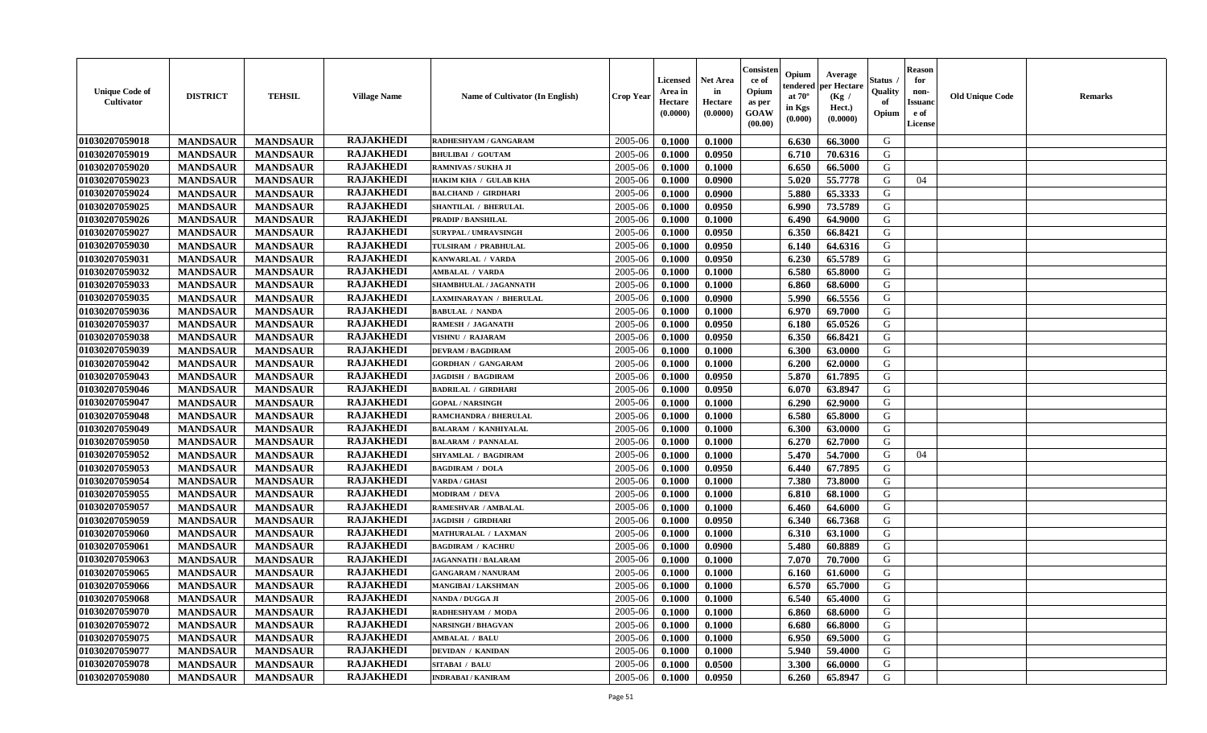| <b>Unique Code of</b><br><b>Cultivator</b> | <b>DISTRICT</b> | <b>TEHSIL</b>   | <b>Village Name</b> | Name of Cultivator (In English) | <b>Crop Year</b> | <b>Licensed</b><br>Area in<br>Hectare<br>(0.0000) | <b>Net Area</b><br>in<br>Hectare<br>(0.0000) | Consisteı<br>ce of<br>Opium<br>as per<br><b>GOAW</b><br>(00.00) | Opium<br>endered<br>at $70^\circ$<br>in Kgs<br>$(\mathbf{0.000})$ | Average<br>per Hectare<br>(Kg /<br>Hect.)<br>(0.0000) | Status<br>Quality<br>of<br>Opium | Reason<br>for<br>non-<br>Issuan<br>e of<br>License | <b>Old Unique Code</b> | <b>Remarks</b> |
|--------------------------------------------|-----------------|-----------------|---------------------|---------------------------------|------------------|---------------------------------------------------|----------------------------------------------|-----------------------------------------------------------------|-------------------------------------------------------------------|-------------------------------------------------------|----------------------------------|----------------------------------------------------|------------------------|----------------|
| 01030207059018                             | <b>MANDSAUR</b> | <b>MANDSAUR</b> | <b>RAJAKHEDI</b>    | RADHESHYAM / GANGARAM           | 2005-06          | 0.1000                                            | 0.1000                                       |                                                                 | 6.630                                                             | 66.3000                                               | G                                |                                                    |                        |                |
| 01030207059019                             | <b>MANDSAUR</b> | <b>MANDSAUR</b> | <b>RAJAKHEDI</b>    | <b>BHULIBAI / GOUTAM</b>        | 2005-06          | 0.1000                                            | 0.0950                                       |                                                                 | 6.710                                                             | 70.6316                                               | G                                |                                                    |                        |                |
| 01030207059020                             | <b>MANDSAUR</b> | <b>MANDSAUR</b> | <b>RAJAKHEDI</b>    | RAMNIVAS / SUKHA JI             | 2005-06          | 0.1000                                            | 0.1000                                       |                                                                 | 6.650                                                             | 66.5000                                               | G                                |                                                    |                        |                |
| 01030207059023                             | <b>MANDSAUR</b> | <b>MANDSAUR</b> | <b>RAJAKHEDI</b>    | HAKIM KHA / GULAB KHA           | 2005-06          | 0.1000                                            | 0.0900                                       |                                                                 | 5.020                                                             | 55.7778                                               | G                                | 04                                                 |                        |                |
| 01030207059024                             | <b>MANDSAUR</b> | <b>MANDSAUR</b> | <b>RAJAKHEDI</b>    | <b>BALCHAND / GIRDHARI</b>      | 2005-06          | 0.1000                                            | 0.0900                                       |                                                                 | 5.880                                                             | 65.3333                                               | G                                |                                                    |                        |                |
| 01030207059025                             | <b>MANDSAUR</b> | <b>MANDSAUR</b> | <b>RAJAKHEDI</b>    | <b>SHANTILAL / BHERULAL</b>     | 2005-06          | 0.1000                                            | 0.0950                                       |                                                                 | 6.990                                                             | 73.5789                                               | G                                |                                                    |                        |                |
| 01030207059026                             | <b>MANDSAUR</b> | <b>MANDSAUR</b> | <b>RAJAKHEDI</b>    | <b>PRADIP / BANSHILAL</b>       | 2005-06          | 0.1000                                            | 0.1000                                       |                                                                 | 6.490                                                             | 64.9000                                               | G                                |                                                    |                        |                |
| 01030207059027                             | <b>MANDSAUR</b> | <b>MANDSAUR</b> | <b>RAJAKHEDI</b>    | <b>SURYPAL / UMRAVSINGH</b>     | 2005-06          | 0.1000                                            | 0.0950                                       |                                                                 | 6.350                                                             | 66.8421                                               | G                                |                                                    |                        |                |
| 01030207059030                             | <b>MANDSAUR</b> | <b>MANDSAUR</b> | <b>RAJAKHEDI</b>    | TULSIRAM / PRABHULAL            | 2005-06          | 0.1000                                            | 0.0950                                       |                                                                 | 6.140                                                             | 64.6316                                               | G                                |                                                    |                        |                |
| 01030207059031                             | <b>MANDSAUR</b> | <b>MANDSAUR</b> | <b>RAJAKHEDI</b>    | KANWARLAL / VARDA               | 2005-06          | 0.1000                                            | 0.0950                                       |                                                                 | 6.230                                                             | 65.5789                                               | G                                |                                                    |                        |                |
| 01030207059032                             | <b>MANDSAUR</b> | <b>MANDSAUR</b> | <b>RAJAKHEDI</b>    | <b>AMBALAL / VARDA</b>          | 2005-06          | 0.1000                                            | 0.1000                                       |                                                                 | 6.580                                                             | 65.8000                                               | G                                |                                                    |                        |                |
| 01030207059033                             | <b>MANDSAUR</b> | <b>MANDSAUR</b> | <b>RAJAKHEDI</b>    | SHAMBHULAL / JAGANNATH          | 2005-06          | 0.1000                                            | 0.1000                                       |                                                                 | 6.860                                                             | 68.6000                                               | G                                |                                                    |                        |                |
| 01030207059035                             | <b>MANDSAUR</b> | <b>MANDSAUR</b> | <b>RAJAKHEDI</b>    | LAXMINARAYAN / BHERULAL         | 2005-06          | 0.1000                                            | 0.0900                                       |                                                                 | 5.990                                                             | 66.5556                                               | G                                |                                                    |                        |                |
| 01030207059036                             | <b>MANDSAUR</b> | <b>MANDSAUR</b> | <b>RAJAKHEDI</b>    | <b>BABULAL / NANDA</b>          | 2005-06          | 0.1000                                            | 0.1000                                       |                                                                 | 6.970                                                             | 69.7000                                               | G                                |                                                    |                        |                |
| 01030207059037                             | <b>MANDSAUR</b> | <b>MANDSAUR</b> | <b>RAJAKHEDI</b>    | <b>RAMESH / JAGANATH</b>        | 2005-06          | 0.1000                                            | 0.0950                                       |                                                                 | 6.180                                                             | 65.0526                                               | G                                |                                                    |                        |                |
| 01030207059038                             | <b>MANDSAUR</b> | <b>MANDSAUR</b> | <b>RAJAKHEDI</b>    | VISHNU / RAJARAM                | 2005-06          | 0.1000                                            | 0.0950                                       |                                                                 | 6.350                                                             | 66.8421                                               | G                                |                                                    |                        |                |
| 01030207059039                             | <b>MANDSAUR</b> | <b>MANDSAUR</b> | <b>RAJAKHEDI</b>    | <b>DEVRAM / BAGDIRAM</b>        | 2005-06          | 0.1000                                            | 0.1000                                       |                                                                 | 6.300                                                             | 63.0000                                               | G                                |                                                    |                        |                |
| 01030207059042                             | <b>MANDSAUR</b> | <b>MANDSAUR</b> | <b>RAJAKHEDI</b>    | <b>GORDHAN / GANGARAM</b>       | 2005-06          | 0.1000                                            | 0.1000                                       |                                                                 | 6.200                                                             | 62.0000                                               | G                                |                                                    |                        |                |
| 01030207059043                             | <b>MANDSAUR</b> | <b>MANDSAUR</b> | <b>RAJAKHEDI</b>    | <b>JAGDISH / BAGDIRAM</b>       | 2005-06          | 0.1000                                            | 0.0950                                       |                                                                 | 5.870                                                             | 61.7895                                               | G                                |                                                    |                        |                |
| 01030207059046                             | <b>MANDSAUR</b> | <b>MANDSAUR</b> | <b>RAJAKHEDI</b>    | <b>BADRILAL / GIRDHARI</b>      | 2005-06          | 0.1000                                            | 0.0950                                       |                                                                 | 6.070                                                             | 63.8947                                               | G                                |                                                    |                        |                |
| 01030207059047                             | <b>MANDSAUR</b> | <b>MANDSAUR</b> | <b>RAJAKHEDI</b>    | <b>GOPAL / NARSINGH</b>         | 2005-06          | 0.1000                                            | 0.1000                                       |                                                                 | 6.290                                                             | 62.9000                                               | G                                |                                                    |                        |                |
| 01030207059048                             | <b>MANDSAUR</b> | <b>MANDSAUR</b> | <b>RAJAKHEDI</b>    | RAMCHANDRA / BHERULAL           | 2005-06          | 0.1000                                            | 0.1000                                       |                                                                 | 6.580                                                             | 65.8000                                               | G                                |                                                    |                        |                |
| 01030207059049                             | <b>MANDSAUR</b> | <b>MANDSAUR</b> | <b>RAJAKHEDI</b>    | <b>BALARAM / KANHIYALAL</b>     | 2005-06          | 0.1000                                            | 0.1000                                       |                                                                 | 6.300                                                             | 63.0000                                               | G                                |                                                    |                        |                |
| 01030207059050                             | <b>MANDSAUR</b> | <b>MANDSAUR</b> | <b>RAJAKHEDI</b>    | <b>BALARAM / PANNALAL</b>       | 2005-06          | 0.1000                                            | 0.1000                                       |                                                                 | 6.270                                                             | 62.7000                                               | G                                |                                                    |                        |                |
| 01030207059052                             | <b>MANDSAUR</b> | <b>MANDSAUR</b> | <b>RAJAKHEDI</b>    | SHYAMLAL / BAGDIRAM             | 2005-06          | 0.1000                                            | 0.1000                                       |                                                                 | 5.470                                                             | 54.7000                                               | G                                | 04                                                 |                        |                |
| 01030207059053                             | <b>MANDSAUR</b> | <b>MANDSAUR</b> | <b>RAJAKHEDI</b>    | <b>BAGDIRAM / DOLA</b>          | 2005-06          | 0.1000                                            | 0.0950                                       |                                                                 | 6.440                                                             | 67.7895                                               | G                                |                                                    |                        |                |
| 01030207059054                             | <b>MANDSAUR</b> | <b>MANDSAUR</b> | <b>RAJAKHEDI</b>    | <b>VARDA / GHASI</b>            | 2005-06          | 0.1000                                            | 0.1000                                       |                                                                 | 7.380                                                             | 73.8000                                               | G                                |                                                    |                        |                |
| 01030207059055                             | <b>MANDSAUR</b> | <b>MANDSAUR</b> | <b>RAJAKHEDI</b>    | <b>MODIRAM / DEVA</b>           | 2005-06          | 0.1000                                            | 0.1000                                       |                                                                 | 6.810                                                             | 68.1000                                               | G                                |                                                    |                        |                |
| 01030207059057                             | <b>MANDSAUR</b> | <b>MANDSAUR</b> | <b>RAJAKHEDI</b>    | <b>RAMESHVAR / AMBALAL</b>      | 2005-06          | 0.1000                                            | 0.1000                                       |                                                                 | 6.460                                                             | 64.6000                                               | G                                |                                                    |                        |                |
| 01030207059059                             | <b>MANDSAUR</b> | <b>MANDSAUR</b> | <b>RAJAKHEDI</b>    | <b>JAGDISH / GIRDHARI</b>       | 2005-06          | 0.1000                                            | 0.0950                                       |                                                                 | 6.340                                                             | 66.7368                                               | G                                |                                                    |                        |                |
| 01030207059060                             | <b>MANDSAUR</b> | <b>MANDSAUR</b> | <b>RAJAKHEDI</b>    | MATHURALAL / LAXMAN             | 2005-06          | 0.1000                                            | 0.1000                                       |                                                                 | 6.310                                                             | 63.1000                                               | G                                |                                                    |                        |                |
| 01030207059061                             | <b>MANDSAUR</b> | <b>MANDSAUR</b> | <b>RAJAKHEDI</b>    | <b>BAGDIRAM / KACHRU</b>        | 2005-06          | 0.1000                                            | 0.0900                                       |                                                                 | 5.480                                                             | 60.8889                                               | G                                |                                                    |                        |                |
| 01030207059063                             | <b>MANDSAUR</b> | <b>MANDSAUR</b> | <b>RAJAKHEDI</b>    | <b>JAGANNATH / BALARAM</b>      | 2005-06          | 0.1000                                            | 0.1000                                       |                                                                 | 7.070                                                             | 70.7000                                               | G                                |                                                    |                        |                |
| 01030207059065                             | <b>MANDSAUR</b> | <b>MANDSAUR</b> | <b>RAJAKHEDI</b>    | <b>GANGARAM / NANURAM</b>       | 2005-06          | 0.1000                                            | 0.1000                                       |                                                                 | 6.160                                                             | 61.6000                                               | G                                |                                                    |                        |                |
| 01030207059066                             | <b>MANDSAUR</b> | <b>MANDSAUR</b> | <b>RAJAKHEDI</b>    | <b>MANGIBAI/LAKSHMAN</b>        | 2005-06          | 0.1000                                            | 0.1000                                       |                                                                 | 6.570                                                             | 65.7000                                               | G                                |                                                    |                        |                |
| 01030207059068                             | <b>MANDSAUR</b> | <b>MANDSAUR</b> | <b>RAJAKHEDI</b>    | <b>NANDA / DUGGA JI</b>         | $2005 - 06$      | 0.1000                                            | 0.1000                                       |                                                                 |                                                                   | $6.540 \pm 65.4000$                                   | G                                |                                                    |                        |                |
| 01030207059070                             | <b>MANDSAUR</b> | <b>MANDSAUR</b> | <b>RAJAKHEDI</b>    | RADHESHYAM / MODA               | 2005-06          | 0.1000                                            | 0.1000                                       |                                                                 | 6.860                                                             | 68.6000                                               | G                                |                                                    |                        |                |
| 01030207059072                             | <b>MANDSAUR</b> | <b>MANDSAUR</b> | <b>RAJAKHEDI</b>    | <b>NARSINGH / BHAGVAN</b>       | 2005-06          | 0.1000                                            | 0.1000                                       |                                                                 | 6.680                                                             | 66.8000                                               | G                                |                                                    |                        |                |
| 01030207059075                             | <b>MANDSAUR</b> | <b>MANDSAUR</b> | <b>RAJAKHEDI</b>    | <b>AMBALAL / BALU</b>           | 2005-06          | 0.1000                                            | 0.1000                                       |                                                                 | 6.950                                                             | 69.5000                                               | G                                |                                                    |                        |                |
| 01030207059077                             | <b>MANDSAUR</b> | <b>MANDSAUR</b> | <b>RAJAKHEDI</b>    | <b>DEVIDAN / KANIDAN</b>        | 2005-06          | 0.1000                                            | 0.1000                                       |                                                                 | 5.940                                                             | 59.4000                                               | G                                |                                                    |                        |                |
| 01030207059078                             | <b>MANDSAUR</b> | <b>MANDSAUR</b> | <b>RAJAKHEDI</b>    | <b>SITABAI / BALU</b>           | 2005-06          | 0.1000                                            | 0.0500                                       |                                                                 | 3.300                                                             | 66.0000                                               | G                                |                                                    |                        |                |
| 01030207059080                             | <b>MANDSAUR</b> | <b>MANDSAUR</b> | <b>RAJAKHEDI</b>    | <b>INDRABAI/KANIRAM</b>         | 2005-06          | 0.1000                                            | 0.0950                                       |                                                                 | 6.260                                                             | 65.8947                                               | G                                |                                                    |                        |                |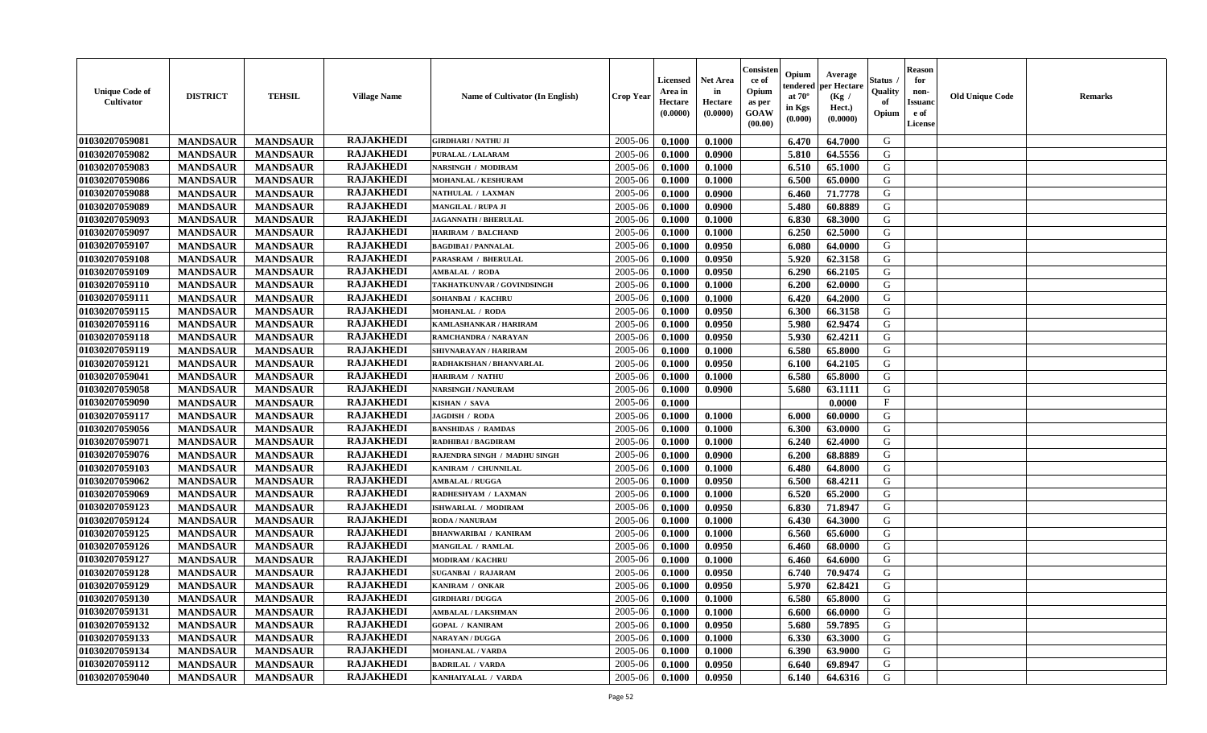| <b>Unique Code of</b><br><b>Cultivator</b> | <b>DISTRICT</b> | <b>TEHSIL</b>   | <b>Village Name</b> | Name of Cultivator (In English) | <b>Crop Year</b> | <b>Licensed</b><br>Area in<br>Hectare<br>(0.0000) | <b>Net Area</b><br>in<br>Hectare<br>(0.0000) | Consisteı<br>ce of<br>Opium<br>as per<br><b>GOAW</b><br>(00.00) | Opium<br>endered<br>at $70^\circ$<br>in Kgs<br>$(\mathbf{0.000})$ | Average<br>per Hectare<br>(Kg /<br>Hect.)<br>(0.0000) | Status<br>Quality<br>of<br>Opium | Reason<br>for<br>non-<br>Issuan<br>e of<br>License | <b>Old Unique Code</b> | <b>Remarks</b> |
|--------------------------------------------|-----------------|-----------------|---------------------|---------------------------------|------------------|---------------------------------------------------|----------------------------------------------|-----------------------------------------------------------------|-------------------------------------------------------------------|-------------------------------------------------------|----------------------------------|----------------------------------------------------|------------------------|----------------|
| 01030207059081                             | <b>MANDSAUR</b> | <b>MANDSAUR</b> | <b>RAJAKHEDI</b>    | <b>GIRDHARI / NATHU JI</b>      | 2005-06          | 0.1000                                            | 0.1000                                       |                                                                 | 6.470                                                             | 64.7000                                               | G                                |                                                    |                        |                |
| 01030207059082                             | <b>MANDSAUR</b> | <b>MANDSAUR</b> | <b>RAJAKHEDI</b>    | PURALAL / LALARAM               | 2005-06          | 0.1000                                            | 0.0900                                       |                                                                 | 5.810                                                             | 64.5556                                               | G                                |                                                    |                        |                |
| 01030207059083                             | <b>MANDSAUR</b> | <b>MANDSAUR</b> | <b>RAJAKHEDI</b>    | NARSINGH / MODIRAM              | 2005-06          | 0.1000                                            | 0.1000                                       |                                                                 | 6.510                                                             | 65.1000                                               | G                                |                                                    |                        |                |
| 01030207059086                             | <b>MANDSAUR</b> | <b>MANDSAUR</b> | <b>RAJAKHEDI</b>    | MOHANLAL / KESHURAM             | 2005-06          | 0.1000                                            | 0.1000                                       |                                                                 | 6.500                                                             | 65.0000                                               | G                                |                                                    |                        |                |
| 01030207059088                             | <b>MANDSAUR</b> | <b>MANDSAUR</b> | <b>RAJAKHEDI</b>    | NATHULAL / LAXMAN               | 2005-06          | 0.1000                                            | 0.0900                                       |                                                                 | 6.460                                                             | 71.7778                                               | G                                |                                                    |                        |                |
| 01030207059089                             | <b>MANDSAUR</b> | <b>MANDSAUR</b> | <b>RAJAKHEDI</b>    | <b>MANGILAL / RUPA JI</b>       | 2005-06          | 0.1000                                            | 0.0900                                       |                                                                 | 5.480                                                             | 60.8889                                               | G                                |                                                    |                        |                |
| 01030207059093                             | <b>MANDSAUR</b> | <b>MANDSAUR</b> | <b>RAJAKHEDI</b>    | <b>JAGANNATH / BHERULAL</b>     | 2005-06          | 0.1000                                            | 0.1000                                       |                                                                 | 6.830                                                             | 68.3000                                               | G                                |                                                    |                        |                |
| 01030207059097                             | <b>MANDSAUR</b> | <b>MANDSAUR</b> | <b>RAJAKHEDI</b>    | <b>HARIRAM / BALCHAND</b>       | 2005-06          | 0.1000                                            | 0.1000                                       |                                                                 | 6.250                                                             | 62.5000                                               | G                                |                                                    |                        |                |
| 01030207059107                             | <b>MANDSAUR</b> | <b>MANDSAUR</b> | <b>RAJAKHEDI</b>    | <b>BAGDIBAI / PANNALAL</b>      | 2005-06          | 0.1000                                            | 0.0950                                       |                                                                 | 6.080                                                             | 64.0000                                               | G                                |                                                    |                        |                |
| 01030207059108                             | <b>MANDSAUR</b> | <b>MANDSAUR</b> | <b>RAJAKHEDI</b>    | PARASRAM / BHERULAL             | 2005-06          | 0.1000                                            | 0.0950                                       |                                                                 | 5.920                                                             | 62.3158                                               | G                                |                                                    |                        |                |
| 01030207059109                             | <b>MANDSAUR</b> | <b>MANDSAUR</b> | <b>RAJAKHEDI</b>    | <b>AMBALAL / RODA</b>           | 2005-06          | 0.1000                                            | 0.0950                                       |                                                                 | 6.290                                                             | 66.2105                                               | G                                |                                                    |                        |                |
| 01030207059110                             | <b>MANDSAUR</b> | <b>MANDSAUR</b> | <b>RAJAKHEDI</b>    | TAKHATKUNVAR / GOVINDSINGH      | 2005-06          | 0.1000                                            | 0.1000                                       |                                                                 | 6.200                                                             | 62.0000                                               | G                                |                                                    |                        |                |
| 01030207059111                             | <b>MANDSAUR</b> | <b>MANDSAUR</b> | <b>RAJAKHEDI</b>    | SOHANBAI / KACHRU               | 2005-06          | 0.1000                                            | 0.1000                                       |                                                                 | 6.420                                                             | 64.2000                                               | G                                |                                                    |                        |                |
| 01030207059115                             | <b>MANDSAUR</b> | <b>MANDSAUR</b> | <b>RAJAKHEDI</b>    | <b>MOHANLAL / RODA</b>          | 2005-06          | 0.1000                                            | 0.0950                                       |                                                                 | 6.300                                                             | 66.3158                                               | G                                |                                                    |                        |                |
| 01030207059116                             | <b>MANDSAUR</b> | <b>MANDSAUR</b> | <b>RAJAKHEDI</b>    | KAMLASHANKAR / HARIRAM          | 2005-06          | 0.1000                                            | 0.0950                                       |                                                                 | 5.980                                                             | 62.9474                                               | G                                |                                                    |                        |                |
| 01030207059118                             | <b>MANDSAUR</b> | <b>MANDSAUR</b> | <b>RAJAKHEDI</b>    | RAMCHANDRA / NARAYAN            | 2005-06          | 0.1000                                            | 0.0950                                       |                                                                 | 5.930                                                             | 62.4211                                               | G                                |                                                    |                        |                |
| 01030207059119                             | <b>MANDSAUR</b> | <b>MANDSAUR</b> | <b>RAJAKHEDI</b>    | SHIVNARAYAN / HARIRAM           | 2005-06          | 0.1000                                            | 0.1000                                       |                                                                 | 6.580                                                             | 65.8000                                               | G                                |                                                    |                        |                |
| 01030207059121                             | <b>MANDSAUR</b> | <b>MANDSAUR</b> | <b>RAJAKHEDI</b>    | RADHAKISHAN / BHANVARLAL        | 2005-06          | 0.1000                                            | 0.0950                                       |                                                                 | 6.100                                                             | 64.2105                                               | G                                |                                                    |                        |                |
| 01030207059041                             | <b>MANDSAUR</b> | <b>MANDSAUR</b> | <b>RAJAKHEDI</b>    | <b>HARIRAM / NATHU</b>          | 2005-06          | 0.1000                                            | 0.1000                                       |                                                                 | 6.580                                                             | 65.8000                                               | G                                |                                                    |                        |                |
| 01030207059058                             | <b>MANDSAUR</b> | <b>MANDSAUR</b> | <b>RAJAKHEDI</b>    | <b>NARSINGH / NANURAM</b>       | 2005-06          | 0.1000                                            | 0.0900                                       |                                                                 | 5.680                                                             | 63.1111                                               | G                                |                                                    |                        |                |
| 01030207059090                             | <b>MANDSAUR</b> | <b>MANDSAUR</b> | <b>RAJAKHEDI</b>    | KISHAN / SAVA                   | 2005-06          | 0.1000                                            |                                              |                                                                 |                                                                   | 0.0000                                                | F                                |                                                    |                        |                |
| 01030207059117                             | <b>MANDSAUR</b> | <b>MANDSAUR</b> | <b>RAJAKHEDI</b>    | JAGDISH / RODA                  | 2005-06          | 0.1000                                            | 0.1000                                       |                                                                 | 6.000                                                             | 60.0000                                               | G                                |                                                    |                        |                |
| 01030207059056                             | <b>MANDSAUR</b> | <b>MANDSAUR</b> | <b>RAJAKHEDI</b>    | <b>BANSHIDAS / RAMDAS</b>       | 2005-06          | 0.1000                                            | 0.1000                                       |                                                                 | 6.300                                                             | 63.0000                                               | G                                |                                                    |                        |                |
| 01030207059071                             | <b>MANDSAUR</b> | <b>MANDSAUR</b> | <b>RAJAKHEDI</b>    | <b>RADHIBAI / BAGDIRAM</b>      | 2005-06          | 0.1000                                            | 0.1000                                       |                                                                 | 6.240                                                             | 62.4000                                               | G                                |                                                    |                        |                |
| 01030207059076                             | <b>MANDSAUR</b> | <b>MANDSAUR</b> | <b>RAJAKHEDI</b>    | RAJENDRA SINGH / MADHU SINGH    | 2005-06          | 0.1000                                            | 0.0900                                       |                                                                 | 6.200                                                             | 68.8889                                               | G                                |                                                    |                        |                |
| 01030207059103                             | <b>MANDSAUR</b> | <b>MANDSAUR</b> | <b>RAJAKHEDI</b>    | KANIRAM / CHUNNILAL             | 2005-06          | 0.1000                                            | 0.1000                                       |                                                                 | 6.480                                                             | 64.8000                                               | G                                |                                                    |                        |                |
| 01030207059062                             | <b>MANDSAUR</b> | <b>MANDSAUR</b> | <b>RAJAKHEDI</b>    | <b>AMBALAL / RUGGA</b>          | 2005-06          | 0.1000                                            | 0.0950                                       |                                                                 | 6.500                                                             | 68.4211                                               | G                                |                                                    |                        |                |
| 01030207059069                             | <b>MANDSAUR</b> | <b>MANDSAUR</b> | <b>RAJAKHEDI</b>    | RADHESHYAM / LAXMAN             | 2005-06          | 0.1000                                            | 0.1000                                       |                                                                 | 6.520                                                             | 65.2000                                               | G                                |                                                    |                        |                |
| 01030207059123                             | <b>MANDSAUR</b> | <b>MANDSAUR</b> | <b>RAJAKHEDI</b>    | <b>ISHWARLAL / MODIRAM</b>      | 2005-06          | 0.1000                                            | 0.0950                                       |                                                                 | 6.830                                                             | 71.8947                                               | G                                |                                                    |                        |                |
| 01030207059124                             | <b>MANDSAUR</b> | <b>MANDSAUR</b> | <b>RAJAKHEDI</b>    | RODA / NANURAM                  | 2005-06          | 0.1000                                            | 0.1000                                       |                                                                 | 6.430                                                             | 64.3000                                               | G                                |                                                    |                        |                |
| 01030207059125                             | <b>MANDSAUR</b> | <b>MANDSAUR</b> | <b>RAJAKHEDI</b>    | <b>BHANWARIBAI / KANIRAM</b>    | 2005-06          | 0.1000                                            | 0.1000                                       |                                                                 | 6.560                                                             | 65.6000                                               | G                                |                                                    |                        |                |
| 01030207059126                             | <b>MANDSAUR</b> | <b>MANDSAUR</b> | <b>RAJAKHEDI</b>    | MANGILAL / RAMLAL               | 2005-06          | 0.1000                                            | 0.0950                                       |                                                                 | 6.460                                                             | 68.0000                                               | G                                |                                                    |                        |                |
| 01030207059127                             | <b>MANDSAUR</b> | <b>MANDSAUR</b> | <b>RAJAKHEDI</b>    | <b>MODIRAM / KACHRU</b>         | 2005-06          | 0.1000                                            | 0.1000                                       |                                                                 | 6.460                                                             | 64.6000                                               | G                                |                                                    |                        |                |
| 01030207059128                             | <b>MANDSAUR</b> | <b>MANDSAUR</b> | <b>RAJAKHEDI</b>    | <b>SUGANBAI / RAJARAM</b>       | 2005-06          | 0.1000                                            | 0.0950                                       |                                                                 | 6.740                                                             | 70.9474                                               | G                                |                                                    |                        |                |
| 01030207059129                             | <b>MANDSAUR</b> | <b>MANDSAUR</b> | <b>RAJAKHEDI</b>    | KANIRAM / ONKAR                 | 2005-06          | 0.1000                                            | 0.0950                                       |                                                                 | 5.970                                                             | 62.8421                                               | G                                |                                                    |                        |                |
| 01030207059130                             | <b>MANDSAUR</b> | <b>MANDSAUR</b> | <b>RAJAKHEDI</b>    | <b>GIRDHARI / DUGGA</b>         | $2005 - 06$      | 0.1000                                            | 0.1000                                       |                                                                 | $6.580$                                                           | 65.8000                                               | G                                |                                                    |                        |                |
| 01030207059131                             | <b>MANDSAUR</b> | <b>MANDSAUR</b> | <b>RAJAKHEDI</b>    | <b>AMBALAL / LAKSHMAN</b>       | 2005-06          | 0.1000                                            | 0.1000                                       |                                                                 | 6.600                                                             | 66.0000                                               | G                                |                                                    |                        |                |
| 01030207059132                             | <b>MANDSAUR</b> | <b>MANDSAUR</b> | <b>RAJAKHEDI</b>    | <b>GOPAL / KANIRAM</b>          | 2005-06          | 0.1000                                            | 0.0950                                       |                                                                 | 5.680                                                             | 59.7895                                               | G                                |                                                    |                        |                |
| 01030207059133                             | <b>MANDSAUR</b> | <b>MANDSAUR</b> | <b>RAJAKHEDI</b>    | <b>NARAYAN / DUGGA</b>          | 2005-06          | 0.1000                                            | 0.1000                                       |                                                                 | 6.330                                                             | 63.3000                                               | G                                |                                                    |                        |                |
| 01030207059134                             | <b>MANDSAUR</b> | <b>MANDSAUR</b> | <b>RAJAKHEDI</b>    | <b>MOHANLAL / VARDA</b>         | 2005-06          | 0.1000                                            | 0.1000                                       |                                                                 | 6.390                                                             | 63.9000                                               | G                                |                                                    |                        |                |
| 01030207059112                             | <b>MANDSAUR</b> | <b>MANDSAUR</b> | <b>RAJAKHEDI</b>    | <b>BADRILAL / VARDA</b>         | 2005-06          | 0.1000                                            | 0.0950                                       |                                                                 | 6.640                                                             | 69.8947                                               | G                                |                                                    |                        |                |
| 01030207059040                             | <b>MANDSAUR</b> | <b>MANDSAUR</b> | <b>RAJAKHEDI</b>    | KANHAIYALAL / VARDA             | 2005-06          | 0.1000                                            | 0.0950                                       |                                                                 | 6.140                                                             | 64.6316                                               | G                                |                                                    |                        |                |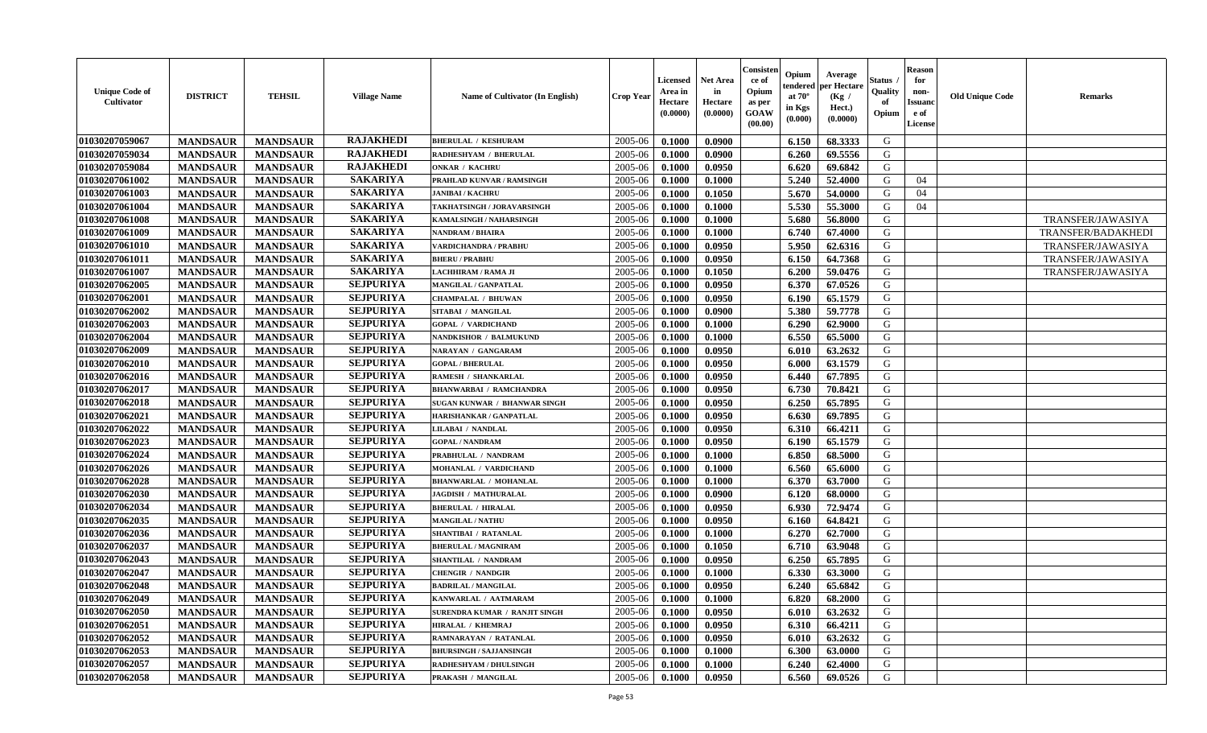| <b>Unique Code of</b><br><b>Cultivator</b> | <b>DISTRICT</b> | <b>TEHSIL</b>   | <b>Village Name</b> | Name of Cultivator (In English) | <b>Crop Year</b> | <b>Licensed</b><br>Area in<br>Hectare<br>(0.0000) | <b>Net Area</b><br>in<br>Hectare<br>(0.0000) | Consister<br>ce of<br>Opium<br>as per<br><b>GOAW</b><br>(00.00) | Opium<br>endered<br>at $70^\circ$<br>in Kgs<br>$(\mathbf{0.000})$ | Average<br>per Hectare<br>(Kg)<br>Hect.)<br>(0.0000) | Status<br>Quality<br>of<br>Opium | <b>Reason</b><br>for<br>non-<br><b>Issuano</b><br>e of<br>License | <b>Old Unique Code</b> | <b>Remarks</b>     |
|--------------------------------------------|-----------------|-----------------|---------------------|---------------------------------|------------------|---------------------------------------------------|----------------------------------------------|-----------------------------------------------------------------|-------------------------------------------------------------------|------------------------------------------------------|----------------------------------|-------------------------------------------------------------------|------------------------|--------------------|
| 01030207059067                             | <b>MANDSAUR</b> | <b>MANDSAUR</b> | <b>RAJAKHEDI</b>    | <b>BHERULAL / KESHURAM</b>      | 2005-06          | 0.1000                                            | 0.0900                                       |                                                                 | 6.150                                                             | 68.3333                                              | G                                |                                                                   |                        |                    |
| 01030207059034                             | <b>MANDSAUR</b> | <b>MANDSAUR</b> | <b>RAJAKHEDI</b>    | RADHESHYAM / BHERULAL           | 2005-06          | 0.1000                                            | 0.0900                                       |                                                                 | 6.260                                                             | 69.5556                                              | G                                |                                                                   |                        |                    |
| 01030207059084                             | <b>MANDSAUR</b> | <b>MANDSAUR</b> | <b>RAJAKHEDI</b>    | <b>ONKAR / KACHRU</b>           | 2005-06          | 0.1000                                            | 0.0950                                       |                                                                 | 6.620                                                             | 69.6842                                              | G                                |                                                                   |                        |                    |
| 01030207061002                             | <b>MANDSAUR</b> | <b>MANDSAUR</b> | <b>SAKARIYA</b>     | PRAHLAD KUNVAR / RAMSINGH       | 2005-06          | 0.1000                                            | 0.1000                                       |                                                                 | 5.240                                                             | 52.4000                                              | G                                | 04                                                                |                        |                    |
| 01030207061003                             | <b>MANDSAUR</b> | <b>MANDSAUR</b> | <b>SAKARIYA</b>     | <b>JANIBAI / KACHRU</b>         | 2005-06          | 0.1000                                            | 0.1050                                       |                                                                 | 5.670                                                             | 54.0000                                              | G                                | 04                                                                |                        |                    |
| 01030207061004                             | <b>MANDSAUR</b> | <b>MANDSAUR</b> | <b>SAKARIYA</b>     | TAKHATSINGH / JORAVARSINGH      | 2005-06          | 0.1000                                            | 0.1000                                       |                                                                 | 5.530                                                             | 55.3000                                              | G                                | 04                                                                |                        |                    |
| 01030207061008                             | <b>MANDSAUR</b> | <b>MANDSAUR</b> | <b>SAKARIYA</b>     | <b>KAMALSINGH / NAHARSINGH</b>  | 2005-06          | 0.1000                                            | 0.1000                                       |                                                                 | 5.680                                                             | 56.8000                                              | G                                |                                                                   |                        | TRANSFER/JAWASIYA  |
| 01030207061009                             | <b>MANDSAUR</b> | <b>MANDSAUR</b> | <b>SAKARIYA</b>     | NANDRAM / BHAIRA                | 2005-06          | 0.1000                                            | 0.1000                                       |                                                                 | 6.740                                                             | 67.4000                                              | G                                |                                                                   |                        | TRANSFER/BADAKHEDI |
| 01030207061010                             | <b>MANDSAUR</b> | <b>MANDSAUR</b> | <b>SAKARIYA</b>     | <b>VARDICHANDRA / PRABHU</b>    | 2005-06          | 0.1000                                            | 0.0950                                       |                                                                 | 5.950                                                             | 62.6316                                              | G                                |                                                                   |                        | TRANSFER/JAWASIYA  |
| 01030207061011                             | <b>MANDSAUR</b> | <b>MANDSAUR</b> | <b>SAKARIYA</b>     | <b>BHERU / PRABHU</b>           | 2005-06          | 0.1000                                            | 0.0950                                       |                                                                 | 6.150                                                             | 64.7368                                              | G                                |                                                                   |                        | TRANSFER/JAWASIYA  |
| 01030207061007                             | <b>MANDSAUR</b> | <b>MANDSAUR</b> | <b>SAKARIYA</b>     | LACHHIRAM / RAMA JI             | 2005-06          | 0.1000                                            | 0.1050                                       |                                                                 | 6.200                                                             | 59.0476                                              | G                                |                                                                   |                        | TRANSFER/JAWASIYA  |
| 01030207062005                             | <b>MANDSAUR</b> | <b>MANDSAUR</b> | <b>SEJPURIYA</b>    | MANGILAL / GANPATLAL            | 2005-06          | 0.1000                                            | 0.0950                                       |                                                                 | 6.370                                                             | 67.0526                                              | G                                |                                                                   |                        |                    |
| 01030207062001                             | <b>MANDSAUR</b> | <b>MANDSAUR</b> | <b>SEJPURIYA</b>    | <b>CHAMPALAL / BHUWAN</b>       | 2005-06          | 0.1000                                            | 0.0950                                       |                                                                 | 6.190                                                             | 65.1579                                              | G                                |                                                                   |                        |                    |
| 01030207062002                             | <b>MANDSAUR</b> | <b>MANDSAUR</b> | <b>SEJPURIYA</b>    | SITABAI / MANGILAL              | 2005-06          | 0.1000                                            | 0.0900                                       |                                                                 | 5.380                                                             | 59.7778                                              | G                                |                                                                   |                        |                    |
| 01030207062003                             | <b>MANDSAUR</b> | <b>MANDSAUR</b> | <b>SEJPURIYA</b>    | <b>GOPAL / VARDICHAND</b>       | 2005-06          | 0.1000                                            | 0.1000                                       |                                                                 | 6.290                                                             | 62.9000                                              | G                                |                                                                   |                        |                    |
| 01030207062004                             | <b>MANDSAUR</b> | <b>MANDSAUR</b> | <b>SEJPURIYA</b>    | NANDKISHOR / BALMUKUND          | 2005-06          | 0.1000                                            | 0.1000                                       |                                                                 | 6.550                                                             | 65.5000                                              | G                                |                                                                   |                        |                    |
| 01030207062009                             | <b>MANDSAUR</b> | <b>MANDSAUR</b> | <b>SEJPURIYA</b>    | NARAYAN / GANGARAM              | 2005-06          | 0.1000                                            | 0.0950                                       |                                                                 | 6.010                                                             | 63.2632                                              | G                                |                                                                   |                        |                    |
| 01030207062010                             | <b>MANDSAUR</b> | <b>MANDSAUR</b> | <b>SEJPURIYA</b>    | <b>GOPAL / BHERULAL</b>         | 2005-06          | 0.1000                                            | 0.0950                                       |                                                                 | 6.000                                                             | 63.1579                                              | G                                |                                                                   |                        |                    |
| 01030207062016                             | <b>MANDSAUR</b> | <b>MANDSAUR</b> | <b>SEJPURIYA</b>    | RAMESH / SHANKARLAL             | 2005-06          | 0.1000                                            | 0.0950                                       |                                                                 | 6.440                                                             | 67.7895                                              | G                                |                                                                   |                        |                    |
| 01030207062017                             | <b>MANDSAUR</b> | <b>MANDSAUR</b> | <b>SEJPURIYA</b>    | <b>BHANWARBAI / RAMCHANDRA</b>  | 2005-06          | 0.1000                                            | 0.0950                                       |                                                                 | 6.730                                                             | 70.8421                                              | G                                |                                                                   |                        |                    |
| 01030207062018                             | <b>MANDSAUR</b> | <b>MANDSAUR</b> | <b>SEJPURIYA</b>    | SUGAN KUNWAR / BHANWAR SINGH    | 2005-06          | 0.1000                                            | 0.0950                                       |                                                                 | 6.250                                                             | 65.7895                                              | G                                |                                                                   |                        |                    |
| 01030207062021                             | <b>MANDSAUR</b> | <b>MANDSAUR</b> | <b>SEJPURIYA</b>    | HARISHANKAR / GANPATLAL         | 2005-06          | 0.1000                                            | 0.0950                                       |                                                                 | 6.630                                                             | 69.7895                                              | G                                |                                                                   |                        |                    |
| 01030207062022                             | <b>MANDSAUR</b> | <b>MANDSAUR</b> | <b>SEJPURIYA</b>    | <b>LILABAI / NANDLAL</b>        | 2005-06          | 0.1000                                            | 0.0950                                       |                                                                 | 6.310                                                             | 66.4211                                              | G                                |                                                                   |                        |                    |
| 01030207062023                             | <b>MANDSAUR</b> | <b>MANDSAUR</b> | <b>SEJPURIYA</b>    | <b>GOPAL / NANDRAM</b>          | 2005-06          | 0.1000                                            | 0.0950                                       |                                                                 | 6.190                                                             | 65.1579                                              | G                                |                                                                   |                        |                    |
| 01030207062024                             | <b>MANDSAUR</b> | <b>MANDSAUR</b> | <b>SEJPURIYA</b>    | PRABHULAL / NANDRAM             | 2005-06          | 0.1000                                            | 0.1000                                       |                                                                 | 6.850                                                             | 68.5000                                              | G                                |                                                                   |                        |                    |
| 01030207062026                             | <b>MANDSAUR</b> | <b>MANDSAUR</b> | <b>SEJPURIYA</b>    | MOHANLAL / VARDICHAND           | 2005-06          | 0.1000                                            | 0.1000                                       |                                                                 | 6.560                                                             | 65.6000                                              | G                                |                                                                   |                        |                    |
| 01030207062028                             | <b>MANDSAUR</b> | <b>MANDSAUR</b> | <b>SEJPURIYA</b>    | <b>BHANWARLAL / MOHANLAL</b>    | 2005-06          | 0.1000                                            | 0.1000                                       |                                                                 | 6.370                                                             | 63.7000                                              | G                                |                                                                   |                        |                    |
| 01030207062030                             | <b>MANDSAUR</b> | <b>MANDSAUR</b> | <b>SEJPURIYA</b>    | JAGDISH / MATHURALAL            | 2005-06          | 0.1000                                            | 0.0900                                       |                                                                 | 6.120                                                             | 68.0000                                              | G                                |                                                                   |                        |                    |
| 01030207062034                             | <b>MANDSAUR</b> | <b>MANDSAUR</b> | <b>SEJPURIYA</b>    | <b>BHERULAL / HIRALAL</b>       | 2005-06          | 0.1000                                            | 0.0950                                       |                                                                 | 6.930                                                             | 72.9474                                              | G                                |                                                                   |                        |                    |
| 01030207062035                             | <b>MANDSAUR</b> | <b>MANDSAUR</b> | <b>SEJPURIYA</b>    | <b>MANGILAL / NATHU</b>         | 2005-06          | 0.1000                                            | 0.0950                                       |                                                                 | 6.160                                                             | 64.8421                                              | G                                |                                                                   |                        |                    |
| 01030207062036                             | <b>MANDSAUR</b> | <b>MANDSAUR</b> | <b>SEJPURIYA</b>    | SHANTIBAI / RATANLAL            | 2005-06          | 0.1000                                            | 0.1000                                       |                                                                 | 6.270                                                             | 62.7000                                              | G                                |                                                                   |                        |                    |
| 01030207062037                             | <b>MANDSAUR</b> | <b>MANDSAUR</b> | <b>SEJPURIYA</b>    | <b>BHERULAL / MAGNIRAM</b>      | 2005-06          | 0.1000                                            | 0.1050                                       |                                                                 | 6.710                                                             | 63.9048                                              | G                                |                                                                   |                        |                    |
| 01030207062043                             | <b>MANDSAUR</b> | <b>MANDSAUR</b> | <b>SEJPURIYA</b>    | SHANTILAL / NANDRAM             | 2005-06          | 0.1000                                            | 0.0950                                       |                                                                 | 6.250                                                             | 65.7895                                              | G                                |                                                                   |                        |                    |
| 01030207062047                             | <b>MANDSAUR</b> | <b>MANDSAUR</b> | <b>SEJPURIYA</b>    | <b>CHENGIR / NANDGIR</b>        | 2005-06          | 0.1000                                            | 0.1000                                       |                                                                 | 6.330                                                             | 63.3000                                              | G                                |                                                                   |                        |                    |
| 01030207062048                             | <b>MANDSAUR</b> | <b>MANDSAUR</b> | <b>SEJPURIYA</b>    | <b>BADRILAL / MANGILAL</b>      | 2005-06          | 0.1000                                            | 0.0950                                       |                                                                 | 6.240                                                             | 65.6842                                              | G                                |                                                                   |                        |                    |
| 01030207062049                             | <b>MANDSAUR</b> | <b>MANDSAUR</b> | <b>SEJPURIYA</b>    | KANWARLAL / AATMARAM            | $2005 - 06$      | 0.1000                                            | 0.1000                                       |                                                                 | 6.820                                                             | 68.2000                                              | G                                |                                                                   |                        |                    |
| 01030207062050                             | <b>MANDSAUR</b> | <b>MANDSAUR</b> | <b>SEJPURIYA</b>    | SURENDRA KUMAR / RANJIT SINGH   | 2005-06          | 0.1000                                            | 0.0950                                       |                                                                 | 6.010                                                             | 63.2632                                              | G                                |                                                                   |                        |                    |
| 01030207062051                             | <b>MANDSAUR</b> | <b>MANDSAUR</b> | <b>SEJPURIYA</b>    | <b>HIRALAL / KHEMRAJ</b>        | 2005-06          | 0.1000                                            | 0.0950                                       |                                                                 | 6.310                                                             | 66.4211                                              | G                                |                                                                   |                        |                    |
| 01030207062052                             | <b>MANDSAUR</b> | <b>MANDSAUR</b> | <b>SEJPURIYA</b>    | RAMNARAYAN / RATANLAL           | 2005-06          | 0.1000                                            | 0.0950                                       |                                                                 | 6.010                                                             | 63.2632                                              | G                                |                                                                   |                        |                    |
| 01030207062053                             | <b>MANDSAUR</b> | <b>MANDSAUR</b> | <b>SEJPURIYA</b>    | <b>BHURSINGH / SAJJANSINGH</b>  | 2005-06          | 0.1000                                            | 0.1000                                       |                                                                 | 6.300                                                             | 63.0000                                              | G                                |                                                                   |                        |                    |
| 01030207062057                             | <b>MANDSAUR</b> | <b>MANDSAUR</b> | <b>SEJPURIYA</b>    | RADHESHYAM / DHULSINGH          | 2005-06          | 0.1000                                            | 0.1000                                       |                                                                 | 6.240                                                             | 62.4000                                              | G                                |                                                                   |                        |                    |
| 01030207062058                             | <b>MANDSAUR</b> | <b>MANDSAUR</b> | <b>SEJPURIYA</b>    | PRAKASH / MANGILAL              | 2005-06          | 0.1000                                            | 0.0950                                       |                                                                 | 6.560                                                             | 69.0526                                              | G                                |                                                                   |                        |                    |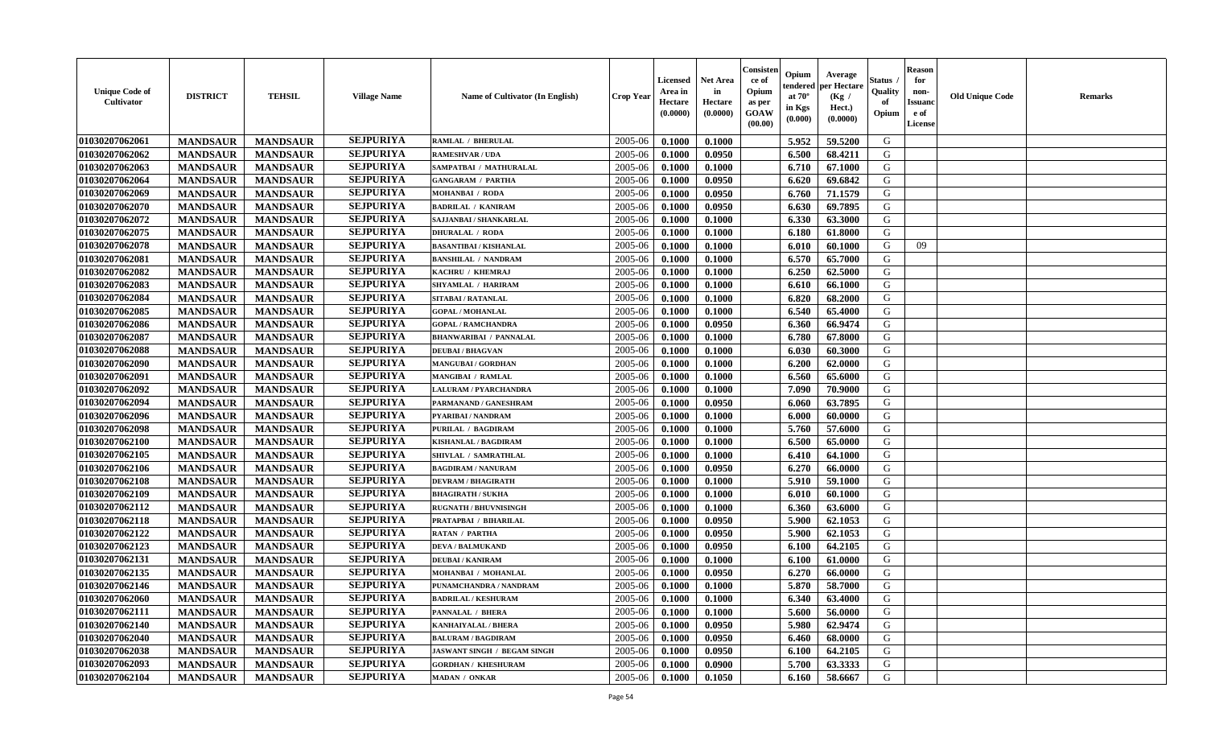| <b>Unique Code of</b><br><b>Cultivator</b> | <b>DISTRICT</b> | <b>TEHSIL</b>   | <b>Village Name</b> | Name of Cultivator (In English)    | <b>Crop Year</b> | <b>Licensed</b><br>Area in<br>Hectare<br>(0.0000) | <b>Net Area</b><br>in<br>Hectare<br>(0.0000) | Consister<br>ce of<br>Opium<br>as per<br>GOAW<br>(00.00) | Opium<br>endered<br>at $70^\circ$<br>in Kgs<br>(0.000) | Average<br>per Hectare<br>(Kg /<br>Hect.)<br>(0.0000) | Status<br>Quality<br>of<br>Opium | <b>Reason</b><br>for<br>non-<br><b>Issuand</b><br>e of<br>License | <b>Old Unique Code</b> | Remarks |
|--------------------------------------------|-----------------|-----------------|---------------------|------------------------------------|------------------|---------------------------------------------------|----------------------------------------------|----------------------------------------------------------|--------------------------------------------------------|-------------------------------------------------------|----------------------------------|-------------------------------------------------------------------|------------------------|---------|
| 01030207062061                             | <b>MANDSAUR</b> | <b>MANDSAUR</b> | <b>SEJPURIYA</b>    | <b>RAMLAL / BHERULAL</b>           | 2005-06          | 0.1000                                            | 0.1000                                       |                                                          | 5.952                                                  | 59.5200                                               | G                                |                                                                   |                        |         |
| 01030207062062                             | <b>MANDSAUR</b> | <b>MANDSAUR</b> | <b>SEJPURIYA</b>    | <b>RAMESHVAR / UDA</b>             | 2005-06          | 0.1000                                            | 0.0950                                       |                                                          | 6.500                                                  | 68.4211                                               | G                                |                                                                   |                        |         |
| 01030207062063                             | <b>MANDSAUR</b> | <b>MANDSAUR</b> | <b>SEJPURIYA</b>    | SAMPATBAI / MATHURALAL             | 2005-06          | 0.1000                                            | 0.1000                                       |                                                          | 6.710                                                  | 67.1000                                               | G                                |                                                                   |                        |         |
| 01030207062064                             | <b>MANDSAUR</b> | <b>MANDSAUR</b> | <b>SEJPURIYA</b>    | <b>GANGARAM / PARTHA</b>           | 2005-06          | 0.1000                                            | 0.0950                                       |                                                          | 6.620                                                  | 69.6842                                               | G                                |                                                                   |                        |         |
| 01030207062069                             | <b>MANDSAUR</b> | <b>MANDSAUR</b> | <b>SEJPURIYA</b>    | <b>MOHANBAI / RODA</b>             | 2005-06          | 0.1000                                            | 0.0950                                       |                                                          | 6.760                                                  | 71.1579                                               | G                                |                                                                   |                        |         |
| 01030207062070                             | <b>MANDSAUR</b> | <b>MANDSAUR</b> | <b>SEJPURIYA</b>    | <b>BADRILAL / KANIRAM</b>          | 2005-06          | 0.1000                                            | 0.0950                                       |                                                          | 6.630                                                  | 69.7895                                               | G                                |                                                                   |                        |         |
| 01030207062072                             | <b>MANDSAUR</b> | <b>MANDSAUR</b> | <b>SEJPURIYA</b>    | SAJJANBAI / SHANKARLAL             | 2005-06          | 0.1000                                            | 0.1000                                       |                                                          | 6.330                                                  | 63.3000                                               | G                                |                                                                   |                        |         |
| 01030207062075                             | <b>MANDSAUR</b> | <b>MANDSAUR</b> | <b>SEJPURIYA</b>    | <b>DHURALAL / RODA</b>             | 2005-06          | 0.1000                                            | 0.1000                                       |                                                          | 6.180                                                  | 61.8000                                               | G                                |                                                                   |                        |         |
| 01030207062078                             | <b>MANDSAUR</b> | <b>MANDSAUR</b> | <b>SEJPURIYA</b>    | <b>BASANTIBAI / KISHANLAL</b>      | 2005-06          | 0.1000                                            | 0.1000                                       |                                                          | 6.010                                                  | 60.1000                                               | G                                | 09                                                                |                        |         |
| 01030207062081                             | <b>MANDSAUR</b> | <b>MANDSAUR</b> | <b>SEJPURIYA</b>    | <b>BANSHILAL / NANDRAM</b>         | 2005-06          | 0.1000                                            | 0.1000                                       |                                                          | 6.570                                                  | 65.7000                                               | G                                |                                                                   |                        |         |
| 01030207062082                             | <b>MANDSAUR</b> | <b>MANDSAUR</b> | <b>SEJPURIYA</b>    | KACHRU / KHEMRAJ                   | 2005-06          | 0.1000                                            | 0.1000                                       |                                                          | 6.250                                                  | 62.5000                                               | G                                |                                                                   |                        |         |
| 01030207062083                             | <b>MANDSAUR</b> | <b>MANDSAUR</b> | <b>SEJPURIYA</b>    | SHYAMLAL / HARIRAM                 | 2005-06          | 0.1000                                            | 0.1000                                       |                                                          | 6.610                                                  | 66.1000                                               | G                                |                                                                   |                        |         |
| 01030207062084                             | <b>MANDSAUR</b> | <b>MANDSAUR</b> | <b>SEJPURIYA</b>    | <b>SITABAI/RATANLAL</b>            | 2005-06          | 0.1000                                            | 0.1000                                       |                                                          | 6.820                                                  | 68.2000                                               | G                                |                                                                   |                        |         |
| 01030207062085                             | <b>MANDSAUR</b> | <b>MANDSAUR</b> | <b>SEJPURIYA</b>    | <b>GOPAL / MOHANLAL</b>            | 2005-06          | 0.1000                                            | 0.1000                                       |                                                          | 6.540                                                  | 65.4000                                               | G                                |                                                                   |                        |         |
| 01030207062086                             | <b>MANDSAUR</b> | <b>MANDSAUR</b> | <b>SEJPURIYA</b>    | <b>GOPAL / RAMCHANDRA</b>          | 2005-06          | 0.1000                                            | 0.0950                                       |                                                          | 6.360                                                  | 66.9474                                               | $\mathbf G$                      |                                                                   |                        |         |
| 01030207062087                             | <b>MANDSAUR</b> | <b>MANDSAUR</b> | <b>SEJPURIYA</b>    | <b>BHANWARIBAI / PANNALAL</b>      | 2005-06          | 0.1000                                            | 0.1000                                       |                                                          | 6.780                                                  | 67.8000                                               | G                                |                                                                   |                        |         |
| 01030207062088                             | <b>MANDSAUR</b> | <b>MANDSAUR</b> | <b>SEJPURIYA</b>    | <b>DEUBAI/BHAGVAN</b>              | 2005-06          | 0.1000                                            | 0.1000                                       |                                                          | 6.030                                                  | 60.3000                                               | G                                |                                                                   |                        |         |
| 01030207062090                             | <b>MANDSAUR</b> | <b>MANDSAUR</b> | <b>SEJPURIYA</b>    | <b>MANGUBAI/GORDHAN</b>            | 2005-06          | 0.1000                                            | 0.1000                                       |                                                          | 6.200                                                  | 62.0000                                               | G                                |                                                                   |                        |         |
| 01030207062091                             | <b>MANDSAUR</b> | <b>MANDSAUR</b> | <b>SEJPURIYA</b>    | MANGIBAI / RAMLAL                  | 2005-06          | 0.1000                                            | 0.1000                                       |                                                          | 6.560                                                  | 65.6000                                               | G                                |                                                                   |                        |         |
| 01030207062092                             | <b>MANDSAUR</b> | <b>MANDSAUR</b> | <b>SEJPURIYA</b>    | <b>LALURAM / PYARCHANDRA</b>       | 2005-06          | 0.1000                                            | 0.1000                                       |                                                          | 7.090                                                  | 70.9000                                               | G                                |                                                                   |                        |         |
| 01030207062094                             | <b>MANDSAUR</b> | <b>MANDSAUR</b> | <b>SEJPURIYA</b>    | PARMANAND / GANESHRAM              | 2005-06          | 0.1000                                            | 0.0950                                       |                                                          | 6.060                                                  | 63.7895                                               | G                                |                                                                   |                        |         |
| 01030207062096                             | <b>MANDSAUR</b> | <b>MANDSAUR</b> | <b>SEJPURIYA</b>    | PYARIBAI / NANDRAM                 | 2005-06          | 0.1000                                            | 0.1000                                       |                                                          | 6.000                                                  | 60.0000                                               | G                                |                                                                   |                        |         |
| 01030207062098                             | <b>MANDSAUR</b> | <b>MANDSAUR</b> | <b>SEJPURIYA</b>    | <b>PURILAL / BAGDIRAM</b>          | 2005-06          | 0.1000                                            | 0.1000                                       |                                                          | 5.760                                                  | 57.6000                                               | G                                |                                                                   |                        |         |
| 01030207062100                             | <b>MANDSAUR</b> | <b>MANDSAUR</b> | <b>SEJPURIYA</b>    | KISHANLAL / BAGDIRAM               | 2005-06          | 0.1000                                            | 0.1000                                       |                                                          | 6.500                                                  | 65.0000                                               | G                                |                                                                   |                        |         |
| 01030207062105                             | <b>MANDSAUR</b> | <b>MANDSAUR</b> | <b>SEJPURIYA</b>    | SHIVLAL / SAMRATHLAL               | 2005-06          | 0.1000                                            | 0.1000                                       |                                                          | 6.410                                                  | 64.1000                                               | G                                |                                                                   |                        |         |
| 01030207062106                             | <b>MANDSAUR</b> | <b>MANDSAUR</b> | <b>SEJPURIYA</b>    | <b>BAGDIRAM / NANURAM</b>          | 2005-06          | 0.1000                                            | 0.0950                                       |                                                          | 6.270                                                  | 66.0000                                               | G                                |                                                                   |                        |         |
| 01030207062108                             | <b>MANDSAUR</b> | <b>MANDSAUR</b> | <b>SEJPURIYA</b>    | <b>DEVRAM / BHAGIRATH</b>          | 2005-06          | 0.1000                                            | 0.1000                                       |                                                          | 5.910                                                  | 59.1000                                               | G                                |                                                                   |                        |         |
| 01030207062109                             | <b>MANDSAUR</b> | <b>MANDSAUR</b> | <b>SEJPURIYA</b>    | <b>BHAGIRATH / SUKHA</b>           | 2005-06          | 0.1000                                            | 0.1000                                       |                                                          | 6.010                                                  | 60.1000                                               | G                                |                                                                   |                        |         |
| 01030207062112                             | <b>MANDSAUR</b> | <b>MANDSAUR</b> | <b>SEJPURIYA</b>    | <b>RUGNATH / BHUVNISINGH</b>       | 2005-06          | 0.1000                                            | 0.1000                                       |                                                          | 6.360                                                  | 63.6000                                               | G                                |                                                                   |                        |         |
| 01030207062118                             | <b>MANDSAUR</b> | <b>MANDSAUR</b> | <b>SEJPURIYA</b>    | PRATAPBAI / BIHARILAL              | 2005-06          | 0.1000                                            | 0.0950                                       |                                                          | 5.900                                                  | 62.1053                                               | G                                |                                                                   |                        |         |
| 01030207062122                             | <b>MANDSAUR</b> | <b>MANDSAUR</b> | <b>SEJPURIYA</b>    | <b>RATAN / PARTHA</b>              | 2005-06          | 0.1000                                            | 0.0950                                       |                                                          | 5.900                                                  | 62.1053                                               | G                                |                                                                   |                        |         |
| 01030207062123                             | <b>MANDSAUR</b> | <b>MANDSAUR</b> | <b>SEJPURIYA</b>    | <b>DEVA / BALMUKAND</b>            | 2005-06          | 0.1000                                            | 0.0950                                       |                                                          | 6.100                                                  | 64.2105                                               | G                                |                                                                   |                        |         |
| 01030207062131                             | <b>MANDSAUR</b> | <b>MANDSAUR</b> | <b>SEJPURIYA</b>    | <b>DEUBAI/KANIRAM</b>              | 2005-06          | 0.1000                                            | 0.1000                                       |                                                          | 6.100                                                  | 61.0000                                               | G                                |                                                                   |                        |         |
| 01030207062135                             | <b>MANDSAUR</b> | <b>MANDSAUR</b> | <b>SEJPURIYA</b>    | MOHANBAI / MOHANLAL                | 2005-06          | 0.1000                                            | 0.0950                                       |                                                          | 6.270                                                  | 66.0000                                               | G                                |                                                                   |                        |         |
| 01030207062146                             | <b>MANDSAUR</b> | <b>MANDSAUR</b> | <b>SEJPURIYA</b>    | PUNAMCHANDRA / NANDRAM             | 2005-06          | 0.1000                                            | 0.1000                                       |                                                          | 5.870                                                  | 58.7000                                               | G                                |                                                                   |                        |         |
| 01030207062060                             | <b>MANDSAUR</b> | <b>MANDSAUR</b> | <b>SEJPURIYA</b>    | <b>BADRILAL / KESHURAM</b>         | 2005-06          | 0.1000                                            | 0.1000                                       |                                                          | 6.340                                                  | 63.4000                                               | G                                |                                                                   |                        |         |
| 01030207062111                             | <b>MANDSAUR</b> | <b>MANDSAUR</b> | <b>SEJPURIYA</b>    | PANNALAL / BHERA                   | 2005-06          | 0.1000                                            | 0.1000                                       |                                                          | 5.600                                                  | 56.0000                                               | G                                |                                                                   |                        |         |
| 01030207062140                             | <b>MANDSAUR</b> | <b>MANDSAUR</b> | <b>SEJPURIYA</b>    | <b>KANHAIYALAL / BHERA</b>         | 2005-06          | 0.1000                                            | 0.0950                                       |                                                          | 5.980                                                  | 62.9474                                               | G                                |                                                                   |                        |         |
| 01030207062040                             | <b>MANDSAUR</b> | <b>MANDSAUR</b> | <b>SEJPURIYA</b>    | <b>BALURAM / BAGDIRAM</b>          | 2005-06          | 0.1000                                            | 0.0950                                       |                                                          | 6.460                                                  | 68.0000                                               | G                                |                                                                   |                        |         |
| 01030207062038                             | <b>MANDSAUR</b> | <b>MANDSAUR</b> | <b>SEJPURIYA</b>    | <b>JASWANT SINGH / BEGAM SINGH</b> | 2005-06          | 0.1000                                            | 0.0950                                       |                                                          | 6.100                                                  | 64.2105                                               | ${\bf G}$                        |                                                                   |                        |         |
| 01030207062093                             | <b>MANDSAUR</b> | <b>MANDSAUR</b> | <b>SEJPURIYA</b>    | <b>GORDHAN / KHESHURAM</b>         | 2005-06          | 0.1000                                            | 0.0900                                       |                                                          | 5.700                                                  | 63.3333                                               | G                                |                                                                   |                        |         |
| 01030207062104                             | <b>MANDSAUR</b> | <b>MANDSAUR</b> | <b>SEJPURIYA</b>    | MADAN / ONKAR                      | 2005-06          | 0.1000                                            | 0.1050                                       |                                                          | 6.160                                                  | 58.6667                                               | G                                |                                                                   |                        |         |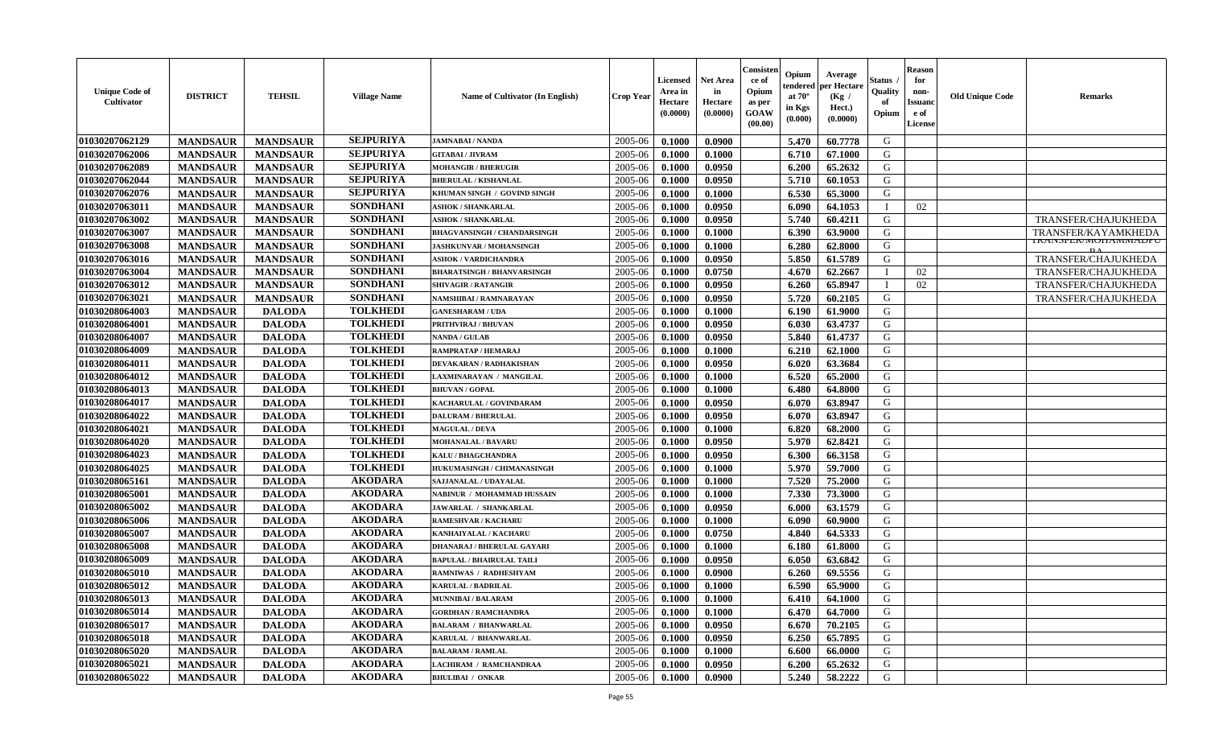| <b>Unique Code of</b><br>Cultivator | <b>DISTRICT</b> | <b>TEHSIL</b>   | <b>Village Name</b> | Name of Cultivator (In English)    | <b>Crop Year</b> | Licensed<br>Area in<br>Hectare<br>(0.0000) | <b>Net Area</b><br>in<br>Hectare<br>(0.0000) | Consisteı<br>ce of<br>Opium<br>as per<br><b>GOAW</b><br>(00.00) | Opium<br>:endereo<br>at $70^\circ$<br>in Kgs<br>(0.000) | Average<br>per Hectare<br>(Kg /<br>Hect.)<br>(0.0000) | Status<br>Quality<br>of<br>Opium | <b>Reason</b><br>for<br>non-<br><b>Issuan</b><br>e of<br>License | <b>Old Unique Code</b> | <b>Remarks</b>                    |
|-------------------------------------|-----------------|-----------------|---------------------|------------------------------------|------------------|--------------------------------------------|----------------------------------------------|-----------------------------------------------------------------|---------------------------------------------------------|-------------------------------------------------------|----------------------------------|------------------------------------------------------------------|------------------------|-----------------------------------|
| 01030207062129                      | <b>MANDSAUR</b> | <b>MANDSAUR</b> | <b>SEJPURIYA</b>    | <b>JAMNABAI/NANDA</b>              | 2005-06          | 0.1000                                     | 0.0900                                       |                                                                 | 5.470                                                   | 60.7778                                               | G                                |                                                                  |                        |                                   |
| 01030207062006                      | <b>MANDSAUR</b> | <b>MANDSAUR</b> | <b>SEJPURIYA</b>    | <b>GITABAI / JIVRAM</b>            | 2005-06          | 0.1000                                     | 0.1000                                       |                                                                 | 6.710                                                   | 67.1000                                               | G                                |                                                                  |                        |                                   |
| 01030207062089                      | <b>MANDSAUR</b> | <b>MANDSAUR</b> | <b>SEJPURIYA</b>    | <b>MOHANGIR / BHERUGIR</b>         | 2005-06          | 0.1000                                     | 0.0950                                       |                                                                 | 6.200                                                   | 65.2632                                               | G                                |                                                                  |                        |                                   |
| 01030207062044                      | <b>MANDSAUR</b> | <b>MANDSAUR</b> | <b>SEJPURIYA</b>    | <b>BHERULAL / KISHANLAL</b>        | 2005-06          | 0.1000                                     | 0.0950                                       |                                                                 | 5.710                                                   | 60.1053                                               | G                                |                                                                  |                        |                                   |
| 01030207062076                      | <b>MANDSAUR</b> | <b>MANDSAUR</b> | <b>SEJPURIYA</b>    | KHUMAN SINGH / GOVIND SINGH        | 2005-06          | 0.1000                                     | 0.1000                                       |                                                                 | 6.530                                                   | 65.3000                                               | G                                |                                                                  |                        |                                   |
| 01030207063011                      | <b>MANDSAUR</b> | <b>MANDSAUR</b> | <b>SONDHANI</b>     | <b>ASHOK / SHANKARLAL</b>          | 2005-06          | 0.1000                                     | 0.0950                                       |                                                                 | 6.090                                                   | 64.1053                                               |                                  | 02                                                               |                        |                                   |
| 01030207063002                      | <b>MANDSAUR</b> | <b>MANDSAUR</b> | <b>SONDHANI</b>     | <b>ASHOK / SHANKARLAL</b>          | 2005-06          | 0.1000                                     | 0.0950                                       |                                                                 | 5.740                                                   | 60.4211                                               | G                                |                                                                  |                        | TRANSFER/CHAJUKHEDA               |
| 01030207063007                      | <b>MANDSAUR</b> | <b>MANDSAUR</b> | <b>SONDHANI</b>     | <b>BHAGVANSINGH / CHANDARSINGH</b> | 2005-06          | 0.1000                                     | 0.1000                                       |                                                                 | 6.390                                                   | 63.9000                                               | G                                |                                                                  |                        | TRANSFER/KAYAMKHEDA               |
| 01030207063008                      | <b>MANDSAUR</b> | <b>MANDSAUR</b> | <b>SONDHANI</b>     | <b>JASHKUNVAR / MOHANSINGH</b>     | 2005-06          | 0.1000                                     | 0.1000                                       |                                                                 | 6.280                                                   | 62.8000                                               | G                                |                                                                  |                        | <b>IKAINSFEK/IVIUHAIVIIVIADFU</b> |
| 01030207063016                      | <b>MANDSAUR</b> | <b>MANDSAUR</b> | <b>SONDHANI</b>     | ASHOK / VARDICHANDRA               | 2005-06          | 0.1000                                     | 0.0950                                       |                                                                 | 5.850                                                   | 61.5789                                               | G                                |                                                                  |                        | TRANSFER/CHAJUKHEDA               |
| 01030207063004                      | <b>MANDSAUR</b> | <b>MANDSAUR</b> | <b>SONDHANI</b>     | <b>BHARATSINGH / BHANVARSINGH</b>  | 2005-06          | 0.1000                                     | 0.0750                                       |                                                                 | 4.670                                                   | 62.2667                                               |                                  | 02                                                               |                        | <b>TRANSFER/CHAJUKHEDA</b>        |
| 01030207063012                      | <b>MANDSAUR</b> | <b>MANDSAUR</b> | <b>SONDHANI</b>     | <b>SHIVAGIR / RATANGIR</b>         | 2005-06          | 0.1000                                     | 0.0950                                       |                                                                 | 6.260                                                   | 65.8947                                               | $\blacksquare$                   | 02                                                               |                        | TRANSFER/CHAJUKHEDA               |
| 01030207063021                      | <b>MANDSAUR</b> | <b>MANDSAUR</b> | <b>SONDHANI</b>     | NAMSHIBAI / RAMNARAYAN             | 2005-06          | 0.1000                                     | 0.0950                                       |                                                                 | 5.720                                                   | 60.2105                                               | G                                |                                                                  |                        | TRANSFER/CHAJUKHEDA               |
| 01030208064003                      | <b>MANDSAUR</b> | <b>DALODA</b>   | <b>TOLKHEDI</b>     | <b>GANESHARAM / UDA</b>            | 2005-06          | 0.1000                                     | 0.1000                                       |                                                                 | 6.190                                                   | 61.9000                                               | G                                |                                                                  |                        |                                   |
| 01030208064001                      | <b>MANDSAUR</b> | <b>DALODA</b>   | <b>TOLKHEDI</b>     | PRITHVIRAJ / BHUVAN                | 2005-06          | 0.1000                                     | 0.0950                                       |                                                                 | 6.030                                                   | 63.4737                                               | G                                |                                                                  |                        |                                   |
| 01030208064007                      | <b>MANDSAUR</b> | <b>DALODA</b>   | <b>TOLKHEDI</b>     | <b>NANDA / GULAB</b>               | 2005-06          | 0.1000                                     | 0.0950                                       |                                                                 | 5.840                                                   | 61.4737                                               | G                                |                                                                  |                        |                                   |
| 01030208064009                      | <b>MANDSAUR</b> | <b>DALODA</b>   | <b>TOLKHEDI</b>     | RAMPRATAP / HEMARAJ                | 2005-06          | 0.1000                                     | 0.1000                                       |                                                                 | 6.210                                                   | 62.1000                                               | G                                |                                                                  |                        |                                   |
| 01030208064011                      | <b>MANDSAUR</b> | <b>DALODA</b>   | <b>TOLKHEDI</b>     | <b>DEVAKARAN / RADHAKISHAN</b>     | 2005-06          | 0.1000                                     | 0.0950                                       |                                                                 | 6.020                                                   | 63.3684                                               | G                                |                                                                  |                        |                                   |
| 01030208064012                      | <b>MANDSAUR</b> | <b>DALODA</b>   | <b>TOLKHEDI</b>     | LAXMINARAYAN / MANGILAL            | 2005-06          | 0.1000                                     | 0.1000                                       |                                                                 | 6.520                                                   | 65.2000                                               | G                                |                                                                  |                        |                                   |
| 01030208064013                      | <b>MANDSAUR</b> | <b>DALODA</b>   | <b>TOLKHEDI</b>     | <b>BHUVAN / GOPAL</b>              | 2005-06          | 0.1000                                     | 0.1000                                       |                                                                 | 6.480                                                   | 64.8000                                               | G                                |                                                                  |                        |                                   |
| 01030208064017                      | <b>MANDSAUR</b> | <b>DALODA</b>   | <b>TOLKHEDI</b>     | KACHARULAL / GOVINDARAM            | 2005-06          | 0.1000                                     | 0.0950                                       |                                                                 | 6.070                                                   | 63.8947                                               | G                                |                                                                  |                        |                                   |
| 01030208064022                      | <b>MANDSAUR</b> | <b>DALODA</b>   | <b>TOLKHEDI</b>     | <b>DALURAM / BHERULAL</b>          | 2005-06          | 0.1000                                     | 0.0950                                       |                                                                 | 6.070                                                   | 63.8947                                               | G                                |                                                                  |                        |                                   |
| 01030208064021                      | <b>MANDSAUR</b> | <b>DALODA</b>   | <b>TOLKHEDI</b>     | <b>MAGULAL / DEVA</b>              | 2005-06          | 0.1000                                     | 0.1000                                       |                                                                 | 6.820                                                   | 68.2000                                               | G                                |                                                                  |                        |                                   |
| 01030208064020                      | <b>MANDSAUR</b> | <b>DALODA</b>   | <b>TOLKHEDI</b>     | <b>MOHANALAL / BAVARU</b>          | 2005-06          | 0.1000                                     | 0.0950                                       |                                                                 | 5.970                                                   | 62.8421                                               | G                                |                                                                  |                        |                                   |
| 01030208064023                      | <b>MANDSAUR</b> | <b>DALODA</b>   | <b>TOLKHEDI</b>     | <b>KALU / BHAGCHANDRA</b>          | 2005-06          | 0.1000                                     | 0.0950                                       |                                                                 | 6.300                                                   | 66.3158                                               | G                                |                                                                  |                        |                                   |
| 01030208064025                      | <b>MANDSAUR</b> | <b>DALODA</b>   | <b>TOLKHEDI</b>     | <b>HUKUMASINGH / CHIMANASINGH</b>  | 2005-06          | 0.1000                                     | 0.1000                                       |                                                                 | 5.970                                                   | 59.7000                                               | G                                |                                                                  |                        |                                   |
| 01030208065161                      | <b>MANDSAUR</b> | <b>DALODA</b>   | <b>AKODARA</b>      | <b>SAJJANALAL / UDAYALAL</b>       | 2005-06          | 0.1000                                     | 0.1000                                       |                                                                 | 7.520                                                   | 75.2000                                               | G                                |                                                                  |                        |                                   |
| 01030208065001                      | <b>MANDSAUR</b> | <b>DALODA</b>   | <b>AKODARA</b>      | NABINUR / MOHAMMAD HUSSAIN         | 2005-06          | 0.1000                                     | 0.1000                                       |                                                                 | 7.330                                                   | 73.3000                                               | G                                |                                                                  |                        |                                   |
| 01030208065002                      | <b>MANDSAUR</b> | <b>DALODA</b>   | <b>AKODARA</b>      | <b>JAWARLAL / SHANKARLAL</b>       | 2005-06          | 0.1000                                     | 0.0950                                       |                                                                 | 6.000                                                   | 63.1579                                               | G                                |                                                                  |                        |                                   |
| 01030208065006                      | <b>MANDSAUR</b> | <b>DALODA</b>   | <b>AKODARA</b>      | <b>RAMESHVAR / KACHARU</b>         | 2005-06          | 0.1000                                     | 0.1000                                       |                                                                 | 6.090                                                   | 60.9000                                               | G                                |                                                                  |                        |                                   |
| 01030208065007                      | <b>MANDSAUR</b> | <b>DALODA</b>   | <b>AKODARA</b>      | KANHAIYALAL / KACHARU              | 2005-06          | 0.1000                                     | 0.0750                                       |                                                                 | 4.840                                                   | 64.5333                                               | G                                |                                                                  |                        |                                   |
| 01030208065008                      | <b>MANDSAUR</b> | <b>DALODA</b>   | <b>AKODARA</b>      | <b>DHANARAJ / BHERULAL GAYARI</b>  | 2005-06          | 0.1000                                     | 0.1000                                       |                                                                 | 6.180                                                   | 61.8000                                               | G                                |                                                                  |                        |                                   |
| 01030208065009                      | <b>MANDSAUR</b> | <b>DALODA</b>   | <b>AKODARA</b>      | BAPULAL / BHAIRULAL TAILI          | 2005-06          | 0.1000                                     | 0.0950                                       |                                                                 | 6.050                                                   | 63.6842                                               | G                                |                                                                  |                        |                                   |
| 01030208065010                      | <b>MANDSAUR</b> | <b>DALODA</b>   | <b>AKODARA</b>      | RAMNIWAS / RADHESHYAM              | 2005-06          | 0.1000                                     | 0.0900                                       |                                                                 | 6.260                                                   | 69.5556                                               | G                                |                                                                  |                        |                                   |
| 01030208065012                      | <b>MANDSAUR</b> | <b>DALODA</b>   | <b>AKODARA</b>      | <b>KARULAL / BADRILAL</b>          | 2005-06          | 0.1000                                     | 0.1000                                       |                                                                 | 6.590                                                   | 65.9000                                               | G                                |                                                                  |                        |                                   |
| 01030208065013                      | <b>MANDSAUR</b> | <b>DALODA</b>   | <b>AKODARA</b>      | <b>MUNNIBAI/BALARAM</b>            | $2005 - 06$      | 0.1000                                     | 0.1000                                       |                                                                 | 6.410                                                   | 64.1000                                               | G                                |                                                                  |                        |                                   |
| 01030208065014                      | <b>MANDSAUR</b> | <b>DALODA</b>   | <b>AKODARA</b>      | <b>GORDHAN / RAMCHANDRA</b>        | 2005-06          | 0.1000                                     | 0.1000                                       |                                                                 | 6.470                                                   | 64.7000                                               | G                                |                                                                  |                        |                                   |
| 01030208065017                      | <b>MANDSAUR</b> | <b>DALODA</b>   | <b>AKODARA</b>      | <b>BALARAM / BHANWARLAL</b>        | 2005-06          | 0.1000                                     | 0.0950                                       |                                                                 | 6.670                                                   | 70.2105                                               | G                                |                                                                  |                        |                                   |
| 01030208065018                      | <b>MANDSAUR</b> | <b>DALODA</b>   | <b>AKODARA</b>      | KARULAL / BHANWARLAL               | 2005-06          | 0.1000                                     | 0.0950                                       |                                                                 | 6.250                                                   | 65.7895                                               | G                                |                                                                  |                        |                                   |
| 01030208065020                      | <b>MANDSAUR</b> | <b>DALODA</b>   | <b>AKODARA</b>      | <b>BALARAM / RAMLAL</b>            | 2005-06          | 0.1000                                     | 0.1000                                       |                                                                 | 6.600                                                   | 66.0000                                               | G                                |                                                                  |                        |                                   |
| 01030208065021                      | <b>MANDSAUR</b> | <b>DALODA</b>   | <b>AKODARA</b>      | LACHIRAM / RAMCHANDRAA             | 2005-06          | 0.1000                                     | 0.0950                                       |                                                                 | 6.200                                                   | 65.2632                                               | G                                |                                                                  |                        |                                   |
| 01030208065022                      | <b>MANDSAUR</b> | <b>DALODA</b>   | <b>AKODARA</b>      | <b>BHULIBAI / ONKAR</b>            | 2005-06          | 0.1000                                     | 0.0900                                       |                                                                 | 5.240                                                   | 58.2222                                               | G                                |                                                                  |                        |                                   |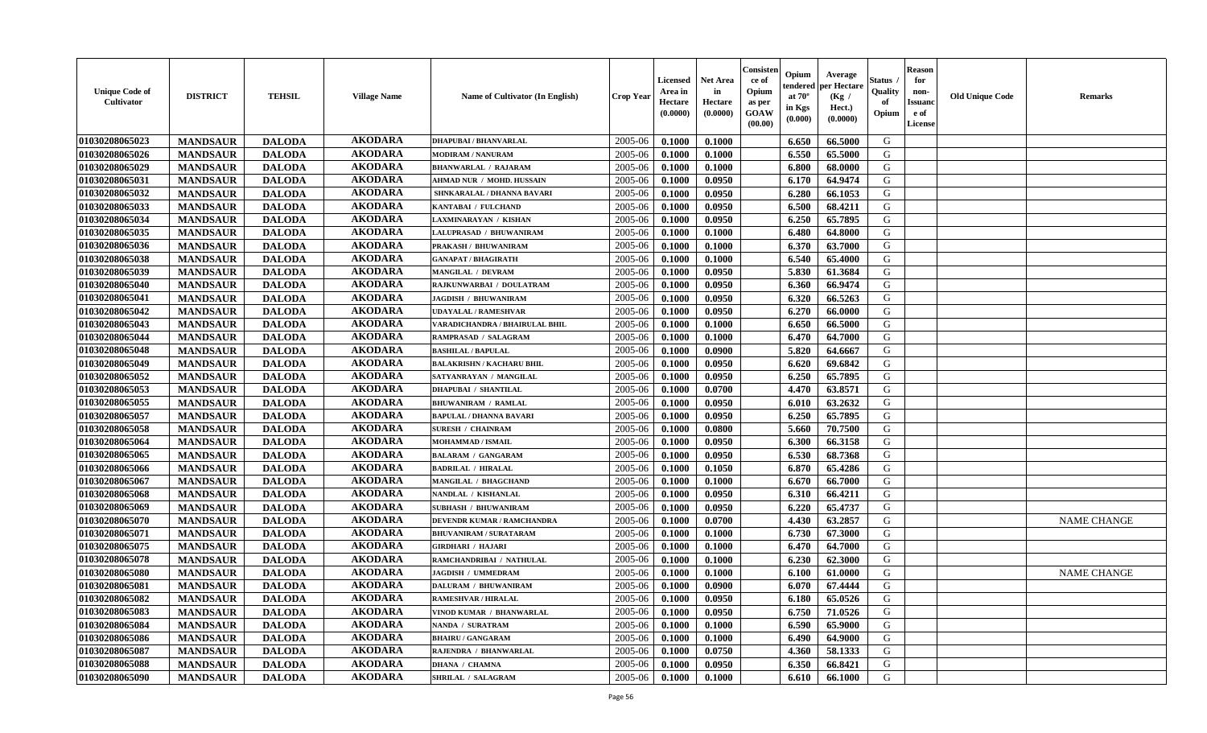| <b>Unique Code of</b><br><b>Cultivator</b> | <b>DISTRICT</b> | <b>TEHSIL</b> | <b>Village Name</b> | Name of Cultivator (In English)   | <b>Crop Year</b> | <b>Licensed</b><br>Area in<br>Hectare<br>(0.0000) | <b>Net Area</b><br>in<br>Hectare<br>(0.0000) | Consister<br>ce of<br>Opium<br>as per<br><b>GOAW</b><br>(00.00) | Opium<br>tendered<br>at $70^{\circ}$<br>in Kgs<br>(0.000) | Average<br>per Hectare<br>(Kg /<br>Hect.)<br>(0.0000) | <b>Status</b><br>Quality<br>of<br>Opium | <b>Reason</b><br>for<br>non-<br><b>Issuand</b><br>e of<br>License | <b>Old Unique Code</b> | <b>Remarks</b>     |
|--------------------------------------------|-----------------|---------------|---------------------|-----------------------------------|------------------|---------------------------------------------------|----------------------------------------------|-----------------------------------------------------------------|-----------------------------------------------------------|-------------------------------------------------------|-----------------------------------------|-------------------------------------------------------------------|------------------------|--------------------|
| 01030208065023                             | <b>MANDSAUR</b> | <b>DALODA</b> | <b>AKODARA</b>      | <b>DHAPUBAI/BHANVARLAL</b>        | 2005-06          | 0.1000                                            | 0.1000                                       |                                                                 | 6.650                                                     | 66.5000                                               | G                                       |                                                                   |                        |                    |
| 01030208065026                             | <b>MANDSAUR</b> | <b>DALODA</b> | <b>AKODARA</b>      | <b>MODIRAM / NANURAM</b>          | 2005-06          | 0.1000                                            | 0.1000                                       |                                                                 | 6.550                                                     | 65.5000                                               | G                                       |                                                                   |                        |                    |
| 01030208065029                             | <b>MANDSAUR</b> | <b>DALODA</b> | <b>AKODARA</b>      | <b>BHANWARLAL / RAJARAM</b>       | 2005-06          | 0.1000                                            | 0.1000                                       |                                                                 | 6.800                                                     | 68.0000                                               | G                                       |                                                                   |                        |                    |
| 01030208065031                             | <b>MANDSAUR</b> | <b>DALODA</b> | <b>AKODARA</b>      | AHMAD NUR / MOHD. HUSSAIN         | 2005-06          | 0.1000                                            | 0.0950                                       |                                                                 | 6.170                                                     | 64.9474                                               | G                                       |                                                                   |                        |                    |
| 01030208065032                             | <b>MANDSAUR</b> | <b>DALODA</b> | <b>AKODARA</b>      | SHNKARALAL / DHANNA BAVARI        | 2005-06          | 0.1000                                            | 0.0950                                       |                                                                 | 6.280                                                     | 66.1053                                               | G                                       |                                                                   |                        |                    |
| 01030208065033                             | <b>MANDSAUR</b> | <b>DALODA</b> | <b>AKODARA</b>      | KANTABAI / FULCHAND               | 2005-06          | 0.1000                                            | 0.0950                                       |                                                                 | 6.500                                                     | 68.4211                                               | G                                       |                                                                   |                        |                    |
| 01030208065034                             | <b>MANDSAUR</b> | <b>DALODA</b> | <b>AKODARA</b>      | LAXMINARAYAN / KISHAN             | 2005-06          | 0.1000                                            | 0.0950                                       |                                                                 | 6.250                                                     | 65.7895                                               | G                                       |                                                                   |                        |                    |
| 01030208065035                             | <b>MANDSAUR</b> | <b>DALODA</b> | <b>AKODARA</b>      | LALUPRASAD / BHUWANIRAM           | 2005-06          | 0.1000                                            | 0.1000                                       |                                                                 | 6.480                                                     | 64.8000                                               | G                                       |                                                                   |                        |                    |
| 01030208065036                             | <b>MANDSAUR</b> | <b>DALODA</b> | <b>AKODARA</b>      | PRAKASH / BHUWANIRAM              | 2005-06          | 0.1000                                            | 0.1000                                       |                                                                 | 6.370                                                     | 63.7000                                               | G                                       |                                                                   |                        |                    |
| 01030208065038                             | <b>MANDSAUR</b> | <b>DALODA</b> | <b>AKODARA</b>      | <b>GANAPAT / BHAGIRATH</b>        | 2005-06          | 0.1000                                            | 0.1000                                       |                                                                 | 6.540                                                     | 65.4000                                               | G                                       |                                                                   |                        |                    |
| 01030208065039                             | <b>MANDSAUR</b> | <b>DALODA</b> | <b>AKODARA</b>      | MANGILAL / DEVRAM                 | 2005-06          | 0.1000                                            | 0.0950                                       |                                                                 | 5.830                                                     | 61.3684                                               | G                                       |                                                                   |                        |                    |
| 01030208065040                             | <b>MANDSAUR</b> | <b>DALODA</b> | <b>AKODARA</b>      | RAJKUNWARBAI / DOULATRAM          | 2005-06          | 0.1000                                            | 0.0950                                       |                                                                 | 6.360                                                     | 66.9474                                               | G                                       |                                                                   |                        |                    |
| 01030208065041                             | <b>MANDSAUR</b> | <b>DALODA</b> | <b>AKODARA</b>      | <b>JAGDISH / BHUWANIRAM</b>       | 2005-06          | 0.1000                                            | 0.0950                                       |                                                                 | 6.320                                                     | 66.5263                                               | G                                       |                                                                   |                        |                    |
| 01030208065042                             | <b>MANDSAUR</b> | <b>DALODA</b> | <b>AKODARA</b>      | <b>UDAYALAL / RAMESHVAR</b>       | 2005-06          | 0.1000                                            | 0.0950                                       |                                                                 | 6.270                                                     | 66.0000                                               | G                                       |                                                                   |                        |                    |
| 01030208065043                             | <b>MANDSAUR</b> | <b>DALODA</b> | <b>AKODARA</b>      | VARADICHANDRA / BHAIRULAL BHIL    | 2005-06          | 0.1000                                            | 0.1000                                       |                                                                 | 6.650                                                     | 66.5000                                               | G                                       |                                                                   |                        |                    |
| 01030208065044                             | <b>MANDSAUR</b> | <b>DALODA</b> | <b>AKODARA</b>      | RAMPRASAD / SALAGRAM              | 2005-06          | 0.1000                                            | 0.1000                                       |                                                                 | 6.470                                                     | 64.7000                                               | G                                       |                                                                   |                        |                    |
| 01030208065048                             | <b>MANDSAUR</b> | <b>DALODA</b> | <b>AKODARA</b>      | <b>BASHILAL / BAPULAL</b>         | 2005-06          | 0.1000                                            | 0.0900                                       |                                                                 | 5.820                                                     | 64.6667                                               | G                                       |                                                                   |                        |                    |
| 01030208065049                             | <b>MANDSAUR</b> | <b>DALODA</b> | <b>AKODARA</b>      | <b>BALAKRISHN / KACHARU BHIL</b>  | 2005-06          | 0.1000                                            | 0.0950                                       |                                                                 | 6.620                                                     | 69.6842                                               | G                                       |                                                                   |                        |                    |
| 01030208065052                             | <b>MANDSAUR</b> | <b>DALODA</b> | <b>AKODARA</b>      | SATYANRAYAN / MANGILAL            | 2005-06          | 0.1000                                            | 0.0950                                       |                                                                 | 6.250                                                     | 65.7895                                               | G                                       |                                                                   |                        |                    |
| 01030208065053                             | <b>MANDSAUR</b> | <b>DALODA</b> | <b>AKODARA</b>      | <b>DHAPUBAI / SHANTILAL</b>       | 2005-06          | 0.1000                                            | 0.0700                                       |                                                                 | 4.470                                                     | 63.8571                                               | G                                       |                                                                   |                        |                    |
| 01030208065055                             | <b>MANDSAUR</b> | <b>DALODA</b> | <b>AKODARA</b>      | <b>BHUWANIRAM / RAMLAL</b>        | 2005-06          | 0.1000                                            | 0.0950                                       |                                                                 | 6.010                                                     | 63.2632                                               | G                                       |                                                                   |                        |                    |
| 01030208065057                             | <b>MANDSAUR</b> | <b>DALODA</b> | <b>AKODARA</b>      | <b>BAPULAL / DHANNA BAVARI</b>    | 2005-06          | 0.1000                                            | 0.0950                                       |                                                                 | 6.250                                                     | 65.7895                                               | G                                       |                                                                   |                        |                    |
| 01030208065058                             | <b>MANDSAUR</b> | <b>DALODA</b> | <b>AKODARA</b>      | <b>SURESH / CHAINRAM</b>          | 2005-06          | 0.1000                                            | 0.0800                                       |                                                                 | 5.660                                                     | 70.7500                                               | G                                       |                                                                   |                        |                    |
| 01030208065064                             | <b>MANDSAUR</b> | <b>DALODA</b> | <b>AKODARA</b>      | MOHAMMAD / ISMAIL                 | 2005-06          | 0.1000                                            | 0.0950                                       |                                                                 | 6.300                                                     | 66.3158                                               | G                                       |                                                                   |                        |                    |
| 01030208065065                             | <b>MANDSAUR</b> | <b>DALODA</b> | <b>AKODARA</b>      | <b>BALARAM / GANGARAM</b>         | 2005-06          | 0.1000                                            | 0.0950                                       |                                                                 | 6.530                                                     | 68.7368                                               | G                                       |                                                                   |                        |                    |
| 01030208065066                             | <b>MANDSAUR</b> | <b>DALODA</b> | <b>AKODARA</b>      | <b>BADRILAL / HIRALAL</b>         | 2005-06          | 0.1000                                            | 0.1050                                       |                                                                 | 6.870                                                     | 65.4286                                               | G                                       |                                                                   |                        |                    |
| 01030208065067                             | <b>MANDSAUR</b> | <b>DALODA</b> | <b>AKODARA</b>      | MANGILAL / BHAGCHAND              | 2005-06          | 0.1000                                            | 0.1000                                       |                                                                 | 6.670                                                     | 66.7000                                               | G                                       |                                                                   |                        |                    |
| 01030208065068                             | <b>MANDSAUR</b> | <b>DALODA</b> | <b>AKODARA</b>      | NANDLAL / KISHANLAL               | 2005-06          | 0.1000                                            | 0.0950                                       |                                                                 | 6.310                                                     | 66.4211                                               | G                                       |                                                                   |                        |                    |
| 01030208065069                             | <b>MANDSAUR</b> | <b>DALODA</b> | <b>AKODARA</b>      | <b>SUBHASH / BHUWANIRAM</b>       | 2005-06          | 0.1000                                            | 0.0950                                       |                                                                 | 6.220                                                     | 65,4737                                               | G                                       |                                                                   |                        |                    |
| 01030208065070                             | <b>MANDSAUR</b> | <b>DALODA</b> | <b>AKODARA</b>      | <b>DEVENDR KUMAR / RAMCHANDRA</b> | 2005-06          | 0.1000                                            | 0.0700                                       |                                                                 | 4.430                                                     | 63.2857                                               | G                                       |                                                                   |                        | <b>NAME CHANGE</b> |
| 01030208065071                             | <b>MANDSAUR</b> | <b>DALODA</b> | <b>AKODARA</b>      | <b>BHUVANIRAM / SURATARAM</b>     | 2005-06          | 0.1000                                            | 0.1000                                       |                                                                 | 6.730                                                     | 67.3000                                               | G                                       |                                                                   |                        |                    |
| 01030208065075                             | <b>MANDSAUR</b> | <b>DALODA</b> | <b>AKODARA</b>      | <b>GIRDHARI / HAJARI</b>          | 2005-06          | 0.1000                                            | 0.1000                                       |                                                                 | 6.470                                                     | 64.7000                                               | G                                       |                                                                   |                        |                    |
| 01030208065078                             | <b>MANDSAUR</b> | <b>DALODA</b> | <b>AKODARA</b>      | RAMCHANDRIBAI / NATHULAL          | 2005-06          | 0.1000                                            | 0.1000                                       |                                                                 | 6.230                                                     | 62.3000                                               | G                                       |                                                                   |                        |                    |
| 01030208065080                             | <b>MANDSAUR</b> | <b>DALODA</b> | <b>AKODARA</b>      | <b>JAGDISH / UMMEDRAM</b>         | 2005-06          | 0.1000                                            | 0.1000                                       |                                                                 | 6.100                                                     | 61.0000                                               | G                                       |                                                                   |                        | <b>NAME CHANGE</b> |
| 01030208065081                             | <b>MANDSAUR</b> | <b>DALODA</b> | <b>AKODARA</b>      | <b>DALURAM / BHUWANIRAM</b>       | 2005-06          | 0.1000                                            | 0.0900                                       |                                                                 | 6.070                                                     | 67.4444                                               | G                                       |                                                                   |                        |                    |
| 01030208065082                             | <b>MANDSAUR</b> | <b>DALODA</b> | AKODARA             | <b>RAMESHVAR / HIRALAL</b>        | $2005 - 06$      | 0.1000                                            | 0.0950                                       |                                                                 | 6.180                                                     | 65.0526                                               | G                                       |                                                                   |                        |                    |
| 01030208065083                             | <b>MANDSAUR</b> | <b>DALODA</b> | <b>AKODARA</b>      | VINOD KUMAR / BHANWARLAL          | 2005-06          | 0.1000                                            | 0.0950                                       |                                                                 | 6.750                                                     | 71.0526                                               | G                                       |                                                                   |                        |                    |
| 01030208065084                             | <b>MANDSAUR</b> | <b>DALODA</b> | <b>AKODARA</b>      | NANDA / SURATRAM                  | 2005-06          | 0.1000                                            | 0.1000                                       |                                                                 | 6.590                                                     | 65.9000                                               | G                                       |                                                                   |                        |                    |
| 01030208065086                             | <b>MANDSAUR</b> | <b>DALODA</b> | <b>AKODARA</b>      | <b>BHAIRU / GANGARAM</b>          | 2005-06          | 0.1000                                            | 0.1000                                       |                                                                 | 6.490                                                     | 64.9000                                               | G                                       |                                                                   |                        |                    |
| 01030208065087                             | <b>MANDSAUR</b> | <b>DALODA</b> | <b>AKODARA</b>      | RAJENDRA / BHANWARLAL             | 2005-06          | 0.1000                                            | 0.0750                                       |                                                                 | 4.360                                                     | 58.1333                                               | G                                       |                                                                   |                        |                    |
| 01030208065088                             | <b>MANDSAUR</b> | <b>DALODA</b> | <b>AKODARA</b>      | <b>DHANA / CHAMNA</b>             | 2005-06          | 0.1000                                            | 0.0950                                       |                                                                 | 6.350                                                     | 66.8421                                               | G                                       |                                                                   |                        |                    |
| 01030208065090                             | <b>MANDSAUR</b> | <b>DALODA</b> | <b>AKODARA</b>      | <b>SHRILAL / SALAGRAM</b>         | 2005-06          | 0.1000                                            | 0.1000                                       |                                                                 | 6.610                                                     | 66.1000                                               | G                                       |                                                                   |                        |                    |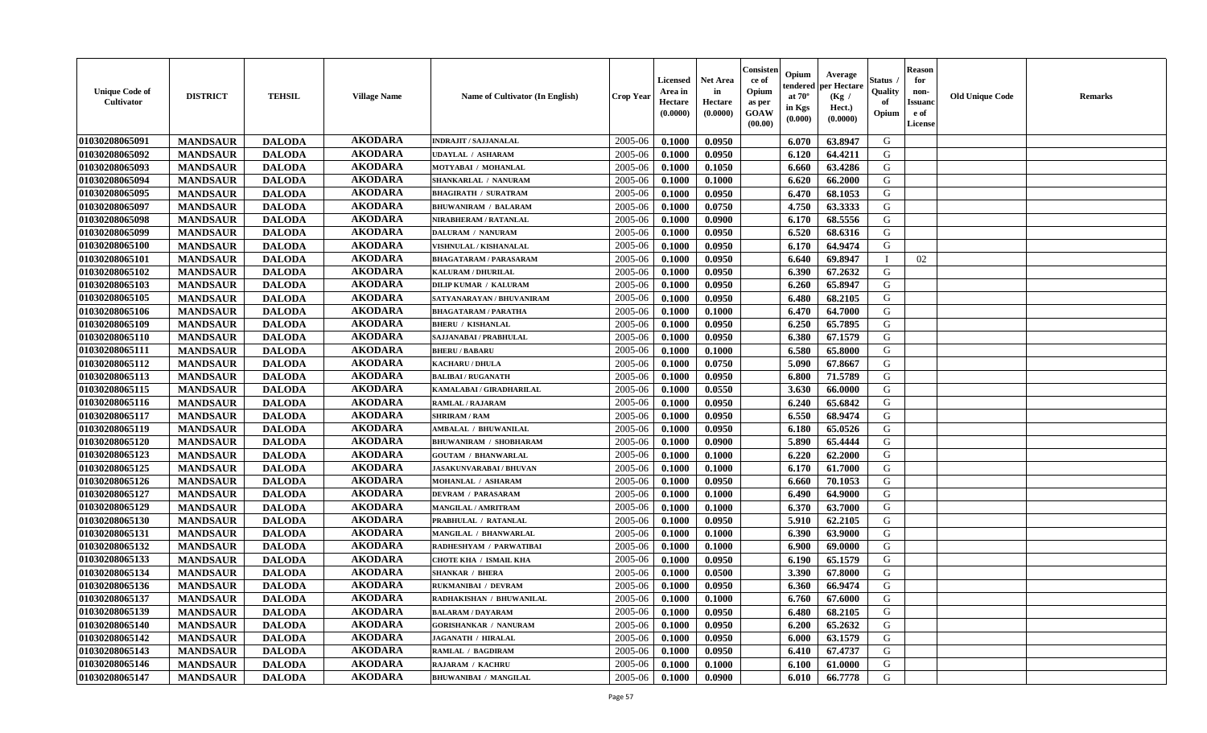| <b>Unique Code of</b><br><b>Cultivator</b> | <b>DISTRICT</b> | <b>TEHSIL</b> | <b>Village Name</b> | Name of Cultivator (In English) | <b>Crop Year</b> | <b>Licensed</b><br>Area in<br>Hectare<br>(0.0000) | <b>Net Area</b><br>in<br>Hectare<br>(0.0000) | Consister<br>ce of<br>Opium<br>as per<br><b>GOAW</b><br>(00.00) | Opium<br>endered<br>at $70^\circ$<br>in Kgs<br>(0.000) | Average<br>per Hectare<br>(Kg /<br>Hect.)<br>(0.0000) | Status<br>Quality<br>of<br>Opium | <b>Reason</b><br>for<br>non-<br><b>Issuand</b><br>e of<br><b>License</b> | <b>Old Unique Code</b> | <b>Remarks</b> |
|--------------------------------------------|-----------------|---------------|---------------------|---------------------------------|------------------|---------------------------------------------------|----------------------------------------------|-----------------------------------------------------------------|--------------------------------------------------------|-------------------------------------------------------|----------------------------------|--------------------------------------------------------------------------|------------------------|----------------|
| 01030208065091                             | <b>MANDSAUR</b> | <b>DALODA</b> | <b>AKODARA</b>      | <b>INDRAJIT / SAJJANALAL</b>    | 2005-06          | 0.1000                                            | 0.0950                                       |                                                                 | 6.070                                                  | 63.8947                                               | G                                |                                                                          |                        |                |
| 01030208065092                             | <b>MANDSAUR</b> | <b>DALODA</b> | <b>AKODARA</b>      | <b>UDAYLAL / ASHARAM</b>        | 2005-06          | 0.1000                                            | 0.0950                                       |                                                                 | 6.120                                                  | 64.4211                                               | G                                |                                                                          |                        |                |
| 01030208065093                             | <b>MANDSAUR</b> | <b>DALODA</b> | <b>AKODARA</b>      | MOTYABAI / MOHANLAL             | 2005-06          | 0.1000                                            | 0.1050                                       |                                                                 | 6.660                                                  | 63.4286                                               | G                                |                                                                          |                        |                |
| 01030208065094                             | <b>MANDSAUR</b> | <b>DALODA</b> | <b>AKODARA</b>      | SHANKARLAL / NANURAM            | 2005-06          | 0.1000                                            | 0.1000                                       |                                                                 | 6.620                                                  | 66.2000                                               | G                                |                                                                          |                        |                |
| 01030208065095                             | <b>MANDSAUR</b> | <b>DALODA</b> | <b>AKODARA</b>      | <b>BHAGIRATH / SURATRAM</b>     | 2005-06          | 0.1000                                            | 0.0950                                       |                                                                 | 6.470                                                  | 68.1053                                               | G                                |                                                                          |                        |                |
| 01030208065097                             | <b>MANDSAUR</b> | <b>DALODA</b> | <b>AKODARA</b>      | <b>BHUWANIRAM / BALARAM</b>     | 2005-06          | 0.1000                                            | 0.0750                                       |                                                                 | 4.750                                                  | 63.3333                                               | G                                |                                                                          |                        |                |
| 01030208065098                             | <b>MANDSAUR</b> | <b>DALODA</b> | <b>AKODARA</b>      | NIRABHERAM / RATANLAL           | 2005-06          | 0.1000                                            | 0.0900                                       |                                                                 | 6.170                                                  | 68.5556                                               | G                                |                                                                          |                        |                |
| 01030208065099                             | <b>MANDSAUR</b> | <b>DALODA</b> | <b>AKODARA</b>      | <b>DALURAM / NANURAM</b>        | 2005-06          | 0.1000                                            | 0.0950                                       |                                                                 | 6.520                                                  | 68.6316                                               | ${\bf G}$                        |                                                                          |                        |                |
| 01030208065100                             | <b>MANDSAUR</b> | <b>DALODA</b> | <b>AKODARA</b>      | VISHNULAL / KISHANALAL          | 2005-06          | 0.1000                                            | 0.0950                                       |                                                                 | 6.170                                                  | 64.9474                                               | G                                |                                                                          |                        |                |
| 01030208065101                             | <b>MANDSAUR</b> | <b>DALODA</b> | <b>AKODARA</b>      | <b>BHAGATARAM / PARASARAM</b>   | 2005-06          | 0.1000                                            | 0.0950                                       |                                                                 | 6.640                                                  | 69.8947                                               | <sup>1</sup>                     | 02                                                                       |                        |                |
| 01030208065102                             | <b>MANDSAUR</b> | <b>DALODA</b> | <b>AKODARA</b>      | <b>KALURAM / DHURILAL</b>       | 2005-06          | 0.1000                                            | 0.0950                                       |                                                                 | 6.390                                                  | 67.2632                                               | G                                |                                                                          |                        |                |
| 01030208065103                             | <b>MANDSAUR</b> | <b>DALODA</b> | <b>AKODARA</b>      | <b>DILIP KUMAR / KALURAM</b>    | 2005-06          | 0.1000                                            | 0.0950                                       |                                                                 | 6.260                                                  | 65.8947                                               | G                                |                                                                          |                        |                |
| 01030208065105                             | <b>MANDSAUR</b> | <b>DALODA</b> | <b>AKODARA</b>      | SATYANARAYAN / BHUVANIRAM       | 2005-06          | 0.1000                                            | 0.0950                                       |                                                                 | 6.480                                                  | 68.2105                                               | G                                |                                                                          |                        |                |
| 01030208065106                             | <b>MANDSAUR</b> | <b>DALODA</b> | <b>AKODARA</b>      | <b>BHAGATARAM / PARATHA</b>     | 2005-06          | 0.1000                                            | 0.1000                                       |                                                                 | 6.470                                                  | 64.7000                                               | G                                |                                                                          |                        |                |
| 01030208065109                             | <b>MANDSAUR</b> | <b>DALODA</b> | <b>AKODARA</b>      | <b>BHERU / KISHANLAL</b>        | 2005-06          | 0.1000                                            | 0.0950                                       |                                                                 | 6.250                                                  | 65.7895                                               | G                                |                                                                          |                        |                |
| 01030208065110                             | <b>MANDSAUR</b> | <b>DALODA</b> | <b>AKODARA</b>      | SAJJANABAI / PRABHULAL          | 2005-06          | 0.1000                                            | 0.0950                                       |                                                                 | 6.380                                                  | 67.1579                                               | G                                |                                                                          |                        |                |
| 01030208065111                             | <b>MANDSAUR</b> | <b>DALODA</b> | <b>AKODARA</b>      | <b>BHERU / BABARU</b>           | 2005-06          | 0.1000                                            | 0.1000                                       |                                                                 | 6.580                                                  | 65.8000                                               | G                                |                                                                          |                        |                |
| 01030208065112                             | <b>MANDSAUR</b> | <b>DALODA</b> | <b>AKODARA</b>      | <b>KACHARU / DHULA</b>          | 2005-06          | 0.1000                                            | 0.0750                                       |                                                                 | 5.090                                                  | 67.8667                                               | G                                |                                                                          |                        |                |
| 01030208065113                             | <b>MANDSAUR</b> | <b>DALODA</b> | <b>AKODARA</b>      | <b>BALIBAI/RUGANATH</b>         | 2005-06          | 0.1000                                            | 0.0950                                       |                                                                 | 6.800                                                  | 71.5789                                               | G                                |                                                                          |                        |                |
| 01030208065115                             | <b>MANDSAUR</b> | <b>DALODA</b> | <b>AKODARA</b>      | KAMALABAI / GIRADHARILAL        | 2005-06          | 0.1000                                            | 0.0550                                       |                                                                 | 3.630                                                  | 66.0000                                               | G                                |                                                                          |                        |                |
| 01030208065116                             | <b>MANDSAUR</b> | <b>DALODA</b> | <b>AKODARA</b>      | <b>RAMLAL / RAJARAM</b>         | 2005-06          | 0.1000                                            | 0.0950                                       |                                                                 | 6.240                                                  | 65.6842                                               | G                                |                                                                          |                        |                |
| 01030208065117                             | <b>MANDSAUR</b> | <b>DALODA</b> | <b>AKODARA</b>      | <b>SHRIRAM / RAM</b>            | 2005-06          | 0.1000                                            | 0.0950                                       |                                                                 | 6.550                                                  | 68.9474                                               | G                                |                                                                          |                        |                |
| 01030208065119                             | <b>MANDSAUR</b> | <b>DALODA</b> | <b>AKODARA</b>      | <b>AMBALAL / BHUWANILAL</b>     | 2005-06          | 0.1000                                            | 0.0950                                       |                                                                 | 6.180                                                  | 65.0526                                               | G                                |                                                                          |                        |                |
| 01030208065120                             | <b>MANDSAUR</b> | <b>DALODA</b> | <b>AKODARA</b>      | <b>BHUWANIRAM / SHOBHARAM</b>   | 2005-06          | 0.1000                                            | 0.0900                                       |                                                                 | 5.890                                                  | 65.4444                                               | G                                |                                                                          |                        |                |
| 01030208065123                             | <b>MANDSAUR</b> | <b>DALODA</b> | <b>AKODARA</b>      | <b>GOUTAM / BHANWARLAL</b>      | 2005-06          | 0.1000                                            | 0.1000                                       |                                                                 | 6.220                                                  | 62.2000                                               | G                                |                                                                          |                        |                |
| 01030208065125                             | <b>MANDSAUR</b> | <b>DALODA</b> | <b>AKODARA</b>      | <b>JASAKUNVARABAI/BHUVAN</b>    | 2005-06          | 0.1000                                            | 0.1000                                       |                                                                 | 6.170                                                  | 61.7000                                               | G                                |                                                                          |                        |                |
| 01030208065126                             | <b>MANDSAUR</b> | <b>DALODA</b> | <b>AKODARA</b>      | MOHANLAL / ASHARAM              | 2005-06          | 0.1000                                            | 0.0950                                       |                                                                 | 6.660                                                  | 70.1053                                               | G                                |                                                                          |                        |                |
| 01030208065127                             | <b>MANDSAUR</b> | <b>DALODA</b> | <b>AKODARA</b>      | <b>DEVRAM / PARASARAM</b>       | 2005-06          | 0.1000                                            | 0.1000                                       |                                                                 | 6.490                                                  | 64.9000                                               | G                                |                                                                          |                        |                |
| 01030208065129                             | <b>MANDSAUR</b> | <b>DALODA</b> | <b>AKODARA</b>      | <b>MANGILAL / AMRITRAM</b>      | 2005-06          | 0.1000                                            | 0.1000                                       |                                                                 | 6.370                                                  | 63.7000                                               | G                                |                                                                          |                        |                |
| 01030208065130                             | <b>MANDSAUR</b> | <b>DALODA</b> | <b>AKODARA</b>      | PRABHULAL / RATANLAL            | 2005-06          | 0.1000                                            | 0.0950                                       |                                                                 | 5.910                                                  | 62.2105                                               | G                                |                                                                          |                        |                |
| 01030208065131                             | <b>MANDSAUR</b> | <b>DALODA</b> | <b>AKODARA</b>      | MANGILAL / BHANWARLAL           | 2005-06          | 0.1000                                            | 0.1000                                       |                                                                 | 6.390                                                  | 63.9000                                               | G                                |                                                                          |                        |                |
| 01030208065132                             | <b>MANDSAUR</b> | <b>DALODA</b> | <b>AKODARA</b>      | RADHESHYAM / PARWATIBAI         | 2005-06          | 0.1000                                            | 0.1000                                       |                                                                 | 6.900                                                  | 69.0000                                               | ${\bf G}$                        |                                                                          |                        |                |
| 01030208065133                             | <b>MANDSAUR</b> | <b>DALODA</b> | <b>AKODARA</b>      | <b>CHOTE KHA / ISMAIL KHA</b>   | 2005-06          | 0.1000                                            | 0.0950                                       |                                                                 | 6.190                                                  | 65.1579                                               | G                                |                                                                          |                        |                |
| 01030208065134                             | <b>MANDSAUR</b> | <b>DALODA</b> | <b>AKODARA</b>      | <b>SHANKAR / BHERA</b>          | 2005-06          | 0.1000                                            | 0.0500                                       |                                                                 | 3.390                                                  | 67.8000                                               | G                                |                                                                          |                        |                |
| 01030208065136                             | <b>MANDSAUR</b> | <b>DALODA</b> | <b>AKODARA</b>      | RUKMANIBAI / DEVRAM             | 2005-06          | 0.1000                                            | 0.0950                                       |                                                                 | 6.360                                                  | 66.9474                                               | G                                |                                                                          |                        |                |
| 01030208065137                             | <b>MANDSAUR</b> | <b>DALODA</b> | <b>AKODARA</b>      | RADHAKISHAN / BHUWANILAL        | 2005-06          | 0.1000                                            | 0.1000                                       |                                                                 | 6.760                                                  | 67.6000                                               | G                                |                                                                          |                        |                |
| 01030208065139                             | <b>MANDSAUR</b> | <b>DALODA</b> | <b>AKODARA</b>      | <b>BALARAM / DAYARAM</b>        | 2005-06          | 0.1000                                            | 0.0950                                       |                                                                 | 6.480                                                  | 68.2105                                               | G                                |                                                                          |                        |                |
| 01030208065140                             | <b>MANDSAUR</b> | <b>DALODA</b> | <b>AKODARA</b>      | <b>GORISHANKAR / NANURAM</b>    | 2005-06          | 0.1000                                            | 0.0950                                       |                                                                 | 6.200                                                  | 65.2632                                               | G                                |                                                                          |                        |                |
| 01030208065142                             | <b>MANDSAUR</b> | <b>DALODA</b> | <b>AKODARA</b>      | <b>JAGANATH / HIRALAI</b>       | 2005-06          | 0.1000                                            | 0.0950                                       |                                                                 | 6.000                                                  | 63.1579                                               | G                                |                                                                          |                        |                |
| 01030208065143                             | <b>MANDSAUR</b> | <b>DALODA</b> | <b>AKODARA</b>      | RAMLAL / BAGDIRAM               | 2005-06          | 0.1000                                            | 0.0950                                       |                                                                 | 6.410                                                  | 67.4737                                               | ${\bf G}$                        |                                                                          |                        |                |
| 01030208065146                             | <b>MANDSAUR</b> | <b>DALODA</b> | <b>AKODARA</b>      | RAJARAM / KACHRU                | 2005-06          | 0.1000                                            | 0.1000                                       |                                                                 | 6.100                                                  | 61.0000                                               | G                                |                                                                          |                        |                |
| 01030208065147                             | <b>MANDSAUR</b> | <b>DALODA</b> | <b>AKODARA</b>      | <b>BHUWANIBAI / MANGILAL</b>    | 2005-06          | 0.1000                                            | 0.0900                                       |                                                                 | 6.010                                                  | 66.7778                                               | G                                |                                                                          |                        |                |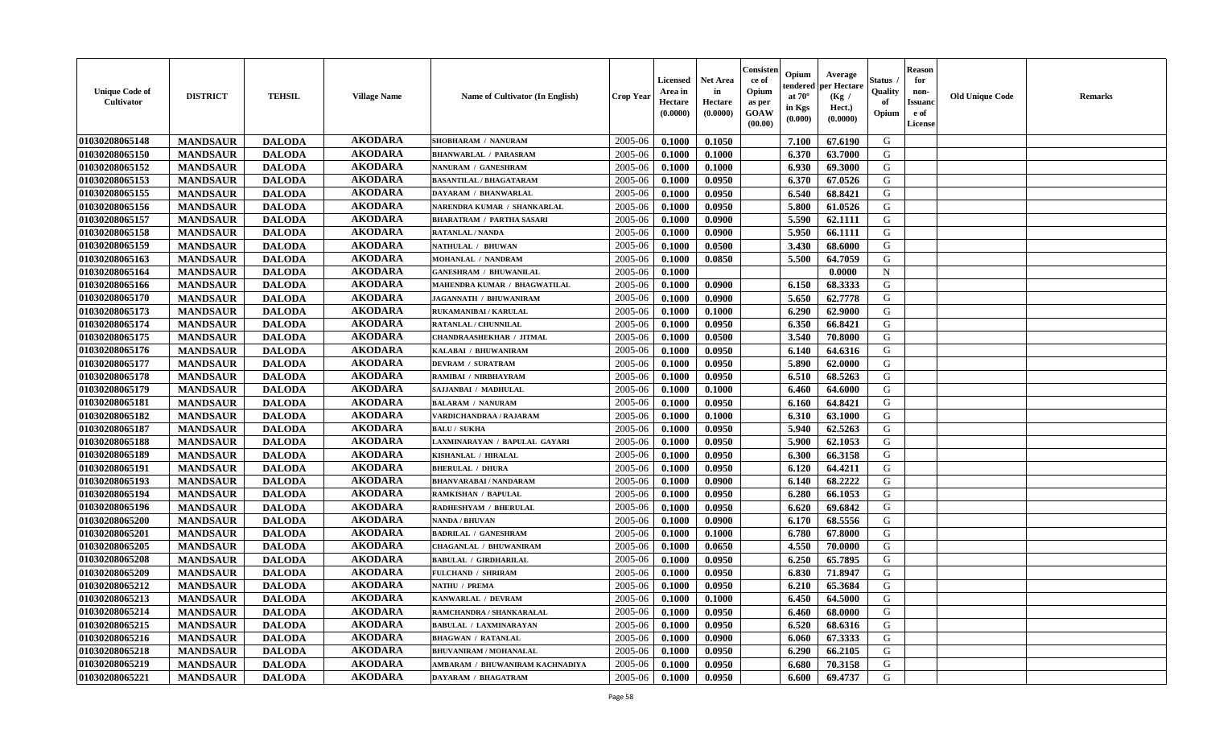| <b>Unique Code of</b><br><b>Cultivator</b> | <b>DISTRICT</b> | <b>TEHSIL</b> | <b>Village Name</b> | Name of Cultivator (In English)  | <b>Crop Year</b> | <b>Licensed</b><br>Area in<br>Hectare<br>(0.0000) | <b>Net Area</b><br>in<br>Hectare<br>(0.0000) | Consister<br>ce of<br>Opium<br>as per<br><b>GOAW</b><br>(00.00) | Opium<br>endered<br>at $70^\circ$<br>in Kgs<br>$(\mathbf{0.000})$ | Average<br>per Hectare<br>(Kg /<br>Hect.)<br>(0.0000) | Status<br>Quality<br>of<br>Opium | <b>Reason</b><br>for<br>non-<br>Issuan<br>e of<br><b>License</b> | <b>Old Unique Code</b> | <b>Remarks</b> |
|--------------------------------------------|-----------------|---------------|---------------------|----------------------------------|------------------|---------------------------------------------------|----------------------------------------------|-----------------------------------------------------------------|-------------------------------------------------------------------|-------------------------------------------------------|----------------------------------|------------------------------------------------------------------|------------------------|----------------|
| 01030208065148                             | <b>MANDSAUR</b> | <b>DALODA</b> | <b>AKODARA</b>      | SHOBHARAM / NANURAM              | 2005-06          | 0.1000                                            | 0.1050                                       |                                                                 | 7.100                                                             | 67.6190                                               | G                                |                                                                  |                        |                |
| 01030208065150                             | <b>MANDSAUR</b> | <b>DALODA</b> | <b>AKODARA</b>      | <b>BHANWARLAL / PARASRAM</b>     | 2005-06          | 0.1000                                            | 0.1000                                       |                                                                 | 6.370                                                             | 63.7000                                               | G                                |                                                                  |                        |                |
| 01030208065152                             | <b>MANDSAUR</b> | <b>DALODA</b> | <b>AKODARA</b>      | NANURAM / GANESHRAM              | 2005-06          | 0.1000                                            | 0.1000                                       |                                                                 | 6.930                                                             | 69.3000                                               | G                                |                                                                  |                        |                |
| 01030208065153                             | <b>MANDSAUR</b> | <b>DALODA</b> | <b>AKODARA</b>      | <b>BASANTILAL / BHAGATARAM</b>   | 2005-06          | 0.1000                                            | 0.0950                                       |                                                                 | 6.370                                                             | 67.0526                                               | G                                |                                                                  |                        |                |
| 01030208065155                             | <b>MANDSAUR</b> | <b>DALODA</b> | <b>AKODARA</b>      | DAYARAM / BHANWARLAL             | 2005-06          | 0.1000                                            | 0.0950                                       |                                                                 | 6.540                                                             | 68.8421                                               | G                                |                                                                  |                        |                |
| 01030208065156                             | <b>MANDSAUR</b> | <b>DALODA</b> | <b>AKODARA</b>      | NARENDRA KUMAR / SHANKARLAL      | 2005-06          | 0.1000                                            | 0.0950                                       |                                                                 | 5.800                                                             | 61.0526                                               | G                                |                                                                  |                        |                |
| 01030208065157                             | <b>MANDSAUR</b> | <b>DALODA</b> | <b>AKODARA</b>      | <b>BHARATRAM / PARTHA SASARI</b> | 2005-06          | 0.1000                                            | 0.0900                                       |                                                                 | 5.590                                                             | 62.1111                                               | G                                |                                                                  |                        |                |
| 01030208065158                             | <b>MANDSAUR</b> | <b>DALODA</b> | <b>AKODARA</b>      | <b>RATANLAL / NANDA</b>          | 2005-06          | 0.1000                                            | 0.0900                                       |                                                                 | 5.950                                                             | 66.1111                                               | G                                |                                                                  |                        |                |
| 01030208065159                             | <b>MANDSAUR</b> | <b>DALODA</b> | <b>AKODARA</b>      | NATHULAL / BHUWAN                | 2005-06          | 0.1000                                            | 0.0500                                       |                                                                 | 3.430                                                             | 68.6000                                               | G                                |                                                                  |                        |                |
| 01030208065163                             | <b>MANDSAUR</b> | <b>DALODA</b> | <b>AKODARA</b>      | MOHANLAL / NANDRAM               | 2005-06          | 0.1000                                            | 0.0850                                       |                                                                 | 5.500                                                             | 64.7059                                               | G                                |                                                                  |                        |                |
| 01030208065164                             | <b>MANDSAUR</b> | <b>DALODA</b> | <b>AKODARA</b>      | <b>GANESHRAM / BHUWANILAL</b>    | 2005-06          | 0.1000                                            |                                              |                                                                 |                                                                   | 0.0000                                                | $\mathbf N$                      |                                                                  |                        |                |
| 01030208065166                             | <b>MANDSAUR</b> | <b>DALODA</b> | <b>AKODARA</b>      | MAHENDRA KUMAR / BHAGWATILAL     | 2005-06          | 0.1000                                            | 0.0900                                       |                                                                 | 6.150                                                             | 68.3333                                               | G                                |                                                                  |                        |                |
| 01030208065170                             | <b>MANDSAUR</b> | <b>DALODA</b> | <b>AKODARA</b>      | JAGANNATH / BHUWANIRAM           | 2005-06          | 0.1000                                            | 0.0900                                       |                                                                 | 5.650                                                             | 62.7778                                               | G                                |                                                                  |                        |                |
| 01030208065173                             | <b>MANDSAUR</b> | <b>DALODA</b> | <b>AKODARA</b>      | <b>RUKAMANIBAI / KARULAL</b>     | 2005-06          | 0.1000                                            | 0.1000                                       |                                                                 | 6.290                                                             | 62.9000                                               | G                                |                                                                  |                        |                |
| 01030208065174                             | <b>MANDSAUR</b> | <b>DALODA</b> | <b>AKODARA</b>      | RATANLAL / CHUNNILAL             | 2005-06          | 0.1000                                            | 0.0950                                       |                                                                 | 6.350                                                             | 66.8421                                               | G                                |                                                                  |                        |                |
| 01030208065175                             | <b>MANDSAUR</b> | <b>DALODA</b> | <b>AKODARA</b>      | <b>CHANDRAASHEKHAR / JITMAL</b>  | 2005-06          | 0.1000                                            | 0.0500                                       |                                                                 | 3.540                                                             | 70.8000                                               | G                                |                                                                  |                        |                |
| 01030208065176                             | <b>MANDSAUR</b> | <b>DALODA</b> | <b>AKODARA</b>      | KALABAI / BHUWANIRAM             | 2005-06          | 0.1000                                            | 0.0950                                       |                                                                 | 6.140                                                             | 64.6316                                               | G                                |                                                                  |                        |                |
| 01030208065177                             | <b>MANDSAUR</b> | <b>DALODA</b> | <b>AKODARA</b>      | <b>DEVRAM / SURATRAM</b>         | 2005-06          | 0.1000                                            | 0.0950                                       |                                                                 | 5.890                                                             | 62.0000                                               | G                                |                                                                  |                        |                |
| 01030208065178                             | <b>MANDSAUR</b> | <b>DALODA</b> | <b>AKODARA</b>      | RAMIBAI / NIRBHAYRAM             | 2005-06          | 0.1000                                            | 0.0950                                       |                                                                 | 6.510                                                             | 68.5263                                               | G                                |                                                                  |                        |                |
| 01030208065179                             | <b>MANDSAUR</b> | <b>DALODA</b> | <b>AKODARA</b>      | SAJJANBAI / MADHULAL             | 2005-06          | 0.1000                                            | 0.1000                                       |                                                                 | 6.460                                                             | 64.6000                                               | G                                |                                                                  |                        |                |
| 01030208065181                             | <b>MANDSAUR</b> | <b>DALODA</b> | <b>AKODARA</b>      | <b>BALARAM / NANURAM</b>         | 2005-06          | 0.1000                                            | 0.0950                                       |                                                                 | 6.160                                                             | 64.8421                                               | G                                |                                                                  |                        |                |
| 01030208065182                             | <b>MANDSAUR</b> | <b>DALODA</b> | <b>AKODARA</b>      | VARDICHANDRAA / RAJARAM          | 2005-06          | 0.1000                                            | 0.1000                                       |                                                                 | 6.310                                                             | 63.1000                                               | G                                |                                                                  |                        |                |
| 01030208065187                             | <b>MANDSAUR</b> | <b>DALODA</b> | <b>AKODARA</b>      | <b>BALU / SUKHA</b>              | 2005-06          | 0.1000                                            | 0.0950                                       |                                                                 | 5.940                                                             | 62.5263                                               | G                                |                                                                  |                        |                |
| 01030208065188                             | <b>MANDSAUR</b> | <b>DALODA</b> | <b>AKODARA</b>      | LAXMINARAYAN / BAPULAL GAYARI    | 2005-06          | 0.1000                                            | 0.0950                                       |                                                                 | 5.900                                                             | 62.1053                                               | G                                |                                                                  |                        |                |
| 01030208065189                             | <b>MANDSAUR</b> | <b>DALODA</b> | <b>AKODARA</b>      | KISHANLAL / HIRALAL              | 2005-06          | 0.1000                                            | 0.0950                                       |                                                                 | 6.300                                                             | 66.3158                                               | G                                |                                                                  |                        |                |
| 01030208065191                             | <b>MANDSAUR</b> | <b>DALODA</b> | <b>AKODARA</b>      | <b>BHERULAL / DHURA</b>          | 2005-06          | 0.1000                                            | 0.0950                                       |                                                                 | 6.120                                                             | 64.4211                                               | G                                |                                                                  |                        |                |
| 01030208065193                             | <b>MANDSAUR</b> | <b>DALODA</b> | <b>AKODARA</b>      | <b>BHANVARABAI / NANDARAM</b>    | 2005-06          | 0.1000                                            | 0.0900                                       |                                                                 | 6.140                                                             | 68.2222                                               | G                                |                                                                  |                        |                |
| 01030208065194                             | <b>MANDSAUR</b> | <b>DALODA</b> | <b>AKODARA</b>      | <b>RAMKISHAN / BAPULAL</b>       | 2005-06          | 0.1000                                            | 0.0950                                       |                                                                 | 6.280                                                             | 66.1053                                               | G                                |                                                                  |                        |                |
| 01030208065196                             | <b>MANDSAUR</b> | <b>DALODA</b> | <b>AKODARA</b>      | RADHESHYAM / BHERULAL            | 2005-06          | 0.1000                                            | 0.0950                                       |                                                                 | 6.620                                                             | 69.6842                                               | G                                |                                                                  |                        |                |
| 01030208065200                             | <b>MANDSAUR</b> | <b>DALODA</b> | <b>AKODARA</b>      | <b>NANDA / BHUVAN</b>            | 2005-06          | 0.1000                                            | 0.0900                                       |                                                                 | 6.170                                                             | 68.5556                                               | G                                |                                                                  |                        |                |
| 01030208065201                             | <b>MANDSAUR</b> | <b>DALODA</b> | <b>AKODARA</b>      | <b>BADRILAL / GANESHRAM</b>      | 2005-06          | 0.1000                                            | 0.1000                                       |                                                                 | 6.780                                                             | 67.8000                                               | G                                |                                                                  |                        |                |
| 01030208065205                             | <b>MANDSAUR</b> | <b>DALODA</b> | <b>AKODARA</b>      | <b>CHAGANLAL / BHUWANIRAM</b>    | 2005-06          | 0.1000                                            | 0.0650                                       |                                                                 | 4.550                                                             | 70.0000                                               | G                                |                                                                  |                        |                |
| 01030208065208                             | <b>MANDSAUR</b> | <b>DALODA</b> | <b>AKODARA</b>      | <b>BABULAL / GIRDHARILAL</b>     | 2005-06          | 0.1000                                            | 0.0950                                       |                                                                 | 6.250                                                             | 65.7895                                               | G                                |                                                                  |                        |                |
| 01030208065209                             | <b>MANDSAUR</b> | <b>DALODA</b> | <b>AKODARA</b>      | <b>FULCHAND / SHRIRAM</b>        | 2005-06          | 0.1000                                            | 0.0950                                       |                                                                 | 6.830                                                             | 71.8947                                               | G                                |                                                                  |                        |                |
| 01030208065212                             | <b>MANDSAUR</b> | <b>DALODA</b> | <b>AKODARA</b>      | NATHU / PREMA                    | 2005-06          | 0.1000                                            | 0.0950                                       |                                                                 | 6.210                                                             | 65.3684                                               | G                                |                                                                  |                        |                |
| 01030208065213                             | <b>MANDSAUR</b> | <b>DALODA</b> | AKODARA             | KANWARLAL / DEVRAM               | $2005 - 06$      | 0.1000                                            | 0.1000                                       |                                                                 | $6.450$                                                           | 64.5000                                               | G                                |                                                                  |                        |                |
| 01030208065214                             | <b>MANDSAUR</b> | <b>DALODA</b> | <b>AKODARA</b>      | RAMCHANDRA / SHANKARALAL         | 2005-06          | 0.1000                                            | 0.0950                                       |                                                                 | 6.460                                                             | 68.0000                                               | G                                |                                                                  |                        |                |
| 01030208065215                             | <b>MANDSAUR</b> | <b>DALODA</b> | <b>AKODARA</b>      | <b>BABULAL / LAXMINARAYAN</b>    | 2005-06          | 0.1000                                            | 0.0950                                       |                                                                 | 6.520                                                             | 68.6316                                               | G                                |                                                                  |                        |                |
| 01030208065216                             | <b>MANDSAUR</b> | <b>DALODA</b> | <b>AKODARA</b>      | <b>BHAGWAN / RATANLAL</b>        | 2005-06          | 0.1000                                            | 0.0900                                       |                                                                 | 6.060                                                             | 67.3333                                               | G                                |                                                                  |                        |                |
| 01030208065218                             | <b>MANDSAUR</b> | <b>DALODA</b> | <b>AKODARA</b>      | <b>BHUVANIRAM / MOHANALAL</b>    | 2005-06          | 0.1000                                            | 0.0950                                       |                                                                 | 6.290                                                             | 66.2105                                               | G                                |                                                                  |                        |                |
| 01030208065219                             | <b>MANDSAUR</b> | <b>DALODA</b> | <b>AKODARA</b>      | AMBARAM / BHUWANIRAM KACHNADIYA  | 2005-06          | 0.1000                                            | 0.0950                                       |                                                                 | 6.680                                                             | 70.3158                                               | G                                |                                                                  |                        |                |
| 01030208065221                             | <b>MANDSAUR</b> | <b>DALODA</b> | <b>AKODARA</b>      | DAYARAM / BHAGATRAM              | 2005-06          | 0.1000                                            | 0.0950                                       |                                                                 | 6.600                                                             | 69.4737                                               | G                                |                                                                  |                        |                |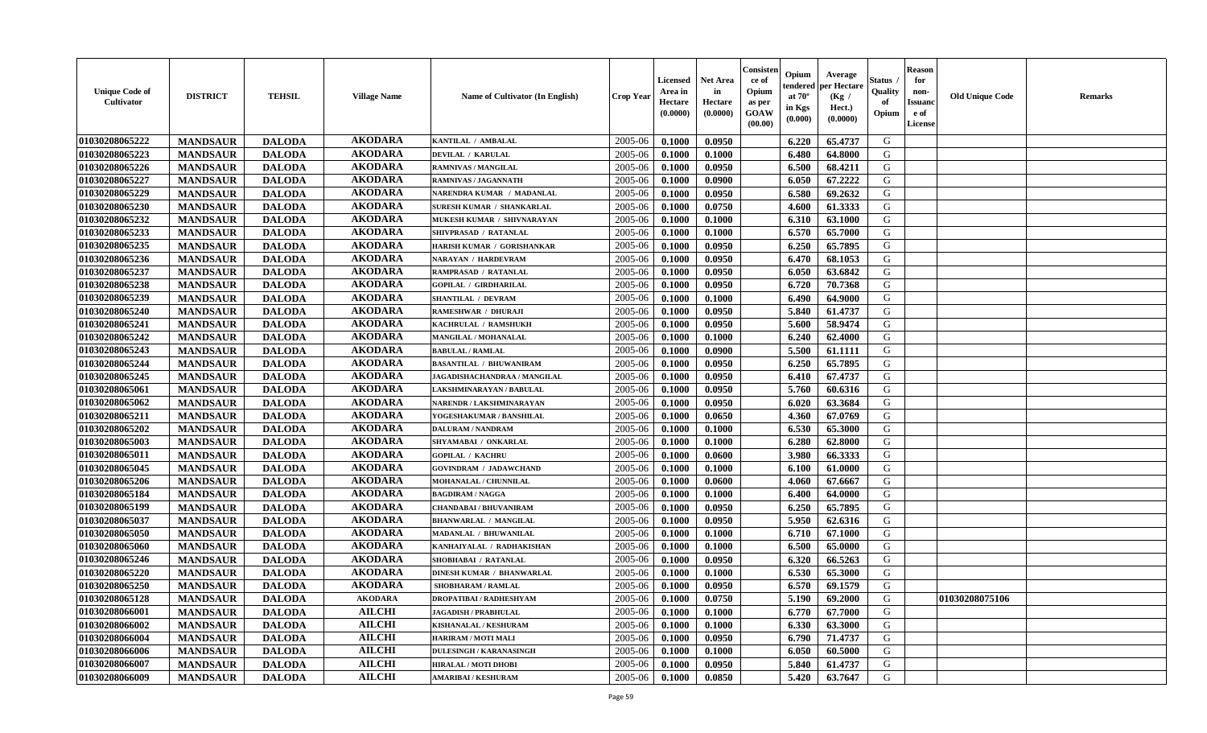| <b>Unique Code of</b><br><b>Cultivator</b> | <b>DISTRICT</b> | <b>TEHSIL</b> | <b>Village Name</b> | Name of Cultivator (In English)  | <b>Crop Year</b> | Licensed<br>Area in<br>Hectare<br>(0.0000) | <b>Net Area</b><br>in<br>Hectare<br>(0.0000) | Consisteı<br>ce of<br>Opium<br>as per<br>GOAW<br>(00.00) | Opium<br>endered<br>at $70^\circ$<br>in Kgs<br>(0.000) | Average<br>per Hectare<br>(Kg /<br>Hect.)<br>(0.0000) | Status<br>Quality<br>of<br>Opium | <b>Reason</b><br>for<br>non-<br><b>Issuand</b><br>e of<br>License | <b>Old Unique Code</b> | <b>Remarks</b> |
|--------------------------------------------|-----------------|---------------|---------------------|----------------------------------|------------------|--------------------------------------------|----------------------------------------------|----------------------------------------------------------|--------------------------------------------------------|-------------------------------------------------------|----------------------------------|-------------------------------------------------------------------|------------------------|----------------|
| 01030208065222                             | <b>MANDSAUR</b> | <b>DALODA</b> | <b>AKODARA</b>      | KANTILAL / AMBALAL               | 2005-06          | 0.1000                                     | 0.0950                                       |                                                          | 6.220                                                  | 65.4737                                               | G                                |                                                                   |                        |                |
| 01030208065223                             | <b>MANDSAUR</b> | <b>DALODA</b> | <b>AKODARA</b>      | <b>DEVILAL / KARULAL</b>         | 2005-06          | 0.1000                                     | 0.1000                                       |                                                          | 6.480                                                  | 64.8000                                               | G                                |                                                                   |                        |                |
| 01030208065226                             | <b>MANDSAUR</b> | <b>DALODA</b> | <b>AKODARA</b>      | RAMNIVAS / MANGILAL              | 2005-06          | 0.1000                                     | 0.0950                                       |                                                          | 6.500                                                  | 68.4211                                               | G                                |                                                                   |                        |                |
| 01030208065227                             | <b>MANDSAUR</b> | <b>DALODA</b> | <b>AKODARA</b>      | RAMNIVAS / JAGANNATH             | 2005-06          | 0.1000                                     | 0.0900                                       |                                                          | 6.050                                                  | 67.2222                                               | G                                |                                                                   |                        |                |
| 01030208065229                             | <b>MANDSAUR</b> | <b>DALODA</b> | <b>AKODARA</b>      | NARENDRA KUMAR / MADANLAL        | 2005-06          | 0.1000                                     | 0.0950                                       |                                                          | 6.580                                                  | 69.2632                                               | G                                |                                                                   |                        |                |
| 01030208065230                             | <b>MANDSAUR</b> | <b>DALODA</b> | <b>AKODARA</b>      | <b>SURESH KUMAR / SHANKARLAL</b> | 2005-06          | 0.1000                                     | 0.0750                                       |                                                          | 4.600                                                  | 61.3333                                               | G                                |                                                                   |                        |                |
| 01030208065232                             | <b>MANDSAUR</b> | <b>DALODA</b> | <b>AKODARA</b>      | MUKESH KUMAR / SHIVNARAYAN       | 2005-06          | 0.1000                                     | 0.1000                                       |                                                          | 6.310                                                  | 63.1000                                               | G                                |                                                                   |                        |                |
| 01030208065233                             | <b>MANDSAUR</b> | <b>DALODA</b> | <b>AKODARA</b>      | SHIVPRASAD / RATANLAL            | 2005-06          | 0.1000                                     | 0.1000                                       |                                                          | 6.570                                                  | 65.7000                                               | G                                |                                                                   |                        |                |
| 01030208065235                             | <b>MANDSAUR</b> | <b>DALODA</b> | <b>AKODARA</b>      | HARISH KUMAR / GORISHANKAR       | 2005-06          | 0.1000                                     | 0.0950                                       |                                                          | 6.250                                                  | 65.7895                                               | G                                |                                                                   |                        |                |
| 01030208065236                             | <b>MANDSAUR</b> | <b>DALODA</b> | <b>AKODARA</b>      | <b>NARAYAN / HARDEVRAM</b>       | 2005-06          | 0.1000                                     | 0.0950                                       |                                                          | 6.470                                                  | 68.1053                                               | G                                |                                                                   |                        |                |
| 01030208065237                             | <b>MANDSAUR</b> | <b>DALODA</b> | <b>AKODARA</b>      | RAMPRASAD / RATANLAL             | 2005-06          | 0.1000                                     | 0.0950                                       |                                                          | 6.050                                                  | 63.6842                                               | $\mathbf G$                      |                                                                   |                        |                |
| 01030208065238                             | <b>MANDSAUR</b> | <b>DALODA</b> | <b>AKODARA</b>      | <b>GOPILAL / GIRDHARILAL</b>     | 2005-06          | 0.1000                                     | 0.0950                                       |                                                          | 6.720                                                  | 70.7368                                               | G                                |                                                                   |                        |                |
| 01030208065239                             | <b>MANDSAUR</b> | <b>DALODA</b> | <b>AKODARA</b>      | <b>SHANTILAL / DEVRAM</b>        | 2005-06          | 0.1000                                     | 0.1000                                       |                                                          | 6.490                                                  | 64.9000                                               | G                                |                                                                   |                        |                |
| 01030208065240                             | <b>MANDSAUR</b> | <b>DALODA</b> | <b>AKODARA</b>      | <b>RAMESHWAR / DHURAJI</b>       | 2005-06          | 0.1000                                     | 0.0950                                       |                                                          | 5.840                                                  | 61.4737                                               | G                                |                                                                   |                        |                |
| 01030208065241                             | <b>MANDSAUR</b> | <b>DALODA</b> | <b>AKODARA</b>      | KACHRULAL / RAMSHUKH             | 2005-06          | 0.1000                                     | 0.0950                                       |                                                          | 5.600                                                  | 58.9474                                               | G                                |                                                                   |                        |                |
| 01030208065242                             | <b>MANDSAUR</b> | <b>DALODA</b> | <b>AKODARA</b>      | MANGILAL / MOHANALAL             | 2005-06          | 0.1000                                     | 0.1000                                       |                                                          | 6.240                                                  | 62.4000                                               | G                                |                                                                   |                        |                |
| 01030208065243                             | <b>MANDSAUR</b> | <b>DALODA</b> | <b>AKODARA</b>      | <b>BABULAL / RAMLAL</b>          | 2005-06          | 0.1000                                     | 0.0900                                       |                                                          | 5.500                                                  | 61.1111                                               | G                                |                                                                   |                        |                |
| 01030208065244                             | <b>MANDSAUR</b> | <b>DALODA</b> | <b>AKODARA</b>      | <b>BASANTILAL / BHUWANIRAM</b>   | 2005-06          | 0.1000                                     | 0.0950                                       |                                                          | 6.250                                                  | 65.7895                                               | G                                |                                                                   |                        |                |
| 01030208065245                             | <b>MANDSAUR</b> | <b>DALODA</b> | <b>AKODARA</b>      | JAGADISHACHANDRAA / MANGILAL     | 2005-06          | 0.1000                                     | 0.0950                                       |                                                          | 6.410                                                  | 67.4737                                               | G                                |                                                                   |                        |                |
| 01030208065061                             | <b>MANDSAUR</b> | <b>DALODA</b> | <b>AKODARA</b>      | LAKSHMINARAYAN / BABULAL         | 2005-06          | 0.1000                                     | 0.0950                                       |                                                          | 5.760                                                  | 60.6316                                               | G                                |                                                                   |                        |                |
| 01030208065062                             | <b>MANDSAUR</b> | <b>DALODA</b> | <b>AKODARA</b>      | NARENDR / LAKSHMINARAYAN         | 2005-06          | 0.1000                                     | 0.0950                                       |                                                          | 6.020                                                  | 63.3684                                               | G                                |                                                                   |                        |                |
| 01030208065211                             | <b>MANDSAUR</b> | <b>DALODA</b> | <b>AKODARA</b>      | YOGESHAKUMAR / BANSHILAL         | 2005-06          | 0.1000                                     | 0.0650                                       |                                                          | 4.360                                                  | 67.0769                                               | G                                |                                                                   |                        |                |
| 01030208065202                             | <b>MANDSAUR</b> | <b>DALODA</b> | <b>AKODARA</b>      | <b>DALURAM / NANDRAM</b>         | 2005-06          | 0.1000                                     | 0.1000                                       |                                                          | 6.530                                                  | 65.3000                                               | G                                |                                                                   |                        |                |
| 01030208065003                             | <b>MANDSAUR</b> | <b>DALODA</b> | <b>AKODARA</b>      | SHYAMABAI / ONKARLAL             | 2005-06          | 0.1000                                     | 0.1000                                       |                                                          | 6.280                                                  | 62.8000                                               | G                                |                                                                   |                        |                |
| 01030208065011                             | <b>MANDSAUR</b> | <b>DALODA</b> | <b>AKODARA</b>      | <b>GOPILAL / KACHRU</b>          | 2005-06          | 0.1000                                     | 0.0600                                       |                                                          | 3.980                                                  | 66.3333                                               | G                                |                                                                   |                        |                |
| 01030208065045                             | <b>MANDSAUR</b> | <b>DALODA</b> | <b>AKODARA</b>      | <b>GOVINDRAM / JADAWCHAND</b>    | 2005-06          | 0.1000                                     | 0.1000                                       |                                                          | 6.100                                                  | 61.0000                                               | G                                |                                                                   |                        |                |
| 01030208065206                             | <b>MANDSAUR</b> | <b>DALODA</b> | <b>AKODARA</b>      | MOHANALAL / CHUNNILAL            | 2005-06          | 0.1000                                     | 0.0600                                       |                                                          | 4.060                                                  | 67.6667                                               | G                                |                                                                   |                        |                |
| 01030208065184                             | <b>MANDSAUR</b> | <b>DALODA</b> | <b>AKODARA</b>      | <b>BAGDIRAM / NAGGA</b>          | 2005-06          | 0.1000                                     | 0.1000                                       |                                                          | 6.400                                                  | 64.0000                                               | G                                |                                                                   |                        |                |
| 01030208065199                             | <b>MANDSAUR</b> | <b>DALODA</b> | <b>AKODARA</b>      | <b>CHANDABAI / BHUVANIRAM</b>    | 2005-06          | 0.1000                                     | 0.0950                                       |                                                          | 6.250                                                  | 65.7895                                               | G                                |                                                                   |                        |                |
| 01030208065037                             | <b>MANDSAUR</b> | <b>DALODA</b> | <b>AKODARA</b>      | <b>BHANWARLAL / MANGILAL</b>     | 2005-06          | 0.1000                                     | 0.0950                                       |                                                          | 5.950                                                  | 62.6316                                               | G                                |                                                                   |                        |                |
| 01030208065050                             | <b>MANDSAUR</b> | <b>DALODA</b> | <b>AKODARA</b>      | MADANLAL / BHUWANILAL            | 2005-06          | 0.1000                                     | 0.1000                                       |                                                          | 6.710                                                  | 67.1000                                               | ${\bf G}$                        |                                                                   |                        |                |
| 01030208065060                             | <b>MANDSAUR</b> | <b>DALODA</b> | <b>AKODARA</b>      | KANHAIYALAL / RADHAKISHAN        | 2005-06          | 0.1000                                     | 0.1000                                       |                                                          | 6.500                                                  | 65.0000                                               | G                                |                                                                   |                        |                |
| 01030208065246                             | <b>MANDSAUR</b> | <b>DALODA</b> | <b>AKODARA</b>      | SHOBHABAI / RATANLAL             | 2005-06          | 0.1000                                     | 0.0950                                       |                                                          | 6.320                                                  | 66.5263                                               | G                                |                                                                   |                        |                |
| 01030208065220                             | <b>MANDSAUR</b> | <b>DALODA</b> | <b>AKODARA</b>      | <b>DINESH KUMAR / BHANWARLAL</b> | 2005-06          | 0.1000                                     | 0.1000                                       |                                                          | 6.530                                                  | 65.3000                                               | G                                |                                                                   |                        |                |
| 01030208065250                             | <b>MANDSAUR</b> | <b>DALODA</b> | <b>AKODARA</b>      | <b>SHOBHARAM / RAMLAL</b>        | 2005-06          | 0.1000                                     | 0.0950                                       |                                                          | 6.570                                                  | 69.1579                                               | G                                |                                                                   |                        |                |
| 01030208065128                             | <b>MANDSAUR</b> | <b>DALODA</b> | <b>AKODARA</b>      | <b>DROPATIBAI/RADHESHYAM</b>     | 2005-06          | 0.1000                                     | 0.0750                                       |                                                          | 5.190                                                  | 69.2000                                               | G                                |                                                                   | 01030208075106         |                |
| 01030208066001                             | <b>MANDSAUR</b> | <b>DALODA</b> | <b>AILCHI</b>       | <b>JAGADISH / PRABHULAL</b>      | 2005-06          | 0.1000                                     | 0.1000                                       |                                                          | 6.770                                                  | 67.7000                                               | G                                |                                                                   |                        |                |
| 01030208066002                             | <b>MANDSAUR</b> | <b>DALODA</b> | <b>AILCHI</b>       | <b>KISHANALAL / KESHURAM</b>     | 2005-06          | 0.1000                                     | 0.1000                                       |                                                          | 6.330                                                  | 63.3000                                               | G                                |                                                                   |                        |                |
| 01030208066004                             | <b>MANDSAUR</b> | <b>DALODA</b> | <b>AILCHI</b>       | <b>HARIRAM / MOTI MALI</b>       | 2005-06          | 0.1000                                     | 0.0950                                       |                                                          | 6.790                                                  | 71.4737                                               | G                                |                                                                   |                        |                |
| 01030208066006                             | <b>MANDSAUR</b> | <b>DALODA</b> | <b>AILCHI</b>       | <b>DULESINGH / KARANASINGH</b>   | 2005-06          | 0.1000                                     | 0.1000                                       |                                                          | 6.050                                                  | 60.5000                                               | G                                |                                                                   |                        |                |
| 01030208066007                             | <b>MANDSAUR</b> | <b>DALODA</b> | <b>AILCHI</b>       | <b>HIRALAL / MOTI DHOBI</b>      | 2005-06          | 0.1000                                     | 0.0950                                       |                                                          | 5.840                                                  | 61.4737                                               | G                                |                                                                   |                        |                |
| 01030208066009                             | <b>MANDSAUR</b> | <b>DALODA</b> | <b>AILCHI</b>       | <b>AMARIBAI/KESHURAM</b>         | 2005-06          | 0.1000                                     | 0.0850                                       |                                                          | 5.420                                                  | 63.7647                                               | G                                |                                                                   |                        |                |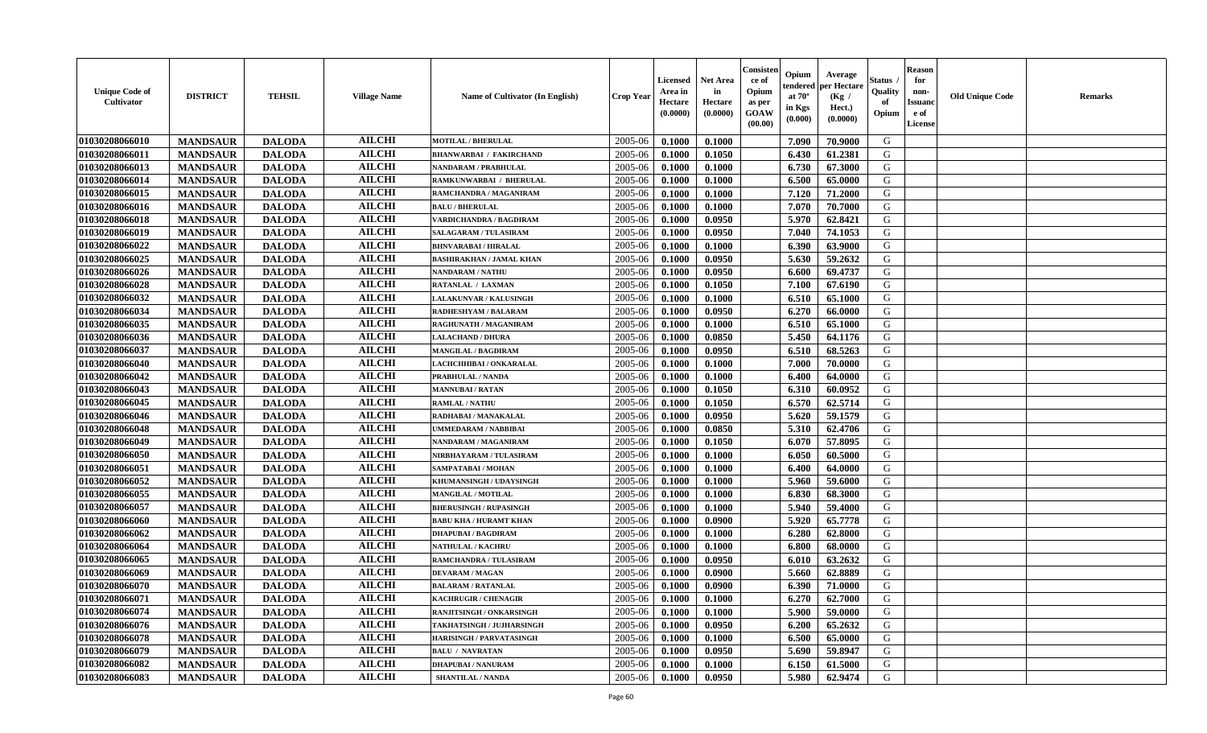| <b>Unique Code of</b><br>Cultivator | <b>DISTRICT</b> | <b>TEHSIL</b> | <b>Village Name</b> | Name of Cultivator (In English) | <b>Crop Year</b> | <b>Licensed</b><br>Area in<br>Hectare<br>(0.0000) | <b>Net Area</b><br>in<br>Hectare<br>(0.0000) | Consisten<br>ce of<br>Opium<br>as per<br><b>GOAW</b><br>(00.00) | Opium<br>endered<br>at $70^\circ$<br>in Kgs<br>(0.000) | Average<br>per Hectare<br>(Kg /<br>Hect.)<br>(0.0000) | Status<br>Quality<br>of<br>Opium | <b>Reason</b><br>for<br>non-<br><b>Issuanc</b><br>e of<br><b>License</b> | <b>Old Unique Code</b> | <b>Remarks</b> |
|-------------------------------------|-----------------|---------------|---------------------|---------------------------------|------------------|---------------------------------------------------|----------------------------------------------|-----------------------------------------------------------------|--------------------------------------------------------|-------------------------------------------------------|----------------------------------|--------------------------------------------------------------------------|------------------------|----------------|
| 01030208066010                      | <b>MANDSAUR</b> | <b>DALODA</b> | <b>AILCHI</b>       | <b>MOTILAL / BHERULAL</b>       | 2005-06          | 0.1000                                            | 0.1000                                       |                                                                 | 7.090                                                  | 70.9000                                               | G                                |                                                                          |                        |                |
| 01030208066011                      | <b>MANDSAUR</b> | <b>DALODA</b> | <b>AILCHI</b>       | <b>BHANWARBAI / FAKIRCHAND</b>  | 2005-06          | 0.1000                                            | 0.1050                                       |                                                                 | 6.430                                                  | 61.2381                                               | G                                |                                                                          |                        |                |
| 01030208066013                      | <b>MANDSAUR</b> | <b>DALODA</b> | <b>AILCHI</b>       | NANDARAM / PRABHULAL            | 2005-06          | 0.1000                                            | 0.1000                                       |                                                                 | 6.730                                                  | 67.3000                                               | G                                |                                                                          |                        |                |
| 01030208066014                      | <b>MANDSAUR</b> | <b>DALODA</b> | <b>AILCHI</b>       | RAMKUNWARBAI / BHERULAL         | 2005-06          | 0.1000                                            | 0.1000                                       |                                                                 | 6.500                                                  | 65.0000                                               | G                                |                                                                          |                        |                |
| 01030208066015                      | <b>MANDSAUR</b> | <b>DALODA</b> | <b>AILCHI</b>       | RAMCHANDRA / MAGANIRAM          | 2005-06          | 0.1000                                            | 0.1000                                       |                                                                 | 7.120                                                  | 71.2000                                               | G                                |                                                                          |                        |                |
| 01030208066016                      | <b>MANDSAUR</b> | <b>DALODA</b> | <b>AILCHI</b>       | <b>BALU / BHERULAL</b>          | 2005-06          | 0.1000                                            | 0.1000                                       |                                                                 | 7.070                                                  | 70.7000                                               | G                                |                                                                          |                        |                |
| 01030208066018                      | <b>MANDSAUR</b> | <b>DALODA</b> | <b>AILCHI</b>       | <b>VARDICHANDRA / BAGDIRAM</b>  | 2005-06          | 0.1000                                            | 0.0950                                       |                                                                 | 5.970                                                  | 62.8421                                               | G                                |                                                                          |                        |                |
| <b>01030208066019</b>               | <b>MANDSAUR</b> | <b>DALODA</b> | <b>AILCHI</b>       | <b>SALAGARAM / TULASIRAM</b>    | 2005-06          | 0.1000                                            | 0.0950                                       |                                                                 | 7.040                                                  | 74.1053                                               | G                                |                                                                          |                        |                |
| 01030208066022                      | <b>MANDSAUR</b> | <b>DALODA</b> | <b>AILCHI</b>       | <b>BHNVARABAI/HIRALAL</b>       | 2005-06          | 0.1000                                            | 0.1000                                       |                                                                 | 6.390                                                  | 63.9000                                               | G                                |                                                                          |                        |                |
| 01030208066025                      | <b>MANDSAUR</b> | <b>DALODA</b> | <b>AILCHI</b>       | <b>BASHIRAKHAN / JAMAL KHAN</b> | 2005-06          | 0.1000                                            | 0.0950                                       |                                                                 | 5.630                                                  | 59.2632                                               | G                                |                                                                          |                        |                |
| 01030208066026                      | <b>MANDSAUR</b> | <b>DALODA</b> | <b>AILCHI</b>       | <b>NANDARAM / NATHU</b>         | 2005-06          | 0.1000                                            | 0.0950                                       |                                                                 | 6.600                                                  | 69.4737                                               | G                                |                                                                          |                        |                |
| 01030208066028                      | <b>MANDSAUR</b> | <b>DALODA</b> | <b>AILCHI</b>       | RATANLAL / LAXMAN               | 2005-06          | 0.1000                                            | 0.1050                                       |                                                                 | 7.100                                                  | 67.6190                                               | G                                |                                                                          |                        |                |
| 01030208066032                      | <b>MANDSAUR</b> | <b>DALODA</b> | <b>AILCHI</b>       | <b>LALAKUNVAR / KALUSINGH</b>   | 2005-06          | 0.1000                                            | 0.1000                                       |                                                                 | 6.510                                                  | 65.1000                                               | G                                |                                                                          |                        |                |
| 01030208066034                      | <b>MANDSAUR</b> | <b>DALODA</b> | <b>AILCHI</b>       | <b>RADHESHYAM / BALARAM</b>     | 2005-06          | 0.1000                                            | 0.0950                                       |                                                                 | 6.270                                                  | 66.0000                                               | G                                |                                                                          |                        |                |
| 01030208066035                      | <b>MANDSAUR</b> | <b>DALODA</b> | <b>AILCHI</b>       | RAGHUNATH / MAGANIRAM           | 2005-06          | 0.1000                                            | 0.1000                                       |                                                                 | 6.510                                                  | 65.1000                                               | G                                |                                                                          |                        |                |
| 01030208066036                      | <b>MANDSAUR</b> | <b>DALODA</b> | <b>AILCHI</b>       | <b>LALACHAND / DHURA</b>        | 2005-06          | 0.1000                                            | 0.0850                                       |                                                                 | 5.450                                                  | 64.1176                                               | G                                |                                                                          |                        |                |
| 01030208066037                      | <b>MANDSAUR</b> | <b>DALODA</b> | <b>AILCHI</b>       | <b>MANGILAL / BAGDIRAM</b>      | 2005-06          | 0.1000                                            | 0.0950                                       |                                                                 | 6.510                                                  | 68.5263                                               | G                                |                                                                          |                        |                |
| 01030208066040                      | <b>MANDSAUR</b> | <b>DALODA</b> | <b>AILCHI</b>       | LACHCHHIBAI / ONKARALAL         | 2005-06          | 0.1000                                            | 0.1000                                       |                                                                 | 7.000                                                  | 70.0000                                               | G                                |                                                                          |                        |                |
| 01030208066042                      | <b>MANDSAUR</b> | <b>DALODA</b> | <b>AILCHI</b>       | PRABHULAL / NANDA               | 2005-06          | 0.1000                                            | 0.1000                                       |                                                                 | 6.400                                                  | 64.0000                                               | G                                |                                                                          |                        |                |
| 01030208066043                      | <b>MANDSAUR</b> | <b>DALODA</b> | <b>AILCHI</b>       | <b>MANNUBAI/RATAN</b>           | 2005-06          | 0.1000                                            | 0.1050                                       |                                                                 | 6.310                                                  | 60.0952                                               | G                                |                                                                          |                        |                |
| 01030208066045                      | <b>MANDSAUR</b> | <b>DALODA</b> | <b>AILCHI</b>       | <b>RAMLAL / NATHU</b>           | 2005-06          | 0.1000                                            | 0.1050                                       |                                                                 | 6.570                                                  | 62.5714                                               | G                                |                                                                          |                        |                |
| 01030208066046                      | <b>MANDSAUR</b> | <b>DALODA</b> | <b>AILCHI</b>       | RADHABAI / MANAKALAL            | 2005-06          | 0.1000                                            | 0.0950                                       |                                                                 | 5.620                                                  | 59.1579                                               | G                                |                                                                          |                        |                |
| 01030208066048                      | <b>MANDSAUR</b> | <b>DALODA</b> | <b>AILCHI</b>       | UMMEDARAM / NABBIBAI            | 2005-06          | 0.1000                                            | 0.0850                                       |                                                                 | 5.310                                                  | 62.4706                                               | G                                |                                                                          |                        |                |
| 01030208066049                      | <b>MANDSAUR</b> | <b>DALODA</b> | <b>AILCHI</b>       | NANDARAM / MAGANIRAM            | 2005-06          | 0.1000                                            | 0.1050                                       |                                                                 | 6.070                                                  | 57.8095                                               | G                                |                                                                          |                        |                |
| 01030208066050                      | <b>MANDSAUR</b> | <b>DALODA</b> | <b>AILCHI</b>       | NIRBHAYARAM / TULASIRAM         | 2005-06          | 0.1000                                            | 0.1000                                       |                                                                 | 6.050                                                  | 60.5000                                               | G                                |                                                                          |                        |                |
| 01030208066051                      | <b>MANDSAUR</b> | <b>DALODA</b> | <b>AILCHI</b>       | SAMPATABAI / MOHAN              | 2005-06          | 0.1000                                            | 0.1000                                       |                                                                 | 6.400                                                  | 64.0000                                               | G                                |                                                                          |                        |                |
| 01030208066052                      | <b>MANDSAUR</b> | <b>DALODA</b> | <b>AILCHI</b>       | KHUMANSINGH / UDAYSINGH         | 2005-06          | 0.1000                                            | 0.1000                                       |                                                                 | 5.960                                                  | 59.6000                                               | G                                |                                                                          |                        |                |
| 01030208066055                      | <b>MANDSAUR</b> | <b>DALODA</b> | <b>AILCHI</b>       | <b>MANGILAL / MOTILAL</b>       | 2005-06          | 0.1000                                            | 0.1000                                       |                                                                 | 6.830                                                  | 68.3000                                               | G                                |                                                                          |                        |                |
| 01030208066057                      | <b>MANDSAUR</b> | <b>DALODA</b> | <b>AILCHI</b>       | <b>BHERUSINGH / RUPASINGH</b>   | 2005-06          | 0.1000                                            | 0.1000                                       |                                                                 | 5.940                                                  | 59.4000                                               | G                                |                                                                          |                        |                |
| 01030208066060                      | <b>MANDSAUR</b> | <b>DALODA</b> | <b>AILCHI</b>       | <b>BABU KHA / HURAMT KHAN</b>   | 2005-06          | 0.1000                                            | 0.0900                                       |                                                                 | 5.920                                                  | 65.7778                                               | G                                |                                                                          |                        |                |
| 01030208066062                      | <b>MANDSAUR</b> | <b>DALODA</b> | <b>AILCHI</b>       | <b>DHAPUBAI/BAGDIRAM</b>        | 2005-06          | 0.1000                                            | 0.1000                                       |                                                                 | 6.280                                                  | 62.8000                                               | G                                |                                                                          |                        |                |
| 01030208066064                      | <b>MANDSAUR</b> | <b>DALODA</b> | <b>AILCHI</b>       | <b>NATHULAL / KACHRU</b>        | 2005-06          | 0.1000                                            | 0.1000                                       |                                                                 | 6.800                                                  | 68.0000                                               | ${\bf G}$                        |                                                                          |                        |                |
| 01030208066065                      | <b>MANDSAUR</b> | <b>DALODA</b> | <b>AILCHI</b>       | RAMCHANDRA / TULASIRAM          | 2005-06          | 0.1000                                            | 0.0950                                       |                                                                 | 6.010                                                  | 63.2632                                               | G                                |                                                                          |                        |                |
| 01030208066069                      | <b>MANDSAUR</b> | <b>DALODA</b> | <b>AILCHI</b>       | <b>DEVARAM / MAGAN</b>          | 2005-06          | 0.1000                                            | 0.0900                                       |                                                                 | 5.660                                                  | 62.8889                                               | G                                |                                                                          |                        |                |
| 01030208066070                      | <b>MANDSAUR</b> | <b>DALODA</b> | <b>AILCHI</b>       | <b>BALARAM / RATANLAL</b>       | 2005-06          | 0.1000                                            | 0.0900                                       |                                                                 | 6.390                                                  | 71.0000                                               | G                                |                                                                          |                        |                |
| 01030208066071                      | <b>MANDSAUR</b> | <b>DALODA</b> | <b>AILCHI</b>       | <b>KACHRUGIR / CHENAGIR</b>     | 2005-06          | 0.1000                                            | 0.1000                                       |                                                                 | 6.270                                                  | 62.7000                                               | G                                |                                                                          |                        |                |
| 01030208066074                      | <b>MANDSAUR</b> | <b>DALODA</b> | <b>AILCHI</b>       | RANJITSINGH / ONKARSINGH        | 2005-06          | 0.1000                                            | 0.1000                                       |                                                                 | 5.900                                                  | 59.0000                                               | G                                |                                                                          |                        |                |
| 01030208066076                      | <b>MANDSAUR</b> | <b>DALODA</b> | <b>AILCHI</b>       | TAKHATSINGH / JUJHARSINGH       | 2005-06          | 0.1000                                            | 0.0950                                       |                                                                 | 6.200                                                  | 65.2632                                               | G                                |                                                                          |                        |                |
| 01030208066078                      | <b>MANDSAUR</b> | <b>DALODA</b> | <b>AILCHI</b>       | <b>HARISINGH / PARVATASINGH</b> | 2005-06          | 0.1000                                            | 0.1000                                       |                                                                 | 6.500                                                  | 65.0000                                               | G                                |                                                                          |                        |                |
| 01030208066079                      | <b>MANDSAUR</b> | <b>DALODA</b> | <b>AILCHI</b>       | <b>BALU / NAVRATAN</b>          | 2005-06          | 0.1000                                            | 0.0950                                       |                                                                 | 5.690                                                  | 59.8947                                               | ${\bf G}$                        |                                                                          |                        |                |
| 01030208066082                      | <b>MANDSAUR</b> | <b>DALODA</b> | <b>AILCHI</b>       | <b>DHAPUBAI/NANURAM</b>         | 2005-06          | 0.1000                                            | 0.1000                                       |                                                                 | 6.150                                                  | 61.5000                                               | G                                |                                                                          |                        |                |
| 01030208066083                      | <b>MANDSAUR</b> | <b>DALODA</b> | <b>AILCHI</b>       | <b>SHANTILAL / NANDA</b>        | 2005-06          | 0.1000                                            | 0.0950                                       |                                                                 | 5.980                                                  | 62.9474                                               | G                                |                                                                          |                        |                |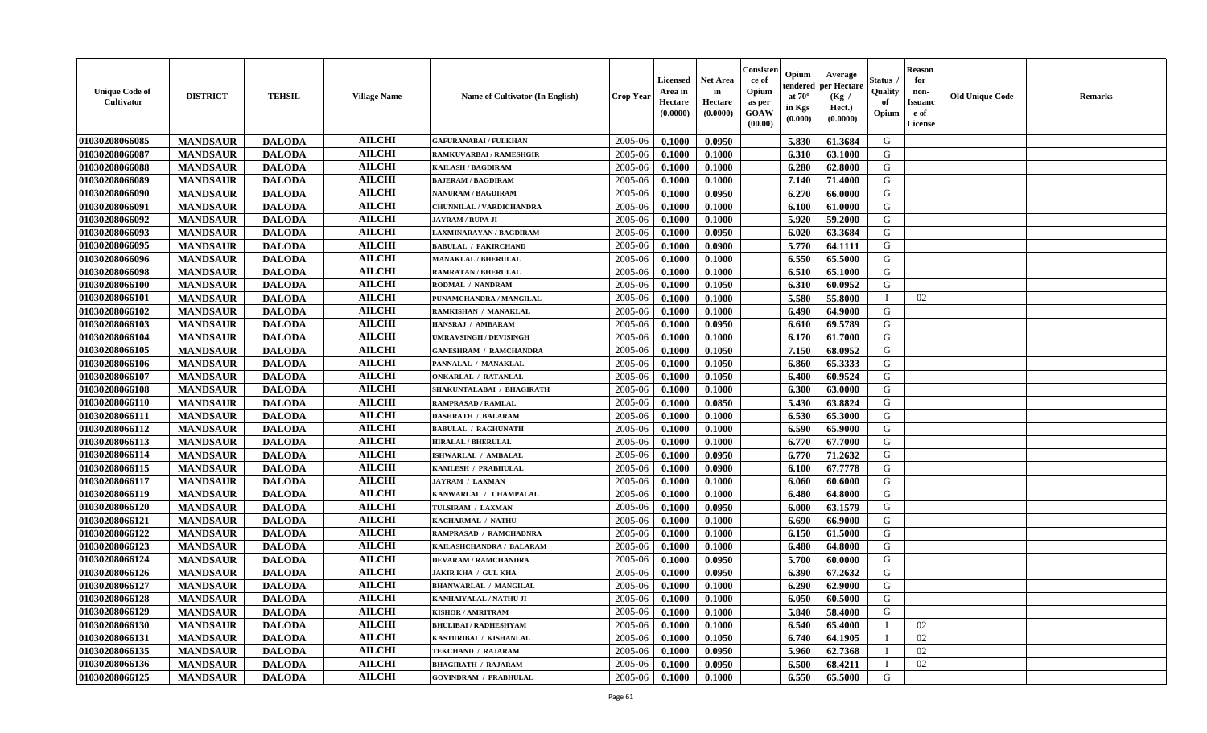| <b>Unique Code of</b><br>Cultivator | <b>DISTRICT</b> | <b>TEHSIL</b> | <b>Village Name</b> | <b>Name of Cultivator (In English)</b> | <b>Crop Year</b> | Licensed<br>Area in<br>Hectare<br>(0.0000) | Net Area<br>in<br>Hectare<br>(0.0000) | Consister<br>ce of<br>Opium<br>as per<br><b>GOAW</b><br>(00.00) | Opium<br>endered<br>at $70^{\circ}$<br>in Kgs<br>(0.000) | Average<br>per Hectare<br>(Kg /<br>Hect.)<br>(0.0000) | Status<br>Quality<br>of<br>Opium | <b>Reason</b><br>for<br>non-<br><b>Issuano</b><br>e of<br>License | <b>Old Unique Code</b> | <b>Remarks</b> |
|-------------------------------------|-----------------|---------------|---------------------|----------------------------------------|------------------|--------------------------------------------|---------------------------------------|-----------------------------------------------------------------|----------------------------------------------------------|-------------------------------------------------------|----------------------------------|-------------------------------------------------------------------|------------------------|----------------|
| 01030208066085                      | <b>MANDSAUR</b> | <b>DALODA</b> | <b>AILCHI</b>       | <b>GAFURANABAI / FULKHAN</b>           | 2005-06          | 0.1000                                     | 0.0950                                |                                                                 | 5.830                                                    | 61.3684                                               | G                                |                                                                   |                        |                |
| 01030208066087                      | <b>MANDSAUR</b> | <b>DALODA</b> | <b>AILCHI</b>       | <b>RAMKUVARBAI/RAMESHGIR</b>           | 2005-06          | 0.1000                                     | 0.1000                                |                                                                 | 6.310                                                    | 63.1000                                               | G                                |                                                                   |                        |                |
| 01030208066088                      | <b>MANDSAUR</b> | <b>DALODA</b> | <b>AILCHI</b>       | <b>KAILASH / BAGDIRAM</b>              | 2005-06          | 0.1000                                     | 0.1000                                |                                                                 | 6.280                                                    | 62.8000                                               | G                                |                                                                   |                        |                |
| 01030208066089                      | <b>MANDSAUR</b> | <b>DALODA</b> | <b>AILCHI</b>       | <b>BAJERAM / BAGDIRAM</b>              | 2005-06          | 0.1000                                     | 0.1000                                |                                                                 | 7.140                                                    | 71.4000                                               | G                                |                                                                   |                        |                |
| 01030208066090                      | <b>MANDSAUR</b> | <b>DALODA</b> | <b>AILCHI</b>       | <b>NANURAM / BAGDIRAM</b>              | 2005-06          | 0.1000                                     | 0.0950                                |                                                                 | 6.270                                                    | 66.0000                                               | G                                |                                                                   |                        |                |
| 01030208066091                      | <b>MANDSAUR</b> | <b>DALODA</b> | <b>AILCHI</b>       | CHUNNILAL / VARDICHANDRA               | 2005-06          | 0.1000                                     | 0.1000                                |                                                                 | 6.100                                                    | 61.0000                                               | G                                |                                                                   |                        |                |
| 01030208066092                      | <b>MANDSAUR</b> | <b>DALODA</b> | <b>AILCHI</b>       | <b>JAYRAM / RUPA JI</b>                | 2005-06          | 0.1000                                     | 0.1000                                |                                                                 | 5.920                                                    | 59.2000                                               | G                                |                                                                   |                        |                |
| 01030208066093                      | <b>MANDSAUR</b> | <b>DALODA</b> | <b>AILCHI</b>       | LAXMINARAYAN / BAGDIRAM                | 2005-06          | 0.1000                                     | 0.0950                                |                                                                 | 6.020                                                    | 63.3684                                               | G                                |                                                                   |                        |                |
| 01030208066095                      | <b>MANDSAUR</b> | <b>DALODA</b> | <b>AILCHI</b>       | <b>BABULAL / FAKIRCHAND</b>            | 2005-06          | 0.1000                                     | 0.0900                                |                                                                 | 5.770                                                    | 64.1111                                               | G                                |                                                                   |                        |                |
| 01030208066096                      | <b>MANDSAUR</b> | <b>DALODA</b> | <b>AILCHI</b>       | <b>MANAKLAL / BHERULAL</b>             | 2005-06          | 0.1000                                     | 0.1000                                |                                                                 | 6.550                                                    | 65.5000                                               | G                                |                                                                   |                        |                |
| 01030208066098                      | <b>MANDSAUR</b> | <b>DALODA</b> | <b>AILCHI</b>       | <b>RAMRATAN / BHERULAL</b>             | 2005-06          | 0.1000                                     | 0.1000                                |                                                                 | 6.510                                                    | 65.1000                                               | G                                |                                                                   |                        |                |
| 01030208066100                      | <b>MANDSAUR</b> | <b>DALODA</b> | <b>AILCHI</b>       | RODMAL / NANDRAM                       | 2005-06          | 0.1000                                     | 0.1050                                |                                                                 | 6.310                                                    | 60.0952                                               | G                                |                                                                   |                        |                |
| 01030208066101                      | <b>MANDSAUR</b> | <b>DALODA</b> | <b>AILCHI</b>       | PUNAMCHANDRA / MANGILAL                | 2005-06          | 0.1000                                     | 0.1000                                |                                                                 | 5.580                                                    | 55.8000                                               | $\blacksquare$                   | 02                                                                |                        |                |
| 01030208066102                      | <b>MANDSAUR</b> | <b>DALODA</b> | <b>AILCHI</b>       | RAMKISHAN / MANAKLAL                   | 2005-06          | 0.1000                                     | 0.1000                                |                                                                 | 6.490                                                    | 64.9000                                               | G                                |                                                                   |                        |                |
| 01030208066103                      | <b>MANDSAUR</b> | <b>DALODA</b> | <b>AILCHI</b>       | HANSRAJ / AMBARAM                      | 2005-06          | 0.1000                                     | 0.0950                                |                                                                 | 6.610                                                    | 69.5789                                               | G                                |                                                                   |                        |                |
| 01030208066104                      | <b>MANDSAUR</b> | <b>DALODA</b> | <b>AILCHI</b>       | <b>UMRAVSINGH / DEVISINGH</b>          | 2005-06          | 0.1000                                     | 0.1000                                |                                                                 | 6.170                                                    | 61.7000                                               | G                                |                                                                   |                        |                |
| 01030208066105                      | <b>MANDSAUR</b> | <b>DALODA</b> | <b>AILCHI</b>       | <b>GANESHRAM / RAMCHANDRA</b>          | 2005-06          | 0.1000                                     | 0.1050                                |                                                                 | 7.150                                                    | 68.0952                                               | G                                |                                                                   |                        |                |
| 01030208066106                      | <b>MANDSAUR</b> | <b>DALODA</b> | <b>AILCHI</b>       | PANNALAL / MANAKLAL                    | 2005-06          | 0.1000                                     | 0.1050                                |                                                                 | 6.860                                                    | 65.3333                                               | G                                |                                                                   |                        |                |
| 01030208066107                      | <b>MANDSAUR</b> | <b>DALODA</b> | <b>AILCHI</b>       | <b>ONKARLAL / RATANLAL</b>             | 2005-06          | 0.1000                                     | 0.1050                                |                                                                 | 6.400                                                    | 60.9524                                               | G                                |                                                                   |                        |                |
| 01030208066108                      | <b>MANDSAUR</b> | <b>DALODA</b> | <b>AILCHI</b>       | <b>SHAKUNTALABAI / BHAGIRATH</b>       | 2005-06          | 0.1000                                     | 0.1000                                |                                                                 | 6.300                                                    | 63.0000                                               | G                                |                                                                   |                        |                |
| 01030208066110                      | <b>MANDSAUR</b> | <b>DALODA</b> | <b>AILCHI</b>       | <b>RAMPRASAD / RAMLAL</b>              | 2005-06          | 0.1000                                     | 0.0850                                |                                                                 | 5.430                                                    | 63.8824                                               | G                                |                                                                   |                        |                |
| 01030208066111                      | <b>MANDSAUR</b> | <b>DALODA</b> | <b>AILCHI</b>       | <b>DASHRATH / BALARAM</b>              | 2005-06          | 0.1000                                     | 0.1000                                |                                                                 | 6.530                                                    | 65.3000                                               | G                                |                                                                   |                        |                |
| 01030208066112                      | <b>MANDSAUR</b> | <b>DALODA</b> | <b>AILCHI</b>       | <b>BABULAL / RAGHUNATH</b>             | 2005-06          | 0.1000                                     | 0.1000                                |                                                                 | 6.590                                                    | 65.9000                                               | G                                |                                                                   |                        |                |
| 01030208066113                      | <b>MANDSAUR</b> | <b>DALODA</b> | <b>AILCHI</b>       | <b>HIRALAL / BHERULAL</b>              | 2005-06          | 0.1000                                     | 0.1000                                |                                                                 | 6.770                                                    | 67.7000                                               | G                                |                                                                   |                        |                |
| 01030208066114                      | <b>MANDSAUR</b> | <b>DALODA</b> | <b>AILCHI</b>       | ISHWARLAL / AMBALAL                    | 2005-06          | 0.1000                                     | 0.0950                                |                                                                 | 6.770                                                    | 71.2632                                               | G                                |                                                                   |                        |                |
| 01030208066115                      | <b>MANDSAUR</b> | <b>DALODA</b> | <b>AILCHI</b>       | KAMLESH / PRABHULAL                    | 2005-06          | 0.1000                                     | 0.0900                                |                                                                 | 6.100                                                    | 67.7778                                               | G                                |                                                                   |                        |                |
| 01030208066117                      | <b>MANDSAUR</b> | <b>DALODA</b> | <b>AILCHI</b>       | <b>JAYRAM / LAXMAN</b>                 | 2005-06          | 0.1000                                     | 0.1000                                |                                                                 | 6.060                                                    | 60.6000                                               | G                                |                                                                   |                        |                |
| 01030208066119                      | <b>MANDSAUR</b> | <b>DALODA</b> | <b>AILCHI</b>       | KANWARLAL / CHAMPALAL                  | 2005-06          | 0.1000                                     | 0.1000                                |                                                                 | 6.480                                                    | 64.8000                                               | G                                |                                                                   |                        |                |
| 01030208066120                      | <b>MANDSAUR</b> | <b>DALODA</b> | <b>AILCHI</b>       | TULSIRAM / LAXMAN                      | 2005-06          | 0.1000                                     | 0.0950                                |                                                                 | 6.000                                                    | 63.1579                                               | G                                |                                                                   |                        |                |
| 01030208066121                      | <b>MANDSAUR</b> | <b>DALODA</b> | <b>AILCHI</b>       | KACHARMAL / NATHU                      | 2005-06          | 0.1000                                     | 0.1000                                |                                                                 | 6.690                                                    | 66.9000                                               | G                                |                                                                   |                        |                |
| 01030208066122                      | <b>MANDSAUR</b> | <b>DALODA</b> | <b>AILCHI</b>       | RAMPRASAD / RAMCHADNRA                 | 2005-06          | 0.1000                                     | 0.1000                                |                                                                 | 6.150                                                    | 61.5000                                               | G                                |                                                                   |                        |                |
| 01030208066123                      | <b>MANDSAUR</b> | <b>DALODA</b> | <b>AILCHI</b>       | KAILASHCHANDRA / BALARAM               | 2005-06          | 0.1000                                     | 0.1000                                |                                                                 | 6.480                                                    | 64.8000                                               | G                                |                                                                   |                        |                |
| 01030208066124                      | <b>MANDSAUR</b> | <b>DALODA</b> | <b>AILCHI</b>       | <b>DEVARAM / RAMCHANDRA</b>            | 2005-06          | 0.1000                                     | 0.0950                                |                                                                 | 5.700                                                    | 60.0000                                               | G                                |                                                                   |                        |                |
| 01030208066126                      | <b>MANDSAUR</b> | <b>DALODA</b> | <b>AILCHI</b>       | <b>JAKIR KHA / GUL KHA</b>             | 2005-06          | 0.1000                                     | 0.0950                                |                                                                 | 6.390                                                    | 67.2632                                               | G                                |                                                                   |                        |                |
| 01030208066127                      | <b>MANDSAUR</b> | <b>DALODA</b> | <b>AILCHI</b>       | <b>BHANWARLAL / MANGILAL</b>           | 2005-06          | 0.1000                                     | 0.1000                                |                                                                 | 6.290                                                    | 62.9000                                               | G                                |                                                                   |                        |                |
| 01030208066128                      | <b>MANDSAUR</b> | <b>DALODA</b> | <b>AILCHI</b>       | KANHAIYALAL / NATHU JI                 | 2005-06          | 0.1000                                     | 0.1000                                |                                                                 | 6.050                                                    | 60.5000                                               | G                                |                                                                   |                        |                |
| 01030208066129                      | <b>MANDSAUR</b> | <b>DALODA</b> | <b>AILCHI</b>       | <b>KISHOR / AMRITRAM</b>               | 2005-06          | 0.1000                                     | 0.1000                                |                                                                 | 5.840                                                    | 58.4000                                               | G                                |                                                                   |                        |                |
| 01030208066130                      | <b>MANDSAUR</b> | <b>DALODA</b> | <b>AILCHI</b>       | <b>BHULIBAI/RADHESHYAM</b>             | 2005-06          | 0.1000                                     | 0.1000                                |                                                                 | 6.540                                                    | 65.4000                                               |                                  | 02                                                                |                        |                |
| 01030208066131                      | <b>MANDSAUR</b> | <b>DALODA</b> | <b>AILCHI</b>       | KASTURIBAI / KISHANLAL                 | 2005-06          | 0.1000                                     | 0.1050                                |                                                                 | 6.740                                                    | 64.1905                                               |                                  | 02                                                                |                        |                |
| 01030208066135                      | <b>MANDSAUR</b> | <b>DALODA</b> | <b>AILCHI</b>       | TEKCHAND / RAJARAM                     | 2005-06          | 0.1000                                     | 0.0950                                |                                                                 | 5.960                                                    | 62.7368                                               |                                  | 02                                                                |                        |                |
| 01030208066136                      | <b>MANDSAUR</b> | <b>DALODA</b> | <b>AILCHI</b>       | <b>BHAGIRATH / RAJARAM</b>             | 2005-06          | 0.1000                                     | 0.0950                                |                                                                 | 6.500                                                    | 68.4211                                               |                                  | 02                                                                |                        |                |
| 01030208066125                      | <b>MANDSAUR</b> | <b>DALODA</b> | <b>AILCHI</b>       | <b>GOVINDRAM / PRABHULAL</b>           | 2005-06          | 0.1000                                     | 0.1000                                |                                                                 | 6.550                                                    | 65.5000                                               | G                                |                                                                   |                        |                |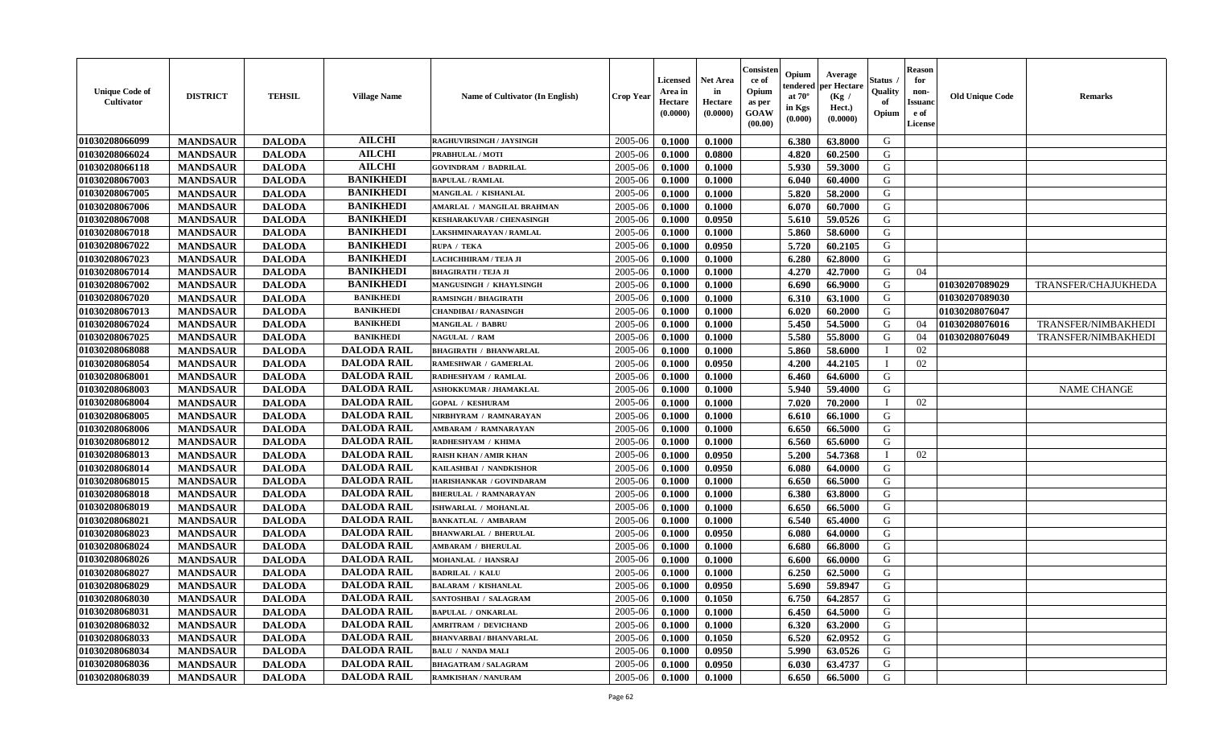| <b>Unique Code of</b><br>Cultivator | <b>DISTRICT</b> | <b>TEHSIL</b> | <b>Village Name</b> | <b>Name of Cultivator (In English)</b> | <b>Crop Year</b> | Licensed<br>Area in<br>Hectare<br>(0.0000) | <b>Net Area</b><br>in<br>Hectare<br>(0.0000) | Consister<br>ce of<br>Opium<br>as per<br>GOAW<br>(00.00) | Opium<br>tendered<br>at $70^{\circ}$<br>in Kgs<br>$(\mathbf{0.000})$ | Average<br>per Hectare<br>(Kg /<br>Hect.)<br>(0.0000) | Status<br>Quality<br>of<br>Opium | <b>Reason</b><br>for<br>non-<br><b>Issuano</b><br>e of<br>License | <b>Old Unique Code</b> | <b>Remarks</b>             |
|-------------------------------------|-----------------|---------------|---------------------|----------------------------------------|------------------|--------------------------------------------|----------------------------------------------|----------------------------------------------------------|----------------------------------------------------------------------|-------------------------------------------------------|----------------------------------|-------------------------------------------------------------------|------------------------|----------------------------|
| 01030208066099                      | <b>MANDSAUR</b> | <b>DALODA</b> | <b>AILCHI</b>       | RAGHUVIRSINGH / JAYSINGH               | 2005-06          | 0.1000                                     | 0.1000                                       |                                                          | 6.380                                                                | 63.8000                                               | G                                |                                                                   |                        |                            |
| 01030208066024                      | <b>MANDSAUR</b> | <b>DALODA</b> | <b>AILCHI</b>       | PRABHULAL / MOTI                       | 2005-06          | 0.1000                                     | 0.0800                                       |                                                          | 4.820                                                                | 60.2500                                               | G                                |                                                                   |                        |                            |
| 01030208066118                      | <b>MANDSAUR</b> | <b>DALODA</b> | <b>AILCHI</b>       | <b>GOVINDRAM / BADRILAL</b>            | 2005-06          | 0.1000                                     | 0.1000                                       |                                                          | 5.930                                                                | 59.3000                                               | G                                |                                                                   |                        |                            |
| 01030208067003                      | <b>MANDSAUR</b> | <b>DALODA</b> | <b>BANIKHEDI</b>    | <b>BAPULAL / RAMLAL</b>                | 2005-06          | 0.1000                                     | 0.1000                                       |                                                          | 6.040                                                                | 60.4000                                               | G                                |                                                                   |                        |                            |
| 01030208067005                      | <b>MANDSAUR</b> | <b>DALODA</b> | <b>BANIKHEDI</b>    | MANGILAL / KISHANLAL                   | 2005-06          | 0.1000                                     | 0.1000                                       |                                                          | 5.820                                                                | 58.2000                                               | G                                |                                                                   |                        |                            |
| 01030208067006                      | <b>MANDSAUR</b> | <b>DALODA</b> | <b>BANIKHEDI</b>    | AMARLAL / MANGILAL BRAHMAN             | 2005-06          | 0.1000                                     | 0.1000                                       |                                                          | 6.070                                                                | 60.7000                                               | G                                |                                                                   |                        |                            |
| 01030208067008                      | <b>MANDSAUR</b> | <b>DALODA</b> | <b>BANIKHEDI</b>    | <b>KESHARAKUVAR / CHENASINGH</b>       | 2005-06          | 0.1000                                     | 0.0950                                       |                                                          | 5.610                                                                | 59.0526                                               | G                                |                                                                   |                        |                            |
| 01030208067018                      | <b>MANDSAUR</b> | <b>DALODA</b> | <b>BANIKHEDI</b>    | LAKSHMINARAYAN / RAMLAL                | 2005-06          | 0.1000                                     | 0.1000                                       |                                                          | 5.860                                                                | 58.6000                                               | G                                |                                                                   |                        |                            |
| 01030208067022                      | <b>MANDSAUR</b> | <b>DALODA</b> | <b>BANIKHEDI</b>    | RUPA / TEKA                            | 2005-06          | 0.1000                                     | 0.0950                                       |                                                          | 5.720                                                                | 60.2105                                               | G                                |                                                                   |                        |                            |
| 01030208067023                      | <b>MANDSAUR</b> | <b>DALODA</b> | <b>BANIKHEDI</b>    | LACHCHHIRAM / TEJA JI                  | 2005-06          | 0.1000                                     | 0.1000                                       |                                                          | 6.280                                                                | 62.8000                                               | G                                |                                                                   |                        |                            |
| 01030208067014                      | <b>MANDSAUR</b> | <b>DALODA</b> | <b>BANIKHEDI</b>    | <b>BHAGIRATH / TEJA JI</b>             | 2005-06          | 0.1000                                     | 0.1000                                       |                                                          | 4.270                                                                | 42.7000                                               | G                                | 04                                                                |                        |                            |
| 01030208067002                      | <b>MANDSAUR</b> | <b>DALODA</b> | <b>BANIKHEDI</b>    | <b>MANGUSINGH / KHAYLSINGH</b>         | 2005-06          | 0.1000                                     | 0.1000                                       |                                                          | 6.690                                                                | 66.9000                                               | G                                |                                                                   | 01030207089029         | TRANSFER/CHAJUKHEDA        |
| 01030208067020                      | <b>MANDSAUR</b> | <b>DALODA</b> | <b>BANIKHEDI</b>    | <b>RAMSINGH / BHAGIRATH</b>            | 2005-06          | 0.1000                                     | 0.1000                                       |                                                          | 6.310                                                                | 63.1000                                               | G                                |                                                                   | 01030207089030         |                            |
| 01030208067013                      | <b>MANDSAUR</b> | <b>DALODA</b> | <b>BANIKHEDI</b>    | <b>CHANDIBAI / RANASINGH</b>           | 2005-06          | 0.1000                                     | 0.1000                                       |                                                          | 6.020                                                                | 60.2000                                               | G                                |                                                                   | 01030208076047         |                            |
| 01030208067024                      | <b>MANDSAUR</b> | <b>DALODA</b> | <b>BANIKHEDI</b>    | <b>MANGILAL / BABRU</b>                | 2005-06          | 0.1000                                     | 0.1000                                       |                                                          | 5.450                                                                | 54.5000                                               | G                                | 04                                                                | 01030208076016         | TRANSFER/NIMBAKHEDI        |
| 01030208067025                      | <b>MANDSAUR</b> | <b>DALODA</b> | <b>BANIKHEDI</b>    | <b>NAGULAL / RAM</b>                   | 2005-06          | 0.1000                                     | 0.1000                                       |                                                          | 5.580                                                                | 55.8000                                               | G                                | 04                                                                | 01030208076049         | <b>TRANSFER/NIMBAKHEDI</b> |
| 01030208068088                      | <b>MANDSAUR</b> | <b>DALODA</b> | <b>DALODA RAIL</b>  | <b>BHAGIRATH / BHANWARLAL</b>          | 2005-06          | 0.1000                                     | 0.1000                                       |                                                          | 5.860                                                                | 58.6000                                               |                                  | 02                                                                |                        |                            |
| 01030208068054                      | <b>MANDSAUR</b> | <b>DALODA</b> | <b>DALODA RAIL</b>  | <b>RAMESHWAR / GAMERLAL</b>            | 2005-06          | 0.1000                                     | 0.0950                                       |                                                          | 4.200                                                                | 44.2105                                               | - 1                              | 02                                                                |                        |                            |
| 01030208068001                      | <b>MANDSAUR</b> | <b>DALODA</b> | <b>DALODA RAIL</b>  | RADHESHYAM / RAMLAL                    | 2005-06          | 0.1000                                     | 0.1000                                       |                                                          | 6.460                                                                | 64.6000                                               | G                                |                                                                   |                        |                            |
| 01030208068003                      | <b>MANDSAUR</b> | <b>DALODA</b> | <b>DALODA RAIL</b>  | <b>ASHOKKUMAR / JHAMAKLAL</b>          | 2005-06          | 0.1000                                     | 0.1000                                       |                                                          | 5.940                                                                | 59.4000                                               | G                                |                                                                   |                        | <b>NAME CHANGE</b>         |
| 01030208068004                      | <b>MANDSAUR</b> | <b>DALODA</b> | <b>DALODA RAIL</b>  | <b>GOPAL / KESHURAM</b>                | 2005-06          | 0.1000                                     | 0.1000                                       |                                                          | 7.020                                                                | 70.2000                                               |                                  | 02                                                                |                        |                            |
| 01030208068005                      | <b>MANDSAUR</b> | <b>DALODA</b> | <b>DALODA RAIL</b>  | NIRBHYRAM / RAMNARAYAN                 | 2005-06          | 0.1000                                     | 0.1000                                       |                                                          | 6.610                                                                | 66.1000                                               | G                                |                                                                   |                        |                            |
| 01030208068006                      | <b>MANDSAUR</b> | <b>DALODA</b> | <b>DALODA RAIL</b>  | AMBARAM / RAMNARAYAN                   | 2005-06          | 0.1000                                     | 0.1000                                       |                                                          | 6.650                                                                | 66.5000                                               | G                                |                                                                   |                        |                            |
| 01030208068012                      | <b>MANDSAUR</b> | <b>DALODA</b> | <b>DALODA RAIL</b>  | RADHESHYAM / KHIMA                     | 2005-06          | 0.1000                                     | 0.1000                                       |                                                          | 6.560                                                                | 65.6000                                               | G                                |                                                                   |                        |                            |
| 01030208068013                      | <b>MANDSAUR</b> | <b>DALODA</b> | <b>DALODA RAIL</b>  | <b>RAISH KHAN / AMIR KHAN</b>          | 2005-06          | 0.1000                                     | 0.0950                                       |                                                          | 5.200                                                                | 54.7368                                               |                                  | 02                                                                |                        |                            |
| 01030208068014                      | <b>MANDSAUR</b> | <b>DALODA</b> | <b>DALODA RAIL</b>  | KAILASHBAI / NANDKISHOR                | 2005-06          | 0.1000                                     | 0.0950                                       |                                                          | 6.080                                                                | 64.0000                                               | G                                |                                                                   |                        |                            |
| 01030208068015                      | <b>MANDSAUR</b> | <b>DALODA</b> | <b>DALODA RAIL</b>  | HARISHANKAR / GOVINDARAM               | 2005-06          | 0.1000                                     | 0.1000                                       |                                                          | 6.650                                                                | 66.5000                                               | G                                |                                                                   |                        |                            |
| 01030208068018                      | <b>MANDSAUR</b> | <b>DALODA</b> | <b>DALODA RAIL</b>  | <b>BHERULAL / RAMNARAYAN</b>           | 2005-06          | 0.1000                                     | 0.1000                                       |                                                          | 6.380                                                                | 63.8000                                               | G                                |                                                                   |                        |                            |
| 01030208068019                      | <b>MANDSAUR</b> | <b>DALODA</b> | <b>DALODA RAIL</b>  | ISHWARLAL / MOHANLAL                   | 2005-06          | 0.1000                                     | 0.1000                                       |                                                          | 6.650                                                                | 66.5000                                               | G                                |                                                                   |                        |                            |
| 01030208068021                      | <b>MANDSAUR</b> | <b>DALODA</b> | <b>DALODA RAIL</b>  | <b>BANKATLAL / AMBARAM</b>             | 2005-06          | 0.1000                                     | 0.1000                                       |                                                          | 6.540                                                                | 65.4000                                               | G                                |                                                                   |                        |                            |
| 01030208068023                      | <b>MANDSAUR</b> | <b>DALODA</b> | <b>DALODA RAIL</b>  | <b>BHANWARLAL / BHERULAL</b>           | 2005-06          | 0.1000                                     | 0.0950                                       |                                                          | 6.080                                                                | 64.0000                                               | G                                |                                                                   |                        |                            |
| 01030208068024                      | <b>MANDSAUR</b> | <b>DALODA</b> | <b>DALODA RAIL</b>  | <b>AMBARAM / BHERULAL</b>              | 2005-06          | 0.1000                                     | 0.1000                                       |                                                          | 6.680                                                                | 66.8000                                               | G                                |                                                                   |                        |                            |
| 01030208068026                      | <b>MANDSAUR</b> | <b>DALODA</b> | <b>DALODA RAIL</b>  | MOHANLAL / HANSRAJ                     | 2005-06          | 0.1000                                     | 0.1000                                       |                                                          | 6.600                                                                | 66.0000                                               | G                                |                                                                   |                        |                            |
| 01030208068027                      | <b>MANDSAUR</b> | <b>DALODA</b> | <b>DALODA RAIL</b>  | <b>BADRILAL / KALU</b>                 | 2005-06          | 0.1000                                     | 0.1000                                       |                                                          | 6.250                                                                | 62.5000                                               | G                                |                                                                   |                        |                            |
| 01030208068029                      | <b>MANDSAUR</b> | <b>DALODA</b> | <b>DALODA RAIL</b>  | <b>BALARAM / KISHANLAL</b>             | 2005-06          | 0.1000                                     | 0.0950                                       |                                                          | 5.690                                                                | 59.8947                                               | G                                |                                                                   |                        |                            |
| 01030208068030                      | <b>MANDSAUR</b> | <b>DALODA</b> | DALODA RAIL         | <b>SANTOSHBAI / SALAGRAM</b>           | $2005 - 06$      | 0.1000                                     | 0.1050                                       |                                                          | 6.750                                                                | 64.2857                                               | G                                |                                                                   |                        |                            |
| 01030208068031                      | <b>MANDSAUR</b> | <b>DALODA</b> | <b>DALODA RAIL</b>  | <b>BAPULAL / ONKARLAL</b>              | 2005-06          | 0.1000                                     | 0.1000                                       |                                                          | 6.450                                                                | 64.5000                                               | G                                |                                                                   |                        |                            |
| 01030208068032                      | <b>MANDSAUR</b> | <b>DALODA</b> | <b>DALODA RAIL</b>  | <b>AMRITRAM / DEVICHAND</b>            | 2005-06          | 0.1000                                     | 0.1000                                       |                                                          | 6.320                                                                | 63.2000                                               | G                                |                                                                   |                        |                            |
| 01030208068033                      | <b>MANDSAUR</b> | <b>DALODA</b> | <b>DALODA RAIL</b>  | <b>BHANVARBAI/BHANVARLAL</b>           | 2005-06          | 0.1000                                     | 0.1050                                       |                                                          | 6.520                                                                | 62.0952                                               | G                                |                                                                   |                        |                            |
| 01030208068034                      | <b>MANDSAUR</b> | <b>DALODA</b> | <b>DALODA RAIL</b>  | <b>BALU / NANDA MALI</b>               | 2005-06          | 0.1000                                     | 0.0950                                       |                                                          | 5.990                                                                | 63.0526                                               | G                                |                                                                   |                        |                            |
| 01030208068036                      | <b>MANDSAUR</b> | <b>DALODA</b> | <b>DALODA RAIL</b>  | <b>BHAGATRAM / SALAGRAM</b>            | 2005-06          | 0.1000                                     | 0.0950                                       |                                                          | 6.030                                                                | 63.4737                                               | G                                |                                                                   |                        |                            |
| 01030208068039                      | <b>MANDSAUR</b> | <b>DALODA</b> | <b>DALODA RAIL</b>  | RAMKISHAN / NANURAM                    | 2005-06          | 0.1000                                     | 0.1000                                       |                                                          | 6.650                                                                | 66.5000                                               | G                                |                                                                   |                        |                            |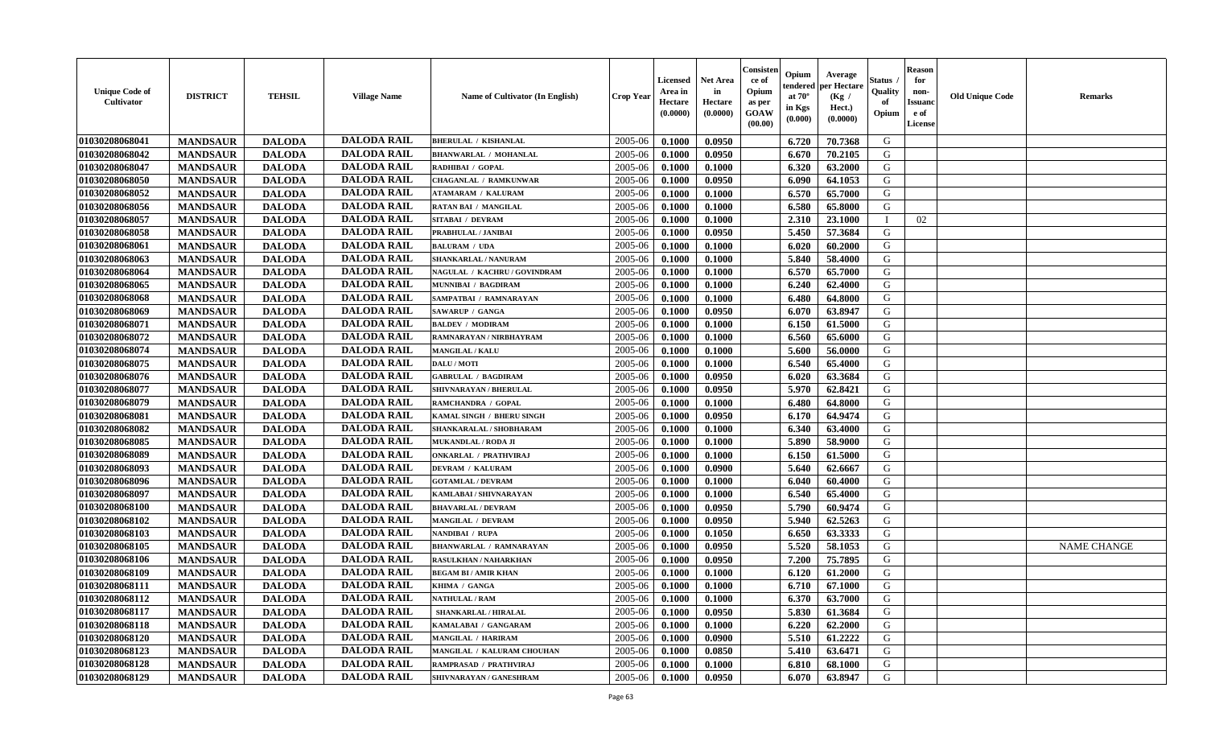| <b>Unique Code of</b><br><b>Cultivator</b> | <b>DISTRICT</b> | <b>TEHSIL</b> | <b>Village Name</b> | Name of Cultivator (In English) | <b>Crop Year</b> | <b>Licensed</b><br>Area in<br>Hectare<br>(0.0000) | <b>Net Area</b><br>in<br>Hectare<br>(0.0000) | Consister<br>ce of<br>Opium<br>as per<br><b>GOAW</b><br>(00.00) | Opium<br>endered<br>at $70^\circ$<br>in Kgs<br>(0.000) | Average<br>per Hectare<br>(Kg /<br>Hect.)<br>(0.0000) | Status<br>Quality<br>of<br>Opium | <b>Reason</b><br>for<br>non-<br><b>Issuano</b><br>e of<br>License | <b>Old Unique Code</b> | <b>Remarks</b>     |
|--------------------------------------------|-----------------|---------------|---------------------|---------------------------------|------------------|---------------------------------------------------|----------------------------------------------|-----------------------------------------------------------------|--------------------------------------------------------|-------------------------------------------------------|----------------------------------|-------------------------------------------------------------------|------------------------|--------------------|
| 01030208068041                             | <b>MANDSAUR</b> | <b>DALODA</b> | <b>DALODA RAIL</b>  | <b>BHERULAL / KISHANLAL</b>     | 2005-06          | 0.1000                                            | 0.0950                                       |                                                                 | 6.720                                                  | 70.7368                                               | G                                |                                                                   |                        |                    |
| 01030208068042                             | <b>MANDSAUR</b> | <b>DALODA</b> | <b>DALODA RAIL</b>  | <b>BHANWARLAL / MOHANLAL</b>    | 2005-06          | 0.1000                                            | 0.0950                                       |                                                                 | 6.670                                                  | 70.2105                                               | G                                |                                                                   |                        |                    |
| 01030208068047                             | <b>MANDSAUR</b> | <b>DALODA</b> | <b>DALODA RAIL</b>  | RADHIBAI / GOPAL                | 2005-06          | 0.1000                                            | 0.1000                                       |                                                                 | 6.320                                                  | 63.2000                                               | G                                |                                                                   |                        |                    |
| 01030208068050                             | <b>MANDSAUR</b> | <b>DALODA</b> | <b>DALODA RAIL</b>  | <b>CHAGANLAL / RAMKUNWAR</b>    | 2005-06          | 0.1000                                            | 0.0950                                       |                                                                 | 6.090                                                  | 64.1053                                               | G                                |                                                                   |                        |                    |
| 01030208068052                             | <b>MANDSAUR</b> | <b>DALODA</b> | <b>DALODA RAIL</b>  | <b>ATAMARAM / KALURAM</b>       | 2005-06          | 0.1000                                            | 0.1000                                       |                                                                 | 6.570                                                  | 65.7000                                               | G                                |                                                                   |                        |                    |
| 01030208068056                             | <b>MANDSAUR</b> | <b>DALODA</b> | <b>DALODA RAIL</b>  | <b>RATAN BAI / MANGILAL</b>     | 2005-06          | 0.1000                                            | 0.1000                                       |                                                                 | 6.580                                                  | 65.8000                                               | G                                |                                                                   |                        |                    |
| 01030208068057                             | <b>MANDSAUR</b> | <b>DALODA</b> | <b>DALODA RAIL</b>  | SITABAI / DEVRAM                | 2005-06          | 0.1000                                            | 0.1000                                       |                                                                 | 2.310                                                  | 23.1000                                               | $\blacksquare$                   | 02                                                                |                        |                    |
| 01030208068058                             | <b>MANDSAUR</b> | <b>DALODA</b> | <b>DALODA RAIL</b>  | PRABHULAL / JANIBAI             | 2005-06          | 0.1000                                            | 0.0950                                       |                                                                 | 5.450                                                  | 57.3684                                               | G                                |                                                                   |                        |                    |
| 01030208068061                             | <b>MANDSAUR</b> | <b>DALODA</b> | <b>DALODA RAIL</b>  | <b>BALURAM / UDA</b>            | 2005-06          | 0.1000                                            | 0.1000                                       |                                                                 | 6.020                                                  | 60.2000                                               | G                                |                                                                   |                        |                    |
| 01030208068063                             | <b>MANDSAUR</b> | <b>DALODA</b> | <b>DALODA RAIL</b>  | SHANKARLAL / NANURAM            | 2005-06          | 0.1000                                            | 0.1000                                       |                                                                 | 5.840                                                  | 58.4000                                               | G                                |                                                                   |                        |                    |
| 01030208068064                             | <b>MANDSAUR</b> | <b>DALODA</b> | <b>DALODA RAIL</b>  | NAGULAL / KACHRU / GOVINDRAM    | 2005-06          | 0.1000                                            | 0.1000                                       |                                                                 | 6.570                                                  | 65.7000                                               | G                                |                                                                   |                        |                    |
| 01030208068065                             | <b>MANDSAUR</b> | <b>DALODA</b> | <b>DALODA RAIL</b>  | MUNNIBAI / BAGDIRAM             | 2005-06          | 0.1000                                            | 0.1000                                       |                                                                 | 6.240                                                  | 62.4000                                               | G                                |                                                                   |                        |                    |
| 01030208068068                             | <b>MANDSAUR</b> | <b>DALODA</b> | <b>DALODA RAIL</b>  | SAMPATBAI / RAMNARAYAN          | 2005-06          | 0.1000                                            | 0.1000                                       |                                                                 | 6.480                                                  | 64.8000                                               | G                                |                                                                   |                        |                    |
| 01030208068069                             | <b>MANDSAUR</b> | <b>DALODA</b> | <b>DALODA RAIL</b>  | SAWARUP / GANGA                 | 2005-06          | 0.1000                                            | 0.0950                                       |                                                                 | 6.070                                                  | 63.8947                                               | G                                |                                                                   |                        |                    |
| 01030208068071                             | <b>MANDSAUR</b> | <b>DALODA</b> | <b>DALODA RAIL</b>  | <b>BALDEV / MODIRAM</b>         | 2005-06          | 0.1000                                            | 0.1000                                       |                                                                 | 6.150                                                  | 61.5000                                               | G                                |                                                                   |                        |                    |
| 01030208068072                             | <b>MANDSAUR</b> | <b>DALODA</b> | <b>DALODA RAIL</b>  | RAMNARAYAN / NIRBHAYRAM         | 2005-06          | 0.1000                                            | 0.1000                                       |                                                                 | 6.560                                                  | 65.6000                                               | G                                |                                                                   |                        |                    |
| 01030208068074                             | <b>MANDSAUR</b> | <b>DALODA</b> | <b>DALODA RAIL</b>  | <b>MANGILAL / KALU</b>          | 2005-06          | 0.1000                                            | 0.1000                                       |                                                                 | 5.600                                                  | 56.0000                                               | G                                |                                                                   |                        |                    |
| 01030208068075                             | <b>MANDSAUR</b> | <b>DALODA</b> | <b>DALODA RAIL</b>  | DALU / MOTI                     | 2005-06          | 0.1000                                            | 0.1000                                       |                                                                 | 6.540                                                  | 65.4000                                               | G                                |                                                                   |                        |                    |
| 01030208068076                             | <b>MANDSAUR</b> | <b>DALODA</b> | <b>DALODA RAIL</b>  | <b>GABRULAL / BAGDIRAM</b>      | 2005-06          | 0.1000                                            | 0.0950                                       |                                                                 | 6.020                                                  | 63.3684                                               | G                                |                                                                   |                        |                    |
| 01030208068077                             | <b>MANDSAUR</b> | <b>DALODA</b> | <b>DALODA RAIL</b>  | SHIVNARAYAN / BHERULAL          | 2005-06          | 0.1000                                            | 0.0950                                       |                                                                 | 5.970                                                  | 62.8421                                               | G                                |                                                                   |                        |                    |
| 01030208068079                             | <b>MANDSAUR</b> | <b>DALODA</b> | <b>DALODA RAIL</b>  | RAMCHANDRA / GOPAL              | 2005-06          | 0.1000                                            | 0.1000                                       |                                                                 | 6.480                                                  | 64.8000                                               | G                                |                                                                   |                        |                    |
| 01030208068081                             | <b>MANDSAUR</b> | <b>DALODA</b> | <b>DALODA RAIL</b>  | KAMAL SINGH / BHERU SINGH       | 2005-06          | 0.1000                                            | 0.0950                                       |                                                                 | 6.170                                                  | 64.9474                                               | G                                |                                                                   |                        |                    |
| 01030208068082                             | <b>MANDSAUR</b> | <b>DALODA</b> | <b>DALODA RAIL</b>  | SHANKARALAL / SHOBHARAM         | 2005-06          | 0.1000                                            | 0.1000                                       |                                                                 | 6.340                                                  | 63.4000                                               | G                                |                                                                   |                        |                    |
| 01030208068085                             | <b>MANDSAUR</b> | <b>DALODA</b> | <b>DALODA RAIL</b>  | <b>MUKANDLAL / RODA JI</b>      | 2005-06          | 0.1000                                            | 0.1000                                       |                                                                 | 5.890                                                  | 58.9000                                               | G                                |                                                                   |                        |                    |
| 01030208068089                             | <b>MANDSAUR</b> | <b>DALODA</b> | <b>DALODA RAIL</b>  | <b>ONKARLAL / PRATHVIRAJ</b>    | 2005-06          | 0.1000                                            | 0.1000                                       |                                                                 | 6.150                                                  | 61.5000                                               | G                                |                                                                   |                        |                    |
| 01030208068093                             | <b>MANDSAUR</b> | <b>DALODA</b> | <b>DALODA RAIL</b>  | <b>DEVRAM / KALURAM</b>         | 2005-06          | 0.1000                                            | 0.0900                                       |                                                                 | 5.640                                                  | 62.6667                                               | G                                |                                                                   |                        |                    |
| 01030208068096                             | <b>MANDSAUR</b> | <b>DALODA</b> | <b>DALODA RAIL</b>  | <b>GOTAMLAL / DEVRAM</b>        | 2005-06          | 0.1000                                            | 0.1000                                       |                                                                 | 6.040                                                  | 60.4000                                               | G                                |                                                                   |                        |                    |
| 01030208068097                             | <b>MANDSAUR</b> | <b>DALODA</b> | <b>DALODA RAIL</b>  | KAMLABAI / SHIVNARAYAN          | 2005-06          | 0.1000                                            | 0.1000                                       |                                                                 | 6.540                                                  | 65.4000                                               | G                                |                                                                   |                        |                    |
| 01030208068100                             | <b>MANDSAUR</b> | <b>DALODA</b> | <b>DALODA RAIL</b>  | <b>BHAVARLAL / DEVRAM</b>       | 2005-06          | 0.1000                                            | 0.0950                                       |                                                                 | 5.790                                                  | 60.9474                                               | G                                |                                                                   |                        |                    |
| 01030208068102                             | <b>MANDSAUR</b> | <b>DALODA</b> | <b>DALODA RAIL</b>  | <b>MANGILAL / DEVRAM</b>        | 2005-06          | 0.1000                                            | 0.0950                                       |                                                                 | 5.940                                                  | 62.5263                                               | G                                |                                                                   |                        |                    |
| 01030208068103                             | <b>MANDSAUR</b> | <b>DALODA</b> | <b>DALODA RAIL</b>  | NANDIBAI / RUPA                 | 2005-06          | 0.1000                                            | 0.1050                                       |                                                                 | 6.650                                                  | 63.3333                                               | G                                |                                                                   |                        |                    |
| 01030208068105                             | <b>MANDSAUR</b> | <b>DALODA</b> | <b>DALODA RAIL</b>  | <b>BHANWARLAL / RAMNARAYAN</b>  | 2005-06          | 0.1000                                            | 0.0950                                       |                                                                 | 5.520                                                  | 58.1053                                               | G                                |                                                                   |                        | <b>NAME CHANGE</b> |
| 01030208068106                             | <b>MANDSAUR</b> | <b>DALODA</b> | <b>DALODA RAIL</b>  | RASULKHAN / NAHARKHAN           | 2005-06          | 0.1000                                            | 0.0950                                       |                                                                 | 7.200                                                  | 75.7895                                               | G                                |                                                                   |                        |                    |
| 01030208068109                             | <b>MANDSAUR</b> | <b>DALODA</b> | <b>DALODA RAIL</b>  | <b>BEGAM BI/AMIR KHAN</b>       | 2005-06          | 0.1000                                            | 0.1000                                       |                                                                 | 6.120                                                  | 61.2000                                               | G                                |                                                                   |                        |                    |
| 01030208068111                             | <b>MANDSAUR</b> | <b>DALODA</b> | <b>DALODA RAIL</b>  | KHIMA / GANGA                   | 2005-06          | 0.1000                                            | 0.1000                                       |                                                                 | 6.710                                                  | 67.1000                                               | G                                |                                                                   |                        |                    |
| 01030208068112                             | <b>MANDSAUR</b> | <b>DALODA</b> | <b>DALODA RAIL</b>  | <b>NATHULAL / RAM</b>           | $2005 - 06$      | 0.1000                                            | 0.1000                                       |                                                                 | 6.370                                                  | 63.7000                                               | G                                |                                                                   |                        |                    |
| 01030208068117                             | <b>MANDSAUR</b> | <b>DALODA</b> | <b>DALODA RAIL</b>  | SHANKARLAL / HIRALAL            | 2005-06          | 0.1000                                            | 0.0950                                       |                                                                 | 5.830                                                  | 61.3684                                               | G                                |                                                                   |                        |                    |
| 01030208068118                             | <b>MANDSAUR</b> | <b>DALODA</b> | <b>DALODA RAIL</b>  | KAMALABAI / GANGARAM            | 2005-06          | 0.1000                                            | 0.1000                                       |                                                                 | 6.220                                                  | 62.2000                                               | G                                |                                                                   |                        |                    |
| 01030208068120                             | <b>MANDSAUR</b> | <b>DALODA</b> | <b>DALODA RAIL</b>  | <b>MANGILAL / HARIRAM</b>       | 2005-06          | 0.1000                                            | 0.0900                                       |                                                                 | 5.510                                                  | 61.2222                                               | G                                |                                                                   |                        |                    |
| 01030208068123                             | <b>MANDSAUR</b> | <b>DALODA</b> | <b>DALODA RAIL</b>  | MANGILAL / KALURAM CHOUHAN      | 2005-06          | 0.1000                                            | 0.0850                                       |                                                                 | 5.410                                                  | 63.6471                                               | G                                |                                                                   |                        |                    |
| 01030208068128                             | <b>MANDSAUR</b> | <b>DALODA</b> | <b>DALODA RAIL</b>  | RAMPRASAD / PRATHVIRAJ          | 2005-06          | 0.1000                                            | 0.1000                                       |                                                                 | 6.810                                                  | 68.1000                                               | G                                |                                                                   |                        |                    |
| 01030208068129                             | <b>MANDSAUR</b> | <b>DALODA</b> | <b>DALODA RAIL</b>  | SHIVNARAYAN / GANESHRAM         | 2005-06          | 0.1000                                            | 0.0950                                       |                                                                 | 6.070                                                  | 63.8947                                               | G                                |                                                                   |                        |                    |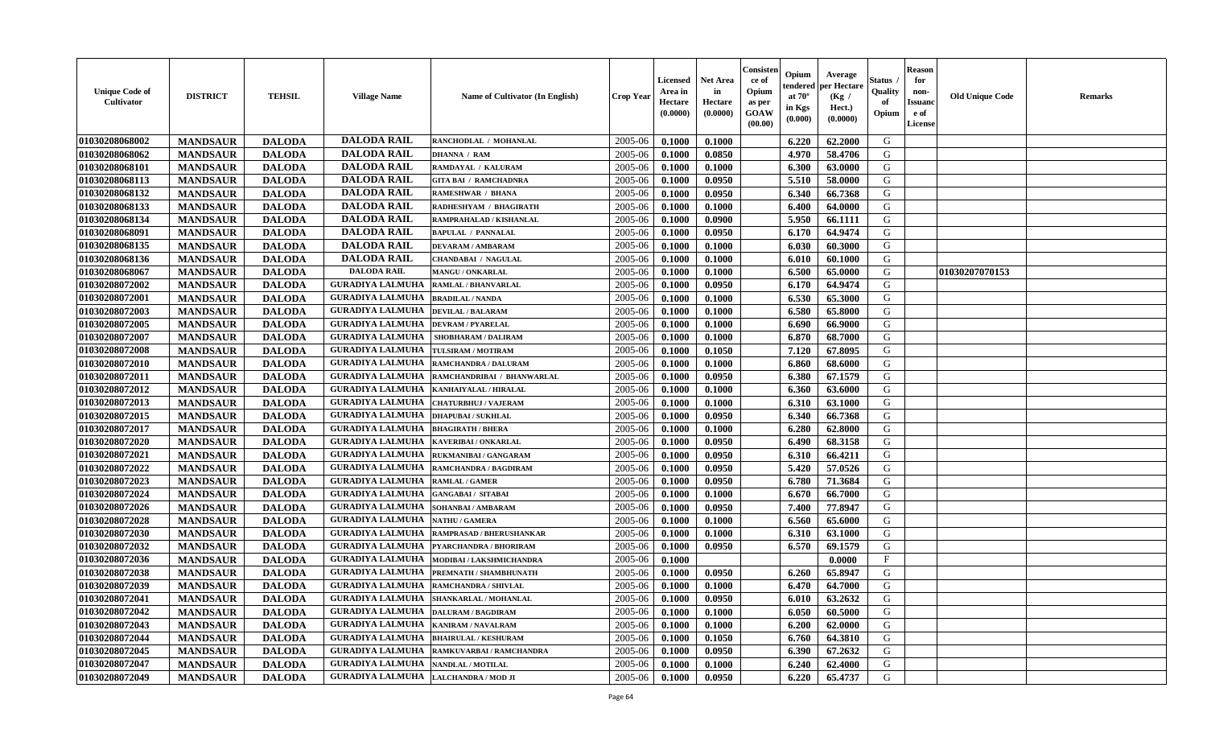| <b>Unique Code of</b><br>Cultivator | <b>DISTRICT</b> | <b>TEHSIL</b> | <b>Village Name</b>     | Name of Cultivator (In English)                 | Crop Year | Licensed<br>Area in<br>Hectare<br>(0.0000) | <b>Net Area</b><br>in<br>Hectare<br>(0.0000) | Consisten<br>ce of<br>Opium<br>as per<br><b>GOAW</b><br>(00.00) | Opium<br>tendered<br>at $70^{\circ}$<br>in Kgs<br>(0.000) | Average<br>per Hectare<br>(Kg /<br>Hect.)<br>(0.0000) | Status<br>Quality<br>of<br>Opium | <b>Reason</b><br>for<br>non-<br><b>Issuand</b><br>e of<br>License | <b>Old Unique Code</b> | <b>Remarks</b> |
|-------------------------------------|-----------------|---------------|-------------------------|-------------------------------------------------|-----------|--------------------------------------------|----------------------------------------------|-----------------------------------------------------------------|-----------------------------------------------------------|-------------------------------------------------------|----------------------------------|-------------------------------------------------------------------|------------------------|----------------|
| 01030208068002                      | <b>MANDSAUR</b> | <b>DALODA</b> | <b>DALODA RAIL</b>      | RANCHODLAL / MOHANLAL                           | 2005-06   | 0.1000                                     | 0.1000                                       |                                                                 | 6.220                                                     | 62.2000                                               | G                                |                                                                   |                        |                |
| 01030208068062                      | <b>MANDSAUR</b> | <b>DALODA</b> | <b>DALODA RAIL</b>      | <b>DHANNA / RAM</b>                             | 2005-06   | 0.1000                                     | 0.0850                                       |                                                                 | 4.970                                                     | 58.4706                                               | G                                |                                                                   |                        |                |
| 01030208068101                      | <b>MANDSAUR</b> | <b>DALODA</b> | <b>DALODA RAIL</b>      | RAMDAYAL / KALURAM                              | 2005-06   | 0.1000                                     | 0.1000                                       |                                                                 | 6.300                                                     | 63.0000                                               | G                                |                                                                   |                        |                |
| 01030208068113                      | <b>MANDSAUR</b> | <b>DALODA</b> | <b>DALODA RAIL</b>      | <b>GITA BAI / RAMCHADNRA</b>                    | 2005-06   | 0.1000                                     | 0.0950                                       |                                                                 | 5.510                                                     | 58.0000                                               | G                                |                                                                   |                        |                |
| 01030208068132                      | <b>MANDSAUR</b> | <b>DALODA</b> | <b>DALODA RAIL</b>      | <b>RAMESHWAR / BHANA</b>                        | 2005-06   | 0.1000                                     | 0.0950                                       |                                                                 | 6.340                                                     | 66.7368                                               | G                                |                                                                   |                        |                |
| 01030208068133                      | <b>MANDSAUR</b> | <b>DALODA</b> | <b>DALODA RAIL</b>      | RADHESHYAM / BHAGIRATH                          | 2005-06   | 0.1000                                     | 0.1000                                       |                                                                 | 6.400                                                     | 64.0000                                               | G                                |                                                                   |                        |                |
| 01030208068134                      | <b>MANDSAUR</b> | <b>DALODA</b> | <b>DALODA RAIL</b>      | RAMPRAHALAD / KISHANLAL                         | 2005-06   | 0.1000                                     | 0.0900                                       |                                                                 | 5.950                                                     | 66.1111                                               | G                                |                                                                   |                        |                |
| 01030208068091                      | <b>MANDSAUR</b> | <b>DALODA</b> | <b>DALODA RAIL</b>      | <b>BAPULAL / PANNALAL</b>                       | 2005-06   | 0.1000                                     | 0.0950                                       |                                                                 | 6.170                                                     | 64.9474                                               | G                                |                                                                   |                        |                |
| 01030208068135                      | <b>MANDSAUR</b> | <b>DALODA</b> | <b>DALODA RAIL</b>      | <b>DEVARAM / AMBARAM</b>                        | 2005-06   | 0.1000                                     | 0.1000                                       |                                                                 | 6.030                                                     | 60.3000                                               | G                                |                                                                   |                        |                |
| 01030208068136                      | <b>MANDSAUR</b> | <b>DALODA</b> | <b>DALODA RAIL</b>      | <b>CHANDABAI / NAGULAL</b>                      | 2005-06   | 0.1000                                     | 0.1000                                       |                                                                 | 6.010                                                     | 60.1000                                               | G                                |                                                                   |                        |                |
| 01030208068067                      | <b>MANDSAUR</b> | <b>DALODA</b> | <b>DALODA RAIL</b>      | MANGU / ONKARLAL                                | 2005-06   | 0.1000                                     | 0.1000                                       |                                                                 | 6.500                                                     | 65.0000                                               | G                                |                                                                   | 01030207070153         |                |
| 01030208072002                      | <b>MANDSAUR</b> | <b>DALODA</b> | <b>GURADIYA LALMUHA</b> | <b>RAMLAL / BHANVARLAL</b>                      | 2005-06   | 0.1000                                     | 0.0950                                       |                                                                 | 6.170                                                     | 64.9474                                               | G                                |                                                                   |                        |                |
| 01030208072001                      | <b>MANDSAUR</b> | <b>DALODA</b> | <b>GURADIYA LALMUHA</b> | <b>BRADILAL / NANDA</b>                         | 2005-06   | 0.1000                                     | 0.1000                                       |                                                                 | 6.530                                                     | 65.3000                                               | G                                |                                                                   |                        |                |
| 01030208072003                      | <b>MANDSAUR</b> | <b>DALODA</b> | <b>GURADIYA LALMUHA</b> | <b>DEVILAL / BALARAM</b>                        | 2005-06   | 0.1000                                     | 0.1000                                       |                                                                 | 6.580                                                     | 65.8000                                               | G                                |                                                                   |                        |                |
| 01030208072005                      | <b>MANDSAUR</b> | <b>DALODA</b> | <b>GURADIYA LALMUHA</b> | <b>DEVRAM / PYARELAL</b>                        | 2005-06   | 0.1000                                     | 0.1000                                       |                                                                 | 6.690                                                     | 66.9000                                               | G                                |                                                                   |                        |                |
| 01030208072007                      | <b>MANDSAUR</b> | <b>DALODA</b> | <b>GURADIYA LALMUHA</b> | <b>SHOBHARAM / DALIRAM</b>                      | 2005-06   | 0.1000                                     | 0.1000                                       |                                                                 | 6.870                                                     | 68.7000                                               | G                                |                                                                   |                        |                |
| 01030208072008                      | <b>MANDSAUR</b> | <b>DALODA</b> | <b>GURADIYA LALMUHA</b> | TULSIRAM / MOTIRAM                              | 2005-06   | 0.1000                                     | 0.1050                                       |                                                                 | 7.120                                                     | 67.8095                                               | G                                |                                                                   |                        |                |
| 01030208072010                      | <b>MANDSAUR</b> | <b>DALODA</b> | <b>GURADIYA LALMUHA</b> | <b>RAMCHANDRA / DALURAM</b>                     | 2005-06   | 0.1000                                     | 0.1000                                       |                                                                 | 6.860                                                     | 68.6000                                               | G                                |                                                                   |                        |                |
| 01030208072011                      | <b>MANDSAUR</b> | <b>DALODA</b> | <b>GURADIYA LALMUHA</b> | RAMCHANDRIBAI / BHANWARLAL                      | 2005-06   | 0.1000                                     | 0.0950                                       |                                                                 | 6.380                                                     | 67.1579                                               | G                                |                                                                   |                        |                |
| 01030208072012                      | <b>MANDSAUR</b> | <b>DALODA</b> | <b>GURADIYA LALMUHA</b> | KANHAIYALAL / HIRALAL                           | 2005-06   | 0.1000                                     | 0.1000                                       |                                                                 | 6.360                                                     | 63.6000                                               | G                                |                                                                   |                        |                |
| 01030208072013                      | <b>MANDSAUR</b> | <b>DALODA</b> | <b>GURADIYA LALMUHA</b> | CHATURBHUJ / VAJERAM                            | 2005-06   | 0.1000                                     | 0.1000                                       |                                                                 | 6.310                                                     | 63.1000                                               | G                                |                                                                   |                        |                |
| 01030208072015                      | <b>MANDSAUR</b> | <b>DALODA</b> | <b>GURADIYA LALMUHA</b> | <b>DHAPUBAI/SUKHLAL</b>                         | 2005-06   | 0.1000                                     | 0.0950                                       |                                                                 | 6.340                                                     | 66.7368                                               | G                                |                                                                   |                        |                |
| 01030208072017                      | <b>MANDSAUR</b> | <b>DALODA</b> | <b>GURADIYA LALMUHA</b> | <b>BHAGIRATH / BHERA</b>                        | 2005-06   | 0.1000                                     | 0.1000                                       |                                                                 | 6.280                                                     | 62.8000                                               | G                                |                                                                   |                        |                |
| 01030208072020                      | <b>MANDSAUR</b> | <b>DALODA</b> | <b>GURADIYA LALMUHA</b> | KAVERIBAI / ONKARLAL                            | 2005-06   | 0.1000                                     | 0.0950                                       |                                                                 | 6.490                                                     | 68.3158                                               | G                                |                                                                   |                        |                |
| 01030208072021                      | <b>MANDSAUR</b> | <b>DALODA</b> | <b>GURADIYA LALMUHA</b> | RUKMANIBAI / GANGARAM                           | 2005-06   | 0.1000                                     | 0.0950                                       |                                                                 | 6.310                                                     | 66.4211                                               | G                                |                                                                   |                        |                |
| 01030208072022                      | <b>MANDSAUR</b> | <b>DALODA</b> | <b>GURADIYA LALMUHA</b> | RAMCHANDRA / BAGDIRAM                           | 2005-06   | 0.1000                                     | 0.0950                                       |                                                                 | 5.420                                                     | 57.0526                                               | G                                |                                                                   |                        |                |
| 01030208072023                      | <b>MANDSAUR</b> | <b>DALODA</b> | <b>GURADIYA LALMUHA</b> | <b>RAMLAL / GAMER</b>                           | 2005-06   | 0.1000                                     | 0.0950                                       |                                                                 | 6.780                                                     | 71.3684                                               | G                                |                                                                   |                        |                |
| 01030208072024                      | <b>MANDSAUR</b> | <b>DALODA</b> | <b>GURADIYA LALMUHA</b> | <b>GANGABAI/ SITABAI</b>                        | 2005-06   | 0.1000                                     | 0.1000                                       |                                                                 | 6.670                                                     | 66.7000                                               | G                                |                                                                   |                        |                |
| 01030208072026                      | <b>MANDSAUR</b> | <b>DALODA</b> | <b>GURADIYA LALMUHA</b> | SOHANBAI/AMBARAM                                | 2005-06   | 0.1000                                     | 0.0950                                       |                                                                 | 7.400                                                     | 77.8947                                               | G                                |                                                                   |                        |                |
| 01030208072028                      | <b>MANDSAUR</b> | <b>DALODA</b> | <b>GURADIYA LALMUHA</b> | <b>NATHU / GAMERA</b>                           | 2005-06   | 0.1000                                     | 0.1000                                       |                                                                 | 6.560                                                     | 65.6000                                               | G                                |                                                                   |                        |                |
| 01030208072030                      | <b>MANDSAUR</b> | <b>DALODA</b> | <b>GURADIYA LALMUHA</b> | RAMPRASAD / BHERUSHANKAR                        | 2005-06   | 0.1000                                     | 0.1000                                       |                                                                 | 6.310                                                     | 63.1000                                               | G                                |                                                                   |                        |                |
| 01030208072032                      | <b>MANDSAUR</b> | <b>DALODA</b> | <b>GURADIYA LALMUHA</b> | PYARCHANDRA / BHORIRAM                          | 2005-06   | 0.1000                                     | 0.0950                                       |                                                                 | 6.570                                                     | 69.1579                                               | G                                |                                                                   |                        |                |
| 01030208072036                      | <b>MANDSAUR</b> | <b>DALODA</b> | <b>GURADIYA LALMUHA</b> | MODIBAI / LAKSHMICHANDRA                        | 2005-06   | 0.1000                                     |                                              |                                                                 |                                                           | 0.0000                                                | $_{\rm F}$                       |                                                                   |                        |                |
| 01030208072038                      | <b>MANDSAUR</b> | <b>DALODA</b> | <b>GURADIYA LALMUHA</b> | PREMNATH / SHAMBHUNATH                          | 2005-06   | 0.1000                                     | 0.0950                                       |                                                                 | 6.260                                                     | 65.8947                                               | G                                |                                                                   |                        |                |
| 01030208072039                      | <b>MANDSAUR</b> | <b>DALODA</b> | <b>GURADIYA LALMUHA</b> | <b>RAMCHANDRA / SHIVLAL</b>                     | 2005-06   | 0.1000                                     | 0.1000                                       |                                                                 | 6.470                                                     | 64.7000                                               | G                                |                                                                   |                        |                |
| 01030208072041                      | <b>MANDSAUR</b> | <b>DALODA</b> |                         | <b>GURADIYA LALMUHA   SHANKARLAL / MOHANLAL</b> | 2005-06   | 0.1000                                     | 0.0950                                       |                                                                 | 6.010                                                     | 63.2632                                               | G                                |                                                                   |                        |                |
| 01030208072042                      | <b>MANDSAUR</b> | <b>DALODA</b> | <b>GURADIYA LALMUHA</b> | <b>DALURAM / BAGDIRAM</b>                       | 2005-06   | 0.1000                                     | 0.1000                                       |                                                                 | 6.050                                                     | 60.5000                                               | G                                |                                                                   |                        |                |
| 01030208072043                      | <b>MANDSAUR</b> | <b>DALODA</b> | <b>GURADIYA LALMUHA</b> | <b>KANIRAM / NAVALRAM</b>                       | 2005-06   | 0.1000                                     | 0.1000                                       |                                                                 | 6.200                                                     | 62.0000                                               | G                                |                                                                   |                        |                |
| 01030208072044                      | <b>MANDSAUR</b> | <b>DALODA</b> | <b>GURADIYA LALMUHA</b> | <b>BHAIRULAL / KESHURAM</b>                     | 2005-06   | 0.1000                                     | 0.1050                                       |                                                                 | 6.760                                                     | 64.3810                                               | G                                |                                                                   |                        |                |
| 01030208072045                      | <b>MANDSAUR</b> | <b>DALODA</b> | <b>GURADIYA LALMUHA</b> | RAMKUVARBAI / RAMCHANDRA                        | 2005-06   | 0.1000                                     | 0.0950                                       |                                                                 | 6.390                                                     | 67.2632                                               | G                                |                                                                   |                        |                |
| 01030208072047                      | <b>MANDSAUR</b> | <b>DALODA</b> | <b>GURADIYA LALMUHA</b> | <b>NANDLAL / MOTILAL</b>                        | 2005-06   | 0.1000                                     | 0.1000                                       |                                                                 | 6.240                                                     | 62.4000                                               | G                                |                                                                   |                        |                |
| 01030208072049                      | <b>MANDSAUR</b> | <b>DALODA</b> | <b>GURADIYA LALMUHA</b> | <b>LALCHANDRA / MOD JI</b>                      | 2005-06   | 0.1000                                     | 0.0950                                       |                                                                 | 6.220                                                     | 65.4737                                               | G                                |                                                                   |                        |                |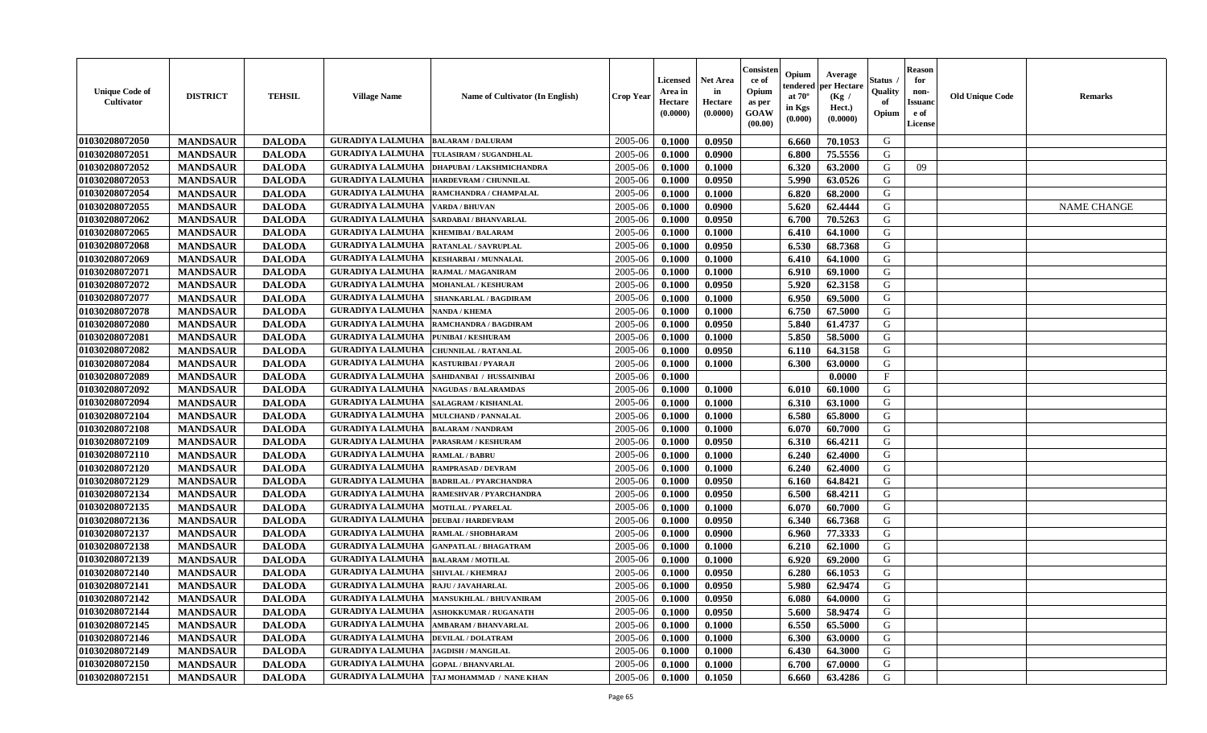| <b>Unique Code of</b><br>Cultivator | <b>DISTRICT</b> | <b>TEHSIL</b> | <b>Village Name</b>                        | Name of Cultivator (In English)                   | Crop Year | Licensed<br>Area in<br>Hectare<br>(0.0000) | <b>Net Area</b><br>in<br>Hectare<br>(0.0000) | Consisten<br>ce of<br>Opium<br>as per<br><b>GOAW</b><br>(00.00) | Opium<br>tendered<br>at $70^{\circ}$<br>in Kgs<br>(0.000) | Average<br>per Hectare<br>(Kg /<br>Hect.)<br>(0.0000) | Status<br>Quality<br>of<br>Opium | <b>Reason</b><br>for<br>non-<br><b>Issuand</b><br>e of<br>License | <b>Old Unique Code</b> | <b>Remarks</b>     |
|-------------------------------------|-----------------|---------------|--------------------------------------------|---------------------------------------------------|-----------|--------------------------------------------|----------------------------------------------|-----------------------------------------------------------------|-----------------------------------------------------------|-------------------------------------------------------|----------------------------------|-------------------------------------------------------------------|------------------------|--------------------|
| 01030208072050                      | <b>MANDSAUR</b> | <b>DALODA</b> | <b>GURADIYA LALMUHA</b>                    | <b>BALARAM / DALURAM</b>                          | 2005-06   | 0.1000                                     | 0.0950                                       |                                                                 | 6.660                                                     | 70.1053                                               | G                                |                                                                   |                        |                    |
| 01030208072051                      | <b>MANDSAUR</b> | <b>DALODA</b> | <b>GURADIYA LALMUHA</b>                    | TULASIRAM / SUGANDHLAL                            | 2005-06   | 0.1000                                     | 0.0900                                       |                                                                 | 6.800                                                     | 75.5556                                               | G                                |                                                                   |                        |                    |
| 01030208072052                      | <b>MANDSAUR</b> | <b>DALODA</b> | <b>GURADIYA LALMUHA</b>                    | <b>DHAPUBAI / LAKSHMICHANDRA</b>                  | 2005-06   | 0.1000                                     | 0.1000                                       |                                                                 | 6.320                                                     | 63.2000                                               | G                                | 09                                                                |                        |                    |
| 01030208072053                      | <b>MANDSAUR</b> | <b>DALODA</b> | <b>GURADIYA LALMUHA</b>                    | HARDEVRAM / CHUNNILAL                             | 2005-06   | 0.1000                                     | 0.0950                                       |                                                                 | 5.990                                                     | 63.0526                                               | G                                |                                                                   |                        |                    |
| 01030208072054                      | <b>MANDSAUR</b> | <b>DALODA</b> | <b>GURADIYA LALMUHA</b>                    | RAMCHANDRA / CHAMPALAL                            | 2005-06   | 0.1000                                     | 0.1000                                       |                                                                 | 6.820                                                     | 68.2000                                               | G                                |                                                                   |                        |                    |
| 01030208072055                      | <b>MANDSAUR</b> | <b>DALODA</b> | <b>GURADIYA LALMUHA</b>                    | VARDA / BHUVAN                                    | 2005-06   | 0.1000                                     | 0.0900                                       |                                                                 | 5.620                                                     | 62.4444                                               | G                                |                                                                   |                        | <b>NAME CHANGE</b> |
| 01030208072062                      | <b>MANDSAUR</b> | <b>DALODA</b> | <b>GURADIYA LALMUHA</b>                    | SARDABAI / BHANVARLAL                             | 2005-06   | 0.1000                                     | 0.0950                                       |                                                                 | 6.700                                                     | 70.5263                                               | G                                |                                                                   |                        |                    |
| 01030208072065                      | <b>MANDSAUR</b> | <b>DALODA</b> | <b>GURADIYA LALMUHA</b>                    | KHEMIBAI / BALARAM                                | 2005-06   | 0.1000                                     | 0.1000                                       |                                                                 | 6.410                                                     | 64.1000                                               | G                                |                                                                   |                        |                    |
| 01030208072068                      | <b>MANDSAUR</b> | <b>DALODA</b> | <b>GURADIYA LALMUHA</b>                    | RATANLAL / SAVRUPLAL                              | 2005-06   | 0.1000                                     | 0.0950                                       |                                                                 | 6.530                                                     | 68.7368                                               | G                                |                                                                   |                        |                    |
| 01030208072069                      | <b>MANDSAUR</b> | <b>DALODA</b> | <b>GURADIYA LALMUHA</b>                    | <b>KESHARBAI / MUNNALAL</b>                       | 2005-06   | 0.1000                                     | 0.1000                                       |                                                                 | 6.410                                                     | 64.1000                                               | G                                |                                                                   |                        |                    |
| 01030208072071                      | <b>MANDSAUR</b> | <b>DALODA</b> | <b>GURADIYA LALMUHA</b>                    | RAJMAL / MAGANIRAM                                | 2005-06   | 0.1000                                     | 0.1000                                       |                                                                 | 6.910                                                     | 69.1000                                               | G                                |                                                                   |                        |                    |
| 01030208072072                      | <b>MANDSAUR</b> | <b>DALODA</b> | <b>GURADIYA LALMUHA</b>                    | <b>MOHANLAL / KESHURAM</b>                        | 2005-06   | 0.1000                                     | 0.0950                                       |                                                                 | 5.920                                                     | 62.3158                                               | G                                |                                                                   |                        |                    |
| 01030208072077                      | <b>MANDSAUR</b> | <b>DALODA</b> | <b>GURADIYA LALMUHA</b>                    | SHANKARLAL / BAGDIRAM                             | 2005-06   | 0.1000                                     | 0.1000                                       |                                                                 | 6.950                                                     | 69.5000                                               | G                                |                                                                   |                        |                    |
| 01030208072078                      | <b>MANDSAUR</b> | <b>DALODA</b> | <b>GURADIYA LALMUHA</b>                    | <b>NANDA / KHEMA</b>                              | 2005-06   | 0.1000                                     | 0.1000                                       |                                                                 | 6.750                                                     | 67.5000                                               | G                                |                                                                   |                        |                    |
| 01030208072080                      | <b>MANDSAUR</b> | <b>DALODA</b> | <b>GURADIYA LALMUHA</b>                    | RAMCHANDRA / BAGDIRAM                             | 2005-06   | 0.1000                                     | 0.0950                                       |                                                                 | 5.840                                                     | 61.4737                                               | G                                |                                                                   |                        |                    |
| 01030208072081                      | <b>MANDSAUR</b> | <b>DALODA</b> | <b>GURADIYA LALMUHA</b>                    | PUNIBAI / KESHURAM                                | 2005-06   | 0.1000                                     | 0.1000                                       |                                                                 | 5.850                                                     | 58.5000                                               | G                                |                                                                   |                        |                    |
| 01030208072082                      | <b>MANDSAUR</b> | <b>DALODA</b> | <b>GURADIYA LALMUHA</b>                    | CHUNNILAL / RATANLAL                              | 2005-06   | 0.1000                                     | 0.0950                                       |                                                                 | 6.110                                                     | 64.3158                                               | G                                |                                                                   |                        |                    |
| 01030208072084                      | <b>MANDSAUR</b> | <b>DALODA</b> | <b>GURADIYA LALMUHA</b>                    | KASTURIBAI / PYARAJI                              | 2005-06   | 0.1000                                     | 0.1000                                       |                                                                 | 6.300                                                     | 63.0000                                               | G                                |                                                                   |                        |                    |
| 01030208072089                      | <b>MANDSAUR</b> | <b>DALODA</b> | <b>GURADIYA LALMUHA</b>                    | SAHIDANBAI / HUSSAINIBAI                          | 2005-06   | 0.1000                                     |                                              |                                                                 |                                                           | 0.0000                                                | $\mathbf F$                      |                                                                   |                        |                    |
| 01030208072092                      | <b>MANDSAUR</b> | <b>DALODA</b> | <b>GURADIYA LALMUHA</b>                    | <b>NAGUDAS / BALARAMDAS</b>                       | 2005-06   | 0.1000                                     | 0.1000                                       |                                                                 | 6.010                                                     | 60.1000                                               | G                                |                                                                   |                        |                    |
| 01030208072094                      | <b>MANDSAUR</b> | <b>DALODA</b> | <b>GURADIYA LALMUHA</b>                    | SALAGRAM / KISHANLAL                              | 2005-06   | 0.1000                                     | 0.1000                                       |                                                                 | 6.310                                                     | 63.1000                                               | G                                |                                                                   |                        |                    |
| 01030208072104                      | <b>MANDSAUR</b> | <b>DALODA</b> | <b>GURADIYA LALMUHA</b>                    | <b>MULCHAND / PANNALAL</b>                        | 2005-06   | 0.1000                                     | 0.1000                                       |                                                                 | 6.580                                                     | 65.8000                                               | G                                |                                                                   |                        |                    |
| 01030208072108                      | <b>MANDSAUR</b> | <b>DALODA</b> | <b>GURADIYA LALMUHA</b>                    | <b>BALARAM / NANDRAM</b>                          | 2005-06   | 0.1000                                     | 0.1000                                       |                                                                 | 6.070                                                     | 60.7000                                               | G                                |                                                                   |                        |                    |
| 01030208072109                      | <b>MANDSAUR</b> | <b>DALODA</b> | <b>GURADIYA LALMUHA</b>                    | PARASRAM / KESHURAM                               | 2005-06   | 0.1000                                     | 0.0950                                       |                                                                 | 6.310                                                     | 66.4211                                               | G                                |                                                                   |                        |                    |
| 01030208072110                      | <b>MANDSAUR</b> | <b>DALODA</b> | <b>GURADIYA LALMUHA</b>                    | <b>RAMLAL / BABRU</b>                             | 2005-06   | 0.1000                                     | 0.1000                                       |                                                                 | 6.240                                                     | 62.4000                                               | G                                |                                                                   |                        |                    |
| 01030208072120                      | <b>MANDSAUR</b> | <b>DALODA</b> | <b>GURADIYA LALMUHA</b>                    | <b>RAMPRASAD / DEVRAM</b>                         | 2005-06   | 0.1000                                     | 0.1000                                       |                                                                 | 6.240                                                     | 62.4000                                               | G                                |                                                                   |                        |                    |
| 01030208072129                      | <b>MANDSAUR</b> | <b>DALODA</b> | <b>GURADIYA LALMUHA</b>                    | <b>BADRILAL / PYARCHANDRA</b>                     | 2005-06   | 0.1000                                     | 0.0950                                       |                                                                 | 6.160                                                     | 64.8421                                               | G                                |                                                                   |                        |                    |
| 01030208072134                      | <b>MANDSAUR</b> | <b>DALODA</b> | <b>GURADIYA LALMUHA</b>                    | RAMESHVAR / PYARCHANDRA                           | 2005-06   | 0.1000                                     | 0.0950                                       |                                                                 | 6.500                                                     | 68.4211                                               | G                                |                                                                   |                        |                    |
| 01030208072135                      | <b>MANDSAUR</b> | <b>DALODA</b> | <b>GURADIYA LALMUHA</b>                    | <b>MOTILAL / PYARELAL</b>                         | 2005-06   | 0.1000                                     | 0.1000                                       |                                                                 | 6.070                                                     | 60.7000                                               | G                                |                                                                   |                        |                    |
| 01030208072136                      | <b>MANDSAUR</b> | <b>DALODA</b> | <b>GURADIYA LALMUHA</b>                    | <b>DEUBAI/HARDEVRAM</b>                           | 2005-06   | 0.1000                                     | 0.0950                                       |                                                                 | 6.340                                                     | 66.7368                                               | G                                |                                                                   |                        |                    |
| 01030208072137                      | <b>MANDSAUR</b> | <b>DALODA</b> | <b>GURADIYA LALMUHA</b>                    | RAMLAL / SHOBHARAM                                | 2005-06   | 0.1000                                     | 0.0900                                       |                                                                 | 6.960                                                     | 77.3333                                               | G                                |                                                                   |                        |                    |
| 01030208072138                      | <b>MANDSAUR</b> | <b>DALODA</b> | <b>GURADIYA LALMUHA</b>                    | <b>GANPATLAL / BHAGATRAM</b>                      | 2005-06   | 0.1000                                     | 0.1000                                       |                                                                 | 6.210                                                     | 62.1000                                               | G                                |                                                                   |                        |                    |
| 01030208072139                      | <b>MANDSAUR</b> | <b>DALODA</b> | <b>GURADIYA LALMUHA</b>                    | <b>BALARAM / MOTILAL</b>                          | 2005-06   | 0.1000                                     | 0.1000                                       |                                                                 | 6.920                                                     | 69.2000                                               | G                                |                                                                   |                        |                    |
| 01030208072140                      | <b>MANDSAUR</b> | <b>DALODA</b> | <b>GURADIYA LALMUHA</b>                    | <b>SHIVLAL / KHEMRAJ</b>                          | 2005-06   | 0.1000                                     | 0.0950                                       |                                                                 | 6.280                                                     | 66.1053                                               | G                                |                                                                   |                        |                    |
| 01030208072141                      | <b>MANDSAUR</b> | <b>DALODA</b> | <b>GURADIYA LALMUHA</b>                    | <b>RAJU / JAVAHARLAL</b>                          | 2005-06   | 0.1000                                     | 0.0950                                       |                                                                 | 5.980                                                     | 62.9474                                               | G                                |                                                                   |                        |                    |
| 01030208072142                      | <b>MANDSAUR</b> | <b>DALODA</b> |                                            | <b>GURADIYA LALMUHA   MANSUKHLAL / BHUVANIRAM</b> | 2005-06   | 0.1000                                     | 0.0950                                       |                                                                 | 6.080                                                     | 64.0000                                               | G                                |                                                                   |                        |                    |
| 01030208072144                      | <b>MANDSAUR</b> | <b>DALODA</b> | <b>GURADIYA LALMUHA</b>                    | <b>ASHOKKUMAR / RUGANATH</b>                      | 2005-06   | 0.1000                                     | 0.0950                                       |                                                                 | 5.600                                                     | 58.9474                                               | G                                |                                                                   |                        |                    |
| 01030208072145                      | <b>MANDSAUR</b> | <b>DALODA</b> | <b>GURADIYA LALMUHA</b>                    | <b>AMBARAM / BHANVARLAL</b>                       | 2005-06   | 0.1000                                     | 0.1000                                       |                                                                 | 6.550                                                     | 65.5000                                               | G                                |                                                                   |                        |                    |
| 01030208072146                      | <b>MANDSAUR</b> | <b>DALODA</b> | <b>GURADIYA LALMUHA DEVILAL / DOLATRAM</b> |                                                   | 2005-06   | 0.1000                                     | 0.1000                                       |                                                                 | 6.300                                                     | 63.0000                                               | G                                |                                                                   |                        |                    |
| 01030208072149                      | <b>MANDSAUR</b> | <b>DALODA</b> | <b>GURADIYA LALMUHA</b>                    | <b>JAGDISH / MANGILAL</b>                         | 2005-06   | 0.1000                                     | 0.1000                                       |                                                                 | 6.430                                                     | 64.3000                                               | G                                |                                                                   |                        |                    |
| 01030208072150                      | <b>MANDSAUR</b> | <b>DALODA</b> | <b>GURADIYA LALMUHA</b>                    | <b>GOPAL / BHANVARLAL</b>                         | 2005-06   | 0.1000                                     | 0.1000                                       |                                                                 | 6.700                                                     | 67.0000                                               | G                                |                                                                   |                        |                    |
| 01030208072151                      | <b>MANDSAUR</b> | <b>DALODA</b> |                                            | GURADIYA LALMUHA TAJ MOHAMMAD / NANE KHAN         | 2005-06   | 0.1000                                     | $\bf 0.1050$                                 |                                                                 | 6.660                                                     | 63.4286                                               | G                                |                                                                   |                        |                    |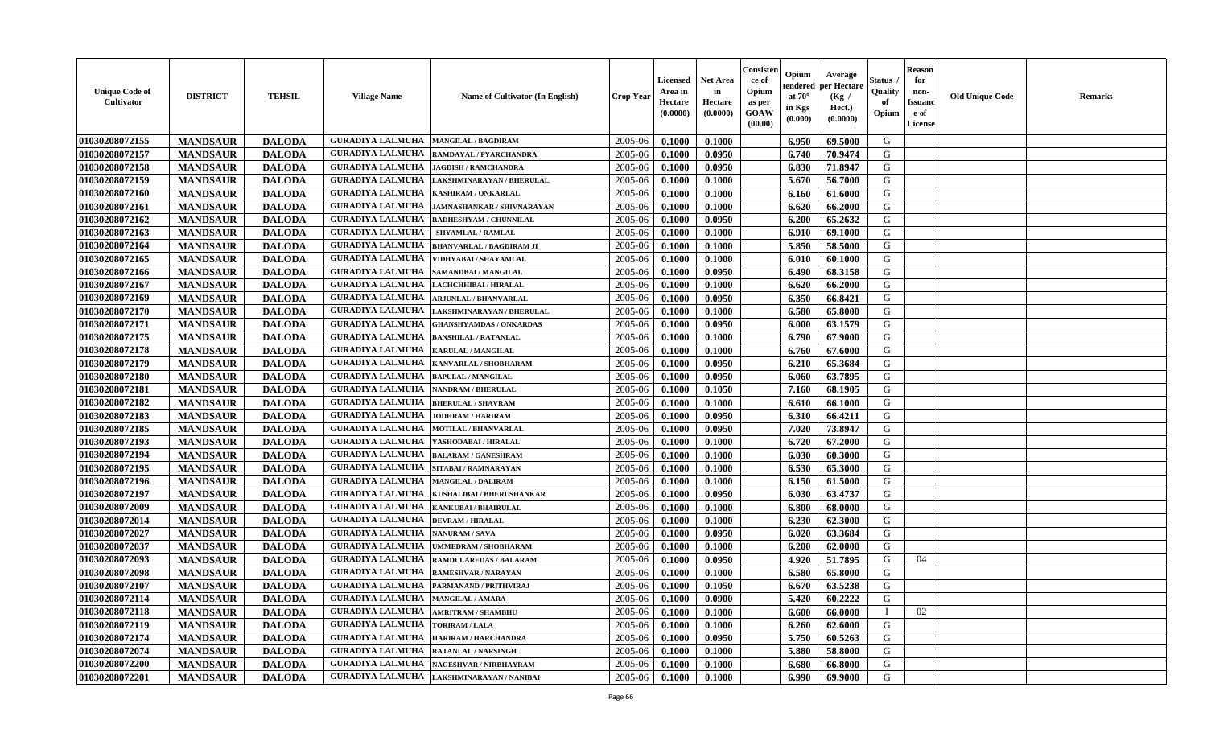| <b>Unique Code of</b><br><b>Cultivator</b> | <b>DISTRICT</b> | <b>TEHSIL</b> | <b>Village Name</b>                           | Name of Cultivator (In English)           | <b>Crop Year</b> | <b>Licensed</b><br>Area in<br>Hectare<br>(0.0000) | <b>Net Area</b><br>in<br>Hectare<br>(0.0000) | Consisteı<br>ce of<br>Opium<br>as per<br><b>GOAW</b><br>(00.00) | Opium<br>endered<br>at $70^\circ$<br>in Kgs<br>$(\mathbf{0.000})$ | Average<br>per Hectare<br>(Kg /<br>Hect.)<br>(0.0000) | Status<br>Quality<br>of<br>Opium | Reason<br>for<br>non-<br>Issuan<br>e of<br><b>License</b> | <b>Old Unique Code</b> | <b>Remarks</b> |
|--------------------------------------------|-----------------|---------------|-----------------------------------------------|-------------------------------------------|------------------|---------------------------------------------------|----------------------------------------------|-----------------------------------------------------------------|-------------------------------------------------------------------|-------------------------------------------------------|----------------------------------|-----------------------------------------------------------|------------------------|----------------|
| 01030208072155                             | <b>MANDSAUR</b> | <b>DALODA</b> | <b>GURADIYA LALMUHA</b>                       | <b>MANGILAL / BAGDIRAM</b>                | 2005-06          | 0.1000                                            | 0.1000                                       |                                                                 | 6.950                                                             | 69.5000                                               | G                                |                                                           |                        |                |
| 01030208072157                             | <b>MANDSAUR</b> | <b>DALODA</b> | <b>GURADIYA LALMUHA</b>                       | RAMDAYAL / PYARCHANDRA                    | 2005-06          | 0.1000                                            | 0.0950                                       |                                                                 | 6.740                                                             | 70.9474                                               | G                                |                                                           |                        |                |
| 01030208072158                             | <b>MANDSAUR</b> | <b>DALODA</b> | <b>GURADIYA LALMUHA</b>                       | <b>JAGDISH / RAMCHANDRA</b>               | 2005-06          | 0.1000                                            | 0.0950                                       |                                                                 | 6.830                                                             | 71.8947                                               | G                                |                                                           |                        |                |
| 01030208072159                             | <b>MANDSAUR</b> | <b>DALODA</b> | <b>GURADIYA LALMUHA</b>                       | LAKSHMINARAYAN / BHERULAL                 | 2005-06          | 0.1000                                            | 0.1000                                       |                                                                 | 5.670                                                             | 56.7000                                               | G                                |                                                           |                        |                |
| 01030208072160                             | <b>MANDSAUR</b> | <b>DALODA</b> | <b>GURADIYA LALMUHA</b>                       | <b>KASHIRAM / ONKARLAL</b>                | 2005-06          | 0.1000                                            | 0.1000                                       |                                                                 | 6.160                                                             | 61.6000                                               | G                                |                                                           |                        |                |
| 01030208072161                             | <b>MANDSAUR</b> | <b>DALODA</b> | <b>GURADIYA LALMUHA</b>                       | <b>JAMNASHANKAR / SHIVNARAYAN</b>         | 2005-06          | 0.1000                                            | 0.1000                                       |                                                                 | 6.620                                                             | 66.2000                                               | G                                |                                                           |                        |                |
| 01030208072162                             | <b>MANDSAUR</b> | <b>DALODA</b> | <b>GURADIYA LALMUHA</b>                       | <b>RADHESHYAM / CHUNNILAL</b>             | 2005-06          | 0.1000                                            | 0.0950                                       |                                                                 | 6.200                                                             | 65.2632                                               | G                                |                                                           |                        |                |
| 01030208072163                             | <b>MANDSAUR</b> | <b>DALODA</b> | <b>GURADIYA LALMUHA</b>                       | <b>SHYAMLAL / RAMLAL</b>                  | 2005-06          | 0.1000                                            | 0.1000                                       |                                                                 | 6.910                                                             | 69.1000                                               | G                                |                                                           |                        |                |
| 01030208072164                             | <b>MANDSAUR</b> | <b>DALODA</b> | <b>GURADIYA LALMUHA</b>                       | <b>BHANVARLAL / BAGDIRAM JI</b>           | 2005-06          | 0.1000                                            | 0.1000                                       |                                                                 | 5.850                                                             | 58.5000                                               | G                                |                                                           |                        |                |
| 01030208072165                             | <b>MANDSAUR</b> | <b>DALODA</b> | <b>GURADIYA LALMUHA</b>                       | VIDHYABAI / SHAYAMLAL                     | 2005-06          | 0.1000                                            | 0.1000                                       |                                                                 | 6.010                                                             | 60.1000                                               | G                                |                                                           |                        |                |
| 01030208072166                             | <b>MANDSAUR</b> | <b>DALODA</b> | <b>GURADIYA LALMUHA</b>                       | SAMANDBAI / MANGILAL                      | 2005-06          | 0.1000                                            | 0.0950                                       |                                                                 | 6.490                                                             | 68.3158                                               | G                                |                                                           |                        |                |
| 01030208072167                             | <b>MANDSAUR</b> | <b>DALODA</b> | <b>GURADIYA LALMUHA</b>                       | LACHCHHIBAI / HIRALAL                     | 2005-06          | 0.1000                                            | 0.1000                                       |                                                                 | 6.620                                                             | 66.2000                                               | G                                |                                                           |                        |                |
| 01030208072169                             | <b>MANDSAUR</b> | <b>DALODA</b> | <b>GURADIYA LALMUHA</b>                       | <b>ARJUNLAL / BHANVARLAL</b>              | 2005-06          | 0.1000                                            | 0.0950                                       |                                                                 | 6.350                                                             | 66.8421                                               | G                                |                                                           |                        |                |
| 01030208072170                             | <b>MANDSAUR</b> | <b>DALODA</b> | <b>GURADIYA LALMUHA</b>                       | LAKSHMINARAYAN / BHERULAL                 | 2005-06          | 0.1000                                            | 0.1000                                       |                                                                 | 6.580                                                             | 65.8000                                               | G                                |                                                           |                        |                |
| 01030208072171                             | <b>MANDSAUR</b> | <b>DALODA</b> | <b>GURADIYA LALMUHA</b>                       | <b>GHANSHYAMDAS / ONKARDAS</b>            | 2005-06          | 0.1000                                            | 0.0950                                       |                                                                 | 6.000                                                             | 63.1579                                               | G                                |                                                           |                        |                |
| 01030208072175                             | <b>MANDSAUR</b> | <b>DALODA</b> | <b>GURADIYA LALMUHA</b>                       | <b>BANSHILAL / RATANLAL</b>               | 2005-06          | 0.1000                                            | 0.1000                                       |                                                                 | 6.790                                                             | 67.9000                                               | G                                |                                                           |                        |                |
| 01030208072178                             | <b>MANDSAUR</b> | <b>DALODA</b> | <b>GURADIYA LALMUHA</b>                       | <b>KARULAL / MANGILAL</b>                 | 2005-06          | 0.1000                                            | 0.1000                                       |                                                                 | 6.760                                                             | 67.6000                                               | G                                |                                                           |                        |                |
| 01030208072179                             | <b>MANDSAUR</b> | <b>DALODA</b> | <b>GURADIYA LALMUHA</b>                       | KANVARLAL / SHOBHARAM                     | 2005-06          | 0.1000                                            | 0.0950                                       |                                                                 | 6.210                                                             | 65.3684                                               | G                                |                                                           |                        |                |
| 01030208072180                             | <b>MANDSAUR</b> | <b>DALODA</b> | <b>GURADIYA LALMUHA</b>                       | <b>BAPULAL / MANGILAL</b>                 | 2005-06          | 0.1000                                            | 0.0950                                       |                                                                 | 6.060                                                             | 63.7895                                               | G                                |                                                           |                        |                |
| 01030208072181                             | <b>MANDSAUR</b> | <b>DALODA</b> | <b>GURADIYA LALMUHA</b>                       | <b>NANDRAM / BHERULAL</b>                 | 2005-06          | 0.1000                                            | 0.1050                                       |                                                                 | 7.160                                                             | 68.1905                                               | G                                |                                                           |                        |                |
| 01030208072182                             | <b>MANDSAUR</b> | <b>DALODA</b> | <b>GURADIYA LALMUHA</b>                       | <b>BHERULAL / SHAVRAM</b>                 | 2005-06          | 0.1000                                            | 0.1000                                       |                                                                 | 6.610                                                             | 66.1000                                               | G                                |                                                           |                        |                |
| 01030208072183                             | <b>MANDSAUR</b> | <b>DALODA</b> | <b>GURADIYA LALMUHA</b>                       | <b>JODHRAM / HARIRAM</b>                  | 2005-06          | 0.1000                                            | 0.0950                                       |                                                                 | 6.310                                                             | 66.4211                                               | G                                |                                                           |                        |                |
| 01030208072185                             | <b>MANDSAUR</b> | <b>DALODA</b> | <b>GURADIYA LALMUHA</b>                       | <b>MOTILAL / BHANVARLAL</b>               | 2005-06          | 0.1000                                            | 0.0950                                       |                                                                 | 7.020                                                             | 73.8947                                               | G                                |                                                           |                        |                |
| 01030208072193                             | <b>MANDSAUR</b> | <b>DALODA</b> | <b>GURADIYA LALMUHA</b>                       | YASHODABAI / HIRALAL                      | 2005-06          | 0.1000                                            | 0.1000                                       |                                                                 | 6.720                                                             | 67.2000                                               | G                                |                                                           |                        |                |
| 01030208072194                             | <b>MANDSAUR</b> | <b>DALODA</b> | <b>GURADIYA LALMUHA</b>                       | <b>BALARAM / GANESHRAM</b>                | 2005-06          | 0.1000                                            | 0.1000                                       |                                                                 | 6.030                                                             | 60.3000                                               | G                                |                                                           |                        |                |
| 01030208072195                             | <b>MANDSAUR</b> | <b>DALODA</b> | <b>GURADIYA LALMUHA</b>                       | SITABAI / RAMNARAYAN                      | 2005-06          | 0.1000                                            | 0.1000                                       |                                                                 | 6.530                                                             | 65.3000                                               | G                                |                                                           |                        |                |
| 01030208072196                             | <b>MANDSAUR</b> | <b>DALODA</b> | <b>GURADIYA LALMUHA</b>                       | <b>MANGILAL / DALIRAM</b>                 | 2005-06          | 0.1000                                            | 0.1000                                       |                                                                 | 6.150                                                             | 61.5000                                               | G                                |                                                           |                        |                |
| 01030208072197                             | <b>MANDSAUR</b> | <b>DALODA</b> | <b>GURADIYA LALMUHA</b>                       | KUSHALIBAI / BHERUSHANKAR                 | 2005-06          | 0.1000                                            | 0.0950                                       |                                                                 | 6.030                                                             | 63.4737                                               | G                                |                                                           |                        |                |
| 01030208072009                             | <b>MANDSAUR</b> | <b>DALODA</b> | <b>GURADIYA LALMUHA</b>                       | <b>KANKUBAI / BHAIRULAL</b>               | 2005-06          | 0.1000                                            | 0.1000                                       |                                                                 | 6.800                                                             | 68.0000                                               | G                                |                                                           |                        |                |
| 01030208072014                             | <b>MANDSAUR</b> | <b>DALODA</b> | <b>GURADIYA LALMUHA</b>                       | <b>DEVRAM / HIRALAL</b>                   | 2005-06          | 0.1000                                            | 0.1000                                       |                                                                 | 6.230                                                             | 62.3000                                               | G                                |                                                           |                        |                |
| 01030208072027                             | <b>MANDSAUR</b> | <b>DALODA</b> | <b>GURADIYA LALMUHA</b>                       | <b>NANURAM / SAVA</b>                     | 2005-06          | 0.1000                                            | 0.0950                                       |                                                                 | 6.020                                                             | 63.3684                                               | G                                |                                                           |                        |                |
| 01030208072037                             | <b>MANDSAUR</b> | <b>DALODA</b> | <b>GURADIYA LALMUHA</b>                       | UMMEDRAM / SHOBHARAM                      | 2005-06          | 0.1000                                            | 0.1000                                       |                                                                 | 6.200                                                             | 62.0000                                               | G                                |                                                           |                        |                |
| 01030208072093                             | <b>MANDSAUR</b> | <b>DALODA</b> | <b>GURADIYA LALMUHA</b>                       | <b>RAMDULAREDAS / BALARAM</b>             | 2005-06          | 0.1000                                            | 0.0950                                       |                                                                 | 4.920                                                             | 51.7895                                               | G                                | 04                                                        |                        |                |
| 01030208072098                             | <b>MANDSAUR</b> | <b>DALODA</b> | <b>GURADIYA LALMUHA</b>                       | <b>RAMESHVAR / NARAYAN</b>                | 2005-06          | 0.1000                                            | 0.1000                                       |                                                                 | 6.580                                                             | 65.8000                                               | G                                |                                                           |                        |                |
| 01030208072107                             | <b>MANDSAUR</b> | <b>DALODA</b> | <b>GURADIYA LALMUHA</b>                       | <b>PARMANAND / PRITHVIRAJ</b>             | 2005-06          | 0.1000                                            | 0.1050                                       |                                                                 | 6.670                                                             | 63.5238                                               | G                                |                                                           |                        |                |
| 01030208072114                             | <b>MANDSAUR</b> | <b>DALODA</b> | GURADIYA LALMUHA   MANGILAL / AMARA           |                                           | $2005 - 06$      | 0.1000                                            | 0.0900                                       |                                                                 | 5.420                                                             | 60.2222                                               | G                                |                                                           |                        |                |
| 01030208072118                             | <b>MANDSAUR</b> | <b>DALODA</b> | <b>GURADIYA LALMUHA</b>                       | <b>AMRITRAM / SHAMBHU</b>                 | 2005-06          | 0.1000                                            | 0.1000                                       |                                                                 | 6.600                                                             | 66.0000                                               |                                  | 02                                                        |                        |                |
| 01030208072119                             | <b>MANDSAUR</b> | <b>DALODA</b> | <b>GURADIYA LALMUHA   TORIRAM / LALA</b>      |                                           | 2005-06          | 0.1000                                            | 0.1000                                       |                                                                 | 6.260                                                             | 62.6000                                               | G                                |                                                           |                        |                |
| 01030208072174                             | <b>MANDSAUR</b> | <b>DALODA</b> | <b>GURADIYA LALMUHA  HARIRAM / HARCHANDRA</b> |                                           | 2005-06          | 0.1000                                            | 0.0950                                       |                                                                 | 5.750                                                             | 60.5263                                               | G                                |                                                           |                        |                |
| 01030208072074                             | <b>MANDSAUR</b> | <b>DALODA</b> | <b>GURADIYA LALMUHA</b>                       | <b>RATANLAL / NARSINGH</b>                | 2005-06          | 0.1000                                            | 0.1000                                       |                                                                 | 5.880                                                             | 58.8000                                               | G                                |                                                           |                        |                |
| 01030208072200                             | <b>MANDSAUR</b> | <b>DALODA</b> | <b>GURADIYA LALMUHA</b>                       | NAGESHVAR / NIRBHAYRAM                    | 2005-06          | 0.1000                                            | 0.1000                                       |                                                                 | 6.680                                                             | 66.8000                                               | G                                |                                                           |                        |                |
| 01030208072201                             | <b>MANDSAUR</b> | <b>DALODA</b> |                                               | GURADIYA LALMUHA LAKSHMINARAYAN / NANIBAI | 2005-06          | 0.1000                                            | 0.1000                                       |                                                                 | 6.990                                                             | 69.9000                                               | G                                |                                                           |                        |                |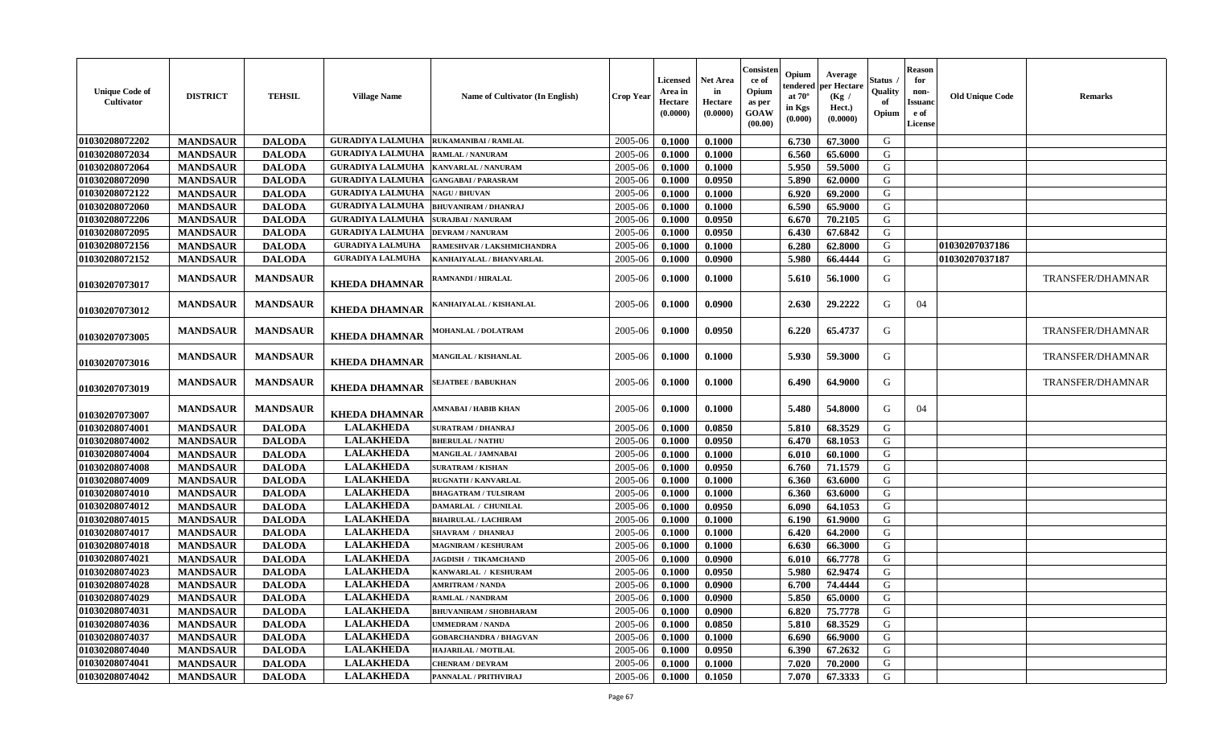| <b>Unique Code of</b><br>Cultivator | <b>DISTRICT</b> | <b>TEHSIL</b>   | <b>Village Name</b>     | Name of Cultivator (In English) | <b>Crop Year</b> | Licensed<br>Area in<br>Hectare<br>(0.0000) | Net Area<br>in<br>Hectare<br>(0.0000) | Consisten<br>ce of<br>Opium<br>as per<br>GOAW<br>(00.00) | Opium<br>tendered<br>at $70^\circ$<br>in Kgs<br>(0.000) | Average<br>per Hectare<br>(Kg /<br>Hect.)<br>(0.0000) | Status<br>Quality<br>of<br>Opium | Reason<br>for<br>non-<br>Issuanc<br>e of<br>License | <b>Old Unique Code</b> | <b>Remarks</b>          |
|-------------------------------------|-----------------|-----------------|-------------------------|---------------------------------|------------------|--------------------------------------------|---------------------------------------|----------------------------------------------------------|---------------------------------------------------------|-------------------------------------------------------|----------------------------------|-----------------------------------------------------|------------------------|-------------------------|
| 01030208072202                      | <b>MANDSAUR</b> | <b>DALODA</b>   | <b>GURADIYA LALMUHA</b> | <b>RUKAMANIBAI / RAMLAL</b>     | 2005-06          | 0.1000                                     | 0.1000                                |                                                          | 6.730                                                   | 67.3000                                               | G                                |                                                     |                        |                         |
| 01030208072034                      | <b>MANDSAUR</b> | <b>DALODA</b>   | <b>GURADIYA LALMUHA</b> | <b>RAMLAL / NANURAM</b>         | 2005-06          | 0.1000                                     | 0.1000                                |                                                          | 6.560                                                   | 65.6000                                               | G                                |                                                     |                        |                         |
| 01030208072064                      | <b>MANDSAUR</b> | <b>DALODA</b>   | <b>GURADIYA LALMUHA</b> | KANVARLAL / NANURAM             | 2005-06          | 0.1000                                     | 0.1000                                |                                                          | 5.950                                                   | 59.5000                                               | G                                |                                                     |                        |                         |
| 01030208072090                      | <b>MANDSAUR</b> | <b>DALODA</b>   | <b>GURADIYA LALMUHA</b> | <b>GANGABAI/PARASRAM</b>        | 2005-06          | 0.1000                                     | 0.0950                                |                                                          | 5.890                                                   | 62.0000                                               | G                                |                                                     |                        |                         |
| 01030208072122                      | <b>MANDSAUR</b> | <b>DALODA</b>   | <b>GURADIYA LALMUHA</b> | <b>NAGU / BHUVAN</b>            | 2005-06          | 0.1000                                     | 0.1000                                |                                                          | 6.920                                                   | 69.2000                                               | G                                |                                                     |                        |                         |
| 01030208072060                      | <b>MANDSAUR</b> | <b>DALODA</b>   | <b>GURADIYA LALMUHA</b> | <b>BHUVANIRAM / DHANRAJ</b>     | 2005-06          | 0.1000                                     | 0.1000                                |                                                          | 6.590                                                   | 65.9000                                               | G                                |                                                     |                        |                         |
| 01030208072206                      | <b>MANDSAUR</b> | <b>DALODA</b>   | <b>GURADIYA LALMUHA</b> | <b>SURAJBAI / NANURAM</b>       | 2005-06          | 0.1000                                     | 0.0950                                |                                                          | 6.670                                                   | 70.2105                                               | G                                |                                                     |                        |                         |
| 01030208072095                      | <b>MANDSAUR</b> | <b>DALODA</b>   | <b>GURADIYA LALMUHA</b> | <b>DEVRAM / NANURAM</b>         | 2005-06          | 0.1000                                     | 0.0950                                |                                                          | 6.430                                                   | 67.6842                                               | G                                |                                                     |                        |                         |
| 01030208072156                      | <b>MANDSAUR</b> | <b>DALODA</b>   | <b>GURADIYA LALMUHA</b> | RAMESHVAR / LAKSHMICHANDRA      | 2005-06          | 0.1000                                     | 0.1000                                |                                                          | 6.280                                                   | 62.8000                                               | G                                |                                                     | 01030207037186         |                         |
| 01030208072152                      | <b>MANDSAUR</b> | <b>DALODA</b>   | <b>GURADIYA LALMUHA</b> | KANHAIYALAL / BHANVARLAL        | 2005-06          | 0.1000                                     | 0.0900                                |                                                          | 5.980                                                   | 66.4444                                               | G                                |                                                     | 01030207037187         |                         |
| 01030207073017                      | <b>MANDSAUR</b> | <b>MANDSAUR</b> | <b>KHEDA DHAMNAR</b>    | RAMNANDI / HIRALAL              | 2005-06          | 0.1000                                     | 0.1000                                |                                                          | 5.610                                                   | 56.1000                                               | G                                |                                                     |                        | <b>TRANSFER/DHAMNAR</b> |
| 01030207073012                      | <b>MANDSAUR</b> | <b>MANDSAUR</b> | <b>KHEDA DHAMNAR</b>    | <b>KANHAIYALAL / KISHANLAL</b>  | 2005-06          | 0.1000                                     | 0.0900                                |                                                          | 2.630                                                   | 29,2222                                               | G                                | 04                                                  |                        |                         |
| 01030207073005                      | <b>MANDSAUR</b> | <b>MANDSAUR</b> | <b>KHEDA DHAMNAR</b>    | <b>MOHANLAL / DOLATRAM</b>      | 2005-06          | 0.1000                                     | 0.0950                                |                                                          | 6.220                                                   | 65.4737                                               | G                                |                                                     |                        | <b>TRANSFER/DHAMNAR</b> |
| 01030207073016                      | <b>MANDSAUR</b> | <b>MANDSAUR</b> | <b>KHEDA DHAMNAR</b>    | <b>MANGILAL / KISHANLAL</b>     | 2005-06          | 0.1000                                     | 0.1000                                |                                                          | 5.930                                                   | 59.3000                                               | G                                |                                                     |                        | <b>TRANSFER/DHAMNAR</b> |
| 01030207073019                      | <b>MANDSAUR</b> | <b>MANDSAUR</b> | <b>KHEDA DHAMNAR</b>    | <b>SEJATBEE / BABUKHAN</b>      | 2005-06          | 0.1000                                     | 0.1000                                |                                                          | 6.490                                                   | 64.9000                                               | G                                |                                                     |                        | TRANSFER/DHAMNAR        |
| 01030207073007                      | <b>MANDSAUR</b> | <b>MANDSAUR</b> | <b>KHEDA DHAMNAR</b>    | AMNABAI / HABIB KHAN            | 2005-06          | 0.1000                                     | 0.1000                                |                                                          | 5.480                                                   | 54.8000                                               | G                                | 04                                                  |                        |                         |
| 01030208074001                      | <b>MANDSAUR</b> | <b>DALODA</b>   | <b>LALAKHEDA</b>        | <b>SURATRAM / DHANRAJ</b>       | 2005-06          | 0.1000                                     | 0.0850                                |                                                          | 5.810                                                   | 68.3529                                               | G                                |                                                     |                        |                         |
| 01030208074002                      | <b>MANDSAUR</b> | <b>DALODA</b>   | <b>LALAKHEDA</b>        | <b>BHERULAL / NATHU</b>         | 2005-06          | 0.1000                                     | 0.0950                                |                                                          | 6.470                                                   | 68.1053                                               | G                                |                                                     |                        |                         |
| 01030208074004                      | <b>MANDSAUR</b> | <b>DALODA</b>   | <b>LALAKHEDA</b>        | <b>MANGILAL / JAMNABAI</b>      | 2005-06          | 0.1000                                     | 0.1000                                |                                                          | 6.010                                                   | 60.1000                                               | G                                |                                                     |                        |                         |
| 01030208074008                      | <b>MANDSAUR</b> | <b>DALODA</b>   | <b>LALAKHEDA</b>        | <b>SURATRAM / KISHAN</b>        | 2005-06          | 0.1000                                     | 0.0950                                |                                                          | 6.760                                                   | 71.1579                                               | G                                |                                                     |                        |                         |
| 01030208074009                      | <b>MANDSAUR</b> | <b>DALODA</b>   | <b>LALAKHEDA</b>        | <b>RUGNATH / KANVARLAL</b>      | 2005-06          | 0.1000                                     | 0.1000                                |                                                          | 6.360                                                   | 63.6000                                               | G                                |                                                     |                        |                         |
| 01030208074010                      | <b>MANDSAUR</b> | <b>DALODA</b>   | <b>LALAKHEDA</b>        | <b>BHAGATRAM / TULSIRAM</b>     | 2005-06          | 0.1000                                     | 0.1000                                |                                                          | 6.360                                                   | 63.6000                                               | G                                |                                                     |                        |                         |
| 01030208074012                      | <b>MANDSAUR</b> | <b>DALODA</b>   | <b>LALAKHEDA</b>        | DAMARLAL / CHUNILAL             | 2005-06          | 0.1000                                     | 0.0950                                |                                                          | 6.090                                                   | 64.1053                                               | G                                |                                                     |                        |                         |
| 01030208074015                      | <b>MANDSAUR</b> | <b>DALODA</b>   | <b>LALAKHEDA</b>        | <b>BHAIRULAL / LACHIRAM</b>     | 2005-06          | 0.1000                                     | 0.1000                                |                                                          | 6.190                                                   | 61.9000                                               | G                                |                                                     |                        |                         |
| 01030208074017                      | <b>MANDSAUR</b> | <b>DALODA</b>   | <b>LALAKHEDA</b>        | SHAVRAM / DHANRAJ               | 2005-06          | 0.1000                                     | 0.1000                                |                                                          | 6.420                                                   | 64.2000                                               | G                                |                                                     |                        |                         |
| 01030208074018                      | <b>MANDSAUR</b> | <b>DALODA</b>   | <b>LALAKHEDA</b>        | <b>MAGNIRAM / KESHURAM</b>      | 2005-06          | 0.1000                                     | 0.1000                                |                                                          | 6.630                                                   | 66.3000                                               | G                                |                                                     |                        |                         |
| 01030208074021                      | <b>MANDSAUR</b> | <b>DALODA</b>   | <b>LALAKHEDA</b>        | <b>JAGDISH / TIKAMCHAND</b>     | 2005-06          | 0.1000                                     | 0.0900                                |                                                          | 6.010                                                   | 66.7778                                               | G                                |                                                     |                        |                         |
| 01030208074023                      | <b>MANDSAUR</b> | <b>DALODA</b>   | <b>LALAKHEDA</b>        | KANWARLAL / KESHURAM            | 2005-06          | 0.1000                                     | 0.0950                                |                                                          | 5.980                                                   | 62.9474                                               | G                                |                                                     |                        |                         |
| 01030208074028                      | <b>MANDSAUR</b> | <b>DALODA</b>   | <b>LALAKHEDA</b>        | <b>AMRITRAM / NANDA</b>         | 2005-06          | 0.1000                                     | 0.0900                                |                                                          | 6.700                                                   | 74.4444                                               | G                                |                                                     |                        |                         |
| 01030208074029                      | <b>MANDSAUR</b> | <b>DALODA</b>   | <b>LALAKHEDA</b>        | RAMLAL / NANDRAM                | 2005-06          | 0.1000                                     | 0.0900                                |                                                          | 5.850                                                   | 65.0000                                               | G                                |                                                     |                        |                         |
| 01030208074031                      | <b>MANDSAUR</b> | <b>DALODA</b>   | <b>LALAKHEDA</b>        | BHUVANIRAM / SHOBHARAM          | 2005-06          | 0.1000                                     | 0.0900                                |                                                          | 6.820                                                   | 75.7778                                               | G                                |                                                     |                        |                         |
| 01030208074036                      | <b>MANDSAUR</b> | <b>DALODA</b>   | <b>LALAKHEDA</b>        | <b>UMMEDRAM / NANDA</b>         | 2005-06          | 0.1000                                     | 0.0850                                |                                                          | 5.810                                                   | 68.3529                                               | G                                |                                                     |                        |                         |
| 01030208074037                      | <b>MANDSAUR</b> | <b>DALODA</b>   | <b>LALAKHEDA</b>        | <b>GOBARCHANDRA / BHAGVAN</b>   | 2005-06          | 0.1000                                     | 0.1000                                |                                                          | 6.690                                                   | 66.9000                                               | G                                |                                                     |                        |                         |
| 01030208074040                      | <b>MANDSAUR</b> | <b>DALODA</b>   | <b>LALAKHEDA</b>        | HAJARILAL / MOTILAL             | 2005-06          | 0.1000                                     | 0.0950                                |                                                          | 6.390                                                   | 67.2632                                               | G                                |                                                     |                        |                         |
| 01030208074041                      | <b>MANDSAUR</b> | <b>DALODA</b>   | <b>LALAKHEDA</b>        | <b>CHENRAM / DEVRAM</b>         | 2005-06          | 0.1000                                     | 0.1000                                |                                                          | 7.020                                                   | 70.2000                                               | G                                |                                                     |                        |                         |
| 01030208074042                      | <b>MANDSAUR</b> | <b>DALODA</b>   | <b>LALAKHEDA</b>        | PANNALAL / PRITHVIRAJ           | 2005-06          | 0.1000                                     | 0.1050                                |                                                          | 7.070                                                   | 67.3333                                               | G                                |                                                     |                        |                         |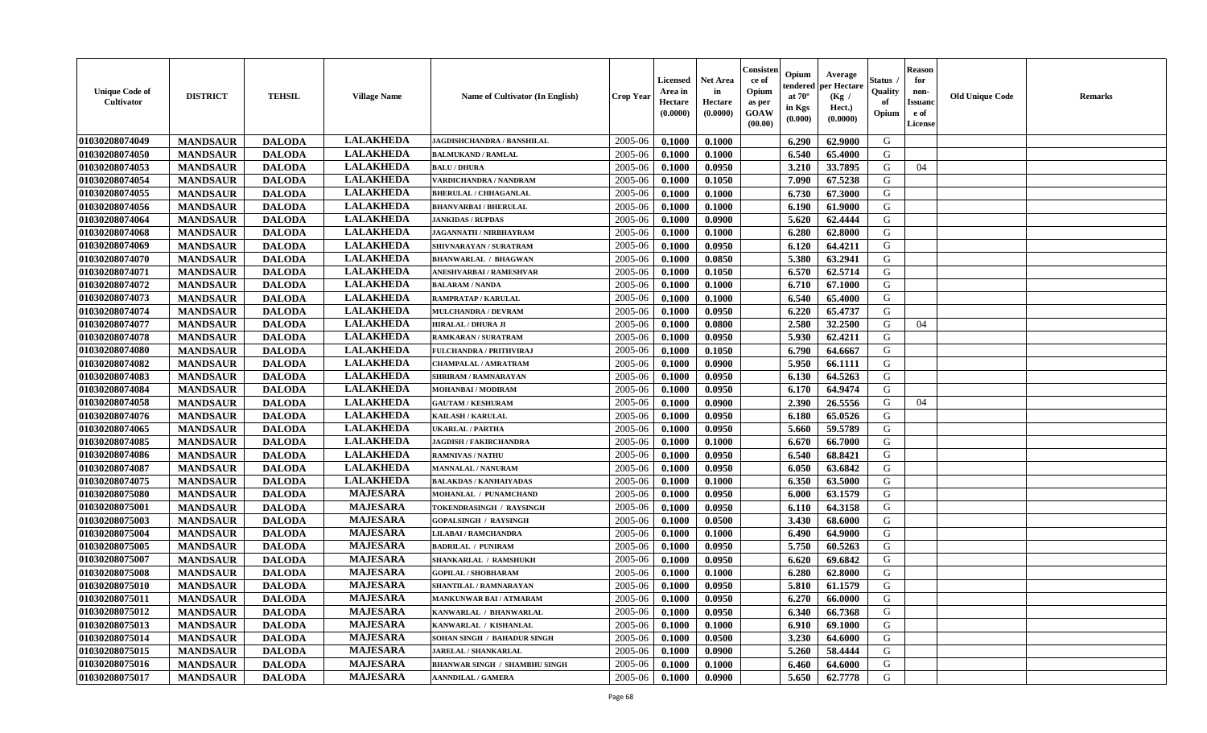| <b>Unique Code of</b><br><b>Cultivator</b> | <b>DISTRICT</b> | <b>TEHSIL</b> | <b>Village Name</b> | Name of Cultivator (In English)      | <b>Crop Year</b> | <b>Licensed</b><br>Area in<br>Hectare<br>(0.0000) | <b>Net Area</b><br>in<br>Hectare<br>(0.0000) | Consisteı<br>ce of<br>Opium<br>as per<br><b>GOAW</b><br>(00.00) | Opium<br>endered<br>at $70^\circ$<br>in Kgs<br>$(\mathbf{0.000})$ | Average<br>per Hectare<br>(Kg /<br>Hect.)<br>(0.0000) | Status<br>Quality<br>of<br>Opium | Reason<br>for<br>non-<br>Issuan<br>e of<br>License | <b>Old Unique Code</b> | <b>Remarks</b> |
|--------------------------------------------|-----------------|---------------|---------------------|--------------------------------------|------------------|---------------------------------------------------|----------------------------------------------|-----------------------------------------------------------------|-------------------------------------------------------------------|-------------------------------------------------------|----------------------------------|----------------------------------------------------|------------------------|----------------|
| 01030208074049                             | <b>MANDSAUR</b> | <b>DALODA</b> | <b>LALAKHEDA</b>    | JAGDISHCHANDRA / BANSHILAL           | 2005-06          | 0.1000                                            | 0.1000                                       |                                                                 | 6.290                                                             | 62.9000                                               | G                                |                                                    |                        |                |
| 01030208074050                             | <b>MANDSAUR</b> | <b>DALODA</b> | <b>LALAKHEDA</b>    | <b>BALMUKAND / RAMLAL</b>            | 2005-06          | 0.1000                                            | 0.1000                                       |                                                                 | 6.540                                                             | 65.4000                                               | G                                |                                                    |                        |                |
| 01030208074053                             | <b>MANDSAUR</b> | <b>DALODA</b> | <b>LALAKHEDA</b>    | <b>BALU / DHURA</b>                  | 2005-06          | 0.1000                                            | 0.0950                                       |                                                                 | 3.210                                                             | 33.7895                                               | G                                | 04                                                 |                        |                |
| 01030208074054                             | <b>MANDSAUR</b> | <b>DALODA</b> | <b>LALAKHEDA</b>    | VARDICHANDRA / NANDRAM               | 2005-06          | 0.1000                                            | 0.1050                                       |                                                                 | 7.090                                                             | 67.5238                                               | G                                |                                                    |                        |                |
| 01030208074055                             | <b>MANDSAUR</b> | <b>DALODA</b> | <b>LALAKHEDA</b>    | <b>BHERULAL / CHHAGANLAL</b>         | 2005-06          | 0.1000                                            | 0.1000                                       |                                                                 | 6.730                                                             | 67.3000                                               | G                                |                                                    |                        |                |
| 01030208074056                             | <b>MANDSAUR</b> | <b>DALODA</b> | <b>LALAKHEDA</b>    | <b>BHANVARBAI/BHERULAL</b>           | 2005-06          | 0.1000                                            | 0.1000                                       |                                                                 | 6.190                                                             | 61.9000                                               | G                                |                                                    |                        |                |
| 01030208074064                             | <b>MANDSAUR</b> | <b>DALODA</b> | <b>LALAKHEDA</b>    | <b>JANKIDAS / RUPDAS</b>             | 2005-06          | 0.1000                                            | 0.0900                                       |                                                                 | 5.620                                                             | 62.4444                                               | G                                |                                                    |                        |                |
| 01030208074068                             | <b>MANDSAUR</b> | <b>DALODA</b> | <b>LALAKHEDA</b>    | <b>JAGANNATH / NIRBHAYRAM</b>        | 2005-06          | 0.1000                                            | 0.1000                                       |                                                                 | 6.280                                                             | 62.8000                                               | G                                |                                                    |                        |                |
| 01030208074069                             | <b>MANDSAUR</b> | <b>DALODA</b> | <b>LALAKHEDA</b>    | SHIVNARAYAN / SURATRAM               | 2005-06          | 0.1000                                            | 0.0950                                       |                                                                 | 6.120                                                             | 64.4211                                               | G                                |                                                    |                        |                |
| 01030208074070                             | <b>MANDSAUR</b> | <b>DALODA</b> | <b>LALAKHEDA</b>    | <b>BHANWARLAL / BHAGWAN</b>          | 2005-06          | 0.1000                                            | 0.0850                                       |                                                                 | 5.380                                                             | 63.2941                                               | G                                |                                                    |                        |                |
| 01030208074071                             | <b>MANDSAUR</b> | <b>DALODA</b> | <b>LALAKHEDA</b>    | ANESHVARBAI / RAMESHVAR              | 2005-06          | 0.1000                                            | 0.1050                                       |                                                                 | 6.570                                                             | 62.5714                                               | G                                |                                                    |                        |                |
| 01030208074072                             | <b>MANDSAUR</b> | <b>DALODA</b> | <b>LALAKHEDA</b>    | <b>BALARAM / NANDA</b>               | 2005-06          | 0.1000                                            | 0.1000                                       |                                                                 | 6.710                                                             | 67.1000                                               | G                                |                                                    |                        |                |
| 01030208074073                             | <b>MANDSAUR</b> | <b>DALODA</b> | <b>LALAKHEDA</b>    | <b>RAMPRATAP / KARULAL</b>           | 2005-06          | 0.1000                                            | 0.1000                                       |                                                                 | 6.540                                                             | 65.4000                                               | G                                |                                                    |                        |                |
| 01030208074074                             | <b>MANDSAUR</b> | <b>DALODA</b> | <b>LALAKHEDA</b>    | <b>MULCHANDRA / DEVRAM</b>           | 2005-06          | 0.1000                                            | 0.0950                                       |                                                                 | 6.220                                                             | 65.4737                                               | G                                |                                                    |                        |                |
| 01030208074077                             | <b>MANDSAUR</b> | <b>DALODA</b> | <b>LALAKHEDA</b>    | <b>HIRALAL / DHURA JI</b>            | 2005-06          | 0.1000                                            | 0.0800                                       |                                                                 | 2.580                                                             | 32.2500                                               | G                                | 04                                                 |                        |                |
| 01030208074078                             | <b>MANDSAUR</b> | <b>DALODA</b> | <b>LALAKHEDA</b>    | RAMKARAN / SURATRAM                  | 2005-06          | 0.1000                                            | 0.0950                                       |                                                                 | 5.930                                                             | 62.4211                                               | G                                |                                                    |                        |                |
| 01030208074080                             | <b>MANDSAUR</b> | <b>DALODA</b> | <b>LALAKHEDA</b>    | <b>FULCHANDRA / PRITHVIRAJ</b>       | 2005-06          | 0.1000                                            | 0.1050                                       |                                                                 | 6.790                                                             | 64.6667                                               | G                                |                                                    |                        |                |
| 01030208074082                             | <b>MANDSAUR</b> | <b>DALODA</b> | <b>LALAKHEDA</b>    | CHAMPALAL / AMRATRAM                 | 2005-06          | 0.1000                                            | 0.0900                                       |                                                                 | 5.950                                                             | 66.1111                                               | G                                |                                                    |                        |                |
| 01030208074083                             | <b>MANDSAUR</b> | <b>DALODA</b> | <b>LALAKHEDA</b>    | SHRIRAM / RAMNARAYAN                 | 2005-06          | 0.1000                                            | 0.0950                                       |                                                                 | 6.130                                                             | 64.5263                                               | G                                |                                                    |                        |                |
| 01030208074084                             | <b>MANDSAUR</b> | <b>DALODA</b> | <b>LALAKHEDA</b>    | MOHANBAI / MODIRAM                   | 2005-06          | 0.1000                                            | 0.0950                                       |                                                                 | 6.170                                                             | 64.9474                                               | G                                |                                                    |                        |                |
| 01030208074058                             | <b>MANDSAUR</b> | <b>DALODA</b> | <b>LALAKHEDA</b>    | <b>GAUTAM / KESHURAM</b>             | 2005-06          | 0.1000                                            | 0.0900                                       |                                                                 | 2.390                                                             | 26.5556                                               | G                                | 04                                                 |                        |                |
| 01030208074076                             | <b>MANDSAUR</b> | <b>DALODA</b> | <b>LALAKHEDA</b>    | KAILASH / KARULAL                    | 2005-06          | 0.1000                                            | 0.0950                                       |                                                                 | 6.180                                                             | 65.0526                                               | G                                |                                                    |                        |                |
| 01030208074065                             | <b>MANDSAUR</b> | <b>DALODA</b> | <b>LALAKHEDA</b>    | <b>UKARLAL / PARTHA</b>              | 2005-06          | 0.1000                                            | 0.0950                                       |                                                                 | 5.660                                                             | 59.5789                                               | G                                |                                                    |                        |                |
| 01030208074085                             | <b>MANDSAUR</b> | <b>DALODA</b> | <b>LALAKHEDA</b>    | <b>JAGDISH / FAKIRCHANDRA</b>        | 2005-06          | 0.1000                                            | 0.1000                                       |                                                                 | 6.670                                                             | 66.7000                                               | G                                |                                                    |                        |                |
| 01030208074086                             | <b>MANDSAUR</b> | <b>DALODA</b> | <b>LALAKHEDA</b>    | <b>RAMNIVAS / NATHU</b>              | 2005-06          | 0.1000                                            | 0.0950                                       |                                                                 | 6.540                                                             | 68.8421                                               | G                                |                                                    |                        |                |
| 01030208074087                             | <b>MANDSAUR</b> | <b>DALODA</b> | <b>LALAKHEDA</b>    | <b>MANNALAL / NANURAM</b>            | 2005-06          | 0.1000                                            | 0.0950                                       |                                                                 | 6.050                                                             | 63.6842                                               | G                                |                                                    |                        |                |
| 01030208074075                             | <b>MANDSAUR</b> | <b>DALODA</b> | <b>LALAKHEDA</b>    | <b>BALAKDAS / KANHAIYADAS</b>        | 2005-06          | 0.1000                                            | 0.1000                                       |                                                                 | 6.350                                                             | 63.5000                                               | G                                |                                                    |                        |                |
| 01030208075080                             | <b>MANDSAUR</b> | <b>DALODA</b> | <b>MAJESARA</b>     | MOHANLAL / PUNAMCHAND                | 2005-06          | 0.1000                                            | 0.0950                                       |                                                                 | 6.000                                                             | 63.1579                                               | G                                |                                                    |                        |                |
| 01030208075001                             | <b>MANDSAUR</b> | <b>DALODA</b> | <b>MAJESARA</b>     | TOKENDRASINGH / RAYSINGH             | 2005-06          | 0.1000                                            | 0.0950                                       |                                                                 | 6.110                                                             | 64.3158                                               | G                                |                                                    |                        |                |
| 01030208075003                             | <b>MANDSAUR</b> | <b>DALODA</b> | <b>MAJESARA</b>     | <b>GOPALSINGH / RAYSINGH</b>         | 2005-06          | 0.1000                                            | 0.0500                                       |                                                                 | 3.430                                                             | 68.6000                                               | G                                |                                                    |                        |                |
| 01030208075004                             | <b>MANDSAUR</b> | <b>DALODA</b> | <b>MAJESARA</b>     | <b>LILABAI/RAMCHANDRA</b>            | 2005-06          | 0.1000                                            | 0.1000                                       |                                                                 | 6.490                                                             | 64.9000                                               | G                                |                                                    |                        |                |
| 01030208075005                             | <b>MANDSAUR</b> | <b>DALODA</b> | <b>MAJESARA</b>     | <b>BADRILAL / PUNIRAM</b>            | 2005-06          | 0.1000                                            | 0.0950                                       |                                                                 | 5.750                                                             | 60.5263                                               | G                                |                                                    |                        |                |
| 01030208075007                             | <b>MANDSAUR</b> | <b>DALODA</b> | <b>MAJESARA</b>     | SHANKARLAL / RAMSHUKH                | 2005-06          | 0.1000                                            | 0.0950                                       |                                                                 | 6.620                                                             | 69.6842                                               | G                                |                                                    |                        |                |
| 01030208075008                             | <b>MANDSAUR</b> | <b>DALODA</b> | <b>MAJESARA</b>     | <b>GOPILAL / SHOBHARAM</b>           | 2005-06          | 0.1000                                            | 0.1000                                       |                                                                 | 6.280                                                             | 62.8000                                               | G                                |                                                    |                        |                |
| 01030208075010                             | <b>MANDSAUR</b> | <b>DALODA</b> | <b>MAJESARA</b>     | SHANTILAL / RAMNARAYAN               | 2005-06          | 0.1000                                            | 0.0950                                       |                                                                 | 5.810                                                             | 61.1579                                               | G                                |                                                    |                        |                |
| 01030208075011                             | <b>MANDSAUR</b> | <b>DALODA</b> | MAJESARA            | <b>MANKUNWAR BAI/ATMARAM</b>         | $2005 - 06$      | 0.1000                                            | 0.0950                                       |                                                                 | 6.270                                                             | 66.0000                                               | G                                |                                                    |                        |                |
| 01030208075012                             | <b>MANDSAUR</b> | <b>DALODA</b> | <b>MAJESARA</b>     | KANWARLAL / BHANWARLAL               | 2005-06          | 0.1000                                            | 0.0950                                       |                                                                 | 6.340                                                             | 66.7368                                               | G                                |                                                    |                        |                |
| 01030208075013                             | <b>MANDSAUR</b> | <b>DALODA</b> | <b>MAJESARA</b>     | KANWARLAL / KISHANLAL                | 2005-06          | 0.1000                                            | 0.1000                                       |                                                                 | 6.910                                                             | 69.1000                                               | G                                |                                                    |                        |                |
| 01030208075014                             | <b>MANDSAUR</b> | <b>DALODA</b> | <b>MAJESARA</b>     | SOHAN SINGH / BAHADUR SINGH          | 2005-06          | 0.1000                                            | 0.0500                                       |                                                                 | 3.230                                                             | 64.6000                                               | G                                |                                                    |                        |                |
| 01030208075015                             | <b>MANDSAUR</b> | <b>DALODA</b> | <b>MAJESARA</b>     | <b>JARELAL / SHANKARLAL</b>          | 2005-06          | 0.1000                                            | 0.0900                                       |                                                                 | 5.260                                                             | 58.4444                                               | G                                |                                                    |                        |                |
| 01030208075016                             | <b>MANDSAUR</b> | <b>DALODA</b> | <b>MAJESARA</b>     | <b>BHANWAR SINGH / SHAMBHU SINGH</b> | 2005-06          | 0.1000                                            | 0.1000                                       |                                                                 | 6.460                                                             | 64.6000                                               | G                                |                                                    |                        |                |
| 01030208075017                             | <b>MANDSAUR</b> | <b>DALODA</b> | <b>MAJESARA</b>     | <b>AANNDILAL / GAMERA</b>            | 2005-06          | 0.1000                                            | 0.0900                                       |                                                                 | 5.650                                                             | 62.7778                                               | G                                |                                                    |                        |                |
|                                            |                 |               |                     |                                      |                  |                                                   |                                              |                                                                 |                                                                   |                                                       |                                  |                                                    |                        |                |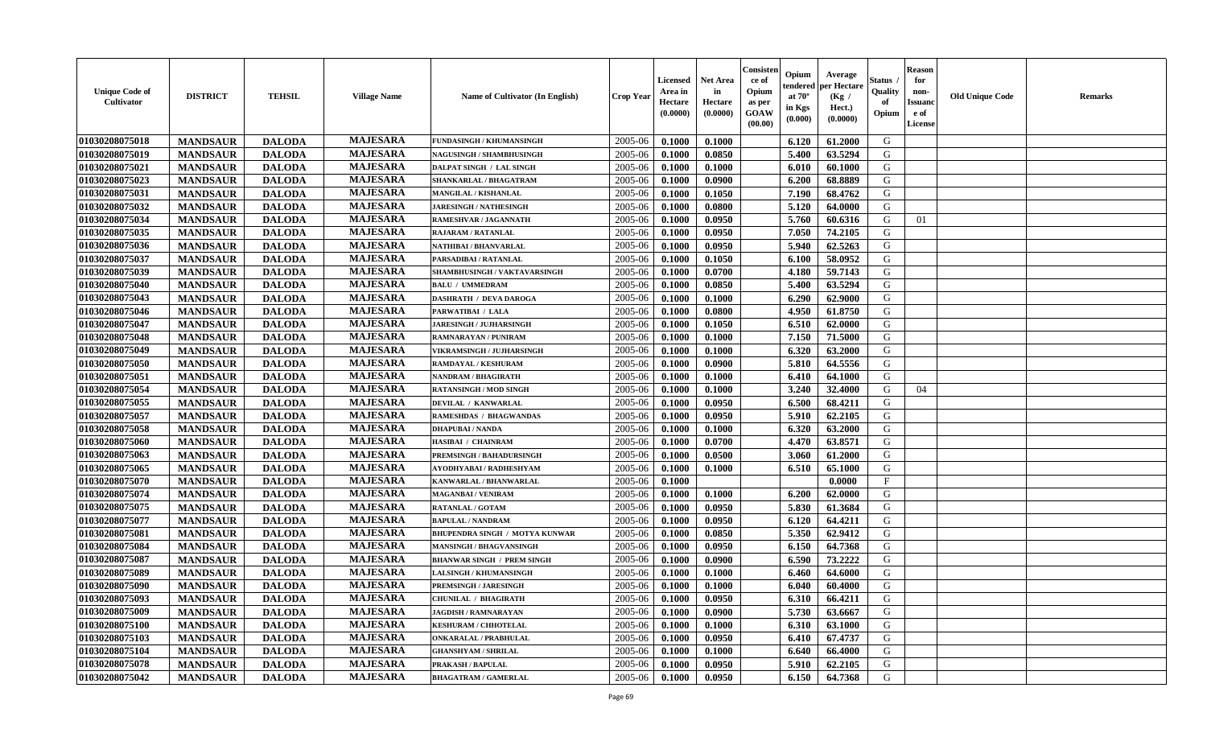| <b>Unique Code of</b><br><b>Cultivator</b> | <b>DISTRICT</b> | <b>TEHSIL</b> | <b>Village Name</b> | Name of Cultivator (In English)       | <b>Crop Year</b> | <b>Licensed</b><br>Area in<br>Hectare<br>(0.0000) | <b>Net Area</b><br>in<br>Hectare<br>(0.0000) | Consister<br>ce of<br>Opium<br>as per<br><b>GOAW</b><br>(00.00) | Opium<br>endered<br>at $70^\circ$<br>in Kgs<br>(0.000) | Average<br>per Hectare<br>(Kg /<br>Hect.)<br>(0.0000) | Status<br>Quality<br>of<br>Opium | <b>Reason</b><br>for<br>non-<br><b>Issuand</b><br>e of<br><b>License</b> | <b>Old Unique Code</b> | <b>Remarks</b> |
|--------------------------------------------|-----------------|---------------|---------------------|---------------------------------------|------------------|---------------------------------------------------|----------------------------------------------|-----------------------------------------------------------------|--------------------------------------------------------|-------------------------------------------------------|----------------------------------|--------------------------------------------------------------------------|------------------------|----------------|
| 01030208075018                             | <b>MANDSAUR</b> | <b>DALODA</b> | <b>MAJESARA</b>     | FUNDASINGH / KHUMANSINGH              | 2005-06          | 0.1000                                            | 0.1000                                       |                                                                 | 6.120                                                  | 61.2000                                               | G                                |                                                                          |                        |                |
| 01030208075019                             | <b>MANDSAUR</b> | <b>DALODA</b> | <b>MAJESARA</b>     | NAGUSINGH / SHAMBHUSINGH              | 2005-06          | 0.1000                                            | 0.0850                                       |                                                                 | 5.400                                                  | 63.5294                                               | G                                |                                                                          |                        |                |
| 01030208075021                             | <b>MANDSAUR</b> | <b>DALODA</b> | <b>MAJESARA</b>     | DALPAT SINGH / LAL SINGH              | 2005-06          | 0.1000                                            | 0.1000                                       |                                                                 | 6.010                                                  | 60.1000                                               | G                                |                                                                          |                        |                |
| 01030208075023                             | <b>MANDSAUR</b> | <b>DALODA</b> | <b>MAJESARA</b>     | SHANKARLAL / BHAGATRAM                | 2005-06          | 0.1000                                            | 0.0900                                       |                                                                 | 6.200                                                  | 68.8889                                               | G                                |                                                                          |                        |                |
| 01030208075031                             | <b>MANDSAUR</b> | <b>DALODA</b> | <b>MAJESARA</b>     | MANGILAL / KISHANLAL                  | 2005-06          | 0.1000                                            | 0.1050                                       |                                                                 | 7.190                                                  | 68.4762                                               | G                                |                                                                          |                        |                |
| 01030208075032                             | <b>MANDSAUR</b> | <b>DALODA</b> | <b>MAJESARA</b>     | <b>JARESINGH / NATHESINGH</b>         | 2005-06          | 0.1000                                            | 0.0800                                       |                                                                 | 5.120                                                  | 64.0000                                               | G                                |                                                                          |                        |                |
| 01030208075034                             | <b>MANDSAUR</b> | <b>DALODA</b> | <b>MAJESARA</b>     | <b>RAMESHVAR / JAGANNATH</b>          | 2005-06          | 0.1000                                            | 0.0950                                       |                                                                 | 5.760                                                  | 60.6316                                               | G                                | 01                                                                       |                        |                |
| 01030208075035                             | <b>MANDSAUR</b> | <b>DALODA</b> | <b>MAJESARA</b>     | RAJARAM / RATANLAL                    | 2005-06          | 0.1000                                            | 0.0950                                       |                                                                 | 7.050                                                  | 74.2105                                               | G                                |                                                                          |                        |                |
| 01030208075036                             | <b>MANDSAUR</b> | <b>DALODA</b> | <b>MAJESARA</b>     | <b>NATHIBAI / BHANVARLAL</b>          | 2005-06          | 0.1000                                            | 0.0950                                       |                                                                 | 5.940                                                  | 62.5263                                               | G                                |                                                                          |                        |                |
| 01030208075037                             | <b>MANDSAUR</b> | <b>DALODA</b> | <b>MAJESARA</b>     | PARSADIBAI / RATANLAL                 | 2005-06          | 0.1000                                            | 0.1050                                       |                                                                 | 6.100                                                  | 58.0952                                               | G                                |                                                                          |                        |                |
| 01030208075039                             | <b>MANDSAUR</b> | <b>DALODA</b> | <b>MAJESARA</b>     | SHAMBHUSINGH / VAKTAVARSINGH          | 2005-06          | 0.1000                                            | 0.0700                                       |                                                                 | 4.180                                                  | 59.7143                                               | G                                |                                                                          |                        |                |
| 01030208075040                             | <b>MANDSAUR</b> | <b>DALODA</b> | <b>MAJESARA</b>     | <b>BALU / UMMEDRAM</b>                | 2005-06          | 0.1000                                            | 0.0850                                       |                                                                 | 5.400                                                  | 63.5294                                               | G                                |                                                                          |                        |                |
| 01030208075043                             | <b>MANDSAUR</b> | <b>DALODA</b> | <b>MAJESARA</b>     | <b>DASHRATH / DEVA DAROGA</b>         | 2005-06          | 0.1000                                            | 0.1000                                       |                                                                 | 6.290                                                  | 62.9000                                               | G                                |                                                                          |                        |                |
| 01030208075046                             | <b>MANDSAUR</b> | <b>DALODA</b> | <b>MAJESARA</b>     | PARWATIBAI / LALA                     | 2005-06          | 0.1000                                            | 0.0800                                       |                                                                 | 4.950                                                  | 61.8750                                               | G                                |                                                                          |                        |                |
| 01030208075047                             | <b>MANDSAUR</b> | <b>DALODA</b> | <b>MAJESARA</b>     | <b>JARESINGH / JUJHARSINGH</b>        | 2005-06          | 0.1000                                            | 0.1050                                       |                                                                 | 6.510                                                  | 62.0000                                               | G                                |                                                                          |                        |                |
| 01030208075048                             | <b>MANDSAUR</b> | <b>DALODA</b> | <b>MAJESARA</b>     | RAMNARAYAN / PUNIRAM                  | 2005-06          | 0.1000                                            | 0.1000                                       |                                                                 | 7.150                                                  | 71.5000                                               | G                                |                                                                          |                        |                |
| 01030208075049                             | <b>MANDSAUR</b> | <b>DALODA</b> | <b>MAJESARA</b>     | VIKRAMSINGH / JUJHARSINGH             | 2005-06          | 0.1000                                            | 0.1000                                       |                                                                 | 6.320                                                  | 63.2000                                               | G                                |                                                                          |                        |                |
| 01030208075050                             | <b>MANDSAUR</b> | <b>DALODA</b> | <b>MAJESARA</b>     | RAMDAYAL / KESHURAM                   | 2005-06          | 0.1000                                            | 0.0900                                       |                                                                 | 5.810                                                  | 64.5556                                               | G                                |                                                                          |                        |                |
| 01030208075051                             | <b>MANDSAUR</b> | <b>DALODA</b> | <b>MAJESARA</b>     | NANDRAM / BHAGIRATH                   | 2005-06          | 0.1000                                            | 0.1000                                       |                                                                 | 6.410                                                  | 64.1000                                               | G                                |                                                                          |                        |                |
| 01030208075054                             | <b>MANDSAUR</b> | <b>DALODA</b> | <b>MAJESARA</b>     | <b>RATANSINGH / MOD SINGH</b>         | 2005-06          | 0.1000                                            | 0.1000                                       |                                                                 | 3.240                                                  | 32.4000                                               | G                                | 04                                                                       |                        |                |
| 01030208075055                             | <b>MANDSAUR</b> | <b>DALODA</b> | <b>MAJESARA</b>     | DEVILAL / KANWARLAL                   | 2005-06          | 0.1000                                            | 0.0950                                       |                                                                 | 6.500                                                  | 68.4211                                               | G                                |                                                                          |                        |                |
| 01030208075057                             | <b>MANDSAUR</b> | <b>DALODA</b> | <b>MAJESARA</b>     | <b>RAMESHDAS / BHAGWANDAS</b>         | 2005-06          | 0.1000                                            | 0.0950                                       |                                                                 | 5.910                                                  | 62.2105                                               | G                                |                                                                          |                        |                |
| 01030208075058                             | <b>MANDSAUR</b> | <b>DALODA</b> | <b>MAJESARA</b>     | <b>DHAPUBAI/NANDA</b>                 | 2005-06          | 0.1000                                            | 0.1000                                       |                                                                 | 6.320                                                  | 63.2000                                               | G                                |                                                                          |                        |                |
| 01030208075060                             | <b>MANDSAUR</b> | <b>DALODA</b> | <b>MAJESARA</b>     | HASIBAI / CHAINRAM                    | 2005-06          | 0.1000                                            | 0.0700                                       |                                                                 | 4.470                                                  | 63.8571                                               | G                                |                                                                          |                        |                |
| 01030208075063                             | <b>MANDSAUR</b> | <b>DALODA</b> | <b>MAJESARA</b>     | <b>PREMSINGH / BAHADURSINGH</b>       | 2005-06          | 0.1000                                            | 0.0500                                       |                                                                 | 3.060                                                  | 61.2000                                               | G                                |                                                                          |                        |                |
| 01030208075065                             | <b>MANDSAUR</b> | <b>DALODA</b> | <b>MAJESARA</b>     | AYODHYABAI / RADHESHYAM               | 2005-06          | 0.1000                                            | 0.1000                                       |                                                                 | 6.510                                                  | 65.1000                                               | G                                |                                                                          |                        |                |
| 01030208075070                             | <b>MANDSAUR</b> | <b>DALODA</b> | <b>MAJESARA</b>     | KANWARLAL / BHANWARLAL                | 2005-06          | 0.1000                                            |                                              |                                                                 |                                                        | 0.0000                                                | F                                |                                                                          |                        |                |
| 01030208075074                             | <b>MANDSAUR</b> | <b>DALODA</b> | <b>MAJESARA</b>     | <b>MAGANBAI/VENIRAM</b>               | 2005-06          | 0.1000                                            | 0.1000                                       |                                                                 | 6.200                                                  | 62.0000                                               | G                                |                                                                          |                        |                |
| 01030208075075                             | <b>MANDSAUR</b> | <b>DALODA</b> | <b>MAJESARA</b>     | <b>RATANLAL / GOTAM</b>               | 2005-06          | 0.1000                                            | 0.0950                                       |                                                                 | 5.830                                                  | 61.3684                                               | G                                |                                                                          |                        |                |
| 01030208075077                             | <b>MANDSAUR</b> | <b>DALODA</b> | <b>MAJESARA</b>     | <b>BAPULAL / NANDRAM</b>              | 2005-06          | 0.1000                                            | 0.0950                                       |                                                                 | 6.120                                                  | 64.4211                                               | G                                |                                                                          |                        |                |
| 01030208075081                             | <b>MANDSAUR</b> | <b>DALODA</b> | <b>MAJESARA</b>     | <b>BHUPENDRA SINGH / MOTYA KUNWAR</b> | 2005-06          | 0.1000                                            | 0.0850                                       |                                                                 | 5.350                                                  | 62.9412                                               | G                                |                                                                          |                        |                |
| 01030208075084                             | <b>MANDSAUR</b> | <b>DALODA</b> | <b>MAJESARA</b>     | <b>MANSINGH / BHAGVANSINGH</b>        | 2005-06          | 0.1000                                            | 0.0950                                       |                                                                 | 6.150                                                  | 64.7368                                               | ${\bf G}$                        |                                                                          |                        |                |
| 01030208075087                             | <b>MANDSAUR</b> | <b>DALODA</b> | <b>MAJESARA</b>     | <b>BHANWAR SINGH / PREM SINGH</b>     | 2005-06          | 0.1000                                            | 0.0900                                       |                                                                 | 6.590                                                  | 73.2222                                               | G                                |                                                                          |                        |                |
| 01030208075089                             | <b>MANDSAUR</b> | <b>DALODA</b> | <b>MAJESARA</b>     | <b>LALSINGH / KHUMANSINGH</b>         | 2005-06          | 0.1000                                            | 0.1000                                       |                                                                 | 6.460                                                  | 64.6000                                               | G                                |                                                                          |                        |                |
| 01030208075090                             | <b>MANDSAUR</b> | <b>DALODA</b> | <b>MAJESARA</b>     | <b>PREMSINGH / JARESINGH</b>          | 2005-06          | 0.1000                                            | 0.1000                                       |                                                                 | 6.040                                                  | 60.4000                                               | G                                |                                                                          |                        |                |
| 01030208075093                             | <b>MANDSAUR</b> | <b>DALODA</b> | <b>MAJESARA</b>     | <b>CHUNILAL / BHAGIRATH</b>           | 2005-06          | 0.1000                                            | 0.0950                                       |                                                                 | 6.310                                                  | 66.4211                                               | G                                |                                                                          |                        |                |
| 01030208075009                             | <b>MANDSAUR</b> | <b>DALODA</b> | <b>MAJESARA</b>     | <b>JAGDISH / RAMNARAYAN</b>           | 2005-06          | 0.1000                                            | 0.0900                                       |                                                                 | 5.730                                                  | 63.6667                                               | G                                |                                                                          |                        |                |
| 01030208075100                             | <b>MANDSAUR</b> | <b>DALODA</b> | <b>MAJESARA</b>     | <b>KESHURAM / CHHOTELAL</b>           | 2005-06          | 0.1000                                            | 0.1000                                       |                                                                 | 6.310                                                  | 63.1000                                               | G                                |                                                                          |                        |                |
| 01030208075103                             | <b>MANDSAUR</b> | <b>DALODA</b> | <b>MAJESARA</b>     | <b>ONKARALAL / PRABHULAI</b>          | 2005-06          | 0.1000                                            | 0.0950                                       |                                                                 | 6.410                                                  | 67.4737                                               | G                                |                                                                          |                        |                |
| 01030208075104                             | <b>MANDSAUR</b> | <b>DALODA</b> | <b>MAJESARA</b>     | <b>GHANSHYAM / SHRILAL</b>            | 2005-06          | 0.1000                                            | 0.1000                                       |                                                                 | 6.640                                                  | 66.4000                                               | G                                |                                                                          |                        |                |
| 01030208075078                             | <b>MANDSAUR</b> | <b>DALODA</b> | <b>MAJESARA</b>     | <b>PRAKASH / BAPULAL</b>              | 2005-06          | 0.1000                                            | 0.0950                                       |                                                                 | 5.910                                                  | 62.2105                                               | G                                |                                                                          |                        |                |
| 01030208075042                             | <b>MANDSAUR</b> | <b>DALODA</b> | <b>MAJESARA</b>     | <b>BHAGATRAM / GAMERLAL</b>           | 2005-06          | 0.1000                                            | 0.0950                                       |                                                                 | 6.150                                                  | 64.7368                                               | G                                |                                                                          |                        |                |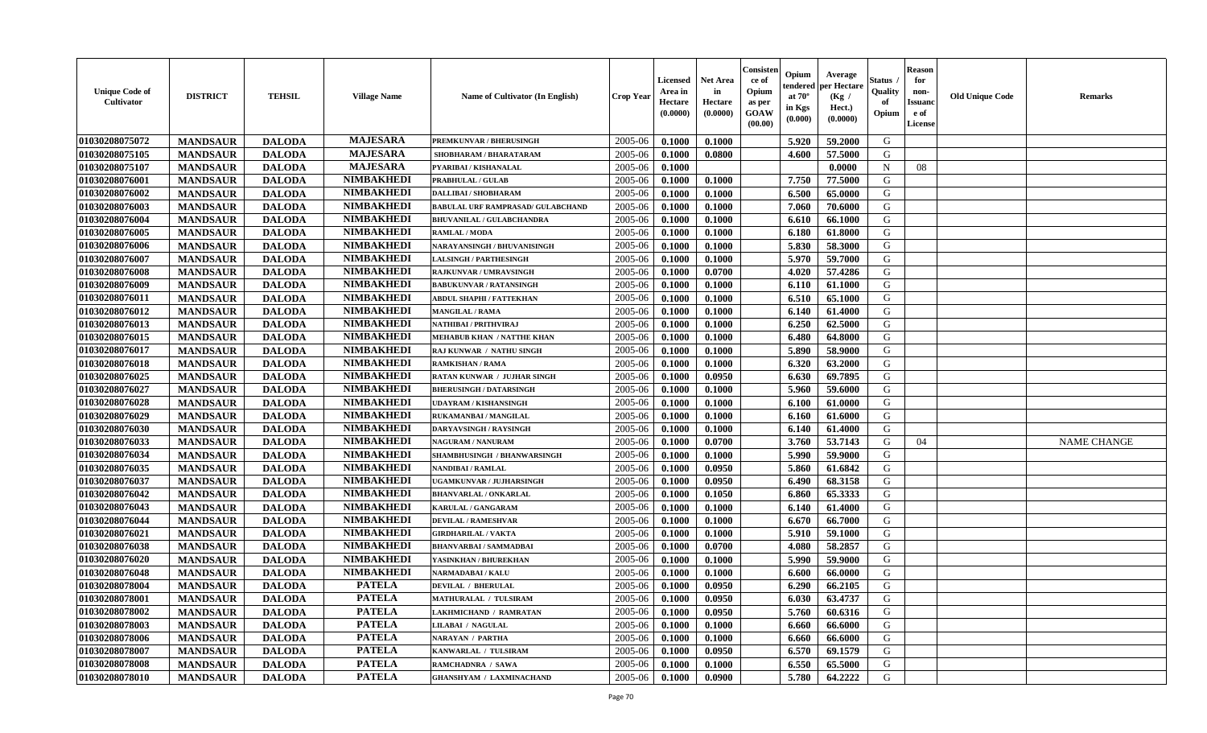| <b>Unique Code of</b><br><b>Cultivator</b> | <b>DISTRICT</b> | <b>TEHSIL</b> | <b>Village Name</b> | Name of Cultivator (In English)          | <b>Crop Year</b> | Licensed<br>Area in<br>Hectare<br>(0.0000) | Net Area<br>in<br>Hectare<br>(0.0000) | Consisteı<br>ce of<br>Opium<br>as per<br>GOAW<br>(00.00) | Opium<br>endered<br>at $70^\circ$<br>in Kgs<br>(0.000) | Average<br>per Hectare<br>(Kg /<br>Hect.)<br>(0.0000) | Status<br>Quality<br>of<br>Opium | <b>Reason</b><br>for<br>non-<br>Issuano<br>e of<br>License | <b>Old Unique Code</b> | Remarks            |
|--------------------------------------------|-----------------|---------------|---------------------|------------------------------------------|------------------|--------------------------------------------|---------------------------------------|----------------------------------------------------------|--------------------------------------------------------|-------------------------------------------------------|----------------------------------|------------------------------------------------------------|------------------------|--------------------|
| 01030208075072                             | <b>MANDSAUR</b> | <b>DALODA</b> | <b>MAJESARA</b>     | PREMKUNVAR / BHERUSINGH                  | 2005-06          | 0.1000                                     | 0.1000                                |                                                          | 5.920                                                  | 59.2000                                               | G                                |                                                            |                        |                    |
| 01030208075105                             | <b>MANDSAUR</b> | <b>DALODA</b> | <b>MAJESARA</b>     | SHOBHARAM / BHARATARAM                   | 2005-06          | 0.1000                                     | 0.0800                                |                                                          | 4.600                                                  | 57.5000                                               | G                                |                                                            |                        |                    |
| 01030208075107                             | <b>MANDSAUR</b> | <b>DALODA</b> | <b>MAJESARA</b>     | PYARIBAI / KISHANALAL                    | 2005-06          | 0.1000                                     |                                       |                                                          |                                                        | 0.0000                                                | $\mathbf N$                      | 08                                                         |                        |                    |
| 01030208076001                             | <b>MANDSAUR</b> | <b>DALODA</b> | <b>NIMBAKHEDI</b>   | PRABHULAL / GULAB                        | 2005-06          | 0.1000                                     | 0.1000                                |                                                          | 7.750                                                  | 77.5000                                               | G                                |                                                            |                        |                    |
| 01030208076002                             | <b>MANDSAUR</b> | <b>DALODA</b> | <b>NIMBAKHEDI</b>   | <b>DALLIBAI/SHOBHARAM</b>                | 2005-06          | 0.1000                                     | 0.1000                                |                                                          | 6.500                                                  | 65.0000                                               | G                                |                                                            |                        |                    |
| 01030208076003                             | <b>MANDSAUR</b> | <b>DALODA</b> | <b>NIMBAKHEDI</b>   | <b>BABULAL URF RAMPRASAD/ GULABCHAND</b> | 2005-06          | 0.1000                                     | 0.1000                                |                                                          | 7.060                                                  | 70.6000                                               | G                                |                                                            |                        |                    |
| 01030208076004                             | <b>MANDSAUR</b> | <b>DALODA</b> | <b>NIMBAKHEDI</b>   | <b>BHUVANILAL / GULABCHANDRA</b>         | 2005-06          | 0.1000                                     | 0.1000                                |                                                          | 6.610                                                  | 66.1000                                               | G                                |                                                            |                        |                    |
| 01030208076005                             | <b>MANDSAUR</b> | <b>DALODA</b> | <b>NIMBAKHEDI</b>   | <b>RAMLAL / MODA</b>                     | 2005-06          | 0.1000                                     | 0.1000                                |                                                          | 6.180                                                  | 61.8000                                               | G                                |                                                            |                        |                    |
| 01030208076006                             | <b>MANDSAUR</b> | <b>DALODA</b> | <b>NIMBAKHEDI</b>   | NARAYANSINGH / BHUVANISINGH              | 2005-06          | 0.1000                                     | 0.1000                                |                                                          | 5.830                                                  | 58.3000                                               | G                                |                                                            |                        |                    |
| 01030208076007                             | <b>MANDSAUR</b> | <b>DALODA</b> | <b>NIMBAKHEDI</b>   | <b>LALSINGH / PARTHESINGH</b>            | 2005-06          | 0.1000                                     | 0.1000                                |                                                          | 5.970                                                  | 59.7000                                               | G                                |                                                            |                        |                    |
| 01030208076008                             | <b>MANDSAUR</b> | <b>DALODA</b> | <b>NIMBAKHEDI</b>   | <b>RAJKUNVAR / UMRAVSINGH</b>            | 2005-06          | 0.1000                                     | 0.0700                                |                                                          | 4.020                                                  | 57.4286                                               | G                                |                                                            |                        |                    |
| 01030208076009                             | <b>MANDSAUR</b> | <b>DALODA</b> | <b>NIMBAKHEDI</b>   | <b>BABUKUNVAR / RATANSINGH</b>           | 2005-06          | 0.1000                                     | 0.1000                                |                                                          | 6.110                                                  | 61.1000                                               | G                                |                                                            |                        |                    |
| 01030208076011                             | <b>MANDSAUR</b> | <b>DALODA</b> | <b>NIMBAKHEDI</b>   | <b>ABDUL SHAPHI / FATTEKHAN</b>          | 2005-06          | 0.1000                                     | 0.1000                                |                                                          | 6.510                                                  | 65.1000                                               | G                                |                                                            |                        |                    |
| 01030208076012                             | <b>MANDSAUR</b> | <b>DALODA</b> | <b>NIMBAKHEDI</b>   | <b>MANGILAL / RAMA</b>                   | 2005-06          | 0.1000                                     | 0.1000                                |                                                          | 6.140                                                  | 61.4000                                               | G                                |                                                            |                        |                    |
| 01030208076013                             | <b>MANDSAUR</b> | <b>DALODA</b> | <b>NIMBAKHEDI</b>   | NATHIBAI / PRITHVIRAJ                    | 2005-06          | 0.1000                                     | 0.1000                                |                                                          | 6.250                                                  | 62.5000                                               | $\mathbf G$                      |                                                            |                        |                    |
| 01030208076015                             | <b>MANDSAUR</b> | <b>DALODA</b> | <b>NIMBAKHEDI</b>   | <b>MEHABUB KHAN / NATTHE KHAN</b>        | 2005-06          | 0.1000                                     | 0.1000                                |                                                          | 6.480                                                  | 64.8000                                               | G                                |                                                            |                        |                    |
| 01030208076017                             | <b>MANDSAUR</b> | <b>DALODA</b> | <b>NIMBAKHEDI</b>   | RAJ KUNWAR / NATHU SINGH                 | 2005-06          | 0.1000                                     | 0.1000                                |                                                          | 5.890                                                  | 58.9000                                               | G                                |                                                            |                        |                    |
| 01030208076018                             | <b>MANDSAUR</b> | <b>DALODA</b> | <b>NIMBAKHEDI</b>   | <b>RAMKISHAN / RAMA</b>                  | 2005-06          | 0.1000                                     | 0.1000                                |                                                          | 6.320                                                  | 63.2000                                               | G                                |                                                            |                        |                    |
| 01030208076025                             | <b>MANDSAUR</b> | <b>DALODA</b> | <b>NIMBAKHEDI</b>   | <b>RATAN KUNWAR / JUJHAR SINGH</b>       | 2005-06          | 0.1000                                     | 0.0950                                |                                                          | 6.630                                                  | 69.7895                                               | G                                |                                                            |                        |                    |
| 01030208076027                             | <b>MANDSAUR</b> | <b>DALODA</b> | <b>NIMBAKHEDI</b>   | <b>BHERUSINGH / DATARSINGH</b>           | 2005-06          | 0.1000                                     | 0.1000                                |                                                          | 5.960                                                  | 59.6000                                               | G                                |                                                            |                        |                    |
| 01030208076028                             | <b>MANDSAUR</b> | <b>DALODA</b> | <b>NIMBAKHEDI</b>   | <b>UDAYRAM / KISHANSINGH</b>             | 2005-06          | 0.1000                                     | 0.1000                                |                                                          | 6.100                                                  | 61.0000                                               | G                                |                                                            |                        |                    |
| 01030208076029                             | <b>MANDSAUR</b> | <b>DALODA</b> | <b>NIMBAKHEDI</b>   | RUKAMANBAI / MANGILAL                    | 2005-06          | 0.1000                                     | 0.1000                                |                                                          | 6.160                                                  | 61.6000                                               | G                                |                                                            |                        |                    |
| 01030208076030                             | <b>MANDSAUR</b> | <b>DALODA</b> | <b>NIMBAKHEDI</b>   | <b>DARYAVSINGH / RAYSINGH</b>            | 2005-06          | 0.1000                                     | 0.1000                                |                                                          | 6.140                                                  | 61.4000                                               | G                                |                                                            |                        |                    |
| 01030208076033                             | <b>MANDSAUR</b> | <b>DALODA</b> | <b>NIMBAKHEDI</b>   | <b>NAGURAM / NANURAM</b>                 | 2005-06          | 0.1000                                     | 0.0700                                |                                                          | 3.760                                                  | 53.7143                                               | G                                | 04                                                         |                        | <b>NAME CHANGE</b> |
| 01030208076034                             | <b>MANDSAUR</b> | <b>DALODA</b> | <b>NIMBAKHEDI</b>   | <b>SHAMBHUSINGH / BHANWARSINGH</b>       | 2005-06          | 0.1000                                     | 0.1000                                |                                                          | 5.990                                                  | 59.9000                                               | G                                |                                                            |                        |                    |
| 01030208076035                             | <b>MANDSAUR</b> | <b>DALODA</b> | <b>NIMBAKHEDI</b>   | <b>NANDIBAI / RAMLAL</b>                 | 2005-06          | 0.1000                                     | 0.0950                                |                                                          | 5.860                                                  | 61.6842                                               | G                                |                                                            |                        |                    |
| 01030208076037                             | <b>MANDSAUR</b> | <b>DALODA</b> | <b>NIMBAKHEDI</b>   | UGAMKUNVAR / JUJHARSINGH                 | 2005-06          | 0.1000                                     | 0.0950                                |                                                          | 6.490                                                  | 68.3158                                               | G                                |                                                            |                        |                    |
| 01030208076042                             | <b>MANDSAUR</b> | <b>DALODA</b> | <b>NIMBAKHEDI</b>   | <b>BHANVARLAL / ONKARLAL</b>             | 2005-06          | 0.1000                                     | 0.1050                                |                                                          | 6.860                                                  | 65.3333                                               | G                                |                                                            |                        |                    |
| 01030208076043                             | <b>MANDSAUR</b> | <b>DALODA</b> | <b>NIMBAKHEDI</b>   | KARULAL / GANGARAM                       | 2005-06          | 0.1000                                     | 0.1000                                |                                                          | 6.140                                                  | 61.4000                                               | G                                |                                                            |                        |                    |
| 01030208076044                             | <b>MANDSAUR</b> | <b>DALODA</b> | <b>NIMBAKHEDI</b>   | <b>DEVILAL / RAMESHVAR</b>               | 2005-06          | 0.1000                                     | 0.1000                                |                                                          | 6.670                                                  | 66.7000                                               | G                                |                                                            |                        |                    |
| 01030208076021                             | <b>MANDSAUR</b> | <b>DALODA</b> | <b>NIMBAKHEDI</b>   | <b>GIRDHARILAL / VAKTA</b>               | 2005-06          | 0.1000                                     | 0.1000                                |                                                          | 5.910                                                  | 59.1000                                               | G                                |                                                            |                        |                    |
| 01030208076038                             | <b>MANDSAUR</b> | <b>DALODA</b> | <b>NIMBAKHEDI</b>   | <b>BHANVARBAI/SAMMADBAI</b>              | 2005-06          | 0.1000                                     | 0.0700                                |                                                          | 4.080                                                  | 58.2857                                               | G                                |                                                            |                        |                    |
| 01030208076020                             | <b>MANDSAUR</b> | <b>DALODA</b> | <b>NIMBAKHEDI</b>   | YASINKHAN / BHUREKHAN                    | 2005-06          | 0.1000                                     | 0.1000                                |                                                          | 5.990                                                  | 59.9000                                               | G                                |                                                            |                        |                    |
| 01030208076048                             | <b>MANDSAUR</b> | <b>DALODA</b> | <b>NIMBAKHEDI</b>   | <b>NARMADABAI/KALU</b>                   | 2005-06          | 0.1000                                     | 0.1000                                |                                                          | 6.600                                                  | 66.0000                                               | G                                |                                                            |                        |                    |
| 01030208078004                             | <b>MANDSAUR</b> | <b>DALODA</b> | <b>PATELA</b>       | <b>DEVILAL / BHERULAL</b>                | 2005-06          | 0.1000                                     | 0.0950                                |                                                          | 6.290                                                  | 66.2105                                               | G                                |                                                            |                        |                    |
| 01030208078001                             | <b>MANDSAUR</b> | <b>DALODA</b> | <b>PATELA</b>       | MATHURALAL / TULSIRAM                    | 2005-06          | 0.1000                                     | 0.0950                                |                                                          | 6.030                                                  | 63.4737                                               | G                                |                                                            |                        |                    |
| 01030208078002                             | <b>MANDSAUR</b> | <b>DALODA</b> | <b>PATELA</b>       | <b>LAKHMICHAND / RAMRATAN</b>            | 2005-06          | 0.1000                                     | 0.0950                                |                                                          | 5.760                                                  | 60.6316                                               | G                                |                                                            |                        |                    |
| 01030208078003                             | <b>MANDSAUR</b> | <b>DALODA</b> | <b>PATELA</b>       | <b>LILABAI / NAGULAL</b>                 | 2005-06          | 0.1000                                     | 0.1000                                |                                                          | 6.660                                                  | 66.6000                                               | G                                |                                                            |                        |                    |
| 01030208078006                             | <b>MANDSAUR</b> | <b>DALODA</b> | <b>PATELA</b>       | <b>NARAYAN / PARTHA</b>                  | 2005-06          | 0.1000                                     | 0.1000                                |                                                          | 6.660                                                  | 66.6000                                               | G                                |                                                            |                        |                    |
| 01030208078007                             | <b>MANDSAUR</b> | <b>DALODA</b> | <b>PATELA</b>       | KANWARLAL / TULSIRAM                     | 2005-06          | 0.1000                                     | 0.0950                                |                                                          | 6.570                                                  | 69.1579                                               | ${\bf G}$                        |                                                            |                        |                    |
| 01030208078008                             | <b>MANDSAUR</b> | <b>DALODA</b> | <b>PATELA</b>       | RAMCHADNRA / SAWA                        | 2005-06          | 0.1000                                     | 0.1000                                |                                                          | 6.550                                                  | 65.5000                                               | G                                |                                                            |                        |                    |
| 01030208078010                             | <b>MANDSAUR</b> | <b>DALODA</b> | <b>PATELA</b>       | <b>GHANSHYAM / LAXMINACHAND</b>          | 2005-06          | 0.1000                                     | 0.0900                                |                                                          | 5.780                                                  | 64.2222                                               | G                                |                                                            |                        |                    |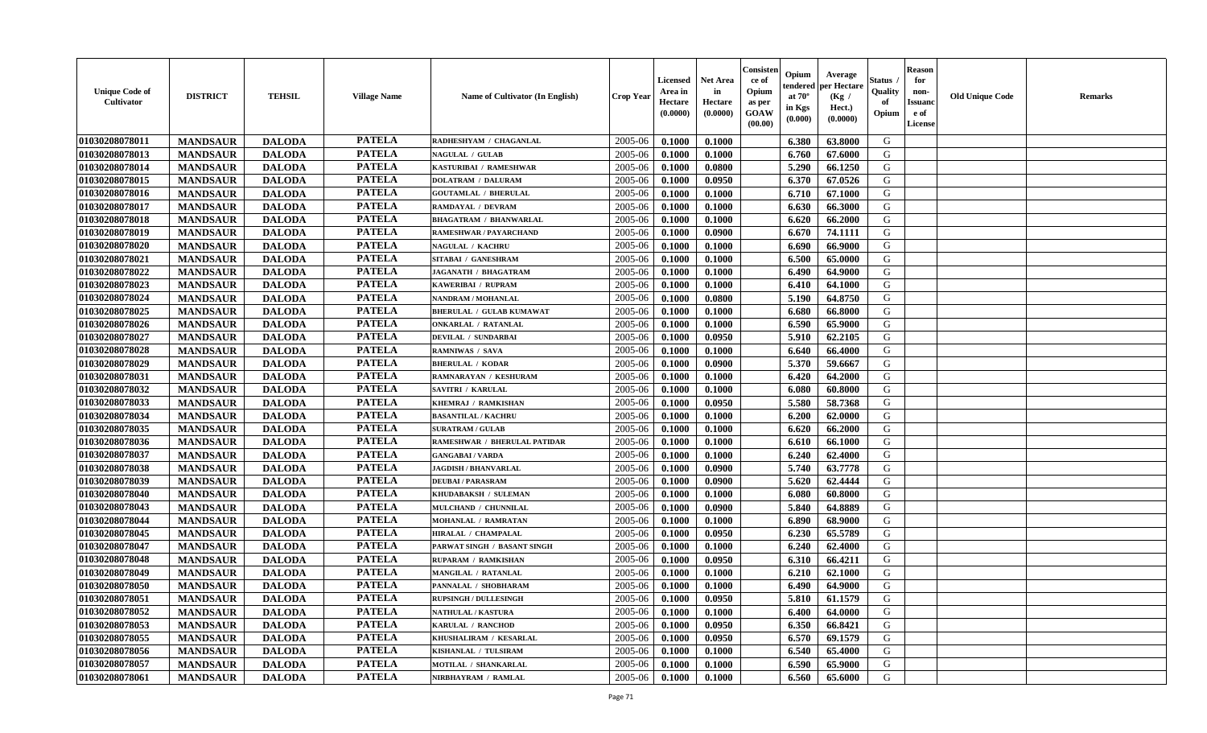| <b>Unique Code of</b><br><b>Cultivator</b> | <b>DISTRICT</b> | <b>TEHSIL</b> | <b>Village Name</b> | Name of Cultivator (In English) | <b>Crop Year</b> | <b>Licensed</b><br>Area in<br>Hectare<br>(0.0000) | <b>Net Area</b><br>in<br>Hectare<br>(0.0000) | Consister<br>ce of<br>Opium<br>as per<br><b>GOAW</b><br>(00.00) | Opium<br>endered<br>at $70^\circ$<br>in Kgs<br>$(\mathbf{0.000})$ | Average<br>per Hectare<br>(Kg /<br>Hect.)<br>(0.0000) | Status<br>Quality<br>of<br>Opium | Reason<br>for<br>non-<br>Issuan<br>e of<br><b>License</b> | <b>Old Unique Code</b> | <b>Remarks</b> |
|--------------------------------------------|-----------------|---------------|---------------------|---------------------------------|------------------|---------------------------------------------------|----------------------------------------------|-----------------------------------------------------------------|-------------------------------------------------------------------|-------------------------------------------------------|----------------------------------|-----------------------------------------------------------|------------------------|----------------|
| 01030208078011                             | <b>MANDSAUR</b> | <b>DALODA</b> | <b>PATELA</b>       | RADHESHYAM / CHAGANLAL          | 2005-06          | 0.1000                                            | 0.1000                                       |                                                                 | 6.380                                                             | 63.8000                                               | G                                |                                                           |                        |                |
| 01030208078013                             | <b>MANDSAUR</b> | <b>DALODA</b> | <b>PATELA</b>       | <b>NAGULAL / GULAB</b>          | 2005-06          | 0.1000                                            | 0.1000                                       |                                                                 | 6.760                                                             | 67.6000                                               | G                                |                                                           |                        |                |
| 01030208078014                             | <b>MANDSAUR</b> | <b>DALODA</b> | <b>PATELA</b>       | KASTURIBAI / RAMESHWAR          | 2005-06          | 0.1000                                            | 0.0800                                       |                                                                 | 5.290                                                             | 66.1250                                               | G                                |                                                           |                        |                |
| 01030208078015                             | <b>MANDSAUR</b> | <b>DALODA</b> | <b>PATELA</b>       | <b>DOLATRAM / DALURAM</b>       | 2005-06          | 0.1000                                            | 0.0950                                       |                                                                 | 6.370                                                             | 67.0526                                               | G                                |                                                           |                        |                |
| 01030208078016                             | <b>MANDSAUR</b> | <b>DALODA</b> | <b>PATELA</b>       | <b>GOUTAMLAL / BHERULAL</b>     | 2005-06          | 0.1000                                            | 0.1000                                       |                                                                 | 6.710                                                             | 67.1000                                               | G                                |                                                           |                        |                |
| 01030208078017                             | <b>MANDSAUR</b> | <b>DALODA</b> | <b>PATELA</b>       | <b>RAMDAYAL / DEVRAM</b>        | 2005-06          | 0.1000                                            | 0.1000                                       |                                                                 | 6.630                                                             | 66.3000                                               | G                                |                                                           |                        |                |
| 01030208078018                             | <b>MANDSAUR</b> | <b>DALODA</b> | <b>PATELA</b>       | <b>BHAGATRAM / BHANWARLAL</b>   | 2005-06          | 0.1000                                            | 0.1000                                       |                                                                 | 6.620                                                             | 66.2000                                               | G                                |                                                           |                        |                |
| 01030208078019                             | <b>MANDSAUR</b> | <b>DALODA</b> | <b>PATELA</b>       | <b>RAMESHWAR / PAYARCHAND</b>   | 2005-06          | 0.1000                                            | 0.0900                                       |                                                                 | 6.670                                                             | 74.1111                                               | G                                |                                                           |                        |                |
| 01030208078020                             | <b>MANDSAUR</b> | <b>DALODA</b> | <b>PATELA</b>       | <b>NAGULAL / KACHRU</b>         | 2005-06          | 0.1000                                            | 0.1000                                       |                                                                 | 6.690                                                             | 66.9000                                               | G                                |                                                           |                        |                |
| 01030208078021                             | <b>MANDSAUR</b> | <b>DALODA</b> | <b>PATELA</b>       | SITABAI / GANESHRAM             | 2005-06          | 0.1000                                            | 0.1000                                       |                                                                 | 6.500                                                             | 65.0000                                               | G                                |                                                           |                        |                |
| 01030208078022                             | <b>MANDSAUR</b> | <b>DALODA</b> | <b>PATELA</b>       | JAGANATH / BHAGATRAM            | 2005-06          | 0.1000                                            | 0.1000                                       |                                                                 | 6.490                                                             | 64.9000                                               | G                                |                                                           |                        |                |
| 01030208078023                             | <b>MANDSAUR</b> | <b>DALODA</b> | <b>PATELA</b>       | KAWERIBAI / RUPRAM              | 2005-06          | 0.1000                                            | 0.1000                                       |                                                                 | 6.410                                                             | 64.1000                                               | G                                |                                                           |                        |                |
| 01030208078024                             | <b>MANDSAUR</b> | <b>DALODA</b> | <b>PATELA</b>       | <b>NANDRAM / MOHANLAL</b>       | 2005-06          | 0.1000                                            | 0.0800                                       |                                                                 | 5.190                                                             | 64.8750                                               | G                                |                                                           |                        |                |
| 01030208078025                             | <b>MANDSAUR</b> | <b>DALODA</b> | <b>PATELA</b>       | <b>BHERULAL / GULAB KUMAWAT</b> | 2005-06          | 0.1000                                            | 0.1000                                       |                                                                 | 6.680                                                             | 66.8000                                               | G                                |                                                           |                        |                |
| 01030208078026                             | <b>MANDSAUR</b> | <b>DALODA</b> | <b>PATELA</b>       | <b>ONKARLAL / RATANLAL</b>      | 2005-06          | 0.1000                                            | 0.1000                                       |                                                                 | 6.590                                                             | 65.9000                                               | G                                |                                                           |                        |                |
| 01030208078027                             | <b>MANDSAUR</b> | <b>DALODA</b> | <b>PATELA</b>       | DEVILAL / SUNDARBAI             | 2005-06          | 0.1000                                            | 0.0950                                       |                                                                 | 5.910                                                             | 62.2105                                               | G                                |                                                           |                        |                |
| 01030208078028                             | <b>MANDSAUR</b> | <b>DALODA</b> | <b>PATELA</b>       | <b>RAMNIWAS / SAVA</b>          | 2005-06          | 0.1000                                            | 0.1000                                       |                                                                 | 6.640                                                             | 66.4000                                               | G                                |                                                           |                        |                |
| 01030208078029                             | <b>MANDSAUR</b> | <b>DALODA</b> | <b>PATELA</b>       | <b>BHERULAL / KODAR</b>         | 2005-06          | 0.1000                                            | 0.0900                                       |                                                                 | 5.370                                                             | 59.6667                                               | G                                |                                                           |                        |                |
| 01030208078031                             | <b>MANDSAUR</b> | <b>DALODA</b> | <b>PATELA</b>       | RAMNARAYAN / KESHURAM           | 2005-06          | 0.1000                                            | 0.1000                                       |                                                                 | 6.420                                                             | 64.2000                                               | G                                |                                                           |                        |                |
| 01030208078032                             | <b>MANDSAUR</b> | <b>DALODA</b> | <b>PATELA</b>       | <b>SAVITRI / KARULAL</b>        | 2005-06          | 0.1000                                            | 0.1000                                       |                                                                 | 6.080                                                             | 60.8000                                               | G                                |                                                           |                        |                |
| 01030208078033                             | <b>MANDSAUR</b> | <b>DALODA</b> | <b>PATELA</b>       | KHEMRAJ / RAMKISHAN             | 2005-06          | 0.1000                                            | 0.0950                                       |                                                                 | 5.580                                                             | 58.7368                                               | G                                |                                                           |                        |                |
| 01030208078034                             | <b>MANDSAUR</b> | <b>DALODA</b> | <b>PATELA</b>       | <b>BASANTILAL / KACHRU</b>      | 2005-06          | 0.1000                                            | 0.1000                                       |                                                                 | 6.200                                                             | 62.0000                                               | G                                |                                                           |                        |                |
| 01030208078035                             | <b>MANDSAUR</b> | <b>DALODA</b> | <b>PATELA</b>       | <b>SURATRAM / GULAB</b>         | 2005-06          | 0.1000                                            | 0.1000                                       |                                                                 | 6.620                                                             | 66.2000                                               | G                                |                                                           |                        |                |
| 01030208078036                             | <b>MANDSAUR</b> | <b>DALODA</b> | <b>PATELA</b>       | RAMESHWAR / BHERULAL PATIDAR    | 2005-06          | 0.1000                                            | 0.1000                                       |                                                                 | 6.610                                                             | 66.1000                                               | G                                |                                                           |                        |                |
| 01030208078037                             | <b>MANDSAUR</b> | <b>DALODA</b> | <b>PATELA</b>       | <b>GANGABAI/VARDA</b>           | 2005-06          | 0.1000                                            | 0.1000                                       |                                                                 | 6.240                                                             | 62.4000                                               | G                                |                                                           |                        |                |
| 01030208078038                             | <b>MANDSAUR</b> | <b>DALODA</b> | <b>PATELA</b>       | <b>JAGDISH / BHANVARLAL</b>     | 2005-06          | 0.1000                                            | 0.0900                                       |                                                                 | 5.740                                                             | 63.7778                                               | G                                |                                                           |                        |                |
| 01030208078039                             | <b>MANDSAUR</b> | <b>DALODA</b> | <b>PATELA</b>       | <b>DEUBAI/PARASRAM</b>          | 2005-06          | 0.1000                                            | 0.0900                                       |                                                                 | 5.620                                                             | 62.4444                                               | G                                |                                                           |                        |                |
| 01030208078040                             | <b>MANDSAUR</b> | <b>DALODA</b> | <b>PATELA</b>       | KHUDABAKSH / SULEMAN            | 2005-06          | 0.1000                                            | 0.1000                                       |                                                                 | 6.080                                                             | 60.8000                                               | G                                |                                                           |                        |                |
| 01030208078043                             | <b>MANDSAUR</b> | <b>DALODA</b> | <b>PATELA</b>       | MULCHAND / CHUNNILAL            | 2005-06          | 0.1000                                            | 0.0900                                       |                                                                 | 5.840                                                             | 64.8889                                               | G                                |                                                           |                        |                |
| 01030208078044                             | <b>MANDSAUR</b> | <b>DALODA</b> | <b>PATELA</b>       | MOHANLAL / RAMRATAN             | 2005-06          | 0.1000                                            | 0.1000                                       |                                                                 | 6.890                                                             | 68.9000                                               | G                                |                                                           |                        |                |
| 01030208078045                             | <b>MANDSAUR</b> | <b>DALODA</b> | <b>PATELA</b>       | HIRALAL / CHAMPALAL             | 2005-06          | 0.1000                                            | 0.0950                                       |                                                                 | 6.230                                                             | 65.5789                                               | G                                |                                                           |                        |                |
| 01030208078047                             | <b>MANDSAUR</b> | <b>DALODA</b> | <b>PATELA</b>       | PARWAT SINGH / BASANT SINGH     | 2005-06          | 0.1000                                            | 0.1000                                       |                                                                 | 6.240                                                             | 62.4000                                               | G                                |                                                           |                        |                |
| 01030208078048                             | <b>MANDSAUR</b> | <b>DALODA</b> | <b>PATELA</b>       | RUPARAM / RAMKISHAN             | 2005-06          | 0.1000                                            | 0.0950                                       |                                                                 | 6.310                                                             | 66.4211                                               | G                                |                                                           |                        |                |
| 01030208078049                             | <b>MANDSAUR</b> | <b>DALODA</b> | <b>PATELA</b>       | MANGILAL / RATANLAL             | 2005-06          | 0.1000                                            | 0.1000                                       |                                                                 | 6.210                                                             | 62.1000                                               | G                                |                                                           |                        |                |
| 01030208078050                             | <b>MANDSAUR</b> | <b>DALODA</b> | <b>PATELA</b>       | PANNALAL / SHOBHARAM            | 2005-06          | 0.1000                                            | 0.1000                                       |                                                                 | 6.490                                                             | 64.9000                                               | G                                |                                                           |                        |                |
| 01030208078051                             | <b>MANDSAUR</b> | <b>DALODA</b> | <b>PATELA</b>       | <b>RUPSINGH / DULLESINGH</b>    | $2005 - 06$      | 0.1000                                            | 0.0950                                       |                                                                 | $5.810$                                                           | 61.1579                                               | G                                |                                                           |                        |                |
| 01030208078052                             | <b>MANDSAUR</b> | <b>DALODA</b> | <b>PATELA</b>       | <b>NATHULAL / KASTURA</b>       | 2005-06          | 0.1000                                            | 0.1000                                       |                                                                 | 6.400                                                             | 64.0000                                               | G                                |                                                           |                        |                |
| 01030208078053                             | <b>MANDSAUR</b> | <b>DALODA</b> | <b>PATELA</b>       | KARULAL / RANCHOD               | 2005-06          | 0.1000                                            | 0.0950                                       |                                                                 | 6.350                                                             | 66.8421                                               | G                                |                                                           |                        |                |
| 01030208078055                             | <b>MANDSAUR</b> | <b>DALODA</b> | <b>PATELA</b>       | KHUSHALIRAM / KESARLAL          | 2005-06          | 0.1000                                            | 0.0950                                       |                                                                 | 6.570                                                             | 69.1579                                               | G                                |                                                           |                        |                |
| 01030208078056                             | <b>MANDSAUR</b> | <b>DALODA</b> | <b>PATELA</b>       | KISHANLAL / TULSIRAM            | 2005-06          | 0.1000                                            | 0.1000                                       |                                                                 | 6.540                                                             | 65.4000                                               | G                                |                                                           |                        |                |
| 01030208078057                             | <b>MANDSAUR</b> | <b>DALODA</b> | <b>PATELA</b>       | <b>MOTILAL / SHANKARLAL</b>     | 2005-06          | 0.1000                                            | 0.1000                                       |                                                                 | 6.590                                                             | 65.9000                                               | G                                |                                                           |                        |                |
| 01030208078061                             | <b>MANDSAUR</b> | <b>DALODA</b> | <b>PATELA</b>       | NIRBHAYRAM / RAMLAL             | 2005-06          | 0.1000                                            | 0.1000                                       |                                                                 | 6.560                                                             | 65.6000                                               | G                                |                                                           |                        |                |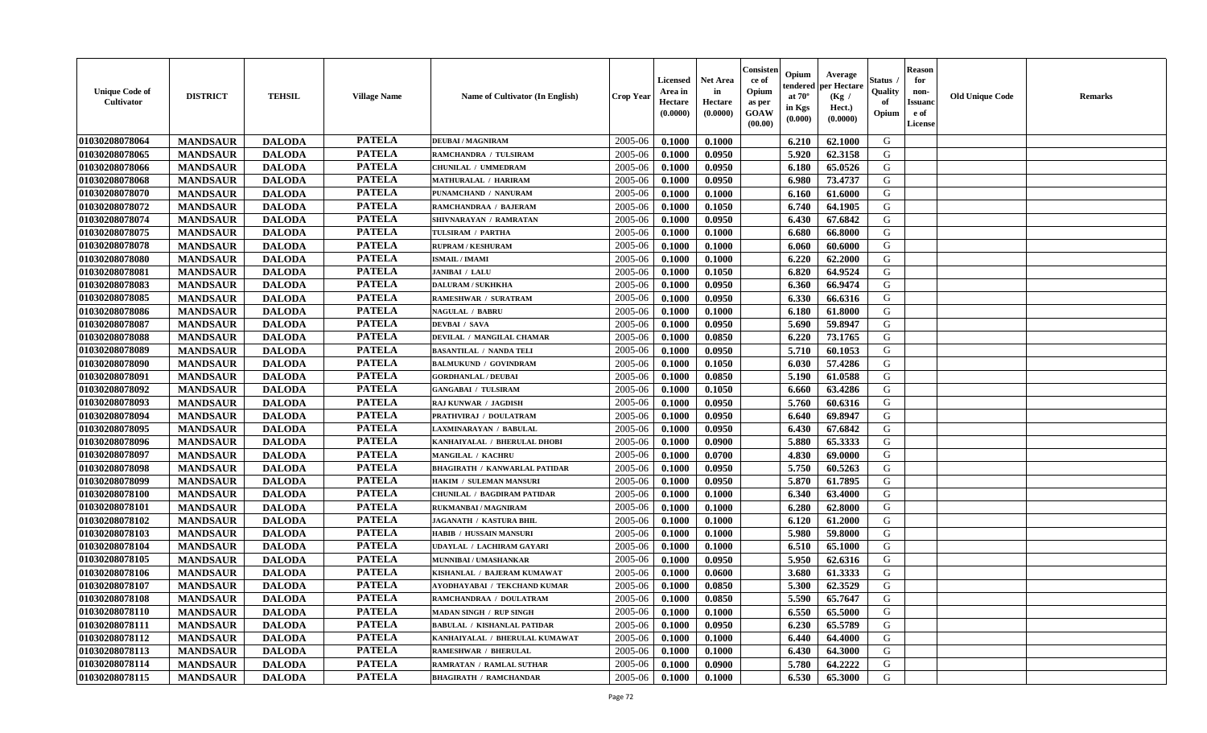| <b>Unique Code of</b><br>Cultivator | <b>DISTRICT</b> | <b>TEHSIL</b> | <b>Village Name</b> | <b>Name of Cultivator (In English)</b> | Crop Year | Licensed<br>Area in<br>Hectare<br>(0.0000) | Net Area<br>in<br>Hectare<br>(0.0000) | Consister<br>ce of<br>Opium<br>as per<br><b>GOAW</b><br>(00.00) | Opium<br>endered<br>at $70^{\circ}$<br>in Kgs<br>(0.000) | Average<br>per Hectare<br>(Kg /<br>Hect.)<br>(0.0000) | Status<br>Quality<br>of<br>Opium | <b>Reason</b><br>for<br>non-<br><b>Issuano</b><br>e of<br>License | <b>Old Unique Code</b> | <b>Remarks</b> |
|-------------------------------------|-----------------|---------------|---------------------|----------------------------------------|-----------|--------------------------------------------|---------------------------------------|-----------------------------------------------------------------|----------------------------------------------------------|-------------------------------------------------------|----------------------------------|-------------------------------------------------------------------|------------------------|----------------|
| 01030208078064                      | <b>MANDSAUR</b> | <b>DALODA</b> | <b>PATELA</b>       | <b>DEUBAI/MAGNIRAM</b>                 | 2005-06   | 0.1000                                     | 0.1000                                |                                                                 | 6.210                                                    | 62.1000                                               | G                                |                                                                   |                        |                |
| 01030208078065                      | <b>MANDSAUR</b> | <b>DALODA</b> | <b>PATELA</b>       | RAMCHANDRA / TULSIRAM                  | 2005-06   | 0.1000                                     | 0.0950                                |                                                                 | 5.920                                                    | 62.3158                                               | G                                |                                                                   |                        |                |
| 01030208078066                      | <b>MANDSAUR</b> | <b>DALODA</b> | <b>PATELA</b>       | CHUNILAL / UMMEDRAM                    | 2005-06   | 0.1000                                     | 0.0950                                |                                                                 | 6.180                                                    | 65.0526                                               | G                                |                                                                   |                        |                |
| 01030208078068                      | <b>MANDSAUR</b> | <b>DALODA</b> | <b>PATELA</b>       | <b>MATHURALAL / HARIRAM</b>            | 2005-06   | 0.1000                                     | 0.0950                                |                                                                 | 6.980                                                    | 73.4737                                               | G                                |                                                                   |                        |                |
| 01030208078070                      | <b>MANDSAUR</b> | <b>DALODA</b> | <b>PATELA</b>       | PUNAMCHAND / NANURAM                   | 2005-06   | 0.1000                                     | 0.1000                                |                                                                 | 6.160                                                    | 61.6000                                               | G                                |                                                                   |                        |                |
| 01030208078072                      | <b>MANDSAUR</b> | <b>DALODA</b> | <b>PATELA</b>       | RAMCHANDRAA / BAJERAM                  | 2005-06   | 0.1000                                     | 0.1050                                |                                                                 | 6.740                                                    | 64.1905                                               | G                                |                                                                   |                        |                |
| 01030208078074                      | <b>MANDSAUR</b> | <b>DALODA</b> | <b>PATELA</b>       | SHIVNARAYAN / RAMRATAN                 | 2005-06   | 0.1000                                     | 0.0950                                |                                                                 | 6.430                                                    | 67.6842                                               | G                                |                                                                   |                        |                |
| 01030208078075                      | <b>MANDSAUR</b> | <b>DALODA</b> | <b>PATELA</b>       | TULSIRAM / PARTHA                      | 2005-06   | 0.1000                                     | 0.1000                                |                                                                 | 6.680                                                    | 66.8000                                               | G                                |                                                                   |                        |                |
| 01030208078078                      | <b>MANDSAUR</b> | <b>DALODA</b> | <b>PATELA</b>       | <b>RUPRAM / KESHURAM</b>               | 2005-06   | 0.1000                                     | 0.1000                                |                                                                 | 6.060                                                    | 60.6000                                               | G                                |                                                                   |                        |                |
| 01030208078080                      | <b>MANDSAUR</b> | <b>DALODA</b> | <b>PATELA</b>       | <b>ISMAIL / IMAMI</b>                  | 2005-06   | 0.1000                                     | 0.1000                                |                                                                 | 6.220                                                    | 62.2000                                               | G                                |                                                                   |                        |                |
| 01030208078081                      | <b>MANDSAUR</b> | <b>DALODA</b> | <b>PATELA</b>       | JANIBAI / LALU                         | 2005-06   | 0.1000                                     | 0.1050                                |                                                                 | 6.820                                                    | 64.9524                                               | G                                |                                                                   |                        |                |
| 01030208078083                      | <b>MANDSAUR</b> | <b>DALODA</b> | <b>PATELA</b>       | <b>DALURAM / SUKHKHA</b>               | 2005-06   | 0.1000                                     | 0.0950                                |                                                                 | 6.360                                                    | 66.9474                                               | G                                |                                                                   |                        |                |
| 01030208078085                      | <b>MANDSAUR</b> | <b>DALODA</b> | <b>PATELA</b>       | RAMESHWAR / SURATRAM                   | 2005-06   | 0.1000                                     | 0.0950                                |                                                                 | 6.330                                                    | 66.6316                                               | G                                |                                                                   |                        |                |
| 01030208078086                      | <b>MANDSAUR</b> | <b>DALODA</b> | <b>PATELA</b>       | <b>NAGULAL / BABRU</b>                 | 2005-06   | 0.1000                                     | 0.1000                                |                                                                 | 6.180                                                    | 61.8000                                               | G                                |                                                                   |                        |                |
| 01030208078087                      | <b>MANDSAUR</b> | <b>DALODA</b> | <b>PATELA</b>       | <b>DEVBAI</b> / SAVA                   | 2005-06   | 0.1000                                     | 0.0950                                |                                                                 | 5.690                                                    | 59.8947                                               | G                                |                                                                   |                        |                |
| 01030208078088                      | <b>MANDSAUR</b> | <b>DALODA</b> | <b>PATELA</b>       | DEVILAL / MANGILAL CHAMAR              | 2005-06   | 0.1000                                     | 0.0850                                |                                                                 | 6.220                                                    | 73.1765                                               | G                                |                                                                   |                        |                |
| 01030208078089                      | <b>MANDSAUR</b> | <b>DALODA</b> | <b>PATELA</b>       | <b>BASANTILAL / NANDA TELI</b>         | 2005-06   | 0.1000                                     | 0.0950                                |                                                                 | 5.710                                                    | 60.1053                                               | G                                |                                                                   |                        |                |
| 01030208078090                      | <b>MANDSAUR</b> | <b>DALODA</b> | <b>PATELA</b>       | <b>BALMUKUND / GOVINDRAM</b>           | 2005-06   | 0.1000                                     | 0.1050                                |                                                                 | 6.030                                                    | 57.4286                                               | G                                |                                                                   |                        |                |
| 01030208078091                      | <b>MANDSAUR</b> | <b>DALODA</b> | <b>PATELA</b>       | <b>GORDHANLAL / DEUBAI</b>             | 2005-06   | 0.1000                                     | 0.0850                                |                                                                 | 5.190                                                    | 61.0588                                               | G                                |                                                                   |                        |                |
| 01030208078092                      | <b>MANDSAUR</b> | <b>DALODA</b> | <b>PATELA</b>       | <b>GANGABAI / TULSIRAM</b>             | 2005-06   | 0.1000                                     | 0.1050                                |                                                                 | 6.660                                                    | 63.4286                                               | G                                |                                                                   |                        |                |
| 01030208078093                      | <b>MANDSAUR</b> | <b>DALODA</b> | <b>PATELA</b>       | RAJ KUNWAR / JAGDISH                   | 2005-06   | 0.1000                                     | 0.0950                                |                                                                 | 5.760                                                    | 60.6316                                               | G                                |                                                                   |                        |                |
| 01030208078094                      | <b>MANDSAUR</b> | <b>DALODA</b> | <b>PATELA</b>       | PRATHVIRAJ / DOULATRAM                 | 2005-06   | 0.1000                                     | 0.0950                                |                                                                 | 6.640                                                    | 69.8947                                               | G                                |                                                                   |                        |                |
| 01030208078095                      | <b>MANDSAUR</b> | <b>DALODA</b> | <b>PATELA</b>       | LAXMINARAYAN / BABULAL                 | 2005-06   | 0.1000                                     | 0.0950                                |                                                                 | 6.430                                                    | 67.6842                                               | G                                |                                                                   |                        |                |
| 01030208078096                      | <b>MANDSAUR</b> | <b>DALODA</b> | <b>PATELA</b>       | KANHAIYALAL / BHERULAL DHOBI           | 2005-06   | 0.1000                                     | 0.0900                                |                                                                 | 5.880                                                    | 65.3333                                               | G                                |                                                                   |                        |                |
| 01030208078097                      | <b>MANDSAUR</b> | <b>DALODA</b> | <b>PATELA</b>       | <b>MANGILAL / KACHRU</b>               | 2005-06   | 0.1000                                     | 0.0700                                |                                                                 | 4.830                                                    | 69.0000                                               | G                                |                                                                   |                        |                |
| 01030208078098                      | <b>MANDSAUR</b> | <b>DALODA</b> | <b>PATELA</b>       | <b>BHAGIRATH / KANWARLAL PATIDAR</b>   | 2005-06   | 0.1000                                     | 0.0950                                |                                                                 | 5.750                                                    | 60.5263                                               | G                                |                                                                   |                        |                |
| 01030208078099                      | <b>MANDSAUR</b> | <b>DALODA</b> | <b>PATELA</b>       | HAKIM / SULEMAN MANSURI                | 2005-06   | 0.1000                                     | 0.0950                                |                                                                 | 5.870                                                    | 61.7895                                               | G                                |                                                                   |                        |                |
| 01030208078100                      | <b>MANDSAUR</b> | <b>DALODA</b> | <b>PATELA</b>       | <b>CHUNILAL / BAGDIRAM PATIDAR</b>     | 2005-06   | 0.1000                                     | 0.1000                                |                                                                 | 6.340                                                    | 63.4000                                               | G                                |                                                                   |                        |                |
| 01030208078101                      | <b>MANDSAUR</b> | <b>DALODA</b> | <b>PATELA</b>       | <b>RUKMANBAI / MAGNIRAM</b>            | 2005-06   | 0.1000                                     | 0.1000                                |                                                                 | 6.280                                                    | 62.8000                                               | G                                |                                                                   |                        |                |
| 01030208078102                      | <b>MANDSAUR</b> | <b>DALODA</b> | <b>PATELA</b>       | <b>JAGANATH / KASTURA BHIL</b>         | 2005-06   | 0.1000                                     | 0.1000                                |                                                                 | 6.120                                                    | 61.2000                                               | G                                |                                                                   |                        |                |
| 01030208078103                      | <b>MANDSAUR</b> | <b>DALODA</b> | <b>PATELA</b>       | HABIB / HUSSAIN MANSURI                | 2005-06   | 0.1000                                     | 0.1000                                |                                                                 | 5.980                                                    | 59.8000                                               | G                                |                                                                   |                        |                |
| 01030208078104                      | <b>MANDSAUR</b> | <b>DALODA</b> | <b>PATELA</b>       | UDAYLAL / LACHIRAM GAYARI              | 2005-06   | 0.1000                                     | 0.1000                                |                                                                 | 6.510                                                    | 65.1000                                               | G                                |                                                                   |                        |                |
| 01030208078105                      | <b>MANDSAUR</b> | <b>DALODA</b> | <b>PATELA</b>       | MUNNIBAI / UMASHANKAR                  | 2005-06   | 0.1000                                     | 0.0950                                |                                                                 | 5.950                                                    | 62.6316                                               | G                                |                                                                   |                        |                |
| 01030208078106                      | <b>MANDSAUR</b> | <b>DALODA</b> | <b>PATELA</b>       | KISHANLAL / BAJERAM KUMAWAT            | 2005-06   | 0.1000                                     | 0.0600                                |                                                                 | 3.680                                                    | 61.3333                                               | G                                |                                                                   |                        |                |
| 01030208078107                      | <b>MANDSAUR</b> | <b>DALODA</b> | <b>PATELA</b>       | AYODHAYABAI / TEKCHAND KUMAR           | 2005-06   | 0.1000                                     | 0.0850                                |                                                                 | 5.300                                                    | 62.3529                                               | G                                |                                                                   |                        |                |
| 01030208078108                      | <b>MANDSAUR</b> | <b>DALODA</b> | <b>PATELA</b>       | RAMCHANDRAA / DOULATRAM                | 2005-06   | 0.1000                                     | 0.0850                                |                                                                 | $5.590$                                                  | 65.7647                                               | G                                |                                                                   |                        |                |
| 01030208078110                      | <b>MANDSAUR</b> | <b>DALODA</b> | <b>PATELA</b>       | <b>MADAN SINGH / RUP SINGH</b>         | 2005-06   | 0.1000                                     | 0.1000                                |                                                                 | 6.550                                                    | 65.5000                                               | G                                |                                                                   |                        |                |
| 01030208078111                      | <b>MANDSAUR</b> | <b>DALODA</b> | <b>PATELA</b>       | <b>BABULAL / KISHANLAL PATIDAR</b>     | 2005-06   | 0.1000                                     | 0.0950                                |                                                                 | 6.230                                                    | 65.5789                                               | G                                |                                                                   |                        |                |
| 01030208078112                      | <b>MANDSAUR</b> | <b>DALODA</b> | <b>PATELA</b>       | KANHAIYALAL / BHERULAL KUMAWAT         | 2005-06   | 0.1000                                     | 0.1000                                |                                                                 | 6.440                                                    | 64.4000                                               | G                                |                                                                   |                        |                |
| 01030208078113                      | <b>MANDSAUR</b> | <b>DALODA</b> | <b>PATELA</b>       | <b>RAMESHWAR / BHERULAL</b>            | 2005-06   | 0.1000                                     | 0.1000                                |                                                                 | 6.430                                                    | 64.3000                                               | G                                |                                                                   |                        |                |
| 01030208078114                      | <b>MANDSAUR</b> | <b>DALODA</b> | <b>PATELA</b>       | RAMRATAN / RAMLAL SUTHAR               | 2005-06   | 0.1000                                     | 0.0900                                |                                                                 | 5.780                                                    | 64.2222                                               | G                                |                                                                   |                        |                |
| 01030208078115                      | <b>MANDSAUR</b> | <b>DALODA</b> | <b>PATELA</b>       | <b>BHAGIRATH / RAMCHANDAR</b>          | 2005-06   | 0.1000                                     | 0.1000                                |                                                                 | 6.530                                                    | 65.3000                                               | G                                |                                                                   |                        |                |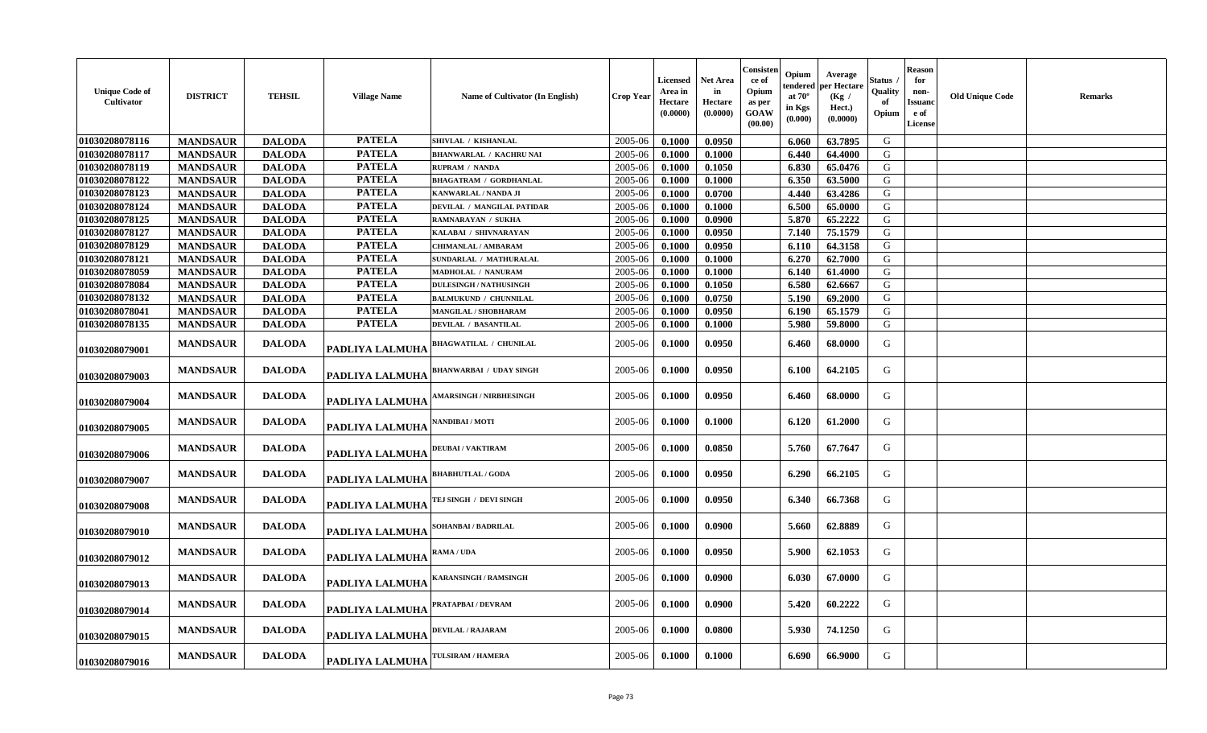| <b>Unique Code of</b><br>Cultivator | <b>DISTRICT</b> | <b>TEHSIL</b> | <b>Village Name</b>    | <b>Name of Cultivator (In English)</b> | <b>Crop Year</b> | Licensed<br>Area in<br>Hectare<br>(0.0000) | <b>Net Area</b><br>in<br>Hectare<br>(0.0000) | Consisten<br>ce of<br>Opium<br>as per<br>GOAW<br>(00.00) | Opium<br>endered<br>at $70^\circ$<br>in Kgs<br>$(\mathbf{0.000})$ | Average<br>per Hectare<br>(Kg /<br>Hect.)<br>(0.0000) | Status<br>Quality<br>Opium | <b>Reason</b><br>for<br>non-<br><b>Issuanc</b><br>e of<br><b>License</b> | <b>Old Unique Code</b> | Remarks |
|-------------------------------------|-----------------|---------------|------------------------|----------------------------------------|------------------|--------------------------------------------|----------------------------------------------|----------------------------------------------------------|-------------------------------------------------------------------|-------------------------------------------------------|----------------------------|--------------------------------------------------------------------------|------------------------|---------|
| 01030208078116                      | <b>MANDSAUR</b> | <b>DALODA</b> | <b>PATELA</b>          | SHIVLAL / KISHANLAL                    | 2005-06          | 0.1000                                     | 0.0950                                       |                                                          | 6.060                                                             | 63.7895                                               | G                          |                                                                          |                        |         |
| 01030208078117                      | <b>MANDSAUR</b> | <b>DALODA</b> | <b>PATELA</b>          | <b>BHANWARLAL / KACHRU NAI</b>         | 2005-06          | 0.1000                                     | 0.1000                                       |                                                          | 6.440                                                             | 64.4000                                               | ${\bf G}$                  |                                                                          |                        |         |
| 01030208078119                      | <b>MANDSAUR</b> | <b>DALODA</b> | <b>PATELA</b>          | <b>RUPRAM / NANDA</b>                  | 2005-06          | 0.1000                                     | 0.1050                                       |                                                          | 6.830                                                             | 65.0476                                               | G                          |                                                                          |                        |         |
| 01030208078122                      | <b>MANDSAUR</b> | <b>DALODA</b> | <b>PATELA</b>          | <b>BHAGATRAM / GORDHANLAL</b>          | 2005-06          | 0.1000                                     | 0.1000                                       |                                                          | 6.350                                                             | 63.5000                                               | G                          |                                                                          |                        |         |
| 01030208078123                      | <b>MANDSAUR</b> | <b>DALODA</b> | <b>PATELA</b>          | <b>KANWARLAL / NANDA JI</b>            | 2005-06          | 0.1000                                     | 0.0700                                       |                                                          | 4.440                                                             | 63.4286                                               | G                          |                                                                          |                        |         |
| 01030208078124                      | <b>MANDSAUR</b> | <b>DALODA</b> | <b>PATELA</b>          | DEVILAL / MANGILAL PATIDAR             | 2005-06          | 0.1000                                     | 0.1000                                       |                                                          | 6.500                                                             | 65.0000                                               | G                          |                                                                          |                        |         |
| 01030208078125                      | <b>MANDSAUR</b> | <b>DALODA</b> | <b>PATELA</b>          | RAMNARAYAN / SUKHA                     | 2005-06          | 0.1000                                     | 0.0900                                       |                                                          | 5.870                                                             | 65.2222                                               | G                          |                                                                          |                        |         |
| 01030208078127                      | <b>MANDSAUR</b> | <b>DALODA</b> | <b>PATELA</b>          | KALABAI / SHIVNARAYAN                  | 2005-06          | 0.1000                                     | 0.0950                                       |                                                          | 7.140                                                             | 75.1579                                               | G                          |                                                                          |                        |         |
| 01030208078129                      | <b>MANDSAUR</b> | <b>DALODA</b> | <b>PATELA</b>          | CHIMANLAL / AMBARAM                    | 2005-06          | 0.1000                                     | 0.0950                                       |                                                          | 6.110                                                             | 64.3158                                               | G                          |                                                                          |                        |         |
| 01030208078121                      | <b>MANDSAUR</b> | <b>DALODA</b> | <b>PATELA</b>          | SUNDARLAL / MATHURALAL                 | 2005-06          | 0.1000                                     | 0.1000                                       |                                                          | 6.270                                                             | 62.7000                                               | G                          |                                                                          |                        |         |
| 01030208078059                      | <b>MANDSAUR</b> | <b>DALODA</b> | <b>PATELA</b>          | <b>MADHOLAL / NANURAM</b>              | 2005-06          | 0.1000                                     | 0.1000                                       |                                                          | 6.140                                                             | 61.4000                                               | G                          |                                                                          |                        |         |
| 01030208078084                      | <b>MANDSAUR</b> | <b>DALODA</b> | <b>PATELA</b>          | <b>DULESINGH / NATHUSINGH</b>          | 2005-06          | 0.1000                                     | 0.1050                                       |                                                          | 6.580                                                             | 62.6667                                               | G                          |                                                                          |                        |         |
| 01030208078132                      | <b>MANDSAUR</b> | <b>DALODA</b> | <b>PATELA</b>          | <b>BALMUKUND / CHUNNILAL</b>           | 2005-06          | 0.1000                                     | 0.0750                                       |                                                          | 5.190                                                             | 69.2000                                               | G                          |                                                                          |                        |         |
| 01030208078041                      | <b>MANDSAUR</b> | <b>DALODA</b> | <b>PATELA</b>          | MANGILAL / SHOBHARAM                   | 2005-06          | 0.1000                                     | 0.0950                                       |                                                          | 6.190                                                             | 65.1579                                               | G                          |                                                                          |                        |         |
| 01030208078135                      | <b>MANDSAUR</b> | <b>DALODA</b> | <b>PATELA</b>          | <b>DEVILAL / BASANTILAL</b>            | 2005-06          | 0.1000                                     | 0.1000                                       |                                                          | 5.980                                                             | 59.8000                                               | G                          |                                                                          |                        |         |
| 01030208079001                      | <b>MANDSAUR</b> | <b>DALODA</b> | PADLIYA LALMUHA        | <b>BHAGWATILAL / CHUNILAL</b>          | 2005-06          | 0.1000                                     | 0.0950                                       |                                                          | 6.460                                                             | 68.0000                                               | G                          |                                                                          |                        |         |
| 01030208079003                      | <b>MANDSAUR</b> | <b>DALODA</b> | PADLIYA LALMUHA        | <b>BHANWARBAI / UDAY SINGH</b>         | 2005-06          | 0.1000                                     | 0.0950                                       |                                                          | 6.100                                                             | 64.2105                                               | G                          |                                                                          |                        |         |
| 01030208079004                      | <b>MANDSAUR</b> | <b>DALODA</b> | PADLIYA LALMUHA        | <b>MARSINGH / NIRBHESINGH</b>          | 2005-06          | 0.1000                                     | 0.0950                                       |                                                          | 6.460                                                             | 68.0000                                               | G                          |                                                                          |                        |         |
| 01030208079005                      | <b>MANDSAUR</b> | <b>DALODA</b> | PADLIYA LALMUHA        | NANDIBAI / MOTI                        | 2005-06          | 0.1000                                     | 0.1000                                       |                                                          | 6.120                                                             | 61.2000                                               | G                          |                                                                          |                        |         |
| 01030208079006                      | <b>MANDSAUR</b> | <b>DALODA</b> | PADLIYA LALMUHA        | <b>DEUBAI / VAKTIRAM</b>               | 2005-06          | 0.1000                                     | 0.0850                                       |                                                          | 5.760                                                             | 67.7647                                               | G                          |                                                                          |                        |         |
| 01030208079007                      | <b>MANDSAUR</b> | <b>DALODA</b> | PADLIYA LALMUHA        | <b>BHABHUTLAL / GODA</b>               | 2005-06          | 0.1000                                     | 0.0950                                       |                                                          | 6.290                                                             | 66.2105                                               | G                          |                                                                          |                        |         |
| 01030208079008                      | <b>MANDSAUR</b> | <b>DALODA</b> | PADLIYA LALMUHA        | TEJ SINGH / DEVI SINGH                 | 2005-06          | 0.1000                                     | 0.0950                                       |                                                          | 6.340                                                             | 66.7368                                               | G                          |                                                                          |                        |         |
| 01030208079010                      | <b>MANDSAUR</b> | <b>DALODA</b> | PADLIYA LALMUHA        | SOHANBAI / BADRILAL                    | 2005-06          | 0.1000                                     | 0.0900                                       |                                                          | 5.660                                                             | 62.8889                                               | G                          |                                                                          |                        |         |
| 01030208079012                      | <b>MANDSAUR</b> | <b>DALODA</b> | PADLIYA LALMUHA        | RAMA / UDA                             | 2005-06          | 0.1000                                     | 0.0950                                       |                                                          | 5.900                                                             | 62.1053                                               | G                          |                                                                          |                        |         |
| 01030208079013                      | <b>MANDSAUR</b> | <b>DALODA</b> | PADLIYA LALMUHA        | <b>KARANSINGH / RAMSINGH</b>           | 2005-06          | 0.1000                                     | 0.0900                                       |                                                          | 6.030                                                             | 67.0000                                               | G                          |                                                                          |                        |         |
| 01030208079014                      | <b>MANDSAUR</b> | <b>DALODA</b> | <b>PADLIYA LALMUHA</b> | PRATAPBAI / DEVRAM                     | 2005-06          | 0.1000                                     | 0.0900                                       |                                                          | 5.420                                                             | 60.2222                                               | G                          |                                                                          |                        |         |
| 01030208079015                      | <b>MANDSAUR</b> | <b>DALODA</b> | PADLIYA LALMUHA        | DEVILAL / RAJARAM                      | 2005-06          | 0.1000                                     | 0.0800                                       |                                                          | 5.930                                                             | 74.1250                                               | G                          |                                                                          |                        |         |
| 01030208079016                      | <b>MANDSAUR</b> | <b>DALODA</b> | PADLIYA LALMUHA        | TULSIRAM / HAMERA                      | 2005-06          | 0.1000                                     | 0.1000                                       |                                                          | 6.690                                                             | 66.9000                                               | G                          |                                                                          |                        |         |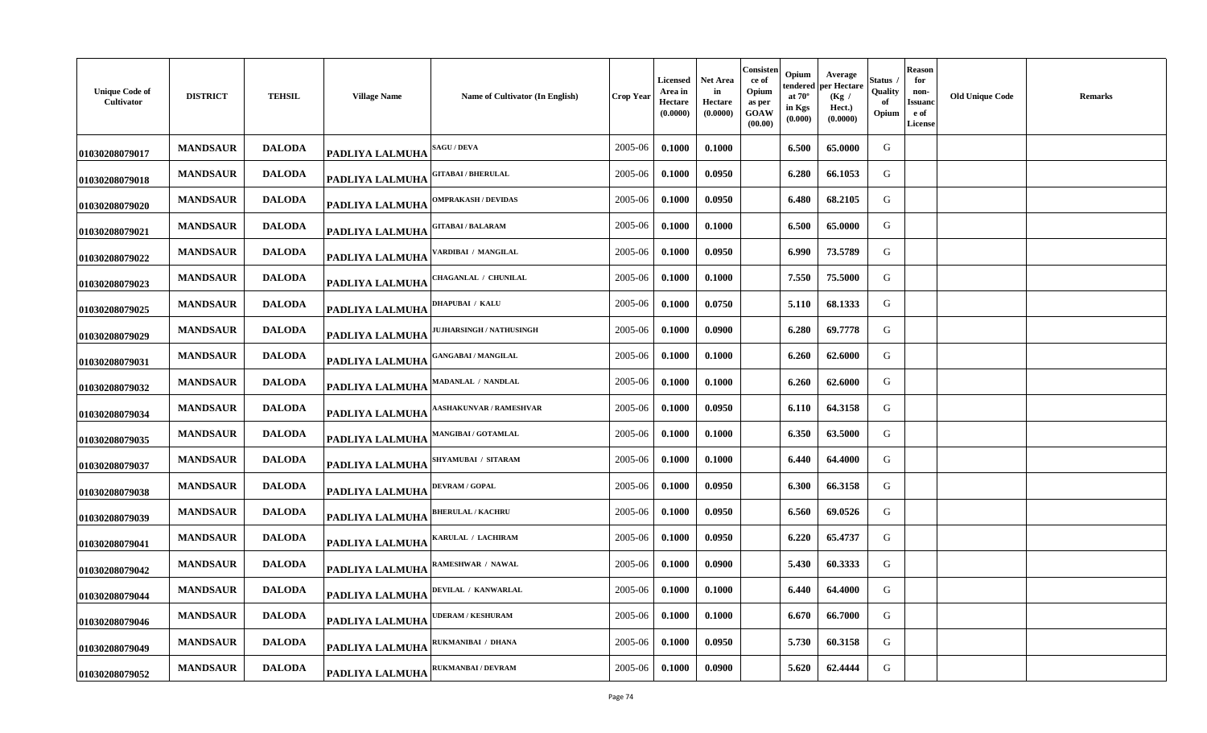| <b>Unique Code of</b><br>Cultivator | <b>DISTRICT</b> | <b>TEHSIL</b> | <b>Village Name</b>    | Name of Cultivator (In English) | <b>Crop Year</b> | <b>Licensed</b><br>Area in<br>Hectare<br>(0.0000) | Net Area<br>in<br>Hectare<br>(0.0000) | Consisten<br>ce of<br>Opium<br>as per<br>GOAW<br>(00.00) | Opium<br>tendered<br>at $70^\circ$<br>in Kgs<br>(0.000) | Average<br>per Hectare<br>(Kg /<br>Hect.)<br>(0.0000) | Status<br>Quality<br>-of<br>Opium | <b>Reason</b><br>for<br>non-<br>Issuand<br>e of<br><b>License</b> | <b>Old Unique Code</b> | Remarks |
|-------------------------------------|-----------------|---------------|------------------------|---------------------------------|------------------|---------------------------------------------------|---------------------------------------|----------------------------------------------------------|---------------------------------------------------------|-------------------------------------------------------|-----------------------------------|-------------------------------------------------------------------|------------------------|---------|
| 01030208079017                      | <b>MANDSAUR</b> | <b>DALODA</b> | <b>PADLIYA LALMUHA</b> | <b>AGU / DEVA</b>               | 2005-06          | 0.1000                                            | 0.1000                                |                                                          | 6.500                                                   | 65.0000                                               | G                                 |                                                                   |                        |         |
| 01030208079018                      | <b>MANDSAUR</b> | <b>DALODA</b> | <b>PADLIYA LALMUHA</b> | <b>GITABAI / BHERULAL</b>       | 2005-06          | 0.1000                                            | 0.0950                                |                                                          | 6.280                                                   | 66.1053                                               | G                                 |                                                                   |                        |         |
| 01030208079020                      | <b>MANDSAUR</b> | <b>DALODA</b> | <b>PADLIYA LALMUHA</b> | OMPRAKASH / DEVIDAS             | 2005-06          | 0.1000                                            | 0.0950                                |                                                          | 6.480                                                   | 68.2105                                               | G                                 |                                                                   |                        |         |
| 01030208079021                      | <b>MANDSAUR</b> | <b>DALODA</b> | PADLIYA LALMUHA        | <b>GITABAI / BALARAM</b>        | 2005-06          | 0.1000                                            | 0.1000                                |                                                          | 6.500                                                   | 65.0000                                               | G                                 |                                                                   |                        |         |
| 01030208079022                      | <b>MANDSAUR</b> | <b>DALODA</b> | <b>PADLIYA LALMUHA</b> | 'ARDIBAI / MANGILAL             | 2005-06          | 0.1000                                            | 0.0950                                |                                                          | 6.990                                                   | 73.5789                                               | G                                 |                                                                   |                        |         |
| 01030208079023                      | <b>MANDSAUR</b> | <b>DALODA</b> | <b>PADLIYA LALMUHA</b> | CHAGANLAL / CHUNILAL            | 2005-06          | 0.1000                                            | 0.1000                                |                                                          | 7.550                                                   | 75.5000                                               | G                                 |                                                                   |                        |         |
| 01030208079025                      | <b>MANDSAUR</b> | <b>DALODA</b> | <b>PADLIYA LALMUHA</b> | <b>DHAPUBAI / KALU</b>          | 2005-06          | 0.1000                                            | 0.0750                                |                                                          | 5.110                                                   | 68.1333                                               | G                                 |                                                                   |                        |         |
| 01030208079029                      | <b>MANDSAUR</b> | <b>DALODA</b> | PADLIYA LALMUHA        | <b>JUHARSINGH / NATHUSINGH</b>  | 2005-06          | 0.1000                                            | 0.0900                                |                                                          | 6.280                                                   | 69.7778                                               | G                                 |                                                                   |                        |         |
| 01030208079031                      | <b>MANDSAUR</b> | <b>DALODA</b> | PADLIYA LALMUHA        | <b>GANGABAI / MANGILAL</b>      | 2005-06          | 0.1000                                            | 0.1000                                |                                                          | 6.260                                                   | 62.6000                                               | G                                 |                                                                   |                        |         |
| 01030208079032                      | <b>MANDSAUR</b> | <b>DALODA</b> | <b>PADLIYA LALMUHA</b> | <b>MADANLAL / NANDLAL</b>       | 2005-06          | 0.1000                                            | 0.1000                                |                                                          | 6.260                                                   | 62.6000                                               | G                                 |                                                                   |                        |         |
| 01030208079034                      | <b>MANDSAUR</b> | <b>DALODA</b> | <b>PADLIYA LALMUHA</b> | <b>ASHAKUNVAR / RAMESHVAR</b>   | 2005-06          | 0.1000                                            | 0.0950                                |                                                          | 6.110                                                   | 64.3158                                               | G                                 |                                                                   |                        |         |
| 01030208079035                      | <b>MANDSAUR</b> | <b>DALODA</b> | PADLIYA LALMUHA        | <b>MANGIBAI / GOTAMLAL</b>      | 2005-06          | 0.1000                                            | 0.1000                                |                                                          | 6.350                                                   | 63.5000                                               | G                                 |                                                                   |                        |         |
| 01030208079037                      | <b>MANDSAUR</b> | <b>DALODA</b> | PADLIYA LALMUHA        | <b>SHYAMUBAI / SITARAM</b>      | 2005-06          | 0.1000                                            | 0.1000                                |                                                          | 6.440                                                   | 64.4000                                               | G                                 |                                                                   |                        |         |
| 01030208079038                      | <b>MANDSAUR</b> | <b>DALODA</b> | PADLIYA LALMUHA        | <b>DEVRAM / GOPAL</b>           | 2005-06          | 0.1000                                            | 0.0950                                |                                                          | 6.300                                                   | 66.3158                                               | G                                 |                                                                   |                        |         |
| 01030208079039                      | <b>MANDSAUR</b> | <b>DALODA</b> | PADLIYA LALMUHA        | <b>BHERULAL / KACHRU</b>        | 2005-06          | 0.1000                                            | 0.0950                                |                                                          | 6.560                                                   | 69.0526                                               | G                                 |                                                                   |                        |         |
| 01030208079041                      | <b>MANDSAUR</b> | <b>DALODA</b> | <b>PADLIYA LALMUHA</b> | <b>ARULAL / LACHIRAM</b>        | 2005-06          | 0.1000                                            | 0.0950                                |                                                          | 6.220                                                   | 65.4737                                               | G                                 |                                                                   |                        |         |
| 01030208079042                      | <b>MANDSAUR</b> | <b>DALODA</b> | PADLIYA LALMUHA        | RAMESHWAR / NAWAL               | 2005-06          | 0.1000                                            | 0.0900                                |                                                          | 5.430                                                   | 60.3333                                               | G                                 |                                                                   |                        |         |
| 01030208079044                      | <b>MANDSAUR</b> | <b>DALODA</b> | <b>PADLIYA LALMUHA</b> | DEVILAL / KANWARLAL             | 2005-06          | 0.1000                                            | 0.1000                                |                                                          | 6.440                                                   | 64.4000                                               | G                                 |                                                                   |                        |         |
| 01030208079046                      | <b>MANDSAUR</b> | <b>DALODA</b> | <b>PADLIYA LALMUHA</b> | <b>DERAM / KESHURAM</b>         | 2005-06          | 0.1000                                            | 0.1000                                |                                                          | 6.670                                                   | 66.7000                                               | G                                 |                                                                   |                        |         |
| 01030208079049                      | <b>MANDSAUR</b> | <b>DALODA</b> | <b>PADLIYA LALMUHA</b> | RUKMANIBAI / DHANA              | 2005-06          | 0.1000                                            | 0.0950                                |                                                          | 5.730                                                   | 60.3158                                               | G                                 |                                                                   |                        |         |
| 01030208079052                      | <b>MANDSAUR</b> | <b>DALODA</b> | PADLIYA LALMUHA        | <b>RUKMANBAI / DEVRAM</b>       | 2005-06          | 0.1000                                            | 0.0900                                |                                                          | 5.620                                                   | 62.4444                                               | G                                 |                                                                   |                        |         |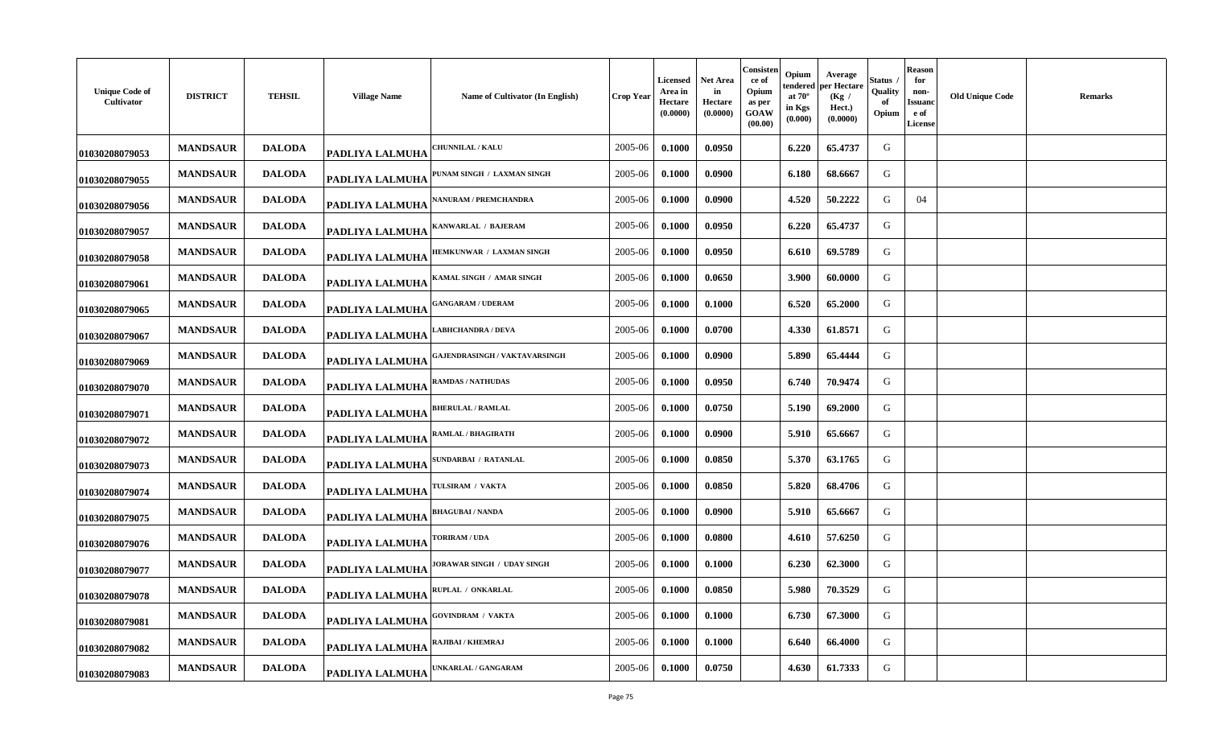| <b>Unique Code of</b><br>Cultivator | <b>DISTRICT</b> | <b>TEHSIL</b> | <b>Village Name</b>    | Name of Cultivator (In English)   | Crop Year | <b>Licensed</b><br>Area in<br>Hectare<br>(0.0000) | Net Area<br>in<br>Hectare<br>(0.0000) | Consisten<br>ce of<br>Opium<br>as per<br>GOAW<br>(00.00) | Opium<br>tendered<br>at $70^\circ$<br>in Kgs<br>(0.000) | Average<br>per Hectare<br>(Kg /<br>Hect.)<br>(0.0000) | Status<br>Quality<br>-of<br>Opium | <b>Reason</b><br>for<br>non-<br>Issuand<br>e of<br><b>License</b> | <b>Old Unique Code</b> | Remarks |
|-------------------------------------|-----------------|---------------|------------------------|-----------------------------------|-----------|---------------------------------------------------|---------------------------------------|----------------------------------------------------------|---------------------------------------------------------|-------------------------------------------------------|-----------------------------------|-------------------------------------------------------------------|------------------------|---------|
| 01030208079053                      | <b>MANDSAUR</b> | <b>DALODA</b> | <b>PADLIYA LALMUHA</b> | <b>HUNNILAL / KALU</b>            | 2005-06   | 0.1000                                            | 0.0950                                |                                                          | 6.220                                                   | 65.4737                                               | G                                 |                                                                   |                        |         |
| 01030208079055                      | <b>MANDSAUR</b> | <b>DALODA</b> | <b>PADLIYA LALMUHA</b> | PUNAM SINGH / LAXMAN SINGH        | 2005-06   | 0.1000                                            | 0.0900                                |                                                          | 6.180                                                   | 68.6667                                               | G                                 |                                                                   |                        |         |
| 01030208079056                      | <b>MANDSAUR</b> | <b>DALODA</b> | <b>PADLIYA LALMUHA</b> | NANURAM / PREMCHANDRA             | 2005-06   | 0.1000                                            | 0.0900                                |                                                          | 4.520                                                   | 50.2222                                               | G                                 | 04                                                                |                        |         |
| 01030208079057                      | <b>MANDSAUR</b> | <b>DALODA</b> | PADLIYA LALMUHA        | KANWARLAL / BAJERAM               | 2005-06   | 0.1000                                            | 0.0950                                |                                                          | 6.220                                                   | 65.4737                                               | G                                 |                                                                   |                        |         |
| 01030208079058                      | <b>MANDSAUR</b> | <b>DALODA</b> | PADLIYA LALMUHA        | <b>IEMKUNWAR / LAXMAN SINGH</b>   | 2005-06   | 0.1000                                            | 0.0950                                |                                                          | 6.610                                                   | 69.5789                                               | G                                 |                                                                   |                        |         |
| 01030208079061                      | <b>MANDSAUR</b> | <b>DALODA</b> | <b>PADLIYA LALMUHA</b> | KAMAL SINGH / AMAR SINGH          | 2005-06   | 0.1000                                            | 0.0650                                |                                                          | 3.900                                                   | 60.0000                                               | G                                 |                                                                   |                        |         |
| 01030208079065                      | <b>MANDSAUR</b> | <b>DALODA</b> | <b>PADLIYA LALMUHA</b> | <b>GANGARAM / UDERAM</b>          | 2005-06   | 0.1000                                            | 0.1000                                |                                                          | 6.520                                                   | 65.2000                                               | G                                 |                                                                   |                        |         |
| 01030208079067                      | <b>MANDSAUR</b> | <b>DALODA</b> | PADLIYA LALMUHA        | <b>ABHCHANDRA / DEVA</b>          | 2005-06   | 0.1000                                            | 0.0700                                |                                                          | 4.330                                                   | 61.8571                                               | G                                 |                                                                   |                        |         |
| 01030208079069                      | <b>MANDSAUR</b> | <b>DALODA</b> | <b>PADLIYA LALMUHA</b> | AJENDRASINGH / VAKTAVARSINGH      | 2005-06   | 0.1000                                            | 0.0900                                |                                                          | 5.890                                                   | 65.4444                                               | G                                 |                                                                   |                        |         |
| 01030208079070                      | <b>MANDSAUR</b> | <b>DALODA</b> | <b>PADLIYA LALMUHA</b> | <b>RAMDAS / NATHUDAS</b>          | 2005-06   | 0.1000                                            | 0.0950                                |                                                          | 6.740                                                   | 70.9474                                               | G                                 |                                                                   |                        |         |
| 01030208079071                      | <b>MANDSAUR</b> | <b>DALODA</b> | <b>PADLIYA LALMUHA</b> | <b>BHERULAL / RAMLAL</b>          | 2005-06   | 0.1000                                            | 0.0750                                |                                                          | 5.190                                                   | 69.2000                                               | G                                 |                                                                   |                        |         |
| 01030208079072                      | <b>MANDSAUR</b> | <b>DALODA</b> | PADLIYA LALMUHA        | RAMLAL / BHAGIRATH                | 2005-06   | 0.1000                                            | 0.0900                                |                                                          | 5.910                                                   | 65.6667                                               | G                                 |                                                                   |                        |         |
| 01030208079073                      | <b>MANDSAUR</b> | <b>DALODA</b> | PADLIYA LALMUHA        | SUNDARBAI / RATANLAL              | 2005-06   | 0.1000                                            | 0.0850                                |                                                          | 5.370                                                   | 63.1765                                               | G                                 |                                                                   |                        |         |
| 01030208079074                      | <b>MANDSAUR</b> | <b>DALODA</b> | PADLIYA LALMUHA        | <b><i>FULSIRAM / VAKTA</i></b>    | 2005-06   | 0.1000                                            | 0.0850                                |                                                          | 5.820                                                   | 68.4706                                               | G                                 |                                                                   |                        |         |
| 01030208079075                      | <b>MANDSAUR</b> | <b>DALODA</b> | PADLIYA LALMUHA        | <b>BHAGUBAI / NANDA</b>           | 2005-06   | 0.1000                                            | 0.0900                                |                                                          | 5.910                                                   | 65.6667                                               | G                                 |                                                                   |                        |         |
| 01030208079076                      | <b>MANDSAUR</b> | <b>DALODA</b> | <b>PADLIYA LALMUHA</b> | <b>FORIRAM / UDA</b>              | 2005-06   | 0.1000                                            | 0.0800                                |                                                          | 4.610                                                   | 57.6250                                               | G                                 |                                                                   |                        |         |
| 01030208079077                      | <b>MANDSAUR</b> | <b>DALODA</b> | PADLIYA LALMUHA        | <b>IORAWAR SINGH / UDAY SINGH</b> | 2005-06   | 0.1000                                            | 0.1000                                |                                                          | 6.230                                                   | 62.3000                                               | G                                 |                                                                   |                        |         |
| 01030208079078                      | <b>MANDSAUR</b> | <b>DALODA</b> | <b>PADLIYA LALMUHA</b> | RUPLAL / ONKARLAL                 | 2005-06   | 0.1000                                            | 0.0850                                |                                                          | 5.980                                                   | 70.3529                                               | G                                 |                                                                   |                        |         |
| 01030208079081                      | <b>MANDSAUR</b> | <b>DALODA</b> | <b>PADLIYA LALMUHA</b> | <b>GOVINDRAM / VAKTA</b>          | 2005-06   | 0.1000                                            | 0.1000                                |                                                          | 6.730                                                   | 67.3000                                               | G                                 |                                                                   |                        |         |
| 01030208079082                      | <b>MANDSAUR</b> | <b>DALODA</b> | <b>PADLIYA LALMUHA</b> | RAJIBAI / KHEMRAJ                 | 2005-06   | 0.1000                                            | 0.1000                                |                                                          | 6.640                                                   | 66.4000                                               | G                                 |                                                                   |                        |         |
| 01030208079083                      | <b>MANDSAUR</b> | <b>DALODA</b> | PADLIYA LALMUHA        | <b>JNKARLAL / GANGARAM</b>        | 2005-06   | 0.1000                                            | 0.0750                                |                                                          | 4.630                                                   | 61.7333                                               | G                                 |                                                                   |                        |         |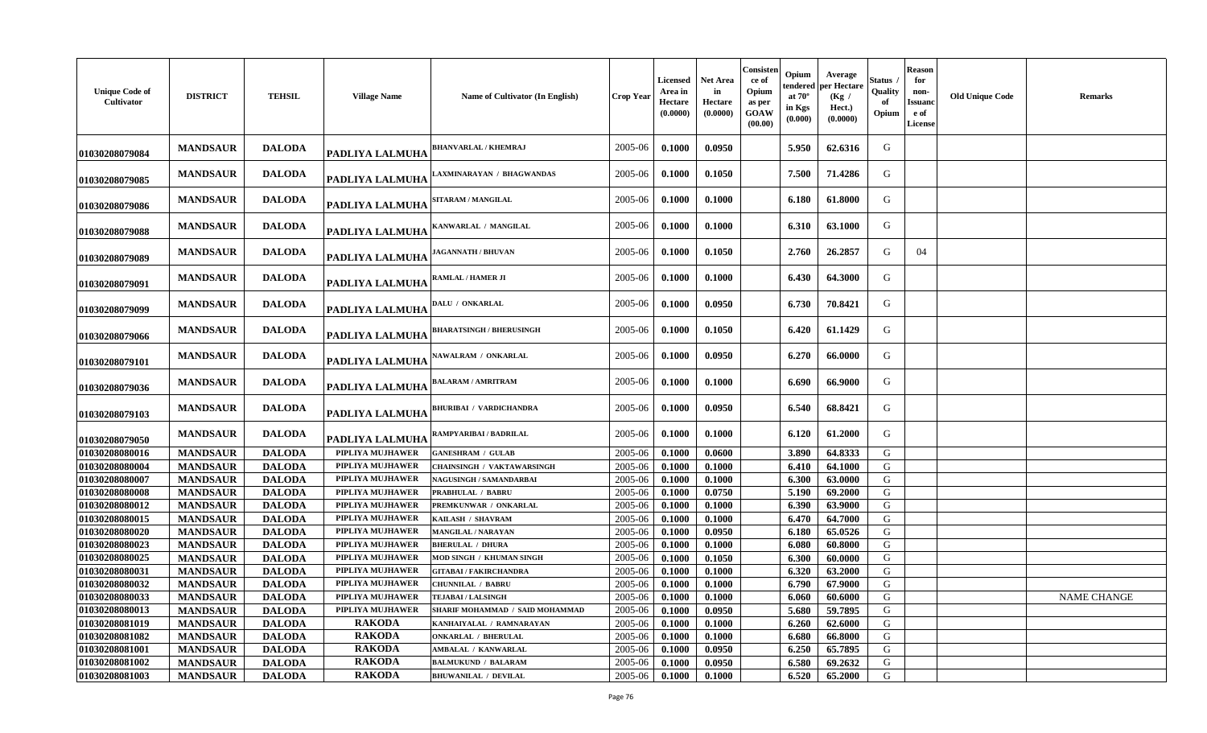| <b>Unique Code of</b><br>Cultivator | <b>DISTRICT</b> | <b>TEHSIL</b> | <b>Village Name</b>    | Name of Cultivator (In English)   | <b>Crop Year</b> | <b>Licensed</b><br>Area in<br>Hectare<br>(0.0000) | <b>Net Area</b><br>in<br>Hectare<br>(0.0000) | Consisten<br>ce of<br>Opium<br>as per<br>GOAW<br>(00.00) | Opium<br>tendered<br>at $70^\circ$<br>in Kgs<br>(0.000) | Average<br>per Hectare<br>(Kg)<br>Hect.)<br>(0.0000) | Status<br>Quality<br>Opium | <b>Reason</b><br>for<br>non-<br>Issuanc<br>e of<br><b>License</b> | <b>Old Unique Code</b> | <b>Remarks</b>     |
|-------------------------------------|-----------------|---------------|------------------------|-----------------------------------|------------------|---------------------------------------------------|----------------------------------------------|----------------------------------------------------------|---------------------------------------------------------|------------------------------------------------------|----------------------------|-------------------------------------------------------------------|------------------------|--------------------|
| 01030208079084                      | <b>MANDSAUR</b> | <b>DALODA</b> | <b>PADLIYA LALMUHA</b> | <b>BHANVARLAL / KHEMRAJ</b>       | 2005-06          | 0.1000                                            | 0.0950                                       |                                                          | 5.950                                                   | 62.6316                                              | G                          |                                                                   |                        |                    |
| 01030208079085                      | <b>MANDSAUR</b> | <b>DALODA</b> | PADLIYA LALMUHA        | LAXMINARAYAN / BHAGWANDAS         | 2005-06          | 0.1000                                            | 0.1050                                       |                                                          | 7.500                                                   | 71.4286                                              | G                          |                                                                   |                        |                    |
| 01030208079086                      | <b>MANDSAUR</b> | <b>DALODA</b> | PADLIYA LALMUHA        | <b>SITARAM / MANGILAL</b>         | 2005-06          | 0.1000                                            | 0.1000                                       |                                                          | 6.180                                                   | 61.8000                                              | G                          |                                                                   |                        |                    |
| 01030208079088                      | <b>MANDSAUR</b> | <b>DALODA</b> | PADLIYA LALMUHA        | KANWARLAL / MANGILAL              | 2005-06          | 0.1000                                            | 0.1000                                       |                                                          | 6.310                                                   | 63.1000                                              | G                          |                                                                   |                        |                    |
| 01030208079089                      | <b>MANDSAUR</b> | <b>DALODA</b> | PADLIYA LALMUHA        | <b>JAGANNATH / BHUVAN</b>         | 2005-06          | 0.1000                                            | 0.1050                                       |                                                          | 2.760                                                   | 26.2857                                              | G                          | 04                                                                |                        |                    |
| 01030208079091                      | <b>MANDSAUR</b> | <b>DALODA</b> | PADLIYA LALMUHA        | <b>RAMLAL / HAMER JI</b>          | 2005-06          | 0.1000                                            | 0.1000                                       |                                                          | 6.430                                                   | 64.3000                                              | G                          |                                                                   |                        |                    |
| 01030208079099                      | <b>MANDSAUR</b> | <b>DALODA</b> | PADLIYA LALMUHA        | DALU / ONKARLAL                   | 2005-06          | 0.1000                                            | 0.0950                                       |                                                          | 6.730                                                   | 70.8421                                              | G                          |                                                                   |                        |                    |
| 01030208079066                      | <b>MANDSAUR</b> | <b>DALODA</b> | <b>PADLIYA LALMUHA</b> | <b>BHARATSINGH / BHERUSINGH</b>   | 2005-06          | 0.1000                                            | 0.1050                                       |                                                          | 6.420                                                   | 61.1429                                              | G                          |                                                                   |                        |                    |
| 01030208079101                      | <b>MANDSAUR</b> | <b>DALODA</b> | PADLIYA LALMUHA        | NAWALRAM / ONKARLAL               | 2005-06          | 0.1000                                            | 0.0950                                       |                                                          | 6.270                                                   | 66.0000                                              | G                          |                                                                   |                        |                    |
| 01030208079036                      | <b>MANDSAUR</b> | <b>DALODA</b> | PADLIYA LALMUHA        | <b>BALARAM / AMRITRAM</b>         | 2005-06          | 0.1000                                            | 0.1000                                       |                                                          | 6.690                                                   | 66.9000                                              | G                          |                                                                   |                        |                    |
| 01030208079103                      | <b>MANDSAUR</b> | <b>DALODA</b> | PADLIYA LALMUHA        | <b>BHURIBAI / VARDICHANDRA</b>    | 2005-06          | 0.1000                                            | 0.0950                                       |                                                          | 6.540                                                   | 68.8421                                              | G                          |                                                                   |                        |                    |
| 01030208079050                      | <b>MANDSAUR</b> | <b>DALODA</b> | <b>PADLIYA LALMUHA</b> | RAMPYARIBAI / BADRILAL            | 2005-06          | 0.1000                                            | 0.1000                                       |                                                          | 6.120                                                   | 61.2000                                              | G                          |                                                                   |                        |                    |
| 01030208080016                      | <b>MANDSAUR</b> | <b>DALODA</b> | PIPLIYA MUJHAWER       | <b>GANESHRAM / GULAB</b>          | 2005-06          | 0.1000                                            | 0.0600                                       |                                                          | 3.890                                                   | 64.8333                                              | G                          |                                                                   |                        |                    |
| 01030208080004                      | <b>MANDSAUR</b> | <b>DALODA</b> | PIPLIYA MUJHAWER       | <b>CHAINSINGH / VAKTAWARSINGH</b> | 2005-06          | 0.1000                                            | 0.1000                                       |                                                          | 6.410                                                   | 64.1000                                              | G                          |                                                                   |                        |                    |
| 01030208080007                      | <b>MANDSAUR</b> | <b>DALODA</b> | PIPLIYA MUJHAWER       | NAGUSINGH / SAMANDARBAI           | 2005-06          | 0.1000                                            | 0.1000                                       |                                                          | 6.300                                                   | 63.0000                                              | G                          |                                                                   |                        |                    |
| 01030208080008                      | <b>MANDSAUR</b> | <b>DALODA</b> | PIPLIYA MUJHAWER       | PRABHULAL / BABRU                 | 2005-06          | 0.1000                                            | 0.0750                                       |                                                          | 5.190                                                   | 69.2000                                              | G                          |                                                                   |                        |                    |
| 01030208080012                      | <b>MANDSAUR</b> | <b>DALODA</b> | PIPLIYA MUJHAWER       | PREMKUNWAR / ONKARLAL             | 2005-06          | 0.1000                                            | 0.1000                                       |                                                          | 6.390                                                   | 63.9000                                              | G                          |                                                                   |                        |                    |
| 01030208080015                      | <b>MANDSAUR</b> | <b>DALODA</b> | PIPLIYA MUJHAWER       | KAILASH / SHAVRAM                 | 2005-06          | 0.1000                                            | 0.1000                                       |                                                          | 6.470                                                   | 64.7000                                              | G                          |                                                                   |                        |                    |
| 01030208080020                      | <b>MANDSAUR</b> | <b>DALODA</b> | PIPLIYA MUJHAWER       | MANGILAL / NARAYAN                | 2005-06          | 0.1000                                            | 0.0950                                       |                                                          | 6.180                                                   | 65.0526                                              | G                          |                                                                   |                        |                    |
| 01030208080023                      | <b>MANDSAUR</b> | <b>DALODA</b> | PIPLIYA MUJHAWER       | <b>BHERULAL / DHURA</b>           | 2005-06          | 0.1000                                            | 0.1000                                       |                                                          | 6.080                                                   | 60.8000                                              | G                          |                                                                   |                        |                    |
| 01030208080025                      | <b>MANDSAUR</b> | <b>DALODA</b> | PIPLIYA MUJHAWER       | MOD SINGH / KHUMAN SINGH          | 2005-06          | 0.1000                                            | 0.1050                                       |                                                          | 6.300                                                   | 60.0000                                              | G                          |                                                                   |                        |                    |
| 01030208080031                      | <b>MANDSAUR</b> | <b>DALODA</b> | PIPLIYA MUJHAWER       | <b>GITABAI/FAKIRCHANDRA</b>       | 2005-06          | 0.1000                                            | 0.1000                                       |                                                          | 6.320                                                   | 63.2000                                              | G                          |                                                                   |                        |                    |
| 01030208080032                      | <b>MANDSAUR</b> | <b>DALODA</b> | PIPLIYA MUJHAWER       | CHUNNILAL / BABRU                 | 2005-06          | 0.1000                                            | 0.1000                                       |                                                          | 6.790                                                   | 67.9000                                              | G                          |                                                                   |                        |                    |
| 01030208080033                      | <b>MANDSAUR</b> | <b>DALODA</b> | PIPLIYA MUJHAWER       | <b>TEJABAI/LALSINGH</b>           | 2005-06          | 0.1000                                            | 0.1000                                       |                                                          | 6.060                                                   | 60.6000                                              | G                          |                                                                   |                        | <b>NAME CHANGE</b> |
| 01030208080013                      | <b>MANDSAUR</b> | <b>DALODA</b> | PIPLIYA MUJHAWER       | SHARIF MOHAMMAD / SAID MOHAMMAD   | 2005-06          | 0.1000                                            | 0.0950                                       |                                                          | 5.680                                                   | 59.7895                                              | G                          |                                                                   |                        |                    |
| 01030208081019                      | <b>MANDSAUR</b> | <b>DALODA</b> | <b>RAKODA</b>          | KANHAIYALAL / RAMNARAYAN          | 2005-06          | 0.1000                                            | 0.1000                                       |                                                          | 6.260                                                   | 62.6000                                              | G                          |                                                                   |                        |                    |
| 01030208081082                      | <b>MANDSAUR</b> | <b>DALODA</b> | <b>RAKODA</b>          | <b>ONKARLAL / BHERULAL</b>        | 2005-06          | 0.1000                                            | 0.1000                                       |                                                          | 6.680                                                   | 66.8000                                              | G                          |                                                                   |                        |                    |
| 01030208081001                      | <b>MANDSAUR</b> | <b>DALODA</b> | <b>RAKODA</b>          | <b>AMBALAL / KANWARLAL</b>        | 2005-06          | 0.1000                                            | 0.0950                                       |                                                          | 6.250                                                   | 65.7895                                              | G                          |                                                                   |                        |                    |
| 01030208081002                      | <b>MANDSAUR</b> | <b>DALODA</b> | <b>RAKODA</b>          | <b>BALMUKUND / BALARAM</b>        | 2005-06          | 0.1000                                            | 0.0950                                       |                                                          | 6.580                                                   | 69.2632                                              | G                          |                                                                   |                        |                    |
| 01030208081003                      | <b>MANDSAUR</b> | <b>DALODA</b> | <b>RAKODA</b>          | <b>BHUWANILAL / DEVILAL</b>       | 2005-06          | 0.1000                                            | 0.1000                                       |                                                          | 6.520                                                   | 65.2000                                              | G                          |                                                                   |                        |                    |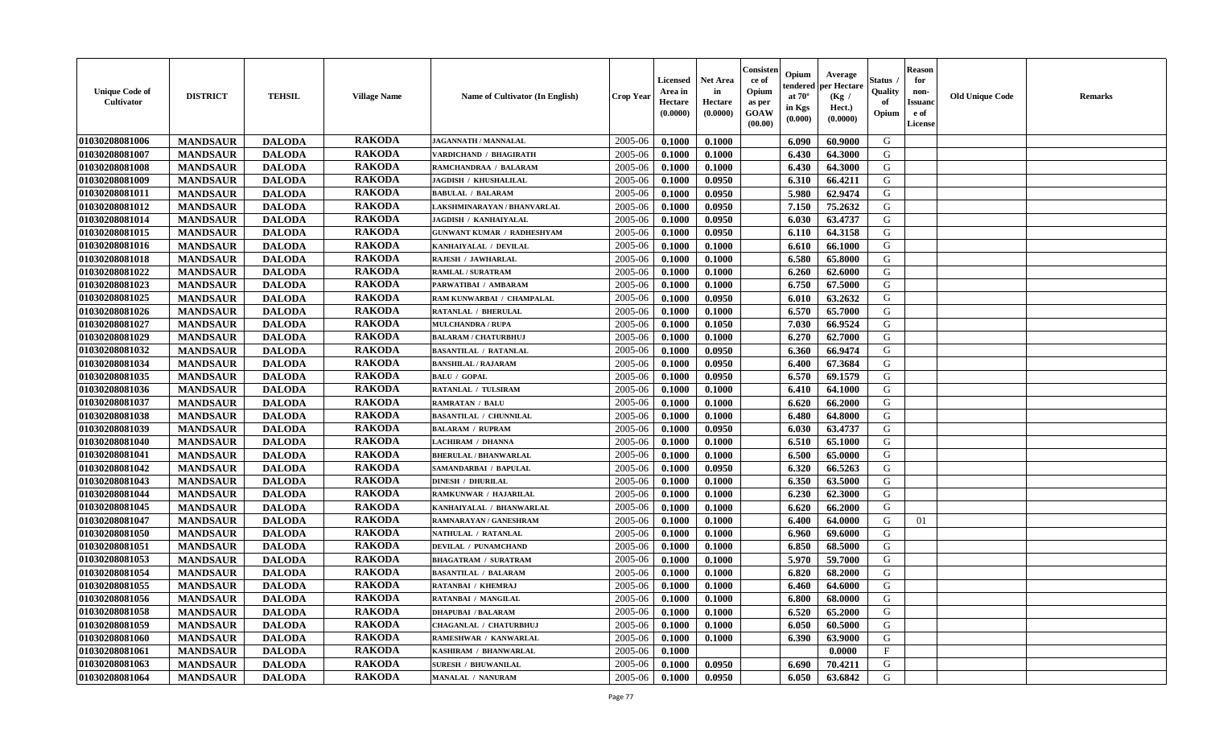| <b>Unique Code of</b><br><b>Cultivator</b> | <b>DISTRICT</b> | <b>TEHSIL</b> | <b>Village Name</b> | <b>Name of Cultivator (In English)</b> | <b>Crop Year</b> | <b>Licensed</b><br>Area in<br>Hectare<br>(0.0000) | Net Area<br>in<br>Hectare<br>(0.0000) | Consister<br>ce of<br>Opium<br>as per<br>GOAW<br>(00.00) | Opium<br>endered<br>at $70^\circ$<br>in Kgs<br>(0.000) | Average<br>per Hectare<br>(Kg /<br>Hect.)<br>(0.0000) | Status<br>Quality<br>of<br>Opium | <b>Reason</b><br>for<br>non-<br><b>Issuand</b><br>e of<br>License | <b>Old Unique Code</b> | Remarks |
|--------------------------------------------|-----------------|---------------|---------------------|----------------------------------------|------------------|---------------------------------------------------|---------------------------------------|----------------------------------------------------------|--------------------------------------------------------|-------------------------------------------------------|----------------------------------|-------------------------------------------------------------------|------------------------|---------|
| 01030208081006                             | <b>MANDSAUR</b> | <b>DALODA</b> | <b>RAKODA</b>       | <b>JAGANNATH / MANNALAL</b>            | 2005-06          | 0.1000                                            | 0.1000                                |                                                          | 6.090                                                  | 60.9000                                               | G                                |                                                                   |                        |         |
| 01030208081007                             | <b>MANDSAUR</b> | <b>DALODA</b> | <b>RAKODA</b>       | VARDICHAND / BHAGIRATH                 | 2005-06          | 0.1000                                            | 0.1000                                |                                                          | 6.430                                                  | 64.3000                                               | G                                |                                                                   |                        |         |
| 01030208081008                             | <b>MANDSAUR</b> | <b>DALODA</b> | <b>RAKODA</b>       | RAMCHANDRAA / BALARAM                  | 2005-06          | 0.1000                                            | 0.1000                                |                                                          | 6.430                                                  | 64.3000                                               | G                                |                                                                   |                        |         |
| 01030208081009                             | <b>MANDSAUR</b> | <b>DALODA</b> | <b>RAKODA</b>       | JAGDISH / KHUSHALILAL                  | 2005-06          | 0.1000                                            | 0.0950                                |                                                          | 6.310                                                  | 66.4211                                               | G                                |                                                                   |                        |         |
| 01030208081011                             | <b>MANDSAUR</b> | <b>DALODA</b> | <b>RAKODA</b>       | <b>BABULAL / BALARAM</b>               | 2005-06          | 0.1000                                            | 0.0950                                |                                                          | 5.980                                                  | 62.9474                                               | G                                |                                                                   |                        |         |
| 01030208081012                             | <b>MANDSAUR</b> | <b>DALODA</b> | <b>RAKODA</b>       | LAKSHMINARAYAN / BHANVARLAL            | 2005-06          | 0.1000                                            | 0.0950                                |                                                          | 7.150                                                  | 75.2632                                               | G                                |                                                                   |                        |         |
| 01030208081014                             | <b>MANDSAUR</b> | <b>DALODA</b> | <b>RAKODA</b>       | JAGDISH / KANHAIYALAL                  | 2005-06          | 0.1000                                            | 0.0950                                |                                                          | 6.030                                                  | 63.4737                                               | G                                |                                                                   |                        |         |
| 01030208081015                             | <b>MANDSAUR</b> | <b>DALODA</b> | <b>RAKODA</b>       | <b>GUNWANT KUMAR / RADHESHYAM</b>      | 2005-06          | 0.1000                                            | 0.0950                                |                                                          | 6.110                                                  | 64.3158                                               | G                                |                                                                   |                        |         |
| 01030208081016                             | <b>MANDSAUR</b> | <b>DALODA</b> | <b>RAKODA</b>       | KANHAIYALAL / DEVILAL                  | 2005-06          | 0.1000                                            | 0.1000                                |                                                          | 6.610                                                  | 66.1000                                               | G                                |                                                                   |                        |         |
| 01030208081018                             | <b>MANDSAUR</b> | <b>DALODA</b> | <b>RAKODA</b>       | RAJESH / JAWHARLAL                     | 2005-06          | 0.1000                                            | 0.1000                                |                                                          | 6.580                                                  | 65.8000                                               | G                                |                                                                   |                        |         |
| 01030208081022                             | <b>MANDSAUR</b> | <b>DALODA</b> | <b>RAKODA</b>       | <b>RAMLAL / SURATRAM</b>               | 2005-06          | 0.1000                                            | 0.1000                                |                                                          | 6.260                                                  | 62.6000                                               | G                                |                                                                   |                        |         |
| 01030208081023                             | <b>MANDSAUR</b> | <b>DALODA</b> | <b>RAKODA</b>       | PARWATIBAI / AMBARAM                   | 2005-06          | 0.1000                                            | 0.1000                                |                                                          | 6.750                                                  | 67.5000                                               | G                                |                                                                   |                        |         |
| 01030208081025                             | <b>MANDSAUR</b> | <b>DALODA</b> | <b>RAKODA</b>       | RAM KUNWARBAI / CHAMPALAL              | 2005-06          | 0.1000                                            | 0.0950                                |                                                          | 6.010                                                  | 63.2632                                               | G                                |                                                                   |                        |         |
| 01030208081026                             | <b>MANDSAUR</b> | <b>DALODA</b> | <b>RAKODA</b>       | <b>RATANLAL / BHERULAL</b>             | 2005-06          | 0.1000                                            | 0.1000                                |                                                          | 6.570                                                  | 65.7000                                               | G                                |                                                                   |                        |         |
| 01030208081027                             | <b>MANDSAUR</b> | <b>DALODA</b> | <b>RAKODA</b>       | <b>MULCHANDRA / RUPA</b>               | 2005-06          | 0.1000                                            | 0.1050                                |                                                          | 7.030                                                  | 66.9524                                               | $\mathbf G$                      |                                                                   |                        |         |
| 01030208081029                             | <b>MANDSAUR</b> | <b>DALODA</b> | <b>RAKODA</b>       | <b>BALARAM / CHATURBHUJ</b>            | 2005-06          | 0.1000                                            | 0.1000                                |                                                          | 6.270                                                  | 62.7000                                               | G                                |                                                                   |                        |         |
| 01030208081032                             | <b>MANDSAUR</b> | <b>DALODA</b> | <b>RAKODA</b>       | <b>BASANTILAL / RATANLAL</b>           | 2005-06          | 0.1000                                            | 0.0950                                |                                                          | 6.360                                                  | 66.9474                                               | G                                |                                                                   |                        |         |
| 01030208081034                             | <b>MANDSAUR</b> | <b>DALODA</b> | <b>RAKODA</b>       | <b>BANSHILAL / RAJARAM</b>             | 2005-06          | 0.1000                                            | 0.0950                                |                                                          | 6.400                                                  | 67.3684                                               | G                                |                                                                   |                        |         |
| 01030208081035                             | <b>MANDSAUR</b> | <b>DALODA</b> | <b>RAKODA</b>       | <b>BALU / GOPAL</b>                    | 2005-06          | 0.1000                                            | 0.0950                                |                                                          | 6.570                                                  | 69.1579                                               | G                                |                                                                   |                        |         |
| 01030208081036                             | <b>MANDSAUR</b> | <b>DALODA</b> | <b>RAKODA</b>       | RATANLAL / TULSIRAM                    | 2005-06          | 0.1000                                            | 0.1000                                |                                                          | 6.410                                                  | 64.1000                                               | G                                |                                                                   |                        |         |
| 01030208081037                             | <b>MANDSAUR</b> | <b>DALODA</b> | <b>RAKODA</b>       | <b>RAMRATAN / BALU</b>                 | 2005-06          | 0.1000                                            | 0.1000                                |                                                          | 6.620                                                  | 66.2000                                               | G                                |                                                                   |                        |         |
| 01030208081038                             | <b>MANDSAUR</b> | <b>DALODA</b> | <b>RAKODA</b>       | <b>BASANTILAL / CHUNNILAL</b>          | 2005-06          | 0.1000                                            | 0.1000                                |                                                          | 6.480                                                  | 64.8000                                               | G                                |                                                                   |                        |         |
| 01030208081039                             | <b>MANDSAUR</b> | <b>DALODA</b> | <b>RAKODA</b>       | <b>BALARAM / RUPRAM</b>                | 2005-06          | 0.1000                                            | 0.0950                                |                                                          | 6.030                                                  | 63.4737                                               | G                                |                                                                   |                        |         |
| 01030208081040                             | <b>MANDSAUR</b> | <b>DALODA</b> | <b>RAKODA</b>       | LACHIRAM / DHANNA                      | 2005-06          | 0.1000                                            | 0.1000                                |                                                          | 6.510                                                  | 65.1000                                               | G                                |                                                                   |                        |         |
| 01030208081041                             | <b>MANDSAUR</b> | <b>DALODA</b> | <b>RAKODA</b>       | <b>BHERULAL / BHANWARLAL</b>           | 2005-06          | 0.1000                                            | 0.1000                                |                                                          | 6.500                                                  | 65.0000                                               | G                                |                                                                   |                        |         |
| 01030208081042                             | <b>MANDSAUR</b> | <b>DALODA</b> | <b>RAKODA</b>       | SAMANDARBAI / BAPULAL                  | 2005-06          | 0.1000                                            | 0.0950                                |                                                          | 6.320                                                  | 66.5263                                               | G                                |                                                                   |                        |         |
| 01030208081043                             | <b>MANDSAUR</b> | <b>DALODA</b> | <b>RAKODA</b>       | <b>DINESH / DHURILAL</b>               | 2005-06          | 0.1000                                            | 0.1000                                |                                                          | 6.350                                                  | 63.5000                                               | G                                |                                                                   |                        |         |
| 01030208081044                             | <b>MANDSAUR</b> | <b>DALODA</b> | <b>RAKODA</b>       | RAMKUNWAR / HAJARILAL                  | 2005-06          | 0.1000                                            | 0.1000                                |                                                          | 6.230                                                  | 62.3000                                               | G                                |                                                                   |                        |         |
| 01030208081045                             | <b>MANDSAUR</b> | <b>DALODA</b> | <b>RAKODA</b>       | KANHAIYALAL / BHANWARLAL               | 2005-06          | 0.1000                                            | 0.1000                                |                                                          | 6.620                                                  | 66.2000                                               | G                                |                                                                   |                        |         |
| 01030208081047                             | <b>MANDSAUR</b> | <b>DALODA</b> | <b>RAKODA</b>       | <b>RAMNARAYAN / GANESHRAM</b>          | 2005-06          | 0.1000                                            | 0.1000                                |                                                          | 6.400                                                  | 64.0000                                               | G                                | 01                                                                |                        |         |
| 01030208081050                             | <b>MANDSAUR</b> | <b>DALODA</b> | <b>RAKODA</b>       | NATHULAL / RATANLAL                    | 2005-06          | 0.1000                                            | 0.1000                                |                                                          | 6.960                                                  | 69.6000                                               | G                                |                                                                   |                        |         |
| 01030208081051                             | <b>MANDSAUR</b> | <b>DALODA</b> | <b>RAKODA</b>       | <b>DEVILAL / PUNAMCHAND</b>            | 2005-06          | 0.1000                                            | 0.1000                                |                                                          | 6.850                                                  | 68.5000                                               | G                                |                                                                   |                        |         |
| 01030208081053                             | <b>MANDSAUR</b> | <b>DALODA</b> | <b>RAKODA</b>       | <b>BHAGATRAM / SURATRAM</b>            | 2005-06          | 0.1000                                            | 0.1000                                |                                                          | 5.970                                                  | 59.7000                                               | G                                |                                                                   |                        |         |
| 01030208081054                             | <b>MANDSAUR</b> | <b>DALODA</b> | <b>RAKODA</b>       | <b>BASANTILAL / BALARAM</b>            | 2005-06          | 0.1000                                            | 0.1000                                |                                                          | 6.820                                                  | 68.2000                                               | G                                |                                                                   |                        |         |
| 01030208081055                             | <b>MANDSAUR</b> | <b>DALODA</b> | <b>RAKODA</b>       | RATANBAI / KHEMRAJ                     | 2005-06          | 0.1000                                            | 0.1000                                |                                                          | 6.460                                                  | 64.6000                                               | G                                |                                                                   |                        |         |
| 01030208081056                             | <b>MANDSAUR</b> | <b>DALODA</b> | <b>RAKODA</b>       | RATANBAI / MANGILAL                    | 2005-06          | 0.1000                                            | 0.1000                                |                                                          | 6.800                                                  | 68.0000                                               | G                                |                                                                   |                        |         |
| 01030208081058                             | <b>MANDSAUR</b> | <b>DALODA</b> | <b>RAKODA</b>       | <b>DHAPUBAI / BALARAM</b>              | 2005-06          | 0.1000                                            | 0.1000                                |                                                          | 6.520                                                  | 65.2000                                               | G                                |                                                                   |                        |         |
| 01030208081059                             | <b>MANDSAUR</b> | <b>DALODA</b> | <b>RAKODA</b>       | CHAGANLAL / CHATURBHUJ                 | 2005-06          | 0.1000                                            | 0.1000                                |                                                          | 6.050                                                  | 60.5000                                               | G                                |                                                                   |                        |         |
| 01030208081060                             | <b>MANDSAUR</b> | <b>DALODA</b> | <b>RAKODA</b>       | RAMESHWAR / KANWARLAL                  | 2005-06          | 0.1000                                            | 0.1000                                |                                                          | 6.390                                                  | 63.9000                                               | G                                |                                                                   |                        |         |
| 01030208081061                             | <b>MANDSAUR</b> | <b>DALODA</b> | <b>RAKODA</b>       | KASHIRAM / BHANWARLAL                  | 2005-06          | 0.1000                                            |                                       |                                                          |                                                        | 0.0000                                                | F                                |                                                                   |                        |         |
| 01030208081063                             | <b>MANDSAUR</b> | <b>DALODA</b> | <b>RAKODA</b>       | <b>SURESH / BHUWANILAL</b>             | 2005-06          | 0.1000                                            | 0.0950                                |                                                          | 6.690                                                  | 70.4211                                               | G                                |                                                                   |                        |         |
| 01030208081064                             | <b>MANDSAUR</b> | <b>DALODA</b> | <b>RAKODA</b>       | <b>MANALAL / NANURAM</b>               | 2005-06          | 0.1000                                            | 0.0950                                |                                                          | 6.050                                                  | 63.6842                                               | G                                |                                                                   |                        |         |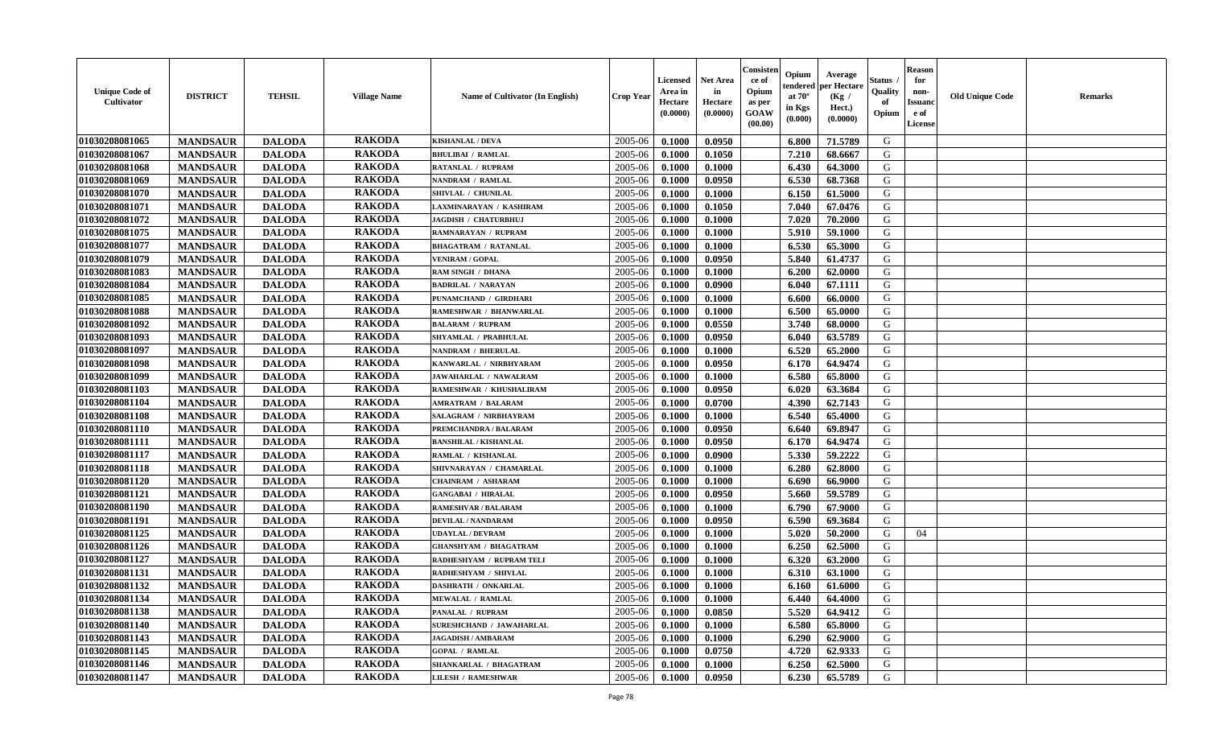| <b>Unique Code of</b><br>Cultivator | <b>DISTRICT</b> | <b>TEHSIL</b> | <b>Village Name</b> | Name of Cultivator (In English) | Crop Year | Licensed<br>Area in<br>Hectare<br>(0.0000) | <b>Net Area</b><br>in<br>Hectare<br>(0.0000) | Consister<br>ce of<br>Opium<br>as per<br>GOAW<br>(00.00) | Opium<br>endered<br>at $70^\circ$<br>in Kgs<br>(0.000) | Average<br>per Hectare<br>(Kg /<br>Hect.)<br>(0.0000) | Status<br>Quality<br>of<br>Opium | <b>Reason</b><br>for<br>non-<br><b>Issuanc</b><br>e of<br>License | <b>Old Unique Code</b> | Remarks |
|-------------------------------------|-----------------|---------------|---------------------|---------------------------------|-----------|--------------------------------------------|----------------------------------------------|----------------------------------------------------------|--------------------------------------------------------|-------------------------------------------------------|----------------------------------|-------------------------------------------------------------------|------------------------|---------|
| 01030208081065                      | <b>MANDSAUR</b> | <b>DALODA</b> | <b>RAKODA</b>       | <b>KISHANLAL / DEVA</b>         | 2005-06   | 0.1000                                     | 0.0950                                       |                                                          | 6.800                                                  | 71.5789                                               | G                                |                                                                   |                        |         |
| 01030208081067                      | <b>MANDSAUR</b> | <b>DALODA</b> | <b>RAKODA</b>       | <b>BHULIBAI / RAMLAL</b>        | 2005-06   | 0.1000                                     | 0.1050                                       |                                                          | 7.210                                                  | 68.6667                                               | G                                |                                                                   |                        |         |
| 01030208081068                      | <b>MANDSAUR</b> | <b>DALODA</b> | <b>RAKODA</b>       | RATANLAL / RUPRAM               | 2005-06   | 0.1000                                     | 0.1000                                       |                                                          | 6.430                                                  | 64.3000                                               | G                                |                                                                   |                        |         |
| 01030208081069                      | <b>MANDSAUR</b> | <b>DALODA</b> | <b>RAKODA</b>       | NANDRAM / RAMLAL                | 2005-06   | 0.1000                                     | 0.0950                                       |                                                          | 6.530                                                  | 68.7368                                               | G                                |                                                                   |                        |         |
| 01030208081070                      | <b>MANDSAUR</b> | <b>DALODA</b> | <b>RAKODA</b>       | SHIVLAL / CHUNILAL              | 2005-06   | 0.1000                                     | 0.1000                                       |                                                          | 6.150                                                  | 61.5000                                               | G                                |                                                                   |                        |         |
| 01030208081071                      | <b>MANDSAUR</b> | <b>DALODA</b> | <b>RAKODA</b>       | LAXMINARAYAN / KASHIRAM         | 2005-06   | 0.1000                                     | 0.1050                                       |                                                          | 7.040                                                  | 67.0476                                               | G                                |                                                                   |                        |         |
| 01030208081072                      | <b>MANDSAUR</b> | <b>DALODA</b> | <b>RAKODA</b>       | JAGDISH / CHATURBHUJ            | 2005-06   | 0.1000                                     | 0.1000                                       |                                                          | 7.020                                                  | 70.2000                                               | G                                |                                                                   |                        |         |
| 01030208081075                      | <b>MANDSAUR</b> | <b>DALODA</b> | <b>RAKODA</b>       | <b>RAMNARAYAN / RUPRAM</b>      | 2005-06   | 0.1000                                     | 0.1000                                       |                                                          | 5.910                                                  | 59.1000                                               | G                                |                                                                   |                        |         |
| 01030208081077                      | <b>MANDSAUR</b> | <b>DALODA</b> | <b>RAKODA</b>       | <b>BHAGATRAM / RATANLAL</b>     | 2005-06   | 0.1000                                     | 0.1000                                       |                                                          | 6.530                                                  | 65.3000                                               | G                                |                                                                   |                        |         |
| 01030208081079                      | <b>MANDSAUR</b> | <b>DALODA</b> | <b>RAKODA</b>       | <b>VENIRAM / GOPAL</b>          | 2005-06   | 0.1000                                     | 0.0950                                       |                                                          | 5.840                                                  | 61.4737                                               | G                                |                                                                   |                        |         |
| 01030208081083                      | <b>MANDSAUR</b> | <b>DALODA</b> | <b>RAKODA</b>       | RAM SINGH / DHANA               | 2005-06   | 0.1000                                     | 0.1000                                       |                                                          | 6.200                                                  | 62.0000                                               | G                                |                                                                   |                        |         |
| 01030208081084                      | <b>MANDSAUR</b> | <b>DALODA</b> | <b>RAKODA</b>       | <b>BADRILAL / NARAYAN</b>       | 2005-06   | 0.1000                                     | 0.0900                                       |                                                          | 6.040                                                  | 67.1111                                               | G                                |                                                                   |                        |         |
| 01030208081085                      | <b>MANDSAUR</b> | <b>DALODA</b> | <b>RAKODA</b>       | PUNAMCHAND / GIRDHARI           | 2005-06   | 0.1000                                     | 0.1000                                       |                                                          | 6.600                                                  | 66.0000                                               | G                                |                                                                   |                        |         |
| 01030208081088                      | <b>MANDSAUR</b> | <b>DALODA</b> | <b>RAKODA</b>       | RAMESHWAR / BHANWARLAL          | 2005-06   | 0.1000                                     | 0.1000                                       |                                                          | 6.500                                                  | 65.0000                                               | G                                |                                                                   |                        |         |
| <b>01030208081092</b>               | <b>MANDSAUR</b> | <b>DALODA</b> | <b>RAKODA</b>       | <b>BALARAM / RUPRAM</b>         | 2005-06   | 0.1000                                     | 0.0550                                       |                                                          | 3.740                                                  | 68.0000                                               | G                                |                                                                   |                        |         |
| 01030208081093                      | <b>MANDSAUR</b> | <b>DALODA</b> | <b>RAKODA</b>       | SHYAMLAL / PRABHULAL            | 2005-06   | 0.1000                                     | 0.0950                                       |                                                          | 6.040                                                  | 63.5789                                               | G                                |                                                                   |                        |         |
| 01030208081097                      | <b>MANDSAUR</b> | <b>DALODA</b> | <b>RAKODA</b>       | NANDRAM / BHERULAL              | 2005-06   | 0.1000                                     | 0.1000                                       |                                                          | 6.520                                                  | 65.2000                                               | G                                |                                                                   |                        |         |
| 01030208081098                      | <b>MANDSAUR</b> | <b>DALODA</b> | <b>RAKODA</b>       | KANWARLAL / NIRBHYARAM          | 2005-06   | 0.1000                                     | 0.0950                                       |                                                          | 6.170                                                  | 64.9474                                               | G                                |                                                                   |                        |         |
| 01030208081099                      | <b>MANDSAUR</b> | <b>DALODA</b> | <b>RAKODA</b>       | JAWAHARLAL / NAWALRAM           | 2005-06   | 0.1000                                     | 0.1000                                       |                                                          | 6.580                                                  | 65.8000                                               | G                                |                                                                   |                        |         |
| 01030208081103                      | <b>MANDSAUR</b> | <b>DALODA</b> | <b>RAKODA</b>       | RAMESHWAR / KHUSHALIRAM         | 2005-06   | 0.1000                                     | 0.0950                                       |                                                          | 6.020                                                  | 63.3684                                               | G                                |                                                                   |                        |         |
| 01030208081104                      | <b>MANDSAUR</b> | <b>DALODA</b> | <b>RAKODA</b>       | <b>AMRATRAM / BALARAM</b>       | 2005-06   | 0.1000                                     | 0.0700                                       |                                                          | 4.390                                                  | 62.7143                                               | G                                |                                                                   |                        |         |
| 01030208081108                      | <b>MANDSAUR</b> | <b>DALODA</b> | <b>RAKODA</b>       | <b>SALAGRAM / NIRBHAYRAM</b>    | 2005-06   | 0.1000                                     | 0.1000                                       |                                                          | 6.540                                                  | 65.4000                                               | G                                |                                                                   |                        |         |
| 01030208081110                      | <b>MANDSAUR</b> | <b>DALODA</b> | <b>RAKODA</b>       | PREMCHANDRA / BALARAM           | 2005-06   | 0.1000                                     | 0.0950                                       |                                                          | 6.640                                                  | 69.8947                                               | G                                |                                                                   |                        |         |
| 01030208081111                      | <b>MANDSAUR</b> | <b>DALODA</b> | <b>RAKODA</b>       | <b>BANSHILAL / KISHANLAL</b>    | 2005-06   | 0.1000                                     | 0.0950                                       |                                                          | 6.170                                                  | 64.9474                                               | G                                |                                                                   |                        |         |
| 01030208081117                      | <b>MANDSAUR</b> | <b>DALODA</b> | <b>RAKODA</b>       | RAMLAL / KISHANLAL              | 2005-06   | 0.1000                                     | 0.0900                                       |                                                          | 5.330                                                  | 59,2222                                               | G                                |                                                                   |                        |         |
| 01030208081118                      | <b>MANDSAUR</b> | <b>DALODA</b> | <b>RAKODA</b>       | SHIVNARAYAN / CHAMARLAL         | 2005-06   | 0.1000                                     | 0.1000                                       |                                                          | 6.280                                                  | 62.8000                                               | G                                |                                                                   |                        |         |
| 01030208081120                      | <b>MANDSAUR</b> | <b>DALODA</b> | <b>RAKODA</b>       | <b>CHAINRAM / ASHARAM</b>       | 2005-06   | 0.1000                                     | 0.1000                                       |                                                          | 6.690                                                  | 66.9000                                               | G                                |                                                                   |                        |         |
| 01030208081121                      | <b>MANDSAUR</b> | <b>DALODA</b> | <b>RAKODA</b>       | <b>GANGABAI / HIRALAL</b>       | 2005-06   | 0.1000                                     | 0.0950                                       |                                                          | 5.660                                                  | 59.5789                                               | G                                |                                                                   |                        |         |
| 01030208081190                      | <b>MANDSAUR</b> | <b>DALODA</b> | <b>RAKODA</b>       | <b>RAMESHVAR / BALARAM</b>      | 2005-06   | 0.1000                                     | 0.1000                                       |                                                          | 6.790                                                  | 67.9000                                               | G                                |                                                                   |                        |         |
| 01030208081191                      | <b>MANDSAUR</b> | <b>DALODA</b> | <b>RAKODA</b>       | <b>DEVILAL / NANDARAM</b>       | 2005-06   | 0.1000                                     | 0.0950                                       |                                                          | 6.590                                                  | 69.3684                                               | G                                |                                                                   |                        |         |
| 01030208081125                      | <b>MANDSAUR</b> | <b>DALODA</b> | <b>RAKODA</b>       | <b>UDAYLAL / DEVRAM</b>         | 2005-06   | 0.1000                                     | 0.1000                                       |                                                          | 5.020                                                  | 50.2000                                               | G                                | 04                                                                |                        |         |
| 01030208081126                      | <b>MANDSAUR</b> | <b>DALODA</b> | <b>RAKODA</b>       | <b>GHANSHYAM / BHAGATRAM</b>    | 2005-06   | 0.1000                                     | 0.1000                                       |                                                          | 6.250                                                  | 62.5000                                               | G                                |                                                                   |                        |         |
| 01030208081127                      | <b>MANDSAUR</b> | <b>DALODA</b> | <b>RAKODA</b>       | RADHESHYAM / RUPRAM TELI        | 2005-06   | 0.1000                                     | 0.1000                                       |                                                          | 6.320                                                  | 63.2000                                               | G                                |                                                                   |                        |         |
| 01030208081131                      | <b>MANDSAUR</b> | <b>DALODA</b> | <b>RAKODA</b>       | RADHESHYAM / SHIVLAL            | 2005-06   | 0.1000                                     | 0.1000                                       |                                                          | 6.310                                                  | 63.1000                                               | G                                |                                                                   |                        |         |
| 01030208081132                      | <b>MANDSAUR</b> | <b>DALODA</b> | <b>RAKODA</b>       | DASHRATH / ONKARLAL             | 2005-06   | 0.1000                                     | 0.1000                                       |                                                          | 6.160                                                  | 61.6000                                               | G                                |                                                                   |                        |         |
| 01030208081134                      | <b>MANDSAUR</b> | <b>DALODA</b> | <b>RAKODA</b>       | <b>MEWALAL / RAMLAL</b>         | 2005-06   | 0.1000                                     | 0.1000                                       |                                                          | 6.440                                                  | 64.4000                                               | G                                |                                                                   |                        |         |
| 01030208081138                      | <b>MANDSAUR</b> | <b>DALODA</b> | <b>RAKODA</b>       | PANALAL / RUPRAM                | 2005-06   | 0.1000                                     | 0.0850                                       |                                                          | 5.520                                                  | 64.9412                                               | G                                |                                                                   |                        |         |
| 01030208081140                      | <b>MANDSAUR</b> | <b>DALODA</b> | <b>RAKODA</b>       | SURESHCHAND / JAWAHARLAL        | 2005-06   | 0.1000                                     | 0.1000                                       |                                                          | 6.580                                                  | 65.8000                                               | G                                |                                                                   |                        |         |
| 01030208081143                      | <b>MANDSAUR</b> | <b>DALODA</b> | <b>RAKODA</b>       | <b>JAGADISH / AMBARAM</b>       | 2005-06   | 0.1000                                     | 0.1000                                       |                                                          | 6.290                                                  | 62.9000                                               | G                                |                                                                   |                        |         |
| 01030208081145                      | <b>MANDSAUR</b> | <b>DALODA</b> | <b>RAKODA</b>       | <b>GOPAL / RAMLAL</b>           | 2005-06   | 0.1000                                     | 0.0750                                       |                                                          | 4.720                                                  | 62.9333                                               | ${\bf G}$                        |                                                                   |                        |         |
| 01030208081146                      | <b>MANDSAUR</b> | <b>DALODA</b> | <b>RAKODA</b>       | SHANKARLAL / BHAGATRAM          | 2005-06   | 0.1000                                     | 0.1000                                       |                                                          | 6.250                                                  | 62.5000                                               | G                                |                                                                   |                        |         |
| 01030208081147                      | <b>MANDSAUR</b> | <b>DALODA</b> | <b>RAKODA</b>       | <b>LILESH / RAMESHWAR</b>       | 2005-06   | 0.1000                                     | 0.0950                                       |                                                          | 6.230                                                  | 65.5789                                               | G                                |                                                                   |                        |         |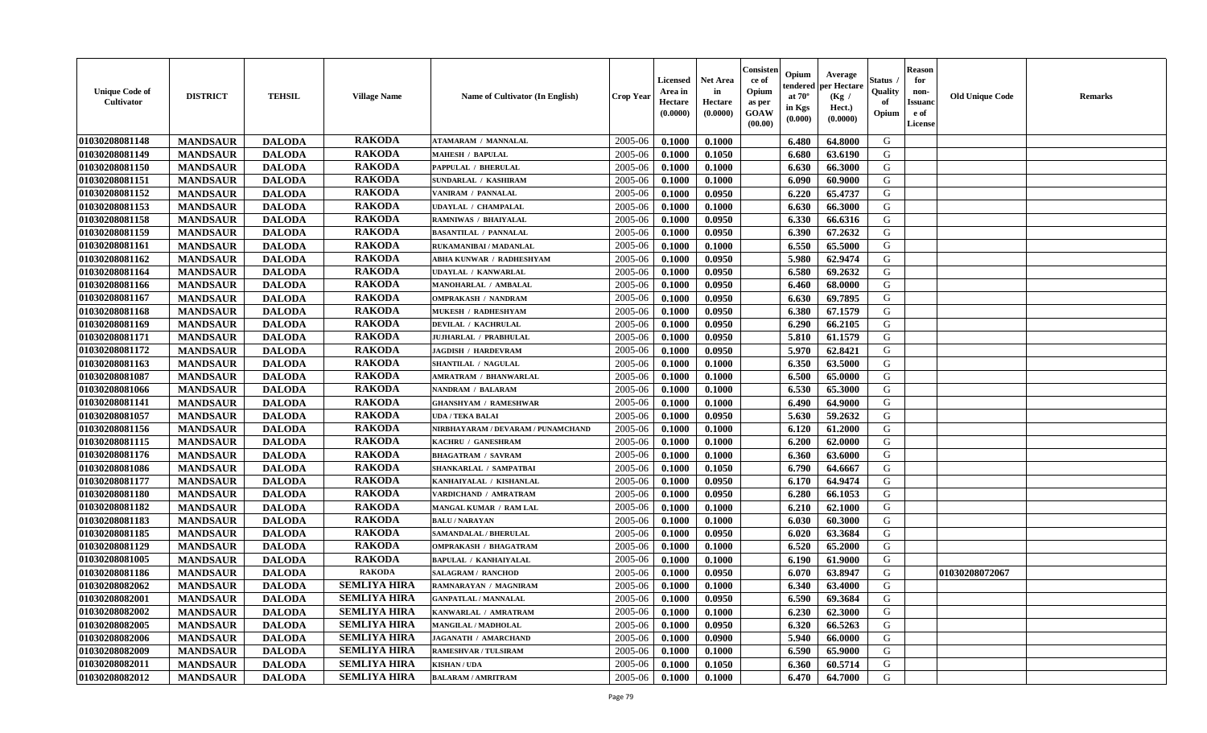| <b>Unique Code of</b><br><b>Cultivator</b> | <b>DISTRICT</b> | <b>TEHSIL</b> | <b>Village Name</b> | Name of Cultivator (In English)    | <b>Crop Year</b> | <b>Licensed</b><br>Area in<br>Hectare<br>(0.0000) | Net Area<br>in<br>Hectare<br>(0.0000) | Consister<br>ce of<br>Opium<br>as per<br><b>GOAW</b><br>(00.00) | Opium<br>endered<br>at $70^\circ$<br>in Kgs<br>(0.000) | Average<br>per Hectare<br>(Kg /<br>Hect.)<br>(0.0000) | Status<br>Quality<br>of<br>Opium | <b>Reason</b><br>for<br>non-<br><b>Issuand</b><br>e of<br><b>License</b> | <b>Old Unique Code</b> | <b>Remarks</b> |
|--------------------------------------------|-----------------|---------------|---------------------|------------------------------------|------------------|---------------------------------------------------|---------------------------------------|-----------------------------------------------------------------|--------------------------------------------------------|-------------------------------------------------------|----------------------------------|--------------------------------------------------------------------------|------------------------|----------------|
| 01030208081148                             | <b>MANDSAUR</b> | <b>DALODA</b> | <b>RAKODA</b>       | <b>ATAMARAM / MANNALAL</b>         | 2005-06          | 0.1000                                            | 0.1000                                |                                                                 | 6.480                                                  | 64.8000                                               | G                                |                                                                          |                        |                |
| 01030208081149                             | <b>MANDSAUR</b> | <b>DALODA</b> | <b>RAKODA</b>       | <b>MAHESH / BAPULAL</b>            | 2005-06          | 0.1000                                            | 0.1050                                |                                                                 | 6.680                                                  | 63.6190                                               | G                                |                                                                          |                        |                |
| 01030208081150                             | <b>MANDSAUR</b> | <b>DALODA</b> | <b>RAKODA</b>       | PAPPULAL / BHERULAL                | 2005-06          | 0.1000                                            | 0.1000                                |                                                                 | 6.630                                                  | 66.3000                                               | G                                |                                                                          |                        |                |
| 01030208081151                             | <b>MANDSAUR</b> | <b>DALODA</b> | <b>RAKODA</b>       | SUNDARLAL / KASHIRAM               | 2005-06          | 0.1000                                            | 0.1000                                |                                                                 | 6.090                                                  | 60.9000                                               | G                                |                                                                          |                        |                |
| 01030208081152                             | <b>MANDSAUR</b> | <b>DALODA</b> | <b>RAKODA</b>       | VANIRAM / PANNALAL                 | 2005-06          | 0.1000                                            | 0.0950                                |                                                                 | 6.220                                                  | 65.4737                                               | G                                |                                                                          |                        |                |
| 01030208081153                             | <b>MANDSAUR</b> | <b>DALODA</b> | <b>RAKODA</b>       | <b>UDAYLAL / CHAMPALAL</b>         | 2005-06          | 0.1000                                            | 0.1000                                |                                                                 | 6.630                                                  | 66.3000                                               | G                                |                                                                          |                        |                |
| 01030208081158                             | <b>MANDSAUR</b> | <b>DALODA</b> | <b>RAKODA</b>       | RAMNIWAS / BHAIYALAL               | 2005-06          | 0.1000                                            | 0.0950                                |                                                                 | 6.330                                                  | 66.6316                                               | G                                |                                                                          |                        |                |
| 01030208081159                             | <b>MANDSAUR</b> | <b>DALODA</b> | <b>RAKODA</b>       | <b>BASANTILAL / PANNALAL</b>       | 2005-06          | 0.1000                                            | 0.0950                                |                                                                 | 6.390                                                  | 67.2632                                               | ${\bf G}$                        |                                                                          |                        |                |
| 01030208081161                             | <b>MANDSAUR</b> | <b>DALODA</b> | <b>RAKODA</b>       | RUKAMANIBAI / MADANLAL             | 2005-06          | 0.1000                                            | 0.1000                                |                                                                 | 6.550                                                  | 65.5000                                               | G                                |                                                                          |                        |                |
| 01030208081162                             | <b>MANDSAUR</b> | <b>DALODA</b> | <b>RAKODA</b>       | ABHA KUNWAR / RADHESHYAM           | 2005-06          | 0.1000                                            | 0.0950                                |                                                                 | 5.980                                                  | 62.9474                                               | G                                |                                                                          |                        |                |
| 01030208081164                             | <b>MANDSAUR</b> | <b>DALODA</b> | <b>RAKODA</b>       | <b>UDAYLAL / KANWARLAL</b>         | 2005-06          | 0.1000                                            | 0.0950                                |                                                                 | 6.580                                                  | 69.2632                                               | G                                |                                                                          |                        |                |
| 01030208081166                             | <b>MANDSAUR</b> | <b>DALODA</b> | <b>RAKODA</b>       | MANOHARLAL / AMBALAL               | 2005-06          | 0.1000                                            | 0.0950                                |                                                                 | 6.460                                                  | 68.0000                                               | G                                |                                                                          |                        |                |
| 01030208081167                             | <b>MANDSAUR</b> | <b>DALODA</b> | <b>RAKODA</b>       | <b>OMPRAKASH / NANDRAM</b>         | 2005-06          | 0.1000                                            | 0.0950                                |                                                                 | 6.630                                                  | 69.7895                                               | G                                |                                                                          |                        |                |
| 01030208081168                             | <b>MANDSAUR</b> | <b>DALODA</b> | <b>RAKODA</b>       | MUKESH / RADHESHYAM                | 2005-06          | 0.1000                                            | 0.0950                                |                                                                 | 6.380                                                  | 67.1579                                               | G                                |                                                                          |                        |                |
| 01030208081169                             | <b>MANDSAUR</b> | <b>DALODA</b> | <b>RAKODA</b>       | <b>DEVILAL / KACHRULAL</b>         | 2005-06          | 0.1000                                            | 0.0950                                |                                                                 | 6.290                                                  | 66.2105                                               | G                                |                                                                          |                        |                |
| 01030208081171                             | <b>MANDSAUR</b> | <b>DALODA</b> | <b>RAKODA</b>       | JUJHARLAL / PRABHULAL              | 2005-06          | 0.1000                                            | 0.0950                                |                                                                 | 5.810                                                  | 61.1579                                               | G                                |                                                                          |                        |                |
| 01030208081172                             | <b>MANDSAUR</b> | <b>DALODA</b> | <b>RAKODA</b>       | <b>JAGDISH / HARDEVRAM</b>         | 2005-06          | 0.1000                                            | 0.0950                                |                                                                 | 5.970                                                  | 62.8421                                               | G                                |                                                                          |                        |                |
| 01030208081163                             | <b>MANDSAUR</b> | <b>DALODA</b> | <b>RAKODA</b>       | SHANTILAL / NAGULAL                | 2005-06          | 0.1000                                            | 0.1000                                |                                                                 | 6.350                                                  | 63.5000                                               | G                                |                                                                          |                        |                |
| 01030208081087                             | <b>MANDSAUR</b> | <b>DALODA</b> | <b>RAKODA</b>       | AMRATRAM / BHANWARLAL              | 2005-06          | 0.1000                                            | 0.1000                                |                                                                 | 6.500                                                  | 65.0000                                               | G                                |                                                                          |                        |                |
| 01030208081066                             | <b>MANDSAUR</b> | <b>DALODA</b> | <b>RAKODA</b>       | <b>NANDRAM / BALARAM</b>           | 2005-06          | 0.1000                                            | 0.1000                                |                                                                 | 6.530                                                  | 65.3000                                               | G                                |                                                                          |                        |                |
| 01030208081141                             | <b>MANDSAUR</b> | <b>DALODA</b> | <b>RAKODA</b>       | <b>GHANSHYAM / RAMESHWAR</b>       | 2005-06          | 0.1000                                            | 0.1000                                |                                                                 | 6.490                                                  | 64.9000                                               | G                                |                                                                          |                        |                |
| 01030208081057                             | <b>MANDSAUR</b> | <b>DALODA</b> | <b>RAKODA</b>       | <b>UDA / TEKA BALAI</b>            | 2005-06          | 0.1000                                            | 0.0950                                |                                                                 | 5.630                                                  | 59.2632                                               | G                                |                                                                          |                        |                |
| 01030208081156                             | <b>MANDSAUR</b> | <b>DALODA</b> | <b>RAKODA</b>       | NIRBHAYARAM / DEVARAM / PUNAMCHAND | 2005-06          | 0.1000                                            | 0.1000                                |                                                                 | 6.120                                                  | 61.2000                                               | G                                |                                                                          |                        |                |
| 01030208081115                             | <b>MANDSAUR</b> | <b>DALODA</b> | <b>RAKODA</b>       | KACHRU / GANESHRAM                 | 2005-06          | 0.1000                                            | 0.1000                                |                                                                 | 6.200                                                  | 62.0000                                               | G                                |                                                                          |                        |                |
| 01030208081176                             | <b>MANDSAUR</b> | <b>DALODA</b> | <b>RAKODA</b>       | <b>BHAGATRAM / SAVRAM</b>          | 2005-06          | 0.1000                                            | 0.1000                                |                                                                 | 6.360                                                  | 63.6000                                               | G                                |                                                                          |                        |                |
| 01030208081086                             | <b>MANDSAUR</b> | <b>DALODA</b> | <b>RAKODA</b>       | SHANKARLAL / SAMPATBAI             | 2005-06          | 0.1000                                            | 0.1050                                |                                                                 | 6.790                                                  | 64.6667                                               | G                                |                                                                          |                        |                |
| 01030208081177                             | <b>MANDSAUR</b> | <b>DALODA</b> | <b>RAKODA</b>       | KANHAIYALAL / KISHANLAL            | 2005-06          | 0.1000                                            | 0.0950                                |                                                                 | 6.170                                                  | 64.9474                                               | G                                |                                                                          |                        |                |
| 01030208081180                             | <b>MANDSAUR</b> | <b>DALODA</b> | <b>RAKODA</b>       | VARDICHAND / AMRATRAM              | 2005-06          | 0.1000                                            | 0.0950                                |                                                                 | 6.280                                                  | 66.1053                                               | G                                |                                                                          |                        |                |
| 01030208081182                             | <b>MANDSAUR</b> | <b>DALODA</b> | <b>RAKODA</b>       | <b>MANGAL KUMAR / RAM LAL</b>      | 2005-06          | 0.1000                                            | 0.1000                                |                                                                 | 6.210                                                  | 62.1000                                               | G                                |                                                                          |                        |                |
| 01030208081183                             | <b>MANDSAUR</b> | <b>DALODA</b> | <b>RAKODA</b>       | <b>BALU / NARAYAN</b>              | 2005-06          | 0.1000                                            | 0.1000                                |                                                                 | 6.030                                                  | 60.3000                                               | G                                |                                                                          |                        |                |
| 01030208081185                             | <b>MANDSAUR</b> | <b>DALODA</b> | <b>RAKODA</b>       | SAMANDALAL / BHERULAL              | 2005-06          | 0.1000                                            | 0.0950                                |                                                                 | 6.020                                                  | 63.3684                                               | G                                |                                                                          |                        |                |
| 01030208081129                             | <b>MANDSAUR</b> | <b>DALODA</b> | <b>RAKODA</b>       | <b>OMPRAKASH / BHAGATRAM</b>       | 2005-06          | 0.1000                                            | 0.1000                                |                                                                 | 6.520                                                  | 65.2000                                               | G                                |                                                                          |                        |                |
| 01030208081005                             | <b>MANDSAUR</b> | <b>DALODA</b> | <b>RAKODA</b>       | <b>BAPULAL / KANHAIYALAL</b>       | 2005-06          | 0.1000                                            | 0.1000                                |                                                                 | 6.190                                                  | 61.9000                                               | G                                |                                                                          |                        |                |
| 01030208081186                             | <b>MANDSAUR</b> | <b>DALODA</b> | <b>RAKODA</b>       | <b>SALAGRAM / RANCHOD</b>          | 2005-06          | 0.1000                                            | 0.0950                                |                                                                 | 6.070                                                  | 63.8947                                               | G                                |                                                                          | 01030208072067         |                |
| 01030208082062                             | <b>MANDSAUR</b> | <b>DALODA</b> | <b>SEMLIYA HIRA</b> | RAMNARAYAN / MAGNIRAM              | 2005-06          | 0.1000                                            | 0.1000                                |                                                                 | 6.340                                                  | 63.4000                                               | G                                |                                                                          |                        |                |
| 01030208082001                             | <b>MANDSAUR</b> | <b>DALODA</b> | <b>SEMLIYA HIRA</b> | <b>GANPATLAL / MANNALAL</b>        | 2005-06          | 0.1000                                            | 0.0950                                |                                                                 | 6.590                                                  | 69.3684                                               | G                                |                                                                          |                        |                |
| 01030208082002                             | <b>MANDSAUR</b> | <b>DALODA</b> | <b>SEMLIYA HIRA</b> | KANWARLAL / AMRATRAM               | 2005-06          | 0.1000                                            | 0.1000                                |                                                                 | 6.230                                                  | 62.3000                                               | G                                |                                                                          |                        |                |
| 01030208082005                             | <b>MANDSAUR</b> | <b>DALODA</b> | <b>SEMLIYA HIRA</b> | <b>MANGILAL / MADHOLAL</b>         | 2005-06          | 0.1000                                            | 0.0950                                |                                                                 | 6.320                                                  | 66.5263                                               | G                                |                                                                          |                        |                |
| 01030208082006                             | <b>MANDSAUR</b> | <b>DALODA</b> | <b>SEMLIYA HIRA</b> | JAGANATH / AMARCHAND               | 2005-06          | 0.1000                                            | 0.0900                                |                                                                 | 5.940                                                  | 66.0000                                               | G                                |                                                                          |                        |                |
| 01030208082009                             | <b>MANDSAUR</b> | <b>DALODA</b> | <b>SEMLIYA HIRA</b> | RAMESHVAR / TULSIRAM               | 2005-06          | 0.1000                                            | 0.1000                                |                                                                 | 6.590                                                  | 65.9000                                               | $\mathbf G$                      |                                                                          |                        |                |
| 01030208082011                             | <b>MANDSAUR</b> | <b>DALODA</b> | <b>SEMLIYA HIRA</b> | <b>KISHAN/UDA</b>                  | 2005-06          | 0.1000                                            | 0.1050                                |                                                                 | 6.360                                                  | 60.5714                                               | G                                |                                                                          |                        |                |
| 01030208082012                             | <b>MANDSAUR</b> | <b>DALODA</b> | <b>SEMLIYA HIRA</b> | <b>BALARAM / AMRITRAM</b>          | 2005-06          | 0.1000                                            | 0.1000                                |                                                                 | 6.470                                                  | 64.7000                                               | G                                |                                                                          |                        |                |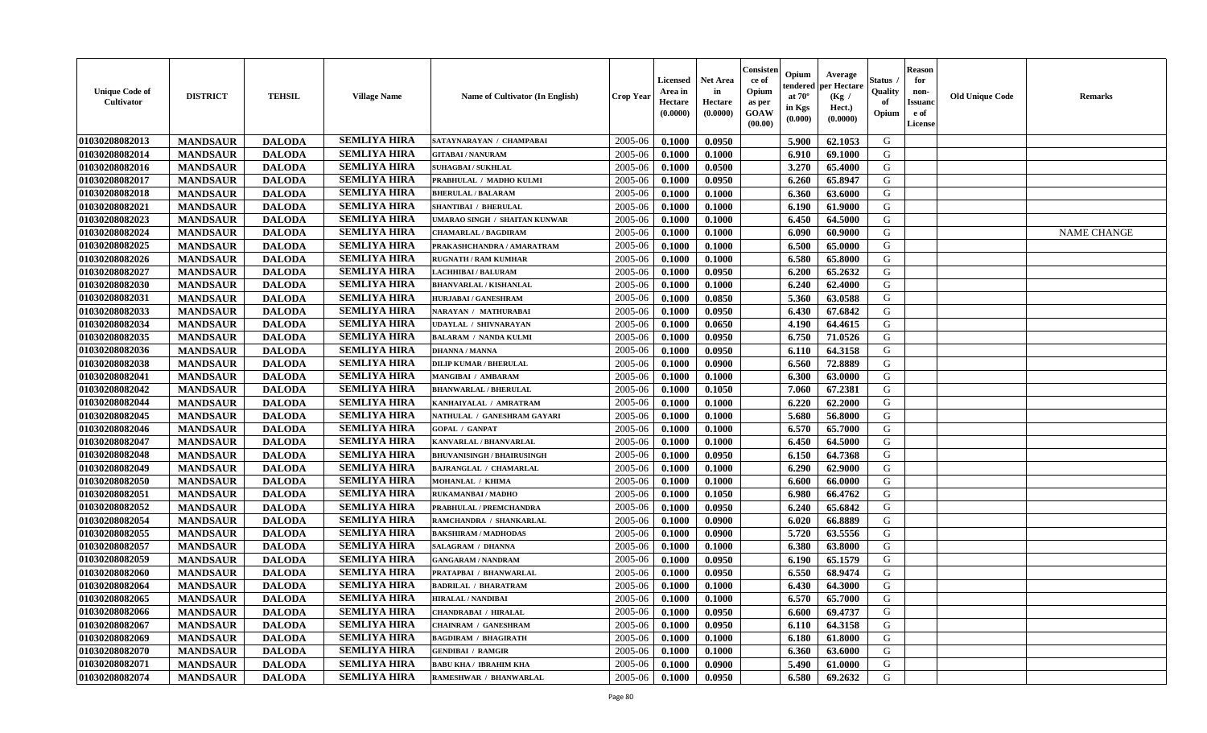| <b>Unique Code of</b><br>Cultivator | <b>DISTRICT</b> | <b>TEHSIL</b> | <b>Village Name</b> | Name of Cultivator (In English)      | Crop Year | Licensed<br>Area in<br>Hectare<br>(0.0000) | <b>Net Area</b><br>in<br>Hectare<br>(0.0000) | Consister<br>ce of<br>Opium<br>as per<br>GOAW<br>(00.00) | Opium<br>endered<br>at $70^\circ$<br>in Kgs<br>(0.000) | Average<br>per Hectare<br>(Kg /<br>Hect.)<br>(0.0000) | Status<br>Quality<br>of<br>Opium | <b>Reason</b><br>for<br>non-<br><b>Issuanc</b><br>e of<br>License | <b>Old Unique Code</b> | Remarks            |
|-------------------------------------|-----------------|---------------|---------------------|--------------------------------------|-----------|--------------------------------------------|----------------------------------------------|----------------------------------------------------------|--------------------------------------------------------|-------------------------------------------------------|----------------------------------|-------------------------------------------------------------------|------------------------|--------------------|
| 01030208082013                      | <b>MANDSAUR</b> | <b>DALODA</b> | <b>SEMLIYA HIRA</b> | SATAYNARAYAN / CHAMPABAI             | 2005-06   | 0.1000                                     | 0.0950                                       |                                                          | 5.900                                                  | 62.1053                                               | G                                |                                                                   |                        |                    |
| 01030208082014                      | <b>MANDSAUR</b> | <b>DALODA</b> | <b>SEMLIYA HIRA</b> | <b>GITABAI/NANURAM</b>               | 2005-06   | 0.1000                                     | 0.1000                                       |                                                          | 6.910                                                  | 69.1000                                               | G                                |                                                                   |                        |                    |
| 01030208082016                      | <b>MANDSAUR</b> | <b>DALODA</b> | <b>SEMLIYA HIRA</b> | <b>SUHAGBAI/SUKHLAL</b>              | 2005-06   | 0.1000                                     | 0.0500                                       |                                                          | 3.270                                                  | 65.4000                                               | G                                |                                                                   |                        |                    |
| 01030208082017                      | <b>MANDSAUR</b> | <b>DALODA</b> | <b>SEMLIYA HIRA</b> | PRABHULAL / MADHO KULMI              | 2005-06   | 0.1000                                     | 0.0950                                       |                                                          | 6.260                                                  | 65.8947                                               | G                                |                                                                   |                        |                    |
| 01030208082018                      | <b>MANDSAUR</b> | <b>DALODA</b> | <b>SEMLIYA HIRA</b> | <b>BHERULAL / BALARAM</b>            | 2005-06   | 0.1000                                     | 0.1000                                       |                                                          | 6.360                                                  | 63.6000                                               | G                                |                                                                   |                        |                    |
| 01030208082021                      | <b>MANDSAUR</b> | <b>DALODA</b> | <b>SEMLIYA HIRA</b> | <b>SHANTIBAI / BHERULAL</b>          | 2005-06   | 0.1000                                     | 0.1000                                       |                                                          | 6.190                                                  | 61.9000                                               | G                                |                                                                   |                        |                    |
| 01030208082023                      | <b>MANDSAUR</b> | <b>DALODA</b> | <b>SEMLIYA HIRA</b> | <b>JMARAO SINGH / SHAITAN KUNWAR</b> | 2005-06   | 0.1000                                     | 0.1000                                       |                                                          | 6.450                                                  | 64.5000                                               | G                                |                                                                   |                        |                    |
| 01030208082024                      | <b>MANDSAUR</b> | <b>DALODA</b> | <b>SEMLIYA HIRA</b> | <b>CHAMARLAL / BAGDIRAM</b>          | 2005-06   | 0.1000                                     | 0.1000                                       |                                                          | 6.090                                                  | 60.9000                                               | G                                |                                                                   |                        | <b>NAME CHANGE</b> |
| 01030208082025                      | <b>MANDSAUR</b> | <b>DALODA</b> | <b>SEMLIYA HIRA</b> | PRAKASHCHANDRA / AMARATRAM           | 2005-06   | 0.1000                                     | 0.1000                                       |                                                          | 6.500                                                  | 65.0000                                               | G                                |                                                                   |                        |                    |
| 01030208082026                      | <b>MANDSAUR</b> | <b>DALODA</b> | <b>SEMLIYA HIRA</b> | <b>RUGNATH / RAM KUMHAR</b>          | 2005-06   | 0.1000                                     | 0.1000                                       |                                                          | 6.580                                                  | 65.8000                                               | G                                |                                                                   |                        |                    |
| 01030208082027                      | <b>MANDSAUR</b> | <b>DALODA</b> | <b>SEMLIYA HIRA</b> | LACHHIBAI / BALURAM                  | 2005-06   | 0.1000                                     | 0.0950                                       |                                                          | 6.200                                                  | 65.2632                                               | G                                |                                                                   |                        |                    |
| 01030208082030                      | <b>MANDSAUR</b> | <b>DALODA</b> | <b>SEMLIYA HIRA</b> | <b>BHANVARLAL / KISHANLAL</b>        | 2005-06   | 0.1000                                     | 0.1000                                       |                                                          | 6.240                                                  | 62.4000                                               | G                                |                                                                   |                        |                    |
| 01030208082031                      | <b>MANDSAUR</b> | <b>DALODA</b> | <b>SEMLIYA HIRA</b> | <b>HURJABAI/GANESHRAM</b>            | 2005-06   | 0.1000                                     | 0.0850                                       |                                                          | 5.360                                                  | 63.0588                                               | G                                |                                                                   |                        |                    |
| 01030208082033                      | <b>MANDSAUR</b> | <b>DALODA</b> | <b>SEMLIYA HIRA</b> | NARAYAN / MATHURABAI                 | 2005-06   | 0.1000                                     | 0.0950                                       |                                                          | 6.430                                                  | 67.6842                                               | G                                |                                                                   |                        |                    |
| 01030208082034                      | <b>MANDSAUR</b> | <b>DALODA</b> | <b>SEMLIYA HIRA</b> | JDAYLAL / SHIVNARAYAN                | 2005-06   | 0.1000                                     | 0.0650                                       |                                                          | 4.190                                                  | 64.4615                                               | ${\bf G}$                        |                                                                   |                        |                    |
| 01030208082035                      | <b>MANDSAUR</b> | <b>DALODA</b> | <b>SEMLIYA HIRA</b> | <b>BALARAM / NANDA KULMI</b>         | 2005-06   | 0.1000                                     | 0.0950                                       |                                                          | 6.750                                                  | 71.0526                                               | G                                |                                                                   |                        |                    |
| 01030208082036                      | <b>MANDSAUR</b> | <b>DALODA</b> | <b>SEMLIYA HIRA</b> | <b>DHANNA / MANNA</b>                | 2005-06   | 0.1000                                     | 0.0950                                       |                                                          | 6.110                                                  | 64.3158                                               | G                                |                                                                   |                        |                    |
| 01030208082038                      | <b>MANDSAUR</b> | <b>DALODA</b> | <b>SEMLIYA HIRA</b> | <b>DILIP KUMAR / BHERULAL</b>        | 2005-06   | 0.1000                                     | 0.0900                                       |                                                          | 6.560                                                  | 72.8889                                               | G                                |                                                                   |                        |                    |
| 01030208082041                      | <b>MANDSAUR</b> | <b>DALODA</b> | <b>SEMLIYA HIRA</b> | MANGIBAI / AMBARAM                   | 2005-06   | 0.1000                                     | 0.1000                                       |                                                          | 6.300                                                  | 63.0000                                               | G                                |                                                                   |                        |                    |
| 01030208082042                      | <b>MANDSAUR</b> | <b>DALODA</b> | <b>SEMLIYA HIRA</b> | <b>BHANWARLAL / BHERULAL</b>         | 2005-06   | 0.1000                                     | 0.1050                                       |                                                          | 7.060                                                  | 67.2381                                               | G                                |                                                                   |                        |                    |
| 01030208082044                      | <b>MANDSAUR</b> | <b>DALODA</b> | <b>SEMLIYA HIRA</b> | KANHAIYALAL / AMRATRAM               | 2005-06   | 0.1000                                     | 0.1000                                       |                                                          | 6.220                                                  | 62.2000                                               | G                                |                                                                   |                        |                    |
| 01030208082045                      | <b>MANDSAUR</b> | <b>DALODA</b> | <b>SEMLIYA HIRA</b> | NATHULAL / GANESHRAM GAYARI          | 2005-06   | 0.1000                                     | 0.1000                                       |                                                          | 5.680                                                  | 56.8000                                               | G                                |                                                                   |                        |                    |
| 01030208082046                      | <b>MANDSAUR</b> | <b>DALODA</b> | <b>SEMLIYA HIRA</b> | <b>GOPAL / GANPAT</b>                | 2005-06   | 0.1000                                     | 0.1000                                       |                                                          | 6.570                                                  | 65.7000                                               | G                                |                                                                   |                        |                    |
| 01030208082047                      | <b>MANDSAUR</b> | <b>DALODA</b> | <b>SEMLIYA HIRA</b> | KANVARLAL / BHANVARLAL               | 2005-06   | 0.1000                                     | 0.1000                                       |                                                          | 6.450                                                  | 64.5000                                               | G                                |                                                                   |                        |                    |
| 01030208082048                      | <b>MANDSAUR</b> | <b>DALODA</b> | <b>SEMLIYA HIRA</b> | <b>BHUVANISINGH / BHAIRUSINGH</b>    | 2005-06   | 0.1000                                     | 0.0950                                       |                                                          | 6.150                                                  | 64.7368                                               | G                                |                                                                   |                        |                    |
| 01030208082049                      | <b>MANDSAUR</b> | <b>DALODA</b> | <b>SEMLIYA HIRA</b> | <b>BAJRANGLAL / CHAMARLAL</b>        | 2005-06   | 0.1000                                     | 0.1000                                       |                                                          | 6.290                                                  | 62.9000                                               | G                                |                                                                   |                        |                    |
| 01030208082050                      | <b>MANDSAUR</b> | <b>DALODA</b> | <b>SEMLIYA HIRA</b> | MOHANLAL / KHIMA                     | 2005-06   | 0.1000                                     | 0.1000                                       |                                                          | 6.600                                                  | 66.0000                                               | G                                |                                                                   |                        |                    |
| 01030208082051                      | <b>MANDSAUR</b> | <b>DALODA</b> | <b>SEMLIYA HIRA</b> | RUKAMANBAI / MADHO                   | 2005-06   | 0.1000                                     | 0.1050                                       |                                                          | 6.980                                                  | 66.4762                                               | G                                |                                                                   |                        |                    |
| 01030208082052                      | <b>MANDSAUR</b> | <b>DALODA</b> | <b>SEMLIYA HIRA</b> | PRABHULAL / PREMCHANDRA              | 2005-06   | 0.1000                                     | 0.0950                                       |                                                          | 6.240                                                  | 65.6842                                               | G                                |                                                                   |                        |                    |
| 01030208082054                      | <b>MANDSAUR</b> | <b>DALODA</b> | <b>SEMLIYA HIRA</b> | RAMCHANDRA / SHANKARLAL              | 2005-06   | 0.1000                                     | 0.0900                                       |                                                          | 6.020                                                  | 66.8889                                               | G                                |                                                                   |                        |                    |
| 01030208082055                      | <b>MANDSAUR</b> | <b>DALODA</b> | <b>SEMLIYA HIRA</b> | <b>BAKSHIRAM / MADHODAS</b>          | 2005-06   | 0.1000                                     | 0.0900                                       |                                                          | 5.720                                                  | 63.5556                                               | G                                |                                                                   |                        |                    |
| 01030208082057                      | <b>MANDSAUR</b> | <b>DALODA</b> | <b>SEMLIYA HIRA</b> | <b>SALAGRAM / DHANNA</b>             | 2005-06   | 0.1000                                     | 0.1000                                       |                                                          | 6.380                                                  | 63.8000                                               | G                                |                                                                   |                        |                    |
| 01030208082059                      | <b>MANDSAUR</b> | <b>DALODA</b> | <b>SEMLIYA HIRA</b> | <b>GANGARAM / NANDRAM</b>            | 2005-06   | 0.1000                                     | 0.0950                                       |                                                          | 6.190                                                  | 65.1579                                               | G                                |                                                                   |                        |                    |
| 01030208082060                      | <b>MANDSAUR</b> | <b>DALODA</b> | <b>SEMLIYA HIRA</b> | PRATAPBAI / BHANWARLAL               | 2005-06   | 0.1000                                     | 0.0950                                       |                                                          | 6.550                                                  | 68.9474                                               | G                                |                                                                   |                        |                    |
| 01030208082064                      | <b>MANDSAUR</b> | <b>DALODA</b> | <b>SEMLIYA HIRA</b> | <b>BADRILAL / BHARATRAM</b>          | 2005-06   | 0.1000                                     | 0.1000                                       |                                                          | 6.430                                                  | 64.3000                                               | G                                |                                                                   |                        |                    |
| 01030208082065                      | <b>MANDSAUR</b> | <b>DALODA</b> | <b>SEMLIYA HIRA</b> | HIRALAL / NANDIBAI                   | 2005-06   | 0.1000                                     | 0.1000                                       |                                                          | 6.570                                                  | 65.7000                                               | G                                |                                                                   |                        |                    |
| 01030208082066                      | <b>MANDSAUR</b> | <b>DALODA</b> | <b>SEMLIYA HIRA</b> | <b>CHANDRABAI / HIRALAL</b>          | 2005-06   | 0.1000                                     | 0.0950                                       |                                                          | 6.600                                                  | 69.4737                                               | G                                |                                                                   |                        |                    |
| 01030208082067                      | <b>MANDSAUR</b> | <b>DALODA</b> | <b>SEMLIYA HIRA</b> | <b>CHAINRAM / GANESHRAM</b>          | 2005-06   | 0.1000                                     | 0.0950                                       |                                                          | 6.110                                                  | 64.3158                                               | G                                |                                                                   |                        |                    |
| 01030208082069                      | <b>MANDSAUR</b> | <b>DALODA</b> | <b>SEMLIYA HIRA</b> | <b>BAGDIRAM / BHAGIRATH</b>          | 2005-06   | 0.1000                                     | 0.1000                                       |                                                          | 6.180                                                  | 61.8000                                               | G                                |                                                                   |                        |                    |
| 01030208082070                      | <b>MANDSAUR</b> | <b>DALODA</b> | <b>SEMLIYA HIRA</b> | <b>GENDIBAI / RAMGIR</b>             | 2005-06   | 0.1000                                     | 0.1000                                       |                                                          | 6.360                                                  | 63.6000                                               | ${\bf G}$                        |                                                                   |                        |                    |
| 01030208082071                      | <b>MANDSAUR</b> | <b>DALODA</b> | <b>SEMLIYA HIRA</b> | <b>BABU KHA / IBRAHIM KHA</b>        | 2005-06   | 0.1000                                     | 0.0900                                       |                                                          | 5.490                                                  | 61.0000                                               | G                                |                                                                   |                        |                    |
| 01030208082074                      | <b>MANDSAUR</b> | <b>DALODA</b> | <b>SEMLIYA HIRA</b> | RAMESHWAR / BHANWARLAL               | 2005-06   | 0.1000                                     | 0.0950                                       |                                                          | 6.580                                                  | 69.2632                                               | G                                |                                                                   |                        |                    |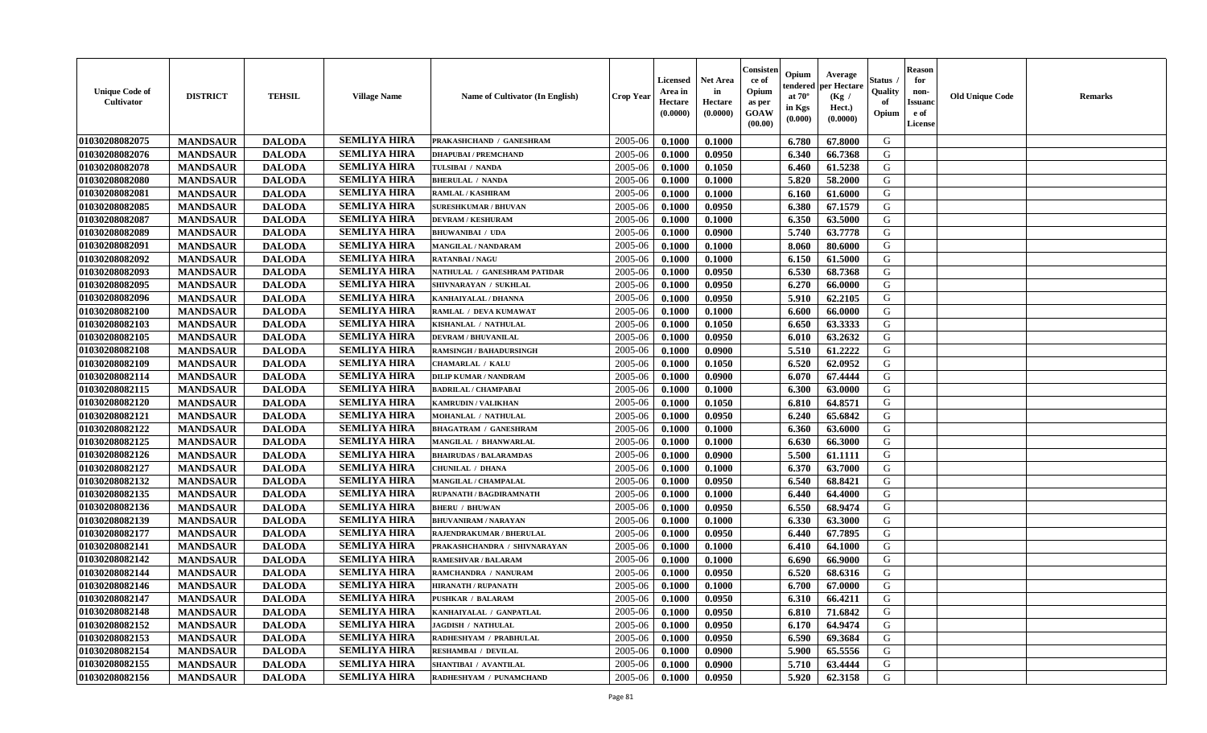| <b>Unique Code of</b><br><b>Cultivator</b> | <b>DISTRICT</b> | <b>TEHSIL</b> | <b>Village Name</b> | <b>Name of Cultivator (In English)</b> | <b>Crop Year</b> | <b>Licensed</b><br>Area in<br>Hectare<br>(0.0000) | <b>Net Area</b><br>in<br>Hectare<br>(0.0000) | Consisteı<br>ce of<br>Opium<br>as per<br><b>GOAW</b><br>(00.00) | Opium<br>endered<br>at $70^\circ$<br>in Kgs<br>$(\mathbf{0.000})$ | Average<br>per Hectare<br>(Kg /<br>Hect.)<br>(0.0000) | Status<br>Quality<br>of<br>Opium | Reason<br>for<br>non-<br>Issuan<br>e of<br>License | <b>Old Unique Code</b> | <b>Remarks</b> |
|--------------------------------------------|-----------------|---------------|---------------------|----------------------------------------|------------------|---------------------------------------------------|----------------------------------------------|-----------------------------------------------------------------|-------------------------------------------------------------------|-------------------------------------------------------|----------------------------------|----------------------------------------------------|------------------------|----------------|
| 01030208082075                             | <b>MANDSAUR</b> | <b>DALODA</b> | <b>SEMLIYA HIRA</b> | PRAKASHCHAND / GANESHRAM               | 2005-06          | 0.1000                                            | 0.1000                                       |                                                                 | 6.780                                                             | 67.8000                                               | G                                |                                                    |                        |                |
| 01030208082076                             | <b>MANDSAUR</b> | <b>DALODA</b> | <b>SEMLIYA HIRA</b> | <b>DHAPUBAI/PREMCHAND</b>              | 2005-06          | 0.1000                                            | 0.0950                                       |                                                                 | 6.340                                                             | 66.7368                                               | G                                |                                                    |                        |                |
| 01030208082078                             | <b>MANDSAUR</b> | <b>DALODA</b> | <b>SEMLIYA HIRA</b> | TULSIBAI / NANDA                       | 2005-06          | 0.1000                                            | 0.1050                                       |                                                                 | 6.460                                                             | 61.5238                                               | G                                |                                                    |                        |                |
| 01030208082080                             | <b>MANDSAUR</b> | <b>DALODA</b> | <b>SEMLIYA HIRA</b> | <b>BHERULAL / NANDA</b>                | 2005-06          | 0.1000                                            | 0.1000                                       |                                                                 | 5.820                                                             | 58.2000                                               | G                                |                                                    |                        |                |
| 01030208082081                             | <b>MANDSAUR</b> | <b>DALODA</b> | <b>SEMLIYA HIRA</b> | RAMLAL / KASHIRAM                      | 2005-06          | 0.1000                                            | 0.1000                                       |                                                                 | 6.160                                                             | 61.6000                                               | G                                |                                                    |                        |                |
| 01030208082085                             | <b>MANDSAUR</b> | <b>DALODA</b> | <b>SEMLIYA HIRA</b> | <b>SURESHKUMAR / BHUVAN</b>            | 2005-06          | 0.1000                                            | 0.0950                                       |                                                                 | 6.380                                                             | 67.1579                                               | G                                |                                                    |                        |                |
| 01030208082087                             | <b>MANDSAUR</b> | <b>DALODA</b> | <b>SEMLIYA HIRA</b> | <b>DEVRAM / KESHURAM</b>               | 2005-06          | 0.1000                                            | 0.1000                                       |                                                                 | 6.350                                                             | 63.5000                                               | G                                |                                                    |                        |                |
| 01030208082089                             | <b>MANDSAUR</b> | <b>DALODA</b> | <b>SEMLIYA HIRA</b> | <b>BHUWANIBAI / UDA</b>                | 2005-06          | 0.1000                                            | 0.0900                                       |                                                                 | 5.740                                                             | 63.7778                                               | G                                |                                                    |                        |                |
| 01030208082091                             | <b>MANDSAUR</b> | <b>DALODA</b> | <b>SEMLIYA HIRA</b> | <b>MANGILAL / NANDARAM</b>             | 2005-06          | 0.1000                                            | 0.1000                                       |                                                                 | 8.060                                                             | 80.6000                                               | G                                |                                                    |                        |                |
| 01030208082092                             | <b>MANDSAUR</b> | <b>DALODA</b> | <b>SEMLIYA HIRA</b> | <b>RATANBAI/NAGU</b>                   | 2005-06          | 0.1000                                            | 0.1000                                       |                                                                 | 6.150                                                             | 61.5000                                               | G                                |                                                    |                        |                |
| 01030208082093                             | <b>MANDSAUR</b> | <b>DALODA</b> | <b>SEMLIYA HIRA</b> | NATHULAL / GANESHRAM PATIDAR           | 2005-06          | 0.1000                                            | 0.0950                                       |                                                                 | 6.530                                                             | 68.7368                                               | G                                |                                                    |                        |                |
| 01030208082095                             | <b>MANDSAUR</b> | <b>DALODA</b> | <b>SEMLIYA HIRA</b> | SHIVNARAYAN / SUKHLAL                  | 2005-06          | 0.1000                                            | 0.0950                                       |                                                                 | 6.270                                                             | 66.0000                                               | G                                |                                                    |                        |                |
| 01030208082096                             | <b>MANDSAUR</b> | <b>DALODA</b> | <b>SEMLIYA HIRA</b> | KANHAIYALAL / DHANNA                   | 2005-06          | 0.1000                                            | 0.0950                                       |                                                                 | 5.910                                                             | 62.2105                                               | G                                |                                                    |                        |                |
| 01030208082100                             | <b>MANDSAUR</b> | <b>DALODA</b> | <b>SEMLIYA HIRA</b> | RAMLAL / DEVA KUMAWAT                  | 2005-06          | 0.1000                                            | 0.1000                                       |                                                                 | 6.600                                                             | 66.0000                                               | G                                |                                                    |                        |                |
| 01030208082103                             | <b>MANDSAUR</b> | <b>DALODA</b> | <b>SEMLIYA HIRA</b> | KISHANLAL / NATHULAL                   | 2005-06          | 0.1000                                            | 0.1050                                       |                                                                 | 6.650                                                             | 63.3333                                               | G                                |                                                    |                        |                |
| 01030208082105                             | <b>MANDSAUR</b> | <b>DALODA</b> | <b>SEMLIYA HIRA</b> | <b>DEVRAM / BHUVANILAL</b>             | 2005-06          | 0.1000                                            | 0.0950                                       |                                                                 | 6.010                                                             | 63.2632                                               | G                                |                                                    |                        |                |
| 01030208082108                             | <b>MANDSAUR</b> | <b>DALODA</b> | <b>SEMLIYA HIRA</b> | <b>RAMSINGH / BAHADURSINGH</b>         | 2005-06          | 0.1000                                            | 0.0900                                       |                                                                 | 5.510                                                             | 61.2222                                               | G                                |                                                    |                        |                |
| 01030208082109                             | <b>MANDSAUR</b> | <b>DALODA</b> | <b>SEMLIYA HIRA</b> | <b>CHAMARLAL / KALU</b>                | 2005-06          | 0.1000                                            | 0.1050                                       |                                                                 | 6.520                                                             | 62.0952                                               | G                                |                                                    |                        |                |
| 01030208082114                             | <b>MANDSAUR</b> | <b>DALODA</b> | <b>SEMLIYA HIRA</b> | <b>DILIP KUMAR / NANDRAM</b>           | 2005-06          | 0.1000                                            | 0.0900                                       |                                                                 | 6.070                                                             | 67.4444                                               | G                                |                                                    |                        |                |
| 01030208082115                             | <b>MANDSAUR</b> | <b>DALODA</b> | <b>SEMLIYA HIRA</b> | <b>BADRILAL / CHAMPABAI</b>            | 2005-06          | 0.1000                                            | 0.1000                                       |                                                                 | 6.300                                                             | 63.0000                                               | G                                |                                                    |                        |                |
| 01030208082120                             | <b>MANDSAUR</b> | <b>DALODA</b> | <b>SEMLIYA HIRA</b> | <b>KAMRUDIN / VALIKHAN</b>             | 2005-06          | 0.1000                                            | 0.1050                                       |                                                                 | 6.810                                                             | 64.8571                                               | G                                |                                                    |                        |                |
| 01030208082121                             | <b>MANDSAUR</b> | <b>DALODA</b> | <b>SEMLIYA HIRA</b> | MOHANLAL / NATHULAL                    | 2005-06          | 0.1000                                            | 0.0950                                       |                                                                 | 6.240                                                             | 65.6842                                               | G                                |                                                    |                        |                |
| 01030208082122                             | <b>MANDSAUR</b> | <b>DALODA</b> | <b>SEMLIYA HIRA</b> | <b>BHAGATRAM / GANESHRAM</b>           | 2005-06          | 0.1000                                            | 0.1000                                       |                                                                 | 6.360                                                             | 63.6000                                               | G                                |                                                    |                        |                |
| 01030208082125                             | <b>MANDSAUR</b> | <b>DALODA</b> | <b>SEMLIYA HIRA</b> | MANGILAL / BHANWARLAL                  | 2005-06          | 0.1000                                            | 0.1000                                       |                                                                 | 6.630                                                             | 66.3000                                               | G                                |                                                    |                        |                |
| 01030208082126                             | <b>MANDSAUR</b> | <b>DALODA</b> | <b>SEMLIYA HIRA</b> | <b>BHAIRUDAS / BALARAMDAS</b>          | 2005-06          | 0.1000                                            | 0.0900                                       |                                                                 | 5.500                                                             | 61.1111                                               | G                                |                                                    |                        |                |
| 01030208082127                             | <b>MANDSAUR</b> | <b>DALODA</b> | <b>SEMLIYA HIRA</b> | <b>CHUNILAL / DHANA</b>                | 2005-06          | 0.1000                                            | 0.1000                                       |                                                                 | 6.370                                                             | 63.7000                                               | G                                |                                                    |                        |                |
| 01030208082132                             | <b>MANDSAUR</b> | <b>DALODA</b> | <b>SEMLIYA HIRA</b> | MANGILAL / CHAMPALAL                   | 2005-06          | 0.1000                                            | 0.0950                                       |                                                                 | 6.540                                                             | 68.8421                                               | G                                |                                                    |                        |                |
| 01030208082135                             | <b>MANDSAUR</b> | <b>DALODA</b> | <b>SEMLIYA HIRA</b> | RUPANATH / BAGDIRAMNATH                | 2005-06          | 0.1000                                            | 0.1000                                       |                                                                 | 6.440                                                             | 64.4000                                               | G                                |                                                    |                        |                |
| 01030208082136                             | <b>MANDSAUR</b> | <b>DALODA</b> | <b>SEMLIYA HIRA</b> | <b>BHERU / BHUWAN</b>                  | 2005-06          | 0.1000                                            | 0.0950                                       |                                                                 | 6.550                                                             | 68.9474                                               | G                                |                                                    |                        |                |
| 01030208082139                             | <b>MANDSAUR</b> | <b>DALODA</b> | <b>SEMLIYA HIRA</b> | <b>BHUVANIRAM / NARAYAN</b>            | 2005-06          | 0.1000                                            | 0.1000                                       |                                                                 | 6.330                                                             | 63.3000                                               | G                                |                                                    |                        |                |
| 01030208082177                             | <b>MANDSAUR</b> | <b>DALODA</b> | <b>SEMLIYA HIRA</b> | RAJENDRAKUMAR / BHERULAL               | 2005-06          | 0.1000                                            | 0.0950                                       |                                                                 | 6.440                                                             | 67.7895                                               | G                                |                                                    |                        |                |
| 01030208082141                             | <b>MANDSAUR</b> | <b>DALODA</b> | <b>SEMLIYA HIRA</b> | PRAKASHCHANDRA / SHIVNARAYAN           | 2005-06          | 0.1000                                            | 0.1000                                       |                                                                 | 6.410                                                             | 64.1000                                               | G                                |                                                    |                        |                |
| 01030208082142                             | <b>MANDSAUR</b> | <b>DALODA</b> | <b>SEMLIYA HIRA</b> | RAMESHVAR / BALARAM                    | 2005-06          | 0.1000                                            | 0.1000                                       |                                                                 | 6.690                                                             | 66.9000                                               | G                                |                                                    |                        |                |
| 01030208082144                             | <b>MANDSAUR</b> | <b>DALODA</b> | <b>SEMLIYA HIRA</b> | RAMCHANDRA / NANURAM                   | 2005-06          | 0.1000                                            | 0.0950                                       |                                                                 | 6.520                                                             | 68.6316                                               | G                                |                                                    |                        |                |
| 01030208082146                             | <b>MANDSAUR</b> | <b>DALODA</b> | <b>SEMLIYA HIRA</b> | <b>HIRANATH / RUPANATH</b>             | 2005-06          | 0.1000                                            | 0.1000                                       |                                                                 | 6.700                                                             | 67.0000                                               | G                                |                                                    |                        |                |
| 01030208082147                             | <b>MANDSAUR</b> | <b>DALODA</b> | <b>SEMLIYA HIRA</b> | <b>PUSHKAR / BALARAM</b>               | $2005 - 06$      | 0.1000                                            | 0.0950                                       |                                                                 | $6.310$                                                           | 66.4211                                               | G                                |                                                    |                        |                |
| 01030208082148                             | <b>MANDSAUR</b> | <b>DALODA</b> | <b>SEMLIYA HIRA</b> | KANHAIYALAL / GANPATLAL                | 2005-06          | 0.1000                                            | 0.0950                                       |                                                                 | 6.810                                                             | 71.6842                                               | G                                |                                                    |                        |                |
| 01030208082152                             | <b>MANDSAUR</b> | <b>DALODA</b> | <b>SEMLIYA HIRA</b> | <b>JAGDISH / NATHULAL</b>              | 2005-06          | 0.1000                                            | 0.0950                                       |                                                                 | 6.170                                                             | 64.9474                                               | G                                |                                                    |                        |                |
| 01030208082153                             | <b>MANDSAUR</b> | <b>DALODA</b> | <b>SEMLIYA HIRA</b> | RADHESHYAM / PRABHULAL                 | 2005-06          | 0.1000                                            | 0.0950                                       |                                                                 | 6.590                                                             | 69.3684                                               | G                                |                                                    |                        |                |
| 01030208082154                             | <b>MANDSAUR</b> | <b>DALODA</b> | <b>SEMLIYA HIRA</b> | RESHAMBAI / DEVILAL                    | 2005-06          | 0.1000                                            | 0.0900                                       |                                                                 | 5.900                                                             | 65.5556                                               | G                                |                                                    |                        |                |
| 01030208082155                             | <b>MANDSAUR</b> | <b>DALODA</b> | <b>SEMLIYA HIRA</b> | SHANTIBAI / AVANTILAL                  | 2005-06          | 0.1000                                            | 0.0900                                       |                                                                 | 5.710                                                             | 63.4444                                               | G                                |                                                    |                        |                |
| 01030208082156                             | <b>MANDSAUR</b> | <b>DALODA</b> | <b>SEMLIYA HIRA</b> | RADHESHYAM / PUNAMCHAND                | 2005-06          | 0.1000                                            | 0.0950                                       |                                                                 | 5.920                                                             | 62.3158                                               | G                                |                                                    |                        |                |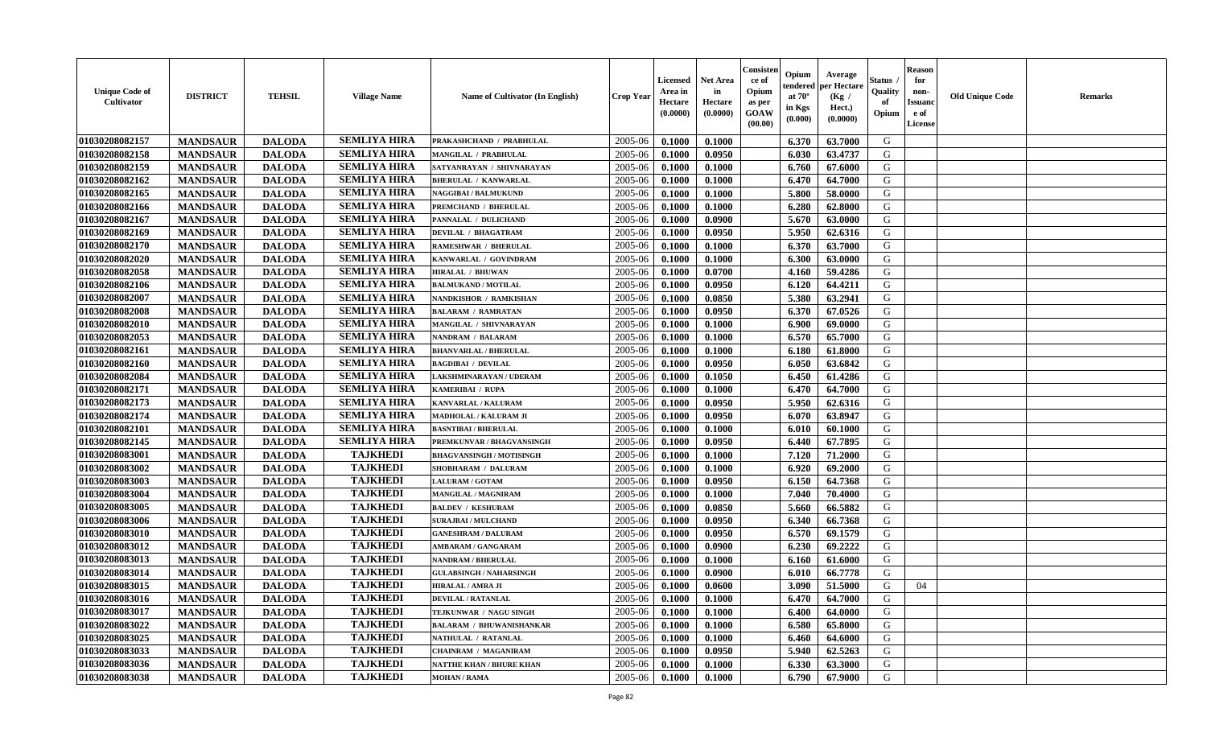| <b>Unique Code of</b><br><b>Cultivator</b> | <b>DISTRICT</b> | <b>TEHSIL</b> | <b>Village Name</b> | Name of Cultivator (In English) | <b>Crop Year</b> | <b>Licensed</b><br>Area in<br>Hectare<br>(0.0000) | Net Area<br>in<br>Hectare<br>(0.0000) | Consisteı<br>ce of<br>Opium<br>as per<br>GOAW<br>(00.00) | Opium<br>endered<br>at $70^\circ$<br>in Kgs<br>(0.000) | Average<br>per Hectare<br>(Kg /<br>Hect.)<br>(0.0000) | Status<br>Quality<br>of<br>Opium | <b>Reason</b><br>for<br>non-<br><b>Issuand</b><br>e of<br>License | <b>Old Unique Code</b> | Remarks |
|--------------------------------------------|-----------------|---------------|---------------------|---------------------------------|------------------|---------------------------------------------------|---------------------------------------|----------------------------------------------------------|--------------------------------------------------------|-------------------------------------------------------|----------------------------------|-------------------------------------------------------------------|------------------------|---------|
| 01030208082157                             | <b>MANDSAUR</b> | <b>DALODA</b> | <b>SEMLIYA HIRA</b> | PRAKASHCHAND / PRABHULAL        | 2005-06          | 0.1000                                            | 0.1000                                |                                                          | 6.370                                                  | 63.7000                                               | G                                |                                                                   |                        |         |
| 01030208082158                             | <b>MANDSAUR</b> | <b>DALODA</b> | <b>SEMLIYA HIRA</b> | MANGILAL / PRABHULAL            | 2005-06          | 0.1000                                            | 0.0950                                |                                                          | 6.030                                                  | 63.4737                                               | G                                |                                                                   |                        |         |
| 01030208082159                             | <b>MANDSAUR</b> | <b>DALODA</b> | <b>SEMLIYA HIRA</b> | SATYANRAYAN / SHIVNARAYAN       | 2005-06          | 0.1000                                            | 0.1000                                |                                                          | 6.760                                                  | 67.6000                                               | G                                |                                                                   |                        |         |
| 01030208082162                             | <b>MANDSAUR</b> | <b>DALODA</b> | <b>SEMLIYA HIRA</b> | <b>BHERULAL / KANWARLAL</b>     | 2005-06          | 0.1000                                            | 0.1000                                |                                                          | 6.470                                                  | 64.7000                                               | G                                |                                                                   |                        |         |
| 01030208082165                             | <b>MANDSAUR</b> | <b>DALODA</b> | <b>SEMLIYA HIRA</b> | <b>NAGGIBAI/BALMUKUND</b>       | 2005-06          | 0.1000                                            | 0.1000                                |                                                          | 5.800                                                  | 58.0000                                               | G                                |                                                                   |                        |         |
| 01030208082166                             | <b>MANDSAUR</b> | <b>DALODA</b> | <b>SEMLIYA HIRA</b> | PREMCHAND / BHERULAL            | 2005-06          | 0.1000                                            | 0.1000                                |                                                          | 6.280                                                  | 62.8000                                               | G                                |                                                                   |                        |         |
| 01030208082167                             | <b>MANDSAUR</b> | <b>DALODA</b> | <b>SEMLIYA HIRA</b> | PANNALAL / DULICHAND            | 2005-06          | 0.1000                                            | 0.0900                                |                                                          | 5.670                                                  | 63.0000                                               | G                                |                                                                   |                        |         |
| 01030208082169                             | <b>MANDSAUR</b> | <b>DALODA</b> | <b>SEMLIYA HIRA</b> | <b>DEVILAL / BHAGATRAM</b>      | 2005-06          | 0.1000                                            | 0.0950                                |                                                          | 5.950                                                  | 62.6316                                               | G                                |                                                                   |                        |         |
| 01030208082170                             | <b>MANDSAUR</b> | <b>DALODA</b> | <b>SEMLIYA HIRA</b> | <b>RAMESHWAR / BHERULAL</b>     | 2005-06          | 0.1000                                            | 0.1000                                |                                                          | 6.370                                                  | 63.7000                                               | G                                |                                                                   |                        |         |
| 01030208082020                             | <b>MANDSAUR</b> | <b>DALODA</b> | <b>SEMLIYA HIRA</b> | KANWARLAL / GOVINDRAM           | 2005-06          | 0.1000                                            | 0.1000                                |                                                          | 6.300                                                  | 63.0000                                               | G                                |                                                                   |                        |         |
| 01030208082058                             | <b>MANDSAUR</b> | <b>DALODA</b> | <b>SEMLIYA HIRA</b> | <b>HIRALAL / BHUWAN</b>         | 2005-06          | 0.1000                                            | 0.0700                                |                                                          | 4.160                                                  | 59.4286                                               | G                                |                                                                   |                        |         |
| 01030208082106                             | <b>MANDSAUR</b> | <b>DALODA</b> | <b>SEMLIYA HIRA</b> | <b>BALMUKAND / MOTILAL</b>      | 2005-06          | 0.1000                                            | 0.0950                                |                                                          | 6.120                                                  | 64.4211                                               | G                                |                                                                   |                        |         |
| 01030208082007                             | <b>MANDSAUR</b> | <b>DALODA</b> | <b>SEMLIYA HIRA</b> | NANDKISHOR / RAMKISHAN          | 2005-06          | 0.1000                                            | 0.0850                                |                                                          | 5.380                                                  | 63.2941                                               | G                                |                                                                   |                        |         |
| 01030208082008                             | <b>MANDSAUR</b> | <b>DALODA</b> | <b>SEMLIYA HIRA</b> | <b>BALARAM / RAMRATAN</b>       | 2005-06          | 0.1000                                            | 0.0950                                |                                                          | 6.370                                                  | 67.0526                                               | G                                |                                                                   |                        |         |
| 01030208082010                             | <b>MANDSAUR</b> | <b>DALODA</b> | <b>SEMLIYA HIRA</b> | MANGILAL / SHIVNARAYAN          | 2005-06          | 0.1000                                            | 0.1000                                |                                                          | 6.900                                                  | 69.0000                                               | $\mathbf G$                      |                                                                   |                        |         |
| 01030208082053                             | <b>MANDSAUR</b> | <b>DALODA</b> | <b>SEMLIYA HIRA</b> | NANDRAM / BALARAM               | 2005-06          | 0.1000                                            | 0.1000                                |                                                          | 6.570                                                  | 65.7000                                               | G                                |                                                                   |                        |         |
| 01030208082161                             | <b>MANDSAUR</b> | <b>DALODA</b> | <b>SEMLIYA HIRA</b> | <b>BHANVARLAL / BHERULAL</b>    | 2005-06          | 0.1000                                            | 0.1000                                |                                                          | 6.180                                                  | 61.8000                                               | G                                |                                                                   |                        |         |
| 01030208082160                             | <b>MANDSAUR</b> | <b>DALODA</b> | <b>SEMLIYA HIRA</b> | <b>BAGDIBAI / DEVILAL</b>       | 2005-06          | 0.1000                                            | 0.0950                                |                                                          | 6.050                                                  | 63.6842                                               | G                                |                                                                   |                        |         |
| 01030208082084                             | <b>MANDSAUR</b> | <b>DALODA</b> | <b>SEMLIYA HIRA</b> | LAKSHMINARAYAN / UDERAM         | 2005-06          | 0.1000                                            | 0.1050                                |                                                          | 6.450                                                  | 61.4286                                               | G                                |                                                                   |                        |         |
| 01030208082171                             | <b>MANDSAUR</b> | <b>DALODA</b> | <b>SEMLIYA HIRA</b> | KAMERIBAI / RUPA                | 2005-06          | 0.1000                                            | 0.1000                                |                                                          | 6.470                                                  | 64.7000                                               | G                                |                                                                   |                        |         |
| 01030208082173                             | <b>MANDSAUR</b> | <b>DALODA</b> | <b>SEMLIYA HIRA</b> | KANVARLAL / KALURAM             | 2005-06          | 0.1000                                            | 0.0950                                |                                                          | 5.950                                                  | 62.6316                                               | G                                |                                                                   |                        |         |
| 01030208082174                             | <b>MANDSAUR</b> | <b>DALODA</b> | <b>SEMLIYA HIRA</b> | MADHOLAL / KALURAM JI           | 2005-06          | 0.1000                                            | 0.0950                                |                                                          | 6.070                                                  | 63.8947                                               | G                                |                                                                   |                        |         |
| 01030208082101                             | <b>MANDSAUR</b> | <b>DALODA</b> | <b>SEMLIYA HIRA</b> | <b>BASNTIBAI/BHERULAL</b>       | 2005-06          | 0.1000                                            | 0.1000                                |                                                          | 6.010                                                  | 60.1000                                               | G                                |                                                                   |                        |         |
| 01030208082145                             | <b>MANDSAUR</b> | <b>DALODA</b> | <b>SEMLIYA HIRA</b> | PREMKUNVAR / BHAGVANSINGH       | 2005-06          | 0.1000                                            | 0.0950                                |                                                          | 6.440                                                  | 67.7895                                               | G                                |                                                                   |                        |         |
| 01030208083001                             | <b>MANDSAUR</b> | <b>DALODA</b> | <b>TAJKHEDI</b>     | <b>BHAGVANSINGH / MOTISINGH</b> | 2005-06          | 0.1000                                            | 0.1000                                |                                                          | 7.120                                                  | 71.2000                                               | G                                |                                                                   |                        |         |
| 01030208083002                             | <b>MANDSAUR</b> | <b>DALODA</b> | <b>TAJKHEDI</b>     | SHOBHARAM / DALURAM             | 2005-06          | 0.1000                                            | 0.1000                                |                                                          | 6.920                                                  | 69.2000                                               | G                                |                                                                   |                        |         |
| 01030208083003                             | <b>MANDSAUR</b> | <b>DALODA</b> | <b>TAJKHEDI</b>     | <b>LALURAM / GOTAM</b>          | 2005-06          | 0.1000                                            | 0.0950                                |                                                          | 6.150                                                  | 64.7368                                               | G                                |                                                                   |                        |         |
| 01030208083004                             | <b>MANDSAUR</b> | <b>DALODA</b> | <b>TAJKHEDI</b>     | MANGILAL / MAGNIRAM             | 2005-06          | 0.1000                                            | 0.1000                                |                                                          | 7.040                                                  | 70.4000                                               | G                                |                                                                   |                        |         |
| 01030208083005                             | <b>MANDSAUR</b> | <b>DALODA</b> | <b>TAJKHEDI</b>     | <b>BALDEV / KESHURAM</b>        | 2005-06          | 0.1000                                            | 0.0850                                |                                                          | 5.660                                                  | 66.5882                                               | G                                |                                                                   |                        |         |
| 01030208083006                             | <b>MANDSAUR</b> | <b>DALODA</b> | <b>TAJKHEDI</b>     | <b>SURAJBAI / MULCHAND</b>      | 2005-06          | 0.1000                                            | 0.0950                                |                                                          | 6.340                                                  | 66.7368                                               | G                                |                                                                   |                        |         |
| 01030208083010                             | <b>MANDSAUR</b> | <b>DALODA</b> | <b>TAJKHEDI</b>     | <b>GANESHRAM / DALURAM</b>      | 2005-06          | 0.1000                                            | 0.0950                                |                                                          | 6.570                                                  | 69.1579                                               | G                                |                                                                   |                        |         |
| 01030208083012                             | <b>MANDSAUR</b> | <b>DALODA</b> | <b>TAJKHEDI</b>     | <b>AMBARAM / GANGARAM</b>       | 2005-06          | 0.1000                                            | 0.0900                                |                                                          | 6.230                                                  | 69.2222                                               | G                                |                                                                   |                        |         |
| 01030208083013                             | <b>MANDSAUR</b> | <b>DALODA</b> | <b>TAJKHEDI</b>     | <b>NANDRAM / BHERULAL</b>       | 2005-06          | 0.1000                                            | 0.1000                                |                                                          | 6.160                                                  | 61.6000                                               | G                                |                                                                   |                        |         |
| 01030208083014                             | <b>MANDSAUR</b> | <b>DALODA</b> | <b>TAJKHEDI</b>     | <b>GULABSINGH / NAHARSINGH</b>  | 2005-06          | 0.1000                                            | 0.0900                                |                                                          | 6.010                                                  | 66.7778                                               | G                                |                                                                   |                        |         |
| 01030208083015                             | <b>MANDSAUR</b> | <b>DALODA</b> | <b>TAJKHEDI</b>     | <b>HIRALAL / AMRA JI</b>        | 2005-06          | 0.1000                                            | 0.0600                                |                                                          | 3.090                                                  | 51.5000                                               | G                                | 04                                                                |                        |         |
| 01030208083016                             | <b>MANDSAUR</b> | <b>DALODA</b> | <b>TAJKHEDI</b>     | <b>DEVILAL / RATANLAL</b>       | 2005-06          | 0.1000                                            | 0.1000                                |                                                          | 6.470                                                  | 64.7000                                               | G                                |                                                                   |                        |         |
| 01030208083017                             | <b>MANDSAUR</b> | <b>DALODA</b> | <b>TAJKHEDI</b>     | TEJKUNWAR / NAGU SINGH          | 2005-06          | 0.1000                                            | 0.1000                                |                                                          | 6.400                                                  | 64.0000                                               | G                                |                                                                   |                        |         |
| 01030208083022                             | <b>MANDSAUR</b> | <b>DALODA</b> | <b>TAJKHEDI</b>     | <b>BALARAM / BHUWANISHANKAR</b> | 2005-06          | 0.1000                                            | 0.1000                                |                                                          | 6.580                                                  | 65.8000                                               | G                                |                                                                   |                        |         |
| 01030208083025                             | <b>MANDSAUR</b> | <b>DALODA</b> | <b>TAJKHEDI</b>     | NATHULAL / RATANLAL             | 2005-06          | 0.1000                                            | 0.1000                                |                                                          | 6.460                                                  | 64.6000                                               | G                                |                                                                   |                        |         |
| 01030208083033                             | <b>MANDSAUR</b> | <b>DALODA</b> | <b>TAJKHEDI</b>     | <b>CHAINRAM / MAGANIRAM</b>     | 2005-06          | 0.1000                                            | 0.0950                                |                                                          | 5.940                                                  | 62.5263                                               | ${\bf G}$                        |                                                                   |                        |         |
| 01030208083036                             | <b>MANDSAUR</b> | <b>DALODA</b> | <b>TAJKHEDI</b>     | NATTHE KHAN / BHURE KHAN        | 2005-06          | 0.1000                                            | 0.1000                                |                                                          | 6.330                                                  | 63.3000                                               | G                                |                                                                   |                        |         |
| 01030208083038                             | <b>MANDSAUR</b> | <b>DALODA</b> | <b>TAJKHEDI</b>     | <b>MOHAN / RAMA</b>             | 2005-06          | 0.1000                                            | 0.1000                                |                                                          | 6.790                                                  | 67.9000                                               | G                                |                                                                   |                        |         |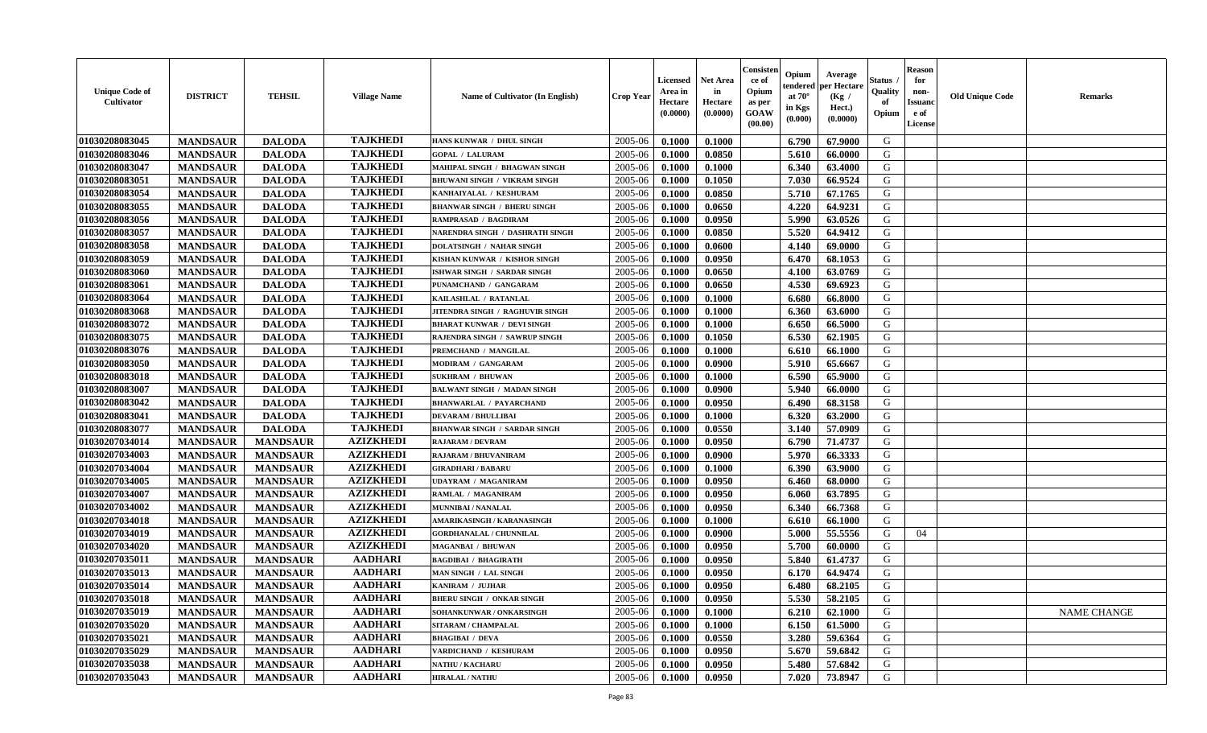| <b>Unique Code of</b><br><b>Cultivator</b> | <b>DISTRICT</b> | <b>TEHSIL</b>   | <b>Village Name</b> | Name of Cultivator (In English)     | <b>Crop Year</b> | <b>Licensed</b><br>Area in<br>Hectare<br>(0.0000) | Net Area<br>in<br>Hectare<br>(0.0000) | Consisteı<br>ce of<br>Opium<br>as per<br>GOAW<br>(00.00) | Opium<br>endered<br>at $70^\circ$<br>in Kgs<br>(0.000) | Average<br>per Hectare<br>(Kg /<br>Hect.)<br>(0.0000) | Status<br>Quality<br>of<br>Opium | <b>Reason</b><br>for<br>non-<br>Issuano<br>e of<br>License | <b>Old Unique Code</b> | Remarks            |
|--------------------------------------------|-----------------|-----------------|---------------------|-------------------------------------|------------------|---------------------------------------------------|---------------------------------------|----------------------------------------------------------|--------------------------------------------------------|-------------------------------------------------------|----------------------------------|------------------------------------------------------------|------------------------|--------------------|
| 01030208083045                             | <b>MANDSAUR</b> | <b>DALODA</b>   | <b>TAJKHEDI</b>     | HANS KUNWAR / DHUL SINGH            | 2005-06          | 0.1000                                            | 0.1000                                |                                                          | 6.790                                                  | 67.9000                                               | G                                |                                                            |                        |                    |
| 01030208083046                             | <b>MANDSAUR</b> | <b>DALODA</b>   | <b>TAJKHEDI</b>     | <b>GOPAL / LALURAM</b>              | 2005-06          | 0.1000                                            | 0.0850                                |                                                          | 5.610                                                  | 66.0000                                               | G                                |                                                            |                        |                    |
| 01030208083047                             | <b>MANDSAUR</b> | <b>DALODA</b>   | <b>TAJKHEDI</b>     | MAHIPAL SINGH / BHAGWAN SINGH       | 2005-06          | 0.1000                                            | 0.1000                                |                                                          | 6.340                                                  | 63.4000                                               | G                                |                                                            |                        |                    |
| 01030208083051                             | <b>MANDSAUR</b> | <b>DALODA</b>   | <b>TAJKHEDI</b>     | <b>BHUWANI SINGH / VIKRAM SINGH</b> | 2005-06          | 0.1000                                            | 0.1050                                |                                                          | 7.030                                                  | 66.9524                                               | G                                |                                                            |                        |                    |
| 01030208083054                             | <b>MANDSAUR</b> | <b>DALODA</b>   | <b>TAJKHEDI</b>     | KANHAIYALAL / KESHURAM              | 2005-06          | 0.1000                                            | 0.0850                                |                                                          | 5.710                                                  | 67.1765                                               | G                                |                                                            |                        |                    |
| 01030208083055                             | <b>MANDSAUR</b> | <b>DALODA</b>   | <b>TAJKHEDI</b>     | <b>BHANWAR SINGH / BHERU SINGH</b>  | 2005-06          | 0.1000                                            | 0.0650                                |                                                          | 4.220                                                  | 64.9231                                               | G                                |                                                            |                        |                    |
| 01030208083056                             | <b>MANDSAUR</b> | <b>DALODA</b>   | <b>TAJKHEDI</b>     | <b>RAMPRASAD / BAGDIRAM</b>         | 2005-06          | 0.1000                                            | 0.0950                                |                                                          | 5.990                                                  | 63.0526                                               | G                                |                                                            |                        |                    |
| 01030208083057                             | <b>MANDSAUR</b> | <b>DALODA</b>   | <b>TAJKHEDI</b>     | NARENDRA SINGH / DASHRATH SINGH     | 2005-06          | 0.1000                                            | 0.0850                                |                                                          | 5.520                                                  | 64.9412                                               | G                                |                                                            |                        |                    |
| 01030208083058                             | <b>MANDSAUR</b> | <b>DALODA</b>   | <b>TAJKHEDI</b>     | <b>DOLATSINGH / NAHAR SINGH</b>     | 2005-06          | 0.1000                                            | 0.0600                                |                                                          | 4.140                                                  | 69.0000                                               | G                                |                                                            |                        |                    |
| 01030208083059                             | <b>MANDSAUR</b> | <b>DALODA</b>   | <b>TAJKHEDI</b>     | KISHAN KUNWAR / KISHOR SINGH        | 2005-06          | 0.1000                                            | 0.0950                                |                                                          | 6.470                                                  | 68.1053                                               | G                                |                                                            |                        |                    |
| 01030208083060                             | <b>MANDSAUR</b> | <b>DALODA</b>   | <b>TAJKHEDI</b>     | ISHWAR SINGH / SARDAR SINGH         | 2005-06          | 0.1000                                            | 0.0650                                |                                                          | 4.100                                                  | 63.0769                                               | G                                |                                                            |                        |                    |
| 01030208083061                             | <b>MANDSAUR</b> | <b>DALODA</b>   | <b>TAJKHEDI</b>     | PUNAMCHAND / GANGARAM               | 2005-06          | 0.1000                                            | 0.0650                                |                                                          | 4.530                                                  | 69.6923                                               | G                                |                                                            |                        |                    |
| 01030208083064                             | <b>MANDSAUR</b> | <b>DALODA</b>   | <b>TAJKHEDI</b>     | KAILASHLAL / RATANLAL               | 2005-06          | 0.1000                                            | 0.1000                                |                                                          | 6.680                                                  | 66.8000                                               | G                                |                                                            |                        |                    |
| 01030208083068                             | <b>MANDSAUR</b> | <b>DALODA</b>   | <b>TAJKHEDI</b>     | JITENDRA SINGH / RAGHUVIR SINGH     | 2005-06          | 0.1000                                            | 0.1000                                |                                                          | 6.360                                                  | 63.6000                                               | G                                |                                                            |                        |                    |
| 01030208083072                             | <b>MANDSAUR</b> | <b>DALODA</b>   | <b>TAJKHEDI</b>     | <b>BHARAT KUNWAR / DEVI SINGH</b>   | 2005-06          | 0.1000                                            | 0.1000                                |                                                          | 6.650                                                  | 66.5000                                               | $\mathbf G$                      |                                                            |                        |                    |
| 01030208083075                             | <b>MANDSAUR</b> | <b>DALODA</b>   | <b>TAJKHEDI</b>     | RAJENDRA SINGH / SAWRUP SINGH       | 2005-06          | 0.1000                                            | 0.1050                                |                                                          | 6.530                                                  | 62.1905                                               | G                                |                                                            |                        |                    |
| 01030208083076                             | <b>MANDSAUR</b> | <b>DALODA</b>   | <b>TAJKHEDI</b>     | PREMCHAND / MANGILAL                | 2005-06          | 0.1000                                            | 0.1000                                |                                                          | 6.610                                                  | 66.1000                                               | G                                |                                                            |                        |                    |
| 01030208083050                             | <b>MANDSAUR</b> | <b>DALODA</b>   | <b>TAJKHEDI</b>     | MODIRAM / GANGARAM                  | 2005-06          | 0.1000                                            | 0.0900                                |                                                          | 5.910                                                  | 65.6667                                               | G                                |                                                            |                        |                    |
| 01030208083018                             | <b>MANDSAUR</b> | <b>DALODA</b>   | <b>TAJKHEDI</b>     | <b>SUKHRAM / BHUWAN</b>             | 2005-06          | 0.1000                                            | 0.1000                                |                                                          | 6.590                                                  | 65.9000                                               | G                                |                                                            |                        |                    |
| 01030208083007                             | <b>MANDSAUR</b> | <b>DALODA</b>   | <b>TAJKHEDI</b>     | <b>BALWANT SINGH / MADAN SINGH</b>  | 2005-06          | 0.1000                                            | 0.0900                                |                                                          | 5.940                                                  | 66.0000                                               | G                                |                                                            |                        |                    |
| 01030208083042                             | <b>MANDSAUR</b> | <b>DALODA</b>   | <b>TAJKHEDI</b>     | <b>BHANWARLAL / PAYARCHAND</b>      | 2005-06          | 0.1000                                            | 0.0950                                |                                                          | 6.490                                                  | 68.3158                                               | G                                |                                                            |                        |                    |
| 01030208083041                             | <b>MANDSAUR</b> | <b>DALODA</b>   | <b>TAJKHEDI</b>     | <b>DEVARAM / BHULLIBAI</b>          | 2005-06          | 0.1000                                            | 0.1000                                |                                                          | 6.320                                                  | 63.2000                                               | G                                |                                                            |                        |                    |
| 01030208083077                             | <b>MANDSAUR</b> | <b>DALODA</b>   | <b>TAJKHEDI</b>     | <b>BHANWAR SINGH / SARDAR SINGH</b> | 2005-06          | 0.1000                                            | 0.0550                                |                                                          | 3.140                                                  | 57.0909                                               | G                                |                                                            |                        |                    |
| 01030207034014                             | <b>MANDSAUR</b> | <b>MANDSAUR</b> | <b>AZIZKHEDI</b>    | <b>RAJARAM / DEVRAM</b>             | 2005-06          | 0.1000                                            | 0.0950                                |                                                          | 6.790                                                  | 71.4737                                               | G                                |                                                            |                        |                    |
| 01030207034003                             | <b>MANDSAUR</b> | <b>MANDSAUR</b> | <b>AZIZKHEDI</b>    | RAJARAM / BHUVANIRAM                | 2005-06          | 0.1000                                            | 0.0900                                |                                                          | 5.970                                                  | 66.3333                                               | G                                |                                                            |                        |                    |
| 01030207034004                             | <b>MANDSAUR</b> | <b>MANDSAUR</b> | <b>AZIZKHEDI</b>    | <b>GIRADHARI / BABARU</b>           | 2005-06          | 0.1000                                            | 0.1000                                |                                                          | 6.390                                                  | 63.9000                                               | G                                |                                                            |                        |                    |
| 01030207034005                             | <b>MANDSAUR</b> | <b>MANDSAUR</b> | <b>AZIZKHEDI</b>    | <b>UDAYRAM / MAGANIRAM</b>          | 2005-06          | 0.1000                                            | 0.0950                                |                                                          | 6.460                                                  | 68.0000                                               | G                                |                                                            |                        |                    |
| 01030207034007                             | <b>MANDSAUR</b> | <b>MANDSAUR</b> | <b>AZIZKHEDI</b>    | RAMLAL / MAGANIRAM                  | 2005-06          | 0.1000                                            | 0.0950                                |                                                          | 6.060                                                  | 63.7895                                               | G                                |                                                            |                        |                    |
| 01030207034002                             | <b>MANDSAUR</b> | <b>MANDSAUR</b> | <b>AZIZKHEDI</b>    | MUNNIBAI / NANALAL                  | 2005-06          | 0.1000                                            | 0.0950                                |                                                          | 6.340                                                  | 66.7368                                               | G                                |                                                            |                        |                    |
| 01030207034018                             | <b>MANDSAUR</b> | <b>MANDSAUR</b> | <b>AZIZKHEDI</b>    | AMARIKASINGH / KARANASINGH          | 2005-06          | 0.1000                                            | 0.1000                                |                                                          | 6.610                                                  | 66.1000                                               | G                                |                                                            |                        |                    |
| 01030207034019                             | <b>MANDSAUR</b> | <b>MANDSAUR</b> | <b>AZIZKHEDI</b>    | <b>GORDHANALAL / CHUNNILAL</b>      | 2005-06          | 0.1000                                            | 0.0900                                |                                                          | 5.000                                                  | 55.5556                                               | G                                | 04                                                         |                        |                    |
| 01030207034020                             | <b>MANDSAUR</b> | <b>MANDSAUR</b> | <b>AZIZKHEDI</b>    | MAGANBAI / BHUWAN                   | 2005-06          | 0.1000                                            | 0.0950                                |                                                          | 5.700                                                  | 60.0000                                               | G                                |                                                            |                        |                    |
| 01030207035011                             | <b>MANDSAUR</b> | <b>MANDSAUR</b> | <b>AADHARI</b>      | <b>BAGDIBAI / BHAGIRATH</b>         | 2005-06          | 0.1000                                            | 0.0950                                |                                                          | 5.840                                                  | 61.4737                                               | G                                |                                                            |                        |                    |
| 01030207035013                             | <b>MANDSAUR</b> | <b>MANDSAUR</b> | <b>AADHARI</b>      | MAN SINGH / LAL SINGH               | 2005-06          | 0.1000                                            | 0.0950                                |                                                          | 6.170                                                  | 64.9474                                               | G                                |                                                            |                        |                    |
| 01030207035014                             | <b>MANDSAUR</b> | <b>MANDSAUR</b> | <b>AADHARI</b>      | KANIRAM / JUJHAR                    | 2005-06          | 0.1000                                            | 0.0950                                |                                                          | 6.480                                                  | 68.2105                                               | G                                |                                                            |                        |                    |
| 01030207035018                             | <b>MANDSAUR</b> | <b>MANDSAUR</b> | <b>AADHARI</b>      | <b>BHERU SINGH / ONKAR SINGH</b>    | 2005-06          | 0.1000                                            | 0.0950                                |                                                          | 5.530                                                  | 58.2105                                               | G                                |                                                            |                        |                    |
| 01030207035019                             | <b>MANDSAUR</b> | <b>MANDSAUR</b> | <b>AADHARI</b>      | SOHANKUNWAR / ONKARSINGH            | 2005-06          | 0.1000                                            | 0.1000                                |                                                          | 6.210                                                  | 62.1000                                               | G                                |                                                            |                        | <b>NAME CHANGE</b> |
| 01030207035020                             | <b>MANDSAUR</b> | <b>MANDSAUR</b> | <b>AADHARI</b>      | SITARAM / CHAMPALAL                 | 2005-06          | 0.1000                                            | 0.1000                                |                                                          | 6.150                                                  | 61.5000                                               | G                                |                                                            |                        |                    |
| 01030207035021                             | <b>MANDSAUR</b> | <b>MANDSAUR</b> | <b>AADHARI</b>      | <b>BHAGIBAI / DEVA</b>              | 2005-06          | 0.1000                                            | 0.0550                                |                                                          | 3.280                                                  | 59.6364                                               | G                                |                                                            |                        |                    |
| 01030207035029                             | <b>MANDSAUR</b> | <b>MANDSAUR</b> | <b>AADHARI</b>      | VARDICHAND / KESHURAM               | 2005-06          | 0.1000                                            | 0.0950                                |                                                          | 5.670                                                  | 59.6842                                               | ${\bf G}$                        |                                                            |                        |                    |
| 01030207035038                             | <b>MANDSAUR</b> | <b>MANDSAUR</b> | <b>AADHARI</b>      | <b>NATHU / KACHARU</b>              | 2005-06          | 0.1000                                            | 0.0950                                |                                                          | 5.480                                                  | 57.6842                                               | G                                |                                                            |                        |                    |
| 01030207035043                             | <b>MANDSAUR</b> | <b>MANDSAUR</b> | <b>AADHARI</b>      | <b>HIRALAL / NATHU</b>              | 2005-06          | 0.1000                                            | 0.0950                                |                                                          | 7.020                                                  | 73.8947                                               | G                                |                                                            |                        |                    |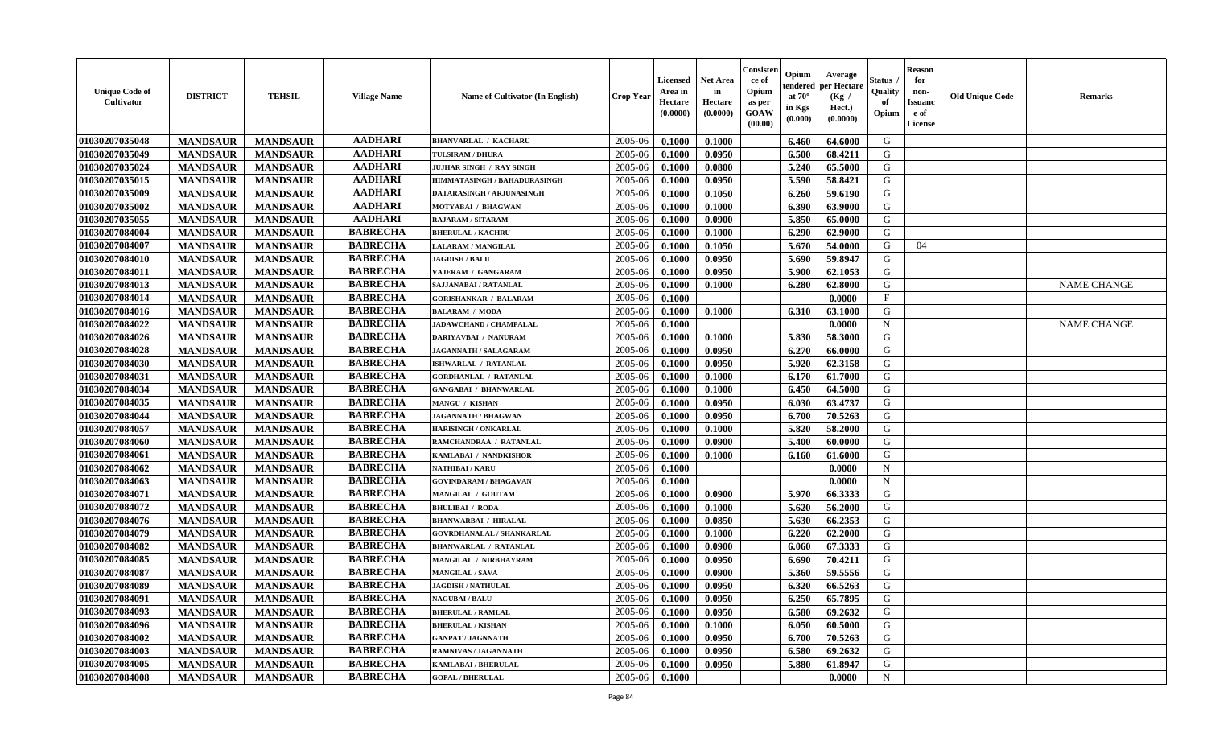| <b>Unique Code of</b><br>Cultivator | <b>DISTRICT</b> | <b>TEHSIL</b>   | <b>Village Name</b> | <b>Name of Cultivator (In English)</b> | <b>Crop Year</b> | <b>Licensed</b><br>Area in<br>Hectare<br>(0.0000) | <b>Net Area</b><br>in<br>Hectare<br>(0.0000) | Consister<br>ce of<br>Opium<br>as per<br><b>GOAW</b><br>(00.00) | Opium<br>endered<br>at $70^{\circ}$<br>in Kgs<br>(0.000) | Average<br>per Hectare<br>(Kg /<br>Hect.)<br>(0.0000) | Status<br>Quality<br>of<br>Opium | <b>Reason</b><br>for<br>non-<br><b>Issuand</b><br>e of<br>License | <b>Old Unique Code</b> | <b>Remarks</b>     |
|-------------------------------------|-----------------|-----------------|---------------------|----------------------------------------|------------------|---------------------------------------------------|----------------------------------------------|-----------------------------------------------------------------|----------------------------------------------------------|-------------------------------------------------------|----------------------------------|-------------------------------------------------------------------|------------------------|--------------------|
| 01030207035048                      | <b>MANDSAUR</b> | <b>MANDSAUR</b> | <b>AADHARI</b>      | <b>BHANVARLAL / KACHARU</b>            | 2005-06          | 0.1000                                            | 0.1000                                       |                                                                 | 6.460                                                    | 64.6000                                               | G                                |                                                                   |                        |                    |
| 01030207035049                      | <b>MANDSAUR</b> | <b>MANDSAUR</b> | <b>AADHARI</b>      | <b>TULSIRAM / DHURA</b>                | 2005-06          | 0.1000                                            | 0.0950                                       |                                                                 | 6.500                                                    | 68.4211                                               | G                                |                                                                   |                        |                    |
| 01030207035024                      | <b>MANDSAUR</b> | <b>MANDSAUR</b> | <b>AADHARI</b>      | JUJHAR SINGH / RAY SINGH               | 2005-06          | 0.1000                                            | 0.0800                                       |                                                                 | 5.240                                                    | 65.5000                                               | G                                |                                                                   |                        |                    |
| 01030207035015                      | <b>MANDSAUR</b> | <b>MANDSAUR</b> | <b>AADHARI</b>      | HIMMATASINGH / BAHADURASINGH           | 2005-06          | 0.1000                                            | 0.0950                                       |                                                                 | 5.590                                                    | 58.8421                                               | G                                |                                                                   |                        |                    |
| 01030207035009                      | <b>MANDSAUR</b> | <b>MANDSAUR</b> | <b>AADHARI</b>      | DATARASINGH / ARJUNASINGH              | 2005-06          | 0.1000                                            | 0.1050                                       |                                                                 | 6.260                                                    | 59.6190                                               | G                                |                                                                   |                        |                    |
| 01030207035002                      | <b>MANDSAUR</b> | <b>MANDSAUR</b> | <b>AADHARI</b>      | <b>MOTYABAI / BHAGWAN</b>              | 2005-06          | 0.1000                                            | 0.1000                                       |                                                                 | 6.390                                                    | 63.9000                                               | G                                |                                                                   |                        |                    |
| 01030207035055                      | <b>MANDSAUR</b> | <b>MANDSAUR</b> | <b>AADHARI</b>      | RAJARAM / SITARAM                      | 2005-06          | 0.1000                                            | 0.0900                                       |                                                                 | 5.850                                                    | 65.0000                                               | G                                |                                                                   |                        |                    |
| 01030207084004                      | <b>MANDSAUR</b> | <b>MANDSAUR</b> | <b>BABRECHA</b>     | <b>BHERULAL / KACHRU</b>               | 2005-06          | 0.1000                                            | 0.1000                                       |                                                                 | 6.290                                                    | 62.9000                                               | G                                |                                                                   |                        |                    |
| 01030207084007                      | <b>MANDSAUR</b> | <b>MANDSAUR</b> | <b>BABRECHA</b>     | LALARAM / MANGILAL                     | 2005-06          | 0.1000                                            | 0.1050                                       |                                                                 | 5.670                                                    | 54.0000                                               | G                                | 04                                                                |                        |                    |
| 01030207084010                      | <b>MANDSAUR</b> | <b>MANDSAUR</b> | <b>BABRECHA</b>     | <b>JAGDISH / BALU</b>                  | 2005-06          | 0.1000                                            | 0.0950                                       |                                                                 | 5.690                                                    | 59.8947                                               | G                                |                                                                   |                        |                    |
| 01030207084011                      | <b>MANDSAUR</b> | <b>MANDSAUR</b> | <b>BABRECHA</b>     | VAJERAM / GANGARAM                     | 2005-06          | 0.1000                                            | 0.0950                                       |                                                                 | 5.900                                                    | 62.1053                                               | G                                |                                                                   |                        |                    |
| 01030207084013                      | <b>MANDSAUR</b> | <b>MANDSAUR</b> | <b>BABRECHA</b>     | SAJJANABAI / RATANLAL                  | 2005-06          | 0.1000                                            | 0.1000                                       |                                                                 | 6.280                                                    | 62.8000                                               | G                                |                                                                   |                        | <b>NAME CHANGE</b> |
| 01030207084014                      | <b>MANDSAUR</b> | <b>MANDSAUR</b> | <b>BABRECHA</b>     | <b>GORISHANKAR / BALARAM</b>           | 2005-06          | 0.1000                                            |                                              |                                                                 |                                                          | 0.0000                                                | $\mathbf{F}$                     |                                                                   |                        |                    |
| 01030207084016                      | <b>MANDSAUR</b> | <b>MANDSAUR</b> | <b>BABRECHA</b>     | <b>BALARAM / MODA</b>                  | 2005-06          | 0.1000                                            | 0.1000                                       |                                                                 | 6.310                                                    | 63.1000                                               | G                                |                                                                   |                        |                    |
| 01030207084022                      | <b>MANDSAUR</b> | <b>MANDSAUR</b> | <b>BABRECHA</b>     | JADAWCHAND / CHAMPALAL                 | 2005-06          | 0.1000                                            |                                              |                                                                 |                                                          | 0.0000                                                | $\mathbf N$                      |                                                                   |                        | <b>NAME CHANGE</b> |
| 01030207084026                      | <b>MANDSAUR</b> | <b>MANDSAUR</b> | <b>BABRECHA</b>     | DARIYAVBAI / NANURAM                   | 2005-06          | 0.1000                                            | 0.1000                                       |                                                                 | 5.830                                                    | 58.3000                                               | G                                |                                                                   |                        |                    |
| 01030207084028                      | <b>MANDSAUR</b> | <b>MANDSAUR</b> | <b>BABRECHA</b>     | <b>JAGANNATH / SALAGARAM</b>           | 2005-06          | 0.1000                                            | 0.0950                                       |                                                                 | 6.270                                                    | 66.0000                                               | G                                |                                                                   |                        |                    |
| 01030207084030                      | <b>MANDSAUR</b> | <b>MANDSAUR</b> | <b>BABRECHA</b>     | ISHWARLAL / RATANLAL                   | 2005-06          | 0.1000                                            | 0.0950                                       |                                                                 | 5.920                                                    | 62.3158                                               | G                                |                                                                   |                        |                    |
| 01030207084031                      | <b>MANDSAUR</b> | <b>MANDSAUR</b> | <b>BABRECHA</b>     | <b>GORDHANLAL / RATANLAL</b>           | 2005-06          | 0.1000                                            | 0.1000                                       |                                                                 | 6.170                                                    | 61.7000                                               | G                                |                                                                   |                        |                    |
| 01030207084034                      | <b>MANDSAUR</b> | <b>MANDSAUR</b> | <b>BABRECHA</b>     | <b>GANGABAI / BHANWARLAL</b>           | 2005-06          | 0.1000                                            | 0.1000                                       |                                                                 | 6.450                                                    | 64.5000                                               | G                                |                                                                   |                        |                    |
| 01030207084035                      | <b>MANDSAUR</b> | <b>MANDSAUR</b> | <b>BABRECHA</b>     | <b>MANGU / KISHAN</b>                  | 2005-06          | 0.1000                                            | 0.0950                                       |                                                                 | 6.030                                                    | 63.4737                                               | G                                |                                                                   |                        |                    |
| 01030207084044                      | <b>MANDSAUR</b> | <b>MANDSAUR</b> | <b>BABRECHA</b>     | <b>JAGANNATH / BHAGWAN</b>             | 2005-06          | 0.1000                                            | 0.0950                                       |                                                                 | 6.700                                                    | 70.5263                                               | G                                |                                                                   |                        |                    |
| 01030207084057                      | <b>MANDSAUR</b> | <b>MANDSAUR</b> | <b>BABRECHA</b>     | <b>HARISINGH / ONKARLAL</b>            | 2005-06          | 0.1000                                            | 0.1000                                       |                                                                 | 5.820                                                    | 58.2000                                               | G                                |                                                                   |                        |                    |
| 01030207084060                      | <b>MANDSAUR</b> | <b>MANDSAUR</b> | <b>BABRECHA</b>     | RAMCHANDRAA / RATANLAL                 | 2005-06          | 0.1000                                            | 0.0900                                       |                                                                 | 5.400                                                    | 60.0000                                               | G                                |                                                                   |                        |                    |
| 01030207084061                      | <b>MANDSAUR</b> | <b>MANDSAUR</b> | <b>BABRECHA</b>     | KAMLABAI / NANDKISHOR                  | 2005-06          | 0.1000                                            | 0.1000                                       |                                                                 | 6.160                                                    | 61.6000                                               | G                                |                                                                   |                        |                    |
| 01030207084062                      | <b>MANDSAUR</b> | <b>MANDSAUR</b> | <b>BABRECHA</b>     | NATHIBAI / KARU                        | 2005-06          | 0.1000                                            |                                              |                                                                 |                                                          | 0.0000                                                | $\mathbf N$                      |                                                                   |                        |                    |
| 01030207084063                      | <b>MANDSAUR</b> | <b>MANDSAUR</b> | <b>BABRECHA</b>     | <b>GOVINDARAM / BHAGAVAN</b>           | 2005-06          | 0.1000                                            |                                              |                                                                 |                                                          | 0.0000                                                | N                                |                                                                   |                        |                    |
| 01030207084071                      | <b>MANDSAUR</b> | <b>MANDSAUR</b> | <b>BABRECHA</b>     | MANGILAL / GOUTAM                      | 2005-06          | 0.1000                                            | 0.0900                                       |                                                                 | 5.970                                                    | 66.3333                                               | G                                |                                                                   |                        |                    |
| 01030207084072                      | <b>MANDSAUR</b> | <b>MANDSAUR</b> | <b>BABRECHA</b>     | <b>BHULIBAI / RODA</b>                 | 2005-06          | 0.1000                                            | 0.1000                                       |                                                                 | 5.620                                                    | 56.2000                                               | G                                |                                                                   |                        |                    |
| 01030207084076                      | <b>MANDSAUR</b> | <b>MANDSAUR</b> | <b>BABRECHA</b>     | <b>BHANWARBAI / HIRALAL</b>            | 2005-06          | 0.1000                                            | 0.0850                                       |                                                                 | 5.630                                                    | 66.2353                                               | G                                |                                                                   |                        |                    |
| 01030207084079                      | <b>MANDSAUR</b> | <b>MANDSAUR</b> | <b>BABRECHA</b>     | <b>GOVRDHANALAL / SHANKARLAL</b>       | 2005-06          | 0.1000                                            | 0.1000                                       |                                                                 | 6.220                                                    | 62.2000                                               | G                                |                                                                   |                        |                    |
| 01030207084082                      | <b>MANDSAUR</b> | <b>MANDSAUR</b> | <b>BABRECHA</b>     | <b>BHANWARLAL / RATANLAL</b>           | 2005-06          | 0.1000                                            | 0.0900                                       |                                                                 | 6.060                                                    | 67.3333                                               | G                                |                                                                   |                        |                    |
| 01030207084085                      | <b>MANDSAUR</b> | <b>MANDSAUR</b> | <b>BABRECHA</b>     | MANGILAL / NIRBHAYRAM                  | 2005-06          | 0.1000                                            | 0.0950                                       |                                                                 | 6.690                                                    | 70.4211                                               | G                                |                                                                   |                        |                    |
| 01030207084087                      | <b>MANDSAUR</b> | <b>MANDSAUR</b> | <b>BABRECHA</b>     | <b>MANGILAL / SAVA</b>                 | 2005-06          | 0.1000                                            | 0.0900                                       |                                                                 | 5.360                                                    | 59.5556                                               | G                                |                                                                   |                        |                    |
| 01030207084089                      | <b>MANDSAUR</b> | <b>MANDSAUR</b> | <b>BABRECHA</b>     | <b>JAGDISH / NATHULAL</b>              | 2005-06          | 0.1000                                            | 0.0950                                       |                                                                 | 6.320                                                    | 66.5263                                               | G                                |                                                                   |                        |                    |
| 01030207084091                      | <b>MANDSAUR</b> | MANDSAUR        | <b>BABRECHA</b>     | <b>NAGUBAI/BALU</b>                    | $2005 - 06$      | 0.1000                                            | 0.0950                                       |                                                                 | 6.250                                                    | 65.7895                                               | G                                |                                                                   |                        |                    |
| 01030207084093                      | <b>MANDSAUR</b> | <b>MANDSAUR</b> | <b>BABRECHA</b>     | <b>BHERULAL / RAMLAL</b>               | 2005-06          | 0.1000                                            | 0.0950                                       |                                                                 | 6.580                                                    | 69.2632                                               | G                                |                                                                   |                        |                    |
| 01030207084096                      | <b>MANDSAUR</b> | <b>MANDSAUR</b> | <b>BABRECHA</b>     | <b>BHERULAL / KISHAN</b>               | 2005-06          | 0.1000                                            | 0.1000                                       |                                                                 | 6.050                                                    | 60.5000                                               | G                                |                                                                   |                        |                    |
| 01030207084002                      | <b>MANDSAUR</b> | <b>MANDSAUR</b> | <b>BABRECHA</b>     | <b>GANPAT / JAGNNATH</b>               | 2005-06          | 0.1000                                            | 0.0950                                       |                                                                 | 6.700                                                    | 70.5263                                               | G                                |                                                                   |                        |                    |
| 01030207084003                      | <b>MANDSAUR</b> | <b>MANDSAUR</b> | <b>BABRECHA</b>     | <b>RAMNIVAS / JAGANNATH</b>            | 2005-06          | 0.1000                                            | 0.0950                                       |                                                                 | 6.580                                                    | 69.2632                                               | G                                |                                                                   |                        |                    |
| 01030207084005                      | <b>MANDSAUR</b> | <b>MANDSAUR</b> | <b>BABRECHA</b>     | <b>KAMLABAI/BHERULAL</b>               | 2005-06          | 0.1000                                            | 0.0950                                       |                                                                 | 5.880                                                    | 61.8947                                               | G                                |                                                                   |                        |                    |
| 01030207084008                      | <b>MANDSAUR</b> | <b>MANDSAUR</b> | <b>BABRECHA</b>     | <b>GOPAL / BHERULAL</b>                | 2005-06          | 0.1000                                            |                                              |                                                                 |                                                          | 0.0000                                                | $\mathbf N$                      |                                                                   |                        |                    |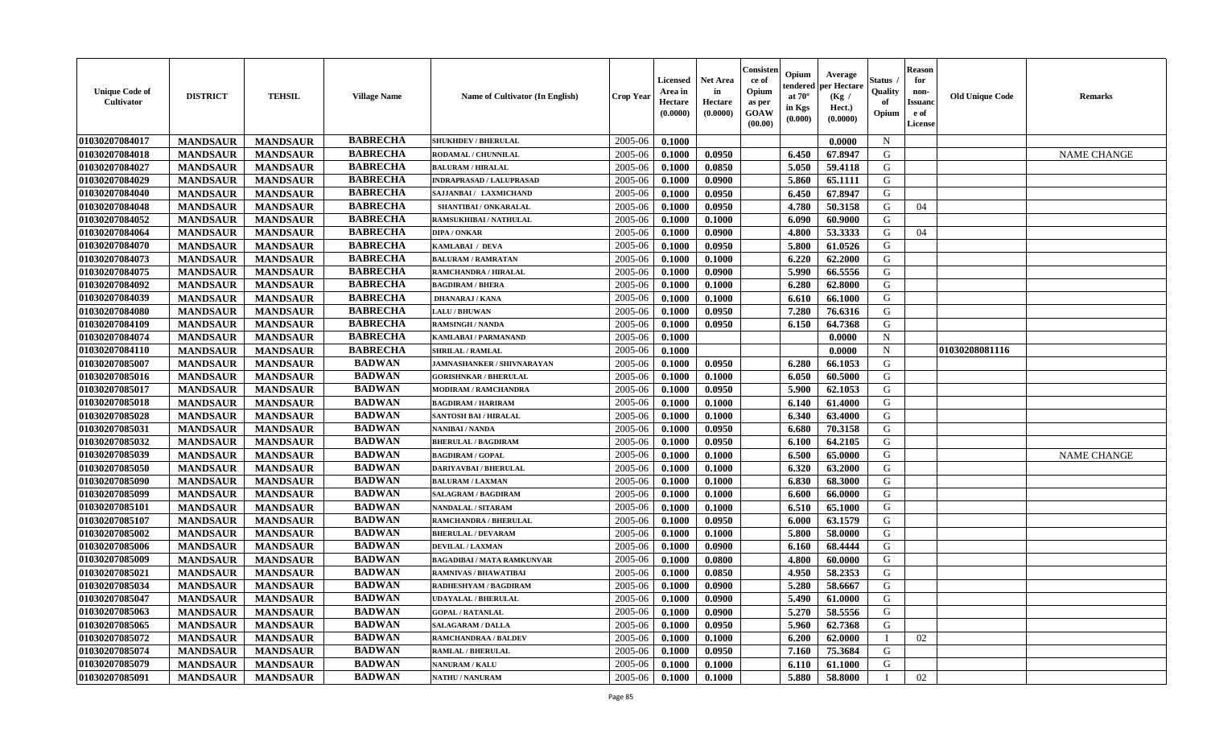| <b>Unique Code of</b><br><b>Cultivator</b> | <b>DISTRICT</b> | <b>TEHSIL</b>   | <b>Village Name</b> | Name of Cultivator (In English)   | <b>Crop Year</b> | <b>Licensed</b><br>Area in<br>Hectare<br>(0.0000) | Net Area<br>in<br>Hectare<br>(0.0000) | Consisteı<br>ce of<br>Opium<br>as per<br>GOAW<br>(00.00) | Opium<br>endered<br>at $70^\circ$<br>in Kgs<br>(0.000) | Average<br>per Hectare<br>(Kg /<br>Hect.)<br>(0.0000) | Status<br>Quality<br>of<br>Opium | <b>Reason</b><br>for<br>non-<br>Issuano<br>e of<br>License | <b>Old Unique Code</b> | Remarks            |
|--------------------------------------------|-----------------|-----------------|---------------------|-----------------------------------|------------------|---------------------------------------------------|---------------------------------------|----------------------------------------------------------|--------------------------------------------------------|-------------------------------------------------------|----------------------------------|------------------------------------------------------------|------------------------|--------------------|
| 01030207084017                             | <b>MANDSAUR</b> | <b>MANDSAUR</b> | <b>BABRECHA</b>     | <b>SHUKHDEV / BHERULAL</b>        | 2005-06          | 0.1000                                            |                                       |                                                          |                                                        | 0.0000                                                | $\mathbf N$                      |                                                            |                        |                    |
| 01030207084018                             | <b>MANDSAUR</b> | <b>MANDSAUR</b> | <b>BABRECHA</b>     | RODAMAL / CHUNNILAL               | 2005-06          | 0.1000                                            | 0.0950                                |                                                          | 6.450                                                  | 67.8947                                               | G                                |                                                            |                        | <b>NAME CHANGE</b> |
| 01030207084027                             | <b>MANDSAUR</b> | <b>MANDSAUR</b> | <b>BABRECHA</b>     | <b>BALURAM / HIRALAL</b>          | 2005-06          | 0.1000                                            | 0.0850                                |                                                          | 5.050                                                  | 59.4118                                               | G                                |                                                            |                        |                    |
| 01030207084029                             | <b>MANDSAUR</b> | <b>MANDSAUR</b> | <b>BABRECHA</b>     | <b>INDRAPRASAD / LALUPRASAD</b>   | 2005-06          | 0.1000                                            | 0.0900                                |                                                          | 5.860                                                  | 65.1111                                               | G                                |                                                            |                        |                    |
| 01030207084040                             | <b>MANDSAUR</b> | <b>MANDSAUR</b> | <b>BABRECHA</b>     | SAJJANBAI / LAXMICHAND            | 2005-06          | 0.1000                                            | 0.0950                                |                                                          | 6.450                                                  | 67.8947                                               | G                                |                                                            |                        |                    |
| 01030207084048                             | <b>MANDSAUR</b> | <b>MANDSAUR</b> | <b>BABRECHA</b>     | <b>SHANTIBAI / ONKARALAL</b>      | 2005-06          | 0.1000                                            | 0.0950                                |                                                          | 4.780                                                  | 50.3158                                               | G                                | 04                                                         |                        |                    |
| 01030207084052                             | <b>MANDSAUR</b> | <b>MANDSAUR</b> | <b>BABRECHA</b>     | RAMSUKHIBAI / NATHULAL            | 2005-06          | 0.1000                                            | 0.1000                                |                                                          | 6.090                                                  | 60.9000                                               | G                                |                                                            |                        |                    |
| 01030207084064                             | <b>MANDSAUR</b> | <b>MANDSAUR</b> | <b>BABRECHA</b>     | <b>DIPA / ONKAR</b>               | 2005-06          | 0.1000                                            | 0.0900                                |                                                          | 4.800                                                  | 53.3333                                               | G                                | 04                                                         |                        |                    |
| 01030207084070                             | <b>MANDSAUR</b> | <b>MANDSAUR</b> | <b>BABRECHA</b>     | KAMLABAI / DEVA                   | 2005-06          | 0.1000                                            | 0.0950                                |                                                          | 5.800                                                  | 61.0526                                               | G                                |                                                            |                        |                    |
| 01030207084073                             | <b>MANDSAUR</b> | <b>MANDSAUR</b> | <b>BABRECHA</b>     | <b>BALURAM / RAMRATAN</b>         | 2005-06          | 0.1000                                            | 0.1000                                |                                                          | 6.220                                                  | 62.2000                                               | G                                |                                                            |                        |                    |
| 01030207084075                             | <b>MANDSAUR</b> | <b>MANDSAUR</b> | <b>BABRECHA</b>     | <b>RAMCHANDRA / HIRALAL</b>       | 2005-06          | 0.1000                                            | 0.0900                                |                                                          | 5.990                                                  | 66.5556                                               | G                                |                                                            |                        |                    |
| 01030207084092                             | <b>MANDSAUR</b> | <b>MANDSAUR</b> | <b>BABRECHA</b>     | <b>BAGDIRAM / BHERA</b>           | 2005-06          | 0.1000                                            | 0.1000                                |                                                          | 6.280                                                  | 62.8000                                               | G                                |                                                            |                        |                    |
| 01030207084039                             | <b>MANDSAUR</b> | <b>MANDSAUR</b> | <b>BABRECHA</b>     | <b>DHANARAJ / KANA</b>            | 2005-06          | 0.1000                                            | 0.1000                                |                                                          | 6.610                                                  | 66.1000                                               | G                                |                                                            |                        |                    |
| 01030207084080                             | <b>MANDSAUR</b> | <b>MANDSAUR</b> | <b>BABRECHA</b>     | <b>LALU / BHUWAN</b>              | 2005-06          | 0.1000                                            | 0.0950                                |                                                          | 7.280                                                  | 76.6316                                               | G                                |                                                            |                        |                    |
| 01030207084109                             | <b>MANDSAUR</b> | <b>MANDSAUR</b> | <b>BABRECHA</b>     | <b>RAMSINGH / NANDA</b>           | 2005-06          | 0.1000                                            | 0.0950                                |                                                          | 6.150                                                  | 64.7368                                               | $\mathbf G$                      |                                                            |                        |                    |
| 01030207084074                             | <b>MANDSAUR</b> | <b>MANDSAUR</b> | <b>BABRECHA</b>     | <b>KAMLABAI/PARMANAND</b>         | 2005-06          | 0.1000                                            |                                       |                                                          |                                                        | 0.0000                                                | $\mathbf N$                      |                                                            |                        |                    |
| 01030207084110                             | <b>MANDSAUR</b> | <b>MANDSAUR</b> | <b>BABRECHA</b>     | <b>SHRILAL / RAMLAL</b>           | 2005-06          | 0.1000                                            |                                       |                                                          |                                                        | 0.0000                                                | $\mathbf N$                      |                                                            | 01030208081116         |                    |
| 01030207085007                             | <b>MANDSAUR</b> | <b>MANDSAUR</b> | <b>BADWAN</b>       | <b>JAMNASHANKER / SHIVNARAYAN</b> | 2005-06          | 0.1000                                            | 0.0950                                |                                                          | 6.280                                                  | 66.1053                                               | G                                |                                                            |                        |                    |
| 01030207085016                             | <b>MANDSAUR</b> | <b>MANDSAUR</b> | <b>BADWAN</b>       | <b>GORISHNKAR / BHERULAL</b>      | 2005-06          | 0.1000                                            | 0.1000                                |                                                          | 6.050                                                  | 60.5000                                               | G                                |                                                            |                        |                    |
| 01030207085017                             | <b>MANDSAUR</b> | <b>MANDSAUR</b> | <b>BADWAN</b>       | <b>MODIRAM / RAMCHANDRA</b>       | 2005-06          | 0.1000                                            | 0.0950                                |                                                          | 5.900                                                  | 62.1053                                               | G                                |                                                            |                        |                    |
| 01030207085018                             | <b>MANDSAUR</b> | <b>MANDSAUR</b> | <b>BADWAN</b>       | <b>BAGDIRAM / HARIRAM</b>         | 2005-06          | 0.1000                                            | 0.1000                                |                                                          | 6.140                                                  | 61.4000                                               | G                                |                                                            |                        |                    |
| 01030207085028                             | <b>MANDSAUR</b> | <b>MANDSAUR</b> | <b>BADWAN</b>       | <b>SANTOSH BAI / HIRALAL</b>      | 2005-06          | 0.1000                                            | 0.1000                                |                                                          | 6.340                                                  | 63.4000                                               | G                                |                                                            |                        |                    |
| 01030207085031                             | <b>MANDSAUR</b> | <b>MANDSAUR</b> | <b>BADWAN</b>       | NANIBAI / NANDA                   | 2005-06          | 0.1000                                            | 0.0950                                |                                                          | 6.680                                                  | 70.3158                                               | G                                |                                                            |                        |                    |
| 01030207085032                             | <b>MANDSAUR</b> | <b>MANDSAUR</b> | <b>BADWAN</b>       | <b>BHERULAL / BAGDIRAM</b>        | 2005-06          | 0.1000                                            | 0.0950                                |                                                          | 6.100                                                  | 64.2105                                               | G                                |                                                            |                        |                    |
| 01030207085039                             | <b>MANDSAUR</b> | <b>MANDSAUR</b> | <b>BADWAN</b>       | <b>BAGDIRAM / GOPAL</b>           | 2005-06          | 0.1000                                            | 0.1000                                |                                                          | 6.500                                                  | 65.0000                                               | G                                |                                                            |                        | <b>NAME CHANGE</b> |
| 01030207085050                             | <b>MANDSAUR</b> | <b>MANDSAUR</b> | <b>BADWAN</b>       | <b>DARIYAVBAI / BHERULAL</b>      | 2005-06          | 0.1000                                            | 0.1000                                |                                                          | 6.320                                                  | 63.2000                                               | G                                |                                                            |                        |                    |
| 01030207085090                             | <b>MANDSAUR</b> | <b>MANDSAUR</b> | <b>BADWAN</b>       | <b>BALURAM / LAXMAN</b>           | 2005-06          | 0.1000                                            | 0.1000                                |                                                          | 6.830                                                  | 68.3000                                               | G                                |                                                            |                        |                    |
| 01030207085099                             | <b>MANDSAUR</b> | <b>MANDSAUR</b> | <b>BADWAN</b>       | SALAGRAM / BAGDIRAM               | 2005-06          | 0.1000                                            | 0.1000                                |                                                          | 6.600                                                  | 66.0000                                               | G                                |                                                            |                        |                    |
| 01030207085101                             | <b>MANDSAUR</b> | <b>MANDSAUR</b> | <b>BADWAN</b>       | <b>NANDALAL / SITARAM</b>         | 2005-06          | 0.1000                                            | 0.1000                                |                                                          | 6.510                                                  | 65.1000                                               | G                                |                                                            |                        |                    |
| 01030207085107                             | <b>MANDSAUR</b> | <b>MANDSAUR</b> | <b>BADWAN</b>       | <b>RAMCHANDRA / BHERULAL</b>      | 2005-06          | 0.1000                                            | 0.0950                                |                                                          | 6.000                                                  | 63.1579                                               | G                                |                                                            |                        |                    |
| 01030207085002                             | <b>MANDSAUR</b> | <b>MANDSAUR</b> | <b>BADWAN</b>       | <b>BHERULAL / DEVARAM</b>         | 2005-06          | 0.1000                                            | 0.1000                                |                                                          | 5.800                                                  | 58.0000                                               | G                                |                                                            |                        |                    |
| 01030207085006                             | <b>MANDSAUR</b> | <b>MANDSAUR</b> | <b>BADWAN</b>       | <b>DEVILAL / LAXMAN</b>           | 2005-06          | 0.1000                                            | 0.0900                                |                                                          | 6.160                                                  | 68.4444                                               | G                                |                                                            |                        |                    |
| 01030207085009                             | <b>MANDSAUR</b> | <b>MANDSAUR</b> | <b>BADWAN</b>       | <b>BAGADIBAI / MATA RAMKUNVAR</b> | 2005-06          | 0.1000                                            | 0.0800                                |                                                          | 4.800                                                  | 60.0000                                               | G                                |                                                            |                        |                    |
| 01030207085021                             | <b>MANDSAUR</b> | <b>MANDSAUR</b> | <b>BADWAN</b>       | <b>RAMNIVAS / BHAWATIBAI</b>      | 2005-06          | 0.1000                                            | 0.0850                                |                                                          | 4.950                                                  | 58.2353                                               | G                                |                                                            |                        |                    |
| 01030207085034                             | <b>MANDSAUR</b> | <b>MANDSAUR</b> | <b>BADWAN</b>       | RADHESHYAM / BAGDIRAM             | 2005-06          | 0.1000                                            | 0.0900                                |                                                          | 5.280                                                  | 58.6667                                               | G                                |                                                            |                        |                    |
| 01030207085047                             | <b>MANDSAUR</b> | <b>MANDSAUR</b> | <b>BADWAN</b>       | <b>UDAYALAL / BHERULAL</b>        | 2005-06          | 0.1000                                            | 0.0900                                |                                                          | 5.490                                                  | 61.0000                                               | G                                |                                                            |                        |                    |
| 01030207085063                             | <b>MANDSAUR</b> | <b>MANDSAUR</b> | <b>BADWAN</b>       | <b>GOPAL / RATANLAL</b>           | 2005-06          | 0.1000                                            | 0.0900                                |                                                          | 5.270                                                  | 58.5556                                               | G                                |                                                            |                        |                    |
| 01030207085065                             | <b>MANDSAUR</b> | <b>MANDSAUR</b> | <b>BADWAN</b>       | <b>SALAGARAM / DALLA</b>          | 2005-06          | 0.1000                                            | 0.0950                                |                                                          | 5.960                                                  | 62.7368                                               | G                                |                                                            |                        |                    |
| 01030207085072                             | <b>MANDSAUR</b> | <b>MANDSAUR</b> | <b>BADWAN</b>       | <b>RAMCHANDRAA / BALDEV</b>       | 2005-06          | 0.1000                                            | 0.1000                                |                                                          | 6.200                                                  | 62.0000                                               | T                                | 02                                                         |                        |                    |
| 01030207085074                             | <b>MANDSAUR</b> | <b>MANDSAUR</b> | <b>BADWAN</b>       | RAMLAL / BHERULAL                 | 2005-06          | 0.1000                                            | 0.0950                                |                                                          | 7.160                                                  | 75.3684                                               | G                                |                                                            |                        |                    |
| 01030207085079                             | <b>MANDSAUR</b> | <b>MANDSAUR</b> | <b>BADWAN</b>       | <b>NANURAM / KALU</b>             | 2005-06          | 0.1000                                            | 0.1000                                |                                                          | 6.110                                                  | 61.1000                                               | G                                |                                                            |                        |                    |
| 01030207085091                             | <b>MANDSAUR</b> | <b>MANDSAUR</b> | <b>BADWAN</b>       | <b>NATHU / NANURAM</b>            | 2005-06          | 0.1000                                            | 0.1000                                |                                                          | 5.880                                                  | 58.8000                                               |                                  | 02                                                         |                        |                    |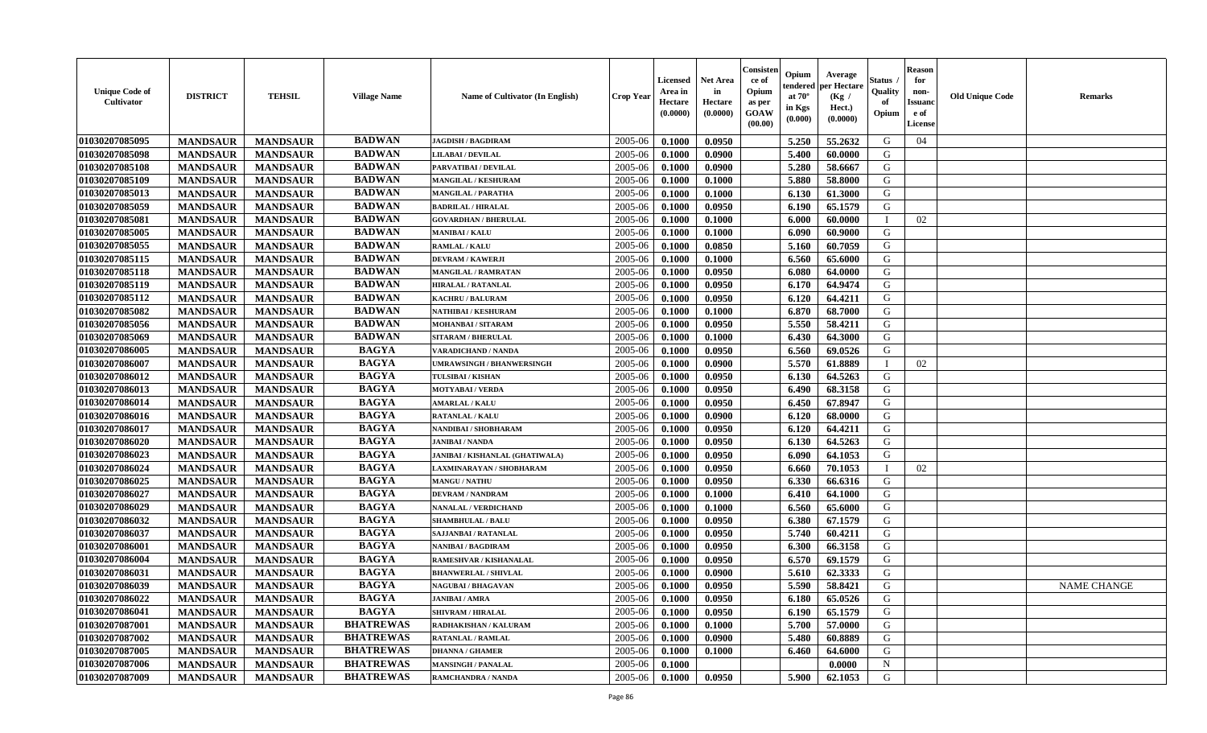| <b>Unique Code of</b><br>Cultivator | <b>DISTRICT</b> | <b>TEHSIL</b>   | <b>Village Name</b> | Name of Cultivator (In English) | <b>Crop Year</b> | <b>Licensed</b><br>Area in<br>Hectare<br>(0.0000) | <b>Net Area</b><br>in<br>Hectare<br>(0.0000) | Consister<br>ce of<br>Opium<br>as per<br><b>GOAW</b><br>(00.00) | Opium<br>endered<br>at $70^{\circ}$<br>in Kgs<br>(0.000) | Average<br>per Hectare<br>(Kg /<br>Hect.)<br>(0.0000) | <b>Status</b><br>Quality<br>of<br>Opium | <b>Reason</b><br>for<br>non-<br><b>Issuanc</b><br>e of<br>License | <b>Old Unique Code</b> | <b>Remarks</b>     |
|-------------------------------------|-----------------|-----------------|---------------------|---------------------------------|------------------|---------------------------------------------------|----------------------------------------------|-----------------------------------------------------------------|----------------------------------------------------------|-------------------------------------------------------|-----------------------------------------|-------------------------------------------------------------------|------------------------|--------------------|
| 01030207085095                      | <b>MANDSAUR</b> | <b>MANDSAUR</b> | <b>BADWAN</b>       | <b>JAGDISH / BAGDIRAM</b>       | 2005-06          | 0.1000                                            | 0.0950                                       |                                                                 | 5.250                                                    | 55,2632                                               | G                                       | 04                                                                |                        |                    |
| 01030207085098                      | <b>MANDSAUR</b> | <b>MANDSAUR</b> | <b>BADWAN</b>       | <b>LILABAI/DEVILAL</b>          | 2005-06          | 0.1000                                            | 0.0900                                       |                                                                 | 5.400                                                    | 60.0000                                               | G                                       |                                                                   |                        |                    |
| 01030207085108                      | <b>MANDSAUR</b> | <b>MANDSAUR</b> | <b>BADWAN</b>       | PARVATIBAI / DEVILAL            | 2005-06          | 0.1000                                            | 0.0900                                       |                                                                 | 5.280                                                    | 58.6667                                               | G                                       |                                                                   |                        |                    |
| 01030207085109                      | <b>MANDSAUR</b> | <b>MANDSAUR</b> | <b>BADWAN</b>       | MANGILAL / KESHURAM             | 2005-06          | 0.1000                                            | 0.1000                                       |                                                                 | 5.880                                                    | 58.8000                                               | G                                       |                                                                   |                        |                    |
| 01030207085013                      | <b>MANDSAUR</b> | <b>MANDSAUR</b> | <b>BADWAN</b>       | MANGILAL / PARATHA              | 2005-06          | 0.1000                                            | 0.1000                                       |                                                                 | 6.130                                                    | 61.3000                                               | G                                       |                                                                   |                        |                    |
| 01030207085059                      | <b>MANDSAUR</b> | <b>MANDSAUR</b> | <b>BADWAN</b>       | <b>BADRILAL / HIRALAL</b>       | 2005-06          | 0.1000                                            | 0.0950                                       |                                                                 | 6.190                                                    | 65.1579                                               | G                                       |                                                                   |                        |                    |
| 01030207085081                      | <b>MANDSAUR</b> | <b>MANDSAUR</b> | <b>BADWAN</b>       | <b>GOVARDHAN / BHERULAL</b>     | 2005-06          | 0.1000                                            | 0.1000                                       |                                                                 | 6.000                                                    | 60.0000                                               |                                         | 02                                                                |                        |                    |
| 01030207085005                      | <b>MANDSAUR</b> | <b>MANDSAUR</b> | <b>BADWAN</b>       | <b>MANIBAI/KALU</b>             | 2005-06          | 0.1000                                            | 0.1000                                       |                                                                 | 6.090                                                    | 60.9000                                               | G                                       |                                                                   |                        |                    |
| 01030207085055                      | <b>MANDSAUR</b> | <b>MANDSAUR</b> | <b>BADWAN</b>       | <b>RAMLAL / KALU</b>            | 2005-06          | 0.1000                                            | 0.0850                                       |                                                                 | 5.160                                                    | 60.7059                                               | G                                       |                                                                   |                        |                    |
| 01030207085115                      | <b>MANDSAUR</b> | <b>MANDSAUR</b> | <b>BADWAN</b>       | <b>DEVRAM / KAWERJI</b>         | 2005-06          | 0.1000                                            | 0.1000                                       |                                                                 | 6.560                                                    | 65.6000                                               | G                                       |                                                                   |                        |                    |
| 01030207085118                      | <b>MANDSAUR</b> | <b>MANDSAUR</b> | <b>BADWAN</b>       | MANGILAL / RAMRATAN             | 2005-06          | 0.1000                                            | 0.0950                                       |                                                                 | 6.080                                                    | 64.0000                                               | G                                       |                                                                   |                        |                    |
| 01030207085119                      | <b>MANDSAUR</b> | <b>MANDSAUR</b> | <b>BADWAN</b>       | <b>HIRALAL / RATANLAL</b>       | 2005-06          | 0.1000                                            | 0.0950                                       |                                                                 | 6.170                                                    | 64.9474                                               | G                                       |                                                                   |                        |                    |
| 01030207085112                      | <b>MANDSAUR</b> | <b>MANDSAUR</b> | <b>BADWAN</b>       | <b>KACHRU / BALURAM</b>         | 2005-06          | 0.1000                                            | 0.0950                                       |                                                                 | 6.120                                                    | 64.4211                                               | G                                       |                                                                   |                        |                    |
| 01030207085082                      | <b>MANDSAUR</b> | <b>MANDSAUR</b> | <b>BADWAN</b>       | NATHIBAI / KESHURAM             | 2005-06          | 0.1000                                            | 0.1000                                       |                                                                 | 6.870                                                    | 68.7000                                               | G                                       |                                                                   |                        |                    |
| 01030207085056                      | <b>MANDSAUR</b> | <b>MANDSAUR</b> | <b>BADWAN</b>       | MOHANBAI / SITARAM              | 2005-06          | 0.1000                                            | 0.0950                                       |                                                                 | 5.550                                                    | 58.4211                                               | G                                       |                                                                   |                        |                    |
| 01030207085069                      | <b>MANDSAUR</b> | <b>MANDSAUR</b> | <b>BADWAN</b>       | <b>SITARAM / BHERULAL</b>       | 2005-06          | 0.1000                                            | 0.1000                                       |                                                                 | 6.430                                                    | 64.3000                                               | G                                       |                                                                   |                        |                    |
| 01030207086005                      | <b>MANDSAUR</b> | <b>MANDSAUR</b> | <b>BAGYA</b>        | <b>VARADICHAND / NANDA</b>      | 2005-06          | 0.1000                                            | 0.0950                                       |                                                                 | 6.560                                                    | 69.0526                                               | G                                       |                                                                   |                        |                    |
| 01030207086007                      | <b>MANDSAUR</b> | <b>MANDSAUR</b> | <b>BAGYA</b>        | UMRAWSINGH / BHANWERSINGH       | 2005-06          | 0.1000                                            | 0.0900                                       |                                                                 | 5.570                                                    | 61.8889                                               |                                         | 02                                                                |                        |                    |
| 01030207086012                      | <b>MANDSAUR</b> | <b>MANDSAUR</b> | <b>BAGYA</b>        | TULSIBAI / KISHAN               | 2005-06          | 0.1000                                            | 0.0950                                       |                                                                 | 6.130                                                    | 64.5263                                               | G                                       |                                                                   |                        |                    |
| 01030207086013                      | <b>MANDSAUR</b> | <b>MANDSAUR</b> | <b>BAGYA</b>        | <b>MOTYABAI/VERDA</b>           | 2005-06          | 0.1000                                            | 0.0950                                       |                                                                 | 6.490                                                    | 68.3158                                               | G                                       |                                                                   |                        |                    |
| 01030207086014                      | <b>MANDSAUR</b> | <b>MANDSAUR</b> | <b>BAGYA</b>        | <b>AMARLAL / KALU</b>           | 2005-06          | 0.1000                                            | 0.0950                                       |                                                                 | 6.450                                                    | 67.8947                                               | G                                       |                                                                   |                        |                    |
| 01030207086016                      | <b>MANDSAUR</b> | <b>MANDSAUR</b> | <b>BAGYA</b>        | RATANLAL / KALU                 | 2005-06          | 0.1000                                            | 0.0900                                       |                                                                 | 6.120                                                    | 68.0000                                               | G                                       |                                                                   |                        |                    |
| 01030207086017                      | <b>MANDSAUR</b> | <b>MANDSAUR</b> | <b>BAGYA</b>        | NANDIBAI / SHOBHARAM            | 2005-06          | 0.1000                                            | 0.0950                                       |                                                                 | 6.120                                                    | 64.4211                                               | G                                       |                                                                   |                        |                    |
| 01030207086020                      | <b>MANDSAUR</b> | <b>MANDSAUR</b> | <b>BAGYA</b>        | <b>JANIBAI / NANDA</b>          | 2005-06          | 0.1000                                            | 0.0950                                       |                                                                 | 6.130                                                    | 64.5263                                               | G                                       |                                                                   |                        |                    |
| 01030207086023                      | <b>MANDSAUR</b> | <b>MANDSAUR</b> | <b>BAGYA</b>        | JANIBAI / KISHANLAL (GHATIWALA) | 2005-06          | 0.1000                                            | 0.0950                                       |                                                                 | 6.090                                                    | 64.1053                                               | G                                       |                                                                   |                        |                    |
| 01030207086024                      | <b>MANDSAUR</b> | <b>MANDSAUR</b> | <b>BAGYA</b>        | LAXMINARAYAN / SHOBHARAM        | 2005-06          | 0.1000                                            | 0.0950                                       |                                                                 | 6.660                                                    | 70.1053                                               |                                         | 02                                                                |                        |                    |
| 01030207086025                      | <b>MANDSAUR</b> | <b>MANDSAUR</b> | <b>BAGYA</b>        | <b>MANGU / NATHU</b>            | 2005-06          | 0.1000                                            | 0.0950                                       |                                                                 | 6.330                                                    | 66.6316                                               | G                                       |                                                                   |                        |                    |
| 01030207086027                      | <b>MANDSAUR</b> | <b>MANDSAUR</b> | <b>BAGYA</b>        | <b>DEVRAM / NANDRAM</b>         | 2005-06          | 0.1000                                            | 0.1000                                       |                                                                 | 6.410                                                    | 64.1000                                               | G                                       |                                                                   |                        |                    |
| 01030207086029                      | <b>MANDSAUR</b> | <b>MANDSAUR</b> | <b>BAGYA</b>        | <b>NANALAL / VERDICHAND</b>     | 2005-06          | 0.1000                                            | 0.1000                                       |                                                                 | 6.560                                                    | 65.6000                                               | G                                       |                                                                   |                        |                    |
| 01030207086032                      | <b>MANDSAUR</b> | <b>MANDSAUR</b> | <b>BAGYA</b>        | <b>SHAMBHULAL / BALU</b>        | 2005-06          | 0.1000                                            | 0.0950                                       |                                                                 | 6.380                                                    | 67.1579                                               | G                                       |                                                                   |                        |                    |
| 01030207086037                      | <b>MANDSAUR</b> | <b>MANDSAUR</b> | <b>BAGYA</b>        | <b>SAJJANBAI / RATANLAL</b>     | 2005-06          | 0.1000                                            | 0.0950                                       |                                                                 | 5.740                                                    | 60.4211                                               | G                                       |                                                                   |                        |                    |
| 01030207086001                      | <b>MANDSAUR</b> | <b>MANDSAUR</b> | <b>BAGYA</b>        | NANIBAI / BAGDIRAM              | 2005-06          | 0.1000                                            | 0.0950                                       |                                                                 | 6.300                                                    | 66.3158                                               | G                                       |                                                                   |                        |                    |
| 01030207086004                      | <b>MANDSAUR</b> | <b>MANDSAUR</b> | <b>BAGYA</b>        | RAMESHVAR / KISHANALAL          | 2005-06          | 0.1000                                            | 0.0950                                       |                                                                 | 6.570                                                    | 69.1579                                               | G                                       |                                                                   |                        |                    |
| 01030207086031                      | <b>MANDSAUR</b> | <b>MANDSAUR</b> | <b>BAGYA</b>        | <b>BHANWERLAL / SHIVLAL</b>     | 2005-06          | 0.1000                                            | 0.0900                                       |                                                                 | 5.610                                                    | 62.3333                                               | G                                       |                                                                   |                        |                    |
| 01030207086039                      | <b>MANDSAUR</b> | <b>MANDSAUR</b> | <b>BAGYA</b>        | <b>NAGUBAI/BHAGAVAN</b>         | 2005-06          | 0.1000                                            | 0.0950                                       |                                                                 | 5.590                                                    | 58.8421                                               | G                                       |                                                                   |                        | <b>NAME CHANGE</b> |
| 01030207086022                      | <b>MANDSAUR</b> | MANDSAUR        | <b>BAGYA</b>        | <b>JANIBAI / AMRA</b>           | $2005 - 06$      | 0.1000                                            | 0.0950                                       |                                                                 | 6.180                                                    | 65.0526                                               | G                                       |                                                                   |                        |                    |
| 01030207086041                      | <b>MANDSAUR</b> | <b>MANDSAUR</b> | <b>BAGYA</b>        | <b>SHIVRAM / HIRALAL</b>        | 2005-06          | 0.1000                                            | 0.0950                                       |                                                                 | 6.190                                                    | 65.1579                                               | G                                       |                                                                   |                        |                    |
| 01030207087001                      | <b>MANDSAUR</b> | <b>MANDSAUR</b> | <b>BHATREWAS</b>    | RADHAKISHAN / KALURAM           | 2005-06          | 0.1000                                            | 0.1000                                       |                                                                 | 5.700                                                    | 57.0000                                               | G                                       |                                                                   |                        |                    |
| 01030207087002                      | <b>MANDSAUR</b> | <b>MANDSAUR</b> | <b>BHATREWAS</b>    | <b>RATANLAL / RAMLAL</b>        | 2005-06          | 0.1000                                            | 0.0900                                       |                                                                 | 5.480                                                    | 60.8889                                               | G                                       |                                                                   |                        |                    |
| 01030207087005                      | <b>MANDSAUR</b> | <b>MANDSAUR</b> | <b>BHATREWAS</b>    | <b>DHANNA / GHAMER</b>          | 2005-06          | 0.1000                                            | 0.1000                                       |                                                                 | 6.460                                                    | 64.6000                                               | G                                       |                                                                   |                        |                    |
| 01030207087006                      | <b>MANDSAUR</b> | <b>MANDSAUR</b> | <b>BHATREWAS</b>    | <b>MANSINGH / PANALAL</b>       | 2005-06          | 0.1000                                            |                                              |                                                                 |                                                          | 0.0000                                                | $\mathbf N$                             |                                                                   |                        |                    |
| 01030207087009                      | <b>MANDSAUR</b> | <b>MANDSAUR</b> | <b>BHATREWAS</b>    | RAMCHANDRA / NANDA              | 2005-06          | $\boldsymbol{0.1000}$                             | 0.0950                                       |                                                                 | 5.900                                                    | 62.1053                                               | G                                       |                                                                   |                        |                    |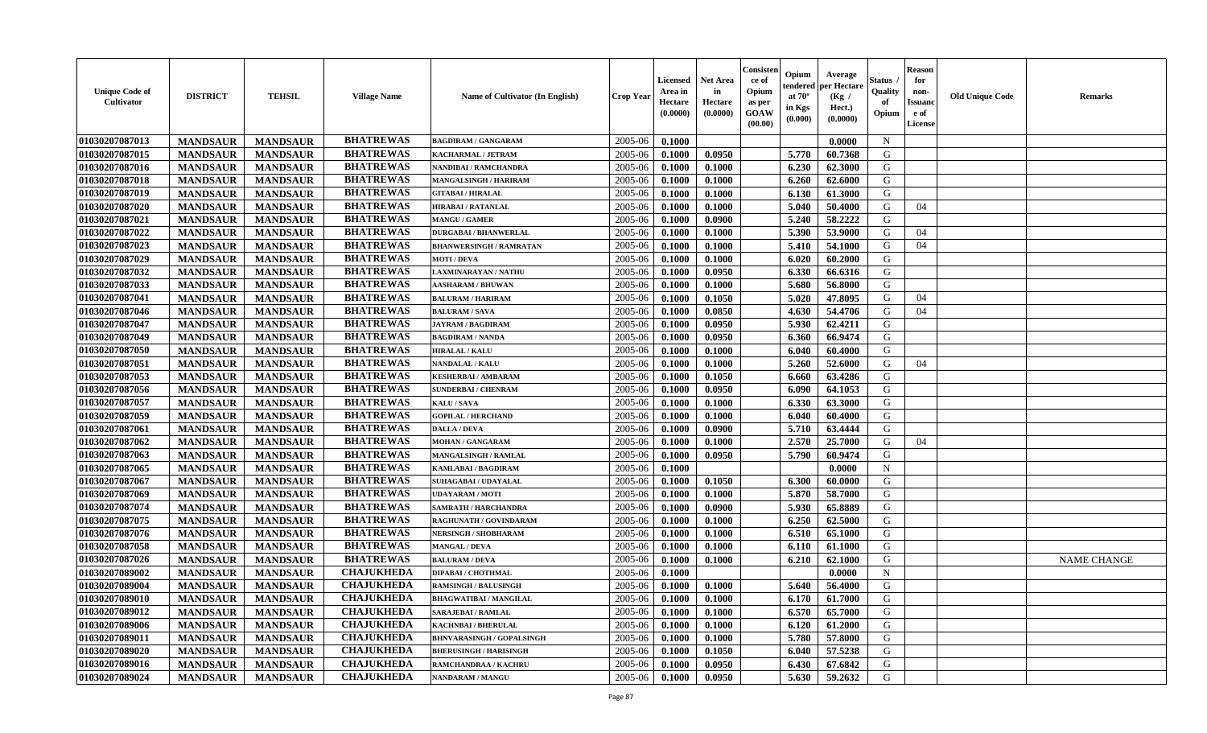| <b>Unique Code of</b><br>Cultivator | <b>DISTRICT</b> | <b>TEHSIL</b>   | <b>Village Name</b> | Name of Cultivator (In English)  | <b>Crop Year</b> | <b>Licensed</b><br>Area in<br>Hectare<br>(0.0000) | <b>Net Area</b><br>in<br>Hectare<br>(0.0000) | Consister<br>ce of<br>Opium<br>as per<br>GOAW<br>(00.00) | Opium<br>endered<br>at $70^{\circ}$<br>in Kgs<br>(0.000) | Average<br>per Hectare<br>(Kg /<br>Hect.)<br>(0.0000) | Status<br>Quality<br>of<br>Opium | <b>Reason</b><br>for<br>non-<br><b>Issuand</b><br>e of<br>License | <b>Old Unique Code</b> | <b>Remarks</b>     |
|-------------------------------------|-----------------|-----------------|---------------------|----------------------------------|------------------|---------------------------------------------------|----------------------------------------------|----------------------------------------------------------|----------------------------------------------------------|-------------------------------------------------------|----------------------------------|-------------------------------------------------------------------|------------------------|--------------------|
| 01030207087013                      | <b>MANDSAUR</b> | <b>MANDSAUR</b> | <b>BHATREWAS</b>    | <b>BAGDIRAM / GANGARAM</b>       | 2005-06          | 0.1000                                            |                                              |                                                          |                                                          | 0.0000                                                | $\mathbf N$                      |                                                                   |                        |                    |
| 01030207087015                      | <b>MANDSAUR</b> | <b>MANDSAUR</b> | <b>BHATREWAS</b>    | KACHARMAL / JETRAM               | 2005-06          | 0.1000                                            | 0.0950                                       |                                                          | 5.770                                                    | 60.7368                                               | G                                |                                                                   |                        |                    |
| 01030207087016                      | <b>MANDSAUR</b> | <b>MANDSAUR</b> | <b>BHATREWAS</b>    | NANDIBAI / RAMCHANDRA            | 2005-06          | 0.1000                                            | 0.1000                                       |                                                          | 6.230                                                    | 62.3000                                               | G                                |                                                                   |                        |                    |
| 01030207087018                      | <b>MANDSAUR</b> | <b>MANDSAUR</b> | <b>BHATREWAS</b>    | <b>MANGALSINGH / HARIRAM</b>     | 2005-06          | 0.1000                                            | 0.1000                                       |                                                          | 6.260                                                    | 62.6000                                               | G                                |                                                                   |                        |                    |
| 01030207087019                      | <b>MANDSAUR</b> | <b>MANDSAUR</b> | <b>BHATREWAS</b>    | <b>GITABAI/HIRALAL</b>           | 2005-06          | 0.1000                                            | 0.1000                                       |                                                          | 6.130                                                    | 61.3000                                               | G                                |                                                                   |                        |                    |
| 01030207087020                      | <b>MANDSAUR</b> | <b>MANDSAUR</b> | <b>BHATREWAS</b>    | <b>HIRABAI/RATANLAL</b>          | 2005-06          | 0.1000                                            | 0.1000                                       |                                                          | 5.040                                                    | 50.4000                                               | G                                | 04                                                                |                        |                    |
| 01030207087021                      | <b>MANDSAUR</b> | <b>MANDSAUR</b> | <b>BHATREWAS</b>    | <b>MANGU / GAMER</b>             | 2005-06          | 0.1000                                            | 0.0900                                       |                                                          | 5.240                                                    | 58.2222                                               | G                                |                                                                   |                        |                    |
| 01030207087022                      | <b>MANDSAUR</b> | <b>MANDSAUR</b> | <b>BHATREWAS</b>    | <b>DURGABAI/BHANWERLAL</b>       | 2005-06          | 0.1000                                            | 0.1000                                       |                                                          | 5.390                                                    | 53.9000                                               | G                                | 04                                                                |                        |                    |
| 01030207087023                      | <b>MANDSAUR</b> | <b>MANDSAUR</b> | <b>BHATREWAS</b>    | <b>BHANWERSINGH / RAMRATAN</b>   | 2005-06          | 0.1000                                            | 0.1000                                       |                                                          | 5.410                                                    | 54.1000                                               | G                                | 04                                                                |                        |                    |
| 01030207087029                      | <b>MANDSAUR</b> | <b>MANDSAUR</b> | <b>BHATREWAS</b>    | <b>MOTI / DEVA</b>               | 2005-06          | 0.1000                                            | 0.1000                                       |                                                          | 6.020                                                    | 60.2000                                               | G                                |                                                                   |                        |                    |
| 01030207087032                      | <b>MANDSAUR</b> | <b>MANDSAUR</b> | <b>BHATREWAS</b>    | AXMINARAYAN / NATHU              | 2005-06          | 0.1000                                            | 0.0950                                       |                                                          | 6.330                                                    | 66.6316                                               | G                                |                                                                   |                        |                    |
| 01030207087033                      | <b>MANDSAUR</b> | <b>MANDSAUR</b> | <b>BHATREWAS</b>    | <b>AASHARAM / BHUWAN</b>         | 2005-06          | 0.1000                                            | 0.1000                                       |                                                          | 5.680                                                    | 56.8000                                               | G                                |                                                                   |                        |                    |
| 01030207087041                      | <b>MANDSAUR</b> | <b>MANDSAUR</b> | <b>BHATREWAS</b>    | <b>BALURAM / HARIRAM</b>         | 2005-06          | 0.1000                                            | 0.1050                                       |                                                          | 5.020                                                    | 47.8095                                               | G                                | 04                                                                |                        |                    |
| 01030207087046                      | <b>MANDSAUR</b> | <b>MANDSAUR</b> | <b>BHATREWAS</b>    | <b>BALURAM / SAVA</b>            | 2005-06          | 0.1000                                            | 0.0850                                       |                                                          | 4.630                                                    | 54.4706                                               | G                                | 04                                                                |                        |                    |
| 01030207087047                      | <b>MANDSAUR</b> | <b>MANDSAUR</b> | <b>BHATREWAS</b>    | <b>JAYRAM / BAGDIRAM</b>         | 2005-06          | 0.1000                                            | 0.0950                                       |                                                          | 5.930                                                    | 62.4211                                               | G                                |                                                                   |                        |                    |
| 01030207087049                      | <b>MANDSAUR</b> | <b>MANDSAUR</b> | <b>BHATREWAS</b>    | <b>BAGDIRAM / NANDA</b>          | 2005-06          | 0.1000                                            | 0.0950                                       |                                                          | 6.360                                                    | 66.9474                                               | G                                |                                                                   |                        |                    |
| 01030207087050                      | <b>MANDSAUR</b> | <b>MANDSAUR</b> | <b>BHATREWAS</b>    | <b>HIRALAL / KALU</b>            | 2005-06          | 0.1000                                            | 0.1000                                       |                                                          | 6.040                                                    | 60.4000                                               | G                                |                                                                   |                        |                    |
| 01030207087051                      | <b>MANDSAUR</b> | <b>MANDSAUR</b> | <b>BHATREWAS</b>    | NANDALAL / KALU                  | 2005-06          | 0.1000                                            | 0.1000                                       |                                                          | 5.260                                                    | 52.6000                                               | G                                | 04                                                                |                        |                    |
| 01030207087053                      | <b>MANDSAUR</b> | <b>MANDSAUR</b> | <b>BHATREWAS</b>    | <b>KESHERBAI/AMBARAM</b>         | 2005-06          | 0.1000                                            | 0.1050                                       |                                                          | 6.660                                                    | 63.4286                                               | G                                |                                                                   |                        |                    |
| 01030207087056                      | <b>MANDSAUR</b> | <b>MANDSAUR</b> | <b>BHATREWAS</b>    | <b>SUNDERBAI/ CHENRAM</b>        | 2005-06          | 0.1000                                            | 0.0950                                       |                                                          | 6.090                                                    | 64.1053                                               | G                                |                                                                   |                        |                    |
| 01030207087057                      | <b>MANDSAUR</b> | <b>MANDSAUR</b> | <b>BHATREWAS</b>    | KALU / SAVA                      | 2005-06          | 0.1000                                            | 0.1000                                       |                                                          | 6.330                                                    | 63.3000                                               | G                                |                                                                   |                        |                    |
| 01030207087059                      | <b>MANDSAUR</b> | <b>MANDSAUR</b> | <b>BHATREWAS</b>    | <b>GOPILAL / HERCHAND</b>        | 2005-06          | 0.1000                                            | 0.1000                                       |                                                          | 6.040                                                    | 60.4000                                               | G                                |                                                                   |                        |                    |
| 01030207087061                      | <b>MANDSAUR</b> | <b>MANDSAUR</b> | <b>BHATREWAS</b>    | <b>DALLA / DEVA</b>              | 2005-06          | 0.1000                                            | 0.0900                                       |                                                          | 5.710                                                    | 63.4444                                               | G                                |                                                                   |                        |                    |
| 01030207087062                      | <b>MANDSAUR</b> | <b>MANDSAUR</b> | <b>BHATREWAS</b>    | <b>MOHAN / GANGARAM</b>          | 2005-06          | 0.1000                                            | 0.1000                                       |                                                          | 2.570                                                    | 25.7000                                               | G                                | 04                                                                |                        |                    |
| 01030207087063                      | <b>MANDSAUR</b> | <b>MANDSAUR</b> | <b>BHATREWAS</b>    | <b>MANGALSINGH / RAMLAL</b>      | 2005-06          | 0.1000                                            | 0.0950                                       |                                                          | 5.790                                                    | 60.9474                                               | G                                |                                                                   |                        |                    |
| 01030207087065                      | <b>MANDSAUR</b> | <b>MANDSAUR</b> | <b>BHATREWAS</b>    | <b>KAMLABAI/BAGDIRAM</b>         | 2005-06          | 0.1000                                            |                                              |                                                          |                                                          | 0.0000                                                | $\mathbf N$                      |                                                                   |                        |                    |
| 01030207087067                      | <b>MANDSAUR</b> | <b>MANDSAUR</b> | <b>BHATREWAS</b>    | SUHAGABAI / UDAYALAL             | 2005-06          | 0.1000                                            | 0.1050                                       |                                                          | 6.300                                                    | 60.0000                                               | G                                |                                                                   |                        |                    |
| 01030207087069                      | <b>MANDSAUR</b> | <b>MANDSAUR</b> | <b>BHATREWAS</b>    | <b>UDAYARAM / MOTI</b>           | 2005-06          | 0.1000                                            | 0.1000                                       |                                                          | 5.870                                                    | 58.7000                                               | G                                |                                                                   |                        |                    |
| 01030207087074                      | <b>MANDSAUR</b> | <b>MANDSAUR</b> | <b>BHATREWAS</b>    | <b>SAMRATH / HARCHANDRA</b>      | 2005-06          | 0.1000                                            | 0.0900                                       |                                                          | 5.930                                                    | 65.8889                                               | G                                |                                                                   |                        |                    |
| 01030207087075                      | <b>MANDSAUR</b> | <b>MANDSAUR</b> | <b>BHATREWAS</b>    | RAGHUNATH / GOVINDARAM           | 2005-06          | 0.1000                                            | 0.1000                                       |                                                          | 6.250                                                    | 62.5000                                               | G                                |                                                                   |                        |                    |
| 01030207087076                      | <b>MANDSAUR</b> | <b>MANDSAUR</b> | <b>BHATREWAS</b>    | <b>NERSINGH / SHOBHARAM</b>      | 2005-06          | 0.1000                                            | 0.1000                                       |                                                          | 6.510                                                    | 65.1000                                               | G                                |                                                                   |                        |                    |
| 01030207087058                      | <b>MANDSAUR</b> | <b>MANDSAUR</b> | <b>BHATREWAS</b>    | <b>MANGAL / DEVA</b>             | 2005-06          | 0.1000                                            | 0.1000                                       |                                                          | 6.110                                                    | 61.1000                                               | G                                |                                                                   |                        |                    |
| 01030207087026                      | <b>MANDSAUR</b> | <b>MANDSAUR</b> | <b>BHATREWAS</b>    | <b>BALURAM / DEVA</b>            | 2005-06          | 0.1000                                            | 0.1000                                       |                                                          | 6.210                                                    | 62.1000                                               | G                                |                                                                   |                        | <b>NAME CHANGE</b> |
| 01030207089002                      | <b>MANDSAUR</b> | <b>MANDSAUR</b> | <b>CHAJUKHEDA</b>   | <b>DIPABAI / CHOTHMAL</b>        | 2005-06          | 0.1000                                            |                                              |                                                          |                                                          | 0.0000                                                | N                                |                                                                   |                        |                    |
| 01030207089004                      | <b>MANDSAUR</b> | <b>MANDSAUR</b> | <b>CHAJUKHEDA</b>   | <b>RAMSINGH / BALUSINGH</b>      | 2005-06          | 0.1000                                            | 0.1000                                       |                                                          | 5.640                                                    | 56.4000                                               | G                                |                                                                   |                        |                    |
| 01030207089010                      | <b>MANDSAUR</b> | MANDSAUR        | <b>CHAJUKHEDA</b>   | <b>BHAGWATIBAI / MANGILAL</b>    | $2005 - 06$      | 0.1000                                            | 0.1000                                       |                                                          | 6.170                                                    | 61.7000                                               | G                                |                                                                   |                        |                    |
| 01030207089012                      | <b>MANDSAUR</b> | <b>MANDSAUR</b> | <b>CHAJUKHEDA</b>   | <b>SARAJEBAI / RAMLAL</b>        | 2005-06          | 0.1000                                            | 0.1000                                       |                                                          | 6.570                                                    | 65.7000                                               | G                                |                                                                   |                        |                    |
| 01030207089006                      | <b>MANDSAUR</b> | <b>MANDSAUR</b> | <b>CHAJUKHEDA</b>   | <b>KACHNBAI / BHERULAL</b>       | 2005-06          | 0.1000                                            | 0.1000                                       |                                                          | 6.120                                                    | 61.2000                                               | G                                |                                                                   |                        |                    |
| 01030207089011                      | <b>MANDSAUR</b> | <b>MANDSAUR</b> | <b>CHAJUKHEDA</b>   | <b>BHNVARASINGH / GOPALSINGH</b> | 2005-06          | 0.1000                                            | 0.1000                                       |                                                          | 5.780                                                    | 57.8000                                               | G                                |                                                                   |                        |                    |
| 01030207089020                      | <b>MANDSAUR</b> | <b>MANDSAUR</b> | <b>CHAJUKHEDA</b>   | <b>BHERUSINGH / HARISINGH</b>    | 2005-06          | 0.1000                                            | 0.1050                                       |                                                          | 6.040                                                    | 57.5238                                               | G                                |                                                                   |                        |                    |
| 01030207089016                      | <b>MANDSAUR</b> | <b>MANDSAUR</b> | <b>CHAJUKHEDA</b>   | RAMCHANDRAA / KACHRU             | 2005-06          | 0.1000                                            | 0.0950                                       |                                                          | 6.430                                                    | 67.6842                                               | G                                |                                                                   |                        |                    |
| 01030207089024                      | <b>MANDSAUR</b> | <b>MANDSAUR</b> | <b>CHAJUKHEDA</b>   | <b>NANDARAM / MANGU</b>          | 2005-06          | 0.1000                                            | 0.0950                                       |                                                          | 5.630                                                    | 59.2632                                               | G                                |                                                                   |                        |                    |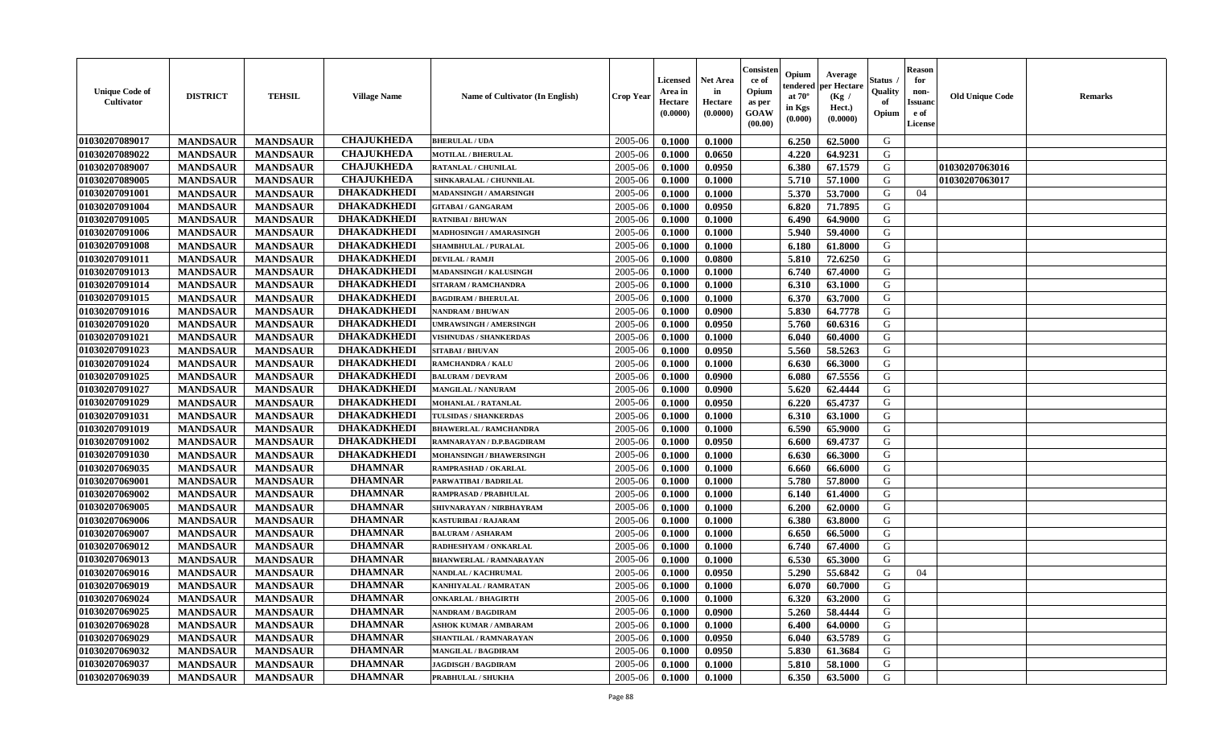| <b>Unique Code of</b><br><b>Cultivator</b> | <b>DISTRICT</b> | <b>TEHSIL</b>   | <b>Village Name</b> | Name of Cultivator (In English) | <b>Crop Year</b> | <b>Licensed</b><br>Area in<br>Hectare<br>(0.0000) | <b>Net Area</b><br>in<br>Hectare<br>(0.0000) | Consisteı<br>ce of<br>Opium<br>as per<br><b>GOAW</b><br>(00.00) | Opium<br>endered<br>at $70^\circ$<br>in Kgs<br>$(\mathbf{0.000})$ | Average<br>per Hectare<br>(Kg /<br>Hect.)<br>(0.0000) | Status<br>Quality<br>of<br>Opium | Reason<br>for<br>non-<br>Issuan<br>e of<br>License | <b>Old Unique Code</b> | <b>Remarks</b> |
|--------------------------------------------|-----------------|-----------------|---------------------|---------------------------------|------------------|---------------------------------------------------|----------------------------------------------|-----------------------------------------------------------------|-------------------------------------------------------------------|-------------------------------------------------------|----------------------------------|----------------------------------------------------|------------------------|----------------|
| 01030207089017                             | <b>MANDSAUR</b> | <b>MANDSAUR</b> | <b>CHAJUKHEDA</b>   | <b>BHERULAL / UDA</b>           | 2005-06          | 0.1000                                            | 0.1000                                       |                                                                 | 6.250                                                             | 62.5000                                               | G                                |                                                    |                        |                |
| 01030207089022                             | <b>MANDSAUR</b> | <b>MANDSAUR</b> | <b>CHAJUKHEDA</b>   | <b>MOTILAL / BHERULAL</b>       | 2005-06          | 0.1000                                            | 0.0650                                       |                                                                 | 4.220                                                             | 64.9231                                               | G                                |                                                    |                        |                |
| 01030207089007                             | <b>MANDSAUR</b> | <b>MANDSAUR</b> | <b>CHAJUKHEDA</b>   | <b>RATANLAL / CHUNILAL</b>      | 2005-06          | 0.1000                                            | 0.0950                                       |                                                                 | 6.380                                                             | 67.1579                                               | G                                |                                                    | 01030207063016         |                |
| 01030207089005                             | <b>MANDSAUR</b> | <b>MANDSAUR</b> | <b>CHAJUKHEDA</b>   | SHNKARALAL / CHUNNILAL          | 2005-06          | 0.1000                                            | 0.1000                                       |                                                                 | 5.710                                                             | 57.1000                                               | G                                |                                                    | 01030207063017         |                |
| 01030207091001                             | <b>MANDSAUR</b> | <b>MANDSAUR</b> | <b>DHAKADKHEDI</b>  | <b>MADANSINGH / AMARSINGH</b>   | 2005-06          | 0.1000                                            | 0.1000                                       |                                                                 | 5.370                                                             | 53.7000                                               | G                                | 04                                                 |                        |                |
| 01030207091004                             | <b>MANDSAUR</b> | <b>MANDSAUR</b> | <b>DHAKADKHEDI</b>  | <b>GITABAI/ GANGARAM</b>        | 2005-06          | 0.1000                                            | 0.0950                                       |                                                                 | 6.820                                                             | 71.7895                                               | G                                |                                                    |                        |                |
| 01030207091005                             | <b>MANDSAUR</b> | <b>MANDSAUR</b> | <b>DHAKADKHEDI</b>  | <b>RATNIBAI / BHUWAN</b>        | 2005-06          | 0.1000                                            | 0.1000                                       |                                                                 | 6.490                                                             | 64.9000                                               | G                                |                                                    |                        |                |
| 01030207091006                             | <b>MANDSAUR</b> | <b>MANDSAUR</b> | <b>DHAKADKHEDI</b>  | MADHOSINGH / AMARASINGH         | 2005-06          | 0.1000                                            | 0.1000                                       |                                                                 | 5.940                                                             | 59.4000                                               | G                                |                                                    |                        |                |
| 01030207091008                             | <b>MANDSAUR</b> | <b>MANDSAUR</b> | <b>DHAKADKHEDI</b>  | <b>SHAMBHULAL / PURALAL</b>     | 2005-06          | 0.1000                                            | 0.1000                                       |                                                                 | 6.180                                                             | 61.8000                                               | G                                |                                                    |                        |                |
| 01030207091011                             | <b>MANDSAUR</b> | <b>MANDSAUR</b> | <b>DHAKADKHEDI</b>  | <b>DEVILAL / RAMJI</b>          | 2005-06          | 0.1000                                            | 0.0800                                       |                                                                 | 5.810                                                             | 72.6250                                               | G                                |                                                    |                        |                |
| 01030207091013                             | <b>MANDSAUR</b> | <b>MANDSAUR</b> | <b>DHAKADKHEDI</b>  | MADANSINGH / KALUSINGH          | 2005-06          | 0.1000                                            | 0.1000                                       |                                                                 | 6.740                                                             | 67.4000                                               | G                                |                                                    |                        |                |
| 01030207091014                             | <b>MANDSAUR</b> | <b>MANDSAUR</b> | <b>DHAKADKHEDI</b>  | SITARAM / RAMCHANDRA            | 2005-06          | 0.1000                                            | 0.1000                                       |                                                                 | 6.310                                                             | 63.1000                                               | G                                |                                                    |                        |                |
| 01030207091015                             | <b>MANDSAUR</b> | <b>MANDSAUR</b> | <b>DHAKADKHEDI</b>  | <b>BAGDIRAM / BHERULAL</b>      | 2005-06          | 0.1000                                            | 0.1000                                       |                                                                 | 6.370                                                             | 63.7000                                               | G                                |                                                    |                        |                |
| 01030207091016                             | <b>MANDSAUR</b> | <b>MANDSAUR</b> | <b>DHAKADKHEDI</b>  | NANDRAM / BHUWAN                | 2005-06          | 0.1000                                            | 0.0900                                       |                                                                 | 5.830                                                             | 64.7778                                               | G                                |                                                    |                        |                |
| 01030207091020                             | <b>MANDSAUR</b> | <b>MANDSAUR</b> | <b>DHAKADKHEDI</b>  | UMRAWSINGH / AMERSINGH          | 2005-06          | 0.1000                                            | 0.0950                                       |                                                                 | 5.760                                                             | 60.6316                                               | G                                |                                                    |                        |                |
| 01030207091021                             | <b>MANDSAUR</b> | <b>MANDSAUR</b> | <b>DHAKADKHEDI</b>  | <b>VISHNUDAS / SHANKERDAS</b>   | 2005-06          | 0.1000                                            | 0.1000                                       |                                                                 | 6.040                                                             | 60.4000                                               | G                                |                                                    |                        |                |
| 01030207091023                             | <b>MANDSAUR</b> | <b>MANDSAUR</b> | <b>DHAKADKHEDI</b>  | <b>SITABAI/BHUVAN</b>           | 2005-06          | 0.1000                                            | 0.0950                                       |                                                                 | 5.560                                                             | 58.5263                                               | G                                |                                                    |                        |                |
| 01030207091024                             | <b>MANDSAUR</b> | <b>MANDSAUR</b> | <b>DHAKADKHEDI</b>  | <b>RAMCHANDRA / KALU</b>        | 2005-06          | 0.1000                                            | 0.1000                                       |                                                                 | 6.630                                                             | 66.3000                                               | G                                |                                                    |                        |                |
| 01030207091025                             | <b>MANDSAUR</b> | <b>MANDSAUR</b> | <b>DHAKADKHEDI</b>  | <b>BALURAM / DEVRAM</b>         | 2005-06          | 0.1000                                            | 0.0900                                       |                                                                 | 6.080                                                             | 67.5556                                               | G                                |                                                    |                        |                |
| 01030207091027                             | <b>MANDSAUR</b> | <b>MANDSAUR</b> | <b>DHAKADKHEDI</b>  | <b>MANGILAL / NANURAM</b>       | 2005-06          | 0.1000                                            | 0.0900                                       |                                                                 | 5.620                                                             | 62.4444                                               | G                                |                                                    |                        |                |
| 01030207091029                             | <b>MANDSAUR</b> | <b>MANDSAUR</b> | <b>DHAKADKHEDI</b>  | MOHANLAL / RATANLAL             | 2005-06          | 0.1000                                            | 0.0950                                       |                                                                 | 6.220                                                             | 65.4737                                               | G                                |                                                    |                        |                |
| 01030207091031                             | <b>MANDSAUR</b> | <b>MANDSAUR</b> | <b>DHAKADKHEDI</b>  | TULSIDAS / SHANKERDAS           | 2005-06          | 0.1000                                            | 0.1000                                       |                                                                 | 6.310                                                             | 63.1000                                               | G                                |                                                    |                        |                |
| 01030207091019                             | <b>MANDSAUR</b> | <b>MANDSAUR</b> | <b>DHAKADKHEDI</b>  | <b>BHAWERLAL / RAMCHANDRA</b>   | 2005-06          | 0.1000                                            | 0.1000                                       |                                                                 | 6.590                                                             | 65.9000                                               | G                                |                                                    |                        |                |
| 01030207091002                             | <b>MANDSAUR</b> | <b>MANDSAUR</b> | <b>DHAKADKHEDI</b>  | RAMNARAYAN / D.P.BAGDIRAM       | 2005-06          | 0.1000                                            | 0.0950                                       |                                                                 | 6.600                                                             | 69.4737                                               | G                                |                                                    |                        |                |
| 01030207091030                             | <b>MANDSAUR</b> | <b>MANDSAUR</b> | <b>DHAKADKHEDI</b>  | <b>MOHANSINGH / BHAWERSINGH</b> | 2005-06          | 0.1000                                            | 0.1000                                       |                                                                 | 6.630                                                             | 66.3000                                               | G                                |                                                    |                        |                |
| 01030207069035                             | <b>MANDSAUR</b> | <b>MANDSAUR</b> | <b>DHAMNAR</b>      | RAMPRASHAD / OKARLAL            | 2005-06          | 0.1000                                            | 0.1000                                       |                                                                 | 6.660                                                             | 66.6000                                               | G                                |                                                    |                        |                |
| 01030207069001                             | <b>MANDSAUR</b> | <b>MANDSAUR</b> | <b>DHAMNAR</b>      | PARWATIBAI / BADRILAL           | 2005-06          | 0.1000                                            | 0.1000                                       |                                                                 | 5.780                                                             | 57.8000                                               | G                                |                                                    |                        |                |
| 01030207069002                             | <b>MANDSAUR</b> | <b>MANDSAUR</b> | <b>DHAMNAR</b>      | RAMPRASAD / PRABHULAL           | 2005-06          | 0.1000                                            | 0.1000                                       |                                                                 | 6.140                                                             | 61.4000                                               | G                                |                                                    |                        |                |
| 01030207069005                             | <b>MANDSAUR</b> | <b>MANDSAUR</b> | <b>DHAMNAR</b>      | SHIVNARAYAN / NIRBHAYRAM        | 2005-06          | 0.1000                                            | 0.1000                                       |                                                                 | 6.200                                                             | 62.0000                                               | G                                |                                                    |                        |                |
| 01030207069006                             | <b>MANDSAUR</b> | <b>MANDSAUR</b> | <b>DHAMNAR</b>      | <b>KASTURIBAI / RAJARAM</b>     | 2005-06          | 0.1000                                            | 0.1000                                       |                                                                 | 6.380                                                             | 63.8000                                               | G                                |                                                    |                        |                |
| 01030207069007                             | <b>MANDSAUR</b> | <b>MANDSAUR</b> | <b>DHAMNAR</b>      | <b>BALURAM / ASHARAM</b>        | 2005-06          | 0.1000                                            | 0.1000                                       |                                                                 | 6.650                                                             | 66.5000                                               | G                                |                                                    |                        |                |
| 01030207069012                             | <b>MANDSAUR</b> | <b>MANDSAUR</b> | <b>DHAMNAR</b>      | RADHESHYAM / ONKARLAL           | 2005-06          | 0.1000                                            | 0.1000                                       |                                                                 | 6.740                                                             | 67.4000                                               | G                                |                                                    |                        |                |
| 01030207069013                             | <b>MANDSAUR</b> | <b>MANDSAUR</b> | <b>DHAMNAR</b>      | <b>BHANWERLAL / RAMNARAYAN</b>  | 2005-06          | 0.1000                                            | 0.1000                                       |                                                                 | 6.530                                                             | 65.3000                                               | G                                |                                                    |                        |                |
| 01030207069016                             | <b>MANDSAUR</b> | <b>MANDSAUR</b> | <b>DHAMNAR</b>      | NANDLAL / KACHRUMAL             | 2005-06          | 0.1000                                            | 0.0950                                       |                                                                 | 5.290                                                             | 55.6842                                               | G                                | 04                                                 |                        |                |
| 01030207069019                             | <b>MANDSAUR</b> | <b>MANDSAUR</b> | <b>DHAMNAR</b>      | KANHIYALAL / RAMRATAN           | 2005-06          | 0.1000                                            | 0.1000                                       |                                                                 | 6.070                                                             | 60.7000                                               | G                                |                                                    |                        |                |
| 01030207069024                             | <b>MANDSAUR</b> | <b>MANDSAUR</b> | DHAMNAR             | <b>ONKARLAL / BHAGIRTH</b>      | $2005 - 06$      | 0.1000                                            | 0.1000                                       |                                                                 | 6.320                                                             | 63.2000                                               | G                                |                                                    |                        |                |
| 01030207069025                             | <b>MANDSAUR</b> | <b>MANDSAUR</b> | <b>DHAMNAR</b>      | NANDRAM / BAGDIRAM              | 2005-06          | 0.1000                                            | 0.0900                                       |                                                                 | 5.260                                                             | 58.4444                                               | G                                |                                                    |                        |                |
| 01030207069028                             | <b>MANDSAUR</b> | <b>MANDSAUR</b> | <b>DHAMNAR</b>      | <b>ASHOK KUMAR / AMBARAM</b>    | 2005-06          | 0.1000                                            | 0.1000                                       |                                                                 | 6.400                                                             | 64.0000                                               | G                                |                                                    |                        |                |
| 01030207069029                             | <b>MANDSAUR</b> | <b>MANDSAUR</b> | <b>DHAMNAR</b>      | SHANTILAL / RAMNARAYAN          | 2005-06          | 0.1000                                            | 0.0950                                       |                                                                 | 6.040                                                             | 63.5789                                               | G                                |                                                    |                        |                |
| 01030207069032                             | <b>MANDSAUR</b> | <b>MANDSAUR</b> | <b>DHAMNAR</b>      | <b>MANGILAL / BAGDIRAM</b>      | 2005-06          | 0.1000                                            | 0.0950                                       |                                                                 | 5.830                                                             | 61.3684                                               | G                                |                                                    |                        |                |
| 01030207069037                             | <b>MANDSAUR</b> | <b>MANDSAUR</b> | <b>DHAMNAR</b>      | <b>JAGDISGH / BAGDIRAM</b>      | 2005-06          | 0.1000                                            | 0.1000                                       |                                                                 | 5.810                                                             | 58.1000                                               | G                                |                                                    |                        |                |
| 01030207069039                             | <b>MANDSAUR</b> | <b>MANDSAUR</b> | <b>DHAMNAR</b>      | PRABHULAL / SHUKHA              | 2005-06          | 0.1000                                            | 0.1000                                       |                                                                 | 6.350                                                             | 63.5000                                               | G                                |                                                    |                        |                |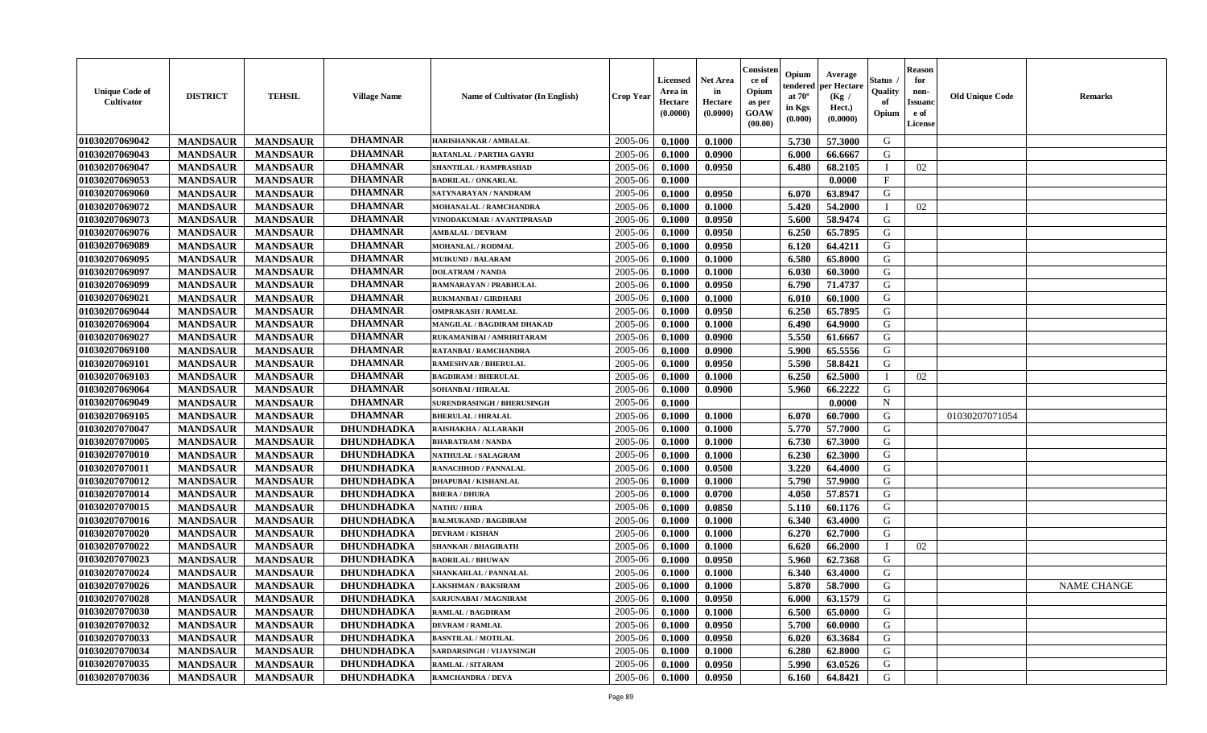| <b>Unique Code of</b><br>Cultivator | <b>DISTRICT</b> | <b>TEHSIL</b>   | <b>Village Name</b> | <b>Name of Cultivator (In English)</b> | <b>Crop Year</b> | <b>Licensed</b><br>Area in<br>Hectare<br>(0.0000) | <b>Net Area</b><br>in<br>Hectare<br>(0.0000) | Consister<br>ce of<br>Opium<br>as per<br><b>GOAW</b><br>(00.00) | Opium<br>endered<br>at $70^{\circ}$<br>in Kgs<br>$(\mathbf{0.000})$ | Average<br>per Hectare<br>(Kg /<br>Hect.)<br>(0.0000) | Status<br>Quality<br>of<br>Opium | <b>Reason</b><br>for<br>non-<br><b>Issuanc</b><br>e of<br>License | <b>Old Unique Code</b> | <b>Remarks</b>     |
|-------------------------------------|-----------------|-----------------|---------------------|----------------------------------------|------------------|---------------------------------------------------|----------------------------------------------|-----------------------------------------------------------------|---------------------------------------------------------------------|-------------------------------------------------------|----------------------------------|-------------------------------------------------------------------|------------------------|--------------------|
| 01030207069042                      | <b>MANDSAUR</b> | <b>MANDSAUR</b> | <b>DHAMNAR</b>      | HARISHANKAR / AMBALAL                  | 2005-06          | 0.1000                                            | 0.1000                                       |                                                                 | 5.730                                                               | 57.3000                                               | G                                |                                                                   |                        |                    |
| 01030207069043                      | <b>MANDSAUR</b> | <b>MANDSAUR</b> | <b>DHAMNAR</b>      | RATANLAL / PARTHA GAYRI                | 2005-06          | 0.1000                                            | 0.0900                                       |                                                                 | 6.000                                                               | 66.6667                                               | G                                |                                                                   |                        |                    |
| 01030207069047                      | <b>MANDSAUR</b> | <b>MANDSAUR</b> | <b>DHAMNAR</b>      | SHANTILAL / RAMPRASHAD                 | 2005-06          | 0.1000                                            | 0.0950                                       |                                                                 | 6.480                                                               | 68.2105                                               |                                  | 02                                                                |                        |                    |
| 01030207069053                      | <b>MANDSAUR</b> | <b>MANDSAUR</b> | <b>DHAMNAR</b>      | <b>BADRILAL / ONKARLAL</b>             | 2005-06          | 0.1000                                            |                                              |                                                                 |                                                                     | 0.0000                                                | $\mathbf{F}$                     |                                                                   |                        |                    |
| 01030207069060                      | <b>MANDSAUR</b> | <b>MANDSAUR</b> | <b>DHAMNAR</b>      | SATYNARAYAN / NANDRAM                  | 2005-06          | 0.1000                                            | 0.0950                                       |                                                                 | 6.070                                                               | 63.8947                                               | G                                |                                                                   |                        |                    |
| 01030207069072                      | <b>MANDSAUR</b> | <b>MANDSAUR</b> | <b>DHAMNAR</b>      | MOHANALAL / RAMCHANDRA                 | 2005-06          | 0.1000                                            | 0.1000                                       |                                                                 | 5.420                                                               | 54.2000                                               |                                  | 02                                                                |                        |                    |
| 01030207069073                      | <b>MANDSAUR</b> | <b>MANDSAUR</b> | <b>DHAMNAR</b>      | VINODAKUMAR / AVANTIPRASAD             | 2005-06          | 0.1000                                            | 0.0950                                       |                                                                 | 5.600                                                               | 58.9474                                               | G                                |                                                                   |                        |                    |
| 01030207069076                      | <b>MANDSAUR</b> | <b>MANDSAUR</b> | <b>DHAMNAR</b>      | <b>AMBALAL / DEVRAM</b>                | 2005-06          | 0.1000                                            | 0.0950                                       |                                                                 | 6.250                                                               | 65.7895                                               | G                                |                                                                   |                        |                    |
| 01030207069089                      | <b>MANDSAUR</b> | <b>MANDSAUR</b> | <b>DHAMNAR</b>      | <b>MOHANLAL / RODMAL</b>               | 2005-06          | 0.1000                                            | 0.0950                                       |                                                                 | 6.120                                                               | 64.4211                                               | G                                |                                                                   |                        |                    |
| 01030207069095                      | <b>MANDSAUR</b> | <b>MANDSAUR</b> | <b>DHAMNAR</b>      | <b>MUIKUND / BALARAM</b>               | 2005-06          | 0.1000                                            | 0.1000                                       |                                                                 | 6.580                                                               | 65.8000                                               | G                                |                                                                   |                        |                    |
| 01030207069097                      | <b>MANDSAUR</b> | <b>MANDSAUR</b> | <b>DHAMNAR</b>      | <b>DOLATRAM / NANDA</b>                | 2005-06          | 0.1000                                            | 0.1000                                       |                                                                 | 6.030                                                               | 60.3000                                               | G                                |                                                                   |                        |                    |
| 01030207069099                      | <b>MANDSAUR</b> | <b>MANDSAUR</b> | <b>DHAMNAR</b>      | RAMNARAYAN / PRABHULAL                 | 2005-06          | 0.1000                                            | 0.0950                                       |                                                                 | 6.790                                                               | 71,4737                                               | G                                |                                                                   |                        |                    |
| 01030207069021                      | <b>MANDSAUR</b> | <b>MANDSAUR</b> | <b>DHAMNAR</b>      | <b>RUKMANBAI/GIRDHARI</b>              | 2005-06          | 0.1000                                            | 0.1000                                       |                                                                 | 6.010                                                               | 60.1000                                               | G                                |                                                                   |                        |                    |
| 01030207069044                      | <b>MANDSAUR</b> | <b>MANDSAUR</b> | <b>DHAMNAR</b>      | <b>OMPRAKASH / RAMLAL</b>              | 2005-06          | 0.1000                                            | 0.0950                                       |                                                                 | 6.250                                                               | 65.7895                                               | G                                |                                                                   |                        |                    |
| 01030207069004                      | <b>MANDSAUR</b> | <b>MANDSAUR</b> | <b>DHAMNAR</b>      | MANGILAL / BAGDIRAM DHAKAD             | 2005-06          | 0.1000                                            | 0.1000                                       |                                                                 | 6.490                                                               | 64.9000                                               | G                                |                                                                   |                        |                    |
| 01030207069027                      | <b>MANDSAUR</b> | <b>MANDSAUR</b> | <b>DHAMNAR</b>      | RUKAMANIBAI / AMRIRITARAM              | 2005-06          | 0.1000                                            | 0.0900                                       |                                                                 | 5.550                                                               | 61.6667                                               | G                                |                                                                   |                        |                    |
| 01030207069100                      | <b>MANDSAUR</b> | <b>MANDSAUR</b> | <b>DHAMNAR</b>      | <b>RATANBAI/RAMCHANDRA</b>             | 2005-06          | 0.1000                                            | 0.0900                                       |                                                                 | 5.900                                                               | 65.5556                                               | G                                |                                                                   |                        |                    |
| 01030207069101                      | <b>MANDSAUR</b> | <b>MANDSAUR</b> | <b>DHAMNAR</b>      | <b>RAMESHVAR / BHERULAL</b>            | 2005-06          | 0.1000                                            | 0.0950                                       |                                                                 | 5.590                                                               | 58.8421                                               | G                                |                                                                   |                        |                    |
| 01030207069103                      | <b>MANDSAUR</b> | <b>MANDSAUR</b> | <b>DHAMNAR</b>      | <b>BAGDIRAM / BHERULAL</b>             | 2005-06          | 0.1000                                            | 0.1000                                       |                                                                 | 6.250                                                               | 62.5000                                               |                                  | 02                                                                |                        |                    |
| 01030207069064                      | <b>MANDSAUR</b> | <b>MANDSAUR</b> | <b>DHAMNAR</b>      | <b>SOHANBAI/HIRALAL</b>                | 2005-06          | 0.1000                                            | 0.0900                                       |                                                                 | 5.960                                                               | 66.2222                                               | G                                |                                                                   |                        |                    |
| 01030207069049                      | <b>MANDSAUR</b> | <b>MANDSAUR</b> | <b>DHAMNAR</b>      | <b>SURENDRASINGH / BHERUSINGH</b>      | 2005-06          | 0.1000                                            |                                              |                                                                 |                                                                     | 0.0000                                                | N                                |                                                                   |                        |                    |
| 01030207069105                      | <b>MANDSAUR</b> | <b>MANDSAUR</b> | <b>DHAMNAR</b>      | <b>BHERULAL / HIRALAL</b>              | 2005-06          | 0.1000                                            | 0.1000                                       |                                                                 | 6.070                                                               | 60.7000                                               | G                                |                                                                   | 01030207071054         |                    |
| 01030207070047                      | <b>MANDSAUR</b> | <b>MANDSAUR</b> | <b>DHUNDHADKA</b>   | RAISHAKHA / ALLARAKH                   | 2005-06          | 0.1000                                            | 0.1000                                       |                                                                 | 5.770                                                               | 57.7000                                               | G                                |                                                                   |                        |                    |
| 01030207070005                      | <b>MANDSAUR</b> | <b>MANDSAUR</b> | DHUNDHADKA          | <b>BHARATRAM / NANDA</b>               | 2005-06          | 0.1000                                            | 0.1000                                       |                                                                 | 6.730                                                               | 67.3000                                               | G                                |                                                                   |                        |                    |
| 01030207070010                      | <b>MANDSAUR</b> | <b>MANDSAUR</b> | <b>DHUNDHADKA</b>   | <b>NATHULAL / SALAGRAM</b>             | 2005-06          | 0.1000                                            | 0.1000                                       |                                                                 | 6.230                                                               | 62.3000                                               | G                                |                                                                   |                        |                    |
| 01030207070011                      | <b>MANDSAUR</b> | <b>MANDSAUR</b> | <b>DHUNDHADKA</b>   | <b>RANACHHOD / PANNALAL</b>            | 2005-06          | 0.1000                                            | 0.0500                                       |                                                                 | 3.220                                                               | 64.4000                                               | G                                |                                                                   |                        |                    |
| 01030207070012                      | <b>MANDSAUR</b> | <b>MANDSAUR</b> | <b>DHUNDHADKA</b>   | DHAPUBAI / KISHANLAL                   | 2005-06          | 0.1000                                            | 0.1000                                       |                                                                 | 5.790                                                               | 57.9000                                               | G                                |                                                                   |                        |                    |
| 01030207070014                      | <b>MANDSAUR</b> | <b>MANDSAUR</b> | <b>DHUNDHADKA</b>   | <b>BHERA / DHURA</b>                   | 2005-06          | 0.1000                                            | 0.0700                                       |                                                                 | 4.050                                                               | 57.8571                                               | G                                |                                                                   |                        |                    |
| 01030207070015                      | <b>MANDSAUR</b> | <b>MANDSAUR</b> | DHUNDHADKA          | <b>NATHU / HIRA</b>                    | 2005-06          | 0.1000                                            | 0.0850                                       |                                                                 | 5.110                                                               | 60.1176                                               | G                                |                                                                   |                        |                    |
| 01030207070016                      | <b>MANDSAUR</b> | <b>MANDSAUR</b> | <b>DHUNDHADKA</b>   | <b>BALMUKAND / BAGDIRAM</b>            | 2005-06          | 0.1000                                            | 0.1000                                       |                                                                 | 6.340                                                               | 63.4000                                               | G                                |                                                                   |                        |                    |
| 01030207070020                      | <b>MANDSAUR</b> | <b>MANDSAUR</b> | <b>DHUNDHADKA</b>   | <b>DEVRAM / KISHAN</b>                 | 2005-06          | 0.1000                                            | 0.1000                                       |                                                                 | 6.270                                                               | 62.7000                                               | G                                |                                                                   |                        |                    |
| 01030207070022                      | <b>MANDSAUR</b> | <b>MANDSAUR</b> | <b>DHUNDHADKA</b>   | <b>SHANKAR / BHAGIRATH</b>             | 2005-06          | 0.1000                                            | 0.1000                                       |                                                                 | 6.620                                                               | 66.2000                                               |                                  | 02                                                                |                        |                    |
| 01030207070023                      | <b>MANDSAUR</b> | <b>MANDSAUR</b> | <b>DHUNDHADKA</b>   | <b>BADRILAL / BHUWAN</b>               | 2005-06          | 0.1000                                            | 0.0950                                       |                                                                 | 5.960                                                               | 62.7368                                               | G                                |                                                                   |                        |                    |
| 01030207070024                      | <b>MANDSAUR</b> | <b>MANDSAUR</b> | <b>DHUNDHADKA</b>   | <b>SHANKARLAL / PANNALAL</b>           | 2005-06          | 0.1000                                            | 0.1000                                       |                                                                 | 6.340                                                               | 63.4000                                               | G                                |                                                                   |                        |                    |
| 01030207070026                      | <b>MANDSAUR</b> | <b>MANDSAUR</b> | <b>DHUNDHADKA</b>   | <b>LAKSHMAN / BAKSIRAM</b>             | 2005-06          | 0.1000                                            | 0.1000                                       |                                                                 | 5.870                                                               | 58.7000                                               | G                                |                                                                   |                        | <b>NAME CHANGE</b> |
| 01030207070028                      | <b>MANDSAUR</b> | MANDSAUR        | <b>DHUNDHADKA</b>   | SARJUNABAI / MAGNIRAM                  | $2005 - 06$      | 0.1000                                            | 0.0950                                       |                                                                 | $6.000$                                                             | 63.1579                                               | G                                |                                                                   |                        |                    |
| 01030207070030                      | <b>MANDSAUR</b> | <b>MANDSAUR</b> | <b>DHUNDHADKA</b>   | <b>RAMLAL / BAGDIRAM</b>               | 2005-06          | 0.1000                                            | 0.1000                                       |                                                                 | 6.500                                                               | 65.0000                                               | G                                |                                                                   |                        |                    |
| 01030207070032                      | <b>MANDSAUR</b> | <b>MANDSAUR</b> | <b>DHUNDHADKA</b>   | <b>DEVRAM / RAMLAL</b>                 | 2005-06          | 0.1000                                            | 0.0950                                       |                                                                 | 5.700                                                               | 60.0000                                               | G                                |                                                                   |                        |                    |
| 01030207070033                      | <b>MANDSAUR</b> | <b>MANDSAUR</b> | <b>DHUNDHADKA</b>   | <b>BASNTILAL / MOTILAL</b>             | 2005-06          | 0.1000                                            | 0.0950                                       |                                                                 | 6.020                                                               | 63.3684                                               | G                                |                                                                   |                        |                    |
| 01030207070034                      | <b>MANDSAUR</b> | <b>MANDSAUR</b> | DHUNDHADKA          | SARDARSINGH / VIJAYSINGH               | 2005-06          | 0.1000                                            | 0.1000                                       |                                                                 | 6.280                                                               | 62.8000                                               | G                                |                                                                   |                        |                    |
| 01030207070035                      | <b>MANDSAUR</b> | <b>MANDSAUR</b> | <b>DHUNDHADKA</b>   | <b>RAMLAL / SITARAM</b>                | 2005-06          | 0.1000                                            | 0.0950                                       |                                                                 | 5.990                                                               | 63.0526                                               | G                                |                                                                   |                        |                    |
| 01030207070036                      | <b>MANDSAUR</b> | <b>MANDSAUR</b> | <b>DHUNDHADKA</b>   | <b>RAMCHANDRA / DEVA</b>               | 2005-06          | 0.1000                                            | 0.0950                                       |                                                                 | 6.160                                                               | 64.8421                                               | G                                |                                                                   |                        |                    |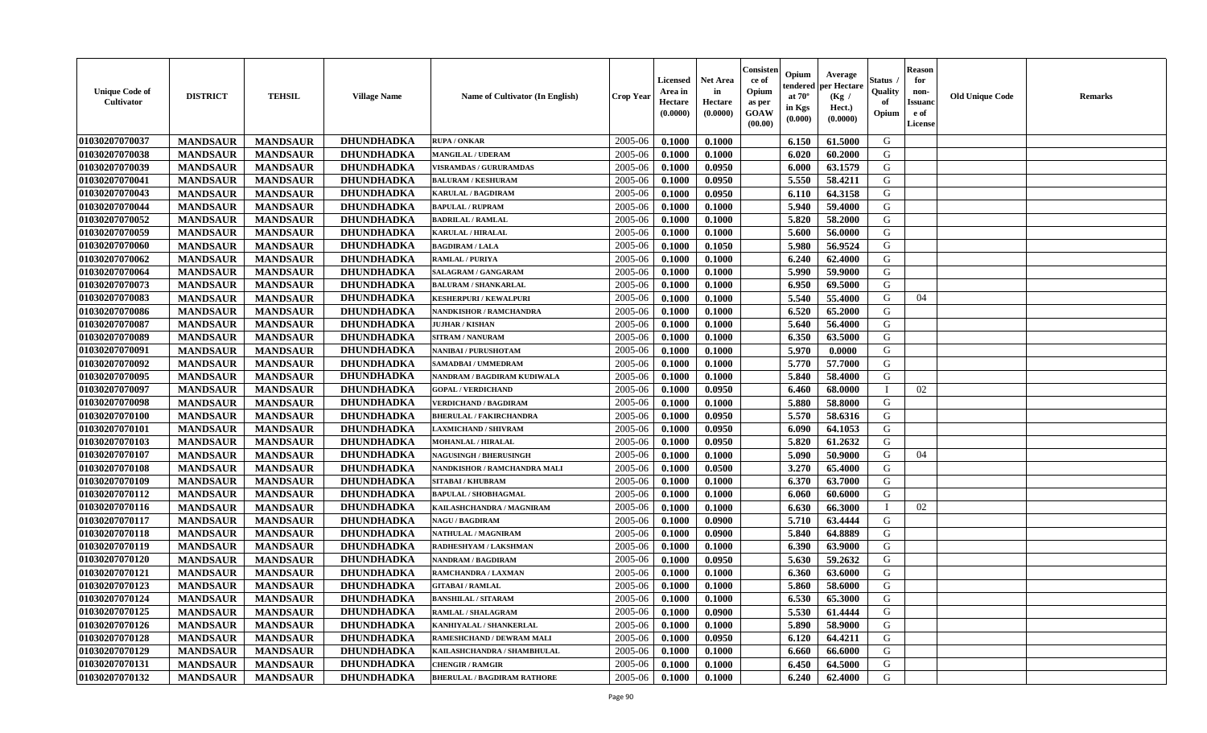| <b>Unique Code of</b><br><b>Cultivator</b> | <b>DISTRICT</b> | <b>TEHSIL</b>   | <b>Village Name</b> | Name of Cultivator (In English)    | <b>Crop Year</b> | <b>Licensed</b><br>Area in<br>Hectare<br>(0.0000) | <b>Net Area</b><br>in<br>Hectare<br>(0.0000) | Consisteı<br>ce of<br>Opium<br>as per<br><b>GOAW</b><br>(00.00) | Opium<br>endered<br>at $70^\circ$<br>in Kgs<br>$(\mathbf{0.000})$ | Average<br>per Hectare<br>(Kg /<br>Hect.)<br>(0.0000) | Status<br>Quality<br>of<br>Opium | Reason<br>for<br>non-<br>Issuan<br>e of<br>License | <b>Old Unique Code</b> | <b>Remarks</b> |
|--------------------------------------------|-----------------|-----------------|---------------------|------------------------------------|------------------|---------------------------------------------------|----------------------------------------------|-----------------------------------------------------------------|-------------------------------------------------------------------|-------------------------------------------------------|----------------------------------|----------------------------------------------------|------------------------|----------------|
| 01030207070037                             | <b>MANDSAUR</b> | <b>MANDSAUR</b> | <b>DHUNDHADKA</b>   | <b>RUPA / ONKAR</b>                | 2005-06          | 0.1000                                            | 0.1000                                       |                                                                 | 6.150                                                             | 61.5000                                               | G                                |                                                    |                        |                |
| 01030207070038                             | <b>MANDSAUR</b> | <b>MANDSAUR</b> | <b>DHUNDHADKA</b>   | <b>MANGILAL / UDERAM</b>           | 2005-06          | 0.1000                                            | 0.1000                                       |                                                                 | 6.020                                                             | 60.2000                                               | G                                |                                                    |                        |                |
| 01030207070039                             | <b>MANDSAUR</b> | <b>MANDSAUR</b> | <b>DHUNDHADKA</b>   | <b>VISRAMDAS / GURURAMDAS</b>      | 2005-06          | 0.1000                                            | 0.0950                                       |                                                                 | 6.000                                                             | 63.1579                                               | G                                |                                                    |                        |                |
| 01030207070041                             | <b>MANDSAUR</b> | <b>MANDSAUR</b> | <b>DHUNDHADKA</b>   | <b>BALURAM / KESHURAM</b>          | 2005-06          | 0.1000                                            | 0.0950                                       |                                                                 | 5.550                                                             | 58.4211                                               | G                                |                                                    |                        |                |
| 01030207070043                             | <b>MANDSAUR</b> | <b>MANDSAUR</b> | <b>DHUNDHADKA</b>   | <b>KARULAL / BAGDIRAM</b>          | 2005-06          | 0.1000                                            | 0.0950                                       |                                                                 | 6.110                                                             | 64.3158                                               | G                                |                                                    |                        |                |
| 01030207070044                             | <b>MANDSAUR</b> | <b>MANDSAUR</b> | <b>DHUNDHADKA</b>   | <b>BAPULAL / RUPRAM</b>            | 2005-06          | 0.1000                                            | 0.1000                                       |                                                                 | 5.940                                                             | 59.4000                                               | G                                |                                                    |                        |                |
| 01030207070052                             | <b>MANDSAUR</b> | <b>MANDSAUR</b> | <b>DHUNDHADKA</b>   | <b>BADRILAL / RAMLAL</b>           | 2005-06          | 0.1000                                            | 0.1000                                       |                                                                 | 5.820                                                             | 58.2000                                               | G                                |                                                    |                        |                |
| 01030207070059                             | <b>MANDSAUR</b> | <b>MANDSAUR</b> | <b>DHUNDHADKA</b>   | <b>KARULAL / HIRALAL</b>           | 2005-06          | 0.1000                                            | 0.1000                                       |                                                                 | 5.600                                                             | 56.0000                                               | G                                |                                                    |                        |                |
| 01030207070060                             | <b>MANDSAUR</b> | <b>MANDSAUR</b> | <b>DHUNDHADKA</b>   | <b>BAGDIRAM / LALA</b>             | 2005-06          | 0.1000                                            | 0.1050                                       |                                                                 | 5.980                                                             | 56.9524                                               | G                                |                                                    |                        |                |
| 01030207070062                             | <b>MANDSAUR</b> | <b>MANDSAUR</b> | <b>DHUNDHADKA</b>   | <b>RAMLAL / PURIYA</b>             | 2005-06          | 0.1000                                            | 0.1000                                       |                                                                 | 6.240                                                             | 62.4000                                               | G                                |                                                    |                        |                |
| 01030207070064                             | <b>MANDSAUR</b> | <b>MANDSAUR</b> | <b>DHUNDHADKA</b>   | SALAGRAM / GANGARAM                | 2005-06          | 0.1000                                            | 0.1000                                       |                                                                 | 5.990                                                             | 59.9000                                               | G                                |                                                    |                        |                |
| 01030207070073                             | <b>MANDSAUR</b> | <b>MANDSAUR</b> | <b>DHUNDHADKA</b>   | <b>BALURAM / SHANKARLAL</b>        | 2005-06          | 0.1000                                            | 0.1000                                       |                                                                 | 6.950                                                             | 69.5000                                               | G                                |                                                    |                        |                |
| 01030207070083                             | <b>MANDSAUR</b> | <b>MANDSAUR</b> | <b>DHUNDHADKA</b>   | <b>KESHERPURI / KEWALPURI</b>      | 2005-06          | 0.1000                                            | 0.1000                                       |                                                                 | 5.540                                                             | 55.4000                                               | G                                | 04                                                 |                        |                |
| 01030207070086                             | <b>MANDSAUR</b> | <b>MANDSAUR</b> | <b>DHUNDHADKA</b>   | NANDKISHOR / RAMCHANDRA            | 2005-06          | 0.1000                                            | 0.1000                                       |                                                                 | 6.520                                                             | 65.2000                                               | G                                |                                                    |                        |                |
| 01030207070087                             | <b>MANDSAUR</b> | <b>MANDSAUR</b> | <b>DHUNDHADKA</b>   | <b>JUJHAR / KISHAN</b>             | 2005-06          | 0.1000                                            | 0.1000                                       |                                                                 | 5.640                                                             | 56.4000                                               | G                                |                                                    |                        |                |
| 01030207070089                             | <b>MANDSAUR</b> | <b>MANDSAUR</b> | DHUNDHADKA          | <b>SITRAM / NANURAM</b>            | 2005-06          | 0.1000                                            | 0.1000                                       |                                                                 | 6.350                                                             | 63.5000                                               | G                                |                                                    |                        |                |
| 01030207070091                             | <b>MANDSAUR</b> | <b>MANDSAUR</b> | <b>DHUNDHADKA</b>   | NANIBAI / PURUSHOTAM               | 2005-06          | 0.1000                                            | 0.1000                                       |                                                                 | 5.970                                                             | 0.0000                                                | G                                |                                                    |                        |                |
| 01030207070092                             | <b>MANDSAUR</b> | <b>MANDSAUR</b> | <b>DHUNDHADKA</b>   | SAMADBAI / UMMEDRAM                | 2005-06          | 0.1000                                            | 0.1000                                       |                                                                 | 5.770                                                             | 57.7000                                               | G                                |                                                    |                        |                |
| 01030207070095                             | <b>MANDSAUR</b> | <b>MANDSAUR</b> | <b>DHUNDHADKA</b>   | NANDRAM / BAGDIRAM KUDIWALA        | 2005-06          | 0.1000                                            | 0.1000                                       |                                                                 | 5.840                                                             | 58.4000                                               | G                                |                                                    |                        |                |
| 01030207070097                             | <b>MANDSAUR</b> | <b>MANDSAUR</b> | <b>DHUNDHADKA</b>   | <b>GOPAL / VERDICHAND</b>          | 2005-06          | 0.1000                                            | 0.0950                                       |                                                                 | 6.460                                                             | 68.0000                                               |                                  | 02                                                 |                        |                |
| 01030207070098                             | <b>MANDSAUR</b> | <b>MANDSAUR</b> | <b>DHUNDHADKA</b>   | <b>VERDICHAND / BAGDIRAM</b>       | 2005-06          | 0.1000                                            | 0.1000                                       |                                                                 | 5.880                                                             | 58.8000                                               | G                                |                                                    |                        |                |
| 01030207070100                             | <b>MANDSAUR</b> | <b>MANDSAUR</b> | <b>DHUNDHADKA</b>   | <b>BHERULAL / FAKIRCHANDRA</b>     | 2005-06          | 0.1000                                            | 0.0950                                       |                                                                 | 5.570                                                             | 58.6316                                               | G                                |                                                    |                        |                |
| 01030207070101                             | <b>MANDSAUR</b> | <b>MANDSAUR</b> | <b>DHUNDHADKA</b>   | <b>LAXMICHAND / SHIVRAM</b>        | 2005-06          | 0.1000                                            | 0.0950                                       |                                                                 | 6.090                                                             | 64.1053                                               | G                                |                                                    |                        |                |
| 01030207070103                             | <b>MANDSAUR</b> | <b>MANDSAUR</b> | DHUNDHADKA          | MOHANLAL / HIRALAL                 | 2005-06          | 0.1000                                            | 0.0950                                       |                                                                 | 5.820                                                             | 61.2632                                               | G                                |                                                    |                        |                |
| 01030207070107                             | <b>MANDSAUR</b> | <b>MANDSAUR</b> | <b>DHUNDHADKA</b>   | <b>NAGUSINGH / BHERUSINGH</b>      | 2005-06          | 0.1000                                            | 0.1000                                       |                                                                 | 5.090                                                             | 50.9000                                               | G                                | 04                                                 |                        |                |
| 01030207070108                             | <b>MANDSAUR</b> | <b>MANDSAUR</b> | <b>DHUNDHADKA</b>   | NANDKISHOR / RAMCHANDRA MALI       | 2005-06          | 0.1000                                            | 0.0500                                       |                                                                 | 3.270                                                             | 65.4000                                               | G                                |                                                    |                        |                |
| 01030207070109                             | <b>MANDSAUR</b> | <b>MANDSAUR</b> | <b>DHUNDHADKA</b>   | <b>SITABAI / KHUBRAM</b>           | 2005-06          | 0.1000                                            | 0.1000                                       |                                                                 | 6.370                                                             | 63.7000                                               | G                                |                                                    |                        |                |
| 01030207070112                             | <b>MANDSAUR</b> | <b>MANDSAUR</b> | <b>DHUNDHADKA</b>   | <b>BAPULAL / SHOBHAGMAL</b>        | 2005-06          | 0.1000                                            | 0.1000                                       |                                                                 | 6.060                                                             | 60.6000                                               | G                                |                                                    |                        |                |
| 01030207070116                             | <b>MANDSAUR</b> | <b>MANDSAUR</b> | DHUNDHADKA          | KAILASHCHANDRA / MAGNIRAM          | 2005-06          | 0.1000                                            | 0.1000                                       |                                                                 | 6.630                                                             | 66.3000                                               |                                  | 02                                                 |                        |                |
| 01030207070117                             | <b>MANDSAUR</b> | <b>MANDSAUR</b> | DHUNDHADKA          | <b>NAGU / BAGDIRAM</b>             | 2005-06          | 0.1000                                            | 0.0900                                       |                                                                 | 5.710                                                             | 63.4444                                               | G                                |                                                    |                        |                |
| 01030207070118                             | <b>MANDSAUR</b> | <b>MANDSAUR</b> | <b>DHUNDHADKA</b>   | NATHULAL / MAGNIRAM                | 2005-06          | 0.1000                                            | 0.0900                                       |                                                                 | 5.840                                                             | 64.8889                                               | G                                |                                                    |                        |                |
| 01030207070119                             | <b>MANDSAUR</b> | <b>MANDSAUR</b> | <b>DHUNDHADKA</b>   | RADHESHYAM / LAKSHMAN              | 2005-06          | 0.1000                                            | 0.1000                                       |                                                                 | 6.390                                                             | 63.9000                                               | G                                |                                                    |                        |                |
| 01030207070120                             | <b>MANDSAUR</b> | <b>MANDSAUR</b> | <b>DHUNDHADKA</b>   | NANDRAM / BAGDIRAM                 | 2005-06          | 0.1000                                            | 0.0950                                       |                                                                 | 5.630                                                             | 59.2632                                               | G                                |                                                    |                        |                |
| 01030207070121                             | <b>MANDSAUR</b> | <b>MANDSAUR</b> | <b>DHUNDHADKA</b>   | RAMCHANDRA / LAXMAN                | 2005-06          | 0.1000                                            | 0.1000                                       |                                                                 | 6.360                                                             | 63.6000                                               | G                                |                                                    |                        |                |
| 01030207070123                             | <b>MANDSAUR</b> | <b>MANDSAUR</b> | DHUNDHADKA          | <b>GITABAI/RAMLAL</b>              | 2005-06          | 0.1000                                            | 0.1000                                       |                                                                 | 5.860                                                             | 58.6000                                               | G                                |                                                    |                        |                |
| <b>01030207070124</b>                      | <b>MANDSAUR</b> | <b>MANDSAUR</b> | <b>DHUNDHADKA</b>   | <b>BANSHILAL / SITARAM</b>         | $2005 - 06$      | 0.1000                                            | 0.1000                                       |                                                                 | 6.530                                                             | 65.3000                                               | G                                |                                                    |                        |                |
| 01030207070125                             | <b>MANDSAUR</b> | <b>MANDSAUR</b> | <b>DHUNDHADKA</b>   | <b>RAMLAL / SHALAGRAM</b>          | 2005-06          | 0.1000                                            | 0.0900                                       |                                                                 | 5.530                                                             | 61.4444                                               | G                                |                                                    |                        |                |
| 01030207070126                             | <b>MANDSAUR</b> | <b>MANDSAUR</b> | <b>DHUNDHADKA</b>   | KANHIYALAL / SHANKERLAL            | 2005-06          | 0.1000                                            | 0.1000                                       |                                                                 | 5.890                                                             | 58.9000                                               | G                                |                                                    |                        |                |
| 01030207070128                             | <b>MANDSAUR</b> | <b>MANDSAUR</b> | <b>DHUNDHADKA</b>   | RAMESHCHAND / DEWRAM MALI          | 2005-06          | 0.1000                                            | 0.0950                                       |                                                                 | 6.120                                                             | 64.4211                                               | G                                |                                                    |                        |                |
| 01030207070129                             | <b>MANDSAUR</b> | <b>MANDSAUR</b> | <b>DHUNDHADKA</b>   | KAILASHCHANDRA / SHAMBHULAL        | 2005-06          | 0.1000                                            | 0.1000                                       |                                                                 | 6.660                                                             | 66.6000                                               | G                                |                                                    |                        |                |
| 01030207070131                             | <b>MANDSAUR</b> | <b>MANDSAUR</b> | <b>DHUNDHADKA</b>   | <b>CHENGIR / RAMGIR</b>            | 2005-06          | 0.1000                                            | 0.1000                                       |                                                                 | 6.450                                                             | 64.5000                                               | G                                |                                                    |                        |                |
| 01030207070132                             | <b>MANDSAUR</b> | <b>MANDSAUR</b> | <b>DHUNDHADKA</b>   | <b>BHERULAL / BAGDIRAM RATHORE</b> | 2005-06          | 0.1000                                            | 0.1000                                       |                                                                 | 6.240                                                             | 62.4000                                               | G                                |                                                    |                        |                |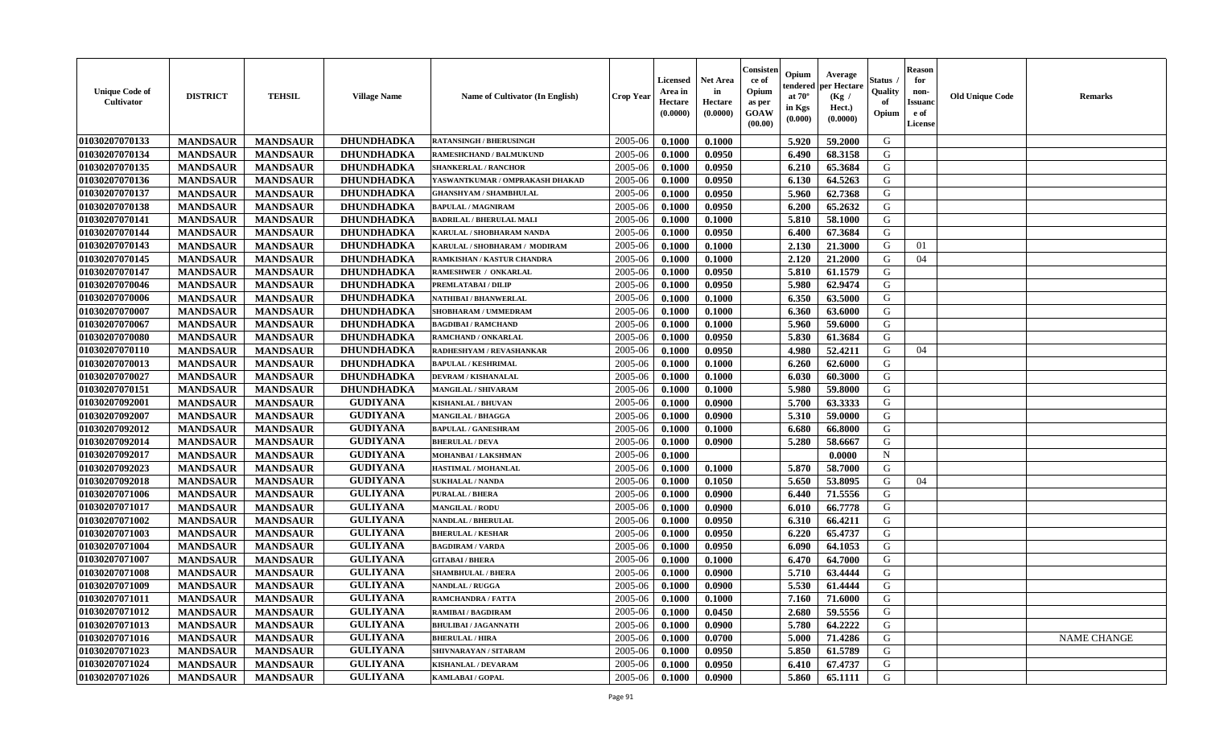| <b>Unique Code of</b><br>Cultivator | <b>DISTRICT</b> | <b>TEHSIL</b>   | <b>Village Name</b> | Name of Cultivator (In English) | <b>Crop Year</b> | <b>Licensed</b><br>Area in<br>Hectare<br>(0.0000) | <b>Net Area</b><br>in<br>Hectare<br>(0.0000) | Consister<br>ce of<br>Opium<br>as per<br><b>GOAW</b><br>(00.00) | Opium<br>endered<br>at $70^{\circ}$<br>in Kgs<br>$(\mathbf{0.000})$ | Average<br>per Hectare<br>(Kg /<br>Hect.)<br>(0.0000) | Status<br>Quality<br>of<br>Opium | <b>Reason</b><br>for<br>non-<br><b>Issuanc</b><br>e of<br>License | <b>Old Unique Code</b> | <b>Remarks</b>     |
|-------------------------------------|-----------------|-----------------|---------------------|---------------------------------|------------------|---------------------------------------------------|----------------------------------------------|-----------------------------------------------------------------|---------------------------------------------------------------------|-------------------------------------------------------|----------------------------------|-------------------------------------------------------------------|------------------------|--------------------|
| 01030207070133                      | <b>MANDSAUR</b> | <b>MANDSAUR</b> | DHUNDHADKA          | <b>RATANSINGH / BHERUSINGH</b>  | 2005-06          | 0.1000                                            | 0.1000                                       |                                                                 | 5.920                                                               | 59,2000                                               | G                                |                                                                   |                        |                    |
| 01030207070134                      | <b>MANDSAUR</b> | <b>MANDSAUR</b> | <b>DHUNDHADKA</b>   | RAMESHCHAND / BALMUKUND         | 2005-06          | 0.1000                                            | 0.0950                                       |                                                                 | 6.490                                                               | 68.3158                                               | G                                |                                                                   |                        |                    |
| 01030207070135                      | <b>MANDSAUR</b> | <b>MANDSAUR</b> | <b>DHUNDHADKA</b>   | <b>SHANKERLAL / RANCHOR</b>     | 2005-06          | 0.1000                                            | 0.0950                                       |                                                                 | 6.210                                                               | 65.3684                                               | G                                |                                                                   |                        |                    |
| 01030207070136                      | <b>MANDSAUR</b> | <b>MANDSAUR</b> | <b>DHUNDHADKA</b>   | YASWANTKUMAR / OMPRAKASH DHAKAD | 2005-06          | 0.1000                                            | 0.0950                                       |                                                                 | 6.130                                                               | 64.5263                                               | G                                |                                                                   |                        |                    |
| 01030207070137                      | <b>MANDSAUR</b> | <b>MANDSAUR</b> | <b>DHUNDHADKA</b>   | <b>GHANSHYAM / SHAMBHULAL</b>   | 2005-06          | 0.1000                                            | 0.0950                                       |                                                                 | 5.960                                                               | 62.7368                                               | G                                |                                                                   |                        |                    |
| 01030207070138                      | <b>MANDSAUR</b> | <b>MANDSAUR</b> | <b>DHUNDHADKA</b>   | <b>BAPULAL / MAGNIRAM</b>       | 2005-06          | 0.1000                                            | 0.0950                                       |                                                                 | 6.200                                                               | 65.2632                                               | G                                |                                                                   |                        |                    |
| 01030207070141                      | <b>MANDSAUR</b> | <b>MANDSAUR</b> | <b>DHUNDHADKA</b>   | <b>BADRILAL / BHERULAL MALI</b> | 2005-06          | 0.1000                                            | 0.1000                                       |                                                                 | 5.810                                                               | 58.1000                                               | G                                |                                                                   |                        |                    |
| 01030207070144                      | <b>MANDSAUR</b> | <b>MANDSAUR</b> | <b>DHUNDHADKA</b>   | KARULAL / SHOBHARAM NANDA       | 2005-06          | 0.1000                                            | 0.0950                                       |                                                                 | 6.400                                                               | 67.3684                                               | G                                |                                                                   |                        |                    |
| 01030207070143                      | <b>MANDSAUR</b> | <b>MANDSAUR</b> | <b>DHUNDHADKA</b>   | KARULAL / SHOBHARAM / MODIRAM   | 2005-06          | 0.1000                                            | 0.1000                                       |                                                                 | 2.130                                                               | 21.3000                                               | G                                | 01                                                                |                        |                    |
| 01030207070145                      | <b>MANDSAUR</b> | <b>MANDSAUR</b> | <b>DHUNDHADKA</b>   | RAMKISHAN / KASTUR CHANDRA      | 2005-06          | 0.1000                                            | 0.1000                                       |                                                                 | 2.120                                                               | 21.2000                                               | G                                | 04                                                                |                        |                    |
| 01030207070147                      | <b>MANDSAUR</b> | <b>MANDSAUR</b> | <b>DHUNDHADKA</b>   | RAMESHWER / ONKARLAL            | 2005-06          | 0.1000                                            | 0.0950                                       |                                                                 | 5.810                                                               | 61.1579                                               | G                                |                                                                   |                        |                    |
| 01030207070046                      | <b>MANDSAUR</b> | <b>MANDSAUR</b> | <b>DHUNDHADKA</b>   | PREMLATABAI / DILIP             | 2005-06          | 0.1000                                            | 0.0950                                       |                                                                 | 5.980                                                               | 62.9474                                               | G                                |                                                                   |                        |                    |
| 01030207070006                      | <b>MANDSAUR</b> | <b>MANDSAUR</b> | DHUNDHADKA          | NATHIBAI / BHANWERLAL           | 2005-06          | 0.1000                                            | 0.1000                                       |                                                                 | 6.350                                                               | 63.5000                                               | G                                |                                                                   |                        |                    |
| 01030207070007                      | <b>MANDSAUR</b> | <b>MANDSAUR</b> | <b>DHUNDHADKA</b>   | SHOBHARAM / UMMEDRAM            | 2005-06          | 0.1000                                            | 0.1000                                       |                                                                 | 6.360                                                               | 63.6000                                               | G                                |                                                                   |                        |                    |
| 01030207070067                      | <b>MANDSAUR</b> | <b>MANDSAUR</b> | <b>DHUNDHADKA</b>   | <b>BAGDIBAI / RAMCHAND</b>      | 2005-06          | 0.1000                                            | 0.1000                                       |                                                                 | 5.960                                                               | 59.6000                                               | G                                |                                                                   |                        |                    |
| 01030207070080                      | <b>MANDSAUR</b> | <b>MANDSAUR</b> | <b>DHUNDHADKA</b>   | RAMCHAND / ONKARLAL             | 2005-06          | 0.1000                                            | 0.0950                                       |                                                                 | 5.830                                                               | 61.3684                                               | G                                |                                                                   |                        |                    |
| 01030207070110                      | <b>MANDSAUR</b> | <b>MANDSAUR</b> | <b>DHUNDHADKA</b>   | RADHESHYAM / REVASHANKAR        | 2005-06          | 0.1000                                            | 0.0950                                       |                                                                 | 4.980                                                               | 52.4211                                               | G                                | 04                                                                |                        |                    |
| 01030207070013                      | <b>MANDSAUR</b> | <b>MANDSAUR</b> | <b>DHUNDHADKA</b>   | <b>BAPULAL / KESHRIMAL</b>      | 2005-06          | 0.1000                                            | 0.1000                                       |                                                                 | 6.260                                                               | 62.6000                                               | G                                |                                                                   |                        |                    |
| 01030207070027                      | <b>MANDSAUR</b> | <b>MANDSAUR</b> | <b>DHUNDHADKA</b>   | DEVRAM / KISHANALAL             | 2005-06          | 0.1000                                            | 0.1000                                       |                                                                 | 6.030                                                               | 60.3000                                               | G                                |                                                                   |                        |                    |
| 01030207070151                      | <b>MANDSAUR</b> | <b>MANDSAUR</b> | <b>DHUNDHADKA</b>   | MANGILAL / SHIVARAM             | 2005-06          | 0.1000                                            | 0.1000                                       |                                                                 | 5.980                                                               | 59.8000                                               | G                                |                                                                   |                        |                    |
| 01030207092001                      | <b>MANDSAUR</b> | <b>MANDSAUR</b> | <b>GUDIYANA</b>     | <b>KISHANLAL / BHUVAN</b>       | 2005-06          | 0.1000                                            | 0.0900                                       |                                                                 | 5.700                                                               | 63.3333                                               | G                                |                                                                   |                        |                    |
| 01030207092007                      | <b>MANDSAUR</b> | <b>MANDSAUR</b> | <b>GUDIYANA</b>     | MANGILAL / BHAGGA               | 2005-06          | 0.1000                                            | 0.0900                                       |                                                                 | 5.310                                                               | 59.0000                                               | G                                |                                                                   |                        |                    |
| 01030207092012                      | <b>MANDSAUR</b> | <b>MANDSAUR</b> | <b>GUDIYANA</b>     | <b>BAPULAL / GANESHRAM</b>      | 2005-06          | 0.1000                                            | 0.1000                                       |                                                                 | 6.680                                                               | 66.8000                                               | G                                |                                                                   |                        |                    |
| 01030207092014                      | <b>MANDSAUR</b> | <b>MANDSAUR</b> | <b>GUDIYANA</b>     | <b>BHERULAL / DEVA</b>          | 2005-06          | 0.1000                                            | 0.0900                                       |                                                                 | 5.280                                                               | 58.6667                                               | G                                |                                                                   |                        |                    |
| 01030207092017                      | <b>MANDSAUR</b> | <b>MANDSAUR</b> | <b>GUDIYANA</b>     | MOHANBAI / LAKSHMAN             | 2005-06          | 0.1000                                            |                                              |                                                                 |                                                                     | 0.0000                                                | $\mathbf N$                      |                                                                   |                        |                    |
| 01030207092023                      | <b>MANDSAUR</b> | <b>MANDSAUR</b> | <b>GUDIYANA</b>     | HASTIMAL / MOHANLAL             | 2005-06          | 0.1000                                            | 0.1000                                       |                                                                 | 5.870                                                               | 58.7000                                               | G                                |                                                                   |                        |                    |
| 01030207092018                      | <b>MANDSAUR</b> | <b>MANDSAUR</b> | <b>GUDIYANA</b>     | <b>SUKHALAL / NANDA</b>         | 2005-06          | 0.1000                                            | 0.1050                                       |                                                                 | 5.650                                                               | 53.8095                                               | G                                | 04                                                                |                        |                    |
| 01030207071006                      | <b>MANDSAUR</b> | <b>MANDSAUR</b> | <b>GULIYANA</b>     | PURALAL / BHERA                 | 2005-06          | 0.1000                                            | 0.0900                                       |                                                                 | 6.440                                                               | 71.5556                                               | G                                |                                                                   |                        |                    |
| 01030207071017                      | <b>MANDSAUR</b> | <b>MANDSAUR</b> | <b>GULIYANA</b>     | <b>MANGILAL / RODU</b>          | 2005-06          | 0.1000                                            | 0.0900                                       |                                                                 | 6.010                                                               | 66.7778                                               | G                                |                                                                   |                        |                    |
| 01030207071002                      | <b>MANDSAUR</b> | <b>MANDSAUR</b> | <b>GULIYANA</b>     | NANDLAL / BHERULAL              | 2005-06          | 0.1000                                            | 0.0950                                       |                                                                 | 6.310                                                               | 66.4211                                               | G                                |                                                                   |                        |                    |
| 01030207071003                      | <b>MANDSAUR</b> | <b>MANDSAUR</b> | <b>GULIYANA</b>     | <b>BHERULAL / KESHAR</b>        | 2005-06          | 0.1000                                            | 0.0950                                       |                                                                 | 6.220                                                               | 65.4737                                               | G                                |                                                                   |                        |                    |
| 01030207071004                      | <b>MANDSAUR</b> | <b>MANDSAUR</b> | <b>GULIYANA</b>     | <b>BAGDIRAM / VARDA</b>         | 2005-06          | 0.1000                                            | 0.0950                                       |                                                                 | 6.090                                                               | 64.1053                                               | G                                |                                                                   |                        |                    |
| 01030207071007                      | <b>MANDSAUR</b> | <b>MANDSAUR</b> | <b>GULIYANA</b>     | <b>GITABAI/BHERA</b>            | 2005-06          | 0.1000                                            | 0.1000                                       |                                                                 | 6.470                                                               | 64.7000                                               | G                                |                                                                   |                        |                    |
| 01030207071008                      | <b>MANDSAUR</b> | <b>MANDSAUR</b> | <b>GULIYANA</b>     | <b>SHAMBHULAL / BHERA</b>       | 2005-06          | 0.1000                                            | 0.0900                                       |                                                                 | 5.710                                                               | 63.4444                                               | G                                |                                                                   |                        |                    |
| 01030207071009                      | <b>MANDSAUR</b> | <b>MANDSAUR</b> | <b>GULIYANA</b>     | <b>NANDLAL / RUGGA</b>          | 2005-06          | 0.1000                                            | 0.0900                                       |                                                                 | 5.530                                                               | 61.4444                                               | G                                |                                                                   |                        |                    |
| 01030207071011                      | <b>MANDSAUR</b> | MANDSAUR        | <b>GULIYANA</b>     | RAMCHANDRA / FATTA              | $2005 - 06$      | 0.1000                                            | 0.1000                                       |                                                                 |                                                                     | 7.160 71.6000                                         | G                                |                                                                   |                        |                    |
| 01030207071012                      | <b>MANDSAUR</b> | <b>MANDSAUR</b> | <b>GULIYANA</b>     | <b>RAMIBAI / BAGDIRAM</b>       | 2005-06          | 0.1000                                            | 0.0450                                       |                                                                 | 2.680                                                               | 59.5556                                               | G                                |                                                                   |                        |                    |
| 01030207071013                      | <b>MANDSAUR</b> | <b>MANDSAUR</b> | <b>GULIYANA</b>     | <b>BHULIBAI / JAGANNATH</b>     | 2005-06          | 0.1000                                            | 0.0900                                       |                                                                 | 5.780                                                               | 64.2222                                               | G                                |                                                                   |                        |                    |
| 01030207071016                      | <b>MANDSAUR</b> | <b>MANDSAUR</b> | <b>GULIYANA</b>     | <b>BHERULAL / HIRA</b>          | 2005-06          | 0.1000                                            | 0.0700                                       |                                                                 | 5.000                                                               | 71.4286                                               | G                                |                                                                   |                        | <b>NAME CHANGE</b> |
| 01030207071023                      | <b>MANDSAUR</b> | <b>MANDSAUR</b> | <b>GULIYANA</b>     | SHIVNARAYAN / SITARAM           | 2005-06          | 0.1000                                            | 0.0950                                       |                                                                 | 5.850                                                               | 61.5789                                               | G                                |                                                                   |                        |                    |
| 01030207071024                      | <b>MANDSAUR</b> | <b>MANDSAUR</b> | <b>GULIYANA</b>     | <b>KISHANLAL / DEVARAM</b>      | 2005-06          | 0.1000                                            | 0.0950                                       |                                                                 | 6.410                                                               | 67.4737                                               | G                                |                                                                   |                        |                    |
| 01030207071026                      | <b>MANDSAUR</b> | <b>MANDSAUR</b> | <b>GULIYANA</b>     | KAMLABAI / GOPAL                | 2005-06          | 0.1000                                            | 0.0900                                       |                                                                 | 5.860                                                               | 65.1111                                               | G                                |                                                                   |                        |                    |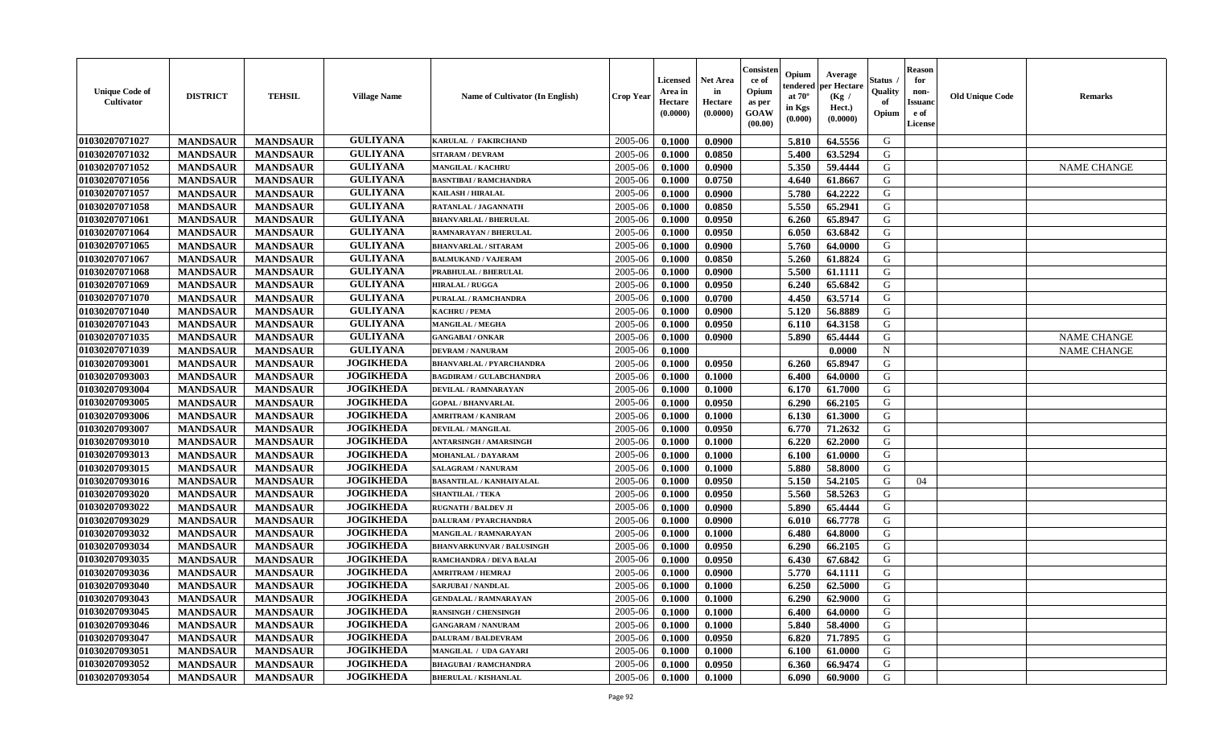| <b>Unique Code of</b><br><b>Cultivator</b> | <b>DISTRICT</b> | <b>TEHSIL</b>   | <b>Village Name</b> | Name of Cultivator (In English)  | <b>Crop Year</b> | <b>Licensed</b><br>Area in<br>Hectare<br>(0.0000) | <b>Net Area</b><br>in<br>Hectare<br>(0.0000) | Consisteı<br>ce of<br>Opium<br>as per<br>GOAW<br>(00.00) | Opium<br>endered<br>at $70^\circ$<br>in Kgs<br>(0.000) | Average<br>per Hectare<br>(Kg /<br>Hect.)<br>(0.0000) | Status<br>Quality<br>of<br>Opium | <b>Reason</b><br>for<br>non-<br>Issuano<br>e of<br>License | <b>Old Unique Code</b> | Remarks            |
|--------------------------------------------|-----------------|-----------------|---------------------|----------------------------------|------------------|---------------------------------------------------|----------------------------------------------|----------------------------------------------------------|--------------------------------------------------------|-------------------------------------------------------|----------------------------------|------------------------------------------------------------|------------------------|--------------------|
| 01030207071027                             | <b>MANDSAUR</b> | <b>MANDSAUR</b> | <b>GULIYANA</b>     | KARULAL / FAKIRCHAND             | 2005-06          | 0.1000                                            | 0.0900                                       |                                                          | 5.810                                                  | 64.5556                                               | G                                |                                                            |                        |                    |
| 01030207071032                             | <b>MANDSAUR</b> | <b>MANDSAUR</b> | <b>GULIYANA</b>     | <b>SITARAM / DEVRAM</b>          | 2005-06          | 0.1000                                            | 0.0850                                       |                                                          | 5.400                                                  | 63.5294                                               | G                                |                                                            |                        |                    |
| 01030207071052                             | <b>MANDSAUR</b> | <b>MANDSAUR</b> | <b>GULIYANA</b>     | <b>MANGILAL / KACHRU</b>         | 2005-06          | 0.1000                                            | 0.0900                                       |                                                          | 5.350                                                  | 59.4444                                               | G                                |                                                            |                        | <b>NAME CHANGE</b> |
| 01030207071056                             | <b>MANDSAUR</b> | <b>MANDSAUR</b> | <b>GULIYANA</b>     | <b>BASNTIBAI / RAMCHANDRA</b>    | 2005-06          | 0.1000                                            | 0.0750                                       |                                                          | 4.640                                                  | 61.8667                                               | G                                |                                                            |                        |                    |
| 01030207071057                             | <b>MANDSAUR</b> | <b>MANDSAUR</b> | <b>GULIYANA</b>     | <b>KAILASH / HIRALAL</b>         | 2005-06          | 0.1000                                            | 0.0900                                       |                                                          | 5.780                                                  | 64.2222                                               | G                                |                                                            |                        |                    |
| 01030207071058                             | <b>MANDSAUR</b> | <b>MANDSAUR</b> | <b>GULIYANA</b>     | RATANLAL / JAGANNATH             | 2005-06          | 0.1000                                            | 0.0850                                       |                                                          | 5.550                                                  | 65.2941                                               | G                                |                                                            |                        |                    |
| 01030207071061                             | <b>MANDSAUR</b> | <b>MANDSAUR</b> | <b>GULIYANA</b>     | <b>BHANVARLAL / BHERULAL</b>     | 2005-06          | 0.1000                                            | 0.0950                                       |                                                          | 6.260                                                  | 65.8947                                               | G                                |                                                            |                        |                    |
| 01030207071064                             | <b>MANDSAUR</b> | <b>MANDSAUR</b> | <b>GULIYANA</b>     | RAMNARAYAN / BHERULAL            | 2005-06          | 0.1000                                            | 0.0950                                       |                                                          | 6.050                                                  | 63.6842                                               | G                                |                                                            |                        |                    |
| 01030207071065                             | <b>MANDSAUR</b> | <b>MANDSAUR</b> | <b>GULIYANA</b>     | <b>BHANVARLAL / SITARAM</b>      | 2005-06          | 0.1000                                            | 0.0900                                       |                                                          | 5.760                                                  | 64.0000                                               | G                                |                                                            |                        |                    |
| 01030207071067                             | <b>MANDSAUR</b> | <b>MANDSAUR</b> | <b>GULIYANA</b>     | <b>BALMUKAND / VAJERAM</b>       | 2005-06          | 0.1000                                            | 0.0850                                       |                                                          | 5.260                                                  | 61.8824                                               | G                                |                                                            |                        |                    |
| 01030207071068                             | <b>MANDSAUR</b> | <b>MANDSAUR</b> | <b>GULIYANA</b>     | PRABHULAL / BHERULAL             | 2005-06          | 0.1000                                            | 0.0900                                       |                                                          | 5.500                                                  | 61.1111                                               | G                                |                                                            |                        |                    |
| 01030207071069                             | <b>MANDSAUR</b> | <b>MANDSAUR</b> | <b>GULIYANA</b>     | <b>HIRALAL / RUGGA</b>           | 2005-06          | 0.1000                                            | 0.0950                                       |                                                          | 6.240                                                  | 65.6842                                               | G                                |                                                            |                        |                    |
| 01030207071070                             | <b>MANDSAUR</b> | <b>MANDSAUR</b> | <b>GULIYANA</b>     | PURALAL / RAMCHANDRA             | 2005-06          | 0.1000                                            | 0.0700                                       |                                                          | 4.450                                                  | 63.5714                                               | G                                |                                                            |                        |                    |
| 01030207071040                             | <b>MANDSAUR</b> | <b>MANDSAUR</b> | <b>GULIYANA</b>     | <b>KACHRU / PEMA</b>             | 2005-06          | 0.1000                                            | 0.0900                                       |                                                          | 5.120                                                  | 56.8889                                               | G                                |                                                            |                        |                    |
| 01030207071043                             | <b>MANDSAUR</b> | <b>MANDSAUR</b> | <b>GULIYANA</b>     | <b>MANGILAL / MEGHA</b>          | 2005-06          | 0.1000                                            | 0.0950                                       |                                                          | 6.110                                                  | 64.3158                                               | $\mathbf G$                      |                                                            |                        |                    |
| 01030207071035                             | <b>MANDSAUR</b> | <b>MANDSAUR</b> | <b>GULIYANA</b>     | <b>GANGABAI/ONKAR</b>            | 2005-06          | 0.1000                                            | 0.0900                                       |                                                          | 5.890                                                  | 65.4444                                               | G                                |                                                            |                        | <b>NAME CHANGE</b> |
| 01030207071039                             | <b>MANDSAUR</b> | <b>MANDSAUR</b> | <b>GULIYANA</b>     | <b>DEVRAM / NANURAM</b>          | 2005-06          | 0.1000                                            |                                              |                                                          |                                                        | 0.0000                                                | $\mathbf N$                      |                                                            |                        | <b>NAME CHANGE</b> |
| 01030207093001                             | <b>MANDSAUR</b> | <b>MANDSAUR</b> | <b>JOGIKHEDA</b>    | <b>BHANVARLAL / PYARCHANDRA</b>  | 2005-06          | 0.1000                                            | 0.0950                                       |                                                          | 6.260                                                  | 65.8947                                               | G                                |                                                            |                        |                    |
| 01030207093003                             | <b>MANDSAUR</b> | <b>MANDSAUR</b> | <b>JOGIKHEDA</b>    | <b>BAGDIRAM / GULABCHANDRA</b>   | 2005-06          | 0.1000                                            | 0.1000                                       |                                                          | 6.400                                                  | 64.0000                                               | G                                |                                                            |                        |                    |
| 01030207093004                             | <b>MANDSAUR</b> | <b>MANDSAUR</b> | <b>JOGIKHEDA</b>    | <b>DEVILAL / RAMNARAYAN</b>      | 2005-06          | 0.1000                                            | 0.1000                                       |                                                          | 6.170                                                  | 61.7000                                               | G                                |                                                            |                        |                    |
| 01030207093005                             | <b>MANDSAUR</b> | <b>MANDSAUR</b> | <b>JOGIKHEDA</b>    | <b>GOPAL / BHANVARLAL</b>        | 2005-06          | 0.1000                                            | 0.0950                                       |                                                          | 6.290                                                  | 66.2105                                               | G                                |                                                            |                        |                    |
| 01030207093006                             | <b>MANDSAUR</b> | <b>MANDSAUR</b> | <b>JOGIKHEDA</b>    | <b>AMRITRAM / KANIRAM</b>        | 2005-06          | 0.1000                                            | 0.1000                                       |                                                          | 6.130                                                  | 61.3000                                               | G                                |                                                            |                        |                    |
| 01030207093007                             | <b>MANDSAUR</b> | <b>MANDSAUR</b> | <b>JOGIKHEDA</b>    | <b>DEVILAL / MANGILAL</b>        | 2005-06          | 0.1000                                            | 0.0950                                       |                                                          | 6.770                                                  | 71.2632                                               | G                                |                                                            |                        |                    |
| 01030207093010                             | <b>MANDSAUR</b> | <b>MANDSAUR</b> | <b>JOGIKHEDA</b>    | <b>ANTARSINGH / AMARSINGH</b>    | 2005-06          | 0.1000                                            | 0.1000                                       |                                                          | 6.220                                                  | 62.2000                                               | G                                |                                                            |                        |                    |
| 01030207093013                             | <b>MANDSAUR</b> | <b>MANDSAUR</b> | <b>JOGIKHEDA</b>    | <b>MOHANLAL / DAYARAM</b>        | 2005-06          | 0.1000                                            | 0.1000                                       |                                                          | 6.100                                                  | 61.0000                                               | G                                |                                                            |                        |                    |
| 01030207093015                             | <b>MANDSAUR</b> | <b>MANDSAUR</b> | <b>JOGIKHEDA</b>    | SALAGRAM / NANURAM               | 2005-06          | 0.1000                                            | 0.1000                                       |                                                          | 5.880                                                  | 58.8000                                               | G                                |                                                            |                        |                    |
| 01030207093016                             | <b>MANDSAUR</b> | <b>MANDSAUR</b> | <b>JOGIKHEDA</b>    | <b>BASANTILAL / KANHAIYALAL</b>  | 2005-06          | 0.1000                                            | 0.0950                                       |                                                          | 5.150                                                  | 54.2105                                               | G                                | 04                                                         |                        |                    |
| 01030207093020                             | <b>MANDSAUR</b> | <b>MANDSAUR</b> | <b>JOGIKHEDA</b>    | <b>SHANTILAL / TEKA</b>          | 2005-06          | 0.1000                                            | 0.0950                                       |                                                          | 5.560                                                  | 58.5263                                               | G                                |                                                            |                        |                    |
| 01030207093022                             | <b>MANDSAUR</b> | <b>MANDSAUR</b> | <b>JOGIKHEDA</b>    | <b>RUGNATH / BALDEV JI</b>       | 2005-06          | 0.1000                                            | 0.0900                                       |                                                          | 5.890                                                  | 65.4444                                               | G                                |                                                            |                        |                    |
| 01030207093029                             | <b>MANDSAUR</b> | <b>MANDSAUR</b> | <b>JOGIKHEDA</b>    | DALURAM / PYARCHANDRA            | 2005-06          | 0.1000                                            | 0.0900                                       |                                                          | 6.010                                                  | 66.7778                                               | G                                |                                                            |                        |                    |
| 01030207093032                             | <b>MANDSAUR</b> | <b>MANDSAUR</b> | <b>JOGIKHEDA</b>    | <b>MANGILAL / RAMNARAYAN</b>     | 2005-06          | 0.1000                                            | 0.1000                                       |                                                          | 6.480                                                  | 64.8000                                               | G                                |                                                            |                        |                    |
| 01030207093034                             | <b>MANDSAUR</b> | <b>MANDSAUR</b> | <b>JOGIKHEDA</b>    | <b>BHANVARKUNVAR / BALUSINGH</b> | 2005-06          | 0.1000                                            | 0.0950                                       |                                                          | 6.290                                                  | 66.2105                                               | G                                |                                                            |                        |                    |
| 01030207093035                             | <b>MANDSAUR</b> | <b>MANDSAUR</b> | <b>JOGIKHEDA</b>    | RAMCHANDRA / DEVA BALAI          | 2005-06          | 0.1000                                            | 0.0950                                       |                                                          | 6.430                                                  | 67.6842                                               | G                                |                                                            |                        |                    |
| 01030207093036                             | <b>MANDSAUR</b> | <b>MANDSAUR</b> | <b>JOGIKHEDA</b>    | <b>AMRITRAM / HEMRAJ</b>         | 2005-06          | 0.1000                                            | 0.0900                                       |                                                          | 5.770                                                  | 64.1111                                               | G                                |                                                            |                        |                    |
| 01030207093040                             | <b>MANDSAUR</b> | <b>MANDSAUR</b> | <b>JOGIKHEDA</b>    | <b>SARJUBAI / NANDLAL</b>        | 2005-06          | 0.1000                                            | 0.1000                                       |                                                          | 6.250                                                  | 62.5000                                               | G                                |                                                            |                        |                    |
| 01030207093043                             | <b>MANDSAUR</b> | <b>MANDSAUR</b> | <b>JOGIKHEDA</b>    | <b>GENDALAL / RAMNARAYAN</b>     | 2005-06          | 0.1000                                            | 0.1000                                       |                                                          | 6.290                                                  | 62.9000                                               | G                                |                                                            |                        |                    |
| 01030207093045                             | <b>MANDSAUR</b> | <b>MANDSAUR</b> | <b>JOGIKHEDA</b>    | <b>RANSINGH / CHENSINGH</b>      | 2005-06          | 0.1000                                            | 0.1000                                       |                                                          | 6.400                                                  | 64.0000                                               | G                                |                                                            |                        |                    |
| 01030207093046                             | <b>MANDSAUR</b> | <b>MANDSAUR</b> | <b>JOGIKHEDA</b>    | <b>GANGARAM / NANURAM</b>        | 2005-06          | 0.1000                                            | 0.1000                                       |                                                          | 5.840                                                  | 58.4000                                               | G                                |                                                            |                        |                    |
| 01030207093047                             | <b>MANDSAUR</b> | <b>MANDSAUR</b> | <b>JOGIKHEDA</b>    | <b>DALURAM / BALDEVRAM</b>       | 2005-06          | 0.1000                                            | 0.0950                                       |                                                          | 6.820                                                  | 71.7895                                               | G                                |                                                            |                        |                    |
| 01030207093051                             | <b>MANDSAUR</b> | <b>MANDSAUR</b> | <b>JOGIKHEDA</b>    | MANGILAL / UDA GAYARI            | 2005-06          | 0.1000                                            | 0.1000                                       |                                                          | 6.100                                                  | 61.0000                                               | ${\bf G}$                        |                                                            |                        |                    |
| 01030207093052                             | <b>MANDSAUR</b> | <b>MANDSAUR</b> | <b>JOGIKHEDA</b>    | <b>BHAGUBAI / RAMCHANDRA</b>     | 2005-06          | 0.1000                                            | 0.0950                                       |                                                          | 6.360                                                  | 66.9474                                               | G                                |                                                            |                        |                    |
| 01030207093054                             | <b>MANDSAUR</b> | <b>MANDSAUR</b> | <b>JOGIKHEDA</b>    | <b>BHERULAL / KISHANLAL</b>      | 2005-06          | 0.1000                                            | 0.1000                                       |                                                          | 6.090                                                  | 60.9000                                               | G                                |                                                            |                        |                    |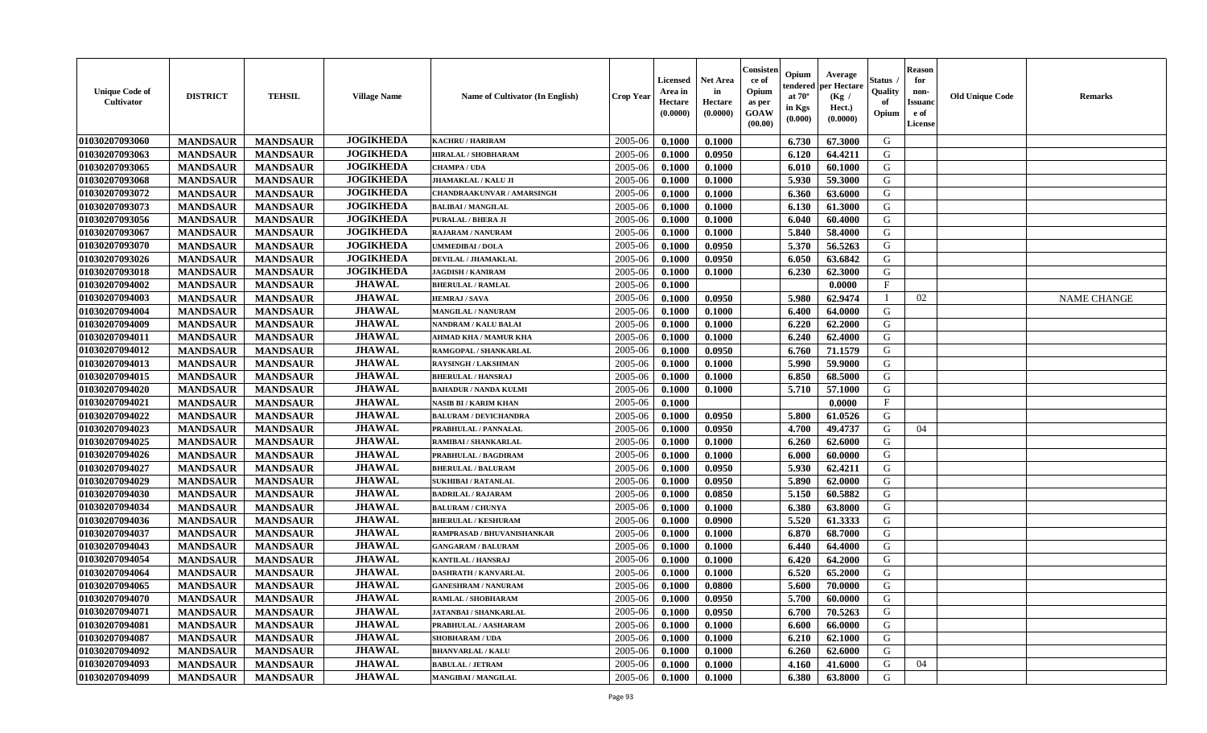| <b>Unique Code of</b><br>Cultivator | <b>DISTRICT</b> | <b>TEHSIL</b>   | <b>Village Name</b> | Name of Cultivator (In English)   | Crop Year | Licensed<br>Area in<br>Hectare<br>(0.0000) | <b>Net Area</b><br>in<br>Hectare<br>(0.0000) | Consister<br>ce of<br>Opium<br>as per<br>GOAW<br>(00.00) | Opium<br>endered<br>at $70^{\circ}$<br>in Kgs<br>(0.000) | Average<br>per Hectare<br>(Kg /<br>Hect.)<br>(0.0000) | Status<br>Quality<br>of<br>Opium | <b>Reason</b><br>for<br>non-<br><b>Issuanc</b><br>e of<br>License | <b>Old Unique Code</b> | Remarks            |
|-------------------------------------|-----------------|-----------------|---------------------|-----------------------------------|-----------|--------------------------------------------|----------------------------------------------|----------------------------------------------------------|----------------------------------------------------------|-------------------------------------------------------|----------------------------------|-------------------------------------------------------------------|------------------------|--------------------|
| 01030207093060                      | <b>MANDSAUR</b> | <b>MANDSAUR</b> | <b>JOGIKHEDA</b>    | <b>KACHRU / HARIRAM</b>           | 2005-06   | 0.1000                                     | 0.1000                                       |                                                          | 6.730                                                    | 67.3000                                               | G                                |                                                                   |                        |                    |
| 01030207093063                      | <b>MANDSAUR</b> | <b>MANDSAUR</b> | <b>JOGIKHEDA</b>    | HIRALAL / SHOBHARAM               | 2005-06   | 0.1000                                     | 0.0950                                       |                                                          | 6.120                                                    | 64.4211                                               | G                                |                                                                   |                        |                    |
| 01030207093065                      | <b>MANDSAUR</b> | <b>MANDSAUR</b> | <b>JOGIKHEDA</b>    | CHAMPA / UDA                      | 2005-06   | 0.1000                                     | 0.1000                                       |                                                          | 6.010                                                    | 60.1000                                               | G                                |                                                                   |                        |                    |
| 01030207093068                      | <b>MANDSAUR</b> | <b>MANDSAUR</b> | <b>JOGIKHEDA</b>    | <b>JHAMAKLAL / KALU JI</b>        | 2005-06   | 0.1000                                     | 0.1000                                       |                                                          | 5.930                                                    | 59.3000                                               | G                                |                                                                   |                        |                    |
| 01030207093072                      | <b>MANDSAUR</b> | <b>MANDSAUR</b> | <b>JOGIKHEDA</b>    | <b>CHANDRAAKUNVAR / AMARSINGH</b> | 2005-06   | 0.1000                                     | 0.1000                                       |                                                          | 6.360                                                    | 63.6000                                               | G                                |                                                                   |                        |                    |
| 01030207093073                      | <b>MANDSAUR</b> | <b>MANDSAUR</b> | <b>JOGIKHEDA</b>    | <b>BALIBAI/MANGILAL</b>           | 2005-06   | 0.1000                                     | 0.1000                                       |                                                          | 6.130                                                    | 61.3000                                               | G                                |                                                                   |                        |                    |
| 01030207093056                      | <b>MANDSAUR</b> | <b>MANDSAUR</b> | <b>JOGIKHEDA</b>    | PURALAL / BHERA JI                | 2005-06   | 0.1000                                     | 0.1000                                       |                                                          | 6.040                                                    | 60.4000                                               | G                                |                                                                   |                        |                    |
| 01030207093067                      | <b>MANDSAUR</b> | <b>MANDSAUR</b> | <b>JOGIKHEDA</b>    | <b>RAJARAM / NANURAM</b>          | 2005-06   | 0.1000                                     | 0.1000                                       |                                                          | 5.840                                                    | 58.4000                                               | G                                |                                                                   |                        |                    |
| 01030207093070                      | <b>MANDSAUR</b> | <b>MANDSAUR</b> | <b>JOGIKHEDA</b>    | UMMEDIBAI / DOLA                  | 2005-06   | 0.1000                                     | 0.0950                                       |                                                          | 5.370                                                    | 56.5263                                               | G                                |                                                                   |                        |                    |
| 01030207093026                      | <b>MANDSAUR</b> | <b>MANDSAUR</b> | <b>JOGIKHEDA</b>    | DEVILAL / JHAMAKLAL               | 2005-06   | 0.1000                                     | 0.0950                                       |                                                          | 6.050                                                    | 63.6842                                               | G                                |                                                                   |                        |                    |
| 01030207093018                      | <b>MANDSAUR</b> | <b>MANDSAUR</b> | <b>JOGIKHEDA</b>    | <b>JAGDISH / KANIRAM</b>          | 2005-06   | 0.1000                                     | 0.1000                                       |                                                          | 6.230                                                    | 62.3000                                               | G                                |                                                                   |                        |                    |
| 01030207094002                      | <b>MANDSAUR</b> | <b>MANDSAUR</b> | <b>JHAWAL</b>       | <b>BHERULAL / RAMLAL</b>          | 2005-06   | 0.1000                                     |                                              |                                                          |                                                          | 0.0000                                                | $\mathbf F$                      |                                                                   |                        |                    |
| 01030207094003                      | <b>MANDSAUR</b> | <b>MANDSAUR</b> | <b>JHAWAL</b>       | <b>HEMRAJ / SAVA</b>              | 2005-06   | 0.1000                                     | 0.0950                                       |                                                          | 5.980                                                    | 62.9474                                               | $\mathbf{I}$                     | 02                                                                |                        | <b>NAME CHANGE</b> |
| 01030207094004                      | <b>MANDSAUR</b> | <b>MANDSAUR</b> | <b>JHAWAL</b>       | <b>MANGILAL / NANURAM</b>         | 2005-06   | 0.1000                                     | 0.1000                                       |                                                          | 6.400                                                    | 64.0000                                               | G                                |                                                                   |                        |                    |
| 01030207094009                      | <b>MANDSAUR</b> | <b>MANDSAUR</b> | <b>JHAWAL</b>       | NANDRAM / KALU BALAI              | 2005-06   | 0.1000                                     | 0.1000                                       |                                                          | 6.220                                                    | 62.2000                                               | G                                |                                                                   |                        |                    |
| 01030207094011                      | <b>MANDSAUR</b> | <b>MANDSAUR</b> | <b>JHAWAL</b>       | <b>AHMAD KHA / MAMUR KHA</b>      | 2005-06   | 0.1000                                     | 0.1000                                       |                                                          | 6.240                                                    | 62.4000                                               | G                                |                                                                   |                        |                    |
| 01030207094012                      | <b>MANDSAUR</b> | <b>MANDSAUR</b> | <b>JHAWAL</b>       | RAMGOPAL / SHANKARLAL             | 2005-06   | 0.1000                                     | 0.0950                                       |                                                          | 6.760                                                    | 71.1579                                               | G                                |                                                                   |                        |                    |
| 01030207094013                      | <b>MANDSAUR</b> | <b>MANDSAUR</b> | <b>JHAWAL</b>       | <b>RAYSINGH / LAKSHMAN</b>        | 2005-06   | 0.1000                                     | 0.1000                                       |                                                          | 5.990                                                    | 59.9000                                               | G                                |                                                                   |                        |                    |
| 01030207094015                      | <b>MANDSAUR</b> | <b>MANDSAUR</b> | <b>JHAWAL</b>       | <b>BHERULAL / HANSRAJ</b>         | 2005-06   | 0.1000                                     | 0.1000                                       |                                                          | 6.850                                                    | 68.5000                                               | G                                |                                                                   |                        |                    |
| 01030207094020                      | <b>MANDSAUR</b> | <b>MANDSAUR</b> | <b>JHAWAL</b>       | <b>BAHADUR / NANDA KULMI</b>      | 2005-06   | 0.1000                                     | 0.1000                                       |                                                          | 5.710                                                    | 57.1000                                               | G                                |                                                                   |                        |                    |
| 01030207094021                      | <b>MANDSAUR</b> | <b>MANDSAUR</b> | <b>JHAWAL</b>       | <b>NASIB BI / KARIM KHAN</b>      | 2005-06   | 0.1000                                     |                                              |                                                          |                                                          | 0.0000                                                | $\mathbf{F}$                     |                                                                   |                        |                    |
| 01030207094022                      | <b>MANDSAUR</b> | <b>MANDSAUR</b> | <b>JHAWAL</b>       | <b>BALURAM / DEVICHANDRA</b>      | 2005-06   | 0.1000                                     | 0.0950                                       |                                                          | 5.800                                                    | 61.0526                                               | G                                |                                                                   |                        |                    |
| 01030207094023                      | <b>MANDSAUR</b> | <b>MANDSAUR</b> | <b>JHAWAL</b>       | PRABHULAL / PANNALAL              | 2005-06   | 0.1000                                     | 0.0950                                       |                                                          | 4.700                                                    | 49.4737                                               | G                                | 04                                                                |                        |                    |
| 01030207094025                      | <b>MANDSAUR</b> | <b>MANDSAUR</b> | <b>JHAWAL</b>       | RAMIBAI / SHANKARLAL              | 2005-06   | 0.1000                                     | 0.1000                                       |                                                          | 6.260                                                    | 62.6000                                               | G                                |                                                                   |                        |                    |
| 01030207094026                      | <b>MANDSAUR</b> | <b>MANDSAUR</b> | <b>JHAWAL</b>       | PRABHULAL / BAGDIRAM              | 2005-06   | 0.1000                                     | 0.1000                                       |                                                          | 6.000                                                    | 60.0000                                               | G                                |                                                                   |                        |                    |
| 01030207094027                      | <b>MANDSAUR</b> | <b>MANDSAUR</b> | <b>JHAWAL</b>       | <b>BHERULAL / BALURAM</b>         | 2005-06   | 0.1000                                     | 0.0950                                       |                                                          | 5.930                                                    | 62.4211                                               | G                                |                                                                   |                        |                    |
| 01030207094029                      | <b>MANDSAUR</b> | <b>MANDSAUR</b> | <b>JHAWAL</b>       | <b>SUKHIBAI / RATANLAL</b>        | 2005-06   | 0.1000                                     | 0.0950                                       |                                                          | 5.890                                                    | 62.0000                                               | G                                |                                                                   |                        |                    |
| 01030207094030                      | <b>MANDSAUR</b> | <b>MANDSAUR</b> | <b>JHAWAL</b>       | <b>BADRILAL / RAJARAM</b>         | 2005-06   | 0.1000                                     | 0.0850                                       |                                                          | 5.150                                                    | 60.5882                                               | G                                |                                                                   |                        |                    |
| 01030207094034                      | <b>MANDSAUR</b> | <b>MANDSAUR</b> | <b>JHAWAL</b>       | <b>BALURAM / CHUNYA</b>           | 2005-06   | 0.1000                                     | 0.1000                                       |                                                          | 6.380                                                    | 63.8000                                               | G                                |                                                                   |                        |                    |
| 01030207094036                      | <b>MANDSAUR</b> | <b>MANDSAUR</b> | <b>JHAWAL</b>       | <b>BHERULAL / KESHURAM</b>        | 2005-06   | 0.1000                                     | 0.0900                                       |                                                          | 5.520                                                    | 61.3333                                               | G                                |                                                                   |                        |                    |
| 01030207094037                      | <b>MANDSAUR</b> | <b>MANDSAUR</b> | <b>JHAWAL</b>       | RAMPRASAD / BHUVANISHANKAR        | 2005-06   | 0.1000                                     | 0.1000                                       |                                                          | 6.870                                                    | 68.7000                                               | G                                |                                                                   |                        |                    |
| 01030207094043                      | <b>MANDSAUR</b> | <b>MANDSAUR</b> | <b>JHAWAL</b>       | <b>GANGARAM / BALURAM</b>         | 2005-06   | 0.1000                                     | 0.1000                                       |                                                          | 6.440                                                    | 64.4000                                               | G                                |                                                                   |                        |                    |
| 01030207094054                      | <b>MANDSAUR</b> | <b>MANDSAUR</b> | <b>JHAWAL</b>       | <b>KANTILAL / HANSRAJ</b>         | 2005-06   | 0.1000                                     | 0.1000                                       |                                                          | 6.420                                                    | 64.2000                                               | G                                |                                                                   |                        |                    |
| 01030207094064                      | <b>MANDSAUR</b> | <b>MANDSAUR</b> | <b>JHAWAL</b>       | <b>DASHRATH / KANVARLAL</b>       | 2005-06   | 0.1000                                     | 0.1000                                       |                                                          | 6.520                                                    | 65.2000                                               | G                                |                                                                   |                        |                    |
| 01030207094065                      | <b>MANDSAUR</b> | <b>MANDSAUR</b> | <b>JHAWAL</b>       | <b>GANESHRAM / NANURAM</b>        | 2005-06   | 0.1000                                     | 0.0800                                       |                                                          | 5.600                                                    | 70.0000                                               | G                                |                                                                   |                        |                    |
| 01030207094070                      | <b>MANDSAUR</b> | <b>MANDSAUR</b> | <b>JHAWAL</b>       | RAMLAL / SHOBHARAM                | 2005-06   | 0.1000                                     | 0.0950                                       |                                                          | 5.700                                                    | 60.0000                                               | G                                |                                                                   |                        |                    |
| 01030207094071                      | <b>MANDSAUR</b> | <b>MANDSAUR</b> | <b>JHAWAL</b>       | <b>JATANBAI / SHANKARLAL</b>      | 2005-06   | 0.1000                                     | 0.0950                                       |                                                          | 6.700                                                    | 70.5263                                               | G                                |                                                                   |                        |                    |
| 01030207094081                      | <b>MANDSAUR</b> | <b>MANDSAUR</b> | <b>JHAWAL</b>       | PRABHULAL / AASHARAM              | 2005-06   | 0.1000                                     | 0.1000                                       |                                                          | 6.600                                                    | 66.0000                                               | G                                |                                                                   |                        |                    |
| 01030207094087                      | <b>MANDSAUR</b> | <b>MANDSAUR</b> | <b>JHAWAL</b>       | <b>SHOBHARAM / UDA</b>            | 2005-06   | 0.1000                                     | 0.1000                                       |                                                          | 6.210                                                    | 62.1000                                               | G                                |                                                                   |                        |                    |
| 01030207094092                      | <b>MANDSAUR</b> | <b>MANDSAUR</b> | <b>JHAWAL</b>       | <b>BHANVARLAL / KALU</b>          | 2005-06   | 0.1000                                     | 0.1000                                       |                                                          | 6.260                                                    | 62.6000                                               | G                                |                                                                   |                        |                    |
| 01030207094093                      | <b>MANDSAUR</b> | <b>MANDSAUR</b> | <b>JHAWAL</b>       | <b>BABULAL / JETRAM</b>           | 2005-06   | 0.1000                                     | 0.1000                                       |                                                          | 4.160                                                    | 41.6000                                               | G                                | 04                                                                |                        |                    |
| 01030207094099                      | <b>MANDSAUR</b> | <b>MANDSAUR</b> | <b>JHAWAL</b>       | <b>MANGIBAI/MANGILAL</b>          | 2005-06   | 0.1000                                     | 0.1000                                       |                                                          | 6.380                                                    | 63.8000                                               | G                                |                                                                   |                        |                    |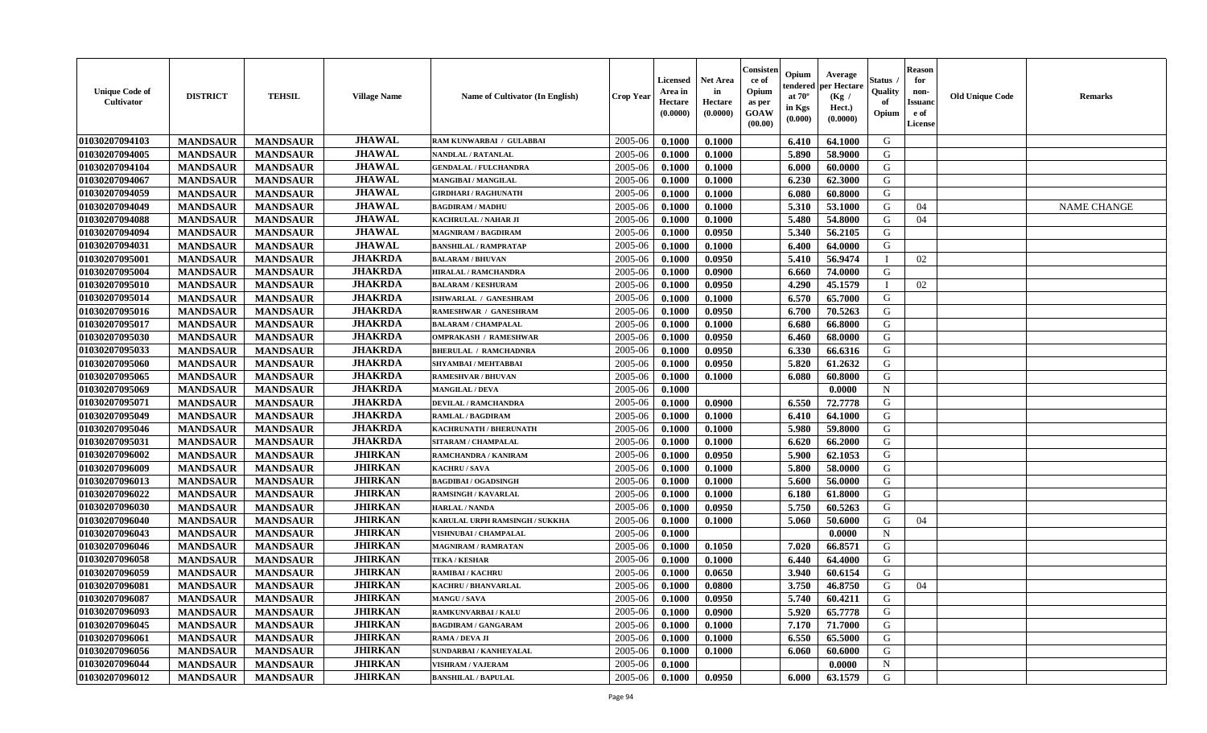| <b>Unique Code of</b><br><b>Cultivator</b> | <b>DISTRICT</b> | <b>TEHSIL</b>   | <b>Village Name</b> | Name of Cultivator (In English) | <b>Crop Year</b> | <b>Licensed</b><br>Area in<br>Hectare<br>(0.0000) | <b>Net Area</b><br>in<br>Hectare<br>(0.0000) | Consister<br>ce of<br>Opium<br>as per<br><b>GOAW</b><br>(00.00) | Opium<br>endered<br>at $70^\circ$<br>in Kgs<br>(0.000) | Average<br>per Hectare<br>(Kg /<br>Hect.)<br>(0.0000) | Status<br>Quality<br>of<br>Opium | <b>Reason</b><br>for<br>non-<br><b>Issuand</b><br>e of<br><b>License</b> | <b>Old Unique Code</b> | <b>Remarks</b>     |
|--------------------------------------------|-----------------|-----------------|---------------------|---------------------------------|------------------|---------------------------------------------------|----------------------------------------------|-----------------------------------------------------------------|--------------------------------------------------------|-------------------------------------------------------|----------------------------------|--------------------------------------------------------------------------|------------------------|--------------------|
| 01030207094103                             | <b>MANDSAUR</b> | <b>MANDSAUR</b> | <b>JHAWAL</b>       | RAM KUNWARBAI / GULABBAI        | 2005-06          | 0.1000                                            | 0.1000                                       |                                                                 | 6.410                                                  | 64.1000                                               | G                                |                                                                          |                        |                    |
| 01030207094005                             | <b>MANDSAUR</b> | <b>MANDSAUR</b> | <b>JHAWAL</b>       | <b>NANDLAL / RATANLAL</b>       | 2005-06          | 0.1000                                            | 0.1000                                       |                                                                 | 5.890                                                  | 58.9000                                               | G                                |                                                                          |                        |                    |
| 01030207094104                             | <b>MANDSAUR</b> | <b>MANDSAUR</b> | <b>JHAWAL</b>       | <b>GENDALAL / FULCHANDRA</b>    | 2005-06          | 0.1000                                            | 0.1000                                       |                                                                 | 6.000                                                  | 60.0000                                               | G                                |                                                                          |                        |                    |
| 01030207094067                             | <b>MANDSAUR</b> | <b>MANDSAUR</b> | <b>JHAWAL</b>       | <b>MANGIBAI/MANGILAL</b>        | 2005-06          | 0.1000                                            | 0.1000                                       |                                                                 | 6.230                                                  | 62.3000                                               | G                                |                                                                          |                        |                    |
| 01030207094059                             | <b>MANDSAUR</b> | <b>MANDSAUR</b> | <b>JHAWAL</b>       | <b>GIRDHARI / RAGHUNATH</b>     | 2005-06          | 0.1000                                            | 0.1000                                       |                                                                 | 6.080                                                  | 60.8000                                               | G                                |                                                                          |                        |                    |
| 01030207094049                             | <b>MANDSAUR</b> | <b>MANDSAUR</b> | <b>JHAWAL</b>       | <b>BAGDIRAM / MADHU</b>         | 2005-06          | 0.1000                                            | 0.1000                                       |                                                                 | 5.310                                                  | 53.1000                                               | G                                | 04                                                                       |                        | <b>NAME CHANGE</b> |
| 01030207094088                             | <b>MANDSAUR</b> | <b>MANDSAUR</b> | <b>JHAWAL</b>       | <b>KACHRULAL / NAHAR JI</b>     | 2005-06          | 0.1000                                            | 0.1000                                       |                                                                 | 5.480                                                  | 54.8000                                               | G                                | 04                                                                       |                        |                    |
| 01030207094094                             | <b>MANDSAUR</b> | <b>MANDSAUR</b> | <b>JHAWAL</b>       | <b>MAGNIRAM / BAGDIRAM</b>      | 2005-06          | 0.1000                                            | 0.0950                                       |                                                                 | 5.340                                                  | 56.2105                                               | G                                |                                                                          |                        |                    |
| 01030207094031                             | <b>MANDSAUR</b> | <b>MANDSAUR</b> | <b>JHAWAL</b>       | <b>BANSHILAL / RAMPRATAP</b>    | 2005-06          | 0.1000                                            | 0.1000                                       |                                                                 | 6.400                                                  | 64.0000                                               | G                                |                                                                          |                        |                    |
| 01030207095001                             | <b>MANDSAUR</b> | <b>MANDSAUR</b> | <b>JHAKRDA</b>      | <b>BALARAM / BHUVAN</b>         | 2005-06          | 0.1000                                            | 0.0950                                       |                                                                 | 5.410                                                  | 56.9474                                               | <sup>1</sup>                     | 02                                                                       |                        |                    |
| 01030207095004                             | <b>MANDSAUR</b> | <b>MANDSAUR</b> | <b>JHAKRDA</b>      | <b>HIRALAL / RAMCHANDRA</b>     | 2005-06          | 0.1000                                            | 0.0900                                       |                                                                 | 6.660                                                  | 74.0000                                               | G                                |                                                                          |                        |                    |
| 01030207095010                             | <b>MANDSAUR</b> | <b>MANDSAUR</b> | <b>JHAKRDA</b>      | <b>BALARAM / KESHURAM</b>       | 2005-06          | 0.1000                                            | 0.0950                                       |                                                                 | 4.290                                                  | 45.1579                                               | $\mathbf{I}$                     | 02                                                                       |                        |                    |
| 01030207095014                             | <b>MANDSAUR</b> | <b>MANDSAUR</b> | <b>JHAKRDA</b>      | ISHWARLAL / GANESHRAM           | 2005-06          | 0.1000                                            | 0.1000                                       |                                                                 | 6.570                                                  | 65.7000                                               | G                                |                                                                          |                        |                    |
| 01030207095016                             | <b>MANDSAUR</b> | <b>MANDSAUR</b> | <b>JHAKRDA</b>      | <b>RAMESHWAR / GANESHRAM</b>    | 2005-06          | 0.1000                                            | 0.0950                                       |                                                                 | 6.700                                                  | 70.5263                                               | G                                |                                                                          |                        |                    |
| 01030207095017                             | <b>MANDSAUR</b> | <b>MANDSAUR</b> | <b>JHAKRDA</b>      | <b>BALARAM / CHAMPALAL</b>      | 2005-06          | 0.1000                                            | 0.1000                                       |                                                                 | 6.680                                                  | 66.8000                                               | G                                |                                                                          |                        |                    |
| 01030207095030                             | <b>MANDSAUR</b> | <b>MANDSAUR</b> | <b>JHAKRDA</b>      | <b>OMPRAKASH / RAMESHWAR</b>    | 2005-06          | 0.1000                                            | 0.0950                                       |                                                                 | 6.460                                                  | 68.0000                                               | G                                |                                                                          |                        |                    |
| 01030207095033                             | <b>MANDSAUR</b> | <b>MANDSAUR</b> | <b>JHAKRDA</b>      | <b>BHERULAL / RAMCHADNRA</b>    | 2005-06          | 0.1000                                            | 0.0950                                       |                                                                 | 6.330                                                  | 66.6316                                               | G                                |                                                                          |                        |                    |
| 01030207095060                             | <b>MANDSAUR</b> | <b>MANDSAUR</b> | <b>JHAKRDA</b>      | SHYAMBAI / MEHTABBAI            | 2005-06          | 0.1000                                            | 0.0950                                       |                                                                 | 5.820                                                  | 61.2632                                               | G                                |                                                                          |                        |                    |
| 01030207095065                             | <b>MANDSAUR</b> | <b>MANDSAUR</b> | <b>JHAKRDA</b>      | <b>RAMESHVAR / BHUVAN</b>       | 2005-06          | 0.1000                                            | 0.1000                                       |                                                                 | 6.080                                                  | 60.8000                                               | G                                |                                                                          |                        |                    |
| 01030207095069                             | <b>MANDSAUR</b> | <b>MANDSAUR</b> | <b>JHAKRDA</b>      | <b>MANGILAL / DEVA</b>          | 2005-06          | 0.1000                                            |                                              |                                                                 |                                                        | 0.0000                                                | $\mathbf N$                      |                                                                          |                        |                    |
| 01030207095071                             | <b>MANDSAUR</b> | <b>MANDSAUR</b> | <b>JHAKRDA</b>      | <b>DEVILAL / RAMCHANDRA</b>     | 2005-06          | 0.1000                                            | 0.0900                                       |                                                                 | 6.550                                                  | 72.7778                                               | G                                |                                                                          |                        |                    |
| 01030207095049                             | <b>MANDSAUR</b> | <b>MANDSAUR</b> | <b>JHAKRDA</b>      | <b>RAMLAL / BAGDIRAM</b>        | 2005-06          | 0.1000                                            | 0.1000                                       |                                                                 | 6.410                                                  | 64.1000                                               | G                                |                                                                          |                        |                    |
| 01030207095046                             | <b>MANDSAUR</b> | <b>MANDSAUR</b> | <b>JHAKRDA</b>      | KACHRUNATH / BHERUNATH          | 2005-06          | 0.1000                                            | 0.1000                                       |                                                                 | 5.980                                                  | 59.8000                                               | G                                |                                                                          |                        |                    |
| 01030207095031                             | <b>MANDSAUR</b> | <b>MANDSAUR</b> | <b>JHAKRDA</b>      | SITARAM / CHAMPALAL             | 2005-06          | 0.1000                                            | 0.1000                                       |                                                                 | 6.620                                                  | 66.2000                                               | G                                |                                                                          |                        |                    |
| 01030207096002                             | <b>MANDSAUR</b> | <b>MANDSAUR</b> | <b>JHIRKAN</b>      | RAMCHANDRA / KANIRAM            | 2005-06          | 0.1000                                            | 0.0950                                       |                                                                 | 5.900                                                  | 62.1053                                               | G                                |                                                                          |                        |                    |
| 01030207096009                             | <b>MANDSAUR</b> | <b>MANDSAUR</b> | <b>JHIRKAN</b>      | KACHRU / SAVA                   | 2005-06          | 0.1000                                            | 0.1000                                       |                                                                 | 5.800                                                  | 58.0000                                               | G                                |                                                                          |                        |                    |
| 01030207096013                             | <b>MANDSAUR</b> | <b>MANDSAUR</b> | <b>JHIRKAN</b>      | <b>BAGDIBAI / OGADSINGH</b>     | 2005-06          | 0.1000                                            | 0.1000                                       |                                                                 | 5.600                                                  | 56.0000                                               | G                                |                                                                          |                        |                    |
| 01030207096022                             | <b>MANDSAUR</b> | <b>MANDSAUR</b> | <b>JHIRKAN</b>      | <b>RAMSINGH / KAVARLAL</b>      | 2005-06          | 0.1000                                            | 0.1000                                       |                                                                 | 6.180                                                  | 61.8000                                               | G                                |                                                                          |                        |                    |
| 01030207096030                             | <b>MANDSAUR</b> | <b>MANDSAUR</b> | <b>JHIRKAN</b>      | <b>HARLAL / NANDA</b>           | 2005-06          | 0.1000                                            | 0.0950                                       |                                                                 | 5.750                                                  | 60.5263                                               | G                                |                                                                          |                        |                    |
| 01030207096040                             | <b>MANDSAUR</b> | <b>MANDSAUR</b> | <b>JHIRKAN</b>      | KARULAL URPH RAMSINGH / SUKKHA  | 2005-06          | 0.1000                                            | 0.1000                                       |                                                                 | 5.060                                                  | 50.6000                                               | G                                | 04                                                                       |                        |                    |
| 01030207096043                             | <b>MANDSAUR</b> | <b>MANDSAUR</b> | <b>JHIRKAN</b>      | VISHNUBAI / CHAMPALAL           | 2005-06          | 0.1000                                            |                                              |                                                                 |                                                        | 0.0000                                                | $\mathbf N$                      |                                                                          |                        |                    |
| 01030207096046                             | <b>MANDSAUR</b> | <b>MANDSAUR</b> | <b>JHIRKAN</b>      | <b>MAGNIRAM / RAMRATAN</b>      | 2005-06          | 0.1000                                            | 0.1050                                       |                                                                 | 7.020                                                  | 66.8571                                               | G                                |                                                                          |                        |                    |
| 01030207096058                             | <b>MANDSAUR</b> | <b>MANDSAUR</b> | <b>JHIRKAN</b>      | <b>TEKA / KESHAR</b>            | 2005-06          | 0.1000                                            | 0.1000                                       |                                                                 | 6.440                                                  | 64.4000                                               | G                                |                                                                          |                        |                    |
| 01030207096059                             | <b>MANDSAUR</b> | <b>MANDSAUR</b> | <b>JHIRKAN</b>      | <b>RAMIBAI / KACHRU</b>         | 2005-06          | 0.1000                                            | 0.0650                                       |                                                                 | 3.940                                                  | 60.6154                                               | G                                |                                                                          |                        |                    |
| 01030207096081                             | <b>MANDSAUR</b> | <b>MANDSAUR</b> | <b>JHIRKAN</b>      | <b>KACHRU / BHANVARLAL</b>      | 2005-06          | 0.1000                                            | 0.0800                                       |                                                                 | 3.750                                                  | 46.8750                                               | G                                | 04                                                                       |                        |                    |
| 01030207096087                             | <b>MANDSAUR</b> | <b>MANDSAUR</b> | <b>JHIRKAN</b>      | <b>MANGU/SAVA</b>               | 2005-06          | 0.1000                                            | 0.0950                                       |                                                                 | 5.740                                                  | 60.4211                                               | G                                |                                                                          |                        |                    |
| 01030207096093                             | <b>MANDSAUR</b> | <b>MANDSAUR</b> | <b>JHIRKAN</b>      | RAMKUNVARBAI / KALU             | 2005-06          | 0.1000                                            | 0.0900                                       |                                                                 | 5.920                                                  | 65.7778                                               | G                                |                                                                          |                        |                    |
| 01030207096045                             | <b>MANDSAUR</b> | <b>MANDSAUR</b> | <b>JHIRKAN</b>      | <b>BAGDIRAM / GANGARAM</b>      | 2005-06          | 0.1000                                            | 0.1000                                       |                                                                 | 7.170                                                  | 71.7000                                               | G                                |                                                                          |                        |                    |
| 01030207096061                             | <b>MANDSAUR</b> | <b>MANDSAUR</b> | <b>JHIRKAN</b>      | RAMA / DEVA JI                  | 2005-06          | 0.1000                                            | 0.1000                                       |                                                                 | 6.550                                                  | 65.5000                                               | G                                |                                                                          |                        |                    |
| 01030207096056                             | <b>MANDSAUR</b> | <b>MANDSAUR</b> | <b>JHIRKAN</b>      | SUNDARBAI / KANHEYALAL          | 2005-06          | 0.1000                                            | 0.1000                                       |                                                                 | 6.060                                                  | 60.6000                                               | ${\bf G}$                        |                                                                          |                        |                    |
| 01030207096044                             | <b>MANDSAUR</b> | <b>MANDSAUR</b> | <b>JHIRKAN</b>      | <b>VISHRAM / VAJERAM</b>        | 2005-06          | 0.1000                                            |                                              |                                                                 |                                                        | 0.0000                                                | N                                |                                                                          |                        |                    |
| 01030207096012                             | <b>MANDSAUR</b> | <b>MANDSAUR</b> | <b>JHIRKAN</b>      | <b>BANSHILAL / BAPULAL</b>      | 2005-06          | 0.1000                                            | 0.0950                                       |                                                                 | 6.000                                                  | 63.1579                                               | G                                |                                                                          |                        |                    |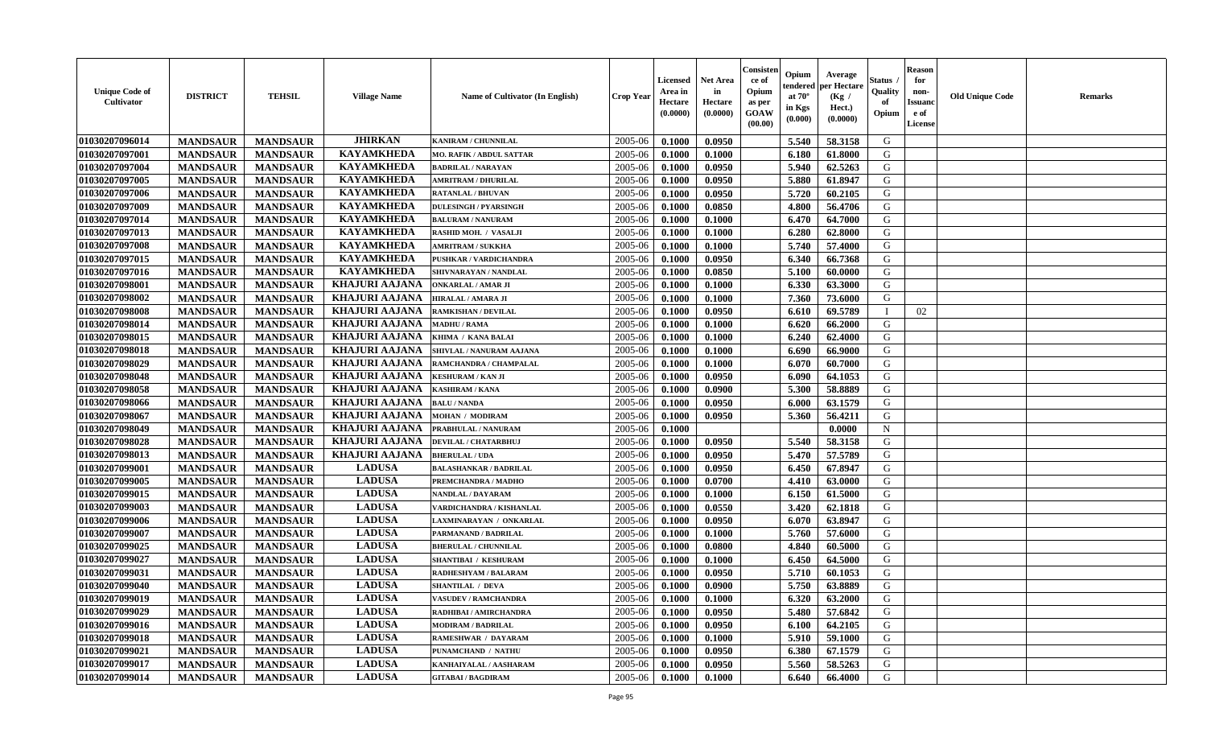| <b>Unique Code of</b><br><b>Cultivator</b> | <b>DISTRICT</b> | <b>TEHSIL</b>   | <b>Village Name</b>   | Name of Cultivator (In English) | <b>Crop Year</b> | <b>Licensed</b><br>Area in<br>Hectare<br>(0.0000) | <b>Net Area</b><br>in<br>Hectare<br>(0.0000) | Consisteı<br>ce of<br>Opium<br>as per<br><b>GOAW</b><br>(00.00) | Opium<br>endered<br>at $70^\circ$<br>in Kgs<br>$(\mathbf{0.000})$ | Average<br>per Hectare<br>(Kg /<br>Hect.)<br>(0.0000) | Status<br>Quality<br>of<br>Opium | Reason<br>for<br>non-<br>Issuan<br>e of<br>License | <b>Old Unique Code</b> | <b>Remarks</b> |
|--------------------------------------------|-----------------|-----------------|-----------------------|---------------------------------|------------------|---------------------------------------------------|----------------------------------------------|-----------------------------------------------------------------|-------------------------------------------------------------------|-------------------------------------------------------|----------------------------------|----------------------------------------------------|------------------------|----------------|
| 01030207096014                             | <b>MANDSAUR</b> | <b>MANDSAUR</b> | <b>JHIRKAN</b>        | <b>KANIRAM / CHUNNILAL</b>      | 2005-06          | 0.1000                                            | 0.0950                                       |                                                                 | 5.540                                                             | 58.3158                                               | G                                |                                                    |                        |                |
| 01030207097001                             | <b>MANDSAUR</b> | <b>MANDSAUR</b> | <b>KAYAMKHEDA</b>     | MO. RAFIK / ABDUL SATTAR        | 2005-06          | 0.1000                                            | 0.1000                                       |                                                                 | 6.180                                                             | 61.8000                                               | G                                |                                                    |                        |                |
| 01030207097004                             | <b>MANDSAUR</b> | <b>MANDSAUR</b> | <b>KAYAMKHEDA</b>     | <b>BADRILAL / NARAYAN</b>       | 2005-06          | 0.1000                                            | 0.0950                                       |                                                                 | 5.940                                                             | 62.5263                                               | G                                |                                                    |                        |                |
| 01030207097005                             | <b>MANDSAUR</b> | <b>MANDSAUR</b> | <b>KAYAMKHEDA</b>     | <b>AMRITRAM / DHURILAL</b>      | 2005-06          | 0.1000                                            | 0.0950                                       |                                                                 | 5.880                                                             | 61.8947                                               | G                                |                                                    |                        |                |
| 01030207097006                             | <b>MANDSAUR</b> | <b>MANDSAUR</b> | <b>KAYAMKHEDA</b>     | <b>RATANLAL / BHUVAN</b>        | 2005-06          | 0.1000                                            | 0.0950                                       |                                                                 | 5.720                                                             | 60.2105                                               | G                                |                                                    |                        |                |
| 01030207097009                             | <b>MANDSAUR</b> | <b>MANDSAUR</b> | <b>KAYAMKHEDA</b>     | <b>DULESINGH / PYARSINGH</b>    | 2005-06          | 0.1000                                            | 0.0850                                       |                                                                 | 4.800                                                             | 56.4706                                               | G                                |                                                    |                        |                |
| 01030207097014                             | <b>MANDSAUR</b> | <b>MANDSAUR</b> | <b>KAYAMKHEDA</b>     | <b>BALURAM / NANURAM</b>        | 2005-06          | 0.1000                                            | 0.1000                                       |                                                                 | 6.470                                                             | 64.7000                                               | G                                |                                                    |                        |                |
| 01030207097013                             | <b>MANDSAUR</b> | <b>MANDSAUR</b> | <b>KAYAMKHEDA</b>     | <b>RASHID MOH. / VASALJI</b>    | 2005-06          | 0.1000                                            | 0.1000                                       |                                                                 | 6.280                                                             | 62.8000                                               | G                                |                                                    |                        |                |
| 01030207097008                             | <b>MANDSAUR</b> | <b>MANDSAUR</b> | <b>KAYAMKHEDA</b>     | <b>AMRITRAM / SUKKHA</b>        | 2005-06          | 0.1000                                            | 0.1000                                       |                                                                 | 5.740                                                             | 57.4000                                               | G                                |                                                    |                        |                |
| 01030207097015                             | <b>MANDSAUR</b> | <b>MANDSAUR</b> | <b>KAYAMKHEDA</b>     | PUSHKAR / VARDICHANDRA          | 2005-06          | 0.1000                                            | 0.0950                                       |                                                                 | 6.340                                                             | 66.7368                                               | G                                |                                                    |                        |                |
| 01030207097016                             | <b>MANDSAUR</b> | <b>MANDSAUR</b> | <b>KAYAMKHEDA</b>     | SHIVNARAYAN / NANDLAL           | 2005-06          | 0.1000                                            | 0.0850                                       |                                                                 | 5.100                                                             | 60.0000                                               | G                                |                                                    |                        |                |
| 01030207098001                             | <b>MANDSAUR</b> | <b>MANDSAUR</b> | <b>KHAJURI AAJANA</b> | <b>ONKARLAL / AMAR JI</b>       | 2005-06          | 0.1000                                            | 0.1000                                       |                                                                 | 6.330                                                             | 63.3000                                               | G                                |                                                    |                        |                |
| 01030207098002                             | <b>MANDSAUR</b> | <b>MANDSAUR</b> | <b>KHAJURI AAJANA</b> | HIRALAL / AMARA JI              | 2005-06          | 0.1000                                            | 0.1000                                       |                                                                 | 7.360                                                             | 73.6000                                               | G                                |                                                    |                        |                |
| 01030207098008                             | <b>MANDSAUR</b> | <b>MANDSAUR</b> | <b>KHAJURI AAJANA</b> | <b>RAMKISHAN / DEVILAL</b>      | 2005-06          | 0.1000                                            | 0.0950                                       |                                                                 | 6.610                                                             | 69.5789                                               |                                  | 02                                                 |                        |                |
| 01030207098014                             | <b>MANDSAUR</b> | <b>MANDSAUR</b> | <b>KHAJURI AAJANA</b> | <b>MADHU / RAMA</b>             | 2005-06          | 0.1000                                            | 0.1000                                       |                                                                 | 6.620                                                             | 66.2000                                               | G                                |                                                    |                        |                |
| 01030207098015                             | <b>MANDSAUR</b> | <b>MANDSAUR</b> | <b>KHAJURI AAJANA</b> | KHIMA / KANA BALAI              | 2005-06          | 0.1000                                            | 0.1000                                       |                                                                 | 6.240                                                             | 62.4000                                               | G                                |                                                    |                        |                |
| 01030207098018                             | <b>MANDSAUR</b> | <b>MANDSAUR</b> | <b>KHAJURI AAJANA</b> | SHIVLAL / NANURAM AAJANA        | 2005-06          | 0.1000                                            | 0.1000                                       |                                                                 | 6.690                                                             | 66.9000                                               | G                                |                                                    |                        |                |
| 01030207098029                             | <b>MANDSAUR</b> | <b>MANDSAUR</b> | <b>KHAJURI AAJANA</b> | RAMCHANDRA / CHAMPALAL          | 2005-06          | 0.1000                                            | 0.1000                                       |                                                                 | 6.070                                                             | 60.7000                                               | G                                |                                                    |                        |                |
| 01030207098048                             | <b>MANDSAUR</b> | <b>MANDSAUR</b> | <b>KHAJURI AAJANA</b> | <b>KESHURAM / KAN JI</b>        | 2005-06          | 0.1000                                            | 0.0950                                       |                                                                 | 6.090                                                             | 64.1053                                               | G                                |                                                    |                        |                |
| 01030207098058                             | <b>MANDSAUR</b> | <b>MANDSAUR</b> | <b>KHAJURI AAJANA</b> | KASHIRAM / KANA                 | 2005-06          | 0.1000                                            | 0.0900                                       |                                                                 | 5.300                                                             | 58.8889                                               | G                                |                                                    |                        |                |
| 01030207098066                             | <b>MANDSAUR</b> | <b>MANDSAUR</b> | <b>KHAJURI AAJANA</b> | <b>BALU / NANDA</b>             | 2005-06          | 0.1000                                            | 0.0950                                       |                                                                 | 6.000                                                             | 63.1579                                               | G                                |                                                    |                        |                |
| 01030207098067                             | <b>MANDSAUR</b> | <b>MANDSAUR</b> | <b>KHAJURI AAJANA</b> | <b>MOHAN / MODIRAM</b>          | 2005-06          | 0.1000                                            | 0.0950                                       |                                                                 | 5.360                                                             | 56.4211                                               | G                                |                                                    |                        |                |
| 01030207098049                             | <b>MANDSAUR</b> | <b>MANDSAUR</b> | <b>KHAJURI AAJANA</b> | PRABHULAL / NANURAM             | 2005-06          | 0.1000                                            |                                              |                                                                 |                                                                   | 0.0000                                                | $\mathbf N$                      |                                                    |                        |                |
| 01030207098028                             | <b>MANDSAUR</b> | <b>MANDSAUR</b> | <b>KHAJURI AAJANA</b> | DEVILAL / CHATARBHUJ            | 2005-06          | 0.1000                                            | 0.0950                                       |                                                                 | 5.540                                                             | 58.3158                                               | G                                |                                                    |                        |                |
| 01030207098013                             | <b>MANDSAUR</b> | <b>MANDSAUR</b> | <b>KHAJURI AAJANA</b> | <b>BHERULAL / UDA</b>           | 2005-06          | 0.1000                                            | 0.0950                                       |                                                                 | 5.470                                                             | 57.5789                                               | G                                |                                                    |                        |                |
| 01030207099001                             | <b>MANDSAUR</b> | <b>MANDSAUR</b> | <b>LADUSA</b>         | <b>BALASHANKAR / BADRILAL</b>   | 2005-06          | 0.1000                                            | 0.0950                                       |                                                                 | 6.450                                                             | 67.8947                                               | G                                |                                                    |                        |                |
| 01030207099005                             | <b>MANDSAUR</b> | <b>MANDSAUR</b> | <b>LADUSA</b>         | PREMCHANDRA / MADHO             | 2005-06          | 0.1000                                            | 0.0700                                       |                                                                 | 4.410                                                             | 63.0000                                               | G                                |                                                    |                        |                |
| 01030207099015                             | <b>MANDSAUR</b> | <b>MANDSAUR</b> | <b>LADUSA</b>         | <b>NANDLAL / DAYARAM</b>        | 2005-06          | 0.1000                                            | 0.1000                                       |                                                                 | 6.150                                                             | 61.5000                                               | G                                |                                                    |                        |                |
| 01030207099003                             | <b>MANDSAUR</b> | <b>MANDSAUR</b> | <b>LADUSA</b>         | VARDICHANDRA / KISHANLAL        | 2005-06          | 0.1000                                            | 0.0550                                       |                                                                 | 3.420                                                             | 62.1818                                               | G                                |                                                    |                        |                |
| 01030207099006                             | <b>MANDSAUR</b> | <b>MANDSAUR</b> | <b>LADUSA</b>         | LAXMINARAYAN / ONKARLAL         | 2005-06          | 0.1000                                            | 0.0950                                       |                                                                 | 6.070                                                             | 63.8947                                               | G                                |                                                    |                        |                |
| 01030207099007                             | <b>MANDSAUR</b> | <b>MANDSAUR</b> | <b>LADUSA</b>         | PARMANAND / BADRILAL            | 2005-06          | 0.1000                                            | 0.1000                                       |                                                                 | 5.760                                                             | 57.6000                                               | G                                |                                                    |                        |                |
| 01030207099025                             | <b>MANDSAUR</b> | <b>MANDSAUR</b> | <b>LADUSA</b>         | <b>BHERULAL / CHUNNILAL</b>     | 2005-06          | 0.1000                                            | 0.0800                                       |                                                                 | 4.840                                                             | 60.5000                                               | G                                |                                                    |                        |                |
| 01030207099027                             | <b>MANDSAUR</b> | <b>MANDSAUR</b> | <b>LADUSA</b>         | SHANTIBAI / KESHURAM            | 2005-06          | 0.1000                                            | 0.1000                                       |                                                                 | 6.450                                                             | 64.5000                                               | G                                |                                                    |                        |                |
| 01030207099031                             | <b>MANDSAUR</b> | <b>MANDSAUR</b> | <b>LADUSA</b>         | RADHESHYAM / BALARAM            | 2005-06          | 0.1000                                            | 0.0950                                       |                                                                 | 5.710                                                             | 60.1053                                               | G                                |                                                    |                        |                |
| 01030207099040                             | <b>MANDSAUR</b> | <b>MANDSAUR</b> | <b>LADUSA</b>         | SHANTILAL / DEVA                | 2005-06          | 0.1000                                            | 0.0900                                       |                                                                 | 5.750                                                             | 63.8889                                               | G                                |                                                    |                        |                |
| 01030207099019                             | <b>MANDSAUR</b> | <b>MANDSAUR</b> | <b>LADUSA</b>         | <b>VASUDEV / RAMCHANDRA</b>     | $2005 - 06$      | 0.1000                                            | 0.1000                                       |                                                                 | 6.320                                                             | 63.2000                                               | G                                |                                                    |                        |                |
| 01030207099029                             | <b>MANDSAUR</b> | <b>MANDSAUR</b> | <b>LADUSA</b>         | RADHIBAI / AMIRCHANDRA          | 2005-06          | 0.1000                                            | 0.0950                                       |                                                                 | 5.480                                                             | 57.6842                                               | G                                |                                                    |                        |                |
| 01030207099016                             | <b>MANDSAUR</b> | <b>MANDSAUR</b> | <b>LADUSA</b>         | <b>MODIRAM / BADRILAL</b>       | 2005-06          | 0.1000                                            | 0.0950                                       |                                                                 | 6.100                                                             | 64.2105                                               | G                                |                                                    |                        |                |
| 01030207099018                             | <b>MANDSAUR</b> | <b>MANDSAUR</b> | <b>LADUSA</b>         | RAMESHWAR / DAYARAM             | 2005-06          | 0.1000                                            | 0.1000                                       |                                                                 | 5.910                                                             | 59.1000                                               | G                                |                                                    |                        |                |
| 01030207099021                             | <b>MANDSAUR</b> | <b>MANDSAUR</b> | <b>LADUSA</b>         | PUNAMCHAND / NATHU              | 2005-06          | 0.1000                                            | 0.0950                                       |                                                                 | 6.380                                                             | 67.1579                                               | G                                |                                                    |                        |                |
| 01030207099017                             | <b>MANDSAUR</b> | <b>MANDSAUR</b> | <b>LADUSA</b>         | KANHAIYALAL / AASHARAM          | 2005-06          | 0.1000                                            | 0.0950                                       |                                                                 | 5.560                                                             | 58.5263                                               | G                                |                                                    |                        |                |
| 01030207099014                             | <b>MANDSAUR</b> | <b>MANDSAUR</b> | <b>LADUSA</b>         | <b>GITABAI/BAGDIRAM</b>         | 2005-06          | 0.1000                                            | 0.1000                                       |                                                                 | 6.640                                                             | 66.4000                                               | G                                |                                                    |                        |                |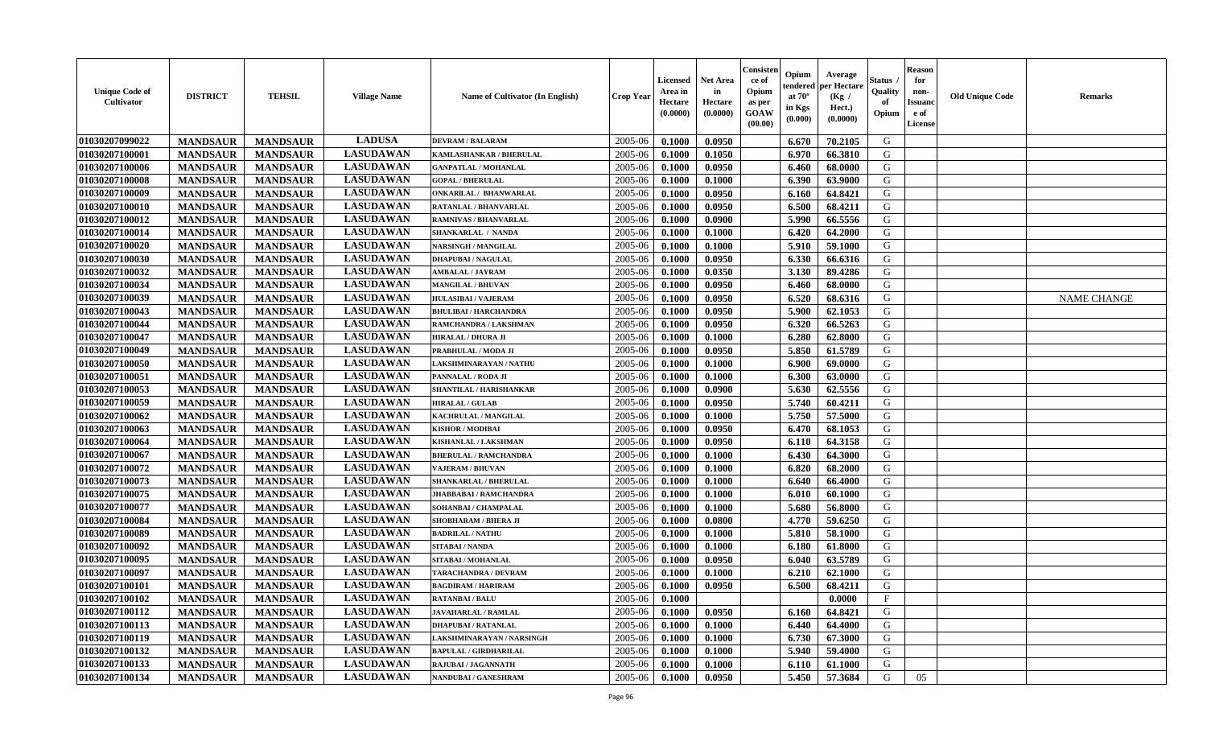| <b>Unique Code of</b><br><b>Cultivator</b> | <b>DISTRICT</b> | <b>TEHSIL</b>   | <b>Village Name</b> | Name of Cultivator (In English) | <b>Crop Year</b> | <b>Licensed</b><br>Area in<br>Hectare<br>(0.0000) | <b>Net Area</b><br>in<br>Hectare<br>(0.0000) | Consisteı<br>ce of<br>Opium<br>as per<br><b>GOAW</b><br>(00.00) | Opium<br>endered<br>at $70^\circ$<br>in Kgs<br>$(\mathbf{0.000})$ | Average<br>per Hectare<br>(Kg /<br>Hect.)<br>(0.0000) | Status<br>Quality<br>of<br>Opium | Reason<br>for<br>non-<br>Issuan<br>e of<br>License | <b>Old Unique Code</b> | <b>Remarks</b>     |
|--------------------------------------------|-----------------|-----------------|---------------------|---------------------------------|------------------|---------------------------------------------------|----------------------------------------------|-----------------------------------------------------------------|-------------------------------------------------------------------|-------------------------------------------------------|----------------------------------|----------------------------------------------------|------------------------|--------------------|
| 01030207099022                             | <b>MANDSAUR</b> | <b>MANDSAUR</b> | <b>LADUSA</b>       | <b>DEVRAM / BALARAM</b>         | 2005-06          | 0.1000                                            | 0.0950                                       |                                                                 | 6.670                                                             | 70.2105                                               | G                                |                                                    |                        |                    |
| 01030207100001                             | <b>MANDSAUR</b> | <b>MANDSAUR</b> | <b>LASUDAWAN</b>    | KAMLASHANKAR / BHERULAL         | 2005-06          | 0.1000                                            | 0.1050                                       |                                                                 | 6.970                                                             | 66.3810                                               | G                                |                                                    |                        |                    |
| 01030207100006                             | <b>MANDSAUR</b> | <b>MANDSAUR</b> | <b>LASUDAWAN</b>    | <b>GANPATLAL / MOHANLAL</b>     | 2005-06          | 0.1000                                            | 0.0950                                       |                                                                 | 6.460                                                             | 68.0000                                               | G                                |                                                    |                        |                    |
| 01030207100008                             | <b>MANDSAUR</b> | <b>MANDSAUR</b> | <b>LASUDAWAN</b>    | <b>GOPAL / BHERULAL</b>         | 2005-06          | 0.1000                                            | 0.1000                                       |                                                                 | 6.390                                                             | 63.9000                                               | G                                |                                                    |                        |                    |
| 01030207100009                             | <b>MANDSAUR</b> | <b>MANDSAUR</b> | <b>LASUDAWAN</b>    | ONKARILAL / BHANWARLAL          | 2005-06          | 0.1000                                            | 0.0950                                       |                                                                 | 6.160                                                             | 64.8421                                               | G                                |                                                    |                        |                    |
| 01030207100010                             | <b>MANDSAUR</b> | <b>MANDSAUR</b> | <b>LASUDAWAN</b>    | <b>RATANLAL / BHANVARLAL</b>    | 2005-06          | 0.1000                                            | 0.0950                                       |                                                                 | 6.500                                                             | 68.4211                                               | G                                |                                                    |                        |                    |
| 01030207100012                             | <b>MANDSAUR</b> | <b>MANDSAUR</b> | <b>LASUDAWAN</b>    | <b>RAMNIVAS / BHANVARLAL</b>    | 2005-06          | 0.1000                                            | 0.0900                                       |                                                                 | 5.990                                                             | 66.5556                                               | G                                |                                                    |                        |                    |
| 01030207100014                             | <b>MANDSAUR</b> | <b>MANDSAUR</b> | <b>LASUDAWAN</b>    | <b>SHANKARLAL / NANDA</b>       | 2005-06          | 0.1000                                            | 0.1000                                       |                                                                 | 6.420                                                             | 64.2000                                               | G                                |                                                    |                        |                    |
| 01030207100020                             | <b>MANDSAUR</b> | <b>MANDSAUR</b> | <b>LASUDAWAN</b>    | <b>NARSINGH / MANGILAL</b>      | 2005-06          | 0.1000                                            | 0.1000                                       |                                                                 | 5.910                                                             | 59.1000                                               | G                                |                                                    |                        |                    |
| 01030207100030                             | <b>MANDSAUR</b> | <b>MANDSAUR</b> | <b>LASUDAWAN</b>    | <b>DHAPUBAI/NAGULAL</b>         | 2005-06          | 0.1000                                            | 0.0950                                       |                                                                 | 6.330                                                             | 66.6316                                               | G                                |                                                    |                        |                    |
| 01030207100032                             | <b>MANDSAUR</b> | <b>MANDSAUR</b> | <b>LASUDAWAN</b>    | <b>AMBALAL / JAYRAM</b>         | 2005-06          | 0.1000                                            | 0.0350                                       |                                                                 | 3.130                                                             | 89.4286                                               | G                                |                                                    |                        |                    |
| 01030207100034                             | <b>MANDSAUR</b> | <b>MANDSAUR</b> | <b>LASUDAWAN</b>    | <b>MANGILAL / BHUVAN</b>        | 2005-06          | 0.1000                                            | 0.0950                                       |                                                                 | 6.460                                                             | 68.0000                                               | G                                |                                                    |                        |                    |
| 01030207100039                             | <b>MANDSAUR</b> | <b>MANDSAUR</b> | <b>LASUDAWAN</b>    | <b>HULASIBAI / VAJERAM</b>      | 2005-06          | 0.1000                                            | 0.0950                                       |                                                                 | 6.520                                                             | 68.6316                                               | G                                |                                                    |                        | <b>NAME CHANGE</b> |
| 01030207100043                             | <b>MANDSAUR</b> | <b>MANDSAUR</b> | <b>LASUDAWAN</b>    | <b>BHULIBAI / HARCHANDRA</b>    | 2005-06          | 0.1000                                            | 0.0950                                       |                                                                 | 5.900                                                             | 62.1053                                               | G                                |                                                    |                        |                    |
| 01030207100044                             | <b>MANDSAUR</b> | <b>MANDSAUR</b> | <b>LASUDAWAN</b>    | RAMCHANDRA / LAKSHMAN           | 2005-06          | 0.1000                                            | 0.0950                                       |                                                                 | 6.320                                                             | 66.5263                                               | G                                |                                                    |                        |                    |
| 01030207100047                             | <b>MANDSAUR</b> | <b>MANDSAUR</b> | <b>LASUDAWAN</b>    | <b>HIRALAL / DHURA JI</b>       | 2005-06          | 0.1000                                            | 0.1000                                       |                                                                 | 6.280                                                             | 62.8000                                               | G                                |                                                    |                        |                    |
| 01030207100049                             | <b>MANDSAUR</b> | <b>MANDSAUR</b> | <b>LASUDAWAN</b>    | PRABHULAL / MODA JI             | 2005-06          | 0.1000                                            | 0.0950                                       |                                                                 | 5.850                                                             | 61.5789                                               | G                                |                                                    |                        |                    |
| 01030207100050                             | <b>MANDSAUR</b> | <b>MANDSAUR</b> | <b>LASUDAWAN</b>    | LAKSHMINARAYAN / NATHU          | 2005-06          | 0.1000                                            | 0.1000                                       |                                                                 | 6.900                                                             | 69.0000                                               | G                                |                                                    |                        |                    |
| 01030207100051                             | <b>MANDSAUR</b> | <b>MANDSAUR</b> | <b>LASUDAWAN</b>    | PANNALAL / RODA JI              | 2005-06          | 0.1000                                            | 0.1000                                       |                                                                 | 6.300                                                             | 63.0000                                               | G                                |                                                    |                        |                    |
| 01030207100053                             | <b>MANDSAUR</b> | <b>MANDSAUR</b> | <b>LASUDAWAN</b>    | SHANTILAL / HARISHANKAR         | 2005-06          | 0.1000                                            | 0.0900                                       |                                                                 | 5.630                                                             | 62.5556                                               | G                                |                                                    |                        |                    |
| 01030207100059                             | <b>MANDSAUR</b> | <b>MANDSAUR</b> | <b>LASUDAWAN</b>    | <b>HIRALAL / GULAB</b>          | 2005-06          | 0.1000                                            | 0.0950                                       |                                                                 | 5.740                                                             | 60.4211                                               | G                                |                                                    |                        |                    |
| 01030207100062                             | <b>MANDSAUR</b> | <b>MANDSAUR</b> | <b>LASUDAWAN</b>    | KACHRULAL / MANGILAL            | 2005-06          | 0.1000                                            | 0.1000                                       |                                                                 | 5.750                                                             | 57.5000                                               | G                                |                                                    |                        |                    |
| 01030207100063                             | <b>MANDSAUR</b> | <b>MANDSAUR</b> | <b>LASUDAWAN</b>    | <b>KISHOR / MODIBAI</b>         | 2005-06          | 0.1000                                            | 0.0950                                       |                                                                 | 6.470                                                             | 68.1053                                               | G                                |                                                    |                        |                    |
| 01030207100064                             | <b>MANDSAUR</b> | <b>MANDSAUR</b> | <b>LASUDAWAN</b>    | KISHANLAL / LAKSHMAN            | 2005-06          | 0.1000                                            | 0.0950                                       |                                                                 | 6.110                                                             | 64.3158                                               | G                                |                                                    |                        |                    |
| 01030207100067                             | <b>MANDSAUR</b> | <b>MANDSAUR</b> | <b>LASUDAWAN</b>    | <b>BHERULAL / RAMCHANDRA</b>    | 2005-06          | 0.1000                                            | 0.1000                                       |                                                                 | 6.430                                                             | 64.3000                                               | G                                |                                                    |                        |                    |
| 01030207100072                             | <b>MANDSAUR</b> | <b>MANDSAUR</b> | <b>LASUDAWAN</b>    | <b>VAJERAM / BHUVAN</b>         | 2005-06          | 0.1000                                            | 0.1000                                       |                                                                 | 6.820                                                             | 68.2000                                               | G                                |                                                    |                        |                    |
| 01030207100073                             | <b>MANDSAUR</b> | <b>MANDSAUR</b> | <b>LASUDAWAN</b>    | SHANKARLAL / BHERULAL           | 2005-06          | 0.1000                                            | 0.1000                                       |                                                                 | 6.640                                                             | 66.4000                                               | G                                |                                                    |                        |                    |
| 01030207100075                             | <b>MANDSAUR</b> | <b>MANDSAUR</b> | <b>LASUDAWAN</b>    | JHABBABAI / RAMCHANDRA          | 2005-06          | 0.1000                                            | 0.1000                                       |                                                                 | 6.010                                                             | 60.1000                                               | G                                |                                                    |                        |                    |
| 01030207100077                             | <b>MANDSAUR</b> | <b>MANDSAUR</b> | <b>LASUDAWAN</b>    | SOHANBAI / CHAMPALAL            | 2005-06          | 0.1000                                            | 0.1000                                       |                                                                 | 5.680                                                             | 56.8000                                               | G                                |                                                    |                        |                    |
| 01030207100084                             | <b>MANDSAUR</b> | <b>MANDSAUR</b> | <b>LASUDAWAN</b>    | SHOBHARAM / BHERA JI            | 2005-06          | 0.1000                                            | 0.0800                                       |                                                                 | 4.770                                                             | 59.6250                                               | G                                |                                                    |                        |                    |
| 01030207100089                             | <b>MANDSAUR</b> | <b>MANDSAUR</b> | <b>LASUDAWAN</b>    | <b>BADRILAL / NATHU</b>         | 2005-06          | 0.1000                                            | 0.1000                                       |                                                                 | 5.810                                                             | 58.1000                                               | G                                |                                                    |                        |                    |
| 01030207100092                             | <b>MANDSAUR</b> | <b>MANDSAUR</b> | <b>LASUDAWAN</b>    | SITABAI / NANDA                 | 2005-06          | 0.1000                                            | 0.1000                                       |                                                                 | 6.180                                                             | 61.8000                                               | G                                |                                                    |                        |                    |
| 01030207100095                             | <b>MANDSAUR</b> | <b>MANDSAUR</b> | <b>LASUDAWAN</b>    | SITABAI / MOHANLAL              | 2005-06          | 0.1000                                            | 0.0950                                       |                                                                 | 6.040                                                             | 63.5789                                               | G                                |                                                    |                        |                    |
| 01030207100097                             | <b>MANDSAUR</b> | <b>MANDSAUR</b> | <b>LASUDAWAN</b>    | TARACHANDRA / DEVRAM            | 2005-06          | 0.1000                                            | 0.1000                                       |                                                                 | 6.210                                                             | 62.1000                                               | G                                |                                                    |                        |                    |
| 01030207100101                             | <b>MANDSAUR</b> | <b>MANDSAUR</b> | <b>LASUDAWAN</b>    | <b>BAGDIRAM / HARIRAM</b>       | 2005-06          | 0.1000                                            | 0.0950                                       |                                                                 | 6.500                                                             | 68.4211                                               | G                                |                                                    |                        |                    |
| <b>01030207100102</b>                      | <b>MANDSAUR</b> | <b>MANDSAUR</b> | <b>LASUDAWAN</b>    | <b>RATANBAI/BALU</b>            | $2005-06$ 0.1000 |                                                   |                                              |                                                                 |                                                                   | 0.0000                                                | F                                |                                                    |                        |                    |
| 01030207100112                             | <b>MANDSAUR</b> | <b>MANDSAUR</b> | <b>LASUDAWAN</b>    | <b>JAVAHARLAL / RAMLAL</b>      | 2005-06          | 0.1000                                            | 0.0950                                       |                                                                 | 6.160                                                             | 64.8421                                               | G                                |                                                    |                        |                    |
| 01030207100113                             | <b>MANDSAUR</b> | <b>MANDSAUR</b> | <b>LASUDAWAN</b>    | <b>DHAPUBAI/RATANLAL</b>        | 2005-06          | 0.1000                                            | 0.1000                                       |                                                                 | 6.440                                                             | 64.4000                                               | G                                |                                                    |                        |                    |
| 01030207100119                             | <b>MANDSAUR</b> | <b>MANDSAUR</b> | <b>LASUDAWAN</b>    | LAKSHMINARAYAN / NARSINGH       | 2005-06          | 0.1000                                            | 0.1000                                       |                                                                 | 6.730                                                             | 67.3000                                               | G                                |                                                    |                        |                    |
| 01030207100132                             | <b>MANDSAUR</b> | <b>MANDSAUR</b> | <b>LASUDAWAN</b>    | <b>BAPULAL / GIRDHARILAL</b>    | 2005-06          | 0.1000                                            | 0.1000                                       |                                                                 | 5.940                                                             | 59.4000                                               | G                                |                                                    |                        |                    |
| 01030207100133                             | <b>MANDSAUR</b> | <b>MANDSAUR</b> | <b>LASUDAWAN</b>    | RAJUBAI / JAGANNATH             | 2005-06          | 0.1000                                            | 0.1000                                       |                                                                 | 6.110                                                             | 61.1000                                               | G                                |                                                    |                        |                    |
| 01030207100134                             | <b>MANDSAUR</b> | <b>MANDSAUR</b> | <b>LASUDAWAN</b>    | NANDUBAI / GANESHRAM            | 2005-06          | 0.1000                                            | 0.0950                                       |                                                                 | 5.450                                                             | 57.3684                                               | G                                | 05                                                 |                        |                    |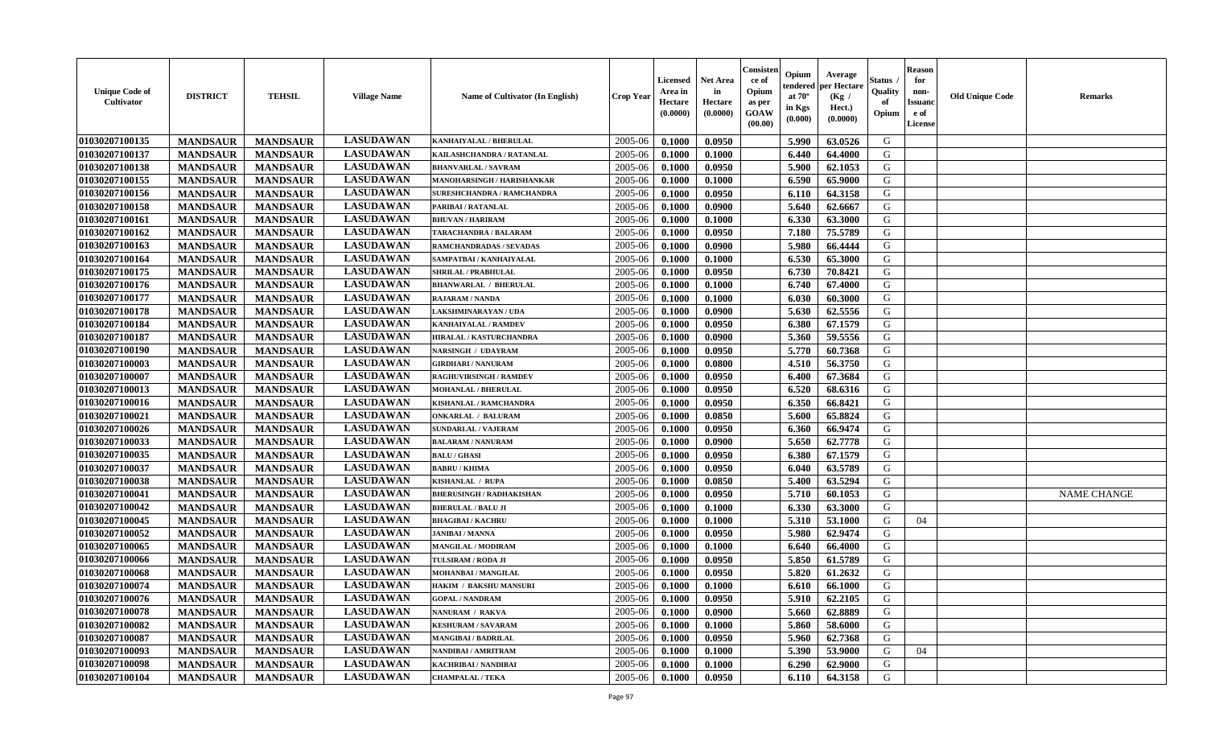| <b>Unique Code of</b><br>Cultivator | <b>DISTRICT</b> | <b>TEHSIL</b>   | <b>Village Name</b> | Name of Cultivator (In English) | <b>Crop Year</b> | <b>Licensed</b><br>Area in<br>Hectare<br>(0.0000) | <b>Net Area</b><br>in<br>Hectare<br>(0.0000) | Consister<br>ce of<br>Opium<br>as per<br><b>GOAW</b><br>(00.00) | Opium<br>endered<br>at $70^{\circ}$<br>in Kgs<br>$(\mathbf{0.000})$ | Average<br>per Hectare<br>(Kg /<br>Hect.)<br>(0.0000) | Status<br>Quality<br>of<br>Opium | <b>Reason</b><br>for<br>non-<br><b>Issuanc</b><br>e of<br>License | <b>Old Unique Code</b> | <b>Remarks</b>     |
|-------------------------------------|-----------------|-----------------|---------------------|---------------------------------|------------------|---------------------------------------------------|----------------------------------------------|-----------------------------------------------------------------|---------------------------------------------------------------------|-------------------------------------------------------|----------------------------------|-------------------------------------------------------------------|------------------------|--------------------|
| 01030207100135                      | <b>MANDSAUR</b> | <b>MANDSAUR</b> | <b>LASUDAWAN</b>    | KANHAIYALAL / BHERULAL          | 2005-06          | 0.1000                                            | 0.0950                                       |                                                                 | 5.990                                                               | 63.0526                                               | G                                |                                                                   |                        |                    |
| 01030207100137                      | <b>MANDSAUR</b> | <b>MANDSAUR</b> | <b>LASUDAWAN</b>    | KAILASHCHANDRA / RATANLAL       | 2005-06          | 0.1000                                            | 0.1000                                       |                                                                 | 6.440                                                               | 64.4000                                               | G                                |                                                                   |                        |                    |
| 01030207100138                      | <b>MANDSAUR</b> | <b>MANDSAUR</b> | <b>LASUDAWAN</b>    | <b>BHANVARLAL / SAVRAM</b>      | 2005-06          | 0.1000                                            | 0.0950                                       |                                                                 | 5.900                                                               | 62.1053                                               | G                                |                                                                   |                        |                    |
| 01030207100155                      | <b>MANDSAUR</b> | <b>MANDSAUR</b> | <b>LASUDAWAN</b>    | MANOHARSINGH / HARISHANKAR      | 2005-06          | 0.1000                                            | 0.1000                                       |                                                                 | 6.590                                                               | 65.9000                                               | G                                |                                                                   |                        |                    |
| 01030207100156                      | <b>MANDSAUR</b> | <b>MANDSAUR</b> | <b>LASUDAWAN</b>    | SURESHCHANDRA / RAMCHANDRA      | 2005-06          | 0.1000                                            | 0.0950                                       |                                                                 | 6.110                                                               | 64.3158                                               | G                                |                                                                   |                        |                    |
| 01030207100158                      | <b>MANDSAUR</b> | <b>MANDSAUR</b> | <b>LASUDAWAN</b>    | PARIBAI / RATANLAL              | 2005-06          | 0.1000                                            | 0.0900                                       |                                                                 | 5.640                                                               | 62.6667                                               | G                                |                                                                   |                        |                    |
| 01030207100161                      | <b>MANDSAUR</b> | <b>MANDSAUR</b> | <b>LASUDAWAN</b>    | <b>BHUVAN / HARIRAM</b>         | 2005-06          | 0.1000                                            | 0.1000                                       |                                                                 | 6.330                                                               | 63.3000                                               | G                                |                                                                   |                        |                    |
| 01030207100162                      | <b>MANDSAUR</b> | <b>MANDSAUR</b> | <b>LASUDAWAN</b>    | TARACHANDRA / BALARAM           | 2005-06          | 0.1000                                            | 0.0950                                       |                                                                 | 7.180                                                               | 75.5789                                               | G                                |                                                                   |                        |                    |
| 01030207100163                      | <b>MANDSAUR</b> | <b>MANDSAUR</b> | <b>LASUDAWAN</b>    | RAMCHANDRADAS / SEVADAS         | 2005-06          | 0.1000                                            | 0.0900                                       |                                                                 | 5.980                                                               | 66.4444                                               | G                                |                                                                   |                        |                    |
| 01030207100164                      | <b>MANDSAUR</b> | <b>MANDSAUR</b> | <b>LASUDAWAN</b>    | SAMPATBAI / KANHAIYALAL         | 2005-06          | 0.1000                                            | 0.1000                                       |                                                                 | 6.530                                                               | 65.3000                                               | G                                |                                                                   |                        |                    |
| 01030207100175                      | <b>MANDSAUR</b> | <b>MANDSAUR</b> | <b>LASUDAWAN</b>    | SHRILAL / PRABHULAL             | 2005-06          | 0.1000                                            | 0.0950                                       |                                                                 | 6.730                                                               | 70.8421                                               | G                                |                                                                   |                        |                    |
| 01030207100176                      | <b>MANDSAUR</b> | <b>MANDSAUR</b> | <b>LASUDAWAN</b>    | <b>BHANWARLAL / BHERULAL</b>    | 2005-06          | 0.1000                                            | 0.1000                                       |                                                                 | 6.740                                                               | 67.4000                                               | G                                |                                                                   |                        |                    |
| 01030207100177                      | <b>MANDSAUR</b> | <b>MANDSAUR</b> | <b>LASUDAWAN</b>    | <b>RAJARAM / NANDA</b>          | 2005-06          | 0.1000                                            | 0.1000                                       |                                                                 | 6.030                                                               | 60.3000                                               | G                                |                                                                   |                        |                    |
| 01030207100178                      | <b>MANDSAUR</b> | <b>MANDSAUR</b> | <b>LASUDAWAN</b>    | AKSHMINARAYAN / UDA             | 2005-06          | 0.1000                                            | 0.0900                                       |                                                                 | 5.630                                                               | 62.5556                                               | G                                |                                                                   |                        |                    |
| 01030207100184                      | <b>MANDSAUR</b> | <b>MANDSAUR</b> | <b>LASUDAWAN</b>    | KANHAIYALAL / RAMDEV            | 2005-06          | 0.1000                                            | 0.0950                                       |                                                                 | 6.380                                                               | 67.1579                                               | G                                |                                                                   |                        |                    |
| 01030207100187                      | <b>MANDSAUR</b> | <b>MANDSAUR</b> | <b>LASUDAWAN</b>    | HIRALAL / KASTURCHANDRA         | 2005-06          | 0.1000                                            | 0.0900                                       |                                                                 | 5.360                                                               | 59.5556                                               | G                                |                                                                   |                        |                    |
| 01030207100190                      | <b>MANDSAUR</b> | <b>MANDSAUR</b> | <b>LASUDAWAN</b>    | NARSINGH / UDAYRAM              | 2005-06          | 0.1000                                            | 0.0950                                       |                                                                 | 5.770                                                               | 60.7368                                               | G                                |                                                                   |                        |                    |
| 01030207100003                      | <b>MANDSAUR</b> | <b>MANDSAUR</b> | <b>LASUDAWAN</b>    | <b>GIRDHARI / NANURAM</b>       | 2005-06          | 0.1000                                            | 0.0800                                       |                                                                 | 4.510                                                               | 56.3750                                               | G                                |                                                                   |                        |                    |
| 01030207100007                      | <b>MANDSAUR</b> | <b>MANDSAUR</b> | <b>LASUDAWAN</b>    | RAGHUVIRSINGH / RAMDEV          | 2005-06          | 0.1000                                            | 0.0950                                       |                                                                 | 6.400                                                               | 67.3684                                               | G                                |                                                                   |                        |                    |
| 01030207100013                      | <b>MANDSAUR</b> | <b>MANDSAUR</b> | <b>LASUDAWAN</b>    | <b>MOHANLAL / BHERULAL</b>      | 2005-06          | 0.1000                                            | 0.0950                                       |                                                                 | 6.520                                                               | 68.6316                                               | G                                |                                                                   |                        |                    |
| 01030207100016                      | <b>MANDSAUR</b> | <b>MANDSAUR</b> | <b>LASUDAWAN</b>    | KISHANLAL / RAMCHANDRA          | 2005-06          | 0.1000                                            | 0.0950                                       |                                                                 | 6.350                                                               | 66.8421                                               | G                                |                                                                   |                        |                    |
| 01030207100021                      | <b>MANDSAUR</b> | <b>MANDSAUR</b> | <b>LASUDAWAN</b>    | <b>ONKARLAL / BALURAM</b>       | 2005-06          | 0.1000                                            | 0.0850                                       |                                                                 | 5.600                                                               | 65.8824                                               | G                                |                                                                   |                        |                    |
| 01030207100026                      | <b>MANDSAUR</b> | <b>MANDSAUR</b> | <b>LASUDAWAN</b>    | <b>SUNDARLAL / VAJERAM</b>      | 2005-06          | 0.1000                                            | 0.0950                                       |                                                                 | 6.360                                                               | 66.9474                                               | G                                |                                                                   |                        |                    |
| 01030207100033                      | <b>MANDSAUR</b> | <b>MANDSAUR</b> | <b>LASUDAWAN</b>    | <b>BALARAM / NANURAM</b>        | 2005-06          | 0.1000                                            | 0.0900                                       |                                                                 | 5.650                                                               | 62.7778                                               | G                                |                                                                   |                        |                    |
| 01030207100035                      | <b>MANDSAUR</b> | <b>MANDSAUR</b> | <b>LASUDAWAN</b>    | <b>BALU / GHASI</b>             | 2005-06          | 0.1000                                            | 0.0950                                       |                                                                 | 6.380                                                               | 67.1579                                               | G                                |                                                                   |                        |                    |
| 01030207100037                      | <b>MANDSAUR</b> | <b>MANDSAUR</b> | <b>LASUDAWAN</b>    | <b>BABRU / KHIMA</b>            | 2005-06          | 0.1000                                            | 0.0950                                       |                                                                 | 6.040                                                               | 63.5789                                               | G                                |                                                                   |                        |                    |
| 01030207100038                      | <b>MANDSAUR</b> | <b>MANDSAUR</b> | <b>LASUDAWAN</b>    | KISHANLAL / RUPA                | 2005-06          | 0.1000                                            | 0.0850                                       |                                                                 | 5.400                                                               | 63.5294                                               | G                                |                                                                   |                        |                    |
| 01030207100041                      | <b>MANDSAUR</b> | <b>MANDSAUR</b> | <b>LASUDAWAN</b>    | <b>BHERUSINGH / RADHAKISHAN</b> | 2005-06          | 0.1000                                            | 0.0950                                       |                                                                 | 5.710                                                               | 60.1053                                               | G                                |                                                                   |                        | <b>NAME CHANGE</b> |
| 01030207100042                      | <b>MANDSAUR</b> | <b>MANDSAUR</b> | <b>LASUDAWAN</b>    | <b>BHERULAL / BALU JI</b>       | 2005-06          | 0.1000                                            | 0.1000                                       |                                                                 | 6.330                                                               | 63.3000                                               | G                                |                                                                   |                        |                    |
| 01030207100045                      | <b>MANDSAUR</b> | <b>MANDSAUR</b> | <b>LASUDAWAN</b>    | <b>BHAGIBAI / KACHRU</b>        | 2005-06          | 0.1000                                            | 0.1000                                       |                                                                 | 5.310                                                               | 53.1000                                               | G                                | 04                                                                |                        |                    |
| 01030207100052                      | <b>MANDSAUR</b> | <b>MANDSAUR</b> | <b>LASUDAWAN</b>    | <b>JANIBAI / MANNA</b>          | 2005-06          | 0.1000                                            | 0.0950                                       |                                                                 | 5.980                                                               | 62.9474                                               | G                                |                                                                   |                        |                    |
| 01030207100065                      | <b>MANDSAUR</b> | <b>MANDSAUR</b> | <b>LASUDAWAN</b>    | MANGILAL / MODIRAM              | 2005-06          | 0.1000                                            | 0.1000                                       |                                                                 | 6.640                                                               | 66.4000                                               | G                                |                                                                   |                        |                    |
| 01030207100066                      | <b>MANDSAUR</b> | <b>MANDSAUR</b> | <b>LASUDAWAN</b>    | TULSIRAM / RODA JI              | 2005-06          | 0.1000                                            | 0.0950                                       |                                                                 | 5.850                                                               | 61.5789                                               | G                                |                                                                   |                        |                    |
| 01030207100068                      | <b>MANDSAUR</b> | <b>MANDSAUR</b> | <b>LASUDAWAN</b>    | <b>MOHANBAI/MANGILAL</b>        | 2005-06          | 0.1000                                            | 0.0950                                       |                                                                 | 5.820                                                               | 61.2632                                               | G                                |                                                                   |                        |                    |
| 01030207100074                      | <b>MANDSAUR</b> | <b>MANDSAUR</b> | <b>LASUDAWAN</b>    | HAKIM / BAKSHU MANSURI          | 2005-06          | 0.1000                                            | 0.1000                                       |                                                                 | 6.610                                                               | 66.1000                                               | G                                |                                                                   |                        |                    |
| 01030207100076                      | <b>MANDSAUR</b> | MANDSAUR        | <b>LASUDAWAN</b>    | <b>GOPAL / NANDRAM</b>          | $2005 - 06$      | 0.1000                                            | 0.0950                                       |                                                                 | $5.910$                                                             | 62.2105                                               | G                                |                                                                   |                        |                    |
| 01030207100078                      | <b>MANDSAUR</b> | <b>MANDSAUR</b> | <b>LASUDAWAN</b>    | NANURAM / RAKVA                 | 2005-06          | 0.1000                                            | 0.0900                                       |                                                                 | 5.660                                                               | 62.8889                                               | G                                |                                                                   |                        |                    |
| 01030207100082                      | <b>MANDSAUR</b> | <b>MANDSAUR</b> | <b>LASUDAWAN</b>    | <b>KESHURAM / SAVARAM</b>       | 2005-06          | 0.1000                                            | 0.1000                                       |                                                                 | 5.860                                                               | 58.6000                                               | G                                |                                                                   |                        |                    |
| 01030207100087                      | <b>MANDSAUR</b> | <b>MANDSAUR</b> | <b>LASUDAWAN</b>    | <b>MANGIBAI / BADRILAL</b>      | 2005-06          | 0.1000                                            | 0.0950                                       |                                                                 | 5.960                                                               | 62.7368                                               | G                                |                                                                   |                        |                    |
| 01030207100093                      | <b>MANDSAUR</b> | <b>MANDSAUR</b> | <b>LASUDAWAN</b>    | NANDIBAI / AMRITRAM             | 2005-06          | 0.1000                                            | 0.1000                                       |                                                                 | 5.390                                                               | 53.9000                                               | G                                | 04                                                                |                        |                    |
| 01030207100098                      | <b>MANDSAUR</b> | <b>MANDSAUR</b> | <b>LASUDAWAN</b>    | KACHRIBAI / NANDIBAI            | 2005-06          | 0.1000                                            | 0.1000                                       |                                                                 | 6.290                                                               | 62.9000                                               | G                                |                                                                   |                        |                    |
| 01030207100104                      | <b>MANDSAUR</b> | <b>MANDSAUR</b> | <b>LASUDAWAN</b>    | <b>CHAMPALAL / TEKA</b>         | 2005-06          | 0.1000                                            | 0.0950                                       |                                                                 | 6.110                                                               | 64.3158                                               | G                                |                                                                   |                        |                    |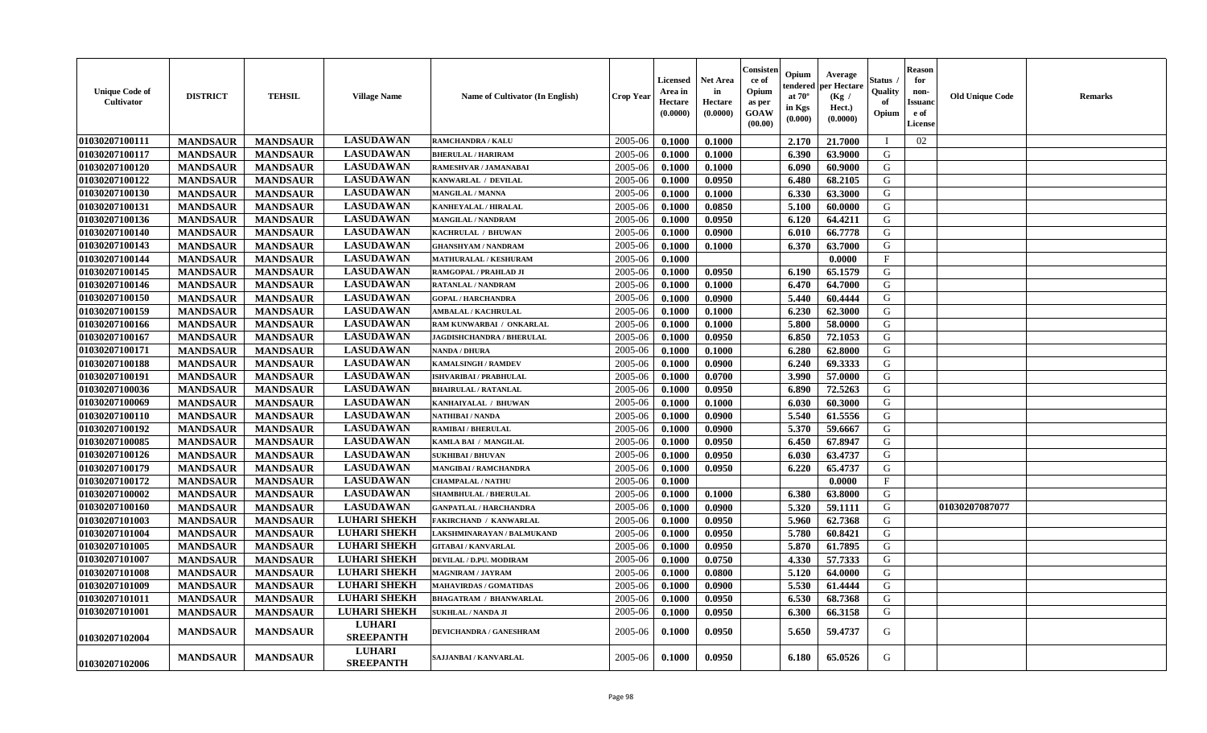| <b>Unique Code of</b><br>Cultivator | <b>DISTRICT</b> | <b>TEHSIL</b>   | <b>Village Name</b>               | Name of Cultivator (In English)  | <b>Crop Year</b> | Licensed<br>Area in<br>Hectare<br>(0.0000) | <b>Net Area</b><br>in<br>Hectare<br>(0.0000) | Consister<br>ce of<br>Opium<br>as per<br><b>GOAW</b><br>(00.00) | Opium<br>endered<br>at $70^\circ$<br>in Kgs<br>(0.000) | Average<br>per Hectare<br>(Kg /<br>Hect.)<br>(0.0000) | <b>Status</b><br>Quality<br>of<br>Opium | <b>Reason</b><br>for<br>non-<br><b>Issuanc</b><br>e of<br>License | <b>Old Unique Code</b> | <b>Remarks</b> |
|-------------------------------------|-----------------|-----------------|-----------------------------------|----------------------------------|------------------|--------------------------------------------|----------------------------------------------|-----------------------------------------------------------------|--------------------------------------------------------|-------------------------------------------------------|-----------------------------------------|-------------------------------------------------------------------|------------------------|----------------|
| 01030207100111                      | <b>MANDSAUR</b> | <b>MANDSAUR</b> | <b>LASUDAWAN</b>                  | <b>RAMCHANDRA / KALU</b>         | 2005-06          | 0.1000                                     | 0.1000                                       |                                                                 | 2.170                                                  | 21.7000                                               | - I                                     | 02                                                                |                        |                |
| 01030207100117                      | <b>MANDSAUR</b> | <b>MANDSAUR</b> | <b>LASUDAWAN</b>                  | <b>BHERULAL / HARIRAM</b>        | 2005-06          | 0.1000                                     | 0.1000                                       |                                                                 | 6.390                                                  | 63.9000                                               | G                                       |                                                                   |                        |                |
| 01030207100120                      | <b>MANDSAUR</b> | <b>MANDSAUR</b> | <b>LASUDAWAN</b>                  | RAMESHVAR / JAMANABAI            | 2005-06          | 0.1000                                     | 0.1000                                       |                                                                 | 6.090                                                  | 60.9000                                               | G                                       |                                                                   |                        |                |
| 01030207100122                      | <b>MANDSAUR</b> | <b>MANDSAUR</b> | <b>LASUDAWAN</b>                  | KANWARLAL / DEVILAL              | 2005-06          | 0.1000                                     | 0.0950                                       |                                                                 | 6.480                                                  | 68.2105                                               | G                                       |                                                                   |                        |                |
| 01030207100130                      | <b>MANDSAUR</b> | <b>MANDSAUR</b> | <b>LASUDAWAN</b>                  | MANGILAL / MANNA                 | 2005-06          | 0.1000                                     | 0.1000                                       |                                                                 | 6.330                                                  | 63.3000                                               | G                                       |                                                                   |                        |                |
| 01030207100131                      | <b>MANDSAUR</b> | <b>MANDSAUR</b> | <b>LASUDAWAN</b>                  | KANHEYALAL / HIRALAL             | 2005-06          | 0.1000                                     | 0.0850                                       |                                                                 | 5.100                                                  | 60.0000                                               | G                                       |                                                                   |                        |                |
| 01030207100136                      | <b>MANDSAUR</b> | <b>MANDSAUR</b> | <b>LASUDAWAN</b>                  | <b>MANGILAL / NANDRAM</b>        | 2005-06          | 0.1000                                     | 0.0950                                       |                                                                 | 6.120                                                  | 64.4211                                               | G                                       |                                                                   |                        |                |
| 01030207100140                      | <b>MANDSAUR</b> | <b>MANDSAUR</b> | <b>LASUDAWAN</b>                  | KACHRULAL / BHUWAN               | 2005-06          | 0.1000                                     | 0.0900                                       |                                                                 | 6.010                                                  | 66.7778                                               | G                                       |                                                                   |                        |                |
| 01030207100143                      | <b>MANDSAUR</b> | <b>MANDSAUR</b> | <b>LASUDAWAN</b>                  | <b>GHANSHYAM / NANDRAM</b>       | 2005-06          | 0.1000                                     | 0.1000                                       |                                                                 | 6.370                                                  | 63.7000                                               | G                                       |                                                                   |                        |                |
| 01030207100144                      | <b>MANDSAUR</b> | <b>MANDSAUR</b> | <b>LASUDAWAN</b>                  | MATHURALAL / KESHURAM            | 2005-06          | 0.1000                                     |                                              |                                                                 |                                                        | 0.0000                                                | $\mathbf{F}$                            |                                                                   |                        |                |
| 01030207100145                      | <b>MANDSAUR</b> | <b>MANDSAUR</b> | <b>LASUDAWAN</b>                  | RAMGOPAL / PRAHLAD JI            | 2005-06          | 0.1000                                     | 0.0950                                       |                                                                 | 6.190                                                  | 65.1579                                               | G                                       |                                                                   |                        |                |
| 01030207100146                      | <b>MANDSAUR</b> | <b>MANDSAUR</b> | <b>LASUDAWAN</b>                  | <b>RATANLAL / NANDRAM</b>        | 2005-06          | 0.1000                                     | 0.1000                                       |                                                                 | 6.470                                                  | 64.7000                                               | G                                       |                                                                   |                        |                |
| 01030207100150                      | <b>MANDSAUR</b> | <b>MANDSAUR</b> | <b>LASUDAWAN</b>                  | <b>GOPAL / HARCHANDRA</b>        | 2005-06          | 0.1000                                     | 0.0900                                       |                                                                 | 5.440                                                  | 60.4444                                               | G                                       |                                                                   |                        |                |
| 01030207100159                      | <b>MANDSAUR</b> | <b>MANDSAUR</b> | <b>LASUDAWAN</b>                  | <b>AMBALAL / KACHRULAL</b>       | 2005-06          | 0.1000                                     | 0.1000                                       |                                                                 | 6.230                                                  | 62.3000                                               | G                                       |                                                                   |                        |                |
| 01030207100166                      | <b>MANDSAUR</b> | <b>MANDSAUR</b> | <b>LASUDAWAN</b>                  | RAM KUNWARBAI / ONKARLAL         | 2005-06          | 0.1000                                     | 0.1000                                       |                                                                 | 5.800                                                  | 58.0000                                               | G                                       |                                                                   |                        |                |
| 01030207100167                      | <b>MANDSAUR</b> | <b>MANDSAUR</b> | <b>LASUDAWAN</b>                  | <b>JAGDISHCHANDRA / BHERULAL</b> | 2005-06          | 0.1000                                     | 0.0950                                       |                                                                 | 6.850                                                  | 72.1053                                               | G                                       |                                                                   |                        |                |
| 01030207100171                      | <b>MANDSAUR</b> | <b>MANDSAUR</b> | <b>LASUDAWAN</b>                  | <b>NANDA / DHURA</b>             | 2005-06          | 0.1000                                     | 0.1000                                       |                                                                 | 6.280                                                  | 62.8000                                               | G                                       |                                                                   |                        |                |
| 01030207100188                      | <b>MANDSAUR</b> | <b>MANDSAUR</b> | <b>LASUDAWAN</b>                  | KAMALSINGH / RAMDEV              | 2005-06          | 0.1000                                     | 0.0900                                       |                                                                 | 6.240                                                  | 69.3333                                               | ${\bf G}$                               |                                                                   |                        |                |
| 01030207100191                      | <b>MANDSAUR</b> | <b>MANDSAUR</b> | <b>LASUDAWAN</b>                  | ISHVARIBAI / PRABHULAL           | 2005-06          | 0.1000                                     | 0.0700                                       |                                                                 | 3.990                                                  | 57.0000                                               | G                                       |                                                                   |                        |                |
| 01030207100036                      | <b>MANDSAUR</b> | <b>MANDSAUR</b> | <b>LASUDAWAN</b>                  | <b>BHAIRULAL / RATANLAL</b>      | 2005-06          | 0.1000                                     | 0.0950                                       |                                                                 | 6.890                                                  | 72.5263                                               | G                                       |                                                                   |                        |                |
| 01030207100069                      | <b>MANDSAUR</b> | <b>MANDSAUR</b> | <b>LASUDAWAN</b>                  | KANHAIYALAL / BHUWAN             | 2005-06          | 0.1000                                     | 0.1000                                       |                                                                 | 6.030                                                  | 60.3000                                               | G                                       |                                                                   |                        |                |
| 01030207100110                      | <b>MANDSAUR</b> | <b>MANDSAUR</b> | <b>LASUDAWAN</b>                  | NATHIBAI / NANDA                 | 2005-06          | 0.1000                                     | 0.0900                                       |                                                                 | 5.540                                                  | 61.5556                                               | G                                       |                                                                   |                        |                |
| 01030207100192                      | <b>MANDSAUR</b> | <b>MANDSAUR</b> | <b>LASUDAWAN</b>                  | RAMIBAI / BHERULAL               | 2005-06          | 0.1000                                     | 0.0900                                       |                                                                 | 5.370                                                  | 59.6667                                               | ${\bf G}$                               |                                                                   |                        |                |
| 01030207100085                      | <b>MANDSAUR</b> | <b>MANDSAUR</b> | <b>LASUDAWAN</b>                  | KAMLA BAI / MANGILAL             | 2005-06          | 0.1000                                     | 0.0950                                       |                                                                 | 6.450                                                  | 67.8947                                               | G                                       |                                                                   |                        |                |
| 01030207100126                      | <b>MANDSAUR</b> | <b>MANDSAUR</b> | <b>LASUDAWAN</b>                  | <b>SUKHIBAI / BHUVAN</b>         | 2005-06          | 0.1000                                     | 0.0950                                       |                                                                 | 6.030                                                  | 63.4737                                               | G                                       |                                                                   |                        |                |
| 01030207100179                      | <b>MANDSAUR</b> | <b>MANDSAUR</b> | <b>LASUDAWAN</b>                  | <b>MANGIBAI/RAMCHANDRA</b>       | 2005-06          | 0.1000                                     | 0.0950                                       |                                                                 | 6.220                                                  | 65.4737                                               | G                                       |                                                                   |                        |                |
| 01030207100172                      | <b>MANDSAUR</b> | <b>MANDSAUR</b> | <b>LASUDAWAN</b>                  | <b>CHAMPALAL / NATHU</b>         | 2005-06          | 0.1000                                     |                                              |                                                                 |                                                        | 0.0000                                                | $\mathbf{F}$                            |                                                                   |                        |                |
| 01030207100002                      | <b>MANDSAUR</b> | <b>MANDSAUR</b> | <b>LASUDAWAN</b>                  | <b>SHAMBHULAL / BHERULAL</b>     | 2005-06          | 0.1000                                     | 0.1000                                       |                                                                 | 6.380                                                  | 63.8000                                               | G                                       |                                                                   |                        |                |
| 01030207100160                      | <b>MANDSAUR</b> | <b>MANDSAUR</b> | <b>LASUDAWAN</b>                  | <b>GANPATLAL / HARCHANDRA</b>    | 2005-06          | 0.1000                                     | 0.0900                                       |                                                                 | 5.320                                                  | 59.1111                                               | G                                       |                                                                   | 01030207087077         |                |
| 01030207101003                      | <b>MANDSAUR</b> | <b>MANDSAUR</b> | <b>LUHARI SHEKH</b>               | <b>FAKIRCHAND / KANWARLAL</b>    | 2005-06          | 0.1000                                     | 0.0950                                       |                                                                 | 5.960                                                  | 62.7368                                               | G                                       |                                                                   |                        |                |
| 01030207101004                      | <b>MANDSAUR</b> | <b>MANDSAUR</b> | <b>LUHARI SHEKH</b>               | LAKSHMINARAYAN / BALMUKAND       | 2005-06          | 0.1000                                     | 0.0950                                       |                                                                 | 5.780                                                  | 60.8421                                               | G                                       |                                                                   |                        |                |
| 01030207101005                      | <b>MANDSAUR</b> | <b>MANDSAUR</b> | <b>LUHARI SHEKH</b>               | <b>GITABAI/KANVARLAL</b>         | 2005-06          | 0.1000                                     | 0.0950                                       |                                                                 | 5.870                                                  | 61.7895                                               | G                                       |                                                                   |                        |                |
| 01030207101007                      | <b>MANDSAUR</b> | <b>MANDSAUR</b> | <b>LUHARI SHEKH</b>               | DEVILAL / D.PU. MODIRAM          | 2005-06          | 0.1000                                     | 0.0750                                       |                                                                 | 4.330                                                  | 57.7333                                               | G                                       |                                                                   |                        |                |
| 01030207101008                      | <b>MANDSAUR</b> | <b>MANDSAUR</b> | <b>LUHARI SHEKH</b>               | MAGNIRAM / JAYRAM                | 2005-06          | 0.1000                                     | 0.0800                                       |                                                                 | 5.120                                                  | 64.0000                                               | G                                       |                                                                   |                        |                |
| 01030207101009                      | <b>MANDSAUR</b> | <b>MANDSAUR</b> | <b>LUHARI SHEKH</b>               | <b>MAHAVIRDAS / GOMATIDAS</b>    | 2005-06          | 0.1000                                     | 0.0900                                       |                                                                 | 5.530                                                  | 61.4444                                               | G                                       |                                                                   |                        |                |
| 01030207101011                      | <b>MANDSAUR</b> | <b>MANDSAUR</b> | <b>LUHARI SHEKH</b>               | <b>BHAGATRAM / BHANWARLAL</b>    | 2005-06          | 0.1000                                     | 0.0950                                       |                                                                 | 6.530                                                  | 68.7368                                               | G                                       |                                                                   |                        |                |
| 01030207101001                      | <b>MANDSAUR</b> | <b>MANDSAUR</b> | <b>LUHARI SHEKH</b>               | <b>SUKHLAL / NANDA JI</b>        | 2005-06          | 0.1000                                     | 0.0950                                       |                                                                 | 6.300                                                  | 66.3158                                               | G                                       |                                                                   |                        |                |
| 01030207102004                      | <b>MANDSAUR</b> | <b>MANDSAUR</b> | <b>LUHARI</b><br><b>SREEPANTH</b> | DEVICHANDRA / GANESHRAM          | 2005-06          | 0.1000                                     | 0.0950                                       |                                                                 | 5.650                                                  | 59.4737                                               | G                                       |                                                                   |                        |                |
| 01030207102006                      | <b>MANDSAUR</b> | <b>MANDSAUR</b> | <b>LUHARI</b><br><b>SREEPANTH</b> | SAJJANBAI / KANVARLAL            | 2005-06          | 0.1000                                     | 0.0950                                       |                                                                 | 6.180                                                  | 65.0526                                               | G                                       |                                                                   |                        |                |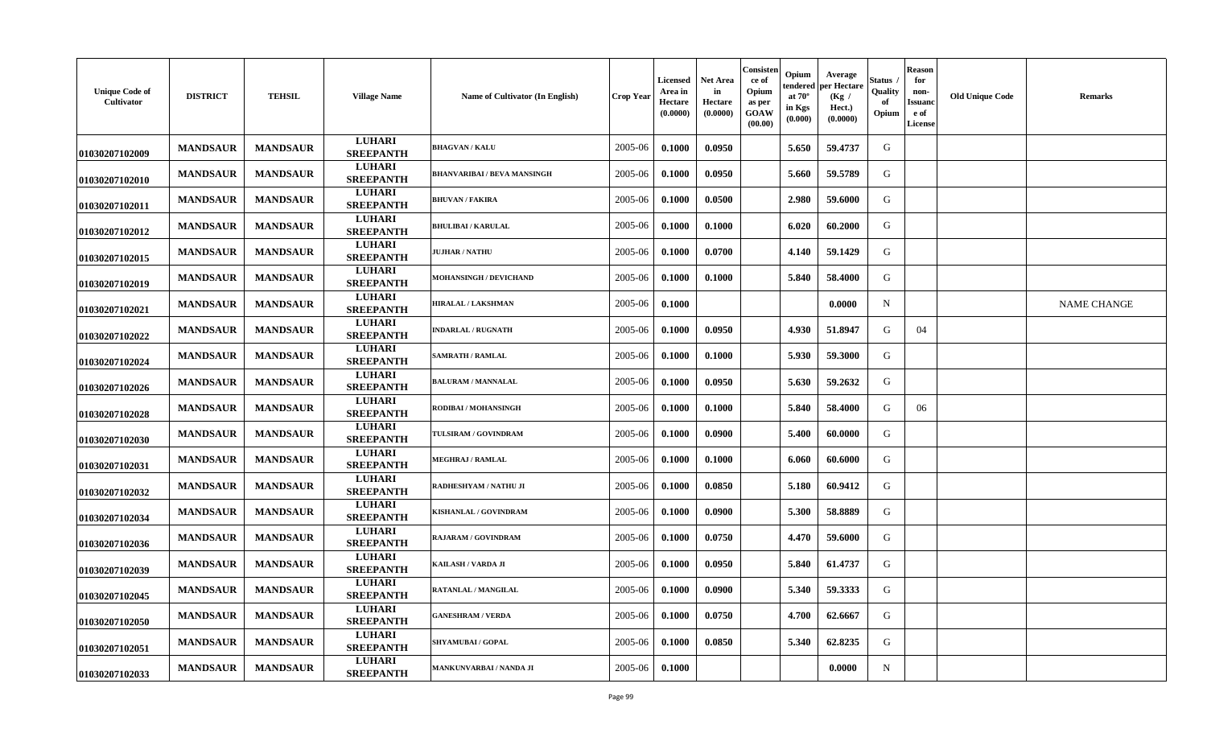| <b>Unique Code of</b><br>Cultivator | <b>DISTRICT</b> | <b>TEHSIL</b>   | <b>Village Name</b>               | Name of Cultivator (In English)    | <b>Crop Year</b> | Licensed<br>Area in<br><b>Hectare</b><br>(0.0000) | <b>Net Area</b><br>in<br>Hectare<br>(0.0000) | Consisten<br>ce of<br>Opium<br>as per<br>GOAW<br>(00.00) | Opium<br>endered<br>at $70^\circ$<br>in Kgs<br>(0.000) | Average<br>per Hectare<br>(Kg /<br>Hect.)<br>(0.0000) | Status .<br>Quality<br>of<br>Opium | <b>Reason</b><br>for<br>non-<br><b>Issuand</b><br>e of<br>License | <b>Old Unique Code</b> | <b>Remarks</b>     |
|-------------------------------------|-----------------|-----------------|-----------------------------------|------------------------------------|------------------|---------------------------------------------------|----------------------------------------------|----------------------------------------------------------|--------------------------------------------------------|-------------------------------------------------------|------------------------------------|-------------------------------------------------------------------|------------------------|--------------------|
| 01030207102009                      | <b>MANDSAUR</b> | <b>MANDSAUR</b> | <b>LUHARI</b><br><b>SREEPANTH</b> | <b>BHAGVAN / KALU</b>              | 2005-06          | 0.1000                                            | 0.0950                                       |                                                          | 5.650                                                  | 59.4737                                               | G                                  |                                                                   |                        |                    |
| 01030207102010                      | <b>MANDSAUR</b> | <b>MANDSAUR</b> | <b>LUHARI</b><br><b>SREEPANTH</b> | <b>BHANVARIBAI / BEVA MANSINGH</b> | 2005-06          | 0.1000                                            | 0.0950                                       |                                                          | 5.660                                                  | 59.5789                                               | G                                  |                                                                   |                        |                    |
| 01030207102011                      | <b>MANDSAUR</b> | <b>MANDSAUR</b> | <b>LUHARI</b><br><b>SREEPANTH</b> | <b>BHUVAN / FAKIRA</b>             | 2005-06          | 0.1000                                            | 0.0500                                       |                                                          | 2.980                                                  | 59.6000                                               | G                                  |                                                                   |                        |                    |
| 01030207102012                      | <b>MANDSAUR</b> | <b>MANDSAUR</b> | <b>LUHARI</b><br><b>SREEPANTH</b> | <b>BHULIBAI / KARULAL</b>          | 2005-06          | 0.1000                                            | 0.1000                                       |                                                          | 6.020                                                  | 60.2000                                               | G                                  |                                                                   |                        |                    |
| 01030207102015                      | <b>MANDSAUR</b> | <b>MANDSAUR</b> | <b>LUHARI</b><br><b>SREEPANTH</b> | <b>JUJHAR / NATHU</b>              | 2005-06          | 0.1000                                            | 0.0700                                       |                                                          | 4.140                                                  | 59.1429                                               | G                                  |                                                                   |                        |                    |
| 01030207102019                      | <b>MANDSAUR</b> | <b>MANDSAUR</b> | <b>LUHARI</b><br><b>SREEPANTH</b> | MOHANSINGH / DEVICHAND             | 2005-06          | 0.1000                                            | 0.1000                                       |                                                          | 5.840                                                  | 58.4000                                               | G                                  |                                                                   |                        |                    |
| 01030207102021                      | <b>MANDSAUR</b> | <b>MANDSAUR</b> | <b>LUHARI</b><br><b>SREEPANTH</b> | <b>HIRALAL / LAKSHMAN</b>          | 2005-06          | 0.1000                                            |                                              |                                                          |                                                        | 0.0000                                                | N                                  |                                                                   |                        | <b>NAME CHANGE</b> |
| 01030207102022                      | <b>MANDSAUR</b> | <b>MANDSAUR</b> | <b>LUHARI</b><br><b>SREEPANTH</b> | <b>INDARLAL / RUGNATH</b>          | 2005-06          | 0.1000                                            | 0.0950                                       |                                                          | 4.930                                                  | 51.8947                                               | G                                  | 04                                                                |                        |                    |
| 01030207102024                      | <b>MANDSAUR</b> | <b>MANDSAUR</b> | <b>LUHARI</b><br><b>SREEPANTH</b> | <b>SAMRATH / RAMLAL</b>            | 2005-06          | 0.1000                                            | 0.1000                                       |                                                          | 5.930                                                  | 59.3000                                               | G                                  |                                                                   |                        |                    |
| 01030207102026                      | <b>MANDSAUR</b> | <b>MANDSAUR</b> | <b>LUHARI</b><br><b>SREEPANTH</b> | <b>BALURAM / MANNALAL</b>          | 2005-06          | 0.1000                                            | 0.0950                                       |                                                          | 5.630                                                  | 59.2632                                               | G                                  |                                                                   |                        |                    |
| 01030207102028                      | <b>MANDSAUR</b> | <b>MANDSAUR</b> | <b>LUHARI</b><br><b>SREEPANTH</b> | RODIBAI / MOHANSINGH               | 2005-06          | 0.1000                                            | 0.1000                                       |                                                          | 5.840                                                  | 58.4000                                               | G                                  | 06                                                                |                        |                    |
| 01030207102030                      | <b>MANDSAUR</b> | <b>MANDSAUR</b> | <b>LUHARI</b><br><b>SREEPANTH</b> | TULSIRAM / GOVINDRAM               | 2005-06          | 0.1000                                            | 0.0900                                       |                                                          | 5.400                                                  | 60.0000                                               | G                                  |                                                                   |                        |                    |
| 01030207102031                      | <b>MANDSAUR</b> | <b>MANDSAUR</b> | <b>LUHARI</b><br><b>SREEPANTH</b> | <b>MEGHRAJ / RAMLAL</b>            | 2005-06          | 0.1000                                            | 0.1000                                       |                                                          | 6.060                                                  | 60.6000                                               | G                                  |                                                                   |                        |                    |
| 01030207102032                      | <b>MANDSAUR</b> | <b>MANDSAUR</b> | <b>LUHARI</b><br><b>SREEPANTH</b> | RADHESHYAM / NATHU JI              | 2005-06          | 0.1000                                            | 0.0850                                       |                                                          | 5.180                                                  | 60.9412                                               | G                                  |                                                                   |                        |                    |
| 01030207102034                      | <b>MANDSAUR</b> | <b>MANDSAUR</b> | <b>LUHARI</b><br><b>SREEPANTH</b> | KISHANLAL / GOVINDRAM              | 2005-06          | 0.1000                                            | 0.0900                                       |                                                          | 5.300                                                  | 58.8889                                               | G                                  |                                                                   |                        |                    |
| 01030207102036                      | <b>MANDSAUR</b> | <b>MANDSAUR</b> | <b>LUHARI</b><br><b>SREEPANTH</b> | <b>RAJARAM / GOVINDRAM</b>         | 2005-06          | 0.1000                                            | 0.0750                                       |                                                          | 4.470                                                  | 59.6000                                               | G                                  |                                                                   |                        |                    |
| 01030207102039                      | <b>MANDSAUR</b> | <b>MANDSAUR</b> | <b>LUHARI</b><br><b>SREEPANTH</b> | KAILASH / VARDA JI                 | 2005-06          | 0.1000                                            | 0.0950                                       |                                                          | 5.840                                                  | 61.4737                                               | G                                  |                                                                   |                        |                    |
| 01030207102045                      | <b>MANDSAUR</b> | <b>MANDSAUR</b> | <b>LUHARI</b><br><b>SREEPANTH</b> | RATANLAL / MANGILAL                | 2005-06          | 0.1000                                            | 0.0900                                       |                                                          | 5.340                                                  | 59.3333                                               | G                                  |                                                                   |                        |                    |
| 01030207102050                      | <b>MANDSAUR</b> | <b>MANDSAUR</b> | <b>LUHARI</b><br><b>SREEPANTH</b> | <b>GANESHRAM / VERDA</b>           | 2005-06          | 0.1000                                            | 0.0750                                       |                                                          | 4.700                                                  | 62.6667                                               | G                                  |                                                                   |                        |                    |
| 01030207102051                      | <b>MANDSAUR</b> | <b>MANDSAUR</b> | <b>LUHARI</b><br><b>SREEPANTH</b> | SHYAMUBAI / GOPAL                  | 2005-06          | 0.1000                                            | 0.0850                                       |                                                          | 5.340                                                  | 62.8235                                               | G                                  |                                                                   |                        |                    |
| 01030207102033                      | <b>MANDSAUR</b> | <b>MANDSAUR</b> | <b>LUHARI</b><br><b>SREEPANTH</b> | MANKUNVARBAI / NANDA JI            | 2005-06          | 0.1000                                            |                                              |                                                          |                                                        | 0.0000                                                | N                                  |                                                                   |                        |                    |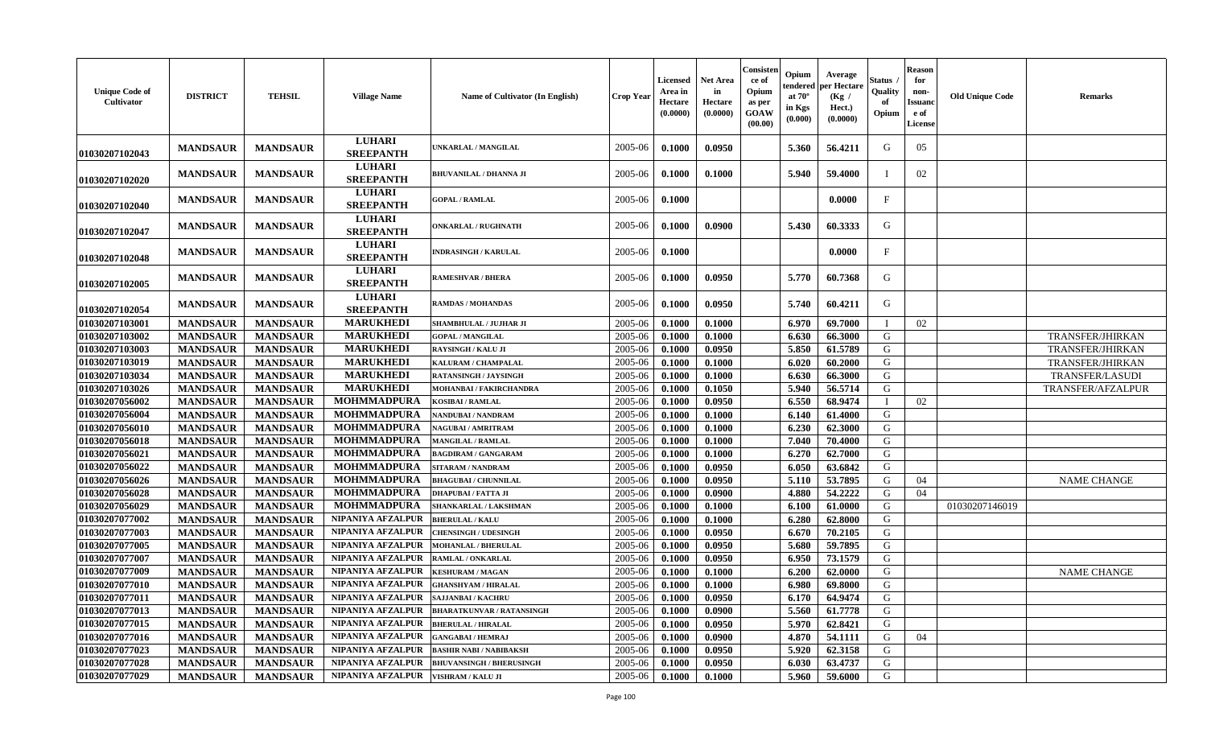| <b>Unique Code of</b><br>Cultivator | <b>DISTRICT</b> | <b>TEHSIL</b>   | <b>Village Name</b>               | Name of Cultivator (In English)  | <b>Crop Year</b> | Licensed<br>Area in<br>Hectare<br>(0.0000) | <b>Net Area</b><br>in<br>Hectare<br>(0.0000) | Consisten<br>ce of<br>Opium<br>as per<br>GOAW<br>(00.00) | Opium<br>tendered<br>at $70^\circ$<br>in Kgs<br>(0.000) | Average<br>per Hectare<br>(Kg)<br>Hect.)<br>(0.0000) | Status<br>Quality<br>of<br>Opium | <b>Reason</b><br>for<br>non-<br>Issuanc<br>e of<br>License | <b>Old Unique Code</b> | <b>Remarks</b>          |
|-------------------------------------|-----------------|-----------------|-----------------------------------|----------------------------------|------------------|--------------------------------------------|----------------------------------------------|----------------------------------------------------------|---------------------------------------------------------|------------------------------------------------------|----------------------------------|------------------------------------------------------------|------------------------|-------------------------|
| 01030207102043                      | <b>MANDSAUR</b> | <b>MANDSAUR</b> | <b>LUHARI</b><br><b>SREEPANTH</b> | UNKARLAL / MANGILAL              | 2005-06          | 0.1000                                     | 0.0950                                       |                                                          | 5.360                                                   | 56.4211                                              | G                                | 05                                                         |                        |                         |
| 01030207102020                      | <b>MANDSAUR</b> | <b>MANDSAUR</b> | <b>LUHARI</b><br><b>SREEPANTH</b> | <b>BHUVANILAL / DHANNA JI</b>    | 2005-06          | 0.1000                                     | 0.1000                                       |                                                          | 5.940                                                   | 59.4000                                              |                                  | 02                                                         |                        |                         |
| 01030207102040                      | <b>MANDSAUR</b> | <b>MANDSAUR</b> | <b>LUHARI</b><br><b>SREEPANTH</b> | <b>GOPAL / RAMLAL</b>            | 2005-06          | 0.1000                                     |                                              |                                                          |                                                         | 0.0000                                               | F                                |                                                            |                        |                         |
| 01030207102047                      | <b>MANDSAUR</b> | <b>MANDSAUR</b> | <b>LUHARI</b><br><b>SREEPANTH</b> | <b>ONKARLAL / RUGHNATH</b>       | 2005-06          | 0.1000                                     | 0.0900                                       |                                                          | 5.430                                                   | 60.3333                                              | G                                |                                                            |                        |                         |
| 01030207102048                      | <b>MANDSAUR</b> | <b>MANDSAUR</b> | <b>LUHARI</b><br><b>SREEPANTH</b> | <b>INDRASINGH / KARULAL</b>      | 2005-06          | 0.1000                                     |                                              |                                                          |                                                         | 0.0000                                               | F                                |                                                            |                        |                         |
| 01030207102005                      | <b>MANDSAUR</b> | <b>MANDSAUR</b> | <b>LUHARI</b><br><b>SREEPANTH</b> | <b>RAMESHVAR / BHERA</b>         | 2005-06          | 0.1000                                     | 0.0950                                       |                                                          | 5.770                                                   | 60.7368                                              | G                                |                                                            |                        |                         |
| 01030207102054                      | <b>MANDSAUR</b> | <b>MANDSAUR</b> | <b>LUHARI</b><br><b>SREEPANTH</b> | <b>RAMDAS / MOHANDAS</b>         | 2005-06          | 0.1000                                     | 0.0950                                       |                                                          | 5.740                                                   | 60.4211                                              | G                                |                                                            |                        |                         |
| 01030207103001                      | <b>MANDSAUR</b> | <b>MANDSAUR</b> | <b>MARUKHEDI</b>                  | SHAMBHULAL / JUJHAR JI           | 2005-06          | 0.1000                                     | 0.1000                                       |                                                          | 6.970                                                   | 69.7000                                              | I                                | 02                                                         |                        |                         |
| 01030207103002                      | <b>MANDSAUR</b> | <b>MANDSAUR</b> | <b>MARUKHEDI</b>                  | <b>GOPAL / MANGILAL</b>          | 2005-06          | 0.1000                                     | 0.1000                                       |                                                          | 6.630                                                   | 66.3000                                              | G                                |                                                            |                        | TRANSFER/JHIRKAN        |
| 01030207103003                      | <b>MANDSAUR</b> | <b>MANDSAUR</b> | <b>MARUKHEDI</b>                  | <b>RAYSINGH / KALU JI</b>        | 2005-06          | 0.1000                                     | 0.0950                                       |                                                          | 5.850                                                   | 61.5789                                              | G                                |                                                            |                        | <b>TRANSFER/JHIRKAN</b> |
| 01030207103019                      | <b>MANDSAUR</b> | <b>MANDSAUR</b> | <b>MARUKHEDI</b>                  | KALURAM / CHAMPALAL              | 2005-06          | 0.1000                                     | 0.1000                                       |                                                          | 6.020                                                   | 60.2000                                              | G                                |                                                            |                        | TRANSFER/JHIRKAN        |
| 01030207103034                      | <b>MANDSAUR</b> | <b>MANDSAUR</b> | <b>MARUKHEDI</b>                  | <b>RATANSINGH / JAYSINGH</b>     | 2005-06          | 0.1000                                     | 0.1000                                       |                                                          | 6.630                                                   | 66.3000                                              | G                                |                                                            |                        | <b>TRANSFER/LASUDI</b>  |
| 01030207103026                      | <b>MANDSAUR</b> | <b>MANDSAUR</b> | <b>MARUKHEDI</b>                  | MOHANBAI / FAKIRCHANDRA          | 2005-06          | 0.1000                                     | 0.1050                                       |                                                          | 5.940                                                   | 56.5714                                              | G                                |                                                            |                        | TRANSFER/AFZALPUR       |
| 01030207056002                      | <b>MANDSAUR</b> | <b>MANDSAUR</b> | <b>MOHMMADPURA</b>                | <b>KOSIBAI/RAMLAL</b>            | 2005-06          | 0.1000                                     | 0.0950                                       |                                                          | 6.550                                                   | 68.9474                                              |                                  | 02                                                         |                        |                         |
| 01030207056004                      | <b>MANDSAUR</b> | <b>MANDSAUR</b> | <b>MOHMMADPURA</b>                | NANDUBAI / NANDRAM               | 2005-06          | 0.1000                                     | 0.1000                                       |                                                          | 6.140                                                   | 61.4000                                              | G                                |                                                            |                        |                         |
| 01030207056010                      | <b>MANDSAUR</b> | <b>MANDSAUR</b> | <b>MOHMMADPURA</b>                | NAGUBAI / AMRITRAM               | 2005-06          | 0.1000                                     | 0.1000                                       |                                                          | 6.230                                                   | 62.3000                                              | G                                |                                                            |                        |                         |
| 01030207056018                      | <b>MANDSAUR</b> | <b>MANDSAUR</b> | <b>MOHMMADPURA</b>                | <b>MANGILAL / RAMLAL</b>         | 2005-06          | 0.1000                                     | 0.1000                                       |                                                          | 7.040                                                   | 70.4000                                              | G                                |                                                            |                        |                         |
| 01030207056021                      | <b>MANDSAUR</b> | <b>MANDSAUR</b> | <b>MOHMMADPURA</b>                | <b>BAGDIRAM / GANGARAM</b>       | 2005-06          | 0.1000                                     | 0.1000                                       |                                                          | 6.270                                                   | 62.7000                                              | G                                |                                                            |                        |                         |
| 01030207056022                      | <b>MANDSAUR</b> | <b>MANDSAUR</b> | <b>MOHMMADPURA</b>                | <b>SITARAM / NANDRAM</b>         | 2005-06          | 0.1000                                     | 0.0950                                       |                                                          | 6.050                                                   | 63.6842                                              | G                                |                                                            |                        |                         |
| 01030207056026                      | <b>MANDSAUR</b> | <b>MANDSAUR</b> | <b>MOHMMADPURA</b>                | <b>BHAGUBAI / CHUNNILAL</b>      | 2005-06          | 0.1000                                     | 0.0950                                       |                                                          | 5.110                                                   | 53.7895                                              | G                                | 04                                                         |                        | <b>NAME CHANGE</b>      |
| 01030207056028                      | <b>MANDSAUR</b> | <b>MANDSAUR</b> | <b>MOHMMADPURA</b>                | <b>DHAPUBAI/FATTA JI</b>         | 2005-06          | 0.1000                                     | 0.0900                                       |                                                          | 4.880                                                   | 54,2222                                              | G                                | 04                                                         |                        |                         |
| 01030207056029                      | <b>MANDSAUR</b> | <b>MANDSAUR</b> | <b>MOHMMADPURA</b>                | SHANKARLAL / LAKSHMAN            | 2005-06          | 0.1000                                     | 0.1000                                       |                                                          | 6.100                                                   | 61.0000                                              | G                                |                                                            | 01030207146019         |                         |
| 01030207077002                      | <b>MANDSAUR</b> | <b>MANDSAUR</b> | NIPANIYA AFZALPUR                 | <b>BHERULAL / KALU</b>           | 2005-06          | 0.1000                                     | 0.1000                                       |                                                          | 6.280                                                   | 62.8000                                              | G                                |                                                            |                        |                         |
| 01030207077003                      | <b>MANDSAUR</b> | <b>MANDSAUR</b> | NIPANIYA AFZALPUR                 | <b>CHENSINGH / UDESINGH</b>      | 2005-06          | 0.1000                                     | 0.0950                                       |                                                          | 6.670                                                   | 70.2105                                              | G                                |                                                            |                        |                         |
| 01030207077005                      | <b>MANDSAUR</b> | <b>MANDSAUR</b> | <b>NIPANIYA AFZALPUR</b>          | <b>MOHANLAL / BHERULAL</b>       | 2005-06          | 0.1000                                     | 0.0950                                       |                                                          | 5.680                                                   | 59.7895                                              | G                                |                                                            |                        |                         |
| 01030207077007                      | <b>MANDSAUR</b> | <b>MANDSAUR</b> | NIPANIYA AFZALPUR                 | RAMLAL / ONKARLAL                | 2005-06          | 0.1000                                     | 0.0950                                       |                                                          | 6.950                                                   | 73.1579                                              | G                                |                                                            |                        |                         |
| 01030207077009                      | <b>MANDSAUR</b> | <b>MANDSAUR</b> | NIPANIYA AFZALPUR                 | <b>KESHURAM / MAGAN</b>          | 2005-06          | 0.1000                                     | 0.1000                                       |                                                          | 6.200                                                   | 62.0000                                              | G                                |                                                            |                        | <b>NAME CHANGE</b>      |
| 01030207077010                      | <b>MANDSAUR</b> | <b>MANDSAUR</b> | NIPANIYA AFZALPUR                 | <b>GHANSHYAM / HIRALAL</b>       | 2005-06          | 0.1000                                     | 0.1000                                       |                                                          | 6.980                                                   | 69.8000                                              | G                                |                                                            |                        |                         |
| 01030207077011                      | <b>MANDSAUR</b> | <b>MANDSAUR</b> | NIPANIYA AFZALPUR                 | <b>SAJJANBAI / KACHRU</b>        | 2005-06          | 0.1000                                     | 0.0950                                       |                                                          | 6.170                                                   | 64.9474                                              | G                                |                                                            |                        |                         |
| 01030207077013                      | <b>MANDSAUR</b> | <b>MANDSAUR</b> | NIPANIYA AFZALPUR                 | <b>BHARATKUNVAR / RATANSINGH</b> | 2005-06          | 0.1000                                     | 0.0900                                       |                                                          | 5.560                                                   | 61.7778                                              | G                                |                                                            |                        |                         |
| 01030207077015                      | <b>MANDSAUR</b> | <b>MANDSAUR</b> | NIPANIYA AFZALPUR                 | <b>BHERULAL / HIRALAL</b>        | 2005-06          | 0.1000                                     | 0.0950                                       |                                                          | 5.970                                                   | 62.8421                                              | G                                |                                                            |                        |                         |
| 01030207077016                      | <b>MANDSAUR</b> | <b>MANDSAUR</b> | NIPANIYA AFZALPUR                 | <b>GANGABAI / HEMRAJ</b>         | 2005-06          | 0.1000                                     | 0.0900                                       |                                                          | 4.870                                                   | 54.1111                                              | G                                | 04                                                         |                        |                         |
| 01030207077023                      | <b>MANDSAUR</b> | <b>MANDSAUR</b> | NIPANIYA AFZALPUR                 | <b>BASHIR NABI / NABIBAKSH</b>   | 2005-06          | 0.1000                                     | 0.0950                                       |                                                          | 5.920                                                   | 62.3158                                              | G                                |                                                            |                        |                         |
| 01030207077028                      | <b>MANDSAUR</b> | <b>MANDSAUR</b> | NIPANIYA AFZALPUR                 | <b>BHUVANSINGH / BHERUSINGH</b>  | 2005-06          | 0.1000                                     | 0.0950                                       |                                                          | 6.030                                                   | 63.4737                                              | G                                |                                                            |                        |                         |
| 01030207077029                      | <b>MANDSAUR</b> | <b>MANDSAUR</b> | NIPANIYA AFZALPUR                 | <b>VISHRAM / KALU JI</b>         | 2005-06          | 0.1000                                     | 0.1000                                       |                                                          | 5.960                                                   | 59.6000                                              | G                                |                                                            |                        |                         |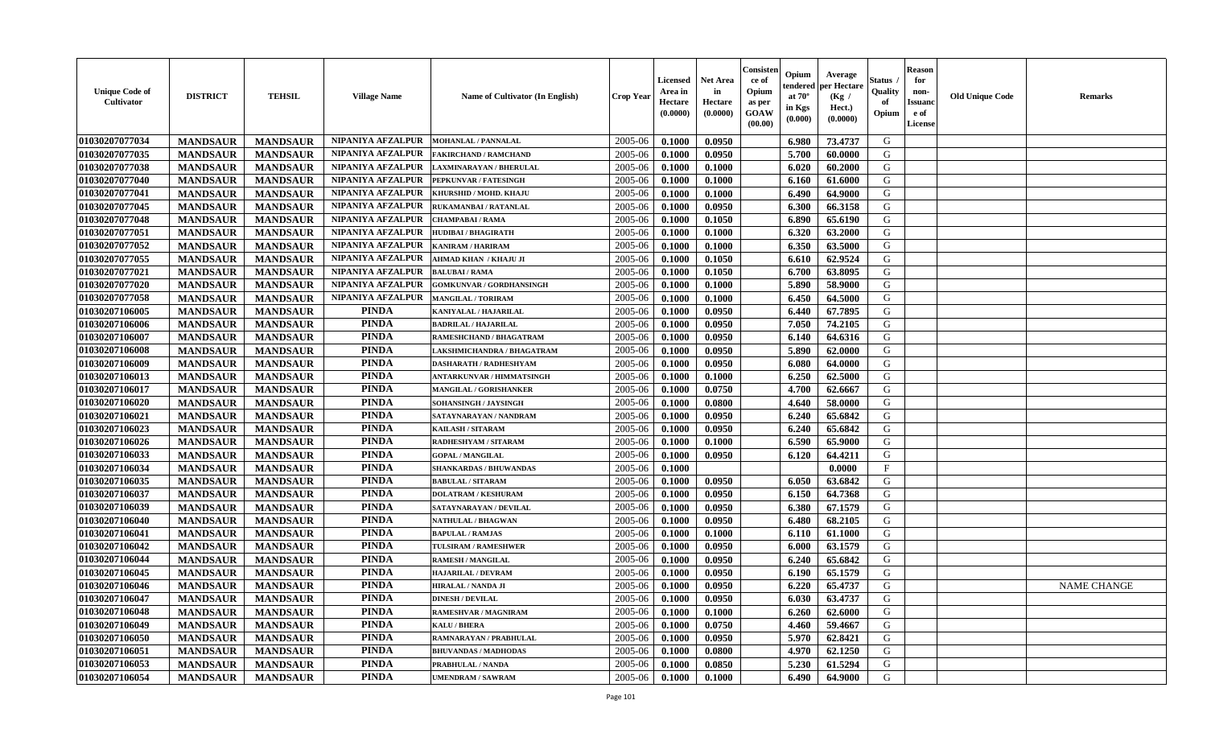| 01030207077034<br>NIPANIYA AFZALPUR<br>2005-06<br>G<br><b>MANDSAUR</b><br>0.0950<br>73.4737<br><b>MANDSAUR</b><br><b>MOHANLAL / PANNALAL</b><br>0.1000<br>6.980<br>01030207077035<br><b>MANDSAUR</b><br>NIPANIYA AFZALPUR<br>2005-06<br>5.700<br>G<br><b>MANDSAUR</b><br>0.1000<br>0.0950<br>60.0000<br>FAKIRCHAND / RAMCHAND<br>01030207077038<br><b>MANDSAUR</b><br><b>MANDSAUR</b><br>NIPANIYA AFZALPUR<br>0.1000<br>6.020<br>G<br>2005-06<br>0.1000<br>60.2000<br>LAXMINARAYAN / BHERULAL<br>NIPANIYA AFZALPUR<br>G<br>01030207077040<br><b>MANDSAUR</b><br><b>MANDSAUR</b><br>2005-06<br>0.1000<br>6.160<br>61.6000<br>PEPKUNVAR / FATESINGH<br>0.1000<br>G<br>01030207077041<br><b>MANDSAUR</b><br><b>MANDSAUR</b><br>NIPANIYA AFZALPUR<br>2005-06<br>0.1000<br>0.1000<br>6.490<br>64.9000<br>KHURSHID / MOHD. KHAJU<br>01030207077045<br><b>MANDSAUR</b><br><b>MANDSAUR</b><br>NIPANIYA AFZALPUR<br>0.0950<br>6.300<br>G<br>2005-06<br>0.1000<br>66.3158<br>RUKAMANBAI / RATANLAL<br>01030207077048<br><b>MANDSAUR</b><br><b>MANDSAUR</b><br>NIPANIYA AFZALPUR<br>0.1050<br>G<br>2005-06<br>0.1000<br>6.890<br>65.6190<br><b>CHAMPABAI/RAMA</b><br>01030207077051<br>NIPANIYA AFZALPUR<br>G<br><b>MANDSAUR</b><br><b>MANDSAUR</b><br>2005-06<br>6.320<br><b>HUDIBAI/BHAGIRATH</b><br>0.1000<br>0.1000<br>63.2000<br>01030207077052<br><b>MANDSAUR</b><br><b>MANDSAUR</b><br>NIPANIYA AFZALPUR<br>2005-06<br>0.1000<br>6.350<br>63.5000<br>G<br>KANIRAM / HARIRAM<br>0.1000<br>G<br>01030207077055<br>NIPANIYA AFZALPUR<br>2005-06<br>0.1050<br><b>MANDSAUR</b><br><b>MANDSAUR</b><br>0.1000<br>6.610<br>62.9524<br>AHMAD KHAN / KHAJU JI<br>NIPANIYA AFZALPUR<br><b>MANDSAUR</b><br><b>MANDSAUR</b><br>0.1050<br>6.700<br>G<br>01030207077021<br>2005-06<br>0.1000<br>63.8095<br><b>BALUBAI/RAMA</b><br><b>MANDSAUR</b><br>NIPANIYA AFZALPUR<br>0.1000<br>58.9000<br>G<br>01030207077020<br><b>MANDSAUR</b><br><b>GOMKUNVAR / GORDHANSINGH</b><br>2005-06<br>0.1000<br>5.890<br>01030207077058<br><b>MANDSAUR</b><br><b>MANDSAUR</b><br>NIPANIYA AFZALPUR<br>0.1000<br>6.450<br>64.5000<br>G<br><b>MANGILAL / TORIRAM</b><br>2005-06<br>0.1000<br><b>PINDA</b><br>01030207106005<br><b>MANDSAUR</b><br><b>MANDSAUR</b><br>0.0950<br>6.440<br>67.7895<br>G<br>2005-06<br>0.1000<br>KANIYALAL / HAJARILAL<br><b>PINDA</b><br>G<br>01030207106006<br><b>MANDSAUR</b><br><b>MANDSAUR</b><br>2005-06<br>0.0950<br>7.050<br>74.2105<br><b>BADRILAL / HAJARILAL</b><br>0.1000<br><b>PINDA</b><br>G<br>01030207106007<br><b>MANDSAUR</b><br><b>MANDSAUR</b><br>2005-06<br>0.1000<br>0.0950<br>6.140<br>64.6316<br>RAMESHCHAND / BHAGATRAM<br><b>PINDA</b><br>G<br>01030207106008<br><b>MANDSAUR</b><br><b>MANDSAUR</b><br>2005-06<br>0.0950<br>5.890<br>62.0000<br>0.1000<br>LAKSHMICHANDRA / BHAGATRAM<br><b>PINDA</b><br>01030207106009<br>G<br><b>MANDSAUR</b><br><b>MANDSAUR</b><br>2005-06<br>64.0000<br><b>DASHARATH / RADHESHYAM</b><br>0.1000<br>0.0950<br>6.080<br><b>PINDA</b><br>01030207106013<br><b>MANDSAUR</b><br><b>MANDSAUR</b><br>6.250<br>G<br>2005-06<br>0.1000<br>0.1000<br>62.5000<br>ANTARKUNVAR / HIMMATSINGH<br><b>PINDA</b><br>01030207106017<br><b>MANDSAUR</b><br><b>MANDSAUR</b><br>2005-06<br>0.0750<br>4.700<br>G<br>MANGILAL / GORISHANKER<br>0.1000<br>62.6667<br><b>PINDA</b><br>G<br>01030207106020<br><b>MANDSAUR</b><br><b>MANDSAUR</b><br>2005-06<br>0.1000<br>0.0800<br>4.640<br>58.0000<br>SOHANSINGH / JAYSINGH<br><b>PINDA</b><br>G<br><b>MANDSAUR</b><br><b>MANDSAUR</b><br>6.240<br>01030207106021<br>2005-06<br>0.1000<br>0.0950<br>65.6842<br>SATAYNARAYAN / NANDRAM<br><b>PINDA</b><br><b>MANDSAUR</b><br>0.0950<br>65.6842<br>G<br>01030207106023<br><b>MANDSAUR</b><br><b>KAILASH / SITARAM</b><br>2005-06<br>0.1000<br>6.240<br>01030207106026<br><b>PINDA</b><br><b>MANDSAUR</b><br><b>MANDSAUR</b><br>2005-06<br>6.590<br>65.9000<br>G<br>0.1000<br>0.1000<br>RADHESHYAM / SITARAM<br>01030207106033<br><b>PINDA</b><br>G<br><b>MANDSAUR</b><br><b>MANDSAUR</b><br>2005-06<br>64.4211<br>0.1000<br>0.0950<br>6.120<br><b>GOPAL / MANGILAL</b><br><b>PINDA</b><br>$\mathbf{F}$<br>01030207106034<br><b>MANDSAUR</b><br>2005-06<br><b>MANDSAUR</b><br><b>SHANKARDAS / BHUWANDAS</b><br>0.1000<br>0.0000<br><b>PINDA</b><br>01030207106035<br><b>MANDSAUR</b><br><b>MANDSAUR</b><br>2005-06<br>0.1000<br>0.0950<br>6.050<br>63.6842<br>G<br><b>BABULAL / SITARAM</b><br><b>PINDA</b><br>01030207106037<br><b>MANDSAUR</b><br><b>MANDSAUR</b><br>0.0950<br>6.150<br>64.7368<br>G<br>2005-06<br>0.1000<br><b>DOLATRAM / KESHURAM</b><br><b>PINDA</b><br>01030207106039<br><b>MANDSAUR</b><br><b>MANDSAUR</b><br>G<br>2005-06<br>0.1000<br>0.0950<br>6.380<br>67.1579<br>SATAYNARAYAN / DEVILAL<br><b>PINDA</b><br><b>MANDSAUR</b><br><b>MANDSAUR</b><br>68.2105<br>G<br>01030207106040<br>2005-06<br>0.1000<br>0.0950<br>6.480<br>NATHULAL / BHAGWAN<br><b>PINDA</b><br>01030207106041<br><b>MANDSAUR</b><br><b>MANDSAUR</b><br>G<br><b>BAPULAL / RAMJAS</b><br>2005-06<br>0.1000<br>0.1000<br>6.110<br>61.1000<br><b>PINDA</b><br>G<br>01030207106042<br>2005-06<br><b>MANDSAUR</b><br><b>MANDSAUR</b><br>0.0950<br>6.000<br>63.1579<br><b>TULSIRAM / RAMESHWER</b><br>0.1000<br>G<br>01030207106044<br><b>PINDA</b><br>2005-06<br><b>MANDSAUR</b><br><b>MANDSAUR</b><br>0.1000<br>0.0950<br>6.240<br>65.6842<br><b>RAMESH / MANGILAL</b><br><b>PINDA</b><br>01030207106045<br><b>MANDSAUR</b><br>2005-06<br>0.0950<br>65.1579<br>G<br><b>MANDSAUR</b><br>0.1000<br>6.190<br><b>HAJARILAL / DEVRAM</b><br><b>PINDA</b><br>0.0950<br>6.220<br>65.4737<br>G<br>01030207106046<br><b>MANDSAUR</b><br><b>MANDSAUR</b><br>2005-06<br>0.1000<br><b>NAME CHANGE</b><br><b>HIRALAL / NANDA JI</b><br><b>PINDA</b><br>01030207106047<br>0.0950<br><b>MANDSAUR</b><br>MANDSAUR<br><b>DINESH / DEVILAL</b><br>$2005 - 06$<br>0.1000<br>$6.030$  <br>63.4737<br>G<br><b>PINDA</b><br>01030207106048<br><b>MANDSAUR</b><br><b>MANDSAUR</b><br>2005-06<br>0.1000<br>0.1000<br>6.260<br>62.6000<br>G<br>RAMESHVAR / MAGNIRAM<br><b>PINDA</b><br>0.0750<br>G<br>01030207106049<br><b>MANDSAUR</b><br><b>MANDSAUR</b><br>2005-06<br>4.460<br>59.4667<br>KALU / BHERA<br>0.1000<br><b>PINDA</b><br>01030207106050<br><b>MANDSAUR</b><br><b>MANDSAUR</b><br>0.0950<br>62.8421<br>G<br>2005-06<br>0.1000<br>5.970<br>RAMNARAYAN / PRABHULAL<br>01030207106051<br><b>PINDA</b><br>G<br><b>MANDSAUR</b><br><b>MANDSAUR</b><br>2005-06<br>0.1000<br>0.0800<br>62.1250<br><b>BHUVANDAS / MADHODAS</b><br>4.970<br>01030207106053<br><b>MANDSAUR</b><br>PINDA<br>2005-06<br>5.230<br>G<br><b>MANDSAUR</b><br>PRABHULAL / NANDA<br>0.1000<br>0.0850<br>61.5294<br><b>PINDA</b><br>G<br>01030207106054<br><b>MANDSAUR</b><br><b>MANDSAUR</b><br>2005-06<br>0.1000<br>64.9000<br><b>UMENDRAM / SAWRAM</b><br>0.1000<br>6.490 | <b>Unique Code of</b><br>Cultivator | <b>DISTRICT</b> | <b>TEHSIL</b> | <b>Village Name</b> | Name of Cultivator (In English) | <b>Crop Year</b> | <b>Licensed</b><br>Area in<br>Hectare<br>(0.0000) | <b>Net Area</b><br>in<br>Hectare<br>(0.0000) | Consister<br>ce of<br>Opium<br>as per<br><b>GOAW</b><br>(00.00) | Opium<br>endered<br>at $70^{\circ}$<br>in Kgs<br>(0.000) | Average<br>per Hectare<br>(Kg /<br>Hect.)<br>(0.0000) | Status<br>Quality<br>of<br>Opium | <b>Reason</b><br>for<br>non-<br><b>Issuano</b><br>e of<br>License | <b>Old Unique Code</b> | <b>Remarks</b> |
|-------------------------------------------------------------------------------------------------------------------------------------------------------------------------------------------------------------------------------------------------------------------------------------------------------------------------------------------------------------------------------------------------------------------------------------------------------------------------------------------------------------------------------------------------------------------------------------------------------------------------------------------------------------------------------------------------------------------------------------------------------------------------------------------------------------------------------------------------------------------------------------------------------------------------------------------------------------------------------------------------------------------------------------------------------------------------------------------------------------------------------------------------------------------------------------------------------------------------------------------------------------------------------------------------------------------------------------------------------------------------------------------------------------------------------------------------------------------------------------------------------------------------------------------------------------------------------------------------------------------------------------------------------------------------------------------------------------------------------------------------------------------------------------------------------------------------------------------------------------------------------------------------------------------------------------------------------------------------------------------------------------------------------------------------------------------------------------------------------------------------------------------------------------------------------------------------------------------------------------------------------------------------------------------------------------------------------------------------------------------------------------------------------------------------------------------------------------------------------------------------------------------------------------------------------------------------------------------------------------------------------------------------------------------------------------------------------------------------------------------------------------------------------------------------------------------------------------------------------------------------------------------------------------------------------------------------------------------------------------------------------------------------------------------------------------------------------------------------------------------------------------------------------------------------------------------------------------------------------------------------------------------------------------------------------------------------------------------------------------------------------------------------------------------------------------------------------------------------------------------------------------------------------------------------------------------------------------------------------------------------------------------------------------------------------------------------------------------------------------------------------------------------------------------------------------------------------------------------------------------------------------------------------------------------------------------------------------------------------------------------------------------------------------------------------------------------------------------------------------------------------------------------------------------------------------------------------------------------------------------------------------------------------------------------------------------------------------------------------------------------------------------------------------------------------------------------------------------------------------------------------------------------------------------------------------------------------------------------------------------------------------------------------------------------------------------------------------------------------------------------------------------------------------------------------------------------------------------------------------------------------------------------------------------------------------------------------------------------------------------------------------------------------------------------------------------------------------------------------------------------------------------------------------------------------------------------------------------------------------------------------------------------------------------------------------------------------------------------------------------------------------------------------------------------------------------------------------------------------------------------------------------------------------------------------------------------------------------------------------------------------------------------------------------------------------------------------------------------------------------------------------------------------------------------------------------------------------------------------------------------------------------------------------------------------------------------------------------------------------------------------------------------------------------------------------------------------------------------------------------------------------------------------------------------------------------------------------------------------------------------------------------------------------------------------------------------------------------------------------------------------------------------------------------------------------------------------------------------------------------------------------------------------------------------------------------------------------------------------------------------------------------------------------------------------------------------------------------------------------------------------------------------------------------------------------------------------------------------|-------------------------------------|-----------------|---------------|---------------------|---------------------------------|------------------|---------------------------------------------------|----------------------------------------------|-----------------------------------------------------------------|----------------------------------------------------------|-------------------------------------------------------|----------------------------------|-------------------------------------------------------------------|------------------------|----------------|
|                                                                                                                                                                                                                                                                                                                                                                                                                                                                                                                                                                                                                                                                                                                                                                                                                                                                                                                                                                                                                                                                                                                                                                                                                                                                                                                                                                                                                                                                                                                                                                                                                                                                                                                                                                                                                                                                                                                                                                                                                                                                                                                                                                                                                                                                                                                                                                                                                                                                                                                                                                                                                                                                                                                                                                                                                                                                                                                                                                                                                                                                                                                                                                                                                                                                                                                                                                                                                                                                                                                                                                                                                                                                                                                                                                                                                                                                                                                                                                                                                                                                                                                                                                                                                                                                                                                                                                                                                                                                                                                                                                                                                                                                                                                                                                                                                                                                                                                                                                                                                                                                                                                                                                                                                                                                                                                                                                                                                                                                                                                                                                                                                                                                                                                                                                                                                                                                                                                                                                                                                                                                                                                                                                                                                                                                                                                                                                                                                                                                                                                                                                                                                                                                                                                                                                                                                                                 |                                     |                 |               |                     |                                 |                  |                                                   |                                              |                                                                 |                                                          |                                                       |                                  |                                                                   |                        |                |
|                                                                                                                                                                                                                                                                                                                                                                                                                                                                                                                                                                                                                                                                                                                                                                                                                                                                                                                                                                                                                                                                                                                                                                                                                                                                                                                                                                                                                                                                                                                                                                                                                                                                                                                                                                                                                                                                                                                                                                                                                                                                                                                                                                                                                                                                                                                                                                                                                                                                                                                                                                                                                                                                                                                                                                                                                                                                                                                                                                                                                                                                                                                                                                                                                                                                                                                                                                                                                                                                                                                                                                                                                                                                                                                                                                                                                                                                                                                                                                                                                                                                                                                                                                                                                                                                                                                                                                                                                                                                                                                                                                                                                                                                                                                                                                                                                                                                                                                                                                                                                                                                                                                                                                                                                                                                                                                                                                                                                                                                                                                                                                                                                                                                                                                                                                                                                                                                                                                                                                                                                                                                                                                                                                                                                                                                                                                                                                                                                                                                                                                                                                                                                                                                                                                                                                                                                                                 |                                     |                 |               |                     |                                 |                  |                                                   |                                              |                                                                 |                                                          |                                                       |                                  |                                                                   |                        |                |
|                                                                                                                                                                                                                                                                                                                                                                                                                                                                                                                                                                                                                                                                                                                                                                                                                                                                                                                                                                                                                                                                                                                                                                                                                                                                                                                                                                                                                                                                                                                                                                                                                                                                                                                                                                                                                                                                                                                                                                                                                                                                                                                                                                                                                                                                                                                                                                                                                                                                                                                                                                                                                                                                                                                                                                                                                                                                                                                                                                                                                                                                                                                                                                                                                                                                                                                                                                                                                                                                                                                                                                                                                                                                                                                                                                                                                                                                                                                                                                                                                                                                                                                                                                                                                                                                                                                                                                                                                                                                                                                                                                                                                                                                                                                                                                                                                                                                                                                                                                                                                                                                                                                                                                                                                                                                                                                                                                                                                                                                                                                                                                                                                                                                                                                                                                                                                                                                                                                                                                                                                                                                                                                                                                                                                                                                                                                                                                                                                                                                                                                                                                                                                                                                                                                                                                                                                                                 |                                     |                 |               |                     |                                 |                  |                                                   |                                              |                                                                 |                                                          |                                                       |                                  |                                                                   |                        |                |
|                                                                                                                                                                                                                                                                                                                                                                                                                                                                                                                                                                                                                                                                                                                                                                                                                                                                                                                                                                                                                                                                                                                                                                                                                                                                                                                                                                                                                                                                                                                                                                                                                                                                                                                                                                                                                                                                                                                                                                                                                                                                                                                                                                                                                                                                                                                                                                                                                                                                                                                                                                                                                                                                                                                                                                                                                                                                                                                                                                                                                                                                                                                                                                                                                                                                                                                                                                                                                                                                                                                                                                                                                                                                                                                                                                                                                                                                                                                                                                                                                                                                                                                                                                                                                                                                                                                                                                                                                                                                                                                                                                                                                                                                                                                                                                                                                                                                                                                                                                                                                                                                                                                                                                                                                                                                                                                                                                                                                                                                                                                                                                                                                                                                                                                                                                                                                                                                                                                                                                                                                                                                                                                                                                                                                                                                                                                                                                                                                                                                                                                                                                                                                                                                                                                                                                                                                                                 |                                     |                 |               |                     |                                 |                  |                                                   |                                              |                                                                 |                                                          |                                                       |                                  |                                                                   |                        |                |
|                                                                                                                                                                                                                                                                                                                                                                                                                                                                                                                                                                                                                                                                                                                                                                                                                                                                                                                                                                                                                                                                                                                                                                                                                                                                                                                                                                                                                                                                                                                                                                                                                                                                                                                                                                                                                                                                                                                                                                                                                                                                                                                                                                                                                                                                                                                                                                                                                                                                                                                                                                                                                                                                                                                                                                                                                                                                                                                                                                                                                                                                                                                                                                                                                                                                                                                                                                                                                                                                                                                                                                                                                                                                                                                                                                                                                                                                                                                                                                                                                                                                                                                                                                                                                                                                                                                                                                                                                                                                                                                                                                                                                                                                                                                                                                                                                                                                                                                                                                                                                                                                                                                                                                                                                                                                                                                                                                                                                                                                                                                                                                                                                                                                                                                                                                                                                                                                                                                                                                                                                                                                                                                                                                                                                                                                                                                                                                                                                                                                                                                                                                                                                                                                                                                                                                                                                                                 |                                     |                 |               |                     |                                 |                  |                                                   |                                              |                                                                 |                                                          |                                                       |                                  |                                                                   |                        |                |
|                                                                                                                                                                                                                                                                                                                                                                                                                                                                                                                                                                                                                                                                                                                                                                                                                                                                                                                                                                                                                                                                                                                                                                                                                                                                                                                                                                                                                                                                                                                                                                                                                                                                                                                                                                                                                                                                                                                                                                                                                                                                                                                                                                                                                                                                                                                                                                                                                                                                                                                                                                                                                                                                                                                                                                                                                                                                                                                                                                                                                                                                                                                                                                                                                                                                                                                                                                                                                                                                                                                                                                                                                                                                                                                                                                                                                                                                                                                                                                                                                                                                                                                                                                                                                                                                                                                                                                                                                                                                                                                                                                                                                                                                                                                                                                                                                                                                                                                                                                                                                                                                                                                                                                                                                                                                                                                                                                                                                                                                                                                                                                                                                                                                                                                                                                                                                                                                                                                                                                                                                                                                                                                                                                                                                                                                                                                                                                                                                                                                                                                                                                                                                                                                                                                                                                                                                                                 |                                     |                 |               |                     |                                 |                  |                                                   |                                              |                                                                 |                                                          |                                                       |                                  |                                                                   |                        |                |
|                                                                                                                                                                                                                                                                                                                                                                                                                                                                                                                                                                                                                                                                                                                                                                                                                                                                                                                                                                                                                                                                                                                                                                                                                                                                                                                                                                                                                                                                                                                                                                                                                                                                                                                                                                                                                                                                                                                                                                                                                                                                                                                                                                                                                                                                                                                                                                                                                                                                                                                                                                                                                                                                                                                                                                                                                                                                                                                                                                                                                                                                                                                                                                                                                                                                                                                                                                                                                                                                                                                                                                                                                                                                                                                                                                                                                                                                                                                                                                                                                                                                                                                                                                                                                                                                                                                                                                                                                                                                                                                                                                                                                                                                                                                                                                                                                                                                                                                                                                                                                                                                                                                                                                                                                                                                                                                                                                                                                                                                                                                                                                                                                                                                                                                                                                                                                                                                                                                                                                                                                                                                                                                                                                                                                                                                                                                                                                                                                                                                                                                                                                                                                                                                                                                                                                                                                                                 |                                     |                 |               |                     |                                 |                  |                                                   |                                              |                                                                 |                                                          |                                                       |                                  |                                                                   |                        |                |
|                                                                                                                                                                                                                                                                                                                                                                                                                                                                                                                                                                                                                                                                                                                                                                                                                                                                                                                                                                                                                                                                                                                                                                                                                                                                                                                                                                                                                                                                                                                                                                                                                                                                                                                                                                                                                                                                                                                                                                                                                                                                                                                                                                                                                                                                                                                                                                                                                                                                                                                                                                                                                                                                                                                                                                                                                                                                                                                                                                                                                                                                                                                                                                                                                                                                                                                                                                                                                                                                                                                                                                                                                                                                                                                                                                                                                                                                                                                                                                                                                                                                                                                                                                                                                                                                                                                                                                                                                                                                                                                                                                                                                                                                                                                                                                                                                                                                                                                                                                                                                                                                                                                                                                                                                                                                                                                                                                                                                                                                                                                                                                                                                                                                                                                                                                                                                                                                                                                                                                                                                                                                                                                                                                                                                                                                                                                                                                                                                                                                                                                                                                                                                                                                                                                                                                                                                                                 |                                     |                 |               |                     |                                 |                  |                                                   |                                              |                                                                 |                                                          |                                                       |                                  |                                                                   |                        |                |
|                                                                                                                                                                                                                                                                                                                                                                                                                                                                                                                                                                                                                                                                                                                                                                                                                                                                                                                                                                                                                                                                                                                                                                                                                                                                                                                                                                                                                                                                                                                                                                                                                                                                                                                                                                                                                                                                                                                                                                                                                                                                                                                                                                                                                                                                                                                                                                                                                                                                                                                                                                                                                                                                                                                                                                                                                                                                                                                                                                                                                                                                                                                                                                                                                                                                                                                                                                                                                                                                                                                                                                                                                                                                                                                                                                                                                                                                                                                                                                                                                                                                                                                                                                                                                                                                                                                                                                                                                                                                                                                                                                                                                                                                                                                                                                                                                                                                                                                                                                                                                                                                                                                                                                                                                                                                                                                                                                                                                                                                                                                                                                                                                                                                                                                                                                                                                                                                                                                                                                                                                                                                                                                                                                                                                                                                                                                                                                                                                                                                                                                                                                                                                                                                                                                                                                                                                                                 |                                     |                 |               |                     |                                 |                  |                                                   |                                              |                                                                 |                                                          |                                                       |                                  |                                                                   |                        |                |
|                                                                                                                                                                                                                                                                                                                                                                                                                                                                                                                                                                                                                                                                                                                                                                                                                                                                                                                                                                                                                                                                                                                                                                                                                                                                                                                                                                                                                                                                                                                                                                                                                                                                                                                                                                                                                                                                                                                                                                                                                                                                                                                                                                                                                                                                                                                                                                                                                                                                                                                                                                                                                                                                                                                                                                                                                                                                                                                                                                                                                                                                                                                                                                                                                                                                                                                                                                                                                                                                                                                                                                                                                                                                                                                                                                                                                                                                                                                                                                                                                                                                                                                                                                                                                                                                                                                                                                                                                                                                                                                                                                                                                                                                                                                                                                                                                                                                                                                                                                                                                                                                                                                                                                                                                                                                                                                                                                                                                                                                                                                                                                                                                                                                                                                                                                                                                                                                                                                                                                                                                                                                                                                                                                                                                                                                                                                                                                                                                                                                                                                                                                                                                                                                                                                                                                                                                                                 |                                     |                 |               |                     |                                 |                  |                                                   |                                              |                                                                 |                                                          |                                                       |                                  |                                                                   |                        |                |
|                                                                                                                                                                                                                                                                                                                                                                                                                                                                                                                                                                                                                                                                                                                                                                                                                                                                                                                                                                                                                                                                                                                                                                                                                                                                                                                                                                                                                                                                                                                                                                                                                                                                                                                                                                                                                                                                                                                                                                                                                                                                                                                                                                                                                                                                                                                                                                                                                                                                                                                                                                                                                                                                                                                                                                                                                                                                                                                                                                                                                                                                                                                                                                                                                                                                                                                                                                                                                                                                                                                                                                                                                                                                                                                                                                                                                                                                                                                                                                                                                                                                                                                                                                                                                                                                                                                                                                                                                                                                                                                                                                                                                                                                                                                                                                                                                                                                                                                                                                                                                                                                                                                                                                                                                                                                                                                                                                                                                                                                                                                                                                                                                                                                                                                                                                                                                                                                                                                                                                                                                                                                                                                                                                                                                                                                                                                                                                                                                                                                                                                                                                                                                                                                                                                                                                                                                                                 |                                     |                 |               |                     |                                 |                  |                                                   |                                              |                                                                 |                                                          |                                                       |                                  |                                                                   |                        |                |
|                                                                                                                                                                                                                                                                                                                                                                                                                                                                                                                                                                                                                                                                                                                                                                                                                                                                                                                                                                                                                                                                                                                                                                                                                                                                                                                                                                                                                                                                                                                                                                                                                                                                                                                                                                                                                                                                                                                                                                                                                                                                                                                                                                                                                                                                                                                                                                                                                                                                                                                                                                                                                                                                                                                                                                                                                                                                                                                                                                                                                                                                                                                                                                                                                                                                                                                                                                                                                                                                                                                                                                                                                                                                                                                                                                                                                                                                                                                                                                                                                                                                                                                                                                                                                                                                                                                                                                                                                                                                                                                                                                                                                                                                                                                                                                                                                                                                                                                                                                                                                                                                                                                                                                                                                                                                                                                                                                                                                                                                                                                                                                                                                                                                                                                                                                                                                                                                                                                                                                                                                                                                                                                                                                                                                                                                                                                                                                                                                                                                                                                                                                                                                                                                                                                                                                                                                                                 |                                     |                 |               |                     |                                 |                  |                                                   |                                              |                                                                 |                                                          |                                                       |                                  |                                                                   |                        |                |
|                                                                                                                                                                                                                                                                                                                                                                                                                                                                                                                                                                                                                                                                                                                                                                                                                                                                                                                                                                                                                                                                                                                                                                                                                                                                                                                                                                                                                                                                                                                                                                                                                                                                                                                                                                                                                                                                                                                                                                                                                                                                                                                                                                                                                                                                                                                                                                                                                                                                                                                                                                                                                                                                                                                                                                                                                                                                                                                                                                                                                                                                                                                                                                                                                                                                                                                                                                                                                                                                                                                                                                                                                                                                                                                                                                                                                                                                                                                                                                                                                                                                                                                                                                                                                                                                                                                                                                                                                                                                                                                                                                                                                                                                                                                                                                                                                                                                                                                                                                                                                                                                                                                                                                                                                                                                                                                                                                                                                                                                                                                                                                                                                                                                                                                                                                                                                                                                                                                                                                                                                                                                                                                                                                                                                                                                                                                                                                                                                                                                                                                                                                                                                                                                                                                                                                                                                                                 |                                     |                 |               |                     |                                 |                  |                                                   |                                              |                                                                 |                                                          |                                                       |                                  |                                                                   |                        |                |
|                                                                                                                                                                                                                                                                                                                                                                                                                                                                                                                                                                                                                                                                                                                                                                                                                                                                                                                                                                                                                                                                                                                                                                                                                                                                                                                                                                                                                                                                                                                                                                                                                                                                                                                                                                                                                                                                                                                                                                                                                                                                                                                                                                                                                                                                                                                                                                                                                                                                                                                                                                                                                                                                                                                                                                                                                                                                                                                                                                                                                                                                                                                                                                                                                                                                                                                                                                                                                                                                                                                                                                                                                                                                                                                                                                                                                                                                                                                                                                                                                                                                                                                                                                                                                                                                                                                                                                                                                                                                                                                                                                                                                                                                                                                                                                                                                                                                                                                                                                                                                                                                                                                                                                                                                                                                                                                                                                                                                                                                                                                                                                                                                                                                                                                                                                                                                                                                                                                                                                                                                                                                                                                                                                                                                                                                                                                                                                                                                                                                                                                                                                                                                                                                                                                                                                                                                                                 |                                     |                 |               |                     |                                 |                  |                                                   |                                              |                                                                 |                                                          |                                                       |                                  |                                                                   |                        |                |
|                                                                                                                                                                                                                                                                                                                                                                                                                                                                                                                                                                                                                                                                                                                                                                                                                                                                                                                                                                                                                                                                                                                                                                                                                                                                                                                                                                                                                                                                                                                                                                                                                                                                                                                                                                                                                                                                                                                                                                                                                                                                                                                                                                                                                                                                                                                                                                                                                                                                                                                                                                                                                                                                                                                                                                                                                                                                                                                                                                                                                                                                                                                                                                                                                                                                                                                                                                                                                                                                                                                                                                                                                                                                                                                                                                                                                                                                                                                                                                                                                                                                                                                                                                                                                                                                                                                                                                                                                                                                                                                                                                                                                                                                                                                                                                                                                                                                                                                                                                                                                                                                                                                                                                                                                                                                                                                                                                                                                                                                                                                                                                                                                                                                                                                                                                                                                                                                                                                                                                                                                                                                                                                                                                                                                                                                                                                                                                                                                                                                                                                                                                                                                                                                                                                                                                                                                                                 |                                     |                 |               |                     |                                 |                  |                                                   |                                              |                                                                 |                                                          |                                                       |                                  |                                                                   |                        |                |
|                                                                                                                                                                                                                                                                                                                                                                                                                                                                                                                                                                                                                                                                                                                                                                                                                                                                                                                                                                                                                                                                                                                                                                                                                                                                                                                                                                                                                                                                                                                                                                                                                                                                                                                                                                                                                                                                                                                                                                                                                                                                                                                                                                                                                                                                                                                                                                                                                                                                                                                                                                                                                                                                                                                                                                                                                                                                                                                                                                                                                                                                                                                                                                                                                                                                                                                                                                                                                                                                                                                                                                                                                                                                                                                                                                                                                                                                                                                                                                                                                                                                                                                                                                                                                                                                                                                                                                                                                                                                                                                                                                                                                                                                                                                                                                                                                                                                                                                                                                                                                                                                                                                                                                                                                                                                                                                                                                                                                                                                                                                                                                                                                                                                                                                                                                                                                                                                                                                                                                                                                                                                                                                                                                                                                                                                                                                                                                                                                                                                                                                                                                                                                                                                                                                                                                                                                                                 |                                     |                 |               |                     |                                 |                  |                                                   |                                              |                                                                 |                                                          |                                                       |                                  |                                                                   |                        |                |
|                                                                                                                                                                                                                                                                                                                                                                                                                                                                                                                                                                                                                                                                                                                                                                                                                                                                                                                                                                                                                                                                                                                                                                                                                                                                                                                                                                                                                                                                                                                                                                                                                                                                                                                                                                                                                                                                                                                                                                                                                                                                                                                                                                                                                                                                                                                                                                                                                                                                                                                                                                                                                                                                                                                                                                                                                                                                                                                                                                                                                                                                                                                                                                                                                                                                                                                                                                                                                                                                                                                                                                                                                                                                                                                                                                                                                                                                                                                                                                                                                                                                                                                                                                                                                                                                                                                                                                                                                                                                                                                                                                                                                                                                                                                                                                                                                                                                                                                                                                                                                                                                                                                                                                                                                                                                                                                                                                                                                                                                                                                                                                                                                                                                                                                                                                                                                                                                                                                                                                                                                                                                                                                                                                                                                                                                                                                                                                                                                                                                                                                                                                                                                                                                                                                                                                                                                                                 |                                     |                 |               |                     |                                 |                  |                                                   |                                              |                                                                 |                                                          |                                                       |                                  |                                                                   |                        |                |
|                                                                                                                                                                                                                                                                                                                                                                                                                                                                                                                                                                                                                                                                                                                                                                                                                                                                                                                                                                                                                                                                                                                                                                                                                                                                                                                                                                                                                                                                                                                                                                                                                                                                                                                                                                                                                                                                                                                                                                                                                                                                                                                                                                                                                                                                                                                                                                                                                                                                                                                                                                                                                                                                                                                                                                                                                                                                                                                                                                                                                                                                                                                                                                                                                                                                                                                                                                                                                                                                                                                                                                                                                                                                                                                                                                                                                                                                                                                                                                                                                                                                                                                                                                                                                                                                                                                                                                                                                                                                                                                                                                                                                                                                                                                                                                                                                                                                                                                                                                                                                                                                                                                                                                                                                                                                                                                                                                                                                                                                                                                                                                                                                                                                                                                                                                                                                                                                                                                                                                                                                                                                                                                                                                                                                                                                                                                                                                                                                                                                                                                                                                                                                                                                                                                                                                                                                                                 |                                     |                 |               |                     |                                 |                  |                                                   |                                              |                                                                 |                                                          |                                                       |                                  |                                                                   |                        |                |
|                                                                                                                                                                                                                                                                                                                                                                                                                                                                                                                                                                                                                                                                                                                                                                                                                                                                                                                                                                                                                                                                                                                                                                                                                                                                                                                                                                                                                                                                                                                                                                                                                                                                                                                                                                                                                                                                                                                                                                                                                                                                                                                                                                                                                                                                                                                                                                                                                                                                                                                                                                                                                                                                                                                                                                                                                                                                                                                                                                                                                                                                                                                                                                                                                                                                                                                                                                                                                                                                                                                                                                                                                                                                                                                                                                                                                                                                                                                                                                                                                                                                                                                                                                                                                                                                                                                                                                                                                                                                                                                                                                                                                                                                                                                                                                                                                                                                                                                                                                                                                                                                                                                                                                                                                                                                                                                                                                                                                                                                                                                                                                                                                                                                                                                                                                                                                                                                                                                                                                                                                                                                                                                                                                                                                                                                                                                                                                                                                                                                                                                                                                                                                                                                                                                                                                                                                                                 |                                     |                 |               |                     |                                 |                  |                                                   |                                              |                                                                 |                                                          |                                                       |                                  |                                                                   |                        |                |
|                                                                                                                                                                                                                                                                                                                                                                                                                                                                                                                                                                                                                                                                                                                                                                                                                                                                                                                                                                                                                                                                                                                                                                                                                                                                                                                                                                                                                                                                                                                                                                                                                                                                                                                                                                                                                                                                                                                                                                                                                                                                                                                                                                                                                                                                                                                                                                                                                                                                                                                                                                                                                                                                                                                                                                                                                                                                                                                                                                                                                                                                                                                                                                                                                                                                                                                                                                                                                                                                                                                                                                                                                                                                                                                                                                                                                                                                                                                                                                                                                                                                                                                                                                                                                                                                                                                                                                                                                                                                                                                                                                                                                                                                                                                                                                                                                                                                                                                                                                                                                                                                                                                                                                                                                                                                                                                                                                                                                                                                                                                                                                                                                                                                                                                                                                                                                                                                                                                                                                                                                                                                                                                                                                                                                                                                                                                                                                                                                                                                                                                                                                                                                                                                                                                                                                                                                                                 |                                     |                 |               |                     |                                 |                  |                                                   |                                              |                                                                 |                                                          |                                                       |                                  |                                                                   |                        |                |
|                                                                                                                                                                                                                                                                                                                                                                                                                                                                                                                                                                                                                                                                                                                                                                                                                                                                                                                                                                                                                                                                                                                                                                                                                                                                                                                                                                                                                                                                                                                                                                                                                                                                                                                                                                                                                                                                                                                                                                                                                                                                                                                                                                                                                                                                                                                                                                                                                                                                                                                                                                                                                                                                                                                                                                                                                                                                                                                                                                                                                                                                                                                                                                                                                                                                                                                                                                                                                                                                                                                                                                                                                                                                                                                                                                                                                                                                                                                                                                                                                                                                                                                                                                                                                                                                                                                                                                                                                                                                                                                                                                                                                                                                                                                                                                                                                                                                                                                                                                                                                                                                                                                                                                                                                                                                                                                                                                                                                                                                                                                                                                                                                                                                                                                                                                                                                                                                                                                                                                                                                                                                                                                                                                                                                                                                                                                                                                                                                                                                                                                                                                                                                                                                                                                                                                                                                                                 |                                     |                 |               |                     |                                 |                  |                                                   |                                              |                                                                 |                                                          |                                                       |                                  |                                                                   |                        |                |
|                                                                                                                                                                                                                                                                                                                                                                                                                                                                                                                                                                                                                                                                                                                                                                                                                                                                                                                                                                                                                                                                                                                                                                                                                                                                                                                                                                                                                                                                                                                                                                                                                                                                                                                                                                                                                                                                                                                                                                                                                                                                                                                                                                                                                                                                                                                                                                                                                                                                                                                                                                                                                                                                                                                                                                                                                                                                                                                                                                                                                                                                                                                                                                                                                                                                                                                                                                                                                                                                                                                                                                                                                                                                                                                                                                                                                                                                                                                                                                                                                                                                                                                                                                                                                                                                                                                                                                                                                                                                                                                                                                                                                                                                                                                                                                                                                                                                                                                                                                                                                                                                                                                                                                                                                                                                                                                                                                                                                                                                                                                                                                                                                                                                                                                                                                                                                                                                                                                                                                                                                                                                                                                                                                                                                                                                                                                                                                                                                                                                                                                                                                                                                                                                                                                                                                                                                                                 |                                     |                 |               |                     |                                 |                  |                                                   |                                              |                                                                 |                                                          |                                                       |                                  |                                                                   |                        |                |
|                                                                                                                                                                                                                                                                                                                                                                                                                                                                                                                                                                                                                                                                                                                                                                                                                                                                                                                                                                                                                                                                                                                                                                                                                                                                                                                                                                                                                                                                                                                                                                                                                                                                                                                                                                                                                                                                                                                                                                                                                                                                                                                                                                                                                                                                                                                                                                                                                                                                                                                                                                                                                                                                                                                                                                                                                                                                                                                                                                                                                                                                                                                                                                                                                                                                                                                                                                                                                                                                                                                                                                                                                                                                                                                                                                                                                                                                                                                                                                                                                                                                                                                                                                                                                                                                                                                                                                                                                                                                                                                                                                                                                                                                                                                                                                                                                                                                                                                                                                                                                                                                                                                                                                                                                                                                                                                                                                                                                                                                                                                                                                                                                                                                                                                                                                                                                                                                                                                                                                                                                                                                                                                                                                                                                                                                                                                                                                                                                                                                                                                                                                                                                                                                                                                                                                                                                                                 |                                     |                 |               |                     |                                 |                  |                                                   |                                              |                                                                 |                                                          |                                                       |                                  |                                                                   |                        |                |
|                                                                                                                                                                                                                                                                                                                                                                                                                                                                                                                                                                                                                                                                                                                                                                                                                                                                                                                                                                                                                                                                                                                                                                                                                                                                                                                                                                                                                                                                                                                                                                                                                                                                                                                                                                                                                                                                                                                                                                                                                                                                                                                                                                                                                                                                                                                                                                                                                                                                                                                                                                                                                                                                                                                                                                                                                                                                                                                                                                                                                                                                                                                                                                                                                                                                                                                                                                                                                                                                                                                                                                                                                                                                                                                                                                                                                                                                                                                                                                                                                                                                                                                                                                                                                                                                                                                                                                                                                                                                                                                                                                                                                                                                                                                                                                                                                                                                                                                                                                                                                                                                                                                                                                                                                                                                                                                                                                                                                                                                                                                                                                                                                                                                                                                                                                                                                                                                                                                                                                                                                                                                                                                                                                                                                                                                                                                                                                                                                                                                                                                                                                                                                                                                                                                                                                                                                                                 |                                     |                 |               |                     |                                 |                  |                                                   |                                              |                                                                 |                                                          |                                                       |                                  |                                                                   |                        |                |
|                                                                                                                                                                                                                                                                                                                                                                                                                                                                                                                                                                                                                                                                                                                                                                                                                                                                                                                                                                                                                                                                                                                                                                                                                                                                                                                                                                                                                                                                                                                                                                                                                                                                                                                                                                                                                                                                                                                                                                                                                                                                                                                                                                                                                                                                                                                                                                                                                                                                                                                                                                                                                                                                                                                                                                                                                                                                                                                                                                                                                                                                                                                                                                                                                                                                                                                                                                                                                                                                                                                                                                                                                                                                                                                                                                                                                                                                                                                                                                                                                                                                                                                                                                                                                                                                                                                                                                                                                                                                                                                                                                                                                                                                                                                                                                                                                                                                                                                                                                                                                                                                                                                                                                                                                                                                                                                                                                                                                                                                                                                                                                                                                                                                                                                                                                                                                                                                                                                                                                                                                                                                                                                                                                                                                                                                                                                                                                                                                                                                                                                                                                                                                                                                                                                                                                                                                                                 |                                     |                 |               |                     |                                 |                  |                                                   |                                              |                                                                 |                                                          |                                                       |                                  |                                                                   |                        |                |
|                                                                                                                                                                                                                                                                                                                                                                                                                                                                                                                                                                                                                                                                                                                                                                                                                                                                                                                                                                                                                                                                                                                                                                                                                                                                                                                                                                                                                                                                                                                                                                                                                                                                                                                                                                                                                                                                                                                                                                                                                                                                                                                                                                                                                                                                                                                                                                                                                                                                                                                                                                                                                                                                                                                                                                                                                                                                                                                                                                                                                                                                                                                                                                                                                                                                                                                                                                                                                                                                                                                                                                                                                                                                                                                                                                                                                                                                                                                                                                                                                                                                                                                                                                                                                                                                                                                                                                                                                                                                                                                                                                                                                                                                                                                                                                                                                                                                                                                                                                                                                                                                                                                                                                                                                                                                                                                                                                                                                                                                                                                                                                                                                                                                                                                                                                                                                                                                                                                                                                                                                                                                                                                                                                                                                                                                                                                                                                                                                                                                                                                                                                                                                                                                                                                                                                                                                                                 |                                     |                 |               |                     |                                 |                  |                                                   |                                              |                                                                 |                                                          |                                                       |                                  |                                                                   |                        |                |
|                                                                                                                                                                                                                                                                                                                                                                                                                                                                                                                                                                                                                                                                                                                                                                                                                                                                                                                                                                                                                                                                                                                                                                                                                                                                                                                                                                                                                                                                                                                                                                                                                                                                                                                                                                                                                                                                                                                                                                                                                                                                                                                                                                                                                                                                                                                                                                                                                                                                                                                                                                                                                                                                                                                                                                                                                                                                                                                                                                                                                                                                                                                                                                                                                                                                                                                                                                                                                                                                                                                                                                                                                                                                                                                                                                                                                                                                                                                                                                                                                                                                                                                                                                                                                                                                                                                                                                                                                                                                                                                                                                                                                                                                                                                                                                                                                                                                                                                                                                                                                                                                                                                                                                                                                                                                                                                                                                                                                                                                                                                                                                                                                                                                                                                                                                                                                                                                                                                                                                                                                                                                                                                                                                                                                                                                                                                                                                                                                                                                                                                                                                                                                                                                                                                                                                                                                                                 |                                     |                 |               |                     |                                 |                  |                                                   |                                              |                                                                 |                                                          |                                                       |                                  |                                                                   |                        |                |
|                                                                                                                                                                                                                                                                                                                                                                                                                                                                                                                                                                                                                                                                                                                                                                                                                                                                                                                                                                                                                                                                                                                                                                                                                                                                                                                                                                                                                                                                                                                                                                                                                                                                                                                                                                                                                                                                                                                                                                                                                                                                                                                                                                                                                                                                                                                                                                                                                                                                                                                                                                                                                                                                                                                                                                                                                                                                                                                                                                                                                                                                                                                                                                                                                                                                                                                                                                                                                                                                                                                                                                                                                                                                                                                                                                                                                                                                                                                                                                                                                                                                                                                                                                                                                                                                                                                                                                                                                                                                                                                                                                                                                                                                                                                                                                                                                                                                                                                                                                                                                                                                                                                                                                                                                                                                                                                                                                                                                                                                                                                                                                                                                                                                                                                                                                                                                                                                                                                                                                                                                                                                                                                                                                                                                                                                                                                                                                                                                                                                                                                                                                                                                                                                                                                                                                                                                                                 |                                     |                 |               |                     |                                 |                  |                                                   |                                              |                                                                 |                                                          |                                                       |                                  |                                                                   |                        |                |
|                                                                                                                                                                                                                                                                                                                                                                                                                                                                                                                                                                                                                                                                                                                                                                                                                                                                                                                                                                                                                                                                                                                                                                                                                                                                                                                                                                                                                                                                                                                                                                                                                                                                                                                                                                                                                                                                                                                                                                                                                                                                                                                                                                                                                                                                                                                                                                                                                                                                                                                                                                                                                                                                                                                                                                                                                                                                                                                                                                                                                                                                                                                                                                                                                                                                                                                                                                                                                                                                                                                                                                                                                                                                                                                                                                                                                                                                                                                                                                                                                                                                                                                                                                                                                                                                                                                                                                                                                                                                                                                                                                                                                                                                                                                                                                                                                                                                                                                                                                                                                                                                                                                                                                                                                                                                                                                                                                                                                                                                                                                                                                                                                                                                                                                                                                                                                                                                                                                                                                                                                                                                                                                                                                                                                                                                                                                                                                                                                                                                                                                                                                                                                                                                                                                                                                                                                                                 |                                     |                 |               |                     |                                 |                  |                                                   |                                              |                                                                 |                                                          |                                                       |                                  |                                                                   |                        |                |
|                                                                                                                                                                                                                                                                                                                                                                                                                                                                                                                                                                                                                                                                                                                                                                                                                                                                                                                                                                                                                                                                                                                                                                                                                                                                                                                                                                                                                                                                                                                                                                                                                                                                                                                                                                                                                                                                                                                                                                                                                                                                                                                                                                                                                                                                                                                                                                                                                                                                                                                                                                                                                                                                                                                                                                                                                                                                                                                                                                                                                                                                                                                                                                                                                                                                                                                                                                                                                                                                                                                                                                                                                                                                                                                                                                                                                                                                                                                                                                                                                                                                                                                                                                                                                                                                                                                                                                                                                                                                                                                                                                                                                                                                                                                                                                                                                                                                                                                                                                                                                                                                                                                                                                                                                                                                                                                                                                                                                                                                                                                                                                                                                                                                                                                                                                                                                                                                                                                                                                                                                                                                                                                                                                                                                                                                                                                                                                                                                                                                                                                                                                                                                                                                                                                                                                                                                                                 |                                     |                 |               |                     |                                 |                  |                                                   |                                              |                                                                 |                                                          |                                                       |                                  |                                                                   |                        |                |
|                                                                                                                                                                                                                                                                                                                                                                                                                                                                                                                                                                                                                                                                                                                                                                                                                                                                                                                                                                                                                                                                                                                                                                                                                                                                                                                                                                                                                                                                                                                                                                                                                                                                                                                                                                                                                                                                                                                                                                                                                                                                                                                                                                                                                                                                                                                                                                                                                                                                                                                                                                                                                                                                                                                                                                                                                                                                                                                                                                                                                                                                                                                                                                                                                                                                                                                                                                                                                                                                                                                                                                                                                                                                                                                                                                                                                                                                                                                                                                                                                                                                                                                                                                                                                                                                                                                                                                                                                                                                                                                                                                                                                                                                                                                                                                                                                                                                                                                                                                                                                                                                                                                                                                                                                                                                                                                                                                                                                                                                                                                                                                                                                                                                                                                                                                                                                                                                                                                                                                                                                                                                                                                                                                                                                                                                                                                                                                                                                                                                                                                                                                                                                                                                                                                                                                                                                                                 |                                     |                 |               |                     |                                 |                  |                                                   |                                              |                                                                 |                                                          |                                                       |                                  |                                                                   |                        |                |
|                                                                                                                                                                                                                                                                                                                                                                                                                                                                                                                                                                                                                                                                                                                                                                                                                                                                                                                                                                                                                                                                                                                                                                                                                                                                                                                                                                                                                                                                                                                                                                                                                                                                                                                                                                                                                                                                                                                                                                                                                                                                                                                                                                                                                                                                                                                                                                                                                                                                                                                                                                                                                                                                                                                                                                                                                                                                                                                                                                                                                                                                                                                                                                                                                                                                                                                                                                                                                                                                                                                                                                                                                                                                                                                                                                                                                                                                                                                                                                                                                                                                                                                                                                                                                                                                                                                                                                                                                                                                                                                                                                                                                                                                                                                                                                                                                                                                                                                                                                                                                                                                                                                                                                                                                                                                                                                                                                                                                                                                                                                                                                                                                                                                                                                                                                                                                                                                                                                                                                                                                                                                                                                                                                                                                                                                                                                                                                                                                                                                                                                                                                                                                                                                                                                                                                                                                                                 |                                     |                 |               |                     |                                 |                  |                                                   |                                              |                                                                 |                                                          |                                                       |                                  |                                                                   |                        |                |
|                                                                                                                                                                                                                                                                                                                                                                                                                                                                                                                                                                                                                                                                                                                                                                                                                                                                                                                                                                                                                                                                                                                                                                                                                                                                                                                                                                                                                                                                                                                                                                                                                                                                                                                                                                                                                                                                                                                                                                                                                                                                                                                                                                                                                                                                                                                                                                                                                                                                                                                                                                                                                                                                                                                                                                                                                                                                                                                                                                                                                                                                                                                                                                                                                                                                                                                                                                                                                                                                                                                                                                                                                                                                                                                                                                                                                                                                                                                                                                                                                                                                                                                                                                                                                                                                                                                                                                                                                                                                                                                                                                                                                                                                                                                                                                                                                                                                                                                                                                                                                                                                                                                                                                                                                                                                                                                                                                                                                                                                                                                                                                                                                                                                                                                                                                                                                                                                                                                                                                                                                                                                                                                                                                                                                                                                                                                                                                                                                                                                                                                                                                                                                                                                                                                                                                                                                                                 |                                     |                 |               |                     |                                 |                  |                                                   |                                              |                                                                 |                                                          |                                                       |                                  |                                                                   |                        |                |
|                                                                                                                                                                                                                                                                                                                                                                                                                                                                                                                                                                                                                                                                                                                                                                                                                                                                                                                                                                                                                                                                                                                                                                                                                                                                                                                                                                                                                                                                                                                                                                                                                                                                                                                                                                                                                                                                                                                                                                                                                                                                                                                                                                                                                                                                                                                                                                                                                                                                                                                                                                                                                                                                                                                                                                                                                                                                                                                                                                                                                                                                                                                                                                                                                                                                                                                                                                                                                                                                                                                                                                                                                                                                                                                                                                                                                                                                                                                                                                                                                                                                                                                                                                                                                                                                                                                                                                                                                                                                                                                                                                                                                                                                                                                                                                                                                                                                                                                                                                                                                                                                                                                                                                                                                                                                                                                                                                                                                                                                                                                                                                                                                                                                                                                                                                                                                                                                                                                                                                                                                                                                                                                                                                                                                                                                                                                                                                                                                                                                                                                                                                                                                                                                                                                                                                                                                                                 |                                     |                 |               |                     |                                 |                  |                                                   |                                              |                                                                 |                                                          |                                                       |                                  |                                                                   |                        |                |
|                                                                                                                                                                                                                                                                                                                                                                                                                                                                                                                                                                                                                                                                                                                                                                                                                                                                                                                                                                                                                                                                                                                                                                                                                                                                                                                                                                                                                                                                                                                                                                                                                                                                                                                                                                                                                                                                                                                                                                                                                                                                                                                                                                                                                                                                                                                                                                                                                                                                                                                                                                                                                                                                                                                                                                                                                                                                                                                                                                                                                                                                                                                                                                                                                                                                                                                                                                                                                                                                                                                                                                                                                                                                                                                                                                                                                                                                                                                                                                                                                                                                                                                                                                                                                                                                                                                                                                                                                                                                                                                                                                                                                                                                                                                                                                                                                                                                                                                                                                                                                                                                                                                                                                                                                                                                                                                                                                                                                                                                                                                                                                                                                                                                                                                                                                                                                                                                                                                                                                                                                                                                                                                                                                                                                                                                                                                                                                                                                                                                                                                                                                                                                                                                                                                                                                                                                                                 |                                     |                 |               |                     |                                 |                  |                                                   |                                              |                                                                 |                                                          |                                                       |                                  |                                                                   |                        |                |
|                                                                                                                                                                                                                                                                                                                                                                                                                                                                                                                                                                                                                                                                                                                                                                                                                                                                                                                                                                                                                                                                                                                                                                                                                                                                                                                                                                                                                                                                                                                                                                                                                                                                                                                                                                                                                                                                                                                                                                                                                                                                                                                                                                                                                                                                                                                                                                                                                                                                                                                                                                                                                                                                                                                                                                                                                                                                                                                                                                                                                                                                                                                                                                                                                                                                                                                                                                                                                                                                                                                                                                                                                                                                                                                                                                                                                                                                                                                                                                                                                                                                                                                                                                                                                                                                                                                                                                                                                                                                                                                                                                                                                                                                                                                                                                                                                                                                                                                                                                                                                                                                                                                                                                                                                                                                                                                                                                                                                                                                                                                                                                                                                                                                                                                                                                                                                                                                                                                                                                                                                                                                                                                                                                                                                                                                                                                                                                                                                                                                                                                                                                                                                                                                                                                                                                                                                                                 |                                     |                 |               |                     |                                 |                  |                                                   |                                              |                                                                 |                                                          |                                                       |                                  |                                                                   |                        |                |
|                                                                                                                                                                                                                                                                                                                                                                                                                                                                                                                                                                                                                                                                                                                                                                                                                                                                                                                                                                                                                                                                                                                                                                                                                                                                                                                                                                                                                                                                                                                                                                                                                                                                                                                                                                                                                                                                                                                                                                                                                                                                                                                                                                                                                                                                                                                                                                                                                                                                                                                                                                                                                                                                                                                                                                                                                                                                                                                                                                                                                                                                                                                                                                                                                                                                                                                                                                                                                                                                                                                                                                                                                                                                                                                                                                                                                                                                                                                                                                                                                                                                                                                                                                                                                                                                                                                                                                                                                                                                                                                                                                                                                                                                                                                                                                                                                                                                                                                                                                                                                                                                                                                                                                                                                                                                                                                                                                                                                                                                                                                                                                                                                                                                                                                                                                                                                                                                                                                                                                                                                                                                                                                                                                                                                                                                                                                                                                                                                                                                                                                                                                                                                                                                                                                                                                                                                                                 |                                     |                 |               |                     |                                 |                  |                                                   |                                              |                                                                 |                                                          |                                                       |                                  |                                                                   |                        |                |
|                                                                                                                                                                                                                                                                                                                                                                                                                                                                                                                                                                                                                                                                                                                                                                                                                                                                                                                                                                                                                                                                                                                                                                                                                                                                                                                                                                                                                                                                                                                                                                                                                                                                                                                                                                                                                                                                                                                                                                                                                                                                                                                                                                                                                                                                                                                                                                                                                                                                                                                                                                                                                                                                                                                                                                                                                                                                                                                                                                                                                                                                                                                                                                                                                                                                                                                                                                                                                                                                                                                                                                                                                                                                                                                                                                                                                                                                                                                                                                                                                                                                                                                                                                                                                                                                                                                                                                                                                                                                                                                                                                                                                                                                                                                                                                                                                                                                                                                                                                                                                                                                                                                                                                                                                                                                                                                                                                                                                                                                                                                                                                                                                                                                                                                                                                                                                                                                                                                                                                                                                                                                                                                                                                                                                                                                                                                                                                                                                                                                                                                                                                                                                                                                                                                                                                                                                                                 |                                     |                 |               |                     |                                 |                  |                                                   |                                              |                                                                 |                                                          |                                                       |                                  |                                                                   |                        |                |
|                                                                                                                                                                                                                                                                                                                                                                                                                                                                                                                                                                                                                                                                                                                                                                                                                                                                                                                                                                                                                                                                                                                                                                                                                                                                                                                                                                                                                                                                                                                                                                                                                                                                                                                                                                                                                                                                                                                                                                                                                                                                                                                                                                                                                                                                                                                                                                                                                                                                                                                                                                                                                                                                                                                                                                                                                                                                                                                                                                                                                                                                                                                                                                                                                                                                                                                                                                                                                                                                                                                                                                                                                                                                                                                                                                                                                                                                                                                                                                                                                                                                                                                                                                                                                                                                                                                                                                                                                                                                                                                                                                                                                                                                                                                                                                                                                                                                                                                                                                                                                                                                                                                                                                                                                                                                                                                                                                                                                                                                                                                                                                                                                                                                                                                                                                                                                                                                                                                                                                                                                                                                                                                                                                                                                                                                                                                                                                                                                                                                                                                                                                                                                                                                                                                                                                                                                                                 |                                     |                 |               |                     |                                 |                  |                                                   |                                              |                                                                 |                                                          |                                                       |                                  |                                                                   |                        |                |
|                                                                                                                                                                                                                                                                                                                                                                                                                                                                                                                                                                                                                                                                                                                                                                                                                                                                                                                                                                                                                                                                                                                                                                                                                                                                                                                                                                                                                                                                                                                                                                                                                                                                                                                                                                                                                                                                                                                                                                                                                                                                                                                                                                                                                                                                                                                                                                                                                                                                                                                                                                                                                                                                                                                                                                                                                                                                                                                                                                                                                                                                                                                                                                                                                                                                                                                                                                                                                                                                                                                                                                                                                                                                                                                                                                                                                                                                                                                                                                                                                                                                                                                                                                                                                                                                                                                                                                                                                                                                                                                                                                                                                                                                                                                                                                                                                                                                                                                                                                                                                                                                                                                                                                                                                                                                                                                                                                                                                                                                                                                                                                                                                                                                                                                                                                                                                                                                                                                                                                                                                                                                                                                                                                                                                                                                                                                                                                                                                                                                                                                                                                                                                                                                                                                                                                                                                                                 |                                     |                 |               |                     |                                 |                  |                                                   |                                              |                                                                 |                                                          |                                                       |                                  |                                                                   |                        |                |
|                                                                                                                                                                                                                                                                                                                                                                                                                                                                                                                                                                                                                                                                                                                                                                                                                                                                                                                                                                                                                                                                                                                                                                                                                                                                                                                                                                                                                                                                                                                                                                                                                                                                                                                                                                                                                                                                                                                                                                                                                                                                                                                                                                                                                                                                                                                                                                                                                                                                                                                                                                                                                                                                                                                                                                                                                                                                                                                                                                                                                                                                                                                                                                                                                                                                                                                                                                                                                                                                                                                                                                                                                                                                                                                                                                                                                                                                                                                                                                                                                                                                                                                                                                                                                                                                                                                                                                                                                                                                                                                                                                                                                                                                                                                                                                                                                                                                                                                                                                                                                                                                                                                                                                                                                                                                                                                                                                                                                                                                                                                                                                                                                                                                                                                                                                                                                                                                                                                                                                                                                                                                                                                                                                                                                                                                                                                                                                                                                                                                                                                                                                                                                                                                                                                                                                                                                                                 |                                     |                 |               |                     |                                 |                  |                                                   |                                              |                                                                 |                                                          |                                                       |                                  |                                                                   |                        |                |
|                                                                                                                                                                                                                                                                                                                                                                                                                                                                                                                                                                                                                                                                                                                                                                                                                                                                                                                                                                                                                                                                                                                                                                                                                                                                                                                                                                                                                                                                                                                                                                                                                                                                                                                                                                                                                                                                                                                                                                                                                                                                                                                                                                                                                                                                                                                                                                                                                                                                                                                                                                                                                                                                                                                                                                                                                                                                                                                                                                                                                                                                                                                                                                                                                                                                                                                                                                                                                                                                                                                                                                                                                                                                                                                                                                                                                                                                                                                                                                                                                                                                                                                                                                                                                                                                                                                                                                                                                                                                                                                                                                                                                                                                                                                                                                                                                                                                                                                                                                                                                                                                                                                                                                                                                                                                                                                                                                                                                                                                                                                                                                                                                                                                                                                                                                                                                                                                                                                                                                                                                                                                                                                                                                                                                                                                                                                                                                                                                                                                                                                                                                                                                                                                                                                                                                                                                                                 |                                     |                 |               |                     |                                 |                  |                                                   |                                              |                                                                 |                                                          |                                                       |                                  |                                                                   |                        |                |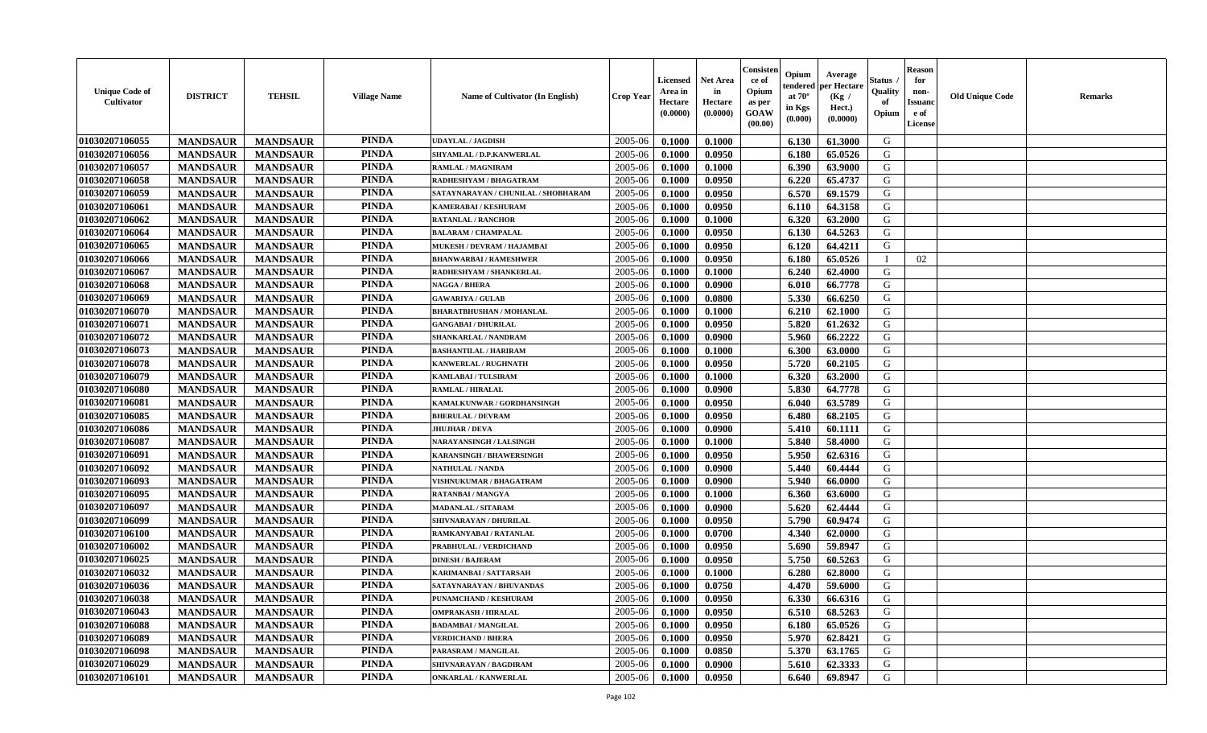| <b>Unique Code of</b><br><b>Cultivator</b> | <b>DISTRICT</b> | <b>TEHSIL</b>   | <b>Village Name</b> | Name of Cultivator (In English)     | <b>Crop Year</b> | <b>Licensed</b><br>Area in<br>Hectare<br>(0.0000) | <b>Net Area</b><br>in<br>Hectare<br>(0.0000) | Consister<br>ce of<br>Opium<br>as per<br><b>GOAW</b><br>(00.00) | Opium<br>endered<br>at $70^\circ$<br>in Kgs<br>(0.000) | Average<br>per Hectare<br>(Kg)<br>Hect.)<br>(0.0000) | Status<br>Quality<br>of<br>Opium | <b>Reason</b><br>for<br>non-<br><b>Issuand</b><br>e of<br><b>License</b> | <b>Old Unique Code</b> | <b>Remarks</b> |
|--------------------------------------------|-----------------|-----------------|---------------------|-------------------------------------|------------------|---------------------------------------------------|----------------------------------------------|-----------------------------------------------------------------|--------------------------------------------------------|------------------------------------------------------|----------------------------------|--------------------------------------------------------------------------|------------------------|----------------|
| 01030207106055                             | <b>MANDSAUR</b> | <b>MANDSAUR</b> | <b>PINDA</b>        | <b>UDAYLAL / JAGDISH</b>            | 2005-06          | 0.1000                                            | 0.1000                                       |                                                                 | 6.130                                                  | 61.3000                                              | G                                |                                                                          |                        |                |
| 01030207106056                             | <b>MANDSAUR</b> | <b>MANDSAUR</b> | <b>PINDA</b>        | SHYAMLAL / D.P.KANWERLAL            | 2005-06          | 0.1000                                            | 0.0950                                       |                                                                 | 6.180                                                  | 65.0526                                              | G                                |                                                                          |                        |                |
| 01030207106057                             | <b>MANDSAUR</b> | <b>MANDSAUR</b> | <b>PINDA</b>        | <b>RAMLAL / MAGNIRAM</b>            | 2005-06          | 0.1000                                            | 0.1000                                       |                                                                 | 6.390                                                  | 63.9000                                              | G                                |                                                                          |                        |                |
| 01030207106058                             | <b>MANDSAUR</b> | <b>MANDSAUR</b> | <b>PINDA</b>        | RADHESHYAM / BHAGATRAM              | 2005-06          | 0.1000                                            | 0.0950                                       |                                                                 | 6.220                                                  | 65,4737                                              | G                                |                                                                          |                        |                |
| 01030207106059                             | <b>MANDSAUR</b> | <b>MANDSAUR</b> | <b>PINDA</b>        | SATAYNARAYAN / CHUNILAL / SHOBHARAM | 2005-06          | 0.1000                                            | 0.0950                                       |                                                                 | 6.570                                                  | 69.1579                                              | G                                |                                                                          |                        |                |
| 01030207106061                             | <b>MANDSAUR</b> | <b>MANDSAUR</b> | <b>PINDA</b>        | KAMERABAI / KESHURAM                | 2005-06          | 0.1000                                            | 0.0950                                       |                                                                 | 6.110                                                  | 64.3158                                              | G                                |                                                                          |                        |                |
| 01030207106062                             | <b>MANDSAUR</b> | <b>MANDSAUR</b> | <b>PINDA</b>        | <b>RATANLAL / RANCHOR</b>           | 2005-06          | 0.1000                                            | 0.1000                                       |                                                                 | 6.320                                                  | 63.2000                                              | G                                |                                                                          |                        |                |
| 01030207106064                             | <b>MANDSAUR</b> | <b>MANDSAUR</b> | <b>PINDA</b>        | <b>BALARAM / CHAMPALAL</b>          | 2005-06          | 0.1000                                            | 0.0950                                       |                                                                 | 6.130                                                  | 64.5263                                              | ${\bf G}$                        |                                                                          |                        |                |
| 01030207106065                             | <b>MANDSAUR</b> | <b>MANDSAUR</b> | <b>PINDA</b>        | MUKESH / DEVRAM / HAJAMBAI          | 2005-06          | 0.1000                                            | 0.0950                                       |                                                                 | 6.120                                                  | 64.4211                                              | G                                |                                                                          |                        |                |
| 01030207106066                             | <b>MANDSAUR</b> | <b>MANDSAUR</b> | <b>PINDA</b>        | <b>BHANWARBAI / RAMESHWER</b>       | 2005-06          | 0.1000                                            | 0.0950                                       |                                                                 | 6.180                                                  | 65.0526                                              | <sup>1</sup>                     | 02                                                                       |                        |                |
| 01030207106067                             | <b>MANDSAUR</b> | <b>MANDSAUR</b> | <b>PINDA</b>        | RADHESHYAM / SHANKERLAL             | 2005-06          | 0.1000                                            | 0.1000                                       |                                                                 | 6.240                                                  | 62.4000                                              | G                                |                                                                          |                        |                |
| 01030207106068                             | <b>MANDSAUR</b> | <b>MANDSAUR</b> | <b>PINDA</b>        | <b>NAGGA / BHERA</b>                | 2005-06          | 0.1000                                            | 0.0900                                       |                                                                 | 6.010                                                  | 66.7778                                              | G                                |                                                                          |                        |                |
| 01030207106069                             | <b>MANDSAUR</b> | <b>MANDSAUR</b> | <b>PINDA</b>        | <b>GAWARIYA / GULAB</b>             | 2005-06          | 0.1000                                            | 0.0800                                       |                                                                 | 5.330                                                  | 66.6250                                              | G                                |                                                                          |                        |                |
| 01030207106070                             | <b>MANDSAUR</b> | <b>MANDSAUR</b> | <b>PINDA</b>        | <b>BHARATBHUSHAN / MOHANLAL</b>     | 2005-06          | 0.1000                                            | 0.1000                                       |                                                                 | 6.210                                                  | 62.1000                                              | G                                |                                                                          |                        |                |
| 01030207106071                             | <b>MANDSAUR</b> | <b>MANDSAUR</b> | <b>PINDA</b>        | <b>GANGABAI / DHURILAL</b>          | 2005-06          | 0.1000                                            | 0.0950                                       |                                                                 | 5.820                                                  | 61.2632                                              | G                                |                                                                          |                        |                |
| 01030207106072                             | <b>MANDSAUR</b> | <b>MANDSAUR</b> | <b>PINDA</b>        | <b>SHANKARLAL / NANDRAM</b>         | 2005-06          | 0.1000                                            | 0.0900                                       |                                                                 | 5.960                                                  | 66.2222                                              | G                                |                                                                          |                        |                |
| 01030207106073                             | <b>MANDSAUR</b> | <b>MANDSAUR</b> | <b>PINDA</b>        | <b>BASHANTILAL / HARIRAM</b>        | 2005-06          | 0.1000                                            | 0.1000                                       |                                                                 | 6.300                                                  | 63.0000                                              | G                                |                                                                          |                        |                |
| 01030207106078                             | <b>MANDSAUR</b> | <b>MANDSAUR</b> | <b>PINDA</b>        | KANWERLAL / RUGHNATH                | 2005-06          | 0.1000                                            | 0.0950                                       |                                                                 | 5.720                                                  | 60.2105                                              | G                                |                                                                          |                        |                |
| 01030207106079                             | <b>MANDSAUR</b> | <b>MANDSAUR</b> | <b>PINDA</b>        | KAMLABAI / TULSIRAM                 | 2005-06          | 0.1000                                            | 0.1000                                       |                                                                 | 6.320                                                  | 63.2000                                              | G                                |                                                                          |                        |                |
| 01030207106080                             | <b>MANDSAUR</b> | <b>MANDSAUR</b> | <b>PINDA</b>        | <b>RAMLAL / HIRALAL</b>             | 2005-06          | 0.1000                                            | 0.0900                                       |                                                                 | 5.830                                                  | 64.7778                                              | G                                |                                                                          |                        |                |
| 01030207106081                             | <b>MANDSAUR</b> | <b>MANDSAUR</b> | <b>PINDA</b>        | KAMALKUNWAR / GORDHANSINGH          | 2005-06          | 0.1000                                            | 0.0950                                       |                                                                 | 6.040                                                  | 63.5789                                              | G                                |                                                                          |                        |                |
| 01030207106085                             | <b>MANDSAUR</b> | <b>MANDSAUR</b> | <b>PINDA</b>        | <b>BHERULAL / DEVRAM</b>            | 2005-06          | 0.1000                                            | 0.0950                                       |                                                                 | 6.480                                                  | 68.2105                                              | G                                |                                                                          |                        |                |
| 01030207106086                             | <b>MANDSAUR</b> | <b>MANDSAUR</b> | <b>PINDA</b>        | <b>JHUJHAR / DEVA</b>               | 2005-06          | 0.1000                                            | 0.0900                                       |                                                                 | 5.410                                                  | 60.1111                                              | G                                |                                                                          |                        |                |
| 01030207106087                             | <b>MANDSAUR</b> | <b>MANDSAUR</b> | <b>PINDA</b>        | NARAYANSINGH / LALSINGH             | 2005-06          | 0.1000                                            | 0.1000                                       |                                                                 | 5.840                                                  | 58.4000                                              | G                                |                                                                          |                        |                |
| 01030207106091                             | <b>MANDSAUR</b> | <b>MANDSAUR</b> | <b>PINDA</b>        | <b>KARANSINGH / BHAWERSINGH</b>     | 2005-06          | 0.1000                                            | 0.0950                                       |                                                                 | 5.950                                                  | 62.6316                                              | G                                |                                                                          |                        |                |
| 01030207106092                             | <b>MANDSAUR</b> | <b>MANDSAUR</b> | <b>PINDA</b>        | <b>NATHULAL / NANDA</b>             | 2005-06          | 0.1000                                            | 0.0900                                       |                                                                 | 5.440                                                  | 60.4444                                              | G                                |                                                                          |                        |                |
| 01030207106093                             | <b>MANDSAUR</b> | <b>MANDSAUR</b> | <b>PINDA</b>        | VISHNUKUMAR / BHAGATRAM             | 2005-06          | 0.1000                                            | 0.0900                                       |                                                                 | 5.940                                                  | 66.0000                                              | G                                |                                                                          |                        |                |
| 01030207106095                             | <b>MANDSAUR</b> | <b>MANDSAUR</b> | <b>PINDA</b>        | <b>RATANBAI/MANGYA</b>              | 2005-06          | 0.1000                                            | 0.1000                                       |                                                                 | 6.360                                                  | 63.6000                                              | G                                |                                                                          |                        |                |
| 01030207106097                             | <b>MANDSAUR</b> | <b>MANDSAUR</b> | <b>PINDA</b>        | <b>MADANLAL / SITARAM</b>           | 2005-06          | 0.1000                                            | 0.0900                                       |                                                                 | 5.620                                                  | 62.4444                                              | G                                |                                                                          |                        |                |
| 01030207106099                             | <b>MANDSAUR</b> | <b>MANDSAUR</b> | <b>PINDA</b>        | SHIVNARAYAN / DHURILAL              | 2005-06          | 0.1000                                            | 0.0950                                       |                                                                 | 5.790                                                  | 60.9474                                              | G                                |                                                                          |                        |                |
| 01030207106100                             | <b>MANDSAUR</b> | <b>MANDSAUR</b> | <b>PINDA</b>        | RAMKANYABAI / RATANLAL              | 2005-06          | 0.1000                                            | 0.0700                                       |                                                                 | 4.340                                                  | 62.0000                                              | G                                |                                                                          |                        |                |
| 01030207106002                             | <b>MANDSAUR</b> | <b>MANDSAUR</b> | <b>PINDA</b>        | PRABHULAL / VERDICHAND              | 2005-06          | 0.1000                                            | 0.0950                                       |                                                                 | 5.690                                                  | 59.8947                                              | ${\bf G}$                        |                                                                          |                        |                |
| 01030207106025                             | <b>MANDSAUR</b> | <b>MANDSAUR</b> | <b>PINDA</b>        | <b>DINESH / BAJERAM</b>             | 2005-06          | 0.1000                                            | 0.0950                                       |                                                                 | 5.750                                                  | 60.5263                                              | G                                |                                                                          |                        |                |
| 01030207106032                             | <b>MANDSAUR</b> | <b>MANDSAUR</b> | <b>PINDA</b>        | KARIMANBAI / SATTARSAH              | 2005-06          | 0.1000                                            | 0.1000                                       |                                                                 | 6.280                                                  | 62.8000                                              | G                                |                                                                          |                        |                |
| 01030207106036                             | <b>MANDSAUR</b> | <b>MANDSAUR</b> | <b>PINDA</b>        | SATAYNARAYAN / BHUVANDAS            | 2005-06          | 0.1000                                            | 0.0750                                       |                                                                 | 4.470                                                  | 59.6000                                              | G                                |                                                                          |                        |                |
| 01030207106038                             | <b>MANDSAUR</b> | <b>MANDSAUR</b> | <b>PINDA</b>        | PUNAMCHAND / KESHURAM               | 2005-06          | 0.1000                                            | 0.0950                                       |                                                                 | 6.330                                                  | 66.6316                                              | G                                |                                                                          |                        |                |
| 01030207106043                             | <b>MANDSAUR</b> | <b>MANDSAUR</b> | <b>PINDA</b>        | <b>OMPRAKASH / HIRALAL</b>          | 2005-06          | 0.1000                                            | 0.0950                                       |                                                                 | 6.510                                                  | 68.5263                                              | G                                |                                                                          |                        |                |
| 01030207106088                             | <b>MANDSAUR</b> | <b>MANDSAUR</b> | <b>PINDA</b>        | <b>BADAMBAI/MANGILAL</b>            | 2005-06          | 0.1000                                            | 0.0950                                       |                                                                 | 6.180                                                  | 65.0526                                              | G                                |                                                                          |                        |                |
| 01030207106089                             | <b>MANDSAUR</b> | <b>MANDSAUR</b> | <b>PINDA</b>        | <b>VERDICHAND / BHERA</b>           | 2005-06          | 0.1000                                            | 0.0950                                       |                                                                 | 5.970                                                  | 62.8421                                              | G                                |                                                                          |                        |                |
| 01030207106098                             | <b>MANDSAUR</b> | <b>MANDSAUR</b> | <b>PINDA</b>        | PARASRAM / MANGILAL                 | 2005-06          | 0.1000                                            | 0.0850                                       |                                                                 | 5.370                                                  | 63.1765                                              | ${\bf G}$                        |                                                                          |                        |                |
| 01030207106029                             | <b>MANDSAUR</b> | <b>MANDSAUR</b> | <b>PINDA</b>        | SHIVNARAYAN / BAGDIRAM              | 2005-06          | 0.1000                                            | 0.0900                                       |                                                                 | 5.610                                                  | 62.3333                                              | G                                |                                                                          |                        |                |
| 01030207106101                             | <b>MANDSAUR</b> | <b>MANDSAUR</b> | <b>PINDA</b>        | <b>ONKARLAL / KANWERLAL</b>         | 2005-06          | 0.1000                                            | 0.0950                                       |                                                                 | 6.640                                                  | 69.8947                                              | G                                |                                                                          |                        |                |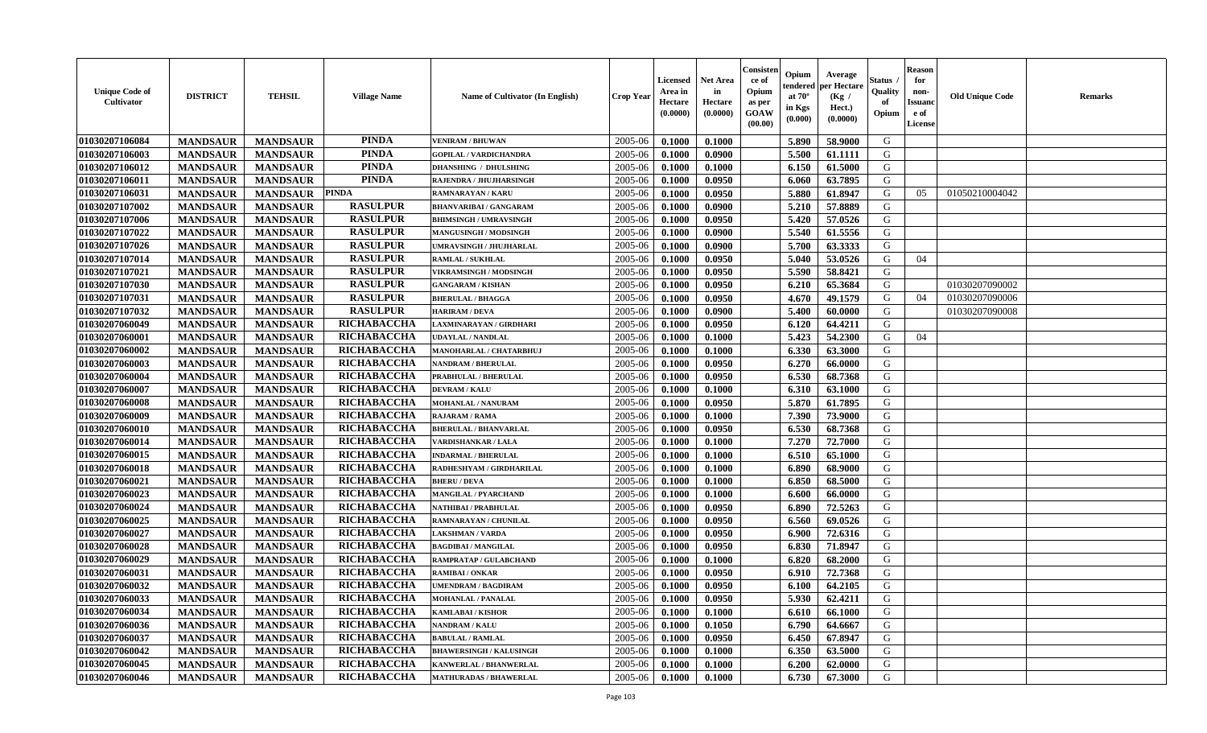| <b>Unique Code of</b><br><b>Cultivator</b> | <b>DISTRICT</b> | <b>TEHSIL</b>   | <b>Village Name</b> | Name of Cultivator (In English) | <b>Crop Year</b> | <b>Licensed</b><br>Area in<br>Hectare<br>(0.0000) | <b>Net Area</b><br>in<br>Hectare<br>(0.0000) | Consisteı<br>ce of<br>Opium<br>as per<br><b>GOAW</b><br>(00.00) | Opium<br>endered<br>at $70^\circ$<br>in Kgs<br>$(\mathbf{0.000})$ | Average<br>per Hectare<br>(Kg)<br>Hect.)<br>(0.0000) | Status<br>Quality<br>of<br>Opium | Reason<br>for<br>non-<br>Issuan<br>e of<br>License | <b>Old Unique Code</b> | <b>Remarks</b> |
|--------------------------------------------|-----------------|-----------------|---------------------|---------------------------------|------------------|---------------------------------------------------|----------------------------------------------|-----------------------------------------------------------------|-------------------------------------------------------------------|------------------------------------------------------|----------------------------------|----------------------------------------------------|------------------------|----------------|
| 01030207106084                             | <b>MANDSAUR</b> | <b>MANDSAUR</b> | <b>PINDA</b>        | <b>VENIRAM / BHUWAN</b>         | 2005-06          | 0.1000                                            | 0.1000                                       |                                                                 | 5.890                                                             | 58.9000                                              | G                                |                                                    |                        |                |
| 01030207106003                             | <b>MANDSAUR</b> | <b>MANDSAUR</b> | <b>PINDA</b>        | <b>GOPILAL / VARDICHANDRA</b>   | 2005-06          | 0.1000                                            | 0.0900                                       |                                                                 | 5.500                                                             | 61.1111                                              | G                                |                                                    |                        |                |
| 01030207106012                             | <b>MANDSAUR</b> | <b>MANDSAUR</b> | <b>PINDA</b>        | <b>DHANSHING / DHULSHING</b>    | 2005-06          | 0.1000                                            | 0.1000                                       |                                                                 | 6.150                                                             | 61.5000                                              | G                                |                                                    |                        |                |
| 01030207106011                             | <b>MANDSAUR</b> | <b>MANDSAUR</b> | <b>PINDA</b>        | RAJENDRA / JHUJHARSINGH         | 2005-06          | 0.1000                                            | 0.0950                                       |                                                                 | 6.060                                                             | 63.7895                                              | G                                |                                                    |                        |                |
| 01030207106031                             | <b>MANDSAUR</b> | <b>MANDSAUR</b> | <b>PINDA</b>        | RAMNARAYAN / KARU               | 2005-06          | 0.1000                                            | 0.0950                                       |                                                                 | 5.880                                                             | 61.8947                                              | G                                | 05                                                 | 01050210004042         |                |
| 01030207107002                             | <b>MANDSAUR</b> | <b>MANDSAUR</b> | <b>RASULPUR</b>     | <b>BHANVARIBAI / GANGARAM</b>   | 2005-06          | 0.1000                                            | 0.0900                                       |                                                                 | 5.210                                                             | 57.8889                                              | G                                |                                                    |                        |                |
| 01030207107006                             | <b>MANDSAUR</b> | <b>MANDSAUR</b> | <b>RASULPUR</b>     | <b>BHIMSINGH / UMRAVSINGH</b>   | 2005-06          | 0.1000                                            | 0.0950                                       |                                                                 | 5.420                                                             | 57.0526                                              | G                                |                                                    |                        |                |
| 01030207107022                             | <b>MANDSAUR</b> | <b>MANDSAUR</b> | <b>RASULPUR</b>     | MANGUSINGH / MODSINGH           | 2005-06          | 0.1000                                            | 0.0900                                       |                                                                 | 5.540                                                             | 61.5556                                              | G                                |                                                    |                        |                |
| 01030207107026                             | <b>MANDSAUR</b> | <b>MANDSAUR</b> | <b>RASULPUR</b>     | UMRAVSINGH / JHUJHARLAL         | 2005-06          | 0.1000                                            | 0.0900                                       |                                                                 | 5.700                                                             | 63.3333                                              | G                                |                                                    |                        |                |
| 01030207107014                             | <b>MANDSAUR</b> | <b>MANDSAUR</b> | <b>RASULPUR</b>     | RAMLAL / SUKHLAL                | 2005-06          | 0.1000                                            | 0.0950                                       |                                                                 | 5.040                                                             | 53.0526                                              | G                                | 04                                                 |                        |                |
| 01030207107021                             | <b>MANDSAUR</b> | <b>MANDSAUR</b> | <b>RASULPUR</b>     | <b>VIKRAMSINGH / MODSINGH</b>   | 2005-06          | 0.1000                                            | 0.0950                                       |                                                                 | 5.590                                                             | 58.8421                                              | G                                |                                                    |                        |                |
| 01030207107030                             | <b>MANDSAUR</b> | <b>MANDSAUR</b> | <b>RASULPUR</b>     | <b>GANGARAM / KISHAN</b>        | 2005-06          | 0.1000                                            | 0.0950                                       |                                                                 | 6.210                                                             | 65.3684                                              | G                                |                                                    | 01030207090002         |                |
| 01030207107031                             | <b>MANDSAUR</b> | <b>MANDSAUR</b> | <b>RASULPUR</b>     | <b>BHERULAL / BHAGGA</b>        | 2005-06          | 0.1000                                            | 0.0950                                       |                                                                 | 4.670                                                             | 49.1579                                              | G                                | 04                                                 | 01030207090006         |                |
| 01030207107032                             | <b>MANDSAUR</b> | <b>MANDSAUR</b> | <b>RASULPUR</b>     | <b>HARIRAM / DEVA</b>           | 2005-06          | 0.1000                                            | 0.0900                                       |                                                                 | 5.400                                                             | 60.0000                                              | G                                |                                                    | 01030207090008         |                |
| 01030207060049                             | <b>MANDSAUR</b> | <b>MANDSAUR</b> | RICHABACCHA         | LAXMINARAYAN / GIRDHARI         | 2005-06          | 0.1000                                            | 0.0950                                       |                                                                 | 6.120                                                             | 64.4211                                              | G                                |                                                    |                        |                |
| 01030207060001                             | <b>MANDSAUR</b> | <b>MANDSAUR</b> | RICHABACCHA         | UDAYLAL / NANDLAL               | 2005-06          | 0.1000                                            | 0.1000                                       |                                                                 | 5.423                                                             | 54.2300                                              | G                                | 04                                                 |                        |                |
| 01030207060002                             | <b>MANDSAUR</b> | <b>MANDSAUR</b> | RICHABACCHA         | MANOHARLAL / CHATARBHUJ         | 2005-06          | 0.1000                                            | 0.1000                                       |                                                                 | 6.330                                                             | 63.3000                                              | G                                |                                                    |                        |                |
| 01030207060003                             | <b>MANDSAUR</b> | <b>MANDSAUR</b> | RICHABACCHA         | <b>NANDRAM / BHERULAL</b>       | 2005-06          | 0.1000                                            | 0.0950                                       |                                                                 | 6.270                                                             | 66.0000                                              | G                                |                                                    |                        |                |
| 01030207060004                             | <b>MANDSAUR</b> | <b>MANDSAUR</b> | RICHABACCHA         | PRABHULAL / BHERULAL            | 2005-06          | 0.1000                                            | 0.0950                                       |                                                                 | 6.530                                                             | 68.7368                                              | G                                |                                                    |                        |                |
| 01030207060007                             | <b>MANDSAUR</b> | <b>MANDSAUR</b> | RICHABACCHA         | <b>DEVRAM / KALU</b>            | 2005-06          | 0.1000                                            | 0.1000                                       |                                                                 | 6.310                                                             | 63.1000                                              | G                                |                                                    |                        |                |
| 01030207060008                             | <b>MANDSAUR</b> | <b>MANDSAUR</b> | RICHABACCHA         | MOHANLAL / NANURAM              | 2005-06          | 0.1000                                            | 0.0950                                       |                                                                 | 5.870                                                             | 61.7895                                              | G                                |                                                    |                        |                |
| 01030207060009                             | <b>MANDSAUR</b> | <b>MANDSAUR</b> | RICHABACCHA         | <b>RAJARAM / RAMA</b>           | 2005-06          | 0.1000                                            | 0.1000                                       |                                                                 | 7.390                                                             | 73.9000                                              | G                                |                                                    |                        |                |
| 01030207060010                             | <b>MANDSAUR</b> | <b>MANDSAUR</b> | RICHABACCHA         | <b>BHERULAL / BHANVARLAL</b>    | 2005-06          | 0.1000                                            | 0.0950                                       |                                                                 | 6.530                                                             | 68.7368                                              | G                                |                                                    |                        |                |
| 01030207060014                             | <b>MANDSAUR</b> | <b>MANDSAUR</b> | RICHABACCHA         | VARDISHANKAR / LALA             | 2005-06          | 0.1000                                            | 0.1000                                       |                                                                 | 7.270                                                             | 72.7000                                              | G                                |                                                    |                        |                |
| 01030207060015                             | <b>MANDSAUR</b> | <b>MANDSAUR</b> | RICHABACCHA         | <b>INDARMAL / BHERULAL</b>      | 2005-06          | 0.1000                                            | 0.1000                                       |                                                                 | 6.510                                                             | 65.1000                                              | G                                |                                                    |                        |                |
| 01030207060018                             | <b>MANDSAUR</b> | <b>MANDSAUR</b> | RICHABACCHA         | RADHESHYAM / GIRDHARILAL        | 2005-06          | 0.1000                                            | 0.1000                                       |                                                                 | 6.890                                                             | 68.9000                                              | G                                |                                                    |                        |                |
| 01030207060021                             | <b>MANDSAUR</b> | <b>MANDSAUR</b> | RICHABACCHA         | <b>BHERU / DEVA</b>             | 2005-06          | 0.1000                                            | 0.1000                                       |                                                                 | 6.850                                                             | 68.5000                                              | G                                |                                                    |                        |                |
| 01030207060023                             | <b>MANDSAUR</b> | <b>MANDSAUR</b> | RICHABACCHA         | <b>MANGILAL / PYARCHAND</b>     | 2005-06          | 0.1000                                            | 0.1000                                       |                                                                 | 6.600                                                             | 66.0000                                              | G                                |                                                    |                        |                |
| 01030207060024                             | <b>MANDSAUR</b> | <b>MANDSAUR</b> | RICHABACCHA         | NATHIBAI / PRABHULAL            | 2005-06          | 0.1000                                            | 0.0950                                       |                                                                 | 6.890                                                             | 72.5263                                              | G                                |                                                    |                        |                |
| 01030207060025                             | <b>MANDSAUR</b> | <b>MANDSAUR</b> | RICHABACCHA         | RAMNARAYAN / CHUNILAL           | 2005-06          | 0.1000                                            | 0.0950                                       |                                                                 | 6.560                                                             | 69.0526                                              | G                                |                                                    |                        |                |
| 01030207060027                             | <b>MANDSAUR</b> | <b>MANDSAUR</b> | RICHABACCHA         | <b>LAKSHMAN / VARDA</b>         | 2005-06          | 0.1000                                            | 0.0950                                       |                                                                 | 6.900                                                             | 72.6316                                              | G                                |                                                    |                        |                |
| 01030207060028                             | <b>MANDSAUR</b> | <b>MANDSAUR</b> | RICHABACCHA         | <b>BAGDIBAI / MANGILAL</b>      | 2005-06          | 0.1000                                            | 0.0950                                       |                                                                 | 6.830                                                             | 71.8947                                              | G                                |                                                    |                        |                |
| 01030207060029                             | <b>MANDSAUR</b> | <b>MANDSAUR</b> | RICHABACCHA         | RAMPRATAP / GULABCHAND          | 2005-06          | 0.1000                                            | 0.1000                                       |                                                                 | 6.820                                                             | 68.2000                                              | G                                |                                                    |                        |                |
| 01030207060031                             | <b>MANDSAUR</b> | <b>MANDSAUR</b> | RICHABACCHA         | RAMIBAI / ONKAR                 | 2005-06          | 0.1000                                            | 0.0950                                       |                                                                 | 6.910                                                             | 72.7368                                              | G                                |                                                    |                        |                |
| 01030207060032                             | <b>MANDSAUR</b> | <b>MANDSAUR</b> | <b>RICHABACCHA</b>  | <b>JMENDRAM / BAGDIRAM</b>      | 2005-06          | 0.1000                                            | 0.0950                                       |                                                                 | 6.100                                                             | 64.2105                                              | G                                |                                                    |                        |                |
| 01030207060033                             | <b>MANDSAUR</b> | <b>MANDSAUR</b> | RICHABACCHA         | <b>MOHANLAL / PANALAL</b>       | $2005 - 06$      | 0.1000                                            | 0.0950                                       |                                                                 | 5.930                                                             | 62.4211                                              | G                                |                                                    |                        |                |
| 01030207060034                             | <b>MANDSAUR</b> | <b>MANDSAUR</b> | RICHABACCHA         | <b>KAMLABAI/KISHOR</b>          | 2005-06          | 0.1000                                            | 0.1000                                       |                                                                 | 6.610                                                             | 66.1000                                              | G                                |                                                    |                        |                |
| 01030207060036                             | <b>MANDSAUR</b> | <b>MANDSAUR</b> | <b>RICHABACCHA</b>  | <b>NANDRAM / KALU</b>           | 2005-06          | 0.1000                                            | 0.1050                                       |                                                                 | 6.790                                                             | 64.6667                                              | G                                |                                                    |                        |                |
| 01030207060037                             | <b>MANDSAUR</b> | <b>MANDSAUR</b> | <b>RICHABACCHA</b>  | <b>BABULAL / RAMLAL</b>         | 2005-06          | 0.1000                                            | 0.0950                                       |                                                                 | 6.450                                                             | 67.8947                                              | G                                |                                                    |                        |                |
| 01030207060042                             | <b>MANDSAUR</b> | <b>MANDSAUR</b> | <b>RICHABACCHA</b>  | <b>BHAWERSINGH / KALUSINGH</b>  | 2005-06          | 0.1000                                            | 0.1000                                       |                                                                 | 6.350                                                             | 63.5000                                              | G                                |                                                    |                        |                |
| 01030207060045                             | <b>MANDSAUR</b> | <b>MANDSAUR</b> | <b>RICHABACCHA</b>  | KANWERLAL / BHANWERLAL          | 2005-06          | 0.1000                                            | 0.1000                                       |                                                                 | 6.200                                                             | 62.0000                                              | G                                |                                                    |                        |                |
| 01030207060046                             | <b>MANDSAUR</b> | <b>MANDSAUR</b> | <b>RICHABACCHA</b>  | <b>MATHURADAS / BHAWERLAL</b>   | 2005-06          | 0.1000                                            | 0.1000                                       |                                                                 | 6.730                                                             | 67.3000                                              | G                                |                                                    |                        |                |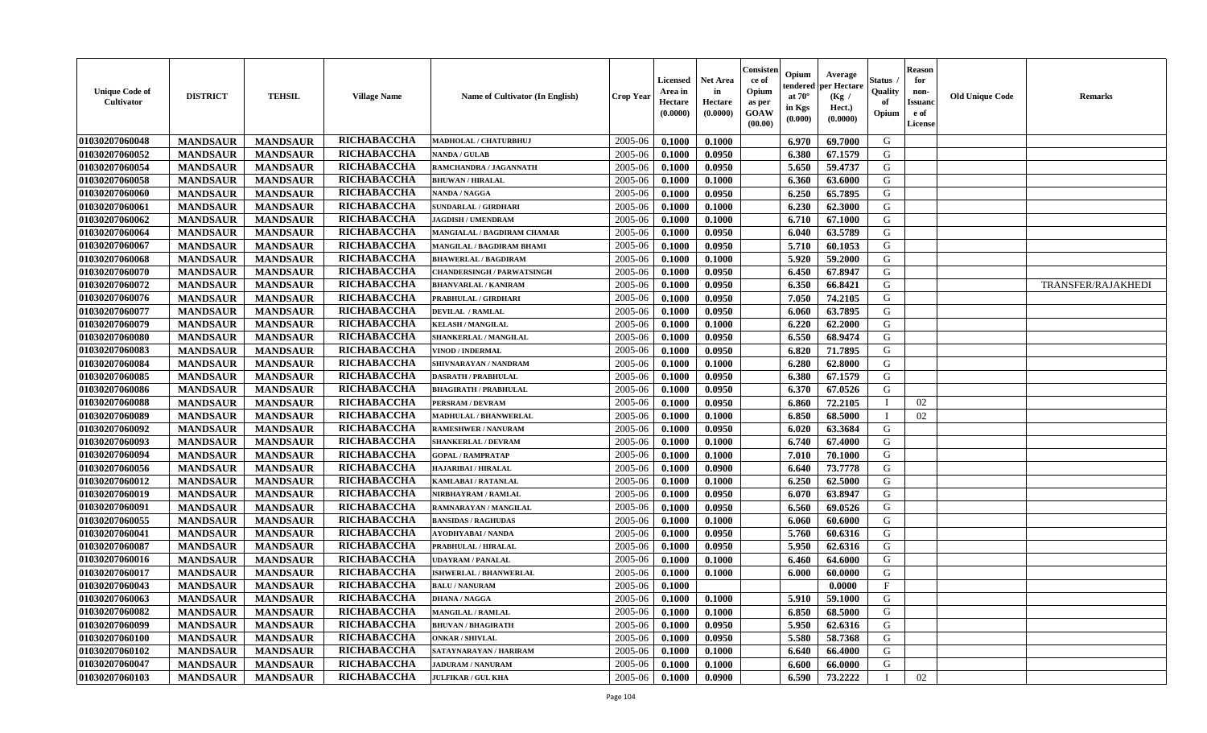| <b>Unique Code of</b><br><b>Cultivator</b> | <b>DISTRICT</b> | <b>TEHSIL</b>   | <b>Village Name</b> | Name of Cultivator (In English)   | <b>Crop Year</b> | <b>Licensed</b><br>Area in<br>Hectare<br>(0.0000) | <b>Net Area</b><br>in<br>Hectare<br>(0.0000) | Consisteı<br>ce of<br>Opium<br>as per<br><b>GOAW</b><br>(00.00) | Opium<br>endered<br>at $70^\circ$<br>in Kgs<br>$(\mathbf{0.000})$ | Average<br>per Hectare<br>(Kg /<br>Hect.)<br>(0.0000) | Status<br>Quality<br>of<br>Opium | Reason<br>for<br>non-<br>Issuan<br>e of<br>License | <b>Old Unique Code</b> | <b>Remarks</b>     |
|--------------------------------------------|-----------------|-----------------|---------------------|-----------------------------------|------------------|---------------------------------------------------|----------------------------------------------|-----------------------------------------------------------------|-------------------------------------------------------------------|-------------------------------------------------------|----------------------------------|----------------------------------------------------|------------------------|--------------------|
| 01030207060048                             | <b>MANDSAUR</b> | <b>MANDSAUR</b> | RICHABACCHA         | MADHOLAL / CHATURBHUJ             | 2005-06          | 0.1000                                            | 0.1000                                       |                                                                 | 6.970                                                             | 69.7000                                               | G                                |                                                    |                        |                    |
| 01030207060052                             | <b>MANDSAUR</b> | <b>MANDSAUR</b> | RICHABACCHA         | <b>NANDA / GULAB</b>              | 2005-06          | 0.1000                                            | 0.0950                                       |                                                                 | 6.380                                                             | 67.1579                                               | G                                |                                                    |                        |                    |
| 01030207060054                             | <b>MANDSAUR</b> | <b>MANDSAUR</b> | RICHABACCHA         | RAMCHANDRA / JAGANNATH            | 2005-06          | 0.1000                                            | 0.0950                                       |                                                                 | 5.650                                                             | 59,4737                                               | G                                |                                                    |                        |                    |
| 01030207060058                             | <b>MANDSAUR</b> | <b>MANDSAUR</b> | RICHABACCHA         | <b>BHUWAN / HIRALAL</b>           | 2005-06          | 0.1000                                            | 0.1000                                       |                                                                 | 6.360                                                             | 63.6000                                               | G                                |                                                    |                        |                    |
| 01030207060060                             | <b>MANDSAUR</b> | <b>MANDSAUR</b> | RICHABACCHA         | <b>NANDA / NAGGA</b>              | 2005-06          | 0.1000                                            | 0.0950                                       |                                                                 | 6.250                                                             | 65.7895                                               | G                                |                                                    |                        |                    |
| 01030207060061                             | <b>MANDSAUR</b> | <b>MANDSAUR</b> | RICHABACCHA         | <b>SUNDARLAL / GIRDHARI</b>       | 2005-06          | 0.1000                                            | 0.1000                                       |                                                                 | 6.230                                                             | 62.3000                                               | G                                |                                                    |                        |                    |
| 01030207060062                             | <b>MANDSAUR</b> | <b>MANDSAUR</b> | RICHABACCHA         | <b>JAGDISH / UMENDRAM</b>         | 2005-06          | 0.1000                                            | 0.1000                                       |                                                                 | 6.710                                                             | 67.1000                                               | G                                |                                                    |                        |                    |
| 01030207060064                             | <b>MANDSAUR</b> | <b>MANDSAUR</b> | RICHABACCHA         | MANGIALAL / BAGDIRAM CHAMAR       | 2005-06          | 0.1000                                            | 0.0950                                       |                                                                 | 6.040                                                             | 63.5789                                               | G                                |                                                    |                        |                    |
| 01030207060067                             | <b>MANDSAUR</b> | <b>MANDSAUR</b> | RICHABACCHA         | MANGILAL / BAGDIRAM BHAMI         | 2005-06          | 0.1000                                            | 0.0950                                       |                                                                 | 5.710                                                             | 60.1053                                               | G                                |                                                    |                        |                    |
| 01030207060068                             | <b>MANDSAUR</b> | <b>MANDSAUR</b> | RICHABACCHA         | <b>BHAWERLAL / BAGDIRAM</b>       | 2005-06          | 0.1000                                            | 0.1000                                       |                                                                 | 5.920                                                             | 59.2000                                               | G                                |                                                    |                        |                    |
| 01030207060070                             | <b>MANDSAUR</b> | <b>MANDSAUR</b> | RICHABACCHA         | <b>CHANDERSINGH / PARWATSINGH</b> | 2005-06          | 0.1000                                            | 0.0950                                       |                                                                 | 6.450                                                             | 67.8947                                               | G                                |                                                    |                        |                    |
| 01030207060072                             | <b>MANDSAUR</b> | <b>MANDSAUR</b> | RICHABACCHA         | <b>BHANVARLAL / KANIRAM</b>       | 2005-06          | 0.1000                                            | 0.0950                                       |                                                                 | 6.350                                                             | 66.8421                                               | G                                |                                                    |                        | TRANSFER/RAJAKHEDI |
| 01030207060076                             | <b>MANDSAUR</b> | <b>MANDSAUR</b> | <b>RICHABACCHA</b>  | PRABHULAL / GIRDHARI              | 2005-06          | 0.1000                                            | 0.0950                                       |                                                                 | 7.050                                                             | 74.2105                                               | G                                |                                                    |                        |                    |
| 01030207060077                             | <b>MANDSAUR</b> | <b>MANDSAUR</b> | RICHABACCHA         | <b>DEVILAL / RAMLAL</b>           | 2005-06          | 0.1000                                            | 0.0950                                       |                                                                 | 6.060                                                             | 63.7895                                               | G                                |                                                    |                        |                    |
| 01030207060079                             | <b>MANDSAUR</b> | <b>MANDSAUR</b> | RICHABACCHA         | <b>KELASH / MANGILAL</b>          | 2005-06          | 0.1000                                            | 0.1000                                       |                                                                 | 6.220                                                             | 62.2000                                               | G                                |                                                    |                        |                    |
| 01030207060080                             | <b>MANDSAUR</b> | <b>MANDSAUR</b> | RICHABACCHA         | SHANKERLAL / MANGILAL             | 2005-06          | 0.1000                                            | 0.0950                                       |                                                                 | 6.550                                                             | 68.9474                                               | G                                |                                                    |                        |                    |
| 01030207060083                             | <b>MANDSAUR</b> | <b>MANDSAUR</b> | RICHABACCHA         | <b>VINOD / INDERMAL</b>           | 2005-06          | 0.1000                                            | 0.0950                                       |                                                                 | 6.820                                                             | 71.7895                                               | G                                |                                                    |                        |                    |
| 01030207060084                             | <b>MANDSAUR</b> | <b>MANDSAUR</b> | RICHABACCHA         | SHIVNARAYAN / NANDRAM             | 2005-06          | 0.1000                                            | 0.1000                                       |                                                                 | 6.280                                                             | 62.8000                                               | G                                |                                                    |                        |                    |
| 01030207060085                             | <b>MANDSAUR</b> | <b>MANDSAUR</b> | RICHABACCHA         | <b>DASRATH / PRABHULAL</b>        | 2005-06          | 0.1000                                            | 0.0950                                       |                                                                 | 6.380                                                             | 67.1579                                               | G                                |                                                    |                        |                    |
| 01030207060086                             | <b>MANDSAUR</b> | <b>MANDSAUR</b> | RICHABACCHA         | <b>BHAGIRATH / PRABHULAL</b>      | 2005-06          | 0.1000                                            | 0.0950                                       |                                                                 | 6.370                                                             | 67.0526                                               | G                                |                                                    |                        |                    |
| 01030207060088                             | <b>MANDSAUR</b> | <b>MANDSAUR</b> | RICHABACCHA         | PERSRAM / DEVRAM                  | 2005-06          | 0.1000                                            | 0.0950                                       |                                                                 | 6.860                                                             | 72.2105                                               |                                  | 02                                                 |                        |                    |
| 01030207060089                             | <b>MANDSAUR</b> | <b>MANDSAUR</b> | RICHABACCHA         | MADHULAL / BHANWERLAL             | 2005-06          | 0.1000                                            | 0.1000                                       |                                                                 | 6.850                                                             | 68.5000                                               | - 1                              | 02                                                 |                        |                    |
| 01030207060092                             | <b>MANDSAUR</b> | <b>MANDSAUR</b> | RICHABACCHA         | <b>RAMESHWER / NANURAM</b>        | 2005-06          | 0.1000                                            | 0.0950                                       |                                                                 | 6.020                                                             | 63.3684                                               | G                                |                                                    |                        |                    |
| 01030207060093                             | <b>MANDSAUR</b> | <b>MANDSAUR</b> | RICHABACCHA         | <b>SHANKERLAL / DEVRAM</b>        | 2005-06          | 0.1000                                            | 0.1000                                       |                                                                 | 6.740                                                             | 67.4000                                               | G                                |                                                    |                        |                    |
| 01030207060094                             | <b>MANDSAUR</b> | <b>MANDSAUR</b> | RICHABACCHA         | <b>GOPAL / RAMPRATAP</b>          | 2005-06          | 0.1000                                            | 0.1000                                       |                                                                 | 7.010                                                             | 70.1000                                               | G                                |                                                    |                        |                    |
| 01030207060056                             | <b>MANDSAUR</b> | <b>MANDSAUR</b> | RICHABACCHA         | <b>HAJARIBAI / HIRALAL</b>        | 2005-06          | 0.1000                                            | 0.0900                                       |                                                                 | 6.640                                                             | 73.7778                                               | G                                |                                                    |                        |                    |
| 01030207060012                             | <b>MANDSAUR</b> | <b>MANDSAUR</b> | RICHABACCHA         | KAMLABAI / RATANLAL               | 2005-06          | 0.1000                                            | 0.1000                                       |                                                                 | 6.250                                                             | 62.5000                                               | G                                |                                                    |                        |                    |
| 01030207060019                             | <b>MANDSAUR</b> | <b>MANDSAUR</b> | RICHABACCHA         | NIRBHAYRAM / RAMLAL               | 2005-06          | 0.1000                                            | 0.0950                                       |                                                                 | 6.070                                                             | 63.8947                                               | G                                |                                                    |                        |                    |
| 01030207060091                             | <b>MANDSAUR</b> | <b>MANDSAUR</b> | RICHABACCHA         | RAMNARAYAN / MANGILAL             | 2005-06          | 0.1000                                            | 0.0950                                       |                                                                 | 6.560                                                             | 69.0526                                               | G                                |                                                    |                        |                    |
| 01030207060055                             | <b>MANDSAUR</b> | <b>MANDSAUR</b> | RICHABACCHA         | <b>BANSIDAS / RAGHUDAS</b>        | 2005-06          | 0.1000                                            | 0.1000                                       |                                                                 | 6.060                                                             | 60.6000                                               | G                                |                                                    |                        |                    |
| 01030207060041                             | <b>MANDSAUR</b> | <b>MANDSAUR</b> | RICHABACCHA         | <b>AYODHYABAI/NANDA</b>           | 2005-06          | 0.1000                                            | 0.0950                                       |                                                                 | 5.760                                                             | 60.6316                                               | G                                |                                                    |                        |                    |
| 01030207060087                             | <b>MANDSAUR</b> | <b>MANDSAUR</b> | RICHABACCHA         | PRABHULAL / HIRALAL               | 2005-06          | 0.1000                                            | 0.0950                                       |                                                                 | 5.950                                                             | 62.6316                                               | G                                |                                                    |                        |                    |
| 01030207060016                             | <b>MANDSAUR</b> | <b>MANDSAUR</b> | RICHABACCHA         | UDAYRAM / PANALAL                 | 2005-06          | 0.1000                                            | 0.1000                                       |                                                                 | 6.460                                                             | 64.6000                                               | G                                |                                                    |                        |                    |
| 01030207060017                             | <b>MANDSAUR</b> | <b>MANDSAUR</b> | RICHABACCHA         | <b>ISHWERLAL / BHANWERLAL</b>     | 2005-06          | 0.1000                                            | 0.1000                                       |                                                                 | 6.000                                                             | 60.0000                                               | G                                |                                                    |                        |                    |
| 01030207060043                             | <b>MANDSAUR</b> | <b>MANDSAUR</b> | <b>RICHABACCHA</b>  | <b>BALU / NANURAM</b>             | 2005-06          | 0.1000                                            |                                              |                                                                 |                                                                   | 0.0000                                                | $\mathbf{F}$                     |                                                    |                        |                    |
| 01030207060063                             | <b>MANDSAUR</b> | <b>MANDSAUR</b> | RICHABACCHA         | <b>DHANA / NAGGA</b>              | $2005 - 06$      | 0.1000                                            | 0.1000                                       |                                                                 |                                                                   | $5.910$   59.1000                                     | G                                |                                                    |                        |                    |
| 01030207060082                             | <b>MANDSAUR</b> | <b>MANDSAUR</b> | RICHABACCHA         | <b>MANGILAL / RAMLAL</b>          | 2005-06          | 0.1000                                            | 0.1000                                       |                                                                 | 6.850                                                             | 68.5000                                               | G                                |                                                    |                        |                    |
| 01030207060099                             | <b>MANDSAUR</b> | <b>MANDSAUR</b> | <b>RICHABACCHA</b>  | <b>BHUVAN / BHAGIRATH</b>         | 2005-06          | 0.1000                                            | 0.0950                                       |                                                                 | 5.950                                                             | 62.6316                                               | G                                |                                                    |                        |                    |
| 01030207060100                             | <b>MANDSAUR</b> | <b>MANDSAUR</b> | <b>RICHABACCHA</b>  | <b>ONKAR / SHIVLAL</b>            | 2005-06          | 0.1000                                            | 0.0950                                       |                                                                 | 5.580                                                             | 58.7368                                               | G                                |                                                    |                        |                    |
| 01030207060102                             | <b>MANDSAUR</b> | <b>MANDSAUR</b> | <b>RICHABACCHA</b>  | SATAYNARAYAN / HARIRAM            | 2005-06          | 0.1000                                            | 0.1000                                       |                                                                 | 6.640                                                             | 66.4000                                               | G                                |                                                    |                        |                    |
| 01030207060047                             | <b>MANDSAUR</b> | <b>MANDSAUR</b> | <b>RICHABACCHA</b>  | <b>JADURAM / NANURAM</b>          | 2005-06          | 0.1000                                            | 0.1000                                       |                                                                 | 6.600                                                             | 66.0000                                               | G                                |                                                    |                        |                    |
| 01030207060103                             | <b>MANDSAUR</b> | <b>MANDSAUR</b> | <b>RICHABACCHA</b>  | <b>JULFIKAR / GUL KHA</b>         | 2005-06          | 0.1000                                            | 0.0900                                       |                                                                 | 6.590                                                             | 73.2222                                               | - 1                              | 02                                                 |                        |                    |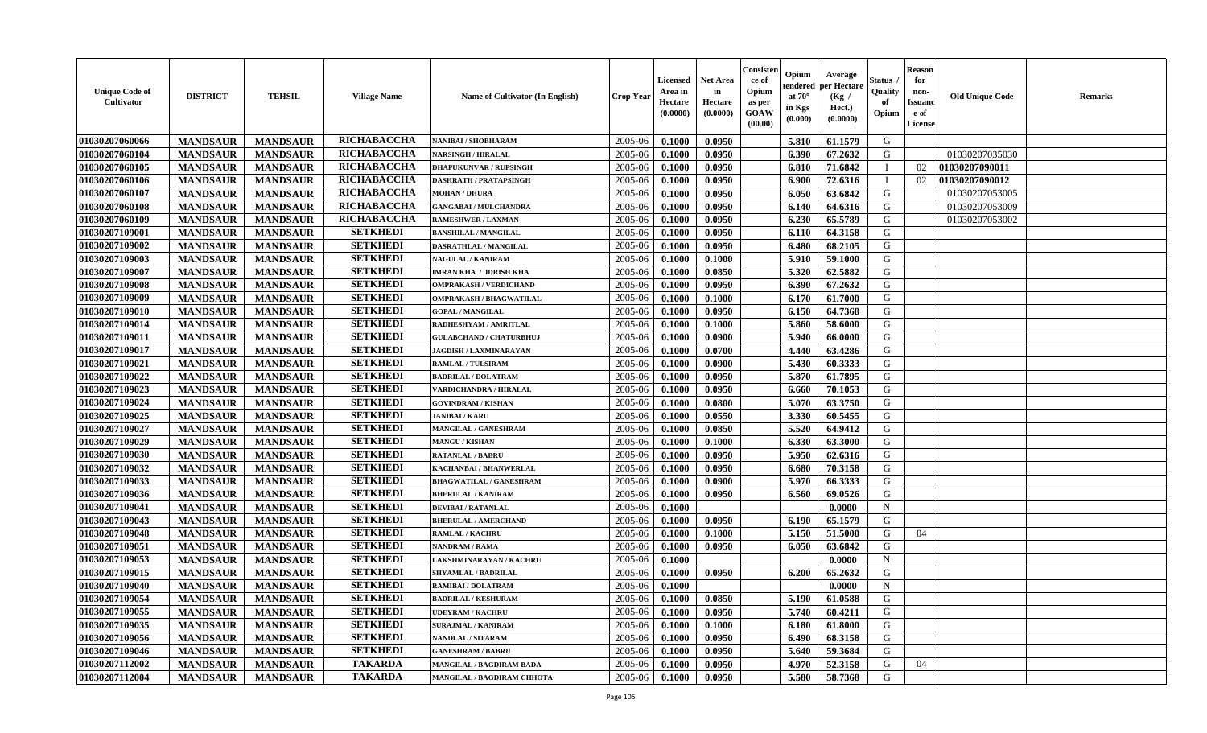| <b>Unique Code of</b><br>Cultivator | <b>DISTRICT</b> | <b>TEHSIL</b>   | <b>Village Name</b> | Name of Cultivator (In English) | <b>Crop Year</b> | <b>Licensed</b><br>Area in<br>Hectare<br>(0.0000) | <b>Net Area</b><br>in<br>Hectare<br>(0.0000) | Consister<br>ce of<br>Opium<br>as per<br><b>GOAW</b><br>(00.00) | Opium<br>endered<br>at $70^{\circ}$<br>in Kgs<br>(0.000) | Average<br>per Hectare<br>(Kg /<br>Hect.)<br>(0.0000) | Status<br>Quality<br>of<br>Opium | <b>Reason</b><br>for<br>non-<br><b>Issuanc</b><br>e of<br>License | <b>Old Unique Code</b> | <b>Remarks</b> |
|-------------------------------------|-----------------|-----------------|---------------------|---------------------------------|------------------|---------------------------------------------------|----------------------------------------------|-----------------------------------------------------------------|----------------------------------------------------------|-------------------------------------------------------|----------------------------------|-------------------------------------------------------------------|------------------------|----------------|
| 01030207060066                      | <b>MANDSAUR</b> | <b>MANDSAUR</b> | RICHABACCHA         | NANIBAI / SHOBHARAM             | 2005-06          | 0.1000                                            | 0.0950                                       |                                                                 | 5.810                                                    | 61.1579                                               | G                                |                                                                   |                        |                |
| 01030207060104                      | <b>MANDSAUR</b> | <b>MANDSAUR</b> | RICHABACCHA         | <b>NARSINGH / HIRALAL</b>       | 2005-06          | 0.1000                                            | 0.0950                                       |                                                                 | 6.390                                                    | 67.2632                                               | G                                |                                                                   | 01030207035030         |                |
| 01030207060105                      | <b>MANDSAUR</b> | <b>MANDSAUR</b> | RICHABACCHA         | <b>DHAPUKUNVAR / RUPSINGH</b>   | 2005-06          | 0.1000                                            | 0.0950                                       |                                                                 | 6.810                                                    | 71.6842                                               |                                  | 02                                                                | 01030207090011         |                |
| 01030207060106                      | <b>MANDSAUR</b> | <b>MANDSAUR</b> | RICHABACCHA         | <b>DASHRATH / PRATAPSINGH</b>   | 2005-06          | 0.1000                                            | 0.0950                                       |                                                                 | 6.900                                                    | 72.6316                                               |                                  | 02                                                                | 01030207090012         |                |
| 01030207060107                      | <b>MANDSAUR</b> | <b>MANDSAUR</b> | RICHABACCHA         | <b>MOHAN / DHURA</b>            | 2005-06          | 0.1000                                            | 0.0950                                       |                                                                 | 6.050                                                    | 63.6842                                               | G                                |                                                                   | 01030207053005         |                |
| 01030207060108                      | <b>MANDSAUR</b> | <b>MANDSAUR</b> | RICHABACCHA         | <b>GANGABAI / MULCHANDRA</b>    | 2005-06          | 0.1000                                            | 0.0950                                       |                                                                 | 6.140                                                    | 64.6316                                               | G                                |                                                                   | 01030207053009         |                |
| 01030207060109                      | <b>MANDSAUR</b> | <b>MANDSAUR</b> | RICHABACCHA         | <b>RAMESHWER / LAXMAN</b>       | 2005-06          | 0.1000                                            | 0.0950                                       |                                                                 | 6.230                                                    | 65.5789                                               | G                                |                                                                   | 01030207053002         |                |
| 01030207109001                      | <b>MANDSAUR</b> | <b>MANDSAUR</b> | <b>SETKHEDI</b>     | <b>BANSHILAL / MANGILAL</b>     | 2005-06          | 0.1000                                            | 0.0950                                       |                                                                 | 6.110                                                    | 64.3158                                               | G                                |                                                                   |                        |                |
| 01030207109002                      | <b>MANDSAUR</b> | <b>MANDSAUR</b> | <b>SETKHEDI</b>     | <b>DASRATHLAL / MANGILAL</b>    | 2005-06          | 0.1000                                            | 0.0950                                       |                                                                 | 6.480                                                    | 68.2105                                               | G                                |                                                                   |                        |                |
| 01030207109003                      | <b>MANDSAUR</b> | <b>MANDSAUR</b> | <b>SETKHEDI</b>     | <b>NAGULAL / KANIRAM</b>        | 2005-06          | 0.1000                                            | 0.1000                                       |                                                                 | 5.910                                                    | 59.1000                                               | G                                |                                                                   |                        |                |
| 01030207109007                      | <b>MANDSAUR</b> | <b>MANDSAUR</b> | <b>SETKHEDI</b>     | <b>IMRAN KHA / IDRISH KHA</b>   | 2005-06          | 0.1000                                            | 0.0850                                       |                                                                 | 5.320                                                    | 62.5882                                               | G                                |                                                                   |                        |                |
| 01030207109008                      | <b>MANDSAUR</b> | <b>MANDSAUR</b> | <b>SETKHEDI</b>     | <b>OMPRAKASH / VERDICHAND</b>   | 2005-06          | 0.1000                                            | 0.0950                                       |                                                                 | 6.390                                                    | 67.2632                                               | G                                |                                                                   |                        |                |
| 01030207109009                      | <b>MANDSAUR</b> | <b>MANDSAUR</b> | <b>SETKHEDI</b>     | <b>OMPRAKASH / BHAGWATILAL</b>  | 2005-06          | 0.1000                                            | 0.1000                                       |                                                                 | 6.170                                                    | 61.7000                                               | G                                |                                                                   |                        |                |
| 01030207109010                      | <b>MANDSAUR</b> | <b>MANDSAUR</b> | <b>SETKHEDI</b>     | <b>GOPAL / MANGILAL</b>         | 2005-06          | 0.1000                                            | 0.0950                                       |                                                                 | 6.150                                                    | 64.7368                                               | G                                |                                                                   |                        |                |
| 01030207109014                      | <b>MANDSAUR</b> | <b>MANDSAUR</b> | <b>SETKHEDI</b>     | RADHESHYAM / AMRITLAL           | 2005-06          | 0.1000                                            | 0.1000                                       |                                                                 | 5.860                                                    | 58.6000                                               | G                                |                                                                   |                        |                |
| 01030207109011                      | <b>MANDSAUR</b> | <b>MANDSAUR</b> | <b>SETKHEDI</b>     | <b>GULABCHAND / CHATURBHUJ</b>  | 2005-06          | 0.1000                                            | 0.0900                                       |                                                                 | 5.940                                                    | 66.0000                                               | G                                |                                                                   |                        |                |
| 01030207109017                      | <b>MANDSAUR</b> | <b>MANDSAUR</b> | <b>SETKHEDI</b>     | <b>JAGDISH / LAXMINARAYAN</b>   | 2005-06          | 0.1000                                            | 0.0700                                       |                                                                 | 4.440                                                    | 63.4286                                               | G                                |                                                                   |                        |                |
| 01030207109021                      | <b>MANDSAUR</b> | <b>MANDSAUR</b> | <b>SETKHEDI</b>     | RAMLAL / TULSIRAM               | 2005-06          | 0.1000                                            | 0.0900                                       |                                                                 | 5.430                                                    | 60.3333                                               | G                                |                                                                   |                        |                |
| 01030207109022                      | <b>MANDSAUR</b> | <b>MANDSAUR</b> | <b>SETKHEDI</b>     | <b>BADRILAL / DOLATRAM</b>      | 2005-06          | 0.1000                                            | 0.0950                                       |                                                                 | 5.870                                                    | 61.7895                                               | G                                |                                                                   |                        |                |
| 01030207109023                      | <b>MANDSAUR</b> | <b>MANDSAUR</b> | <b>SETKHEDI</b>     | VARDICHANDRA / HIRALAL          | 2005-06          | 0.1000                                            | 0.0950                                       |                                                                 | 6.660                                                    | 70.1053                                               | G                                |                                                                   |                        |                |
| 01030207109024                      | <b>MANDSAUR</b> | <b>MANDSAUR</b> | <b>SETKHEDI</b>     | <b>GOVINDRAM / KISHAN</b>       | 2005-06          | 0.1000                                            | 0.0800                                       |                                                                 | 5.070                                                    | 63.3750                                               | G                                |                                                                   |                        |                |
| 01030207109025                      | <b>MANDSAUR</b> | <b>MANDSAUR</b> | <b>SETKHEDI</b>     | <b>JANIBAI/KARU</b>             | 2005-06          | 0.1000                                            | 0.0550                                       |                                                                 | 3.330                                                    | 60.5455                                               | G                                |                                                                   |                        |                |
| 01030207109027                      | <b>MANDSAUR</b> | <b>MANDSAUR</b> | <b>SETKHEDI</b>     | <b>MANGILAL / GANESHRAM</b>     | 2005-06          | 0.1000                                            | 0.0850                                       |                                                                 | 5.520                                                    | 64.9412                                               | G                                |                                                                   |                        |                |
| 01030207109029                      | <b>MANDSAUR</b> | <b>MANDSAUR</b> | <b>SETKHEDI</b>     | <b>MANGU / KISHAN</b>           | 2005-06          | 0.1000                                            | 0.1000                                       |                                                                 | 6.330                                                    | 63.3000                                               | G                                |                                                                   |                        |                |
| 01030207109030                      | <b>MANDSAUR</b> | <b>MANDSAUR</b> | <b>SETKHEDI</b>     | <b>RATANLAL / BABRU</b>         | 2005-06          | 0.1000                                            | 0.0950                                       |                                                                 | 5.950                                                    | 62.6316                                               | G                                |                                                                   |                        |                |
| 01030207109032                      | <b>MANDSAUR</b> | <b>MANDSAUR</b> | <b>SETKHEDI</b>     | KACHANBAI / BHANWERLAL          | 2005-06          | 0.1000                                            | 0.0950                                       |                                                                 | 6.680                                                    | 70.3158                                               | G                                |                                                                   |                        |                |
| 01030207109033                      | <b>MANDSAUR</b> | <b>MANDSAUR</b> | <b>SETKHEDI</b>     | <b>BHAGWATILAL / GANESHRAM</b>  | 2005-06          | 0.1000                                            | 0.0900                                       |                                                                 | 5.970                                                    | 66.3333                                               | G                                |                                                                   |                        |                |
| 01030207109036                      | <b>MANDSAUR</b> | <b>MANDSAUR</b> | <b>SETKHEDI</b>     | <b>BHERULAL / KANIRAM</b>       | 2005-06          | 0.1000                                            | 0.0950                                       |                                                                 | 6.560                                                    | 69.0526                                               | G                                |                                                                   |                        |                |
| 01030207109041                      | <b>MANDSAUR</b> | <b>MANDSAUR</b> | <b>SETKHEDI</b>     | <b>DEVIBAI/RATANLAL</b>         | 2005-06          | 0.1000                                            |                                              |                                                                 |                                                          | 0.0000                                                | $\mathbf N$                      |                                                                   |                        |                |
| 01030207109043                      | <b>MANDSAUR</b> | <b>MANDSAUR</b> | <b>SETKHEDI</b>     | <b>BHERULAL / AMERCHAND</b>     | 2005-06          | 0.1000                                            | 0.0950                                       |                                                                 | 6.190                                                    | 65.1579                                               | G                                |                                                                   |                        |                |
| 01030207109048                      | <b>MANDSAUR</b> | <b>MANDSAUR</b> | <b>SETKHEDI</b>     | <b>RAMLAL / KACHRU</b>          | 2005-06          | 0.1000                                            | 0.1000                                       |                                                                 | 5.150                                                    | 51.5000                                               | G                                | 04                                                                |                        |                |
| 01030207109051                      | <b>MANDSAUR</b> | <b>MANDSAUR</b> | <b>SETKHEDI</b>     | NANDRAM / RAMA                  | 2005-06          | 0.1000                                            | 0.0950                                       |                                                                 | 6.050                                                    | 63.6842                                               | G                                |                                                                   |                        |                |
| 01030207109053                      | <b>MANDSAUR</b> | <b>MANDSAUR</b> | <b>SETKHEDI</b>     | AKSHMINARAYAN / KACHRU          | 2005-06          | 0.1000                                            |                                              |                                                                 |                                                          | 0.0000                                                | N                                |                                                                   |                        |                |
| 01030207109015                      | <b>MANDSAUR</b> | <b>MANDSAUR</b> | <b>SETKHEDI</b>     | <b>SHYAMLAL / BADRILAL</b>      | 2005-06          | 0.1000                                            | 0.0950                                       |                                                                 | 6.200                                                    | 65.2632                                               | G                                |                                                                   |                        |                |
| 01030207109040                      | <b>MANDSAUR</b> | <b>MANDSAUR</b> | <b>SETKHEDI</b>     | <b>RAMIBAI / DOLATRAM</b>       | 2005-06          | 0.1000                                            |                                              |                                                                 |                                                          | 0.0000                                                | N                                |                                                                   |                        |                |
| 01030207109054                      | <b>MANDSAUR</b> | MANDSAUR        | <b>SETKHEDI</b>     | <b>BADRILAL / KESHURAM</b>      | $2005 - 06$      | 0.1000                                            | 0.0850                                       |                                                                 | $5.190$                                                  | 61.0588                                               | G                                |                                                                   |                        |                |
| 01030207109055                      | <b>MANDSAUR</b> | <b>MANDSAUR</b> | <b>SETKHEDI</b>     | <b>UDEYRAM / KACHRU</b>         | 2005-06          | 0.1000                                            | 0.0950                                       |                                                                 | 5.740                                                    | 60.4211                                               | G                                |                                                                   |                        |                |
| 01030207109035                      | <b>MANDSAUR</b> | <b>MANDSAUR</b> | <b>SETKHEDI</b>     | <b>SURAJMAL / KANIRAM</b>       | 2005-06          | 0.1000                                            | 0.1000                                       |                                                                 | 6.180                                                    | 61.8000                                               | G                                |                                                                   |                        |                |
| 01030207109056                      | <b>MANDSAUR</b> | <b>MANDSAUR</b> | <b>SETKHEDI</b>     | NANDLAL / SITARAM               | 2005-06          | 0.1000                                            | 0.0950                                       |                                                                 | 6.490                                                    | 68.3158                                               | G                                |                                                                   |                        |                |
| 01030207109046                      | <b>MANDSAUR</b> | <b>MANDSAUR</b> | <b>SETKHEDI</b>     | <b>GANESHRAM / BABRU</b>        | 2005-06          | 0.1000                                            | 0.0950                                       |                                                                 | 5.640                                                    | 59.3684                                               | G                                |                                                                   |                        |                |
| 01030207112002                      | <b>MANDSAUR</b> | <b>MANDSAUR</b> | <b>TAKARDA</b>      | MANGILAL / BAGDIRAM BADA        | 2005-06          | 0.1000                                            | 0.0950                                       |                                                                 | 4.970                                                    | 52.3158                                               | G                                | 04                                                                |                        |                |
| 01030207112004                      | <b>MANDSAUR</b> | <b>MANDSAUR</b> | <b>TAKARDA</b>      | MANGILAL / BAGDIRAM CHHOTA      | 2005-06          | 0.1000                                            | 0.0950                                       |                                                                 | 5.580                                                    | 58.7368                                               | G                                |                                                                   |                        |                |
|                                     |                 |                 |                     |                                 |                  |                                                   |                                              |                                                                 |                                                          |                                                       |                                  |                                                                   |                        |                |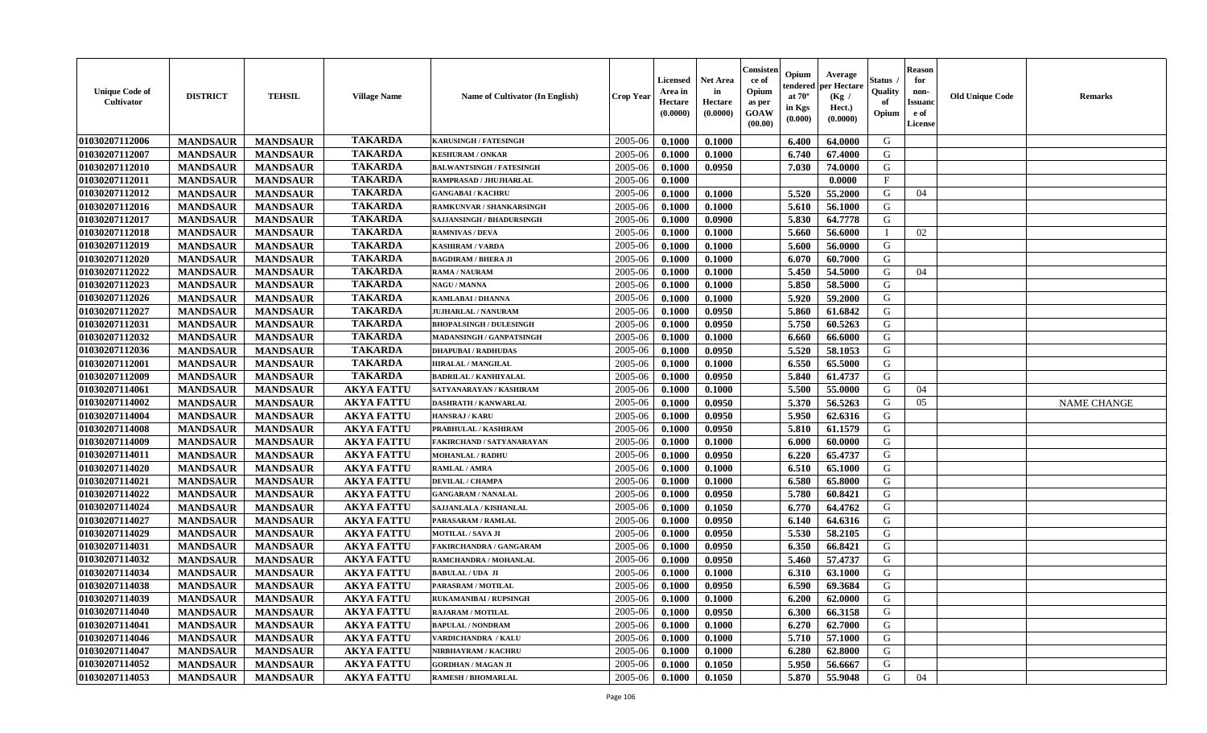| <b>Unique Code of</b><br>Cultivator | <b>DISTRICT</b> | <b>TEHSIL</b>   | <b>Village Name</b> | Name of Cultivator (In English)  | <b>Crop Year</b> | <b>Licensed</b><br>Area in<br>Hectare<br>(0.0000) | <b>Net Area</b><br>in<br>Hectare<br>(0.0000) | Consister<br>ce of<br>Opium<br>as per<br><b>GOAW</b><br>(00.00) | Opium<br>endered<br>at $70^\circ$<br>in Kgs<br>$(\mathbf{0.000})$ | Average<br>per Hectare<br>(Kg /<br>Hect.)<br>(0.0000) | Status<br>Quality<br>of<br>Opium | <b>Reason</b><br>for<br>non-<br><b>Issuano</b><br>e of<br>License | <b>Old Unique Code</b> | <b>Remarks</b>     |
|-------------------------------------|-----------------|-----------------|---------------------|----------------------------------|------------------|---------------------------------------------------|----------------------------------------------|-----------------------------------------------------------------|-------------------------------------------------------------------|-------------------------------------------------------|----------------------------------|-------------------------------------------------------------------|------------------------|--------------------|
| 01030207112006                      | <b>MANDSAUR</b> | <b>MANDSAUR</b> | <b>TAKARDA</b>      | <b>KARUSINGH / FATESINGH</b>     | 2005-06          | 0.1000                                            | 0.1000                                       |                                                                 | 6.400                                                             | 64.0000                                               | G                                |                                                                   |                        |                    |
| 01030207112007                      | <b>MANDSAUR</b> | <b>MANDSAUR</b> | <b>TAKARDA</b>      | <b>KESHURAM / ONKAR</b>          | 2005-06          | 0.1000                                            | 0.1000                                       |                                                                 | 6.740                                                             | 67.4000                                               | G                                |                                                                   |                        |                    |
| 01030207112010                      | <b>MANDSAUR</b> | <b>MANDSAUR</b> | <b>TAKARDA</b>      | <b>BALWANTSINGH / FATESINGH</b>  | 2005-06          | 0.1000                                            | 0.0950                                       |                                                                 | 7.030                                                             | 74.0000                                               | G                                |                                                                   |                        |                    |
| 01030207112011                      | <b>MANDSAUR</b> | <b>MANDSAUR</b> | <b>TAKARDA</b>      | RAMPRASAD / JHUJHARLAL           | 2005-06          | 0.1000                                            |                                              |                                                                 |                                                                   | 0.0000                                                | F                                |                                                                   |                        |                    |
| 01030207112012                      | <b>MANDSAUR</b> | <b>MANDSAUR</b> | <b>TAKARDA</b>      | <b>GANGABAI / KACHRU</b>         | 2005-06          | 0.1000                                            | 0.1000                                       |                                                                 | 5.520                                                             | 55.2000                                               | G                                | 04                                                                |                        |                    |
| 01030207112016                      | <b>MANDSAUR</b> | <b>MANDSAUR</b> | <b>TAKARDA</b>      | RAMKUNVAR / SHANKARSINGH         | 2005-06          | 0.1000                                            | 0.1000                                       |                                                                 | 5.610                                                             | 56.1000                                               | G                                |                                                                   |                        |                    |
| 01030207112017                      | <b>MANDSAUR</b> | <b>MANDSAUR</b> | <b>TAKARDA</b>      | <b>SAJJANSINGH / BHADURSINGH</b> | 2005-06          | 0.1000                                            | 0.0900                                       |                                                                 | 5.830                                                             | 64.7778                                               | G                                |                                                                   |                        |                    |
| 01030207112018                      | <b>MANDSAUR</b> | <b>MANDSAUR</b> | <b>TAKARDA</b>      | <b>RAMNIVAS / DEVA</b>           | 2005-06          | 0.1000                                            | 0.1000                                       |                                                                 | 5.660                                                             | 56.6000                                               | - 1                              | 02                                                                |                        |                    |
| 01030207112019                      | <b>MANDSAUR</b> | <b>MANDSAUR</b> | <b>TAKARDA</b>      | <b>KASHIRAM / VARDA</b>          | 2005-06          | 0.1000                                            | 0.1000                                       |                                                                 | 5.600                                                             | 56.0000                                               | G                                |                                                                   |                        |                    |
| 01030207112020                      | <b>MANDSAUR</b> | <b>MANDSAUR</b> | <b>TAKARDA</b>      | <b>BAGDIRAM / BHERA JI</b>       | 2005-06          | 0.1000                                            | 0.1000                                       |                                                                 | 6.070                                                             | 60.7000                                               | G                                |                                                                   |                        |                    |
| 01030207112022                      | <b>MANDSAUR</b> | <b>MANDSAUR</b> | <b>TAKARDA</b>      | RAMA / NAURAM                    | 2005-06          | 0.1000                                            | 0.1000                                       |                                                                 | 5.450                                                             | 54.5000                                               | G                                | 04                                                                |                        |                    |
| 01030207112023                      | <b>MANDSAUR</b> | <b>MANDSAUR</b> | <b>TAKARDA</b>      | <b>NAGU / MANNA</b>              | 2005-06          | 0.1000                                            | 0.1000                                       |                                                                 | 5.850                                                             | 58.5000                                               | G                                |                                                                   |                        |                    |
| 01030207112026                      | <b>MANDSAUR</b> | <b>MANDSAUR</b> | <b>TAKARDA</b>      | <b>KAMLABAI/DHANNA</b>           | 2005-06          | 0.1000                                            | 0.1000                                       |                                                                 | 5.920                                                             | 59.2000                                               | G                                |                                                                   |                        |                    |
| 01030207112027                      | <b>MANDSAUR</b> | <b>MANDSAUR</b> | <b>TAKARDA</b>      | <b>JUJHARLAL / NANURAM</b>       | 2005-06          | 0.1000                                            | 0.0950                                       |                                                                 | 5.860                                                             | 61.6842                                               | G                                |                                                                   |                        |                    |
| 01030207112031                      | <b>MANDSAUR</b> | <b>MANDSAUR</b> | <b>TAKARDA</b>      | <b>BHOPALSINGH / DULESINGH</b>   | 2005-06          | 0.1000                                            | 0.0950                                       |                                                                 | 5.750                                                             | 60.5263                                               | G                                |                                                                   |                        |                    |
| 01030207112032                      | <b>MANDSAUR</b> | <b>MANDSAUR</b> | <b>TAKARDA</b>      | MADANSINGH / GANPATSINGH         | 2005-06          | 0.1000                                            | 0.1000                                       |                                                                 | 6.660                                                             | 66.6000                                               | G                                |                                                                   |                        |                    |
| 01030207112036                      | <b>MANDSAUR</b> | <b>MANDSAUR</b> | <b>TAKARDA</b>      | <b>DHAPUBAI/RADHUDAS</b>         | 2005-06          | 0.1000                                            | 0.0950                                       |                                                                 | 5.520                                                             | 58.1053                                               | G                                |                                                                   |                        |                    |
| 01030207112001                      | <b>MANDSAUR</b> | <b>MANDSAUR</b> | <b>TAKARDA</b>      | <b>HIRALAL / MANGILAL</b>        | 2005-06          | 0.1000                                            | 0.1000                                       |                                                                 | 6.550                                                             | 65.5000                                               | G                                |                                                                   |                        |                    |
| 01030207112009                      | <b>MANDSAUR</b> | <b>MANDSAUR</b> | <b>TAKARDA</b>      | <b>BADRILAL / KANHIYALAL</b>     | 2005-06          | 0.1000                                            | 0.0950                                       |                                                                 | 5.840                                                             | 61.4737                                               | G                                |                                                                   |                        |                    |
| 01030207114061                      | <b>MANDSAUR</b> | <b>MANDSAUR</b> | <b>AKYA FATTU</b>   | SATYANARAYAN / KASHIRAM          | 2005-06          | 0.1000                                            | 0.1000                                       |                                                                 | 5.500                                                             | 55.0000                                               | G                                | 04                                                                |                        |                    |
| 01030207114002                      | <b>MANDSAUR</b> | <b>MANDSAUR</b> | <b>AKYA FATTU</b>   | DASHRATH / KANWARLAL             | 2005-06          | 0.1000                                            | 0.0950                                       |                                                                 | 5.370                                                             | 56.5263                                               | G                                | 05                                                                |                        | <b>NAME CHANGE</b> |
| 01030207114004                      | <b>MANDSAUR</b> | <b>MANDSAUR</b> | <b>AKYA FATTU</b>   | HANSRAJ / KARU                   | 2005-06          | 0.1000                                            | 0.0950                                       |                                                                 | 5.950                                                             | 62.6316                                               | G                                |                                                                   |                        |                    |
| 01030207114008                      | <b>MANDSAUR</b> | <b>MANDSAUR</b> | <b>AKYA FATTU</b>   | PRABHULAL / KASHIRAM             | 2005-06          | 0.1000                                            | 0.0950                                       |                                                                 | 5.810                                                             | 61.1579                                               | G                                |                                                                   |                        |                    |
| 01030207114009                      | <b>MANDSAUR</b> | <b>MANDSAUR</b> | <b>AKYA FATTU</b>   | FAKIRCHAND / SATYANARAYAN        | 2005-06          | 0.1000                                            | 0.1000                                       |                                                                 | 6.000                                                             | 60.0000                                               | G                                |                                                                   |                        |                    |
| 01030207114011                      | <b>MANDSAUR</b> | <b>MANDSAUR</b> | <b>AKYA FATTU</b>   | <b>MOHANLAL / RADHU</b>          | 2005-06          | 0.1000                                            | 0.0950                                       |                                                                 | 6.220                                                             | 65,4737                                               | G                                |                                                                   |                        |                    |
| 01030207114020                      | <b>MANDSAUR</b> | <b>MANDSAUR</b> | <b>AKYA FATTU</b>   | <b>RAMLAL / AMRA</b>             | 2005-06          | 0.1000                                            | 0.1000                                       |                                                                 | 6.510                                                             | 65.1000                                               | G                                |                                                                   |                        |                    |
| 01030207114021                      | <b>MANDSAUR</b> | <b>MANDSAUR</b> | <b>AKYA FATTU</b>   | <b>DEVILAL / CHAMPA</b>          | 2005-06          | 0.1000                                            | 0.1000                                       |                                                                 | 6.580                                                             | 65.8000                                               | G                                |                                                                   |                        |                    |
| 01030207114022                      | <b>MANDSAUR</b> | <b>MANDSAUR</b> | <b>AKYA FATTU</b>   | <b>GANGARAM / NANALAL</b>        | 2005-06          | 0.1000                                            | 0.0950                                       |                                                                 | 5.780                                                             | 60.8421                                               | G                                |                                                                   |                        |                    |
| 01030207114024                      | <b>MANDSAUR</b> | <b>MANDSAUR</b> | <b>AKYA FATTU</b>   | SAJJANLALA / KISHANLAL           | 2005-06          | 0.1000                                            | 0.1050                                       |                                                                 | 6.770                                                             | 64.4762                                               | G                                |                                                                   |                        |                    |
| 01030207114027                      | <b>MANDSAUR</b> | <b>MANDSAUR</b> | <b>AKYA FATTU</b>   | PARASARAM / RAMLAL               | 2005-06          | 0.1000                                            | 0.0950                                       |                                                                 | 6.140                                                             | 64.6316                                               | G                                |                                                                   |                        |                    |
| 01030207114029                      | <b>MANDSAUR</b> | <b>MANDSAUR</b> | <b>AKYA FATTU</b>   | <b>MOTILAL / SAVA JI</b>         | 2005-06          | 0.1000                                            | 0.0950                                       |                                                                 | 5.530                                                             | 58.2105                                               | G                                |                                                                   |                        |                    |
| 01030207114031                      | <b>MANDSAUR</b> | <b>MANDSAUR</b> | <b>AKYA FATTU</b>   | <b>FAKIRCHANDRA / GANGARAM</b>   | 2005-06          | 0.1000                                            | 0.0950                                       |                                                                 | 6.350                                                             | 66.8421                                               | G                                |                                                                   |                        |                    |
| 01030207114032                      | <b>MANDSAUR</b> | <b>MANDSAUR</b> | <b>AKYA FATTU</b>   | RAMCHANDRA / MOHANLAL            | 2005-06          | 0.1000                                            | 0.0950                                       |                                                                 | 5.460                                                             | 57,4737                                               | G                                |                                                                   |                        |                    |
| 01030207114034                      | <b>MANDSAUR</b> | <b>MANDSAUR</b> | <b>AKYA FATTU</b>   | <b>BABULAL / UDA JI</b>          | 2005-06          | 0.1000                                            | 0.1000                                       |                                                                 | 6.310                                                             | 63.1000                                               | G                                |                                                                   |                        |                    |
| 01030207114038                      | <b>MANDSAUR</b> | <b>MANDSAUR</b> | <b>AKYA FATTU</b>   | PARASRAM / MOTILAL               | 2005-06          | 0.1000                                            | 0.0950                                       |                                                                 | 6.590                                                             | 69.3684                                               | G                                |                                                                   |                        |                    |
| 01030207114039                      | <b>MANDSAUR</b> | <b>MANDSAUR</b> | <b>AKYA FATTU</b>   | <b>RUKAMANIBAI / RUPSINGH</b>    | $2005 - 06$      | 0.1000                                            | 0.1000                                       |                                                                 | 6.200                                                             | 62.0000                                               | G                                |                                                                   |                        |                    |
| 01030207114040                      | <b>MANDSAUR</b> | <b>MANDSAUR</b> | <b>AKYA FATTU</b>   | <b>RAJARAM / MOTILAL</b>         | 2005-06          | 0.1000                                            | 0.0950                                       |                                                                 | 6.300                                                             | 66.3158                                               | G                                |                                                                   |                        |                    |
| 01030207114041                      | <b>MANDSAUR</b> | <b>MANDSAUR</b> | <b>AKYA FATTU</b>   | <b>BAPULAL / NONDRAM</b>         | 2005-06          | 0.1000                                            | 0.1000                                       |                                                                 | 6.270                                                             | 62.7000                                               | G                                |                                                                   |                        |                    |
| 01030207114046                      | <b>MANDSAUR</b> | <b>MANDSAUR</b> | <b>AKYA FATTU</b>   | VARDICHANDRA / KALU              | 2005-06          | 0.1000                                            | 0.1000                                       |                                                                 | 5.710                                                             | 57.1000                                               | G                                |                                                                   |                        |                    |
| 01030207114047                      | <b>MANDSAUR</b> | <b>MANDSAUR</b> | <b>AKYA FATTU</b>   | NIRBHAYRAM / KACHRU              | 2005-06          | 0.1000                                            | 0.1000                                       |                                                                 | 6.280                                                             | 62.8000                                               | G                                |                                                                   |                        |                    |
| 01030207114052                      | <b>MANDSAUR</b> | <b>MANDSAUR</b> | <b>AKYA FATTU</b>   | <b>GORDHAN / MAGAN JI</b>        | 2005-06          | 0.1000                                            | 0.1050                                       |                                                                 | 5.950                                                             | 56.6667                                               | G                                |                                                                   |                        |                    |
| 01030207114053                      | <b>MANDSAUR</b> | <b>MANDSAUR</b> | <b>AKYA FATTU</b>   | <b>RAMESH / BHOMARLAL</b>        | 2005-06          | 0.1000                                            | 0.1050                                       |                                                                 | 5.870                                                             | 55.9048                                               | G                                | 04                                                                |                        |                    |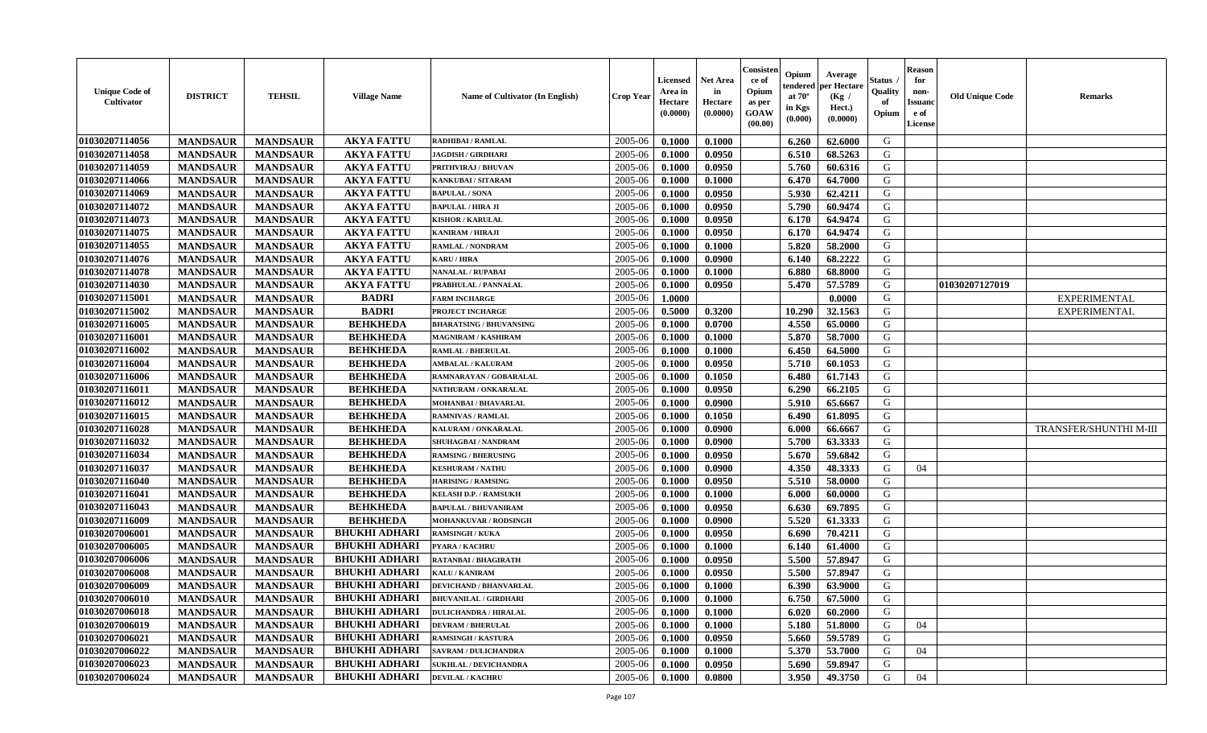| <b>Unique Code of</b><br><b>Cultivator</b> | <b>DISTRICT</b> | <b>TEHSIL</b>   | <b>Village Name</b>  | Name of Cultivator (In English) | <b>Crop Year</b> | <b>Licensed</b><br>Area in<br>Hectare<br>(0.0000) | <b>Net Area</b><br>in<br>Hectare<br>(0.0000) | Consisteı<br>ce of<br>Opium<br>as per<br><b>GOAW</b><br>(00.00) | Opium<br>endered<br>at $70^\circ$<br>in Kgs<br>$(\mathbf{0.000})$ | Average<br>per Hectare<br>(Kg /<br>Hect.)<br>(0.0000) | Status<br>Quality<br>of<br>Opium | Reason<br>for<br>non-<br>Issuan<br>e of<br>License | <b>Old Unique Code</b> | <b>Remarks</b>                |
|--------------------------------------------|-----------------|-----------------|----------------------|---------------------------------|------------------|---------------------------------------------------|----------------------------------------------|-----------------------------------------------------------------|-------------------------------------------------------------------|-------------------------------------------------------|----------------------------------|----------------------------------------------------|------------------------|-------------------------------|
| 01030207114056                             | <b>MANDSAUR</b> | <b>MANDSAUR</b> | <b>AKYA FATTU</b>    | <b>RADHIBAI / RAMLAL</b>        | 2005-06          | 0.1000                                            | 0.1000                                       |                                                                 | 6.260                                                             | 62.6000                                               | G                                |                                                    |                        |                               |
| 01030207114058                             | <b>MANDSAUR</b> | <b>MANDSAUR</b> | <b>AKYA FATTU</b>    | <b>JAGDISH / GIRDHARI</b>       | 2005-06          | 0.1000                                            | 0.0950                                       |                                                                 | 6.510                                                             | 68.5263                                               | G                                |                                                    |                        |                               |
| 01030207114059                             | <b>MANDSAUR</b> | <b>MANDSAUR</b> | <b>AKYA FATTU</b>    | PRITHVIRAJ / BHUVAN             | 2005-06          | 0.1000                                            | 0.0950                                       |                                                                 | 5.760                                                             | 60.6316                                               | G                                |                                                    |                        |                               |
| 01030207114066                             | <b>MANDSAUR</b> | <b>MANDSAUR</b> | <b>AKYA FATTU</b>    | <b>KANKUBAI/SITARAM</b>         | 2005-06          | 0.1000                                            | 0.1000                                       |                                                                 | 6.470                                                             | 64.7000                                               | G                                |                                                    |                        |                               |
| 01030207114069                             | <b>MANDSAUR</b> | <b>MANDSAUR</b> | <b>AKYA FATTU</b>    | <b>BAPULAL / SONA</b>           | 2005-06          | 0.1000                                            | 0.0950                                       |                                                                 | 5.930                                                             | 62.4211                                               | G                                |                                                    |                        |                               |
| 01030207114072                             | <b>MANDSAUR</b> | <b>MANDSAUR</b> | <b>AKYA FATTU</b>    | <b>BAPULAL / HIRA JI</b>        | 2005-06          | 0.1000                                            | 0.0950                                       |                                                                 | 5.790                                                             | 60.9474                                               | G                                |                                                    |                        |                               |
| 01030207114073                             | <b>MANDSAUR</b> | <b>MANDSAUR</b> | <b>AKYA FATTU</b>    | <b>KISHOR / KARULAL</b>         | 2005-06          | 0.1000                                            | 0.0950                                       |                                                                 | 6.170                                                             | 64.9474                                               | G                                |                                                    |                        |                               |
| 01030207114075                             | <b>MANDSAUR</b> | <b>MANDSAUR</b> | <b>AKYA FATTU</b>    | <b>KANIRAM / HIRAJI</b>         | 2005-06          | 0.1000                                            | 0.0950                                       |                                                                 | 6.170                                                             | 64.9474                                               | G                                |                                                    |                        |                               |
| 01030207114055                             | <b>MANDSAUR</b> | <b>MANDSAUR</b> | <b>AKYA FATTU</b>    | <b>RAMLAL / NONDRAM</b>         | 2005-06          | 0.1000                                            | 0.1000                                       |                                                                 | 5.820                                                             | 58.2000                                               | G                                |                                                    |                        |                               |
| 01030207114076                             | <b>MANDSAUR</b> | <b>MANDSAUR</b> | <b>AKYA FATTU</b>    | <b>KARU / HIRA</b>              | 2005-06          | 0.1000                                            | 0.0900                                       |                                                                 | 6.140                                                             | 68.2222                                               | G                                |                                                    |                        |                               |
| 01030207114078                             | <b>MANDSAUR</b> | <b>MANDSAUR</b> | <b>AKYA FATTU</b>    | NANALAL / RUPABAI               | 2005-06          | 0.1000                                            | 0.1000                                       |                                                                 | 6.880                                                             | 68.8000                                               | G                                |                                                    |                        |                               |
| 01030207114030                             | <b>MANDSAUR</b> | <b>MANDSAUR</b> | <b>AKYA FATTU</b>    | PRABHULAL / PANNALAL            | 2005-06          | 0.1000                                            | 0.0950                                       |                                                                 | 5.470                                                             | 57.5789                                               | G                                |                                                    | 01030207127019         |                               |
| 01030207115001                             | <b>MANDSAUR</b> | <b>MANDSAUR</b> | <b>BADRI</b>         | <b>FARM INCHARGE</b>            | 2005-06          | 1.0000                                            |                                              |                                                                 |                                                                   | 0.0000                                                | G                                |                                                    |                        | <b>EXPERIMENTAL</b>           |
| 01030207115002                             | <b>MANDSAUR</b> | <b>MANDSAUR</b> | <b>BADRI</b>         | PROJECT INCHARGE                | 2005-06          | 0.5000                                            | 0.3200                                       |                                                                 | 10.290                                                            | 32.1563                                               | G                                |                                                    |                        | <b>EXPERIMENTAL</b>           |
| 01030207116005                             | <b>MANDSAUR</b> | <b>MANDSAUR</b> | <b>BEHKHEDA</b>      | <b>BHARATSING / BHUVANSING</b>  | 2005-06          | 0.1000                                            | 0.0700                                       |                                                                 | 4.550                                                             | 65.0000                                               | G                                |                                                    |                        |                               |
| 01030207116001                             | <b>MANDSAUR</b> | <b>MANDSAUR</b> | <b>BEHKHEDA</b>      | MAGNIRAM / KASHIRAM             | 2005-06          | 0.1000                                            | 0.1000                                       |                                                                 | 5.870                                                             | 58.7000                                               | G                                |                                                    |                        |                               |
| 01030207116002                             | <b>MANDSAUR</b> | <b>MANDSAUR</b> | <b>BEHKHEDA</b>      | <b>RAMLAL / BHERULAL</b>        | 2005-06          | 0.1000                                            | 0.1000                                       |                                                                 | 6.450                                                             | 64.5000                                               | G                                |                                                    |                        |                               |
| 01030207116004                             | <b>MANDSAUR</b> | <b>MANDSAUR</b> | <b>BEHKHEDA</b>      | <b>AMBALAL / KALURAM</b>        | 2005-06          | 0.1000                                            | 0.0950                                       |                                                                 | 5.710                                                             | 60.1053                                               | G                                |                                                    |                        |                               |
| 01030207116006                             | <b>MANDSAUR</b> | <b>MANDSAUR</b> | <b>BEHKHEDA</b>      | RAMNARAYAN / GOBARALAL          | 2005-06          | 0.1000                                            | 0.1050                                       |                                                                 | 6.480                                                             | 61.7143                                               | G                                |                                                    |                        |                               |
| 01030207116011                             | <b>MANDSAUR</b> | <b>MANDSAUR</b> | <b>BEHKHEDA</b>      | NATHURAM / ONKARALAL            | 2005-06          | 0.1000                                            | 0.0950                                       |                                                                 | 6.290                                                             | 66.2105                                               | G                                |                                                    |                        |                               |
| 01030207116012                             | <b>MANDSAUR</b> | <b>MANDSAUR</b> | <b>BEHKHEDA</b>      | <b>MOHANBAI/BHAVARLAL</b>       | 2005-06          | 0.1000                                            | 0.0900                                       |                                                                 | 5.910                                                             | 65.6667                                               | G                                |                                                    |                        |                               |
| 01030207116015                             | <b>MANDSAUR</b> | <b>MANDSAUR</b> | <b>BEHKHEDA</b>      | <b>RAMNIVAS / RAMLAL</b>        | 2005-06          | 0.1000                                            | 0.1050                                       |                                                                 | 6.490                                                             | 61.8095                                               | G                                |                                                    |                        |                               |
| 01030207116028                             | <b>MANDSAUR</b> | <b>MANDSAUR</b> | <b>BEHKHEDA</b>      | KALURAM / ONKARALAL             | 2005-06          | 0.1000                                            | 0.0900                                       |                                                                 | 6.000                                                             | 66.6667                                               | G                                |                                                    |                        | <b>TRANSFER/SHUNTHI M-III</b> |
| 01030207116032                             | <b>MANDSAUR</b> | <b>MANDSAUR</b> | <b>BEHKHEDA</b>      | SHUHAGBAI / NANDRAM             | 2005-06          | 0.1000                                            | 0.0900                                       |                                                                 | 5.700                                                             | 63.3333                                               | G                                |                                                    |                        |                               |
| 01030207116034                             | <b>MANDSAUR</b> | <b>MANDSAUR</b> | <b>BEHKHEDA</b>      | <b>RAMSING / BHERUSING</b>      | 2005-06          | 0.1000                                            | 0.0950                                       |                                                                 | 5.670                                                             | 59.6842                                               | G                                |                                                    |                        |                               |
| 01030207116037                             | <b>MANDSAUR</b> | <b>MANDSAUR</b> | <b>BEHKHEDA</b>      | <b>KESHURAM / NATHU</b>         | 2005-06          | 0.1000                                            | 0.0900                                       |                                                                 | 4.350                                                             | 48.3333                                               | G                                | 04                                                 |                        |                               |
| 01030207116040                             | <b>MANDSAUR</b> | <b>MANDSAUR</b> | <b>BEHKHEDA</b>      | <b>HARISING / RAMSING</b>       | 2005-06          | 0.1000                                            | 0.0950                                       |                                                                 | 5.510                                                             | 58.0000                                               | G                                |                                                    |                        |                               |
| 01030207116041                             | <b>MANDSAUR</b> | <b>MANDSAUR</b> | <b>BEHKHEDA</b>      | <b>KELASH D.P. / RAMSUKH</b>    | 2005-06          | 0.1000                                            | 0.1000                                       |                                                                 | 6.000                                                             | 60.0000                                               | G                                |                                                    |                        |                               |
| 01030207116043                             | <b>MANDSAUR</b> | <b>MANDSAUR</b> | <b>BEHKHEDA</b>      | <b>BAPULAL / BHUVANIRAM</b>     | 2005-06          | 0.1000                                            | 0.0950                                       |                                                                 | 6.630                                                             | 69.7895                                               | G                                |                                                    |                        |                               |
| 01030207116009                             | <b>MANDSAUR</b> | <b>MANDSAUR</b> | <b>BEHKHEDA</b>      | <b>MOHANKUVAR / RODSINGH</b>    | 2005-06          | 0.1000                                            | 0.0900                                       |                                                                 | 5.520                                                             | 61.3333                                               | G                                |                                                    |                        |                               |
| 01030207006001                             | <b>MANDSAUR</b> | <b>MANDSAUR</b> | <b>BHUKHI ADHARI</b> | <b>RAMSINGH / KUKA</b>          | 2005-06          | 0.1000                                            | 0.0950                                       |                                                                 | 6.690                                                             | 70.4211                                               | G                                |                                                    |                        |                               |
| 01030207006005                             | <b>MANDSAUR</b> | <b>MANDSAUR</b> | <b>BHUKHI ADHARI</b> | PYARA / KACHRU                  | 2005-06          | 0.1000                                            | 0.1000                                       |                                                                 | 6.140                                                             | 61.4000                                               | G                                |                                                    |                        |                               |
| 01030207006006                             | <b>MANDSAUR</b> | <b>MANDSAUR</b> | <b>BHUKHI ADHARI</b> | RATANBAI / BHAGIRATH            | 2005-06          | 0.1000                                            | 0.0950                                       |                                                                 | 5.500                                                             | 57.8947                                               | G                                |                                                    |                        |                               |
| 01030207006008                             | <b>MANDSAUR</b> | <b>MANDSAUR</b> | <b>BHUKHI ADHARI</b> | KALU / KANIRAM                  | 2005-06          | 0.1000                                            | 0.0950                                       |                                                                 | 5.500                                                             | 57.8947                                               | G                                |                                                    |                        |                               |
| 01030207006009                             | <b>MANDSAUR</b> | <b>MANDSAUR</b> | <b>BHUKHI ADHARI</b> | <b>DEVICHAND / BHANVARLAL</b>   | 2005-06          | 0.1000                                            | 0.1000                                       |                                                                 | 6.390                                                             | 63.9000                                               | G                                |                                                    |                        |                               |
| 01030207006010                             | <b>MANDSAUR</b> | <b>MANDSAUR</b> | BHUKHI ADHARI        | <b>BHUVANILAL / GIRDHARI</b>    | $2005 - 06$      | 0.1000                                            | 0.1000                                       |                                                                 | 6.750                                                             | 67.5000                                               | G                                |                                                    |                        |                               |
| 01030207006018                             | <b>MANDSAUR</b> | <b>MANDSAUR</b> | <b>BHUKHI ADHARI</b> | <b>DULICHANDRA / HIRALAL</b>    | 2005-06          | 0.1000                                            | 0.1000                                       |                                                                 | 6.020                                                             | 60.2000                                               | G                                |                                                    |                        |                               |
| 01030207006019                             | <b>MANDSAUR</b> | <b>MANDSAUR</b> | <b>BHUKHI ADHARI</b> | <b>DEVRAM / BHERULAL</b>        | 2005-06          | 0.1000                                            | 0.1000                                       |                                                                 | 5.180                                                             | 51.8000                                               | G                                | 04                                                 |                        |                               |
| 01030207006021                             | <b>MANDSAUR</b> | <b>MANDSAUR</b> | <b>BHUKHI ADHARI</b> | <b>RAMSINGH / KASTURA</b>       | 2005-06          | 0.1000                                            | 0.0950                                       |                                                                 | 5.660                                                             | 59.5789                                               | G                                |                                                    |                        |                               |
| 01030207006022                             | <b>MANDSAUR</b> | <b>MANDSAUR</b> | <b>BHUKHI ADHARI</b> | <b>SAVRAM / DULICHANDRA</b>     | 2005-06          | 0.1000                                            | 0.1000                                       |                                                                 | 5.370                                                             | 53.7000                                               | G                                | 04                                                 |                        |                               |
| 01030207006023                             | <b>MANDSAUR</b> | <b>MANDSAUR</b> | <b>BHUKHI ADHARI</b> | <b>SUKHLAL / DEVICHANDRA</b>    | 2005-06          | 0.1000                                            | 0.0950                                       |                                                                 | 5.690                                                             | 59.8947                                               | G                                |                                                    |                        |                               |
| 01030207006024                             | <b>MANDSAUR</b> | <b>MANDSAUR</b> | <b>BHUKHI ADHARI</b> | <b>DEVILAL / KACHRU</b>         | 2005-06          | 0.1000                                            | 0.0800                                       |                                                                 | 3.950                                                             | 49.3750                                               | G                                | 04                                                 |                        |                               |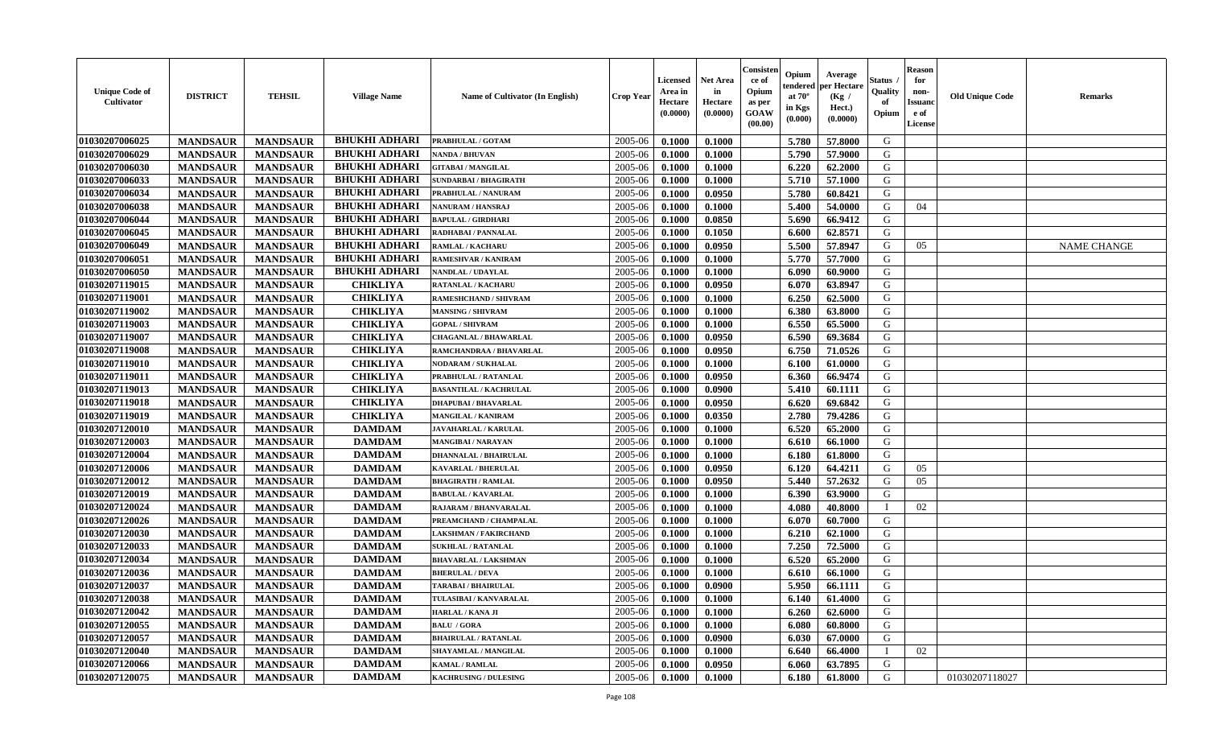| <b>Unique Code of</b><br><b>Cultivator</b> | <b>DISTRICT</b> | <b>TEHSIL</b>   | <b>Village Name</b>  | Name of Cultivator (In English) | <b>Crop Year</b> | <b>Licensed</b><br>Area in<br>Hectare<br>(0.0000) | <b>Net Area</b><br>in<br>Hectare<br>(0.0000) | Consister<br>ce of<br>Opium<br>as per<br>GOAW<br>(00.00) | Opium<br>endered<br>at $70^\circ$<br>in Kgs<br>(0.000) | Average<br>per Hectare<br>(Kg /<br>Hect.)<br>(0.0000) | Status<br>Quality<br>of<br>Opium | <b>Reason</b><br>for<br>non-<br><b>Issuand</b><br>e of<br>License | <b>Old Unique Code</b> | <b>Remarks</b>     |
|--------------------------------------------|-----------------|-----------------|----------------------|---------------------------------|------------------|---------------------------------------------------|----------------------------------------------|----------------------------------------------------------|--------------------------------------------------------|-------------------------------------------------------|----------------------------------|-------------------------------------------------------------------|------------------------|--------------------|
| 01030207006025                             | <b>MANDSAUR</b> | <b>MANDSAUR</b> | <b>BHUKHI ADHARI</b> | PRABHULAL / GOTAM               | 2005-06          | 0.1000                                            | 0.1000                                       |                                                          | 5.780                                                  | 57.8000                                               | G                                |                                                                   |                        |                    |
| 01030207006029                             | <b>MANDSAUR</b> | <b>MANDSAUR</b> | <b>BHUKHI ADHARI</b> | <b>NANDA / BHUVAN</b>           | 2005-06          | 0.1000                                            | 0.1000                                       |                                                          | 5.790                                                  | 57.9000                                               | G                                |                                                                   |                        |                    |
| 01030207006030                             | <b>MANDSAUR</b> | <b>MANDSAUR</b> | <b>BHUKHI ADHARI</b> | <b>GITABAI/MANGILAL</b>         | 2005-06          | 0.1000                                            | 0.1000                                       |                                                          | 6.220                                                  | 62.2000                                               | G                                |                                                                   |                        |                    |
| 01030207006033                             | <b>MANDSAUR</b> | <b>MANDSAUR</b> | <b>BHUKHI ADHARI</b> | <b>SUNDARBAI / BHAGIRATH</b>    | 2005-06          | 0.1000                                            | 0.1000                                       |                                                          | 5.710                                                  | 57.1000                                               | G                                |                                                                   |                        |                    |
| 01030207006034                             | <b>MANDSAUR</b> | <b>MANDSAUR</b> | <b>BHUKHI ADHARI</b> | PRABHULAL / NANURAM             | 2005-06          | 0.1000                                            | 0.0950                                       |                                                          | 5.780                                                  | 60.8421                                               | G                                |                                                                   |                        |                    |
| 01030207006038                             | <b>MANDSAUR</b> | <b>MANDSAUR</b> | <b>BHUKHI ADHARI</b> | <b>NANURAM / HANSRAJ</b>        | 2005-06          | 0.1000                                            | 0.1000                                       |                                                          | 5.400                                                  | 54.0000                                               | G                                | 04                                                                |                        |                    |
| 01030207006044                             | <b>MANDSAUR</b> | <b>MANDSAUR</b> | <b>BHUKHI ADHARI</b> | <b>BAPULAL / GIRDHARI</b>       | 2005-06          | 0.1000                                            | 0.0850                                       |                                                          | 5.690                                                  | 66.9412                                               | G                                |                                                                   |                        |                    |
| 01030207006045                             | <b>MANDSAUR</b> | <b>MANDSAUR</b> | <b>BHUKHI ADHARI</b> | RADHABAI / PANNALAL             | 2005-06          | 0.1000                                            | 0.1050                                       |                                                          | 6.600                                                  | 62.8571                                               | G                                |                                                                   |                        |                    |
| 01030207006049                             | <b>MANDSAUR</b> | <b>MANDSAUR</b> | <b>BHUKHI ADHARI</b> | <b>RAMLAL / KACHARU</b>         | 2005-06          | 0.1000                                            | 0.0950                                       |                                                          | 5.500                                                  | 57.8947                                               | G                                | 05                                                                |                        | <b>NAME CHANGE</b> |
| 01030207006051                             | <b>MANDSAUR</b> | <b>MANDSAUR</b> | <b>BHUKHI ADHARI</b> | RAMESHVAR / KANIRAM             | 2005-06          | 0.1000                                            | 0.1000                                       |                                                          | 5.770                                                  | 57.7000                                               | G                                |                                                                   |                        |                    |
| 01030207006050                             | <b>MANDSAUR</b> | <b>MANDSAUR</b> | <b>BHUKHI ADHARI</b> | NANDLAL / UDAYLAL               | 2005-06          | 0.1000                                            | 0.1000                                       |                                                          | 6.090                                                  | 60.9000                                               | $\mathbf G$                      |                                                                   |                        |                    |
| 01030207119015                             | <b>MANDSAUR</b> | <b>MANDSAUR</b> | <b>CHIKLIYA</b>      | <b>RATANLAL / KACHARL</b>       | 2005-06          | 0.1000                                            | 0.0950                                       |                                                          | 6.070                                                  | 63.8947                                               | G                                |                                                                   |                        |                    |
| 01030207119001                             | <b>MANDSAUR</b> | <b>MANDSAUR</b> | <b>CHIKLIYA</b>      | RAMESHCHAND / SHIVRAM           | 2005-06          | 0.1000                                            | 0.1000                                       |                                                          | 6.250                                                  | 62.5000                                               | G                                |                                                                   |                        |                    |
| 01030207119002                             | <b>MANDSAUR</b> | <b>MANDSAUR</b> | <b>CHIKLIYA</b>      | <b>MANSING / SHIVRAM</b>        | 2005-06          | 0.1000                                            | 0.1000                                       |                                                          | 6.380                                                  | 63.8000                                               | G                                |                                                                   |                        |                    |
| 01030207119003                             | <b>MANDSAUR</b> | <b>MANDSAUR</b> | <b>CHIKLIYA</b>      | <b>GOPAL / SHIVRAM</b>          | 2005-06          | 0.1000                                            | 0.1000                                       |                                                          | 6.550                                                  | 65.5000                                               | G                                |                                                                   |                        |                    |
| 01030207119007                             | <b>MANDSAUR</b> | <b>MANDSAUR</b> | <b>CHIKLIYA</b>      | <b>CHAGANLAL / BHAWARLAL</b>    | 2005-06          | 0.1000                                            | 0.0950                                       |                                                          | 6.590                                                  | 69.3684                                               | G                                |                                                                   |                        |                    |
| 01030207119008                             | <b>MANDSAUR</b> | <b>MANDSAUR</b> | <b>CHIKLIYA</b>      | RAMCHANDRAA / BHAVARLAL         | 2005-06          | 0.1000                                            | 0.0950                                       |                                                          | 6.750                                                  | 71.0526                                               | G                                |                                                                   |                        |                    |
| 01030207119010                             | <b>MANDSAUR</b> | <b>MANDSAUR</b> | <b>CHIKLIYA</b>      | <b>NODARAM / SUKHALAL</b>       | 2005-06          | 0.1000                                            | 0.1000                                       |                                                          | 6.100                                                  | 61.0000                                               | G                                |                                                                   |                        |                    |
| 01030207119011                             | <b>MANDSAUR</b> | <b>MANDSAUR</b> | <b>CHIKLIYA</b>      | PRABHULAL / RATANLAL            | 2005-06          | 0.1000                                            | 0.0950                                       |                                                          | 6.360                                                  | 66.9474                                               | G                                |                                                                   |                        |                    |
| 01030207119013                             | <b>MANDSAUR</b> | <b>MANDSAUR</b> | <b>CHIKLIYA</b>      | <b>BASANTILAL / KACHRULAL</b>   | 2005-06          | 0.1000                                            | 0.0900                                       |                                                          | 5.410                                                  | 60.1111                                               | G                                |                                                                   |                        |                    |
| 01030207119018                             | <b>MANDSAUR</b> | <b>MANDSAUR</b> | <b>CHIKLIYA</b>      | <b>DHAPUBAI/BHAVARLAL</b>       | 2005-06          | 0.1000                                            | 0.0950                                       |                                                          | 6.620                                                  | 69.6842                                               | G                                |                                                                   |                        |                    |
| 01030207119019                             | <b>MANDSAUR</b> | <b>MANDSAUR</b> | <b>CHIKLIYA</b>      | <b>MANGILAL / KANIRAM</b>       | 2005-06          | 0.1000                                            | 0.0350                                       |                                                          | 2.780                                                  | 79.4286                                               | G                                |                                                                   |                        |                    |
| 01030207120010                             | <b>MANDSAUR</b> | <b>MANDSAUR</b> | <b>DAMDAM</b>        | <b>JAVAHARLAL / KARULAL</b>     | 2005-06          | 0.1000                                            | 0.1000                                       |                                                          | 6.520                                                  | 65.2000                                               | G                                |                                                                   |                        |                    |
| 01030207120003                             | <b>MANDSAUR</b> | <b>MANDSAUR</b> | <b>DAMDAM</b>        | <b>MANGIBAI/NARAYAN</b>         | 2005-06          | 0.1000                                            | 0.1000                                       |                                                          | 6.610                                                  | 66.1000                                               | G                                |                                                                   |                        |                    |
| 01030207120004                             | <b>MANDSAUR</b> | <b>MANDSAUR</b> | <b>DAMDAM</b>        | <b>DHANNALAL / BHAIRULAL</b>    | 2005-06          | 0.1000                                            | 0.1000                                       |                                                          | 6.180                                                  | 61.8000                                               | G                                |                                                                   |                        |                    |
| 01030207120006                             | <b>MANDSAUR</b> | <b>MANDSAUR</b> | <b>DAMDAM</b>        | <b>KAVARLAL / BHERULAL</b>      | 2005-06          | 0.1000                                            | 0.0950                                       |                                                          | 6.120                                                  | 64.4211                                               | G                                | 05                                                                |                        |                    |
| 01030207120012                             | <b>MANDSAUR</b> | <b>MANDSAUR</b> | <b>DAMDAM</b>        | <b>BHAGIRATH / RAMLAL</b>       | 2005-06          | 0.1000                                            | 0.0950                                       |                                                          | 5.440                                                  | 57.2632                                               | G                                | 05                                                                |                        |                    |
| 01030207120019                             | <b>MANDSAUR</b> | <b>MANDSAUR</b> | <b>DAMDAM</b>        | <b>BABULAL / KAVARLAL</b>       | 2005-06          | 0.1000                                            | 0.1000                                       |                                                          | 6.390                                                  | 63.9000                                               | G                                |                                                                   |                        |                    |
| 01030207120024                             | <b>MANDSAUR</b> | <b>MANDSAUR</b> | <b>DAMDAM</b>        | RAJARAM / BHANVARALAL           | 2005-06          | 0.1000                                            | 0.1000                                       |                                                          | 4.080                                                  | 40.8000                                               | $\mathbf{I}$                     | 02                                                                |                        |                    |
| 01030207120026                             | <b>MANDSAUR</b> | <b>MANDSAUR</b> | <b>DAMDAM</b>        | PREAMCHAND / CHAMPALAL          | 2005-06          | 0.1000                                            | 0.1000                                       |                                                          | 6.070                                                  | 60.7000                                               | G                                |                                                                   |                        |                    |
| 01030207120030                             | <b>MANDSAUR</b> | <b>MANDSAUR</b> | <b>DAMDAM</b>        | <b>LAKSHMAN / FAKIRCHAND</b>    | 2005-06          | 0.1000                                            | 0.1000                                       |                                                          | 6.210                                                  | 62.1000                                               | ${\bf G}$                        |                                                                   |                        |                    |
| 01030207120033                             | <b>MANDSAUR</b> | <b>MANDSAUR</b> | $\mathbf{DAMDAM}$    | <b>SUKHLAL / RATANLAL</b>       | 2005-06          | 0.1000                                            | 0.1000                                       |                                                          | 7.250                                                  | 72.5000                                               | G                                |                                                                   |                        |                    |
| 01030207120034                             | <b>MANDSAUR</b> | <b>MANDSAUR</b> | <b>DAMDAM</b>        | <b>BHAVARLAL / LAKSHMAN</b>     | 2005-06          | 0.1000                                            | 0.1000                                       |                                                          | 6.520                                                  | 65.2000                                               | G                                |                                                                   |                        |                    |
| 01030207120036                             | <b>MANDSAUR</b> | <b>MANDSAUR</b> | <b>DAMDAM</b>        | <b>BHERULAL / DEVA</b>          | 2005-06          | 0.1000                                            | 0.1000                                       |                                                          | 6.610                                                  | 66.1000                                               | G                                |                                                                   |                        |                    |
| 01030207120037                             | <b>MANDSAUR</b> | <b>MANDSAUR</b> | <b>DAMDAM</b>        | <b>TARABAI / BHAIRULAL</b>      | 2005-06          | 0.1000                                            | 0.0900                                       |                                                          | 5.950                                                  | 66.1111                                               | G                                |                                                                   |                        |                    |
| 01030207120038                             | <b>MANDSAUR</b> | <b>MANDSAUR</b> | <b>DAMDAM</b>        | TULASIBAI / KANVARALAL          | 2005-06          | 0.1000                                            | 0.1000                                       |                                                          | 6.140                                                  | 61.4000                                               | G                                |                                                                   |                        |                    |
| 01030207120042                             | <b>MANDSAUR</b> | <b>MANDSAUR</b> | <b>DAMDAM</b>        | HARLAL / KANA JI                | 2005-06          | 0.1000                                            | 0.1000                                       |                                                          | 6.260                                                  | 62.6000                                               | G                                |                                                                   |                        |                    |
| 01030207120055                             | <b>MANDSAUR</b> | <b>MANDSAUR</b> | <b>DAMDAM</b>        | <b>BALU / GORA</b>              | 2005-06          | 0.1000                                            | 0.1000                                       |                                                          | 6.080                                                  | 60.8000                                               | G                                |                                                                   |                        |                    |
| 01030207120057                             | <b>MANDSAUR</b> | <b>MANDSAUR</b> | <b>DAMDAM</b>        | <b>BHAIRULAL / RATANLAL</b>     | 2005-06          | 0.1000                                            | 0.0900                                       |                                                          | 6.030                                                  | 67.0000                                               | G                                |                                                                   |                        |                    |
| 01030207120040                             | <b>MANDSAUR</b> | <b>MANDSAUR</b> | <b>DAMDAM</b>        | SHAYAMLAL / MANGILAL            | 2005-06          | 0.1000                                            | 0.1000                                       |                                                          | 6.640                                                  | 66.4000                                               |                                  | 02                                                                |                        |                    |
| 01030207120066                             | <b>MANDSAUR</b> | <b>MANDSAUR</b> | <b>DAMDAM</b>        | <b>KAMAL / RAMLAL</b>           | 2005-06          | 0.1000                                            | 0.0950                                       |                                                          | 6.060                                                  | 63.7895                                               | G                                |                                                                   |                        |                    |
| 01030207120075                             | <b>MANDSAUR</b> | <b>MANDSAUR</b> | <b>DAMDAM</b>        | <b>KACHRUSING / DULESING</b>    | 2005-06          | 0.1000                                            | 0.1000                                       |                                                          | 6.180                                                  | 61.8000                                               | G                                |                                                                   | 01030207118027         |                    |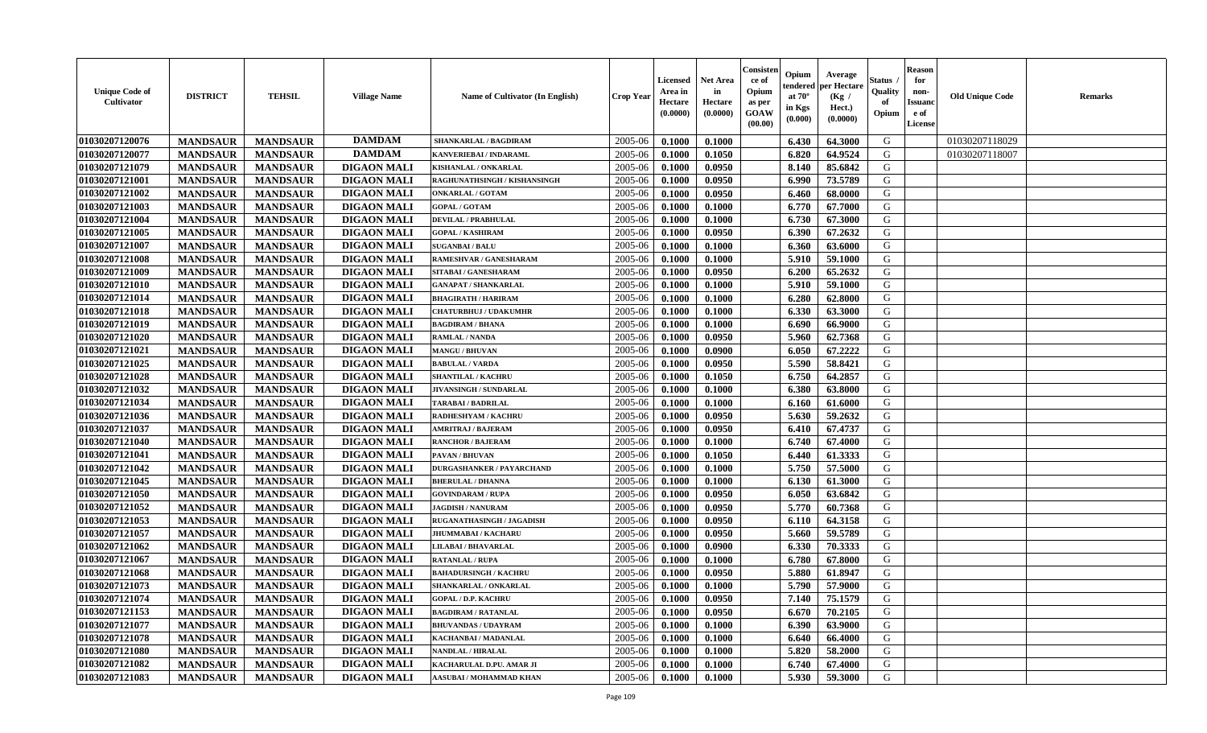| <b>Unique Code of</b><br><b>Cultivator</b> | <b>DISTRICT</b> | <b>TEHSIL</b>   | <b>Village Name</b> | Name of Cultivator (In English)  | <b>Crop Year</b> | <b>Licensed</b><br>Area in<br>Hectare<br>(0.0000) | <b>Net Area</b><br>in<br>Hectare<br>(0.0000) | Consisteı<br>ce of<br>Opium<br>as per<br><b>GOAW</b><br>(00.00) | Opium<br>endered<br>at $70^\circ$<br>in Kgs<br>$(\mathbf{0.000})$ | Average<br>per Hectare<br>(Kg /<br>Hect.)<br>(0.0000) | Status<br>Quality<br>of<br>Opium | Reason<br>for<br>non-<br>Issuan<br>e of<br>License | <b>Old Unique Code</b> | <b>Remarks</b> |
|--------------------------------------------|-----------------|-----------------|---------------------|----------------------------------|------------------|---------------------------------------------------|----------------------------------------------|-----------------------------------------------------------------|-------------------------------------------------------------------|-------------------------------------------------------|----------------------------------|----------------------------------------------------|------------------------|----------------|
| 01030207120076                             | <b>MANDSAUR</b> | <b>MANDSAUR</b> | <b>DAMDAM</b>       | <b>SHANKARLAL / BAGDIRAM</b>     | 2005-06          | 0.1000                                            | 0.1000                                       |                                                                 | 6.430                                                             | 64.3000                                               | G                                |                                                    | 01030207118029         |                |
| 01030207120077                             | <b>MANDSAUR</b> | <b>MANDSAUR</b> | <b>DAMDAM</b>       | KANVERIEBAI / INDARAML           | 2005-06          | 0.1000                                            | 0.1050                                       |                                                                 | 6.820                                                             | 64.9524                                               | G                                |                                                    | 01030207118007         |                |
| 01030207121079                             | <b>MANDSAUR</b> | <b>MANDSAUR</b> | <b>DIGAON MALI</b>  | KISHANLAL / ONKARLAL             | 2005-06          | 0.1000                                            | 0.0950                                       |                                                                 | 8.140                                                             | 85.6842                                               | G                                |                                                    |                        |                |
| 01030207121001                             | <b>MANDSAUR</b> | <b>MANDSAUR</b> | <b>DIGAON MALI</b>  | RAGHUNATHSINGH / KISHANSINGH     | 2005-06          | 0.1000                                            | 0.0950                                       |                                                                 | 6.990                                                             | 73.5789                                               | G                                |                                                    |                        |                |
| 01030207121002                             | <b>MANDSAUR</b> | <b>MANDSAUR</b> | <b>DIGAON MALI</b>  | <b>ONKARLAL / GOTAM</b>          | 2005-06          | 0.1000                                            | 0.0950                                       |                                                                 | 6.460                                                             | 68.0000                                               | G                                |                                                    |                        |                |
| 01030207121003                             | <b>MANDSAUR</b> | <b>MANDSAUR</b> | <b>DIGAON MALI</b>  | <b>GOPAL / GOTAM</b>             | 2005-06          | 0.1000                                            | 0.1000                                       |                                                                 | 6.770                                                             | 67.7000                                               | G                                |                                                    |                        |                |
| 01030207121004                             | <b>MANDSAUR</b> | <b>MANDSAUR</b> | <b>DIGAON MALI</b>  | <b>DEVILAL / PRABHULAL</b>       | 2005-06          | 0.1000                                            | 0.1000                                       |                                                                 | 6.730                                                             | 67.3000                                               | G                                |                                                    |                        |                |
| 01030207121005                             | <b>MANDSAUR</b> | <b>MANDSAUR</b> | <b>DIGAON MALI</b>  | <b>GOPAL / KASHIRAM</b>          | 2005-06          | 0.1000                                            | 0.0950                                       |                                                                 | 6.390                                                             | 67.2632                                               | G                                |                                                    |                        |                |
| 01030207121007                             | <b>MANDSAUR</b> | <b>MANDSAUR</b> | <b>DIGAON MALI</b>  | <b>SUGANBAI/BALU</b>             | 2005-06          | 0.1000                                            | 0.1000                                       |                                                                 | 6.360                                                             | 63.6000                                               | G                                |                                                    |                        |                |
| 01030207121008                             | <b>MANDSAUR</b> | <b>MANDSAUR</b> | <b>DIGAON MALI</b>  | RAMESHVAR / GANESHARAM           | 2005-06          | 0.1000                                            | 0.1000                                       |                                                                 | 5.910                                                             | 59.1000                                               | G                                |                                                    |                        |                |
| 01030207121009                             | <b>MANDSAUR</b> | <b>MANDSAUR</b> | <b>DIGAON MALI</b>  | SITABAI / GANESHARAM             | 2005-06          | 0.1000                                            | 0.0950                                       |                                                                 | 6.200                                                             | 65.2632                                               | G                                |                                                    |                        |                |
| 01030207121010                             | <b>MANDSAUR</b> | <b>MANDSAUR</b> | <b>DIGAON MALI</b>  | <b>GANAPAT / SHANKARLAL</b>      | 2005-06          | 0.1000                                            | 0.1000                                       |                                                                 | 5.910                                                             | 59.1000                                               | G                                |                                                    |                        |                |
| 01030207121014                             | <b>MANDSAUR</b> | <b>MANDSAUR</b> | <b>DIGAON MALI</b>  | <b>BHAGIRATH / HARIRAM</b>       | 2005-06          | 0.1000                                            | 0.1000                                       |                                                                 | 6.280                                                             | 62.8000                                               | G                                |                                                    |                        |                |
| 01030207121018                             | <b>MANDSAUR</b> | <b>MANDSAUR</b> | <b>DIGAON MALI</b>  | <b>CHATURBHUJ / UDAKUMHR</b>     | 2005-06          | 0.1000                                            | 0.1000                                       |                                                                 | 6.330                                                             | 63.3000                                               | G                                |                                                    |                        |                |
| 01030207121019                             | <b>MANDSAUR</b> | <b>MANDSAUR</b> | <b>DIGAON MALI</b>  | <b>BAGDIRAM / BHANA</b>          | 2005-06          | 0.1000                                            | 0.1000                                       |                                                                 | 6.690                                                             | 66.9000                                               | G                                |                                                    |                        |                |
| 01030207121020                             | <b>MANDSAUR</b> | <b>MANDSAUR</b> | <b>DIGAON MALI</b>  | RAMLAL / NANDA                   | 2005-06          | 0.1000                                            | 0.0950                                       |                                                                 | 5.960                                                             | 62.7368                                               | G                                |                                                    |                        |                |
| 01030207121021                             | <b>MANDSAUR</b> | <b>MANDSAUR</b> | <b>DIGAON MALI</b>  | <b>MANGU / BHUVAN</b>            | 2005-06          | 0.1000                                            | 0.0900                                       |                                                                 | 6.050                                                             | 67.2222                                               | G                                |                                                    |                        |                |
| 01030207121025                             | <b>MANDSAUR</b> | <b>MANDSAUR</b> | <b>DIGAON MALI</b>  | <b>BABULAL / VARDA</b>           | 2005-06          | 0.1000                                            | 0.0950                                       |                                                                 | 5.590                                                             | 58.8421                                               | G                                |                                                    |                        |                |
| 01030207121028                             | <b>MANDSAUR</b> | <b>MANDSAUR</b> | <b>DIGAON MALI</b>  | <b>SHANTILAL / KACHRU</b>        | 2005-06          | 0.1000                                            | 0.1050                                       |                                                                 | 6.750                                                             | 64.2857                                               | G                                |                                                    |                        |                |
| 01030207121032                             | <b>MANDSAUR</b> | <b>MANDSAUR</b> | <b>DIGAON MALI</b>  | JIVANSINGH / SUNDARLAL           | 2005-06          | 0.1000                                            | 0.1000                                       |                                                                 | 6.380                                                             | 63.8000                                               | G                                |                                                    |                        |                |
| 01030207121034                             | <b>MANDSAUR</b> | <b>MANDSAUR</b> | <b>DIGAON MALI</b>  | TARABAI / BADRILAL               | 2005-06          | 0.1000                                            | 0.1000                                       |                                                                 | 6.160                                                             | 61.6000                                               | G                                |                                                    |                        |                |
| 01030207121036                             | <b>MANDSAUR</b> | <b>MANDSAUR</b> | <b>DIGAON MALI</b>  | RADHESHYAM / KACHRU              | 2005-06          | 0.1000                                            | 0.0950                                       |                                                                 | 5.630                                                             | 59.2632                                               | G                                |                                                    |                        |                |
| 01030207121037                             | <b>MANDSAUR</b> | <b>MANDSAUR</b> | <b>DIGAON MALI</b>  | <b>AMRITRAJ / BAJERAM</b>        | 2005-06          | 0.1000                                            | 0.0950                                       |                                                                 | 6.410                                                             | 67.4737                                               | G                                |                                                    |                        |                |
| 01030207121040                             | <b>MANDSAUR</b> | <b>MANDSAUR</b> | <b>DIGAON MALI</b>  | <b>RANCHOR / BAJERAM</b>         | 2005-06          | 0.1000                                            | 0.1000                                       |                                                                 | 6.740                                                             | 67.4000                                               | G                                |                                                    |                        |                |
| 01030207121041                             | <b>MANDSAUR</b> | <b>MANDSAUR</b> | <b>DIGAON MALI</b>  | PAVAN / BHUVAN                   | 2005-06          | 0.1000                                            | 0.1050                                       |                                                                 | 6.440                                                             | 61.3333                                               | G                                |                                                    |                        |                |
| 01030207121042                             | <b>MANDSAUR</b> | <b>MANDSAUR</b> | <b>DIGAON MALI</b>  | <b>DURGASHANKER / PAYARCHAND</b> | 2005-06          | 0.1000                                            | 0.1000                                       |                                                                 | 5.750                                                             | 57.5000                                               | G                                |                                                    |                        |                |
| 01030207121045                             | <b>MANDSAUR</b> | <b>MANDSAUR</b> | <b>DIGAON MALI</b>  | <b>BHERULAL / DHANNA</b>         | 2005-06          | 0.1000                                            | 0.1000                                       |                                                                 | 6.130                                                             | 61.3000                                               | G                                |                                                    |                        |                |
| 01030207121050                             | <b>MANDSAUR</b> | <b>MANDSAUR</b> | <b>DIGAON MALI</b>  | <b>GOVINDARAM / RUPA</b>         | 2005-06          | 0.1000                                            | 0.0950                                       |                                                                 | 6.050                                                             | 63.6842                                               | G                                |                                                    |                        |                |
| 01030207121052                             | <b>MANDSAUR</b> | <b>MANDSAUR</b> | <b>DIGAON MALI</b>  | <b>JAGDISH / NANURAM</b>         | 2005-06          | 0.1000                                            | 0.0950                                       |                                                                 | 5.770                                                             | 60.7368                                               | G                                |                                                    |                        |                |
| 01030207121053                             | <b>MANDSAUR</b> | <b>MANDSAUR</b> | <b>DIGAON MALI</b>  | RUGANATHASINGH / JAGADISH        | 2005-06          | 0.1000                                            | 0.0950                                       |                                                                 | 6.110                                                             | 64.3158                                               | G                                |                                                    |                        |                |
| 01030207121057                             | <b>MANDSAUR</b> | <b>MANDSAUR</b> | <b>DIGAON MALI</b>  | <b>JHUMMABAI / KACHARU</b>       | 2005-06          | 0.1000                                            | 0.0950                                       |                                                                 | 5.660                                                             | 59.5789                                               | G                                |                                                    |                        |                |
| 01030207121062                             | <b>MANDSAUR</b> | <b>MANDSAUR</b> | <b>DIGAON MALI</b>  | LILABAI / BHAVARLAL              | 2005-06          | 0.1000                                            | 0.0900                                       |                                                                 | 6.330                                                             | 70.3333                                               | G                                |                                                    |                        |                |
| 01030207121067                             | <b>MANDSAUR</b> | <b>MANDSAUR</b> | <b>DIGAON MALI</b>  | <b>RATANLAL / RUPA</b>           | 2005-06          | 0.1000                                            | 0.1000                                       |                                                                 | 6.780                                                             | 67.8000                                               | G                                |                                                    |                        |                |
| 01030207121068                             | <b>MANDSAUR</b> | <b>MANDSAUR</b> | <b>DIGAON MALI</b>  | <b>BAHADURSINGH / KACHRU</b>     | 2005-06          | 0.1000                                            | 0.0950                                       |                                                                 | 5.880                                                             | 61.8947                                               | G                                |                                                    |                        |                |
| 01030207121073                             | <b>MANDSAUR</b> | <b>MANDSAUR</b> | <b>DIGAON MALI</b>  | SHANKARLAL / ONKARLAL            | 2005-06          | 0.1000                                            | 0.1000                                       |                                                                 | 5.790                                                             | 57.9000                                               | G                                |                                                    |                        |                |
| 01030207121074                             | <b>MANDSAUR</b> | <b>MANDSAUR</b> | <b>DIGAON MALI</b>  | <b>GOPAL / D.P. KACHRU</b>       | $2005 - 06$      | 0.1000                                            | 0.0950                                       |                                                                 | $7.140$                                                           | 75.1579                                               | G                                |                                                    |                        |                |
| 01030207121153                             | <b>MANDSAUR</b> | <b>MANDSAUR</b> | <b>DIGAON MALI</b>  | <b>BAGDIRAM / RATANLAL</b>       | 2005-06          | 0.1000                                            | 0.0950                                       |                                                                 | 6.670                                                             | 70.2105                                               | G                                |                                                    |                        |                |
| 01030207121077                             | <b>MANDSAUR</b> | <b>MANDSAUR</b> | <b>DIGAON MALI</b>  | <b>BHUVANDAS / UDAYRAM</b>       | 2005-06          | 0.1000                                            | 0.1000                                       |                                                                 | 6.390                                                             | 63.9000                                               | G                                |                                                    |                        |                |
| 01030207121078                             | <b>MANDSAUR</b> | <b>MANDSAUR</b> | <b>DIGAON MALI</b>  | KACHANBAI / MADANLAL             | 2005-06          | 0.1000                                            | 0.1000                                       |                                                                 | 6.640                                                             | 66.4000                                               | G                                |                                                    |                        |                |
| 01030207121080                             | <b>MANDSAUR</b> | <b>MANDSAUR</b> | <b>DIGAON MALI</b>  | <b>NANDLAL / HIRALAL</b>         | 2005-06          | 0.1000                                            | 0.1000                                       |                                                                 | 5.820                                                             | 58.2000                                               | G                                |                                                    |                        |                |
| 01030207121082                             | <b>MANDSAUR</b> | <b>MANDSAUR</b> | <b>DIGAON MALI</b>  | KACHARULAL D.PU. AMAR JI         | 2005-06          | 0.1000                                            | 0.1000                                       |                                                                 | 6.740                                                             | 67.4000                                               | G                                |                                                    |                        |                |
| 01030207121083                             | <b>MANDSAUR</b> | <b>MANDSAUR</b> | <b>DIGAON MALI</b>  | AASUBAI / MOHAMMAD KHAN          | 2005-06          | 0.1000                                            | 0.1000                                       |                                                                 | 5.930                                                             | 59.3000                                               | G                                |                                                    |                        |                |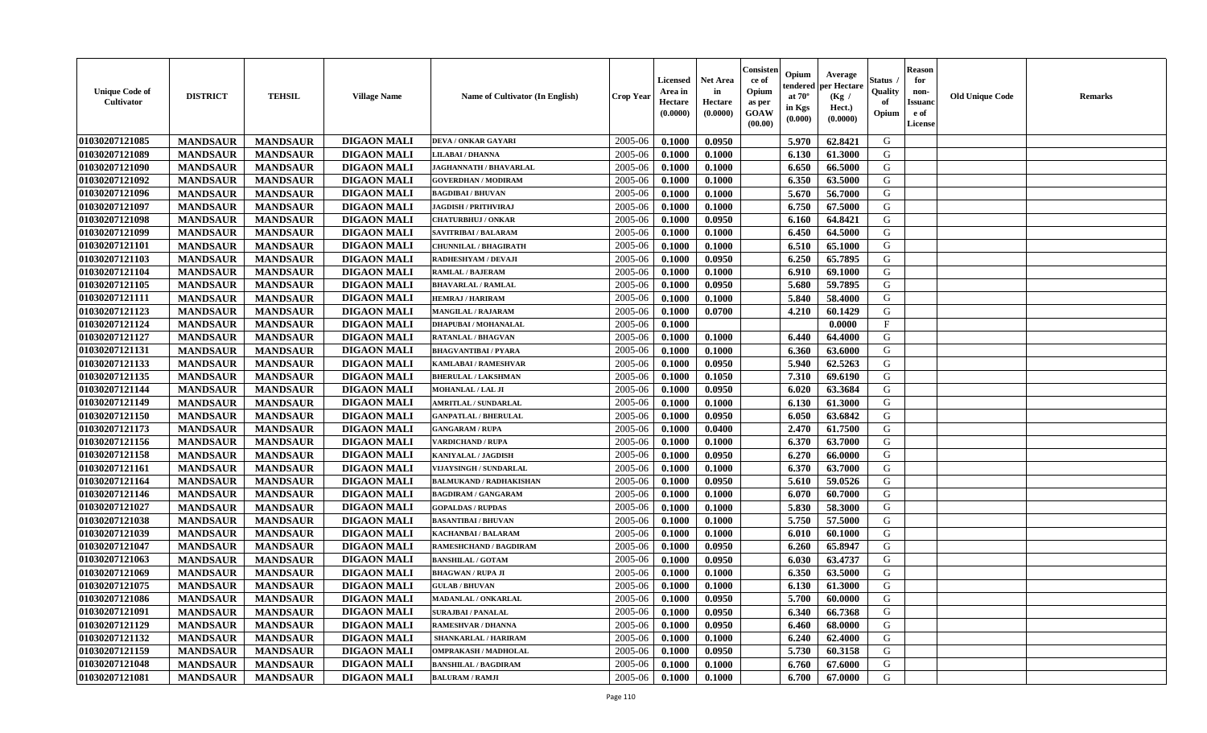| <b>Unique Code of</b><br><b>Cultivator</b> | <b>DISTRICT</b> | <b>TEHSIL</b>   | <b>Village Name</b> | <b>Name of Cultivator (In English)</b> | <b>Crop Year</b> | Licensed<br>Area in<br>Hectare<br>(0.0000) | <b>Net Area</b><br>in<br>Hectare<br>(0.0000) | Consister<br>ce of<br>Opium<br>as per<br>GOAW<br>(00.00) | Opium<br>endered<br>at $70^\circ$<br>in Kgs<br>(0.000) | Average<br>per Hectare<br>(Kg /<br>Hect.)<br>(0.0000) | Status<br>Quality<br>of<br>Opium | <b>Reason</b><br>for<br>non-<br><b>Issuand</b><br>e of<br>License | <b>Old Unique Code</b> | Remarks |
|--------------------------------------------|-----------------|-----------------|---------------------|----------------------------------------|------------------|--------------------------------------------|----------------------------------------------|----------------------------------------------------------|--------------------------------------------------------|-------------------------------------------------------|----------------------------------|-------------------------------------------------------------------|------------------------|---------|
| 01030207121085                             | <b>MANDSAUR</b> | <b>MANDSAUR</b> | <b>DIGAON MALI</b>  | DEVA / ONKAR GAYARI                    | 2005-06          | 0.1000                                     | 0.0950                                       |                                                          | 5.970                                                  | 62.8421                                               | G                                |                                                                   |                        |         |
| 01030207121089                             | <b>MANDSAUR</b> | <b>MANDSAUR</b> | <b>DIGAON MALI</b>  | <b>LILABAI/DHANNA</b>                  | 2005-06          | 0.1000                                     | 0.1000                                       |                                                          | 6.130                                                  | 61.3000                                               | G                                |                                                                   |                        |         |
| 01030207121090                             | <b>MANDSAUR</b> | <b>MANDSAUR</b> | <b>DIGAON MALI</b>  | <b>JAGHANNATH / BHAVARLAL</b>          | 2005-06          | 0.1000                                     | 0.1000                                       |                                                          | 6.650                                                  | 66.5000                                               | G                                |                                                                   |                        |         |
| 01030207121092                             | <b>MANDSAUR</b> | <b>MANDSAUR</b> | <b>DIGAON MALI</b>  | <b>GOVERDHAN / MODIRAM</b>             | 2005-06          | 0.1000                                     | 0.1000                                       |                                                          | 6.350                                                  | 63.5000                                               | G                                |                                                                   |                        |         |
| 01030207121096                             | <b>MANDSAUR</b> | <b>MANDSAUR</b> | <b>DIGAON MALI</b>  | <b>BAGDIBAI / BHUVAN</b>               | 2005-06          | 0.1000                                     | 0.1000                                       |                                                          | 5.670                                                  | 56.7000                                               | G                                |                                                                   |                        |         |
| 01030207121097                             | <b>MANDSAUR</b> | <b>MANDSAUR</b> | <b>DIGAON MALI</b>  | <b>JAGDISH / PRITHVIRAJ</b>            | 2005-06          | 0.1000                                     | 0.1000                                       |                                                          | 6.750                                                  | 67.5000                                               | G                                |                                                                   |                        |         |
| 01030207121098                             | <b>MANDSAUR</b> | <b>MANDSAUR</b> | <b>DIGAON MALI</b>  | <b>CHATURBHUJ / ONKAR</b>              | 2005-06          | 0.1000                                     | 0.0950                                       |                                                          | 6.160                                                  | 64.8421                                               | G                                |                                                                   |                        |         |
| 01030207121099                             | <b>MANDSAUR</b> | <b>MANDSAUR</b> | <b>DIGAON MALI</b>  | SAVITRIBAI / BALARAM                   | 2005-06          | 0.1000                                     | 0.1000                                       |                                                          | 6.450                                                  | 64.5000                                               | G                                |                                                                   |                        |         |
| 01030207121101                             | <b>MANDSAUR</b> | <b>MANDSAUR</b> | <b>DIGAON MALI</b>  | <b>CHUNNILAL / BHAGIRATH</b>           | 2005-06          | 0.1000                                     | 0.1000                                       |                                                          | 6.510                                                  | 65.1000                                               | G                                |                                                                   |                        |         |
| 01030207121103                             | <b>MANDSAUR</b> | <b>MANDSAUR</b> | <b>DIGAON MALI</b>  | RADHESHYAM / DEVAJI                    | 2005-06          | 0.1000                                     | 0.0950                                       |                                                          | 6.250                                                  | 65.7895                                               | G                                |                                                                   |                        |         |
| 01030207121104                             | <b>MANDSAUR</b> | <b>MANDSAUR</b> | <b>DIGAON MALI</b>  | <b>RAMLAL / BAJERAM</b>                | 2005-06          | 0.1000                                     | 0.1000                                       |                                                          | 6.910                                                  | 69.1000                                               | G                                |                                                                   |                        |         |
| 01030207121105                             | <b>MANDSAUR</b> | <b>MANDSAUR</b> | <b>DIGAON MALI</b>  | <b>BHAVARLAL / RAMLAL</b>              | 2005-06          | 0.1000                                     | 0.0950                                       |                                                          | 5.680                                                  | 59.7895                                               | G                                |                                                                   |                        |         |
| 01030207121111                             | <b>MANDSAUR</b> | <b>MANDSAUR</b> | <b>DIGAON MALI</b>  | <b>HEMRAJ / HARIRAM</b>                | 2005-06          | 0.1000                                     | 0.1000                                       |                                                          | 5.840                                                  | 58.4000                                               | G                                |                                                                   |                        |         |
| 01030207121123                             | <b>MANDSAUR</b> | <b>MANDSAUR</b> | <b>DIGAON MALI</b>  | <b>MANGILAL / RAJARAM</b>              | 2005-06          | 0.1000                                     | 0.0700                                       |                                                          | 4.210                                                  | 60.1429                                               | G                                |                                                                   |                        |         |
| 01030207121124                             | <b>MANDSAUR</b> | <b>MANDSAUR</b> | <b>DIGAON MALI</b>  | <b>DHAPUBAI/MOHANALAL</b>              | 2005-06          | 0.1000                                     |                                              |                                                          |                                                        | 0.0000                                                | F                                |                                                                   |                        |         |
| 01030207121127                             | <b>MANDSAUR</b> | <b>MANDSAUR</b> | <b>DIGAON MALI</b>  | <b>RATANLAL / BHAGVAN</b>              | 2005-06          | 0.1000                                     | 0.1000                                       |                                                          | 6.440                                                  | 64.4000                                               | G                                |                                                                   |                        |         |
| 01030207121131                             | <b>MANDSAUR</b> | <b>MANDSAUR</b> | <b>DIGAON MALI</b>  | <b>BHAGVANTIBAI / PYARA</b>            | 2005-06          | 0.1000                                     | 0.1000                                       |                                                          | 6.360                                                  | 63.6000                                               | G                                |                                                                   |                        |         |
| 01030207121133                             | <b>MANDSAUR</b> | <b>MANDSAUR</b> | <b>DIGAON MALI</b>  | <b>KAMLABAI/RAMESHVAR</b>              | 2005-06          | 0.1000                                     | 0.0950                                       |                                                          | 5.940                                                  | 62.5263                                               | G                                |                                                                   |                        |         |
| 01030207121135                             | <b>MANDSAUR</b> | <b>MANDSAUR</b> | <b>DIGAON MALI</b>  | <b>BHERULAL / LAKSHMAN</b>             | 2005-06          | 0.1000                                     | 0.1050                                       |                                                          | 7.310                                                  | 69.6190                                               | G                                |                                                                   |                        |         |
| 01030207121144                             | <b>MANDSAUR</b> | <b>MANDSAUR</b> | <b>DIGAON MALI</b>  | MOHANLAL / LAL JI                      | 2005-06          | 0.1000                                     | 0.0950                                       |                                                          | 6.020                                                  | 63.3684                                               | G                                |                                                                   |                        |         |
| 01030207121149                             | <b>MANDSAUR</b> | <b>MANDSAUR</b> | <b>DIGAON MALI</b>  | <b>AMRITLAL / SUNDARLAL</b>            | 2005-06          | 0.1000                                     | 0.1000                                       |                                                          | 6.130                                                  | 61.3000                                               | G                                |                                                                   |                        |         |
| 01030207121150                             | <b>MANDSAUR</b> | <b>MANDSAUR</b> | <b>DIGAON MALI</b>  | <b>GANPATLAL / BHERULAL</b>            | 2005-06          | 0.1000                                     | 0.0950                                       |                                                          | 6.050                                                  | 63.6842                                               | G                                |                                                                   |                        |         |
| 01030207121173                             | <b>MANDSAUR</b> | <b>MANDSAUR</b> | <b>DIGAON MALI</b>  | <b>GANGARAM / RUPA</b>                 | 2005-06          | 0.1000                                     | 0.0400                                       |                                                          | 2.470                                                  | 61.7500                                               | G                                |                                                                   |                        |         |
| 01030207121156                             | <b>MANDSAUR</b> | <b>MANDSAUR</b> | <b>DIGAON MALI</b>  | <b>VARDICHAND / RUPA</b>               | 2005-06          | 0.1000                                     | 0.1000                                       |                                                          | 6.370                                                  | 63.7000                                               | G                                |                                                                   |                        |         |
| 01030207121158                             | <b>MANDSAUR</b> | <b>MANDSAUR</b> | <b>DIGAON MALI</b>  | <b>KANIYALAL / JAGDISH</b>             | 2005-06          | 0.1000                                     | 0.0950                                       |                                                          | 6.270                                                  | 66.0000                                               | G                                |                                                                   |                        |         |
| 01030207121161                             | <b>MANDSAUR</b> | <b>MANDSAUR</b> | <b>DIGAON MALI</b>  | VIJAYSINGH / SUNDARLAL                 | 2005-06          | 0.1000                                     | 0.1000                                       |                                                          | 6.370                                                  | 63.7000                                               | G                                |                                                                   |                        |         |
| 01030207121164                             | <b>MANDSAUR</b> | <b>MANDSAUR</b> | <b>DIGAON MALI</b>  | <b>BALMUKAND / RADHAKISHAN</b>         | 2005-06          | 0.1000                                     | 0.0950                                       |                                                          | 5.610                                                  | 59.0526                                               | G                                |                                                                   |                        |         |
| 01030207121146                             | <b>MANDSAUR</b> | <b>MANDSAUR</b> | <b>DIGAON MALI</b>  | <b>BAGDIRAM / GANGARAM</b>             | 2005-06          | 0.1000                                     | 0.1000                                       |                                                          | 6.070                                                  | 60.7000                                               | G                                |                                                                   |                        |         |
| 01030207121027                             | <b>MANDSAUR</b> | <b>MANDSAUR</b> | <b>DIGAON MALI</b>  | <b>GOPALDAS / RUPDAS</b>               | 2005-06          | 0.1000                                     | 0.1000                                       |                                                          | 5.830                                                  | 58.3000                                               | G                                |                                                                   |                        |         |
| 01030207121038                             | <b>MANDSAUR</b> | <b>MANDSAUR</b> | <b>DIGAON MALI</b>  | <b>BASANTIBAI / BHUVAN</b>             | 2005-06          | 0.1000                                     | 0.1000                                       |                                                          | 5.750                                                  | 57.5000                                               | G                                |                                                                   |                        |         |
| 01030207121039                             | <b>MANDSAUR</b> | <b>MANDSAUR</b> | <b>DIGAON MALI</b>  | <b>KACHANBAI/BALARAM</b>               | 2005-06          | 0.1000                                     | 0.1000                                       |                                                          | 6.010                                                  | 60.1000                                               | G                                |                                                                   |                        |         |
| 01030207121047                             | <b>MANDSAUR</b> | <b>MANDSAUR</b> | <b>DIGAON MALI</b>  | RAMESHCHAND / BAGDIRAM                 | 2005-06          | 0.1000                                     | 0.0950                                       |                                                          | 6.260                                                  | 65.8947                                               | G                                |                                                                   |                        |         |
| 01030207121063                             | <b>MANDSAUR</b> | <b>MANDSAUR</b> | <b>DIGAON MALI</b>  | <b>BANSHILAL / GOTAM</b>               | 2005-06          | 0.1000                                     | 0.0950                                       |                                                          | 6.030                                                  | 63.4737                                               | G                                |                                                                   |                        |         |
| 01030207121069                             | <b>MANDSAUR</b> | <b>MANDSAUR</b> | <b>DIGAON MALI</b>  | <b>BHAGWAN / RUPA JI</b>               | 2005-06          | 0.1000                                     | 0.1000                                       |                                                          | 6.350                                                  | 63.5000                                               | G                                |                                                                   |                        |         |
| 01030207121075                             | <b>MANDSAUR</b> | <b>MANDSAUR</b> | <b>DIGAON MALI</b>  | <b>GULAB / BHUVAN</b>                  | 2005-06          | 0.1000                                     | 0.1000                                       |                                                          | 6.130                                                  | 61.3000                                               | G                                |                                                                   |                        |         |
| 01030207121086                             | <b>MANDSAUR</b> | <b>MANDSAUR</b> | <b>DIGAON MALI</b>  | MADANLAL / ONKARLAL                    | 2005-06          | 0.1000                                     | 0.0950                                       |                                                          | 5.700                                                  | 60.0000                                               | G                                |                                                                   |                        |         |
| 01030207121091                             | <b>MANDSAUR</b> | <b>MANDSAUR</b> | <b>DIGAON MALI</b>  | <b>SURAJBAI / PANALAL</b>              | 2005-06          | 0.1000                                     | 0.0950                                       |                                                          | 6.340                                                  | 66.7368                                               | G                                |                                                                   |                        |         |
| 01030207121129                             | <b>MANDSAUR</b> | <b>MANDSAUR</b> | <b>DIGAON MALI</b>  | <b>RAMESHVAR / DHANNA</b>              | 2005-06          | 0.1000                                     | 0.0950                                       |                                                          | 6.460                                                  | 68.0000                                               | G                                |                                                                   |                        |         |
| 01030207121132                             | <b>MANDSAUR</b> | <b>MANDSAUR</b> | <b>DIGAON MALI</b>  | SHANKARLAL / HARIRAM                   | 2005-06          | 0.1000                                     | 0.1000                                       |                                                          | 6.240                                                  | 62.4000                                               | G                                |                                                                   |                        |         |
| 01030207121159                             | <b>MANDSAUR</b> | <b>MANDSAUR</b> | <b>DIGAON MALI</b>  | <b>OMPRAKASH / MADHOLAL</b>            | 2005-06          | 0.1000                                     | 0.0950                                       |                                                          | 5.730                                                  | 60.3158                                               | ${\bf G}$                        |                                                                   |                        |         |
| 01030207121048                             | <b>MANDSAUR</b> | <b>MANDSAUR</b> | <b>DIGAON MALI</b>  | <b>BANSHILAL / BAGDIRAM</b>            | 2005-06          | 0.1000                                     | 0.1000                                       |                                                          | 6.760                                                  | 67.6000                                               | G                                |                                                                   |                        |         |
| 01030207121081                             | <b>MANDSAUR</b> | <b>MANDSAUR</b> | <b>DIGAON MALI</b>  | <b>BALURAM / RAMJI</b>                 | 2005-06          | 0.1000                                     | 0.1000                                       |                                                          | 6.700                                                  | 67.0000                                               | G                                |                                                                   |                        |         |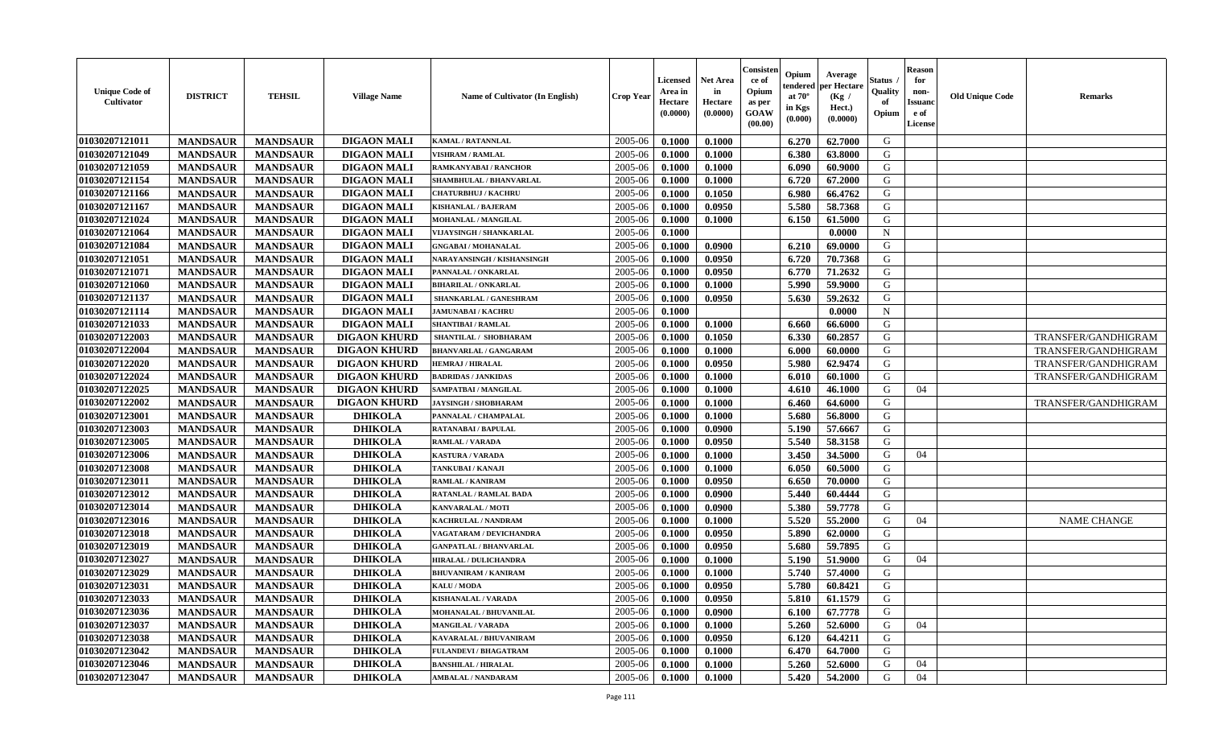| <b>Unique Code of</b><br>Cultivator | <b>DISTRICT</b> | <b>TEHSIL</b>   | <b>Village Name</b> | Name of Cultivator (In English)   | <b>Crop Year</b> | <b>Licensed</b><br>Area in<br>Hectare<br>(0.0000) | <b>Net Area</b><br>in<br>Hectare<br>(0.0000) | Consisteı<br>ce of<br>Opium<br>as per<br>GOAW<br>(00.00) | Opium<br>endered<br>at $70^\circ$<br>in Kgs<br>(0.000) | Average<br>oer Hectare<br>(Kg /<br>Hect.)<br>(0.0000) | Status<br>Quality<br>of<br>Opium | Reason<br>for<br>non-<br>Issuan<br>e of<br>License | <b>Old Unique Code</b> | <b>Remarks</b>      |
|-------------------------------------|-----------------|-----------------|---------------------|-----------------------------------|------------------|---------------------------------------------------|----------------------------------------------|----------------------------------------------------------|--------------------------------------------------------|-------------------------------------------------------|----------------------------------|----------------------------------------------------|------------------------|---------------------|
| 01030207121011                      | <b>MANDSAUR</b> | <b>MANDSAUR</b> | <b>DIGAON MALI</b>  | <b>KAMAL / RATANNLAL</b>          | 2005-06          | 0.1000                                            | 0.1000                                       |                                                          | 6.270                                                  | 62.7000                                               | G                                |                                                    |                        |                     |
| 01030207121049                      | <b>MANDSAUR</b> | <b>MANDSAUR</b> | <b>DIGAON MALI</b>  | <b>VISHRAM / RAMLAL</b>           | 2005-06          | 0.1000                                            | 0.1000                                       |                                                          | 6.380                                                  | 63.8000                                               | G                                |                                                    |                        |                     |
| 01030207121059                      | <b>MANDSAUR</b> | <b>MANDSAUR</b> | <b>DIGAON MALI</b>  | RAMKANYABAI / RANCHOR             | 2005-06          | 0.1000                                            | 0.1000                                       |                                                          | 6.090                                                  | 60.9000                                               | G                                |                                                    |                        |                     |
| 01030207121154                      | <b>MANDSAUR</b> | <b>MANDSAUR</b> | <b>DIGAON MALI</b>  | SHAMBHULAL / BHANVARLAL           | 2005-06          | 0.1000                                            | 0.1000                                       |                                                          | 6.720                                                  | 67.2000                                               | G                                |                                                    |                        |                     |
| 01030207121166                      | <b>MANDSAUR</b> | <b>MANDSAUR</b> | <b>DIGAON MALI</b>  | <b>CHATURBHUJ / KACHRU</b>        | 2005-06          | 0.1000                                            | 0.1050                                       |                                                          | 6.980                                                  | 66.4762                                               | G                                |                                                    |                        |                     |
| 01030207121167                      | <b>MANDSAUR</b> | <b>MANDSAUR</b> | <b>DIGAON MALI</b>  | <b>KISHANLAL / BAJERAM</b>        | 2005-06          | 0.1000                                            | 0.0950                                       |                                                          | 5.580                                                  | 58.7368                                               | G                                |                                                    |                        |                     |
| 01030207121024                      | <b>MANDSAUR</b> | <b>MANDSAUR</b> | <b>DIGAON MALI</b>  | <b>MOHANLAL / MANGILAL</b>        | 2005-06          | 0.1000                                            | 0.1000                                       |                                                          | 6.150                                                  | 61.5000                                               | G                                |                                                    |                        |                     |
| 01030207121064                      | <b>MANDSAUR</b> | <b>MANDSAUR</b> | <b>DIGAON MALI</b>  | <b>VIJAYSINGH / SHANKARLAL</b>    | 2005-06          | 0.1000                                            |                                              |                                                          |                                                        | 0.0000                                                | $\mathbf N$                      |                                                    |                        |                     |
| 01030207121084                      | <b>MANDSAUR</b> | <b>MANDSAUR</b> | <b>DIGAON MALI</b>  | <b>GNGABAI/MOHANALAL</b>          | 2005-06          | 0.1000                                            | 0.0900                                       |                                                          | 6.210                                                  | 69.0000                                               | G                                |                                                    |                        |                     |
| 01030207121051                      | <b>MANDSAUR</b> | <b>MANDSAUR</b> | <b>DIGAON MALI</b>  | <b>NARAYANSINGH / KISHANSINGH</b> | 2005-06          | 0.1000                                            | 0.0950                                       |                                                          | 6.720                                                  | 70.7368                                               | G                                |                                                    |                        |                     |
| 01030207121071                      | <b>MANDSAUR</b> | <b>MANDSAUR</b> | <b>DIGAON MALI</b>  | PANNALAL / ONKARLAL               | 2005-06          | 0.1000                                            | 0.0950                                       |                                                          | 6.770                                                  | 71.2632                                               | G                                |                                                    |                        |                     |
| 01030207121060                      | <b>MANDSAUR</b> | <b>MANDSAUR</b> | <b>DIGAON MALI</b>  | <b>BIHARILAL / ONKARLAL</b>       | 2005-06          | 0.1000                                            | 0.1000                                       |                                                          | 5.990                                                  | 59.9000                                               | G                                |                                                    |                        |                     |
| 01030207121137                      | <b>MANDSAUR</b> | <b>MANDSAUR</b> | <b>DIGAON MALI</b>  | SHANKARLAL / GANESHRAM            | 2005-06          | 0.1000                                            | 0.0950                                       |                                                          | 5.630                                                  | 59.2632                                               | G                                |                                                    |                        |                     |
| 01030207121114                      | <b>MANDSAUR</b> | <b>MANDSAUR</b> | <b>DIGAON MALI</b>  | <b>JAMUNABAI / KACHRU</b>         | 2005-06          | 0.1000                                            |                                              |                                                          |                                                        | 0.0000                                                | $\mathbf N$                      |                                                    |                        |                     |
| 01030207121033                      | <b>MANDSAUR</b> | <b>MANDSAUR</b> | <b>DIGAON MALI</b>  | <b>SHANTIBAI / RAMLAL</b>         | 2005-06          | 0.1000                                            | 0.1000                                       |                                                          | 6.660                                                  | 66.6000                                               | G                                |                                                    |                        |                     |
| 01030207122003                      | <b>MANDSAUR</b> | <b>MANDSAUR</b> | <b>DIGAON KHURD</b> | SHANTILAL / SHOBHARAM             | 2005-06          | 0.1000                                            | 0.1050                                       |                                                          | 6.330                                                  | 60.2857                                               | G                                |                                                    |                        | TRANSFER/GANDHIGRAM |
| 01030207122004                      | <b>MANDSAUR</b> | <b>MANDSAUR</b> | <b>DIGAON KHURD</b> | <b>BHANVARLAL / GANGARAM</b>      | 2005-06          | 0.1000                                            | 0.1000                                       |                                                          | 6.000                                                  | 60.0000                                               | G                                |                                                    |                        | TRANSFER/GANDHIGRAM |
| 01030207122020                      | <b>MANDSAUR</b> | <b>MANDSAUR</b> | <b>DIGAON KHURD</b> | <b>HEMRAJ / HIRALAL</b>           | 2005-06          | 0.1000                                            | 0.0950                                       |                                                          | 5.980                                                  | 62.9474                                               | G                                |                                                    |                        | TRANSFER/GANDHIGRAM |
| 01030207122024                      | <b>MANDSAUR</b> | <b>MANDSAUR</b> | <b>DIGAON KHURD</b> | <b>BADRIDAS / JANKIDAS</b>        | 2005-06          | 0.1000                                            | 0.1000                                       |                                                          | 6.010                                                  | 60.1000                                               | G                                |                                                    |                        | TRANSFER/GANDHIGRAM |
| 01030207122025                      | <b>MANDSAUR</b> | <b>MANDSAUR</b> | <b>DIGAON KHURD</b> | SAMPATBAI / MANGILAL              | 2005-06          | 0.1000                                            | 0.1000                                       |                                                          | 4.610                                                  | 46.1000                                               | G                                | 04                                                 |                        |                     |
| 01030207122002                      | <b>MANDSAUR</b> | <b>MANDSAUR</b> | <b>DIGAON KHURD</b> | <b>JAYSINGH / SHOBHARAM</b>       | 2005-06          | 0.1000                                            | 0.1000                                       |                                                          | 6.460                                                  | 64.6000                                               | G                                |                                                    |                        | TRANSFER/GANDHIGRAM |
| 01030207123001                      | <b>MANDSAUR</b> | <b>MANDSAUR</b> | <b>DHIKOLA</b>      | PANNALAL / CHAMPALAL              | 2005-06          | 0.1000                                            | 0.1000                                       |                                                          | 5.680                                                  | 56.8000                                               | G                                |                                                    |                        |                     |
| 01030207123003                      | <b>MANDSAUR</b> | <b>MANDSAUR</b> | <b>DHIKOLA</b>      | RATANABAI / BAPULAL               | 2005-06          | 0.1000                                            | 0.0900                                       |                                                          | 5.190                                                  | 57.6667                                               | G                                |                                                    |                        |                     |
| 01030207123005                      | <b>MANDSAUR</b> | <b>MANDSAUR</b> | <b>DHIKOLA</b>      | RAMLAL / VARADA                   | 2005-06          | 0.1000                                            | 0.0950                                       |                                                          | 5.540                                                  | 58.3158                                               | G                                |                                                    |                        |                     |
| 01030207123006                      | <b>MANDSAUR</b> | <b>MANDSAUR</b> | <b>DHIKOLA</b>      | <b>KASTURA / VARADA</b>           | 2005-06          | 0.1000                                            | 0.1000                                       |                                                          | 3.450                                                  | 34.5000                                               | G                                | 04                                                 |                        |                     |
| 01030207123008                      | <b>MANDSAUR</b> | <b>MANDSAUR</b> | <b>DHIKOLA</b>      | <b><i>TANKUBAI/KANAJI</i></b>     | 2005-06          | 0.1000                                            | 0.1000                                       |                                                          | 6.050                                                  | 60.5000                                               | G                                |                                                    |                        |                     |
| 01030207123011                      | <b>MANDSAUR</b> | <b>MANDSAUR</b> | <b>DHIKOLA</b>      | <b>RAMLAL / KANIRAM</b>           | 2005-06          | 0.1000                                            | 0.0950                                       |                                                          | 6.650                                                  | 70.0000                                               | G                                |                                                    |                        |                     |
| 01030207123012                      | <b>MANDSAUR</b> | <b>MANDSAUR</b> | <b>DHIKOLA</b>      | RATANLAL / RAMLAL BADA            | 2005-06          | 0.1000                                            | 0.0900                                       |                                                          | 5.440                                                  | 60.4444                                               | G                                |                                                    |                        |                     |
| 01030207123014                      | <b>MANDSAUR</b> | <b>MANDSAUR</b> | <b>DHIKOLA</b>      | <b>KANVARALAL / MOTI</b>          | 2005-06          | 0.1000                                            | 0.0900                                       |                                                          | 5.380                                                  | 59,7778                                               | G                                |                                                    |                        |                     |
| 01030207123016                      | <b>MANDSAUR</b> | <b>MANDSAUR</b> | <b>DHIKOLA</b>      | KACHRULAL / NANDRAM               | 2005-06          | 0.1000                                            | 0.1000                                       |                                                          | 5.520                                                  | 55.2000                                               | G                                | 04                                                 |                        | <b>NAME CHANGE</b>  |
| 01030207123018                      | <b>MANDSAUR</b> | <b>MANDSAUR</b> | <b>DHIKOLA</b>      | VAGATARAM / DEVICHANDRA           | 2005-06          | 0.1000                                            | 0.0950                                       |                                                          | 5.890                                                  | 62.0000                                               | G                                |                                                    |                        |                     |
| 01030207123019                      | <b>MANDSAUR</b> | <b>MANDSAUR</b> | <b>DHIKOLA</b>      | <b>GANPATLAL / BHANVARLAL</b>     | 2005-06          | 0.1000                                            | 0.0950                                       |                                                          | 5.680                                                  | 59.7895                                               | G                                |                                                    |                        |                     |
| 01030207123027                      | <b>MANDSAUR</b> | <b>MANDSAUR</b> | <b>DHIKOLA</b>      | HIRALAL / DULICHANDRA             | 2005-06          | 0.1000                                            | 0.1000                                       |                                                          | 5.190                                                  | 51.9000                                               | G                                | 04                                                 |                        |                     |
| 01030207123029                      | <b>MANDSAUR</b> | <b>MANDSAUR</b> | <b>DHIKOLA</b>      | <b>BHUVANIRAM / KANIRAM</b>       | 2005-06          | 0.1000                                            | 0.1000                                       |                                                          | 5.740                                                  | 57.4000                                               | G                                |                                                    |                        |                     |
| 01030207123031                      | <b>MANDSAUR</b> | <b>MANDSAUR</b> | <b>DHIKOLA</b>      | KALU / MODA                       | 2005-06          | 0.1000                                            | 0.0950                                       |                                                          | 5.780                                                  | 60.8421                                               | G                                |                                                    |                        |                     |
| 01030207123033                      | <b>MANDSAUR</b> | MANDSAUR        | <b>DHIKOLA</b>      | KISHANALAL / VARADA               | $2005-06$        | 0.1000                                            | 0.0950                                       |                                                          | $5.810$                                                | 61.1579                                               | G                                |                                                    |                        |                     |
| 01030207123036                      | <b>MANDSAUR</b> | <b>MANDSAUR</b> | <b>DHIKOLA</b>      | MOHANALAL / BHUVANILAL            | 2005-06          | 0.1000                                            | 0.0900                                       |                                                          | 6.100                                                  | 67.7778                                               | G                                |                                                    |                        |                     |
| 01030207123037                      | <b>MANDSAUR</b> | <b>MANDSAUR</b> | <b>DHIKOLA</b>      | <b>MANGILAL / VARADA</b>          | 2005-06          | 0.1000                                            | 0.1000                                       |                                                          | 5.260                                                  | 52.6000                                               | G                                | 04                                                 |                        |                     |
| 01030207123038                      | <b>MANDSAUR</b> | <b>MANDSAUR</b> | <b>DHIKOLA</b>      | KAVARALAL / BHUVANIRAM            | 2005-06          | 0.1000                                            | 0.0950                                       |                                                          | 6.120                                                  | 64.4211                                               | G                                |                                                    |                        |                     |
| 01030207123042                      | <b>MANDSAUR</b> | <b>MANDSAUR</b> | <b>DHIKOLA</b>      | FULANDEVI / BHAGATRAM             | 2005-06          | 0.1000                                            | 0.1000                                       |                                                          | 6.470                                                  | 64.7000                                               | G                                |                                                    |                        |                     |
| 01030207123046                      | <b>MANDSAUR</b> | <b>MANDSAUR</b> | <b>DHIKOLA</b>      | <b>BANSHILAL / HIRALAL</b>        | 2005-06          | 0.1000                                            | 0.1000                                       |                                                          | 5.260                                                  | 52.6000                                               | G                                | 04                                                 |                        |                     |
| 01030207123047                      | <b>MANDSAUR</b> | <b>MANDSAUR</b> | <b>DHIKOLA</b>      | <b>AMBALAL / NANDARAM</b>         | 2005-06          | $\boldsymbol{0.1000}$                             | 0.1000                                       |                                                          | 5.420                                                  | 54.2000                                               | G                                | 04                                                 |                        |                     |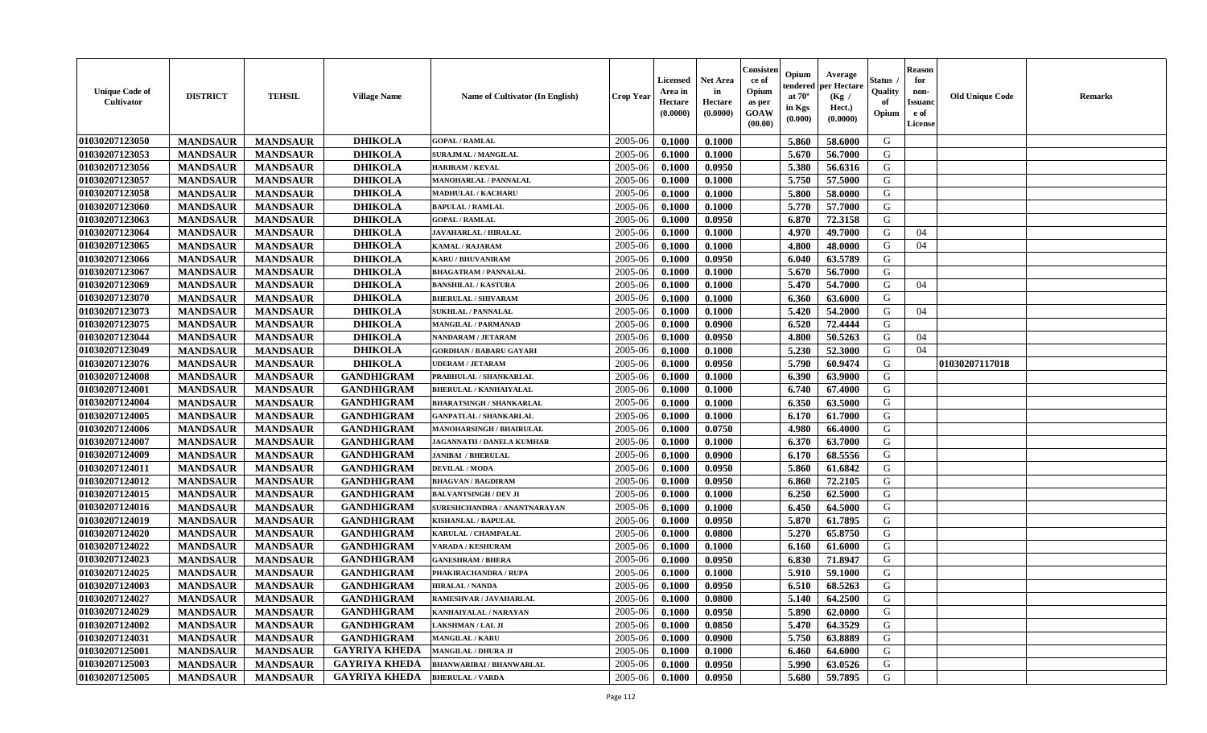| 01030207123050<br><b>DHIKOLA</b><br>2005-06<br>G<br>0.1000<br>0.1000<br>5.860<br><b>MANDSAUR</b><br><b>MANDSAUR</b><br><b>GOPAL / RAMLAL</b><br>58.6000<br>01030207123053<br><b>DHIKOLA</b><br>2005-06<br>5.670<br>56.7000<br>G<br><b>MANDSAUR</b><br><b>MANDSAUR</b><br>0.1000<br>0.1000<br>SURAJMAL / MANGILAL<br>01030207123056<br><b>MANDSAUR</b><br><b>MANDSAUR</b><br><b>DHIKOLA</b><br>0.0950<br>5.380<br>56.6316<br>G<br><b>HARIRAM / KEVAL</b><br>2005-06<br>0.1000<br>5.750<br>G<br>01030207123057<br><b>MANDSAUR</b><br><b>MANDSAUR</b><br><b>DHIKOLA</b><br>2005-06<br>0.1000<br>57.5000<br>MANOHARLAL / PANNALAL<br>0.1000<br><b>DHIKOLA</b><br>5.800<br>01030207123058<br><b>MANDSAUR</b><br><b>MANDSAUR</b><br>2005-06<br>0.1000<br>0.1000<br>58.0000<br>G<br>MADHULAL / KACHARU<br>01030207123060<br><b>MANDSAUR</b><br><b>MANDSAUR</b><br><b>DHIKOLA</b><br>0.1000<br>5.770<br>57.7000<br>G<br><b>BAPULAL / RAMLAL</b><br>2005-06<br>0.1000<br>01030207123063<br><b>MANDSAUR</b><br><b>MANDSAUR</b><br><b>DHIKOLA</b><br>0.0950<br>6.870<br>72.3158<br>G<br>2005-06<br>0.1000<br><b>GOPAL / RAMLAL</b><br>01030207123064<br><b>DHIKOLA</b><br>G<br><b>MANDSAUR</b><br><b>MANDSAUR</b><br>2005-06<br>4.970<br>49.7000<br><b>JAVAHARLAL / HIRALAL</b><br>0.1000<br>0.1000<br>04<br>01030207123065<br><b>MANDSAUR</b><br><b>DHIKOLA</b><br>2005-06<br>4.800<br><b>MANDSAUR</b><br><b>KAMAL / RAJARAM</b><br>0.1000<br>0.1000<br>48.0000<br>G<br>04<br>01030207123066<br><b>DHIKOLA</b><br>2005-06<br>G<br><b>MANDSAUR</b><br>0.1000<br>0.0950<br>6.040<br>63.5789<br><b>MANDSAUR</b><br>KARU / BHUVANIRAM<br>01030207123067<br><b>MANDSAUR</b><br><b>MANDSAUR</b><br><b>DHIKOLA</b><br>5.670<br>56.7000<br>G<br>2005-06<br>0.1000<br>0.1000<br><b>BHAGATRAM / PANNALAL</b><br>01030207123069<br><b>MANDSAUR</b><br><b>MANDSAUR</b><br><b>DHIKOLA</b><br>5.470<br>54.7000<br><b>BANSHILAL / KASTURA</b><br>2005-06<br>0.1000<br>0.1000<br>G<br>04 |  |
|----------------------------------------------------------------------------------------------------------------------------------------------------------------------------------------------------------------------------------------------------------------------------------------------------------------------------------------------------------------------------------------------------------------------------------------------------------------------------------------------------------------------------------------------------------------------------------------------------------------------------------------------------------------------------------------------------------------------------------------------------------------------------------------------------------------------------------------------------------------------------------------------------------------------------------------------------------------------------------------------------------------------------------------------------------------------------------------------------------------------------------------------------------------------------------------------------------------------------------------------------------------------------------------------------------------------------------------------------------------------------------------------------------------------------------------------------------------------------------------------------------------------------------------------------------------------------------------------------------------------------------------------------------------------------------------------------------------------------------------------------------------------------------------------------------------------------------------------------------------------------------------------------------------------------------------------------------------|--|
|                                                                                                                                                                                                                                                                                                                                                                                                                                                                                                                                                                                                                                                                                                                                                                                                                                                                                                                                                                                                                                                                                                                                                                                                                                                                                                                                                                                                                                                                                                                                                                                                                                                                                                                                                                                                                                                                                                                                                                |  |
|                                                                                                                                                                                                                                                                                                                                                                                                                                                                                                                                                                                                                                                                                                                                                                                                                                                                                                                                                                                                                                                                                                                                                                                                                                                                                                                                                                                                                                                                                                                                                                                                                                                                                                                                                                                                                                                                                                                                                                |  |
|                                                                                                                                                                                                                                                                                                                                                                                                                                                                                                                                                                                                                                                                                                                                                                                                                                                                                                                                                                                                                                                                                                                                                                                                                                                                                                                                                                                                                                                                                                                                                                                                                                                                                                                                                                                                                                                                                                                                                                |  |
|                                                                                                                                                                                                                                                                                                                                                                                                                                                                                                                                                                                                                                                                                                                                                                                                                                                                                                                                                                                                                                                                                                                                                                                                                                                                                                                                                                                                                                                                                                                                                                                                                                                                                                                                                                                                                                                                                                                                                                |  |
|                                                                                                                                                                                                                                                                                                                                                                                                                                                                                                                                                                                                                                                                                                                                                                                                                                                                                                                                                                                                                                                                                                                                                                                                                                                                                                                                                                                                                                                                                                                                                                                                                                                                                                                                                                                                                                                                                                                                                                |  |
|                                                                                                                                                                                                                                                                                                                                                                                                                                                                                                                                                                                                                                                                                                                                                                                                                                                                                                                                                                                                                                                                                                                                                                                                                                                                                                                                                                                                                                                                                                                                                                                                                                                                                                                                                                                                                                                                                                                                                                |  |
|                                                                                                                                                                                                                                                                                                                                                                                                                                                                                                                                                                                                                                                                                                                                                                                                                                                                                                                                                                                                                                                                                                                                                                                                                                                                                                                                                                                                                                                                                                                                                                                                                                                                                                                                                                                                                                                                                                                                                                |  |
|                                                                                                                                                                                                                                                                                                                                                                                                                                                                                                                                                                                                                                                                                                                                                                                                                                                                                                                                                                                                                                                                                                                                                                                                                                                                                                                                                                                                                                                                                                                                                                                                                                                                                                                                                                                                                                                                                                                                                                |  |
|                                                                                                                                                                                                                                                                                                                                                                                                                                                                                                                                                                                                                                                                                                                                                                                                                                                                                                                                                                                                                                                                                                                                                                                                                                                                                                                                                                                                                                                                                                                                                                                                                                                                                                                                                                                                                                                                                                                                                                |  |
|                                                                                                                                                                                                                                                                                                                                                                                                                                                                                                                                                                                                                                                                                                                                                                                                                                                                                                                                                                                                                                                                                                                                                                                                                                                                                                                                                                                                                                                                                                                                                                                                                                                                                                                                                                                                                                                                                                                                                                |  |
|                                                                                                                                                                                                                                                                                                                                                                                                                                                                                                                                                                                                                                                                                                                                                                                                                                                                                                                                                                                                                                                                                                                                                                                                                                                                                                                                                                                                                                                                                                                                                                                                                                                                                                                                                                                                                                                                                                                                                                |  |
|                                                                                                                                                                                                                                                                                                                                                                                                                                                                                                                                                                                                                                                                                                                                                                                                                                                                                                                                                                                                                                                                                                                                                                                                                                                                                                                                                                                                                                                                                                                                                                                                                                                                                                                                                                                                                                                                                                                                                                |  |
| 01030207123070<br><b>MANDSAUR</b><br><b>MANDSAUR</b><br><b>DHIKOLA</b><br><b>BHERULAL / SHIVARAM</b><br>2005-06<br>0.1000<br>0.1000<br>6.360<br>63.6000<br>G                                                                                                                                                                                                                                                                                                                                                                                                                                                                                                                                                                                                                                                                                                                                                                                                                                                                                                                                                                                                                                                                                                                                                                                                                                                                                                                                                                                                                                                                                                                                                                                                                                                                                                                                                                                                   |  |
| 01030207123073<br><b>MANDSAUR</b><br><b>MANDSAUR</b><br><b>DHIKOLA</b><br>5.420<br>54.2000<br>2005-06<br>0.1000<br>0.1000<br>G<br><b>SUKHLAL / PANNALAL</b><br>04                                                                                                                                                                                                                                                                                                                                                                                                                                                                                                                                                                                                                                                                                                                                                                                                                                                                                                                                                                                                                                                                                                                                                                                                                                                                                                                                                                                                                                                                                                                                                                                                                                                                                                                                                                                              |  |
| 01030207123075<br><b>MANDSAUR</b><br><b>DHIKOLA</b><br>6.520<br>72.4444<br><b>MANDSAUR</b><br>2005-06<br>0.1000<br>0.0900<br>G<br>MANGILAL / PARMANAD                                                                                                                                                                                                                                                                                                                                                                                                                                                                                                                                                                                                                                                                                                                                                                                                                                                                                                                                                                                                                                                                                                                                                                                                                                                                                                                                                                                                                                                                                                                                                                                                                                                                                                                                                                                                          |  |
| <b>DHIKOLA</b><br>50.5263<br>01030207123044<br><b>MANDSAUR</b><br><b>MANDSAUR</b><br>2005-06<br>0.1000<br>0.0950<br>4.800<br>G<br>04<br>NANDARAM / JETARAM                                                                                                                                                                                                                                                                                                                                                                                                                                                                                                                                                                                                                                                                                                                                                                                                                                                                                                                                                                                                                                                                                                                                                                                                                                                                                                                                                                                                                                                                                                                                                                                                                                                                                                                                                                                                     |  |
| 01030207123049<br><b>DHIKOLA</b><br><b>MANDSAUR</b><br><b>MANDSAUR</b><br>2005-06<br>0.1000<br>5.230<br>52.3000<br>G<br>04<br>0.1000<br><b>GORDHAN / BABARU GAYARI</b>                                                                                                                                                                                                                                                                                                                                                                                                                                                                                                                                                                                                                                                                                                                                                                                                                                                                                                                                                                                                                                                                                                                                                                                                                                                                                                                                                                                                                                                                                                                                                                                                                                                                                                                                                                                         |  |
| 01030207123076<br><b>DHIKOLA</b><br>2005-06<br>G<br>01030207117018<br><b>MANDSAUR</b><br><b>MANDSAUR</b><br>5.790<br>0.0950<br>60.9474<br><b>UDERAM / JETARAM</b><br>0.1000                                                                                                                                                                                                                                                                                                                                                                                                                                                                                                                                                                                                                                                                                                                                                                                                                                                                                                                                                                                                                                                                                                                                                                                                                                                                                                                                                                                                                                                                                                                                                                                                                                                                                                                                                                                    |  |
| 01030207124008<br>6.390<br>G<br><b>MANDSAUR</b><br><b>MANDSAUR</b><br><b>GANDHIGRAM</b><br>2005-06<br>0.1000<br>0.1000<br>63.9000<br>PRABHULAL / SHANKARLAL                                                                                                                                                                                                                                                                                                                                                                                                                                                                                                                                                                                                                                                                                                                                                                                                                                                                                                                                                                                                                                                                                                                                                                                                                                                                                                                                                                                                                                                                                                                                                                                                                                                                                                                                                                                                    |  |
| 01030207124001<br><b>MANDSAUR</b><br><b>MANDSAUR</b><br><b>GANDHIGRAM</b><br>6.740<br>2005-06<br>0.1000<br>0.1000<br>67.4000<br>G<br><b>BHERULAL / KANHAIYALAL</b>                                                                                                                                                                                                                                                                                                                                                                                                                                                                                                                                                                                                                                                                                                                                                                                                                                                                                                                                                                                                                                                                                                                                                                                                                                                                                                                                                                                                                                                                                                                                                                                                                                                                                                                                                                                             |  |
| 01030207124004<br>6.350<br>G<br><b>MANDSAUR</b><br><b>MANDSAUR</b><br><b>GANDHIGRAM</b><br>2005-06<br>0.1000<br>63.5000<br><b>BHARATSINGH / SHANKARLAL</b><br>0.1000                                                                                                                                                                                                                                                                                                                                                                                                                                                                                                                                                                                                                                                                                                                                                                                                                                                                                                                                                                                                                                                                                                                                                                                                                                                                                                                                                                                                                                                                                                                                                                                                                                                                                                                                                                                           |  |
| G<br>01030207124005<br><b>MANDSAUR</b><br><b>MANDSAUR</b><br><b>GANDHIGRAM</b><br>2005-06<br>0.1000<br>0.1000<br>6.170<br>61.7000<br><b>GANPATLAL / SHANKARLAL</b>                                                                                                                                                                                                                                                                                                                                                                                                                                                                                                                                                                                                                                                                                                                                                                                                                                                                                                                                                                                                                                                                                                                                                                                                                                                                                                                                                                                                                                                                                                                                                                                                                                                                                                                                                                                             |  |
| 01030207124006<br><b>MANDSAUR</b><br><b>GANDHIGRAM</b><br>0.0750<br><b>MANDSAUR</b><br>2005-06<br>0.1000<br>4.980<br>66.4000<br>G<br><b>MANOHARSINGH / BHAIRULAL</b>                                                                                                                                                                                                                                                                                                                                                                                                                                                                                                                                                                                                                                                                                                                                                                                                                                                                                                                                                                                                                                                                                                                                                                                                                                                                                                                                                                                                                                                                                                                                                                                                                                                                                                                                                                                           |  |
| 01030207124007<br><b>GANDHIGRAM</b><br>G<br><b>MANDSAUR</b><br>2005-06<br>6.370<br>63.7000<br><b>MANDSAUR</b><br>0.1000<br>0.1000<br>JAGANNATH / DANELA KUMHAR                                                                                                                                                                                                                                                                                                                                                                                                                                                                                                                                                                                                                                                                                                                                                                                                                                                                                                                                                                                                                                                                                                                                                                                                                                                                                                                                                                                                                                                                                                                                                                                                                                                                                                                                                                                                 |  |
| 01030207124009<br><b>GANDHIGRAM</b><br>G<br><b>MANDSAUR</b><br><b>MANDSAUR</b><br>2005-06<br>68.5556<br>0.1000<br>0.0900<br>6.170<br><b>JANIBAI / BHERULAL</b>                                                                                                                                                                                                                                                                                                                                                                                                                                                                                                                                                                                                                                                                                                                                                                                                                                                                                                                                                                                                                                                                                                                                                                                                                                                                                                                                                                                                                                                                                                                                                                                                                                                                                                                                                                                                 |  |
| G<br>01030207124011<br><b>MANDSAUR</b><br><b>GANDHIGRAM</b><br>2005-06<br>5.860<br><b>MANDSAUR</b><br><b>DEVILAL / MODA</b><br>0.1000<br>0.0950<br>61.6842                                                                                                                                                                                                                                                                                                                                                                                                                                                                                                                                                                                                                                                                                                                                                                                                                                                                                                                                                                                                                                                                                                                                                                                                                                                                                                                                                                                                                                                                                                                                                                                                                                                                                                                                                                                                     |  |
| 01030207124012<br><b>MANDSAUR</b><br><b>MANDSAUR</b><br><b>GANDHIGRAM</b><br>2005-06<br>0.1000<br>0.0950<br>6.860<br>72.2105<br>G<br>BHAGVAN / BAGDIRAM                                                                                                                                                                                                                                                                                                                                                                                                                                                                                                                                                                                                                                                                                                                                                                                                                                                                                                                                                                                                                                                                                                                                                                                                                                                                                                                                                                                                                                                                                                                                                                                                                                                                                                                                                                                                        |  |
| 01030207124015<br><b>MANDSAUR</b><br><b>MANDSAUR</b><br><b>GANDHIGRAM</b><br>0.1000<br>6.250<br>62.5000<br>G<br><b>BALVANTSINGH / DEV JI</b><br>2005-06<br>0.1000                                                                                                                                                                                                                                                                                                                                                                                                                                                                                                                                                                                                                                                                                                                                                                                                                                                                                                                                                                                                                                                                                                                                                                                                                                                                                                                                                                                                                                                                                                                                                                                                                                                                                                                                                                                              |  |
| 01030207124016<br><b>MANDSAUR</b><br><b>MANDSAUR</b><br><b>GANDHIGRAM</b><br>2005-06<br>6.450<br>64.5000<br>G<br>0.1000<br>0.1000<br>SURESHCHANDRA / ANANTNARAYAN                                                                                                                                                                                                                                                                                                                                                                                                                                                                                                                                                                                                                                                                                                                                                                                                                                                                                                                                                                                                                                                                                                                                                                                                                                                                                                                                                                                                                                                                                                                                                                                                                                                                                                                                                                                              |  |
| 01030207124019<br>5.870<br>G<br><b>MANDSAUR</b><br><b>MANDSAUR</b><br><b>GANDHIGRAM</b><br>2005-06<br>0.1000<br>0.0950<br>61.7895<br>KISHANLAL / BAPULAL                                                                                                                                                                                                                                                                                                                                                                                                                                                                                                                                                                                                                                                                                                                                                                                                                                                                                                                                                                                                                                                                                                                                                                                                                                                                                                                                                                                                                                                                                                                                                                                                                                                                                                                                                                                                       |  |
| 01030207124020<br><b>MANDSAUR</b><br><b>MANDSAUR</b><br><b>GANDHIGRAM</b><br>5.270<br>2005-06<br>0.1000<br>0.0800<br>65.8750<br>G<br>KARULAL / CHAMPALAL                                                                                                                                                                                                                                                                                                                                                                                                                                                                                                                                                                                                                                                                                                                                                                                                                                                                                                                                                                                                                                                                                                                                                                                                                                                                                                                                                                                                                                                                                                                                                                                                                                                                                                                                                                                                       |  |
| 01030207124022<br>G<br><b>GANDHIGRAM</b><br>2005-06<br><b>MANDSAUR</b><br><b>MANDSAUR</b><br>0.1000<br>61.6000<br><b>VARADA / KESHURAM</b><br>0.1000<br>6.160                                                                                                                                                                                                                                                                                                                                                                                                                                                                                                                                                                                                                                                                                                                                                                                                                                                                                                                                                                                                                                                                                                                                                                                                                                                                                                                                                                                                                                                                                                                                                                                                                                                                                                                                                                                                  |  |
| G<br>01030207124023<br><b>GANDHIGRAM</b><br>2005-06<br><b>MANDSAUR</b><br><b>MANDSAUR</b><br>0.1000<br>0.0950<br>6.830<br>71.8947<br><b>GANESHRAM / BHERA</b>                                                                                                                                                                                                                                                                                                                                                                                                                                                                                                                                                                                                                                                                                                                                                                                                                                                                                                                                                                                                                                                                                                                                                                                                                                                                                                                                                                                                                                                                                                                                                                                                                                                                                                                                                                                                  |  |
| 01030207124025<br><b>GANDHIGRAM</b><br>2005-06<br>59.1000<br>G<br><b>MANDSAUR</b><br><b>MANDSAUR</b><br>0.1000<br>0.1000<br>5.910<br>PHAKIRACHANDRA / RUPA                                                                                                                                                                                                                                                                                                                                                                                                                                                                                                                                                                                                                                                                                                                                                                                                                                                                                                                                                                                                                                                                                                                                                                                                                                                                                                                                                                                                                                                                                                                                                                                                                                                                                                                                                                                                     |  |
| 01030207124003<br>6.510<br>68.5263<br>G<br><b>MANDSAUR</b><br><b>MANDSAUR</b><br><b>GANDHIGRAM</b><br>2005-06<br>0.1000<br>0.0950<br><b>HIRALAL / NANDA</b>                                                                                                                                                                                                                                                                                                                                                                                                                                                                                                                                                                                                                                                                                                                                                                                                                                                                                                                                                                                                                                                                                                                                                                                                                                                                                                                                                                                                                                                                                                                                                                                                                                                                                                                                                                                                    |  |
| 01030207124027<br><b>GANDHIGRAM</b><br>0.0800<br>5.140<br>64.2500<br>G<br><b>MANDSAUR</b><br><b>MANDSAUR</b><br>RAMESHVAR / JAVAHARLAL<br>$2005 - 06$<br>0.1000                                                                                                                                                                                                                                                                                                                                                                                                                                                                                                                                                                                                                                                                                                                                                                                                                                                                                                                                                                                                                                                                                                                                                                                                                                                                                                                                                                                                                                                                                                                                                                                                                                                                                                                                                                                                |  |
| 01030207124029<br><b>MANDSAUR</b><br><b>MANDSAUR</b><br><b>GANDHIGRAM</b><br>2005-06<br>0.1000<br>0.0950<br>5.890<br>62.0000<br>G<br>KANHAIYALAL / NARAYAN                                                                                                                                                                                                                                                                                                                                                                                                                                                                                                                                                                                                                                                                                                                                                                                                                                                                                                                                                                                                                                                                                                                                                                                                                                                                                                                                                                                                                                                                                                                                                                                                                                                                                                                                                                                                     |  |
| 01030207124002<br>0.0850<br>5.470<br>64.3529<br><b>MANDSAUR</b><br><b>MANDSAUR</b><br><b>GANDHIGRAM</b><br>2005-06<br>0.1000<br>G<br>LAKSHMAN / LAL JI                                                                                                                                                                                                                                                                                                                                                                                                                                                                                                                                                                                                                                                                                                                                                                                                                                                                                                                                                                                                                                                                                                                                                                                                                                                                                                                                                                                                                                                                                                                                                                                                                                                                                                                                                                                                         |  |
| 01030207124031<br><b>MANDSAUR</b><br><b>MANDSAUR</b><br><b>GANDHIGRAM</b><br>0.0900<br>5.750<br>G<br><b>MANGILAL / KARU</b><br>2005-06<br>0.1000<br>63.8889                                                                                                                                                                                                                                                                                                                                                                                                                                                                                                                                                                                                                                                                                                                                                                                                                                                                                                                                                                                                                                                                                                                                                                                                                                                                                                                                                                                                                                                                                                                                                                                                                                                                                                                                                                                                    |  |
| 01030207125001<br><b>GAYRIYA KHEDA</b><br>G<br><b>MANDSAUR</b><br><b>MANDSAUR</b><br>2005-06<br>0.1000<br>64.6000<br><b>MANGILAL / DHURA JI</b><br>0.1000<br>6.460                                                                                                                                                                                                                                                                                                                                                                                                                                                                                                                                                                                                                                                                                                                                                                                                                                                                                                                                                                                                                                                                                                                                                                                                                                                                                                                                                                                                                                                                                                                                                                                                                                                                                                                                                                                             |  |
| <b>GAYRIYA KHEDA</b><br>01030207125003<br>2005-06<br>G<br><b>MANDSAUR</b><br><b>MANDSAUR</b><br><b>BHANWARIBAI / BHANWARLAL</b><br>0.1000<br>0.0950<br>5.990<br>63.0526                                                                                                                                                                                                                                                                                                                                                                                                                                                                                                                                                                                                                                                                                                                                                                                                                                                                                                                                                                                                                                                                                                                                                                                                                                                                                                                                                                                                                                                                                                                                                                                                                                                                                                                                                                                        |  |
| 01030207125005<br><b>GAYRIYA KHEDA</b><br>G<br><b>MANDSAUR</b><br>2005-06<br>0.0950<br>5.680<br>59.7895<br><b>MANDSAUR</b><br><b>BHERULAL / VARDA</b><br>0.1000                                                                                                                                                                                                                                                                                                                                                                                                                                                                                                                                                                                                                                                                                                                                                                                                                                                                                                                                                                                                                                                                                                                                                                                                                                                                                                                                                                                                                                                                                                                                                                                                                                                                                                                                                                                                |  |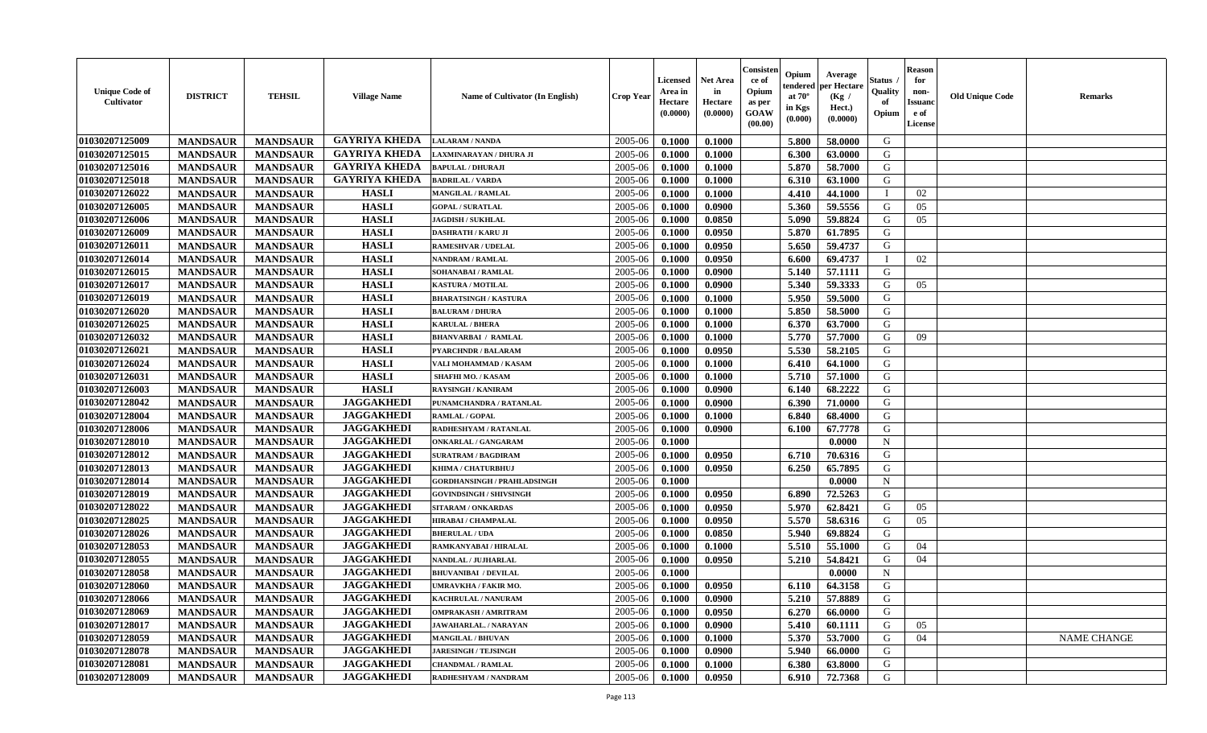| <b>Unique Code of</b><br><b>Cultivator</b> | <b>DISTRICT</b> | <b>TEHSIL</b>   | <b>Village Name</b>  | Name of Cultivator (In English)    | <b>Crop Year</b> | <b>Licensed</b><br>Area in<br>Hectare<br>(0.0000) | <b>Net Area</b><br>in<br>Hectare<br>(0.0000) | Consisteı<br>ce of<br>Opium<br>as per<br><b>GOAW</b><br>(00.00) | Opium<br>endered<br>at $70^\circ$<br>in Kgs<br>$(\mathbf{0.000})$ | Average<br>per Hectare<br>(Kg /<br>Hect.)<br>(0.0000) | Status<br>Quality<br>of<br>Opium | Reason<br>for<br>non-<br>Issuan<br>e of<br>License | <b>Old Unique Code</b> | <b>Remarks</b>     |
|--------------------------------------------|-----------------|-----------------|----------------------|------------------------------------|------------------|---------------------------------------------------|----------------------------------------------|-----------------------------------------------------------------|-------------------------------------------------------------------|-------------------------------------------------------|----------------------------------|----------------------------------------------------|------------------------|--------------------|
| 01030207125009                             | <b>MANDSAUR</b> | <b>MANDSAUR</b> | <b>GAYRIYA KHEDA</b> | <b>LALARAM / NANDA</b>             | 2005-06          | 0.1000                                            | 0.1000                                       |                                                                 | 5.800                                                             | 58.0000                                               | G                                |                                                    |                        |                    |
| 01030207125015                             | <b>MANDSAUR</b> | <b>MANDSAUR</b> | <b>GAYRIYA KHEDA</b> | AXMINARAYAN / DHURA JI             | 2005-06          | 0.1000                                            | 0.1000                                       |                                                                 | 6.300                                                             | 63.0000                                               | G                                |                                                    |                        |                    |
| 01030207125016                             | <b>MANDSAUR</b> | <b>MANDSAUR</b> | <b>GAYRIYA KHEDA</b> | <b>BAPULAL / DHURAJI</b>           | 2005-06          | 0.1000                                            | 0.1000                                       |                                                                 | 5.870                                                             | 58.7000                                               | G                                |                                                    |                        |                    |
| 01030207125018                             | <b>MANDSAUR</b> | <b>MANDSAUR</b> | <b>GAYRIYA KHEDA</b> | <b>BADRILAL / VARDA</b>            | 2005-06          | 0.1000                                            | 0.1000                                       |                                                                 | 6.310                                                             | 63.1000                                               | G                                |                                                    |                        |                    |
| 01030207126022                             | <b>MANDSAUR</b> | <b>MANDSAUR</b> | <b>HASLI</b>         | MANGILAL / RAMLAL                  | 2005-06          | 0.1000                                            | 0.1000                                       |                                                                 | 4.410                                                             | 44.1000                                               |                                  | 02                                                 |                        |                    |
| 01030207126005                             | <b>MANDSAUR</b> | <b>MANDSAUR</b> | <b>HASLI</b>         | <b>GOPAL / SURATLAL</b>            | 2005-06          | 0.1000                                            | 0.0900                                       |                                                                 | 5.360                                                             | 59.5556                                               | G                                | 05                                                 |                        |                    |
| 01030207126006                             | <b>MANDSAUR</b> | <b>MANDSAUR</b> | <b>HASLI</b>         | <b>JAGDISH / SUKHLAL</b>           | 2005-06          | 0.1000                                            | 0.0850                                       |                                                                 | 5.090                                                             | 59.8824                                               | G                                | 05                                                 |                        |                    |
| 01030207126009                             | <b>MANDSAUR</b> | <b>MANDSAUR</b> | <b>HASLI</b>         | <b>DASHRATH / KARU JI</b>          | 2005-06          | 0.1000                                            | 0.0950                                       |                                                                 | 5.870                                                             | 61.7895                                               | G                                |                                                    |                        |                    |
| 01030207126011                             | <b>MANDSAUR</b> | <b>MANDSAUR</b> | <b>HASLI</b>         | <b>RAMESHVAR / UDELAL</b>          | 2005-06          | 0.1000                                            | 0.0950                                       |                                                                 | 5.650                                                             | 59.4737                                               | G                                |                                                    |                        |                    |
| 01030207126014                             | <b>MANDSAUR</b> | <b>MANDSAUR</b> | <b>HASLI</b>         | NANDRAM / RAMLAL                   | 2005-06          | 0.1000                                            | 0.0950                                       |                                                                 | 6.600                                                             | 69.4737                                               | $\mathbf I$                      | 02                                                 |                        |                    |
| 01030207126015                             | <b>MANDSAUR</b> | <b>MANDSAUR</b> | <b>HASLI</b>         | SOHANABAI / RAMLAL                 | 2005-06          | 0.1000                                            | 0.0900                                       |                                                                 | 5.140                                                             | 57.1111                                               | G                                |                                                    |                        |                    |
| 01030207126017                             | <b>MANDSAUR</b> | <b>MANDSAUR</b> | <b>HASLI</b>         | <b>KASTURA / MOTILAL</b>           | 2005-06          | 0.1000                                            | 0.0900                                       |                                                                 | 5.340                                                             | 59.3333                                               | G                                | 05                                                 |                        |                    |
| 01030207126019                             | <b>MANDSAUR</b> | <b>MANDSAUR</b> | <b>HASLI</b>         | <b>BHARATSINGH / KASTURA</b>       | 2005-06          | 0.1000                                            | 0.1000                                       |                                                                 | 5.950                                                             | 59.5000                                               | G                                |                                                    |                        |                    |
| 01030207126020                             | <b>MANDSAUR</b> | <b>MANDSAUR</b> | <b>HASLI</b>         | <b>BALURAM / DHURA</b>             | 2005-06          | 0.1000                                            | 0.1000                                       |                                                                 | 5.850                                                             | 58.5000                                               | G                                |                                                    |                        |                    |
| 01030207126025                             | <b>MANDSAUR</b> | <b>MANDSAUR</b> | <b>HASLI</b>         | <b>KARULAL / BHERA</b>             | 2005-06          | 0.1000                                            | 0.1000                                       |                                                                 | 6.370                                                             | 63.7000                                               | G                                |                                                    |                        |                    |
| 01030207126032                             | <b>MANDSAUR</b> | <b>MANDSAUR</b> | <b>HASLI</b>         | <b>BHANVARBAI / RAMLAL</b>         | 2005-06          | 0.1000                                            | 0.1000                                       |                                                                 | 5.770                                                             | 57.7000                                               | G                                | 09                                                 |                        |                    |
| 01030207126021                             | <b>MANDSAUR</b> | <b>MANDSAUR</b> | <b>HASLI</b>         | <b>PYARCHNDR / BALARAM</b>         | 2005-06          | 0.1000                                            | 0.0950                                       |                                                                 | 5.530                                                             | 58.2105                                               | G                                |                                                    |                        |                    |
| 01030207126024                             | <b>MANDSAUR</b> | <b>MANDSAUR</b> | <b>HASLI</b>         | VALI MOHAMMAD / KASAM              | 2005-06          | 0.1000                                            | 0.1000                                       |                                                                 | 6.410                                                             | 64.1000                                               | G                                |                                                    |                        |                    |
| 01030207126031                             | <b>MANDSAUR</b> | <b>MANDSAUR</b> | <b>HASLI</b>         | <b>SHAFHI MO. / KASAM</b>          | 2005-06          | 0.1000                                            | 0.1000                                       |                                                                 | 5.710                                                             | 57.1000                                               | G                                |                                                    |                        |                    |
| 01030207126003                             | <b>MANDSAUR</b> | <b>MANDSAUR</b> | <b>HASLI</b>         | <b>RAYSINGH / KANIRAM</b>          | 2005-06          | 0.1000                                            | 0.0900                                       |                                                                 | 6.140                                                             | 68.2222                                               | G                                |                                                    |                        |                    |
| 01030207128042                             | <b>MANDSAUR</b> | <b>MANDSAUR</b> | <b>JAGGAKHEDI</b>    | PUNAMCHANDRA / RATANLAL            | 2005-06          | 0.1000                                            | 0.0900                                       |                                                                 | 6.390                                                             | 71.0000                                               | G                                |                                                    |                        |                    |
| 01030207128004                             | <b>MANDSAUR</b> | <b>MANDSAUR</b> | <b>JAGGAKHEDI</b>    | RAMLAL / GOPAL                     | 2005-06          | 0.1000                                            | 0.1000                                       |                                                                 | 6.840                                                             | 68.4000                                               | G                                |                                                    |                        |                    |
| 01030207128006                             | <b>MANDSAUR</b> | <b>MANDSAUR</b> | <b>JAGGAKHEDI</b>    | RADHESHYAM / RATANLAL              | 2005-06          | 0.1000                                            | 0.0900                                       |                                                                 | 6.100                                                             | 67.7778                                               | G                                |                                                    |                        |                    |
| 01030207128010                             | <b>MANDSAUR</b> | <b>MANDSAUR</b> | <b>JAGGAKHEDI</b>    | <b>ONKARLAL / GANGARAM</b>         | 2005-06          | 0.1000                                            |                                              |                                                                 |                                                                   | 0.0000                                                | $\mathbf N$                      |                                                    |                        |                    |
| 01030207128012                             | <b>MANDSAUR</b> | <b>MANDSAUR</b> | <b>JAGGAKHEDI</b>    | <b>SURATRAM / BAGDIRAM</b>         | 2005-06          | 0.1000                                            | 0.0950                                       |                                                                 | 6.710                                                             | 70.6316                                               | G                                |                                                    |                        |                    |
| 01030207128013                             | <b>MANDSAUR</b> | <b>MANDSAUR</b> | <b>JAGGAKHEDI</b>    | KHIMA / CHATURBHUJ                 | 2005-06          | 0.1000                                            | 0.0950                                       |                                                                 | 6.250                                                             | 65.7895                                               | G                                |                                                    |                        |                    |
| 01030207128014                             | <b>MANDSAUR</b> | <b>MANDSAUR</b> | <b>JAGGAKHEDI</b>    | <b>GORDHANSINGH / PRAHLADSINGH</b> | 2005-06          | 0.1000                                            |                                              |                                                                 |                                                                   | 0.0000                                                | $\mathbf N$                      |                                                    |                        |                    |
| 01030207128019                             | <b>MANDSAUR</b> | <b>MANDSAUR</b> | <b>JAGGAKHEDI</b>    | <b>GOVINDSINGH / SHIVSINGH</b>     | 2005-06          | 0.1000                                            | 0.0950                                       |                                                                 | 6.890                                                             | 72.5263                                               | G                                |                                                    |                        |                    |
| 01030207128022                             | <b>MANDSAUR</b> | <b>MANDSAUR</b> | <b>JAGGAKHEDI</b>    | <b>SITARAM / ONKARDAS</b>          | 2005-06          | 0.1000                                            | 0.0950                                       |                                                                 | 5.970                                                             | 62.8421                                               | G                                | 05                                                 |                        |                    |
| 01030207128025                             | <b>MANDSAUR</b> | <b>MANDSAUR</b> | <b>JAGGAKHEDI</b>    | HIRABAI / CHAMPALAL                | 2005-06          | 0.1000                                            | 0.0950                                       |                                                                 | 5.570                                                             | 58.6316                                               | G                                | 05                                                 |                        |                    |
| 01030207128026                             | <b>MANDSAUR</b> | <b>MANDSAUR</b> | <b>JAGGAKHEDI</b>    | <b>BHERULAL / UDA</b>              | 2005-06          | 0.1000                                            | 0.0850                                       |                                                                 | 5.940                                                             | 69.8824                                               | G                                |                                                    |                        |                    |
| 01030207128053                             | <b>MANDSAUR</b> | <b>MANDSAUR</b> | <b>JAGGAKHEDI</b>    | RAMKANYABAI / HIRALAL              | 2005-06          | 0.1000                                            | 0.1000                                       |                                                                 | 5.510                                                             | 55.1000                                               | G                                | 04                                                 |                        |                    |
| 01030207128055                             | <b>MANDSAUR</b> | <b>MANDSAUR</b> | <b>JAGGAKHEDI</b>    | NANDLAL / JUJHARLAL                | 2005-06          | 0.1000                                            | 0.0950                                       |                                                                 | 5.210                                                             | 54.8421                                               | G                                | 04                                                 |                        |                    |
| 01030207128058                             | <b>MANDSAUR</b> | <b>MANDSAUR</b> | <b>JAGGAKHEDI</b>    | <b>BHUVANIBAI / DEVILAL</b>        | 2005-06          | 0.1000                                            |                                              |                                                                 |                                                                   | 0.0000                                                | $\mathbf N$                      |                                                    |                        |                    |
| 01030207128060                             | <b>MANDSAUR</b> | <b>MANDSAUR</b> | <b>JAGGAKHEDI</b>    | <b>JMRAVKHA / FAKIR MO.</b>        | 2005-06          | 0.1000                                            | 0.0950                                       |                                                                 | 6.110                                                             | 64.3158                                               | G                                |                                                    |                        |                    |
| <b>01030207128066</b>                      | <b>MANDSAUR</b> | <b>MANDSAUR</b> | <b>JAGGAKHEDI</b>    | KACHRULAL / NANURAM                | $2005 - 06$      | 0.1000                                            | 0.0900                                       |                                                                 |                                                                   | $5.210$   57.8889                                     | G                                |                                                    |                        |                    |
| 01030207128069                             | <b>MANDSAUR</b> | <b>MANDSAUR</b> | <b>JAGGAKHEDI</b>    | <b>OMPRAKASH / AMRITRAM</b>        | 2005-06          | 0.1000                                            | 0.0950                                       |                                                                 | 6.270                                                             | 66.0000                                               | G                                |                                                    |                        |                    |
| 01030207128017                             | <b>MANDSAUR</b> | <b>MANDSAUR</b> | <b>JAGGAKHEDI</b>    | <b>JAWAHARLAL. / NARAYAN</b>       | 2005-06          | 0.1000                                            | 0.0900                                       |                                                                 | 5.410                                                             | 60.1111                                               | G                                | 05                                                 |                        |                    |
| 01030207128059                             | <b>MANDSAUR</b> | <b>MANDSAUR</b> | <b>JAGGAKHEDI</b>    | <b>MANGILAL / BHUVAN</b>           | 2005-06          | 0.1000                                            | 0.1000                                       |                                                                 | 5.370                                                             | 53.7000                                               | G                                | 04                                                 |                        | <b>NAME CHANGE</b> |
| 01030207128078                             | <b>MANDSAUR</b> | <b>MANDSAUR</b> | <b>JAGGAKHEDI</b>    | <b>JARESINGH / TEJSINGH</b>        | 2005-06          | 0.1000                                            | 0.0900                                       |                                                                 | 5.940                                                             | 66.0000                                               | G                                |                                                    |                        |                    |
| 01030207128081                             | <b>MANDSAUR</b> | <b>MANDSAUR</b> | <b>JAGGAKHEDI</b>    | <b>CHANDMAL / RAMLAL</b>           | 2005-06          | 0.1000                                            | 0.1000                                       |                                                                 | 6.380                                                             | 63.8000                                               | G                                |                                                    |                        |                    |
| 01030207128009                             | <b>MANDSAUR</b> | <b>MANDSAUR</b> | <b>JAGGAKHEDI</b>    | RADHESHYAM / NANDRAM               | 2005-06          | 0.1000                                            | 0.0950                                       |                                                                 | 6.910                                                             | 72.7368                                               | G                                |                                                    |                        |                    |
|                                            |                 |                 |                      |                                    |                  |                                                   |                                              |                                                                 |                                                                   |                                                       |                                  |                                                    |                        |                    |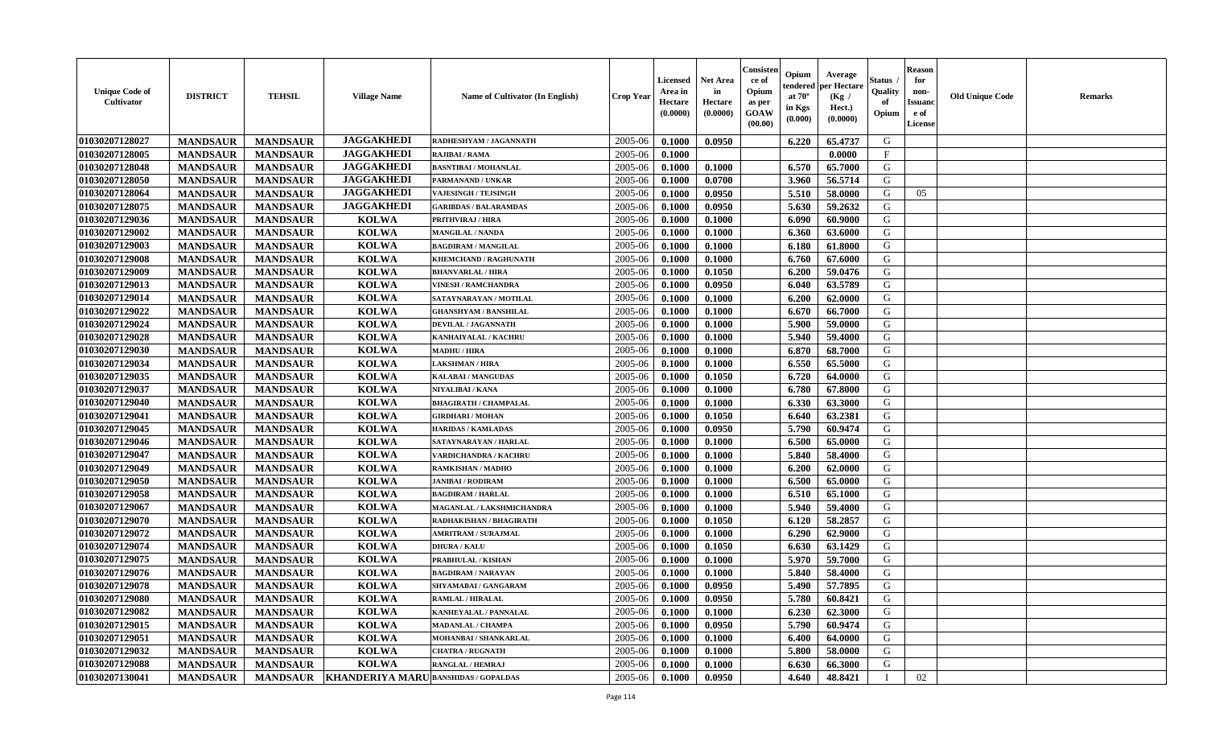| <b>Unique Code of</b><br><b>Cultivator</b> | <b>DISTRICT</b> | <b>TEHSIL</b>   | <b>Village Name</b>                             | Name of Cultivator (In English) | <b>Crop Year</b> | <b>Licensed</b><br>Area in<br>Hectare<br>(0.0000) | <b>Net Area</b><br>in<br>Hectare<br>(0.0000) | Consisteı<br>ce of<br>Opium<br>as per<br><b>GOAW</b><br>(00.00) | Opium<br>endered<br>at $70^\circ$<br>in Kgs<br>$(\mathbf{0.000})$ | Average<br>per Hectare<br>(Kg /<br>Hect.)<br>(0.0000) | Status<br>Quality<br>of<br>Opium | Reason<br>for<br>non-<br>Issuan<br>e of<br>License | <b>Old Unique Code</b> | <b>Remarks</b> |
|--------------------------------------------|-----------------|-----------------|-------------------------------------------------|---------------------------------|------------------|---------------------------------------------------|----------------------------------------------|-----------------------------------------------------------------|-------------------------------------------------------------------|-------------------------------------------------------|----------------------------------|----------------------------------------------------|------------------------|----------------|
| 01030207128027                             | <b>MANDSAUR</b> | <b>MANDSAUR</b> | <b>JAGGAKHEDI</b>                               | RADHESHYAM / JAGANNATH          | 2005-06          | 0.1000                                            | 0.0950                                       |                                                                 | 6.220                                                             | 65.4737                                               | G                                |                                                    |                        |                |
| 01030207128005                             | <b>MANDSAUR</b> | <b>MANDSAUR</b> | <b>JAGGAKHEDI</b>                               | RAJIBAI / RAMA                  | 2005-06          | 0.1000                                            |                                              |                                                                 |                                                                   | 0.0000                                                | $\mathbf{F}$                     |                                                    |                        |                |
| 01030207128048                             | <b>MANDSAUR</b> | <b>MANDSAUR</b> | <b>JAGGAKHEDI</b>                               | <b>BASNTIBAI / MOHANLAL</b>     | 2005-06          | 0.1000                                            | 0.1000                                       |                                                                 | 6.570                                                             | 65.7000                                               | G                                |                                                    |                        |                |
| 01030207128050                             | <b>MANDSAUR</b> | <b>MANDSAUR</b> | <b>JAGGAKHEDI</b>                               | PARMANAND / UNKAR               | 2005-06          | 0.1000                                            | 0.0700                                       |                                                                 | 3.960                                                             | 56.5714                                               | G                                |                                                    |                        |                |
| 01030207128064                             | <b>MANDSAUR</b> | <b>MANDSAUR</b> | <b>JAGGAKHEDI</b>                               | <b>VAJESINGH / TEJSINGH</b>     | 2005-06          | 0.1000                                            | 0.0950                                       |                                                                 | 5.510                                                             | 58.0000                                               | G                                | 05                                                 |                        |                |
| 01030207128075                             | <b>MANDSAUR</b> | <b>MANDSAUR</b> | <b>JAGGAKHEDI</b>                               | <b>GARIBDAS / BALARAMDAS</b>    | 2005-06          | 0.1000                                            | 0.0950                                       |                                                                 | 5.630                                                             | 59.2632                                               | G                                |                                                    |                        |                |
| 01030207129036                             | <b>MANDSAUR</b> | <b>MANDSAUR</b> | <b>KOLWA</b>                                    | PRITHVIRAJ / HIRA               | 2005-06          | 0.1000                                            | 0.1000                                       |                                                                 | 6.090                                                             | 60.9000                                               | G                                |                                                    |                        |                |
| 01030207129002                             | <b>MANDSAUR</b> | <b>MANDSAUR</b> | <b>KOLWA</b>                                    | <b>MANGILAL / NANDA</b>         | 2005-06          | 0.1000                                            | 0.1000                                       |                                                                 | 6.360                                                             | 63.6000                                               | G                                |                                                    |                        |                |
| 01030207129003                             | <b>MANDSAUR</b> | <b>MANDSAUR</b> | <b>KOLWA</b>                                    | <b>BAGDIRAM / MANGILAL</b>      | 2005-06          | 0.1000                                            | 0.1000                                       |                                                                 | 6.180                                                             | 61.8000                                               | G                                |                                                    |                        |                |
| 01030207129008                             | <b>MANDSAUR</b> | <b>MANDSAUR</b> | <b>KOLWA</b>                                    | KHEMCHAND / RAGHUNATH           | 2005-06          | 0.1000                                            | 0.1000                                       |                                                                 | 6.760                                                             | 67.6000                                               | G                                |                                                    |                        |                |
| 01030207129009                             | <b>MANDSAUR</b> | <b>MANDSAUR</b> | <b>KOLWA</b>                                    | <b>BHANVARLAL / HIRA</b>        | 2005-06          | 0.1000                                            | 0.1050                                       |                                                                 | 6.200                                                             | 59.0476                                               | G                                |                                                    |                        |                |
| 01030207129013                             | <b>MANDSAUR</b> | <b>MANDSAUR</b> | <b>KOLWA</b>                                    | <b>VINESH / RAMCHANDRA</b>      | 2005-06          | 0.1000                                            | 0.0950                                       |                                                                 | 6.040                                                             | 63.5789                                               | G                                |                                                    |                        |                |
| 01030207129014                             | <b>MANDSAUR</b> | <b>MANDSAUR</b> | <b>KOLWA</b>                                    | SATAYNARAYAN / MOTILAL          | 2005-06          | 0.1000                                            | 0.1000                                       |                                                                 | 6.200                                                             | 62.0000                                               | G                                |                                                    |                        |                |
| 01030207129022                             | <b>MANDSAUR</b> | <b>MANDSAUR</b> | <b>KOLWA</b>                                    | <b>GHANSHYAM / BANSHILAL</b>    | 2005-06          | 0.1000                                            | 0.1000                                       |                                                                 | 6.670                                                             | 66.7000                                               | G                                |                                                    |                        |                |
| 01030207129024                             | <b>MANDSAUR</b> | <b>MANDSAUR</b> | <b>KOLWA</b>                                    | DEVILAL / JAGANNATH             | 2005-06          | 0.1000                                            | 0.1000                                       |                                                                 | 5.900                                                             | 59.0000                                               | G                                |                                                    |                        |                |
| 01030207129028                             | <b>MANDSAUR</b> | <b>MANDSAUR</b> | <b>KOLWA</b>                                    | KANHAIYALAL / KACHRU            | 2005-06          | 0.1000                                            | 0.1000                                       |                                                                 | 5.940                                                             | 59.4000                                               | G                                |                                                    |                        |                |
| 01030207129030                             | <b>MANDSAUR</b> | <b>MANDSAUR</b> | <b>KOLWA</b>                                    | <b>MADHU / HIRA</b>             | 2005-06          | 0.1000                                            | 0.1000                                       |                                                                 | 6.870                                                             | 68.7000                                               | G                                |                                                    |                        |                |
| 01030207129034                             | <b>MANDSAUR</b> | <b>MANDSAUR</b> | <b>KOLWA</b>                                    | <b>LAKSHMAN / HIRA</b>          | 2005-06          | 0.1000                                            | 0.1000                                       |                                                                 | 6.550                                                             | 65.5000                                               | G                                |                                                    |                        |                |
| 01030207129035                             | <b>MANDSAUR</b> | <b>MANDSAUR</b> | <b>KOLWA</b>                                    | <b>KALABAI/MANGUDAS</b>         | 2005-06          | 0.1000                                            | 0.1050                                       |                                                                 | 6.720                                                             | 64.0000                                               | G                                |                                                    |                        |                |
| 01030207129037                             | <b>MANDSAUR</b> | <b>MANDSAUR</b> | <b>KOLWA</b>                                    | NIYALIBAI / KANA                | 2005-06          | 0.1000                                            | 0.1000                                       |                                                                 | 6.780                                                             | 67.8000                                               | G                                |                                                    |                        |                |
| 01030207129040                             | <b>MANDSAUR</b> | <b>MANDSAUR</b> | <b>KOLWA</b>                                    | <b>BHAGIRATH / CHAMPALAL</b>    | 2005-06          | 0.1000                                            | 0.1000                                       |                                                                 | 6.330                                                             | 63.3000                                               | G                                |                                                    |                        |                |
| 01030207129041                             | <b>MANDSAUR</b> | <b>MANDSAUR</b> | <b>KOLWA</b>                                    | <b>GIRDHARI / MOHAN</b>         | 2005-06          | 0.1000                                            | 0.1050                                       |                                                                 | 6.640                                                             | 63.2381                                               | G                                |                                                    |                        |                |
| 01030207129045                             | <b>MANDSAUR</b> | <b>MANDSAUR</b> | <b>KOLWA</b>                                    | <b>HARIDAS / KAMLADAS</b>       | 2005-06          | 0.1000                                            | 0.0950                                       |                                                                 | 5.790                                                             | 60.9474                                               | G                                |                                                    |                        |                |
| 01030207129046                             | <b>MANDSAUR</b> | <b>MANDSAUR</b> | <b>KOLWA</b>                                    | SATAYNARAYAN / HARLAL           | 2005-06          | 0.1000                                            | 0.1000                                       |                                                                 | 6.500                                                             | 65.0000                                               | G                                |                                                    |                        |                |
| 01030207129047                             | <b>MANDSAUR</b> | <b>MANDSAUR</b> | <b>KOLWA</b>                                    | VARDICHANDRA / KACHRU           | 2005-06          | 0.1000                                            | 0.1000                                       |                                                                 | 5.840                                                             | 58.4000                                               | G                                |                                                    |                        |                |
| 01030207129049                             | <b>MANDSAUR</b> | <b>MANDSAUR</b> | <b>KOLWA</b>                                    | RAMKISHAN / MADHO               | 2005-06          | 0.1000                                            | 0.1000                                       |                                                                 | 6.200                                                             | 62.0000                                               | G                                |                                                    |                        |                |
| 01030207129050                             | <b>MANDSAUR</b> | <b>MANDSAUR</b> | <b>KOLWA</b>                                    | <b>JANIBAI / RODIRAM</b>        | 2005-06          | 0.1000                                            | 0.1000                                       |                                                                 | 6.500                                                             | 65.0000                                               | G                                |                                                    |                        |                |
| 01030207129058                             | <b>MANDSAUR</b> | <b>MANDSAUR</b> | <b>KOLWA</b>                                    | <b>BAGDIRAM / HARLAL</b>        | 2005-06          | 0.1000                                            | 0.1000                                       |                                                                 | 6.510                                                             | 65.1000                                               | G                                |                                                    |                        |                |
| 01030207129067                             | <b>MANDSAUR</b> | <b>MANDSAUR</b> | <b>KOLWA</b>                                    | MAGANLAL / LAKSHMICHANDRA       | 2005-06          | 0.1000                                            | 0.1000                                       |                                                                 | 5.940                                                             | 59.4000                                               | G                                |                                                    |                        |                |
| 01030207129070                             | <b>MANDSAUR</b> | <b>MANDSAUR</b> | <b>KOLWA</b>                                    | RADHAKISHAN / BHAGIRATH         | 2005-06          | 0.1000                                            | 0.1050                                       |                                                                 | 6.120                                                             | 58.2857                                               | G                                |                                                    |                        |                |
| 01030207129072                             | <b>MANDSAUR</b> | <b>MANDSAUR</b> | <b>KOLWA</b>                                    | <b>AMRITRAM / SURAJMAL</b>      | 2005-06          | 0.1000                                            | 0.1000                                       |                                                                 | 6.290                                                             | 62.9000                                               | G                                |                                                    |                        |                |
| 01030207129074                             | <b>MANDSAUR</b> | <b>MANDSAUR</b> | <b>KOLWA</b>                                    | <b>DHURA / KALU</b>             | 2005-06          | 0.1000                                            | 0.1050                                       |                                                                 | 6.630                                                             | 63.1429                                               | G                                |                                                    |                        |                |
| 01030207129075                             | <b>MANDSAUR</b> | <b>MANDSAUR</b> | <b>KOLWA</b>                                    | PRABHULAL / KISHAN              | 2005-06          | 0.1000                                            | 0.1000                                       |                                                                 | 5.970                                                             | 59.7000                                               | G                                |                                                    |                        |                |
| 01030207129076                             | <b>MANDSAUR</b> | <b>MANDSAUR</b> | <b>KOLWA</b>                                    | <b>BAGDIRAM / NARAYAN</b>       | 2005-06          | 0.1000                                            | 0.1000                                       |                                                                 | 5.840                                                             | 58.4000                                               | G                                |                                                    |                        |                |
| 01030207129078                             | <b>MANDSAUR</b> | <b>MANDSAUR</b> | <b>KOLWA</b>                                    | <b>SHYAMABAI/GANGARAM</b>       | 2005-06          | 0.1000                                            | 0.0950                                       |                                                                 | 5.490                                                             | 57.7895                                               | G                                |                                                    |                        |                |
| 01030207129080                             | <b>MANDSAUR</b> | <b>MANDSAUR</b> | <b>KOLWA</b>                                    | <b>RAMLAL / HIRALAL</b>         | $2005 - 06$      | 0.1000                                            | 0.0950                                       |                                                                 | 5.780                                                             | 60.8421                                               | G                                |                                                    |                        |                |
| 01030207129082                             | <b>MANDSAUR</b> | <b>MANDSAUR</b> | <b>KOLWA</b>                                    | <b>KANHEYALAL / PANNALAL</b>    | 2005-06          | 0.1000                                            | 0.1000                                       |                                                                 | 6.230                                                             | 62.3000                                               | G                                |                                                    |                        |                |
| 01030207129015                             | <b>MANDSAUR</b> | <b>MANDSAUR</b> | <b>KOLWA</b>                                    | <b>MADANLAL / CHAMPA</b>        | 2005-06          | 0.1000                                            | 0.0950                                       |                                                                 | 5.790                                                             | 60.9474                                               | G                                |                                                    |                        |                |
| 01030207129051                             | <b>MANDSAUR</b> | <b>MANDSAUR</b> | <b>KOLWA</b>                                    | MOHANBAI / SHANKARLAL           | 2005-06          | 0.1000                                            | 0.1000                                       |                                                                 | 6.400                                                             | 64.0000                                               | G                                |                                                    |                        |                |
| 01030207129032                             | <b>MANDSAUR</b> | <b>MANDSAUR</b> | <b>KOLWA</b>                                    | <b>CHATRA / RUGNATH</b>         | 2005-06          | 0.1000                                            | 0.1000                                       |                                                                 | 5.800                                                             | 58.0000                                               | G                                |                                                    |                        |                |
| 01030207129088                             | <b>MANDSAUR</b> | <b>MANDSAUR</b> | <b>KOLWA</b>                                    | <b>RANGLAL / HEMRAJ</b>         | 2005-06          | 0.1000                                            | 0.1000                                       |                                                                 | 6.630                                                             | 66.3000                                               | G                                |                                                    |                        |                |
| 01030207130041                             | <b>MANDSAUR</b> |                 | MANDSAUR   KHANDERIYA MARU BANSHIDAS / GOPALDAS |                                 | 2005-06          | 0.1000                                            | 0.0950                                       |                                                                 | 4.640                                                             | 48.8421                                               | $\mathbf I$                      | 02                                                 |                        |                |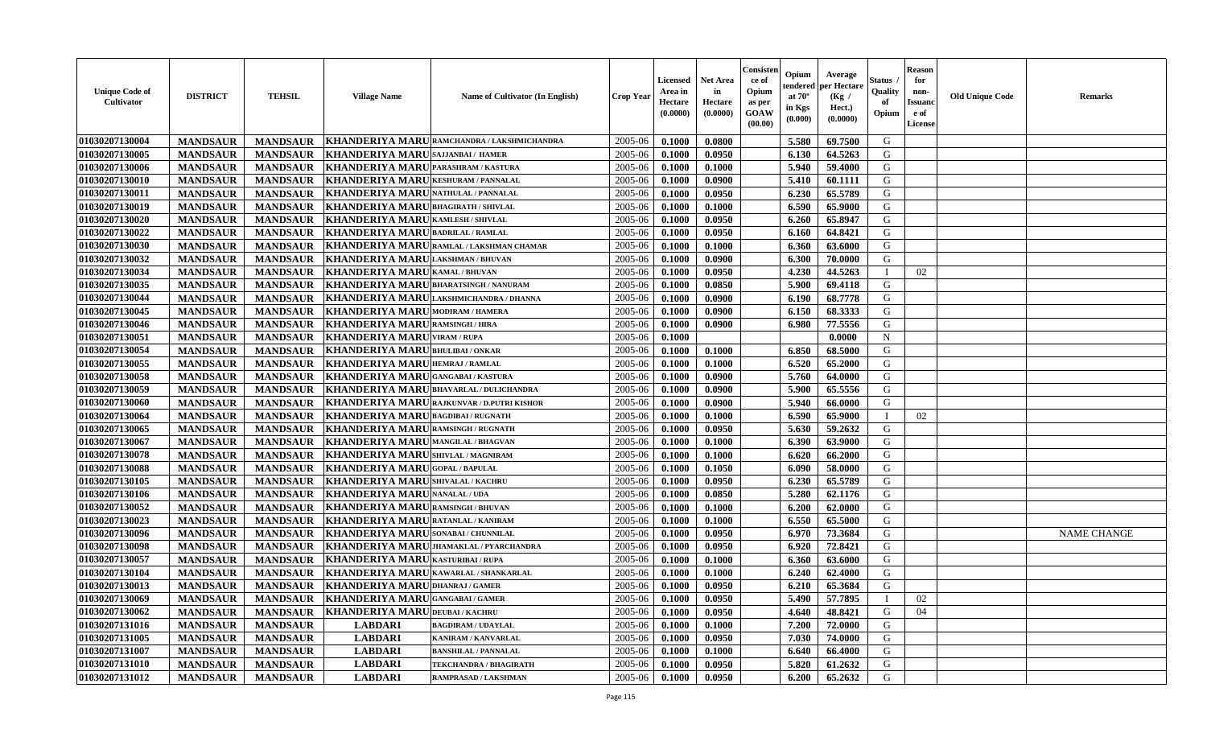| <b>Unique Code of</b><br>Cultivator | <b>DISTRICT</b> | <b>TEHSIL</b>   | <b>Village Name</b>                         | Name of Cultivator (In English) | <b>Crop Year</b> | Licensed<br>Area in<br>Hectare<br>(0.0000) | <b>Net Area</b><br>in<br>Hectare<br>(0.0000) | Consister<br>ce of<br>Opium<br>as per<br>GOAW<br>(00.00) | Opium<br>tendered<br>at $70^\circ$<br>in Kgs<br>(0.000) | Average<br>per Hectare<br>(Kg /<br>Hect.)<br>(0.0000) | Status<br>Quality<br>of<br>Opium | Reason<br>for<br>non-<br>Issuan<br>e of<br>License | <b>Old Unique Code</b> | <b>Remarks</b>     |
|-------------------------------------|-----------------|-----------------|---------------------------------------------|---------------------------------|------------------|--------------------------------------------|----------------------------------------------|----------------------------------------------------------|---------------------------------------------------------|-------------------------------------------------------|----------------------------------|----------------------------------------------------|------------------------|--------------------|
| 01030207130004                      | <b>MANDSAUR</b> | <b>MANDSAUR</b> | <b>KHANDERIYA MARU</b>                      | RAMCHANDRA / LAKSHMICHANDRA     | 2005-06          | 0.1000                                     | 0.0800                                       |                                                          | 5.580                                                   | 69.7500                                               | G                                |                                                    |                        |                    |
| 01030207130005                      | <b>MANDSAUR</b> | <b>MANDSAUR</b> | <b>KHANDERIYA MARU</b>                      | <b>SAJJANBAI/ HAMER</b>         | 2005-06          | 0.1000                                     | 0.0950                                       |                                                          | 6.130                                                   | 64.5263                                               | G                                |                                                    |                        |                    |
| 01030207130006                      | <b>MANDSAUR</b> | <b>MANDSAUR</b> | <b>KHANDERIYA MARU</b>                      | PARASHRAM / KASTURA             | 2005-06          | 0.1000                                     | 0.1000                                       |                                                          | 5.940                                                   | 59.4000                                               | G                                |                                                    |                        |                    |
| 01030207130010                      | <b>MANDSAUR</b> | <b>MANDSAUR</b> | <b>KHANDERIYA MARI</b>                      | <b>KESHURAM / PANNALAL</b>      | 2005-06          | 0.1000                                     | 0.0900                                       |                                                          | 5.410                                                   | 60.1111                                               | G                                |                                                    |                        |                    |
| 01030207130011                      | <b>MANDSAUR</b> | <b>MANDSAUR</b> | <b>KHANDERIYA MARU</b>                      | <b>NATHULAL / PANNALAL</b>      | 2005-06          | 0.1000                                     | 0.0950                                       |                                                          | 6.230                                                   | 65.5789                                               | G                                |                                                    |                        |                    |
| 01030207130019                      | <b>MANDSAUR</b> | <b>MANDSAUR</b> | <b>KHANDERIYA MARU</b>                      | <b>BHAGIRATH / SHIVLAL</b>      | 2005-06          | 0.1000                                     | 0.1000                                       |                                                          | 6.590                                                   | 65.9000                                               | G                                |                                                    |                        |                    |
| 01030207130020                      | <b>MANDSAUR</b> | <b>MANDSAUR</b> | <b>KHANDERIYA MARU</b>                      | <b>KAMLESH / SHIVLAL</b>        | 2005-06          | 0.1000                                     | 0.0950                                       |                                                          | 6.260                                                   | 65.8947                                               | G                                |                                                    |                        |                    |
| 01030207130022                      | <b>MANDSAUR</b> | <b>MANDSAUR</b> | <b>KHANDERIYA MARU</b>                      | <b>BADRILAL / RAMLAL</b>        | 2005-06          | 0.1000                                     | 0.0950                                       |                                                          | 6.160                                                   | 64.8421                                               | G                                |                                                    |                        |                    |
| 01030207130030                      | <b>MANDSAUR</b> | <b>MANDSAUR</b> | <b>KHANDERIYA MARI</b>                      | RAMLAL / LAKSHMAN CHAMAR        | 2005-06          | 0.1000                                     | 0.1000                                       |                                                          | 6.360                                                   | 63.6000                                               | G                                |                                                    |                        |                    |
| 01030207130032                      | <b>MANDSAUR</b> | <b>MANDSAUR</b> | <b>KHANDERIYA MARU</b>                      | LAKSHMAN / BHUVAN               | 2005-06          | 0.1000                                     | 0.0900                                       |                                                          | 6.300                                                   | 70.0000                                               | G                                |                                                    |                        |                    |
| 01030207130034                      | <b>MANDSAUR</b> | <b>MANDSAUR</b> | <b>KHANDERIYA MARU</b>                      | <b>KAMAL / BHUVAN</b>           | 2005-06          | 0.1000                                     | 0.0950                                       |                                                          | 4.230                                                   | 44.5263                                               |                                  | 02                                                 |                        |                    |
| 01030207130035                      | <b>MANDSAUR</b> | <b>MANDSAUR</b> | <b>KHANDERIYA MARU</b>                      | <b>BHARATSINGH / NANURAM</b>    | 2005-06          | 0.1000                                     | 0.0850                                       |                                                          | 5.900                                                   | 69.4118                                               | G                                |                                                    |                        |                    |
| 01030207130044                      | <b>MANDSAUR</b> | <b>MANDSAUR</b> | <b>KHANDERIYA MARI</b>                      | LAKSHMICHANDRA / DHANNA         | 2005-06          | 0.1000                                     | 0.0900                                       |                                                          | 6.190                                                   | 68.7778                                               | G                                |                                                    |                        |                    |
| 01030207130045                      | <b>MANDSAUR</b> | <b>MANDSAUR</b> | <b>KHANDERIYA MARU</b>                      | <b>MODIRAM / HAMERA</b>         | 2005-06          | 0.1000                                     | 0.0900                                       |                                                          | 6.150                                                   | 68.3333                                               | G                                |                                                    |                        |                    |
| 01030207130046                      | <b>MANDSAUR</b> | <b>MANDSAUR</b> | <b>KHANDERIYA MARI</b>                      | RAMSINGH / HIRA                 | 2005-06          | 0.1000                                     | 0.0900                                       |                                                          | 6.980                                                   | 77.5556                                               | G                                |                                                    |                        |                    |
| 01030207130051                      | <b>MANDSAUR</b> | <b>MANDSAUR</b> | <b>KHANDERIYA MARU VIRAM / RUPA</b>         |                                 | 2005-06          | 0.1000                                     |                                              |                                                          |                                                         | 0.0000                                                | N                                |                                                    |                        |                    |
| 01030207130054                      | <b>MANDSAUR</b> | <b>MANDSAUR</b> | <b>KHANDERIYA MARU</b>                      | <b>BHULIBAI/ONKAR</b>           | 2005-06          | 0.1000                                     | 0.1000                                       |                                                          | 6.850                                                   | 68.5000                                               | G                                |                                                    |                        |                    |
| 01030207130055                      | <b>MANDSAUR</b> | <b>MANDSAUR</b> | <b>KHANDERIYA MARU</b>                      | <b>HEMRAJ / RAMLAL</b>          | 2005-06          | 0.1000                                     | 0.1000                                       |                                                          | 6.520                                                   | 65.2000                                               | G                                |                                                    |                        |                    |
| 01030207130058                      | <b>MANDSAUR</b> | <b>MANDSAUR</b> | <b>KHANDERIYA MARU</b>                      | <b>GANGABAI/KASTURA</b>         | 2005-06          | 0.1000                                     | 0.0900                                       |                                                          | 5.760                                                   | 64.0000                                               | G                                |                                                    |                        |                    |
| 01030207130059                      | <b>MANDSAUR</b> | <b>MANDSAUR</b> | <b>KHANDERIYA MARU</b>                      | <b>BHAVARLAL / DULICHANDRA</b>  | 2005-06          | 0.1000                                     | 0.0900                                       |                                                          | 5.900                                                   | 65.5556                                               | G                                |                                                    |                        |                    |
| 01030207130060                      | <b>MANDSAUR</b> | <b>MANDSAUR</b> | <b>KHANDERIYA MARI</b>                      | RAJKUNVAR / D.PUTRI KISHOR      | 2005-06          | 0.1000                                     | 0.0900                                       |                                                          | 5.940                                                   | 66.0000                                               | G                                |                                                    |                        |                    |
| 01030207130064                      | <b>MANDSAUR</b> | <b>MANDSAUR</b> | <b>KHANDERIYA MARU</b>                      | <b>BAGDIBAI / RUGNATH</b>       | 2005-06          | 0.1000                                     | 0.1000                                       |                                                          | 6.590                                                   | 65.9000                                               |                                  | 02                                                 |                        |                    |
| 01030207130065                      | <b>MANDSAUR</b> | <b>MANDSAUR</b> | <b>KHANDERIYA MARU</b>                      | <b>RAMSINGH / RUGNATH</b>       | 2005-06          | 0.1000                                     | 0.0950                                       |                                                          | 5.630                                                   | 59.2632                                               | G                                |                                                    |                        |                    |
| 01030207130067                      | <b>MANDSAUR</b> | <b>MANDSAUR</b> | <b>KHANDERIYA MARU</b>                      | <b>MANGILAL / BHAGVAN</b>       | 2005-06          | 0.1000                                     | 0.1000                                       |                                                          | 6.390                                                   | 63.9000                                               | G                                |                                                    |                        |                    |
| 01030207130078                      | <b>MANDSAUR</b> | <b>MANDSAUR</b> | <b>KHANDERIYA MARU</b>                      | <b>SHIVLAL / MAGNIRAM</b>       | 2005-06          | 0.1000                                     | 0.1000                                       |                                                          | 6.620                                                   | 66.2000                                               | G                                |                                                    |                        |                    |
| 01030207130088                      | <b>MANDSAUR</b> | <b>MANDSAUR</b> | <b>KHANDERIYA MARI</b>                      | <b>GOPAL/BAPULAL</b>            | 2005-06          | 0.1000                                     | 0.1050                                       |                                                          | 6.090                                                   | 58.0000                                               | G                                |                                                    |                        |                    |
| 01030207130105                      | <b>MANDSAUR</b> | <b>MANDSAUR</b> | <b>KHANDERIYA MARI</b>                      | <b>SHIVALAL / KACHRU</b>        | 2005-06          | 0.1000                                     | 0.0950                                       |                                                          | 6.230                                                   | 65.5789                                               | G                                |                                                    |                        |                    |
| 01030207130106                      | <b>MANDSAUR</b> | <b>MANDSAUR</b> | <b>KHANDERIYA MARU</b>                      | <b>NANALAL / UDA</b>            | 2005-06          | 0.1000                                     | 0.0850                                       |                                                          | 5.280                                                   | 62.1176                                               | G                                |                                                    |                        |                    |
| 01030207130052                      | <b>MANDSAUR</b> | <b>MANDSAUR</b> | <b>KHANDERIYA MARU</b>                      | <b>RAMSINGH / BHUVAN</b>        | 2005-06          | 0.1000                                     | 0.1000                                       |                                                          | 6.200                                                   | 62.0000                                               | G                                |                                                    |                        |                    |
| 01030207130023                      | <b>MANDSAUR</b> | <b>MANDSAUR</b> | <b>KHANDERIYA MARU</b>                      | RATANLAL / KANIRAM              | 2005-06          | 0.1000                                     | 0.1000                                       |                                                          | 6.550                                                   | 65.5000                                               | G                                |                                                    |                        |                    |
| 01030207130096                      | <b>MANDSAUR</b> | <b>MANDSAUR</b> | <b>KHANDERIYA MARU</b>                      | SONABAI / CHUNNILAL             | 2005-06          | 0.1000                                     | 0.0950                                       |                                                          | 6.970                                                   | 73.3684                                               | G                                |                                                    |                        | <b>NAME CHANGE</b> |
| 01030207130098                      | <b>MANDSAUR</b> | <b>MANDSAUR</b> | <b>KHANDERIYA MARI</b>                      | JHAMAKLAL / PYARCHANDRA         | 2005-06          | 0.1000                                     | 0.0950                                       |                                                          | 6.920                                                   | 72.8421                                               | G                                |                                                    |                        |                    |
| 01030207130057                      | <b>MANDSAUR</b> | <b>MANDSAUR</b> | <b>KHANDERIYA MARU</b>                      | KASTURIBAI / RUPA               | 2005-06          | 0.1000                                     | 0.1000                                       |                                                          | 6.360                                                   | 63.6000                                               | G                                |                                                    |                        |                    |
| 01030207130104                      | <b>MANDSAUR</b> | <b>MANDSAUR</b> | <b>KHANDERIYA MARU</b>                      | KAWARLAL / SHANKARLAL           | 2005-06          | 0.1000                                     | 0.1000                                       |                                                          | 6.240                                                   | 62.4000                                               | G                                |                                                    |                        |                    |
| 01030207130013                      | <b>MANDSAUR</b> | <b>MANDSAUR</b> | <b>KHANDERIYA MARU</b>                      | <b>DHANRAJ / GAMER</b>          | 2005-06          | 0.1000                                     | 0.0950                                       |                                                          | 6.210                                                   | 65.3684                                               | G                                |                                                    |                        |                    |
| 01030207130069                      | <b>MANDSAUR</b> |                 | MANDSAUR   KHANDERIYA MARU GANGABAI / GAMER |                                 | 2005-06          | 0.1000                                     | 0.0950                                       |                                                          |                                                         | 5.490 57.7895                                         |                                  | 02                                                 |                        |                    |
| 01030207130062                      | <b>MANDSAUR</b> |                 | MANDSAUR KHANDERIYA MARUDEUBAI/KACHRU       |                                 | 2005-06          | 0.1000                                     | 0.0950                                       |                                                          | 4.640                                                   | 48.8421                                               | G                                | 04                                                 |                        |                    |
| 01030207131016                      | <b>MANDSAUR</b> | <b>MANDSAUR</b> | <b>LABDARI</b>                              | <b>BAGDIRAM / UDAYLAL</b>       | 2005-06          | 0.1000                                     | 0.1000                                       |                                                          | 7.200                                                   | 72.0000                                               | G                                |                                                    |                        |                    |
| 01030207131005                      | <b>MANDSAUR</b> | <b>MANDSAUR</b> | <b>LABDARI</b>                              | KANIRAM / KANVARLAL             | 2005-06          | 0.1000                                     | 0.0950                                       |                                                          | 7.030                                                   | 74.0000                                               | G                                |                                                    |                        |                    |
| 01030207131007                      | <b>MANDSAUR</b> | <b>MANDSAUR</b> | <b>LABDARI</b>                              | <b>BANSHILAL / PANNALAL</b>     | 2005-06          | 0.1000                                     | 0.1000                                       |                                                          | 6.640                                                   | 66.4000                                               | G                                |                                                    |                        |                    |
| 01030207131010                      | <b>MANDSAUR</b> | <b>MANDSAUR</b> | <b>LABDARI</b>                              | <b>TEKCHANDRA / BHAGIRATH</b>   | 2005-06          | 0.1000                                     | 0.0950                                       |                                                          | 5.820                                                   | 61.2632                                               | G                                |                                                    |                        |                    |
| 01030207131012                      | <b>MANDSAUR</b> | <b>MANDSAUR</b> | <b>LABDARI</b>                              | RAMPRASAD / LAKSHMAN            | 2005-06          | 0.1000                                     | 0.0950                                       |                                                          | 6.200                                                   | 65.2632                                               | G                                |                                                    |                        |                    |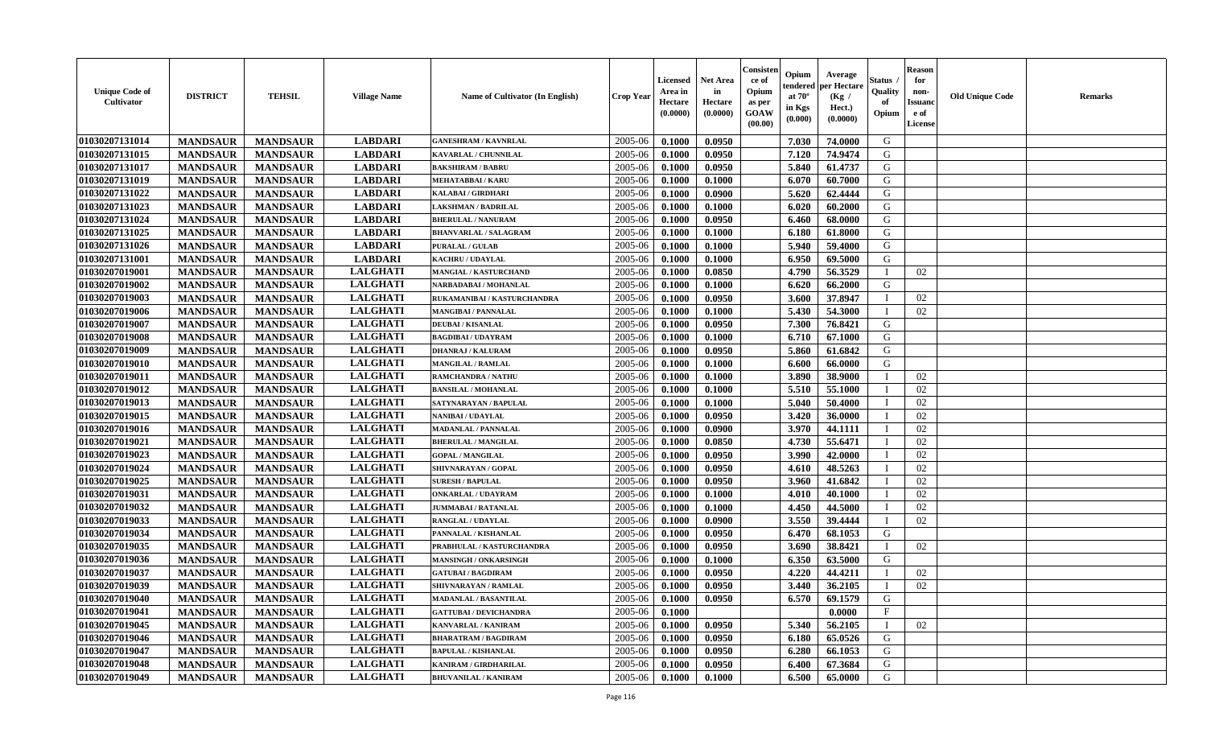| <b>Unique Code of</b><br><b>Cultivator</b> | <b>DISTRICT</b> | <b>TEHSIL</b>   | <b>Village Name</b> | <b>Name of Cultivator (In English)</b> | <b>Crop Year</b> | <b>Licensed</b><br>Area in<br>Hectare<br>(0.0000) | Net Area<br>in<br>Hectare<br>(0.0000) | Consister<br>ce of<br>Opium<br>as per<br>GOAW<br>(00.00) | Opium<br>endered<br>at $70^\circ$<br>in Kgs<br>(0.000) | Average<br>per Hectare<br>(Kg /<br>Hect.)<br>(0.0000) | Status<br>Quality<br>of<br>Opium | <b>Reason</b><br>for<br>non-<br><b>Issuand</b><br>e of<br>License | <b>Old Unique Code</b> | Remarks |
|--------------------------------------------|-----------------|-----------------|---------------------|----------------------------------------|------------------|---------------------------------------------------|---------------------------------------|----------------------------------------------------------|--------------------------------------------------------|-------------------------------------------------------|----------------------------------|-------------------------------------------------------------------|------------------------|---------|
| 01030207131014                             | <b>MANDSAUR</b> | <b>MANDSAUR</b> | <b>LABDARI</b>      | <b>GANESHRAM / KAVNRLAL</b>            | 2005-06          | 0.1000                                            | 0.0950                                |                                                          | 7.030                                                  | 74.0000                                               | G                                |                                                                   |                        |         |
| 01030207131015                             | <b>MANDSAUR</b> | <b>MANDSAUR</b> | <b>LABDARI</b>      | KAVARLAL / CHUNNILAL                   | 2005-06          | 0.1000                                            | 0.0950                                |                                                          | 7.120                                                  | 74.9474                                               | G                                |                                                                   |                        |         |
| 01030207131017                             | <b>MANDSAUR</b> | <b>MANDSAUR</b> | <b>LABDARI</b>      | <b>BAKSHIRAM / BABRU</b>               | 2005-06          | 0.1000                                            | 0.0950                                |                                                          | 5.840                                                  | 61.4737                                               | G                                |                                                                   |                        |         |
| 01030207131019                             | <b>MANDSAUR</b> | <b>MANDSAUR</b> | <b>LABDARI</b>      | <b>MEHATABBAI/KARU</b>                 | 2005-06          | 0.1000                                            | 0.1000                                |                                                          | 6.070                                                  | 60.7000                                               | G                                |                                                                   |                        |         |
| 01030207131022                             | <b>MANDSAUR</b> | <b>MANDSAUR</b> | <b>LABDARI</b>      | <b>KALABAI/GIRDHARI</b>                | 2005-06          | 0.1000                                            | 0.0900                                |                                                          | 5.620                                                  | 62.4444                                               | G                                |                                                                   |                        |         |
| 01030207131023                             | <b>MANDSAUR</b> | <b>MANDSAUR</b> | <b>LABDARI</b>      | LAKSHMAN / BADRILAL                    | 2005-06          | 0.1000                                            | 0.1000                                |                                                          | 6.020                                                  | 60.2000                                               | G                                |                                                                   |                        |         |
| 01030207131024                             | <b>MANDSAUR</b> | <b>MANDSAUR</b> | <b>LABDARI</b>      | <b>BHERULAL / NANURAM</b>              | 2005-06          | 0.1000                                            | 0.0950                                |                                                          | 6.460                                                  | 68.0000                                               | G                                |                                                                   |                        |         |
| 01030207131025                             | <b>MANDSAUR</b> | <b>MANDSAUR</b> | <b>LABDARI</b>      | <b>BHANVARLAL / SALAGRAM</b>           | 2005-06          | 0.1000                                            | 0.1000                                |                                                          | 6.180                                                  | 61.8000                                               | G                                |                                                                   |                        |         |
| 01030207131026                             | <b>MANDSAUR</b> | <b>MANDSAUR</b> | <b>LABDARI</b>      | <b>PURALAL / GULAB</b>                 | 2005-06          | 0.1000                                            | 0.1000                                |                                                          | 5.940                                                  | 59.4000                                               | G                                |                                                                   |                        |         |
| 01030207131001                             | <b>MANDSAUR</b> | <b>MANDSAUR</b> | <b>LABDARI</b>      | <b>KACHRU / UDAYLAL</b>                | 2005-06          | 0.1000                                            | 0.1000                                |                                                          | 6.950                                                  | 69.5000                                               | G                                |                                                                   |                        |         |
| 01030207019001                             | <b>MANDSAUR</b> | <b>MANDSAUR</b> | <b>LALGHATI</b>     | <b>MANGIAL / KASTURCHAND</b>           | 2005-06          | 0.1000                                            | 0.0850                                |                                                          | 4.790                                                  | 56.3529                                               | $\mathbf{I}$                     | 02                                                                |                        |         |
| 01030207019002                             | <b>MANDSAUR</b> | <b>MANDSAUR</b> | <b>LALGHATI</b>     | NARBADABAI / MOHANLAL                  | 2005-06          | 0.1000                                            | 0.1000                                |                                                          | 6.620                                                  | 66.2000                                               | G                                |                                                                   |                        |         |
| 01030207019003                             | <b>MANDSAUR</b> | <b>MANDSAUR</b> | <b>LALGHATI</b>     | RUKAMANIBAI / KASTURCHANDRA            | 2005-06          | 0.1000                                            | 0.0950                                |                                                          | 3.600                                                  | 37.8947                                               | $\mathbf{I}$                     | 02                                                                |                        |         |
| 01030207019006                             | <b>MANDSAUR</b> | <b>MANDSAUR</b> | <b>LALGHATI</b>     | <b>MANGIBAI/PANNALAL</b>               | 2005-06          | 0.1000                                            | 0.1000                                |                                                          | 5.430                                                  | 54.3000                                               | T                                | 02                                                                |                        |         |
| 01030207019007                             | <b>MANDSAUR</b> | <b>MANDSAUR</b> | <b>LALGHATI</b>     | <b>DEUBAI/KISANLAL</b>                 | 2005-06          | 0.1000                                            | 0.0950                                |                                                          | 7.300                                                  | 76.8421                                               | G                                |                                                                   |                        |         |
| 01030207019008                             | <b>MANDSAUR</b> | <b>MANDSAUR</b> | <b>LALGHATI</b>     | <b>BAGDIBAI / UDAYRAM</b>              | 2005-06          | 0.1000                                            | 0.1000                                |                                                          | 6.710                                                  | 67.1000                                               | G                                |                                                                   |                        |         |
| 01030207019009                             | <b>MANDSAUR</b> | <b>MANDSAUR</b> | <b>LALGHATI</b>     | <b>DHANRAJ / KALURAM</b>               | 2005-06          | 0.1000                                            | 0.0950                                |                                                          | 5.860                                                  | 61.6842                                               | G                                |                                                                   |                        |         |
| 01030207019010                             | <b>MANDSAUR</b> | <b>MANDSAUR</b> | <b>LALGHATI</b>     | <b>MANGILAL / RAMLAL</b>               | 2005-06          | 0.1000                                            | 0.1000                                |                                                          | 6.600                                                  | 66.0000                                               | G                                |                                                                   |                        |         |
| 01030207019011                             | <b>MANDSAUR</b> | <b>MANDSAUR</b> | <b>LALGHATI</b>     | <b>RAMCHANDRA / NATHU</b>              | 2005-06          | 0.1000                                            | 0.1000                                |                                                          | 3.890                                                  | 38.9000                                               | п                                | 02                                                                |                        |         |
| 01030207019012                             | <b>MANDSAUR</b> | <b>MANDSAUR</b> | <b>LALGHATI</b>     | <b>BANSILAL / MOHANLAL</b>             | 2005-06          | 0.1000                                            | 0.1000                                |                                                          | 5.510                                                  | 55.1000                                               | $\mathbf I$                      | 02                                                                |                        |         |
| 01030207019013                             | <b>MANDSAUR</b> | <b>MANDSAUR</b> | <b>LALGHATI</b>     | SATYNARAYAN / BAPULAL                  | 2005-06          | 0.1000                                            | 0.1000                                |                                                          | 5.040                                                  | 50.4000                                               | $\mathbf{I}$                     | 02                                                                |                        |         |
| 01030207019015                             | <b>MANDSAUR</b> | <b>MANDSAUR</b> | <b>LALGHATI</b>     | NANIBAI / UDAYLAL                      | 2005-06          | 0.1000                                            | 0.0950                                |                                                          | 3.420                                                  | 36.0000                                               | T                                | 02                                                                |                        |         |
| 01030207019016                             | <b>MANDSAUR</b> | <b>MANDSAUR</b> | <b>LALGHATI</b>     | <b>MADANLAL / PANNALAL</b>             | 2005-06          | 0.1000                                            | 0.0900                                |                                                          | 3.970                                                  | 44.1111                                               |                                  | 02                                                                |                        |         |
| 01030207019021                             | <b>MANDSAUR</b> | <b>MANDSAUR</b> | <b>LALGHATI</b>     | <b>BHERULAL / MANGILAL</b>             | 2005-06          | 0.1000                                            | 0.0850                                |                                                          | 4.730                                                  | 55.6471                                               |                                  | 02                                                                |                        |         |
| 01030207019023                             | <b>MANDSAUR</b> | <b>MANDSAUR</b> | <b>LALGHATI</b>     | <b>GOPAL / MANGILAL</b>                | 2005-06          | 0.1000                                            | 0.0950                                |                                                          | 3.990                                                  | 42.0000                                               |                                  | 02                                                                |                        |         |
| 01030207019024                             | <b>MANDSAUR</b> | <b>MANDSAUR</b> | <b>LALGHATI</b>     | SHIVNARAYAN / GOPAL                    | 2005-06          | 0.1000                                            | 0.0950                                |                                                          | 4.610                                                  | 48.5263                                               | $\blacksquare$                   | 02                                                                |                        |         |
| 01030207019025                             | <b>MANDSAUR</b> | <b>MANDSAUR</b> | <b>LALGHATI</b>     | <b>SURESH / BAPULAL</b>                | 2005-06          | 0.1000                                            | 0.0950                                |                                                          | 3.960                                                  | 41.6842                                               | T                                | 02                                                                |                        |         |
| 01030207019031                             | <b>MANDSAUR</b> | <b>MANDSAUR</b> | <b>LALGHATI</b>     | <b>ONKARLAL / UDAYRAM</b>              | 2005-06          | 0.1000                                            | 0.1000                                |                                                          | 4.010                                                  | 40.1000                                               | T                                | 02                                                                |                        |         |
| 01030207019032                             | <b>MANDSAUR</b> | <b>MANDSAUR</b> | <b>LALGHATI</b>     | <b>JUMMABAI/RATANLAL</b>               | 2005-06          | 0.1000                                            | 0.1000                                |                                                          | 4.450                                                  | 44.5000                                               | $\mathbf{I}$                     | 02                                                                |                        |         |
| 01030207019033                             | <b>MANDSAUR</b> | <b>MANDSAUR</b> | <b>LALGHATI</b>     | <b>RANGLAL / UDAYLAL</b>               | 2005-06          | 0.1000                                            | 0.0900                                |                                                          | 3.550                                                  | 39.4444                                               | T                                | 02                                                                |                        |         |
| 01030207019034                             | <b>MANDSAUR</b> | <b>MANDSAUR</b> | <b>LALGHATI</b>     | PANNALAL / KISHANLAL                   | 2005-06          | 0.1000                                            | 0.0950                                |                                                          | 6.470                                                  | 68.1053                                               | G                                |                                                                   |                        |         |
| 01030207019035                             | <b>MANDSAUR</b> | <b>MANDSAUR</b> | <b>LALGHATI</b>     | PRABHULAL / KASTURCHANDRA              | 2005-06          | 0.1000                                            | 0.0950                                |                                                          | 3.690                                                  | 38.8421                                               |                                  | 02                                                                |                        |         |
| 01030207019036                             | <b>MANDSAUR</b> | <b>MANDSAUR</b> | <b>LALGHATI</b>     | <b>MANSINGH / ONKARSINGH</b>           | 2005-06          | 0.1000                                            | 0.1000                                |                                                          | 6.350                                                  | 63.5000                                               | G                                |                                                                   |                        |         |
| 01030207019037                             | <b>MANDSAUR</b> | <b>MANDSAUR</b> | <b>LALGHATI</b>     | <b>GATUBAI/BAGDIRAM</b>                | 2005-06          | 0.1000                                            | 0.0950                                |                                                          | 4.220                                                  | 44.4211                                               | T                                | 02                                                                |                        |         |
| 01030207019039                             | <b>MANDSAUR</b> | <b>MANDSAUR</b> | <b>LALGHATI</b>     | SHIVNARAYAN / RAMLAL                   | 2005-06          | 0.1000                                            | 0.0950                                |                                                          | 3.440                                                  | 36.2105                                               | $\mathbf{I}$                     | 02                                                                |                        |         |
| 01030207019040                             | <b>MANDSAUR</b> | <b>MANDSAUR</b> | <b>LALGHATI</b>     | <b>MADANLAL / BASANTILAL</b>           | 2005-06          | 0.1000                                            | 0.0950                                |                                                          | 6.570                                                  | 69.1579                                               | G                                |                                                                   |                        |         |
| 01030207019041                             | <b>MANDSAUR</b> | <b>MANDSAUR</b> | <b>LALGHATI</b>     | <b>GATTUBAI/DEVICHANDRA</b>            | 2005-06          | 0.1000                                            |                                       |                                                          |                                                        | 0.0000                                                | $\rm F$                          |                                                                   |                        |         |
| 01030207019045                             | <b>MANDSAUR</b> | <b>MANDSAUR</b> | <b>LALGHATI</b>     | <b>KANVARLAL / KANIRAM</b>             | 2005-06          | 0.1000                                            | 0.0950                                |                                                          | 5.340                                                  | 56.2105                                               | $\mathbf{I}$                     | 02                                                                |                        |         |
| 01030207019046                             | <b>MANDSAUR</b> | <b>MANDSAUR</b> | <b>LALGHATI</b>     | <b>BHARATRAM / BAGDIRAM</b>            | 2005-06          | 0.1000                                            | 0.0950                                |                                                          | 6.180                                                  | 65.0526                                               | G                                |                                                                   |                        |         |
| 01030207019047                             | <b>MANDSAUR</b> | <b>MANDSAUR</b> | <b>LALGHATI</b>     | <b>BAPULAL / KISHANLAL</b>             | 2005-06          | 0.1000                                            | 0.0950                                |                                                          | 6.280                                                  | 66.1053                                               | ${\bf G}$                        |                                                                   |                        |         |
| 01030207019048                             | <b>MANDSAUR</b> | <b>MANDSAUR</b> | <b>LALGHATI</b>     | KANIRAM / GIRDHARILAL                  | 2005-06          | 0.1000                                            | 0.0950                                |                                                          | 6.400                                                  | 67.3684                                               | G                                |                                                                   |                        |         |
| 01030207019049                             | <b>MANDSAUR</b> | <b>MANDSAUR</b> | <b>LALGHATI</b>     | <b>BHUVANILAL / KANIRAM</b>            | 2005-06          | 0.1000                                            | 0.1000                                |                                                          | 6.500                                                  | 65.0000                                               | G                                |                                                                   |                        |         |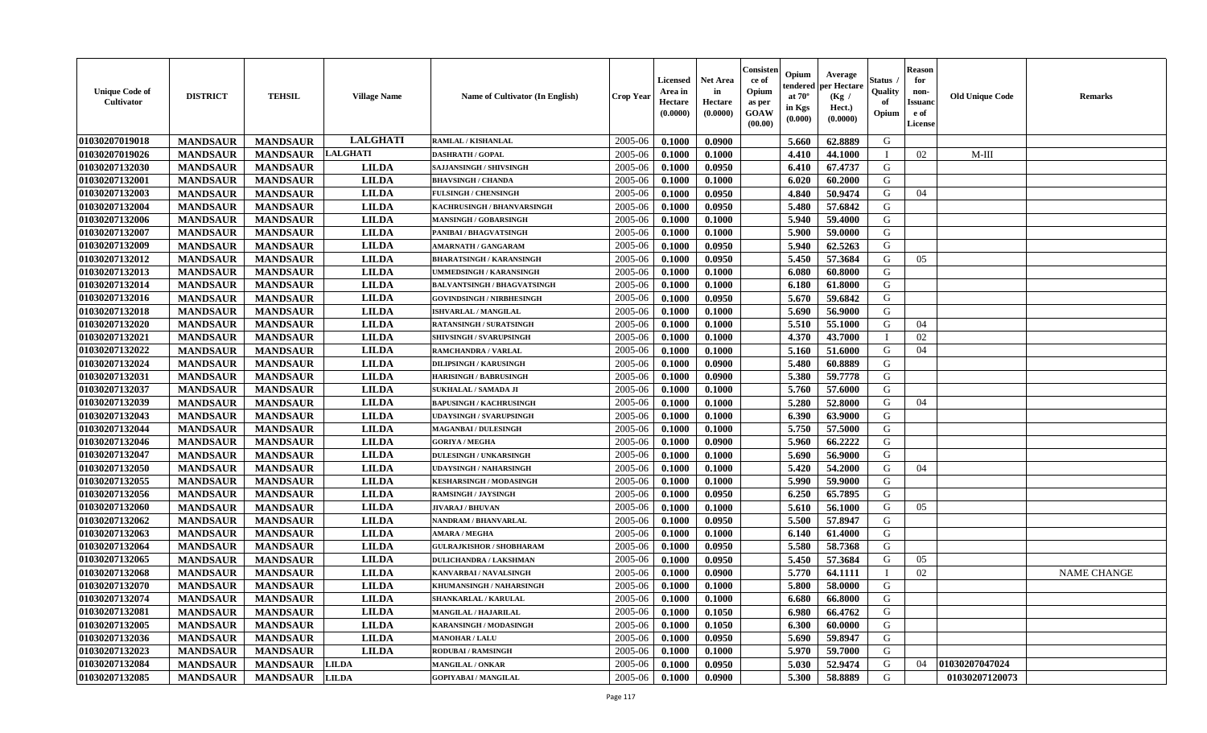| <b>Unique Code of</b><br><b>Cultivator</b> | <b>DISTRICT</b> | <b>TEHSIL</b>   | <b>Village Name</b> | Name of Cultivator (In English)    | <b>Crop Year</b> | <b>Licensed</b><br>Area in<br>Hectare<br>(0.0000) | <b>Net Area</b><br>in<br>Hectare<br>(0.0000) | Consisteı<br>ce of<br>Opium<br>as per<br><b>GOAW</b><br>(00.00) | Opium<br>endered<br>at $70^\circ$<br>in Kgs<br>$(\mathbf{0.000})$ | Average<br>per Hectare<br>(Kg /<br>Hect.)<br>(0.0000) | Status<br>Quality<br>of<br>Opium | Reason<br>for<br>non-<br>Issuan<br>e of<br>License | <b>Old Unique Code</b> | <b>Remarks</b>     |
|--------------------------------------------|-----------------|-----------------|---------------------|------------------------------------|------------------|---------------------------------------------------|----------------------------------------------|-----------------------------------------------------------------|-------------------------------------------------------------------|-------------------------------------------------------|----------------------------------|----------------------------------------------------|------------------------|--------------------|
| 01030207019018                             | <b>MANDSAUR</b> | <b>MANDSAUR</b> | <b>LALGHATI</b>     | RAMLAL / KISHANLAL                 | 2005-06          | 0.1000                                            | 0.0900                                       |                                                                 | 5.660                                                             | 62.8889                                               | G                                |                                                    |                        |                    |
| 01030207019026                             | <b>MANDSAUR</b> | <b>MANDSAUR</b> | LALGHATI            | <b>DASHRATH / GOPAL</b>            | 2005-06          | 0.1000                                            | 0.1000                                       |                                                                 | 4.410                                                             | 44.1000                                               |                                  | 02                                                 | $M-III$                |                    |
| 01030207132030                             | <b>MANDSAUR</b> | <b>MANDSAUR</b> | <b>LILDA</b>        | <b>SAJJANSINGH / SHIVSINGH</b>     | 2005-06          | 0.1000                                            | 0.0950                                       |                                                                 | 6.410                                                             | 67.4737                                               | G                                |                                                    |                        |                    |
| 01030207132001                             | <b>MANDSAUR</b> | <b>MANDSAUR</b> | <b>LILDA</b>        | <b>BHAVSINGH / CHANDA</b>          | 2005-06          | 0.1000                                            | 0.1000                                       |                                                                 | 6.020                                                             | 60.2000                                               | G                                |                                                    |                        |                    |
| 01030207132003                             | <b>MANDSAUR</b> | <b>MANDSAUR</b> | <b>LILDA</b>        | <b>FULSINGH / CHENSINGH</b>        | 2005-06          | 0.1000                                            | 0.0950                                       |                                                                 | 4.840                                                             | 50.9474                                               | G                                | 04                                                 |                        |                    |
| 01030207132004                             | <b>MANDSAUR</b> | <b>MANDSAUR</b> | <b>LILDA</b>        | KACHRUSINGH / BHANVARSINGH         | 2005-06          | 0.1000                                            | 0.0950                                       |                                                                 | 5.480                                                             | 57.6842                                               | G                                |                                                    |                        |                    |
| 01030207132006                             | <b>MANDSAUR</b> | <b>MANDSAUR</b> | <b>LILDA</b>        | <b>MANSINGH / GOBARSINGH</b>       | 2005-06          | 0.1000                                            | 0.1000                                       |                                                                 | 5.940                                                             | 59.4000                                               | G                                |                                                    |                        |                    |
| 01030207132007                             | <b>MANDSAUR</b> | <b>MANDSAUR</b> | <b>LILDA</b>        | PANIBAI / BHAGVATSINGH             | 2005-06          | 0.1000                                            | 0.1000                                       |                                                                 | 5.900                                                             | 59.0000                                               | G                                |                                                    |                        |                    |
| 01030207132009                             | <b>MANDSAUR</b> | <b>MANDSAUR</b> | <b>LILDA</b>        | <b>AMARNATH / GANGARAM</b>         | 2005-06          | 0.1000                                            | 0.0950                                       |                                                                 | 5.940                                                             | 62.5263                                               | G                                |                                                    |                        |                    |
| 01030207132012                             | <b>MANDSAUR</b> | <b>MANDSAUR</b> | <b>LILDA</b>        | <b>BHARATSINGH / KARANSINGH</b>    | 2005-06          | 0.1000                                            | 0.0950                                       |                                                                 | 5.450                                                             | 57.3684                                               | G                                | 05                                                 |                        |                    |
| 01030207132013                             | <b>MANDSAUR</b> | <b>MANDSAUR</b> | <b>LILDA</b>        | UMMEDSINGH / KARANSINGH            | 2005-06          | 0.1000                                            | 0.1000                                       |                                                                 | 6.080                                                             | 60.8000                                               | G                                |                                                    |                        |                    |
| 01030207132014                             | <b>MANDSAUR</b> | <b>MANDSAUR</b> | <b>LILDA</b>        | <b>BALVANTSINGH / BHAGVATSINGH</b> | 2005-06          | 0.1000                                            | 0.1000                                       |                                                                 | 6.180                                                             | 61.8000                                               | G                                |                                                    |                        |                    |
| 01030207132016                             | <b>MANDSAUR</b> | <b>MANDSAUR</b> | <b>LILDA</b>        | <b>GOVINDSINGH / NIRBHESINGH</b>   | 2005-06          | 0.1000                                            | 0.0950                                       |                                                                 | 5.670                                                             | 59.6842                                               | G                                |                                                    |                        |                    |
| 01030207132018                             | <b>MANDSAUR</b> | <b>MANDSAUR</b> | <b>LILDA</b>        | ISHVARLAL / MANGILAL               | 2005-06          | 0.1000                                            | 0.1000                                       |                                                                 | 5.690                                                             | 56.9000                                               | G                                |                                                    |                        |                    |
| 01030207132020                             | <b>MANDSAUR</b> | <b>MANDSAUR</b> | <b>LILDA</b>        | <b>RATANSINGH / SURATSINGH</b>     | 2005-06          | 0.1000                                            | 0.1000                                       |                                                                 | 5.510                                                             | 55.1000                                               | G                                | 04                                                 |                        |                    |
| 01030207132021                             | <b>MANDSAUR</b> | <b>MANDSAUR</b> | <b>LILDA</b>        | SHIVSINGH / SVARUPSINGH            | 2005-06          | 0.1000                                            | 0.1000                                       |                                                                 | 4.370                                                             | 43.7000                                               |                                  | 02                                                 |                        |                    |
| 01030207132022                             | <b>MANDSAUR</b> | <b>MANDSAUR</b> | <b>LILDA</b>        | <b>RAMCHANDRA / VARLAL</b>         | 2005-06          | 0.1000                                            | 0.1000                                       |                                                                 | 5.160                                                             | 51.6000                                               | G                                | 04                                                 |                        |                    |
| 01030207132024                             | <b>MANDSAUR</b> | <b>MANDSAUR</b> | <b>LILDA</b>        | <b>DILIPSINGH / KARUSINGH</b>      | 2005-06          | 0.1000                                            | 0.0900                                       |                                                                 | 5.480                                                             | 60.8889                                               | G                                |                                                    |                        |                    |
| 01030207132031                             | <b>MANDSAUR</b> | <b>MANDSAUR</b> | <b>LILDA</b>        | <b>HARISINGH / BABRUSINGH</b>      | 2005-06          | 0.1000                                            | 0.0900                                       |                                                                 | 5.380                                                             | 59.7778                                               | G                                |                                                    |                        |                    |
| 01030207132037                             | <b>MANDSAUR</b> | <b>MANDSAUR</b> | <b>LILDA</b>        | <b>SUKHALAL / SAMADA JI</b>        | 2005-06          | 0.1000                                            | 0.1000                                       |                                                                 | 5.760                                                             | 57.6000                                               | G                                |                                                    |                        |                    |
| 01030207132039                             | <b>MANDSAUR</b> | <b>MANDSAUR</b> | <b>LILDA</b>        | <b>BAPUSINGH / KACHRUSINGH</b>     | 2005-06          | 0.1000                                            | 0.1000                                       |                                                                 | 5.280                                                             | 52.8000                                               | G                                | 04                                                 |                        |                    |
| 01030207132043                             | <b>MANDSAUR</b> | <b>MANDSAUR</b> | <b>LILDA</b>        | <b>UDAYSINGH / SVARUPSINGH</b>     | 2005-06          | 0.1000                                            | 0.1000                                       |                                                                 | 6.390                                                             | 63.9000                                               | G                                |                                                    |                        |                    |
| 01030207132044                             | <b>MANDSAUR</b> | <b>MANDSAUR</b> | <b>LILDA</b>        | <b>MAGANBAI/DULESINGH</b>          | 2005-06          | 0.1000                                            | 0.1000                                       |                                                                 | 5.750                                                             | 57.5000                                               | G                                |                                                    |                        |                    |
| 01030207132046                             | <b>MANDSAUR</b> | <b>MANDSAUR</b> | <b>LILDA</b>        | <b>GORIYA / MEGHA</b>              | 2005-06          | 0.1000                                            | 0.0900                                       |                                                                 | 5.960                                                             | 66,2222                                               | G                                |                                                    |                        |                    |
| 01030207132047                             | <b>MANDSAUR</b> | <b>MANDSAUR</b> | <b>LILDA</b>        | <b>DULESINGH / UNKARSINGH</b>      | 2005-06          | 0.1000                                            | 0.1000                                       |                                                                 | 5.690                                                             | 56.9000                                               | G                                |                                                    |                        |                    |
| 01030207132050                             | <b>MANDSAUR</b> | <b>MANDSAUR</b> | <b>LILDA</b>        | <b>UDAYSINGH / NAHARSINGH</b>      | 2005-06          | 0.1000                                            | 0.1000                                       |                                                                 | 5.420                                                             | 54.2000                                               | G                                | 04                                                 |                        |                    |
| 01030207132055                             | <b>MANDSAUR</b> | <b>MANDSAUR</b> | <b>LILDA</b>        | <b>KESHARSINGH / MODASINGH</b>     | 2005-06          | 0.1000                                            | 0.1000                                       |                                                                 | 5.990                                                             | 59.9000                                               | G                                |                                                    |                        |                    |
| 01030207132056                             | <b>MANDSAUR</b> | <b>MANDSAUR</b> | <b>LILDA</b>        | <b>RAMSINGH / JAYSINGH</b>         | 2005-06          | 0.1000                                            | 0.0950                                       |                                                                 | 6.250                                                             | 65.7895                                               | G                                |                                                    |                        |                    |
| 01030207132060                             | <b>MANDSAUR</b> | <b>MANDSAUR</b> | <b>LILDA</b>        | <b>JIVARAJ / BHUVAN</b>            | 2005-06          | 0.1000                                            | 0.1000                                       |                                                                 | 5.610                                                             | 56.1000                                               | G                                | 05                                                 |                        |                    |
| 01030207132062                             | <b>MANDSAUR</b> | <b>MANDSAUR</b> | <b>LILDA</b>        | NANDRAM / BHANVARLAL               | 2005-06          | 0.1000                                            | 0.0950                                       |                                                                 | 5.500                                                             | 57.8947                                               | G                                |                                                    |                        |                    |
| 01030207132063                             | <b>MANDSAUR</b> | <b>MANDSAUR</b> | <b>LILDA</b>        | <b>AMARA / MEGHA</b>               | 2005-06          | 0.1000                                            | 0.1000                                       |                                                                 | 6.140                                                             | 61.4000                                               | G                                |                                                    |                        |                    |
| 01030207132064                             | <b>MANDSAUR</b> | <b>MANDSAUR</b> | <b>LILDA</b>        | <b>GULRAJKISHOR / SHOBHARAM</b>    | 2005-06          | 0.1000                                            | 0.0950                                       |                                                                 | 5.580                                                             | 58.7368                                               | G                                |                                                    |                        |                    |
| 01030207132065                             | <b>MANDSAUR</b> | <b>MANDSAUR</b> | <b>LILDA</b>        | <b>DULICHANDRA / LAKSHMAN</b>      | 2005-06          | 0.1000                                            | 0.0950                                       |                                                                 | 5.450                                                             | 57.3684                                               | G                                | 05                                                 |                        |                    |
| 01030207132068                             | <b>MANDSAUR</b> | <b>MANDSAUR</b> | <b>LILDA</b>        | <b>KANVARBAI/NAVALSINGH</b>        | 2005-06          | 0.1000                                            | 0.0900                                       |                                                                 | 5.770                                                             | 64.1111                                               |                                  | 02                                                 |                        | <b>NAME CHANGE</b> |
| 01030207132070                             | <b>MANDSAUR</b> | <b>MANDSAUR</b> | <b>LILDA</b>        | KHUMANSINGH / NAHARSINGH           | 2005-06          | 0.1000                                            | 0.1000                                       |                                                                 | 5.800                                                             | 58.0000                                               | G                                |                                                    |                        |                    |
| <b>01030207132074</b>                      | <b>MANDSAUR</b> | <b>MANDSAUR</b> | <b>LILDA</b>        | SHANKARLAL / KARULAL               | $2005 - 06$      | 0.1000                                            | 0.1000                                       |                                                                 | 6.680                                                             | 66.8000                                               | G                                |                                                    |                        |                    |
| <b>01030207132081</b>                      | <b>MANDSAUR</b> | <b>MANDSAUR</b> | <b>LILDA</b>        | <b>MANGILAL / HAJARILAL</b>        | 2005-06          | 0.1000                                            | 0.1050                                       |                                                                 | 6.980                                                             | 66.4762                                               | G                                |                                                    |                        |                    |
| 01030207132005                             | <b>MANDSAUR</b> | <b>MANDSAUR</b> | <b>LILDA</b>        | KARANSINGH / MODASINGH             | 2005-06          | 0.1000                                            | 0.1050                                       |                                                                 | 6.300                                                             | 60.0000                                               | G                                |                                                    |                        |                    |
| 01030207132036                             | <b>MANDSAUR</b> | <b>MANDSAUR</b> | <b>LILDA</b>        | <b>MANOHAR / LALU</b>              | 2005-06          | 0.1000                                            | 0.0950                                       |                                                                 | 5.690                                                             | 59.8947                                               | G                                |                                                    |                        |                    |
| 01030207132023                             | <b>MANDSAUR</b> | <b>MANDSAUR</b> | <b>LILDA</b>        | <b>RODUBAI/RAMSINGH</b>            | 2005-06          | 0.1000                                            | 0.1000                                       |                                                                 | 5.970                                                             | 59.7000                                               | G                                |                                                    |                        |                    |
| 01030207132084                             | <b>MANDSAUR</b> | <b>MANDSAUR</b> | <b>LILDA</b>        | <b>MANGILAL / ONKAR</b>            | 2005-06          | 0.1000                                            | 0.0950                                       |                                                                 | 5.030                                                             | 52.9474                                               | G                                | 04                                                 | 01030207047024         |                    |
| 01030207132085                             | <b>MANDSAUR</b> | MANDSAUR LILDA  |                     | <b>GOPIYABAI/MANGILAL</b>          | 2005-06          | 0.1000                                            | 0.0900                                       |                                                                 | 5.300                                                             | 58.8889                                               | G                                |                                                    | 01030207120073         |                    |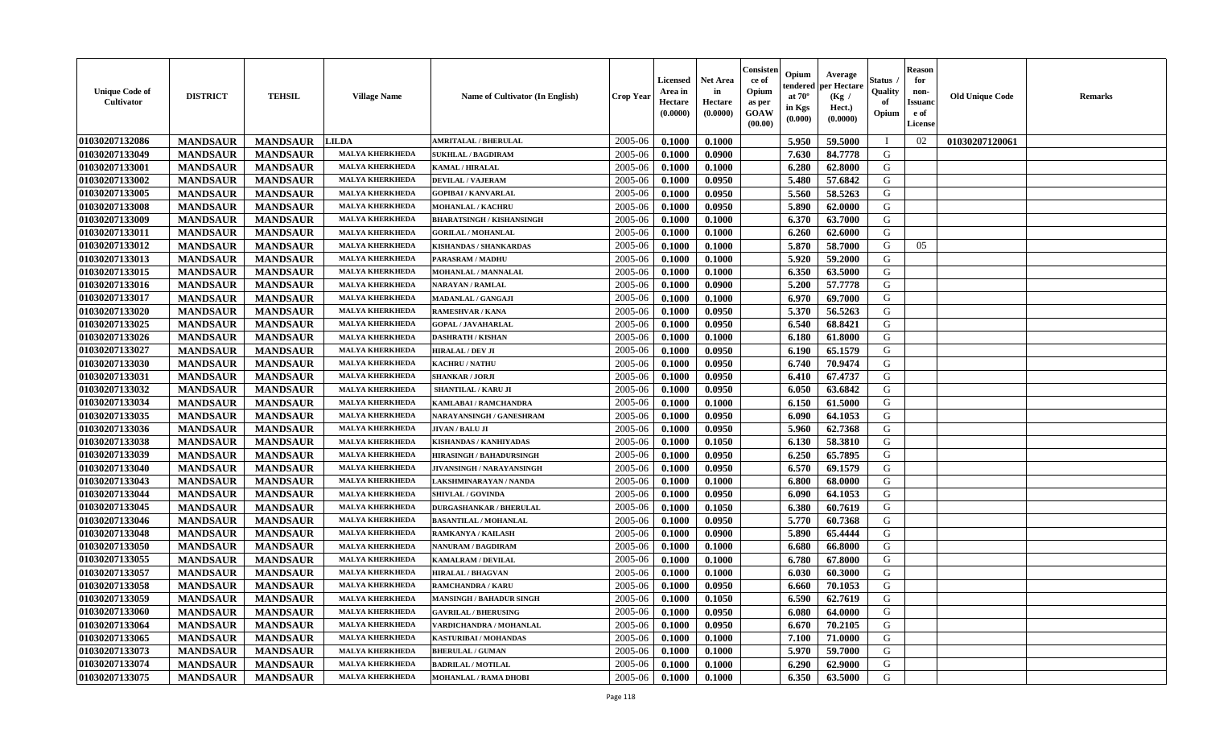| <b>Unique Code of</b><br>Cultivator | <b>DISTRICT</b> | <b>TEHSIL</b>   | <b>Village Name</b>    | <b>Name of Cultivator (In English)</b> | <b>Crop Year</b> | <b>Licensed</b><br>Area in<br>Hectare<br>(0.0000) | <b>Net Area</b><br>in<br>Hectare<br>(0.0000) | Consister<br>ce of<br>Opium<br>as per<br><b>GOAW</b><br>(00.00) | Opium<br>endered<br>at $70^\circ$<br>in Kgs<br>$(\mathbf{0.000})$ | Average<br>per Hectare<br>(Kg)<br>Hect.)<br>(0.0000) | Status<br>Quality<br>of<br>Opium | <b>Reason</b><br>for<br>non-<br><b>Issuanc</b><br>e of<br>License | <b>Old Unique Code</b> | <b>Remarks</b> |
|-------------------------------------|-----------------|-----------------|------------------------|----------------------------------------|------------------|---------------------------------------------------|----------------------------------------------|-----------------------------------------------------------------|-------------------------------------------------------------------|------------------------------------------------------|----------------------------------|-------------------------------------------------------------------|------------------------|----------------|
| 01030207132086                      | <b>MANDSAUR</b> | <b>MANDSAUR</b> | <b>LILDA</b>           | <b>AMRITALAL / BHERULAL</b>            | 2005-06          | 0.1000                                            | 0.1000                                       |                                                                 | 5.950                                                             | 59.5000                                              |                                  | 02                                                                | 01030207120061         |                |
| 01030207133049                      | <b>MANDSAUR</b> | <b>MANDSAUR</b> | <b>MALYA KHERKHEDA</b> | <b>SUKHLAL / BAGDIRAM</b>              | 2005-06          | 0.1000                                            | 0.0900                                       |                                                                 | 7.630                                                             | 84.7778                                              | G                                |                                                                   |                        |                |
| 01030207133001                      | <b>MANDSAUR</b> | <b>MANDSAUR</b> | <b>MALYA KHERKHEDA</b> | KAMAL / HIRALAL                        | 2005-06          | 0.1000                                            | 0.1000                                       |                                                                 | 6.280                                                             | 62.8000                                              | G                                |                                                                   |                        |                |
| 01030207133002                      | <b>MANDSAUR</b> | <b>MANDSAUR</b> | <b>MALYA KHERKHEDA</b> | <b>DEVILAL / VAJERAM</b>               | 2005-06          | 0.1000                                            | 0.0950                                       |                                                                 | 5.480                                                             | 57.6842                                              | G                                |                                                                   |                        |                |
| 01030207133005                      | <b>MANDSAUR</b> | <b>MANDSAUR</b> | <b>MALYA KHERKHEDA</b> | <b>GOPIBAI/KANVARLAL</b>               | 2005-06          | 0.1000                                            | 0.0950                                       |                                                                 | 5.560                                                             | 58.5263                                              | G                                |                                                                   |                        |                |
| 01030207133008                      | <b>MANDSAUR</b> | <b>MANDSAUR</b> | <b>MALYA KHERKHEDA</b> | MOHANLAL / KACHRU                      | 2005-06          | 0.1000                                            | 0.0950                                       |                                                                 | 5.890                                                             | 62.0000                                              | G                                |                                                                   |                        |                |
| 01030207133009                      | <b>MANDSAUR</b> | <b>MANDSAUR</b> | <b>MALYA KHERKHEDA</b> | <b>BHARATSINGH / KISHANSINGH</b>       | 2005-06          | 0.1000                                            | 0.1000                                       |                                                                 | 6.370                                                             | 63.7000                                              | G                                |                                                                   |                        |                |
| 01030207133011                      | <b>MANDSAUR</b> | <b>MANDSAUR</b> | <b>MALYA KHERKHEDA</b> | <b>GORILAL / MOHANLAL</b>              | 2005-06          | 0.1000                                            | 0.1000                                       |                                                                 | 6.260                                                             | 62.6000                                              | G                                |                                                                   |                        |                |
| 01030207133012                      | <b>MANDSAUR</b> | <b>MANDSAUR</b> | <b>MALYA KHERKHEDA</b> | KISHANDAS / SHANKARDAS                 | 2005-06          | 0.1000                                            | 0.1000                                       |                                                                 | 5.870                                                             | 58.7000                                              | G                                | 05                                                                |                        |                |
| 01030207133013                      | <b>MANDSAUR</b> | <b>MANDSAUR</b> | <b>MALYA KHERKHEDA</b> | PARASRAM / MADHU                       | 2005-06          | 0.1000                                            | 0.1000                                       |                                                                 | 5.920                                                             | 59.2000                                              | G                                |                                                                   |                        |                |
| 01030207133015                      | <b>MANDSAUR</b> | <b>MANDSAUR</b> | <b>MALYA KHERKHEDA</b> | MOHANLAL / MANNALAL                    | 2005-06          | 0.1000                                            | 0.1000                                       |                                                                 | 6.350                                                             | 63.5000                                              | G                                |                                                                   |                        |                |
| 01030207133016                      | <b>MANDSAUR</b> | <b>MANDSAUR</b> | <b>MALYA KHERKHEDA</b> | <b>NARAYAN / RAMLAL</b>                | 2005-06          | 0.1000                                            | 0.0900                                       |                                                                 | 5.200                                                             | 57.7778                                              | G                                |                                                                   |                        |                |
| 01030207133017                      | <b>MANDSAUR</b> | <b>MANDSAUR</b> | <b>MALYA KHERKHEDA</b> | MADANLAL / GANGAJI                     | 2005-06          | 0.1000                                            | 0.1000                                       |                                                                 | 6.970                                                             | 69.7000                                              | G                                |                                                                   |                        |                |
| 01030207133020                      | <b>MANDSAUR</b> | <b>MANDSAUR</b> | <b>MALYA KHERKHEDA</b> | RAMESHVAR / KANA                       | 2005-06          | 0.1000                                            | 0.0950                                       |                                                                 | 5.370                                                             | 56.5263                                              | G                                |                                                                   |                        |                |
| 01030207133025                      | <b>MANDSAUR</b> | <b>MANDSAUR</b> | <b>MALYA KHERKHEDA</b> | <b>GOPAL / JAVAHARLAL</b>              | 2005-06          | 0.1000                                            | 0.0950                                       |                                                                 | 6.540                                                             | 68.8421                                              | G                                |                                                                   |                        |                |
| 01030207133026                      | <b>MANDSAUR</b> | <b>MANDSAUR</b> | <b>MALYA KHERKHEDA</b> | <b>DASHRATH / KISHAN</b>               | 2005-06          | 0.1000                                            | 0.1000                                       |                                                                 | 6.180                                                             | 61.8000                                              | G                                |                                                                   |                        |                |
| 01030207133027                      | <b>MANDSAUR</b> | <b>MANDSAUR</b> | <b>MALYA KHERKHEDA</b> | <b>HIRALAL / DEV JI</b>                | 2005-06          | 0.1000                                            | 0.0950                                       |                                                                 | 6.190                                                             | 65.1579                                              | G                                |                                                                   |                        |                |
| 01030207133030                      | <b>MANDSAUR</b> | <b>MANDSAUR</b> | <b>MALYA KHERKHEDA</b> | <b>KACHRU / NATHU</b>                  | 2005-06          | 0.1000                                            | 0.0950                                       |                                                                 | 6.740                                                             | 70.9474                                              | G                                |                                                                   |                        |                |
| 01030207133031                      | <b>MANDSAUR</b> | <b>MANDSAUR</b> | <b>MALYA KHERKHEDA</b> | <b>SHANKAR / JORJI</b>                 | 2005-06          | 0.1000                                            | 0.0950                                       |                                                                 | 6.410                                                             | 67.4737                                              | G                                |                                                                   |                        |                |
| 01030207133032                      | <b>MANDSAUR</b> | <b>MANDSAUR</b> | <b>MALYA KHERKHEDA</b> | SHANTILAL / KARU JI                    | 2005-06          | 0.1000                                            | 0.0950                                       |                                                                 | 6.050                                                             | 63.6842                                              | G                                |                                                                   |                        |                |
| 01030207133034                      | <b>MANDSAUR</b> | <b>MANDSAUR</b> | <b>MALYA KHERKHEDA</b> | KAMLABAI / RAMCHANDRA                  | 2005-06          | 0.1000                                            | 0.1000                                       |                                                                 | 6.150                                                             | 61.5000                                              | G                                |                                                                   |                        |                |
| 01030207133035                      | <b>MANDSAUR</b> | <b>MANDSAUR</b> | <b>MALYA KHERKHEDA</b> | NARAYANSINGH / GANESHRAM               | 2005-06          | 0.1000                                            | 0.0950                                       |                                                                 | 6.090                                                             | 64.1053                                              | G                                |                                                                   |                        |                |
| 01030207133036                      | <b>MANDSAUR</b> | <b>MANDSAUR</b> | <b>MALYA KHERKHEDA</b> | JIVAN / BALU JI                        | 2005-06          | 0.1000                                            | 0.0950                                       |                                                                 | 5.960                                                             | 62.7368                                              | G                                |                                                                   |                        |                |
| 01030207133038                      | <b>MANDSAUR</b> | <b>MANDSAUR</b> | <b>MALYA KHERKHEDA</b> | KISHANDAS / KANHIYADAS                 | 2005-06          | 0.1000                                            | 0.1050                                       |                                                                 | 6.130                                                             | 58.3810                                              | G                                |                                                                   |                        |                |
| 01030207133039                      | <b>MANDSAUR</b> | <b>MANDSAUR</b> | <b>MALYA KHERKHEDA</b> | <b>HIRASINGH / BAHADURSINGH</b>        | 2005-06          | 0.1000                                            | 0.0950                                       |                                                                 | 6.250                                                             | 65.7895                                              | G                                |                                                                   |                        |                |
| 01030207133040                      | <b>MANDSAUR</b> | <b>MANDSAUR</b> | <b>MALYA KHERKHEDA</b> | <b>JIVANSINGH / NARAYANSINGH</b>       | 2005-06          | 0.1000                                            | 0.0950                                       |                                                                 | 6.570                                                             | 69.1579                                              | G                                |                                                                   |                        |                |
| 01030207133043                      | <b>MANDSAUR</b> | <b>MANDSAUR</b> | <b>MALYA KHERKHEDA</b> | LAKSHMINARAYAN / NANDA                 | 2005-06          | 0.1000                                            | 0.1000                                       |                                                                 | 6.800                                                             | 68.0000                                              | G                                |                                                                   |                        |                |
| 01030207133044                      | <b>MANDSAUR</b> | <b>MANDSAUR</b> | <b>MALYA KHERKHEDA</b> | <b>SHIVLAL / GOVINDA</b>               | 2005-06          | 0.1000                                            | 0.0950                                       |                                                                 | 6.090                                                             | 64.1053                                              | G                                |                                                                   |                        |                |
| 01030207133045                      | <b>MANDSAUR</b> | <b>MANDSAUR</b> | <b>MALYA KHERKHEDA</b> | <b>DURGASHANKAR / BHERULAL</b>         | 2005-06          | 0.1000                                            | 0.1050                                       |                                                                 | 6.380                                                             | 60.7619                                              | G                                |                                                                   |                        |                |
| 01030207133046                      | <b>MANDSAUR</b> | <b>MANDSAUR</b> | <b>MALYA KHERKHEDA</b> | <b>BASANTILAL / MOHANLAL</b>           | 2005-06          | 0.1000                                            | 0.0950                                       |                                                                 | 5.770                                                             | 60.7368                                              | G                                |                                                                   |                        |                |
| 01030207133048                      | <b>MANDSAUR</b> | <b>MANDSAUR</b> | <b>MALYA KHERKHEDA</b> | RAMKANYA / KAILASH                     | 2005-06          | 0.1000                                            | 0.0900                                       |                                                                 | 5.890                                                             | 65.4444                                              | G                                |                                                                   |                        |                |
| 01030207133050                      | <b>MANDSAUR</b> | <b>MANDSAUR</b> | <b>MALYA KHERKHEDA</b> | <b>NANURAM / BAGDIRAM</b>              | 2005-06          | 0.1000                                            | 0.1000                                       |                                                                 | 6.680                                                             | 66.8000                                              | G                                |                                                                   |                        |                |
| 01030207133055                      | <b>MANDSAUR</b> | <b>MANDSAUR</b> | <b>MALYA KHERKHEDA</b> | KAMALRAM / DEVILAL                     | 2005-06          | 0.1000                                            | 0.1000                                       |                                                                 | 6.780                                                             | 67.8000                                              | G                                |                                                                   |                        |                |
| 01030207133057                      | <b>MANDSAUR</b> | <b>MANDSAUR</b> | <b>MALYA KHERKHEDA</b> | <b>HIRALAL / BHAGVAN</b>               | 2005-06          | 0.1000                                            | 0.1000                                       |                                                                 | 6.030                                                             | 60.3000                                              | G                                |                                                                   |                        |                |
| 01030207133058                      | <b>MANDSAUR</b> | <b>MANDSAUR</b> | <b>MALYA KHERKHEDA</b> | <b>RAMCHANDRA / KARU</b>               | 2005-06          | 0.1000                                            | 0.0950                                       |                                                                 | 6.660                                                             | 70.1053                                              | G                                |                                                                   |                        |                |
| 01030207133059                      | <b>MANDSAUR</b> | MANDSAUR        | <b>MALYA KHERKHEDA</b> | <b>MANSINGH / BAHADUR SINGH</b>        | $2005 - 06$      | 0.1000                                            | 0.1050                                       |                                                                 | 6.590                                                             | 62.7619                                              | G                                |                                                                   |                        |                |
| 01030207133060                      | <b>MANDSAUR</b> | <b>MANDSAUR</b> | <b>MALYA KHERKHEDA</b> | <b>GAVRILAL / BHERUSING</b>            | 2005-06          | 0.1000                                            | 0.0950                                       |                                                                 | 6.080                                                             | 64.0000                                              | G                                |                                                                   |                        |                |
| 01030207133064                      | <b>MANDSAUR</b> | <b>MANDSAUR</b> | <b>MALYA KHERKHEDA</b> | VARDICHANDRA / MOHANLAL                | 2005-06          | 0.1000                                            | 0.0950                                       |                                                                 | 6.670                                                             | 70.2105                                              | G                                |                                                                   |                        |                |
| 01030207133065                      | <b>MANDSAUR</b> | <b>MANDSAUR</b> | <b>MALYA KHERKHEDA</b> | KASTURIBAI / MOHANDAS                  | 2005-06          | 0.1000                                            | 0.1000                                       |                                                                 | 7.100                                                             | 71.0000                                              | G                                |                                                                   |                        |                |
| 01030207133073                      | <b>MANDSAUR</b> | <b>MANDSAUR</b> | <b>MALYA KHERKHEDA</b> | <b>BHERULAL / GUMAN</b>                | 2005-06          | 0.1000                                            | 0.1000                                       |                                                                 | 5.970                                                             | 59.7000                                              | G                                |                                                                   |                        |                |
| 01030207133074                      | <b>MANDSAUR</b> | <b>MANDSAUR</b> | <b>MALYA KHERKHEDA</b> | <b>BADRILAL / MOTILAL</b>              | 2005-06          | 0.1000                                            | 0.1000                                       |                                                                 | 6.290                                                             | 62.9000                                              | G                                |                                                                   |                        |                |
| 01030207133075                      | <b>MANDSAUR</b> | <b>MANDSAUR</b> | <b>MALYA KHERKHEDA</b> | <b>MOHANLAL / RAMA DHOBI</b>           | 2005-06          | 0.1000                                            | 0.1000                                       |                                                                 | 6.350                                                             | 63.5000                                              | G                                |                                                                   |                        |                |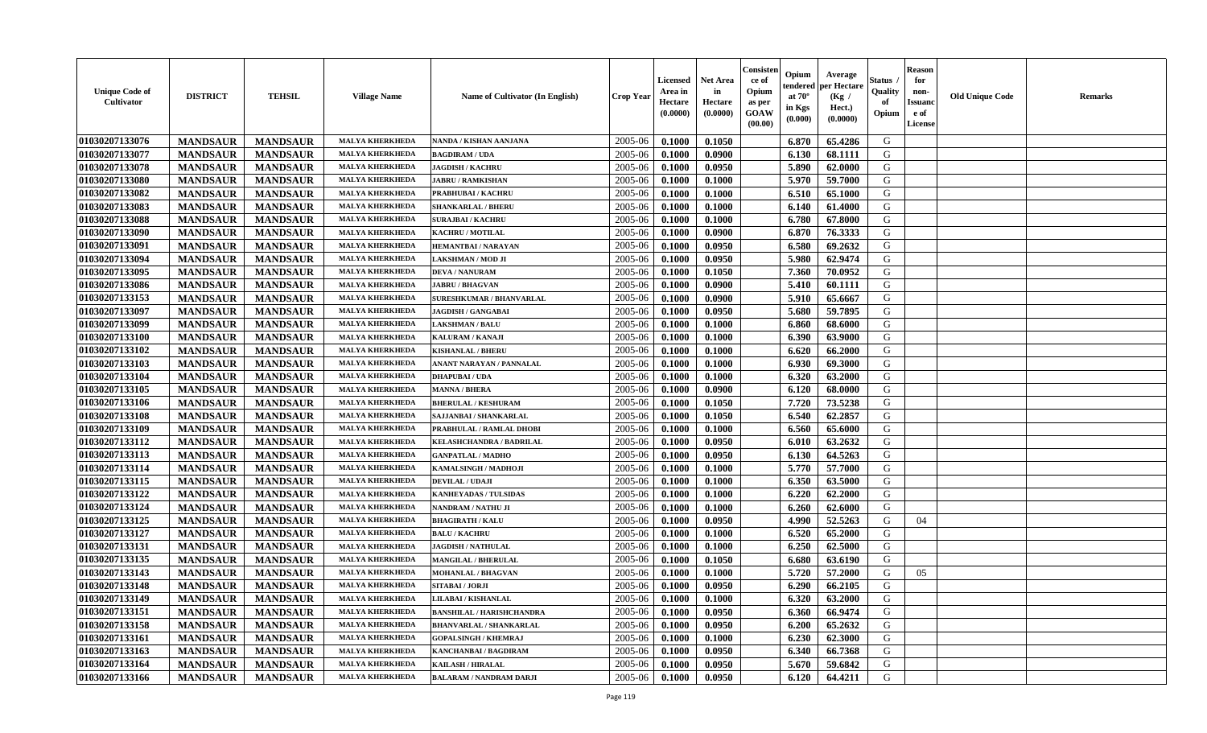| <b>Unique Code of</b><br><b>Cultivator</b> | <b>DISTRICT</b> | <b>TEHSIL</b>   | <b>Village Name</b>    | <b>Name of Cultivator (In English)</b> | <b>Crop Year</b> | <b>Licensed</b><br>Area in<br>Hectare<br>(0.0000) | <b>Net Area</b><br>in<br>Hectare<br>(0.0000) | Consisteı<br>ce of<br>Opium<br>as per<br><b>GOAW</b><br>(00.00) | Opium<br>endered<br>at $70^\circ$<br>in Kgs<br>$(\mathbf{0.000})$ | Average<br>per Hectare<br>(Kg)<br>Hect.)<br>(0.0000) | Status<br>Quality<br>of<br>Opium | Reason<br>for<br>non-<br>Issuan<br>e of<br>License | <b>Old Unique Code</b> | <b>Remarks</b> |
|--------------------------------------------|-----------------|-----------------|------------------------|----------------------------------------|------------------|---------------------------------------------------|----------------------------------------------|-----------------------------------------------------------------|-------------------------------------------------------------------|------------------------------------------------------|----------------------------------|----------------------------------------------------|------------------------|----------------|
| 01030207133076                             | <b>MANDSAUR</b> | <b>MANDSAUR</b> | <b>MALYA KHERKHEDA</b> | NANDA / KISHAN AANJANA                 | 2005-06          | 0.1000                                            | 0.1050                                       |                                                                 | 6.870                                                             | 65.4286                                              | G                                |                                                    |                        |                |
| 01030207133077                             | <b>MANDSAUR</b> | <b>MANDSAUR</b> | <b>MALYA KHERKHEDA</b> | <b>BAGDIRAM / UDA</b>                  | 2005-06          | 0.1000                                            | 0.0900                                       |                                                                 | 6.130                                                             | 68.1111                                              | G                                |                                                    |                        |                |
| 01030207133078                             | <b>MANDSAUR</b> | <b>MANDSAUR</b> | <b>MALYA KHERKHEDA</b> | <b>JAGDISH / KACHRU</b>                | 2005-06          | 0.1000                                            | 0.0950                                       |                                                                 | 5.890                                                             | 62.0000                                              | G                                |                                                    |                        |                |
| 01030207133080                             | <b>MANDSAUR</b> | <b>MANDSAUR</b> | <b>MALYA KHERKHEDA</b> | <b>JABRU / RAMKISHAN</b>               | 2005-06          | 0.1000                                            | 0.1000                                       |                                                                 | 5.970                                                             | 59.7000                                              | G                                |                                                    |                        |                |
| 01030207133082                             | <b>MANDSAUR</b> | <b>MANDSAUR</b> | <b>MALYA KHERKHEDA</b> | PRABHUBAI / KACHRU                     | 2005-06          | 0.1000                                            | 0.1000                                       |                                                                 | 6.510                                                             | 65.1000                                              | G                                |                                                    |                        |                |
| 01030207133083                             | <b>MANDSAUR</b> | <b>MANDSAUR</b> | <b>MALYA KHERKHEDA</b> | <b>SHANKARLAL / BHERU</b>              | 2005-06          | 0.1000                                            | 0.1000                                       |                                                                 | 6.140                                                             | 61.4000                                              | G                                |                                                    |                        |                |
| 01030207133088                             | <b>MANDSAUR</b> | <b>MANDSAUR</b> | <b>MALYA KHERKHEDA</b> | <b>SURAJBAI / KACHRU</b>               | 2005-06          | 0.1000                                            | 0.1000                                       |                                                                 | 6.780                                                             | 67.8000                                              | G                                |                                                    |                        |                |
| 01030207133090                             | <b>MANDSAUR</b> | <b>MANDSAUR</b> | <b>MALYA KHERKHEDA</b> | KACHRU / MOTILAL                       | 2005-06          | 0.1000                                            | 0.0900                                       |                                                                 | 6.870                                                             | 76.3333                                              | G                                |                                                    |                        |                |
| 01030207133091                             | <b>MANDSAUR</b> | <b>MANDSAUR</b> | <b>MALYA KHERKHEDA</b> | <b>HEMANTBAI/NARAYAN</b>               | 2005-06          | 0.1000                                            | 0.0950                                       |                                                                 | 6.580                                                             | 69.2632                                              | G                                |                                                    |                        |                |
| 01030207133094                             | <b>MANDSAUR</b> | <b>MANDSAUR</b> | <b>MALYA KHERKHEDA</b> | LAKSHMAN / MOD JI                      | 2005-06          | 0.1000                                            | 0.0950                                       |                                                                 | 5.980                                                             | 62.9474                                              | G                                |                                                    |                        |                |
| 01030207133095                             | <b>MANDSAUR</b> | <b>MANDSAUR</b> | <b>MALYA KHERKHEDA</b> | <b>DEVA / NANURAM</b>                  | 2005-06          | 0.1000                                            | 0.1050                                       |                                                                 | 7.360                                                             | 70.0952                                              | G                                |                                                    |                        |                |
| 01030207133086                             | <b>MANDSAUR</b> | <b>MANDSAUR</b> | <b>MALYA KHERKHEDA</b> | <b>JABRU / BHAGVAN</b>                 | 2005-06          | 0.1000                                            | 0.0900                                       |                                                                 | 5.410                                                             | 60.1111                                              | G                                |                                                    |                        |                |
| 01030207133153                             | <b>MANDSAUR</b> | <b>MANDSAUR</b> | <b>MALYA KHERKHEDA</b> | SURESHKUMAR / BHANVARLAL               | 2005-06          | 0.1000                                            | 0.0900                                       |                                                                 | 5.910                                                             | 65.6667                                              | G                                |                                                    |                        |                |
| 01030207133097                             | <b>MANDSAUR</b> | <b>MANDSAUR</b> | <b>MALYA KHERKHEDA</b> | JAGDISH / GANGABAI                     | 2005-06          | 0.1000                                            | 0.0950                                       |                                                                 | 5.680                                                             | 59.7895                                              | G                                |                                                    |                        |                |
| 01030207133099                             | <b>MANDSAUR</b> | <b>MANDSAUR</b> | <b>MALYA KHERKHEDA</b> | <b>LAKSHMAN / BALU</b>                 | 2005-06          | 0.1000                                            | 0.1000                                       |                                                                 | 6.860                                                             | 68.6000                                              | G                                |                                                    |                        |                |
| 01030207133100                             | <b>MANDSAUR</b> | <b>MANDSAUR</b> | <b>MALYA KHERKHEDA</b> | <b>KALURAM / KANAJI</b>                | 2005-06          | 0.1000                                            | 0.1000                                       |                                                                 | 6.390                                                             | 63.9000                                              | G                                |                                                    |                        |                |
| 01030207133102                             | <b>MANDSAUR</b> | <b>MANDSAUR</b> | <b>MALYA KHERKHEDA</b> | <b>KISHANLAL / BHERU</b>               | 2005-06          | 0.1000                                            | 0.1000                                       |                                                                 | 6.620                                                             | 66.2000                                              | G                                |                                                    |                        |                |
| 01030207133103                             | <b>MANDSAUR</b> | <b>MANDSAUR</b> | <b>MALYA KHERKHEDA</b> | ANANT NARAYAN / PANNALAL               | 2005-06          | 0.1000                                            | 0.1000                                       |                                                                 | 6.930                                                             | 69.3000                                              | G                                |                                                    |                        |                |
| 01030207133104                             | <b>MANDSAUR</b> | <b>MANDSAUR</b> | <b>MALYA KHERKHEDA</b> | <b>DHAPUBAI/UDA</b>                    | 2005-06          | 0.1000                                            | 0.1000                                       |                                                                 | 6.320                                                             | 63.2000                                              | G                                |                                                    |                        |                |
| 01030207133105                             | <b>MANDSAUR</b> | <b>MANDSAUR</b> | <b>MALYA KHERKHED</b>  | <b>MANNA / BHERA</b>                   | 2005-06          | 0.1000                                            | 0.0900                                       |                                                                 | 6.120                                                             | 68.0000                                              | G                                |                                                    |                        |                |
| 01030207133106                             | <b>MANDSAUR</b> | <b>MANDSAUR</b> | <b>MALYA KHERKHEDA</b> | <b>BHERULAL / KESHURAM</b>             | 2005-06          | 0.1000                                            | 0.1050                                       |                                                                 | 7.720                                                             | 73.5238                                              | G                                |                                                    |                        |                |
| 01030207133108                             | <b>MANDSAUR</b> | <b>MANDSAUR</b> | <b>MALYA KHERKHEDA</b> | SAJJANBAI / SHANKARLAL                 | 2005-06          | 0.1000                                            | 0.1050                                       |                                                                 | 6.540                                                             | 62.2857                                              | G                                |                                                    |                        |                |
| 01030207133109                             | <b>MANDSAUR</b> | <b>MANDSAUR</b> | <b>MALYA KHERKHEDA</b> | PRABHULAL / RAMLAL DHOBI               | 2005-06          | 0.1000                                            | 0.1000                                       |                                                                 | 6.560                                                             | 65.6000                                              | G                                |                                                    |                        |                |
| 01030207133112                             | <b>MANDSAUR</b> | <b>MANDSAUR</b> | <b>MALYA KHERKHEDA</b> | KELASHCHANDRA / BADRILAL               | 2005-06          | 0.1000                                            | 0.0950                                       |                                                                 | 6.010                                                             | 63.2632                                              | G                                |                                                    |                        |                |
| 01030207133113                             | <b>MANDSAUR</b> | <b>MANDSAUR</b> | <b>MALYA KHERKHEDA</b> | <b>GANPATLAL / MADHO</b>               | 2005-06          | 0.1000                                            | 0.0950                                       |                                                                 | 6.130                                                             | 64.5263                                              | G                                |                                                    |                        |                |
| 01030207133114                             | <b>MANDSAUR</b> | <b>MANDSAUR</b> | <b>MALYA KHERKHEDA</b> | KAMALSINGH / MADHOJI                   | 2005-06          | 0.1000                                            | 0.1000                                       |                                                                 | 5.770                                                             | 57.7000                                              | G                                |                                                    |                        |                |
| 01030207133115                             | <b>MANDSAUR</b> | <b>MANDSAUR</b> | <b>MALYA KHERKHEDA</b> | <b>DEVILAL / UDAJI</b>                 | 2005-06          | 0.1000                                            | 0.1000                                       |                                                                 | 6.350                                                             | 63.5000                                              | G                                |                                                    |                        |                |
| 01030207133122                             | <b>MANDSAUR</b> | <b>MANDSAUR</b> | <b>MALYA KHERKHEDA</b> | KANHEYADAS / TULSIDAS                  | 2005-06          | 0.1000                                            | 0.1000                                       |                                                                 | 6.220                                                             | 62.2000                                              | G                                |                                                    |                        |                |
| 01030207133124                             | <b>MANDSAUR</b> | <b>MANDSAUR</b> | <b>MALYA KHERKHEDA</b> | NANDRAM / NATHU JI                     | 2005-06          | 0.1000                                            | 0.1000                                       |                                                                 | 6.260                                                             | 62.6000                                              | G                                |                                                    |                        |                |
| 01030207133125                             | <b>MANDSAUR</b> | <b>MANDSAUR</b> | <b>MALYA KHERKHEDA</b> | <b>BHAGIRATH / KALU</b>                | 2005-06          | 0.1000                                            | 0.0950                                       |                                                                 | 4.990                                                             | 52,5263                                              | G                                | 04                                                 |                        |                |
| 01030207133127                             | <b>MANDSAUR</b> | <b>MANDSAUR</b> | <b>MALYA KHERKHEDA</b> | <b>BALU / KACHRU</b>                   | 2005-06          | 0.1000                                            | 0.1000                                       |                                                                 | 6.520                                                             | 65.2000                                              | G                                |                                                    |                        |                |
| 01030207133131                             | <b>MANDSAUR</b> | <b>MANDSAUR</b> | <b>MALYA KHERKHEDA</b> | <b>JAGDISH / NATHULAL</b>              | 2005-06          | 0.1000                                            | 0.1000                                       |                                                                 | 6.250                                                             | 62.5000                                              | G                                |                                                    |                        |                |
| 01030207133135                             | <b>MANDSAUR</b> | <b>MANDSAUR</b> | <b>MALYA KHERKHEDA</b> | MANGILAL / BHERULAL                    | 2005-06          | 0.1000                                            | 0.1050                                       |                                                                 | 6.680                                                             | 63.6190                                              | G                                |                                                    |                        |                |
| 01030207133143                             | <b>MANDSAUR</b> | <b>MANDSAUR</b> | <b>MALYA KHERKHED</b>  | MOHANLAL / BHAGVAN                     | 2005-06          | 0.1000                                            | 0.1000                                       |                                                                 | 5.720                                                             | 57.2000                                              | G                                | 05                                                 |                        |                |
| 01030207133148                             | <b>MANDSAUR</b> | <b>MANDSAUR</b> | <b>MALYA KHERKHEDA</b> | SITABAI / JORJI                        | 2005-06          | 0.1000                                            | 0.0950                                       |                                                                 | 6.290                                                             | 66.2105                                              | G                                |                                                    |                        |                |
| 01030207133149                             | <b>MANDSAUR</b> | <b>MANDSAUR</b> | <b>MALYA KHERKHEDA</b> | <b>LILABAI/KISHANLAL</b>               | $2005 - 06$      | 0.1000                                            | 0.1000                                       |                                                                 | 6.320                                                             | 63.2000                                              | G                                |                                                    |                        |                |
| <b>01030207133151</b>                      | <b>MANDSAUR</b> | <b>MANDSAUR</b> | <b>MALYA KHERKHEDA</b> | <b>BANSHILAL / HARISHCHANDRA</b>       | 2005-06          | 0.1000                                            | 0.0950                                       |                                                                 | 6.360                                                             | 66.9474                                              | G                                |                                                    |                        |                |
| 01030207133158                             | <b>MANDSAUR</b> | <b>MANDSAUR</b> | <b>MALYA KHERKHEDA</b> | <b>BHANVARLAL / SHANKARLAL</b>         | 2005-06          | 0.1000                                            | 0.0950                                       |                                                                 | 6.200                                                             | 65.2632                                              | G                                |                                                    |                        |                |
| 01030207133161                             | <b>MANDSAUR</b> | <b>MANDSAUR</b> | <b>MALYA KHERKHEDA</b> | <b>GOPALSINGH / KHEMRAJ</b>            | 2005-06          | 0.1000                                            | 0.1000                                       |                                                                 | 6.230                                                             | 62.3000                                              | G                                |                                                    |                        |                |
| 01030207133163                             | <b>MANDSAUR</b> | <b>MANDSAUR</b> | <b>MALYA KHERKHEDA</b> | <b>KANCHANBAI / BAGDIRAM</b>           | 2005-06          | 0.1000                                            | 0.0950                                       |                                                                 | 6.340                                                             | 66.7368                                              | G                                |                                                    |                        |                |
| 01030207133164                             | <b>MANDSAUR</b> | <b>MANDSAUR</b> | <b>MALYA KHERKHEDA</b> | <b>KAILASH / HIRALAL</b>               | 2005-06          | 0.1000                                            | 0.0950                                       |                                                                 | 5.670                                                             | 59.6842                                              | G                                |                                                    |                        |                |
| 01030207133166                             | <b>MANDSAUR</b> | <b>MANDSAUR</b> | <b>MALYA KHERKHEDA</b> | <b>BALARAM / NANDRAM DARJI</b>         | 2005-06          | 0.1000                                            | 0.0950                                       |                                                                 | 6.120                                                             | 64.4211                                              | G                                |                                                    |                        |                |
|                                            |                 |                 |                        |                                        |                  |                                                   |                                              |                                                                 |                                                                   |                                                      |                                  |                                                    |                        |                |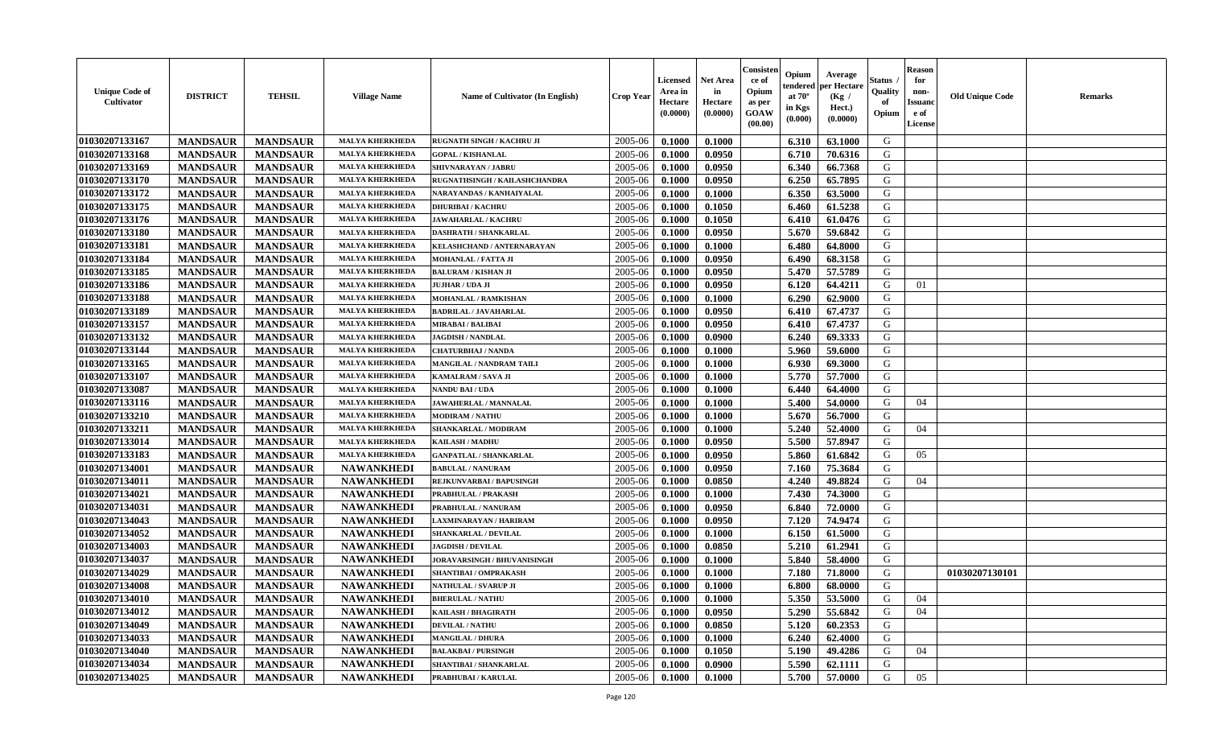| <b>Unique Code of</b><br><b>Cultivator</b> | <b>DISTRICT</b> | <b>TEHSIL</b>   | <b>Village Name</b>    | Name of Cultivator (In English) | <b>Crop Year</b> | <b>Licensed</b><br>Area in<br>Hectare<br>(0.0000) | <b>Net Area</b><br>in<br>Hectare<br>(0.0000) | Consisteı<br>ce of<br>Opium<br>as per<br><b>GOAW</b><br>(00.00) | Opium<br>endered<br>at $70^\circ$<br>in Kgs<br>$(\mathbf{0.000})$ | Average<br>per Hectare<br>(Kg)<br>Hect.)<br>(0.0000) | Status<br>Quality<br>of<br>Opium | Reason<br>for<br>non-<br>Issuan<br>e of<br>License | <b>Old Unique Code</b> | <b>Remarks</b> |
|--------------------------------------------|-----------------|-----------------|------------------------|---------------------------------|------------------|---------------------------------------------------|----------------------------------------------|-----------------------------------------------------------------|-------------------------------------------------------------------|------------------------------------------------------|----------------------------------|----------------------------------------------------|------------------------|----------------|
| 01030207133167                             | <b>MANDSAUR</b> | <b>MANDSAUR</b> | <b>MALYA KHERKHEDA</b> | RUGNATH SINGH / KACHRU JI       | 2005-06          | 0.1000                                            | 0.1000                                       |                                                                 | 6.310                                                             | 63.1000                                              | G                                |                                                    |                        |                |
| 01030207133168                             | <b>MANDSAUR</b> | <b>MANDSAUR</b> | <b>MALYA KHERKHEDA</b> | <b>GOPAL / KISHANLAL</b>        | 2005-06          | 0.1000                                            | 0.0950                                       |                                                                 | 6.710                                                             | 70.6316                                              | G                                |                                                    |                        |                |
| 01030207133169                             | <b>MANDSAUR</b> | <b>MANDSAUR</b> | <b>MALYA KHERKHEDA</b> | SHIVNARAYAN / JABRU             | 2005-06          | 0.1000                                            | 0.0950                                       |                                                                 | 6.340                                                             | 66.7368                                              | G                                |                                                    |                        |                |
| 01030207133170                             | <b>MANDSAUR</b> | <b>MANDSAUR</b> | <b>MALYA KHERKHEDA</b> | RUGNATHSINGH / KAILASHCHANDRA   | 2005-06          | 0.1000                                            | 0.0950                                       |                                                                 | 6.250                                                             | 65.7895                                              | G                                |                                                    |                        |                |
| 01030207133172                             | <b>MANDSAUR</b> | <b>MANDSAUR</b> | <b>MALYA KHERKHEDA</b> | NARAYANDAS / KANHAIYALAL        | 2005-06          | 0.1000                                            | 0.1000                                       |                                                                 | 6.350                                                             | 63.5000                                              | G                                |                                                    |                        |                |
| 01030207133175                             | <b>MANDSAUR</b> | <b>MANDSAUR</b> | <b>MALYA KHERKHEDA</b> | <b>DHURIBAI / KACHRU</b>        | 2005-06          | 0.1000                                            | 0.1050                                       |                                                                 | 6.460                                                             | 61.5238                                              | G                                |                                                    |                        |                |
| 01030207133176                             | <b>MANDSAUR</b> | <b>MANDSAUR</b> | <b>MALYA KHERKHEDA</b> | <b>JAWAHARLAL / KACHRU</b>      | 2005-06          | 0.1000                                            | 0.1050                                       |                                                                 | 6.410                                                             | 61.0476                                              | G                                |                                                    |                        |                |
| 01030207133180                             | <b>MANDSAUR</b> | <b>MANDSAUR</b> | <b>MALYA KHERKHEDA</b> | <b>DASHRATH / SHANKARLAL</b>    | 2005-06          | 0.1000                                            | 0.0950                                       |                                                                 | 5.670                                                             | 59.6842                                              | G                                |                                                    |                        |                |
| 01030207133181                             | <b>MANDSAUR</b> | <b>MANDSAUR</b> | <b>MALYA KHERKHEDA</b> | KELASHCHAND / ANTERNARAYAN      | 2005-06          | 0.1000                                            | 0.1000                                       |                                                                 | 6.480                                                             | 64.8000                                              | G                                |                                                    |                        |                |
| 01030207133184                             | <b>MANDSAUR</b> | <b>MANDSAUR</b> | <b>MALYA KHERKHEDA</b> | <b>MOHANLAL / FATTA JI</b>      | 2005-06          | 0.1000                                            | 0.0950                                       |                                                                 | 6.490                                                             | 68.3158                                              | G                                |                                                    |                        |                |
| 01030207133185                             | <b>MANDSAUR</b> | <b>MANDSAUR</b> | <b>MALYA KHERKHEDA</b> | <b>BALURAM / KISHAN JI</b>      | 2005-06          | 0.1000                                            | 0.0950                                       |                                                                 | 5.470                                                             | 57.5789                                              | G                                |                                                    |                        |                |
| 01030207133186                             | <b>MANDSAUR</b> | <b>MANDSAUR</b> | <b>MALYA KHERKHEDA</b> | JUJHAR / UDA JI                 | 2005-06          | 0.1000                                            | 0.0950                                       |                                                                 | 6.120                                                             | 64.4211                                              | G                                | 01                                                 |                        |                |
| 01030207133188                             | <b>MANDSAUR</b> | <b>MANDSAUR</b> | <b>MALYA KHERKHEDA</b> | <b>MOHANLAL / RAMKISHAN</b>     | 2005-06          | 0.1000                                            | 0.1000                                       |                                                                 | 6.290                                                             | 62.9000                                              | G                                |                                                    |                        |                |
| 01030207133189                             | <b>MANDSAUR</b> | <b>MANDSAUR</b> | <b>MALYA KHERKHEDA</b> | <b>BADRILAL / JAVAHARLAL</b>    | 2005-06          | 0.1000                                            | 0.0950                                       |                                                                 | 6.410                                                             | 67.4737                                              | G                                |                                                    |                        |                |
| 01030207133157                             | <b>MANDSAUR</b> | <b>MANDSAUR</b> | <b>MALYA KHERKHEDA</b> | <b>MIRABAI / BALIBAI</b>        | 2005-06          | 0.1000                                            | 0.0950                                       |                                                                 | 6.410                                                             | 67.4737                                              | G                                |                                                    |                        |                |
| 01030207133132                             | <b>MANDSAUR</b> | <b>MANDSAUR</b> | <b>MALYA KHERKHEDA</b> | <b>JAGDISH / NANDLAL</b>        | 2005-06          | 0.1000                                            | 0.0900                                       |                                                                 | 6.240                                                             | 69.3333                                              | G                                |                                                    |                        |                |
| 01030207133144                             | <b>MANDSAUR</b> | <b>MANDSAUR</b> | <b>MALYA KHERKHEDA</b> | <b>CHATURBHAJ / NANDA</b>       | 2005-06          | 0.1000                                            | 0.1000                                       |                                                                 | 5.960                                                             | 59.6000                                              | G                                |                                                    |                        |                |
| 01030207133165                             | <b>MANDSAUR</b> | <b>MANDSAUR</b> | <b>MALYA KHERKHEDA</b> | MANGILAL / NANDRAM TAILI        | 2005-06          | 0.1000                                            | 0.1000                                       |                                                                 | 6.930                                                             | 69.3000                                              | G                                |                                                    |                        |                |
| 01030207133107                             | <b>MANDSAUR</b> | <b>MANDSAUR</b> | <b>MALYA KHERKHEDA</b> | KAMALRAM / SAVA JI              | 2005-06          | 0.1000                                            | 0.1000                                       |                                                                 | 5.770                                                             | 57.7000                                              | G                                |                                                    |                        |                |
| 01030207133087                             | <b>MANDSAUR</b> | <b>MANDSAUR</b> | <b>MALYA KHERKHED</b>  | NANDU BAI / UDA                 | 2005-06          | 0.1000                                            | 0.1000                                       |                                                                 | 6.440                                                             | 64.4000                                              | G                                |                                                    |                        |                |
| 01030207133116                             | <b>MANDSAUR</b> | <b>MANDSAUR</b> | <b>MALYA KHERKHEDA</b> | JAWAHERLAL / MANNALAL           | 2005-06          | 0.1000                                            | 0.1000                                       |                                                                 | 5.400                                                             | 54.0000                                              | G                                | 04                                                 |                        |                |
| 01030207133210                             | <b>MANDSAUR</b> | <b>MANDSAUR</b> | <b>MALYA KHERKHEDA</b> | <b>MODIRAM / NATHU</b>          | 2005-06          | 0.1000                                            | 0.1000                                       |                                                                 | 5.670                                                             | 56.7000                                              | G                                |                                                    |                        |                |
| 01030207133211                             | <b>MANDSAUR</b> | <b>MANDSAUR</b> | <b>MALYA KHERKHEDA</b> | SHANKARLAL / MODIRAM            | 2005-06          | 0.1000                                            | 0.1000                                       |                                                                 | 5.240                                                             | 52.4000                                              | G                                | 04                                                 |                        |                |
| 01030207133014                             | <b>MANDSAUR</b> | <b>MANDSAUR</b> | <b>MALYA KHERKHEDA</b> | <b>KAILASH / MADHU</b>          | 2005-06          | 0.1000                                            | 0.0950                                       |                                                                 | 5.500                                                             | 57.8947                                              | G                                |                                                    |                        |                |
| 01030207133183                             | <b>MANDSAUR</b> | <b>MANDSAUR</b> | <b>MALYA KHERKHEDA</b> | <b>GANPATLAL / SHANKARLAL</b>   | 2005-06          | 0.1000                                            | 0.0950                                       |                                                                 | 5.860                                                             | 61.6842                                              | G                                | 05                                                 |                        |                |
| 01030207134001                             | <b>MANDSAUR</b> | <b>MANDSAUR</b> | <b>NAWANKHEDI</b>      | <b>BABULAL / NANURAM</b>        | 2005-06          | 0.1000                                            | 0.0950                                       |                                                                 | 7.160                                                             | 75.3684                                              | G                                |                                                    |                        |                |
| 01030207134011                             | <b>MANDSAUR</b> | <b>MANDSAUR</b> | <b>NAWANKHEDI</b>      | REJKUNVARBAI / BAPUSINGH        | 2005-06          | 0.1000                                            | 0.0850                                       |                                                                 | 4.240                                                             | 49.8824                                              | G                                | 04                                                 |                        |                |
| 01030207134021                             | <b>MANDSAUR</b> | <b>MANDSAUR</b> | <b>NAWANKHEDI</b>      | PRABHULAL / PRAKASH             | 2005-06          | 0.1000                                            | 0.1000                                       |                                                                 | 7.430                                                             | 74.3000                                              | G                                |                                                    |                        |                |
| 01030207134031                             | <b>MANDSAUR</b> | <b>MANDSAUR</b> | <b>NAWANKHEDI</b>      | PRABHULAL / NANURAM             | 2005-06          | 0.1000                                            | 0.0950                                       |                                                                 | 6.840                                                             | 72.0000                                              | G                                |                                                    |                        |                |
| 01030207134043                             | <b>MANDSAUR</b> | <b>MANDSAUR</b> | <b>NAWANKHEDI</b>      | LAXMINARAYAN / HARIRAM          | 2005-06          | 0.1000                                            | 0.0950                                       |                                                                 | 7.120                                                             | 74.9474                                              | G                                |                                                    |                        |                |
| 01030207134052                             | <b>MANDSAUR</b> | <b>MANDSAUR</b> | <b>NAWANKHEDI</b>      | <b>SHANKARLAL / DEVILAL</b>     | 2005-06          | 0.1000                                            | 0.1000                                       |                                                                 | 6.150                                                             | 61.5000                                              | G                                |                                                    |                        |                |
| 01030207134003                             | <b>MANDSAUR</b> | <b>MANDSAUR</b> | <b>NAWANKHEDI</b>      | <b>JAGDISH / DEVILAL</b>        | 2005-06          | 0.1000                                            | 0.0850                                       |                                                                 | 5.210                                                             | 61.2941                                              | G                                |                                                    |                        |                |
| 01030207134037                             | <b>MANDSAUR</b> | <b>MANDSAUR</b> | <b>NAWANKHEDI</b>      | JORAVARSINGH / BHUVANISINGH     | 2005-06          | 0.1000                                            | 0.1000                                       |                                                                 | 5.840                                                             | 58.4000                                              | G                                |                                                    |                        |                |
| 01030207134029                             | <b>MANDSAUR</b> | <b>MANDSAUR</b> | <b>NAWANKHEDI</b>      | SHANTIBAI / OMPRAKASH           | 2005-06          | 0.1000                                            | 0.1000                                       |                                                                 | 7.180                                                             | 71.8000                                              | G                                |                                                    | 01030207130101         |                |
| 01030207134008                             | <b>MANDSAUR</b> | <b>MANDSAUR</b> | <b>NAWANKHEDI</b>      | NATHULAL / SVARUP JI            | 2005-06          | 0.1000                                            | 0.1000                                       |                                                                 | 6.800                                                             | 68.0000                                              | G                                |                                                    |                        |                |
| <b>01030207134010</b>                      | <b>MANDSAUR</b> | <b>MANDSAUR</b> | <b>NAWANKHEDI</b>      | <b>BHERULAL / NATHU</b>         | $2005 - 06$      | 0.1000                                            | 0.1000                                       |                                                                 |                                                                   | $5.350$   $53.5000$                                  | G                                | 04                                                 |                        |                |
| 01030207134012                             | <b>MANDSAUR</b> | <b>MANDSAUR</b> | <b>NAWANKHEDI</b>      | <b>KAILASH / BHAGIRATH</b>      | 2005-06          | 0.1000                                            | 0.0950                                       |                                                                 | 5.290                                                             | 55.6842                                              | G                                | 04                                                 |                        |                |
| 01030207134049                             | <b>MANDSAUR</b> | <b>MANDSAUR</b> | <b>NAWANKHEDI</b>      | <b>DEVILAL / NATHU</b>          | 2005-06          | 0.1000                                            | 0.0850                                       |                                                                 | 5.120                                                             | 60.2353                                              | G                                |                                                    |                        |                |
| 01030207134033                             | <b>MANDSAUR</b> | <b>MANDSAUR</b> | <b>NAWANKHEDI</b>      | <b>MANGILAL / DHURA</b>         | 2005-06          | 0.1000                                            | 0.1000                                       |                                                                 | 6.240                                                             | 62.4000                                              | G                                |                                                    |                        |                |
| 01030207134040                             | <b>MANDSAUR</b> | <b>MANDSAUR</b> | <b>NAWANKHEDI</b>      | <b>BALAKBAI/PURSINGH</b>        | 2005-06          | 0.1000                                            | 0.1050                                       |                                                                 | 5.190                                                             | 49.4286                                              | G                                | 04                                                 |                        |                |
| 01030207134034                             | <b>MANDSAUR</b> | <b>MANDSAUR</b> | <b>NAWANKHEDI</b>      | SHANTIBAI / SHANKARLAL          | 2005-06          | 0.1000                                            | 0.0900                                       |                                                                 | 5.590                                                             | 62.1111                                              | G                                |                                                    |                        |                |
| 01030207134025                             | <b>MANDSAUR</b> | <b>MANDSAUR</b> | <b>NAWANKHEDI</b>      | PRABHUBAI / KARULAL             | 2005-06          | 0.1000                                            | 0.1000                                       |                                                                 | 5.700                                                             | 57.0000                                              | G                                | 05                                                 |                        |                |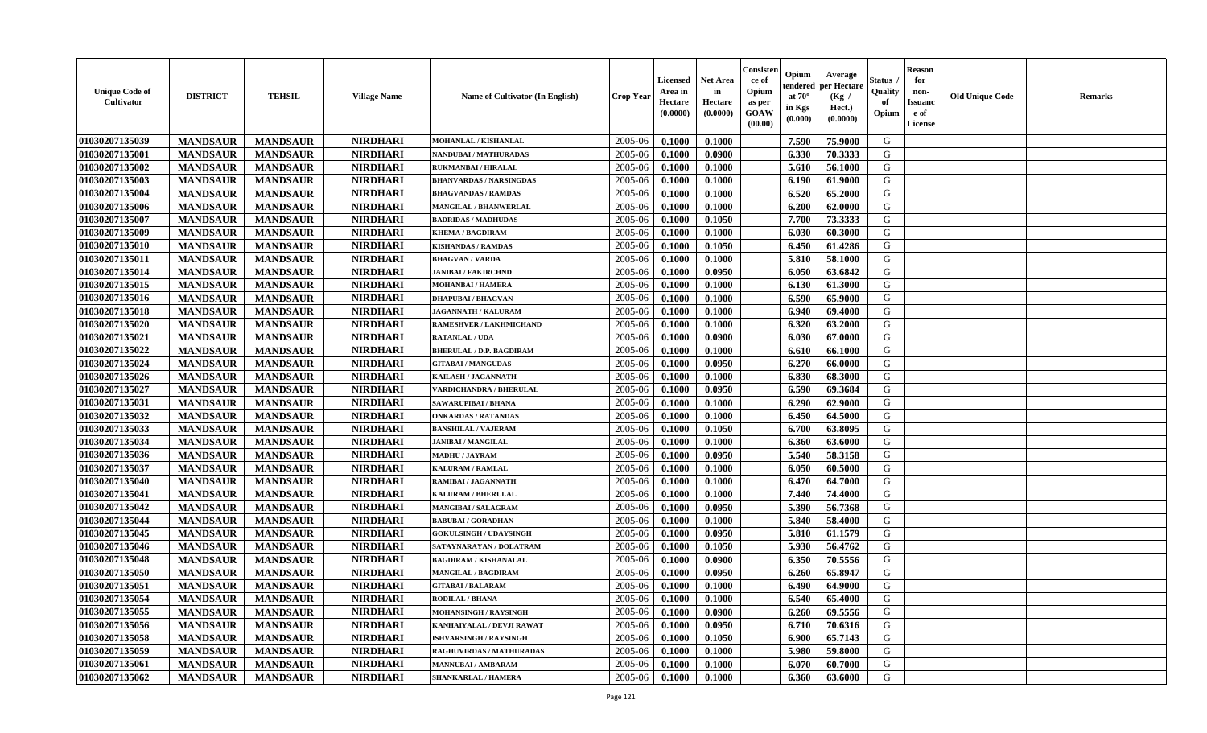| <b>Unique Code of</b><br><b>Cultivator</b> | <b>DISTRICT</b> | <b>TEHSIL</b>   | <b>Village Name</b> | <b>Name of Cultivator (In English)</b> | <b>Crop Year</b> | <b>Licensed</b><br>Area in<br>Hectare<br>(0.0000) | <b>Net Area</b><br>in<br>Hectare<br>(0.0000) | Consister<br>ce of<br>Opium<br>as per<br><b>GOAW</b><br>(00.00) | Opium<br>endered<br>at $70^{\circ}$<br>in Kgs<br>$(\mathbf{0.000})$ | Average<br>per Hectare<br>(Kg)<br>Hect.)<br>(0.0000) | Status<br>Quality<br>of<br>Opium | <b>Reason</b><br>for<br>non-<br><b>Issuano</b><br>e of<br>License | <b>Old Unique Code</b> | <b>Remarks</b> |
|--------------------------------------------|-----------------|-----------------|---------------------|----------------------------------------|------------------|---------------------------------------------------|----------------------------------------------|-----------------------------------------------------------------|---------------------------------------------------------------------|------------------------------------------------------|----------------------------------|-------------------------------------------------------------------|------------------------|----------------|
| 01030207135039                             | <b>MANDSAUR</b> | <b>MANDSAUR</b> | <b>NIRDHARI</b>     | <b>MOHANLAL / KISHANLAL</b>            | 2005-06          | 0.1000                                            | 0.1000                                       |                                                                 | 7.590                                                               | 75.9000                                              | G                                |                                                                   |                        |                |
| 01030207135001                             | <b>MANDSAUR</b> | <b>MANDSAUR</b> | <b>NIRDHARI</b>     | NANDUBAI / MATHURADAS                  | 2005-06          | 0.1000                                            | 0.0900                                       |                                                                 | 6.330                                                               | 70.3333                                              | G                                |                                                                   |                        |                |
| 01030207135002                             | <b>MANDSAUR</b> | <b>MANDSAUR</b> | <b>NIRDHARI</b>     | RUKMANBAI / HIRALAL                    | 2005-06          | 0.1000                                            | 0.1000                                       |                                                                 | 5.610                                                               | 56.1000                                              | G                                |                                                                   |                        |                |
| 01030207135003                             | <b>MANDSAUR</b> | <b>MANDSAUR</b> | <b>NIRDHARI</b>     | <b>BHANVARDAS / NARSINGDAS</b>         | 2005-06          | 0.1000                                            | 0.1000                                       |                                                                 | 6.190                                                               | 61.9000                                              | G                                |                                                                   |                        |                |
| 01030207135004                             | <b>MANDSAUR</b> | <b>MANDSAUR</b> | <b>NIRDHARI</b>     | <b>BHAGVANDAS / RAMDAS</b>             | 2005-06          | 0.1000                                            | 0.1000                                       |                                                                 | 6.520                                                               | 65.2000                                              | G                                |                                                                   |                        |                |
| 01030207135006                             | <b>MANDSAUR</b> | <b>MANDSAUR</b> | <b>NIRDHARI</b>     | <b>MANGILAL / BHANWERLAL</b>           | 2005-06          | 0.1000                                            | 0.1000                                       |                                                                 | 6.200                                                               | 62.0000                                              | G                                |                                                                   |                        |                |
| 01030207135007                             | <b>MANDSAUR</b> | <b>MANDSAUR</b> | <b>NIRDHARI</b>     | <b>BADRIDAS / MADHUDAS</b>             | 2005-06          | 0.1000                                            | 0.1050                                       |                                                                 | 7.700                                                               | 73.3333                                              | G                                |                                                                   |                        |                |
| 01030207135009                             | <b>MANDSAUR</b> | <b>MANDSAUR</b> | <b>NIRDHARI</b>     | <b>KHEMA / BAGDIRAM</b>                | 2005-06          | 0.1000                                            | 0.1000                                       |                                                                 | 6.030                                                               | 60.3000                                              | G                                |                                                                   |                        |                |
| 01030207135010                             | <b>MANDSAUR</b> | <b>MANDSAUR</b> | <b>NIRDHARI</b>     | <b>KISHANDAS / RAMDAS</b>              | 2005-06          | 0.1000                                            | 0.1050                                       |                                                                 | 6.450                                                               | 61.4286                                              | G                                |                                                                   |                        |                |
| 01030207135011                             | <b>MANDSAUR</b> | <b>MANDSAUR</b> | <b>NIRDHARI</b>     | <b>BHAGVAN / VARDA</b>                 | 2005-06          | 0.1000                                            | 0.1000                                       |                                                                 | 5.810                                                               | 58.1000                                              | G                                |                                                                   |                        |                |
| 01030207135014                             | <b>MANDSAUR</b> | <b>MANDSAUR</b> | <b>NIRDHARI</b>     | <b>JANIBAI / FAKIRCHND</b>             | 2005-06          | 0.1000                                            | 0.0950                                       |                                                                 | 6.050                                                               | 63.6842                                              | G                                |                                                                   |                        |                |
| 01030207135015                             | <b>MANDSAUR</b> | <b>MANDSAUR</b> | <b>NIRDHARI</b>     | MOHANBAI / HAMERA                      | 2005-06          | 0.1000                                            | 0.1000                                       |                                                                 | 6.130                                                               | 61.3000                                              | G                                |                                                                   |                        |                |
| 01030207135016                             | <b>MANDSAUR</b> | <b>MANDSAUR</b> | <b>NIRDHARI</b>     | <b>DHAPUBAI/BHAGVAN</b>                | 2005-06          | 0.1000                                            | 0.1000                                       |                                                                 | 6.590                                                               | 65.9000                                              | G                                |                                                                   |                        |                |
| 01030207135018                             | <b>MANDSAUR</b> | <b>MANDSAUR</b> | <b>NIRDHARI</b>     | JAGANNATH / KALURAM                    | 2005-06          | 0.1000                                            | 0.1000                                       |                                                                 | 6.940                                                               | 69.4000                                              | G                                |                                                                   |                        |                |
| 01030207135020                             | <b>MANDSAUR</b> | <b>MANDSAUR</b> | <b>NIRDHARI</b>     | RAMESHVER / LAKHMICHAND                | 2005-06          | 0.1000                                            | 0.1000                                       |                                                                 | 6.320                                                               | 63.2000                                              | G                                |                                                                   |                        |                |
| 01030207135021                             | <b>MANDSAUR</b> | <b>MANDSAUR</b> | <b>NIRDHARI</b>     | <b>RATANLAL / UDA</b>                  | 2005-06          | 0.1000                                            | 0.0900                                       |                                                                 | 6.030                                                               | 67.0000                                              | G                                |                                                                   |                        |                |
| 01030207135022                             | <b>MANDSAUR</b> | <b>MANDSAUR</b> | <b>NIRDHARI</b>     | <b>BHERULAL / D.P. BAGDIRAM</b>        | 2005-06          | 0.1000                                            | 0.1000                                       |                                                                 | 6.610                                                               | 66.1000                                              | G                                |                                                                   |                        |                |
| 01030207135024                             | <b>MANDSAUR</b> | <b>MANDSAUR</b> | <b>NIRDHARI</b>     | <b>GITABAI/MANGUDAS</b>                | 2005-06          | 0.1000                                            | 0.0950                                       |                                                                 | 6.270                                                               | 66.0000                                              | G                                |                                                                   |                        |                |
| 01030207135026                             | <b>MANDSAUR</b> | <b>MANDSAUR</b> | <b>NIRDHARI</b>     | KAILASH / JAGANNATH                    | 2005-06          | 0.1000                                            | 0.1000                                       |                                                                 | 6.830                                                               | 68.3000                                              | G                                |                                                                   |                        |                |
| 01030207135027                             | <b>MANDSAUR</b> | <b>MANDSAUR</b> | <b>NIRDHARI</b>     | <b>VARDICHANDRA / BHERULAL</b>         | 2005-06          | 0.1000                                            | 0.0950                                       |                                                                 | 6.590                                                               | 69.3684                                              | G                                |                                                                   |                        |                |
| 01030207135031                             | <b>MANDSAUR</b> | <b>MANDSAUR</b> | <b>NIRDHARI</b>     | SAWARUPIBAI / BHANA                    | 2005-06          | 0.1000                                            | 0.1000                                       |                                                                 | 6.290                                                               | 62.9000                                              | G                                |                                                                   |                        |                |
| 01030207135032                             | <b>MANDSAUR</b> | <b>MANDSAUR</b> | <b>NIRDHARI</b>     | <b>ONKARDAS / RATANDAS</b>             | 2005-06          | 0.1000                                            | 0.1000                                       |                                                                 | 6.450                                                               | 64.5000                                              | G                                |                                                                   |                        |                |
| 01030207135033                             | <b>MANDSAUR</b> | <b>MANDSAUR</b> | <b>NIRDHARI</b>     | <b>BANSHILAL / VAJERAM</b>             | 2005-06          | 0.1000                                            | 0.1050                                       |                                                                 | 6.700                                                               | 63.8095                                              | G                                |                                                                   |                        |                |
| 01030207135034                             | <b>MANDSAUR</b> | <b>MANDSAUR</b> | <b>NIRDHARI</b>     | <b>JANIBAI / MANGILAL</b>              | 2005-06          | 0.1000                                            | 0.1000                                       |                                                                 | 6.360                                                               | 63.6000                                              | G                                |                                                                   |                        |                |
| 01030207135036                             | <b>MANDSAUR</b> | <b>MANDSAUR</b> | <b>NIRDHARI</b>     | <b>MADHU / JAYRAM</b>                  | 2005-06          | 0.1000                                            | 0.0950                                       |                                                                 | 5.540                                                               | 58.3158                                              | G                                |                                                                   |                        |                |
| 01030207135037                             | <b>MANDSAUR</b> | <b>MANDSAUR</b> | <b>NIRDHARI</b>     | <b>KALURAM / RAMLAL</b>                | 2005-06          | 0.1000                                            | 0.1000                                       |                                                                 | 6.050                                                               | 60.5000                                              | G                                |                                                                   |                        |                |
| 01030207135040                             | <b>MANDSAUR</b> | <b>MANDSAUR</b> | <b>NIRDHARI</b>     | RAMIBAI / JAGANNATH                    | 2005-06          | 0.1000                                            | 0.1000                                       |                                                                 | 6.470                                                               | 64.7000                                              | G                                |                                                                   |                        |                |
| 01030207135041                             | <b>MANDSAUR</b> | <b>MANDSAUR</b> | <b>NIRDHARI</b>     | KALURAM / BHERULAL                     | 2005-06          | 0.1000                                            | 0.1000                                       |                                                                 | 7.440                                                               | 74.4000                                              | G                                |                                                                   |                        |                |
| 01030207135042                             | <b>MANDSAUR</b> | <b>MANDSAUR</b> | <b>NIRDHARI</b>     | <b>MANGIBAI/SALAGRAM</b>               | 2005-06          | 0.1000                                            | 0.0950                                       |                                                                 | 5.390                                                               | 56.7368                                              | G                                |                                                                   |                        |                |
| 01030207135044                             | <b>MANDSAUR</b> | <b>MANDSAUR</b> | <b>NIRDHARI</b>     | <b>BABUBAI/GORADHAN</b>                | 2005-06          | 0.1000                                            | 0.1000                                       |                                                                 | 5.840                                                               | 58.4000                                              | G                                |                                                                   |                        |                |
| 01030207135045                             | <b>MANDSAUR</b> | <b>MANDSAUR</b> | <b>NIRDHARI</b>     | <b>GOKULSINGH / UDAYSINGH</b>          | 2005-06          | 0.1000                                            | 0.0950                                       |                                                                 | 5.810                                                               | 61.1579                                              | G                                |                                                                   |                        |                |
| 01030207135046                             | <b>MANDSAUR</b> | <b>MANDSAUR</b> | <b>NIRDHARI</b>     | SATAYNARAYAN / DOLATRAM                | 2005-06          | 0.1000                                            | 0.1050                                       |                                                                 | 5.930                                                               | 56.4762                                              | G                                |                                                                   |                        |                |
| 01030207135048                             | <b>MANDSAUR</b> | <b>MANDSAUR</b> | <b>NIRDHARI</b>     | <b>BAGDIRAM / KISHANALAL</b>           | 2005-06          | 0.1000                                            | 0.0900                                       |                                                                 | 6.350                                                               | 70.5556                                              | G                                |                                                                   |                        |                |
| 01030207135050                             | <b>MANDSAUR</b> | <b>MANDSAUR</b> | <b>NIRDHARI</b>     | MANGILAL / BAGDIRAM                    | 2005-06          | 0.1000                                            | 0.0950                                       |                                                                 | 6.260                                                               | 65.8947                                              | G                                |                                                                   |                        |                |
| 01030207135051                             | <b>MANDSAUR</b> | <b>MANDSAUR</b> | <b>NIRDHARI</b>     | <b>GITABAI/BALARAM</b>                 | 2005-06          | 0.1000                                            | 0.1000                                       |                                                                 | 6.490                                                               | 64.9000                                              | G                                |                                                                   |                        |                |
| 01030207135054                             | <b>MANDSAUR</b> | <b>MANDSAUR</b> | <b>NIRDHARI</b>     | RODILAL / BHANA                        | $2005 - 06$      | 0.1000                                            | 0.1000                                       |                                                                 | 6.540                                                               | 65.4000                                              | G                                |                                                                   |                        |                |
| 01030207135055                             | <b>MANDSAUR</b> | <b>MANDSAUR</b> | <b>NIRDHARI</b>     | <b>MOHANSINGH / RAYSINGH</b>           | 2005-06          | 0.1000                                            | 0.0900                                       |                                                                 | 6.260                                                               | 69.5556                                              | G                                |                                                                   |                        |                |
| 01030207135056                             | <b>MANDSAUR</b> | <b>MANDSAUR</b> | <b>NIRDHARI</b>     | KANHAIYALAL / DEVJI RAWAT              | 2005-06          | 0.1000                                            | 0.0950                                       |                                                                 | 6.710                                                               | 70.6316                                              | G                                |                                                                   |                        |                |
| 01030207135058                             | <b>MANDSAUR</b> | <b>MANDSAUR</b> | <b>NIRDHARI</b>     | <b>ISHVARSINGH / RAYSINGH</b>          | 2005-06          | 0.1000                                            | 0.1050                                       |                                                                 | 6.900                                                               | 65.7143                                              | G                                |                                                                   |                        |                |
| 01030207135059                             | <b>MANDSAUR</b> | <b>MANDSAUR</b> | <b>NIRDHARI</b>     | RAGHUVIRDAS / MATHURADAS               | 2005-06          | 0.1000                                            | 0.1000                                       |                                                                 | 5.980                                                               | 59.8000                                              | G                                |                                                                   |                        |                |
| 01030207135061                             | <b>MANDSAUR</b> | <b>MANDSAUR</b> | <b>NIRDHARI</b>     | <b>MANNUBAI/AMBARAM</b>                | 2005-06          | 0.1000                                            | 0.1000                                       |                                                                 | 6.070                                                               | 60.7000                                              | G                                |                                                                   |                        |                |
| 01030207135062                             | <b>MANDSAUR</b> | <b>MANDSAUR</b> | <b>NIRDHARI</b>     | <b>SHANKARLAL / HAMERA</b>             | 2005-06          | 0.1000                                            | 0.1000                                       |                                                                 | 6.360                                                               | 63.6000                                              | G                                |                                                                   |                        |                |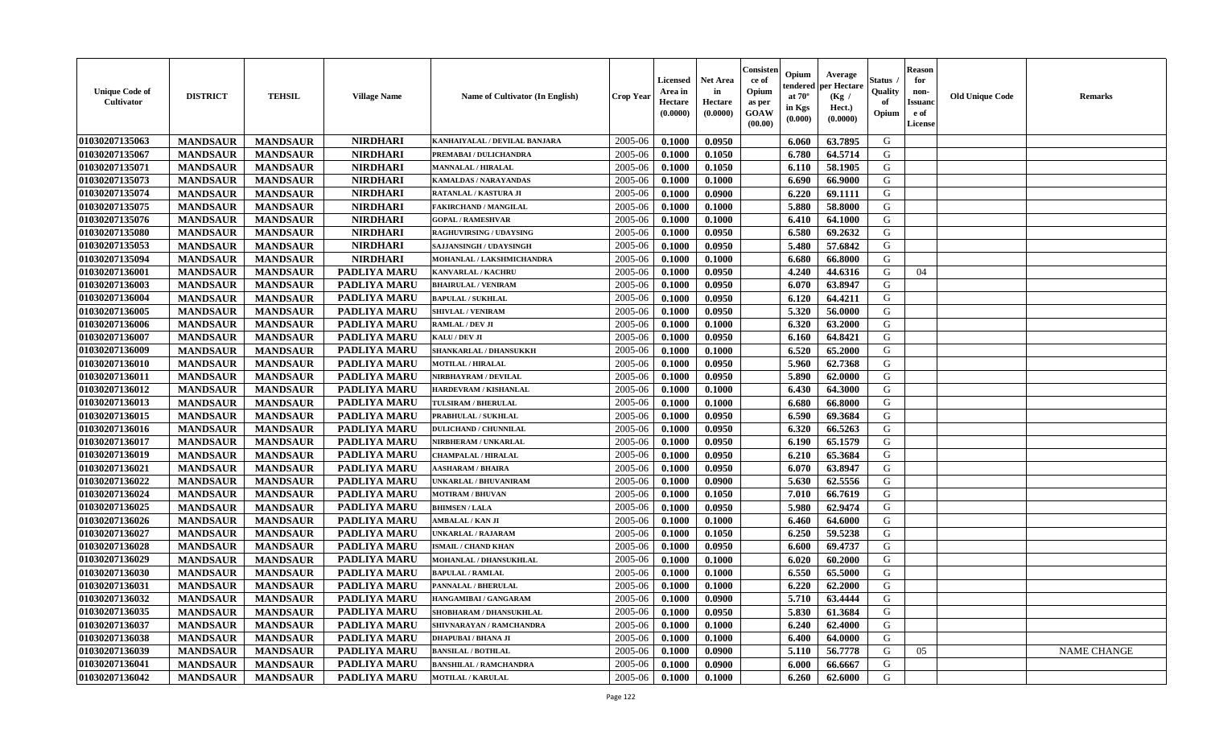| <b>Unique Code of</b><br><b>Cultivator</b> | <b>DISTRICT</b> | <b>TEHSIL</b>   | <b>Village Name</b> | Name of Cultivator (In English) | <b>Crop Year</b> | <b>Licensed</b><br>Area in<br>Hectare<br>(0.0000) | <b>Net Area</b><br>in<br>Hectare<br>(0.0000) | Consister<br>ce of<br>Opium<br>as per<br>GOAW<br>(00.00) | Opium<br>endered<br>at $70^\circ$<br>in Kgs<br>(0.000) | Average<br>per Hectare<br>(Kg /<br>Hect.)<br>(0.0000) | Status<br>Quality<br>of<br>Opium | <b>Reason</b><br>for<br>non-<br><b>Issuand</b><br>e of<br>License | <b>Old Unique Code</b> | Remarks            |
|--------------------------------------------|-----------------|-----------------|---------------------|---------------------------------|------------------|---------------------------------------------------|----------------------------------------------|----------------------------------------------------------|--------------------------------------------------------|-------------------------------------------------------|----------------------------------|-------------------------------------------------------------------|------------------------|--------------------|
| 01030207135063                             | <b>MANDSAUR</b> | <b>MANDSAUR</b> | <b>NIRDHARI</b>     | KANHAIYALAL / DEVILAL BANJARA   | 2005-06          | 0.1000                                            | 0.0950                                       |                                                          | 6.060                                                  | 63.7895                                               | G                                |                                                                   |                        |                    |
| 01030207135067                             | <b>MANDSAUR</b> | <b>MANDSAUR</b> | <b>NIRDHARI</b>     | PREMABAI / DULICHANDRA          | 2005-06          | 0.1000                                            | 0.1050                                       |                                                          | 6.780                                                  | 64.5714                                               | G                                |                                                                   |                        |                    |
| 01030207135071                             | <b>MANDSAUR</b> | <b>MANDSAUR</b> | <b>NIRDHARI</b>     | <b>MANNALAL / HIRALAL</b>       | 2005-06          | 0.1000                                            | 0.1050                                       |                                                          | 6.110                                                  | 58.1905                                               | G                                |                                                                   |                        |                    |
| 01030207135073                             | <b>MANDSAUR</b> | <b>MANDSAUR</b> | <b>NIRDHARI</b>     | <b>KAMALDAS / NARAYANDAS</b>    | 2005-06          | 0.1000                                            | 0.1000                                       |                                                          | 6.690                                                  | 66.9000                                               | G                                |                                                                   |                        |                    |
| 01030207135074                             | <b>MANDSAUR</b> | <b>MANDSAUR</b> | <b>NIRDHARI</b>     | RATANLAL / KASTURA JI           | 2005-06          | 0.1000                                            | 0.0900                                       |                                                          | 6.220                                                  | 69.1111                                               | G                                |                                                                   |                        |                    |
| 01030207135075                             | <b>MANDSAUR</b> | <b>MANDSAUR</b> | <b>NIRDHARI</b>     | <b>FAKIRCHAND / MANGILAL</b>    | 2005-06          | 0.1000                                            | 0.1000                                       |                                                          | 5.880                                                  | 58.8000                                               | G                                |                                                                   |                        |                    |
| 01030207135076                             | <b>MANDSAUR</b> | <b>MANDSAUR</b> | <b>NIRDHARI</b>     | <b>GOPAL / RAMESHVAR</b>        | 2005-06          | 0.1000                                            | 0.1000                                       |                                                          | 6.410                                                  | 64.1000                                               | G                                |                                                                   |                        |                    |
| 01030207135080                             | <b>MANDSAUR</b> | <b>MANDSAUR</b> | <b>NIRDHARI</b>     | <b>RAGHUVIRSING / UDAYSING</b>  | 2005-06          | 0.1000                                            | 0.0950                                       |                                                          | 6.580                                                  | 69.2632                                               | G                                |                                                                   |                        |                    |
| 01030207135053                             | <b>MANDSAUR</b> | <b>MANDSAUR</b> | <b>NIRDHARI</b>     | SAJJANSINGH / UDAYSINGH         | 2005-06          | 0.1000                                            | 0.0950                                       |                                                          | 5.480                                                  | 57.6842                                               | G                                |                                                                   |                        |                    |
| 01030207135094                             | <b>MANDSAUR</b> | <b>MANDSAUR</b> | <b>NIRDHARI</b>     | MOHANLAL / LAKSHMICHANDRA       | 2005-06          | 0.1000                                            | 0.1000                                       |                                                          | 6.680                                                  | 66.8000                                               | G                                |                                                                   |                        |                    |
| 01030207136001                             | <b>MANDSAUR</b> | <b>MANDSAUR</b> | PADLIYA MARU        | <b>KANVARLAL / KACHRU</b>       | 2005-06          | 0.1000                                            | 0.0950                                       |                                                          | 4.240                                                  | 44.6316                                               | G                                | 04                                                                |                        |                    |
| 01030207136003                             | <b>MANDSAUR</b> | <b>MANDSAUR</b> | <b>PADLIYA MARU</b> | <b>BHAIRULAL / VENIRAM</b>      | 2005-06          | 0.1000                                            | 0.0950                                       |                                                          | 6.070                                                  | 63.8947                                               | G                                |                                                                   |                        |                    |
| 01030207136004                             | <b>MANDSAUR</b> | <b>MANDSAUR</b> | PADLIYA MARU        | <b>BAPULAL / SUKHLAL</b>        | 2005-06          | 0.1000                                            | 0.0950                                       |                                                          | 6.120                                                  | 64.4211                                               | G                                |                                                                   |                        |                    |
| 01030207136005                             | <b>MANDSAUR</b> | <b>MANDSAUR</b> | <b>PADLIYA MARU</b> | SHIVLAL / VENIRAM               | 2005-06          | 0.1000                                            | 0.0950                                       |                                                          | 5.320                                                  | 56.0000                                               | G                                |                                                                   |                        |                    |
| 01030207136006                             | <b>MANDSAUR</b> | <b>MANDSAUR</b> | PADLIYA MARU        | <b>RAMLAL / DEV JI</b>          | 2005-06          | 0.1000                                            | 0.1000                                       |                                                          | 6.320                                                  | 63.2000                                               | $\mathbf G$                      |                                                                   |                        |                    |
| 01030207136007                             | <b>MANDSAUR</b> | <b>MANDSAUR</b> | <b>PADLIYA MARU</b> | KALU / DEV JI                   | 2005-06          | 0.1000                                            | 0.0950                                       |                                                          | 6.160                                                  | 64.8421                                               | G                                |                                                                   |                        |                    |
| 01030207136009                             | <b>MANDSAUR</b> | <b>MANDSAUR</b> | <b>PADLIYA MARU</b> | SHANKARLAL / DHANSUKKH          | 2005-06          | 0.1000                                            | 0.1000                                       |                                                          | 6.520                                                  | 65.2000                                               | G                                |                                                                   |                        |                    |
| 01030207136010                             | <b>MANDSAUR</b> | <b>MANDSAUR</b> | PADLIYA MARU        | <b>MOTILAL / HIRALAL</b>        | 2005-06          | 0.1000                                            | 0.0950                                       |                                                          | 5.960                                                  | 62.7368                                               | G                                |                                                                   |                        |                    |
| 01030207136011                             | <b>MANDSAUR</b> | <b>MANDSAUR</b> | PADLIYA MARU        | NIRBHAYRAM / DEVILAL            | 2005-06          | 0.1000                                            | 0.0950                                       |                                                          | 5.890                                                  | 62.0000                                               | G                                |                                                                   |                        |                    |
| 01030207136012                             | <b>MANDSAUR</b> | <b>MANDSAUR</b> | <b>PADLIYA MARU</b> | HARDEVRAM / KISHANLAL           | 2005-06          | 0.1000                                            | 0.1000                                       |                                                          | 6.430                                                  | 64.3000                                               | G                                |                                                                   |                        |                    |
| 01030207136013                             | <b>MANDSAUR</b> | <b>MANDSAUR</b> | <b>PADLIYA MARU</b> | TULSIRAM / BHERULAL             | 2005-06          | 0.1000                                            | 0.1000                                       |                                                          | 6.680                                                  | 66.8000                                               | G                                |                                                                   |                        |                    |
| 01030207136015                             | <b>MANDSAUR</b> | <b>MANDSAUR</b> | <b>PADLIYA MARU</b> | PRABHULAL / SUKHLAL             | 2005-06          | 0.1000                                            | 0.0950                                       |                                                          | 6.590                                                  | 69.3684                                               | G                                |                                                                   |                        |                    |
| 01030207136016                             | <b>MANDSAUR</b> | <b>MANDSAUR</b> | PADLIYA MARU        | <b>DULICHAND / CHUNNILAL</b>    | 2005-06          | 0.1000                                            | 0.0950                                       |                                                          | 6.320                                                  | 66.5263                                               | G                                |                                                                   |                        |                    |
| 01030207136017                             | <b>MANDSAUR</b> | <b>MANDSAUR</b> | <b>PADLIYA MARU</b> | NIRBHERAM / UNKARLAL            | 2005-06          | 0.1000                                            | 0.0950                                       |                                                          | 6.190                                                  | 65.1579                                               | G                                |                                                                   |                        |                    |
| 01030207136019                             | <b>MANDSAUR</b> | <b>MANDSAUR</b> | PADLIYA MARU        | <b>CHAMPALAL / HIRALAL</b>      | 2005-06          | 0.1000                                            | 0.0950                                       |                                                          | 6.210                                                  | 65.3684                                               | G                                |                                                                   |                        |                    |
| 01030207136021                             | <b>MANDSAUR</b> | <b>MANDSAUR</b> | PADLIYA MARU        | AASHARAM / BHAIRA               | 2005-06          | 0.1000                                            | 0.0950                                       |                                                          | 6.070                                                  | 63.8947                                               | G                                |                                                                   |                        |                    |
| 01030207136022                             | <b>MANDSAUR</b> | <b>MANDSAUR</b> | PADLIYA MARU        | UNKARLAL / BHUVANIRAM           | 2005-06          | 0.1000                                            | 0.0900                                       |                                                          | 5.630                                                  | 62.5556                                               | G                                |                                                                   |                        |                    |
| 01030207136024                             | <b>MANDSAUR</b> | <b>MANDSAUR</b> | PADLIYA MARU        | <b>MOTIRAM / BHUVAN</b>         | 2005-06          | 0.1000                                            | 0.1050                                       |                                                          | 7.010                                                  | 66.7619                                               | G                                |                                                                   |                        |                    |
| 01030207136025                             | <b>MANDSAUR</b> | <b>MANDSAUR</b> | PADLIYA MARU        | <b>BHIMSEN / LALA</b>           | 2005-06          | 0.1000                                            | 0.0950                                       |                                                          | 5.980                                                  | 62.9474                                               | G                                |                                                                   |                        |                    |
| 01030207136026                             | <b>MANDSAUR</b> | <b>MANDSAUR</b> | PADLIYA MARU        | <b>AMBALAL / KAN JI</b>         | 2005-06          | 0.1000                                            | 0.1000                                       |                                                          | 6.460                                                  | 64.6000                                               | G                                |                                                                   |                        |                    |
| 01030207136027                             | <b>MANDSAUR</b> | <b>MANDSAUR</b> | PADLIYA MARU        | UNKARLAL / RAJARAM              | 2005-06          | 0.1000                                            | 0.1050                                       |                                                          | 6.250                                                  | 59.5238                                               | G                                |                                                                   |                        |                    |
| 01030207136028                             | <b>MANDSAUR</b> | <b>MANDSAUR</b> | PADLIYA MARU        | <b>ISMAIL / CHAND KHAN</b>      | 2005-06          | 0.1000                                            | 0.0950                                       |                                                          | 6.600                                                  | 69.4737                                               | G                                |                                                                   |                        |                    |
| 01030207136029                             | <b>MANDSAUR</b> | <b>MANDSAUR</b> | <b>PADLIYA MARU</b> | MOHANLAL / DHANSUKHLAL          | 2005-06          | 0.1000                                            | 0.1000                                       |                                                          | 6.020                                                  | 60.2000                                               | G                                |                                                                   |                        |                    |
| 01030207136030                             | <b>MANDSAUR</b> | <b>MANDSAUR</b> | <b>PADLIYA MARU</b> | <b>BAPULAL / RAMLAL</b>         | 2005-06          | 0.1000                                            | 0.1000                                       |                                                          | 6.550                                                  | 65.5000                                               | G                                |                                                                   |                        |                    |
| 01030207136031                             | <b>MANDSAUR</b> | <b>MANDSAUR</b> | <b>PADLIYA MARU</b> | PANNALAL / BHERULAL             | 2005-06          | 0.1000                                            | 0.1000                                       |                                                          | 6.220                                                  | 62.2000                                               | G                                |                                                                   |                        |                    |
| 01030207136032                             | <b>MANDSAUR</b> | <b>MANDSAUR</b> | <b>PADLIYA MARU</b> | HANGAMIBAI / GANGARAM           | 2005-06          | 0.1000                                            | 0.0900                                       |                                                          | 5.710                                                  | 63.4444                                               | G                                |                                                                   |                        |                    |
| 01030207136035                             | <b>MANDSAUR</b> | <b>MANDSAUR</b> | PADLIYA MARU        | SHOBHARAM / DHANSUKHLAL         | 2005-06          | 0.1000                                            | 0.0950                                       |                                                          | 5.830                                                  | 61.3684                                               | G                                |                                                                   |                        |                    |
| 01030207136037                             | <b>MANDSAUR</b> | <b>MANDSAUR</b> | PADLIYA MARU        | SHIVNARAYAN / RAMCHANDRA        | 2005-06          | 0.1000                                            | 0.1000                                       |                                                          | 6.240                                                  | 62.4000                                               | G                                |                                                                   |                        |                    |
| 01030207136038                             | <b>MANDSAUR</b> | <b>MANDSAUR</b> | <b>PADLIYA MARU</b> | <b>DHAPUBAI/BHANA JI</b>        | 2005-06          | 0.1000                                            | 0.1000                                       |                                                          | 6.400                                                  | 64.0000                                               | G                                |                                                                   |                        |                    |
| 01030207136039                             | <b>MANDSAUR</b> | <b>MANDSAUR</b> | <b>PADLIYA MARU</b> | <b>BANSILAL / BOTHLAL</b>       | 2005-06          | 0.1000                                            | 0.0900                                       |                                                          | 5.110                                                  | 56.7778                                               | G                                | 05                                                                |                        | <b>NAME CHANGE</b> |
| 01030207136041                             | <b>MANDSAUR</b> | <b>MANDSAUR</b> | <b>PADLIYA MARU</b> | <b>BANSHILAL / RAMCHANDRA</b>   | 2005-06          | 0.1000                                            | 0.0900                                       |                                                          | 6.000                                                  | 66.6667                                               | G                                |                                                                   |                        |                    |
| 01030207136042                             | <b>MANDSAUR</b> | <b>MANDSAUR</b> | PADLIYA MARU        | <b>MOTILAL / KARULAL</b>        | 2005-06          | 0.1000                                            | 0.1000                                       |                                                          | 6.260                                                  | 62.6000                                               | G                                |                                                                   |                        |                    |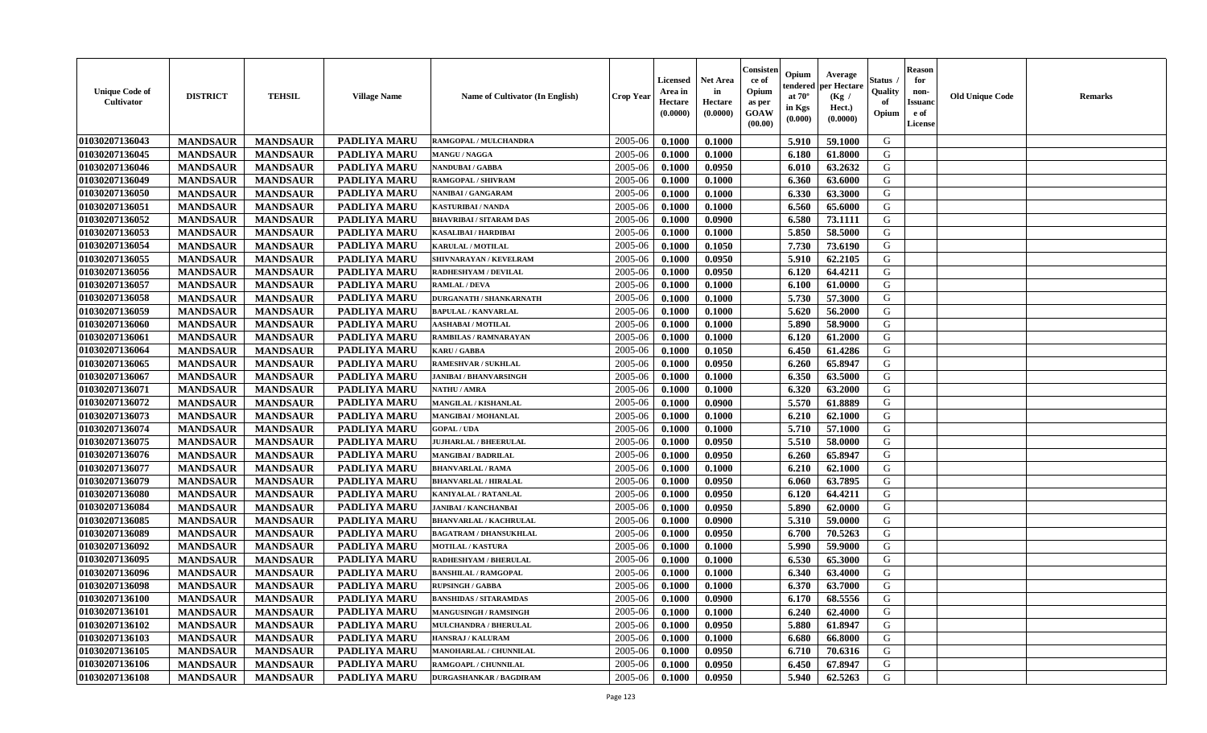| <b>Unique Code of</b><br>Cultivator | <b>DISTRICT</b> | <b>TEHSIL</b>   | <b>Village Name</b> | <b>Name of Cultivator (In English)</b> | <b>Crop Year</b> | Licensed<br>Area in<br>Hectare<br>(0.0000) | <b>Net Area</b><br>in<br>Hectare<br>(0.0000) | Consister<br>ce of<br>Opium<br>as per<br>GOAW<br>(00.00) | Opium<br>endered<br>at $70^\circ$<br>in Kgs<br>(0.000) | Average<br>per Hectare<br>(Kg /<br>Hect.)<br>(0.0000) | Status<br>Quality<br>of<br>Opium | <b>Reason</b><br>for<br>non-<br><b>Issuanc</b><br>e of<br>License | <b>Old Unique Code</b> | Remarks |
|-------------------------------------|-----------------|-----------------|---------------------|----------------------------------------|------------------|--------------------------------------------|----------------------------------------------|----------------------------------------------------------|--------------------------------------------------------|-------------------------------------------------------|----------------------------------|-------------------------------------------------------------------|------------------------|---------|
| 01030207136043                      | <b>MANDSAUR</b> | <b>MANDSAUR</b> | <b>PADLIYA MARU</b> | RAMGOPAL / MULCHANDRA                  | 2005-06          | 0.1000                                     | 0.1000                                       |                                                          | 5.910                                                  | 59.1000                                               | G                                |                                                                   |                        |         |
| 01030207136045                      | <b>MANDSAUR</b> | <b>MANDSAUR</b> | <b>PADLIYA MARU</b> | MANGU / NAGGA                          | 2005-06          | 0.1000                                     | 0.1000                                       |                                                          | 6.180                                                  | 61.8000                                               | G                                |                                                                   |                        |         |
| 01030207136046                      | <b>MANDSAUR</b> | <b>MANDSAUR</b> | PADLIYA MARU        | <b>NANDUBAI/GABBA</b>                  | 2005-06          | 0.1000                                     | 0.0950                                       |                                                          | 6.010                                                  | 63.2632                                               | G                                |                                                                   |                        |         |
| 01030207136049                      | <b>MANDSAUR</b> | <b>MANDSAUR</b> | <b>PADLIYA MARU</b> | RAMGOPAL / SHIVRAM                     | 2005-06          | 0.1000                                     | 0.1000                                       |                                                          | 6.360                                                  | 63.6000                                               | G                                |                                                                   |                        |         |
| 01030207136050                      | <b>MANDSAUR</b> | <b>MANDSAUR</b> | PADLIYA MARU        | NANIBAI / GANGARAM                     | 2005-06          | 0.1000                                     | 0.1000                                       |                                                          | 6.330                                                  | 63.3000                                               | G                                |                                                                   |                        |         |
| 01030207136051                      | <b>MANDSAUR</b> | <b>MANDSAUR</b> | PADLIYA MARU        | KASTURIBAI / NANDA                     | 2005-06          | 0.1000                                     | 0.1000                                       |                                                          | 6.560                                                  | 65.6000                                               | G                                |                                                                   |                        |         |
| 01030207136052                      | <b>MANDSAUR</b> | <b>MANDSAUR</b> | PADLIYA MARU        | BHAVRIBAI / SITARAM DAS                | 2005-06          | 0.1000                                     | 0.0900                                       |                                                          | 6.580                                                  | 73.1111                                               | G                                |                                                                   |                        |         |
| 01030207136053                      | <b>MANDSAUR</b> | <b>MANDSAUR</b> | PADLIYA MARU        | <b>KASALIBAI / HARDIBAI</b>            | 2005-06          | 0.1000                                     | 0.1000                                       |                                                          | 5.850                                                  | 58.5000                                               | G                                |                                                                   |                        |         |
| 01030207136054                      | <b>MANDSAUR</b> | <b>MANDSAUR</b> | <b>PADLIYA MARU</b> | <b>KARULAL / MOTILAL</b>               | 2005-06          | 0.1000                                     | 0.1050                                       |                                                          | 7.730                                                  | 73.6190                                               | G                                |                                                                   |                        |         |
| 01030207136055                      | <b>MANDSAUR</b> | <b>MANDSAUR</b> | PADLIYA MARU        | SHIVNARAYAN / KEVELRAM                 | 2005-06          | 0.1000                                     | 0.0950                                       |                                                          | 5.910                                                  | 62.2105                                               | G                                |                                                                   |                        |         |
| 01030207136056                      | <b>MANDSAUR</b> | <b>MANDSAUR</b> | PADLIYA MARU        | <b>RADHESHYAM / DEVILAL</b>            | 2005-06          | 0.1000                                     | 0.0950                                       |                                                          | 6.120                                                  | 64.4211                                               | G                                |                                                                   |                        |         |
| 01030207136057                      | <b>MANDSAUR</b> | <b>MANDSAUR</b> | PADLIYA MARU        | <b>RAMLAL / DEVA</b>                   | 2005-06          | 0.1000                                     | 0.1000                                       |                                                          | 6.100                                                  | 61.0000                                               | G                                |                                                                   |                        |         |
| 01030207136058                      | <b>MANDSAUR</b> | <b>MANDSAUR</b> | PADLIYA MARU        | <b>DURGANATH / SHANKARNATH</b>         | 2005-06          | 0.1000                                     | 0.1000                                       |                                                          | 5.730                                                  | 57.3000                                               | G                                |                                                                   |                        |         |
| 01030207136059                      | <b>MANDSAUR</b> | <b>MANDSAUR</b> | <b>PADLIYA MARU</b> | <b>BAPULAL / KANVARLAL</b>             | 2005-06          | 0.1000                                     | 0.1000                                       |                                                          | 5.620                                                  | 56.2000                                               | G                                |                                                                   |                        |         |
| 01030207136060                      | <b>MANDSAUR</b> | <b>MANDSAUR</b> | PADLIYA MARU        | <b>AASHABAI / MOTILAL</b>              | 2005-06          | 0.1000                                     | 0.1000                                       |                                                          | 5.890                                                  | 58.9000                                               | ${\bf G}$                        |                                                                   |                        |         |
| 01030207136061                      | <b>MANDSAUR</b> | <b>MANDSAUR</b> | PADLIYA MARU        | RAMBILAS / RAMNARAYAN                  | 2005-06          | 0.1000                                     | 0.1000                                       |                                                          | 6.120                                                  | 61.2000                                               | G                                |                                                                   |                        |         |
| 01030207136064                      | <b>MANDSAUR</b> | <b>MANDSAUR</b> | PADLIYA MARU        | <b>KARU/GABBA</b>                      | 2005-06          | 0.1000                                     | 0.1050                                       |                                                          | 6.450                                                  | 61.4286                                               | G                                |                                                                   |                        |         |
| 01030207136065                      | <b>MANDSAUR</b> | <b>MANDSAUR</b> | PADLIYA MARU        | RAMESHVAR / SUKHLAL                    | 2005-06          | 0.1000                                     | 0.0950                                       |                                                          | 6.260                                                  | 65.8947                                               | G                                |                                                                   |                        |         |
| 01030207136067                      | <b>MANDSAUR</b> | <b>MANDSAUR</b> | PADLIYA MARU        | <b>JANIBAI / BHANVARSINGH</b>          | 2005-06          | 0.1000                                     | 0.1000                                       |                                                          | 6.350                                                  | 63.5000                                               | G                                |                                                                   |                        |         |
| 01030207136071                      | <b>MANDSAUR</b> | <b>MANDSAUR</b> | PADLIYA MARU        | <b>NATHU / AMRA</b>                    | 2005-06          | 0.1000                                     | 0.1000                                       |                                                          | 6.320                                                  | 63.2000                                               | G                                |                                                                   |                        |         |
| 01030207136072                      | <b>MANDSAUR</b> | <b>MANDSAUR</b> | <b>PADLIYA MARU</b> | MANGILAL / KISHANLAL                   | 2005-06          | 0.1000                                     | 0.0900                                       |                                                          | 5.570                                                  | 61.8889                                               | G                                |                                                                   |                        |         |
| 01030207136073                      | <b>MANDSAUR</b> | <b>MANDSAUR</b> | <b>PADLIYA MARU</b> | <b>MANGIBAI/MOHANLAL</b>               | 2005-06          | 0.1000                                     | 0.1000                                       |                                                          | 6.210                                                  | 62.1000                                               | G                                |                                                                   |                        |         |
| 01030207136074                      | <b>MANDSAUR</b> | <b>MANDSAUR</b> | PADLIYA MARU        | <b>GOPAL / UDA</b>                     | 2005-06          | 0.1000                                     | 0.1000                                       |                                                          | 5.710                                                  | 57.1000                                               | G                                |                                                                   |                        |         |
| 01030207136075                      | <b>MANDSAUR</b> | <b>MANDSAUR</b> | PADLIYA MARU        | <b>JUJHARLAL / BHEERULAL</b>           | 2005-06          | 0.1000                                     | 0.0950                                       |                                                          | 5.510                                                  | 58.0000                                               | G                                |                                                                   |                        |         |
| 01030207136076                      | <b>MANDSAUR</b> | <b>MANDSAUR</b> | PADLIYA MARU        | <b>MANGIBAI/BADRILAL</b>               | 2005-06          | 0.1000                                     | 0.0950                                       |                                                          | 6.260                                                  | 65.8947                                               | G                                |                                                                   |                        |         |
| 01030207136077                      | <b>MANDSAUR</b> | <b>MANDSAUR</b> | PADLIYA MARU        | <b>BHANVARLAL / RAMA</b>               | 2005-06          | 0.1000                                     | 0.1000                                       |                                                          | 6.210                                                  | 62.1000                                               | G                                |                                                                   |                        |         |
| 01030207136079                      | <b>MANDSAUR</b> | <b>MANDSAUR</b> | PADLIYA MARU        | <b>BHANVARLAL / HIRALAL</b>            | 2005-06          | 0.1000                                     | 0.0950                                       |                                                          | 6.060                                                  | 63.7895                                               | G                                |                                                                   |                        |         |
| 01030207136080                      | <b>MANDSAUR</b> | <b>MANDSAUR</b> | PADLIYA MARU        | <b>KANIYALAL / RATANLAL</b>            | 2005-06          | 0.1000                                     | 0.0950                                       |                                                          | 6.120                                                  | 64.4211                                               | G                                |                                                                   |                        |         |
| 01030207136084                      | <b>MANDSAUR</b> | <b>MANDSAUR</b> | <b>PADLIYA MARU</b> | <b>JANIBAI / KANCHANBAI</b>            | 2005-06          | 0.1000                                     | 0.0950                                       |                                                          | 5.890                                                  | 62.0000                                               | G                                |                                                                   |                        |         |
| 01030207136085                      | <b>MANDSAUR</b> | <b>MANDSAUR</b> | PADLIYA MARU        | <b>BHANVARLAL / KACHRULAL</b>          | 2005-06          | 0.1000                                     | 0.0900                                       |                                                          | 5.310                                                  | 59.0000                                               | G                                |                                                                   |                        |         |
| 01030207136089                      | <b>MANDSAUR</b> | <b>MANDSAUR</b> | PADLIYA MARU        | <b>BAGATRAM / DHANSUKHLAL</b>          | 2005-06          | 0.1000                                     | 0.0950                                       |                                                          | 6.700                                                  | 70.5263                                               | G                                |                                                                   |                        |         |
| 01030207136092                      | <b>MANDSAUR</b> | <b>MANDSAUR</b> | PADLIYA MARU        | <b>MOTILAL / KASTURA</b>               | 2005-06          | 0.1000                                     | 0.1000                                       |                                                          | 5.990                                                  | 59.9000                                               | G                                |                                                                   |                        |         |
| 01030207136095                      | <b>MANDSAUR</b> | <b>MANDSAUR</b> | <b>PADLIYA MARU</b> | RADHESHYAM / BHERULAL                  | 2005-06          | 0.1000                                     | 0.1000                                       |                                                          | 6.530                                                  | 65.3000                                               | G                                |                                                                   |                        |         |
| 01030207136096                      | <b>MANDSAUR</b> | <b>MANDSAUR</b> | <b>PADLIYA MARU</b> | <b>BANSHILAL / RAMGOPAL</b>            | 2005-06          | 0.1000                                     | 0.1000                                       |                                                          | 6.340                                                  | 63.4000                                               | G                                |                                                                   |                        |         |
| 01030207136098                      | <b>MANDSAUR</b> | <b>MANDSAUR</b> | PADLIYA MARU        | <b>RUPSINGH / GABBA</b>                | 2005-06          | 0.1000                                     | 0.1000                                       |                                                          | 6.370                                                  | 63.7000                                               | G                                |                                                                   |                        |         |
| 01030207136100                      | <b>MANDSAUR</b> | <b>MANDSAUR</b> | <b>PADLIYA MARU</b> | <b>BANSHIDAS / SITARAMDAS</b>          | 2005-06          | 0.1000                                     | 0.0900                                       |                                                          | 6.170                                                  | 68.5556                                               | G                                |                                                                   |                        |         |
| 01030207136101                      | <b>MANDSAUR</b> | <b>MANDSAUR</b> | PADLIYA MARU        | <b>MANGUSINGH / RAMSINGH</b>           | 2005-06          | 0.1000                                     | 0.1000                                       |                                                          | 6.240                                                  | 62.4000                                               | G                                |                                                                   |                        |         |
| 01030207136102                      | <b>MANDSAUR</b> | <b>MANDSAUR</b> | PADLIYA MARU        | <b>MULCHANDRA / BHERULAL</b>           | 2005-06          | 0.1000                                     | 0.0950                                       |                                                          | 5.880                                                  | 61.8947                                               | G                                |                                                                   |                        |         |
| 01030207136103                      | <b>MANDSAUR</b> | <b>MANDSAUR</b> | PADLIYA MARU        | <b>HANSRAJ / KALURAM</b>               | 2005-06          | 0.1000                                     | 0.1000                                       |                                                          | 6.680                                                  | 66.8000                                               | G                                |                                                                   |                        |         |
| 01030207136105                      | <b>MANDSAUR</b> | <b>MANDSAUR</b> | PADLIYA MARU        | MANOHARLAL / CHUNNILAL                 | 2005-06          | 0.1000                                     | 0.0950                                       |                                                          | 6.710                                                  | 70.6316                                               | ${\bf G}$                        |                                                                   |                        |         |
| 01030207136106                      | <b>MANDSAUR</b> | <b>MANDSAUR</b> | <b>PADLIYA MARU</b> | RAMGOAPL / CHUNNILAL                   | 2005-06          | 0.1000                                     | 0.0950                                       |                                                          | 6.450                                                  | 67.8947                                               | G                                |                                                                   |                        |         |
| 01030207136108                      | <b>MANDSAUR</b> | <b>MANDSAUR</b> | PADLIYA MARU        | <b>DURGASHANKAR / BAGDIRAM</b>         | 2005-06          | 0.1000                                     | 0.0950                                       |                                                          | 5.940                                                  | 62.5263                                               | G                                |                                                                   |                        |         |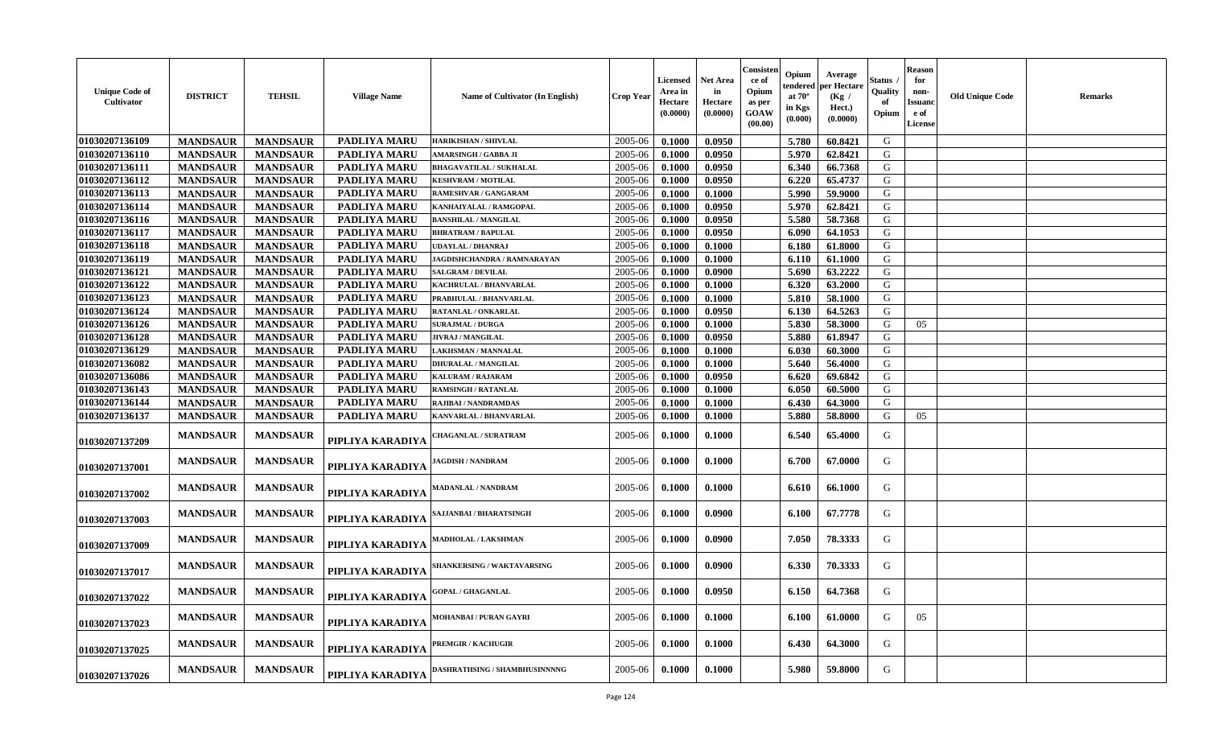| <b>Unique Code of</b><br>Cultivator | <b>DISTRICT</b>                    | <b>TEHSIL</b>                      | <b>Village Name</b>          | <b>Name of Cultivator (In English)</b> | <b>Crop Year</b> | Licensed<br>Area in<br>Hectare<br>(0.0000) | <b>Net Area</b><br>in<br>Hectare<br>(0.0000) | Consister<br>-ce of<br>Opium<br>as per<br><b>GOAW</b><br>(00.00) | Opium<br>endered<br>at $70^\circ$<br>in Kgs<br>(0.000) | Average<br>oer Hectare<br>(Kg /<br>Hect.)<br>(0.0000) | Status<br>Quality<br>of<br>Opium | <b>Reason</b><br>for<br>non-<br>Issuanc<br>e of<br>License | <b>Old Unique Code</b> | Remarks |
|-------------------------------------|------------------------------------|------------------------------------|------------------------------|----------------------------------------|------------------|--------------------------------------------|----------------------------------------------|------------------------------------------------------------------|--------------------------------------------------------|-------------------------------------------------------|----------------------------------|------------------------------------------------------------|------------------------|---------|
| 01030207136109                      | <b>MANDSAUR</b>                    | <b>MANDSAUR</b>                    | <b>PADLIYA MARU</b>          | <b>HARIKISHAN / SHIVLAL</b>            | 2005-06          | 0.1000                                     | 0.0950                                       |                                                                  | 5.780                                                  | 60.8421                                               | G                                |                                                            |                        |         |
| 01030207136110                      | <b>MANDSAUR</b>                    | <b>MANDSAUR</b>                    | PADLIYA MARU                 | <b>AMARSINGH / GABBA JI</b>            | 2005-06          | 0.1000                                     | 0.0950                                       |                                                                  | 5.970                                                  | 62.8421                                               | G                                |                                                            |                        |         |
| 01030207136111                      | <b>MANDSAUR</b>                    | <b>MANDSAUR</b>                    | <b>PADLIYA MARU</b>          | <b>BHAGAVATILAL / SUKHALAL</b>         | 2005-06          | 0.1000                                     | 0.0950                                       |                                                                  | 6.340                                                  | 66.7368                                               | G                                |                                                            |                        |         |
| 01030207136112                      | <b>MANDSAUR</b>                    | <b>MANDSAUR</b>                    | <b>PADLIYA MARU</b>          | <b>KESHVRAM / MOTILAL</b>              | 2005-06          | 0.1000                                     | 0.0950                                       |                                                                  | 6.220                                                  | 65.4737                                               | G                                |                                                            |                        |         |
| 01030207136113                      | <b>MANDSAUR</b>                    | <b>MANDSAUR</b>                    | PADLIYA MARU                 | RAMESHVAR / GANGARAM                   | 2005-06          | 0.1000                                     | 0.1000                                       |                                                                  | 5.990                                                  | 59.9000                                               | G                                |                                                            |                        |         |
| 01030207136114                      | <b>MANDSAUR</b>                    | <b>MANDSAUR</b>                    | PADLIYA MARU                 | KANHAIYALAL / RAMGOPAL                 | 2005-06          | 0.1000                                     | 0.0950                                       |                                                                  | 5.970                                                  | 62.8421                                               | G                                |                                                            |                        |         |
| 01030207136116                      | <b>MANDSAUR</b>                    | <b>MANDSAUR</b>                    | PADLIYA MARU                 | <b>BANSHILAL / MANGILAL</b>            | 2005-06          | 0.1000                                     | 0.0950                                       |                                                                  | 5.580                                                  | 58.7368                                               | G                                |                                                            |                        |         |
| 01030207136117                      | <b>MANDSAUR</b>                    | <b>MANDSAUR</b>                    | PADLIYA MARU                 | <b>BHRATRAM / BAPULAL</b>              | 2005-06          | 0.1000                                     | 0.0950                                       |                                                                  | 6.090                                                  | 64.1053                                               | G                                |                                                            |                        |         |
| 01030207136118                      | <b>MANDSAUR</b>                    | <b>MANDSAUR</b>                    | PADLIYA MARU                 | <b>UDAYLAL / DHANRAJ</b>               | 2005-06          | 0.1000                                     | 0.1000                                       |                                                                  | 6.180                                                  | 61.8000                                               | G                                |                                                            |                        |         |
| 01030207136119                      | <b>MANDSAUR</b>                    | <b>MANDSAUR</b>                    | <b>PADLIYA MARU</b>          | JAGDISHCHANDRA / RAMNARAYAN            | 2005-06          | 0.1000                                     | 0.1000                                       |                                                                  | 6.110                                                  | 61.1000                                               | G                                |                                                            |                        |         |
| 01030207136121                      | <b>MANDSAUR</b>                    | <b>MANDSAUR</b>                    | PADLIYA MARU                 | <b>SALGRAM / DEVILAL</b>               | 2005-06          | 0.1000                                     | 0.0900                                       |                                                                  | 5.690                                                  | 63.2222                                               | G                                |                                                            |                        |         |
| 01030207136122                      | <b>MANDSAUR</b>                    | <b>MANDSAUR</b>                    | PADLIYA MARU                 | <b>KACHRULAL / BHANVARLAL</b>          | 2005-06          | 0.1000                                     | 0.1000                                       |                                                                  | 6.320                                                  | 63.2000                                               | G                                |                                                            |                        |         |
| 01030207136123                      | <b>MANDSAUR</b>                    | <b>MANDSAUR</b>                    | PADLIYA MARU                 | PRABHULAL / BHANVARLAL                 | 2005-06          | 0.1000                                     | 0.1000                                       |                                                                  | 5.810                                                  | 58.1000                                               | G                                |                                                            |                        |         |
| 01030207136124                      | <b>MANDSAUR</b>                    | <b>MANDSAUR</b>                    | PADLIYA MARU                 | RATANLAL / ONKARLAL                    | 2005-06          | 0.1000                                     | 0.0950                                       |                                                                  | 6.130                                                  | 64.5263                                               | G                                |                                                            |                        |         |
| 01030207136126                      | <b>MANDSAUR</b>                    | <b>MANDSAUR</b>                    | <b>PADLIYA MARU</b>          | <b>SURAJMAL / DURGA</b>                | 2005-06          | 0.1000                                     | 0.1000                                       |                                                                  | 5.830                                                  | 58.3000                                               | G                                | 05                                                         |                        |         |
| 01030207136128                      | <b>MANDSAUR</b>                    | <b>MANDSAUR</b>                    | PADLIYA MARU                 | <b>JIVRAJ / MANGILAL</b>               | 2005-06          | 0.1000                                     | 0.0950                                       |                                                                  | 5.880                                                  | 61.8947                                               | G                                |                                                            |                        |         |
| 01030207136129                      | <b>MANDSAUR</b>                    | <b>MANDSAUR</b>                    | <b>PADLIYA MARU</b>          | LAKHSMAN / MANNALAL                    | 2005-06          | 0.1000                                     | 0.1000                                       |                                                                  | 6.030                                                  | 60.3000                                               | G                                |                                                            |                        |         |
| 01030207136082                      |                                    |                                    | <b>PADLIYA MARU</b>          | <b>DHURALAL / MANGILAL</b>             | 2005-06          | 0.1000                                     | 0.1000                                       |                                                                  | 5.640                                                  | 56.4000                                               | G                                |                                                            |                        |         |
| 01030207136086                      | <b>MANDSAUR</b>                    | <b>MANDSAUR</b>                    |                              | <b>KALURAM / RAJARAM</b>               | 2005-06          | 0.1000                                     | 0.0950                                       |                                                                  | 6.620                                                  | 69.6842                                               | G                                |                                                            |                        |         |
| 01030207136143                      | <b>MANDSAUR</b><br><b>MANDSAUR</b> | <b>MANDSAUR</b><br><b>MANDSAUR</b> | PADLIYA MARU<br>PADLIYA MARU | <b>RAMSINGH / RATANLAL</b>             | 2005-06          | 0.1000                                     | 0.1000                                       |                                                                  | 6.050                                                  | 60.5000                                               | G                                |                                                            |                        |         |
| 01030207136144                      |                                    |                                    |                              | RAJIBAI / NANDRAMDAS                   | 2005-06          |                                            |                                              |                                                                  | 6.430                                                  | 64.3000                                               | G                                |                                                            |                        |         |
|                                     | <b>MANDSAUR</b>                    | <b>MANDSAUR</b>                    | PADLIYA MARU                 |                                        |                  | 0.1000                                     | 0.1000                                       |                                                                  |                                                        |                                                       | G                                |                                                            |                        |         |
| 01030207136137                      | <b>MANDSAUR</b>                    | <b>MANDSAUR</b>                    | PADLIYA MARU                 | KANVARLAL / BHANVARLAL                 | 2005-06          | 0.1000                                     | 0.1000                                       |                                                                  | 5.880                                                  | 58.8000                                               |                                  | 05                                                         |                        |         |
| 01030207137209                      | <b>MANDSAUR</b>                    | <b>MANDSAUR</b>                    | PIPLIYA KARADIYA             | <b>HAGANLAL / SURATRAM</b>             | 2005-06          | 0.1000                                     | 0.1000                                       |                                                                  | 6.540                                                  | 65.4000                                               | G                                |                                                            |                        |         |
| 01030207137001                      | <b>MANDSAUR</b>                    | <b>MANDSAUR</b>                    | PIPLIYA KARADIYA             | <b>AGDISH / NANDRAM</b>                | 2005-06          | 0.1000                                     | 0.1000                                       |                                                                  | 6.700                                                  | 67.0000                                               | G                                |                                                            |                        |         |
| 01030207137002                      | <b>MANDSAUR</b>                    | <b>MANDSAUR</b>                    | PIPLIYA KARADIYA             | <b>MADANLAL / NANDRAM</b>              | 2005-06          | 0.1000                                     | 0.1000                                       |                                                                  | 6.610                                                  | 66.1000                                               | G                                |                                                            |                        |         |
| 01030207137003                      | <b>MANDSAUR</b>                    | <b>MANDSAUR</b>                    | PIPLIYA KARADIYA             | AJJANBAI / BHARATSINGH                 | 2005-06          | 0.1000                                     | 0.0900                                       |                                                                  | 6.100                                                  | 67.7778                                               | G                                |                                                            |                        |         |
| 01030207137009                      | <b>MANDSAUR</b>                    | <b>MANDSAUR</b>                    | PIPLIYA KARADIYA             | MADHOLAL / LAKSHMAN                    | 2005-06          | 0.1000                                     | 0.0900                                       |                                                                  | 7.050                                                  | 78.3333                                               | G                                |                                                            |                        |         |
| 01030207137017                      | <b>MANDSAUR</b>                    | <b>MANDSAUR</b>                    | PIPLIYA KARADIYA             | SHANKERSING / WAKTAVARSING             | 2005-06          | 0.1000                                     | 0.0900                                       |                                                                  | 6.330                                                  | 70.3333                                               | G                                |                                                            |                        |         |
| 01030207137022                      | <b>MANDSAUR</b>                    | <b>MANDSAUR</b>                    | PIPLIYA KARADIYA             | <b>GOPAL / GHAGANLAL</b>               | 2005-06          | 0.1000                                     | 0.0950                                       |                                                                  | 6.150                                                  | 64.7368                                               | G                                |                                                            |                        |         |
| 01030207137023                      | <b>MANDSAUR</b>                    | <b>MANDSAUR</b>                    | PIPLIYA KARADIYA             | MOHANBAI / PURAN GAYRI                 | 2005-06          | 0.1000                                     | 0.1000                                       |                                                                  | 6.100                                                  | 61.0000                                               | G                                | 05                                                         |                        |         |
| 01030207137025                      | <b>MANDSAUR</b>                    | <b>MANDSAUR</b>                    | PIPLIYA KARADIYA             | <b>PREMGIR / KACHUGIR</b>              | 2005-06          | 0.1000                                     | 0.1000                                       |                                                                  | 6.430                                                  | 64.3000                                               | G                                |                                                            |                        |         |
| 01030207137026                      | <b>MANDSAUR</b>                    | <b>MANDSAUR</b>                    | PIPLIYA KARADIYA             | DASHRATHSING / SHAMBHUSINNNNG          | 2005-06          | 0.1000                                     | 0.1000                                       |                                                                  | 5.980                                                  | 59.8000                                               | G                                |                                                            |                        |         |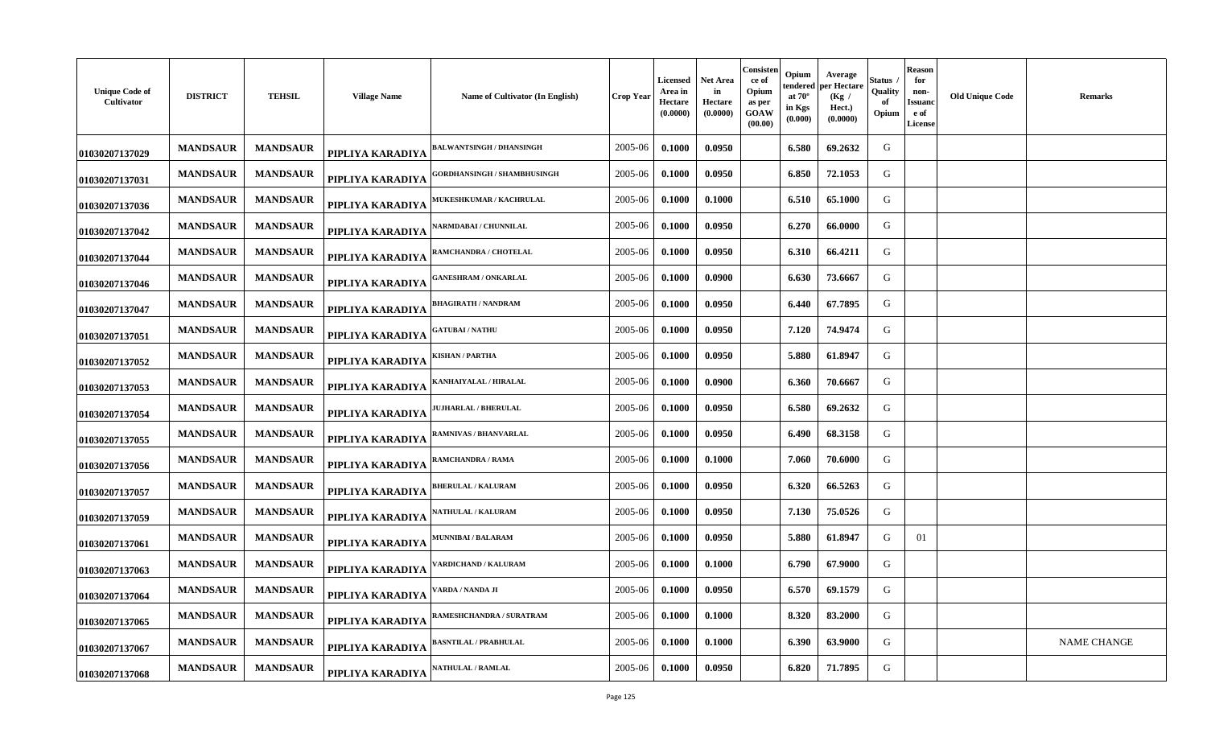| <b>Unique Code of</b><br>Cultivator | <b>DISTRICT</b> | <b>TEHSIL</b>   | <b>Village Name</b> | Name of Cultivator (In English)    | Crop Year | <b>Licensed</b><br>Area in<br>Hectare<br>(0.0000) | Net Area<br>in<br>Hectare<br>(0.0000) | Consisten<br>ce of<br>Opium<br>as per<br>GOAW<br>(00.00) | Opium<br>tendered<br>at $70^\circ$<br>in Kgs<br>(0.000) | Average<br>oer Hectare<br>(Kg /<br>Hect.)<br>(0.0000) | Status<br>Quality<br>-of<br>Opium | <b>Reason</b><br>for<br>non-<br>Issuand<br>e of<br><b>License</b> | <b>Old Unique Code</b> | <b>Remarks</b>     |
|-------------------------------------|-----------------|-----------------|---------------------|------------------------------------|-----------|---------------------------------------------------|---------------------------------------|----------------------------------------------------------|---------------------------------------------------------|-------------------------------------------------------|-----------------------------------|-------------------------------------------------------------------|------------------------|--------------------|
| 01030207137029                      | <b>MANDSAUR</b> | <b>MANDSAUR</b> | PIPLIYA KARADIYA    | <b>BALWANTSINGH / DHANSINGH</b>    | 2005-06   | 0.1000                                            | 0.0950                                |                                                          | 6.580                                                   | 69.2632                                               | G                                 |                                                                   |                        |                    |
| 01030207137031                      | <b>MANDSAUR</b> | <b>MANDSAUR</b> | PIPLIYA KARADIYA    | <b>;ORDHANSINGH / SHAMBHUSINGH</b> | 2005-06   | 0.1000                                            | 0.0950                                |                                                          | 6.850                                                   | 72.1053                                               | G                                 |                                                                   |                        |                    |
| 01030207137036                      | <b>MANDSAUR</b> | <b>MANDSAUR</b> | PIPLIYA KARADIYA    | <b>MUKESHKUMAR / KACHRULAL</b>     | 2005-06   | 0.1000                                            | 0.1000                                |                                                          | 6.510                                                   | 65.1000                                               | G                                 |                                                                   |                        |                    |
| 01030207137042                      | <b>MANDSAUR</b> | <b>MANDSAUR</b> | PIPLIYA KARADIYA    | <b>NARMDABAI / CHUNNILAL</b>       | 2005-06   | 0.1000                                            | 0.0950                                |                                                          | 6.270                                                   | 66.0000                                               | G                                 |                                                                   |                        |                    |
| 01030207137044                      | <b>MANDSAUR</b> | <b>MANDSAUR</b> | PIPLIYA KARADIYA    | <b>AMCHANDRA / CHOTELAL</b>        | 2005-06   | 0.1000                                            | 0.0950                                |                                                          | 6.310                                                   | 66.4211                                               | G                                 |                                                                   |                        |                    |
| 01030207137046                      | <b>MANDSAUR</b> | <b>MANDSAUR</b> | PIPLIYA KARADIYA    | <b>ANESHRAM / ONKARLAL</b>         | 2005-06   | 0.1000                                            | 0.0900                                |                                                          | 6.630                                                   | 73.6667                                               | G                                 |                                                                   |                        |                    |
| 01030207137047                      | <b>MANDSAUR</b> | <b>MANDSAUR</b> | PIPLIYA KARADIYA    | <b>HAGIRATH / NANDRAM</b>          | 2005-06   | 0.1000                                            | 0.0950                                |                                                          | 6.440                                                   | 67.7895                                               | G                                 |                                                                   |                        |                    |
| 01030207137051                      | <b>MANDSAUR</b> | <b>MANDSAUR</b> | PIPLIYA KARADIYA    | <b>GATUBAI/NATHU</b>               | 2005-06   | 0.1000                                            | 0.0950                                |                                                          | 7.120                                                   | 74.9474                                               | G                                 |                                                                   |                        |                    |
| 01030207137052                      | <b>MANDSAUR</b> | <b>MANDSAUR</b> | PIPLIYA KARADIYA    | <b>ISHAN / PARTHA</b>              | 2005-06   | 0.1000                                            | 0.0950                                |                                                          | 5.880                                                   | 61.8947                                               | G                                 |                                                                   |                        |                    |
| 01030207137053                      | <b>MANDSAUR</b> | <b>MANDSAUR</b> | PIPLIYA KARADIYA    | <b>(ANHAIYALAL / HIRALAL</b>       | 2005-06   | 0.1000                                            | 0.0900                                |                                                          | 6.360                                                   | 70.6667                                               | G                                 |                                                                   |                        |                    |
| 01030207137054                      | <b>MANDSAUR</b> | <b>MANDSAUR</b> | PIPLIYA KARADIYA    | <b>JUHARLAL / BHERULAL</b>         | 2005-06   | 0.1000                                            | 0.0950                                |                                                          | 6.580                                                   | 69.2632                                               | G                                 |                                                                   |                        |                    |
| 01030207137055                      | <b>MANDSAUR</b> | <b>MANDSAUR</b> | PIPLIYA KARADIYA    | RAMNIVAS / BHANVARLAL              | 2005-06   | 0.1000                                            | 0.0950                                |                                                          | 6.490                                                   | 68.3158                                               | G                                 |                                                                   |                        |                    |
| 01030207137056                      | <b>MANDSAUR</b> | <b>MANDSAUR</b> | PIPLIYA KARADIYA    | RAMCHANDRA / RAMA                  | 2005-06   | 0.1000                                            | 0.1000                                |                                                          | 7.060                                                   | 70.6000                                               | G                                 |                                                                   |                        |                    |
| 01030207137057                      | <b>MANDSAUR</b> | <b>MANDSAUR</b> | PIPLIYA KARADIYA    | <b>BHERULAL / KALURAM</b>          | 2005-06   | 0.1000                                            | 0.0950                                |                                                          | 6.320                                                   | 66.5263                                               | G                                 |                                                                   |                        |                    |
| 01030207137059                      | <b>MANDSAUR</b> | <b>MANDSAUR</b> | PIPLIYA KARADIYA    | <b>ATHULAL / KALURAM</b>           | 2005-06   | 0.1000                                            | 0.0950                                |                                                          | 7.130                                                   | 75.0526                                               | G                                 |                                                                   |                        |                    |
| 01030207137061                      | <b>MANDSAUR</b> | <b>MANDSAUR</b> | PIPLIYA KARADIYA    | <b><i>AUNNIBAI/BALARAM</i></b>     | 2005-06   | 0.1000                                            | 0.0950                                |                                                          | 5.880                                                   | 61.8947                                               | G                                 | 01                                                                |                        |                    |
| 01030207137063                      | <b>MANDSAUR</b> | <b>MANDSAUR</b> | PIPLIYA KARADIYA    | ARDICHAND / KALURAM                | 2005-06   | 0.1000                                            | 0.1000                                |                                                          | 6.790                                                   | 67.9000                                               | G                                 |                                                                   |                        |                    |
| 01030207137064                      | <b>MANDSAUR</b> | <b>MANDSAUR</b> | PIPLIYA KARADIYA    | <b>ARDA / NANDA JI</b>             | 2005-06   | 0.1000                                            | 0.0950                                |                                                          | 6.570                                                   | 69.1579                                               | G                                 |                                                                   |                        |                    |
| 01030207137065                      | <b>MANDSAUR</b> | <b>MANDSAUR</b> | PIPLIYA KARADIYA    | AMESHCHANDRA / SURATRAM            | 2005-06   | 0.1000                                            | 0.1000                                |                                                          | 8.320                                                   | 83.2000                                               | G                                 |                                                                   |                        |                    |
| 01030207137067                      | <b>MANDSAUR</b> | <b>MANDSAUR</b> | PIPLIYA KARADIYA    | <b>BASNTILAL / PRABHULAL</b>       | 2005-06   | 0.1000                                            | 0.1000                                |                                                          | 6.390                                                   | 63.9000                                               | G                                 |                                                                   |                        | <b>NAME CHANGE</b> |
| 01030207137068                      | <b>MANDSAUR</b> | <b>MANDSAUR</b> | PIPLIYA KARADIYA    | <b>ATHULAL / RAMLAL</b>            | 2005-06   | 0.1000                                            | 0.0950                                |                                                          | 6.820                                                   | 71.7895                                               | G                                 |                                                                   |                        |                    |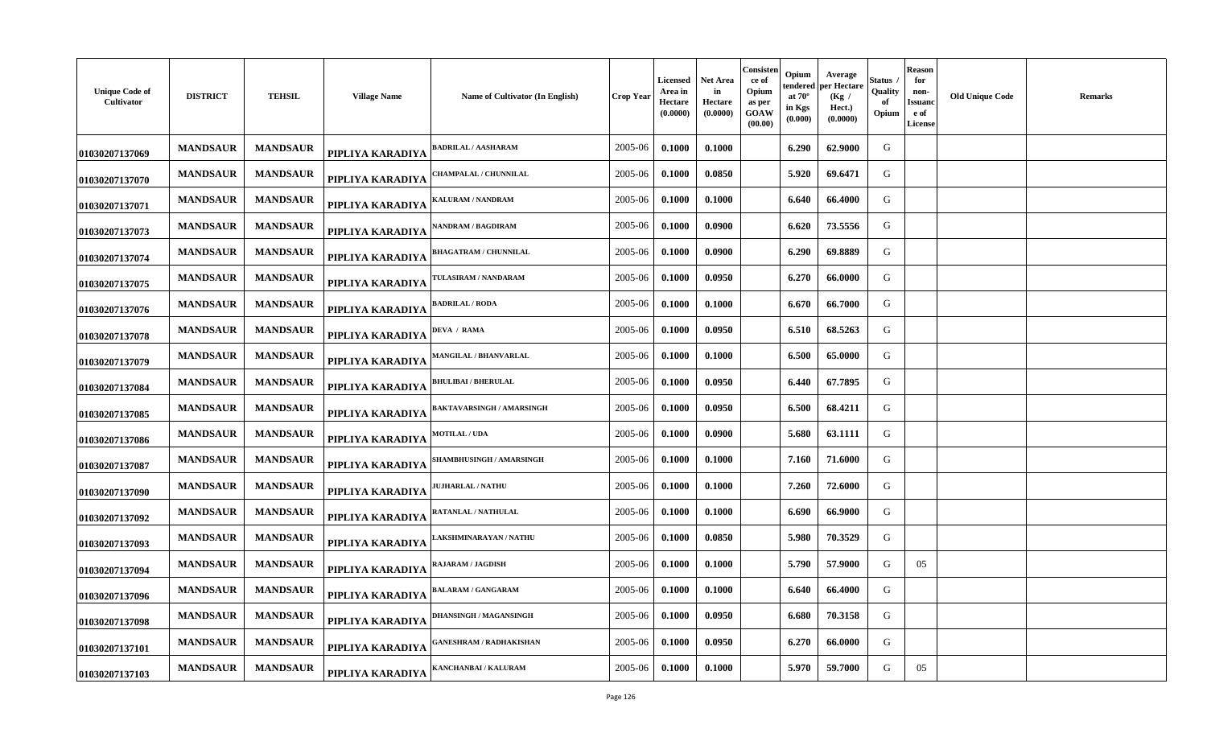| <b>Unique Code of</b><br>Cultivator | <b>DISTRICT</b> | <b>TEHSIL</b>   | <b>Village Name</b> | Name of Cultivator (In English) | <b>Crop Year</b> | Licensed<br>Area in<br>Hectare<br>(0.0000) | Net Area<br>in<br>Hectare<br>(0.0000) | Consisten<br>ce of<br>Opium<br>as per<br>GOAW<br>(00.00) | Opium<br>tendered<br>at $70^\circ$<br>in Kgs<br>(0.000) | Average<br>per Hectare<br>(Kg /<br>Hect.)<br>(0.0000) | Status<br>Quality<br>of<br>Opium | <b>Reason</b><br>for<br>non-<br>Issuanc<br>e of<br>License | <b>Old Unique Code</b> | <b>Remarks</b> |
|-------------------------------------|-----------------|-----------------|---------------------|---------------------------------|------------------|--------------------------------------------|---------------------------------------|----------------------------------------------------------|---------------------------------------------------------|-------------------------------------------------------|----------------------------------|------------------------------------------------------------|------------------------|----------------|
| 01030207137069                      | <b>MANDSAUR</b> | <b>MANDSAUR</b> | PIPLIYA KARADIYA    | ADRILAL / AASHARAM              | 2005-06          | 0.1000                                     | 0.1000                                |                                                          | 6.290                                                   | 62.9000                                               | G                                |                                                            |                        |                |
| 01030207137070                      | <b>MANDSAUR</b> | <b>MANDSAUR</b> | PIPLIYA KARADIYA    | 'HAMPALAL / CHUNNILAL           | 2005-06          | 0.1000                                     | 0.0850                                |                                                          | 5.920                                                   | 69.6471                                               | G                                |                                                            |                        |                |
| 01030207137071                      | <b>MANDSAUR</b> | <b>MANDSAUR</b> | PIPLIYA KARADIYA    | <b>ALURAM / NANDRAM</b>         | 2005-06          | 0.1000                                     | 0.1000                                |                                                          | 6.640                                                   | 66.4000                                               | G                                |                                                            |                        |                |
| 01030207137073                      | <b>MANDSAUR</b> | <b>MANDSAUR</b> | PIPLIYA KARADIYA    | <b>NANDRAM / BAGDIRAM</b>       | 2005-06          | 0.1000                                     | 0.0900                                |                                                          | 6.620                                                   | 73.5556                                               | G                                |                                                            |                        |                |
| 01030207137074                      | <b>MANDSAUR</b> | <b>MANDSAUR</b> | PIPLIYA KARADIYA    | <b>BHAGATRAM / CHUNNILAL</b>    | 2005-06          | 0.1000                                     | 0.0900                                |                                                          | 6.290                                                   | 69.8889                                               | G                                |                                                            |                        |                |
| 01030207137075                      | <b>MANDSAUR</b> | <b>MANDSAUR</b> | PIPLIYA KARADIYA    | <b>TULASIRAM / NANDARAM</b>     | 2005-06          | 0.1000                                     | 0.0950                                |                                                          | 6.270                                                   | 66.0000                                               | G                                |                                                            |                        |                |
| 01030207137076                      | <b>MANDSAUR</b> | <b>MANDSAUR</b> | PIPLIYA KARADIYA    | <b>ADRILAL / RODA</b>           | 2005-06          | 0.1000                                     | 0.1000                                |                                                          | 6.670                                                   | 66.7000                                               | G                                |                                                            |                        |                |
| 01030207137078                      | <b>MANDSAUR</b> | <b>MANDSAUR</b> | PIPLIYA KARADIYA    | DEVA / RAMA                     | 2005-06          | 0.1000                                     | 0.0950                                |                                                          | 6.510                                                   | 68.5263                                               | G                                |                                                            |                        |                |
| 01030207137079                      | <b>MANDSAUR</b> | <b>MANDSAUR</b> | PIPLIYA KARADIYA    | MANGILAL / BHANVARLAL           | 2005-06          | 0.1000                                     | 0.1000                                |                                                          | 6.500                                                   | 65.0000                                               | G                                |                                                            |                        |                |
| 01030207137084                      | <b>MANDSAUR</b> | <b>MANDSAUR</b> | PIPLIYA KARADIYA    | <b>BHULIBAI / BHERULAL</b>      | 2005-06          | 0.1000                                     | 0.0950                                |                                                          | 6.440                                                   | 67.7895                                               | G                                |                                                            |                        |                |
| 01030207137085                      | <b>MANDSAUR</b> | <b>MANDSAUR</b> | PIPLIYA KARADIYA    | BAKTAVARSINGH / AMARSINGH       | 2005-06          | 0.1000                                     | 0.0950                                |                                                          | 6.500                                                   | 68.4211                                               | G                                |                                                            |                        |                |
| 01030207137086                      | <b>MANDSAUR</b> | <b>MANDSAUR</b> | PIPLIYA KARADIYA    | <b>MOTILAL / UDA</b>            | 2005-06          | 0.1000                                     | 0.0900                                |                                                          | 5.680                                                   | 63.1111                                               | G                                |                                                            |                        |                |
| 01030207137087                      | <b>MANDSAUR</b> | <b>MANDSAUR</b> | PIPLIYA KARADIYA    | SHAMBHUSINGH / AMARSINGH        | 2005-06          | 0.1000                                     | 0.1000                                |                                                          | 7.160                                                   | 71.6000                                               | G                                |                                                            |                        |                |
| 01030207137090                      | <b>MANDSAUR</b> | <b>MANDSAUR</b> | PIPLIYA KARADIYA    | <b>JUHARLAL / NATHU</b>         | 2005-06          | 0.1000                                     | 0.1000                                |                                                          | 7.260                                                   | 72.6000                                               | G                                |                                                            |                        |                |
| 01030207137092                      | <b>MANDSAUR</b> | <b>MANDSAUR</b> | PIPLIYA KARADIYA    | RATANLAL / NATHULAL             | 2005-06          | 0.1000                                     | 0.1000                                |                                                          | 6.690                                                   | 66.9000                                               | G                                |                                                            |                        |                |
| 01030207137093                      | <b>MANDSAUR</b> | <b>MANDSAUR</b> | PIPLIYA KARADIYA    | AKSHMINARAYAN / NATHU           | 2005-06          | 0.1000                                     | 0.0850                                |                                                          | 5.980                                                   | 70.3529                                               | G                                |                                                            |                        |                |
| 01030207137094                      | <b>MANDSAUR</b> | <b>MANDSAUR</b> | PIPLIYA KARADIYA    | <b>RAJARAM / JAGDISH</b>        | 2005-06          | 0.1000                                     | 0.1000                                |                                                          | 5.790                                                   | 57.9000                                               | G                                | 05                                                         |                        |                |
| 01030207137096                      | <b>MANDSAUR</b> | <b>MANDSAUR</b> | PIPLIYA KARADIYA    | <b>BALARAM / GANGARAM</b>       | 2005-06          | 0.1000                                     | 0.1000                                |                                                          | 6.640                                                   | 66.4000                                               | G                                |                                                            |                        |                |
| 01030207137098                      | <b>MANDSAUR</b> | <b>MANDSAUR</b> | PIPLIYA KARADIYA    | <b>DHANSINGH / MAGANSINGH</b>   | 2005-06          | 0.1000                                     | 0.0950                                |                                                          | 6.680                                                   | 70.3158                                               | G                                |                                                            |                        |                |
| 01030207137101                      | <b>MANDSAUR</b> | <b>MANDSAUR</b> | PIPLIYA KARADIYA    | ANESHRAM / RADHAKISHAN          | 2005-06          | 0.1000                                     | 0.0950                                |                                                          | 6.270                                                   | 66.0000                                               | G                                |                                                            |                        |                |
| 01030207137103                      | <b>MANDSAUR</b> | <b>MANDSAUR</b> | PIPLIYA KARADIYA    | <b>(ANCHANBAI / KALURAM</b>     | 2005-06          | 0.1000                                     | 0.1000                                |                                                          | 5.970                                                   | 59.7000                                               | G                                | 05                                                         |                        |                |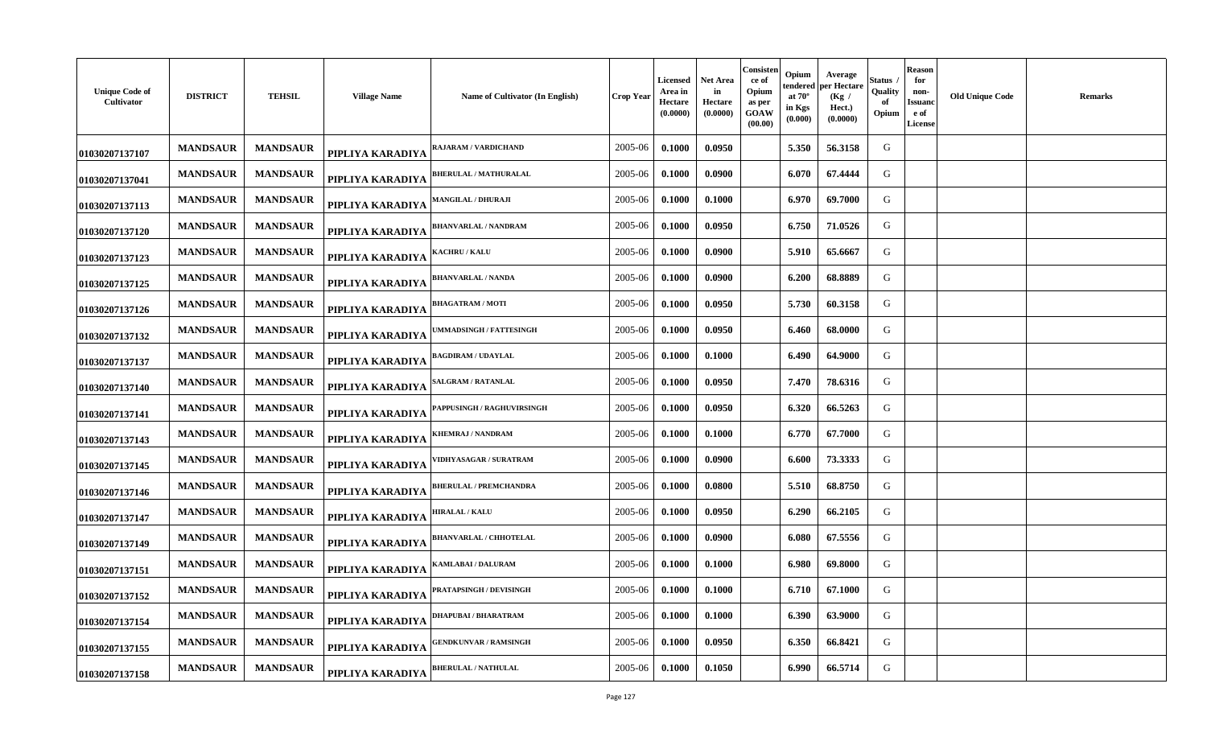| <b>Unique Code of</b><br>Cultivator | <b>DISTRICT</b> | <b>TEHSIL</b>   | <b>Village Name</b> | Name of Cultivator (In English)  | <b>Crop Year</b> | Licensed<br>Area in<br>Hectare<br>(0.0000) | Net Area<br>in<br>Hectare<br>(0.0000) | Consisten<br>ce of<br>Opium<br>as per<br>GOAW<br>(00.00) | Opium<br>tendered<br>at $70^\circ$<br>in Kgs<br>(0.000) | Average<br>per Hectare<br>(Kg /<br>Hect.)<br>(0.0000) | Status<br>Quality<br>of<br>Opium | <b>Reason</b><br>for<br>non-<br>Issuanc<br>e of<br>License | <b>Old Unique Code</b> | <b>Remarks</b> |
|-------------------------------------|-----------------|-----------------|---------------------|----------------------------------|------------------|--------------------------------------------|---------------------------------------|----------------------------------------------------------|---------------------------------------------------------|-------------------------------------------------------|----------------------------------|------------------------------------------------------------|------------------------|----------------|
| 01030207137107                      | <b>MANDSAUR</b> | <b>MANDSAUR</b> | PIPLIYA KARADIYA    | AJARAM / VARDICHAND              | 2005-06          | 0.1000                                     | 0.0950                                |                                                          | 5.350                                                   | 56.3158                                               | G                                |                                                            |                        |                |
| 01030207137041                      | <b>MANDSAUR</b> | <b>MANDSAUR</b> | PIPLIYA KARADIYA    | <b>BHERULAL / MATHURALAL</b>     | 2005-06          | 0.1000                                     | 0.0900                                |                                                          | 6.070                                                   | 67.4444                                               | G                                |                                                            |                        |                |
| 01030207137113                      | <b>MANDSAUR</b> | <b>MANDSAUR</b> | PIPLIYA KARADIYA    | <b>MANGILAL / DHURAJI</b>        | 2005-06          | 0.1000                                     | 0.1000                                |                                                          | 6.970                                                   | 69.7000                                               | G                                |                                                            |                        |                |
| 01030207137120                      | <b>MANDSAUR</b> | <b>MANDSAUR</b> | PIPLIYA KARADIYA    | <b>BHANVARLAL / NANDRAM</b>      | 2005-06          | 0.1000                                     | 0.0950                                |                                                          | 6.750                                                   | 71.0526                                               | G                                |                                                            |                        |                |
| 01030207137123                      | <b>MANDSAUR</b> | <b>MANDSAUR</b> | PIPLIYA KARADIYA    | <b>ACHRU / KALU</b>              | 2005-06          | 0.1000                                     | 0.0900                                |                                                          | 5.910                                                   | 65.6667                                               | G                                |                                                            |                        |                |
| 01030207137125                      | <b>MANDSAUR</b> | <b>MANDSAUR</b> | PIPLIYA KARADIYA    | <b>BHANVARLAL / NANDA</b>        | 2005-06          | 0.1000                                     | 0.0900                                |                                                          | 6.200                                                   | 68.8889                                               | G                                |                                                            |                        |                |
| 01030207137126                      | <b>MANDSAUR</b> | <b>MANDSAUR</b> | PIPLIYA KARADIYA    | <b>BHAGATRAM / MOTI</b>          | 2005-06          | 0.1000                                     | 0.0950                                |                                                          | 5.730                                                   | 60.3158                                               | G                                |                                                            |                        |                |
| 01030207137132                      | <b>MANDSAUR</b> | <b>MANDSAUR</b> | PIPLIYA KARADIYA    | <b>MMADSINGH / FATTESINGH</b>    | 2005-06          | 0.1000                                     | 0.0950                                |                                                          | 6.460                                                   | 68.0000                                               | G                                |                                                            |                        |                |
| 01030207137137                      | <b>MANDSAUR</b> | <b>MANDSAUR</b> | PIPLIYA KARADIYA    | <b>BAGDIRAM / UDAYLAL</b>        | 2005-06          | 0.1000                                     | 0.1000                                |                                                          | 6.490                                                   | 64.9000                                               | G                                |                                                            |                        |                |
| 01030207137140                      | <b>MANDSAUR</b> | <b>MANDSAUR</b> | PIPLIYA KARADIYA    | <b>ALGRAM / RATANLAL</b>         | 2005-06          | 0.1000                                     | 0.0950                                |                                                          | 7.470                                                   | 78.6316                                               | G                                |                                                            |                        |                |
| 01030207137141                      | <b>MANDSAUR</b> | <b>MANDSAUR</b> | PIPLIYA KARADIYA    | <b>APPUSINGH / RAGHUVIRSINGH</b> | 2005-06          | 0.1000                                     | 0.0950                                |                                                          | 6.320                                                   | 66.5263                                               | G                                |                                                            |                        |                |
| 01030207137143                      | <b>MANDSAUR</b> | <b>MANDSAUR</b> | PIPLIYA KARADIYA    | <b>KHEMRAJ / NANDRAM</b>         | 2005-06          | 0.1000                                     | 0.1000                                |                                                          | 6.770                                                   | 67.7000                                               | G                                |                                                            |                        |                |
| 01030207137145                      | <b>MANDSAUR</b> | <b>MANDSAUR</b> | PIPLIYA KARADIYA    | <b>VIDHYASAGAR / SURATRAM</b>    | 2005-06          | 0.1000                                     | 0.0900                                |                                                          | 6.600                                                   | 73.3333                                               | G                                |                                                            |                        |                |
| 01030207137146                      | <b>MANDSAUR</b> | <b>MANDSAUR</b> | PIPLIYA KARADIYA    | <b>BHERULAL / PREMCHANDRA</b>    | 2005-06          | 0.1000                                     | 0.0800                                |                                                          | 5.510                                                   | 68.8750                                               | G                                |                                                            |                        |                |
| 01030207137147                      | <b>MANDSAUR</b> | <b>MANDSAUR</b> | PIPLIYA KARADIYA    | <b>HIRALAL / KALU</b>            | 2005-06          | 0.1000                                     | 0.0950                                |                                                          | 6.290                                                   | 66.2105                                               | G                                |                                                            |                        |                |
| 01030207137149                      | <b>MANDSAUR</b> | <b>MANDSAUR</b> | PIPLIYA KARADIYA    | <b>HANVARLAL / CHHOTELAL</b>     | 2005-06          | 0.1000                                     | 0.0900                                |                                                          | 6.080                                                   | 67.5556                                               | G                                |                                                            |                        |                |
| 01030207137151                      | <b>MANDSAUR</b> | <b>MANDSAUR</b> | PIPLIYA KARADIYA    | AMLABAI / DALURAM                | 2005-06          | 0.1000                                     | 0.1000                                |                                                          | 6.980                                                   | 69.8000                                               | G                                |                                                            |                        |                |
| 01030207137152                      | <b>MANDSAUR</b> | <b>MANDSAUR</b> | PIPLIYA KARADIYA    | <b>PRATAPSINGH / DEVISINGH</b>   | 2005-06          | 0.1000                                     | 0.1000                                |                                                          | 6.710                                                   | 67.1000                                               | G                                |                                                            |                        |                |
| 01030207137154                      | <b>MANDSAUR</b> | <b>MANDSAUR</b> | PIPLIYA KARADIYA    | <b>DHAPUBAI/BHARATRAM</b>        | 2005-06          | 0.1000                                     | 0.1000                                |                                                          | 6.390                                                   | 63.9000                                               | G                                |                                                            |                        |                |
| 01030207137155                      | <b>MANDSAUR</b> | <b>MANDSAUR</b> | PIPLIYA KARADIYA    | <b>GENDKUNVAR / RAMSINGH</b>     | 2005-06          | 0.1000                                     | 0.0950                                |                                                          | 6.350                                                   | 66.8421                                               | G                                |                                                            |                        |                |
| 01030207137158                      | <b>MANDSAUR</b> | <b>MANDSAUR</b> | PIPLIYA KARADIYA    | <b>BHERULAL / NATHULAL</b>       | 2005-06          | 0.1000                                     | 0.1050                                |                                                          | 6.990                                                   | 66.5714                                               | G                                |                                                            |                        |                |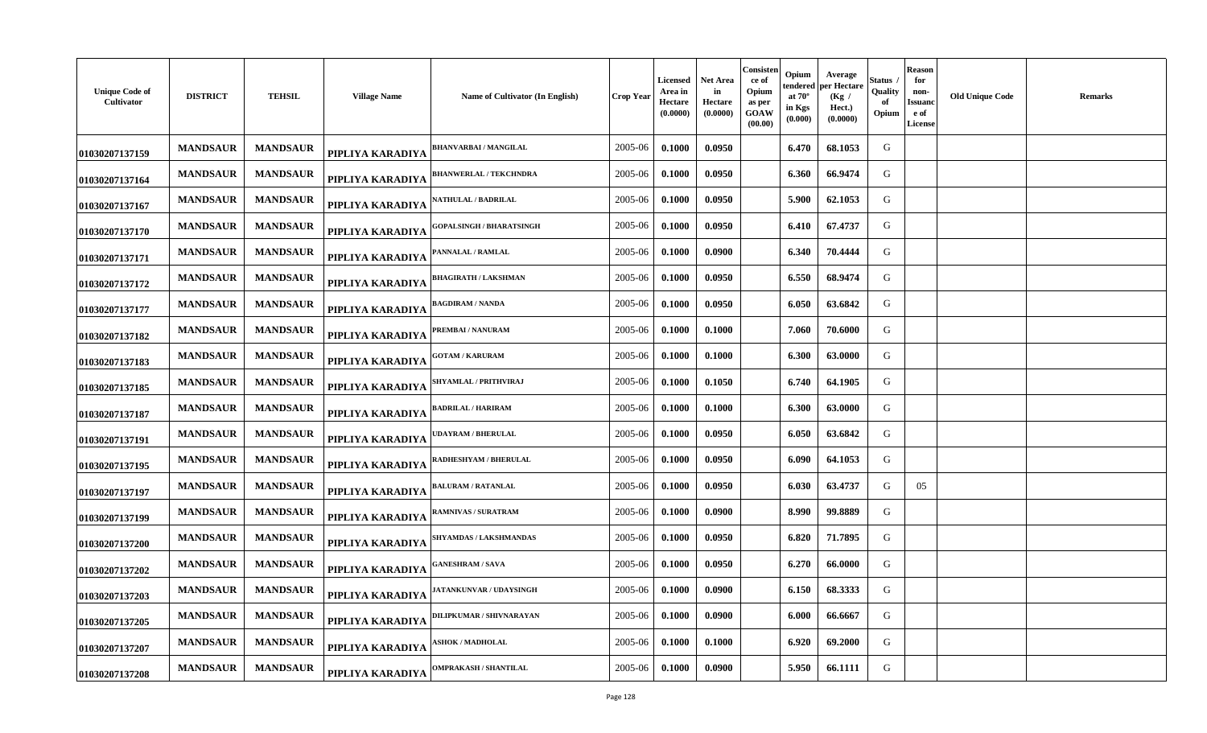| <b>Unique Code of</b><br>Cultivator | <b>DISTRICT</b> | <b>TEHSIL</b>   | <b>Village Name</b> | Name of Cultivator (In English) | <b>Crop Year</b> | Licensed<br>Area in<br>Hectare<br>(0.0000) | Net Area<br>in<br>Hectare<br>(0.0000) | Consisten<br>ce of<br>Opium<br>as per<br>GOAW<br>(00.00) | Opium<br>tendered<br>at $70^\circ$<br>in Kgs<br>(0.000) | Average<br>per Hectare<br>(Kg /<br>Hect.)<br>(0.0000) | Status<br>Quality<br>of<br>Opium | Reason<br>for<br>non-<br>Issuanc<br>e of<br>License | <b>Old Unique Code</b> | <b>Remarks</b> |
|-------------------------------------|-----------------|-----------------|---------------------|---------------------------------|------------------|--------------------------------------------|---------------------------------------|----------------------------------------------------------|---------------------------------------------------------|-------------------------------------------------------|----------------------------------|-----------------------------------------------------|------------------------|----------------|
| 01030207137159                      | <b>MANDSAUR</b> | <b>MANDSAUR</b> | PIPLIYA KARADIYA    | <b>BHANVARBAI/MANGILAL</b>      | 2005-06          | 0.1000                                     | 0.0950                                |                                                          | 6.470                                                   | 68.1053                                               | G                                |                                                     |                        |                |
| 01030207137164                      | <b>MANDSAUR</b> | <b>MANDSAUR</b> | PIPLIYA KARADIYA    | <b>BHANWERLAL / TEKCHNDRA</b>   | 2005-06          | 0.1000                                     | 0.0950                                |                                                          | 6.360                                                   | 66.9474                                               | G                                |                                                     |                        |                |
| 01030207137167                      | <b>MANDSAUR</b> | <b>MANDSAUR</b> | PIPLIYA KARADIYA    | <b>\ATHULAL / BADRILAL</b>      | 2005-06          | 0.1000                                     | 0.0950                                |                                                          | 5.900                                                   | 62.1053                                               | G                                |                                                     |                        |                |
| 01030207137170                      | <b>MANDSAUR</b> | <b>MANDSAUR</b> | PIPLIYA KARADIYA    | <b>GOPALSINGH / BHARATSINGH</b> | 2005-06          | 0.1000                                     | 0.0950                                |                                                          | 6.410                                                   | 67.4737                                               | G                                |                                                     |                        |                |
| 01030207137171                      | <b>MANDSAUR</b> | <b>MANDSAUR</b> | PIPLIYA KARADIYA    | <b>ANNALAL / RAMLAL</b>         | 2005-06          | 0.1000                                     | 0.0900                                |                                                          | 6.340                                                   | 70.4444                                               | G                                |                                                     |                        |                |
| 01030207137172                      | <b>MANDSAUR</b> | <b>MANDSAUR</b> | PIPLIYA KARADIYA    | <b>BHAGIRATH / LAKSHMAN</b>     | 2005-06          | 0.1000                                     | 0.0950                                |                                                          | 6.550                                                   | 68.9474                                               | G                                |                                                     |                        |                |
| 01030207137177                      | <b>MANDSAUR</b> | <b>MANDSAUR</b> | PIPLIYA KARADIYA    | <b>BAGDIRAM / NANDA</b>         | 2005-06          | 0.1000                                     | 0.0950                                |                                                          | 6.050                                                   | 63.6842                                               | G                                |                                                     |                        |                |
| 01030207137182                      | <b>MANDSAUR</b> | <b>MANDSAUR</b> | PIPLIYA KARADIYA    | PREMBAI / NANURAM               | 2005-06          | 0.1000                                     | 0.1000                                |                                                          | 7.060                                                   | 70.6000                                               | G                                |                                                     |                        |                |
| 01030207137183                      | <b>MANDSAUR</b> | <b>MANDSAUR</b> | PIPLIYA KARADIYA    | <b>GOTAM / KARURAM</b>          | 2005-06          | 0.1000                                     | 0.1000                                |                                                          | 6.300                                                   | 63.0000                                               | G                                |                                                     |                        |                |
| 01030207137185                      | <b>MANDSAUR</b> | <b>MANDSAUR</b> | PIPLIYA KARADIYA    | SHYAMLAL / PRITHVIRAJ           | 2005-06          | 0.1000                                     | 0.1050                                |                                                          | 6.740                                                   | 64.1905                                               | G                                |                                                     |                        |                |
| 01030207137187                      | <b>MANDSAUR</b> | <b>MANDSAUR</b> | PIPLIYA KARADIYA    | <b>BADRILAL / HARIRAM</b>       | 2005-06          | 0.1000                                     | 0.1000                                |                                                          | 6.300                                                   | 63.0000                                               | G                                |                                                     |                        |                |
| 01030207137191                      | <b>MANDSAUR</b> | <b>MANDSAUR</b> | PIPLIYA KARADIYA    | <b>DAYRAM / BHERULAL</b>        | 2005-06          | 0.1000                                     | 0.0950                                |                                                          | 6.050                                                   | 63.6842                                               | G                                |                                                     |                        |                |
| 01030207137195                      | <b>MANDSAUR</b> | <b>MANDSAUR</b> | PIPLIYA KARADIYA    | RADHESHYAM / BHERULAL           | 2005-06          | 0.1000                                     | 0.0950                                |                                                          | 6.090                                                   | 64.1053                                               | G                                |                                                     |                        |                |
| 01030207137197                      | <b>MANDSAUR</b> | <b>MANDSAUR</b> | PIPLIYA KARADIYA    | <b>ALURAM / RATANLAL</b>        | 2005-06          | 0.1000                                     | 0.0950                                |                                                          | 6.030                                                   | 63.4737                                               | G                                | 05                                                  |                        |                |
| 01030207137199                      | <b>MANDSAUR</b> | <b>MANDSAUR</b> | PIPLIYA KARADIYA    | <b>RAMNIVAS / SURATRAM</b>      | 2005-06          | 0.1000                                     | 0.0900                                |                                                          | 8.990                                                   | 99.8889                                               | G                                |                                                     |                        |                |
| 01030207137200                      | <b>MANDSAUR</b> | <b>MANDSAUR</b> | PIPLIYA KARADIYA    | <b>SHYAMDAS / LAKSHMANDAS</b>   | 2005-06          | 0.1000                                     | 0.0950                                |                                                          | 6.820                                                   | 71.7895                                               | G                                |                                                     |                        |                |
| 01030207137202                      | <b>MANDSAUR</b> | <b>MANDSAUR</b> | PIPLIYA KARADIYA    | <b>ANESHRAM / SAVA</b>          | 2005-06          | 0.1000                                     | 0.0950                                |                                                          | 6.270                                                   | 66.0000                                               | G                                |                                                     |                        |                |
| 01030207137203                      | <b>MANDSAUR</b> | <b>MANDSAUR</b> | PIPLIYA KARADIYA    | <b>IATANKUNVAR / UDAYSINGH</b>  | 2005-06          | 0.1000                                     | 0.0900                                |                                                          | 6.150                                                   | 68.3333                                               | G                                |                                                     |                        |                |
| 01030207137205                      | <b>MANDSAUR</b> | <b>MANDSAUR</b> | PIPLIYA KARADIYA    | <b>JILIPKUMAR / SHIVNARAYAN</b> | 2005-06          | 0.1000                                     | 0.0900                                |                                                          | 6.000                                                   | 66.6667                                               | G                                |                                                     |                        |                |
| 01030207137207                      | <b>MANDSAUR</b> | <b>MANDSAUR</b> | PIPLIYA KARADIYA    | <b>SHOK / MADHOLAL</b>          | 2005-06          | 0.1000                                     | 0.1000                                |                                                          | 6.920                                                   | 69.2000                                               | G                                |                                                     |                        |                |
| 01030207137208                      | <b>MANDSAUR</b> | <b>MANDSAUR</b> | PIPLIYA KARADIYA    | <b>DMPRAKASH / SHANTILAL</b>    | 2005-06          | 0.1000                                     | 0.0900                                |                                                          | 5.950                                                   | 66.1111                                               | G                                |                                                     |                        |                |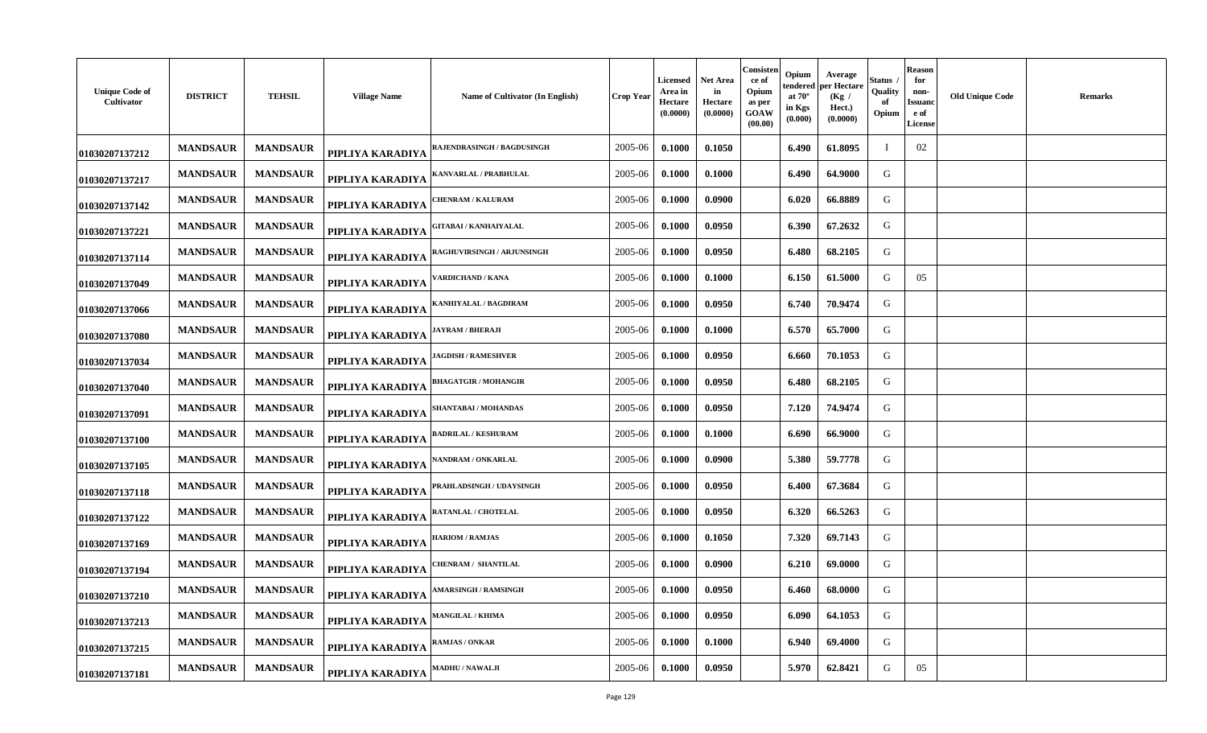| <b>Unique Code of</b><br>Cultivator | <b>DISTRICT</b> | <b>TEHSIL</b>   | <b>Village Name</b> | Name of Cultivator (In English)  | Crop Year | <b>Licensed</b><br>Area in<br>Hectare<br>(0.0000) | Net Area<br>in<br>Hectare<br>(0.0000) | Consisten<br>ce of<br>Opium<br>as per<br>GOAW<br>(00.00) | Opium<br>tendered<br>at $70^\circ$<br>in Kgs<br>(0.000) | Average<br>oer Hectare<br>(Kg /<br>Hect.)<br>(0.0000) | Status<br>Quality<br>оf<br>Opium | Reason<br>for<br>non-<br>Issuand<br>e of<br><b>License</b> | <b>Old Unique Code</b> | <b>Remarks</b> |
|-------------------------------------|-----------------|-----------------|---------------------|----------------------------------|-----------|---------------------------------------------------|---------------------------------------|----------------------------------------------------------|---------------------------------------------------------|-------------------------------------------------------|----------------------------------|------------------------------------------------------------|------------------------|----------------|
| 01030207137212                      | <b>MANDSAUR</b> | <b>MANDSAUR</b> | PIPLIYA KARADIYA    | AJENDRASINGH / BAGDUSINGH        | 2005-06   | 0.1000                                            | 0.1050                                |                                                          | 6.490                                                   | 61.8095                                               |                                  | 02                                                         |                        |                |
| 01030207137217                      | <b>MANDSAUR</b> | <b>MANDSAUR</b> | PIPLIYA KARADIYA    | <b>(ANVARLAL / PRABHULAL</b>     | 2005-06   | 0.1000                                            | 0.1000                                |                                                          | 6.490                                                   | 64.9000                                               | G                                |                                                            |                        |                |
| 01030207137142                      | <b>MANDSAUR</b> | <b>MANDSAUR</b> | PIPLIYA KARADIYA    | <b>'HENRAM / KALURAM</b>         | 2005-06   | 0.1000                                            | 0.0900                                |                                                          | 6.020                                                   | 66.8889                                               | G                                |                                                            |                        |                |
| 01030207137221                      | <b>MANDSAUR</b> | <b>MANDSAUR</b> | PIPLIYA KARADIYA    | <b>GITABAI / KANHAIYALAL</b>     | 2005-06   | 0.1000                                            | 0.0950                                |                                                          | 6.390                                                   | 67.2632                                               | G                                |                                                            |                        |                |
| 01030207137114                      | <b>MANDSAUR</b> | <b>MANDSAUR</b> | PIPLIYA KARADIYA    | <b>AGHUVIRSINGH / ARJUNSINGH</b> | 2005-06   | 0.1000                                            | 0.0950                                |                                                          | 6.480                                                   | 68.2105                                               | G                                |                                                            |                        |                |
| 01030207137049                      | <b>MANDSAUR</b> | <b>MANDSAUR</b> | PIPLIYA KARADIYA    | ARDICHAND / KANA                 | 2005-06   | 0.1000                                            | 0.1000                                |                                                          | 6.150                                                   | 61.5000                                               | G                                | 05                                                         |                        |                |
| 01030207137066                      | <b>MANDSAUR</b> | <b>MANDSAUR</b> | PIPLIYA KARADIYA    | ANHIYALAL / BAGDIRAM             | 2005-06   | 0.1000                                            | 0.0950                                |                                                          | 6.740                                                   | 70.9474                                               | G                                |                                                            |                        |                |
| 01030207137080                      | <b>MANDSAUR</b> | <b>MANDSAUR</b> | PIPLIYA KARADIYA    | <b>AYRAM / BHERAJI</b>           | 2005-06   | 0.1000                                            | 0.1000                                |                                                          | 6.570                                                   | 65.7000                                               | G                                |                                                            |                        |                |
| 01030207137034                      | <b>MANDSAUR</b> | <b>MANDSAUR</b> | PIPLIYA KARADIYA    | <b>AGDISH / RAMESHVER</b>        | 2005-06   | 0.1000                                            | 0.0950                                |                                                          | 6.660                                                   | 70.1053                                               | G                                |                                                            |                        |                |
| 01030207137040                      | <b>MANDSAUR</b> | <b>MANDSAUR</b> | PIPLIYA KARADIYA    | <b>BHAGATGIR / MOHANGIR</b>      | 2005-06   | 0.1000                                            | 0.0950                                |                                                          | 6.480                                                   | 68.2105                                               | G                                |                                                            |                        |                |
| 01030207137091                      | <b>MANDSAUR</b> | <b>MANDSAUR</b> | PIPLIYA KARADIYA    | SHANTABAI / MOHANDAS             | 2005-06   | 0.1000                                            | 0.0950                                |                                                          | 7.120                                                   | 74.9474                                               | G                                |                                                            |                        |                |
| 01030207137100                      | <b>MANDSAUR</b> | <b>MANDSAUR</b> | PIPLIYA KARADIYA    | <b>BADRILAL / KESHURAM</b>       | 2005-06   | 0.1000                                            | 0.1000                                |                                                          | 6.690                                                   | 66.9000                                               | G                                |                                                            |                        |                |
| 01030207137105                      | <b>MANDSAUR</b> | <b>MANDSAUR</b> | PIPLIYA KARADIYA    | <b>NANDRAM / ONKARLAL</b>        | 2005-06   | 0.1000                                            | 0.0900                                |                                                          | 5.380                                                   | 59.7778                                               | G                                |                                                            |                        |                |
| 01030207137118                      | <b>MANDSAUR</b> | <b>MANDSAUR</b> | PIPLIYA KARADIYA    | PRAHLADSINGH / UDAYSINGH         | 2005-06   | 0.1000                                            | 0.0950                                |                                                          | 6.400                                                   | 67.3684                                               | G                                |                                                            |                        |                |
| 01030207137122                      | <b>MANDSAUR</b> | <b>MANDSAUR</b> | PIPLIYA KARADIYA    | RATANLAL / CHOTELAL              | 2005-06   | 0.1000                                            | 0.0950                                |                                                          | 6.320                                                   | 66.5263                                               | G                                |                                                            |                        |                |
| 01030207137169                      | <b>MANDSAUR</b> | <b>MANDSAUR</b> | PIPLIYA KARADIYA    | <b>HARIOM / RAMJAS</b>           | 2005-06   | 0.1000                                            | 0.1050                                |                                                          | 7.320                                                   | 69.7143                                               | G                                |                                                            |                        |                |
| 01030207137194                      | <b>MANDSAUR</b> | <b>MANDSAUR</b> | PIPLIYA KARADIYA    | <b>HENRAM / SHANTILAL</b>        | 2005-06   | 0.1000                                            | 0.0900                                |                                                          | 6.210                                                   | 69.0000                                               | G                                |                                                            |                        |                |
| 01030207137210                      | <b>MANDSAUR</b> | <b>MANDSAUR</b> | PIPLIYA KARADIYA    | <b>MARSINGH / RAMSINGH</b>       | 2005-06   | 0.1000                                            | 0.0950                                |                                                          | 6.460                                                   | 68.0000                                               | G                                |                                                            |                        |                |
| 01030207137213                      | <b>MANDSAUR</b> | <b>MANDSAUR</b> | PIPLIYA KARADIYA    | <b>MANGILAL / KHIMA</b>          | 2005-06   | 0.1000                                            | 0.0950                                |                                                          | 6.090                                                   | 64.1053                                               | G                                |                                                            |                        |                |
| 01030207137215                      | <b>MANDSAUR</b> | <b>MANDSAUR</b> | PIPLIYA KARADIYA    | RAMJAS / ONKAR                   | 2005-06   | 0.1000                                            | 0.1000                                |                                                          | 6.940                                                   | 69.4000                                               | G                                |                                                            |                        |                |
| 01030207137181                      | <b>MANDSAUR</b> | <b>MANDSAUR</b> | PIPLIYA KARADIYA    | MADHU / NAWALJI                  | 2005-06   | 0.1000                                            | 0.0950                                |                                                          | 5.970                                                   | 62.8421                                               | G                                | 05                                                         |                        |                |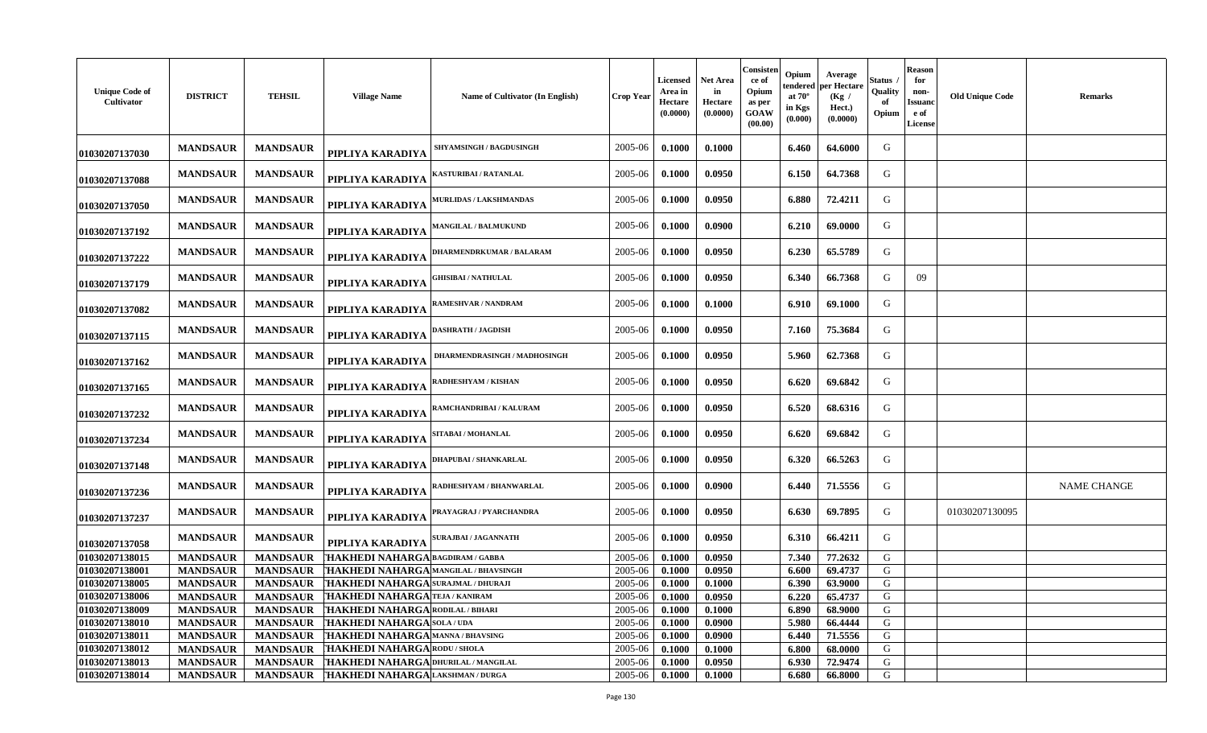| <b>Unique Code of</b><br>Cultivator | <b>DISTRICT</b> | <b>TEHSIL</b>   | <b>Village Name</b>                        | <b>Name of Cultivator (In English)</b> | Crop Year | Licensed<br>Area in<br><b>Hectare</b><br>(0.0000) | Net Area<br>in<br>Hectare<br>(0.0000) | Consisten<br>ce of<br>Opium<br>as per<br>GOAW<br>(00.00) | Opium<br>endered<br>at $70^\circ$<br>in Kgs<br>(0.000) | Average<br>oer Hectare<br>(Kg)<br>Hect.)<br>(0.0000) | Status<br>Quality<br>Opium | Reason<br>for<br>non-<br>Issuanc<br>e of<br><b>License</b> | <b>Old Unique Code</b> | <b>Remarks</b>     |
|-------------------------------------|-----------------|-----------------|--------------------------------------------|----------------------------------------|-----------|---------------------------------------------------|---------------------------------------|----------------------------------------------------------|--------------------------------------------------------|------------------------------------------------------|----------------------------|------------------------------------------------------------|------------------------|--------------------|
| 01030207137030                      | <b>MANDSAUR</b> | <b>MANDSAUR</b> | PIPLIYA KARADIYA                           | <b>SHYAMSINGH / BAGDUSINGH</b>         | 2005-06   | 0.1000                                            | 0.1000                                |                                                          | 6.460                                                  | 64.6000                                              | G                          |                                                            |                        |                    |
| 01030207137088                      | <b>MANDSAUR</b> | <b>MANDSAUR</b> | PIPLIYA KARADIYA                           | KASTURIBAI / RATANLAL                  | 2005-06   | 0.1000                                            | 0.0950                                |                                                          | 6.150                                                  | 64.7368                                              | G                          |                                                            |                        |                    |
| 01030207137050                      | <b>MANDSAUR</b> | <b>MANDSAUR</b> | PIPLIYA KARADIYA                           | <b>MURLIDAS / LAKSHMANDAS</b>          | 2005-06   | 0.1000                                            | 0.0950                                |                                                          | 6.880                                                  | 72.4211                                              | G                          |                                                            |                        |                    |
| 01030207137192                      | <b>MANDSAUR</b> | <b>MANDSAUR</b> | PIPLIYA KARADIYA                           | <b>MANGILAL / BALMUKUND</b>            | 2005-06   | 0.1000                                            | 0.0900                                |                                                          | 6.210                                                  | 69.0000                                              | G                          |                                                            |                        |                    |
| 01030207137222                      | <b>MANDSAUR</b> | <b>MANDSAUR</b> | PIPLIYA KARADIYA                           | <b>HARMENDRKUMAR / BALARAM</b>         | 2005-06   | 0.1000                                            | 0.0950                                |                                                          | 6.230                                                  | 65.5789                                              | G                          |                                                            |                        |                    |
| 01030207137179                      | <b>MANDSAUR</b> | <b>MANDSAUR</b> | PIPLIYA KARADIYA                           | <b>HISIBAI/NATHULAL</b>                | 2005-06   | 0.1000                                            | 0.0950                                |                                                          | 6.340                                                  | 66.7368                                              | G                          | 09                                                         |                        |                    |
| 01030207137082                      | <b>MANDSAUR</b> | <b>MANDSAUR</b> | PIPLIYA KARADIYA                           | <b>RAMESHVAR / NANDRAM</b>             | 2005-06   | 0.1000                                            | 0.1000                                |                                                          | 6.910                                                  | 69.1000                                              | G                          |                                                            |                        |                    |
| 01030207137115                      | <b>MANDSAUR</b> | <b>MANDSAUR</b> | PIPLIYA KARADIYA                           | <b>DASHRATH / JAGDISH</b>              | 2005-06   | 0.1000                                            | 0.0950                                |                                                          | 7.160                                                  | 75.3684                                              | G                          |                                                            |                        |                    |
| 01030207137162                      | <b>MANDSAUR</b> | <b>MANDSAUR</b> | PIPLIYA KARADIYA                           | <b>DHARMENDRASINGH / MADHOSINGH</b>    | 2005-06   | 0.1000                                            | 0.0950                                |                                                          | 5.960                                                  | 62.7368                                              | G                          |                                                            |                        |                    |
| 01030207137165                      | <b>MANDSAUR</b> | <b>MANDSAUR</b> | PIPLIYA KARADIYA                           | RADHESHYAM / KISHAN                    | 2005-06   | 0.1000                                            | 0.0950                                |                                                          | 6.620                                                  | 69.6842                                              | G                          |                                                            |                        |                    |
| 01030207137232                      | <b>MANDSAUR</b> | <b>MANDSAUR</b> | PIPLIYA KARADIYA                           | RAMCHANDRIBAI / KALURAM                | 2005-06   | 0.1000                                            | 0.0950                                |                                                          | 6.520                                                  | 68.6316                                              | G                          |                                                            |                        |                    |
| 01030207137234                      | <b>MANDSAUR</b> | <b>MANDSAUR</b> | PIPLIYA KARADIYA                           | <b>SITABAI / MOHANLAL</b>              | 2005-06   | 0.1000                                            | 0.0950                                |                                                          | 6.620                                                  | 69.6842                                              | G                          |                                                            |                        |                    |
| 01030207137148                      | <b>MANDSAUR</b> | <b>MANDSAUR</b> | PIPLIYA KARADIYA                           | <b>DHAPUBAI/SHANKARLAL</b>             | 2005-06   | 0.1000                                            | 0.0950                                |                                                          | 6.320                                                  | 66.5263                                              | G                          |                                                            |                        |                    |
| 01030207137236                      | <b>MANDSAUR</b> | <b>MANDSAUR</b> | PIPLIYA KARADIYA                           | ADHESHYAM / BHANWARLAL                 | 2005-06   | 0.1000                                            | 0.0900                                |                                                          | 6.440                                                  | 71.5556                                              | G                          |                                                            |                        | <b>NAME CHANGE</b> |
| 01030207137237                      | <b>MANDSAUR</b> | <b>MANDSAUR</b> | PIPLIYA KARADIYA                           | PRAYAGRAJ / PYARCHANDRA                | 2005-06   | 0.1000                                            | 0.0950                                |                                                          | 6.630                                                  | 69.7895                                              | G                          |                                                            | 01030207130095         |                    |
| 01030207137058                      | <b>MANDSAUR</b> | <b>MANDSAUR</b> | PIPLIYA KARADIYA                           | <b>URAJBAI / JAGANNATH</b>             | 2005-06   | 0.1000                                            | 0.0950                                |                                                          | 6.310                                                  | 66.4211                                              | G                          |                                                            |                        |                    |
| 01030207138015                      | <b>MANDSAUR</b> | <b>MANDSAUR</b> | THAKHEDI NAHARGA BAGDIRAM / GABBA          |                                        | 2005-06   | 0.1000                                            | 0.0950                                |                                                          | 7.340                                                  | 77.2632                                              | G                          |                                                            |                        |                    |
| 01030207138001                      | <b>MANDSAUR</b> | <b>MANDSAUR</b> | THAKHEDI NAHARGA MANGILAL / BHAVSINGH      |                                        | 2005-06   | 0.1000                                            | 0.0950                                |                                                          | 6.600                                                  | 69.4737                                              | G                          |                                                            |                        |                    |
| 01030207138005                      | <b>MANDSAUR</b> | <b>MANDSAUR</b> | 'HAKHEDI NAHARGA SURAJMAL / DHURAJI        |                                        | 2005-06   | 0.1000                                            | 0.1000                                |                                                          | 6.390                                                  | 63.9000                                              | G                          |                                                            |                        |                    |
| 01030207138006                      | <b>MANDSAUR</b> | <b>MANDSAUR</b> | <b>HAKHEDI NAHARGA</b>                     | <b>TEJA / KANIRAM</b>                  | 2005-06   | 0.1000                                            | 0.0950                                |                                                          | 6.220                                                  | 65.4737                                              | G                          |                                                            |                        |                    |
| 01030207138009                      | <b>MANDSAUR</b> | <b>MANDSAUR</b> | HAKHEDI NAHARGA RODILAL / BIHARI           |                                        | 2005-06   | 0.1000                                            | 0.1000                                |                                                          | 6.890                                                  | 68.9000                                              | G                          |                                                            |                        |                    |
| 01030207138010                      | <b>MANDSAUR</b> | <b>MANDSAUR</b> | <b>THAKHEDI NAHARGA SOLA/UDA</b>           |                                        | 2005-06   | 0.1000                                            | 0.0900                                |                                                          | 5.980                                                  | 66.4444                                              | G                          |                                                            |                        |                    |
| 01030207138011                      | <b>MANDSAUR</b> | <b>MANDSAUR</b> | THAKHEDI NAHARGA MANNA / BHAVSING          |                                        | 2005-06   | 0.1000                                            | 0.0900                                |                                                          | 6.440                                                  | 71.5556                                              | G                          |                                                            |                        |                    |
| 01030207138012                      | <b>MANDSAUR</b> | <b>MANDSAUR</b> | <b>HAKHEDI NAHARGA RODU / SHOLA</b>        |                                        | 2005-06   | 0.1000                                            | 0.1000                                |                                                          | 6.800                                                  | 68.0000                                              | G                          |                                                            |                        |                    |
| 01030207138013                      | <b>MANDSAUR</b> | <b>MANDSAUR</b> | <b>HAKHEDI NAHARGA DHURILAL / MANGILAL</b> |                                        | 2005-06   | 0.1000                                            | 0.0950                                |                                                          | 6.930                                                  | 72.9474                                              | G                          |                                                            |                        |                    |
| 01030207138014                      | <b>MANDSAUR</b> | <b>MANDSAUR</b> | THAKHEDI NAHARGA LAKSHMAN / DURGA          |                                        | 2005-06   | 0.1000                                            | 0.1000                                |                                                          | 6.680                                                  | 66.8000                                              | G                          |                                                            |                        |                    |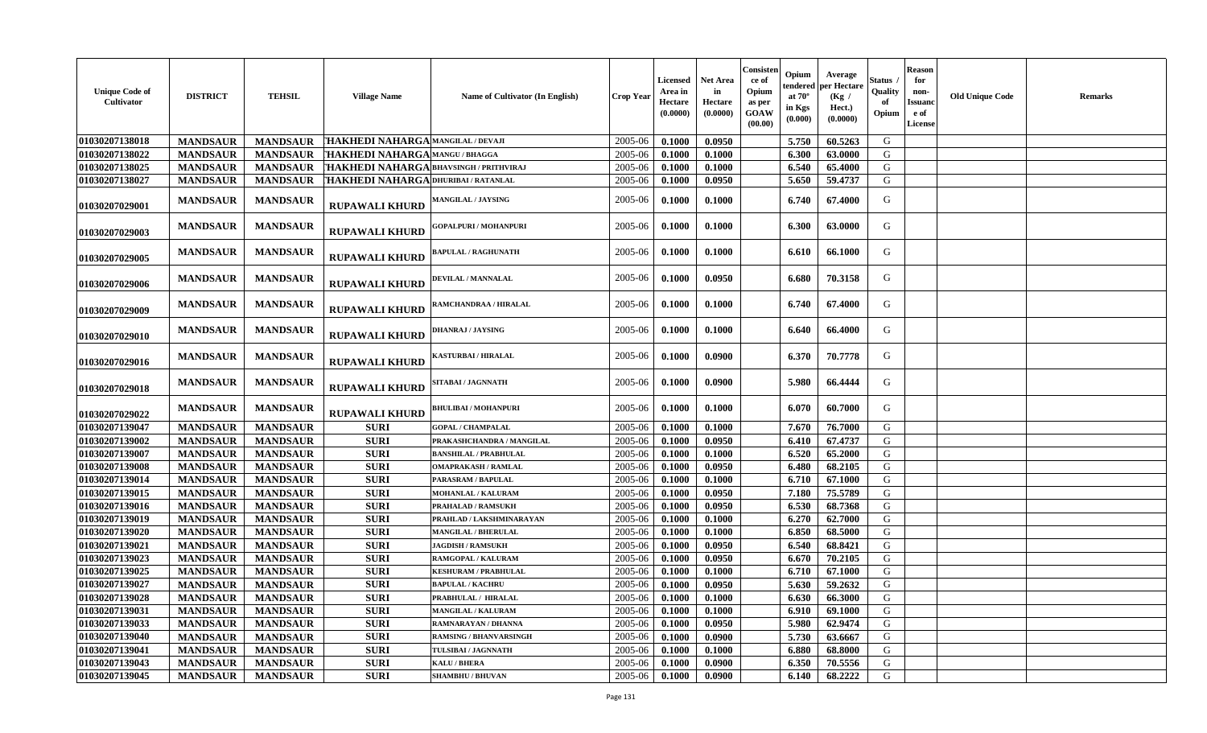| <b>Unique Code of</b><br>Cultivator | <b>DISTRICT</b> | <b>TEHSIL</b>   | <b>Village Name</b>                     | Name of Cultivator (In English) | <b>Crop Year</b> | Licensed<br>Area in<br>Hectare<br>(0.0000) | <b>Net Area</b><br>in<br>Hectare<br>(0.0000) | Consister<br>ce of<br>Opium<br>as per<br>GOAW<br>(00.00) | Opium<br>endered<br>at $70^\circ$<br>in Kgs<br>(0.000) | Average<br>per Hectare<br>(Kg /<br>Hect.)<br>(0.0000) | Status<br>Quality<br>of<br>Opium | <b>Reason</b><br>for<br>non-<br><b>Issuanc</b><br>e of<br><b>License</b> | <b>Old Unique Code</b> | Remarks |
|-------------------------------------|-----------------|-----------------|-----------------------------------------|---------------------------------|------------------|--------------------------------------------|----------------------------------------------|----------------------------------------------------------|--------------------------------------------------------|-------------------------------------------------------|----------------------------------|--------------------------------------------------------------------------|------------------------|---------|
| 01030207138018                      | <b>MANDSAUR</b> | <b>MANDSAUR</b> | THAKHEDI NAHARGA MANGILAL / DEVAJI      |                                 | 2005-06          | 0.1000                                     | 0.0950                                       |                                                          | 5.750                                                  | 60.5263                                               | G                                |                                                                          |                        |         |
| 01030207138022                      | <b>MANDSAUR</b> | <b>MANDSAUR</b> | <b>HAKHEDI NAHARGA MANGU/BHAGGA</b>     |                                 | 2005-06          | 0.1000                                     | 0.1000                                       |                                                          | 6.300                                                  | 63.0000                                               | G                                |                                                                          |                        |         |
| 01030207138025                      | <b>MANDSAUR</b> | <b>MANDSAUR</b> | THAKHEDI NAHARGA BHAVSINGH / PRITHVIRAJ |                                 | 2005-06          | 0.1000                                     | 0.1000                                       |                                                          | 6.540                                                  | 65.4000                                               | G                                |                                                                          |                        |         |
| 01030207138027                      | <b>MANDSAUR</b> | <b>MANDSAUR</b> | THAKHEDI NAHARGA DHURIBAI / RATANLAI    |                                 | 2005-06          | 0.1000                                     | 0.0950                                       |                                                          | 5.650                                                  | 59.4737                                               | G                                |                                                                          |                        |         |
| 01030207029001                      | <b>MANDSAUR</b> | <b>MANDSAUR</b> | <b>RUPAWALI KHURD</b>                   | MANGILAL / JAYSING              | 2005-06          | 0.1000                                     | 0.1000                                       |                                                          | 6.740                                                  | 67.4000                                               | G                                |                                                                          |                        |         |
| 01030207029003                      | <b>MANDSAUR</b> | <b>MANDSAUR</b> | <b>RUPAWALI KHURD</b>                   | <b>GOPALPURI / MOHANPURI</b>    | 2005-06          | 0.1000                                     | 0.1000                                       |                                                          | 6.300                                                  | 63.0000                                               | G                                |                                                                          |                        |         |
| 01030207029005                      | <b>MANDSAUR</b> | <b>MANDSAUR</b> | <b>RUPAWALI KHURD</b>                   | <b>BAPULAL / RAGHUNATH</b>      | 2005-06          | 0.1000                                     | 0.1000                                       |                                                          | 6.610                                                  | 66.1000                                               | G                                |                                                                          |                        |         |
| 01030207029006                      | <b>MANDSAUR</b> | <b>MANDSAUR</b> | <b>RUPAWALI KHURD</b>                   | DEVILAL / MANNALAL              | 2005-06          | 0.1000                                     | 0.0950                                       |                                                          | 6.680                                                  | 70.3158                                               | G                                |                                                                          |                        |         |
| 01030207029009                      | <b>MANDSAUR</b> | <b>MANDSAUR</b> | <b>RUPAWALI KHURD</b>                   | RAMCHANDRAA / HIRALAL           | 2005-06          | 0.1000                                     | 0.1000                                       |                                                          | 6.740                                                  | 67.4000                                               | G                                |                                                                          |                        |         |
| 01030207029010                      | <b>MANDSAUR</b> | <b>MANDSAUR</b> | <b>RUPAWALI KHURD</b>                   | <b>DHANRAJ / JAYSING</b>        | 2005-06          | 0.1000                                     | 0.1000                                       |                                                          | 6.640                                                  | 66.4000                                               | G                                |                                                                          |                        |         |
| 01030207029016                      | <b>MANDSAUR</b> | <b>MANDSAUR</b> | <b>RUPAWALI KHURD</b>                   | <b>KASTURBAI / HIRALAL</b>      | 2005-06          | 0.1000                                     | 0.0900                                       |                                                          | 6.370                                                  | 70.7778                                               | G                                |                                                                          |                        |         |
| 01030207029018                      | <b>MANDSAUR</b> | <b>MANDSAUR</b> | <b>RUPAWALI KHURD</b>                   | SITABAI / JAGNNATH              | 2005-06          | 0.1000                                     | 0.0900                                       |                                                          | 5.980                                                  | 66.4444                                               | G                                |                                                                          |                        |         |
| 01030207029022                      | <b>MANDSAUR</b> | <b>MANDSAUR</b> | <b>RUPAWALI KHURD</b>                   | <b>BHULIBAI / MOHANPURI</b>     | 2005-06          | 0.1000                                     | 0.1000                                       |                                                          | 6.070                                                  | 60.7000                                               | G                                |                                                                          |                        |         |
| 01030207139047                      | <b>MANDSAUR</b> | <b>MANDSAUR</b> | <b>SURI</b>                             | <b>GOPAL / CHAMPALAL</b>        | 2005-06          | 0.1000                                     | 0.1000                                       |                                                          | 7.670                                                  | 76.7000                                               | G                                |                                                                          |                        |         |
| 01030207139002                      | <b>MANDSAUR</b> | <b>MANDSAUR</b> | <b>SURI</b>                             | PRAKASHCHANDRA / MANGILAL       | 2005-06          | 0.1000                                     | 0.0950                                       |                                                          | 6.410                                                  | 67.4737                                               | G                                |                                                                          |                        |         |
| 01030207139007                      | <b>MANDSAUR</b> | <b>MANDSAUR</b> | <b>SURI</b>                             | <b>BANSHILAL / PRABHULAL</b>    | 2005-06          | 0.1000                                     | 0.1000                                       |                                                          | 6.520                                                  | 65.2000                                               | G                                |                                                                          |                        |         |
| 01030207139008                      | <b>MANDSAUR</b> | <b>MANDSAUR</b> | <b>SURI</b>                             | <b>OMAPRAKASH / RAMLAL</b>      | 2005-06          | 0.1000                                     | 0.0950                                       |                                                          | 6.480                                                  | 68.2105                                               | G                                |                                                                          |                        |         |
| 01030207139014                      | <b>MANDSAUR</b> | <b>MANDSAUR</b> | <b>SURI</b>                             | PARASRAM / BAPULAL              | 2005-06          | 0.1000                                     | 0.1000                                       |                                                          | 6.710                                                  | 67.1000                                               | G                                |                                                                          |                        |         |
| 01030207139015                      | <b>MANDSAUR</b> | <b>MANDSAUR</b> | <b>SURI</b>                             | MOHANLAL / KALURAM              | 2005-06          | 0.1000                                     | 0.0950                                       |                                                          | 7.180                                                  | 75.5789                                               | G                                |                                                                          |                        |         |
| 01030207139016                      | <b>MANDSAUR</b> | <b>MANDSAUR</b> | <b>SURI</b>                             | <b>PRAHALAD / RAMSUKH</b>       | 2005-06          | 0.1000                                     | 0.0950                                       |                                                          | 6.530                                                  | 68.7368                                               | G                                |                                                                          |                        |         |
| 01030207139019                      | <b>MANDSAUR</b> | <b>MANDSAUR</b> | <b>SURI</b>                             | PRAHLAD / LAKSHMINARAYAN        | 2005-06          | 0.1000                                     | 0.1000                                       |                                                          | 6.270                                                  | 62.7000                                               | G                                |                                                                          |                        |         |
| 01030207139020                      | <b>MANDSAUR</b> | <b>MANDSAUR</b> | <b>SURI</b>                             | <b>MANGILAL / BHERULAL</b>      | 2005-06          | 0.1000                                     | 0.1000                                       |                                                          | 6.850                                                  | 68.5000                                               | G                                |                                                                          |                        |         |
| 01030207139021                      | <b>MANDSAUR</b> | <b>MANDSAUR</b> | <b>SURI</b>                             | <b>JAGDISH / RAMSUKH</b>        | 2005-06          | 0.1000                                     | 0.0950                                       |                                                          | 6.540                                                  | 68.8421                                               | G                                |                                                                          |                        |         |
| 01030207139023                      | <b>MANDSAUR</b> | <b>MANDSAUR</b> | <b>SURI</b>                             | RAMGOPAL / KALURAM              | 2005-06          | 0.1000                                     | 0.0950                                       |                                                          | 6.670                                                  | 70.2105                                               | G                                |                                                                          |                        |         |
| 01030207139025                      | <b>MANDSAUR</b> | <b>MANDSAUR</b> | <b>SURI</b>                             | <b>KESHURAM / PRABHULAL</b>     | 2005-06          | 0.1000                                     | 0.1000                                       |                                                          | 6.710                                                  | 67.1000                                               | G                                |                                                                          |                        |         |
| 01030207139027                      | <b>MANDSAUR</b> | <b>MANDSAUR</b> | <b>SURI</b>                             | <b>BAPULAL / KACHRU</b>         | 2005-06          | 0.1000                                     | 0.0950                                       |                                                          | 5.630                                                  | 59.2632                                               | G                                |                                                                          |                        |         |
| 01030207139028                      | <b>MANDSAUR</b> | <b>MANDSAUR</b> | <b>SURI</b>                             | PRABHULAL / HIRALAL             | 2005-06          | 0.1000                                     | 0.1000                                       |                                                          | 6.630                                                  | 66.3000                                               | G                                |                                                                          |                        |         |
| 01030207139031                      | <b>MANDSAUR</b> | <b>MANDSAUR</b> | <b>SURI</b>                             | <b>MANGILAL / KALURAM</b>       | 2005-06          | 0.1000                                     | 0.1000                                       |                                                          | 6.910                                                  | 69.1000                                               | G                                |                                                                          |                        |         |
| 01030207139033                      | <b>MANDSAUR</b> | <b>MANDSAUR</b> | <b>SURI</b>                             | RAMNARAYAN / DHANNA             | 2005-06          | 0.1000                                     | 0.0950                                       |                                                          | 5.980                                                  | 62.9474                                               | G                                |                                                                          |                        |         |
| 01030207139040                      | <b>MANDSAUR</b> | <b>MANDSAUR</b> | <b>SURI</b>                             | <b>RAMSING / BHANVARSINGH</b>   | 2005-06          | 0.1000                                     | 0.0900                                       |                                                          | 5.730                                                  | 63.6667                                               | G                                |                                                                          |                        |         |
| 01030207139041                      | <b>MANDSAUR</b> | <b>MANDSAUR</b> | <b>SURI</b>                             | TULSIBAI / JAGNNATH             | 2005-06          | 0.1000                                     | 0.1000                                       |                                                          | 6.880                                                  | 68.8000                                               | G                                |                                                                          |                        |         |
| 01030207139043                      | <b>MANDSAUR</b> | <b>MANDSAUR</b> | <b>SURI</b>                             | KALU / BHERA                    | 2005-06          | 0.1000                                     | 0.0900                                       |                                                          | 6.350                                                  | 70.5556                                               | G                                |                                                                          |                        |         |
| 01030207139045                      | <b>MANDSAUR</b> | <b>MANDSAUR</b> | <b>SURI</b>                             | <b>SHAMBHU / BHUVAN</b>         | 2005-06          | 0.1000                                     | 0.0900                                       |                                                          | 6.140                                                  | 68.2222                                               | G                                |                                                                          |                        |         |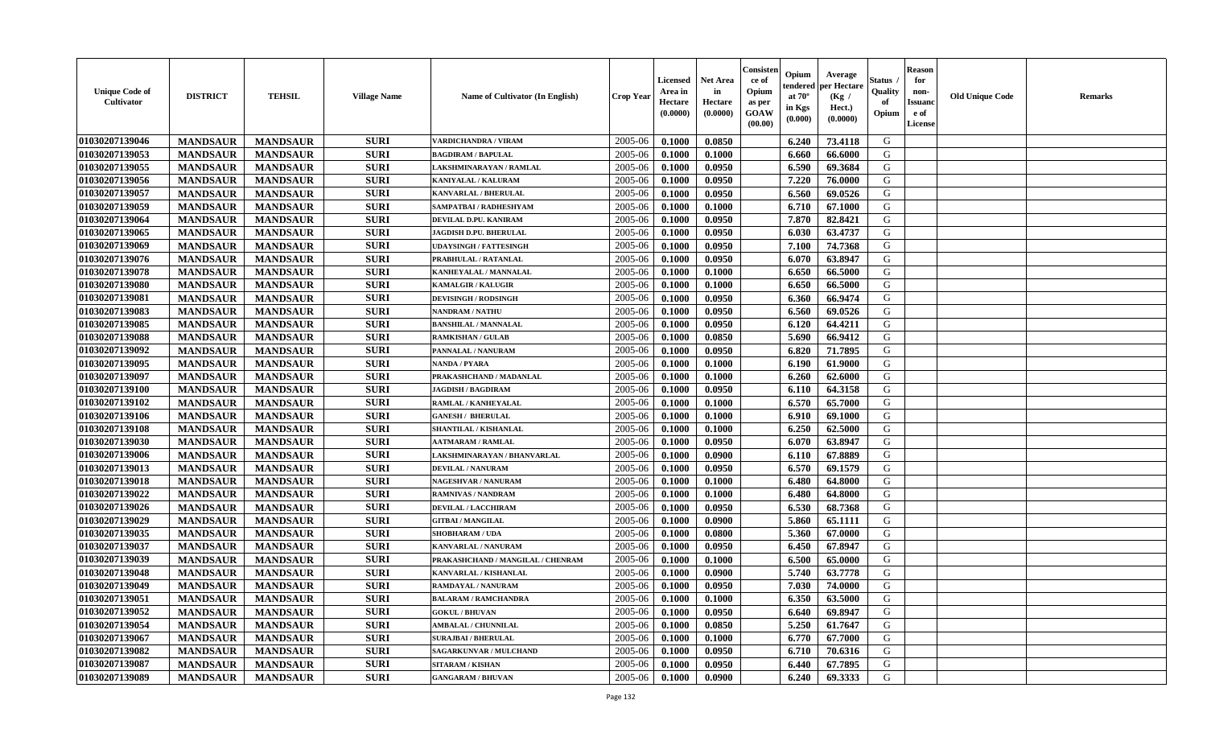| <b>Unique Code of</b><br><b>Cultivator</b> | <b>DISTRICT</b> | <b>TEHSIL</b>   | <b>Village Name</b> | Name of Cultivator (In English)   | <b>Crop Year</b> | <b>Licensed</b><br>Area in<br>Hectare<br>(0.0000) | <b>Net Area</b><br>in<br>Hectare<br>(0.0000) | Consister<br>ce of<br>Opium<br>as per<br><b>GOAW</b><br>(00.00) | Opium<br>endered<br>at $70^\circ$<br>in Kgs<br>(0.000) | Average<br>per Hectare<br>(Kg /<br>Hect.)<br>(0.0000) | Status<br>Quality<br>of<br>Opium | <b>Reason</b><br>for<br>non-<br><b>Issuand</b><br>e of<br><b>License</b> | <b>Old Unique Code</b> | <b>Remarks</b> |
|--------------------------------------------|-----------------|-----------------|---------------------|-----------------------------------|------------------|---------------------------------------------------|----------------------------------------------|-----------------------------------------------------------------|--------------------------------------------------------|-------------------------------------------------------|----------------------------------|--------------------------------------------------------------------------|------------------------|----------------|
| 01030207139046                             | <b>MANDSAUR</b> | <b>MANDSAUR</b> | <b>SURI</b>         | <b>VARDICHANDRA / VIRAM</b>       | 2005-06          | 0.1000                                            | 0.0850                                       |                                                                 | 6.240                                                  | 73.4118                                               | G                                |                                                                          |                        |                |
| 01030207139053                             | <b>MANDSAUR</b> | <b>MANDSAUR</b> | <b>SURI</b>         | <b>BAGDIRAM / BAPULAL</b>         | 2005-06          | 0.1000                                            | 0.1000                                       |                                                                 | 6.660                                                  | 66.6000                                               | G                                |                                                                          |                        |                |
| 01030207139055                             | <b>MANDSAUR</b> | <b>MANDSAUR</b> | <b>SURI</b>         | LAKSHMINARAYAN / RAMLAL           | 2005-06          | 0.1000                                            | 0.0950                                       |                                                                 | 6.590                                                  | 69.3684                                               | G                                |                                                                          |                        |                |
| 01030207139056                             | <b>MANDSAUR</b> | <b>MANDSAUR</b> | <b>SURI</b>         | KANIYALAL / KALURAM               | 2005-06          | 0.1000                                            | 0.0950                                       |                                                                 | 7.220                                                  | 76.0000                                               | G                                |                                                                          |                        |                |
| 01030207139057                             | <b>MANDSAUR</b> | <b>MANDSAUR</b> | <b>SURI</b>         | <b>KANVARLAL / BHERULAL</b>       | 2005-06          | 0.1000                                            | 0.0950                                       |                                                                 | 6.560                                                  | 69.0526                                               | G                                |                                                                          |                        |                |
| 01030207139059                             | <b>MANDSAUR</b> | <b>MANDSAUR</b> | <b>SURI</b>         | SAMPATBAI / RADHESHYAM            | 2005-06          | 0.1000                                            | 0.1000                                       |                                                                 | 6.710                                                  | 67.1000                                               | G                                |                                                                          |                        |                |
| 01030207139064                             | <b>MANDSAUR</b> | <b>MANDSAUR</b> | <b>SURI</b>         | DEVILAL D.PU. KANIRAM             | 2005-06          | 0.1000                                            | 0.0950                                       |                                                                 | 7.870                                                  | 82.8421                                               | G                                |                                                                          |                        |                |
| 01030207139065                             | <b>MANDSAUR</b> | <b>MANDSAUR</b> | <b>SURI</b>         | JAGDISH D.PU. BHERULAL            | 2005-06          | 0.1000                                            | 0.0950                                       |                                                                 | 6.030                                                  | 63.4737                                               | G                                |                                                                          |                        |                |
| 01030207139069                             | <b>MANDSAUR</b> | <b>MANDSAUR</b> | <b>SURI</b>         | <b>UDAYSINGH / FATTESINGH</b>     | 2005-06          | 0.1000                                            | 0.0950                                       |                                                                 | 7.100                                                  | 74.7368                                               | G                                |                                                                          |                        |                |
| 01030207139076                             | <b>MANDSAUR</b> | <b>MANDSAUR</b> | <b>SURI</b>         | PRABHULAL / RATANLAL              | 2005-06          | 0.1000                                            | 0.0950                                       |                                                                 | 6.070                                                  | 63.8947                                               | G                                |                                                                          |                        |                |
| 01030207139078                             | <b>MANDSAUR</b> | <b>MANDSAUR</b> | <b>SURI</b>         | KANHEYALAL / MANNALAL             | 2005-06          | 0.1000                                            | 0.1000                                       |                                                                 | 6.650                                                  | 66.5000                                               | G                                |                                                                          |                        |                |
| 01030207139080                             | <b>MANDSAUR</b> | <b>MANDSAUR</b> | <b>SURI</b>         | <b>KAMALGIR / KALUGIR</b>         | 2005-06          | 0.1000                                            | 0.1000                                       |                                                                 | 6.650                                                  | 66.5000                                               | G                                |                                                                          |                        |                |
| 01030207139081                             | <b>MANDSAUR</b> | <b>MANDSAUR</b> | <b>SURI</b>         | <b>DEVISINGH / RODSINGH</b>       | 2005-06          | 0.1000                                            | 0.0950                                       |                                                                 | 6.360                                                  | 66.9474                                               | G                                |                                                                          |                        |                |
| 01030207139083                             | <b>MANDSAUR</b> | <b>MANDSAUR</b> | <b>SURI</b>         | NANDRAM / NATHU                   | 2005-06          | 0.1000                                            | 0.0950                                       |                                                                 | 6.560                                                  | 69.0526                                               | G                                |                                                                          |                        |                |
| 01030207139085                             | <b>MANDSAUR</b> | <b>MANDSAUR</b> | <b>SURI</b>         | <b>BANSHILAL / MANNALAL</b>       | 2005-06          | 0.1000                                            | 0.0950                                       |                                                                 | 6.120                                                  | 64.4211                                               | G                                |                                                                          |                        |                |
| 01030207139088                             | <b>MANDSAUR</b> | <b>MANDSAUR</b> | <b>SURI</b>         | <b>RAMKISHAN / GULAB</b>          | 2005-06          | 0.1000                                            | 0.0850                                       |                                                                 | 5.690                                                  | 66.9412                                               | G                                |                                                                          |                        |                |
| 01030207139092                             | <b>MANDSAUR</b> | <b>MANDSAUR</b> | <b>SURI</b>         | PANNALAL / NANURAM                | 2005-06          | 0.1000                                            | 0.0950                                       |                                                                 | 6.820                                                  | 71.7895                                               | G                                |                                                                          |                        |                |
| 01030207139095                             | <b>MANDSAUR</b> | <b>MANDSAUR</b> | <b>SURI</b>         | <b>NANDA / PYARA</b>              | 2005-06          | 0.1000                                            | 0.1000                                       |                                                                 | 6.190                                                  | 61.9000                                               | G                                |                                                                          |                        |                |
| 01030207139097                             | <b>MANDSAUR</b> | <b>MANDSAUR</b> | <b>SURI</b>         | PRAKASHCHAND / MADANLAL           | 2005-06          | 0.1000                                            | 0.1000                                       |                                                                 | 6.260                                                  | 62.6000                                               | G                                |                                                                          |                        |                |
| 01030207139100                             | <b>MANDSAUR</b> | <b>MANDSAUR</b> | <b>SURI</b>         | <b>JAGDISH / BAGDIRAM</b>         | 2005-06          | 0.1000                                            | 0.0950                                       |                                                                 | 6.110                                                  | 64.3158                                               | G                                |                                                                          |                        |                |
| 01030207139102                             | <b>MANDSAUR</b> | <b>MANDSAUR</b> | <b>SURI</b>         | RAMLAL / KANHEYALAL               | 2005-06          | 0.1000                                            | 0.1000                                       |                                                                 | 6.570                                                  | 65.7000                                               | G                                |                                                                          |                        |                |
| 01030207139106                             | <b>MANDSAUR</b> | <b>MANDSAUR</b> | <b>SURI</b>         | <b>GANESH / BHERULAL</b>          | 2005-06          | 0.1000                                            | 0.1000                                       |                                                                 | 6.910                                                  | 69.1000                                               | G                                |                                                                          |                        |                |
| 01030207139108                             | <b>MANDSAUR</b> | <b>MANDSAUR</b> | <b>SURI</b>         | SHANTILAL / KISHANLAL             | 2005-06          | 0.1000                                            | 0.1000                                       |                                                                 | 6.250                                                  | 62.5000                                               | G                                |                                                                          |                        |                |
| 01030207139030                             | <b>MANDSAUR</b> | <b>MANDSAUR</b> | <b>SURI</b>         | <b>AATMARAM / RAMLAL</b>          | 2005-06          | 0.1000                                            | 0.0950                                       |                                                                 | 6.070                                                  | 63.8947                                               | G                                |                                                                          |                        |                |
| 01030207139006                             | <b>MANDSAUR</b> | <b>MANDSAUR</b> | <b>SURI</b>         | LAKSHMINARAYAN / BHANVARLAL       | 2005-06          | 0.1000                                            | 0.0900                                       |                                                                 | 6.110                                                  | 67.8889                                               | G                                |                                                                          |                        |                |
| 01030207139013                             | <b>MANDSAUR</b> | <b>MANDSAUR</b> | <b>SURI</b>         | <b>DEVILAL / NANURAM</b>          | 2005-06          | 0.1000                                            | 0.0950                                       |                                                                 | 6.570                                                  | 69.1579                                               | G                                |                                                                          |                        |                |
| 01030207139018                             | <b>MANDSAUR</b> | <b>MANDSAUR</b> | <b>SURI</b>         | NAGESHVAR / NANURAM               | 2005-06          | 0.1000                                            | 0.1000                                       |                                                                 | 6.480                                                  | 64.8000                                               | G                                |                                                                          |                        |                |
| 01030207139022                             | <b>MANDSAUR</b> | <b>MANDSAUR</b> | <b>SURI</b>         | <b>RAMNIVAS / NANDRAM</b>         | 2005-06          | 0.1000                                            | 0.1000                                       |                                                                 | 6.480                                                  | 64.8000                                               | G                                |                                                                          |                        |                |
| 01030207139026                             | <b>MANDSAUR</b> | <b>MANDSAUR</b> | <b>SURI</b>         | <b>DEVILAL / LACCHIRAM</b>        | 2005-06          | 0.1000                                            | 0.0950                                       |                                                                 | 6.530                                                  | 68.7368                                               | G                                |                                                                          |                        |                |
| 01030207139029                             | <b>MANDSAUR</b> | <b>MANDSAUR</b> | <b>SURI</b>         | <b>GITBAI/MANGILAL</b>            | 2005-06          | 0.1000                                            | 0.0900                                       |                                                                 | 5.860                                                  | 65.1111                                               | G                                |                                                                          |                        |                |
| 01030207139035                             | <b>MANDSAUR</b> | <b>MANDSAUR</b> | <b>SURI</b>         | <b>SHOBHARAM / UDA</b>            | 2005-06          | 0.1000                                            | 0.0800                                       |                                                                 | 5.360                                                  | 67.0000                                               | G                                |                                                                          |                        |                |
| 01030207139037                             | <b>MANDSAUR</b> | <b>MANDSAUR</b> | <b>SURI</b>         | KANVARLAL / NANURAM               | 2005-06          | 0.1000                                            | 0.0950                                       |                                                                 | 6.450                                                  | 67.8947                                               | G                                |                                                                          |                        |                |
| 01030207139039                             | <b>MANDSAUR</b> | <b>MANDSAUR</b> | <b>SURI</b>         | PRAKASHCHAND / MANGILAL / CHENRAM | 2005-06          | 0.1000                                            | 0.1000                                       |                                                                 | 6.500                                                  | 65.0000                                               | G                                |                                                                          |                        |                |
| 01030207139048                             | <b>MANDSAUR</b> | <b>MANDSAUR</b> | <b>SURI</b>         | KANVARLAL / KISHANLAL             | 2005-06          | 0.1000                                            | 0.0900                                       |                                                                 | 5.740                                                  | 63.7778                                               | G                                |                                                                          |                        |                |
| 01030207139049                             | <b>MANDSAUR</b> | <b>MANDSAUR</b> | <b>SURI</b>         | RAMDAYAL / NANURAM                | 2005-06          | 0.1000                                            | 0.0950                                       |                                                                 | 7.030                                                  | 74.0000                                               | G                                |                                                                          |                        |                |
| 01030207139051                             | <b>MANDSAUR</b> | <b>MANDSAUR</b> | <b>SURI</b>         | <b>BALARAM / RAMCHANDRA</b>       | 2005-06          | 0.1000                                            | 0.1000                                       |                                                                 | 6.350                                                  | 63.5000                                               | G                                |                                                                          |                        |                |
| 01030207139052                             | <b>MANDSAUR</b> | <b>MANDSAUR</b> | <b>SURI</b>         | <b>GOKUL / BHUVAN</b>             | 2005-06          | 0.1000                                            | 0.0950                                       |                                                                 | 6.640                                                  | 69.8947                                               | G                                |                                                                          |                        |                |
| 01030207139054                             | <b>MANDSAUR</b> | <b>MANDSAUR</b> | <b>SURI</b>         | <b>AMBALAL / CHUNNILAL</b>        | 2005-06          | 0.1000                                            | 0.0850                                       |                                                                 | 5.250                                                  | 61.7647                                               | G                                |                                                                          |                        |                |
| 01030207139067                             | <b>MANDSAUR</b> | <b>MANDSAUR</b> | <b>SURI</b>         | <b>SURAJBAI / BHERULAL</b>        | 2005-06          | 0.1000                                            | 0.1000                                       |                                                                 | 6.770                                                  | 67.7000                                               | G                                |                                                                          |                        |                |
| 01030207139082                             | <b>MANDSAUR</b> | <b>MANDSAUR</b> | <b>SURI</b>         | <b>SAGARKUNVAR / MULCHAND</b>     | 2005-06          | 0.1000                                            | 0.0950                                       |                                                                 | 6.710                                                  | 70.6316                                               | ${\bf G}$                        |                                                                          |                        |                |
| 01030207139087                             | <b>MANDSAUR</b> | <b>MANDSAUR</b> | <b>SURI</b>         | <b>SITARAM / KISHAN</b>           | 2005-06          | 0.1000                                            | 0.0950                                       |                                                                 | 6.440                                                  | 67.7895                                               | G                                |                                                                          |                        |                |
| 01030207139089                             | <b>MANDSAUR</b> | <b>MANDSAUR</b> | <b>SURI</b>         | <b>GANGARAM / BHUVAN</b>          | 2005-06          | 0.1000                                            | 0.0900                                       |                                                                 | 6.240                                                  | 69.3333                                               | G                                |                                                                          |                        |                |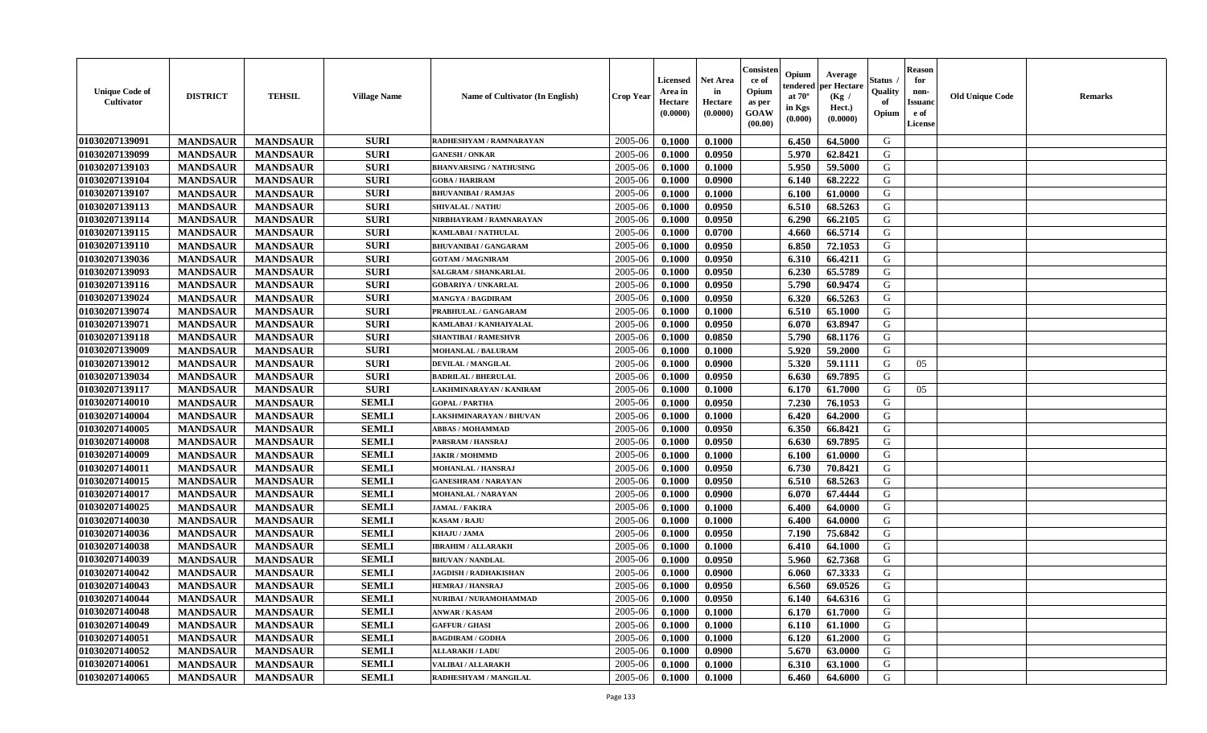| <b>Unique Code of</b><br><b>Cultivator</b> | <b>DISTRICT</b> | <b>TEHSIL</b>   | <b>Village Name</b> | Name of Cultivator (In English) | <b>Crop Year</b> | <b>Licensed</b><br>Area in<br>Hectare<br>(0.0000) | <b>Net Area</b><br>in<br>Hectare<br>(0.0000) | Consister<br>ce of<br>Opium<br>as per<br><b>GOAW</b><br>(00.00) | Opium<br>endered<br>at $70^\circ$<br>in Kgs<br>(0.000) | Average<br>per Hectare<br>(Kg /<br>Hect.)<br>(0.0000) | Status<br>Quality<br>of<br>Opium | <b>Reason</b><br>for<br>non-<br><b>Issuand</b><br>e of<br><b>License</b> | <b>Old Unique Code</b> | <b>Remarks</b> |
|--------------------------------------------|-----------------|-----------------|---------------------|---------------------------------|------------------|---------------------------------------------------|----------------------------------------------|-----------------------------------------------------------------|--------------------------------------------------------|-------------------------------------------------------|----------------------------------|--------------------------------------------------------------------------|------------------------|----------------|
| 01030207139091                             | <b>MANDSAUR</b> | <b>MANDSAUR</b> | <b>SURI</b>         | RADHESHYAM / RAMNARAYAN         | 2005-06          | 0.1000                                            | 0.1000                                       |                                                                 | 6.450                                                  | 64.5000                                               | G                                |                                                                          |                        |                |
| 01030207139099                             | <b>MANDSAUR</b> | <b>MANDSAUR</b> | <b>SURI</b>         | <b>GANESH / ONKAR</b>           | 2005-06          | 0.1000                                            | 0.0950                                       |                                                                 | 5.970                                                  | 62.8421                                               | G                                |                                                                          |                        |                |
| 01030207139103                             | <b>MANDSAUR</b> | <b>MANDSAUR</b> | <b>SURI</b>         | <b>BHANVARSING / NATHUSING</b>  | 2005-06          | 0.1000                                            | 0.1000                                       |                                                                 | 5.950                                                  | 59.5000                                               | G                                |                                                                          |                        |                |
| 01030207139104                             | <b>MANDSAUR</b> | <b>MANDSAUR</b> | <b>SURI</b>         | <b>GOBA / HARIRAM</b>           | 2005-06          | 0.1000                                            | 0.0900                                       |                                                                 | 6.140                                                  | 68.2222                                               | G                                |                                                                          |                        |                |
| 01030207139107                             | <b>MANDSAUR</b> | <b>MANDSAUR</b> | <b>SURI</b>         | <b>BHUVANIBAI / RAMJAS</b>      | 2005-06          | 0.1000                                            | 0.1000                                       |                                                                 | 6.100                                                  | 61.0000                                               | G                                |                                                                          |                        |                |
| 01030207139113                             | <b>MANDSAUR</b> | <b>MANDSAUR</b> | <b>SURI</b>         | SHIVALAL / NATHU                | 2005-06          | 0.1000                                            | 0.0950                                       |                                                                 | 6.510                                                  | 68.5263                                               | G                                |                                                                          |                        |                |
| 01030207139114                             | <b>MANDSAUR</b> | <b>MANDSAUR</b> | <b>SURI</b>         | NIRBHAYRAM / RAMNARAYAN         | 2005-06          | 0.1000                                            | 0.0950                                       |                                                                 | 6.290                                                  | 66.2105                                               | G                                |                                                                          |                        |                |
| 01030207139115                             | <b>MANDSAUR</b> | <b>MANDSAUR</b> | <b>SURI</b>         | <b>KAMLABAI/NATHULAL</b>        | 2005-06          | 0.1000                                            | 0.0700                                       |                                                                 | 4.660                                                  | 66.5714                                               | ${\bf G}$                        |                                                                          |                        |                |
| 01030207139110                             | <b>MANDSAUR</b> | <b>MANDSAUR</b> | <b>SURI</b>         | <b>BHUVANIBAI / GANGARAM</b>    | 2005-06          | 0.1000                                            | 0.0950                                       |                                                                 | 6.850                                                  | 72.1053                                               | G                                |                                                                          |                        |                |
| 01030207139036                             | <b>MANDSAUR</b> | <b>MANDSAUR</b> | <b>SURI</b>         | <b>GOTAM / MAGNIRAM</b>         | 2005-06          | 0.1000                                            | 0.0950                                       |                                                                 | 6.310                                                  | 66.4211                                               | G                                |                                                                          |                        |                |
| 01030207139093                             | <b>MANDSAUR</b> | <b>MANDSAUR</b> | <b>SURI</b>         | SALGRAM / SHANKARLAL            | 2005-06          | 0.1000                                            | 0.0950                                       |                                                                 | 6.230                                                  | 65.5789                                               | G                                |                                                                          |                        |                |
| 01030207139116                             | <b>MANDSAUR</b> | <b>MANDSAUR</b> | <b>SURI</b>         | <b>GOBARIYA / UNKARLAL</b>      | 2005-06          | 0.1000                                            | 0.0950                                       |                                                                 | 5.790                                                  | 60.9474                                               | G                                |                                                                          |                        |                |
| 01030207139024                             | <b>MANDSAUR</b> | <b>MANDSAUR</b> | <b>SURI</b>         | <b>MANGYA / BAGDIRAM</b>        | 2005-06          | 0.1000                                            | 0.0950                                       |                                                                 | 6.320                                                  | 66.5263                                               | G                                |                                                                          |                        |                |
| 01030207139074                             | <b>MANDSAUR</b> | <b>MANDSAUR</b> | <b>SURI</b>         | PRABHULAL / GANGARAM            | 2005-06          | 0.1000                                            | 0.1000                                       |                                                                 | 6.510                                                  | 65.1000                                               | G                                |                                                                          |                        |                |
| 01030207139071                             | <b>MANDSAUR</b> | <b>MANDSAUR</b> | <b>SURI</b>         | KAMLABAI / KANHAIYALAL          | 2005-06          | 0.1000                                            | 0.0950                                       |                                                                 | 6.070                                                  | 63.8947                                               | G                                |                                                                          |                        |                |
| 01030207139118                             | <b>MANDSAUR</b> | <b>MANDSAUR</b> | <b>SURI</b>         | <b>SHANTIBAI / RAMESHVR</b>     | 2005-06          | 0.1000                                            | 0.0850                                       |                                                                 | 5.790                                                  | 68.1176                                               | G                                |                                                                          |                        |                |
| 01030207139009                             | <b>MANDSAUR</b> | <b>MANDSAUR</b> | <b>SURI</b>         | MOHANLAL / BALURAM              | 2005-06          | 0.1000                                            | 0.1000                                       |                                                                 | 5.920                                                  | 59.2000                                               | G                                |                                                                          |                        |                |
| 01030207139012                             | <b>MANDSAUR</b> | <b>MANDSAUR</b> | <b>SURI</b>         | DEVILAL / MANGILAL              | 2005-06          | 0.1000                                            | 0.0900                                       |                                                                 | 5.320                                                  | 59.1111                                               | G                                | 05                                                                       |                        |                |
| 01030207139034                             | <b>MANDSAUR</b> | <b>MANDSAUR</b> | <b>SURI</b>         | <b>BADRILAL / BHERULAL</b>      | 2005-06          | 0.1000                                            | 0.0950                                       |                                                                 | 6.630                                                  | 69.7895                                               | G                                |                                                                          |                        |                |
| 01030207139117                             | <b>MANDSAUR</b> | <b>MANDSAUR</b> | <b>SURI</b>         | LAKHMINARAYAN / KANIRAM         | 2005-06          | 0.1000                                            | 0.1000                                       |                                                                 | 6.170                                                  | 61.7000                                               | G                                | 05                                                                       |                        |                |
| 01030207140010                             | <b>MANDSAUR</b> | <b>MANDSAUR</b> | <b>SEMLI</b>        | <b>GOPAL / PARTHA</b>           | 2005-06          | 0.1000                                            | 0.0950                                       |                                                                 | 7.230                                                  | 76.1053                                               | G                                |                                                                          |                        |                |
| 01030207140004                             | <b>MANDSAUR</b> | <b>MANDSAUR</b> | <b>SEMLI</b>        | LAKSHMINARAYAN / BHUVAN         | 2005-06          | 0.1000                                            | 0.1000                                       |                                                                 | 6.420                                                  | 64.2000                                               | G                                |                                                                          |                        |                |
| 01030207140005                             | <b>MANDSAUR</b> | <b>MANDSAUR</b> | <b>SEMLI</b>        | <b>ABBAS / MOHAMMAD</b>         | 2005-06          | 0.1000                                            | 0.0950                                       |                                                                 | 6.350                                                  | 66.8421                                               | G                                |                                                                          |                        |                |
| 01030207140008                             | <b>MANDSAUR</b> | <b>MANDSAUR</b> | <b>SEMLI</b>        | PARSRAM / HANSRAJ               | 2005-06          | 0.1000                                            | 0.0950                                       |                                                                 | 6.630                                                  | 69.7895                                               | G                                |                                                                          |                        |                |
| 01030207140009                             | <b>MANDSAUR</b> | <b>MANDSAUR</b> | <b>SEMLI</b>        | <b>JAKIR / MOHMMD</b>           | 2005-06          | 0.1000                                            | 0.1000                                       |                                                                 | 6.100                                                  | 61.0000                                               | G                                |                                                                          |                        |                |
| 01030207140011                             | <b>MANDSAUR</b> | <b>MANDSAUR</b> | <b>SEMLI</b>        | MOHANLAL / HANSRAJ              | 2005-06          | 0.1000                                            | 0.0950                                       |                                                                 | 6.730                                                  | 70.8421                                               | G                                |                                                                          |                        |                |
| 01030207140015                             | <b>MANDSAUR</b> | <b>MANDSAUR</b> | <b>SEMLI</b>        | <b>GANESHRAM / NARAYAN</b>      | 2005-06          | 0.1000                                            | 0.0950                                       |                                                                 | 6.510                                                  | 68.5263                                               | G                                |                                                                          |                        |                |
| 01030207140017                             | <b>MANDSAUR</b> | <b>MANDSAUR</b> | <b>SEMLI</b>        | <b>MOHANLAL / NARAYAN</b>       | 2005-06          | 0.1000                                            | 0.0900                                       |                                                                 | 6.070                                                  | 67.4444                                               | G                                |                                                                          |                        |                |
| 01030207140025                             | <b>MANDSAUR</b> | <b>MANDSAUR</b> | <b>SEMLI</b>        | <b>JAMAL / FAKIRA</b>           | 2005-06          | 0.1000                                            | 0.1000                                       |                                                                 | 6.400                                                  | 64.0000                                               | G                                |                                                                          |                        |                |
| 01030207140030                             | <b>MANDSAUR</b> | <b>MANDSAUR</b> | <b>SEMLI</b>        | <b>KASAM / RAJU</b>             | 2005-06          | 0.1000                                            | 0.1000                                       |                                                                 | 6.400                                                  | 64.0000                                               | G                                |                                                                          |                        |                |
| 01030207140036                             | <b>MANDSAUR</b> | <b>MANDSAUR</b> | <b>SEMLI</b>        | KHAJU / JAMA                    | 2005-06          | 0.1000                                            | 0.0950                                       |                                                                 | 7.190                                                  | 75.6842                                               | G                                |                                                                          |                        |                |
| 01030207140038                             | <b>MANDSAUR</b> | <b>MANDSAUR</b> | <b>SEMLI</b>        | <b>IBRAHIM / ALLARAKH</b>       | 2005-06          | 0.1000                                            | 0.1000                                       |                                                                 | 6.410                                                  | 64.1000                                               | G                                |                                                                          |                        |                |
| 01030207140039                             | <b>MANDSAUR</b> | <b>MANDSAUR</b> | <b>SEMLI</b>        | <b>BHUVAN / NANDLAL</b>         | 2005-06          | 0.1000                                            | 0.0950                                       |                                                                 | 5.960                                                  | 62.7368                                               | G                                |                                                                          |                        |                |
| 01030207140042                             | <b>MANDSAUR</b> | <b>MANDSAUR</b> | <b>SEMLI</b>        | <b>JAGDISH / RADHAKISHAN</b>    | 2005-06          | 0.1000                                            | 0.0900                                       |                                                                 | 6.060                                                  | 67.3333                                               | G                                |                                                                          |                        |                |
| 01030207140043                             | <b>MANDSAUR</b> | <b>MANDSAUR</b> | <b>SEMLI</b>        | <b>HEMRAJ / HANSRAJ</b>         | 2005-06          | 0.1000                                            | 0.0950                                       |                                                                 | 6.560                                                  | 69.0526                                               | G                                |                                                                          |                        |                |
| 01030207140044                             | <b>MANDSAUR</b> | <b>MANDSAUR</b> | <b>SEMLI</b>        | NURIBAI / NURAMOHAMMAD          | 2005-06          | 0.1000                                            | 0.0950                                       |                                                                 | 6.140                                                  | 64.6316                                               | G                                |                                                                          |                        |                |
| 01030207140048                             | <b>MANDSAUR</b> | <b>MANDSAUR</b> | <b>SEMLI</b>        | <b>ANWAR / KASAM</b>            | 2005-06          | 0.1000                                            | 0.1000                                       |                                                                 | 6.170                                                  | 61.7000                                               | G                                |                                                                          |                        |                |
| 01030207140049                             | <b>MANDSAUR</b> | <b>MANDSAUR</b> | <b>SEMLI</b>        | <b>GAFFUR / GHASI</b>           | 2005-06          | 0.1000                                            | 0.1000                                       |                                                                 | 6.110                                                  | 61.1000                                               | G                                |                                                                          |                        |                |
| 01030207140051                             | <b>MANDSAUR</b> | <b>MANDSAUR</b> | <b>SEMLI</b>        | <b>BAGDIRAM / GODHA</b>         | 2005-06          | 0.1000                                            | 0.1000                                       |                                                                 | 6.120                                                  | 61.2000                                               | G                                |                                                                          |                        |                |
| 01030207140052                             | <b>MANDSAUR</b> | <b>MANDSAUR</b> | <b>SEMLI</b>        | <b>ALLARAKH / LADU</b>          | 2005-06          | 0.1000                                            | 0.0900                                       |                                                                 | 5.670                                                  | 63.0000                                               | G                                |                                                                          |                        |                |
| 01030207140061                             | <b>MANDSAUR</b> | <b>MANDSAUR</b> | <b>SEMLI</b>        | VALIBAI / ALLARAKH              | 2005-06          | 0.1000                                            | 0.1000                                       |                                                                 | 6.310                                                  | 63.1000                                               | G                                |                                                                          |                        |                |
| 01030207140065                             | <b>MANDSAUR</b> | <b>MANDSAUR</b> | <b>SEMLI</b>        | RADHESHYAM / MANGILAL           | 2005-06          | 0.1000                                            | 0.1000                                       |                                                                 | 6.460                                                  | 64.6000                                               | G                                |                                                                          |                        |                |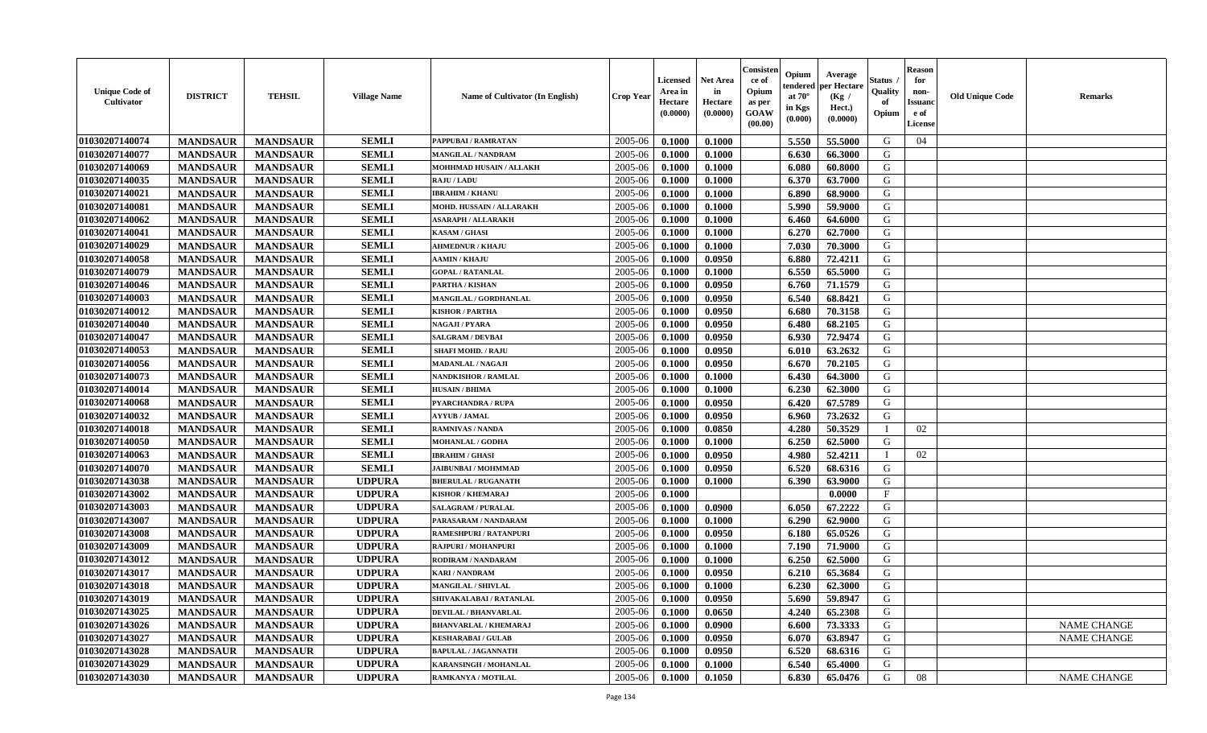| <b>Unique Code of</b><br>Cultivator | <b>DISTRICT</b> | <b>TEHSIL</b>   | <b>Village Name</b> | Name of Cultivator (In English) | <b>Crop Year</b> | <b>Licensed</b><br>Area in<br>Hectare<br>(0.0000) | <b>Net Area</b><br>in<br>Hectare<br>(0.0000) | Consister<br>ce of<br>Opium<br>as per<br><b>GOAW</b><br>(00.00) | Opium<br>endered<br>at $70^\circ$<br>in Kgs<br>(0.000) | Average<br>per Hectare<br>(Kg /<br>Hect.)<br>(0.0000) | <b>Status</b><br>Quality<br>of<br>Opium | <b>Reason</b><br>for<br>non-<br><b>Issuand</b><br>e of<br><b>License</b> | <b>Old Unique Code</b> | <b>Remarks</b>     |
|-------------------------------------|-----------------|-----------------|---------------------|---------------------------------|------------------|---------------------------------------------------|----------------------------------------------|-----------------------------------------------------------------|--------------------------------------------------------|-------------------------------------------------------|-----------------------------------------|--------------------------------------------------------------------------|------------------------|--------------------|
| 01030207140074                      | <b>MANDSAUR</b> | <b>MANDSAUR</b> | <b>SEMLI</b>        | PAPPUBAI / RAMRATAN             | 2005-06          | 0.1000                                            | 0.1000                                       |                                                                 | 5.550                                                  | 55.5000                                               | G                                       | 04                                                                       |                        |                    |
| 01030207140077                      | <b>MANDSAUR</b> | <b>MANDSAUR</b> | <b>SEMLI</b>        | MANGILAL / NANDRAM              | 2005-06          | 0.1000                                            | 0.1000                                       |                                                                 | 6.630                                                  | 66.3000                                               | G                                       |                                                                          |                        |                    |
| 01030207140069                      | <b>MANDSAUR</b> | <b>MANDSAUR</b> | <b>SEMLI</b>        | MOHHMAD HUSAIN / ALLAKH         | 2005-06          | 0.1000                                            | 0.1000                                       |                                                                 | 6.080                                                  | 60.8000                                               | G                                       |                                                                          |                        |                    |
| 01030207140035                      | <b>MANDSAUR</b> | <b>MANDSAUR</b> | SEMLI               | <b>RAJU / LADU</b>              | 2005-06          | 0.1000                                            | 0.1000                                       |                                                                 | 6.370                                                  | 63.7000                                               | G                                       |                                                                          |                        |                    |
| 01030207140021                      | <b>MANDSAUR</b> | <b>MANDSAUR</b> | <b>SEMLI</b>        | <b>IBRAHIM / KHANU</b>          | 2005-06          | 0.1000                                            | 0.1000                                       |                                                                 | 6.890                                                  | 68.9000                                               | G                                       |                                                                          |                        |                    |
| 01030207140081                      | <b>MANDSAUR</b> | <b>MANDSAUR</b> | <b>SEMLI</b>        | MOHD. HUSSAIN / ALLARAKH        | 2005-06          | 0.1000                                            | 0.1000                                       |                                                                 | 5.990                                                  | 59.9000                                               | G                                       |                                                                          |                        |                    |
| 01030207140062                      | <b>MANDSAUR</b> | <b>MANDSAUR</b> | <b>SEMLI</b>        | <b>ASARAPH / ALLARAKH</b>       | 2005-06          | 0.1000                                            | 0.1000                                       |                                                                 | 6.460                                                  | 64.6000                                               | G                                       |                                                                          |                        |                    |
| 01030207140041                      | <b>MANDSAUR</b> | <b>MANDSAUR</b> | <b>SEMLI</b>        | <b>KASAM / GHASI</b>            | 2005-06          | 0.1000                                            | 0.1000                                       |                                                                 | 6.270                                                  | 62.7000                                               | G                                       |                                                                          |                        |                    |
| 01030207140029                      | <b>MANDSAUR</b> | <b>MANDSAUR</b> | <b>SEMLI</b>        | <b>AHMEDNUR / KHAJU</b>         | 2005-06          | 0.1000                                            | 0.1000                                       |                                                                 | 7.030                                                  | 70.3000                                               | G                                       |                                                                          |                        |                    |
| 01030207140058                      | <b>MANDSAUR</b> | <b>MANDSAUR</b> | <b>SEMLI</b>        | <b>AAMIN / KHAJU</b>            | 2005-06          | 0.1000                                            | 0.0950                                       |                                                                 | 6.880                                                  | 72,4211                                               | G                                       |                                                                          |                        |                    |
| 01030207140079                      | <b>MANDSAUR</b> | <b>MANDSAUR</b> | <b>SEMLI</b>        | <b>GOPAL / RATANLAL</b>         | 2005-06          | 0.1000                                            | 0.1000                                       |                                                                 | 6.550                                                  | 65.5000                                               | G                                       |                                                                          |                        |                    |
| 01030207140046                      | <b>MANDSAUR</b> | <b>MANDSAUR</b> | <b>SEMLI</b>        | PARTHA / KISHAN                 | 2005-06          | 0.1000                                            | 0.0950                                       |                                                                 | 6.760                                                  | 71.1579                                               | G                                       |                                                                          |                        |                    |
| 01030207140003                      | <b>MANDSAUR</b> | <b>MANDSAUR</b> | <b>SEMLI</b>        | MANGILAL / GORDHANLAL           | 2005-06          | 0.1000                                            | 0.0950                                       |                                                                 | 6.540                                                  | 68.8421                                               | G                                       |                                                                          |                        |                    |
| 01030207140012                      | <b>MANDSAUR</b> | <b>MANDSAUR</b> | <b>SEMLI</b>        | <b>KISHOR / PARTHA</b>          | 2005-06          | 0.1000                                            | 0.0950                                       |                                                                 | 6.680                                                  | 70.3158                                               | G                                       |                                                                          |                        |                    |
| 01030207140040                      | <b>MANDSAUR</b> | <b>MANDSAUR</b> | <b>SEMLI</b>        | NAGAJI / PYARA                  | 2005-06          | 0.1000                                            | 0.0950                                       |                                                                 | 6.480                                                  | 68.2105                                               | G                                       |                                                                          |                        |                    |
| 01030207140047                      | <b>MANDSAUR</b> | <b>MANDSAUR</b> | <b>SEMLI</b>        | SALGRAM / DEVBAI                | 2005-06          | 0.1000                                            | 0.0950                                       |                                                                 | 6.930                                                  | 72.9474                                               | G                                       |                                                                          |                        |                    |
| 01030207140053                      | <b>MANDSAUR</b> | <b>MANDSAUR</b> | <b>SEMLI</b>        | <b>SHAFI MOHD. / RAJU</b>       | 2005-06          | 0.1000                                            | 0.0950                                       |                                                                 | 6.010                                                  | 63.2632                                               | G                                       |                                                                          |                        |                    |
| 01030207140056                      | <b>MANDSAUR</b> | <b>MANDSAUR</b> | <b>SEMLI</b>        | <b>MADANLAL / NAGAJI</b>        | 2005-06          | 0.1000                                            | 0.0950                                       |                                                                 | 6.670                                                  | 70.2105                                               | G                                       |                                                                          |                        |                    |
| 01030207140073                      | <b>MANDSAUR</b> | <b>MANDSAUR</b> | <b>SEMLI</b>        | <b>NANDKISHOR / RAMLAL</b>      | 2005-06          | 0.1000                                            | 0.1000                                       |                                                                 | 6.430                                                  | 64.3000                                               | G                                       |                                                                          |                        |                    |
| 01030207140014                      | <b>MANDSAUR</b> | <b>MANDSAUR</b> | <b>SEMLI</b>        | <b>HUSAIN / BHIMA</b>           | 2005-06          | 0.1000                                            | 0.1000                                       |                                                                 | 6.230                                                  | 62.3000                                               | G                                       |                                                                          |                        |                    |
| 01030207140068                      | <b>MANDSAUR</b> | <b>MANDSAUR</b> | <b>SEMLI</b>        | <b>PYARCHANDRA / RUPA</b>       | 2005-06          | 0.1000                                            | 0.0950                                       |                                                                 | 6.420                                                  | 67.5789                                               | G                                       |                                                                          |                        |                    |
| 01030207140032                      | <b>MANDSAUR</b> | <b>MANDSAUR</b> | <b>SEMLI</b>        | <b>AYYUB / JAMAL</b>            | 2005-06          | 0.1000                                            | 0.0950                                       |                                                                 | 6.960                                                  | 73.2632                                               | G                                       |                                                                          |                        |                    |
| 01030207140018                      | <b>MANDSAUR</b> | <b>MANDSAUR</b> | <b>SEMLI</b>        | <b>RAMNIVAS / NANDA</b>         | 2005-06          | 0.1000                                            | 0.0850                                       |                                                                 | 4.280                                                  | 50.3529                                               |                                         | 02                                                                       |                        |                    |
| 01030207140050                      | <b>MANDSAUR</b> | <b>MANDSAUR</b> | <b>SEMLI</b>        | <b>MOHANLAL / GODHA</b>         | 2005-06          | 0.1000                                            | 0.1000                                       |                                                                 | 6.250                                                  | 62.5000                                               | G                                       |                                                                          |                        |                    |
| 01030207140063                      | <b>MANDSAUR</b> | <b>MANDSAUR</b> | <b>SEMLI</b>        | <b>IBRAHIM / GHASI</b>          | 2005-06          | 0.1000                                            | 0.0950                                       |                                                                 | 4.980                                                  | 52.4211                                               |                                         | 02                                                                       |                        |                    |
| 01030207140070                      | <b>MANDSAUR</b> | <b>MANDSAUR</b> | <b>SEMLI</b>        | <b>JAIBUNBAI / MOHMMAD</b>      | 2005-06          | 0.1000                                            | 0.0950                                       |                                                                 | 6.520                                                  | 68.6316                                               | G                                       |                                                                          |                        |                    |
| 01030207143038                      | <b>MANDSAUR</b> | <b>MANDSAUR</b> | <b>UDPURA</b>       | <b>BHERULAL / RUGANATH</b>      | 2005-06          | 0.1000                                            | 0.1000                                       |                                                                 | 6.390                                                  | 63.9000                                               | G                                       |                                                                          |                        |                    |
| 01030207143002                      | <b>MANDSAUR</b> | <b>MANDSAUR</b> | <b>UDPURA</b>       | <b>KISHOR / KHEMARAJ</b>        | 2005-06          | 0.1000                                            |                                              |                                                                 |                                                        | 0.0000                                                | F                                       |                                                                          |                        |                    |
| 01030207143003                      | <b>MANDSAUR</b> | <b>MANDSAUR</b> | <b>UDPURA</b>       | <b>SALAGRAM / PURALAL</b>       | 2005-06          | 0.1000                                            | 0.0900                                       |                                                                 | 6.050                                                  | 67.2222                                               | G                                       |                                                                          |                        |                    |
| 01030207143007                      | <b>MANDSAUR</b> | <b>MANDSAUR</b> | <b>UDPURA</b>       | PARASARAM / NANDARAM            | 2005-06          | 0.1000                                            | 0.1000                                       |                                                                 | 6.290                                                  | 62.9000                                               | G                                       |                                                                          |                        |                    |
| 01030207143008                      | <b>MANDSAUR</b> | <b>MANDSAUR</b> | <b>UDPURA</b>       | RAMESHPURI / RATANPURI          | 2005-06          | 0.1000                                            | 0.0950                                       |                                                                 | 6.180                                                  | 65.0526                                               | G                                       |                                                                          |                        |                    |
| 01030207143009                      | <b>MANDSAUR</b> | <b>MANDSAUR</b> | <b>UDPURA</b>       | <b>RAJPURI / MOHANPURI</b>      | 2005-06          | 0.1000                                            | 0.1000                                       |                                                                 | 7.190                                                  | 71.9000                                               | ${\bf G}$                               |                                                                          |                        |                    |
| 01030207143012                      | <b>MANDSAUR</b> | <b>MANDSAUR</b> | <b>UDPURA</b>       | RODIRAM / NANDARAM              | 2005-06          | 0.1000                                            | 0.1000                                       |                                                                 | 6.250                                                  | 62.5000                                               | G                                       |                                                                          |                        |                    |
| 01030207143017                      | <b>MANDSAUR</b> | <b>MANDSAUR</b> | <b>UDPURA</b>       | <b>KARI / NANDRAM</b>           | 2005-06          | 0.1000                                            | 0.0950                                       |                                                                 | 6.210                                                  | 65.3684                                               | G                                       |                                                                          |                        |                    |
| 01030207143018                      | <b>MANDSAUR</b> | <b>MANDSAUR</b> | <b>UDPURA</b>       | MANGILAL / SHIVLAL              | 2005-06          | 0.1000                                            | 0.1000                                       |                                                                 | 6.230                                                  | 62.3000                                               | G                                       |                                                                          |                        |                    |
| 01030207143019                      | <b>MANDSAUR</b> | <b>MANDSAUR</b> | <b>UDPURA</b>       | SHIVAKALABAI / RATANLAL         | 2005-06          | 0.1000                                            | 0.0950                                       |                                                                 | 5.690                                                  | 59.8947                                               | G                                       |                                                                          |                        |                    |
| 01030207143025                      | <b>MANDSAUR</b> | <b>MANDSAUR</b> | <b>UDPURA</b>       | <b>DEVILAL / BHANVARLAL</b>     | 2005-06          | 0.1000                                            | 0.0650                                       |                                                                 | 4.240                                                  | 65.2308                                               | G                                       |                                                                          |                        |                    |
| 01030207143026                      | <b>MANDSAUR</b> | <b>MANDSAUR</b> | <b>UDPURA</b>       | <b>BHANVARLAL / KHEMARAJ</b>    | 2005-06          | 0.1000                                            | 0.0900                                       |                                                                 | 6.600                                                  | 73.3333                                               | G                                       |                                                                          |                        | <b>NAME CHANGE</b> |
| 01030207143027                      | <b>MANDSAUR</b> | <b>MANDSAUR</b> | <b>UDPURA</b>       | <b>KESHARABAI/ GULAB</b>        | 2005-06          | 0.1000                                            | 0.0950                                       |                                                                 | 6.070                                                  | 63.8947                                               | G                                       |                                                                          |                        | <b>NAME CHANGE</b> |
| 01030207143028                      | <b>MANDSAUR</b> | <b>MANDSAUR</b> | <b>UDPURA</b>       | <b>BAPULAL / JAGANNATH</b>      | 2005-06          | 0.1000                                            | 0.0950                                       |                                                                 | 6.520                                                  | 68.6316                                               | ${\bf G}$                               |                                                                          |                        |                    |
| 01030207143029                      | <b>MANDSAUR</b> | <b>MANDSAUR</b> | <b>UDPURA</b>       | <b>KARANSINGH / MOHANLAL</b>    | 2005-06          | 0.1000                                            | 0.1000                                       |                                                                 | 6.540                                                  | 65.4000                                               | G                                       |                                                                          |                        |                    |
| 01030207143030                      | <b>MANDSAUR</b> | <b>MANDSAUR</b> | <b>UDPURA</b>       | RAMKANYA / MOTILAL              | 2005-06          | 0.1000                                            | 0.1050                                       |                                                                 | 6.830                                                  | 65.0476                                               | G                                       | 08                                                                       |                        | <b>NAME CHANGE</b> |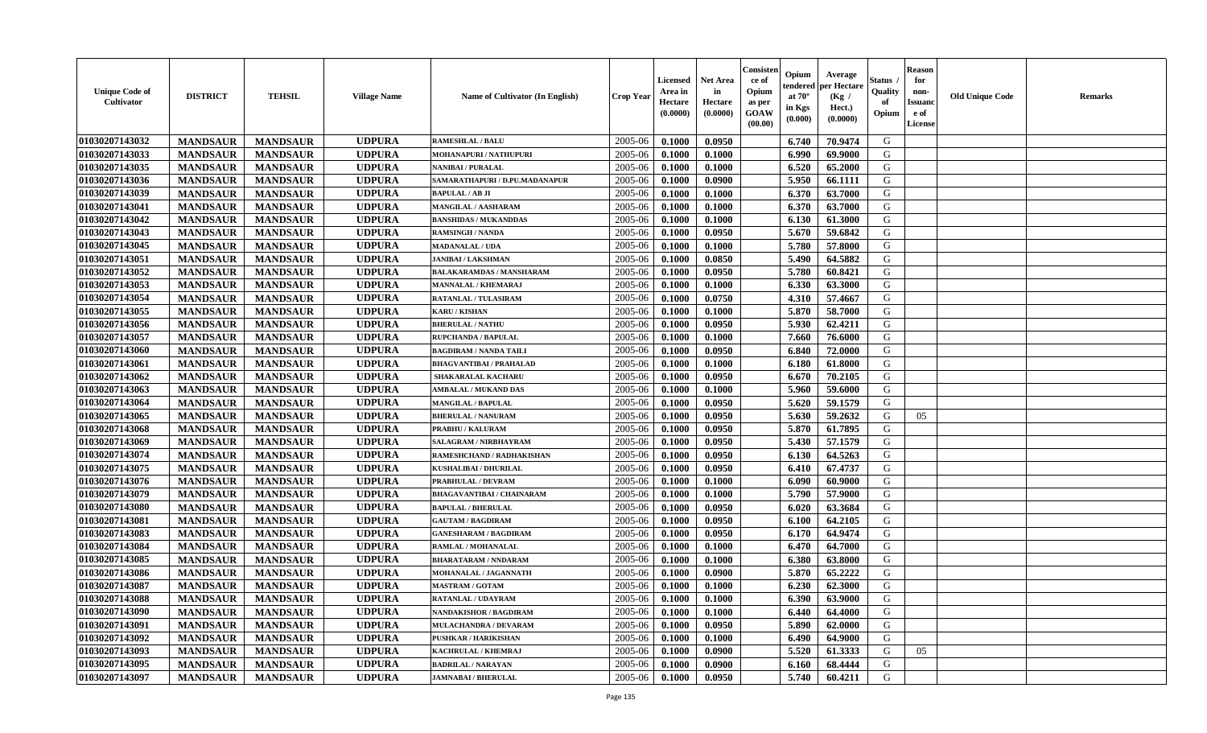| <b>Unique Code of</b><br><b>Cultivator</b> | <b>DISTRICT</b> | <b>TEHSIL</b>   | <b>Village Name</b> | Name of Cultivator (In English)  | <b>Crop Year</b> | <b>Licensed</b><br>Area in<br>Hectare<br>(0.0000) | <b>Net Area</b><br>in<br>Hectare<br>(0.0000) | Consisteı<br>ce of<br>Opium<br>as per<br>GOAW<br>(00.00) | Opium<br>endered<br>at $70^\circ$<br>in Kgs<br>(0.000) | Average<br>per Hectare<br>(Kg /<br>Hect.)<br>(0.0000) | Status<br>Quality<br>of<br>Opium | <b>Reason</b><br>for<br>non-<br><b>Issuand</b><br>e of<br><b>License</b> | <b>Old Unique Code</b> | <b>Remarks</b> |
|--------------------------------------------|-----------------|-----------------|---------------------|----------------------------------|------------------|---------------------------------------------------|----------------------------------------------|----------------------------------------------------------|--------------------------------------------------------|-------------------------------------------------------|----------------------------------|--------------------------------------------------------------------------|------------------------|----------------|
| 01030207143032                             | <b>MANDSAUR</b> | <b>MANDSAUR</b> | <b>UDPURA</b>       | <b>RAMESHLAL / BALU</b>          | 2005-06          | 0.1000                                            | 0.0950                                       |                                                          | 6.740                                                  | 70.9474                                               | G                                |                                                                          |                        |                |
| 01030207143033                             | <b>MANDSAUR</b> | <b>MANDSAUR</b> | <b>UDPURA</b>       | MOHANAPURI / NATHUPURI           | 2005-06          | 0.1000                                            | 0.1000                                       |                                                          | 6.990                                                  | 69.9000                                               | G                                |                                                                          |                        |                |
| 01030207143035                             | <b>MANDSAUR</b> | <b>MANDSAUR</b> | <b>UDPURA</b>       | <b>NANIBAI / PURALAL</b>         | 2005-06          | 0.1000                                            | 0.1000                                       |                                                          | 6.520                                                  | 65.2000                                               | G                                |                                                                          |                        |                |
| 01030207143036                             | <b>MANDSAUR</b> | <b>MANDSAUR</b> | <b>UDPURA</b>       | SAMARATHAPURI / D.PU.MADANAPUR   | 2005-06          | 0.1000                                            | 0.0900                                       |                                                          | 5.950                                                  | 66.1111                                               | G                                |                                                                          |                        |                |
| 01030207143039                             | <b>MANDSAUR</b> | <b>MANDSAUR</b> | <b>UDPURA</b>       | <b>BAPULAL / AB JI</b>           | 2005-06          | 0.1000                                            | 0.1000                                       |                                                          | 6.370                                                  | 63.7000                                               | G                                |                                                                          |                        |                |
| 01030207143041                             | <b>MANDSAUR</b> | <b>MANDSAUR</b> | <b>UDPURA</b>       | <b>MANGILAL / AASHARAM</b>       | 2005-06          | 0.1000                                            | 0.1000                                       |                                                          | 6.370                                                  | 63.7000                                               | G                                |                                                                          |                        |                |
| 01030207143042                             | <b>MANDSAUR</b> | <b>MANDSAUR</b> | <b>UDPURA</b>       | <b>BANSHIDAS / MUKANDDAS</b>     | 2005-06          | 0.1000                                            | 0.1000                                       |                                                          | 6.130                                                  | 61.3000                                               | G                                |                                                                          |                        |                |
| 01030207143043                             | <b>MANDSAUR</b> | <b>MANDSAUR</b> | <b>UDPURA</b>       | <b>RAMSINGH / NANDA</b>          | 2005-06          | 0.1000                                            | 0.0950                                       |                                                          | 5.670                                                  | 59.6842                                               | G                                |                                                                          |                        |                |
| 01030207143045                             | <b>MANDSAUR</b> | <b>MANDSAUR</b> | <b>UDPURA</b>       | <b>MADANALAL / UDA</b>           | 2005-06          | 0.1000                                            | 0.1000                                       |                                                          | 5.780                                                  | 57.8000                                               | G                                |                                                                          |                        |                |
| 01030207143051                             | <b>MANDSAUR</b> | <b>MANDSAUR</b> | <b>UDPURA</b>       | <b>JANIBAI / LAKSHMAN</b>        | 2005-06          | 0.1000                                            | 0.0850                                       |                                                          | 5.490                                                  | 64.5882                                               | G                                |                                                                          |                        |                |
| 01030207143052                             | <b>MANDSAUR</b> | <b>MANDSAUR</b> | <b>UDPURA</b>       | <b>BALAKARAMDAS / MANSHARAM</b>  | 2005-06          | 0.1000                                            | 0.0950                                       |                                                          | 5.780                                                  | 60.8421                                               | G                                |                                                                          |                        |                |
| 01030207143053                             | <b>MANDSAUR</b> | <b>MANDSAUR</b> | <b>UDPURA</b>       | <b>MANNALAL / KHEMARAJ</b>       | 2005-06          | 0.1000                                            | 0.1000                                       |                                                          | 6.330                                                  | 63.3000                                               | G                                |                                                                          |                        |                |
| 01030207143054                             | <b>MANDSAUR</b> | <b>MANDSAUR</b> | <b>UDPURA</b>       | <b>RATANLAL / TULASIRAM</b>      | 2005-06          | 0.1000                                            | 0.0750                                       |                                                          | 4.310                                                  | 57.4667                                               | G                                |                                                                          |                        |                |
| 01030207143055                             | <b>MANDSAUR</b> | <b>MANDSAUR</b> | <b>UDPURA</b>       | <b>KARU/KISHAN</b>               | 2005-06          | 0.1000                                            | 0.1000                                       |                                                          | 5.870                                                  | 58.7000                                               | G                                |                                                                          |                        |                |
| 01030207143056                             | <b>MANDSAUR</b> | <b>MANDSAUR</b> | <b>UDPURA</b>       | <b>BHERULAL / NATHU</b>          | 2005-06          | 0.1000                                            | 0.0950                                       |                                                          | 5.930                                                  | 62.4211                                               | G                                |                                                                          |                        |                |
| 01030207143057                             | <b>MANDSAUR</b> | <b>MANDSAUR</b> | <b>UDPURA</b>       | <b>RUPCHANDA / BAPULAL</b>       | 2005-06          | 0.1000                                            | 0.1000                                       |                                                          | 7.660                                                  | 76.6000                                               | G                                |                                                                          |                        |                |
| 01030207143060                             | <b>MANDSAUR</b> | <b>MANDSAUR</b> | <b>UDPURA</b>       | <b>BAGDIRAM / NANDA TAILI</b>    | 2005-06          | 0.1000                                            | 0.0950                                       |                                                          | 6.840                                                  | 72.0000                                               | G                                |                                                                          |                        |                |
| 01030207143061                             | <b>MANDSAUR</b> | <b>MANDSAUR</b> | <b>UDPURA</b>       | <b>BHAGVANTIBAI / PRAHALAD</b>   | 2005-06          | 0.1000                                            | 0.1000                                       |                                                          | 6.180                                                  | 61.8000                                               | G                                |                                                                          |                        |                |
| 01030207143062                             | <b>MANDSAUR</b> | <b>MANDSAUR</b> | <b>UDPURA</b>       | <b>SHAKARALAL KACHARU</b>        | 2005-06          | 0.1000                                            | 0.0950                                       |                                                          | 6.670                                                  | 70.2105                                               | G                                |                                                                          |                        |                |
| 01030207143063                             | <b>MANDSAUR</b> | <b>MANDSAUR</b> | <b>UDPURA</b>       | <b>AMBALAL / MUKAND DAS</b>      | 2005-06          | 0.1000                                            | 0.1000                                       |                                                          | 5.960                                                  | 59.6000                                               | G                                |                                                                          |                        |                |
| 01030207143064                             | <b>MANDSAUR</b> | <b>MANDSAUR</b> | <b>UDPURA</b>       | <b>MANGILAL / BAPULAL</b>        | 2005-06          | 0.1000                                            | 0.0950                                       |                                                          | 5.620                                                  | 59.1579                                               | G                                |                                                                          |                        |                |
| 01030207143065                             | <b>MANDSAUR</b> | <b>MANDSAUR</b> | <b>UDPURA</b>       | <b>BHERULAL / NANURAM</b>        | 2005-06          | 0.1000                                            | 0.0950                                       |                                                          | 5.630                                                  | 59.2632                                               | G                                | 05                                                                       |                        |                |
| 01030207143068                             | <b>MANDSAUR</b> | <b>MANDSAUR</b> | <b>UDPURA</b>       | PRABHU / KALURAM                 | 2005-06          | 0.1000                                            | 0.0950                                       |                                                          | 5.870                                                  | 61.7895                                               | G                                |                                                                          |                        |                |
| 01030207143069                             | <b>MANDSAUR</b> | <b>MANDSAUR</b> | <b>UDPURA</b>       | SALAGRAM / NIRBHAYRAM            | 2005-06          | 0.1000                                            | 0.0950                                       |                                                          | 5.430                                                  | 57.1579                                               | G                                |                                                                          |                        |                |
| 01030207143074                             | <b>MANDSAUR</b> | <b>MANDSAUR</b> | <b>UDPURA</b>       | RAMESHCHAND / RADHAKISHAN        | 2005-06          | 0.1000                                            | 0.0950                                       |                                                          | 6.130                                                  | 64.5263                                               | G                                |                                                                          |                        |                |
| 01030207143075                             | <b>MANDSAUR</b> | <b>MANDSAUR</b> | <b>UDPURA</b>       | <b>KUSHALIBAI / DHURILAL</b>     | 2005-06          | 0.1000                                            | 0.0950                                       |                                                          | 6.410                                                  | 67.4737                                               | G                                |                                                                          |                        |                |
| 01030207143076                             | <b>MANDSAUR</b> | <b>MANDSAUR</b> | <b>UDPURA</b>       | PRABHULAL / DEVRAM               | 2005-06          | 0.1000                                            | 0.1000                                       |                                                          | 6.090                                                  | 60.9000                                               | G                                |                                                                          |                        |                |
| 01030207143079                             | <b>MANDSAUR</b> | <b>MANDSAUR</b> | <b>UDPURA</b>       | <b>BHAGAVANTIBAI / CHAINARAM</b> | 2005-06          | 0.1000                                            | 0.1000                                       |                                                          | 5.790                                                  | 57.9000                                               | G                                |                                                                          |                        |                |
| 01030207143080                             | <b>MANDSAUR</b> | <b>MANDSAUR</b> | <b>UDPURA</b>       | <b>BAPULAL / BHERULAL</b>        | 2005-06          | 0.1000                                            | 0.0950                                       |                                                          | 6.020                                                  | 63.3684                                               | G                                |                                                                          |                        |                |
| 01030207143081                             | <b>MANDSAUR</b> | <b>MANDSAUR</b> | <b>UDPURA</b>       | <b>GAUTAM / BAGDIRAM</b>         | 2005-06          | 0.1000                                            | 0.0950                                       |                                                          | 6.100                                                  | 64.2105                                               | G                                |                                                                          |                        |                |
| 01030207143083                             | <b>MANDSAUR</b> | <b>MANDSAUR</b> | <b>UDPURA</b>       | <b>GANESHARAM / BAGDIRAM</b>     | 2005-06          | 0.1000                                            | 0.0950                                       |                                                          | 6.170                                                  | 64.9474                                               | ${\bf G}$                        |                                                                          |                        |                |
| 01030207143084                             | <b>MANDSAUR</b> | <b>MANDSAUR</b> | <b>UDPURA</b>       | RAMLAL / MOHANALAL               | 2005-06          | 0.1000                                            | 0.1000                                       |                                                          | 6.470                                                  | 64.7000                                               | G                                |                                                                          |                        |                |
| 01030207143085                             | <b>MANDSAUR</b> | <b>MANDSAUR</b> | <b>UDPURA</b>       | <b>BHARATARAM / NNDARAM</b>      | 2005-06          | 0.1000                                            | 0.1000                                       |                                                          | 6.380                                                  | 63.8000                                               | G                                |                                                                          |                        |                |
| 01030207143086                             | <b>MANDSAUR</b> | <b>MANDSAUR</b> | <b>UDPURA</b>       | MOHANALAL / JAGANNATH            | 2005-06          | 0.1000                                            | 0.0900                                       |                                                          | 5.870                                                  | 65.2222                                               | G                                |                                                                          |                        |                |
| 01030207143087                             | <b>MANDSAUR</b> | <b>MANDSAUR</b> | <b>UDPURA</b>       | <b>MASTRAM / GOTAM</b>           | 2005-06          | 0.1000                                            | 0.1000                                       |                                                          | 6.230                                                  | 62.3000                                               | G                                |                                                                          |                        |                |
| 01030207143088                             | <b>MANDSAUR</b> | <b>MANDSAUR</b> | <b>UDPURA</b>       | <b>RATANLAL / UDAYRAM</b>        | 2005-06          | 0.1000                                            | 0.1000                                       |                                                          | 6.390                                                  | 63.9000                                               | G                                |                                                                          |                        |                |
| 01030207143090                             | <b>MANDSAUR</b> | <b>MANDSAUR</b> | <b>UDPURA</b>       | <b>NANDAKISHOR / BAGDIRAM</b>    | 2005-06          | 0.1000                                            | 0.1000                                       |                                                          | 6.440                                                  | 64.4000                                               | G                                |                                                                          |                        |                |
| 01030207143091                             | <b>MANDSAUR</b> | <b>MANDSAUR</b> | <b>UDPURA</b>       | MULACHANDRA / DEVARAM            | 2005-06          | 0.1000                                            | 0.0950                                       |                                                          | 5.890                                                  | 62.0000                                               | G                                |                                                                          |                        |                |
| 01030207143092                             | <b>MANDSAUR</b> | <b>MANDSAUR</b> | <b>UDPURA</b>       | PUSHKAR / HARIKISHAN             | 2005-06          | 0.1000                                            | 0.1000                                       |                                                          | 6.490                                                  | 64.9000                                               | G                                |                                                                          |                        |                |
| 01030207143093                             | <b>MANDSAUR</b> | <b>MANDSAUR</b> | <b>UDPURA</b>       | KACHRULAL / KHEMRAJ              | 2005-06          | 0.1000                                            | 0.0900                                       |                                                          | 5.520                                                  | 61.3333                                               | G                                | 05                                                                       |                        |                |
| 01030207143095                             | <b>MANDSAUR</b> | <b>MANDSAUR</b> | <b>UDPURA</b>       | <b>BADRILAL / NARAYAN</b>        | 2005-06          | 0.1000                                            | 0.0900                                       |                                                          | 6.160                                                  | 68.4444                                               | G                                |                                                                          |                        |                |
| 01030207143097                             | <b>MANDSAUR</b> | <b>MANDSAUR</b> | <b>UDPURA</b>       | <b>JAMNABAI / BHERULAL</b>       | 2005-06          | 0.1000                                            | 0.0950                                       |                                                          | 5.740                                                  | 60.4211                                               | G                                |                                                                          |                        |                |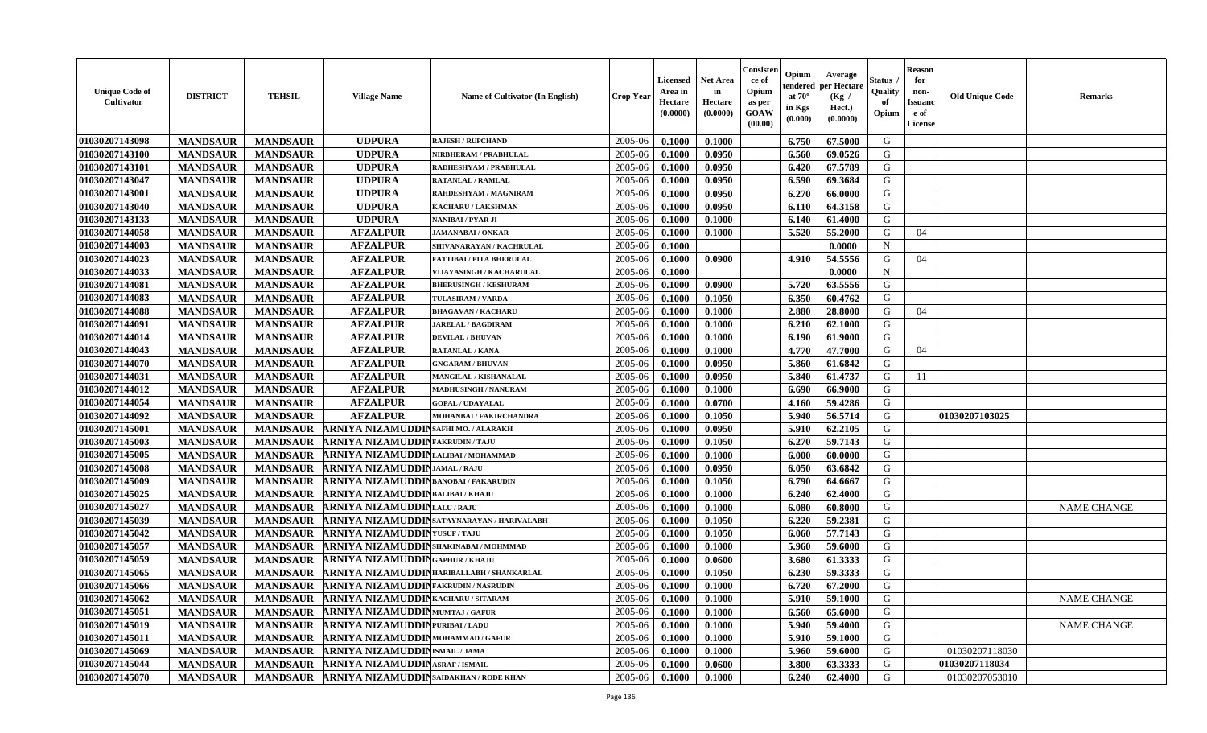| 01030207143098<br>2005-06<br>G<br><b>MANDSAUR</b><br><b>UDPURA</b><br>0.1000<br>0.1000<br>6.750<br>67.5000<br><b>MANDSAUR</b><br><b>RAJESH / RUPCHAND</b>                    |                    |
|------------------------------------------------------------------------------------------------------------------------------------------------------------------------------|--------------------|
| 01030207143100<br><b>MANDSAUR</b><br><b>UDPURA</b><br>2005-06<br>6.560<br>G<br><b>MANDSAUR</b><br>0.1000<br>0.0950<br>69.0526<br>NIRBHERAM / PRABHULAL                       |                    |
| 01030207143101<br><b>MANDSAUR</b><br><b>MANDSAUR</b><br><b>UDPURA</b><br>2005-06<br>0.0950<br>6.420<br>67.5789<br>G<br>RADHESHYAM / PRABHULAL<br>0.1000                      |                    |
| G<br>01030207143047<br><b>MANDSAUR</b><br><b>MANDSAUR</b><br><b>UDPURA</b><br>2005-06<br>0.1000<br>0.0950<br>6.590<br>69.3684<br><b>RATANLAL / RAMLAL</b>                    |                    |
| G<br>01030207143001<br><b>MANDSAUR</b><br><b>MANDSAUR</b><br><b>UDPURA</b><br>2005-06<br>0.1000<br>0.0950<br>6.270<br>66.0000<br>RAHDESHYAM / MAGNIRAM                       |                    |
| 01030207143040<br><b>MANDSAUR</b><br><b>MANDSAUR</b><br><b>UDPURA</b><br>2005-06<br>0.0950<br>64.3158<br>G<br>KACHARU / LAKSHMAN<br>0.1000<br>6.110                          |                    |
| 01030207143133<br><b>MANDSAUR</b><br><b>MANDSAUR</b><br><b>UDPURA</b><br>2005-06<br>G<br>0.1000<br>0.1000<br>6.140<br>61.4000<br><b>NANIBAI/PYAR JI</b>                      |                    |
| 01030207144058<br><b>AFZALPUR</b><br>5.520<br>G<br><b>MANDSAUR</b><br><b>MANDSAUR</b><br>2005-06<br>55.2000<br><b>JAMANABAI/ONKAR</b><br>0.1000<br>0.1000<br>04              |                    |
| 2005-06<br>01030207144003<br><b>MANDSAUR</b><br><b>MANDSAUR</b><br><b>AFZALPUR</b><br>0.0000<br>$\mathbf N$<br>SHIVANARAYAN / KACHRULAL<br>0.1000                            |                    |
| <b>AFZALPUR</b><br>G<br>01030207144023<br>2005-06<br>0.0900<br>54.5556<br>04<br><b>MANDSAUR</b><br><b>MANDSAUR</b><br>0.1000<br>4.910<br><b>FATTIBAI / PITA BHERULAL</b>     |                    |
| <b>MANDSAUR</b><br><b>AFZALPUR</b><br>0.0000<br>$\mathbf N$<br>01030207144033<br><b>MANDSAUR</b><br>2005-06<br>0.1000<br>VIJAYASINGH / KACHARULAL                            |                    |
| 01030207144081<br><b>MANDSAUR</b><br><b>MANDSAUR</b><br><b>AFZALPUR</b><br>2005-06<br>0.0900<br>5.720<br>63.5556<br>G<br><b>BHERUSINGH / KESHURAM</b><br>0.1000              |                    |
| 01030207144083<br><b>MANDSAUR</b><br><b>AFZALPUR</b><br>2005-06<br>6.350<br>60.4762<br>G<br><b>MANDSAUR</b><br><b>TULASIRAM / VARDA</b><br>0.1000<br>0.1050                  |                    |
| 01030207144088<br><b>MANDSAUR</b><br><b>MANDSAUR</b><br><b>AFZALPUR</b><br>2.880<br>28.8000<br>G<br><b>BHAGAVAN / KACHARU</b><br>2005-06<br>0.1000<br>0.1000<br>04           |                    |
| <b>AFZALPUR</b><br>2005-06<br>G<br>01030207144091<br><b>MANDSAUR</b><br><b>MANDSAUR</b><br>0.1000<br>0.1000<br>6.210<br>62.1000<br><b>JARELAL / BAGDIRAM</b>                 |                    |
| <b>AFZALPUR</b><br>G<br>01030207144014<br><b>MANDSAUR</b><br><b>MANDSAUR</b><br>2005-06<br>0.1000<br>0.1000<br>6.190<br>61.9000<br><b>DEVILAL / BHUVAN</b>                   |                    |
| <b>MANDSAUR</b><br><b>AFZALPUR</b><br>01030207144043<br><b>MANDSAUR</b><br>2005-06<br>0.1000<br>4.770<br>47.7000<br>G<br><b>RATANLAL / KANA</b><br>0.1000<br>04              |                    |
| 01030207144070<br><b>AFZALPUR</b><br>2005-06<br>G<br><b>MANDSAUR</b><br><b>MANDSAUR</b><br>0.1000<br>0.0950<br>5.860<br>61.6842<br><b>GNGARAM / BHUVAN</b>                   |                    |
| 5.840<br>01030207144031<br>61.4737<br>G<br><b>MANDSAUR</b><br><b>MANDSAUR</b><br><b>AFZALPUR</b><br>MANGILAL / KISHANALAL<br>2005-06<br>0.1000<br>0.0950<br>11               |                    |
| 01030207144012<br><b>MANDSAUR</b><br><b>MANDSAUR</b><br><b>AFZALPUR</b><br>2005-06<br>6.690<br><b>MADHUSINGH / NANURAM</b><br>0.1000<br>0.1000<br>66.9000<br>G               |                    |
| 01030207144054<br>0.0700<br>59.4286<br>G<br><b>MANDSAUR</b><br><b>MANDSAUR</b><br><b>AFZALPUR</b><br>2005-06<br>0.1000<br>4.160<br><b>GOPAL / UDAYALAL</b>                   |                    |
| G<br><b>MANDSAUR</b><br><b>AFZALPUR</b><br>5.940<br>56.5714<br>01030207144092<br><b>MANDSAUR</b><br>2005-06<br>0.1000<br>0.1050<br>01030207103025<br>MOHANBAI / FAKIRCHANDRA |                    |
| 01030207145001<br>2005-06<br>G<br><b>MANDSAUR</b><br><b>MANDSAUR</b><br>ARNIYA NIZAMUDDINSAFHI MO. / ALARAKH<br>0.1000<br>0.0950<br>5.910<br>62.2105                         |                    |
| 01030207145003<br>ARNIYA NIZAMUDDINFAKRUDIN/TAJU<br>G<br>2005-06<br>0.1050<br>6.270<br>59.7143<br><b>MANDSAUR</b><br><b>MANDSAUR</b><br>0.1000                               |                    |
| 01030207145005<br>ARNIYA NIZAMUDDINLALIBAI / MOHAMMAD<br>G<br><b>MANDSAUR</b><br><b>MANDSAUR</b><br>2005-06<br>6.000<br>0.1000<br>0.1000<br>60.0000                          |                    |
| G<br>01030207145008<br><b>MANDSAUR</b><br><b>MANDSAUR</b><br>ARNIYA NIZAMUDDINJAMAL/RAJU<br>2005-06<br>0.1000<br>0.0950<br>6.050<br>63.6842                                  |                    |
| G<br>01030207145009<br><b>MANDSAUR</b><br><b>MANDSAUR</b><br>ARNIYA NIZAMUDDINBANOBAI/FAKARUDIN<br>2005-06<br>0.1000<br>0.1050<br>6.790<br>64.6667                           |                    |
| 01030207145025<br><b>MANDSAUR</b><br><b>MANDSAUR</b><br>ARNIYA NIZAMUDDINBALIBAI/KHAJU<br>2005-06<br>0.1000<br>6.240<br>G<br>0.1000<br>62.4000                               |                    |
| G<br>01030207145027<br><b>MANDSAUR</b><br><b>MANDSAUR</b><br>ARNIYA NIZAMUDDINLALU/RAJU<br>2005-06<br>60.8000<br>0.1000<br>0.1000<br>6.080                                   | <b>NAME CHANGE</b> |
| 01030207145039<br>6.220<br>G<br><b>MANDSAUR</b><br><b>MANDSAUR</b><br>ARNIYA NIZAMUDDINSATAYNARAYAN/HARIVALABH<br>2005-06<br>0.1000<br>0.1050<br>59.2381                     |                    |
| 01030207145042<br><b>MANDSAUR</b><br><b>MANDSAUR</b><br><b>ARNIYA NIZAMUDDIN</b> YUSUF / TAJU<br>57.7143<br>G<br>2005-06<br>0.1000<br>0.1050<br>6.060                        |                    |
| G<br>01030207145057<br>ARNIYA NIZAMUDDINSHAKINABAI / MOHMMAD<br>2005-06<br><b>MANDSAUR</b><br><b>MANDSAUR</b><br>0.1000<br>0.1000<br>5.960<br>59.6000                        |                    |
| G<br>01030207145059<br><b>ARNIYA NIZAMUDDINGAPHUR / KHAJU</b><br>2005-06<br><b>MANDSAUR</b><br><b>MANDSAUR</b><br>0.1000<br>0.0600<br>3.680<br>61.3333                       |                    |
| 01030207145065<br>ARNIYA NIZAMUDDINHARIBALLABH / SHANKARLAL<br>2005-06<br>6.230<br>59.3333<br>G<br><b>MANDSAUR</b><br><b>MANDSAUR</b><br>0.1000<br>0.1050                    |                    |
| 01030207145066<br>6.720<br>67.2000<br>G<br><b>MANDSAUR</b><br><b>MANDSAUR</b><br>ARNIYA NIZAMUDDINFAKRUDIN / NASRUDIN<br>2005-06<br>0.1000<br>0.1000                         |                    |
| 01030207145062<br>MANDSAUR ARNIYA NIZAMUDDINKACHARU/SITARAM<br>2005-06<br>0.1000<br>0.1000<br>$5.910$ 59.1000<br>G<br><b>MANDSAUR</b>                                        | <b>NAME CHANGE</b> |
| 01030207145051<br>2005-06<br>0.1000<br>65.6000<br>G<br><b>MANDSAUR</b><br><b>MANDSAUR</b><br>ARNIYA NIZAMUDDINMUMTAJ/GAFUR<br>0.1000<br>6.560                                |                    |
| 01030207145019<br>ARNIYA NIZAMUDDINPURIBAI/LADU<br>2005-06<br>0.1000<br>5.940<br>59.4000<br>G<br><b>MANDSAUR</b><br><b>MANDSAUR</b><br>0.1000                                | <b>NAME CHANGE</b> |
| 01030207145011<br><b>MANDSAUR</b><br><b>MANDSAUR</b><br>ARNIYA NIZAMUDDINMOHAMMAD / GAFUR<br>2005-06<br>0.1000<br>G<br>0.1000<br>5.910<br>59.1000                            |                    |
| G<br>01030207145069<br>2005-06<br>0.1000<br>59.6000<br>01030207118030<br><b>MANDSAUR</b><br><b>MANDSAUR</b><br>ARNIYA NIZAMUDDINISMAIL/JAMA<br>0.1000<br>5.960               |                    |
| 01030207145044<br><b>ARNIYA NIZAMUDDIN ASRAF / ISMAIL</b><br>G<br>01030207118034<br><b>MANDSAUR</b><br>2005-06<br>3.800<br>63.3333<br><b>MANDSAUR</b><br>0.1000<br>0.0600    |                    |
| 01030207145070<br>ARNIYA NIZAMUDDIN SAIDAKHAN / RODE KHAN<br>2005-06<br>G<br>01030207053010<br><b>MANDSAUR</b><br><b>MANDSAUR</b><br>0.1000<br>0.1000<br>6.240<br>62.4000    |                    |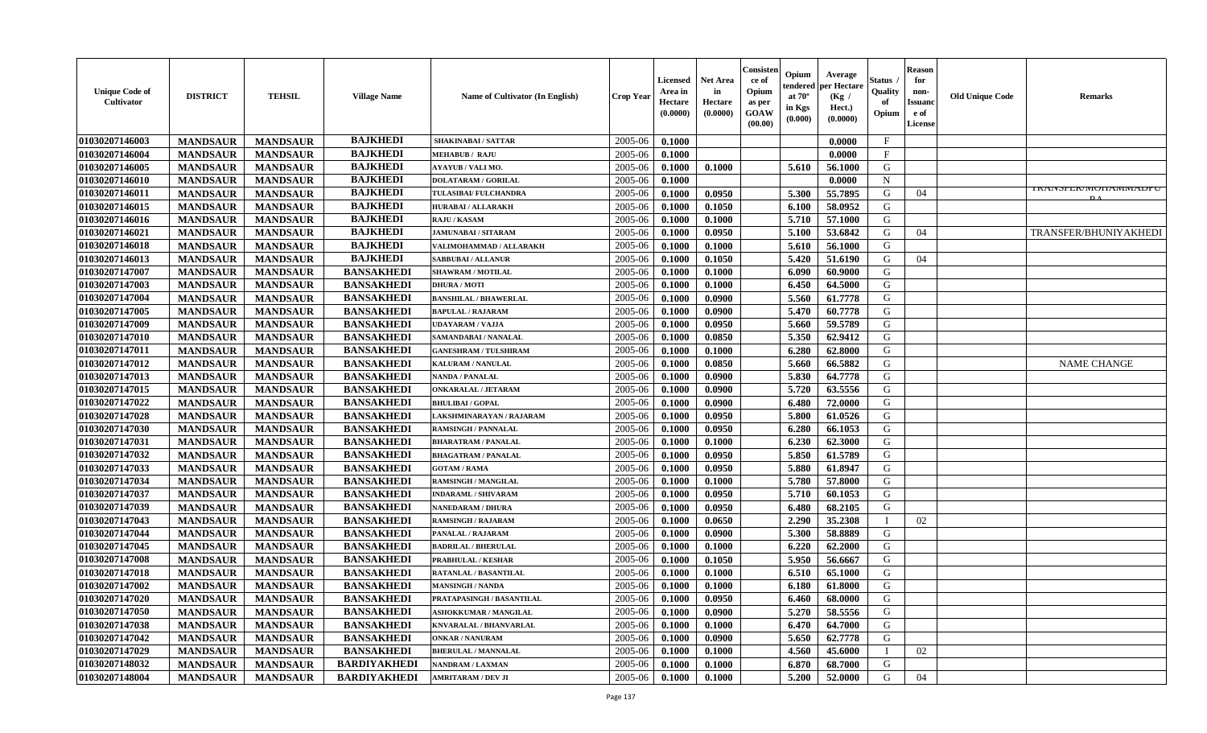| <b>Unique Code of</b><br>Cultivator | <b>DISTRICT</b> | <b>TEHSIL</b>   | <b>Village Name</b> | <b>Name of Cultivator (In English)</b> | <b>Crop Year</b> | <b>Licensed</b><br>Area in<br>Hectare<br>(0.0000) | <b>Net Area</b><br>in<br>Hectare<br>(0.0000) | Consisten<br>ce of<br>Opium<br>as per<br>GOAW<br>(00.00) | Opium<br>tendered<br>at $70^\circ$<br>in Kgs<br>(0.000) | Average<br>per Hectare<br>(Kg)<br>Hect.)<br>(0.0000) | Status<br>Quality<br>of<br>Opium | Reason<br>for<br>non-<br>Issuano<br>e of<br>License | <b>Old Unique Code</b> | <b>Remarks</b>                   |
|-------------------------------------|-----------------|-----------------|---------------------|----------------------------------------|------------------|---------------------------------------------------|----------------------------------------------|----------------------------------------------------------|---------------------------------------------------------|------------------------------------------------------|----------------------------------|-----------------------------------------------------|------------------------|----------------------------------|
| 01030207146003                      | <b>MANDSAUR</b> | <b>MANDSAUR</b> | <b>BAJKHEDI</b>     | <b>SHAKINABAI/SATTAR</b>               | 2005-06          | 0.1000                                            |                                              |                                                          |                                                         | 0.0000                                               | $\mathbf{F}$                     |                                                     |                        |                                  |
| 01030207146004                      | <b>MANDSAUR</b> | <b>MANDSAUR</b> | <b>BAJKHEDI</b>     | <b>MEHABUB / RAJU</b>                  | 2005-06          | 0.1000                                            |                                              |                                                          |                                                         | 0.0000                                               | $_{\rm F}$                       |                                                     |                        |                                  |
| 01030207146005                      | <b>MANDSAUR</b> | <b>MANDSAUR</b> | <b>BAJKHEDI</b>     | <b>AYAYUB / VALI MO.</b>               | 2005-06          | 0.1000                                            | 0.1000                                       |                                                          | 5.610                                                   | 56.1000                                              | G                                |                                                     |                        |                                  |
| 01030207146010                      | <b>MANDSAUR</b> | <b>MANDSAUR</b> | <b>BAJKHEDI</b>     | <b>DOLATARAM / GORILAL</b>             | 2005-06          | 0.1000                                            |                                              |                                                          |                                                         | 0.0000                                               | N                                |                                                     |                        |                                  |
| 01030207146011                      | <b>MANDSAUR</b> | <b>MANDSAUR</b> | <b>BAJKHEDI</b>     | TULASIBAI/ FULCHANDRA                  | 2005-06          | 0.1000                                            | 0.0950                                       |                                                          | 5.300                                                   | 55.7895                                              | G                                | 04                                                  |                        | I NAINJI 'EN/IVIUI IAIVIIVIADT U |
| 01030207146015                      | <b>MANDSAUR</b> | <b>MANDSAUR</b> | <b>BAJKHEDI</b>     | <b>HURABAI/ALLARAKH</b>                | 2005-06          | 0.1000                                            | 0.1050                                       |                                                          | 6.100                                                   | 58.0952                                              | G                                |                                                     |                        |                                  |
| 01030207146016                      | <b>MANDSAUR</b> | <b>MANDSAUR</b> | <b>BAJKHEDI</b>     | <b>RAJU / KASAM</b>                    | 2005-06          | 0.1000                                            | 0.1000                                       |                                                          | 5.710                                                   | 57.1000                                              | G                                |                                                     |                        |                                  |
| 01030207146021                      | <b>MANDSAUR</b> | <b>MANDSAUR</b> | <b>BAJKHEDI</b>     | <b>JAMUNABAI / SITARAM</b>             | 2005-06          | 0.1000                                            | 0.0950                                       |                                                          | 5.100                                                   | 53.6842                                              | G                                | 04                                                  |                        | TRANSFER/BHUNIYAKHED             |
| 01030207146018                      | <b>MANDSAUR</b> | <b>MANDSAUR</b> | <b>BAJKHEDI</b>     | VALIMOHAMMAD / ALLARAKH                | 2005-06          | 0.1000                                            | 0.1000                                       |                                                          | 5.610                                                   | 56.1000                                              | G                                |                                                     |                        |                                  |
| 01030207146013                      | <b>MANDSAUR</b> | <b>MANDSAUR</b> | <b>BAJKHEDI</b>     | <b>SABBUBAI/ALLANUR</b>                | 2005-06          | 0.1000                                            | 0.1050                                       |                                                          | 5.420                                                   | 51.6190                                              | G                                | 04                                                  |                        |                                  |
| 01030207147007                      | <b>MANDSAUR</b> | <b>MANDSAUR</b> | <b>BANSAKHEDI</b>   | <b>SHAWRAM / MOTILAL</b>               | 2005-06          | 0.1000                                            | 0.1000                                       |                                                          | 6.090                                                   | 60.9000                                              | G                                |                                                     |                        |                                  |
| 01030207147003                      | <b>MANDSAUR</b> | <b>MANDSAUR</b> | <b>BANSAKHEDI</b>   | <b>DHURA / MOTI</b>                    | 2005-06          | 0.1000                                            | 0.1000                                       |                                                          | 6.450                                                   | 64.5000                                              | G                                |                                                     |                        |                                  |
| 01030207147004                      | <b>MANDSAUR</b> | <b>MANDSAUR</b> | <b>BANSAKHEDI</b>   | <b>BANSHILAL / BHAWERLAL</b>           | 2005-06          | 0.1000                                            | 0.0900                                       |                                                          | 5.560                                                   | 61.7778                                              | G                                |                                                     |                        |                                  |
| 01030207147005                      | <b>MANDSAUR</b> | <b>MANDSAUR</b> | <b>BANSAKHEDI</b>   | <b>BAPULAL / RAJARAM</b>               | 2005-06          | 0.1000                                            | 0.0900                                       |                                                          | 5.470                                                   | 60.7778                                              | G                                |                                                     |                        |                                  |
| 01030207147009                      | <b>MANDSAUR</b> | <b>MANDSAUR</b> | <b>BANSAKHEDI</b>   | <b>UDAYARAM / VAJJA</b>                | 2005-06          | 0.1000                                            | 0.0950                                       |                                                          | 5.660                                                   | 59.5789                                              | G                                |                                                     |                        |                                  |
| 01030207147010                      | <b>MANDSAUR</b> | <b>MANDSAUR</b> | <b>BANSAKHEDI</b>   | SAMANDABAI / NANALAL                   | 2005-06          | 0.1000                                            | 0.0850                                       |                                                          | 5.350                                                   | 62.9412                                              | G                                |                                                     |                        |                                  |
| 01030207147011                      | <b>MANDSAUR</b> | <b>MANDSAUR</b> | <b>BANSAKHEDI</b>   | <b>GANESHRAM / TULSHIRAM</b>           | 2005-06          | 0.1000                                            | 0.1000                                       |                                                          | 6.280                                                   | 62.8000                                              | G                                |                                                     |                        |                                  |
| 01030207147012                      | <b>MANDSAUR</b> | <b>MANDSAUR</b> | <b>BANSAKHEDI</b>   | KALURAM / NANULAL                      | 2005-06          | 0.1000                                            | 0.0850                                       |                                                          | 5.660                                                   | 66.5882                                              | G                                |                                                     |                        | <b>NAME CHANGE</b>               |
| 01030207147013                      | <b>MANDSAUR</b> | <b>MANDSAUR</b> | <b>BANSAKHEDI</b>   | <b>NANDA / PANALAL</b>                 | 2005-06          | 0.1000                                            | 0.0900                                       |                                                          | 5.830                                                   | 64.7778                                              | G                                |                                                     |                        |                                  |
| 01030207147015                      | <b>MANDSAUR</b> | <b>MANDSAUR</b> | <b>BANSAKHEDI</b>   | <b>ONKARALAL / JETARAM</b>             | 2005-06          | 0.1000                                            | 0.0900                                       |                                                          | 5.720                                                   | 63.5556                                              | G                                |                                                     |                        |                                  |
| 01030207147022                      | <b>MANDSAUR</b> | <b>MANDSAUR</b> | <b>BANSAKHEDI</b>   | <b>BHULIBAI/GOPAL</b>                  | 2005-06          | 0.1000                                            | 0.0900                                       |                                                          | 6.480                                                   | 72.0000                                              | G                                |                                                     |                        |                                  |
| 01030207147028                      | <b>MANDSAUR</b> | <b>MANDSAUR</b> | <b>BANSAKHEDI</b>   | LAKSHMINARAYAN / RAJARAM               | 2005-06          | 0.1000                                            | 0.0950                                       |                                                          | 5.800                                                   | 61.0526                                              | G                                |                                                     |                        |                                  |
| 01030207147030                      | <b>MANDSAUR</b> | <b>MANDSAUR</b> | <b>BANSAKHEDI</b>   | <b>RAMSINGH / PANNALAL</b>             | 2005-06          | 0.1000                                            | 0.0950                                       |                                                          | 6.280                                                   | 66.1053                                              | G                                |                                                     |                        |                                  |
| 01030207147031                      | <b>MANDSAUR</b> | <b>MANDSAUR</b> | <b>BANSAKHEDI</b>   | <b>BHARATRAM / PANALAL</b>             | 2005-06          | 0.1000                                            | 0.1000                                       |                                                          | 6.230                                                   | 62.3000                                              | G                                |                                                     |                        |                                  |
| 01030207147032                      | <b>MANDSAUR</b> | <b>MANDSAUR</b> | <b>BANSAKHEDI</b>   | <b>BHAGATRAM / PANALAL</b>             | 2005-06          | 0.1000                                            | 0.0950                                       |                                                          | 5.850                                                   | 61.5789                                              | G                                |                                                     |                        |                                  |
| 01030207147033                      | <b>MANDSAUR</b> | <b>MANDSAUR</b> | <b>BANSAKHEDI</b>   | <b>GOTAM / RAMA</b>                    | 2005-06          | 0.1000                                            | 0.0950                                       |                                                          | 5.880                                                   | 61.8947                                              | G                                |                                                     |                        |                                  |
| 01030207147034                      | <b>MANDSAUR</b> | <b>MANDSAUR</b> | <b>BANSAKHEDI</b>   | RAMSINGH / MANGILAL                    | 2005-06          | 0.1000                                            | 0.1000                                       |                                                          | 5.780                                                   | 57.8000                                              | G                                |                                                     |                        |                                  |
| 01030207147037                      | <b>MANDSAUR</b> | <b>MANDSAUR</b> | <b>BANSAKHEDI</b>   | <b>INDARAML / SHIVARAM</b>             | 2005-06          | 0.1000                                            | 0.0950                                       |                                                          | 5.710                                                   | 60.1053                                              | G                                |                                                     |                        |                                  |
| 01030207147039                      | <b>MANDSAUR</b> | <b>MANDSAUR</b> | <b>BANSAKHEDI</b>   | <b>NANEDARAM / DHURA</b>               | 2005-06          | 0.1000                                            | 0.0950                                       |                                                          | 6.480                                                   | 68.2105                                              | G                                |                                                     |                        |                                  |
| 01030207147043                      | <b>MANDSAUR</b> | <b>MANDSAUR</b> | <b>BANSAKHEDI</b>   | <b>RAMSINGH / RAJARAM</b>              | 2005-06          | 0.1000                                            | 0.0650                                       |                                                          | 2.290                                                   | 35.2308                                              |                                  | 02                                                  |                        |                                  |
| 01030207147044                      | <b>MANDSAUR</b> | <b>MANDSAUR</b> | <b>BANSAKHEDI</b>   | PANALAL / RAJARAM                      | 2005-06          | 0.1000                                            | 0.0900                                       |                                                          | 5.300                                                   | 58.8889                                              | G                                |                                                     |                        |                                  |
| 01030207147045                      | <b>MANDSAUR</b> | <b>MANDSAUR</b> | <b>BANSAKHEDI</b>   | <b>BADRILAL / BHERULAL</b>             | 2005-06          | 0.1000                                            | 0.1000                                       |                                                          | 6.220                                                   | 62.2000                                              | G                                |                                                     |                        |                                  |
| 01030207147008                      | <b>MANDSAUR</b> | <b>MANDSAUR</b> | <b>BANSAKHEDI</b>   | PRABHULAL / KESHAR                     | 2005-06          | 0.1000                                            | 0.1050                                       |                                                          | 5.950                                                   | 56.6667                                              | G                                |                                                     |                        |                                  |
| 01030207147018                      | <b>MANDSAUR</b> | <b>MANDSAUR</b> | <b>BANSAKHEDI</b>   | <b>RATANLAL / BASANTILAL</b>           | 2005-06          | 0.1000                                            | 0.1000                                       |                                                          | 6.510                                                   | 65.1000                                              | G                                |                                                     |                        |                                  |
| 01030207147002                      | <b>MANDSAUR</b> | <b>MANDSAUR</b> | <b>BANSAKHEDI</b>   | <b>MANSINGH / NANDA</b>                | 2005-06          | 0.1000                                            | 0.1000                                       |                                                          | 6.180                                                   | 61.8000                                              | G                                |                                                     |                        |                                  |
| 01030207147020                      | <b>MANDSAUR</b> | MANDSAUR        | <b>BANSAKHEDI</b>   | <b>PRATAPASINGH / BASANTILAL</b>       | $2005-06$ 0.1000 |                                                   | 0.0950                                       |                                                          | 6.460                                                   | 68.0000                                              | G                                |                                                     |                        |                                  |
| 01030207147050                      | <b>MANDSAUR</b> | <b>MANDSAUR</b> | <b>BANSAKHEDI</b>   | <b>ASHOKKUMAR / MANGILAL</b>           | 2005-06          | 0.1000                                            | 0.0900                                       |                                                          | 5.270                                                   | 58.5556                                              | G                                |                                                     |                        |                                  |
| 01030207147038                      | <b>MANDSAUR</b> | <b>MANDSAUR</b> | <b>BANSAKHEDI</b>   | <b>KNVARALAL / BHANVARLAL</b>          | 2005-06          | 0.1000                                            | 0.1000                                       |                                                          | 6.470                                                   | 64.7000                                              | G                                |                                                     |                        |                                  |
| 01030207147042                      | <b>MANDSAUR</b> | <b>MANDSAUR</b> | <b>BANSAKHEDI</b>   | <b>ONKAR / NANURAM</b>                 | 2005-06          | 0.1000                                            | 0.0900                                       |                                                          | 5.650                                                   | 62.7778                                              | G                                |                                                     |                        |                                  |
| 01030207147029                      | <b>MANDSAUR</b> | <b>MANDSAUR</b> | <b>BANSAKHEDI</b>   | <b>BHERULAL / MANNALAL</b>             | 2005-06          | 0.1000                                            | 0.1000                                       |                                                          | 4.560                                                   | 45.6000                                              |                                  | 02                                                  |                        |                                  |
| 01030207148032                      | <b>MANDSAUR</b> | <b>MANDSAUR</b> | <b>BARDIYAKHEDI</b> | NANDRAM / LAXMAN                       | 2005-06          | 0.1000                                            | 0.1000                                       |                                                          | 6.870                                                   | 68.7000                                              | G                                |                                                     |                        |                                  |
| 01030207148004                      | <b>MANDSAUR</b> | <b>MANDSAUR</b> | <b>BARDIYAKHEDI</b> | <b>AMRITARAM / DEV JI</b>              | 2005-06          | 0.1000                                            | 0.1000                                       |                                                          | 5.200                                                   | 52.0000                                              | G                                | 04                                                  |                        |                                  |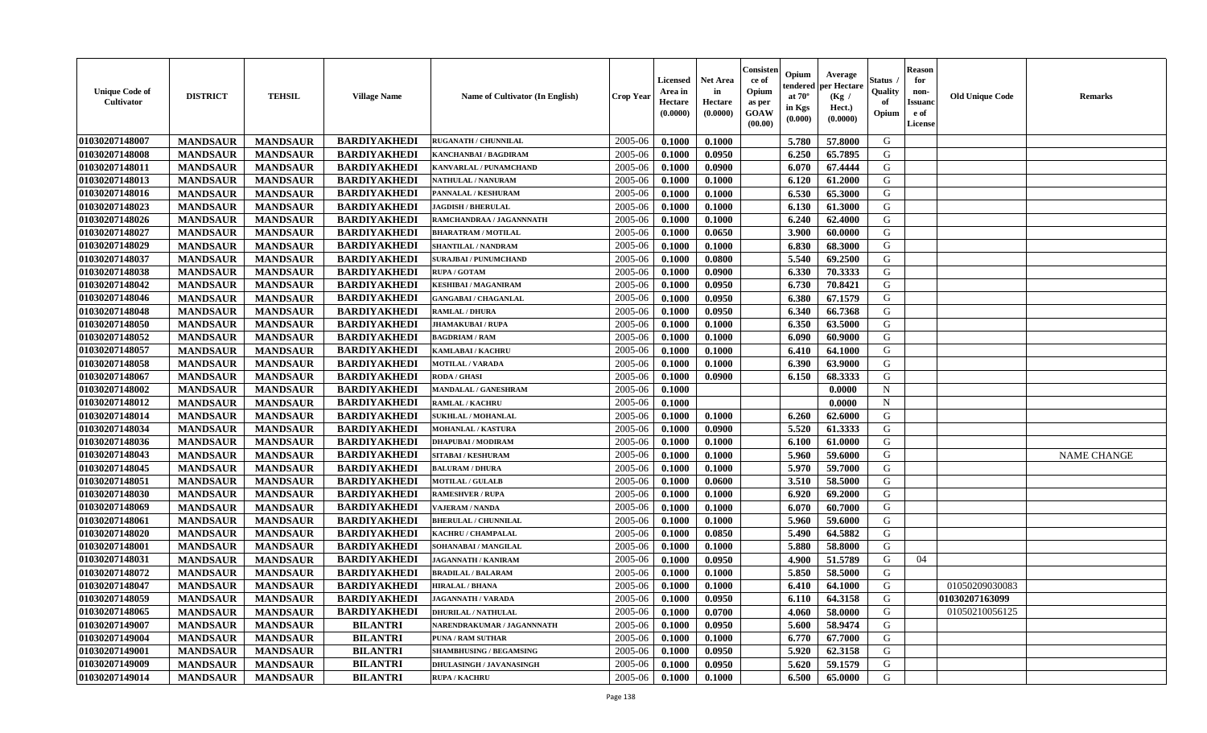| <b>Unique Code of</b><br>Cultivator | <b>DISTRICT</b> | <b>TEHSIL</b>   | <b>Village Name</b> | <b>Name of Cultivator (In English)</b> | <b>Crop Year</b> | <b>Licensed</b><br>Area in<br>Hectare<br>(0.0000) | <b>Net Area</b><br>in<br>Hectare<br>(0.0000) | Consister<br>ce of<br>Opium<br>as per<br>GOAW<br>(00.00) | Opium<br>endered<br>at $70^\circ$<br>in Kgs<br>(0.000) | Average<br>per Hectare<br>(Kg /<br>Hect.)<br>(0.0000) | <b>Status</b> .<br>Quality<br>of<br>Opium | <b>Reason</b><br>for<br>non-<br><b>Issuanc</b><br>e of<br>License | <b>Old Unique Code</b> | <b>Remarks</b>     |
|-------------------------------------|-----------------|-----------------|---------------------|----------------------------------------|------------------|---------------------------------------------------|----------------------------------------------|----------------------------------------------------------|--------------------------------------------------------|-------------------------------------------------------|-------------------------------------------|-------------------------------------------------------------------|------------------------|--------------------|
| 01030207148007                      | <b>MANDSAUR</b> | <b>MANDSAUR</b> | <b>BARDIYAKHEDI</b> | <b>RUGANATH / CHUNNILAL</b>            | 2005-06          | 0.1000                                            | 0.1000                                       |                                                          | 5.780                                                  | 57.8000                                               | G                                         |                                                                   |                        |                    |
| 01030207148008                      | <b>MANDSAUR</b> | <b>MANDSAUR</b> | <b>BARDIYAKHEDI</b> | <b>KANCHANBAI / BAGDIRAM</b>           | 2005-06          | 0.1000                                            | 0.0950                                       |                                                          | 6.250                                                  | 65.7895                                               | G                                         |                                                                   |                        |                    |
| 01030207148011                      | <b>MANDSAUR</b> | <b>MANDSAUR</b> | <b>BARDIYAKHEDI</b> | KANVARLAL / PUNAMCHAND                 | 2005-06          | 0.1000                                            | 0.0900                                       |                                                          | 6.070                                                  | 67.4444                                               | G                                         |                                                                   |                        |                    |
| 01030207148013                      | <b>MANDSAUR</b> | <b>MANDSAUR</b> | <b>BARDIYAKHEDI</b> | <b>NATHULAL / NANURAM</b>              | 2005-06          | 0.1000                                            | 0.1000                                       |                                                          | 6.120                                                  | 61.2000                                               | G                                         |                                                                   |                        |                    |
| 01030207148016                      | <b>MANDSAUR</b> | <b>MANDSAUR</b> | <b>BARDIYAKHEDI</b> | PANNALAL / KESHURAM                    | 2005-06          | 0.1000                                            | 0.1000                                       |                                                          | 6.530                                                  | 65.3000                                               | G                                         |                                                                   |                        |                    |
| 01030207148023                      | <b>MANDSAUR</b> | <b>MANDSAUR</b> | <b>BARDIYAKHEDI</b> | <b>JAGDISH / BHERULAL</b>              | 2005-06          | 0.1000                                            | 0.1000                                       |                                                          | 6.130                                                  | 61.3000                                               | G                                         |                                                                   |                        |                    |
| 01030207148026                      | <b>MANDSAUR</b> | <b>MANDSAUR</b> | <b>BARDIYAKHEDI</b> | RAMCHANDRAA / JAGANNNATH               | 2005-06          | 0.1000                                            | 0.1000                                       |                                                          | 6.240                                                  | 62.4000                                               | ${\bf G}$                                 |                                                                   |                        |                    |
| 01030207148027                      | <b>MANDSAUR</b> | <b>MANDSAUR</b> | <b>BARDIYAKHEDI</b> | <b>BHARATRAM / MOTILAL</b>             | 2005-06          | 0.1000                                            | 0.0650                                       |                                                          | 3.900                                                  | 60.0000                                               | G                                         |                                                                   |                        |                    |
| 01030207148029                      | <b>MANDSAUR</b> | <b>MANDSAUR</b> | <b>BARDIYAKHEDI</b> | SHANTILAL / NANDRAM                    | 2005-06          | 0.1000                                            | 0.1000                                       |                                                          | 6.830                                                  | 68.3000                                               | G                                         |                                                                   |                        |                    |
| 01030207148037                      | <b>MANDSAUR</b> | <b>MANDSAUR</b> | <b>BARDIYAKHEDI</b> | <b>SURAJBAI / PUNUMCHAND</b>           | 2005-06          | 0.1000                                            | 0.0800                                       |                                                          | 5.540                                                  | 69.2500                                               | G                                         |                                                                   |                        |                    |
| 01030207148038                      | <b>MANDSAUR</b> | <b>MANDSAUR</b> | <b>BARDIYAKHEDI</b> | RUPA / GOTAM                           | 2005-06          | 0.1000                                            | 0.0900                                       |                                                          | 6.330                                                  | 70.3333                                               | G                                         |                                                                   |                        |                    |
| 01030207148042                      | <b>MANDSAUR</b> | <b>MANDSAUR</b> | <b>BARDIYAKHEDI</b> | <b>KESHIBAI / MAGANIRAM</b>            | 2005-06          | 0.1000                                            | 0.0950                                       |                                                          | 6.730                                                  | 70.8421                                               | G                                         |                                                                   |                        |                    |
| 01030207148046                      | <b>MANDSAUR</b> | <b>MANDSAUR</b> | <b>BARDIYAKHEDI</b> | <b>GANGABAI / CHAGANLAL</b>            | 2005-06          | 0.1000                                            | 0.0950                                       |                                                          | 6.380                                                  | 67.1579                                               | G                                         |                                                                   |                        |                    |
| 01030207148048                      | <b>MANDSAUR</b> | <b>MANDSAUR</b> | <b>BARDIYAKHEDI</b> | <b>RAMLAL / DHURA</b>                  | 2005-06          | 0.1000                                            | 0.0950                                       |                                                          | 6.340                                                  | 66.7368                                               | G                                         |                                                                   |                        |                    |
| 01030207148050                      | <b>MANDSAUR</b> | <b>MANDSAUR</b> | <b>BARDIYAKHEDI</b> | <b>JHAMAKUBAI/RUPA</b>                 | 2005-06          | 0.1000                                            | 0.1000                                       |                                                          | 6.350                                                  | 63.5000                                               | ${\bf G}$                                 |                                                                   |                        |                    |
| 01030207148052                      | <b>MANDSAUR</b> | <b>MANDSAUR</b> | <b>BARDIYAKHEDI</b> | <b>BAGDRIAM / RAM</b>                  | 2005-06          | 0.1000                                            | 0.1000                                       |                                                          | 6.090                                                  | 60.9000                                               | G                                         |                                                                   |                        |                    |
| 01030207148057                      | <b>MANDSAUR</b> | <b>MANDSAUR</b> | <b>BARDIYAKHEDI</b> | KAMLABAI / KACHRU                      | 2005-06          | 0.1000                                            | 0.1000                                       |                                                          | 6.410                                                  | 64.1000                                               | $\mathsf G$                               |                                                                   |                        |                    |
| 01030207148058                      | <b>MANDSAUR</b> | <b>MANDSAUR</b> | <b>BARDIYAKHEDI</b> | <b>MOTILAL / VARADA</b>                | 2005-06          | 0.1000                                            | 0.1000                                       |                                                          | 6.390                                                  | 63.9000                                               | G                                         |                                                                   |                        |                    |
| 01030207148067                      | <b>MANDSAUR</b> | <b>MANDSAUR</b> | <b>BARDIYAKHEDI</b> | <b>RODA / GHASI</b>                    | 2005-06          | 0.1000                                            | 0.0900                                       |                                                          | 6.150                                                  | 68.3333                                               | G                                         |                                                                   |                        |                    |
| 01030207148002                      | <b>MANDSAUR</b> | <b>MANDSAUR</b> | <b>BARDIYAKHEDI</b> | <b>MANDALAL / GANESHRAM</b>            | 2005-06          | 0.1000                                            |                                              |                                                          |                                                        | 0.0000                                                | $\mathbf N$                               |                                                                   |                        |                    |
| 01030207148012                      | <b>MANDSAUR</b> | <b>MANDSAUR</b> | <b>BARDIYAKHEDI</b> | <b>RAMLAL / KACHRU</b>                 | 2005-06          | 0.1000                                            |                                              |                                                          |                                                        | 0.0000                                                | $\mathbf N$                               |                                                                   |                        |                    |
| 01030207148014                      | <b>MANDSAUR</b> | <b>MANDSAUR</b> | <b>BARDIYAKHEDI</b> | <b>SUKHLAL / MOHANLAL</b>              | 2005-06          | 0.1000                                            | 0.1000                                       |                                                          | 6.260                                                  | 62.6000                                               | G                                         |                                                                   |                        |                    |
| 01030207148034                      | <b>MANDSAUR</b> | <b>MANDSAUR</b> | <b>BARDIYAKHEDI</b> | <b>MOHANLAL / KASTURA</b>              | 2005-06          | 0.1000                                            | 0.0900                                       |                                                          | 5.520                                                  | 61.3333                                               | G                                         |                                                                   |                        |                    |
| 01030207148036                      | <b>MANDSAUR</b> | <b>MANDSAUR</b> | <b>BARDIYAKHEDI</b> | DHAPUBAI / MODIRAM                     | 2005-06          | 0.1000                                            | 0.1000                                       |                                                          | 6.100                                                  | 61.0000                                               | ${\bf G}$                                 |                                                                   |                        |                    |
| 01030207148043                      | <b>MANDSAUR</b> | <b>MANDSAUR</b> | <b>BARDIYAKHEDI</b> | <b>SITABAI/KESHURAM</b>                | 2005-06          | 0.1000                                            | 0.1000                                       |                                                          | 5.960                                                  | 59.6000                                               | ${\bf G}$                                 |                                                                   |                        | <b>NAME CHANGE</b> |
| 01030207148045                      | <b>MANDSAUR</b> | <b>MANDSAUR</b> | <b>BARDIYAKHEDI</b> | <b>BALURAM / DHURA</b>                 | 2005-06          | 0.1000                                            | 0.1000                                       |                                                          | 5.970                                                  | 59.7000                                               | $\mathsf G$                               |                                                                   |                        |                    |
| 01030207148051                      | <b>MANDSAUR</b> | <b>MANDSAUR</b> | <b>BARDIYAKHEDI</b> | <b>MOTILAL / GULALB</b>                | 2005-06          | 0.1000                                            | 0.0600                                       |                                                          | 3.510                                                  | 58.5000                                               | G                                         |                                                                   |                        |                    |
| 01030207148030                      | <b>MANDSAUR</b> | <b>MANDSAUR</b> | <b>BARDIYAKHEDI</b> | <b>RAMESHVER / RUPA</b>                | 2005-06          | 0.1000                                            | 0.1000                                       |                                                          | 6.920                                                  | 69.2000                                               | G                                         |                                                                   |                        |                    |
| 01030207148069                      | <b>MANDSAUR</b> | <b>MANDSAUR</b> | <b>BARDIYAKHEDI</b> | <b>VAJERAM / NANDA</b>                 | 2005-06          | 0.1000                                            | 0.1000                                       |                                                          | 6.070                                                  | 60.7000                                               | G                                         |                                                                   |                        |                    |
| 01030207148061                      | <b>MANDSAUR</b> | <b>MANDSAUR</b> | <b>BARDIYAKHEDI</b> | <b>BHERULAL / CHUNNILAL</b>            | 2005-06          | 0.1000                                            | 0.1000                                       |                                                          | 5.960                                                  | 59.6000                                               | G                                         |                                                                   |                        |                    |
| 01030207148020                      | <b>MANDSAUR</b> | <b>MANDSAUR</b> | <b>BARDIYAKHEDI</b> | KACHRU / CHAMPALAL                     | 2005-06          | 0.1000                                            | 0.0850                                       |                                                          | 5.490                                                  | 64.5882                                               | G                                         |                                                                   |                        |                    |
| 01030207148001                      | <b>MANDSAUR</b> | <b>MANDSAUR</b> | <b>BARDIYAKHEDI</b> | SOHANABAI / MANGILAL                   | 2005-06          | 0.1000                                            | 0.1000                                       |                                                          | 5.880                                                  | 58.8000                                               | G                                         |                                                                   |                        |                    |
| 01030207148031                      | <b>MANDSAUR</b> | <b>MANDSAUR</b> | <b>BARDIYAKHEDI</b> | <b>JAGANNATH / KANIRAM</b>             | 2005-06          | 0.1000                                            | 0.0950                                       |                                                          | 4.900                                                  | 51.5789                                               | G                                         | 04                                                                |                        |                    |
| 01030207148072                      | <b>MANDSAUR</b> | <b>MANDSAUR</b> | <b>BARDIYAKHEDI</b> | <b>BRADILAL / BALARAM</b>              | 2005-06          | 0.1000                                            | 0.1000                                       |                                                          | 5.850                                                  | 58.5000                                               | G                                         |                                                                   |                        |                    |
| 01030207148047                      | <b>MANDSAUR</b> | <b>MANDSAUR</b> | <b>BARDIYAKHEDI</b> | <b>HIRALAL / BHANA</b>                 | 2005-06          | 0.1000                                            | 0.1000                                       |                                                          | 6.410                                                  | 64.1000                                               | ${\bf G}$                                 |                                                                   | 01050209030083         |                    |
| 01030207148059                      | <b>MANDSAUR</b> | <b>MANDSAUR</b> | <b>BARDIYAKHEDI</b> | <b>JAGANNATH / VARADA</b>              | 2005-06          | 0.1000                                            | 0.0950                                       |                                                          | 6.110                                                  | 64.3158                                               | G                                         |                                                                   | 01030207163099         |                    |
| 01030207148065                      | <b>MANDSAUR</b> | <b>MANDSAUR</b> | <b>BARDIYAKHEDI</b> | <b>DHURILAL / NATHULAL</b>             | 2005-06          | 0.1000                                            | 0.0700                                       |                                                          | 4.060                                                  | 58.0000                                               | G                                         |                                                                   | 01050210056125         |                    |
| 01030207149007                      | <b>MANDSAUR</b> | <b>MANDSAUR</b> | <b>BILANTRI</b>     | NARENDRAKUMAR / JAGANNNATH             | 2005-06          | 0.1000                                            | 0.0950                                       |                                                          | 5.600                                                  | 58.9474                                               | G                                         |                                                                   |                        |                    |
| 01030207149004                      | <b>MANDSAUR</b> | <b>MANDSAUR</b> | <b>BILANTRI</b>     | <b>PUNA / RAM SUTHAR</b>               | 2005-06          | 0.1000                                            | 0.1000                                       |                                                          | 6.770                                                  | 67.7000                                               | G                                         |                                                                   |                        |                    |
| 01030207149001                      | <b>MANDSAUR</b> | <b>MANDSAUR</b> | <b>BILANTRI</b>     | <b>SHAMBHUSING / BEGAMSING</b>         | 2005-06          | 0.1000                                            | 0.0950                                       |                                                          | 5.920                                                  | 62.3158                                               | ${\bf G}$                                 |                                                                   |                        |                    |
| 01030207149009                      |                 | <b>MANDSAUR</b> | <b>BILANTRI</b>     | DHULASINGH / JAVANASINGH               | 2005-06          | 0.1000                                            | 0.0950                                       |                                                          | 5.620                                                  | 59.1579                                               | G                                         |                                                                   |                        |                    |
| 01030207149014                      | <b>MANDSAUR</b> |                 | <b>BILANTRI</b>     | <b>RUPA / KACHRU</b>                   | 2005-06          | 0.1000                                            | 0.1000                                       |                                                          | 6.500                                                  | 65.0000                                               | G                                         |                                                                   |                        |                    |
|                                     | <b>MANDSAUR</b> | <b>MANDSAUR</b> |                     |                                        |                  |                                                   |                                              |                                                          |                                                        |                                                       |                                           |                                                                   |                        |                    |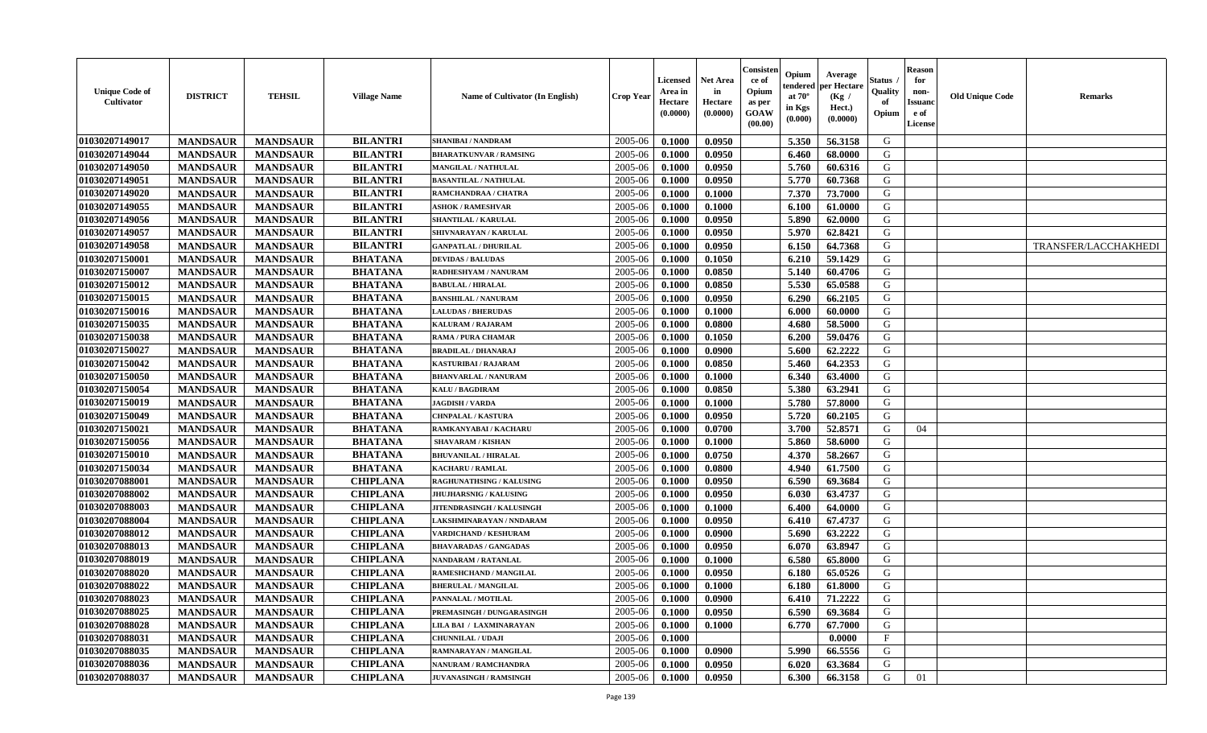| <b>Unique Code of</b><br><b>Cultivator</b> | <b>DISTRICT</b> | <b>TEHSIL</b>   | <b>Village Name</b> | Name of Cultivator (In English)  | <b>Crop Year</b> | <b>Licensed</b><br>Area in<br>Hectare<br>(0.0000) | <b>Net Area</b><br>in<br>Hectare<br>(0.0000) | Consisteı<br>ce of<br>Opium<br>as per<br>GOAW<br>(00.00) | Opium<br>endered<br>at $70^\circ$<br>in Kgs<br>(0.000) | Average<br>er Hectare<br>(Kg /<br>Hect.)<br>(0.0000) | Status<br>Quality<br>of<br>Opium | <b>Reason</b><br>for<br>non-<br><b>Issuand</b><br>e of<br>License | <b>Old Unique Code</b> | <b>Remarks</b>              |
|--------------------------------------------|-----------------|-----------------|---------------------|----------------------------------|------------------|---------------------------------------------------|----------------------------------------------|----------------------------------------------------------|--------------------------------------------------------|------------------------------------------------------|----------------------------------|-------------------------------------------------------------------|------------------------|-----------------------------|
| 01030207149017                             | <b>MANDSAUR</b> | <b>MANDSAUR</b> | <b>BILANTRI</b>     | SHANIBAI / NANDRAM               | 2005-06          | 0.1000                                            | 0.0950                                       |                                                          | 5.350                                                  | 56.3158                                              | G                                |                                                                   |                        |                             |
| 01030207149044                             | <b>MANDSAUR</b> | <b>MANDSAUR</b> | <b>BILANTRI</b>     | <b>BHARATKUNVAR / RAMSING</b>    | 2005-06          | 0.1000                                            | 0.0950                                       |                                                          | 6.460                                                  | 68.0000                                              | G                                |                                                                   |                        |                             |
| 01030207149050                             | <b>MANDSAUR</b> | <b>MANDSAUR</b> | <b>BILANTRI</b>     | MANGILAL / NATHULAL              | 2005-06          | 0.1000                                            | 0.0950                                       |                                                          | 5.760                                                  | 60.6316                                              | G                                |                                                                   |                        |                             |
| 01030207149051                             | <b>MANDSAUR</b> | <b>MANDSAUR</b> | <b>BILANTRI</b>     | <b>BASANTILAL / NATHULAL</b>     | 2005-06          | 0.1000                                            | 0.0950                                       |                                                          | 5.770                                                  | 60.7368                                              | G                                |                                                                   |                        |                             |
| 01030207149020                             | <b>MANDSAUR</b> | <b>MANDSAUR</b> | <b>BILANTRI</b>     | RAMCHANDRAA / CHATRA             | 2005-06          | 0.1000                                            | 0.1000                                       |                                                          | 7.370                                                  | 73.7000                                              | G                                |                                                                   |                        |                             |
| 01030207149055                             | <b>MANDSAUR</b> | <b>MANDSAUR</b> | <b>BILANTRI</b>     | <b>ASHOK / RAMESHVAR</b>         | 2005-06          | 0.1000                                            | 0.1000                                       |                                                          | 6.100                                                  | 61.0000                                              | G                                |                                                                   |                        |                             |
| 01030207149056                             | <b>MANDSAUR</b> | <b>MANDSAUR</b> | <b>BILANTRI</b>     | <b>SHANTILAL / KARULAL</b>       | 2005-06          | 0.1000                                            | 0.0950                                       |                                                          | 5.890                                                  | 62.0000                                              | ${\bf G}$                        |                                                                   |                        |                             |
| 01030207149057                             | <b>MANDSAUR</b> | <b>MANDSAUR</b> | <b>BILANTRI</b>     | SHIVNARAYAN / KARULAL            | 2005-06          | 0.1000                                            | 0.0950                                       |                                                          | 5.970                                                  | 62.8421                                              | G                                |                                                                   |                        |                             |
| 01030207149058                             | <b>MANDSAUR</b> | <b>MANDSAUR</b> | <b>BILANTRI</b>     | <b>GANPATLAL / DHURILAL</b>      | 2005-06          | 0.1000                                            | 0.0950                                       |                                                          | 6.150                                                  | 64.7368                                              | G                                |                                                                   |                        | <b>TRANSFER/LACCHAKHEDI</b> |
| 01030207150001                             | <b>MANDSAUR</b> | <b>MANDSAUR</b> | <b>BHATANA</b>      | <b>DEVIDAS / BALUDAS</b>         | 2005-06          | 0.1000                                            | 0.1050                                       |                                                          | 6.210                                                  | 59.1429                                              | G                                |                                                                   |                        |                             |
| 01030207150007                             | <b>MANDSAUR</b> | <b>MANDSAUR</b> | <b>BHATANA</b>      | RADHESHYAM / NANURAM             | 2005-06          | 0.1000                                            | 0.0850                                       |                                                          | 5.140                                                  | 60.4706                                              | G                                |                                                                   |                        |                             |
| 01030207150012                             | <b>MANDSAUR</b> | <b>MANDSAUR</b> | <b>BHATANA</b>      | <b>BABULAL / HIRALAL</b>         | 2005-06          | 0.1000                                            | 0.0850                                       |                                                          | 5.530                                                  | 65.0588                                              | G                                |                                                                   |                        |                             |
| 01030207150015                             | <b>MANDSAUR</b> | <b>MANDSAUR</b> | <b>BHATANA</b>      | <b>BANSHILAL / NANURAM</b>       | 2005-06          | 0.1000                                            | 0.0950                                       |                                                          | 6.290                                                  | 66.2105                                              | G                                |                                                                   |                        |                             |
| 01030207150016                             | <b>MANDSAUR</b> | <b>MANDSAUR</b> | <b>BHATANA</b>      | <b>LALUDAS / BHERUDAS</b>        | 2005-06          | 0.1000                                            | 0.1000                                       |                                                          | 6.000                                                  | 60.0000                                              | G                                |                                                                   |                        |                             |
| 01030207150035                             | <b>MANDSAUR</b> | <b>MANDSAUR</b> | <b>BHATANA</b>      | KALURAM / RAJARAM                | 2005-06          | 0.1000                                            | 0.0800                                       |                                                          | 4.680                                                  | 58.5000                                              | G                                |                                                                   |                        |                             |
| 01030207150038                             | <b>MANDSAUR</b> | <b>MANDSAUR</b> | <b>BHATANA</b>      | RAMA / PURA CHAMAR               | 2005-06          | 0.1000                                            | 0.1050                                       |                                                          | 6.200                                                  | 59.0476                                              | G                                |                                                                   |                        |                             |
| 01030207150027                             | <b>MANDSAUR</b> | <b>MANDSAUR</b> | <b>BHATANA</b>      | <b>BRADILAL / DHANARAJ</b>       | 2005-06          | 0.1000                                            | 0.0900                                       |                                                          | 5.600                                                  | 62.2222                                              | G                                |                                                                   |                        |                             |
| 01030207150042                             | <b>MANDSAUR</b> | <b>MANDSAUR</b> | <b>BHATANA</b>      | <b>KASTURIBAI / RAJARAM</b>      | 2005-06          | 0.1000                                            | 0.0850                                       |                                                          | 5.460                                                  | 64.2353                                              | G                                |                                                                   |                        |                             |
| 01030207150050                             | <b>MANDSAUR</b> | <b>MANDSAUR</b> | <b>BHATANA</b>      | <b>BHANVARLAL / NANURAM</b>      | 2005-06          | 0.1000                                            | 0.1000                                       |                                                          | 6.340                                                  | 63.4000                                              | G                                |                                                                   |                        |                             |
| 01030207150054                             | <b>MANDSAUR</b> | <b>MANDSAUR</b> | <b>BHATANA</b>      | <b>KALU / BAGDIRAM</b>           | 2005-06          | 0.1000                                            | 0.0850                                       |                                                          | 5.380                                                  | 63.2941                                              | G                                |                                                                   |                        |                             |
| 01030207150019                             | <b>MANDSAUR</b> | <b>MANDSAUR</b> | <b>BHATANA</b>      | <b>JAGDISH / VARDA</b>           | 2005-06          | 0.1000                                            | 0.1000                                       |                                                          | 5.780                                                  | 57.8000                                              | G                                |                                                                   |                        |                             |
| 01030207150049                             | <b>MANDSAUR</b> | <b>MANDSAUR</b> | <b>BHATANA</b>      | <b>CHNPALAL / KASTURA</b>        | 2005-06          | 0.1000                                            | 0.0950                                       |                                                          | 5.720                                                  | 60.2105                                              | G                                |                                                                   |                        |                             |
| 01030207150021                             | <b>MANDSAUR</b> | <b>MANDSAUR</b> | <b>BHATANA</b>      | RAMKANYABAI / KACHARU            | 2005-06          | 0.1000                                            | 0.0700                                       |                                                          | 3.700                                                  | 52.8571                                              | G                                | 04                                                                |                        |                             |
| 01030207150056                             | <b>MANDSAUR</b> | <b>MANDSAUR</b> | <b>BHATANA</b>      | <b>SHAVARAM / KISHAN</b>         | 2005-06          | 0.1000                                            | 0.1000                                       |                                                          | 5.860                                                  | 58.6000                                              | G                                |                                                                   |                        |                             |
| 01030207150010                             | <b>MANDSAUR</b> | <b>MANDSAUR</b> | <b>BHATANA</b>      | <b>BHUVANILAL / HIRALAL</b>      | 2005-06          | 0.1000                                            | 0.0750                                       |                                                          | 4.370                                                  | 58.2667                                              | G                                |                                                                   |                        |                             |
| 01030207150034                             | <b>MANDSAUR</b> | <b>MANDSAUR</b> | <b>BHATANA</b>      | <b>KACHARU / RAMLAL</b>          | 2005-06          | 0.1000                                            | 0.0800                                       |                                                          | 4.940                                                  | 61.7500                                              | G                                |                                                                   |                        |                             |
| 01030207088001                             | <b>MANDSAUR</b> | <b>MANDSAUR</b> | <b>CHIPLANA</b>     | RAGHUNATHSING / KALUSING         | 2005-06          | 0.1000                                            | 0.0950                                       |                                                          | 6.590                                                  | 69.3684                                              | G                                |                                                                   |                        |                             |
| 01030207088002                             | <b>MANDSAUR</b> | <b>MANDSAUR</b> | <b>CHIPLANA</b>     | <b>JHUJHARSNIG / KALUSING</b>    | 2005-06          | 0.1000                                            | 0.0950                                       |                                                          | 6.030                                                  | 63.4737                                              | G                                |                                                                   |                        |                             |
| 01030207088003                             | <b>MANDSAUR</b> | <b>MANDSAUR</b> | <b>CHIPLANA</b>     | <b>JITENDRASINGH / KALUSINGH</b> | 2005-06          | 0.1000                                            | 0.1000                                       |                                                          | 6.400                                                  | 64.0000                                              | G                                |                                                                   |                        |                             |
| 01030207088004                             | <b>MANDSAUR</b> | <b>MANDSAUR</b> | <b>CHIPLANA</b>     | LAKSHMINARAYAN / NNDARAM         | 2005-06          | 0.1000                                            | 0.0950                                       |                                                          | 6.410                                                  | 67.4737                                              | G                                |                                                                   |                        |                             |
| 01030207088012                             | <b>MANDSAUR</b> | <b>MANDSAUR</b> | <b>CHIPLANA</b>     | VARDICHAND / KESHURAM            | 2005-06          | 0.1000                                            | 0.0900                                       |                                                          | 5.690                                                  | 63.2222                                              | ${\bf G}$                        |                                                                   |                        |                             |
| 01030207088013                             | <b>MANDSAUR</b> | <b>MANDSAUR</b> | <b>CHIPLANA</b>     | <b>BHAVARADAS / GANGADAS</b>     | 2005-06          | 0.1000                                            | 0.0950                                       |                                                          | 6.070                                                  | 63.8947                                              | G                                |                                                                   |                        |                             |
| 01030207088019                             | <b>MANDSAUR</b> | <b>MANDSAUR</b> | <b>CHIPLANA</b>     | NANDARAM / RATANLAL              | 2005-06          | 0.1000                                            | 0.1000                                       |                                                          | 6.580                                                  | 65.8000                                              | G                                |                                                                   |                        |                             |
| 01030207088020                             | <b>MANDSAUR</b> | <b>MANDSAUR</b> | <b>CHIPLANA</b>     | RAMESHCHAND / MANGILAL           | 2005-06          | 0.1000                                            | 0.0950                                       |                                                          | 6.180                                                  | 65.0526                                              | G                                |                                                                   |                        |                             |
| 01030207088022                             | <b>MANDSAUR</b> | <b>MANDSAUR</b> | <b>CHIPLANA</b>     | <b>BHERULAL / MANGILAL</b>       | 2005-06          | 0.1000                                            | 0.1000                                       |                                                          | 6.180                                                  | 61.8000                                              | G                                |                                                                   |                        |                             |
| 01030207088023                             | <b>MANDSAUR</b> | <b>MANDSAUR</b> | <b>CHIPLANA</b>     | PANNALAL / MOTILAL               | 2005-06          | 0.1000                                            | 0.0900                                       |                                                          | 6.410                                                  | 71,2222                                              | G                                |                                                                   |                        |                             |
| 01030207088025                             | <b>MANDSAUR</b> | <b>MANDSAUR</b> | <b>CHIPLANA</b>     | PREMASINGH / DUNGARASINGH        | 2005-06          | 0.1000                                            | 0.0950                                       |                                                          | 6.590                                                  | 69.3684                                              | G                                |                                                                   |                        |                             |
| 01030207088028                             | <b>MANDSAUR</b> | <b>MANDSAUR</b> | <b>CHIPLANA</b>     | LILA BAI / LAXMINARAYAN          | 2005-06          | 0.1000                                            | 0.1000                                       |                                                          | 6.770                                                  | 67.7000                                              | G                                |                                                                   |                        |                             |
| 01030207088031                             | <b>MANDSAUR</b> | <b>MANDSAUR</b> | <b>CHIPLANA</b>     | <b>CHUNNILAL / UDAJI</b>         | 2005-06          | 0.1000                                            |                                              |                                                          |                                                        | 0.0000                                               | $_{\rm F}$                       |                                                                   |                        |                             |
| 01030207088035                             | <b>MANDSAUR</b> | <b>MANDSAUR</b> | <b>CHIPLANA</b>     | RAMNARAYAN / MANGILAL            | 2005-06          | 0.1000                                            | 0.0900                                       |                                                          | 5.990                                                  | 66.5556                                              | G                                |                                                                   |                        |                             |
| 01030207088036                             | <b>MANDSAUR</b> | <b>MANDSAUR</b> | <b>CHIPLANA</b>     | <b>NANURAM / RAMCHANDRA</b>      | 2005-06          | 0.1000                                            | 0.0950                                       |                                                          | 6.020                                                  | 63.3684                                              | G                                |                                                                   |                        |                             |
| 01030207088037                             | <b>MANDSAUR</b> | <b>MANDSAUR</b> | <b>CHIPLANA</b>     | <b>JUVANASINGH / RAMSINGH</b>    | 2005-06          | 0.1000                                            | 0.0950                                       |                                                          | 6.300                                                  | 66.3158                                              | G                                | 01                                                                |                        |                             |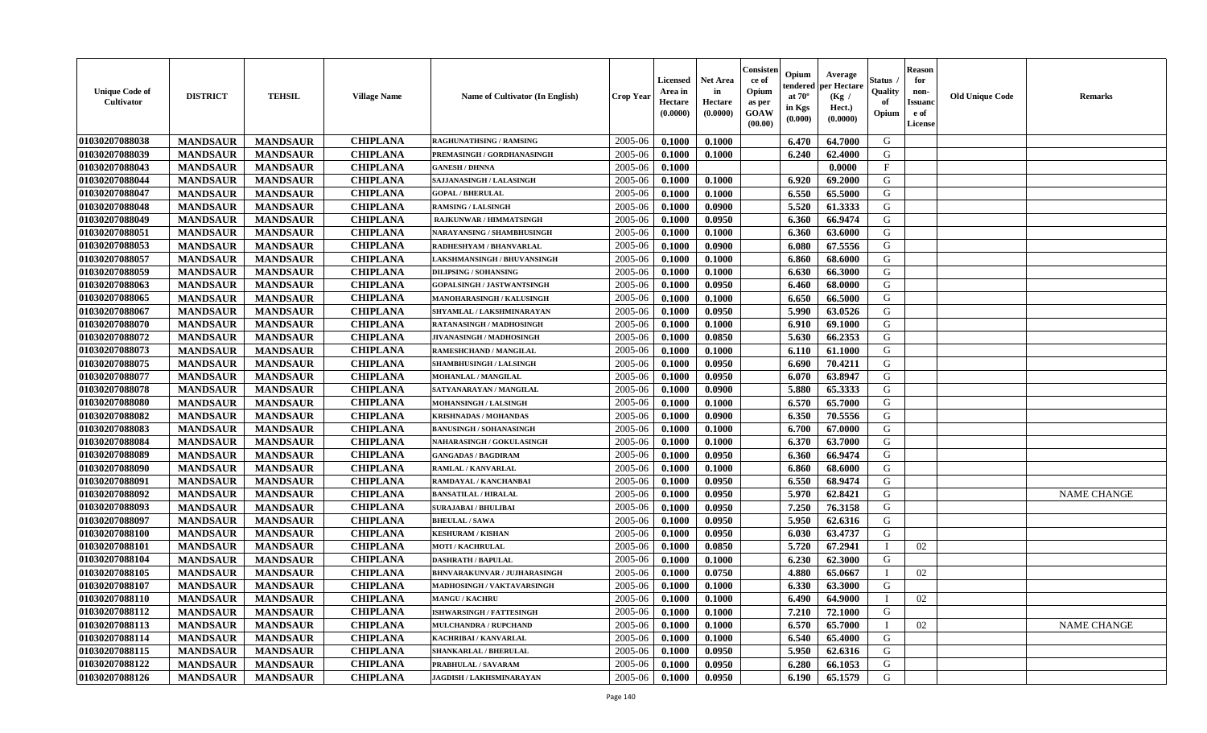| <b>Unique Code of</b><br><b>Cultivator</b> | <b>DISTRICT</b> | <b>TEHSIL</b>   | <b>Village Name</b> | Name of Cultivator (In English)     | <b>Crop Year</b> | Licensed<br>Area in<br>Hectare<br>(0.0000) | <b>Net Area</b><br>in<br>Hectare<br>(0.0000) | Consister<br>ce of<br>Opium<br>as per<br>GOAW<br>(00.00) | Opium<br>endered<br>at $70^\circ$<br>in Kgs<br>(0.000) | Average<br>per Hectare<br>(Kg /<br>Hect.)<br>(0.0000) | <b>Status</b> .<br>Quality<br>of<br>Opium | <b>Reason</b><br>for<br>non-<br><b>Issuand</b><br>e of<br>License | <b>Old Unique Code</b> | <b>Remarks</b>     |
|--------------------------------------------|-----------------|-----------------|---------------------|-------------------------------------|------------------|--------------------------------------------|----------------------------------------------|----------------------------------------------------------|--------------------------------------------------------|-------------------------------------------------------|-------------------------------------------|-------------------------------------------------------------------|------------------------|--------------------|
| 01030207088038                             | <b>MANDSAUR</b> | <b>MANDSAUR</b> | <b>CHIPLANA</b>     | <b>RAGHUNATHSING / RAMSING</b>      | 2005-06          | 0.1000                                     | 0.1000                                       |                                                          | 6.470                                                  | 64.7000                                               | G                                         |                                                                   |                        |                    |
| 01030207088039                             | <b>MANDSAUR</b> | <b>MANDSAUR</b> | <b>CHIPLANA</b>     | PREMASINGH / GORDHANASINGH          | 2005-06          | 0.1000                                     | 0.1000                                       |                                                          | 6.240                                                  | 62.4000                                               | G                                         |                                                                   |                        |                    |
| 01030207088043                             | <b>MANDSAUR</b> | <b>MANDSAUR</b> | <b>CHIPLANA</b>     | <b>GANESH / DHNNA</b>               | 2005-06          | 0.1000                                     |                                              |                                                          |                                                        | 0.0000                                                | $\mathbf{F}$                              |                                                                   |                        |                    |
| 01030207088044                             | <b>MANDSAUR</b> | <b>MANDSAUR</b> | <b>CHIPLANA</b>     | SAJJANASINGH / LALASINGH            | 2005-06          | 0.1000                                     | 0.1000                                       |                                                          | 6.920                                                  | 69.2000                                               | G                                         |                                                                   |                        |                    |
| 01030207088047                             | <b>MANDSAUR</b> | <b>MANDSAUR</b> | <b>CHIPLANA</b>     | <b>GOPAL / BHERULAL</b>             | 2005-06          | 0.1000                                     | 0.1000                                       |                                                          | 6.550                                                  | 65.5000                                               | G                                         |                                                                   |                        |                    |
| 01030207088048                             | <b>MANDSAUR</b> | <b>MANDSAUR</b> | <b>CHIPLANA</b>     | <b>RAMSING / LALSINGH</b>           | 2005-06          | 0.1000                                     | 0.0900                                       |                                                          | 5.520                                                  | 61.3333                                               | G                                         |                                                                   |                        |                    |
| 01030207088049                             | <b>MANDSAUR</b> | <b>MANDSAUR</b> | <b>CHIPLANA</b>     | RAJKUNWAR / HIMMATSINGH             | 2005-06          | 0.1000                                     | 0.0950                                       |                                                          | 6.360                                                  | 66.9474                                               | G                                         |                                                                   |                        |                    |
| 01030207088051                             | <b>MANDSAUR</b> | <b>MANDSAUR</b> | <b>CHIPLANA</b>     | NARAYANSING / SHAMBHUSINGH          | 2005-06          | 0.1000                                     | 0.1000                                       |                                                          | 6.360                                                  | 63.6000                                               | G                                         |                                                                   |                        |                    |
| 01030207088053                             | <b>MANDSAUR</b> | <b>MANDSAUR</b> | <b>CHIPLANA</b>     | RADHESHYAM / BHANVARLAL             | 2005-06          | 0.1000                                     | 0.0900                                       |                                                          | 6.080                                                  | 67.5556                                               | G                                         |                                                                   |                        |                    |
| 01030207088057                             | <b>MANDSAUR</b> | <b>MANDSAUR</b> | <b>CHIPLANA</b>     | <b>LAKSHMANSINGH / BHUVANSINGH</b>  | 2005-06          | 0.1000                                     | 0.1000                                       |                                                          | 6.860                                                  | 68.6000                                               | G                                         |                                                                   |                        |                    |
| 01030207088059                             | <b>MANDSAUR</b> | <b>MANDSAUR</b> | <b>CHIPLANA</b>     | <b>DILIPSING / SOHANSING</b>        | 2005-06          | 0.1000                                     | 0.1000                                       |                                                          | 6.630                                                  | 66.3000                                               | G                                         |                                                                   |                        |                    |
| 01030207088063                             | <b>MANDSAUR</b> | <b>MANDSAUR</b> | <b>CHIPLANA</b>     | GOPALSINGH / JASTWANTSINGH          | 2005-06          | 0.1000                                     | 0.0950                                       |                                                          | 6.460                                                  | 68.0000                                               | G                                         |                                                                   |                        |                    |
| 01030207088065                             | <b>MANDSAUR</b> | <b>MANDSAUR</b> | <b>CHIPLANA</b>     | MANOHARASINGH / KALUSINGH           | 2005-06          | 0.1000                                     | 0.1000                                       |                                                          | 6.650                                                  | 66.5000                                               | G                                         |                                                                   |                        |                    |
| 01030207088067                             | <b>MANDSAUR</b> | <b>MANDSAUR</b> | <b>CHIPLANA</b>     | SHYAMLAL / LAKSHMINARAYAN           | 2005-06          | 0.1000                                     | 0.0950                                       |                                                          | 5.990                                                  | 63.0526                                               | G                                         |                                                                   |                        |                    |
| 01030207088070                             | <b>MANDSAUR</b> | <b>MANDSAUR</b> | <b>CHIPLANA</b>     | RATANASINGH / MADHOSINGH            | 2005-06          | 0.1000                                     | 0.1000                                       |                                                          | 6.910                                                  | 69.1000                                               | ${\bf G}$                                 |                                                                   |                        |                    |
| 01030207088072                             | <b>MANDSAUR</b> | <b>MANDSAUR</b> | <b>CHIPLANA</b>     | JIVANASINGH / MADHOSINGH            | 2005-06          | 0.1000                                     | 0.0850                                       |                                                          | 5.630                                                  | 66.2353                                               | G                                         |                                                                   |                        |                    |
| 01030207088073                             | <b>MANDSAUR</b> | <b>MANDSAUR</b> | <b>CHIPLANA</b>     | RAMESHCHAND / MANGILAL              | 2005-06          | 0.1000                                     | 0.1000                                       |                                                          | 6.110                                                  | 61.1000                                               | G                                         |                                                                   |                        |                    |
| 01030207088075                             | <b>MANDSAUR</b> | <b>MANDSAUR</b> | <b>CHIPLANA</b>     | <b>SHAMBHUSINGH / LALSINGH</b>      | 2005-06          | 0.1000                                     | 0.0950                                       |                                                          | 6.690                                                  | 70.4211                                               | G                                         |                                                                   |                        |                    |
| 01030207088077                             | <b>MANDSAUR</b> | <b>MANDSAUR</b> | <b>CHIPLANA</b>     | MOHANLAL / MANGILAL                 | 2005-06          | 0.1000                                     | 0.0950                                       |                                                          | 6.070                                                  | 63.8947                                               | G                                         |                                                                   |                        |                    |
| 01030207088078                             | <b>MANDSAUR</b> | <b>MANDSAUR</b> | <b>CHIPLANA</b>     | SATYANARAYAN / MANGILAL             | 2005-06          | 0.1000                                     | 0.0900                                       |                                                          | 5.880                                                  | 65.3333                                               | G                                         |                                                                   |                        |                    |
| 01030207088080                             | <b>MANDSAUR</b> | <b>MANDSAUR</b> | <b>CHIPLANA</b>     | MOHANSINGH / LALSINGH               | 2005-06          | 0.1000                                     | 0.1000                                       |                                                          | 6.570                                                  | 65.7000                                               | G                                         |                                                                   |                        |                    |
| 01030207088082                             | <b>MANDSAUR</b> | <b>MANDSAUR</b> | <b>CHIPLANA</b>     | <b>KRISHNADAS / MOHANDAS</b>        | 2005-06          | 0.1000                                     | 0.0900                                       |                                                          | 6.350                                                  | 70.5556                                               | G                                         |                                                                   |                        |                    |
| 01030207088083                             | <b>MANDSAUR</b> | <b>MANDSAUR</b> | <b>CHIPLANA</b>     | <b>BANUSINGH / SOHANASINGH</b>      | 2005-06          | 0.1000                                     | 0.1000                                       |                                                          | 6.700                                                  | 67.0000                                               | G                                         |                                                                   |                        |                    |
| 01030207088084                             | <b>MANDSAUR</b> | <b>MANDSAUR</b> | <b>CHIPLANA</b>     | <b>NAHARASINGH / GOKULASINGH</b>    | 2005-06          | 0.1000                                     | 0.1000                                       |                                                          | 6.370                                                  | 63.7000                                               | ${\bf G}$                                 |                                                                   |                        |                    |
| 01030207088089                             | <b>MANDSAUR</b> | <b>MANDSAUR</b> | <b>CHIPLANA</b>     | <b>GANGADAS / BAGDIRAM</b>          | 2005-06          | 0.1000                                     | 0.0950                                       |                                                          | 6.360                                                  | 66.9474                                               | G                                         |                                                                   |                        |                    |
| 01030207088090                             | <b>MANDSAUR</b> | <b>MANDSAUR</b> | <b>CHIPLANA</b>     | RAMLAL / KANVARLAL                  | 2005-06          | 0.1000                                     | 0.1000                                       |                                                          | 6.860                                                  | 68.6000                                               | G                                         |                                                                   |                        |                    |
| 01030207088091                             | <b>MANDSAUR</b> | <b>MANDSAUR</b> | <b>CHIPLANA</b>     | RAMDAYAL / KANCHANBAI               | 2005-06          | 0.1000                                     | 0.0950                                       |                                                          | 6.550                                                  | 68.9474                                               | G                                         |                                                                   |                        |                    |
| 01030207088092                             | <b>MANDSAUR</b> | <b>MANDSAUR</b> | <b>CHIPLANA</b>     | <b>BANSATILAL / HIRALAL</b>         | 2005-06          | 0.1000                                     | 0.0950                                       |                                                          | 5.970                                                  | 62.8421                                               | G                                         |                                                                   |                        | <b>NAME CHANGE</b> |
| 01030207088093                             | <b>MANDSAUR</b> | <b>MANDSAUR</b> | <b>CHIPLANA</b>     | <b>SURAJABAI / BHULIBAI</b>         | 2005-06          | 0.1000                                     | 0.0950                                       |                                                          | 7.250                                                  | 76.3158                                               | G                                         |                                                                   |                        |                    |
| 01030207088097                             | <b>MANDSAUR</b> | <b>MANDSAUR</b> | <b>CHIPLANA</b>     | <b>BHEULAL / SAWA</b>               | 2005-06          | 0.1000                                     | 0.0950                                       |                                                          | 5.950                                                  | 62.6316                                               | G                                         |                                                                   |                        |                    |
| 01030207088100                             | <b>MANDSAUR</b> | <b>MANDSAUR</b> | <b>CHIPLANA</b>     | <b>KESHURAM / KISHAN</b>            | 2005-06          | 0.1000                                     | 0.0950                                       |                                                          | 6.030                                                  | 63.4737                                               | G                                         |                                                                   |                        |                    |
| 01030207088101                             | <b>MANDSAUR</b> | <b>MANDSAUR</b> | <b>CHIPLANA</b>     | <b>MOTI / KACHRULAL</b>             | 2005-06          | 0.1000                                     | 0.0850                                       |                                                          | 5.720                                                  | 67.2941                                               |                                           | 02                                                                |                        |                    |
| 01030207088104                             | <b>MANDSAUR</b> | <b>MANDSAUR</b> | <b>CHIPLANA</b>     | <b>DASHRATH / BAPULAL</b>           | 2005-06          | 0.1000                                     | 0.1000                                       |                                                          | 6.230                                                  | 62.3000                                               | G                                         |                                                                   |                        |                    |
| 01030207088105                             | <b>MANDSAUR</b> | <b>MANDSAUR</b> | <b>CHIPLANA</b>     | <b>BHNVARAKUNVAR / JUJHARASINGH</b> | 2005-06          | 0.1000                                     | 0.0750                                       |                                                          | 4.880                                                  | 65.0667                                               |                                           | 02                                                                |                        |                    |
| 01030207088107                             | <b>MANDSAUR</b> | <b>MANDSAUR</b> | <b>CHIPLANA</b>     | MADHOSINGH / VAKTAVARSINGH          | 2005-06          | 0.1000                                     | 0.1000                                       |                                                          | 6.330                                                  | 63.3000                                               | G                                         |                                                                   |                        |                    |
| 01030207088110                             | <b>MANDSAUR</b> | <b>MANDSAUR</b> | <b>CHIPLANA</b>     | <b>MANGU / KACHRU</b>               | 2005-06          | 0.1000                                     | 0.1000                                       |                                                          | 6.490                                                  | 64.9000                                               |                                           | 02                                                                |                        |                    |
| 01030207088112                             | <b>MANDSAUR</b> | <b>MANDSAUR</b> | <b>CHIPLANA</b>     | ISHWARSINGH / FATTESINGH            | 2005-06          | 0.1000                                     | 0.1000                                       |                                                          | 7.210                                                  | 72.1000                                               | G                                         |                                                                   |                        |                    |
| 01030207088113                             | <b>MANDSAUR</b> | <b>MANDSAUR</b> | <b>CHIPLANA</b>     | MULCHANDRA / RUPCHAND               | 2005-06          | 0.1000                                     | 0.1000                                       |                                                          | 6.570                                                  | 65.7000                                               | $\mathbf I$                               | 02                                                                |                        | <b>NAME CHANGE</b> |
| 01030207088114                             | <b>MANDSAUR</b> | <b>MANDSAUR</b> | <b>CHIPLANA</b>     | KACHRIBAI / KANVARLAL               | 2005-06          | 0.1000                                     | 0.1000                                       |                                                          | 6.540                                                  | 65.4000                                               | G                                         |                                                                   |                        |                    |
| 01030207088115                             | <b>MANDSAUR</b> | <b>MANDSAUR</b> | <b>CHIPLANA</b>     | <b>SHANKARLAL / BHERULAL</b>        | 2005-06          | 0.1000                                     | 0.0950                                       |                                                          | 5.950                                                  | 62.6316                                               | G                                         |                                                                   |                        |                    |
| 01030207088122                             | <b>MANDSAUR</b> | <b>MANDSAUR</b> | <b>CHIPLANA</b>     | PRABHULAL / SAVARAM                 | 2005-06          | 0.1000                                     | 0.0950                                       |                                                          | 6.280                                                  | 66.1053                                               | G                                         |                                                                   |                        |                    |
| 01030207088126                             | <b>MANDSAUR</b> | <b>MANDSAUR</b> | <b>CHIPLANA</b>     | JAGDISH / LAKHSMINARAYAN            | 2005-06          | 0.1000                                     | 0.0950                                       |                                                          | 6.190                                                  | 65.1579                                               | G                                         |                                                                   |                        |                    |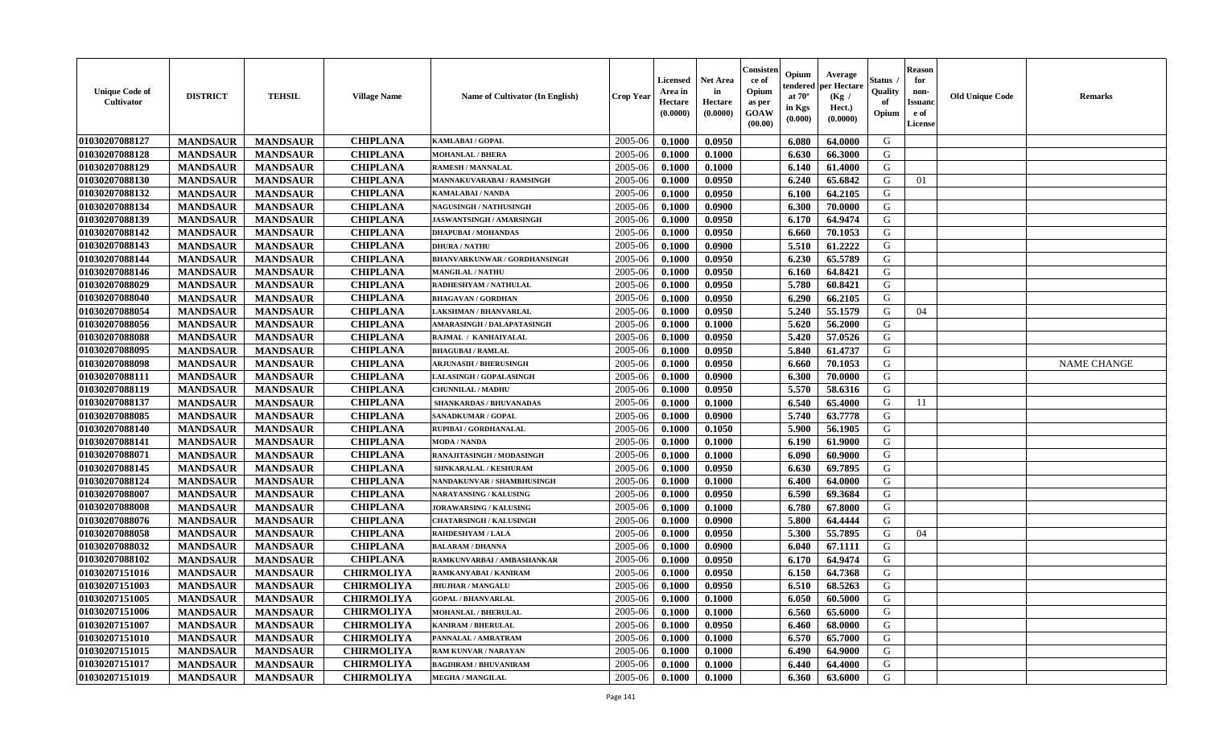| <b>Unique Code of</b><br><b>Cultivator</b> | <b>DISTRICT</b> | <b>TEHSIL</b>   | <b>Village Name</b> | <b>Name of Cultivator (In English)</b> | <b>Crop Year</b> | <b>Licensed</b><br>Area in<br>Hectare<br>(0.0000) | <b>Net Area</b><br>in<br>Hectare<br>(0.0000) | Consister<br>ce of<br>Opium<br>as per<br><b>GOAW</b><br>(00.00) | Opium<br>endered<br>at $70^\circ$<br>in Kgs<br>$(\mathbf{0.000})$ | Average<br>per Hectare<br>(Kg)<br>Hect.)<br>(0.0000) | Status<br>Quality<br>of<br>Opium | <b>Reason</b><br>for<br>non-<br><b>Issuano</b><br>e of<br>License | <b>Old Unique Code</b> | <b>Remarks</b>     |
|--------------------------------------------|-----------------|-----------------|---------------------|----------------------------------------|------------------|---------------------------------------------------|----------------------------------------------|-----------------------------------------------------------------|-------------------------------------------------------------------|------------------------------------------------------|----------------------------------|-------------------------------------------------------------------|------------------------|--------------------|
| 01030207088127                             | <b>MANDSAUR</b> | <b>MANDSAUR</b> | <b>CHIPLANA</b>     | <b>KAMLABAI/GOPAL</b>                  | 2005-06          | 0.1000                                            | 0.0950                                       |                                                                 | 6.080                                                             | 64.0000                                              | G                                |                                                                   |                        |                    |
| 01030207088128                             | <b>MANDSAUR</b> | <b>MANDSAUR</b> | <b>CHIPLANA</b>     | <b>MOHANLAL / BHERA</b>                | 2005-06          | 0.1000                                            | 0.1000                                       |                                                                 | 6.630                                                             | 66.3000                                              | G                                |                                                                   |                        |                    |
| 01030207088129                             | <b>MANDSAUR</b> | <b>MANDSAUR</b> | <b>CHIPLANA</b>     | RAMESH / MANNALAL                      | 2005-06          | 0.1000                                            | 0.1000                                       |                                                                 | 6.140                                                             | 61.4000                                              | G                                |                                                                   |                        |                    |
| 01030207088130                             | <b>MANDSAUR</b> | <b>MANDSAUR</b> | <b>CHIPLANA</b>     | MANNAKUVARABAI / RAMSINGH              | 2005-06          | 0.1000                                            | 0.0950                                       |                                                                 | 6.240                                                             | 65.6842                                              | G                                | 01                                                                |                        |                    |
| 01030207088132                             | <b>MANDSAUR</b> | <b>MANDSAUR</b> | <b>CHIPLANA</b>     | KAMALABAI / NANDA                      | 2005-06          | 0.1000                                            | 0.0950                                       |                                                                 | 6.100                                                             | 64.2105                                              | G                                |                                                                   |                        |                    |
| 01030207088134                             | <b>MANDSAUR</b> | <b>MANDSAUR</b> | <b>CHIPLANA</b>     | <b>NAGUSINGH / NATHUSINGH</b>          | 2005-06          | 0.1000                                            | 0.0900                                       |                                                                 | 6.300                                                             | 70.0000                                              | G                                |                                                                   |                        |                    |
| 01030207088139                             | <b>MANDSAUR</b> | <b>MANDSAUR</b> | <b>CHIPLANA</b>     | JASWANTSINGH / AMARSINGH               | 2005-06          | 0.1000                                            | 0.0950                                       |                                                                 | 6.170                                                             | 64.9474                                              | G                                |                                                                   |                        |                    |
| 01030207088142                             | <b>MANDSAUR</b> | <b>MANDSAUR</b> | <b>CHIPLANA</b>     | <b>DHAPUBAI/MOHANDAS</b>               | 2005-06          | 0.1000                                            | 0.0950                                       |                                                                 | 6.660                                                             | 70.1053                                              | G                                |                                                                   |                        |                    |
| 01030207088143                             | <b>MANDSAUR</b> | <b>MANDSAUR</b> | <b>CHIPLANA</b>     | <b>DHURA / NATHU</b>                   | 2005-06          | 0.1000                                            | 0.0900                                       |                                                                 | 5.510                                                             | 61.2222                                              | G                                |                                                                   |                        |                    |
| 01030207088144                             | <b>MANDSAUR</b> | <b>MANDSAUR</b> | <b>CHIPLANA</b>     | <b>BHANVARKUNWAR / GORDHANSINGH</b>    | 2005-06          | 0.1000                                            | 0.0950                                       |                                                                 | 6.230                                                             | 65.5789                                              | G                                |                                                                   |                        |                    |
| 01030207088146                             | <b>MANDSAUR</b> | <b>MANDSAUR</b> | <b>CHIPLANA</b>     | <b>MANGILAL / NATHU</b>                | 2005-06          | 0.1000                                            | 0.0950                                       |                                                                 | 6.160                                                             | 64.8421                                              | G                                |                                                                   |                        |                    |
| 01030207088029                             | <b>MANDSAUR</b> | <b>MANDSAUR</b> | <b>CHIPLANA</b>     | RADHESHYAM / NATHULAL                  | 2005-06          | 0.1000                                            | 0.0950                                       |                                                                 | 5.780                                                             | 60.8421                                              | G                                |                                                                   |                        |                    |
| 01030207088040                             | <b>MANDSAUR</b> | <b>MANDSAUR</b> | <b>CHIPLANA</b>     | <b>BHAGAVAN / GORDHAN</b>              | 2005-06          | 0.1000                                            | 0.0950                                       |                                                                 | 6.290                                                             | 66.2105                                              | G                                |                                                                   |                        |                    |
| 01030207088054                             | <b>MANDSAUR</b> | <b>MANDSAUR</b> | <b>CHIPLANA</b>     | <b>LAKSHMAN / BHANVARLAL</b>           | 2005-06          | 0.1000                                            | 0.0950                                       |                                                                 | 5.240                                                             | 55.1579                                              | G                                | 04                                                                |                        |                    |
| 01030207088056                             | <b>MANDSAUR</b> | <b>MANDSAUR</b> | <b>CHIPLANA</b>     | AMARASINGH / DALAPATASINGH             | 2005-06          | 0.1000                                            | 0.1000                                       |                                                                 | 5.620                                                             | 56.2000                                              | G                                |                                                                   |                        |                    |
| 01030207088088                             | <b>MANDSAUR</b> | <b>MANDSAUR</b> | <b>CHIPLANA</b>     | RAJMAL / KANHAIYALAL                   | 2005-06          | 0.1000                                            | 0.0950                                       |                                                                 | 5.420                                                             | 57.0526                                              | G                                |                                                                   |                        |                    |
| 01030207088095                             | <b>MANDSAUR</b> | <b>MANDSAUR</b> | <b>CHIPLANA</b>     | <b>BHAGUBAI / RAMLAL</b>               | 2005-06          | 0.1000                                            | 0.0950                                       |                                                                 | 5.840                                                             | 61.4737                                              | G                                |                                                                   |                        |                    |
| 01030207088098                             | <b>MANDSAUR</b> | <b>MANDSAUR</b> | <b>CHIPLANA</b>     | <b>ARJUNASIH / BHERUSINGH</b>          | 2005-06          | 0.1000                                            | 0.0950                                       |                                                                 | 6.660                                                             | 70.1053                                              | G                                |                                                                   |                        | <b>NAME CHANGE</b> |
| 01030207088111                             | <b>MANDSAUR</b> | <b>MANDSAUR</b> | <b>CHIPLANA</b>     | <b>LALASINGH / GOPALASINGH</b>         | 2005-06          | 0.1000                                            | 0.0900                                       |                                                                 | 6.300                                                             | 70.0000                                              | G                                |                                                                   |                        |                    |
| 01030207088119                             | <b>MANDSAUR</b> | <b>MANDSAUR</b> | <b>CHIPLANA</b>     | <b>CHUNNILAL / MADHU</b>               | 2005-06          | 0.1000                                            | 0.0950                                       |                                                                 | 5.570                                                             | 58.6316                                              | G                                |                                                                   |                        |                    |
| 01030207088137                             | <b>MANDSAUR</b> | <b>MANDSAUR</b> | <b>CHIPLANA</b>     | <b>SHANKARDAS / BHUVANADAS</b>         | 2005-06          | 0.1000                                            | 0.1000                                       |                                                                 | 6.540                                                             | 65.4000                                              | G                                | 11                                                                |                        |                    |
| 01030207088085                             | <b>MANDSAUR</b> | <b>MANDSAUR</b> | <b>CHIPLANA</b>     | SANADKUMAR / GOPAL                     | 2005-06          | 0.1000                                            | 0.0900                                       |                                                                 | 5.740                                                             | 63.7778                                              | G                                |                                                                   |                        |                    |
| 01030207088140                             | <b>MANDSAUR</b> | <b>MANDSAUR</b> | <b>CHIPLANA</b>     | RUPIBAI / GORDHANALAL                  | 2005-06          | 0.1000                                            | 0.1050                                       |                                                                 | 5.900                                                             | 56.1905                                              | G                                |                                                                   |                        |                    |
| 01030207088141                             | <b>MANDSAUR</b> | <b>MANDSAUR</b> | <b>CHIPLANA</b>     | <b>MODA / NANDA</b>                    | 2005-06          | 0.1000                                            | 0.1000                                       |                                                                 | 6.190                                                             | 61.9000                                              | G                                |                                                                   |                        |                    |
| 01030207088071                             | <b>MANDSAUR</b> | <b>MANDSAUR</b> | <b>CHIPLANA</b>     | RANAJITASINGH / MODASINGH              | 2005-06          | 0.1000                                            | 0.1000                                       |                                                                 | 6.090                                                             | 60.9000                                              | G                                |                                                                   |                        |                    |
| 01030207088145                             | <b>MANDSAUR</b> | <b>MANDSAUR</b> | <b>CHIPLANA</b>     | SHNKARALAL / KESHURAM                  | 2005-06          | 0.1000                                            | 0.0950                                       |                                                                 | 6.630                                                             | 69.7895                                              | G                                |                                                                   |                        |                    |
| 01030207088124                             | <b>MANDSAUR</b> | <b>MANDSAUR</b> | <b>CHIPLANA</b>     | NANDAKUNVAR / SHAMBHUSINGH             | 2005-06          | 0.1000                                            | 0.1000                                       |                                                                 | 6.400                                                             | 64.0000                                              | G                                |                                                                   |                        |                    |
| 01030207088007                             | <b>MANDSAUR</b> | <b>MANDSAUR</b> | <b>CHIPLANA</b>     | <b>NARAYANSING / KALUSING</b>          | 2005-06          | 0.1000                                            | 0.0950                                       |                                                                 | 6.590                                                             | 69.3684                                              | G                                |                                                                   |                        |                    |
| 01030207088008                             | <b>MANDSAUR</b> | <b>MANDSAUR</b> | <b>CHIPLANA</b>     | <b>JORAWARSING / KALUSING</b>          | 2005-06          | 0.1000                                            | 0.1000                                       |                                                                 | 6.780                                                             | 67.8000                                              | G                                |                                                                   |                        |                    |
| 01030207088076                             | <b>MANDSAUR</b> | <b>MANDSAUR</b> | <b>CHIPLANA</b>     | <b>CHATARSINGH / KALUSINGH</b>         | 2005-06          | 0.1000                                            | 0.0900                                       |                                                                 | 5.800                                                             | 64.4444                                              | G                                |                                                                   |                        |                    |
| 01030207088058                             | <b>MANDSAUR</b> | <b>MANDSAUR</b> | <b>CHIPLANA</b>     | <b>RAHDESHYAM / LALA</b>               | 2005-06          | 0.1000                                            | 0.0950                                       |                                                                 | 5.300                                                             | 55.7895                                              | G                                | 04                                                                |                        |                    |
| 01030207088032                             | <b>MANDSAUR</b> | <b>MANDSAUR</b> | <b>CHIPLANA</b>     | <b>BALARAM / DHANNA</b>                | 2005-06          | 0.1000                                            | 0.0900                                       |                                                                 | 6.040                                                             | 67.1111                                              | G                                |                                                                   |                        |                    |
| 01030207088102                             | <b>MANDSAUR</b> | <b>MANDSAUR</b> | <b>CHIPLANA</b>     | RAMKUNVARBAI / AMBASHANKAR             | 2005-06          | 0.1000                                            | 0.0950                                       |                                                                 | 6.170                                                             | 64.9474                                              | G                                |                                                                   |                        |                    |
| 01030207151016                             | <b>MANDSAUR</b> | <b>MANDSAUR</b> | <b>CHIRMOLIYA</b>   | RAMKANYABAI / KANIRAM                  | 2005-06          | 0.1000                                            | 0.0950                                       |                                                                 | 6.150                                                             | 64.7368                                              | G                                |                                                                   |                        |                    |
| 01030207151003                             | <b>MANDSAUR</b> | <b>MANDSAUR</b> | <b>CHIRMOLIYA</b>   | <b>JHUJHAR / MANGALU</b>               | 2005-06          | 0.1000                                            | 0.0950                                       |                                                                 | 6.510                                                             | 68.5263                                              | G                                |                                                                   |                        |                    |
| 01030207151005                             | <b>MANDSAUR</b> | <b>MANDSAUR</b> | <b>CHIRMOLIYA</b>   | <b>GOPAL / BHANVARLAL</b>              | $2005 - 06$      | 0.1000                                            | 0.1000                                       |                                                                 | 6.050                                                             | 60.5000                                              | G                                |                                                                   |                        |                    |
| 01030207151006                             | <b>MANDSAUR</b> | <b>MANDSAUR</b> | <b>CHIRMOLIYA</b>   | <b>MOHANLAL / BHERULAL</b>             | 2005-06          | 0.1000                                            | 0.1000                                       |                                                                 | 6.560                                                             | 65.6000                                              | G                                |                                                                   |                        |                    |
| 01030207151007                             | <b>MANDSAUR</b> | <b>MANDSAUR</b> | <b>CHIRMOLIYA</b>   | <b>KANIRAM / BHERULAL</b>              | 2005-06          | 0.1000                                            | 0.0950                                       |                                                                 | 6.460                                                             | 68.0000                                              | G                                |                                                                   |                        |                    |
| 01030207151010                             | <b>MANDSAUR</b> | <b>MANDSAUR</b> | <b>CHIRMOLIYA</b>   | PANNALAL / AMRATRAM                    | 2005-06          | 0.1000                                            | 0.1000                                       |                                                                 | 6.570                                                             | 65.7000                                              | G                                |                                                                   |                        |                    |
| 01030207151015                             | <b>MANDSAUR</b> | <b>MANDSAUR</b> | <b>CHIRMOLIYA</b>   | <b>RAM KUNVAR / NARAYAN</b>            | 2005-06          | 0.1000                                            | 0.1000                                       |                                                                 | 6.490                                                             | 64.9000                                              | G                                |                                                                   |                        |                    |
| 01030207151017                             | <b>MANDSAUR</b> | <b>MANDSAUR</b> | <b>CHIRMOLIYA</b>   | <b>BAGDIRAM / BHUVANIRAM</b>           | 2005-06          | 0.1000                                            | 0.1000                                       |                                                                 | 6.440                                                             | 64.4000                                              | G                                |                                                                   |                        |                    |
| 01030207151019                             | <b>MANDSAUR</b> | <b>MANDSAUR</b> | <b>CHIRMOLIYA</b>   | <b>MEGHA / MANGILAL</b>                | 2005-06          | 0.1000                                            | 0.1000                                       |                                                                 | 6.360                                                             | 63.6000                                              | G                                |                                                                   |                        |                    |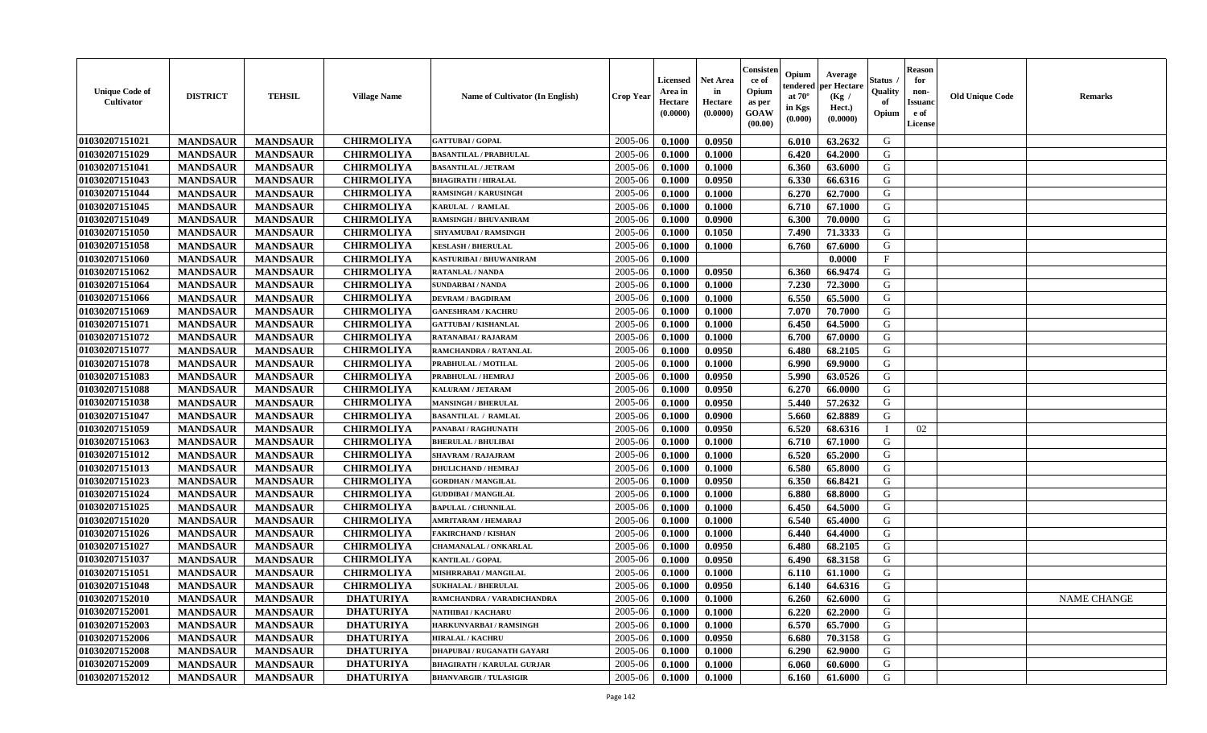| <b>Unique Code of</b><br>Cultivator | <b>DISTRICT</b> | <b>TEHSIL</b>   | <b>Village Name</b> | Name of Cultivator (In English)   | <b>Crop Year</b> | <b>Licensed</b><br>Area in<br>Hectare<br>(0.0000) | <b>Net Area</b><br>in<br>Hectare<br>(0.0000) | Consister<br>ce of<br>Opium<br>as per<br><b>GOAW</b><br>(00.00) | Opium<br>endered<br>at $70^\circ$<br>in Kgs<br>$(\mathbf{0.000})$ | Average<br>per Hectare<br>(Kg /<br>Hect.)<br>(0.0000) | Status<br>Quality<br>of<br>Opium | <b>Reason</b><br>for<br>non-<br><b>Issuanc</b><br>e of<br>License | <b>Old Unique Code</b> | <b>Remarks</b> |
|-------------------------------------|-----------------|-----------------|---------------------|-----------------------------------|------------------|---------------------------------------------------|----------------------------------------------|-----------------------------------------------------------------|-------------------------------------------------------------------|-------------------------------------------------------|----------------------------------|-------------------------------------------------------------------|------------------------|----------------|
| 01030207151021                      | <b>MANDSAUR</b> | <b>MANDSAUR</b> | <b>CHIRMOLIYA</b>   | <b>GATTUBAI/GOPAL</b>             | 2005-06          | 0.1000                                            | 0.0950                                       |                                                                 | 6.010                                                             | 63.2632                                               | G                                |                                                                   |                        |                |
| 01030207151029                      | <b>MANDSAUR</b> | <b>MANDSAUR</b> | <b>CHIRMOLIYA</b>   | <b>BASANTILAL / PRABHULAL</b>     | 2005-06          | 0.1000                                            | 0.1000                                       |                                                                 | 6.420                                                             | 64.2000                                               | G                                |                                                                   |                        |                |
| 01030207151041                      | <b>MANDSAUR</b> | <b>MANDSAUR</b> | <b>CHIRMOLIYA</b>   | <b>BASANTILAL / JETRAM</b>        | 2005-06          | 0.1000                                            | 0.1000                                       |                                                                 | 6.360                                                             | 63.6000                                               | G                                |                                                                   |                        |                |
| 01030207151043                      | <b>MANDSAUR</b> | <b>MANDSAUR</b> | <b>CHIRMOLIYA</b>   | <b>BHAGIRATH / HIRALAL</b>        | 2005-06          | 0.1000                                            | 0.0950                                       |                                                                 | 6.330                                                             | 66.6316                                               | G                                |                                                                   |                        |                |
| 01030207151044                      | <b>MANDSAUR</b> | <b>MANDSAUR</b> | <b>CHIRMOLIYA</b>   | <b>RAMSINGH / KARUSINGH</b>       | 2005-06          | 0.1000                                            | 0.1000                                       |                                                                 | 6.270                                                             | 62.7000                                               | G                                |                                                                   |                        |                |
| 01030207151045                      | <b>MANDSAUR</b> | <b>MANDSAUR</b> | <b>CHIRMOLIYA</b>   | KARULAL / RAMLAL                  | 2005-06          | 0.1000                                            | 0.1000                                       |                                                                 | 6.710                                                             | 67.1000                                               | G                                |                                                                   |                        |                |
| 01030207151049                      | <b>MANDSAUR</b> | <b>MANDSAUR</b> | <b>CHIRMOLIYA</b>   | <b>RAMSINGH / BHUVANIRAM</b>      | 2005-06          | 0.1000                                            | 0.0900                                       |                                                                 | 6.300                                                             | 70.0000                                               | G                                |                                                                   |                        |                |
| 01030207151050                      | <b>MANDSAUR</b> | <b>MANDSAUR</b> | <b>CHIRMOLIYA</b>   | SHYAMUBAI / RAMSINGH              | 2005-06          | 0.1000                                            | 0.1050                                       |                                                                 | 7.490                                                             | 71.3333                                               | G                                |                                                                   |                        |                |
| 01030207151058                      | <b>MANDSAUR</b> | <b>MANDSAUR</b> | <b>CHIRMOLIYA</b>   | <b>KESLASH / BHERULAL</b>         | 2005-06          | 0.1000                                            | 0.1000                                       |                                                                 | 6.760                                                             | 67.6000                                               | G                                |                                                                   |                        |                |
| 01030207151060                      | <b>MANDSAUR</b> | <b>MANDSAUR</b> | <b>CHIRMOLIYA</b>   | KASTURIBAI / BHUWANIRAM           | 2005-06          | 0.1000                                            |                                              |                                                                 |                                                                   | 0.0000                                                | $\mathbf{F}$                     |                                                                   |                        |                |
| 01030207151062                      | <b>MANDSAUR</b> | <b>MANDSAUR</b> | <b>CHIRMOLIYA</b>   | RATANLAL / NANDA                  | 2005-06          | 0.1000                                            | 0.0950                                       |                                                                 | 6.360                                                             | 66.9474                                               | G                                |                                                                   |                        |                |
| 01030207151064                      | <b>MANDSAUR</b> | <b>MANDSAUR</b> | <b>CHIRMOLIYA</b>   | <b>SUNDARBAI / NANDA</b>          | 2005-06          | 0.1000                                            | 0.1000                                       |                                                                 | 7.230                                                             | 72.3000                                               | G                                |                                                                   |                        |                |
| 01030207151066                      | <b>MANDSAUR</b> | <b>MANDSAUR</b> | <b>CHIRMOLIYA</b>   | <b>DEVRAM / BAGDIRAM</b>          | 2005-06          | 0.1000                                            | 0.1000                                       |                                                                 | 6.550                                                             | 65.5000                                               | G                                |                                                                   |                        |                |
| 01030207151069                      | <b>MANDSAUR</b> | <b>MANDSAUR</b> | <b>CHIRMOLIYA</b>   | <b>GANESHRAM / KACHRU</b>         | 2005-06          | 0.1000                                            | 0.1000                                       |                                                                 | 7.070                                                             | 70.7000                                               | G                                |                                                                   |                        |                |
| 01030207151071                      | <b>MANDSAUR</b> | <b>MANDSAUR</b> | <b>CHIRMOLIYA</b>   | <b>GATTUBAI/KISHANLAL</b>         | 2005-06          | 0.1000                                            | 0.1000                                       |                                                                 | 6.450                                                             | 64.5000                                               | G                                |                                                                   |                        |                |
| 01030207151072                      | <b>MANDSAUR</b> | <b>MANDSAUR</b> | <b>CHIRMOLIYA</b>   | RATANABAI / RAJARAM               | 2005-06          | 0.1000                                            | 0.1000                                       |                                                                 | 6.700                                                             | 67.0000                                               | G                                |                                                                   |                        |                |
| 01030207151077                      | <b>MANDSAUR</b> | <b>MANDSAUR</b> | <b>CHIRMOLIYA</b>   | RAMCHANDRA / RATANLAL             | 2005-06          | 0.1000                                            | 0.0950                                       |                                                                 | 6.480                                                             | 68.2105                                               | G                                |                                                                   |                        |                |
| 01030207151078                      | <b>MANDSAUR</b> | <b>MANDSAUR</b> | <b>CHIRMOLIYA</b>   | PRABHULAL / MOTILAL               | 2005-06          | 0.1000                                            | 0.1000                                       |                                                                 | 6.990                                                             | 69.9000                                               | G                                |                                                                   |                        |                |
| 01030207151083                      | <b>MANDSAUR</b> | <b>MANDSAUR</b> | <b>CHIRMOLIYA</b>   | PRABHULAL / HEMRAJ                | 2005-06          | 0.1000                                            | 0.0950                                       |                                                                 | 5.990                                                             | 63.0526                                               | G                                |                                                                   |                        |                |
| 01030207151088                      | <b>MANDSAUR</b> | <b>MANDSAUR</b> | <b>CHIRMOLIYA</b>   | KALURAM / JETARAM                 | 2005-06          | 0.1000                                            | 0.0950                                       |                                                                 | 6.270                                                             | 66.0000                                               | G                                |                                                                   |                        |                |
| 01030207151038                      | <b>MANDSAUR</b> | <b>MANDSAUR</b> | <b>CHIRMOLIYA</b>   | <b>MANSINGH / BHERULAL</b>        | 2005-06          | 0.1000                                            | 0.0950                                       |                                                                 | 5.440                                                             | 57.2632                                               | G                                |                                                                   |                        |                |
| 01030207151047                      | <b>MANDSAUR</b> | <b>MANDSAUR</b> | <b>CHIRMOLIYA</b>   | <b>BASANTILAL / RAMLAL</b>        | 2005-06          | 0.1000                                            | 0.0900                                       |                                                                 | 5.660                                                             | 62.8889                                               | G                                |                                                                   |                        |                |
| 01030207151059                      | <b>MANDSAUR</b> | <b>MANDSAUR</b> | <b>CHIRMOLIYA</b>   | PANABAI / RAGHUNATH               | 2005-06          | 0.1000                                            | 0.0950                                       |                                                                 | 6.520                                                             | 68.6316                                               |                                  | 02                                                                |                        |                |
| 01030207151063                      | <b>MANDSAUR</b> | <b>MANDSAUR</b> | <b>CHIRMOLIYA</b>   | <b>BHERULAL / BHULIBAI</b>        | 2005-06          | 0.1000                                            | 0.1000                                       |                                                                 | 6.710                                                             | 67.1000                                               | G                                |                                                                   |                        |                |
| 01030207151012                      | <b>MANDSAUR</b> | <b>MANDSAUR</b> | <b>CHIRMOLIYA</b>   | <b>SHAVRAM / RAJAJRAM</b>         | 2005-06          | 0.1000                                            | 0.1000                                       |                                                                 | 6.520                                                             | 65.2000                                               | G                                |                                                                   |                        |                |
| 01030207151013                      | <b>MANDSAUR</b> | <b>MANDSAUR</b> | <b>CHIRMOLIYA</b>   | <b>DHULICHAND / HEMRAJ</b>        | 2005-06          | 0.1000                                            | 0.1000                                       |                                                                 | 6.580                                                             | 65.8000                                               | G                                |                                                                   |                        |                |
| 01030207151023                      | <b>MANDSAUR</b> | <b>MANDSAUR</b> | <b>CHIRMOLIYA</b>   | <b>GORDHAN / MANGILAL</b>         | 2005-06          | 0.1000                                            | 0.0950                                       |                                                                 | 6.350                                                             | 66.8421                                               | G                                |                                                                   |                        |                |
| 01030207151024                      | <b>MANDSAUR</b> | <b>MANDSAUR</b> | <b>CHIRMOLIYA</b>   | <b>GUDDIBAI / MANGILAL</b>        | 2005-06          | 0.1000                                            | 0.1000                                       |                                                                 | 6.880                                                             | 68.8000                                               | G                                |                                                                   |                        |                |
| 01030207151025                      | <b>MANDSAUR</b> | <b>MANDSAUR</b> | <b>CHIRMOLIYA</b>   | <b>BAPULAL / CHUNNILAL</b>        | 2005-06          | 0.1000                                            | 0.1000                                       |                                                                 | 6.450                                                             | 64.5000                                               | G                                |                                                                   |                        |                |
| 01030207151020                      | <b>MANDSAUR</b> | <b>MANDSAUR</b> | <b>CHIRMOLIYA</b>   | AMRITARAM / HEMARAJ               | 2005-06          | 0.1000                                            | 0.1000                                       |                                                                 | 6.540                                                             | 65.4000                                               | G                                |                                                                   |                        |                |
| 01030207151026                      | <b>MANDSAUR</b> | <b>MANDSAUR</b> | <b>CHIRMOLIYA</b>   | <b>FAKIRCHAND / KISHAN</b>        | 2005-06          | 0.1000                                            | 0.1000                                       |                                                                 | 6.440                                                             | 64.4000                                               | G                                |                                                                   |                        |                |
| 01030207151027                      | <b>MANDSAUR</b> | <b>MANDSAUR</b> | <b>CHIRMOLIYA</b>   | <b>CHAMANALAL / ONKARLAL</b>      | 2005-06          | 0.1000                                            | 0.0950                                       |                                                                 | 6.480                                                             | 68.2105                                               | G                                |                                                                   |                        |                |
| 01030207151037                      | <b>MANDSAUR</b> | <b>MANDSAUR</b> | <b>CHIRMOLIYA</b>   | <b>KANTILAL / GOPAL</b>           | 2005-06          | 0.1000                                            | 0.0950                                       |                                                                 | 6.490                                                             | 68.3158                                               | G                                |                                                                   |                        |                |
| 01030207151051                      | <b>MANDSAUR</b> | <b>MANDSAUR</b> | <b>CHIRMOLIYA</b>   | MISHRRABAI / MANGILAL             | 2005-06          | 0.1000                                            | 0.1000                                       |                                                                 | 6.110                                                             | 61.1000                                               | G                                |                                                                   |                        |                |
| 01030207151048                      | <b>MANDSAUR</b> | <b>MANDSAUR</b> | <b>CHIRMOLIYA</b>   | <b>SUKHALAL / BHERULAL</b>        | 2005-06          | 0.1000                                            | 0.0950                                       |                                                                 | 6.140                                                             | 64.6316                                               | G                                |                                                                   |                        |                |
| 01030207152010                      | <b>MANDSAUR</b> | MANDSAUR        | <b>DHATURIYA</b>    | RAMCHANDRA / VARADICHANDRA        | $2005 - 06$      | 0.1000                                            | 0.1000                                       |                                                                 | $6.260$                                                           | 62.6000                                               | G                                |                                                                   |                        | NAME CHANGE    |
| 01030207152001                      | <b>MANDSAUR</b> | <b>MANDSAUR</b> | <b>DHATURIYA</b>    | NATHIBAI / KACHARU                | 2005-06          | 0.1000                                            | 0.1000                                       |                                                                 | 6.220                                                             | 62.2000                                               | G                                |                                                                   |                        |                |
| 01030207152003                      | <b>MANDSAUR</b> | <b>MANDSAUR</b> | <b>DHATURIYA</b>    | HARKUNVARBAI / RAMSINGH           | 2005-06          | 0.1000                                            | 0.1000                                       |                                                                 | 6.570                                                             | 65.7000                                               | G                                |                                                                   |                        |                |
| 01030207152006                      | <b>MANDSAUR</b> | <b>MANDSAUR</b> | <b>DHATURIYA</b>    | <b>HIRALAL / KACHRU</b>           | 2005-06          | 0.1000                                            | 0.0950                                       |                                                                 | 6.680                                                             | 70.3158                                               | G                                |                                                                   |                        |                |
| 01030207152008                      | <b>MANDSAUR</b> | <b>MANDSAUR</b> | <b>DHATURIYA</b>    | <b>DHAPUBAI/RUGANATH GAYARI</b>   | 2005-06          | 0.1000                                            | 0.1000                                       |                                                                 | 6.290                                                             | 62.9000                                               | G                                |                                                                   |                        |                |
| 01030207152009                      | <b>MANDSAUR</b> | <b>MANDSAUR</b> | <b>DHATURIYA</b>    | <b>BHAGIRATH / KARULAL GURJAR</b> | 2005-06          | 0.1000                                            | 0.1000                                       |                                                                 | 6.060                                                             | 60.6000                                               | G                                |                                                                   |                        |                |
| 01030207152012                      | <b>MANDSAUR</b> | <b>MANDSAUR</b> | <b>DHATURIYA</b>    | <b>BHANVARGIR / TULASIGIR</b>     | 2005-06          | 0.1000                                            | 0.1000                                       |                                                                 | 6.160                                                             | 61.6000                                               | G                                |                                                                   |                        |                |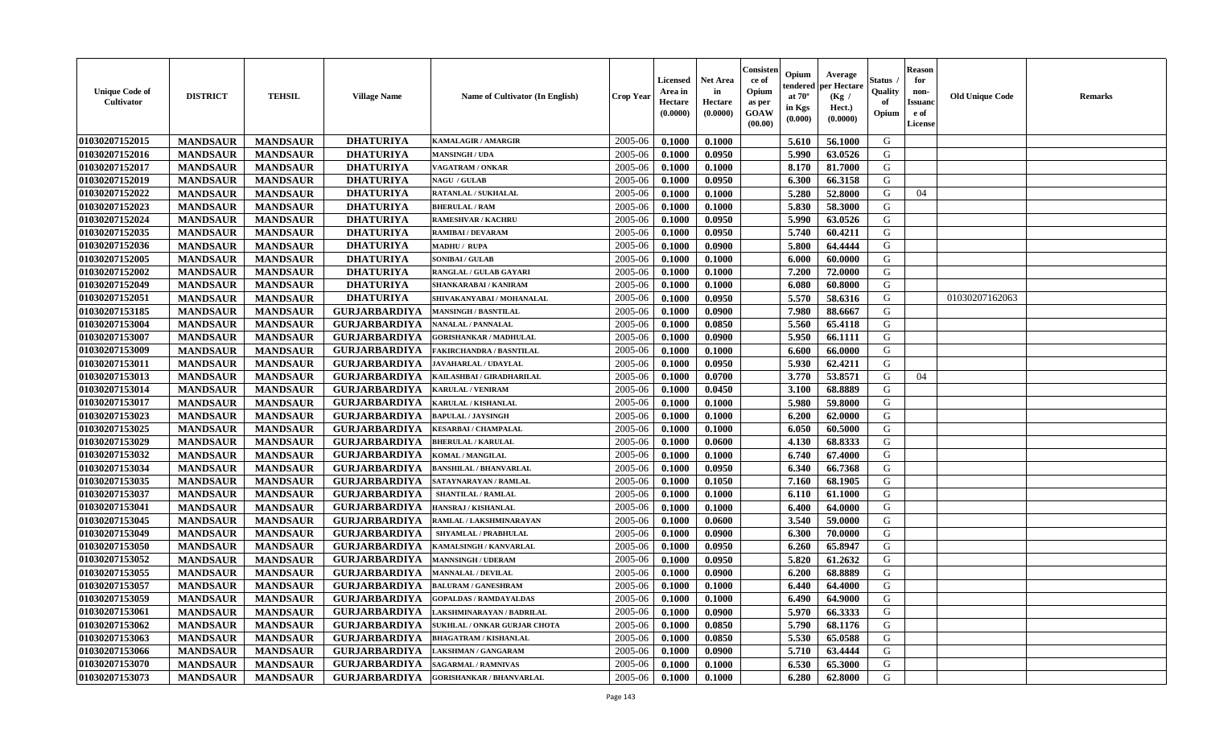| <b>Unique Code of</b><br>Cultivator | <b>DISTRICT</b> | <b>TEHSIL</b>   | <b>Village Name</b>  | Name of Cultivator (In English) | Crop Year   | Licensed<br>Area in<br>Hectare<br>(0.0000) | <b>Net Area</b><br>in<br>Hectare<br>(0.0000) | Consisten<br>ce of<br>Opium<br>as per<br><b>GOAW</b><br>(00.00) | Opium<br>tendered<br>at $70^\circ$<br>in Kgs<br>(0.000) | Average<br>per Hectare<br>(Kg /<br>Hect.)<br>(0.0000) | Status<br>Quality<br>of<br>Opium | <b>Reason</b><br>for<br>non-<br><b>Issuand</b><br>e of<br>License | <b>Old Unique Code</b> | <b>Remarks</b> |
|-------------------------------------|-----------------|-----------------|----------------------|---------------------------------|-------------|--------------------------------------------|----------------------------------------------|-----------------------------------------------------------------|---------------------------------------------------------|-------------------------------------------------------|----------------------------------|-------------------------------------------------------------------|------------------------|----------------|
| 01030207152015                      | <b>MANDSAUR</b> | <b>MANDSAUR</b> | <b>DHATURIYA</b>     | <b>KAMALAGIR / AMARGIR</b>      | 2005-06     | 0.1000                                     | 0.1000                                       |                                                                 | 5.610                                                   | 56.1000                                               | G                                |                                                                   |                        |                |
| 01030207152016                      | <b>MANDSAUR</b> | <b>MANDSAUR</b> | <b>DHATURIYA</b>     | <b>MANSINGH / UDA</b>           | 2005-06     | 0.1000                                     | 0.0950                                       |                                                                 | 5.990                                                   | 63.0526                                               | G                                |                                                                   |                        |                |
| 01030207152017                      | <b>MANDSAUR</b> | <b>MANDSAUR</b> | <b>DHATURIYA</b>     | VAGATRAM / ONKAR                | 2005-06     | 0.1000                                     | 0.1000                                       |                                                                 | 8.170                                                   | 81.7000                                               | G                                |                                                                   |                        |                |
| 01030207152019                      | <b>MANDSAUR</b> | <b>MANDSAUR</b> | <b>DHATURIYA</b>     | <b>NAGU / GULAB</b>             | 2005-06     | 0.1000                                     | 0.0950                                       |                                                                 | 6.300                                                   | 66.3158                                               | G                                |                                                                   |                        |                |
| 01030207152022                      | <b>MANDSAUR</b> | <b>MANDSAUR</b> | <b>DHATURIYA</b>     | RATANLAL / SUKHALAL             | 2005-06     | 0.1000                                     | 0.1000                                       |                                                                 | 5.280                                                   | 52.8000                                               | G                                | 04                                                                |                        |                |
| 01030207152023                      | <b>MANDSAUR</b> | <b>MANDSAUR</b> | <b>DHATURIYA</b>     | <b>BHERULAL / RAM</b>           | 2005-06     | 0.1000                                     | 0.1000                                       |                                                                 | 5.830                                                   | 58.3000                                               | G                                |                                                                   |                        |                |
| 01030207152024                      | <b>MANDSAUR</b> | <b>MANDSAUR</b> | <b>DHATURIYA</b>     | <b>RAMESHVAR / KACHRU</b>       | 2005-06     | 0.1000                                     | 0.0950                                       |                                                                 | 5.990                                                   | 63.0526                                               | G                                |                                                                   |                        |                |
| 01030207152035                      | <b>MANDSAUR</b> | <b>MANDSAUR</b> | <b>DHATURIYA</b>     | <b>RAMIBAI / DEVARAM</b>        | 2005-06     | 0.1000                                     | 0.0950                                       |                                                                 | 5.740                                                   | 60.4211                                               | G                                |                                                                   |                        |                |
| 01030207152036                      | <b>MANDSAUR</b> | <b>MANDSAUR</b> | <b>DHATURIYA</b>     | <b>MADHU / RUPA</b>             | 2005-06     | 0.1000                                     | 0.0900                                       |                                                                 | 5.800                                                   | 64.4444                                               | G                                |                                                                   |                        |                |
| 01030207152005                      | <b>MANDSAUR</b> | <b>MANDSAUR</b> | <b>DHATURIYA</b>     | <b>SONIBAI/GULAB</b>            | 2005-06     | 0.1000                                     | 0.1000                                       |                                                                 | 6.000                                                   | 60.0000                                               | G                                |                                                                   |                        |                |
| 01030207152002                      | <b>MANDSAUR</b> | <b>MANDSAUR</b> | <b>DHATURIYA</b>     | RANGLAL / GULAB GAYARI          | 2005-06     | 0.1000                                     | 0.1000                                       |                                                                 | 7.200                                                   | 72.0000                                               | G                                |                                                                   |                        |                |
| 01030207152049                      | <b>MANDSAUR</b> | <b>MANDSAUR</b> | <b>DHATURIYA</b>     | <b>SHANKARABAI / KANIRAM</b>    | 2005-06     | 0.1000                                     | 0.1000                                       |                                                                 | 6.080                                                   | 60.8000                                               | G                                |                                                                   |                        |                |
| 01030207152051                      | <b>MANDSAUR</b> | <b>MANDSAUR</b> | <b>DHATURIYA</b>     | SHIVAKANYABAI / MOHANALAL       | 2005-06     | 0.1000                                     | 0.0950                                       |                                                                 | 5.570                                                   | 58.6316                                               | G                                |                                                                   | 01030207162063         |                |
| 01030207153185                      | <b>MANDSAUR</b> | <b>MANDSAUR</b> | <b>GURJARBARDIYA</b> | <b>MANSINGH / BASNTILAL</b>     | 2005-06     | 0.1000                                     | 0.0900                                       |                                                                 | 7.980                                                   | 88.6667                                               | G                                |                                                                   |                        |                |
| 01030207153004                      | <b>MANDSAUR</b> | <b>MANDSAUR</b> | <b>GURJARBARDIYA</b> | NANALAL / PANNALAL              | 2005-06     | 0.1000                                     | 0.0850                                       |                                                                 | 5.560                                                   | 65.4118                                               | G                                |                                                                   |                        |                |
| 01030207153007                      | <b>MANDSAUR</b> | <b>MANDSAUR</b> | <b>GURJARBARDIYA</b> | <b>GORISHANKAR / MADHULAL</b>   | 2005-06     | 0.1000                                     | 0.0900                                       |                                                                 | 5.950                                                   | 66.1111                                               | G                                |                                                                   |                        |                |
| 01030207153009                      | <b>MANDSAUR</b> | <b>MANDSAUR</b> | <b>GURJARBARDIYA</b> | <b>FAKIRCHANDRA / BASNTILAL</b> | 2005-06     | 0.1000                                     | 0.1000                                       |                                                                 | 6.600                                                   | 66.0000                                               | G                                |                                                                   |                        |                |
| 01030207153011                      | <b>MANDSAUR</b> | <b>MANDSAUR</b> | <b>GURJARBARDIYA</b> | <b>JAVAHARLAL / UDAYLAL</b>     | 2005-06     | 0.1000                                     | 0.0950                                       |                                                                 | 5.930                                                   | 62,4211                                               | G                                |                                                                   |                        |                |
| 01030207153013                      | <b>MANDSAUR</b> | <b>MANDSAUR</b> | <b>GURJARBARDIYA</b> | KAILASHBAI / GIRADHARILAL       | 2005-06     | 0.1000                                     | 0.0700                                       |                                                                 | 3.770                                                   | 53.8571                                               | G                                | 04                                                                |                        |                |
| 01030207153014                      | <b>MANDSAUR</b> | <b>MANDSAUR</b> | <b>GURJARBARDIYA</b> | <b>KARULAL / VENIRAM</b>        | 2005-06     | 0.1000                                     | 0.0450                                       |                                                                 | 3.100                                                   | 68.8889                                               | G                                |                                                                   |                        |                |
| 01030207153017                      | <b>MANDSAUR</b> | <b>MANDSAUR</b> | <b>GURJARBARDIYA</b> | KARULAL / KISHANLAL             | 2005-06     | 0.1000                                     | 0.1000                                       |                                                                 | 5.980                                                   | 59.8000                                               | G                                |                                                                   |                        |                |
| 01030207153023                      | <b>MANDSAUR</b> | <b>MANDSAUR</b> | <b>GURJARBARDIYA</b> | <b>BAPULAL / JAYSINGH</b>       | 2005-06     | 0.1000                                     | 0.1000                                       |                                                                 | 6.200                                                   | 62.0000                                               | G                                |                                                                   |                        |                |
| 01030207153025                      | <b>MANDSAUR</b> | <b>MANDSAUR</b> | <b>GURJARBARDIYA</b> | <b>KESARBAI/ CHAMPALAL</b>      | 2005-06     | 0.1000                                     | 0.1000                                       |                                                                 | 6.050                                                   | 60.5000                                               | G                                |                                                                   |                        |                |
| 01030207153029                      | <b>MANDSAUR</b> | <b>MANDSAUR</b> | <b>GURJARBARDIYA</b> | <b>BHERULAL / KARULAL</b>       | 2005-06     | 0.1000                                     | 0.0600                                       |                                                                 | 4.130                                                   | 68.8333                                               | G                                |                                                                   |                        |                |
| 01030207153032                      | <b>MANDSAUR</b> | <b>MANDSAUR</b> | <b>GURJARBARDIYA</b> | KOMAL / MANGILAL                | 2005-06     | 0.1000                                     | 0.1000                                       |                                                                 | 6.740                                                   | 67.4000                                               | G                                |                                                                   |                        |                |
| 01030207153034                      | <b>MANDSAUR</b> | <b>MANDSAUR</b> | <b>GURJARBARDIYA</b> | <b>BANSHILAL / BHANVARLAL</b>   | 2005-06     | 0.1000                                     | 0.0950                                       |                                                                 | 6.340                                                   | 66.7368                                               | G                                |                                                                   |                        |                |
| 01030207153035                      | <b>MANDSAUR</b> | <b>MANDSAUR</b> | <b>GURJARBARDIYA</b> | SATAYNARAYAN / RAMLAL           | 2005-06     | 0.1000                                     | 0.1050                                       |                                                                 | 7.160                                                   | 68.1905                                               | G                                |                                                                   |                        |                |
| 01030207153037                      | <b>MANDSAUR</b> | <b>MANDSAUR</b> | <b>GURJARBARDIYA</b> | <b>SHANTILAL / RAMLAL</b>       | 2005-06     | 0.1000                                     | 0.1000                                       |                                                                 | 6.110                                                   | 61.1000                                               | G                                |                                                                   |                        |                |
| 01030207153041                      | <b>MANDSAUR</b> | <b>MANDSAUR</b> | <b>GURJARBARDIYA</b> | HANSRAJ / KISHANLAL             | 2005-06     | 0.1000                                     | 0.1000                                       |                                                                 | 6.400                                                   | 64.0000                                               | G                                |                                                                   |                        |                |
| 01030207153045                      | <b>MANDSAUR</b> | <b>MANDSAUR</b> | <b>GURJARBARDIYA</b> | RAMLAL / LAKSHMINARAYAN         | $2005 - 06$ | 0.1000                                     | 0.0600                                       |                                                                 | 3.540                                                   | 59.0000                                               | G                                |                                                                   |                        |                |
| 01030207153049                      | <b>MANDSAUR</b> | <b>MANDSAUR</b> | <b>GURJARBARDIYA</b> | <b>SHYAMLAL / PRABHULAL</b>     | 2005-06     | 0.1000                                     | 0.0900                                       |                                                                 | 6.300                                                   | 70.0000                                               | G                                |                                                                   |                        |                |
| 01030207153050                      | <b>MANDSAUR</b> | <b>MANDSAUR</b> | <b>GURJARBARDIYA</b> | KAMALSINGH / KANVARLAL          | 2005-06     | 0.1000                                     | 0.0950                                       |                                                                 | 6.260                                                   | 65.8947                                               | G                                |                                                                   |                        |                |
| 01030207153052                      | <b>MANDSAUR</b> | <b>MANDSAUR</b> | <b>GURJARBARDIYA</b> | <b>MANNSINGH / UDERAM</b>       | 2005-06     | 0.1000                                     | 0.0950                                       |                                                                 | 5.820                                                   | 61.2632                                               | G                                |                                                                   |                        |                |
| 01030207153055                      | <b>MANDSAUR</b> | <b>MANDSAUR</b> | <b>GURJARBARDIYA</b> | <b>MANNALAL / DEVILAL</b>       | 2005-06     | 0.1000                                     | 0.0900                                       |                                                                 | 6.200                                                   | 68.8889                                               | G                                |                                                                   |                        |                |
| 01030207153057                      | <b>MANDSAUR</b> | <b>MANDSAUR</b> | <b>GURJARBARDIYA</b> | <b>BALURAM / GANESHRAM</b>      | 2005-06     | 0.1000                                     | 0.1000                                       |                                                                 | 6.440                                                   | 64.4000                                               | G                                |                                                                   |                        |                |
| 01030207153059                      | <b>MANDSAUR</b> | <b>MANDSAUR</b> | <b>GURJARBARDIYA</b> | <b>GOPALDAS / RAMDAYALDAS</b>   | 2005-06     | 0.1000                                     | 0.1000                                       |                                                                 | 6.490                                                   | 64.9000                                               | G                                |                                                                   |                        |                |
| 01030207153061                      | <b>MANDSAUR</b> | <b>MANDSAUR</b> | <b>GURJARBARDIYA</b> | LAKSHMINARAYAN / BADRILAL       | 2005-06     | 0.1000                                     | 0.0900                                       |                                                                 | 5.970                                                   | 66.3333                                               | G                                |                                                                   |                        |                |
| 01030207153062                      | <b>MANDSAUR</b> | <b>MANDSAUR</b> | <b>GURJARBARDIYA</b> | SUKHLAL / ONKAR GURJAR CHOTA    | 2005-06     | 0.1000                                     | 0.0850                                       |                                                                 | 5.790                                                   | 68.1176                                               | G                                |                                                                   |                        |                |
| 01030207153063                      | <b>MANDSAUR</b> | <b>MANDSAUR</b> | <b>GURJARBARDIYA</b> | <b>BHAGATRAM / KISHANLAL</b>    | 2005-06     | 0.1000                                     | 0.0850                                       |                                                                 | 5.530                                                   | 65.0588                                               | G                                |                                                                   |                        |                |
| 01030207153066                      | <b>MANDSAUR</b> | <b>MANDSAUR</b> | <b>GURJARBARDIYA</b> | <b>LAKSHMAN / GANGARAM</b>      | 2005-06     | 0.1000                                     | 0.0900                                       |                                                                 | 5.710                                                   | 63.4444                                               | G                                |                                                                   |                        |                |
| 01030207153070                      | <b>MANDSAUR</b> | <b>MANDSAUR</b> | <b>GURJARBARDIYA</b> | <b>SAGARMAL / RAMNIVAS</b>      | 2005-06     | 0.1000                                     | 0.1000                                       |                                                                 | 6.530                                                   | 65.3000                                               | G                                |                                                                   |                        |                |
| 01030207153073                      | <b>MANDSAUR</b> | <b>MANDSAUR</b> | <b>GURJARBARDIYA</b> | <b>GORISHANKAR / BHANVARLAL</b> | 2005-06     | 0.1000                                     | 0.1000                                       |                                                                 | 6.280                                                   | 62.8000                                               | G                                |                                                                   |                        |                |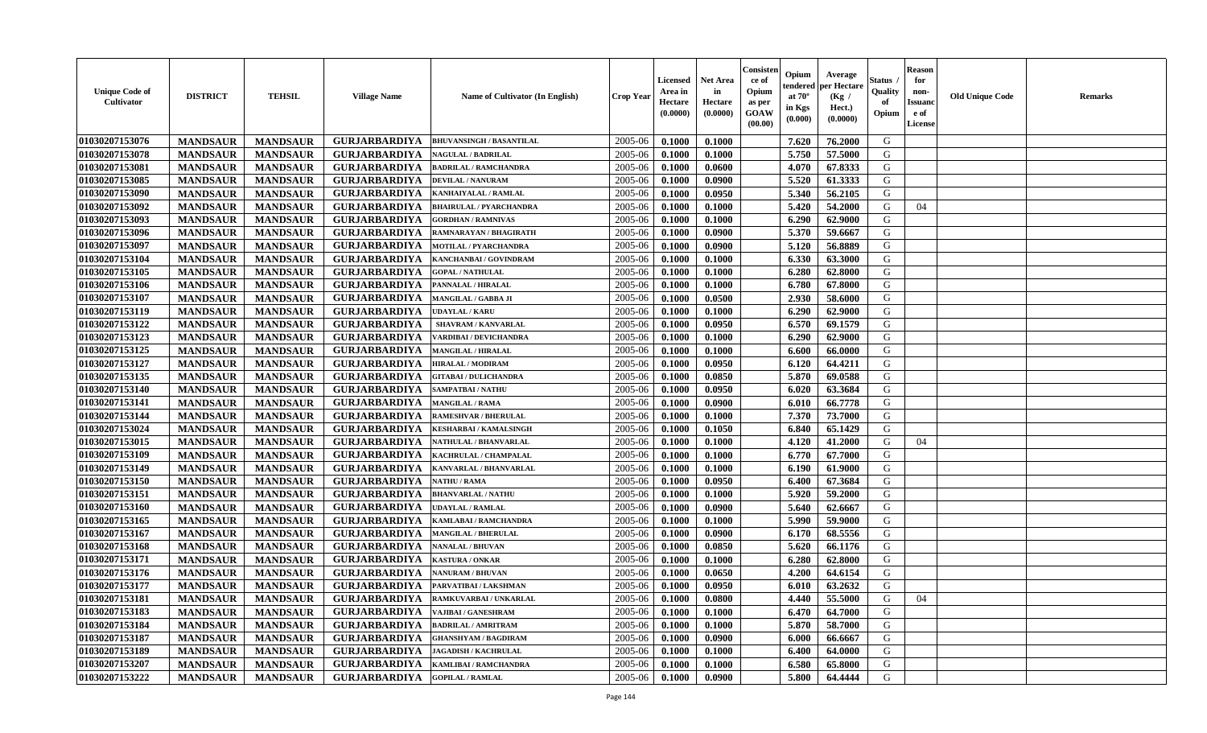| <b>Unique Code of</b><br><b>Cultivator</b> | <b>DISTRICT</b> | <b>TEHSIL</b>   | <b>Village Name</b>  | <b>Name of Cultivator (In English)</b> | <b>Crop Year</b> | Licensed<br>Area in<br>Hectare<br>(0.0000) | <b>Net Area</b><br>in<br>Hectare<br>(0.0000) | Consister<br>ce of<br>Opium<br>as per<br><b>GOAW</b><br>(00.00) | Opium<br>endered<br>at $70^\circ$<br>in Kgs<br>(0.000) | Average<br>per Hectare<br>(Kg /<br>Hect.)<br>(0.0000) | Status<br>Quality<br>of<br>Opium | <b>Reason</b><br>for<br>non-<br><b>Issuano</b><br>e of<br>License | <b>Old Unique Code</b> | <b>Remarks</b> |
|--------------------------------------------|-----------------|-----------------|----------------------|----------------------------------------|------------------|--------------------------------------------|----------------------------------------------|-----------------------------------------------------------------|--------------------------------------------------------|-------------------------------------------------------|----------------------------------|-------------------------------------------------------------------|------------------------|----------------|
| 01030207153076                             | <b>MANDSAUR</b> | <b>MANDSAUR</b> | <b>GURJARBARDIYA</b> | <b>BHUVANSINGH / BASANTILAL</b>        | 2005-06          | 0.1000                                     | 0.1000                                       |                                                                 | 7.620                                                  | 76.2000                                               | G                                |                                                                   |                        |                |
| 01030207153078                             | <b>MANDSAUR</b> | <b>MANDSAUR</b> | <b>GURJARBARDIYA</b> | <b>NAGULAL / BADRILAL</b>              | 2005-06          | 0.1000                                     | 0.1000                                       |                                                                 | 5.750                                                  | 57.5000                                               | G                                |                                                                   |                        |                |
| 01030207153081                             | <b>MANDSAUR</b> | <b>MANDSAUR</b> | <b>GURJARBARDIYA</b> | <b>BADRILAL / RAMCHANDRA</b>           | 2005-06          | 0.1000                                     | 0.0600                                       |                                                                 | 4.070                                                  | 67.8333                                               | G                                |                                                                   |                        |                |
| 01030207153085                             | <b>MANDSAUR</b> | <b>MANDSAUR</b> | <b>GURJARBARDIYA</b> | <b>DEVILAL / NANURAM</b>               | 2005-06          | 0.1000                                     | 0.0900                                       |                                                                 | 5.520                                                  | 61.3333                                               | G                                |                                                                   |                        |                |
| 01030207153090                             | <b>MANDSAUR</b> | <b>MANDSAUR</b> | <b>GURJARBARDIYA</b> | KANHAIYALAL / RAMLAL                   | 2005-06          | 0.1000                                     | 0.0950                                       |                                                                 | 5.340                                                  | 56.2105                                               | G                                |                                                                   |                        |                |
| 01030207153092                             | <b>MANDSAUR</b> | <b>MANDSAUR</b> | <b>GURJARBARDIYA</b> | <b>BHAIRULAL / PYARCHANDRA</b>         | 2005-06          | 0.1000                                     | 0.1000                                       |                                                                 | 5.420                                                  | 54.2000                                               | G                                | 04                                                                |                        |                |
| 01030207153093                             | <b>MANDSAUR</b> | <b>MANDSAUR</b> | <b>GURJARBARDIYA</b> | <b>GORDHAN / RAMNIVAS</b>              | 2005-06          | 0.1000                                     | 0.1000                                       |                                                                 | 6.290                                                  | 62.9000                                               | G                                |                                                                   |                        |                |
| 01030207153096                             | <b>MANDSAUR</b> | <b>MANDSAUR</b> | <b>GURJARBARDIYA</b> | RAMNARAYAN / BHAGIRATH                 | 2005-06          | 0.1000                                     | 0.0900                                       |                                                                 | 5.370                                                  | 59.6667                                               | G                                |                                                                   |                        |                |
| 01030207153097                             | <b>MANDSAUR</b> | <b>MANDSAUR</b> | <b>GURJARBARDIYA</b> | MOTILAL / PYARCHANDRA                  | 2005-06          | 0.1000                                     | 0.0900                                       |                                                                 | 5.120                                                  | 56.8889                                               | G                                |                                                                   |                        |                |
| 01030207153104                             | <b>MANDSAUR</b> | <b>MANDSAUR</b> | <b>GURJARBARDIYA</b> | KANCHANBAI / GOVINDRAM                 | 2005-06          | 0.1000                                     | 0.1000                                       |                                                                 | 6.330                                                  | 63.3000                                               | G                                |                                                                   |                        |                |
| 01030207153105                             | <b>MANDSAUR</b> | <b>MANDSAUR</b> | <b>GURJARBARDIYA</b> | <b>GOPAL / NATHULAL</b>                | 2005-06          | 0.1000                                     | 0.1000                                       |                                                                 | 6.280                                                  | 62.8000                                               | G                                |                                                                   |                        |                |
| 01030207153106                             | <b>MANDSAUR</b> | <b>MANDSAUR</b> | <b>GURJARBARDIYA</b> | PANNALAL / HIRALAL                     | 2005-06          | 0.1000                                     | 0.1000                                       |                                                                 | 6.780                                                  | 67.8000                                               | G                                |                                                                   |                        |                |
| 01030207153107                             | <b>MANDSAUR</b> | <b>MANDSAUR</b> | <b>GURJARBARDIYA</b> | MANGILAL / GABBA JI                    | 2005-06          | 0.1000                                     | 0.0500                                       |                                                                 | 2.930                                                  | 58.6000                                               | G                                |                                                                   |                        |                |
| 01030207153119                             | <b>MANDSAUR</b> | <b>MANDSAUR</b> | <b>GURJARBARDIYA</b> | <b>UDAYLAL / KARU</b>                  | 2005-06          | 0.1000                                     | 0.1000                                       |                                                                 | 6.290                                                  | 62.9000                                               | G                                |                                                                   |                        |                |
| 01030207153122                             | <b>MANDSAUR</b> | <b>MANDSAUR</b> | <b>GURJARBARDIYA</b> | <b>SHAVRAM / KANVARLAL</b>             | 2005-06          | 0.1000                                     | 0.0950                                       |                                                                 | 6.570                                                  | 69.1579                                               | G                                |                                                                   |                        |                |
| 01030207153123                             | <b>MANDSAUR</b> | <b>MANDSAUR</b> | <b>GURJARBARDIYA</b> | VARDIBAI / DEVICHANDRA                 | 2005-06          | 0.1000                                     | 0.1000                                       |                                                                 | 6.290                                                  | 62.9000                                               | G                                |                                                                   |                        |                |
| 01030207153125                             | <b>MANDSAUR</b> | <b>MANDSAUR</b> | <b>GURJARBARDIYA</b> | <b>MANGILAL / HIRALAL</b>              | 2005-06          | 0.1000                                     | 0.1000                                       |                                                                 | 6.600                                                  | 66.0000                                               | G                                |                                                                   |                        |                |
| 01030207153127                             | <b>MANDSAUR</b> | <b>MANDSAUR</b> | <b>GURJARBARDIYA</b> | HIRALAL / MODIRAM                      | 2005-06          | 0.1000                                     | 0.0950                                       |                                                                 | 6.120                                                  | 64.4211                                               | G                                |                                                                   |                        |                |
| 01030207153135                             | <b>MANDSAUR</b> | <b>MANDSAUR</b> | <b>GURJARBARDIYA</b> | <b>GITABAI/DULICHANDRA</b>             | 2005-06          | 0.1000                                     | 0.0850                                       |                                                                 | 5.870                                                  | 69.0588                                               | G                                |                                                                   |                        |                |
| 01030207153140                             | <b>MANDSAUR</b> | <b>MANDSAUR</b> | <b>GURJARBARDIYA</b> | <b>SAMPATBAI/NATHU</b>                 | 2005-06          | 0.1000                                     | 0.0950                                       |                                                                 | 6.020                                                  | 63.3684                                               | G                                |                                                                   |                        |                |
| 01030207153141                             | <b>MANDSAUR</b> | <b>MANDSAUR</b> | <b>GURJARBARDIYA</b> | <b>MANGILAL / RAMA</b>                 | 2005-06          | 0.1000                                     | 0.0900                                       |                                                                 | 6.010                                                  | 66.7778                                               | G                                |                                                                   |                        |                |
| 01030207153144                             | <b>MANDSAUR</b> | <b>MANDSAUR</b> | <b>GURJARBARDIYA</b> | <b>RAMESHVAR / BHERULAL</b>            | 2005-06          | 0.1000                                     | 0.1000                                       |                                                                 | 7.370                                                  | 73.7000                                               | G                                |                                                                   |                        |                |
| 01030207153024                             | <b>MANDSAUR</b> | <b>MANDSAUR</b> | <b>GURJARBARDIYA</b> | <b>KESHARBAI/KAMALSINGH</b>            | 2005-06          | 0.1000                                     | 0.1050                                       |                                                                 | 6.840                                                  | 65.1429                                               | G                                |                                                                   |                        |                |
| 01030207153015                             | <b>MANDSAUR</b> | <b>MANDSAUR</b> | <b>GURJARBARDIYA</b> | NATHULAL / BHANVARLAL                  | 2005-06          | 0.1000                                     | 0.1000                                       |                                                                 | 4.120                                                  | 41.2000                                               | G                                | 04                                                                |                        |                |
| 01030207153109                             | <b>MANDSAUR</b> | <b>MANDSAUR</b> | <b>GURJARBARDIYA</b> | KACHRULAL / CHAMPALAL                  | 2005-06          | 0.1000                                     | 0.1000                                       |                                                                 | 6.770                                                  | 67.7000                                               | G                                |                                                                   |                        |                |
| 01030207153149                             | <b>MANDSAUR</b> | <b>MANDSAUR</b> | <b>GURJARBARDIYA</b> | KANVARLAL / BHANVARLAL                 | 2005-06          | 0.1000                                     | 0.1000                                       |                                                                 | 6.190                                                  | 61.9000                                               | G                                |                                                                   |                        |                |
| 01030207153150                             | <b>MANDSAUR</b> | <b>MANDSAUR</b> | <b>GURJARBARDIYA</b> | <b>NATHU / RAMA</b>                    | 2005-06          | 0.1000                                     | 0.0950                                       |                                                                 | 6.400                                                  | 67.3684                                               | G                                |                                                                   |                        |                |
| 01030207153151                             | <b>MANDSAUR</b> | <b>MANDSAUR</b> | <b>GURJARBARDIYA</b> | <b>BHANVARLAL / NATHU</b>              | 2005-06          | 0.1000                                     | 0.1000                                       |                                                                 | 5.920                                                  | 59.2000                                               | G                                |                                                                   |                        |                |
| 01030207153160                             | <b>MANDSAUR</b> | <b>MANDSAUR</b> | <b>GURJARBARDIYA</b> | UDAYLAL / RAMLAL                       | 2005-06          | 0.1000                                     | 0.0900                                       |                                                                 | 5.640                                                  | 62.6667                                               | G                                |                                                                   |                        |                |
| 01030207153165                             | <b>MANDSAUR</b> | <b>MANDSAUR</b> | <b>GURJARBARDIYA</b> | KAMLABAI / RAMCHANDRA                  | 2005-06          | 0.1000                                     | 0.1000                                       |                                                                 | 5.990                                                  | 59.9000                                               | G                                |                                                                   |                        |                |
| 01030207153167                             | <b>MANDSAUR</b> | <b>MANDSAUR</b> | <b>GURJARBARDIYA</b> | <b>MANGILAL / BHERULAL</b>             | 2005-06          | 0.1000                                     | 0.0900                                       |                                                                 | 6.170                                                  | 68.5556                                               | G                                |                                                                   |                        |                |
| 01030207153168                             | <b>MANDSAUR</b> | <b>MANDSAUR</b> | <b>GURJARBARDIYA</b> | <b>NANALAL / BHUVAN</b>                | 2005-06          | 0.1000                                     | 0.0850                                       |                                                                 | 5.620                                                  | 66.1176                                               | G                                |                                                                   |                        |                |
| 01030207153171                             | <b>MANDSAUR</b> | <b>MANDSAUR</b> | <b>GURJARBARDIYA</b> | <b>KASTURA / ONKAR</b>                 | 2005-06          | 0.1000                                     | 0.1000                                       |                                                                 | 6.280                                                  | 62.8000                                               | G                                |                                                                   |                        |                |
| 01030207153176                             | <b>MANDSAUR</b> | <b>MANDSAUR</b> | <b>GURJARBARDIYA</b> | <b>NANURAM / BHUVAN</b>                | 2005-06          | 0.1000                                     | 0.0650                                       |                                                                 | 4.200                                                  | 64.6154                                               | G                                |                                                                   |                        |                |
| 01030207153177                             | <b>MANDSAUR</b> | <b>MANDSAUR</b> | <b>GURJARBARDIYA</b> | PARVATIBAI / LAKSHMAN                  | 2005-06          | 0.1000                                     | 0.0950                                       |                                                                 | 6.010                                                  | 63.2632                                               | G                                |                                                                   |                        |                |
| 01030207153181                             | <b>MANDSAUR</b> | <b>MANDSAUR</b> | GURJARBARDIYA        | RAMKUVARBAI / UNKARLAL                 | 2005-06          | 0.1000                                     | 0.0800                                       |                                                                 |                                                        | 4.440 55.5000                                         | G                                | 04                                                                |                        |                |
| 01030207153183                             | <b>MANDSAUR</b> | <b>MANDSAUR</b> | <b>GURJARBARDIYA</b> | <b>VAJIBAI / GANESHRAM</b>             | 2005-06          | 0.1000                                     | 0.1000                                       |                                                                 | 6.470                                                  | 64.7000                                               | G                                |                                                                   |                        |                |
| 01030207153184                             | <b>MANDSAUR</b> | <b>MANDSAUR</b> | <b>GURJARBARDIYA</b> | <b>BADRILAL / AMRITRAM</b>             | 2005-06          | 0.1000                                     | 0.1000                                       |                                                                 | 5.870                                                  | 58.7000                                               | G                                |                                                                   |                        |                |
| 01030207153187                             | <b>MANDSAUR</b> | <b>MANDSAUR</b> | <b>GURJARBARDIYA</b> | <b>GHANSHYAM / BAGDIRAM</b>            | 2005-06          | 0.1000                                     | 0.0900                                       |                                                                 | 6.000                                                  | 66.6667                                               | G                                |                                                                   |                        |                |
| 01030207153189                             | <b>MANDSAUR</b> | <b>MANDSAUR</b> | <b>GURJARBARDIYA</b> | <b>JAGADISH / KACHRULAL</b>            | 2005-06          | 0.1000                                     | 0.1000                                       |                                                                 | 6.400                                                  | 64.0000                                               | G                                |                                                                   |                        |                |
| 01030207153207                             | <b>MANDSAUR</b> | <b>MANDSAUR</b> | <b>GURJARBARDIYA</b> | KAMLIBAI / RAMCHANDRA                  | 2005-06          | 0.1000                                     | 0.1000                                       |                                                                 | 6.580                                                  | 65.8000                                               | G                                |                                                                   |                        |                |
| 01030207153222                             | <b>MANDSAUR</b> | <b>MANDSAUR</b> | <b>GURJARBARDIYA</b> | <b>GOPILAL / RAMLAL</b>                | 2005-06          | 0.1000                                     | 0.0900                                       |                                                                 | 5.800                                                  | 64.4444                                               | G                                |                                                                   |                        |                |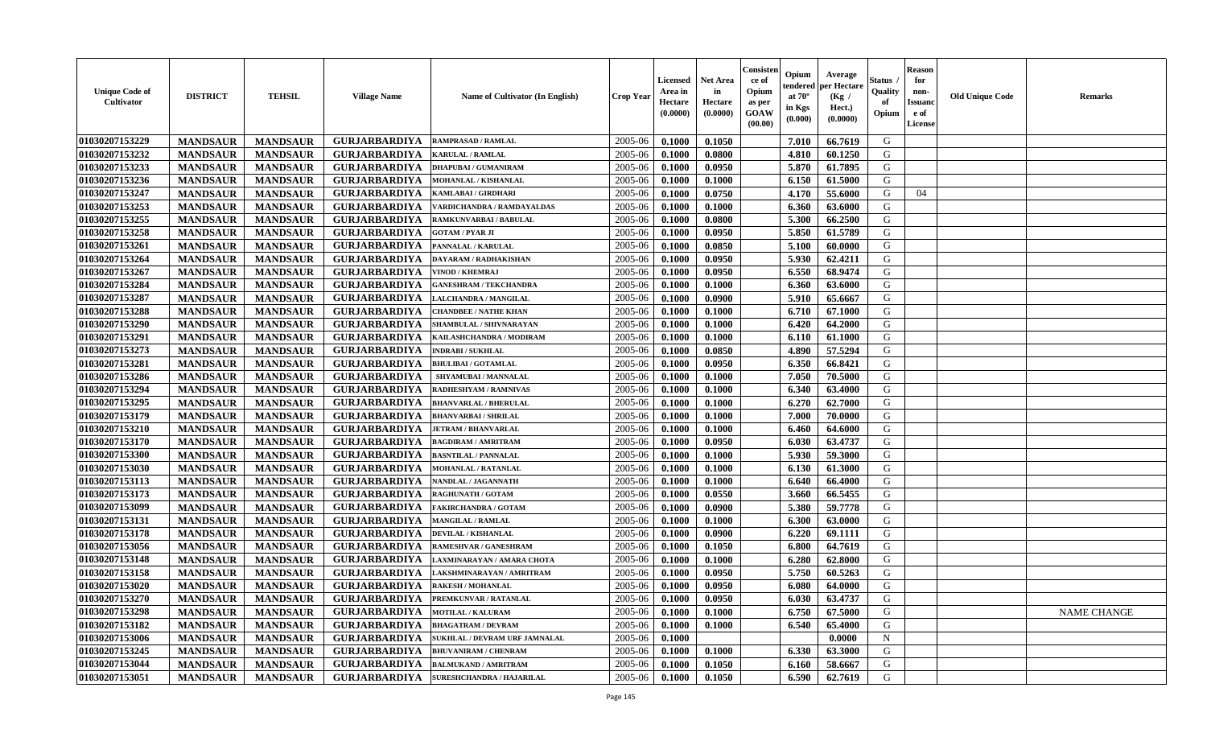| <b>Net Area</b><br>Status<br>for<br><b>Licensed</b><br>ce of<br>per Hectare<br>endered<br>Opium<br><b>Unique Code of</b><br>in<br>Quality<br>Area in<br>non-<br><b>DISTRICT</b><br><b>TEHSIL</b><br><b>Village Name</b><br><b>Name of Cultivator (In English)</b><br><b>Crop Year</b><br>at $70^\circ$<br>(Kg /<br><b>Cultivator</b><br>Hectare<br>of<br><b>Issuano</b><br>Hectare<br>as per<br>in Kgs<br>Hect.)<br>(0.0000)<br><b>GOAW</b><br>(0.0000)<br>Opium<br>e of<br>(0.0000)<br>$(\mathbf{0.000})$<br>(00.00)<br>License | <b>Old Unique Code</b><br><b>Remarks</b> |
|----------------------------------------------------------------------------------------------------------------------------------------------------------------------------------------------------------------------------------------------------------------------------------------------------------------------------------------------------------------------------------------------------------------------------------------------------------------------------------------------------------------------------------|------------------------------------------|
| 01030207153229<br>2005-06<br><b>MANDSAUR</b><br><b>MANDSAUR</b><br><b>GURJARBARDIYA</b><br>7.010<br>G<br><b>RAMPRASAD / RAMLAL</b><br>0.1000<br>0.1050<br>66.7619                                                                                                                                                                                                                                                                                                                                                                |                                          |
| 01030207153232<br><b>GURJARBARDIYA</b><br>2005-06<br>4.810<br>G<br><b>MANDSAUR</b><br><b>MANDSAUR</b><br>0.1000<br>0.0800<br>60.1250<br><b>KARULAL / RAMLAL</b>                                                                                                                                                                                                                                                                                                                                                                  |                                          |
| 01030207153233<br><b>MANDSAUR</b><br>5.870<br>G<br><b>MANDSAUR</b><br><b>GURJARBARDIYA</b><br>2005-06<br>0.1000<br>0.0950<br>61.7895<br><b>DHAPUBAI/GUMANIRAM</b>                                                                                                                                                                                                                                                                                                                                                                |                                          |
| 01030207153236<br><b>MANDSAUR</b><br><b>MANDSAUR</b><br><b>GURJARBARDIYA</b><br>2005-06<br>0.1000<br>0.1000<br>6.150<br>61.5000<br>G<br>MOHANLAL / KISHANLAL                                                                                                                                                                                                                                                                                                                                                                     |                                          |
| 01030207153247<br>0.0750<br><b>MANDSAUR</b><br><b>MANDSAUR</b><br><b>GURJARBARDIYA</b><br>2005-06<br>0.1000<br>4.170<br>55.6000<br>G<br>04<br>KAMLABAI / GIRDHARI                                                                                                                                                                                                                                                                                                                                                                |                                          |
| 01030207153253<br><b>MANDSAUR</b><br><b>MANDSAUR</b><br>6.360<br>G<br><b>GURJARBARDIYA</b><br>2005-06<br>0.1000<br>0.1000<br>63.6000<br>VARDICHANDRA / RAMDAYALDAS                                                                                                                                                                                                                                                                                                                                                               |                                          |
| 01030207153255<br><b>MANDSAUR</b><br><b>MANDSAUR</b><br><b>GURJARBARDIYA</b><br>2005-06<br>G<br>0.1000<br>0.0800<br>5.300<br>66.2500<br>RAMKUNVARBAI / BABULAL                                                                                                                                                                                                                                                                                                                                                                   |                                          |
| 01030207153258<br><b>GURJARBARDIYA</b><br>2005-06<br>5.850<br>G<br><b>MANDSAUR</b><br><b>MANDSAUR</b><br>0.1000<br>0.0950<br>61.5789<br><b>GOTAM / PYAR JI</b>                                                                                                                                                                                                                                                                                                                                                                   |                                          |
| 01030207153261<br>G<br><b>MANDSAUR</b><br><b>MANDSAUR</b><br><b>GURJARBARDIYA</b><br>2005-06<br>0.0850<br>5.100<br>PANNALAL / KARULAL<br>0.1000<br>60.0000                                                                                                                                                                                                                                                                                                                                                                       |                                          |
| G<br>01030207153264<br><b>GURJARBARDIYA</b><br>2005-06<br>5.930<br><b>MANDSAUR</b><br><b>MANDSAUR</b><br>0.0950<br>62.4211<br>DAYARAM / RADHAKISHAN<br>0.1000                                                                                                                                                                                                                                                                                                                                                                    |                                          |
| 6.550<br>G<br>01030207153267<br><b>MANDSAUR</b><br><b>MANDSAUR</b><br><b>GURJARBARDIYA</b><br>2005-06<br>0.1000<br>0.0950<br>68.9474<br>VINOD / KHEMRAJ                                                                                                                                                                                                                                                                                                                                                                          |                                          |
| 01030207153284<br><b>MANDSAUR</b><br><b>MANDSAUR</b><br>0.1000<br>G<br><b>GURJARBARDIYA</b><br>2005-06<br>0.1000<br>6.360<br>63.6000<br><b>GANESHRAM / TEKCHANDRA</b>                                                                                                                                                                                                                                                                                                                                                            |                                          |
| 01030207153287<br><b>MANDSAUR</b><br><b>MANDSAUR</b><br><b>GURJARBARDIYA</b><br>2005-06<br>0.0900<br>5.910<br>G<br>0.1000<br>65.6667<br>LALCHANDRA / MANGILAL                                                                                                                                                                                                                                                                                                                                                                    |                                          |
| 01030207153288<br><b>MANDSAUR</b><br>6.710<br>G<br><b>MANDSAUR</b><br><b>GURJARBARDIYA</b><br>2005-06<br>0.1000<br>0.1000<br>67.1000<br><b>CHANDBEE / NATHE KHAN</b>                                                                                                                                                                                                                                                                                                                                                             |                                          |
| 01030207153290<br><b>MANDSAUR</b><br><b>MANDSAUR</b><br><b>GURJARBARDIYA</b><br>2005-06<br>0.1000<br>0.1000<br>6.420<br>64.2000<br>G<br>SHAMBULAL / SHIVNARAYAN                                                                                                                                                                                                                                                                                                                                                                  |                                          |
| 01030207153291<br>G<br><b>MANDSAUR</b><br><b>MANDSAUR</b><br><b>GURJARBARDIYA</b><br>2005-06<br>0.1000<br>0.1000<br>6.110<br>61.1000<br>KAILASHCHANDRA / MODIRAM                                                                                                                                                                                                                                                                                                                                                                 |                                          |
| 01030207153273<br><b>GURJARBARDIYA</b><br>G<br><b>MANDSAUR</b><br><b>MANDSAUR</b><br>2005-06<br>57.5294<br><b>INDRABI / SUKHLAL</b><br>0.1000<br>0.0850<br>4.890                                                                                                                                                                                                                                                                                                                                                                 |                                          |
| 01030207153281<br>G<br><b>MANDSAUR</b><br><b>MANDSAUR</b><br><b>GURJARBARDIYA</b><br>2005-06<br>0.0950<br>6.350<br>66.8421<br><b>BHULIBAI/GOTAMLAL</b><br>0.1000                                                                                                                                                                                                                                                                                                                                                                 |                                          |
| 01030207153286<br><b>MANDSAUR</b><br>7.050<br><b>MANDSAUR</b><br><b>GURJARBARDIYA</b><br>2005-06<br>0.1000<br>0.1000<br>70.5000<br>G<br>SHYAMUBAI / MANNALAL                                                                                                                                                                                                                                                                                                                                                                     |                                          |
| 01030207153294<br><b>MANDSAUR</b><br><b>MANDSAUR</b><br><b>GURJARBARDIYA</b><br>2005-06<br>6.340<br>G<br>RADHESHYAM / RAMNIVAS<br>0.1000<br>0.1000<br>63.4000                                                                                                                                                                                                                                                                                                                                                                    |                                          |
| 01030207153295<br>G<br><b>MANDSAUR</b><br><b>MANDSAUR</b><br><b>GURJARBARDIYA</b><br>2005-06<br>0.1000<br>6.270<br>62.7000<br><b>BHANVARLAL / BHERULAL</b><br>0.1000                                                                                                                                                                                                                                                                                                                                                             |                                          |
| G<br>01030207153179<br><b>MANDSAUR</b><br><b>MANDSAUR</b><br><b>GURJARBARDIYA</b><br>2005-06<br>0.1000<br>0.1000<br>7.000<br>70.0000<br><b>BHANVARBAI/SHRILAL</b>                                                                                                                                                                                                                                                                                                                                                                |                                          |
| 01030207153210<br><b>MANDSAUR</b><br><b>MANDSAUR</b><br><b>GURJARBARDIYA</b><br>0.1000<br>G<br><b>JETRAM / BHANVARLAL</b><br>2005-06<br>0.1000<br>6.460<br>64.6000                                                                                                                                                                                                                                                                                                                                                               |                                          |
| 01030207153170<br>G<br><b>MANDSAUR</b><br><b>GURJARBARDIYA</b><br>2005-06<br><b>MANDSAUR</b><br>0.1000<br>0.0950<br>6.030<br>63.4737<br><b>BAGDIRAM / AMRITRAM</b>                                                                                                                                                                                                                                                                                                                                                               |                                          |
| 01030207153300<br>G<br><b>MANDSAUR</b><br><b>MANDSAUR</b><br><b>GURJARBARDIYA</b><br>2005-06<br>5.930<br><b>BASNTILAL / PANNALAL</b><br>0.1000<br>0.1000<br>59.3000                                                                                                                                                                                                                                                                                                                                                              |                                          |
| 01030207153030<br><b>MANDSAUR</b><br><b>MANDSAUR</b><br><b>GURJARBARDIYA</b><br>2005-06<br>G<br><b>MOHANLAL / RATANLAL</b><br>0.1000<br>0.1000<br>6.130<br>61.3000                                                                                                                                                                                                                                                                                                                                                               |                                          |
| G<br>01030207153113<br><b>MANDSAUR</b><br><b>MANDSAUR</b><br>2005-06<br>0.1000<br>6.640<br>66.4000<br><b>GURJARBARDIYA</b><br>NANDLAL / JAGANNATH<br>0.1000                                                                                                                                                                                                                                                                                                                                                                      |                                          |
| G<br>01030207153173<br><b>MANDSAUR</b><br><b>MANDSAUR</b><br>0.0550<br>66.5455<br><b>GURJARBARDIYA</b><br>2005-06<br>0.1000<br>3.660<br><b>RAGHUNATH / GOTAM</b>                                                                                                                                                                                                                                                                                                                                                                 |                                          |
| 01030207153099<br><b>MANDSAUR</b><br><b>MANDSAUR</b><br>5.380<br>59.7778<br>G<br><b>GURJARBARDIYA</b><br>2005-06<br>0.1000<br>0.0900<br><b>FAKIRCHANDRA / GOTAM</b>                                                                                                                                                                                                                                                                                                                                                              |                                          |
| 01030207153131<br><b>MANDSAUR</b><br><b>MANDSAUR</b><br><b>GURJARBARDIYA</b><br>2005-06<br>0.1000<br>0.1000<br>6.300<br>63.0000<br>G<br>MANGILAL / RAMLAL                                                                                                                                                                                                                                                                                                                                                                        |                                          |
| 01030207153178<br><b>MANDSAUR</b><br><b>MANDSAUR</b><br><b>GURJARBARDIYA</b><br>6.220<br>G<br>DEVILAL / KISHANLAL<br>2005-06<br>0.1000<br>0.0900<br>69.1111                                                                                                                                                                                                                                                                                                                                                                      |                                          |
| 01030207153056<br><b>GURJARBARDIYA</b><br>2005-06<br>G<br><b>MANDSAUR</b><br><b>MANDSAUR</b><br>RAMESHVAR / GANESHRAM<br>0.1000<br>0.1050<br>6.800<br>64.7619                                                                                                                                                                                                                                                                                                                                                                    |                                          |
| 01030207153148<br><b>GURJARBARDIYA</b><br>2005-06<br>G<br><b>MANDSAUR</b><br><b>MANDSAUR</b><br>0.1000<br>6.280<br>62.8000<br>0.1000<br>AXMINARAYAN / AMARA CHOTA                                                                                                                                                                                                                                                                                                                                                                |                                          |
| 01030207153158<br>G<br><b>MANDSAUR</b><br><b>MANDSAUR</b><br><b>GURJARBARDIYA</b><br>2005-06<br>0.0950<br>5.750<br>60.5263<br>0.1000<br>LAKSHMINARAYAN / AMRITRAM                                                                                                                                                                                                                                                                                                                                                                |                                          |
| G<br>01030207153020<br><b>GURJARBARDIYA</b><br>2005-06<br>0.1000<br>0.0950<br>6.080<br>64.0000<br><b>MANDSAUR</b><br><b>MANDSAUR</b><br><b>RAKESH / MOHANLAL</b>                                                                                                                                                                                                                                                                                                                                                                 |                                          |
| 01030207153270<br><b>MANDSAUR</b><br><b>MANDSAUR</b><br><b>GURJARBARDIYA</b><br>PREMKUNVAR / RATANLAL<br>$2005 - 06$<br>0.1000<br>0.0950<br>6.030<br>63.4737<br>G                                                                                                                                                                                                                                                                                                                                                                |                                          |
| 01030207153298<br>6.750<br>G<br><b>MANDSAUR</b><br><b>MANDSAUR</b><br><b>GURJARBARDIYA</b><br><b>MOTILAL / KALURAM</b><br>2005-06<br>0.1000<br>0.1000<br>67.5000                                                                                                                                                                                                                                                                                                                                                                 | NAME CHANGE                              |
| 01030207153182<br><b>MANDSAUR</b><br><b>MANDSAUR</b><br><b>GURJARBARDIYA</b><br>2005-06<br>0.1000<br>6.540<br>65.4000<br>G<br><b>BHAGATRAM / DEVRAM</b><br>0.1000                                                                                                                                                                                                                                                                                                                                                                |                                          |
| 01030207153006<br><b>MANDSAUR</b><br><b>GURJARBARDIYA</b><br>$\mathbf N$<br><b>MANDSAUR</b><br>SUKHLAL / DEVRAM URF JAMNALAL<br>2005-06<br>0.1000<br>0.0000                                                                                                                                                                                                                                                                                                                                                                      |                                          |
| 01030207153245<br>G<br><b>MANDSAUR</b><br><b>MANDSAUR</b><br><b>GURJARBARDIYA</b><br>2005-06<br>0.1000<br>0.1000<br>6.330<br>63.3000<br><b>BHUVANIRAM / CHENRAM</b>                                                                                                                                                                                                                                                                                                                                                              |                                          |
| 01030207153044<br><b>GURJARBARDIYA</b><br>G<br>2005-06<br><b>MANDSAUR</b><br><b>MANDSAUR</b><br><b>BALMUKAND / AMRITRAM</b><br>0.1000<br>0.1050<br>58.6667<br>6.160                                                                                                                                                                                                                                                                                                                                                              |                                          |
| 01030207153051<br><b>GURJARBARDIYA</b><br>G<br><b>MANDSAUR</b><br><b>MANDSAUR</b><br>2005-06<br>0.1050<br>6.590<br>62.7619<br><b>SURESHCHANDRA / HAJARILAL</b><br>0.1000                                                                                                                                                                                                                                                                                                                                                         |                                          |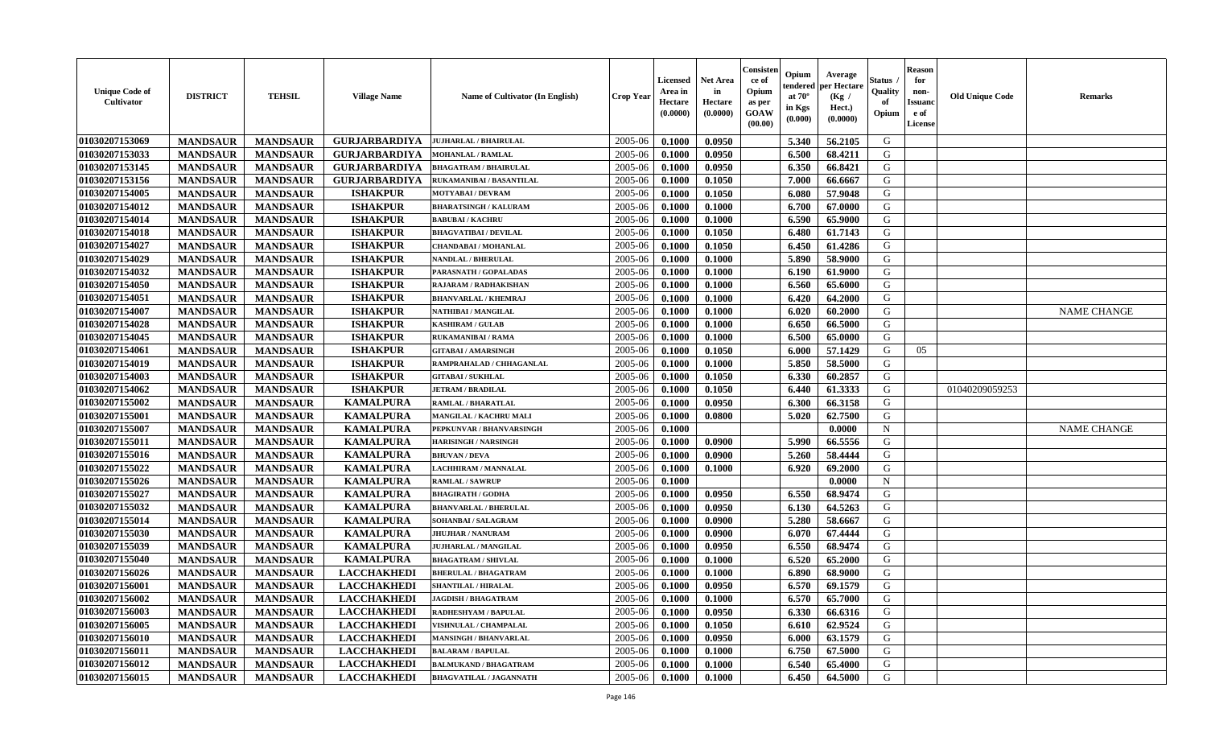| <b>GURJARBARDIYA</b><br>2005-06<br>G<br><b>MANDSAUR</b><br>0.1000<br>0.0950<br>5.340<br>56.2105<br><b>MANDSAUR</b><br><b>JUJHARLAL / BHAIRULAL</b><br><b>GURJARBARDIYA</b><br><b>MANDSAUR</b><br><b>MANDSAUR</b><br>2005-06<br>6.500<br>68.4211<br>G<br>0.1000<br>0.0950<br><b>MOHANLAL / RAMLAL</b><br><b>MANDSAUR</b><br><b>MANDSAUR</b><br><b>GURJARBARDIYA</b><br>0.0950<br>6.350<br>66.8421<br>G<br><b>BHAGATRAM / BHAIRULAL</b><br>2005-06<br>0.1000<br>G<br><b>MANDSAUR</b><br><b>MANDSAUR</b><br><b>GURJARBARDIYA</b><br>2005-06<br>0.1050<br>7.000<br>66.6667<br>RUKAMANIBAI / BASANTILAL<br>0.1000<br>G<br><b>ISHAKPUR</b><br><b>MANDSAUR</b><br><b>MANDSAUR</b><br>2005-06<br>0.1000<br>0.1050<br>6.080<br>57.9048<br>MOTYABAI / DEVRAM<br>G<br><b>MANDSAUR</b><br><b>MANDSAUR</b><br><b>ISHAKPUR</b><br>0.1000<br>67.0000<br><b>BHARATSINGH / KALURAM</b><br>2005-06<br>0.1000<br>6.700<br><b>MANDSAUR</b><br><b>MANDSAUR</b><br><b>ISHAKPUR</b><br>2005-06<br>0.1000<br>6.590<br>65.9000<br>G<br>0.1000<br><b>BABUBAI/KACHRU</b><br><b>ISHAKPUR</b><br>G<br><b>MANDSAUR</b><br><b>MANDSAUR</b><br>2005-06<br>6.480<br>61.7143<br><b>BHAGVATIBAI/DEVILAL</b><br>0.1000<br>0.1050<br><b>ISHAKPUR</b><br>G<br>01030207154027<br><b>MANDSAUR</b><br><b>MANDSAUR</b><br>2005-06<br>0.1050<br>6.450<br>61.4286<br><b>CHANDABAI / MOHANLAL</b><br>0.1000<br>G<br><b>ISHAKPUR</b><br>2005-06<br>5.890<br><b>MANDSAUR</b><br><b>MANDSAUR</b><br>0.1000<br>0.1000<br>58.9000<br>NANDLAL / BHERULAL<br><b>ISHAKPUR</b><br><b>MANDSAUR</b><br><b>MANDSAUR</b><br>G<br>2005-06<br>0.1000<br>0.1000<br>6.190<br>61.9000<br>PARASNATH / GOPALADAS<br>G<br><b>MANDSAUR</b><br><b>MANDSAUR</b><br><b>ISHAKPUR</b><br>0.1000<br>6.560<br>65.6000<br>2005-06<br>0.1000<br>RAJARAM / RADHAKISHAN<br><b>MANDSAUR</b><br><b>MANDSAUR</b><br><b>ISHAKPUR</b><br>2005-06<br>0.1000<br>6.420<br>64.2000<br>G<br><b>BHANVARLAL / KHEMRAJ</b><br>0.1000<br><b>MANDSAUR</b><br><b>MANDSAUR</b><br><b>ISHAKPUR</b><br>0.1000<br>6.020<br>G<br>2005-06<br>0.1000<br>60.2000<br><b>NAME CHANGE</b><br>NATHIBAI / MANGILAL<br><b>MANDSAUR</b><br><b>ISHAKPUR</b><br>G<br><b>MANDSAUR</b><br>2005-06<br>0.1000<br>0.1000<br>6.650<br>66.5000<br><b>KASHIRAM / GULAB</b><br><b>ISHAKPUR</b><br>6.500<br>G<br><b>MANDSAUR</b><br><b>MANDSAUR</b><br>2005-06<br>0.1000<br>0.1000<br>65.0000<br>RUKAMANIBAI / RAMA<br><b>ISHAKPUR</b><br>01030207154061<br>G<br><b>MANDSAUR</b><br><b>MANDSAUR</b><br>2005-06<br>0.1050<br>6.000<br>57.1429<br>05<br>0.1000<br><b>GITABAI/AMARSINGH</b><br><b>ISHAKPUR</b><br>G<br><b>MANDSAUR</b><br><b>MANDSAUR</b><br>2005-06<br>5.850<br>58.5000<br>0.1000<br>0.1000<br>RAMPRAHALAD / CHHAGANLAL<br><b>MANDSAUR</b><br><b>MANDSAUR</b><br><b>ISHAKPUR</b><br>0.1050<br>6.330<br>60.2857<br>G<br><b>GITABAI/SUKHLAL</b><br>2005-06<br>0.1000<br>01030207154062<br><b>MANDSAUR</b><br><b>MANDSAUR</b><br><b>ISHAKPUR</b><br>2005-06<br>0.1050<br>6.440<br>61.3333<br>G<br><b>JETRAM / BRADILAL</b><br>0.1000<br>01040209059253<br>01030207155002<br>2005-06<br>0.0950<br>6.300<br>66.3158<br>G<br><b>MANDSAUR</b><br><b>MANDSAUR</b><br><b>KAMALPURA</b><br>0.1000<br>RAMLAL / BHARATLAL<br>G<br>01030207155001<br><b>MANDSAUR</b><br><b>MANDSAUR</b><br><b>KAMALPURA</b><br>62.7500<br>2005-06<br>0.1000<br>0.0800<br>5.020<br>MANGILAL / KACHRU MALI<br>01030207155007<br><b>MANDSAUR</b><br><b>MANDSAUR</b><br><b>KAMALPURA</b><br>0.0000<br>N<br><b>NAME CHANGE</b><br>PEPKUNVAR / BHANVARSINGH<br>2005-06<br>0.1000<br>01030207155011<br><b>KAMALPURA</b><br>G<br><b>MANDSAUR</b><br><b>MANDSAUR</b><br>2005-06<br>0.0900<br>5.990<br>66.5556<br>0.1000<br><b>HARISINGH / NARSINGH</b><br>01030207155016<br><b>KAMALPURA</b><br>G<br><b>MANDSAUR</b><br><b>MANDSAUR</b><br>2005-06<br>5.260<br>58.4444<br>0.1000<br>0.0900<br><b>BHUVAN / DEVA</b><br>01030207155022<br>G<br><b>MANDSAUR</b><br><b>KAMALPURA</b><br>2005-06<br>69.2000<br><b>MANDSAUR</b><br>LACHHIRAM / MANNALAL<br>0.1000<br>0.1000<br>6.920<br><b>KAMALPURA</b><br>01030207155026<br><b>MANDSAUR</b><br><b>MANDSAUR</b><br>2005-06<br>0.1000<br>0.0000<br>N<br><b>RAMLAL / SAWRUP</b><br>6.550<br>G<br>01030207155027<br><b>MANDSAUR</b><br><b>MANDSAUR</b><br><b>KAMALPURA</b><br>0.0950<br>2005-06<br>0.1000<br>68.9474<br><b>BHAGIRATH / GODHA</b><br>G<br>01030207155032<br><b>MANDSAUR</b><br><b>MANDSAUR</b><br><b>KAMALPURA</b><br>2005-06<br>64.5263<br><b>BHANVARLAL / BHERULAL</b><br>0.1000<br>0.0950<br>6.130<br>01030207155014<br><b>MANDSAUR</b><br><b>MANDSAUR</b><br><b>KAMALPURA</b><br>5.280<br>G<br>2005-06<br>0.1000<br>0.0900<br>58.6667<br>SOHANBAI / SALAGRAM<br>01030207155030<br><b>MANDSAUR</b><br><b>MANDSAUR</b><br><b>KAMALPURA</b><br>2005-06<br>67.4444<br>G<br><b>JHUJHAR / NANURAM</b><br>0.1000<br>0.0900<br>6.070<br>01030207155039<br>G<br><b>KAMALPURA</b><br>2005-06<br>6.550<br><b>MANDSAUR</b><br><b>MANDSAUR</b><br>0.1000<br>0.0950<br>68.9474<br>JUJHARLAL / MANGILAL<br>G<br>01030207155040<br><b>KAMALPURA</b><br>2005-06<br>6.520<br><b>MANDSAUR</b><br><b>MANDSAUR</b><br>0.1000<br>0.1000<br>65.2000<br><b>BHAGATRAM / SHIVLAL</b><br>G<br>01030207156026<br><b>MANDSAUR</b><br><b>LACCHAKHEDI</b><br>2005-06<br>0.1000<br>68.9000<br><b>MANDSAUR</b><br><b>BHERULAL / BHAGATRAM</b><br>0.1000<br>6.890<br>01030207156001<br>0.0950<br>6.570<br>69.1579<br>G<br><b>MANDSAUR</b><br><b>MANDSAUR</b><br><b>LACCHAKHEDI</b><br>2005-06<br>0.1000<br><b>SHANTILAL / HIRALAL</b><br>01030207156002<br><b>LACCHAKHEDI</b><br>0.1000<br>$6.570$  <br>65.7000<br>G<br><b>MANDSAUR</b><br>MANDSAUR<br><b>JAGDISH / BHAGATRAM</b><br>$2005 - 06$<br>0.1000<br>G<br>01030207156003<br><b>MANDSAUR</b><br><b>MANDSAUR</b><br><b>LACCHAKHEDI</b><br>2005-06<br>0.1000<br>0.0950<br>6.330<br>66.6316<br><b>RADHESHYAM / BAPULAL</b><br>0.1050<br>G<br>01030207156005<br><b>MANDSAUR</b><br><b>MANDSAUR</b><br><b>LACCHAKHEDI</b><br>2005-06<br>0.1000<br>6.610<br>62.9524<br>VISHNULAL / CHAMPALAL<br>01030207156010<br><b>MANDSAUR</b><br><b>MANDSAUR</b><br><b>LACCHAKHEDI</b><br>0.0950<br>G<br>2005-06<br>0.1000<br>6.000<br>63.1579<br><b>MANSINGH / BHANVARLAL</b><br>01030207156011<br><b>LACCHAKHEDI</b><br>G<br><b>MANDSAUR</b><br><b>MANDSAUR</b><br>2005-06<br>0.1000<br>6.750<br>67.5000<br><b>BALARAM / BAPULAL</b><br>0.1000<br>01030207156012<br><b>LACCHAKHEDI</b><br>G<br><b>MANDSAUR</b><br>2005-06<br><b>MANDSAUR</b><br><b>BALMUKAND / BHAGATRAM</b><br>0.1000<br>0.1000<br>6.540<br>65.4000<br>01030207156015<br><b>LACCHAKHEDI</b><br>G<br><b>MANDSAUR</b><br><b>MANDSAUR</b><br>2005-06<br>0.1000<br>6.450<br>64.5000<br><b>BHAGVATILAL / JAGANNATH</b><br>0.1000 | <b>Unique Code of</b><br>Cultivator | <b>DISTRICT</b> | <b>TEHSIL</b> | <b>Village Name</b> | Name of Cultivator (In English) | <b>Crop Year</b> | <b>Licensed</b><br>Area in<br>Hectare<br>(0.0000) | <b>Net Area</b><br>in<br>Hectare<br>(0.0000) | Consister<br>ce of<br>Opium<br>as per<br><b>GOAW</b><br>(00.00) | Opium<br>endered<br>at $70^{\circ}$<br>in Kgs<br>$(\mathbf{0.000})$ | Average<br>per Hectare<br>(Kg /<br>Hect.)<br>(0.0000) | Status<br>Quality<br>of<br>Opium | <b>Reason</b><br>for<br>non-<br><b>Issuand</b><br>e of<br>License | <b>Old Unique Code</b> | <b>Remarks</b> |
|--------------------------------------------------------------------------------------------------------------------------------------------------------------------------------------------------------------------------------------------------------------------------------------------------------------------------------------------------------------------------------------------------------------------------------------------------------------------------------------------------------------------------------------------------------------------------------------------------------------------------------------------------------------------------------------------------------------------------------------------------------------------------------------------------------------------------------------------------------------------------------------------------------------------------------------------------------------------------------------------------------------------------------------------------------------------------------------------------------------------------------------------------------------------------------------------------------------------------------------------------------------------------------------------------------------------------------------------------------------------------------------------------------------------------------------------------------------------------------------------------------------------------------------------------------------------------------------------------------------------------------------------------------------------------------------------------------------------------------------------------------------------------------------------------------------------------------------------------------------------------------------------------------------------------------------------------------------------------------------------------------------------------------------------------------------------------------------------------------------------------------------------------------------------------------------------------------------------------------------------------------------------------------------------------------------------------------------------------------------------------------------------------------------------------------------------------------------------------------------------------------------------------------------------------------------------------------------------------------------------------------------------------------------------------------------------------------------------------------------------------------------------------------------------------------------------------------------------------------------------------------------------------------------------------------------------------------------------------------------------------------------------------------------------------------------------------------------------------------------------------------------------------------------------------------------------------------------------------------------------------------------------------------------------------------------------------------------------------------------------------------------------------------------------------------------------------------------------------------------------------------------------------------------------------------------------------------------------------------------------------------------------------------------------------------------------------------------------------------------------------------------------------------------------------------------------------------------------------------------------------------------------------------------------------------------------------------------------------------------------------------------------------------------------------------------------------------------------------------------------------------------------------------------------------------------------------------------------------------------------------------------------------------------------------------------------------------------------------------------------------------------------------------------------------------------------------------------------------------------------------------------------------------------------------------------------------------------------------------------------------------------------------------------------------------------------------------------------------------------------------------------------------------------------------------------------------------------------------------------------------------------------------------------------------------------------------------------------------------------------------------------------------------------------------------------------------------------------------------------------------------------------------------------------------------------------------------------------------------------------------------------------------------------------------------------------------------------------------------------------------------------------------------------------------------------------------------------------------------------------------------------------------------------------------------------------------------------------------------------------------------------------------------------------------------------------------------------------------------------------------------------------------------------------------------------------------------------------------------------------------------------------------------------------------------------------------------------------------------------------------------------------------------------------------------------------------------------------------------------------------------------------------------------------------------------------------------------------------------------------------------------------------------------------------------------------------------------------------------------------------------------------------------------------------------------------------------------------------------------------------------------------------------------------------------------------------------------------------------------------------------------------------------------------------------------------------------------|-------------------------------------|-----------------|---------------|---------------------|---------------------------------|------------------|---------------------------------------------------|----------------------------------------------|-----------------------------------------------------------------|---------------------------------------------------------------------|-------------------------------------------------------|----------------------------------|-------------------------------------------------------------------|------------------------|----------------|
|                                                                                                                                                                                                                                                                                                                                                                                                                                                                                                                                                                                                                                                                                                                                                                                                                                                                                                                                                                                                                                                                                                                                                                                                                                                                                                                                                                                                                                                                                                                                                                                                                                                                                                                                                                                                                                                                                                                                                                                                                                                                                                                                                                                                                                                                                                                                                                                                                                                                                                                                                                                                                                                                                                                                                                                                                                                                                                                                                                                                                                                                                                                                                                                                                                                                                                                                                                                                                                                                                                                                                                                                                                                                                                                                                                                                                                                                                                                                                                                                                                                                                                                                                                                                                                                                                                                                                                                                                                                                                                                                                                                                                                                                                                                                                                                                                                                                                                                                                                                                                                                                                                                                                                                                                                                                                                                                                                                                                                                                                                                                                                                                                                                                                                                                                                                                                                                                                                                                                                                                                                                                                                                                                                                                                                                                                                                                                                                                                                                                                                                                                                                                                                                                                                              | 01030207153069                      |                 |               |                     |                                 |                  |                                                   |                                              |                                                                 |                                                                     |                                                       |                                  |                                                                   |                        |                |
|                                                                                                                                                                                                                                                                                                                                                                                                                                                                                                                                                                                                                                                                                                                                                                                                                                                                                                                                                                                                                                                                                                                                                                                                                                                                                                                                                                                                                                                                                                                                                                                                                                                                                                                                                                                                                                                                                                                                                                                                                                                                                                                                                                                                                                                                                                                                                                                                                                                                                                                                                                                                                                                                                                                                                                                                                                                                                                                                                                                                                                                                                                                                                                                                                                                                                                                                                                                                                                                                                                                                                                                                                                                                                                                                                                                                                                                                                                                                                                                                                                                                                                                                                                                                                                                                                                                                                                                                                                                                                                                                                                                                                                                                                                                                                                                                                                                                                                                                                                                                                                                                                                                                                                                                                                                                                                                                                                                                                                                                                                                                                                                                                                                                                                                                                                                                                                                                                                                                                                                                                                                                                                                                                                                                                                                                                                                                                                                                                                                                                                                                                                                                                                                                                                              | 01030207153033                      |                 |               |                     |                                 |                  |                                                   |                                              |                                                                 |                                                                     |                                                       |                                  |                                                                   |                        |                |
|                                                                                                                                                                                                                                                                                                                                                                                                                                                                                                                                                                                                                                                                                                                                                                                                                                                                                                                                                                                                                                                                                                                                                                                                                                                                                                                                                                                                                                                                                                                                                                                                                                                                                                                                                                                                                                                                                                                                                                                                                                                                                                                                                                                                                                                                                                                                                                                                                                                                                                                                                                                                                                                                                                                                                                                                                                                                                                                                                                                                                                                                                                                                                                                                                                                                                                                                                                                                                                                                                                                                                                                                                                                                                                                                                                                                                                                                                                                                                                                                                                                                                                                                                                                                                                                                                                                                                                                                                                                                                                                                                                                                                                                                                                                                                                                                                                                                                                                                                                                                                                                                                                                                                                                                                                                                                                                                                                                                                                                                                                                                                                                                                                                                                                                                                                                                                                                                                                                                                                                                                                                                                                                                                                                                                                                                                                                                                                                                                                                                                                                                                                                                                                                                                                              | 01030207153145                      |                 |               |                     |                                 |                  |                                                   |                                              |                                                                 |                                                                     |                                                       |                                  |                                                                   |                        |                |
|                                                                                                                                                                                                                                                                                                                                                                                                                                                                                                                                                                                                                                                                                                                                                                                                                                                                                                                                                                                                                                                                                                                                                                                                                                                                                                                                                                                                                                                                                                                                                                                                                                                                                                                                                                                                                                                                                                                                                                                                                                                                                                                                                                                                                                                                                                                                                                                                                                                                                                                                                                                                                                                                                                                                                                                                                                                                                                                                                                                                                                                                                                                                                                                                                                                                                                                                                                                                                                                                                                                                                                                                                                                                                                                                                                                                                                                                                                                                                                                                                                                                                                                                                                                                                                                                                                                                                                                                                                                                                                                                                                                                                                                                                                                                                                                                                                                                                                                                                                                                                                                                                                                                                                                                                                                                                                                                                                                                                                                                                                                                                                                                                                                                                                                                                                                                                                                                                                                                                                                                                                                                                                                                                                                                                                                                                                                                                                                                                                                                                                                                                                                                                                                                                                              | 01030207153156                      |                 |               |                     |                                 |                  |                                                   |                                              |                                                                 |                                                                     |                                                       |                                  |                                                                   |                        |                |
|                                                                                                                                                                                                                                                                                                                                                                                                                                                                                                                                                                                                                                                                                                                                                                                                                                                                                                                                                                                                                                                                                                                                                                                                                                                                                                                                                                                                                                                                                                                                                                                                                                                                                                                                                                                                                                                                                                                                                                                                                                                                                                                                                                                                                                                                                                                                                                                                                                                                                                                                                                                                                                                                                                                                                                                                                                                                                                                                                                                                                                                                                                                                                                                                                                                                                                                                                                                                                                                                                                                                                                                                                                                                                                                                                                                                                                                                                                                                                                                                                                                                                                                                                                                                                                                                                                                                                                                                                                                                                                                                                                                                                                                                                                                                                                                                                                                                                                                                                                                                                                                                                                                                                                                                                                                                                                                                                                                                                                                                                                                                                                                                                                                                                                                                                                                                                                                                                                                                                                                                                                                                                                                                                                                                                                                                                                                                                                                                                                                                                                                                                                                                                                                                                                              | 01030207154005                      |                 |               |                     |                                 |                  |                                                   |                                              |                                                                 |                                                                     |                                                       |                                  |                                                                   |                        |                |
|                                                                                                                                                                                                                                                                                                                                                                                                                                                                                                                                                                                                                                                                                                                                                                                                                                                                                                                                                                                                                                                                                                                                                                                                                                                                                                                                                                                                                                                                                                                                                                                                                                                                                                                                                                                                                                                                                                                                                                                                                                                                                                                                                                                                                                                                                                                                                                                                                                                                                                                                                                                                                                                                                                                                                                                                                                                                                                                                                                                                                                                                                                                                                                                                                                                                                                                                                                                                                                                                                                                                                                                                                                                                                                                                                                                                                                                                                                                                                                                                                                                                                                                                                                                                                                                                                                                                                                                                                                                                                                                                                                                                                                                                                                                                                                                                                                                                                                                                                                                                                                                                                                                                                                                                                                                                                                                                                                                                                                                                                                                                                                                                                                                                                                                                                                                                                                                                                                                                                                                                                                                                                                                                                                                                                                                                                                                                                                                                                                                                                                                                                                                                                                                                                                              | 01030207154012                      |                 |               |                     |                                 |                  |                                                   |                                              |                                                                 |                                                                     |                                                       |                                  |                                                                   |                        |                |
|                                                                                                                                                                                                                                                                                                                                                                                                                                                                                                                                                                                                                                                                                                                                                                                                                                                                                                                                                                                                                                                                                                                                                                                                                                                                                                                                                                                                                                                                                                                                                                                                                                                                                                                                                                                                                                                                                                                                                                                                                                                                                                                                                                                                                                                                                                                                                                                                                                                                                                                                                                                                                                                                                                                                                                                                                                                                                                                                                                                                                                                                                                                                                                                                                                                                                                                                                                                                                                                                                                                                                                                                                                                                                                                                                                                                                                                                                                                                                                                                                                                                                                                                                                                                                                                                                                                                                                                                                                                                                                                                                                                                                                                                                                                                                                                                                                                                                                                                                                                                                                                                                                                                                                                                                                                                                                                                                                                                                                                                                                                                                                                                                                                                                                                                                                                                                                                                                                                                                                                                                                                                                                                                                                                                                                                                                                                                                                                                                                                                                                                                                                                                                                                                                                              | 01030207154014                      |                 |               |                     |                                 |                  |                                                   |                                              |                                                                 |                                                                     |                                                       |                                  |                                                                   |                        |                |
|                                                                                                                                                                                                                                                                                                                                                                                                                                                                                                                                                                                                                                                                                                                                                                                                                                                                                                                                                                                                                                                                                                                                                                                                                                                                                                                                                                                                                                                                                                                                                                                                                                                                                                                                                                                                                                                                                                                                                                                                                                                                                                                                                                                                                                                                                                                                                                                                                                                                                                                                                                                                                                                                                                                                                                                                                                                                                                                                                                                                                                                                                                                                                                                                                                                                                                                                                                                                                                                                                                                                                                                                                                                                                                                                                                                                                                                                                                                                                                                                                                                                                                                                                                                                                                                                                                                                                                                                                                                                                                                                                                                                                                                                                                                                                                                                                                                                                                                                                                                                                                                                                                                                                                                                                                                                                                                                                                                                                                                                                                                                                                                                                                                                                                                                                                                                                                                                                                                                                                                                                                                                                                                                                                                                                                                                                                                                                                                                                                                                                                                                                                                                                                                                                                              | 01030207154018                      |                 |               |                     |                                 |                  |                                                   |                                              |                                                                 |                                                                     |                                                       |                                  |                                                                   |                        |                |
|                                                                                                                                                                                                                                                                                                                                                                                                                                                                                                                                                                                                                                                                                                                                                                                                                                                                                                                                                                                                                                                                                                                                                                                                                                                                                                                                                                                                                                                                                                                                                                                                                                                                                                                                                                                                                                                                                                                                                                                                                                                                                                                                                                                                                                                                                                                                                                                                                                                                                                                                                                                                                                                                                                                                                                                                                                                                                                                                                                                                                                                                                                                                                                                                                                                                                                                                                                                                                                                                                                                                                                                                                                                                                                                                                                                                                                                                                                                                                                                                                                                                                                                                                                                                                                                                                                                                                                                                                                                                                                                                                                                                                                                                                                                                                                                                                                                                                                                                                                                                                                                                                                                                                                                                                                                                                                                                                                                                                                                                                                                                                                                                                                                                                                                                                                                                                                                                                                                                                                                                                                                                                                                                                                                                                                                                                                                                                                                                                                                                                                                                                                                                                                                                                                              |                                     |                 |               |                     |                                 |                  |                                                   |                                              |                                                                 |                                                                     |                                                       |                                  |                                                                   |                        |                |
|                                                                                                                                                                                                                                                                                                                                                                                                                                                                                                                                                                                                                                                                                                                                                                                                                                                                                                                                                                                                                                                                                                                                                                                                                                                                                                                                                                                                                                                                                                                                                                                                                                                                                                                                                                                                                                                                                                                                                                                                                                                                                                                                                                                                                                                                                                                                                                                                                                                                                                                                                                                                                                                                                                                                                                                                                                                                                                                                                                                                                                                                                                                                                                                                                                                                                                                                                                                                                                                                                                                                                                                                                                                                                                                                                                                                                                                                                                                                                                                                                                                                                                                                                                                                                                                                                                                                                                                                                                                                                                                                                                                                                                                                                                                                                                                                                                                                                                                                                                                                                                                                                                                                                                                                                                                                                                                                                                                                                                                                                                                                                                                                                                                                                                                                                                                                                                                                                                                                                                                                                                                                                                                                                                                                                                                                                                                                                                                                                                                                                                                                                                                                                                                                                                              | 01030207154029                      |                 |               |                     |                                 |                  |                                                   |                                              |                                                                 |                                                                     |                                                       |                                  |                                                                   |                        |                |
|                                                                                                                                                                                                                                                                                                                                                                                                                                                                                                                                                                                                                                                                                                                                                                                                                                                                                                                                                                                                                                                                                                                                                                                                                                                                                                                                                                                                                                                                                                                                                                                                                                                                                                                                                                                                                                                                                                                                                                                                                                                                                                                                                                                                                                                                                                                                                                                                                                                                                                                                                                                                                                                                                                                                                                                                                                                                                                                                                                                                                                                                                                                                                                                                                                                                                                                                                                                                                                                                                                                                                                                                                                                                                                                                                                                                                                                                                                                                                                                                                                                                                                                                                                                                                                                                                                                                                                                                                                                                                                                                                                                                                                                                                                                                                                                                                                                                                                                                                                                                                                                                                                                                                                                                                                                                                                                                                                                                                                                                                                                                                                                                                                                                                                                                                                                                                                                                                                                                                                                                                                                                                                                                                                                                                                                                                                                                                                                                                                                                                                                                                                                                                                                                                                              | 01030207154032                      |                 |               |                     |                                 |                  |                                                   |                                              |                                                                 |                                                                     |                                                       |                                  |                                                                   |                        |                |
|                                                                                                                                                                                                                                                                                                                                                                                                                                                                                                                                                                                                                                                                                                                                                                                                                                                                                                                                                                                                                                                                                                                                                                                                                                                                                                                                                                                                                                                                                                                                                                                                                                                                                                                                                                                                                                                                                                                                                                                                                                                                                                                                                                                                                                                                                                                                                                                                                                                                                                                                                                                                                                                                                                                                                                                                                                                                                                                                                                                                                                                                                                                                                                                                                                                                                                                                                                                                                                                                                                                                                                                                                                                                                                                                                                                                                                                                                                                                                                                                                                                                                                                                                                                                                                                                                                                                                                                                                                                                                                                                                                                                                                                                                                                                                                                                                                                                                                                                                                                                                                                                                                                                                                                                                                                                                                                                                                                                                                                                                                                                                                                                                                                                                                                                                                                                                                                                                                                                                                                                                                                                                                                                                                                                                                                                                                                                                                                                                                                                                                                                                                                                                                                                                                              | 01030207154050                      |                 |               |                     |                                 |                  |                                                   |                                              |                                                                 |                                                                     |                                                       |                                  |                                                                   |                        |                |
|                                                                                                                                                                                                                                                                                                                                                                                                                                                                                                                                                                                                                                                                                                                                                                                                                                                                                                                                                                                                                                                                                                                                                                                                                                                                                                                                                                                                                                                                                                                                                                                                                                                                                                                                                                                                                                                                                                                                                                                                                                                                                                                                                                                                                                                                                                                                                                                                                                                                                                                                                                                                                                                                                                                                                                                                                                                                                                                                                                                                                                                                                                                                                                                                                                                                                                                                                                                                                                                                                                                                                                                                                                                                                                                                                                                                                                                                                                                                                                                                                                                                                                                                                                                                                                                                                                                                                                                                                                                                                                                                                                                                                                                                                                                                                                                                                                                                                                                                                                                                                                                                                                                                                                                                                                                                                                                                                                                                                                                                                                                                                                                                                                                                                                                                                                                                                                                                                                                                                                                                                                                                                                                                                                                                                                                                                                                                                                                                                                                                                                                                                                                                                                                                                                              | 01030207154051                      |                 |               |                     |                                 |                  |                                                   |                                              |                                                                 |                                                                     |                                                       |                                  |                                                                   |                        |                |
|                                                                                                                                                                                                                                                                                                                                                                                                                                                                                                                                                                                                                                                                                                                                                                                                                                                                                                                                                                                                                                                                                                                                                                                                                                                                                                                                                                                                                                                                                                                                                                                                                                                                                                                                                                                                                                                                                                                                                                                                                                                                                                                                                                                                                                                                                                                                                                                                                                                                                                                                                                                                                                                                                                                                                                                                                                                                                                                                                                                                                                                                                                                                                                                                                                                                                                                                                                                                                                                                                                                                                                                                                                                                                                                                                                                                                                                                                                                                                                                                                                                                                                                                                                                                                                                                                                                                                                                                                                                                                                                                                                                                                                                                                                                                                                                                                                                                                                                                                                                                                                                                                                                                                                                                                                                                                                                                                                                                                                                                                                                                                                                                                                                                                                                                                                                                                                                                                                                                                                                                                                                                                                                                                                                                                                                                                                                                                                                                                                                                                                                                                                                                                                                                                                              | 01030207154007                      |                 |               |                     |                                 |                  |                                                   |                                              |                                                                 |                                                                     |                                                       |                                  |                                                                   |                        |                |
|                                                                                                                                                                                                                                                                                                                                                                                                                                                                                                                                                                                                                                                                                                                                                                                                                                                                                                                                                                                                                                                                                                                                                                                                                                                                                                                                                                                                                                                                                                                                                                                                                                                                                                                                                                                                                                                                                                                                                                                                                                                                                                                                                                                                                                                                                                                                                                                                                                                                                                                                                                                                                                                                                                                                                                                                                                                                                                                                                                                                                                                                                                                                                                                                                                                                                                                                                                                                                                                                                                                                                                                                                                                                                                                                                                                                                                                                                                                                                                                                                                                                                                                                                                                                                                                                                                                                                                                                                                                                                                                                                                                                                                                                                                                                                                                                                                                                                                                                                                                                                                                                                                                                                                                                                                                                                                                                                                                                                                                                                                                                                                                                                                                                                                                                                                                                                                                                                                                                                                                                                                                                                                                                                                                                                                                                                                                                                                                                                                                                                                                                                                                                                                                                                                              | 01030207154028                      |                 |               |                     |                                 |                  |                                                   |                                              |                                                                 |                                                                     |                                                       |                                  |                                                                   |                        |                |
|                                                                                                                                                                                                                                                                                                                                                                                                                                                                                                                                                                                                                                                                                                                                                                                                                                                                                                                                                                                                                                                                                                                                                                                                                                                                                                                                                                                                                                                                                                                                                                                                                                                                                                                                                                                                                                                                                                                                                                                                                                                                                                                                                                                                                                                                                                                                                                                                                                                                                                                                                                                                                                                                                                                                                                                                                                                                                                                                                                                                                                                                                                                                                                                                                                                                                                                                                                                                                                                                                                                                                                                                                                                                                                                                                                                                                                                                                                                                                                                                                                                                                                                                                                                                                                                                                                                                                                                                                                                                                                                                                                                                                                                                                                                                                                                                                                                                                                                                                                                                                                                                                                                                                                                                                                                                                                                                                                                                                                                                                                                                                                                                                                                                                                                                                                                                                                                                                                                                                                                                                                                                                                                                                                                                                                                                                                                                                                                                                                                                                                                                                                                                                                                                                                              | 01030207154045                      |                 |               |                     |                                 |                  |                                                   |                                              |                                                                 |                                                                     |                                                       |                                  |                                                                   |                        |                |
|                                                                                                                                                                                                                                                                                                                                                                                                                                                                                                                                                                                                                                                                                                                                                                                                                                                                                                                                                                                                                                                                                                                                                                                                                                                                                                                                                                                                                                                                                                                                                                                                                                                                                                                                                                                                                                                                                                                                                                                                                                                                                                                                                                                                                                                                                                                                                                                                                                                                                                                                                                                                                                                                                                                                                                                                                                                                                                                                                                                                                                                                                                                                                                                                                                                                                                                                                                                                                                                                                                                                                                                                                                                                                                                                                                                                                                                                                                                                                                                                                                                                                                                                                                                                                                                                                                                                                                                                                                                                                                                                                                                                                                                                                                                                                                                                                                                                                                                                                                                                                                                                                                                                                                                                                                                                                                                                                                                                                                                                                                                                                                                                                                                                                                                                                                                                                                                                                                                                                                                                                                                                                                                                                                                                                                                                                                                                                                                                                                                                                                                                                                                                                                                                                                              |                                     |                 |               |                     |                                 |                  |                                                   |                                              |                                                                 |                                                                     |                                                       |                                  |                                                                   |                        |                |
|                                                                                                                                                                                                                                                                                                                                                                                                                                                                                                                                                                                                                                                                                                                                                                                                                                                                                                                                                                                                                                                                                                                                                                                                                                                                                                                                                                                                                                                                                                                                                                                                                                                                                                                                                                                                                                                                                                                                                                                                                                                                                                                                                                                                                                                                                                                                                                                                                                                                                                                                                                                                                                                                                                                                                                                                                                                                                                                                                                                                                                                                                                                                                                                                                                                                                                                                                                                                                                                                                                                                                                                                                                                                                                                                                                                                                                                                                                                                                                                                                                                                                                                                                                                                                                                                                                                                                                                                                                                                                                                                                                                                                                                                                                                                                                                                                                                                                                                                                                                                                                                                                                                                                                                                                                                                                                                                                                                                                                                                                                                                                                                                                                                                                                                                                                                                                                                                                                                                                                                                                                                                                                                                                                                                                                                                                                                                                                                                                                                                                                                                                                                                                                                                                                              | 01030207154019                      |                 |               |                     |                                 |                  |                                                   |                                              |                                                                 |                                                                     |                                                       |                                  |                                                                   |                        |                |
|                                                                                                                                                                                                                                                                                                                                                                                                                                                                                                                                                                                                                                                                                                                                                                                                                                                                                                                                                                                                                                                                                                                                                                                                                                                                                                                                                                                                                                                                                                                                                                                                                                                                                                                                                                                                                                                                                                                                                                                                                                                                                                                                                                                                                                                                                                                                                                                                                                                                                                                                                                                                                                                                                                                                                                                                                                                                                                                                                                                                                                                                                                                                                                                                                                                                                                                                                                                                                                                                                                                                                                                                                                                                                                                                                                                                                                                                                                                                                                                                                                                                                                                                                                                                                                                                                                                                                                                                                                                                                                                                                                                                                                                                                                                                                                                                                                                                                                                                                                                                                                                                                                                                                                                                                                                                                                                                                                                                                                                                                                                                                                                                                                                                                                                                                                                                                                                                                                                                                                                                                                                                                                                                                                                                                                                                                                                                                                                                                                                                                                                                                                                                                                                                                                              | 01030207154003                      |                 |               |                     |                                 |                  |                                                   |                                              |                                                                 |                                                                     |                                                       |                                  |                                                                   |                        |                |
|                                                                                                                                                                                                                                                                                                                                                                                                                                                                                                                                                                                                                                                                                                                                                                                                                                                                                                                                                                                                                                                                                                                                                                                                                                                                                                                                                                                                                                                                                                                                                                                                                                                                                                                                                                                                                                                                                                                                                                                                                                                                                                                                                                                                                                                                                                                                                                                                                                                                                                                                                                                                                                                                                                                                                                                                                                                                                                                                                                                                                                                                                                                                                                                                                                                                                                                                                                                                                                                                                                                                                                                                                                                                                                                                                                                                                                                                                                                                                                                                                                                                                                                                                                                                                                                                                                                                                                                                                                                                                                                                                                                                                                                                                                                                                                                                                                                                                                                                                                                                                                                                                                                                                                                                                                                                                                                                                                                                                                                                                                                                                                                                                                                                                                                                                                                                                                                                                                                                                                                                                                                                                                                                                                                                                                                                                                                                                                                                                                                                                                                                                                                                                                                                                                              |                                     |                 |               |                     |                                 |                  |                                                   |                                              |                                                                 |                                                                     |                                                       |                                  |                                                                   |                        |                |
|                                                                                                                                                                                                                                                                                                                                                                                                                                                                                                                                                                                                                                                                                                                                                                                                                                                                                                                                                                                                                                                                                                                                                                                                                                                                                                                                                                                                                                                                                                                                                                                                                                                                                                                                                                                                                                                                                                                                                                                                                                                                                                                                                                                                                                                                                                                                                                                                                                                                                                                                                                                                                                                                                                                                                                                                                                                                                                                                                                                                                                                                                                                                                                                                                                                                                                                                                                                                                                                                                                                                                                                                                                                                                                                                                                                                                                                                                                                                                                                                                                                                                                                                                                                                                                                                                                                                                                                                                                                                                                                                                                                                                                                                                                                                                                                                                                                                                                                                                                                                                                                                                                                                                                                                                                                                                                                                                                                                                                                                                                                                                                                                                                                                                                                                                                                                                                                                                                                                                                                                                                                                                                                                                                                                                                                                                                                                                                                                                                                                                                                                                                                                                                                                                                              |                                     |                 |               |                     |                                 |                  |                                                   |                                              |                                                                 |                                                                     |                                                       |                                  |                                                                   |                        |                |
|                                                                                                                                                                                                                                                                                                                                                                                                                                                                                                                                                                                                                                                                                                                                                                                                                                                                                                                                                                                                                                                                                                                                                                                                                                                                                                                                                                                                                                                                                                                                                                                                                                                                                                                                                                                                                                                                                                                                                                                                                                                                                                                                                                                                                                                                                                                                                                                                                                                                                                                                                                                                                                                                                                                                                                                                                                                                                                                                                                                                                                                                                                                                                                                                                                                                                                                                                                                                                                                                                                                                                                                                                                                                                                                                                                                                                                                                                                                                                                                                                                                                                                                                                                                                                                                                                                                                                                                                                                                                                                                                                                                                                                                                                                                                                                                                                                                                                                                                                                                                                                                                                                                                                                                                                                                                                                                                                                                                                                                                                                                                                                                                                                                                                                                                                                                                                                                                                                                                                                                                                                                                                                                                                                                                                                                                                                                                                                                                                                                                                                                                                                                                                                                                                                              |                                     |                 |               |                     |                                 |                  |                                                   |                                              |                                                                 |                                                                     |                                                       |                                  |                                                                   |                        |                |
|                                                                                                                                                                                                                                                                                                                                                                                                                                                                                                                                                                                                                                                                                                                                                                                                                                                                                                                                                                                                                                                                                                                                                                                                                                                                                                                                                                                                                                                                                                                                                                                                                                                                                                                                                                                                                                                                                                                                                                                                                                                                                                                                                                                                                                                                                                                                                                                                                                                                                                                                                                                                                                                                                                                                                                                                                                                                                                                                                                                                                                                                                                                                                                                                                                                                                                                                                                                                                                                                                                                                                                                                                                                                                                                                                                                                                                                                                                                                                                                                                                                                                                                                                                                                                                                                                                                                                                                                                                                                                                                                                                                                                                                                                                                                                                                                                                                                                                                                                                                                                                                                                                                                                                                                                                                                                                                                                                                                                                                                                                                                                                                                                                                                                                                                                                                                                                                                                                                                                                                                                                                                                                                                                                                                                                                                                                                                                                                                                                                                                                                                                                                                                                                                                                              |                                     |                 |               |                     |                                 |                  |                                                   |                                              |                                                                 |                                                                     |                                                       |                                  |                                                                   |                        |                |
|                                                                                                                                                                                                                                                                                                                                                                                                                                                                                                                                                                                                                                                                                                                                                                                                                                                                                                                                                                                                                                                                                                                                                                                                                                                                                                                                                                                                                                                                                                                                                                                                                                                                                                                                                                                                                                                                                                                                                                                                                                                                                                                                                                                                                                                                                                                                                                                                                                                                                                                                                                                                                                                                                                                                                                                                                                                                                                                                                                                                                                                                                                                                                                                                                                                                                                                                                                                                                                                                                                                                                                                                                                                                                                                                                                                                                                                                                                                                                                                                                                                                                                                                                                                                                                                                                                                                                                                                                                                                                                                                                                                                                                                                                                                                                                                                                                                                                                                                                                                                                                                                                                                                                                                                                                                                                                                                                                                                                                                                                                                                                                                                                                                                                                                                                                                                                                                                                                                                                                                                                                                                                                                                                                                                                                                                                                                                                                                                                                                                                                                                                                                                                                                                                                              |                                     |                 |               |                     |                                 |                  |                                                   |                                              |                                                                 |                                                                     |                                                       |                                  |                                                                   |                        |                |
|                                                                                                                                                                                                                                                                                                                                                                                                                                                                                                                                                                                                                                                                                                                                                                                                                                                                                                                                                                                                                                                                                                                                                                                                                                                                                                                                                                                                                                                                                                                                                                                                                                                                                                                                                                                                                                                                                                                                                                                                                                                                                                                                                                                                                                                                                                                                                                                                                                                                                                                                                                                                                                                                                                                                                                                                                                                                                                                                                                                                                                                                                                                                                                                                                                                                                                                                                                                                                                                                                                                                                                                                                                                                                                                                                                                                                                                                                                                                                                                                                                                                                                                                                                                                                                                                                                                                                                                                                                                                                                                                                                                                                                                                                                                                                                                                                                                                                                                                                                                                                                                                                                                                                                                                                                                                                                                                                                                                                                                                                                                                                                                                                                                                                                                                                                                                                                                                                                                                                                                                                                                                                                                                                                                                                                                                                                                                                                                                                                                                                                                                                                                                                                                                                                              |                                     |                 |               |                     |                                 |                  |                                                   |                                              |                                                                 |                                                                     |                                                       |                                  |                                                                   |                        |                |
|                                                                                                                                                                                                                                                                                                                                                                                                                                                                                                                                                                                                                                                                                                                                                                                                                                                                                                                                                                                                                                                                                                                                                                                                                                                                                                                                                                                                                                                                                                                                                                                                                                                                                                                                                                                                                                                                                                                                                                                                                                                                                                                                                                                                                                                                                                                                                                                                                                                                                                                                                                                                                                                                                                                                                                                                                                                                                                                                                                                                                                                                                                                                                                                                                                                                                                                                                                                                                                                                                                                                                                                                                                                                                                                                                                                                                                                                                                                                                                                                                                                                                                                                                                                                                                                                                                                                                                                                                                                                                                                                                                                                                                                                                                                                                                                                                                                                                                                                                                                                                                                                                                                                                                                                                                                                                                                                                                                                                                                                                                                                                                                                                                                                                                                                                                                                                                                                                                                                                                                                                                                                                                                                                                                                                                                                                                                                                                                                                                                                                                                                                                                                                                                                                                              |                                     |                 |               |                     |                                 |                  |                                                   |                                              |                                                                 |                                                                     |                                                       |                                  |                                                                   |                        |                |
|                                                                                                                                                                                                                                                                                                                                                                                                                                                                                                                                                                                                                                                                                                                                                                                                                                                                                                                                                                                                                                                                                                                                                                                                                                                                                                                                                                                                                                                                                                                                                                                                                                                                                                                                                                                                                                                                                                                                                                                                                                                                                                                                                                                                                                                                                                                                                                                                                                                                                                                                                                                                                                                                                                                                                                                                                                                                                                                                                                                                                                                                                                                                                                                                                                                                                                                                                                                                                                                                                                                                                                                                                                                                                                                                                                                                                                                                                                                                                                                                                                                                                                                                                                                                                                                                                                                                                                                                                                                                                                                                                                                                                                                                                                                                                                                                                                                                                                                                                                                                                                                                                                                                                                                                                                                                                                                                                                                                                                                                                                                                                                                                                                                                                                                                                                                                                                                                                                                                                                                                                                                                                                                                                                                                                                                                                                                                                                                                                                                                                                                                                                                                                                                                                                              |                                     |                 |               |                     |                                 |                  |                                                   |                                              |                                                                 |                                                                     |                                                       |                                  |                                                                   |                        |                |
|                                                                                                                                                                                                                                                                                                                                                                                                                                                                                                                                                                                                                                                                                                                                                                                                                                                                                                                                                                                                                                                                                                                                                                                                                                                                                                                                                                                                                                                                                                                                                                                                                                                                                                                                                                                                                                                                                                                                                                                                                                                                                                                                                                                                                                                                                                                                                                                                                                                                                                                                                                                                                                                                                                                                                                                                                                                                                                                                                                                                                                                                                                                                                                                                                                                                                                                                                                                                                                                                                                                                                                                                                                                                                                                                                                                                                                                                                                                                                                                                                                                                                                                                                                                                                                                                                                                                                                                                                                                                                                                                                                                                                                                                                                                                                                                                                                                                                                                                                                                                                                                                                                                                                                                                                                                                                                                                                                                                                                                                                                                                                                                                                                                                                                                                                                                                                                                                                                                                                                                                                                                                                                                                                                                                                                                                                                                                                                                                                                                                                                                                                                                                                                                                                                              |                                     |                 |               |                     |                                 |                  |                                                   |                                              |                                                                 |                                                                     |                                                       |                                  |                                                                   |                        |                |
|                                                                                                                                                                                                                                                                                                                                                                                                                                                                                                                                                                                                                                                                                                                                                                                                                                                                                                                                                                                                                                                                                                                                                                                                                                                                                                                                                                                                                                                                                                                                                                                                                                                                                                                                                                                                                                                                                                                                                                                                                                                                                                                                                                                                                                                                                                                                                                                                                                                                                                                                                                                                                                                                                                                                                                                                                                                                                                                                                                                                                                                                                                                                                                                                                                                                                                                                                                                                                                                                                                                                                                                                                                                                                                                                                                                                                                                                                                                                                                                                                                                                                                                                                                                                                                                                                                                                                                                                                                                                                                                                                                                                                                                                                                                                                                                                                                                                                                                                                                                                                                                                                                                                                                                                                                                                                                                                                                                                                                                                                                                                                                                                                                                                                                                                                                                                                                                                                                                                                                                                                                                                                                                                                                                                                                                                                                                                                                                                                                                                                                                                                                                                                                                                                                              |                                     |                 |               |                     |                                 |                  |                                                   |                                              |                                                                 |                                                                     |                                                       |                                  |                                                                   |                        |                |
|                                                                                                                                                                                                                                                                                                                                                                                                                                                                                                                                                                                                                                                                                                                                                                                                                                                                                                                                                                                                                                                                                                                                                                                                                                                                                                                                                                                                                                                                                                                                                                                                                                                                                                                                                                                                                                                                                                                                                                                                                                                                                                                                                                                                                                                                                                                                                                                                                                                                                                                                                                                                                                                                                                                                                                                                                                                                                                                                                                                                                                                                                                                                                                                                                                                                                                                                                                                                                                                                                                                                                                                                                                                                                                                                                                                                                                                                                                                                                                                                                                                                                                                                                                                                                                                                                                                                                                                                                                                                                                                                                                                                                                                                                                                                                                                                                                                                                                                                                                                                                                                                                                                                                                                                                                                                                                                                                                                                                                                                                                                                                                                                                                                                                                                                                                                                                                                                                                                                                                                                                                                                                                                                                                                                                                                                                                                                                                                                                                                                                                                                                                                                                                                                                                              |                                     |                 |               |                     |                                 |                  |                                                   |                                              |                                                                 |                                                                     |                                                       |                                  |                                                                   |                        |                |
|                                                                                                                                                                                                                                                                                                                                                                                                                                                                                                                                                                                                                                                                                                                                                                                                                                                                                                                                                                                                                                                                                                                                                                                                                                                                                                                                                                                                                                                                                                                                                                                                                                                                                                                                                                                                                                                                                                                                                                                                                                                                                                                                                                                                                                                                                                                                                                                                                                                                                                                                                                                                                                                                                                                                                                                                                                                                                                                                                                                                                                                                                                                                                                                                                                                                                                                                                                                                                                                                                                                                                                                                                                                                                                                                                                                                                                                                                                                                                                                                                                                                                                                                                                                                                                                                                                                                                                                                                                                                                                                                                                                                                                                                                                                                                                                                                                                                                                                                                                                                                                                                                                                                                                                                                                                                                                                                                                                                                                                                                                                                                                                                                                                                                                                                                                                                                                                                                                                                                                                                                                                                                                                                                                                                                                                                                                                                                                                                                                                                                                                                                                                                                                                                                                              |                                     |                 |               |                     |                                 |                  |                                                   |                                              |                                                                 |                                                                     |                                                       |                                  |                                                                   |                        |                |
|                                                                                                                                                                                                                                                                                                                                                                                                                                                                                                                                                                                                                                                                                                                                                                                                                                                                                                                                                                                                                                                                                                                                                                                                                                                                                                                                                                                                                                                                                                                                                                                                                                                                                                                                                                                                                                                                                                                                                                                                                                                                                                                                                                                                                                                                                                                                                                                                                                                                                                                                                                                                                                                                                                                                                                                                                                                                                                                                                                                                                                                                                                                                                                                                                                                                                                                                                                                                                                                                                                                                                                                                                                                                                                                                                                                                                                                                                                                                                                                                                                                                                                                                                                                                                                                                                                                                                                                                                                                                                                                                                                                                                                                                                                                                                                                                                                                                                                                                                                                                                                                                                                                                                                                                                                                                                                                                                                                                                                                                                                                                                                                                                                                                                                                                                                                                                                                                                                                                                                                                                                                                                                                                                                                                                                                                                                                                                                                                                                                                                                                                                                                                                                                                                                              |                                     |                 |               |                     |                                 |                  |                                                   |                                              |                                                                 |                                                                     |                                                       |                                  |                                                                   |                        |                |
|                                                                                                                                                                                                                                                                                                                                                                                                                                                                                                                                                                                                                                                                                                                                                                                                                                                                                                                                                                                                                                                                                                                                                                                                                                                                                                                                                                                                                                                                                                                                                                                                                                                                                                                                                                                                                                                                                                                                                                                                                                                                                                                                                                                                                                                                                                                                                                                                                                                                                                                                                                                                                                                                                                                                                                                                                                                                                                                                                                                                                                                                                                                                                                                                                                                                                                                                                                                                                                                                                                                                                                                                                                                                                                                                                                                                                                                                                                                                                                                                                                                                                                                                                                                                                                                                                                                                                                                                                                                                                                                                                                                                                                                                                                                                                                                                                                                                                                                                                                                                                                                                                                                                                                                                                                                                                                                                                                                                                                                                                                                                                                                                                                                                                                                                                                                                                                                                                                                                                                                                                                                                                                                                                                                                                                                                                                                                                                                                                                                                                                                                                                                                                                                                                                              |                                     |                 |               |                     |                                 |                  |                                                   |                                              |                                                                 |                                                                     |                                                       |                                  |                                                                   |                        |                |
|                                                                                                                                                                                                                                                                                                                                                                                                                                                                                                                                                                                                                                                                                                                                                                                                                                                                                                                                                                                                                                                                                                                                                                                                                                                                                                                                                                                                                                                                                                                                                                                                                                                                                                                                                                                                                                                                                                                                                                                                                                                                                                                                                                                                                                                                                                                                                                                                                                                                                                                                                                                                                                                                                                                                                                                                                                                                                                                                                                                                                                                                                                                                                                                                                                                                                                                                                                                                                                                                                                                                                                                                                                                                                                                                                                                                                                                                                                                                                                                                                                                                                                                                                                                                                                                                                                                                                                                                                                                                                                                                                                                                                                                                                                                                                                                                                                                                                                                                                                                                                                                                                                                                                                                                                                                                                                                                                                                                                                                                                                                                                                                                                                                                                                                                                                                                                                                                                                                                                                                                                                                                                                                                                                                                                                                                                                                                                                                                                                                                                                                                                                                                                                                                                                              |                                     |                 |               |                     |                                 |                  |                                                   |                                              |                                                                 |                                                                     |                                                       |                                  |                                                                   |                        |                |
|                                                                                                                                                                                                                                                                                                                                                                                                                                                                                                                                                                                                                                                                                                                                                                                                                                                                                                                                                                                                                                                                                                                                                                                                                                                                                                                                                                                                                                                                                                                                                                                                                                                                                                                                                                                                                                                                                                                                                                                                                                                                                                                                                                                                                                                                                                                                                                                                                                                                                                                                                                                                                                                                                                                                                                                                                                                                                                                                                                                                                                                                                                                                                                                                                                                                                                                                                                                                                                                                                                                                                                                                                                                                                                                                                                                                                                                                                                                                                                                                                                                                                                                                                                                                                                                                                                                                                                                                                                                                                                                                                                                                                                                                                                                                                                                                                                                                                                                                                                                                                                                                                                                                                                                                                                                                                                                                                                                                                                                                                                                                                                                                                                                                                                                                                                                                                                                                                                                                                                                                                                                                                                                                                                                                                                                                                                                                                                                                                                                                                                                                                                                                                                                                                                              |                                     |                 |               |                     |                                 |                  |                                                   |                                              |                                                                 |                                                                     |                                                       |                                  |                                                                   |                        |                |
|                                                                                                                                                                                                                                                                                                                                                                                                                                                                                                                                                                                                                                                                                                                                                                                                                                                                                                                                                                                                                                                                                                                                                                                                                                                                                                                                                                                                                                                                                                                                                                                                                                                                                                                                                                                                                                                                                                                                                                                                                                                                                                                                                                                                                                                                                                                                                                                                                                                                                                                                                                                                                                                                                                                                                                                                                                                                                                                                                                                                                                                                                                                                                                                                                                                                                                                                                                                                                                                                                                                                                                                                                                                                                                                                                                                                                                                                                                                                                                                                                                                                                                                                                                                                                                                                                                                                                                                                                                                                                                                                                                                                                                                                                                                                                                                                                                                                                                                                                                                                                                                                                                                                                                                                                                                                                                                                                                                                                                                                                                                                                                                                                                                                                                                                                                                                                                                                                                                                                                                                                                                                                                                                                                                                                                                                                                                                                                                                                                                                                                                                                                                                                                                                                                              |                                     |                 |               |                     |                                 |                  |                                                   |                                              |                                                                 |                                                                     |                                                       |                                  |                                                                   |                        |                |
|                                                                                                                                                                                                                                                                                                                                                                                                                                                                                                                                                                                                                                                                                                                                                                                                                                                                                                                                                                                                                                                                                                                                                                                                                                                                                                                                                                                                                                                                                                                                                                                                                                                                                                                                                                                                                                                                                                                                                                                                                                                                                                                                                                                                                                                                                                                                                                                                                                                                                                                                                                                                                                                                                                                                                                                                                                                                                                                                                                                                                                                                                                                                                                                                                                                                                                                                                                                                                                                                                                                                                                                                                                                                                                                                                                                                                                                                                                                                                                                                                                                                                                                                                                                                                                                                                                                                                                                                                                                                                                                                                                                                                                                                                                                                                                                                                                                                                                                                                                                                                                                                                                                                                                                                                                                                                                                                                                                                                                                                                                                                                                                                                                                                                                                                                                                                                                                                                                                                                                                                                                                                                                                                                                                                                                                                                                                                                                                                                                                                                                                                                                                                                                                                                                              |                                     |                 |               |                     |                                 |                  |                                                   |                                              |                                                                 |                                                                     |                                                       |                                  |                                                                   |                        |                |
|                                                                                                                                                                                                                                                                                                                                                                                                                                                                                                                                                                                                                                                                                                                                                                                                                                                                                                                                                                                                                                                                                                                                                                                                                                                                                                                                                                                                                                                                                                                                                                                                                                                                                                                                                                                                                                                                                                                                                                                                                                                                                                                                                                                                                                                                                                                                                                                                                                                                                                                                                                                                                                                                                                                                                                                                                                                                                                                                                                                                                                                                                                                                                                                                                                                                                                                                                                                                                                                                                                                                                                                                                                                                                                                                                                                                                                                                                                                                                                                                                                                                                                                                                                                                                                                                                                                                                                                                                                                                                                                                                                                                                                                                                                                                                                                                                                                                                                                                                                                                                                                                                                                                                                                                                                                                                                                                                                                                                                                                                                                                                                                                                                                                                                                                                                                                                                                                                                                                                                                                                                                                                                                                                                                                                                                                                                                                                                                                                                                                                                                                                                                                                                                                                                              |                                     |                 |               |                     |                                 |                  |                                                   |                                              |                                                                 |                                                                     |                                                       |                                  |                                                                   |                        |                |
|                                                                                                                                                                                                                                                                                                                                                                                                                                                                                                                                                                                                                                                                                                                                                                                                                                                                                                                                                                                                                                                                                                                                                                                                                                                                                                                                                                                                                                                                                                                                                                                                                                                                                                                                                                                                                                                                                                                                                                                                                                                                                                                                                                                                                                                                                                                                                                                                                                                                                                                                                                                                                                                                                                                                                                                                                                                                                                                                                                                                                                                                                                                                                                                                                                                                                                                                                                                                                                                                                                                                                                                                                                                                                                                                                                                                                                                                                                                                                                                                                                                                                                                                                                                                                                                                                                                                                                                                                                                                                                                                                                                                                                                                                                                                                                                                                                                                                                                                                                                                                                                                                                                                                                                                                                                                                                                                                                                                                                                                                                                                                                                                                                                                                                                                                                                                                                                                                                                                                                                                                                                                                                                                                                                                                                                                                                                                                                                                                                                                                                                                                                                                                                                                                                              |                                     |                 |               |                     |                                 |                  |                                                   |                                              |                                                                 |                                                                     |                                                       |                                  |                                                                   |                        |                |
|                                                                                                                                                                                                                                                                                                                                                                                                                                                                                                                                                                                                                                                                                                                                                                                                                                                                                                                                                                                                                                                                                                                                                                                                                                                                                                                                                                                                                                                                                                                                                                                                                                                                                                                                                                                                                                                                                                                                                                                                                                                                                                                                                                                                                                                                                                                                                                                                                                                                                                                                                                                                                                                                                                                                                                                                                                                                                                                                                                                                                                                                                                                                                                                                                                                                                                                                                                                                                                                                                                                                                                                                                                                                                                                                                                                                                                                                                                                                                                                                                                                                                                                                                                                                                                                                                                                                                                                                                                                                                                                                                                                                                                                                                                                                                                                                                                                                                                                                                                                                                                                                                                                                                                                                                                                                                                                                                                                                                                                                                                                                                                                                                                                                                                                                                                                                                                                                                                                                                                                                                                                                                                                                                                                                                                                                                                                                                                                                                                                                                                                                                                                                                                                                                                              |                                     |                 |               |                     |                                 |                  |                                                   |                                              |                                                                 |                                                                     |                                                       |                                  |                                                                   |                        |                |
|                                                                                                                                                                                                                                                                                                                                                                                                                                                                                                                                                                                                                                                                                                                                                                                                                                                                                                                                                                                                                                                                                                                                                                                                                                                                                                                                                                                                                                                                                                                                                                                                                                                                                                                                                                                                                                                                                                                                                                                                                                                                                                                                                                                                                                                                                                                                                                                                                                                                                                                                                                                                                                                                                                                                                                                                                                                                                                                                                                                                                                                                                                                                                                                                                                                                                                                                                                                                                                                                                                                                                                                                                                                                                                                                                                                                                                                                                                                                                                                                                                                                                                                                                                                                                                                                                                                                                                                                                                                                                                                                                                                                                                                                                                                                                                                                                                                                                                                                                                                                                                                                                                                                                                                                                                                                                                                                                                                                                                                                                                                                                                                                                                                                                                                                                                                                                                                                                                                                                                                                                                                                                                                                                                                                                                                                                                                                                                                                                                                                                                                                                                                                                                                                                                              |                                     |                 |               |                     |                                 |                  |                                                   |                                              |                                                                 |                                                                     |                                                       |                                  |                                                                   |                        |                |
|                                                                                                                                                                                                                                                                                                                                                                                                                                                                                                                                                                                                                                                                                                                                                                                                                                                                                                                                                                                                                                                                                                                                                                                                                                                                                                                                                                                                                                                                                                                                                                                                                                                                                                                                                                                                                                                                                                                                                                                                                                                                                                                                                                                                                                                                                                                                                                                                                                                                                                                                                                                                                                                                                                                                                                                                                                                                                                                                                                                                                                                                                                                                                                                                                                                                                                                                                                                                                                                                                                                                                                                                                                                                                                                                                                                                                                                                                                                                                                                                                                                                                                                                                                                                                                                                                                                                                                                                                                                                                                                                                                                                                                                                                                                                                                                                                                                                                                                                                                                                                                                                                                                                                                                                                                                                                                                                                                                                                                                                                                                                                                                                                                                                                                                                                                                                                                                                                                                                                                                                                                                                                                                                                                                                                                                                                                                                                                                                                                                                                                                                                                                                                                                                                                              |                                     |                 |               |                     |                                 |                  |                                                   |                                              |                                                                 |                                                                     |                                                       |                                  |                                                                   |                        |                |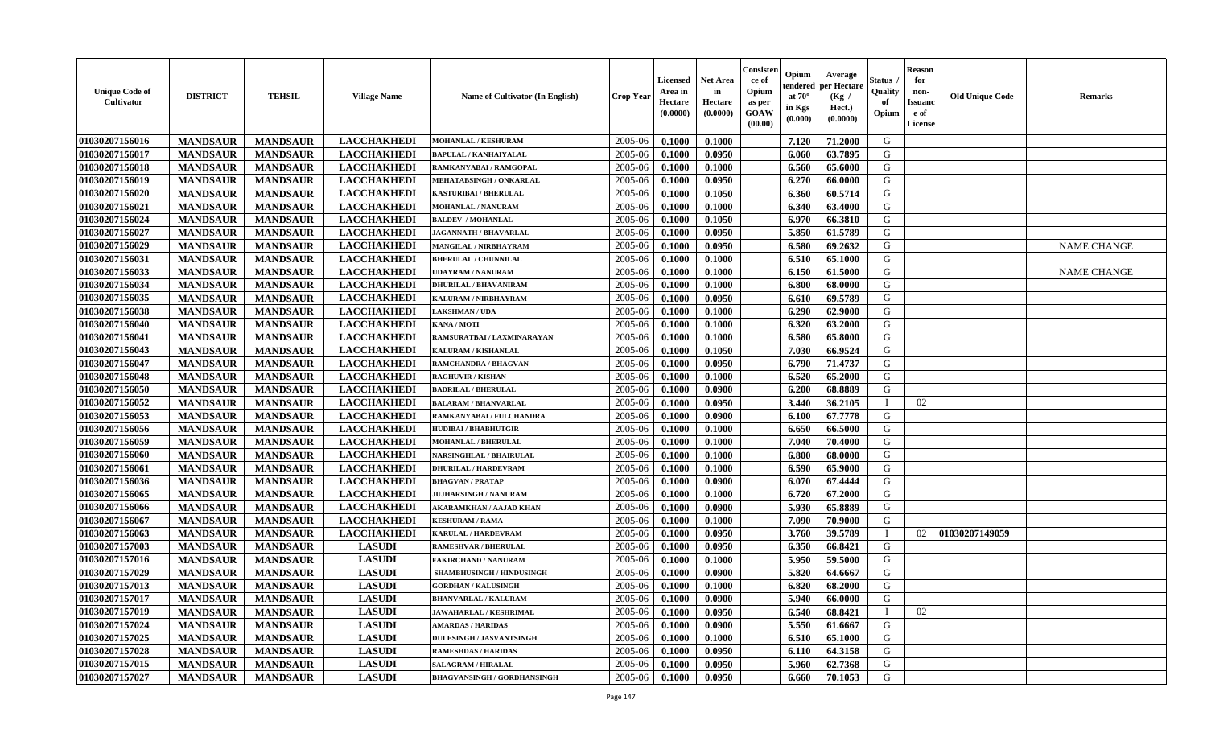| <b>Unique Code of</b><br><b>Cultivator</b> | <b>DISTRICT</b> | <b>TEHSIL</b>   | <b>Village Name</b> | Name of Cultivator (In English)    | <b>Crop Year</b> | Licensed<br>Area in<br>Hectare<br>(0.0000) | Net Area<br>in<br>Hectare<br>(0.0000) | Consisteı<br>ce of<br>Opium<br>as per<br>GOAW<br>(00.00) | Opium<br>endered<br>at $70^\circ$<br>in Kgs<br>(0.000) | Average<br>per Hectare<br>(Kg /<br>Hect.)<br>(0.0000) | Status<br>Quality<br>of<br>Opium | <b>Reason</b><br>for<br>non-<br>Issuano<br>e of<br>License | <b>Old Unique Code</b> | Remarks            |
|--------------------------------------------|-----------------|-----------------|---------------------|------------------------------------|------------------|--------------------------------------------|---------------------------------------|----------------------------------------------------------|--------------------------------------------------------|-------------------------------------------------------|----------------------------------|------------------------------------------------------------|------------------------|--------------------|
| 01030207156016                             | <b>MANDSAUR</b> | <b>MANDSAUR</b> | <b>LACCHAKHEDI</b>  | MOHANLAL / KESHURAM                | 2005-06          | 0.1000                                     | 0.1000                                |                                                          | 7.120                                                  | 71.2000                                               | G                                |                                                            |                        |                    |
| 01030207156017                             | <b>MANDSAUR</b> | <b>MANDSAUR</b> | <b>LACCHAKHEDI</b>  | <b>BAPULAL / KANHAIYALAL</b>       | 2005-06          | 0.1000                                     | 0.0950                                |                                                          | 6.060                                                  | 63.7895                                               | G                                |                                                            |                        |                    |
| 01030207156018                             | <b>MANDSAUR</b> | <b>MANDSAUR</b> | <b>LACCHAKHEDI</b>  | RAMKANYABAI / RAMGOPAL             | 2005-06          | 0.1000                                     | 0.1000                                |                                                          | 6.560                                                  | 65.6000                                               | G                                |                                                            |                        |                    |
| 01030207156019                             | <b>MANDSAUR</b> | <b>MANDSAUR</b> | <b>LACCHAKHEDI</b>  | MEHATABSINGH / ONKARLAL            | 2005-06          | 0.1000                                     | 0.0950                                |                                                          | 6.270                                                  | 66.0000                                               | G                                |                                                            |                        |                    |
| 01030207156020                             | <b>MANDSAUR</b> | <b>MANDSAUR</b> | <b>LACCHAKHEDI</b>  | <b>KASTURIBAI / BHERULAL</b>       | 2005-06          | 0.1000                                     | 0.1050                                |                                                          | 6.360                                                  | 60.5714                                               | G                                |                                                            |                        |                    |
| 01030207156021                             | <b>MANDSAUR</b> | <b>MANDSAUR</b> | <b>LACCHAKHEDI</b>  | MOHANLAL / NANURAM                 | 2005-06          | 0.1000                                     | 0.1000                                |                                                          | 6.340                                                  | 63.4000                                               | G                                |                                                            |                        |                    |
| 01030207156024                             | <b>MANDSAUR</b> | <b>MANDSAUR</b> | <b>LACCHAKHEDI</b>  | <b>BALDEV / MOHANLAL</b>           | 2005-06          | 0.1000                                     | 0.1050                                |                                                          | 6.970                                                  | 66.3810                                               | G                                |                                                            |                        |                    |
| 01030207156027                             | <b>MANDSAUR</b> | <b>MANDSAUR</b> | <b>LACCHAKHEDI</b>  | <b>JAGANNATH / BHAVARLAL</b>       | 2005-06          | 0.1000                                     | 0.0950                                |                                                          | 5.850                                                  | 61.5789                                               | G                                |                                                            |                        |                    |
| 01030207156029                             | <b>MANDSAUR</b> | <b>MANDSAUR</b> | <b>LACCHAKHEDI</b>  | MANGILAL / NIRBHAYRAM              | 2005-06          | 0.1000                                     | 0.0950                                |                                                          | 6.580                                                  | 69.2632                                               | G                                |                                                            |                        | <b>NAME CHANGE</b> |
| 01030207156031                             | <b>MANDSAUR</b> | <b>MANDSAUR</b> | <b>LACCHAKHEDI</b>  | <b>BHERULAL / CHUNNILAL</b>        | 2005-06          | 0.1000                                     | 0.1000                                |                                                          | 6.510                                                  | 65.1000                                               | G                                |                                                            |                        |                    |
| 01030207156033                             | <b>MANDSAUR</b> | <b>MANDSAUR</b> | <b>LACCHAKHEDI</b>  | <b>UDAYRAM / NANURAM</b>           | 2005-06          | 0.1000                                     | 0.1000                                |                                                          | 6.150                                                  | 61.5000                                               | G                                |                                                            |                        | <b>NAME CHANGE</b> |
| 01030207156034                             | <b>MANDSAUR</b> | <b>MANDSAUR</b> | <b>LACCHAKHEDI</b>  | <b>DHURILAL / BHAVANIRAM</b>       | 2005-06          | 0.1000                                     | 0.1000                                |                                                          | 6.800                                                  | 68.0000                                               | G                                |                                                            |                        |                    |
| 01030207156035                             | <b>MANDSAUR</b> | <b>MANDSAUR</b> | <b>LACCHAKHEDI</b>  | KALURAM / NIRBHAYRAM               | 2005-06          | 0.1000                                     | 0.0950                                |                                                          | 6.610                                                  | 69.5789                                               | G                                |                                                            |                        |                    |
| 01030207156038                             | <b>MANDSAUR</b> | <b>MANDSAUR</b> | <b>LACCHAKHEDI</b>  | <b>LAKSHMAN / UDA</b>              | 2005-06          | 0.1000                                     | 0.1000                                |                                                          | 6.290                                                  | 62.9000                                               | G                                |                                                            |                        |                    |
| 01030207156040                             | <b>MANDSAUR</b> | <b>MANDSAUR</b> | <b>LACCHAKHEDI</b>  | KANA / MOTI                        | 2005-06          | 0.1000                                     | 0.1000                                |                                                          | 6.320                                                  | 63.2000                                               | $\mathbf G$                      |                                                            |                        |                    |
| 01030207156041                             | <b>MANDSAUR</b> | <b>MANDSAUR</b> | <b>LACCHAKHEDI</b>  | RAMSURATBAI / LAXMINARAYAN         | 2005-06          | 0.1000                                     | 0.1000                                |                                                          | 6.580                                                  | 65.8000                                               | G                                |                                                            |                        |                    |
| 01030207156043                             | <b>MANDSAUR</b> | <b>MANDSAUR</b> | <b>LACCHAKHEDI</b>  | KALURAM / KISHANLAL                | 2005-06          | 0.1000                                     | 0.1050                                |                                                          | 7.030                                                  | 66.9524                                               | G                                |                                                            |                        |                    |
| 01030207156047                             | <b>MANDSAUR</b> | <b>MANDSAUR</b> | <b>LACCHAKHEDI</b>  | RAMCHANDRA / BHAGVAN               | 2005-06          | 0.1000                                     | 0.0950                                |                                                          | 6.790                                                  | 71.4737                                               | G                                |                                                            |                        |                    |
| 01030207156048                             | <b>MANDSAUR</b> | <b>MANDSAUR</b> | <b>LACCHAKHEDI</b>  | <b>RAGHUVIR / KISHAN</b>           | 2005-06          | 0.1000                                     | 0.1000                                |                                                          | 6.520                                                  | 65.2000                                               | G                                |                                                            |                        |                    |
| 01030207156050                             | <b>MANDSAUR</b> | <b>MANDSAUR</b> | <b>LACCHAKHEDI</b>  | <b>BADRILAL / BHERULAL</b>         | 2005-06          | 0.1000                                     | 0.0900                                |                                                          | 6.200                                                  | 68.8889                                               | G                                |                                                            |                        |                    |
| 01030207156052                             | <b>MANDSAUR</b> | <b>MANDSAUR</b> | <b>LACCHAKHEDI</b>  | <b>BALARAM / BHANVARLAL</b>        | 2005-06          | 0.1000                                     | 0.0950                                |                                                          | 3.440                                                  | 36.2105                                               | $\mathbf I$                      | 02                                                         |                        |                    |
| 01030207156053                             | <b>MANDSAUR</b> | <b>MANDSAUR</b> | <b>LACCHAKHEDI</b>  | RAMKANYABAI / FULCHANDRA           | 2005-06          | 0.1000                                     | 0.0900                                |                                                          | 6.100                                                  | 67.7778                                               | G                                |                                                            |                        |                    |
| 01030207156056                             | <b>MANDSAUR</b> | <b>MANDSAUR</b> | <b>LACCHAKHEDI</b>  | <b>HUDIBAI/BHABHUTGIR</b>          | 2005-06          | 0.1000                                     | 0.1000                                |                                                          | 6.650                                                  | 66.5000                                               | G                                |                                                            |                        |                    |
| 01030207156059                             | <b>MANDSAUR</b> | <b>MANDSAUR</b> | <b>LACCHAKHEDI</b>  | <b>MOHANLAL / BHERULAL</b>         | 2005-06          | 0.1000                                     | 0.1000                                |                                                          | 7.040                                                  | 70.4000                                               | G                                |                                                            |                        |                    |
| 01030207156060                             | <b>MANDSAUR</b> | <b>MANDSAUR</b> | <b>LACCHAKHEDI</b>  | NARSINGHLAL / BHAIRULAL            | 2005-06          | 0.1000                                     | 0.1000                                |                                                          | 6.800                                                  | 68.0000                                               | G                                |                                                            |                        |                    |
| 01030207156061                             | <b>MANDSAUR</b> | <b>MANDSAUR</b> | <b>LACCHAKHEDI</b>  | <b>DHURILAL / HARDEVRAM</b>        | 2005-06          | 0.1000                                     | 0.1000                                |                                                          | 6.590                                                  | 65.9000                                               | G                                |                                                            |                        |                    |
| 01030207156036                             | <b>MANDSAUR</b> | <b>MANDSAUR</b> | <b>LACCHAKHEDI</b>  | <b>BHAGVAN / PRATAP</b>            | 2005-06          | 0.1000                                     | 0.0900                                |                                                          | 6.070                                                  | 67.4444                                               | G                                |                                                            |                        |                    |
| 01030207156065                             | <b>MANDSAUR</b> | <b>MANDSAUR</b> | <b>LACCHAKHEDI</b>  | <b>JUJHARSINGH / NANURAM</b>       | 2005-06          | 0.1000                                     | 0.1000                                |                                                          | 6.720                                                  | 67.2000                                               | G                                |                                                            |                        |                    |
| 01030207156066                             | <b>MANDSAUR</b> | <b>MANDSAUR</b> | <b>LACCHAKHEDI</b>  | <b>AKARAMKHAN / AAJAD KHAN</b>     | 2005-06          | 0.1000                                     | 0.0900                                |                                                          | 5.930                                                  | 65.8889                                               | G                                |                                                            |                        |                    |
| 01030207156067                             | <b>MANDSAUR</b> | <b>MANDSAUR</b> | <b>LACCHAKHEDI</b>  | <b>KESHURAM / RAMA</b>             | 2005-06          | 0.1000                                     | 0.1000                                |                                                          | 7.090                                                  | 70.9000                                               | G                                |                                                            |                        |                    |
| 01030207156063                             | <b>MANDSAUR</b> | <b>MANDSAUR</b> | <b>LACCHAKHEDI</b>  | <b>KARULAL / HARDEVRAM</b>         | 2005-06          | 0.1000                                     | 0.0950                                |                                                          | 3.760                                                  | 39.5789                                               | $\mathbf{I}$                     | 02                                                         | 01030207149059         |                    |
| 01030207157003                             | <b>MANDSAUR</b> | <b>MANDSAUR</b> | <b>LASUDI</b>       | <b>RAMESHVAR / BHERULAL</b>        | 2005-06          | 0.1000                                     | 0.0950                                |                                                          | 6.350                                                  | 66.8421                                               | G                                |                                                            |                        |                    |
| 01030207157016                             | <b>MANDSAUR</b> | <b>MANDSAUR</b> | <b>LASUDI</b>       | <b>FAKIRCHAND / NANURAM</b>        | 2005-06          | 0.1000                                     | 0.1000                                |                                                          | 5.950                                                  | 59.5000                                               | G                                |                                                            |                        |                    |
| 01030207157029                             | <b>MANDSAUR</b> | <b>MANDSAUR</b> | <b>LASUDI</b>       | SHAMBHUSINGH / HINDUSINGH          | 2005-06          | 0.1000                                     | 0.0900                                |                                                          | 5.820                                                  | 64.6667                                               | G                                |                                                            |                        |                    |
| 01030207157013                             | <b>MANDSAUR</b> | <b>MANDSAUR</b> | <b>LASUDI</b>       | <b>GORDHAN / KALUSINGH</b>         | 2005-06          | 0.1000                                     | 0.1000                                |                                                          | 6.820                                                  | 68.2000                                               | G                                |                                                            |                        |                    |
| 01030207157017                             | <b>MANDSAUR</b> | <b>MANDSAUR</b> | <b>LASUDI</b>       | <b>BHANVARLAL / KALURAM</b>        | 2005-06          | 0.1000                                     | 0.0900                                |                                                          | 5.940                                                  | 66.0000                                               | G                                |                                                            |                        |                    |
| 01030207157019                             | <b>MANDSAUR</b> | <b>MANDSAUR</b> | <b>LASUDI</b>       | <b>JAWAHARLAL / KESHRIMAL</b>      | 2005-06          | 0.1000                                     | 0.0950                                |                                                          | 6.540                                                  | 68.8421                                               | $\mathbf I$                      | 02                                                         |                        |                    |
| 01030207157024                             | <b>MANDSAUR</b> | <b>MANDSAUR</b> | <b>LASUDI</b>       | <b>AMARDAS / HARIDAS</b>           | 2005-06          | 0.1000                                     | 0.0900                                |                                                          | 5.550                                                  | 61.6667                                               | G                                |                                                            |                        |                    |
| 01030207157025                             | <b>MANDSAUR</b> | <b>MANDSAUR</b> | <b>LASUDI</b>       | <b>DULESINGH / JASVANTSINGH</b>    | 2005-06          | 0.1000                                     | 0.1000                                |                                                          | 6.510                                                  | 65.1000                                               | G                                |                                                            |                        |                    |
| 01030207157028                             | <b>MANDSAUR</b> | <b>MANDSAUR</b> | <b>LASUDI</b>       | <b>RAMESHDAS / HARIDAS</b>         | 2005-06          | 0.1000                                     | 0.0950                                |                                                          | 6.110                                                  | 64.3158                                               | ${\bf G}$                        |                                                            |                        |                    |
| 01030207157015                             | <b>MANDSAUR</b> | <b>MANDSAUR</b> | <b>LASUDI</b>       | <b>SALAGRAM / HIRALAL</b>          | 2005-06          | 0.1000                                     | 0.0950                                |                                                          | 5.960                                                  | 62.7368                                               | G                                |                                                            |                        |                    |
| 01030207157027                             | <b>MANDSAUR</b> | <b>MANDSAUR</b> | <b>LASUDI</b>       | <b>BHAGVANSINGH / GORDHANSINGH</b> | 2005-06          | 0.1000                                     | 0.0950                                |                                                          | 6.660                                                  | 70.1053                                               | G                                |                                                            |                        |                    |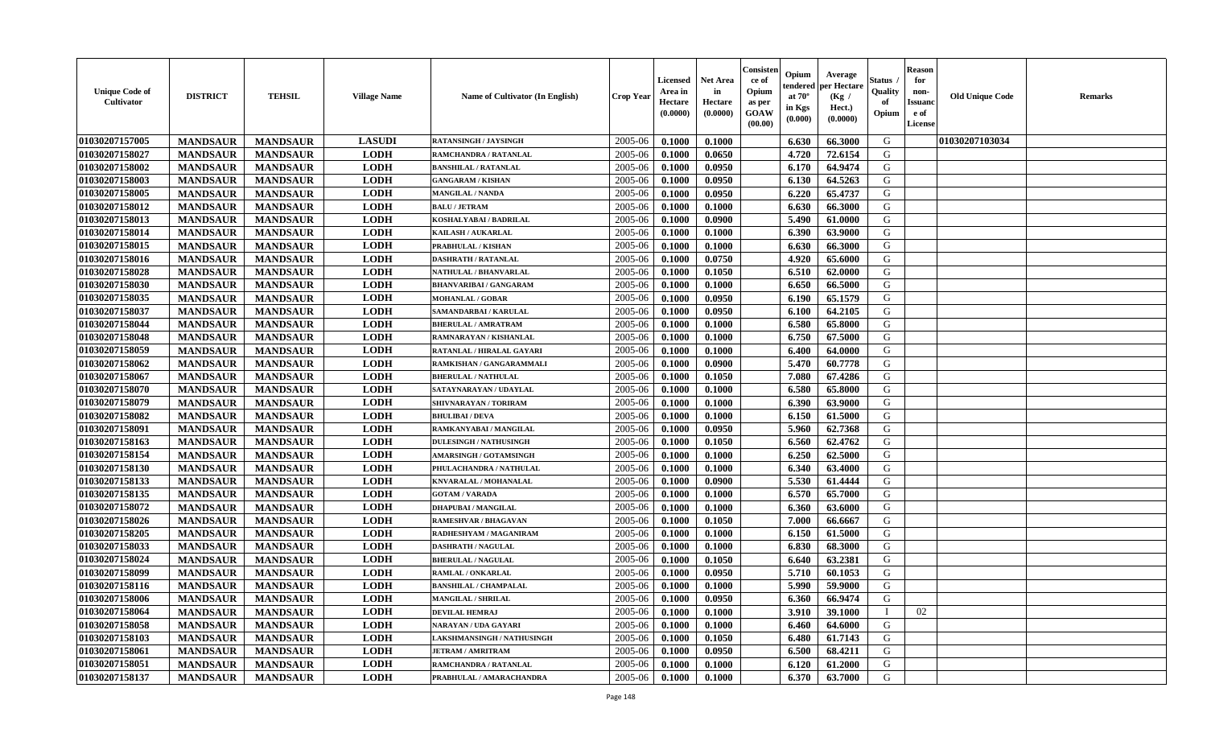| <b>Unique Code of</b><br><b>Cultivator</b> | <b>DISTRICT</b> | <b>TEHSIL</b>   | <b>Village Name</b> | Name of Cultivator (In English) | <b>Crop Year</b> | <b>Licensed</b><br>Area in<br>Hectare<br>(0.0000) | <b>Net Area</b><br>in<br>Hectare<br>(0.0000) | Consisteı<br>ce of<br>Opium<br>as per<br><b>GOAW</b><br>(00.00) | Opium<br>endered<br>at $70^\circ$<br>in Kgs<br>$(\mathbf{0.000})$ | Average<br>per Hectare<br>(Kg /<br>Hect.)<br>(0.0000) | Status<br>Quality<br>of<br>Opium | Reason<br>for<br>non-<br>Issuan<br>e of<br>License | <b>Old Unique Code</b> | <b>Remarks</b> |
|--------------------------------------------|-----------------|-----------------|---------------------|---------------------------------|------------------|---------------------------------------------------|----------------------------------------------|-----------------------------------------------------------------|-------------------------------------------------------------------|-------------------------------------------------------|----------------------------------|----------------------------------------------------|------------------------|----------------|
| 01030207157005                             | <b>MANDSAUR</b> | <b>MANDSAUR</b> | <b>LASUDI</b>       | <b>RATANSINGH / JAYSINGH</b>    | 2005-06          | 0.1000                                            | 0.1000                                       |                                                                 | 6.630                                                             | 66.3000                                               | G                                |                                                    | 01030207103034         |                |
| 01030207158027                             | <b>MANDSAUR</b> | <b>MANDSAUR</b> | <b>LODH</b>         | RAMCHANDRA / RATANLAL           | 2005-06          | 0.1000                                            | 0.0650                                       |                                                                 | 4.720                                                             | 72.6154                                               | G                                |                                                    |                        |                |
| 01030207158002                             | <b>MANDSAUR</b> | <b>MANDSAUR</b> | <b>LODH</b>         | <b>BANSHILAL / RATANLAL</b>     | 2005-06          | 0.1000                                            | 0.0950                                       |                                                                 | 6.170                                                             | 64.9474                                               | G                                |                                                    |                        |                |
| 01030207158003                             | <b>MANDSAUR</b> | <b>MANDSAUR</b> | <b>LODH</b>         | <b>GANGARAM / KISHAN</b>        | 2005-06          | 0.1000                                            | 0.0950                                       |                                                                 | 6.130                                                             | 64.5263                                               | G                                |                                                    |                        |                |
| 01030207158005                             | <b>MANDSAUR</b> | <b>MANDSAUR</b> | <b>LODH</b>         | <b>MANGILAL / NANDA</b>         | 2005-06          | 0.1000                                            | 0.0950                                       |                                                                 | 6.220                                                             | 65.4737                                               | G                                |                                                    |                        |                |
| 01030207158012                             | <b>MANDSAUR</b> | <b>MANDSAUR</b> | <b>LODH</b>         | <b>BALU / JETRAM</b>            | 2005-06          | 0.1000                                            | 0.1000                                       |                                                                 | 6.630                                                             | 66.3000                                               | G                                |                                                    |                        |                |
| 01030207158013                             | <b>MANDSAUR</b> | <b>MANDSAUR</b> | <b>LODH</b>         | KOSHALYABAI / BADRILAL          | 2005-06          | 0.1000                                            | 0.0900                                       |                                                                 | 5.490                                                             | 61.0000                                               | G                                |                                                    |                        |                |
| 01030207158014                             | <b>MANDSAUR</b> | <b>MANDSAUR</b> | <b>LODH</b>         | <b>KAILASH / AUKARLAL</b>       | 2005-06          | 0.1000                                            | 0.1000                                       |                                                                 | 6.390                                                             | 63.9000                                               | G                                |                                                    |                        |                |
| 01030207158015                             | <b>MANDSAUR</b> | <b>MANDSAUR</b> | <b>LODH</b>         | PRABHULAL / KISHAN              | 2005-06          | 0.1000                                            | 0.1000                                       |                                                                 | 6.630                                                             | 66.3000                                               | G                                |                                                    |                        |                |
| 01030207158016                             | <b>MANDSAUR</b> | <b>MANDSAUR</b> | <b>LODH</b>         | <b>DASHRATH / RATANLAL</b>      | 2005-06          | 0.1000                                            | 0.0750                                       |                                                                 | 4.920                                                             | 65.6000                                               | G                                |                                                    |                        |                |
| 01030207158028                             | <b>MANDSAUR</b> | <b>MANDSAUR</b> | <b>LODH</b>         | NATHULAL / BHANVARLAL           | 2005-06          | 0.1000                                            | 0.1050                                       |                                                                 | 6.510                                                             | 62.0000                                               | G                                |                                                    |                        |                |
| 01030207158030                             | <b>MANDSAUR</b> | <b>MANDSAUR</b> | <b>LODH</b>         | <b>BHANVARIBAI / GANGARAM</b>   | 2005-06          | 0.1000                                            | 0.1000                                       |                                                                 | 6.650                                                             | 66.5000                                               | G                                |                                                    |                        |                |
| 01030207158035                             | <b>MANDSAUR</b> | <b>MANDSAUR</b> | <b>LODH</b>         | <b>MOHANLAL / GOBAR</b>         | 2005-06          | 0.1000                                            | 0.0950                                       |                                                                 | 6.190                                                             | 65.1579                                               | G                                |                                                    |                        |                |
| 01030207158037                             | <b>MANDSAUR</b> | <b>MANDSAUR</b> | <b>LODH</b>         | SAMANDARBAI / KARULAL           | 2005-06          | 0.1000                                            | 0.0950                                       |                                                                 | 6.100                                                             | 64.2105                                               | G                                |                                                    |                        |                |
| 01030207158044                             | <b>MANDSAUR</b> | <b>MANDSAUR</b> | <b>LODH</b>         | <b>BHERULAL / AMRATRAM</b>      | 2005-06          | 0.1000                                            | 0.1000                                       |                                                                 | 6.580                                                             | 65.8000                                               | G                                |                                                    |                        |                |
| 01030207158048                             | <b>MANDSAUR</b> | <b>MANDSAUR</b> | <b>LODH</b>         | RAMNARAYAN / KISHANLAL          | 2005-06          | 0.1000                                            | 0.1000                                       |                                                                 | 6.750                                                             | 67.5000                                               | G                                |                                                    |                        |                |
| 01030207158059                             | <b>MANDSAUR</b> | <b>MANDSAUR</b> | <b>LODH</b>         | RATANLAL / HIRALAL GAYARI       | 2005-06          | 0.1000                                            | 0.1000                                       |                                                                 | 6.400                                                             | 64.0000                                               | G                                |                                                    |                        |                |
| 01030207158062                             | <b>MANDSAUR</b> | <b>MANDSAUR</b> | <b>LODH</b>         | RAMKISHAN / GANGARAMMALI        | 2005-06          | 0.1000                                            | 0.0900                                       |                                                                 | 5.470                                                             | 60.7778                                               | G                                |                                                    |                        |                |
| 01030207158067                             | <b>MANDSAUR</b> | <b>MANDSAUR</b> | <b>LODH</b>         | <b>BHERULAL / NATHULAL</b>      | 2005-06          | 0.1000                                            | 0.1050                                       |                                                                 | 7.080                                                             | 67.4286                                               | G                                |                                                    |                        |                |
| 01030207158070                             | <b>MANDSAUR</b> | <b>MANDSAUR</b> | <b>LODH</b>         | SATAYNARAYAN / UDAYLAL          | 2005-06          | 0.1000                                            | 0.1000                                       |                                                                 | 6.580                                                             | 65.8000                                               | G                                |                                                    |                        |                |
| 01030207158079                             | <b>MANDSAUR</b> | <b>MANDSAUR</b> | <b>LODH</b>         | SHIVNARAYAN / TORIRAM           | 2005-06          | 0.1000                                            | 0.1000                                       |                                                                 | 6.390                                                             | 63.9000                                               | G                                |                                                    |                        |                |
| 01030207158082                             | <b>MANDSAUR</b> | <b>MANDSAUR</b> | <b>LODH</b>         | <b>BHULIBAI/DEVA</b>            | 2005-06          | 0.1000                                            | 0.1000                                       |                                                                 | 6.150                                                             | 61.5000                                               | G                                |                                                    |                        |                |
| 01030207158091                             | <b>MANDSAUR</b> | <b>MANDSAUR</b> | <b>LODH</b>         | RAMKANYABAI / MANGILAL          | 2005-06          | 0.1000                                            | 0.0950                                       |                                                                 | 5.960                                                             | 62.7368                                               | G                                |                                                    |                        |                |
| 01030207158163                             | <b>MANDSAUR</b> | <b>MANDSAUR</b> | <b>LODH</b>         | <b>DULESINGH / NATHUSINGH</b>   | 2005-06          | 0.1000                                            | 0.1050                                       |                                                                 | 6.560                                                             | 62.4762                                               | G                                |                                                    |                        |                |
| 01030207158154                             | <b>MANDSAUR</b> | <b>MANDSAUR</b> | <b>LODH</b>         | <b>AMARSINGH / GOTAMSINGH</b>   | 2005-06          | 0.1000                                            | 0.1000                                       |                                                                 | 6.250                                                             | 62.5000                                               | G                                |                                                    |                        |                |
| 01030207158130                             | <b>MANDSAUR</b> | <b>MANDSAUR</b> | <b>LODH</b>         | PHULACHANDRA / NATHULAL         | 2005-06          | 0.1000                                            | 0.1000                                       |                                                                 | 6.340                                                             | 63.4000                                               | G                                |                                                    |                        |                |
| 01030207158133                             | <b>MANDSAUR</b> | <b>MANDSAUR</b> | <b>LODH</b>         | KNVARALAL / MOHANALAL           | 2005-06          | 0.1000                                            | 0.0900                                       |                                                                 | 5.530                                                             | 61.4444                                               | G                                |                                                    |                        |                |
| 01030207158135                             | <b>MANDSAUR</b> | <b>MANDSAUR</b> | <b>LODH</b>         | <b>GOTAM / VARADA</b>           | 2005-06          | 0.1000                                            | 0.1000                                       |                                                                 | 6.570                                                             | 65.7000                                               | G                                |                                                    |                        |                |
| 01030207158072                             | <b>MANDSAUR</b> | <b>MANDSAUR</b> | <b>LODH</b>         | <b>DHAPUBAI/MANGILAL</b>        | 2005-06          | 0.1000                                            | 0.1000                                       |                                                                 | 6.360                                                             | 63.6000                                               | G                                |                                                    |                        |                |
| 01030207158026                             | <b>MANDSAUR</b> | <b>MANDSAUR</b> | <b>LODH</b>         | RAMESHVAR / BHAGAVAN            | 2005-06          | 0.1000                                            | 0.1050                                       |                                                                 | 7.000                                                             | 66.6667                                               | G                                |                                                    |                        |                |
| 01030207158205                             | <b>MANDSAUR</b> | <b>MANDSAUR</b> | <b>LODH</b>         | RADHESHYAM / MAGANIRAM          | 2005-06          | 0.1000                                            | 0.1000                                       |                                                                 | 6.150                                                             | 61.5000                                               | G                                |                                                    |                        |                |
| 01030207158033                             | <b>MANDSAUR</b> | <b>MANDSAUR</b> | <b>LODH</b>         | <b>DASHRATH / NAGULAL</b>       | 2005-06          | 0.1000                                            | 0.1000                                       |                                                                 | 6.830                                                             | 68.3000                                               | G                                |                                                    |                        |                |
| 01030207158024                             | <b>MANDSAUR</b> | <b>MANDSAUR</b> | <b>LODH</b>         | <b>BHERULAL / NAGULAL</b>       | 2005-06          | 0.1000                                            | 0.1050                                       |                                                                 | 6.640                                                             | 63.2381                                               | G                                |                                                    |                        |                |
| 01030207158099                             | <b>MANDSAUR</b> | <b>MANDSAUR</b> | <b>LODH</b>         | RAMLAL / ONKARLAL               | 2005-06          | 0.1000                                            | 0.0950                                       |                                                                 | 5.710                                                             | 60.1053                                               | G                                |                                                    |                        |                |
| 01030207158116                             | <b>MANDSAUR</b> | <b>MANDSAUR</b> | <b>LODH</b>         | <b>BANSHILAL / CHAMPALAL</b>    | 2005-06          | 0.1000                                            | 0.1000                                       |                                                                 | 5.990                                                             | 59.9000                                               | G                                |                                                    |                        |                |
| 01030207158006                             | <b>MANDSAUR</b> | <b>MANDSAUR</b> | <b>LODH</b>         | <b>MANGILAL / SHRILAL</b>       | $2005 - 06$      | 0.1000                                            | 0.0950                                       |                                                                 | 6.360                                                             | 66.9474                                               | G                                |                                                    |                        |                |
| 01030207158064                             | <b>MANDSAUR</b> | <b>MANDSAUR</b> | <b>LODH</b>         | <b>DEVILAL HEMRAJ</b>           | 2005-06          | 0.1000                                            | 0.1000                                       |                                                                 | 3.910                                                             | 39.1000                                               |                                  | 02                                                 |                        |                |
| 01030207158058                             | <b>MANDSAUR</b> | <b>MANDSAUR</b> | <b>LODH</b>         | NARAYAN / UDA GAYARI            | 2005-06          | 0.1000                                            | 0.1000                                       |                                                                 | 6.460                                                             | 64.6000                                               | G                                |                                                    |                        |                |
| 01030207158103                             | <b>MANDSAUR</b> | <b>MANDSAUR</b> | <b>LODH</b>         | LAKSHMANSINGH / NATHUSINGH      | 2005-06          | 0.1000                                            | 0.1050                                       |                                                                 | 6.480                                                             | 61.7143                                               | G                                |                                                    |                        |                |
| <b>01030207158061</b>                      | <b>MANDSAUR</b> | <b>MANDSAUR</b> | <b>LODH</b>         | <b>JETRAM / AMRITRAM</b>        | 2005-06          | 0.1000                                            | 0.0950                                       |                                                                 | 6.500                                                             | 68.4211                                               | G                                |                                                    |                        |                |
| 01030207158051                             | <b>MANDSAUR</b> | <b>MANDSAUR</b> | <b>LODH</b>         | RAMCHANDRA / RATANLAL           | 2005-06          | 0.1000                                            | 0.1000                                       |                                                                 | 6.120                                                             | 61.2000                                               | G                                |                                                    |                        |                |
| 01030207158137                             | <b>MANDSAUR</b> | <b>MANDSAUR</b> | <b>LODH</b>         | PRABHULAL / AMARACHANDRA        | 2005-06          | 0.1000                                            | 0.1000                                       |                                                                 | 6.370                                                             | 63.7000                                               | G                                |                                                    |                        |                |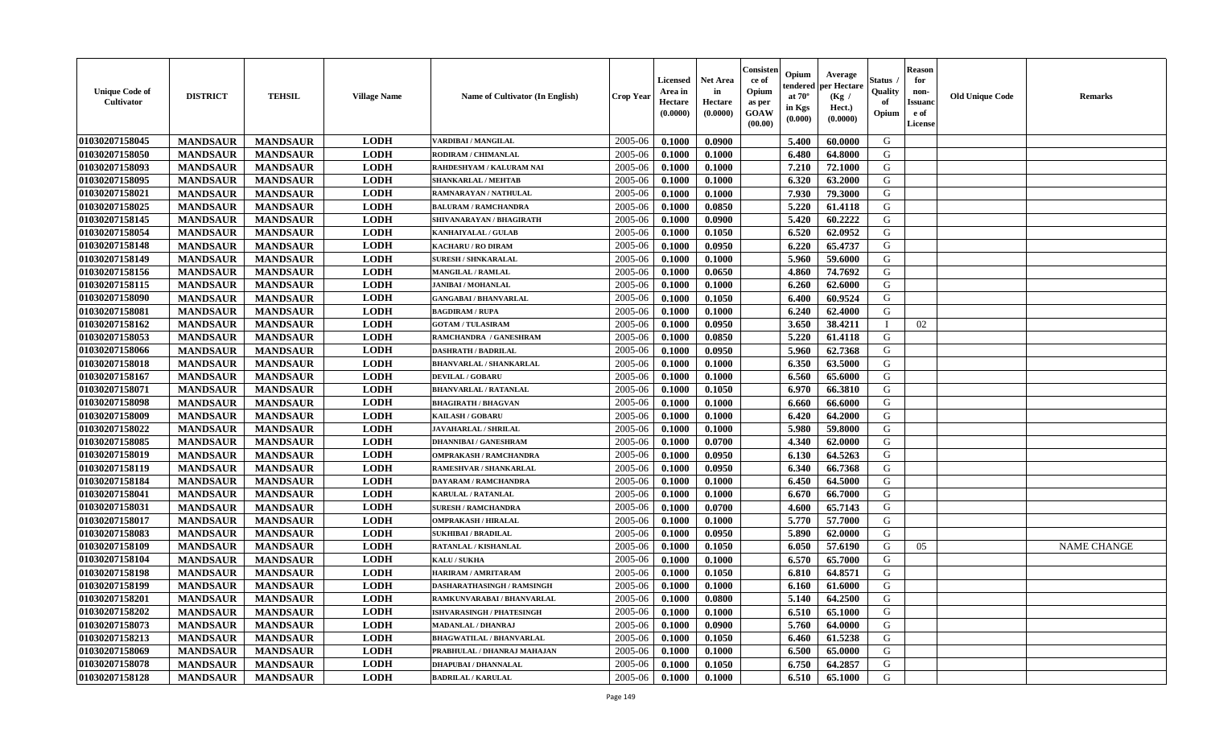| <b>Unique Code of</b><br><b>Cultivator</b> | <b>DISTRICT</b> | <b>TEHSIL</b>   | <b>Village Name</b> | <b>Name of Cultivator (In English)</b> | <b>Crop Year</b> | <b>Licensed</b><br>Area in<br>Hectare<br>(0.0000) | <b>Net Area</b><br>in<br>Hectare<br>(0.0000) | Consister<br>ce of<br>Opium<br>as per<br><b>GOAW</b><br>(00.00) | Opium<br>endered<br>at $70^{\circ}$<br>in Kgs<br>(0.000) | Average<br>per Hectare<br>(Kg /<br>Hect.)<br>(0.0000) | Status<br>Quality<br>of<br>Opium | <b>Reason</b><br>for<br>non-<br><b>Issuanc</b><br>e of<br>License | <b>Old Unique Code</b> | <b>Remarks</b>     |
|--------------------------------------------|-----------------|-----------------|---------------------|----------------------------------------|------------------|---------------------------------------------------|----------------------------------------------|-----------------------------------------------------------------|----------------------------------------------------------|-------------------------------------------------------|----------------------------------|-------------------------------------------------------------------|------------------------|--------------------|
| 01030207158045                             | <b>MANDSAUR</b> | <b>MANDSAUR</b> | <b>LODH</b>         | <b>VARDIBAI / MANGILAL</b>             | 2005-06          | 0.1000                                            | 0.0900                                       |                                                                 | 5.400                                                    | 60.0000                                               | G                                |                                                                   |                        |                    |
| 01030207158050                             | <b>MANDSAUR</b> | <b>MANDSAUR</b> | <b>LODH</b>         | RODIRAM / CHIMANLAL                    | 2005-06          | 0.1000                                            | 0.1000                                       |                                                                 | 6.480                                                    | 64.8000                                               | G                                |                                                                   |                        |                    |
| 01030207158093                             | <b>MANDSAUR</b> | <b>MANDSAUR</b> | <b>LODH</b>         | RAHDESHYAM / KALURAM NAI               | 2005-06          | 0.1000                                            | 0.1000                                       |                                                                 | 7.210                                                    | 72.1000                                               | G                                |                                                                   |                        |                    |
| 01030207158095                             | <b>MANDSAUR</b> | <b>MANDSAUR</b> | <b>LODH</b>         | <b>SHANKARLAL / MEHTAB</b>             | 2005-06          | 0.1000                                            | 0.1000                                       |                                                                 | 6.320                                                    | 63.2000                                               | G                                |                                                                   |                        |                    |
| 01030207158021                             | <b>MANDSAUR</b> | <b>MANDSAUR</b> | <b>LODH</b>         | RAMNARAYAN / NATHULAL                  | 2005-06          | 0.1000                                            | 0.1000                                       |                                                                 | 7.930                                                    | 79.3000                                               | G                                |                                                                   |                        |                    |
| 01030207158025                             | <b>MANDSAUR</b> | <b>MANDSAUR</b> | <b>LODH</b>         | <b>BALURAM / RAMCHANDRA</b>            | 2005-06          | 0.1000                                            | 0.0850                                       |                                                                 | 5.220                                                    | 61.4118                                               | G                                |                                                                   |                        |                    |
| 01030207158145                             | <b>MANDSAUR</b> | <b>MANDSAUR</b> | <b>LODH</b>         | SHIVANARAYAN / BHAGIRATH               | 2005-06          | 0.1000                                            | 0.0900                                       |                                                                 | 5.420                                                    | 60.2222                                               | G                                |                                                                   |                        |                    |
| 01030207158054                             | <b>MANDSAUR</b> | <b>MANDSAUR</b> | <b>LODH</b>         | KANHAIYALAL / GULAB                    | 2005-06          | 0.1000                                            | 0.1050                                       |                                                                 | 6.520                                                    | 62.0952                                               | G                                |                                                                   |                        |                    |
| 01030207158148                             | <b>MANDSAUR</b> | <b>MANDSAUR</b> | <b>LODH</b>         | <b>KACHARU / RO DIRAM</b>              | 2005-06          | 0.1000                                            | 0.0950                                       |                                                                 | 6.220                                                    | 65.4737                                               | G                                |                                                                   |                        |                    |
| 01030207158149                             | <b>MANDSAUR</b> | <b>MANDSAUR</b> | <b>LODH</b>         | <b>SURESH / SHNKARALAL</b>             | 2005-06          | 0.1000                                            | 0.1000                                       |                                                                 | 5.960                                                    | 59.6000                                               | G                                |                                                                   |                        |                    |
| 01030207158156                             | <b>MANDSAUR</b> | <b>MANDSAUR</b> | <b>LODH</b>         | MANGILAL / RAMLAL                      | 2005-06          | 0.1000                                            | 0.0650                                       |                                                                 | 4.860                                                    | 74.7692                                               | G                                |                                                                   |                        |                    |
| 01030207158115                             | <b>MANDSAUR</b> | <b>MANDSAUR</b> | <b>LODH</b>         | <b>JANIBAI / MOHANLAL</b>              | 2005-06          | 0.1000                                            | 0.1000                                       |                                                                 | 6.260                                                    | 62.6000                                               | G                                |                                                                   |                        |                    |
| 01030207158090                             | <b>MANDSAUR</b> | <b>MANDSAUR</b> | <b>LODH</b>         | <b>GANGABAI / BHANVARLAL</b>           | 2005-06          | 0.1000                                            | 0.1050                                       |                                                                 | 6.400                                                    | 60.9524                                               | G                                |                                                                   |                        |                    |
| 01030207158081                             | <b>MANDSAUR</b> | <b>MANDSAUR</b> | <b>LODH</b>         | <b>BAGDIRAM / RUPA</b>                 | 2005-06          | 0.1000                                            | 0.1000                                       |                                                                 | 6.240                                                    | 62.4000                                               | G                                |                                                                   |                        |                    |
| 01030207158162                             | <b>MANDSAUR</b> | <b>MANDSAUR</b> | <b>LODH</b>         | <b>GOTAM / TULASIRAM</b>               | 2005-06          | 0.1000                                            | 0.0950                                       |                                                                 | 3.650                                                    | 38.4211                                               |                                  | 02                                                                |                        |                    |
| 01030207158053                             | <b>MANDSAUR</b> | <b>MANDSAUR</b> | <b>LODH</b>         | RAMCHANDRA / GANESHRAM                 | 2005-06          | 0.1000                                            | 0.0850                                       |                                                                 | 5.220                                                    | 61.4118                                               | G                                |                                                                   |                        |                    |
| 01030207158066                             | <b>MANDSAUR</b> | <b>MANDSAUR</b> | <b>LODH</b>         | <b>DASHRATH / BADRILAL</b>             | 2005-06          | 0.1000                                            | 0.0950                                       |                                                                 | 5.960                                                    | 62.7368                                               | G                                |                                                                   |                        |                    |
| 01030207158018                             | <b>MANDSAUR</b> | <b>MANDSAUR</b> | <b>LODH</b>         | <b>BHANVARLAL / SHANKARLAL</b>         | 2005-06          | 0.1000                                            | 0.1000                                       |                                                                 | 6.350                                                    | 63.5000                                               | G                                |                                                                   |                        |                    |
| 01030207158167                             | <b>MANDSAUR</b> | <b>MANDSAUR</b> | <b>LODH</b>         | <b>DEVILAL / GOBARU</b>                | 2005-06          | 0.1000                                            | 0.1000                                       |                                                                 | 6.560                                                    | 65.6000                                               | G                                |                                                                   |                        |                    |
| 01030207158071                             | <b>MANDSAUR</b> | <b>MANDSAUR</b> | <b>LODH</b>         | <b>BHANVARLAL / RATANLAL</b>           | 2005-06          | 0.1000                                            | 0.1050                                       |                                                                 | 6.970                                                    | 66.3810                                               | G                                |                                                                   |                        |                    |
| 01030207158098                             | <b>MANDSAUR</b> | <b>MANDSAUR</b> | <b>LODH</b>         | <b>BHAGIRATH / BHAGVAN</b>             | 2005-06          | 0.1000                                            | 0.1000                                       |                                                                 | 6.660                                                    | 66.6000                                               | G                                |                                                                   |                        |                    |
| 01030207158009                             | <b>MANDSAUR</b> | <b>MANDSAUR</b> | <b>LODH</b>         | <b>KAILASH / GOBARU</b>                | 2005-06          | 0.1000                                            | 0.1000                                       |                                                                 | 6.420                                                    | 64.2000                                               | G                                |                                                                   |                        |                    |
| 01030207158022                             | <b>MANDSAUR</b> | <b>MANDSAUR</b> | <b>LODH</b>         | <b>JAVAHARLAL / SHRILAL</b>            | 2005-06          | 0.1000                                            | 0.1000                                       |                                                                 | 5.980                                                    | 59.8000                                               | G                                |                                                                   |                        |                    |
| 01030207158085                             | <b>MANDSAUR</b> | <b>MANDSAUR</b> | <b>LODH</b>         | <b>DHANNIBAI/GANESHRAM</b>             | 2005-06          | 0.1000                                            | 0.0700                                       |                                                                 | 4.340                                                    | 62.0000                                               | G                                |                                                                   |                        |                    |
| 01030207158019                             | <b>MANDSAUR</b> | <b>MANDSAUR</b> | <b>LODH</b>         | <b>OMPRAKASH / RAMCHANDRA</b>          | 2005-06          | 0.1000                                            | 0.0950                                       |                                                                 | 6.130                                                    | 64.5263                                               | G                                |                                                                   |                        |                    |
| 01030207158119                             | <b>MANDSAUR</b> | <b>MANDSAUR</b> | <b>LODH</b>         | RAMESHVAR / SHANKARLAL                 | 2005-06          | 0.1000                                            | 0.0950                                       |                                                                 | 6.340                                                    | 66.7368                                               | G                                |                                                                   |                        |                    |
| 01030207158184                             | <b>MANDSAUR</b> | <b>MANDSAUR</b> | <b>LODH</b>         | DAYARAM / RAMCHANDRA                   | 2005-06          | 0.1000                                            | 0.1000                                       |                                                                 | 6.450                                                    | 64.5000                                               | G                                |                                                                   |                        |                    |
| 01030207158041                             | <b>MANDSAUR</b> | <b>MANDSAUR</b> | <b>LODH</b>         | <b>KARULAL / RATANLAL</b>              | 2005-06          | 0.1000                                            | 0.1000                                       |                                                                 | 6.670                                                    | 66.7000                                               | G                                |                                                                   |                        |                    |
| 01030207158031                             | <b>MANDSAUR</b> | <b>MANDSAUR</b> | <b>LODH</b>         | <b>SURESH / RAMCHANDRA</b>             | 2005-06          | 0.1000                                            | 0.0700                                       |                                                                 | 4.600                                                    | 65.7143                                               | G                                |                                                                   |                        |                    |
| 01030207158017                             | <b>MANDSAUR</b> | <b>MANDSAUR</b> | <b>LODH</b>         | <b>OMPRAKASH / HIRALAL</b>             | 2005-06          | 0.1000                                            | 0.1000                                       |                                                                 | 5.770                                                    | 57.7000                                               | G                                |                                                                   |                        |                    |
| 01030207158083                             | <b>MANDSAUR</b> | <b>MANDSAUR</b> | <b>LODH</b>         | <b>SUKHIBAI / BRADILAL</b>             | 2005-06          | 0.1000                                            | 0.0950                                       |                                                                 | 5.890                                                    | 62.0000                                               | G                                |                                                                   |                        |                    |
| 01030207158109                             | <b>MANDSAUR</b> | <b>MANDSAUR</b> | <b>LODH</b>         | RATANLAL / KISHANLAL                   | 2005-06          | 0.1000                                            | 0.1050                                       |                                                                 | 6.050                                                    | 57.6190                                               | G                                | 05                                                                |                        | <b>NAME CHANGE</b> |
| 01030207158104                             | <b>MANDSAUR</b> | <b>MANDSAUR</b> | <b>LODH</b>         | <b>KALU / SUKHA</b>                    | 2005-06          | 0.1000                                            | 0.1000                                       |                                                                 | 6.570                                                    | 65.7000                                               | G                                |                                                                   |                        |                    |
| 01030207158198                             | <b>MANDSAUR</b> | <b>MANDSAUR</b> | <b>LODH</b>         | HARIRAM / AMRITARAM                    | 2005-06          | 0.1000                                            | 0.1050                                       |                                                                 | 6.810                                                    | 64.8571                                               | G                                |                                                                   |                        |                    |
| 01030207158199                             | <b>MANDSAUR</b> | <b>MANDSAUR</b> | <b>LODH</b>         | DASHARATHASINGH / RAMSINGH             | 2005-06          | 0.1000                                            | 0.1000                                       |                                                                 | 6.160                                                    | 61.6000                                               | G                                |                                                                   |                        |                    |
| 01030207158201                             | <b>MANDSAUR</b> | MANDSAUR        | <b>LODH</b>         | RAMKUNVARABAI / BHANVARLAL             | $2005 - 06$      | 0.1000                                            | 0.0800                                       |                                                                 | 5.140 l                                                  | 64.2500                                               | G                                |                                                                   |                        |                    |
| 01030207158202                             | <b>MANDSAUR</b> | <b>MANDSAUR</b> | <b>LODH</b>         | <b>ISHVARASINGH / PHATESINGH</b>       | 2005-06          | 0.1000                                            | 0.1000                                       |                                                                 | 6.510                                                    | 65.1000                                               | G                                |                                                                   |                        |                    |
| 01030207158073                             | <b>MANDSAUR</b> | <b>MANDSAUR</b> | <b>LODH</b>         | <b>MADANLAL / DHANRAJ</b>              | 2005-06          | 0.1000                                            | 0.0900                                       |                                                                 | 5.760                                                    | 64.0000                                               | G                                |                                                                   |                        |                    |
| 01030207158213                             | <b>MANDSAUR</b> | <b>MANDSAUR</b> | <b>LODH</b>         | <b>BHAGWATILAL / BHANVARLAL</b>        | 2005-06          | 0.1000                                            | 0.1050                                       |                                                                 | 6.460                                                    | 61.5238                                               | G                                |                                                                   |                        |                    |
| 01030207158069                             | <b>MANDSAUR</b> | <b>MANDSAUR</b> | <b>LODH</b>         | PRABHULAL / DHANRAJ MAHAJAN            | 2005-06          | 0.1000                                            | 0.1000                                       |                                                                 | 6.500                                                    | 65.0000                                               | G                                |                                                                   |                        |                    |
| 01030207158078                             | <b>MANDSAUR</b> | <b>MANDSAUR</b> | <b>LODH</b>         | DHAPUBAI / DHANNALAL                   | 2005-06          | 0.1000                                            | 0.1050                                       |                                                                 | 6.750                                                    | 64.2857                                               | G                                |                                                                   |                        |                    |
| 01030207158128                             | <b>MANDSAUR</b> | <b>MANDSAUR</b> | <b>LODH</b>         | <b>BADRILAL / KARULAL</b>              | 2005-06          | 0.1000                                            | 0.1000                                       |                                                                 | 6.510                                                    | 65.1000                                               | G                                |                                                                   |                        |                    |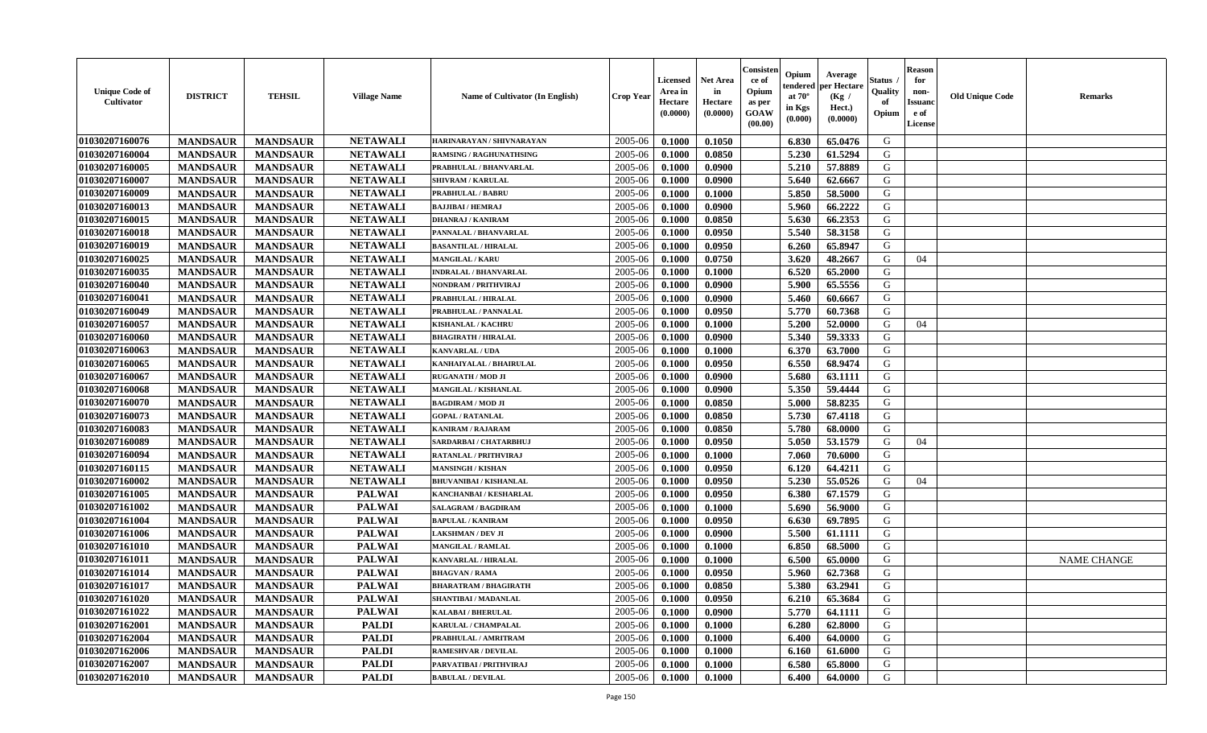| <b>Unique Code of</b><br>Cultivator | <b>DISTRICT</b> | <b>TEHSIL</b>   | <b>Village Name</b> | Name of Cultivator (In English) | <b>Crop Year</b> | <b>Licensed</b><br>Area in<br>Hectare<br>(0.0000) | <b>Net Area</b><br>in<br>Hectare<br>(0.0000) | Consisten<br>ce of<br>Opium<br>as per<br><b>GOAW</b><br>(00.00) | Opium<br>tendered<br>at $70^\circ$<br>in Kgs<br>(0.000) | Average<br>per Hectare<br>(Kg /<br>Hect.)<br>(0.0000) | <b>Status</b><br>Quality<br>of<br>Opium | <b>Reason</b><br>for<br>non-<br><b>Issuand</b><br>e of<br>License | <b>Old Unique Code</b> | <b>Remarks</b>     |
|-------------------------------------|-----------------|-----------------|---------------------|---------------------------------|------------------|---------------------------------------------------|----------------------------------------------|-----------------------------------------------------------------|---------------------------------------------------------|-------------------------------------------------------|-----------------------------------------|-------------------------------------------------------------------|------------------------|--------------------|
| 01030207160076                      | <b>MANDSAUR</b> | <b>MANDSAUR</b> | <b>NETAWALI</b>     | HARINARAYAN / SHIVNARAYAN       | 2005-06          | 0.1000                                            | 0.1050                                       |                                                                 | 6.830                                                   | 65.0476                                               | G                                       |                                                                   |                        |                    |
| 01030207160004                      | <b>MANDSAUR</b> | <b>MANDSAUR</b> | <b>NETAWALI</b>     | <b>RAMSING / RAGHUNATHSING</b>  | 2005-06          | 0.1000                                            | 0.0850                                       |                                                                 | 5.230                                                   | 61.5294                                               | G                                       |                                                                   |                        |                    |
| 01030207160005                      | <b>MANDSAUR</b> | <b>MANDSAUR</b> | <b>NETAWALI</b>     | PRABHULAL / BHANVARLAL          | 2005-06          | 0.1000                                            | 0.0900                                       |                                                                 | 5.210                                                   | 57.8889                                               | G                                       |                                                                   |                        |                    |
| 01030207160007                      | <b>MANDSAUR</b> | <b>MANDSAUR</b> | <b>NETAWALI</b>     | <b>SHIVRAM / KARULAL</b>        | 2005-06          | 0.1000                                            | 0.0900                                       |                                                                 | 5.640                                                   | 62.6667                                               | G                                       |                                                                   |                        |                    |
| 01030207160009                      | <b>MANDSAUR</b> | <b>MANDSAUR</b> | <b>NETAWALI</b>     | <b>PRABHULAL / BABRU</b>        | 2005-06          | 0.1000                                            | 0.1000                                       |                                                                 | 5.850                                                   | 58.5000                                               | G                                       |                                                                   |                        |                    |
| 01030207160013                      | <b>MANDSAUR</b> | <b>MANDSAUR</b> | <b>NETAWALI</b>     | <b>BAJJIBAI / HEMRAJ</b>        | 2005-06          | 0.1000                                            | 0.0900                                       |                                                                 | 5.960                                                   | 66.2222                                               | G                                       |                                                                   |                        |                    |
| 01030207160015                      | <b>MANDSAUR</b> | <b>MANDSAUR</b> | <b>NETAWALI</b>     | <b>DHANRAJ / KANIRAM</b>        | 2005-06          | 0.1000                                            | 0.0850                                       |                                                                 | 5.630                                                   | 66.2353                                               | G                                       |                                                                   |                        |                    |
| 01030207160018                      | <b>MANDSAUR</b> | <b>MANDSAUR</b> | <b>NETAWALI</b>     | PANNALAL / BHANVARLAL           | 2005-06          | 0.1000                                            | 0.0950                                       |                                                                 | 5.540                                                   | 58.3158                                               | G                                       |                                                                   |                        |                    |
| 01030207160019                      | <b>MANDSAUR</b> | <b>MANDSAUR</b> | <b>NETAWALI</b>     | <b>BASANTILAL / HIRALAL</b>     | 2005-06          | 0.1000                                            | 0.0950                                       |                                                                 | 6.260                                                   | 65.8947                                               | G                                       |                                                                   |                        |                    |
| 01030207160025                      | <b>MANDSAUR</b> | <b>MANDSAUR</b> | <b>NETAWALI</b>     | <b>MANGILAL / KARU</b>          | 2005-06          | 0.1000                                            | 0.0750                                       |                                                                 | 3.620                                                   | 48.2667                                               | G                                       | 04                                                                |                        |                    |
| 01030207160035                      | <b>MANDSAUR</b> | <b>MANDSAUR</b> | <b>NETAWALI</b>     | <b>INDRALAL / BHANVARLAL</b>    | 2005-06          | 0.1000                                            | 0.1000                                       |                                                                 | 6.520                                                   | 65.2000                                               | G                                       |                                                                   |                        |                    |
| 01030207160040                      | <b>MANDSAUR</b> | <b>MANDSAUR</b> | <b>NETAWALI</b>     | NONDRAM / PRITHVIRAJ            | 2005-06          | 0.1000                                            | 0.0900                                       |                                                                 | 5.900                                                   | 65.5556                                               | G                                       |                                                                   |                        |                    |
| 01030207160041                      | <b>MANDSAUR</b> | <b>MANDSAUR</b> | <b>NETAWALI</b>     | PRABHULAL / HIRALAL             | 2005-06          | 0.1000                                            | 0.0900                                       |                                                                 | 5.460                                                   | 60.6667                                               | G                                       |                                                                   |                        |                    |
| 01030207160049                      | <b>MANDSAUR</b> | <b>MANDSAUR</b> | <b>NETAWALI</b>     | PRABHULAL / PANNALAL            | 2005-06          | 0.1000                                            | 0.0950                                       |                                                                 | 5.770                                                   | 60.7368                                               | G                                       |                                                                   |                        |                    |
| 01030207160057                      | <b>MANDSAUR</b> | <b>MANDSAUR</b> | <b>NETAWALI</b>     | <b>KISHANLAL / KACHRU</b>       | 2005-06          | 0.1000                                            | 0.1000                                       |                                                                 | 5.200                                                   | 52.0000                                               | G                                       | 04                                                                |                        |                    |
| 01030207160060                      | <b>MANDSAUR</b> | <b>MANDSAUR</b> | <b>NETAWALI</b>     | <b>BHAGIRATH / HIRALAL</b>      | 2005-06          | 0.1000                                            | 0.0900                                       |                                                                 | 5.340                                                   | 59.3333                                               | G                                       |                                                                   |                        |                    |
| 01030207160063                      | <b>MANDSAUR</b> | <b>MANDSAUR</b> | <b>NETAWALI</b>     | <b>KANVARLAL / UDA</b>          | 2005-06          | 0.1000                                            | 0.1000                                       |                                                                 | 6.370                                                   | 63.7000                                               | G                                       |                                                                   |                        |                    |
| 01030207160065                      | <b>MANDSAUR</b> | <b>MANDSAUR</b> | <b>NETAWALI</b>     | KANHAIYALAL / BHAIRULAL         | 2005-06          | 0.1000                                            | 0.0950                                       |                                                                 | 6.550                                                   | 68.9474                                               | G                                       |                                                                   |                        |                    |
| 01030207160067                      | <b>MANDSAUR</b> | <b>MANDSAUR</b> | <b>NETAWALI</b>     | <b>RUGANATH / MOD JI</b>        | 2005-06          | 0.1000                                            | 0.0900                                       |                                                                 | 5.680                                                   | 63.1111                                               | G                                       |                                                                   |                        |                    |
| 01030207160068                      | <b>MANDSAUR</b> | <b>MANDSAUR</b> | <b>NETAWALI</b>     | MANGILAL / KISHANLAL            | 2005-06          | 0.1000                                            | 0.0900                                       |                                                                 | 5.350                                                   | 59.4444                                               | G                                       |                                                                   |                        |                    |
| 01030207160070                      | <b>MANDSAUR</b> | <b>MANDSAUR</b> | <b>NETAWALI</b>     | <b>BAGDIRAM / MOD JI</b>        | 2005-06          | 0.1000                                            | 0.0850                                       |                                                                 | 5.000                                                   | 58.8235                                               | G                                       |                                                                   |                        |                    |
| 01030207160073                      | <b>MANDSAUR</b> | <b>MANDSAUR</b> | <b>NETAWALI</b>     | <b>GOPAL / RATANLAL</b>         | 2005-06          | 0.1000                                            | 0.0850                                       |                                                                 | 5.730                                                   | 67.4118                                               | G                                       |                                                                   |                        |                    |
| 01030207160083                      | <b>MANDSAUR</b> | <b>MANDSAUR</b> | <b>NETAWALI</b>     | <b>KANIRAM / RAJARAM</b>        | 2005-06          | 0.1000                                            | 0.0850                                       |                                                                 | 5.780                                                   | 68.0000                                               | G                                       |                                                                   |                        |                    |
| 01030207160089                      | <b>MANDSAUR</b> | <b>MANDSAUR</b> | <b>NETAWALI</b>     | SARDARBAI / CHATARBHUJ          | 2005-06          | 0.1000                                            | 0.0950                                       |                                                                 | 5.050                                                   | 53.1579                                               | G                                       | 04                                                                |                        |                    |
| 01030207160094                      | <b>MANDSAUR</b> | <b>MANDSAUR</b> | <b>NETAWALI</b>     | <b>RATANLAL / PRITHVIRAJ</b>    | 2005-06          | 0.1000                                            | 0.1000                                       |                                                                 | 7.060                                                   | 70.6000                                               | G                                       |                                                                   |                        |                    |
| 01030207160115                      | <b>MANDSAUR</b> | <b>MANDSAUR</b> | <b>NETAWALI</b>     | <b>MANSINGH / KISHAN</b>        | 2005-06          | 0.1000                                            | 0.0950                                       |                                                                 | 6.120                                                   | 64.4211                                               | G                                       |                                                                   |                        |                    |
| 01030207160002                      | <b>MANDSAUR</b> | <b>MANDSAUR</b> | <b>NETAWALI</b>     | <b>BHUVANIBAI / KISHANLAL</b>   | 2005-06          | 0.1000                                            | 0.0950                                       |                                                                 | 5.230                                                   | 55.0526                                               | G                                       | 04                                                                |                        |                    |
| 01030207161005                      | <b>MANDSAUR</b> | <b>MANDSAUR</b> | <b>PALWAI</b>       | KANCHANBAI / KESHARLAL          | 2005-06          | 0.1000                                            | 0.0950                                       |                                                                 | 6.380                                                   | 67.1579                                               | G                                       |                                                                   |                        |                    |
| 01030207161002                      | <b>MANDSAUR</b> | <b>MANDSAUR</b> | <b>PALWAI</b>       | <b>SALAGRAM / BAGDIRAM</b>      | 2005-06          | 0.1000                                            | 0.1000                                       |                                                                 | 5.690                                                   | 56.9000                                               | G                                       |                                                                   |                        |                    |
| 01030207161004                      | <b>MANDSAUR</b> | <b>MANDSAUR</b> | <b>PALWAI</b>       | <b>BAPULAL / KANIRAM</b>        | 2005-06          | 0.1000                                            | 0.0950                                       |                                                                 | 6.630                                                   | 69.7895                                               | G                                       |                                                                   |                        |                    |
| 01030207161006                      | <b>MANDSAUR</b> | <b>MANDSAUR</b> | <b>PALWAI</b>       | <b>LAKSHMAN / DEV JI</b>        | 2005-06          | 0.1000                                            | 0.0900                                       |                                                                 | 5.500                                                   | 61.1111                                               | G                                       |                                                                   |                        |                    |
| 01030207161010                      | <b>MANDSAUR</b> | <b>MANDSAUR</b> | <b>PALWAI</b>       | MANGILAL / RAMLAL               | 2005-06          | 0.1000                                            | 0.1000                                       |                                                                 | 6.850                                                   | 68.5000                                               | G                                       |                                                                   |                        |                    |
| 01030207161011                      | <b>MANDSAUR</b> | <b>MANDSAUR</b> | <b>PALWAI</b>       | KANVARLAL / HIRALAL             | 2005-06          | 0.1000                                            | 0.1000                                       |                                                                 | 6.500                                                   | 65.0000                                               | G                                       |                                                                   |                        | <b>NAME CHANGE</b> |
| 01030207161014                      | <b>MANDSAUR</b> | <b>MANDSAUR</b> | <b>PALWAI</b>       | <b>BHAGVAN / RAMA</b>           | 2005-06          | 0.1000                                            | 0.0950                                       |                                                                 | 5.960                                                   | 62.7368                                               | G                                       |                                                                   |                        |                    |
| 01030207161017                      | <b>MANDSAUR</b> | <b>MANDSAUR</b> | <b>PALWAI</b>       | <b>BHARATRAM / BHAGIRATH</b>    | 2005-06          | 0.1000                                            | 0.0850                                       |                                                                 | 5.380                                                   | 63.2941                                               | G                                       |                                                                   |                        |                    |
| 01030207161020                      | <b>MANDSAUR</b> | <b>MANDSAUR</b> | <b>PALWAI</b>       | <b>SHANTIBAI / MADANLAL</b>     | 2005-06          | 0.1000                                            | 0.0950                                       |                                                                 | 6.210                                                   | 65.3684                                               | G                                       |                                                                   |                        |                    |
| 01030207161022                      | <b>MANDSAUR</b> | <b>MANDSAUR</b> | <b>PALWAI</b>       | <b>KALABAI/BHERULAL</b>         | 2005-06          | 0.1000                                            | 0.0900                                       |                                                                 | 5.770                                                   | 64.1111                                               | G                                       |                                                                   |                        |                    |
| 01030207162001                      | <b>MANDSAUR</b> | <b>MANDSAUR</b> | <b>PALDI</b>        | KARULAL / CHAMPALAL             | 2005-06          | 0.1000                                            | 0.1000                                       |                                                                 | 6.280                                                   | 62.8000                                               | G                                       |                                                                   |                        |                    |
| 01030207162004                      | <b>MANDSAUR</b> | <b>MANDSAUR</b> | <b>PALDI</b>        | PRABHULAL / AMRITRAM            | 2005-06          | 0.1000                                            | 0.1000                                       |                                                                 | 6.400                                                   | 64.0000                                               | G                                       |                                                                   |                        |                    |
| 01030207162006                      | <b>MANDSAUR</b> | <b>MANDSAUR</b> | <b>PALDI</b>        | <b>RAMESHVAR / DEVILAL</b>      | 2005-06          | 0.1000                                            | 0.1000                                       |                                                                 | 6.160                                                   | 61.6000                                               | G                                       |                                                                   |                        |                    |
| 01030207162007                      | <b>MANDSAUR</b> | <b>MANDSAUR</b> | <b>PALDI</b>        | PARVATIBAI / PRITHVIRAJ         | 2005-06          | 0.1000                                            | 0.1000                                       |                                                                 | 6.580                                                   | 65.8000                                               | G                                       |                                                                   |                        |                    |
| 01030207162010                      | <b>MANDSAUR</b> | <b>MANDSAUR</b> | <b>PALDI</b>        | <b>BABULAL / DEVILAL</b>        | 2005-06          | 0.1000                                            | 0.1000                                       |                                                                 | 6.400                                                   | 64.0000                                               | G                                       |                                                                   |                        |                    |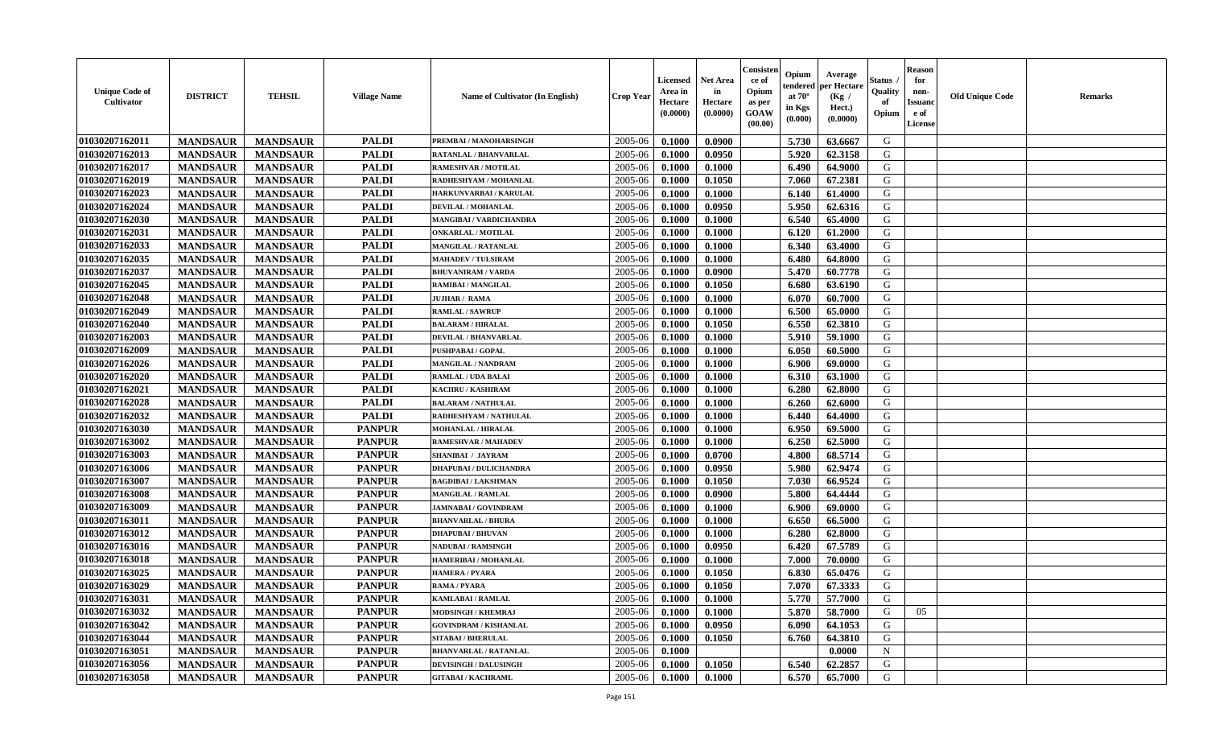| <b>Unique Code of</b><br><b>Cultivator</b> | <b>DISTRICT</b> | <b>TEHSIL</b>   | <b>Village Name</b> | Name of Cultivator (In English) | <b>Crop Year</b> | <b>Licensed</b><br>Area in<br>Hectare<br>(0.0000) | <b>Net Area</b><br>in<br>Hectare<br>(0.0000) | Consister<br>ce of<br>Opium<br>as per<br><b>GOAW</b><br>(00.00) | Opium<br>endered<br>at $70^\circ$<br>in Kgs<br>(0.000) | Average<br>per Hectare<br>(Kg /<br>Hect.)<br>(0.0000) | Status<br>Quality<br>of<br>Opium | <b>Reason</b><br>for<br>non-<br><b>Issuand</b><br>e of<br><b>License</b> | <b>Old Unique Code</b> | <b>Remarks</b> |
|--------------------------------------------|-----------------|-----------------|---------------------|---------------------------------|------------------|---------------------------------------------------|----------------------------------------------|-----------------------------------------------------------------|--------------------------------------------------------|-------------------------------------------------------|----------------------------------|--------------------------------------------------------------------------|------------------------|----------------|
| 01030207162011                             | <b>MANDSAUR</b> | <b>MANDSAUR</b> | <b>PALDI</b>        | PREMBAI / MANOHARSINGH          | 2005-06          | 0.1000                                            | 0.0900                                       |                                                                 | 5.730                                                  | 63.6667                                               | G                                |                                                                          |                        |                |
| 01030207162013                             | <b>MANDSAUR</b> | <b>MANDSAUR</b> | <b>PALDI</b>        | RATANLAL / BHANVARLAL           | 2005-06          | 0.1000                                            | 0.0950                                       |                                                                 | 5.920                                                  | 62.3158                                               | G                                |                                                                          |                        |                |
| 01030207162017                             | <b>MANDSAUR</b> | <b>MANDSAUR</b> | <b>PALDI</b>        | RAMESHVAR / MOTILAL             | 2005-06          | 0.1000                                            | 0.1000                                       |                                                                 | 6.490                                                  | 64.9000                                               | G                                |                                                                          |                        |                |
| 01030207162019                             | <b>MANDSAUR</b> | <b>MANDSAUR</b> | <b>PALDI</b>        | RADHESHYAM / MOHANLAL           | 2005-06          | 0.1000                                            | 0.1050                                       |                                                                 | 7.060                                                  | 67.2381                                               | G                                |                                                                          |                        |                |
| 01030207162023                             | <b>MANDSAUR</b> | <b>MANDSAUR</b> | <b>PALDI</b>        | HARKUNVARBAI / KARULAL          | 2005-06          | 0.1000                                            | 0.1000                                       |                                                                 | 6.140                                                  | 61.4000                                               | G                                |                                                                          |                        |                |
| 01030207162024                             | <b>MANDSAUR</b> | <b>MANDSAUR</b> | <b>PALDI</b>        | DEVILAL / MOHANLAL              | 2005-06          | 0.1000                                            | 0.0950                                       |                                                                 | 5.950                                                  | 62.6316                                               | G                                |                                                                          |                        |                |
| 01030207162030                             | <b>MANDSAUR</b> | <b>MANDSAUR</b> | <b>PALDI</b>        | <b>MANGIBAI/VARDICHANDRA</b>    | 2005-06          | 0.1000                                            | 0.1000                                       |                                                                 | 6.540                                                  | 65.4000                                               | G                                |                                                                          |                        |                |
| 01030207162031                             | <b>MANDSAUR</b> | <b>MANDSAUR</b> | <b>PALDI</b>        | <b>ONKARLAL / MOTILAL</b>       | 2005-06          | 0.1000                                            | 0.1000                                       |                                                                 | 6.120                                                  | 61.2000                                               | G                                |                                                                          |                        |                |
| 01030207162033                             | <b>MANDSAUR</b> | <b>MANDSAUR</b> | <b>PALDI</b>        | <b>MANGILAL / RATANLAL</b>      | 2005-06          | 0.1000                                            | 0.1000                                       |                                                                 | 6.340                                                  | 63.4000                                               | G                                |                                                                          |                        |                |
| 01030207162035                             | <b>MANDSAUR</b> | <b>MANDSAUR</b> | <b>PALDI</b>        | <b>MAHADEV / TULSIRAM</b>       | 2005-06          | 0.1000                                            | 0.1000                                       |                                                                 | 6.480                                                  | 64.8000                                               | G                                |                                                                          |                        |                |
| 01030207162037                             | <b>MANDSAUR</b> | <b>MANDSAUR</b> | <b>PALDI</b>        | <b>BHUVANIRAM / VARDA</b>       | 2005-06          | 0.1000                                            | 0.0900                                       |                                                                 | 5.470                                                  | 60.7778                                               | G                                |                                                                          |                        |                |
| 01030207162045                             | <b>MANDSAUR</b> | <b>MANDSAUR</b> | <b>PALDI</b>        | <b>RAMIBAI / MANGILAL</b>       | 2005-06          | 0.1000                                            | 0.1050                                       |                                                                 | 6.680                                                  | 63.6190                                               | G                                |                                                                          |                        |                |
| 01030207162048                             | <b>MANDSAUR</b> | <b>MANDSAUR</b> | <b>PALDI</b>        | <b>JUJHAR / RAMA</b>            | 2005-06          | 0.1000                                            | 0.1000                                       |                                                                 | 6.070                                                  | 60.7000                                               | G                                |                                                                          |                        |                |
| 01030207162049                             | <b>MANDSAUR</b> | <b>MANDSAUR</b> | <b>PALDI</b>        | <b>RAMLAL / SAWRUF</b>          | 2005-06          | 0.1000                                            | 0.1000                                       |                                                                 | 6.500                                                  | 65.0000                                               | G                                |                                                                          |                        |                |
| 01030207162040                             | <b>MANDSAUR</b> | <b>MANDSAUR</b> | <b>PALDI</b>        | <b>BALARAM / HIRALAL</b>        | 2005-06          | 0.1000                                            | 0.1050                                       |                                                                 | 6.550                                                  | 62.3810                                               | G                                |                                                                          |                        |                |
| 01030207162003                             | <b>MANDSAUR</b> | <b>MANDSAUR</b> | <b>PALDI</b>        | <b>DEVILAL / BHANVARLAL</b>     | 2005-06          | 0.1000                                            | 0.1000                                       |                                                                 | 5.910                                                  | 59.1000                                               | G                                |                                                                          |                        |                |
| 01030207162009                             | <b>MANDSAUR</b> | <b>MANDSAUR</b> | <b>PALDI</b>        | PUSHPABAI / GOPAL               | 2005-06          | 0.1000                                            | 0.1000                                       |                                                                 | 6.050                                                  | 60.5000                                               | G                                |                                                                          |                        |                |
| 01030207162026                             | <b>MANDSAUR</b> | <b>MANDSAUR</b> | <b>PALDI</b>        | <b>MANGILAL / NANDRAM</b>       | 2005-06          | 0.1000                                            | 0.1000                                       |                                                                 | 6.900                                                  | 69.0000                                               | G                                |                                                                          |                        |                |
| 01030207162020                             | <b>MANDSAUR</b> | <b>MANDSAUR</b> | <b>PALDI</b>        | <b>RAMLAL / UDA BALAI</b>       | 2005-06          | 0.1000                                            | 0.1000                                       |                                                                 | 6.310                                                  | 63.1000                                               | G                                |                                                                          |                        |                |
| 01030207162021                             | <b>MANDSAUR</b> | <b>MANDSAUR</b> | <b>PALDI</b>        | <b>KACHRU / KASHIRAM</b>        | 2005-06          | 0.1000                                            | 0.1000                                       |                                                                 | 6.280                                                  | 62.8000                                               | G                                |                                                                          |                        |                |
| 01030207162028                             | <b>MANDSAUR</b> | <b>MANDSAUR</b> | <b>PALDI</b>        | <b>BALARAM / NATHULAL</b>       | 2005-06          | 0.1000                                            | 0.1000                                       |                                                                 | 6.260                                                  | 62.6000                                               | G                                |                                                                          |                        |                |
| 01030207162032                             | <b>MANDSAUR</b> | <b>MANDSAUR</b> | <b>PALDI</b>        | RADHESHYAM / NATHULAL           | 2005-06          | 0.1000                                            | 0.1000                                       |                                                                 | 6.440                                                  | 64.4000                                               | G                                |                                                                          |                        |                |
| 01030207163030                             | <b>MANDSAUR</b> | <b>MANDSAUR</b> | <b>PANPUR</b>       | <b>MOHANLAL / HIRALAL</b>       | 2005-06          | 0.1000                                            | 0.1000                                       |                                                                 | 6.950                                                  | 69.5000                                               | G                                |                                                                          |                        |                |
| 01030207163002                             | <b>MANDSAUR</b> | <b>MANDSAUR</b> | <b>PANPUR</b>       | <b>RAMESHVAR / MAHADEV</b>      | 2005-06          | 0.1000                                            | 0.1000                                       |                                                                 | 6.250                                                  | 62.5000                                               | G                                |                                                                          |                        |                |
| 01030207163003                             | <b>MANDSAUR</b> | <b>MANDSAUR</b> | <b>PANPUR</b>       | <b>SHANIBAI / JAYRAM</b>        | 2005-06          | 0.1000                                            | 0.0700                                       |                                                                 | 4.800                                                  | 68.5714                                               | G                                |                                                                          |                        |                |
| 01030207163006                             | <b>MANDSAUR</b> | <b>MANDSAUR</b> | <b>PANPUR</b>       | <b>DHAPUBAI / DULICHANDRA</b>   | 2005-06          | 0.1000                                            | 0.0950                                       |                                                                 | 5.980                                                  | 62.9474                                               | G                                |                                                                          |                        |                |
| 01030207163007                             | <b>MANDSAUR</b> | <b>MANDSAUR</b> | <b>PANPUR</b>       | <b>BAGDIBAI/LAKSHMAN</b>        | 2005-06          | 0.1000                                            | 0.1050                                       |                                                                 | 7.030                                                  | 66.9524                                               | G                                |                                                                          |                        |                |
| 01030207163008                             | <b>MANDSAUR</b> | <b>MANDSAUR</b> | <b>PANPUR</b>       | <b>MANGILAL / RAMLAL</b>        | 2005-06          | 0.1000                                            | 0.0900                                       |                                                                 | 5.800                                                  | 64.4444                                               | G                                |                                                                          |                        |                |
| 01030207163009                             | <b>MANDSAUR</b> | <b>MANDSAUR</b> | <b>PANPUR</b>       | <b>JAMNABAI/GOVINDRAM</b>       | 2005-06          | 0.1000                                            | 0.1000                                       |                                                                 | 6.900                                                  | 69.0000                                               | G                                |                                                                          |                        |                |
| 01030207163011                             | <b>MANDSAUR</b> | <b>MANDSAUR</b> | <b>PANPUR</b>       | <b>BHANVARLAL / BHURA</b>       | 2005-06          | 0.1000                                            | 0.1000                                       |                                                                 | 6.650                                                  | 66.5000                                               | G                                |                                                                          |                        |                |
| 01030207163012                             | <b>MANDSAUR</b> | <b>MANDSAUR</b> | <b>PANPUR</b>       | <b>DHAPUBAI/BHUVAN</b>          | 2005-06          | 0.1000                                            | 0.1000                                       |                                                                 | 6.280                                                  | 62.8000                                               | G                                |                                                                          |                        |                |
| 01030207163016                             | <b>MANDSAUR</b> | <b>MANDSAUR</b> | <b>PANPUR</b>       | <b>NADUBAI / RAMSINGH</b>       | 2005-06          | 0.1000                                            | 0.0950                                       |                                                                 | 6.420                                                  | 67.5789                                               | G                                |                                                                          |                        |                |
| 01030207163018                             | <b>MANDSAUR</b> | <b>MANDSAUR</b> | <b>PANPUR</b>       | HAMERIBAI / MOHANLAL            | 2005-06          | 0.1000                                            | 0.1000                                       |                                                                 | 7.000                                                  | 70.0000                                               | G                                |                                                                          |                        |                |
| 01030207163025                             | <b>MANDSAUR</b> | <b>MANDSAUR</b> | <b>PANPUR</b>       | <b>HAMERA / PYARA</b>           | 2005-06          | 0.1000                                            | 0.1050                                       |                                                                 | 6.830                                                  | 65.0476                                               | G                                |                                                                          |                        |                |
| 01030207163029                             | <b>MANDSAUR</b> | <b>MANDSAUR</b> | <b>PANPUR</b>       | RAMA / PYARA                    | 2005-06          | 0.1000                                            | 0.1050                                       |                                                                 | 7.070                                                  | 67.3333                                               | G                                |                                                                          |                        |                |
| 01030207163031                             | <b>MANDSAUR</b> | <b>MANDSAUR</b> | <b>PANPUR</b>       | <b>KAMLABAI/RAMLAL</b>          | 2005-06          | 0.1000                                            | 0.1000                                       |                                                                 | 5.770                                                  | 57.7000                                               | G                                |                                                                          |                        |                |
| 01030207163032                             | <b>MANDSAUR</b> | <b>MANDSAUR</b> | <b>PANPUR</b>       | <b>MODSINGH / KHEMRAJ</b>       | 2005-06          | 0.1000                                            | 0.1000                                       |                                                                 | 5.870                                                  | 58.7000                                               | G                                | 05                                                                       |                        |                |
| 01030207163042                             | <b>MANDSAUR</b> | <b>MANDSAUR</b> | <b>PANPUR</b>       | <b>GOVINDRAM / KISHANLAL</b>    | 2005-06          | 0.1000                                            | 0.0950                                       |                                                                 | 6.090                                                  | 64.1053                                               | G                                |                                                                          |                        |                |
| 01030207163044                             | <b>MANDSAUR</b> | <b>MANDSAUR</b> | <b>PANPUR</b>       | <b>SITABAI / BHERULAI</b>       | 2005-06          | 0.1000                                            | 0.1050                                       |                                                                 | 6.760                                                  | 64.3810                                               | G                                |                                                                          |                        |                |
| 01030207163051                             | <b>MANDSAUR</b> | <b>MANDSAUR</b> | <b>PANPUR</b>       | <b>BHANVARLAL / RATANLAL</b>    | 2005-06          | 0.1000                                            |                                              |                                                                 |                                                        | 0.0000                                                | N                                |                                                                          |                        |                |
| 01030207163056                             | <b>MANDSAUR</b> | <b>MANDSAUR</b> | <b>PANPUR</b>       | <b>DEVISINGH / DALUSINGH</b>    | 2005-06          | 0.1000                                            | 0.1050                                       |                                                                 | 6.540                                                  | 62.2857                                               | G                                |                                                                          |                        |                |
| 01030207163058                             | <b>MANDSAUR</b> | <b>MANDSAUR</b> | <b>PANPUR</b>       | <b>GITABAI/KACHRAML</b>         | 2005-06          | 0.1000                                            | 0.1000                                       |                                                                 | 6.570                                                  | 65.7000                                               | G                                |                                                                          |                        |                |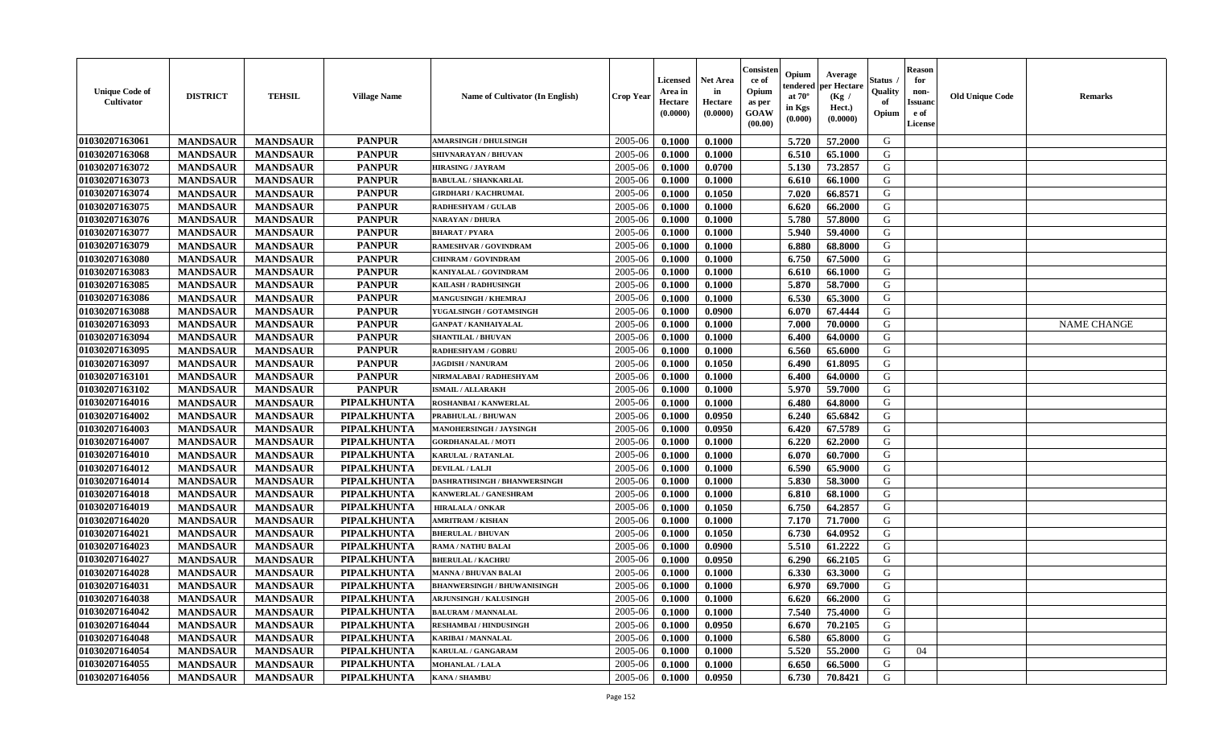| <b>Unique Code of</b><br>Cultivator | <b>DISTRICT</b> | <b>TEHSIL</b>   | <b>Village Name</b> | <b>Name of Cultivator (In English)</b> | <b>Crop Year</b> | Licensed<br>Area in<br>Hectare<br>(0.0000) | Net Area<br>in<br>Hectare<br>(0.0000) | Consisteı<br>ce of<br>Opium<br>as per<br>GOAW<br>(00.00) | Opium<br>endered<br>at $70^\circ$<br>in Kgs<br>(0.000) | Average<br>per Hectare<br>(Kg /<br>Hect.)<br>(0.0000) | Status<br>Quality<br>of<br>Opium | <b>Reason</b><br>for<br>non-<br>Issuano<br>e of<br>License | <b>Old Unique Code</b> | Remarks            |
|-------------------------------------|-----------------|-----------------|---------------------|----------------------------------------|------------------|--------------------------------------------|---------------------------------------|----------------------------------------------------------|--------------------------------------------------------|-------------------------------------------------------|----------------------------------|------------------------------------------------------------|------------------------|--------------------|
| 01030207163061                      | <b>MANDSAUR</b> | <b>MANDSAUR</b> | <b>PANPUR</b>       | <b>AMARSINGH / DHULSINGH</b>           | 2005-06          | 0.1000                                     | 0.1000                                |                                                          | 5.720                                                  | 57.2000                                               | G                                |                                                            |                        |                    |
| 01030207163068                      | <b>MANDSAUR</b> | <b>MANDSAUR</b> | <b>PANPUR</b>       | SHIVNARAYAN / BHUVAN                   | 2005-06          | 0.1000                                     | 0.1000                                |                                                          | 6.510                                                  | 65.1000                                               | G                                |                                                            |                        |                    |
| 01030207163072                      | <b>MANDSAUR</b> | <b>MANDSAUR</b> | <b>PANPUR</b>       | <b>HIRASING / JAYRAM</b>               | 2005-06          | 0.1000                                     | 0.0700                                |                                                          | 5.130                                                  | 73.2857                                               | G                                |                                                            |                        |                    |
| 01030207163073                      | <b>MANDSAUR</b> | <b>MANDSAUR</b> | <b>PANPUR</b>       | <b>BABULAL / SHANKARLAL</b>            | 2005-06          | 0.1000                                     | 0.1000                                |                                                          | 6.610                                                  | 66.1000                                               | G                                |                                                            |                        |                    |
| 01030207163074                      | <b>MANDSAUR</b> | <b>MANDSAUR</b> | <b>PANPUR</b>       | <b>GIRDHARI / KACHRUMAL</b>            | 2005-06          | 0.1000                                     | 0.1050                                |                                                          | 7.020                                                  | 66.8571                                               | G                                |                                                            |                        |                    |
| 01030207163075                      | <b>MANDSAUR</b> | <b>MANDSAUR</b> | <b>PANPUR</b>       | <b>RADHESHYAM / GULAB</b>              | 2005-06          | 0.1000                                     | 0.1000                                |                                                          | 6.620                                                  | 66.2000                                               | G                                |                                                            |                        |                    |
| 01030207163076                      | <b>MANDSAUR</b> | <b>MANDSAUR</b> | <b>PANPUR</b>       | NARAYAN / DHURA                        | 2005-06          | 0.1000                                     | 0.1000                                |                                                          | 5.780                                                  | 57.8000                                               | G                                |                                                            |                        |                    |
| 01030207163077                      | <b>MANDSAUR</b> | <b>MANDSAUR</b> | <b>PANPUR</b>       | <b>BHARAT / PYARA</b>                  | 2005-06          | 0.1000                                     | 0.1000                                |                                                          | 5.940                                                  | 59.4000                                               | G                                |                                                            |                        |                    |
| 01030207163079                      | <b>MANDSAUR</b> | <b>MANDSAUR</b> | <b>PANPUR</b>       | RAMESHVAR / GOVINDRAM                  | 2005-06          | 0.1000                                     | 0.1000                                |                                                          | 6.880                                                  | 68.8000                                               | G                                |                                                            |                        |                    |
| 01030207163080                      | <b>MANDSAUR</b> | <b>MANDSAUR</b> | <b>PANPUR</b>       | <b>CHINRAM / GOVINDRAM</b>             | 2005-06          | 0.1000                                     | 0.1000                                |                                                          | 6.750                                                  | 67.5000                                               | G                                |                                                            |                        |                    |
| 01030207163083                      | <b>MANDSAUR</b> | <b>MANDSAUR</b> | <b>PANPUR</b>       | KANIYALAL / GOVINDRAM                  | 2005-06          | 0.1000                                     | 0.1000                                |                                                          | 6.610                                                  | 66.1000                                               | G                                |                                                            |                        |                    |
| 01030207163085                      | <b>MANDSAUR</b> | <b>MANDSAUR</b> | <b>PANPUR</b>       | <b>KAILASH / RADHUSINGH</b>            | 2005-06          | 0.1000                                     | 0.1000                                |                                                          | 5.870                                                  | 58.7000                                               | G                                |                                                            |                        |                    |
| 01030207163086                      | <b>MANDSAUR</b> | <b>MANDSAUR</b> | <b>PANPUR</b>       | <b>MANGUSINGH / KHEMRAJ</b>            | 2005-06          | 0.1000                                     | 0.1000                                |                                                          | 6.530                                                  | 65.3000                                               | G                                |                                                            |                        |                    |
| 01030207163088                      | <b>MANDSAUR</b> | <b>MANDSAUR</b> | <b>PANPUR</b>       | YUGALSINGH / GOTAMSINGH                | 2005-06          | 0.1000                                     | 0.0900                                |                                                          | 6.070                                                  | 67.4444                                               | G                                |                                                            |                        |                    |
| 01030207163093                      | <b>MANDSAUR</b> | <b>MANDSAUR</b> | <b>PANPUR</b>       | <b>GANPAT / KANHAIYALAL</b>            | 2005-06          | 0.1000                                     | 0.1000                                |                                                          | 7.000                                                  | 70.0000                                               | $\mathbf G$                      |                                                            |                        | <b>NAME CHANGE</b> |
| 01030207163094                      | <b>MANDSAUR</b> | <b>MANDSAUR</b> | <b>PANPUR</b>       | <b>SHANTILAL / BHUVAN</b>              | 2005-06          | 0.1000                                     | 0.1000                                |                                                          | 6.400                                                  | 64.0000                                               | G                                |                                                            |                        |                    |
| 01030207163095                      | <b>MANDSAUR</b> | <b>MANDSAUR</b> | <b>PANPUR</b>       | <b>RADHESHYAM / GOBRU</b>              | 2005-06          | 0.1000                                     | 0.1000                                |                                                          | 6.560                                                  | 65.6000                                               | G                                |                                                            |                        |                    |
| 01030207163097                      | <b>MANDSAUR</b> | <b>MANDSAUR</b> | <b>PANPUR</b>       | <b>JAGDISH / NANURAM</b>               | 2005-06          | 0.1000                                     | 0.1050                                |                                                          | 6.490                                                  | 61.8095                                               | G                                |                                                            |                        |                    |
| 01030207163101                      | <b>MANDSAUR</b> | <b>MANDSAUR</b> | <b>PANPUR</b>       | NIRMALABAI / RADHESHYAM                | 2005-06          | 0.1000                                     | 0.1000                                |                                                          | 6.400                                                  | 64.0000                                               | G                                |                                                            |                        |                    |
| 01030207163102                      | <b>MANDSAUR</b> | <b>MANDSAUR</b> | <b>PANPUR</b>       | <b>ISMAIL/ALLARAKH</b>                 | 2005-06          | 0.1000                                     | 0.1000                                |                                                          | 5.970                                                  | 59.7000                                               | G                                |                                                            |                        |                    |
| 01030207164016                      | <b>MANDSAUR</b> | <b>MANDSAUR</b> | PIPALKHUNTA         | <b>ROSHANBAI/KANWERLAL</b>             | 2005-06          | 0.1000                                     | 0.1000                                |                                                          | 6.480                                                  | 64.8000                                               | G                                |                                                            |                        |                    |
| 01030207164002                      | <b>MANDSAUR</b> | <b>MANDSAUR</b> | PIPALKHUNTA         | PRABHULAL / BHUWAN                     | 2005-06          | 0.1000                                     | 0.0950                                |                                                          | 6.240                                                  | 65.6842                                               | G                                |                                                            |                        |                    |
| 01030207164003                      | <b>MANDSAUR</b> | <b>MANDSAUR</b> | PIPALKHUNTA         | MANOHERSINGH / JAYSINGH                | 2005-06          | 0.1000                                     | 0.0950                                |                                                          | 6.420                                                  | 67.5789                                               | G                                |                                                            |                        |                    |
| 01030207164007                      | <b>MANDSAUR</b> | <b>MANDSAUR</b> | PIPALKHUNTA         | <b>GORDHANALAL / MOTI</b>              | 2005-06          | 0.1000                                     | 0.1000                                |                                                          | 6.220                                                  | 62.2000                                               | G                                |                                                            |                        |                    |
| 01030207164010                      | <b>MANDSAUR</b> | <b>MANDSAUR</b> | PIPALKHUNTA         | <b>KARULAL / RATANLAL</b>              | 2005-06          | 0.1000                                     | 0.1000                                |                                                          | 6.070                                                  | 60.7000                                               | G                                |                                                            |                        |                    |
| 01030207164012                      | <b>MANDSAUR</b> | <b>MANDSAUR</b> | PIPALKHUNTA         | DEVILAL / LALJI                        | 2005-06          | 0.1000                                     | 0.1000                                |                                                          | 6.590                                                  | 65.9000                                               | G                                |                                                            |                        |                    |
| 01030207164014                      | <b>MANDSAUR</b> | <b>MANDSAUR</b> | <b>PIPALKHUNTA</b>  | DASHRATHSINGH / BHANWERSINGH           | 2005-06          | 0.1000                                     | 0.1000                                |                                                          | 5.830                                                  | 58.3000                                               | G                                |                                                            |                        |                    |
| 01030207164018                      | <b>MANDSAUR</b> | <b>MANDSAUR</b> | PIPALKHUNTA         | KANWERLAL / GANESHRAM                  | 2005-06          | 0.1000                                     | 0.1000                                |                                                          | 6.810                                                  | 68.1000                                               | G                                |                                                            |                        |                    |
| 01030207164019                      | <b>MANDSAUR</b> | <b>MANDSAUR</b> | PIPALKHUNTA         | <b>HIRALALA / ONKAR</b>                | 2005-06          | 0.1000                                     | 0.1050                                |                                                          | 6.750                                                  | 64.2857                                               | G                                |                                                            |                        |                    |
| 01030207164020                      | <b>MANDSAUR</b> | <b>MANDSAUR</b> | <b>PIPALKHUNTA</b>  | <b>AMRITRAM / KISHAN</b>               | 2005-06          | 0.1000                                     | 0.1000                                |                                                          | 7.170                                                  | 71.7000                                               | G                                |                                                            |                        |                    |
| 01030207164021                      | <b>MANDSAUR</b> | <b>MANDSAUR</b> | PIPALKHUNTA         | <b>BHERULAL / BHUVAN</b>               | 2005-06          | 0.1000                                     | 0.1050                                |                                                          | 6.730                                                  | 64.0952                                               | G                                |                                                            |                        |                    |
| 01030207164023                      | <b>MANDSAUR</b> | <b>MANDSAUR</b> | PIPALKHUNTA         | RAMA / NATHU BALAI                     | 2005-06          | 0.1000                                     | 0.0900                                |                                                          | 5.510                                                  | 61.2222                                               | G                                |                                                            |                        |                    |
| 01030207164027                      | <b>MANDSAUR</b> | <b>MANDSAUR</b> | PIPALKHUNTA         | <b>BHERULAL / KACHRU</b>               | 2005-06          | 0.1000                                     | 0.0950                                |                                                          | 6.290                                                  | 66.2105                                               | G                                |                                                            |                        |                    |
| 01030207164028                      | <b>MANDSAUR</b> | <b>MANDSAUR</b> | <b>PIPALKHUNTA</b>  | <b>MANNA / BHUVAN BALAI</b>            | 2005-06          | 0.1000                                     | 0.1000                                |                                                          | 6.330                                                  | 63.3000                                               | G                                |                                                            |                        |                    |
| 01030207164031                      | <b>MANDSAUR</b> | <b>MANDSAUR</b> | PIPALKHUNTA         | <b>BHANWERSINGH / BHUWANISINGH</b>     | 2005-06          | 0.1000                                     | 0.1000                                |                                                          | 6.970                                                  | 69.7000                                               | G                                |                                                            |                        |                    |
| 01030207164038                      | <b>MANDSAUR</b> | <b>MANDSAUR</b> | <b>PIPALKHUNTA</b>  | <b>ARJUNSINGH / KALUSINGH</b>          | 2005-06          | 0.1000                                     | 0.1000                                |                                                          | 6.620                                                  | 66.2000                                               | G                                |                                                            |                        |                    |
| 01030207164042                      | <b>MANDSAUR</b> | <b>MANDSAUR</b> | PIPALKHUNTA         | <b>BALURAM / MANNALAL</b>              | 2005-06          | 0.1000                                     | 0.1000                                |                                                          | 7.540                                                  | 75.4000                                               | G                                |                                                            |                        |                    |
| 01030207164044                      | <b>MANDSAUR</b> | <b>MANDSAUR</b> | <b>PIPALKHUNTA</b>  | <b>RESHAMBAI / HINDUSINGH</b>          | 2005-06          | 0.1000                                     | 0.0950                                |                                                          | 6.670                                                  | 70.2105                                               | G                                |                                                            |                        |                    |
| 01030207164048                      | <b>MANDSAUR</b> | <b>MANDSAUR</b> | PIPALKHUNTA         | KARIBAI / MANNALAL                     | 2005-06          | 0.1000                                     | 0.1000                                |                                                          | 6.580                                                  | 65.8000                                               | G                                |                                                            |                        |                    |
| 01030207164054                      | <b>MANDSAUR</b> | <b>MANDSAUR</b> | <b>PIPALKHUNTA</b>  | <b>KARULAL / GANGARAM</b>              | 2005-06          | 0.1000                                     | 0.1000                                |                                                          | 5.520                                                  | 55.2000                                               | G                                | 04                                                         |                        |                    |
| 01030207164055                      | <b>MANDSAUR</b> | <b>MANDSAUR</b> | PIPALKHUNTA         | <b>MOHANLAL / LALA</b>                 | 2005-06          | 0.1000                                     | 0.1000                                |                                                          | 6.650                                                  | 66.5000                                               | G                                |                                                            |                        |                    |
| 01030207164056                      | <b>MANDSAUR</b> | <b>MANDSAUR</b> | PIPALKHUNTA         | <b>KANA / SHAMBU</b>                   | 2005-06          | 0.1000                                     | 0.0950                                |                                                          | 6.730                                                  | 70.8421                                               | G                                |                                                            |                        |                    |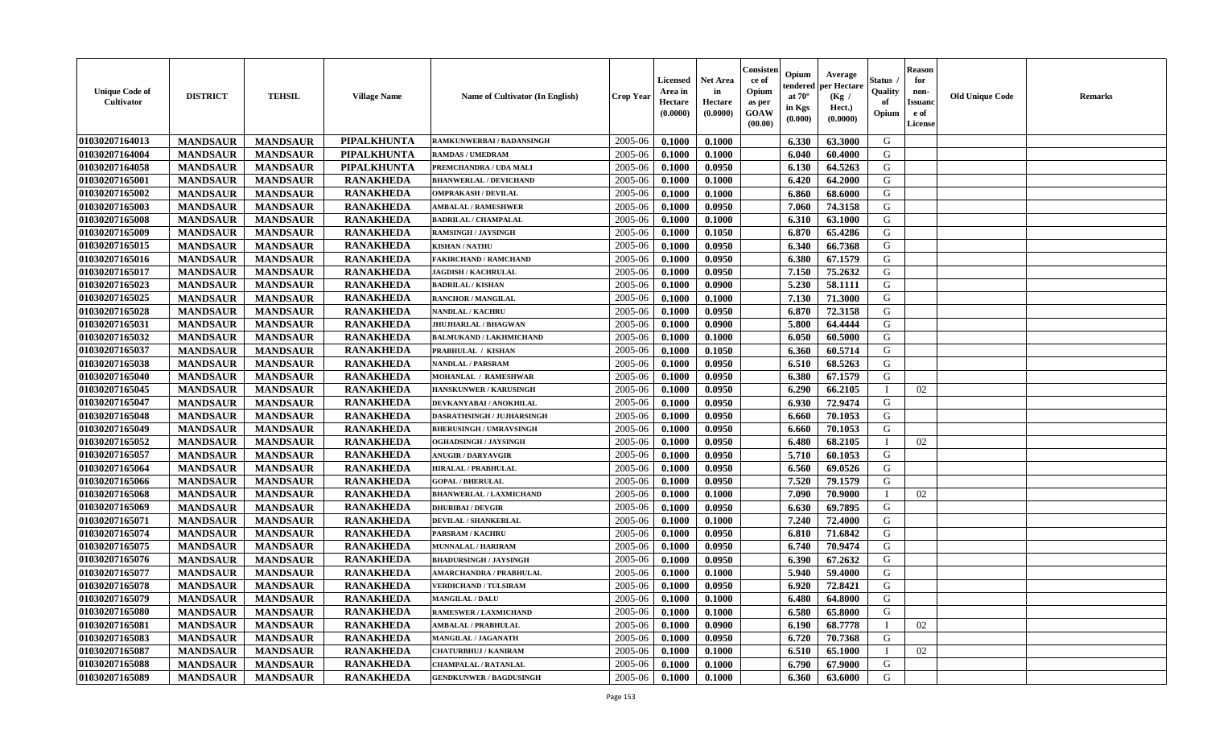| <b>Unique Code of</b><br><b>Cultivator</b> | <b>DISTRICT</b> | <b>TEHSIL</b>   | <b>Village Name</b> | <b>Name of Cultivator (In English)</b> | <b>Crop Year</b> | <b>Licensed</b><br>Area in<br>Hectare<br>(0.0000) | <b>Net Area</b><br>in<br>Hectare<br>(0.0000) | Consister<br>ce of<br>Opium<br>as per<br><b>GOAW</b><br>(00.00) | Opium<br>endered<br>at $70^\circ$<br>in Kgs<br>$(\mathbf{0.000})$ | Average<br>per Hectare<br>(Kg)<br>Hect.)<br>(0.0000) | Status<br>Quality<br>of<br>Opium | <b>Reason</b><br>for<br>non-<br><b>Issuano</b><br>e of<br>License | <b>Old Unique Code</b> | <b>Remarks</b> |
|--------------------------------------------|-----------------|-----------------|---------------------|----------------------------------------|------------------|---------------------------------------------------|----------------------------------------------|-----------------------------------------------------------------|-------------------------------------------------------------------|------------------------------------------------------|----------------------------------|-------------------------------------------------------------------|------------------------|----------------|
| 01030207164013                             | <b>MANDSAUR</b> | <b>MANDSAUR</b> | <b>PIPALKHUNTA</b>  | RAMKUNWERBAI / BADANSINGH              | 2005-06          | 0.1000                                            | 0.1000                                       |                                                                 | 6.330                                                             | 63.3000                                              | G                                |                                                                   |                        |                |
| 01030207164004                             | <b>MANDSAUR</b> | <b>MANDSAUR</b> | PIPALKHUNTA         | <b>RAMDAS / UMEDRAM</b>                | 2005-06          | 0.1000                                            | 0.1000                                       |                                                                 | 6.040                                                             | 60.4000                                              | G                                |                                                                   |                        |                |
| 01030207164058                             | <b>MANDSAUR</b> | <b>MANDSAUR</b> | <b>PIPALKHUNTA</b>  | PREMCHANDRA / UDA MALI                 | 2005-06          | 0.1000                                            | 0.0950                                       |                                                                 | 6.130                                                             | 64.5263                                              | G                                |                                                                   |                        |                |
| 01030207165001                             | <b>MANDSAUR</b> | <b>MANDSAUR</b> | <b>RANAKHEDA</b>    | <b>BHANWERLAL / DEVICHAND</b>          | 2005-06          | 0.1000                                            | 0.1000                                       |                                                                 | 6.420                                                             | 64.2000                                              | G                                |                                                                   |                        |                |
| 01030207165002                             | <b>MANDSAUR</b> | <b>MANDSAUR</b> | <b>RANAKHEDA</b>    | <b>OMPRAKASH / DEVILAL</b>             | 2005-06          | 0.1000                                            | 0.1000                                       |                                                                 | 6.860                                                             | 68.6000                                              | G                                |                                                                   |                        |                |
| 01030207165003                             | <b>MANDSAUR</b> | <b>MANDSAUR</b> | <b>RANAKHEDA</b>    | <b>AMBALAL / RAMESHWER</b>             | 2005-06          | 0.1000                                            | 0.0950                                       |                                                                 | 7.060                                                             | 74.3158                                              | G                                |                                                                   |                        |                |
| 01030207165008                             | <b>MANDSAUR</b> | <b>MANDSAUR</b> | <b>RANAKHEDA</b>    | <b>BADRILAL / CHAMPALAL</b>            | 2005-06          | 0.1000                                            | 0.1000                                       |                                                                 | 6.310                                                             | 63.1000                                              | G                                |                                                                   |                        |                |
| 01030207165009                             | <b>MANDSAUR</b> | <b>MANDSAUR</b> | <b>RANAKHEDA</b>    | <b>RAMSINGH / JAYSINGH</b>             | 2005-06          | 0.1000                                            | 0.1050                                       |                                                                 | 6.870                                                             | 65.4286                                              | G                                |                                                                   |                        |                |
| 01030207165015                             | <b>MANDSAUR</b> | <b>MANDSAUR</b> | <b>RANAKHEDA</b>    | <b>KISHAN / NATHU</b>                  | 2005-06          | 0.1000                                            | 0.0950                                       |                                                                 | 6.340                                                             | 66.7368                                              | G                                |                                                                   |                        |                |
| 01030207165016                             | <b>MANDSAUR</b> | <b>MANDSAUR</b> | <b>RANAKHEDA</b>    | <b>FAKIRCHAND / RAMCHAND</b>           | 2005-06          | 0.1000                                            | 0.0950                                       |                                                                 | 6.380                                                             | 67.1579                                              | G                                |                                                                   |                        |                |
| 01030207165017                             | <b>MANDSAUR</b> | <b>MANDSAUR</b> | <b>RANAKHEDA</b>    | <b>JAGDISH / KACHRULAL</b>             | 2005-06          | 0.1000                                            | 0.0950                                       |                                                                 | 7.150                                                             | 75.2632                                              | G                                |                                                                   |                        |                |
| 01030207165023                             | <b>MANDSAUR</b> | <b>MANDSAUR</b> | <b>RANAKHEDA</b>    | <b>BADRILAL / KISHAN</b>               | 2005-06          | 0.1000                                            | 0.0900                                       |                                                                 | 5.230                                                             | 58.1111                                              | G                                |                                                                   |                        |                |
| 01030207165025                             | <b>MANDSAUR</b> | <b>MANDSAUR</b> | <b>RANAKHEDA</b>    | <b>RANCHOR / MANGILAL</b>              | 2005-06          | 0.1000                                            | 0.1000                                       |                                                                 | 7.130                                                             | 71.3000                                              | G                                |                                                                   |                        |                |
| 01030207165028                             | <b>MANDSAUR</b> | <b>MANDSAUR</b> | <b>RANAKHEDA</b>    | <b>NANDLAL / KACHRU</b>                | 2005-06          | 0.1000                                            | 0.0950                                       |                                                                 | 6.870                                                             | 72.3158                                              | G                                |                                                                   |                        |                |
| 01030207165031                             | <b>MANDSAUR</b> | <b>MANDSAUR</b> | <b>RANAKHEDA</b>    | JHUJHARLAL / BHAGWAN                   | 2005-06          | 0.1000                                            | 0.0900                                       |                                                                 | 5.800                                                             | 64.4444                                              | G                                |                                                                   |                        |                |
| 01030207165032                             | <b>MANDSAUR</b> | <b>MANDSAUR</b> | <b>RANAKHEDA</b>    | <b>BALMUKAND / LAKHMICHAND</b>         | 2005-06          | 0.1000                                            | 0.1000                                       |                                                                 | 6.050                                                             | 60.5000                                              | G                                |                                                                   |                        |                |
| 01030207165037                             | <b>MANDSAUR</b> | <b>MANDSAUR</b> | <b>RANAKHEDA</b>    | PRABHULAL / KISHAN                     | 2005-06          | 0.1000                                            | 0.1050                                       |                                                                 | 6.360                                                             | 60.5714                                              | G                                |                                                                   |                        |                |
| 01030207165038                             | <b>MANDSAUR</b> | <b>MANDSAUR</b> | <b>RANAKHEDA</b>    | <b>NANDLAL / PARSRAM</b>               | 2005-06          | 0.1000                                            | 0.0950                                       |                                                                 | 6.510                                                             | 68.5263                                              | G                                |                                                                   |                        |                |
| 01030207165040                             | <b>MANDSAUR</b> | <b>MANDSAUR</b> | <b>RANAKHEDA</b>    | MOHANLAL / RAMESHWAR                   | 2005-06          | 0.1000                                            | 0.0950                                       |                                                                 | 6.380                                                             | 67.1579                                              | G                                |                                                                   |                        |                |
| 01030207165045                             | <b>MANDSAUR</b> | <b>MANDSAUR</b> | <b>RANAKHEDA</b>    | HANSKUNWER / KARUSINGH                 | 2005-06          | 0.1000                                            | 0.0950                                       |                                                                 | 6.290                                                             | 66.2105                                              | - 1                              | 02                                                                |                        |                |
| 01030207165047                             | <b>MANDSAUR</b> | <b>MANDSAUR</b> | <b>RANAKHEDA</b>    | DEVKANYABAI / ANOKHILAL                | 2005-06          | 0.1000                                            | 0.0950                                       |                                                                 | 6.930                                                             | 72.9474                                              | G                                |                                                                   |                        |                |
| 01030207165048                             | <b>MANDSAUR</b> | <b>MANDSAUR</b> | <b>RANAKHEDA</b>    | DASRATHSINGH / JUJHARSINGH             | 2005-06          | 0.1000                                            | 0.0950                                       |                                                                 | 6.660                                                             | 70.1053                                              | G                                |                                                                   |                        |                |
| 01030207165049                             | <b>MANDSAUR</b> | <b>MANDSAUR</b> | <b>RANAKHEDA</b>    | <b>BHERUSINGH / UMRAVSINGH</b>         | 2005-06          | 0.1000                                            | 0.0950                                       |                                                                 | 6.660                                                             | 70.1053                                              | G                                |                                                                   |                        |                |
|                                            |                 |                 |                     |                                        |                  |                                                   |                                              |                                                                 |                                                                   |                                                      | П                                |                                                                   |                        |                |
| 01030207165052                             | <b>MANDSAUR</b> | <b>MANDSAUR</b> | <b>RANAKHEDA</b>    | OGHADSINGH / JAYSINGH                  | 2005-06          | 0.1000                                            | 0.0950                                       |                                                                 | 6.480                                                             | 68.2105                                              | G                                | 02                                                                |                        |                |
| 01030207165057                             | <b>MANDSAUR</b> | <b>MANDSAUR</b> | <b>RANAKHEDA</b>    | <b>ANUGIR / DARYAVGIR</b>              | 2005-06          | 0.1000                                            | 0.0950                                       |                                                                 | 5.710                                                             | 60.1053                                              |                                  |                                                                   |                        |                |
| 01030207165064                             | <b>MANDSAUR</b> | <b>MANDSAUR</b> | <b>RANAKHEDA</b>    | <b>HIRALAL / PRABHULAL</b>             | 2005-06          | 0.1000                                            | 0.0950                                       |                                                                 | 6.560                                                             | 69.0526                                              | G                                |                                                                   |                        |                |
| 01030207165066                             | <b>MANDSAUR</b> | <b>MANDSAUR</b> | <b>RANAKHEDA</b>    | <b>GOPAL/BHERULAL</b>                  | 2005-06          | 0.1000                                            | 0.0950                                       |                                                                 | 7.520                                                             | 79.1579                                              | G                                |                                                                   |                        |                |
| 01030207165068                             | <b>MANDSAUR</b> | <b>MANDSAUR</b> | <b>RANAKHEDA</b>    | <b>BHANWERLAL / LAXMICHAND</b>         | 2005-06          | 0.1000                                            | 0.1000                                       |                                                                 | 7.090                                                             | 70.9000                                              | П                                | 02                                                                |                        |                |
| 01030207165069                             | <b>MANDSAUR</b> | <b>MANDSAUR</b> | <b>RANAKHEDA</b>    | <b>DHURIBAI / DEVGIR</b>               | 2005-06          | 0.1000                                            | 0.0950                                       |                                                                 | 6.630                                                             | 69.7895                                              | G                                |                                                                   |                        |                |
| 01030207165071                             | <b>MANDSAUR</b> | <b>MANDSAUR</b> | <b>RANAKHEDA</b>    | <b>DEVILAL / SHANKERLAL</b>            | 2005-06          | 0.1000                                            | 0.1000                                       |                                                                 | 7.240                                                             | 72.4000                                              | G                                |                                                                   |                        |                |
| 01030207165074                             | <b>MANDSAUR</b> | <b>MANDSAUR</b> | <b>RANAKHEDA</b>    | PARSRAM / KACHRU                       | 2005-06          | 0.1000                                            | 0.0950                                       |                                                                 | 6.810                                                             | 71.6842                                              | G                                |                                                                   |                        |                |
| 01030207165075                             | <b>MANDSAUR</b> | <b>MANDSAUR</b> | <b>RANAKHEDA</b>    | MUNNALAL / HARIRAM                     | 2005-06          | 0.1000                                            | 0.0950                                       |                                                                 | 6.740                                                             | 70.9474                                              | G                                |                                                                   |                        |                |
| 01030207165076                             | <b>MANDSAUR</b> | <b>MANDSAUR</b> | <b>RANAKHEDA</b>    | <b>BHADURSINGH / JAYSINGH</b>          | 2005-06          | 0.1000                                            | 0.0950                                       |                                                                 | 6.390                                                             | 67.2632                                              | G                                |                                                                   |                        |                |
| 01030207165077                             | <b>MANDSAUR</b> | <b>MANDSAUR</b> | <b>RANAKHEDA</b>    | <b>AMARCHANDRA / PRABHULAL</b>         | 2005-06          | 0.1000                                            | 0.1000                                       |                                                                 | 5.940                                                             | 59.4000                                              | G                                |                                                                   |                        |                |
| 01030207165078                             | <b>MANDSAUR</b> | <b>MANDSAUR</b> | <b>RANAKHEDA</b>    | VERDICHAND / TULSIRAM                  | 2005-06          | 0.1000                                            | 0.0950                                       |                                                                 | 6.920                                                             | 72.8421                                              | G                                |                                                                   |                        |                |
| 01030207165079                             | <b>MANDSAUR</b> | <b>MANDSAUR</b> | <b>RANAKHEDA</b>    | <b>MANGILAL / DALU</b>                 | $2005 - 06$      | 0.1000                                            | 0.1000                                       |                                                                 | 6.480                                                             | 64.8000                                              | G                                |                                                                   |                        |                |
| 01030207165080                             | <b>MANDSAUR</b> | <b>MANDSAUR</b> | <b>RANAKHEDA</b>    | <b>RAMESWER / LAXMICHAND</b>           | 2005-06          | 0.1000                                            | 0.1000                                       |                                                                 | 6.580                                                             | 65.8000                                              | G                                |                                                                   |                        |                |
| <b>01030207165081</b>                      | <b>MANDSAUR</b> | <b>MANDSAUR</b> | <b>RANAKHEDA</b>    | <b>AMBALAL / PRABHULAL</b>             | 2005-06          | 0.1000                                            | 0.0900                                       |                                                                 | 6.190                                                             | 68.7778                                              |                                  | 02                                                                |                        |                |
| 01030207165083                             | <b>MANDSAUR</b> | <b>MANDSAUR</b> | <b>RANAKHEDA</b>    | MANGILAL / JAGANATH                    | 2005-06          | 0.1000                                            | 0.0950                                       |                                                                 | 6.720                                                             | 70.7368                                              | G                                |                                                                   |                        |                |
| 01030207165087                             | <b>MANDSAUR</b> | <b>MANDSAUR</b> | <b>RANAKHEDA</b>    | <b>CHATURBHUJ / KANIRAM</b>            | 2005-06          | 0.1000                                            | 0.1000                                       |                                                                 | 6.510                                                             | 65.1000                                              |                                  | 02                                                                |                        |                |
| 01030207165088                             | <b>MANDSAUR</b> | <b>MANDSAUR</b> | <b>RANAKHEDA</b>    | <b>CHAMPALAL / RATANLAL</b>            | 2005-06          | 0.1000                                            | 0.1000                                       |                                                                 | 6.790                                                             | 67.9000                                              | G                                |                                                                   |                        |                |
| 01030207165089                             | <b>MANDSAUR</b> | <b>MANDSAUR</b> | <b>RANAKHEDA</b>    | <b>GENDKUNWER / BAGDUSINGH</b>         | 2005-06          | 0.1000                                            | 0.1000                                       |                                                                 | 6.360                                                             | 63.6000                                              | G                                |                                                                   |                        |                |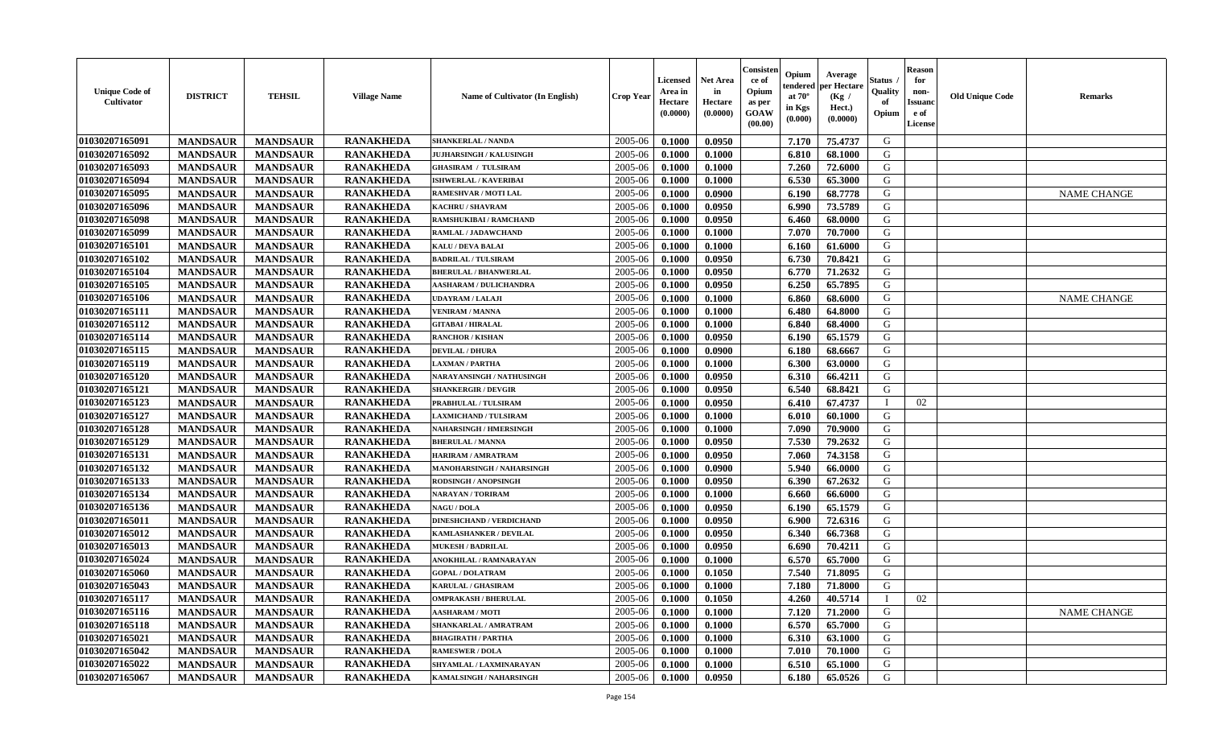| <b>Unique Code of</b><br>Cultivator | <b>DISTRICT</b> | <b>TEHSIL</b>   | <b>Village Name</b> | Name of Cultivator (In English)  | <b>Crop Year</b> | <b>Licensed</b><br>Area in<br>Hectare<br>(0.0000) | <b>Net Area</b><br>in<br>Hectare<br>(0.0000) | Consister<br>ce of<br>Opium<br>as per<br><b>GOAW</b><br>(00.00) | Opium<br>tendere<br>at $70^\circ$<br>in Kgs<br>(0.000) | Average<br>per Hectare<br>(Kg /<br>Hect.)<br>(0.0000) | Status<br>Quality<br>of<br>Opium | <b>Reason</b><br>for<br>non-<br>Issuan<br>e of<br>License | <b>Old Unique Code</b> | <b>Remarks</b>     |
|-------------------------------------|-----------------|-----------------|---------------------|----------------------------------|------------------|---------------------------------------------------|----------------------------------------------|-----------------------------------------------------------------|--------------------------------------------------------|-------------------------------------------------------|----------------------------------|-----------------------------------------------------------|------------------------|--------------------|
| 01030207165091                      | <b>MANDSAUR</b> | <b>MANDSAUR</b> | <b>RANAKHEDA</b>    | <b>SHANKERLAL / NANDA</b>        | 2005-06          | 0.1000                                            | 0.0950                                       |                                                                 | 7.170                                                  | 75.4737                                               | G                                |                                                           |                        |                    |
| 01030207165092                      | <b>MANDSAUR</b> | <b>MANDSAUR</b> | <b>RANAKHEDA</b>    | <b>JUJHARSINGH / KALUSINGH</b>   | 2005-06          | 0.1000                                            | 0.1000                                       |                                                                 | 6.810                                                  | 68.1000                                               | G                                |                                                           |                        |                    |
| 01030207165093                      | <b>MANDSAUR</b> | <b>MANDSAUR</b> | <b>RANAKHEDA</b>    | <b>GHASIRAM / TULSIRAM</b>       | 2005-06          | 0.1000                                            | 0.1000                                       |                                                                 | 7.260                                                  | 72.6000                                               | G                                |                                                           |                        |                    |
| 01030207165094                      | <b>MANDSAUR</b> | <b>MANDSAUR</b> | <b>RANAKHEDA</b>    | <b>ISHWERLAL / KAVERIBAI</b>     | 2005-06          | 0.1000                                            | 0.1000                                       |                                                                 | 6.530                                                  | 65.3000                                               | G                                |                                                           |                        |                    |
| 01030207165095                      | <b>MANDSAUR</b> | <b>MANDSAUR</b> | <b>RANAKHEDA</b>    | <b>RAMESHVAR / MOTI LAL</b>      | 2005-06          | 0.1000                                            | 0.0900                                       |                                                                 | 6.190                                                  | 68.7778                                               | G                                |                                                           |                        | <b>NAME CHANGE</b> |
| 01030207165096                      | <b>MANDSAUR</b> | <b>MANDSAUR</b> | <b>RANAKHEDA</b>    | <b>KACHRU / SHAVRAM</b>          | 2005-06          | 0.1000                                            | 0.0950                                       |                                                                 | 6.990                                                  | 73.5789                                               | G                                |                                                           |                        |                    |
| 01030207165098                      | <b>MANDSAUR</b> | <b>MANDSAUR</b> | <b>RANAKHEDA</b>    | <b>RAMSHUKIBAI / RAMCHAND</b>    | 2005-06          | 0.1000                                            | 0.0950                                       |                                                                 | 6.460                                                  | 68.0000                                               | G                                |                                                           |                        |                    |
| 01030207165099                      | <b>MANDSAUR</b> | <b>MANDSAUR</b> | <b>RANAKHEDA</b>    | RAMLAL / JADAWCHAND              | 2005-06          | 0.1000                                            | 0.1000                                       |                                                                 | 7.070                                                  | 70.7000                                               | G                                |                                                           |                        |                    |
| 01030207165101                      | <b>MANDSAUR</b> | <b>MANDSAUR</b> | <b>RANAKHEDA</b>    | <b>KALU / DEVA BALAI</b>         | 2005-06          | 0.1000                                            | 0.1000                                       |                                                                 | 6.160                                                  | 61.6000                                               | G                                |                                                           |                        |                    |
| 01030207165102                      | <b>MANDSAUR</b> | <b>MANDSAUR</b> | <b>RANAKHEDA</b>    | <b>BADRILAL / TULSIRAM</b>       | 2005-06          | 0.1000                                            | 0.0950                                       |                                                                 | 6.730                                                  | 70.8421                                               | G                                |                                                           |                        |                    |
| 01030207165104                      | <b>MANDSAUR</b> | <b>MANDSAUR</b> | <b>RANAKHEDA</b>    | <b>BHERULAL / BHANWERLAL</b>     | 2005-06          | 0.1000                                            | 0.0950                                       |                                                                 | 6.770                                                  | 71.2632                                               | G                                |                                                           |                        |                    |
| 01030207165105                      | <b>MANDSAUR</b> | <b>MANDSAUR</b> | <b>RANAKHEDA</b>    | <b>AASHARAM / DULICHANDRA</b>    | 2005-06          | 0.1000                                            | 0.0950                                       |                                                                 | 6.250                                                  | 65.7895                                               | G                                |                                                           |                        |                    |
| 01030207165106                      | <b>MANDSAUR</b> | <b>MANDSAUR</b> | <b>RANAKHEDA</b>    | <b>UDAYRAM / LALAJI</b>          | 2005-06          | 0.1000                                            | 0.1000                                       |                                                                 | 6.860                                                  | 68.6000                                               | G                                |                                                           |                        | <b>NAME CHANGE</b> |
| 01030207165111                      | <b>MANDSAUR</b> | <b>MANDSAUR</b> | <b>RANAKHEDA</b>    | <b>VENIRAM / MANNA</b>           | 2005-06          | 0.1000                                            | 0.1000                                       |                                                                 | 6.480                                                  | 64.8000                                               | G                                |                                                           |                        |                    |
| 01030207165112                      | <b>MANDSAUR</b> | <b>MANDSAUR</b> | <b>RANAKHEDA</b>    | <b>GITABAI/HIRALAL</b>           | 2005-06          | 0.1000                                            | 0.1000                                       |                                                                 | 6.840                                                  | 68.4000                                               | G                                |                                                           |                        |                    |
| 01030207165114                      | <b>MANDSAUR</b> | <b>MANDSAUR</b> | <b>RANAKHEDA</b>    | <b>RANCHOR / KISHAN</b>          | 2005-06          | 0.1000                                            | 0.0950                                       |                                                                 | 6.190                                                  | 65.1579                                               | G                                |                                                           |                        |                    |
| 01030207165115                      | <b>MANDSAUR</b> | <b>MANDSAUR</b> | <b>RANAKHEDA</b>    | <b>DEVILAL / DHURA</b>           | 2005-06          | 0.1000                                            | 0.0900                                       |                                                                 | 6.180                                                  | 68.6667                                               | G                                |                                                           |                        |                    |
| 01030207165119                      | <b>MANDSAUR</b> | <b>MANDSAUR</b> | <b>RANAKHEDA</b>    | <b>LAXMAN / PARTHA</b>           | 2005-06          | 0.1000                                            | 0.1000                                       |                                                                 | 6.300                                                  | 63.0000                                               | G                                |                                                           |                        |                    |
| 01030207165120                      | <b>MANDSAUR</b> | <b>MANDSAUR</b> | <b>RANAKHEDA</b>    | NARAYANSINGH / NATHUSINGH        | 2005-06          | 0.1000                                            | 0.0950                                       |                                                                 | 6.310                                                  | 66.4211                                               | G                                |                                                           |                        |                    |
| 01030207165121                      | <b>MANDSAUR</b> | <b>MANDSAUR</b> | <b>RANAKHEDA</b>    | <b>SHANKERGIR / DEVGIR</b>       | 2005-06          | 0.1000                                            | 0.0950                                       |                                                                 | 6.540                                                  | 68.8421                                               | G                                |                                                           |                        |                    |
| 01030207165123                      | <b>MANDSAUR</b> | <b>MANDSAUR</b> | <b>RANAKHEDA</b>    | PRABHULAL / TULSIRAM             | 2005-06          | 0.1000                                            | 0.0950                                       |                                                                 | 6.410                                                  | 67.4737                                               | - 1                              | 02                                                        |                        |                    |
| 01030207165127                      | <b>MANDSAUR</b> | <b>MANDSAUR</b> | <b>RANAKHEDA</b>    | AXMICHAND / TULSIRAM             | 2005-06          | 0.1000                                            | 0.1000                                       |                                                                 | 6.010                                                  | 60.1000                                               | G                                |                                                           |                        |                    |
| 01030207165128                      | <b>MANDSAUR</b> | <b>MANDSAUR</b> | <b>RANAKHEDA</b>    | <b>NAHARSINGH / HMERSINGH</b>    | 2005-06          | 0.1000                                            | 0.1000                                       |                                                                 | 7.090                                                  | 70.9000                                               | G                                |                                                           |                        |                    |
| 01030207165129                      | <b>MANDSAUR</b> | <b>MANDSAUR</b> | <b>RANAKHEDA</b>    | <b>BHERULAL / MANNA</b>          | 2005-06          | 0.1000                                            | 0.0950                                       |                                                                 | 7.530                                                  | 79.2632                                               | G                                |                                                           |                        |                    |
| 01030207165131                      | <b>MANDSAUR</b> | <b>MANDSAUR</b> | <b>RANAKHEDA</b>    | HARIRAM / AMRATRAM               | 2005-06          | 0.1000                                            | 0.0950                                       |                                                                 | 7.060                                                  | 74.3158                                               | G                                |                                                           |                        |                    |
| 01030207165132                      | <b>MANDSAUR</b> | <b>MANDSAUR</b> | <b>RANAKHEDA</b>    | <b>MANOHARSINGH / NAHARSINGH</b> | 2005-06          | 0.1000                                            | 0.0900                                       |                                                                 | 5.940                                                  | 66.0000                                               | G                                |                                                           |                        |                    |
| 01030207165133                      | <b>MANDSAUR</b> | <b>MANDSAUR</b> | <b>RANAKHEDA</b>    | <b>RODSINGH / ANOPSINGH</b>      | 2005-06          | 0.1000                                            | 0.0950                                       |                                                                 | 6.390                                                  | 67.2632                                               | G                                |                                                           |                        |                    |
| 01030207165134                      | <b>MANDSAUR</b> | <b>MANDSAUR</b> | <b>RANAKHEDA</b>    | NARAYAN / TORIRAM                | 2005-06          | 0.1000                                            | 0.1000                                       |                                                                 | 6.660                                                  | 66.6000                                               | G                                |                                                           |                        |                    |
| 01030207165136                      | <b>MANDSAUR</b> | <b>MANDSAUR</b> | <b>RANAKHEDA</b>    | <b>NAGU / DOLA</b>               | 2005-06          | 0.1000                                            | 0.0950                                       |                                                                 | 6.190                                                  | 65.1579                                               | G                                |                                                           |                        |                    |
| 01030207165011                      | <b>MANDSAUR</b> | <b>MANDSAUR</b> | <b>RANAKHEDA</b>    | <b>DINESHCHAND / VERDICHAND</b>  | 2005-06          | 0.1000                                            | 0.0950                                       |                                                                 | 6.900                                                  | 72.6316                                               | G                                |                                                           |                        |                    |
| 01030207165012                      | <b>MANDSAUR</b> | <b>MANDSAUR</b> | <b>RANAKHEDA</b>    | <b>KAMLASHANKER / DEVILAL</b>    | 2005-06          | 0.1000                                            | 0.0950                                       |                                                                 | 6.340                                                  | 66.7368                                               | G                                |                                                           |                        |                    |
| 01030207165013                      | <b>MANDSAUR</b> | <b>MANDSAUR</b> | <b>RANAKHEDA</b>    | <b>MUKESH / BADRILAL</b>         | 2005-06          | 0.1000                                            | 0.0950                                       |                                                                 | 6.690                                                  | 70.4211                                               | G                                |                                                           |                        |                    |
| 01030207165024                      | <b>MANDSAUR</b> | <b>MANDSAUR</b> | <b>RANAKHEDA</b>    | <b>ANOKHILAL / RAMNARAYAN</b>    | 2005-06          | 0.1000                                            | 0.1000                                       |                                                                 | 6.570                                                  | 65.7000                                               | G                                |                                                           |                        |                    |
| 01030207165060                      | <b>MANDSAUR</b> | <b>MANDSAUR</b> | <b>RANAKHEDA</b>    | <b>GOPAL/DOLATRAM</b>            | 2005-06          | 0.1000                                            | 0.1050                                       |                                                                 | 7.540                                                  | 71.8095                                               | G                                |                                                           |                        |                    |
| 01030207165043                      | <b>MANDSAUR</b> | <b>MANDSAUR</b> | <b>RANAKHEDA</b>    | <b>KARULAL / GHASIRAM</b>        | 2005-06          | 0.1000                                            | 0.1000                                       |                                                                 | 7.180                                                  | 71.8000                                               | G                                |                                                           |                        |                    |
| 01030207165117                      | <b>MANDSAUR</b> | <b>MANDSAUR</b> | <b>RANAKHEDA</b>    | <b>OMPRAKASH / BHERULAL</b>      | $2005 - 06$      | 0.1000                                            | 0.1050                                       |                                                                 | 4.260                                                  | 40.5714                                               | - 1                              | 02                                                        |                        |                    |
| 01030207165116                      | <b>MANDSAUR</b> | <b>MANDSAUR</b> | <b>RANAKHEDA</b>    | <b>AASHARAM / MOTI</b>           | 2005-06          | 0.1000                                            | 0.1000                                       |                                                                 | 7.120                                                  | 71.2000                                               | G                                |                                                           |                        | NAME CHANGE        |
| 01030207165118                      | <b>MANDSAUR</b> | <b>MANDSAUR</b> | <b>RANAKHEDA</b>    | SHANKARLAL / AMRATRAM            | 2005-06          | 0.1000                                            | 0.1000                                       |                                                                 | 6.570                                                  | 65.7000                                               | G                                |                                                           |                        |                    |
| 01030207165021                      | <b>MANDSAUR</b> | <b>MANDSAUR</b> | <b>RANAKHEDA</b>    | <b>BHAGIRATH / PARTHA</b>        | 2005-06          | 0.1000                                            | 0.1000                                       |                                                                 | 6.310                                                  | 63.1000                                               | G                                |                                                           |                        |                    |
| 01030207165042                      | <b>MANDSAUR</b> | <b>MANDSAUR</b> | <b>RANAKHEDA</b>    | <b>RAMESWER / DOLA</b>           | 2005-06          | 0.1000                                            | 0.1000                                       |                                                                 | 7.010                                                  | 70.1000                                               | G                                |                                                           |                        |                    |
| 01030207165022                      | <b>MANDSAUR</b> | <b>MANDSAUR</b> | <b>RANAKHEDA</b>    | SHYAMLAL / LAXMINARAYAN          | 2005-06          | 0.1000                                            | 0.1000                                       |                                                                 | 6.510                                                  | 65.1000                                               | G                                |                                                           |                        |                    |
| 01030207165067                      | <b>MANDSAUR</b> | <b>MANDSAUR</b> | <b>RANAKHEDA</b>    | KAMALSINGH / NAHARSINGH          | 2005-06          | 0.1000                                            | 0.0950                                       |                                                                 | 6.180                                                  | 65.0526                                               | G                                |                                                           |                        |                    |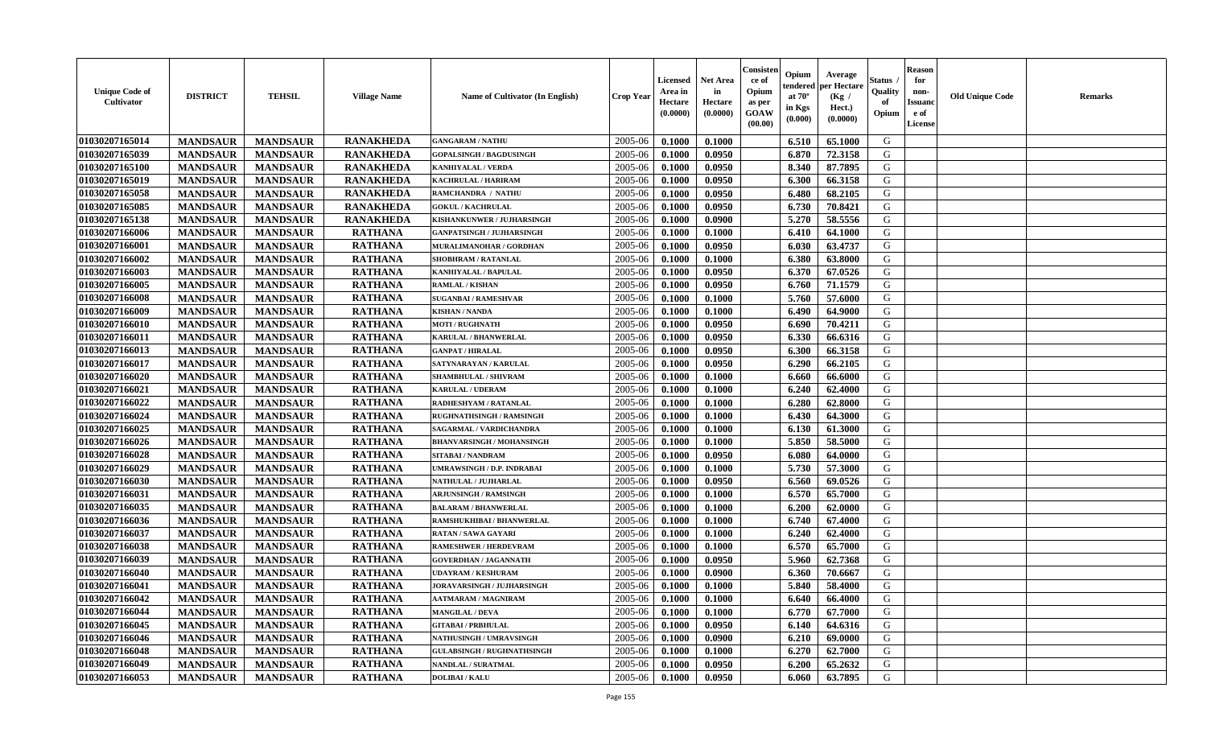| <b>Unique Code of</b><br><b>Cultivator</b> | <b>DISTRICT</b> | <b>TEHSIL</b>   | <b>Village Name</b> | <b>Name of Cultivator (In English)</b> | <b>Crop Year</b> | Licensed<br>Area in<br>Hectare<br>(0.0000) | <b>Net Area</b><br>in<br>Hectare<br>(0.0000) | Consister<br>ce of<br>Opium<br>as per<br>GOAW<br>(00.00) | Opium<br>endered<br>at $70^\circ$<br>in Kgs<br>(0.000) | Average<br>per Hectare<br>(Kg /<br>Hect.)<br>(0.0000) | <b>Status</b> .<br>Quality<br>of<br>Opium | <b>Reason</b><br>for<br>non-<br><b>Issuanc</b><br>e of<br>License | <b>Old Unique Code</b> | <b>Remarks</b> |
|--------------------------------------------|-----------------|-----------------|---------------------|----------------------------------------|------------------|--------------------------------------------|----------------------------------------------|----------------------------------------------------------|--------------------------------------------------------|-------------------------------------------------------|-------------------------------------------|-------------------------------------------------------------------|------------------------|----------------|
| 01030207165014                             | <b>MANDSAUR</b> | <b>MANDSAUR</b> | <b>RANAKHEDA</b>    | <b>GANGARAM / NATHU</b>                | 2005-06          | 0.1000                                     | 0.1000                                       |                                                          | 6.510                                                  | 65.1000                                               | G                                         |                                                                   |                        |                |
| 01030207165039                             | <b>MANDSAUR</b> | <b>MANDSAUR</b> | <b>RANAKHEDA</b>    | <b>GOPALSINGH / BAGDUSINGH</b>         | 2005-06          | 0.1000                                     | 0.0950                                       |                                                          | 6.870                                                  | 72.3158                                               | G                                         |                                                                   |                        |                |
| 01030207165100                             | <b>MANDSAUR</b> | <b>MANDSAUR</b> | <b>RANAKHEDA</b>    | <b>KANHIYALAL / VERDA</b>              | 2005-06          | 0.1000                                     | 0.0950                                       |                                                          | 8.340                                                  | 87.7895                                               | G                                         |                                                                   |                        |                |
| 01030207165019                             | <b>MANDSAUR</b> | <b>MANDSAUR</b> | <b>RANAKHEDA</b>    | <b>KACHRULAL / HARIRAM</b>             | 2005-06          | 0.1000                                     | 0.0950                                       |                                                          | 6.300                                                  | 66.3158                                               | G                                         |                                                                   |                        |                |
| 01030207165058                             | <b>MANDSAUR</b> | <b>MANDSAUR</b> | <b>RANAKHEDA</b>    | RAMCHANDRA / NATHU                     | 2005-06          | 0.1000                                     | 0.0950                                       |                                                          | 6.480                                                  | 68.2105                                               | G                                         |                                                                   |                        |                |
| 01030207165085                             | <b>MANDSAUR</b> | <b>MANDSAUR</b> | <b>RANAKHEDA</b>    | <b>GOKUL / KACHRULAL</b>               | 2005-06          | 0.1000                                     | 0.0950                                       |                                                          | 6.730                                                  | 70.8421                                               | G                                         |                                                                   |                        |                |
| 01030207165138                             | <b>MANDSAUR</b> | <b>MANDSAUR</b> | <b>RANAKHEDA</b>    | KISHANKUNWER / JUJHARSINGH             | 2005-06          | 0.1000                                     | 0.0900                                       |                                                          | 5.270                                                  | 58.5556                                               | G                                         |                                                                   |                        |                |
| 01030207166006                             | <b>MANDSAUR</b> | <b>MANDSAUR</b> | <b>RATHANA</b>      | <b>GANPATSINGH / JUJHARSINGH</b>       | 2005-06          | 0.1000                                     | 0.1000                                       |                                                          | 6.410                                                  | 64.1000                                               | G                                         |                                                                   |                        |                |
| 01030207166001                             | <b>MANDSAUR</b> | <b>MANDSAUR</b> | <b>RATHANA</b>      | MURALIMANOHAR / GORDHAN                | 2005-06          | 0.1000                                     | 0.0950                                       |                                                          | 6.030                                                  | 63.4737                                               | G                                         |                                                                   |                        |                |
| 01030207166002                             | <b>MANDSAUR</b> | <b>MANDSAUR</b> | <b>RATHANA</b>      | <b>SHOBHRAM / RATANLAL</b>             | 2005-06          | 0.1000                                     | 0.1000                                       |                                                          | 6.380                                                  | 63.8000                                               | G                                         |                                                                   |                        |                |
| 01030207166003                             | <b>MANDSAUR</b> | <b>MANDSAUR</b> | <b>RATHANA</b>      | KANHIYALAL / BAPULAL                   | 2005-06          | 0.1000                                     | 0.0950                                       |                                                          | 6.370                                                  | 67.0526                                               | G                                         |                                                                   |                        |                |
| 01030207166005                             | <b>MANDSAUR</b> | <b>MANDSAUR</b> | <b>RATHANA</b>      | <b>RAMLAL / KISHAN</b>                 | 2005-06          | 0.1000                                     | 0.0950                                       |                                                          | 6.760                                                  | 71.1579                                               | G                                         |                                                                   |                        |                |
| 01030207166008                             | <b>MANDSAUR</b> | <b>MANDSAUR</b> | <b>RATHANA</b>      | <b>SUGANBAI/RAMESHVAR</b>              | 2005-06          | 0.1000                                     | 0.1000                                       |                                                          | 5.760                                                  | 57.6000                                               | G                                         |                                                                   |                        |                |
| 01030207166009                             | <b>MANDSAUR</b> | <b>MANDSAUR</b> | <b>RATHANA</b>      | <b>KISHAN / NANDA</b>                  | 2005-06          | 0.1000                                     | 0.1000                                       |                                                          | 6.490                                                  | 64.9000                                               | G                                         |                                                                   |                        |                |
| 01030207166010                             | <b>MANDSAUR</b> | <b>MANDSAUR</b> | <b>RATHANA</b>      | <b>MOTI / RUGHNATH</b>                 | 2005-06          | 0.1000                                     | 0.0950                                       |                                                          | 6.690                                                  | 70.4211                                               | ${\bf G}$                                 |                                                                   |                        |                |
| 01030207166011                             | <b>MANDSAUR</b> | <b>MANDSAUR</b> | <b>RATHANA</b>      | <b>KARULAL / BHANWERLAL</b>            | 2005-06          | 0.1000                                     | 0.0950                                       |                                                          | 6.330                                                  | 66.6316                                               | G                                         |                                                                   |                        |                |
| 01030207166013                             | <b>MANDSAUR</b> | <b>MANDSAUR</b> | <b>RATHANA</b>      | <b>GANPAT / HIRALAL</b>                | 2005-06          | 0.1000                                     | 0.0950                                       |                                                          | 6.300                                                  | 66.3158                                               | G                                         |                                                                   |                        |                |
| 01030207166017                             | <b>MANDSAUR</b> | <b>MANDSAUR</b> | <b>RATHANA</b>      | SATYNARAYAN / KARULAL                  | 2005-06          | 0.1000                                     | 0.0950                                       |                                                          | 6.290                                                  | 66.2105                                               | G                                         |                                                                   |                        |                |
| 01030207166020                             | <b>MANDSAUR</b> | <b>MANDSAUR</b> | <b>RATHANA</b>      | SHAMBHULAL / SHIVRAM                   | 2005-06          | 0.1000                                     | 0.1000                                       |                                                          | 6.660                                                  | 66.6000                                               | G                                         |                                                                   |                        |                |
| 01030207166021                             | <b>MANDSAUR</b> | <b>MANDSAUR</b> | <b>RATHANA</b>      | <b>KARULAL / UDERAM</b>                | 2005-06          | 0.1000                                     | 0.1000                                       |                                                          | 6.240                                                  | 62.4000                                               | G                                         |                                                                   |                        |                |
| 01030207166022                             | <b>MANDSAUR</b> | <b>MANDSAUR</b> | <b>RATHANA</b>      | RADHESHYAM / RATANLAL                  | 2005-06          | 0.1000                                     | 0.1000                                       |                                                          | 6.280                                                  | 62.8000                                               | G                                         |                                                                   |                        |                |
| 01030207166024                             | <b>MANDSAUR</b> | <b>MANDSAUR</b> | <b>RATHANA</b>      | <b>RUGHNATHSINGH / RAMSINGH</b>        | 2005-06          | 0.1000                                     | 0.1000                                       |                                                          | 6.430                                                  | 64.3000                                               | G                                         |                                                                   |                        |                |
| 01030207166025                             | <b>MANDSAUR</b> | <b>MANDSAUR</b> | <b>RATHANA</b>      | SAGARMAL / VARDICHANDRA                | 2005-06          | 0.1000                                     | 0.1000                                       |                                                          | 6.130                                                  | 61.3000                                               | ${\bf G}$                                 |                                                                   |                        |                |
| 01030207166026                             | <b>MANDSAUR</b> | <b>MANDSAUR</b> | <b>RATHANA</b>      | <b>BHANVARSINGH / MOHANSINGH</b>       | 2005-06          | 0.1000                                     | 0.1000                                       |                                                          | 5.850                                                  | 58.5000                                               | ${\bf G}$                                 |                                                                   |                        |                |
| 01030207166028                             | <b>MANDSAUR</b> | <b>MANDSAUR</b> | <b>RATHANA</b>      | SITABAI / NANDRAM                      | 2005-06          | 0.1000                                     | 0.0950                                       |                                                          | 6.080                                                  | 64.0000                                               | G                                         |                                                                   |                        |                |
| 01030207166029                             | <b>MANDSAUR</b> | <b>MANDSAUR</b> | <b>RATHANA</b>      | UMRAWSINGH / D.P. INDRABAI             | 2005-06          | 0.1000                                     | 0.1000                                       |                                                          | 5.730                                                  | 57.3000                                               | G                                         |                                                                   |                        |                |
| 01030207166030                             | <b>MANDSAUR</b> | <b>MANDSAUR</b> | <b>RATHANA</b>      | NATHULAL / JUJHARLAL                   | 2005-06          | 0.1000                                     | 0.0950                                       |                                                          | 6.560                                                  | 69.0526                                               | G                                         |                                                                   |                        |                |
| 01030207166031                             | <b>MANDSAUR</b> | <b>MANDSAUR</b> | <b>RATHANA</b>      | <b>ARJUNSINGH / RAMSINGH</b>           | 2005-06          | 0.1000                                     | 0.1000                                       |                                                          | 6.570                                                  | 65.7000                                               | G                                         |                                                                   |                        |                |
| 01030207166035                             | <b>MANDSAUR</b> | <b>MANDSAUR</b> | <b>RATHANA</b>      | <b>BALARAM / BHANWERLAL</b>            | 2005-06          | 0.1000                                     | 0.1000                                       |                                                          | 6.200                                                  | 62.0000                                               | G                                         |                                                                   |                        |                |
| 01030207166036                             | <b>MANDSAUR</b> | <b>MANDSAUR</b> | <b>RATHANA</b>      | RAMSHUKHIBAI / BHANWERLAL              | 2005-06          | 0.1000                                     | 0.1000                                       |                                                          | 6.740                                                  | 67.4000                                               | G                                         |                                                                   |                        |                |
| 01030207166037                             | <b>MANDSAUR</b> | <b>MANDSAUR</b> | <b>RATHANA</b>      | <b>RATAN / SAWA GAYARI</b>             | 2005-06          | 0.1000                                     | 0.1000                                       |                                                          | 6.240                                                  | 62.4000                                               | G                                         |                                                                   |                        |                |
| 01030207166038                             | <b>MANDSAUR</b> | <b>MANDSAUR</b> | <b>RATHANA</b>      | RAMESHWER / HERDEVRAM                  | 2005-06          | 0.1000                                     | 0.1000                                       |                                                          | 6.570                                                  | 65.7000                                               | G                                         |                                                                   |                        |                |
| 01030207166039                             | <b>MANDSAUR</b> | <b>MANDSAUR</b> | <b>RATHANA</b>      | <b>GOVERDHAN / JAGANNATH</b>           | 2005-06          | 0.1000                                     | 0.0950                                       |                                                          | 5.960                                                  | 62.7368                                               | G                                         |                                                                   |                        |                |
| 01030207166040                             | <b>MANDSAUR</b> | <b>MANDSAUR</b> | <b>RATHANA</b>      | <b>UDAYRAM / KESHURAM</b>              | 2005-06          | 0.1000                                     | 0.0900                                       |                                                          | 6.360                                                  | 70.6667                                               | G                                         |                                                                   |                        |                |
| 01030207166041                             | <b>MANDSAUR</b> | <b>MANDSAUR</b> | <b>RATHANA</b>      | JORAVARSINGH / JUJHARSINGH             | 2005-06          | 0.1000                                     | 0.1000                                       |                                                          | 5.840                                                  | 58.4000                                               | ${\bf G}$                                 |                                                                   |                        |                |
| 01030207166042                             | <b>MANDSAUR</b> | <b>MANDSAUR</b> | <b>RATHANA</b>      | <b>AATMARAM / MAGNIRAM</b>             | 2005-06          | 0.1000                                     | 0.1000                                       |                                                          | 6.640                                                  | 66.4000                                               | G                                         |                                                                   |                        |                |
| 01030207166044                             | <b>MANDSAUR</b> | <b>MANDSAUR</b> | <b>RATHANA</b>      | <b>MANGILAL / DEVA</b>                 | 2005-06          | 0.1000                                     | 0.1000                                       |                                                          | 6.770                                                  | 67.7000                                               | G                                         |                                                                   |                        |                |
| 01030207166045                             | <b>MANDSAUR</b> | <b>MANDSAUR</b> | <b>RATHANA</b>      | <b>GITABAI/PRBHULAL</b>                | 2005-06          | 0.1000                                     | 0.0950                                       |                                                          | 6.140                                                  | 64.6316                                               | G                                         |                                                                   |                        |                |
| 01030207166046                             | <b>MANDSAUR</b> | <b>MANDSAUR</b> | <b>RATHANA</b>      | <b>NATHUSINGH / UMRAVSINGH</b>         | 2005-06          | 0.1000                                     | 0.0900                                       |                                                          | 6.210                                                  | 69.0000                                               | G                                         |                                                                   |                        |                |
| 01030207166048                             | <b>MANDSAUR</b> | <b>MANDSAUR</b> | <b>RATHANA</b>      | <b>GULABSINGH / RUGHNATHSINGH</b>      | 2005-06          | 0.1000                                     | 0.1000                                       |                                                          | 6.270                                                  | 62.7000                                               | ${\bf G}$                                 |                                                                   |                        |                |
| 01030207166049                             | <b>MANDSAUR</b> | <b>MANDSAUR</b> | <b>RATHANA</b>      | <b>NANDLAL / SURATMAL</b>              | 2005-06          | 0.1000                                     | 0.0950                                       |                                                          | 6.200                                                  | 65.2632                                               | G                                         |                                                                   |                        |                |
| 01030207166053                             | <b>MANDSAUR</b> | <b>MANDSAUR</b> | <b>RATHANA</b>      | <b>DOLIBAI/KALU</b>                    | 2005-06          | 0.1000                                     | 0.0950                                       |                                                          | 6.060                                                  | 63.7895                                               | G                                         |                                                                   |                        |                |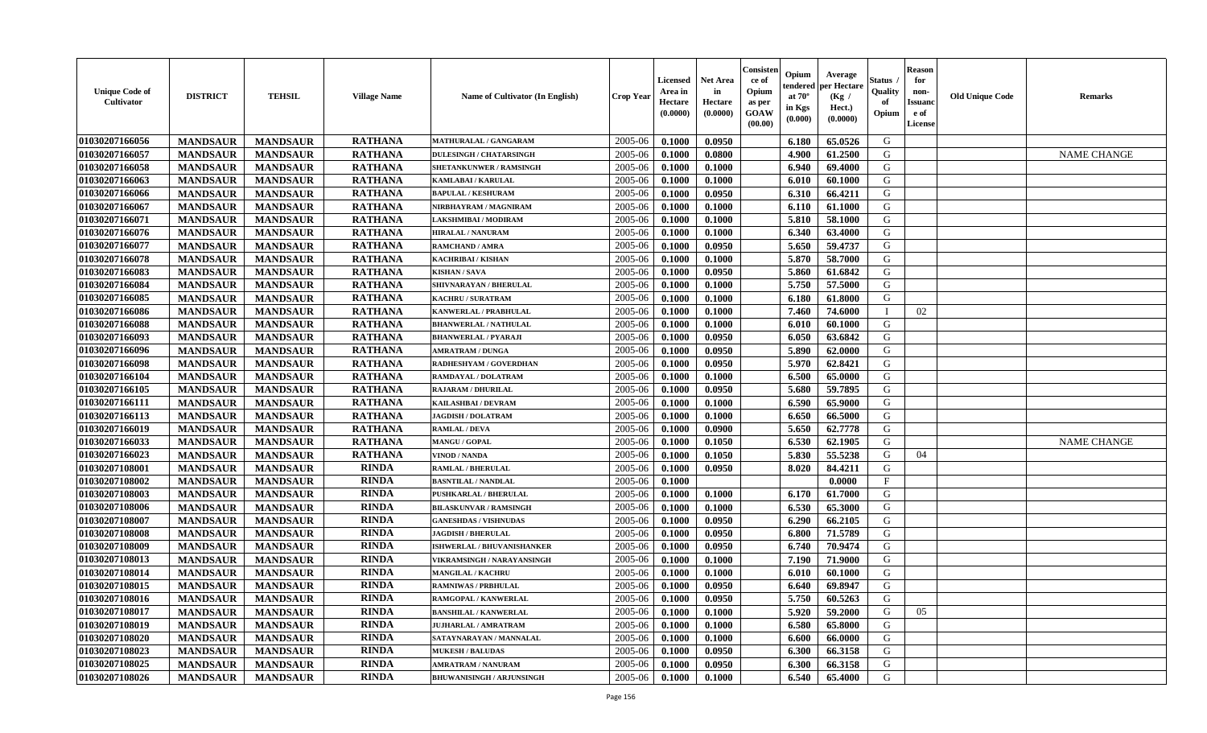| <b>Unique Code of</b><br><b>Cultivator</b> | <b>DISTRICT</b> | <b>TEHSIL</b>   | <b>Village Name</b> | Name of Cultivator (In English)  | <b>Crop Year</b> | <b>Licensed</b><br>Area in<br>Hectare<br>(0.0000) | <b>Net Area</b><br>in<br>Hectare<br>(0.0000) | Consisteı<br>ce of<br>Opium<br>as per<br><b>GOAW</b><br>(00.00) | Opium<br>endered<br>at $70^\circ$<br>in Kgs<br>$(\mathbf{0.000})$ | Average<br>per Hectare<br>(Kg /<br>Hect.)<br>(0.0000) | Status<br>Quality<br>of<br>Opium | Reason<br>for<br>non-<br>Issuan<br>e of<br>License | <b>Old Unique Code</b> | <b>Remarks</b>     |
|--------------------------------------------|-----------------|-----------------|---------------------|----------------------------------|------------------|---------------------------------------------------|----------------------------------------------|-----------------------------------------------------------------|-------------------------------------------------------------------|-------------------------------------------------------|----------------------------------|----------------------------------------------------|------------------------|--------------------|
| 01030207166056                             | <b>MANDSAUR</b> | <b>MANDSAUR</b> | <b>RATHANA</b>      | <b>MATHURALAL / GANGARAM</b>     | 2005-06          | 0.1000                                            | 0.0950                                       |                                                                 | 6.180                                                             | 65.0526                                               | G                                |                                                    |                        |                    |
| 01030207166057                             | <b>MANDSAUR</b> | <b>MANDSAUR</b> | <b>RATHANA</b>      | <b>DULESINGH / CHATARSINGH</b>   | 2005-06          | 0.1000                                            | 0.0800                                       |                                                                 | 4.900                                                             | 61.2500                                               | G                                |                                                    |                        | <b>NAME CHANGE</b> |
| 01030207166058                             | <b>MANDSAUR</b> | <b>MANDSAUR</b> | <b>RATHANA</b>      | <b>SHETANKUNWER / RAMSINGH</b>   | 2005-06          | 0.1000                                            | 0.1000                                       |                                                                 | 6.940                                                             | 69.4000                                               | G                                |                                                    |                        |                    |
| 01030207166063                             | <b>MANDSAUR</b> | <b>MANDSAUR</b> | <b>RATHANA</b>      | KAMLABAI / KARULAL               | 2005-06          | 0.1000                                            | 0.1000                                       |                                                                 | 6.010                                                             | 60.1000                                               | G                                |                                                    |                        |                    |
| 01030207166066                             | <b>MANDSAUR</b> | <b>MANDSAUR</b> | <b>RATHANA</b>      | <b>BAPULAL / KESHURAM</b>        | 2005-06          | 0.1000                                            | 0.0950                                       |                                                                 | 6.310                                                             | 66.4211                                               | G                                |                                                    |                        |                    |
| 01030207166067                             | <b>MANDSAUR</b> | <b>MANDSAUR</b> | <b>RATHANA</b>      | NIRBHAYRAM / MAGNIRAM            | 2005-06          | 0.1000                                            | 0.1000                                       |                                                                 | 6.110                                                             | 61.1000                                               | G                                |                                                    |                        |                    |
| 01030207166071                             | <b>MANDSAUR</b> | <b>MANDSAUR</b> | <b>RATHANA</b>      | <b>LAKSHMIBAI / MODIRAM</b>      | 2005-06          | 0.1000                                            | 0.1000                                       |                                                                 | 5.810                                                             | 58.1000                                               | G                                |                                                    |                        |                    |
| 01030207166076                             | <b>MANDSAUR</b> | <b>MANDSAUR</b> | <b>RATHANA</b>      | <b>HIRALAL / NANURAM</b>         | 2005-06          | 0.1000                                            | 0.1000                                       |                                                                 | 6.340                                                             | 63.4000                                               | G                                |                                                    |                        |                    |
| 01030207166077                             | <b>MANDSAUR</b> | <b>MANDSAUR</b> | <b>RATHANA</b>      | RAMCHAND / AMRA                  | 2005-06          | 0.1000                                            | 0.0950                                       |                                                                 | 5.650                                                             | 59.4737                                               | G                                |                                                    |                        |                    |
| 01030207166078                             | <b>MANDSAUR</b> | <b>MANDSAUR</b> | <b>RATHANA</b>      | KACHRIBAI / KISHAN               | 2005-06          | 0.1000                                            | 0.1000                                       |                                                                 | 5.870                                                             | 58.7000                                               | G                                |                                                    |                        |                    |
| 01030207166083                             | <b>MANDSAUR</b> | <b>MANDSAUR</b> | <b>RATHANA</b>      | <b>KISHAN/SAVA</b>               | 2005-06          | 0.1000                                            | 0.0950                                       |                                                                 | 5.860                                                             | 61.6842                                               | G                                |                                                    |                        |                    |
| 01030207166084                             | <b>MANDSAUR</b> | <b>MANDSAUR</b> | <b>RATHANA</b>      | SHIVNARAYAN / BHERULAL           | 2005-06          | 0.1000                                            | 0.1000                                       |                                                                 | 5.750                                                             | 57.5000                                               | G                                |                                                    |                        |                    |
| 01030207166085                             | <b>MANDSAUR</b> | <b>MANDSAUR</b> | <b>RATHANA</b>      | <b>KACHRU / SURATRAM</b>         | 2005-06          | 0.1000                                            | 0.1000                                       |                                                                 | 6.180                                                             | 61.8000                                               | G                                |                                                    |                        |                    |
| 01030207166086                             | <b>MANDSAUR</b> | <b>MANDSAUR</b> | <b>RATHANA</b>      | KANWERLAL / PRABHULAL            | 2005-06          | 0.1000                                            | 0.1000                                       |                                                                 | 7.460                                                             | 74.6000                                               |                                  | 02                                                 |                        |                    |
| 01030207166088                             | <b>MANDSAUR</b> | <b>MANDSAUR</b> | <b>RATHANA</b>      | <b>BHANWERLAL / NATHULAL</b>     | 2005-06          | 0.1000                                            | 0.1000                                       |                                                                 | 6.010                                                             | 60.1000                                               | G                                |                                                    |                        |                    |
| 01030207166093                             | <b>MANDSAUR</b> | <b>MANDSAUR</b> | <b>RATHANA</b>      | <b>BHANWERLAL / PYARAJI</b>      | 2005-06          | 0.1000                                            | 0.0950                                       |                                                                 | 6.050                                                             | 63.6842                                               | G                                |                                                    |                        |                    |
| 01030207166096                             | <b>MANDSAUR</b> | <b>MANDSAUR</b> | <b>RATHANA</b>      | <b>AMRATRAM / DUNGA</b>          | 2005-06          | 0.1000                                            | 0.0950                                       |                                                                 | 5.890                                                             | 62.0000                                               | G                                |                                                    |                        |                    |
| 01030207166098                             | <b>MANDSAUR</b> | <b>MANDSAUR</b> | <b>RATHANA</b>      | RADHESHYAM / GOVERDHAN           | 2005-06          | 0.1000                                            | 0.0950                                       |                                                                 | 5.970                                                             | 62.8421                                               | G                                |                                                    |                        |                    |
| 01030207166104                             | <b>MANDSAUR</b> | <b>MANDSAUR</b> | <b>RATHANA</b>      | RAMDAYAL / DOLATRAM              | 2005-06          | 0.1000                                            | 0.1000                                       |                                                                 | 6.500                                                             | 65.0000                                               | G                                |                                                    |                        |                    |
| 01030207166105                             | <b>MANDSAUR</b> | <b>MANDSAUR</b> | <b>RATHANA</b>      | <b>RAJARAM / DHURILAL</b>        | 2005-06          | 0.1000                                            | 0.0950                                       |                                                                 | 5.680                                                             | 59.7895                                               | G                                |                                                    |                        |                    |
| 01030207166111                             | <b>MANDSAUR</b> | <b>MANDSAUR</b> | <b>RATHANA</b>      | KAILASHBAI / DEVRAM              | 2005-06          | 0.1000                                            | 0.1000                                       |                                                                 | 6.590                                                             | 65.9000                                               | G                                |                                                    |                        |                    |
| 01030207166113                             | <b>MANDSAUR</b> | <b>MANDSAUR</b> | <b>RATHANA</b>      | <b>JAGDISH / DOLATRAM</b>        | 2005-06          | 0.1000                                            | 0.1000                                       |                                                                 | 6.650                                                             | 66.5000                                               | G                                |                                                    |                        |                    |
| 01030207166019                             | <b>MANDSAUR</b> | <b>MANDSAUR</b> | <b>RATHANA</b>      | <b>RAMLAL / DEVA</b>             | 2005-06          | 0.1000                                            | 0.0900                                       |                                                                 | 5.650                                                             | 62.7778                                               | G                                |                                                    |                        |                    |
| 01030207166033                             | <b>MANDSAUR</b> | <b>MANDSAUR</b> | <b>RATHANA</b>      | MANGU / GOPAL                    | 2005-06          | 0.1000                                            | 0.1050                                       |                                                                 | 6.530                                                             | 62.1905                                               | G                                |                                                    |                        | <b>NAME CHANGE</b> |
| 01030207166023                             | <b>MANDSAUR</b> | <b>MANDSAUR</b> | <b>RATHANA</b>      | <b>VINOD / NANDA</b>             | 2005-06          | 0.1000                                            | 0.1050                                       |                                                                 | 5.830                                                             | 55.5238                                               | G                                | 04                                                 |                        |                    |
| 01030207108001                             | <b>MANDSAUR</b> | <b>MANDSAUR</b> | <b>RINDA</b>        | <b>RAMLAL / BHERULAL</b>         | 2005-06          | 0.1000                                            | 0.0950                                       |                                                                 | 8.020                                                             | 84.4211                                               | G                                |                                                    |                        |                    |
| 01030207108002                             | <b>MANDSAUR</b> | <b>MANDSAUR</b> | <b>RINDA</b>        | <b>BASNTILAL / NANDLAL</b>       | 2005-06          | 0.1000                                            |                                              |                                                                 |                                                                   | 0.0000                                                | $_{\rm F}$                       |                                                    |                        |                    |
| 01030207108003                             | <b>MANDSAUR</b> | <b>MANDSAUR</b> | <b>RINDA</b>        | <b>PUSHKARLAL / BHERULAL</b>     | 2005-06          | 0.1000                                            | 0.1000                                       |                                                                 | 6.170                                                             | 61.7000                                               | G                                |                                                    |                        |                    |
| 01030207108006                             | <b>MANDSAUR</b> | <b>MANDSAUR</b> | <b>RINDA</b>        | <b>BILASKUNVAR / RAMSINGH</b>    | 2005-06          | 0.1000                                            | 0.1000                                       |                                                                 | 6.530                                                             | 65.3000                                               | G                                |                                                    |                        |                    |
| 01030207108007                             | <b>MANDSAUR</b> | <b>MANDSAUR</b> | <b>RINDA</b>        | <b>GANESHDAS / VISHNUDAS</b>     | 2005-06          | 0.1000                                            | 0.0950                                       |                                                                 | 6.290                                                             | 66.2105                                               | G                                |                                                    |                        |                    |
| 01030207108008                             | <b>MANDSAUR</b> | <b>MANDSAUR</b> | <b>RINDA</b>        | <b>JAGDISH / BHERULAL</b>        | 2005-06          | 0.1000                                            | 0.0950                                       |                                                                 | 6.800                                                             | 71.5789                                               | G                                |                                                    |                        |                    |
| 01030207108009                             | <b>MANDSAUR</b> | <b>MANDSAUR</b> | <b>RINDA</b>        | ISHWERLAL / BHUVANISHANKER       | 2005-06          | 0.1000                                            | 0.0950                                       |                                                                 | 6.740                                                             | 70.9474                                               | G                                |                                                    |                        |                    |
| 01030207108013                             | <b>MANDSAUR</b> | <b>MANDSAUR</b> | <b>RINDA</b>        | VIKRAMSINGH / NARAYANSINGH       | 2005-06          | 0.1000                                            | 0.1000                                       |                                                                 | 7.190                                                             | 71.9000                                               | G                                |                                                    |                        |                    |
| 01030207108014                             | <b>MANDSAUR</b> | <b>MANDSAUR</b> | <b>RINDA</b>        | MANGILAL / KACHRU                | 2005-06          | 0.1000                                            | 0.1000                                       |                                                                 | 6.010                                                             | 60.1000                                               | G                                |                                                    |                        |                    |
| 01030207108015                             | <b>MANDSAUR</b> | <b>MANDSAUR</b> | RINDA               | <b>RAMNIWAS / PRBHULAL</b>       | 2005-06          | 0.1000                                            | 0.0950                                       |                                                                 | 6.640                                                             | 69.8947                                               | G                                |                                                    |                        |                    |
| 01030207108016                             | <b>MANDSAUR</b> | <b>MANDSAUR</b> | <b>RINDA</b>        | RAMGOPAL / KANWERLAL             | $2005 - 06$      | 0.1000                                            | 0.0950                                       |                                                                 | 5.750                                                             | 60.5263                                               | G                                |                                                    |                        |                    |
| 01030207108017                             | <b>MANDSAUR</b> | <b>MANDSAUR</b> | <b>RINDA</b>        | <b>BANSHILAL / KANWERLAL</b>     | 2005-06          | 0.1000                                            | 0.1000                                       |                                                                 | 5.920                                                             | 59.2000                                               | G                                | 05                                                 |                        |                    |
| <b>01030207108019</b>                      | <b>MANDSAUR</b> | <b>MANDSAUR</b> | <b>RINDA</b>        | <b>JUJHARLAL / AMRATRAM</b>      | 2005-06          | 0.1000                                            | 0.1000                                       |                                                                 | 6.580                                                             | 65.8000                                               | G                                |                                                    |                        |                    |
| 01030207108020                             | <b>MANDSAUR</b> | <b>MANDSAUR</b> | <b>RINDA</b>        | SATAYNARAYAN / MANNALAL          | 2005-06          | 0.1000                                            | 0.1000                                       |                                                                 | 6.600                                                             | 66.0000                                               | G                                |                                                    |                        |                    |
| 01030207108023                             | <b>MANDSAUR</b> | <b>MANDSAUR</b> | <b>RINDA</b>        | <b>MUKESH / BALUDAS</b>          | 2005-06          | 0.1000                                            | 0.0950                                       |                                                                 | 6.300                                                             | 66.3158                                               | G                                |                                                    |                        |                    |
| 01030207108025                             | <b>MANDSAUR</b> | <b>MANDSAUR</b> | <b>RINDA</b>        | <b>AMRATRAM / NANURAM</b>        | 2005-06          | 0.1000                                            | 0.0950                                       |                                                                 | 6.300                                                             | 66.3158                                               | G                                |                                                    |                        |                    |
| 01030207108026                             | <b>MANDSAUR</b> | <b>MANDSAUR</b> | <b>RINDA</b>        | <b>BHUWANISINGH / ARJUNSINGH</b> | 2005-06          | 0.1000                                            | 0.1000                                       |                                                                 | 6.540                                                             | 65.4000                                               | G                                |                                                    |                        |                    |
|                                            |                 |                 |                     |                                  |                  |                                                   |                                              |                                                                 |                                                                   |                                                       |                                  |                                                    |                        |                    |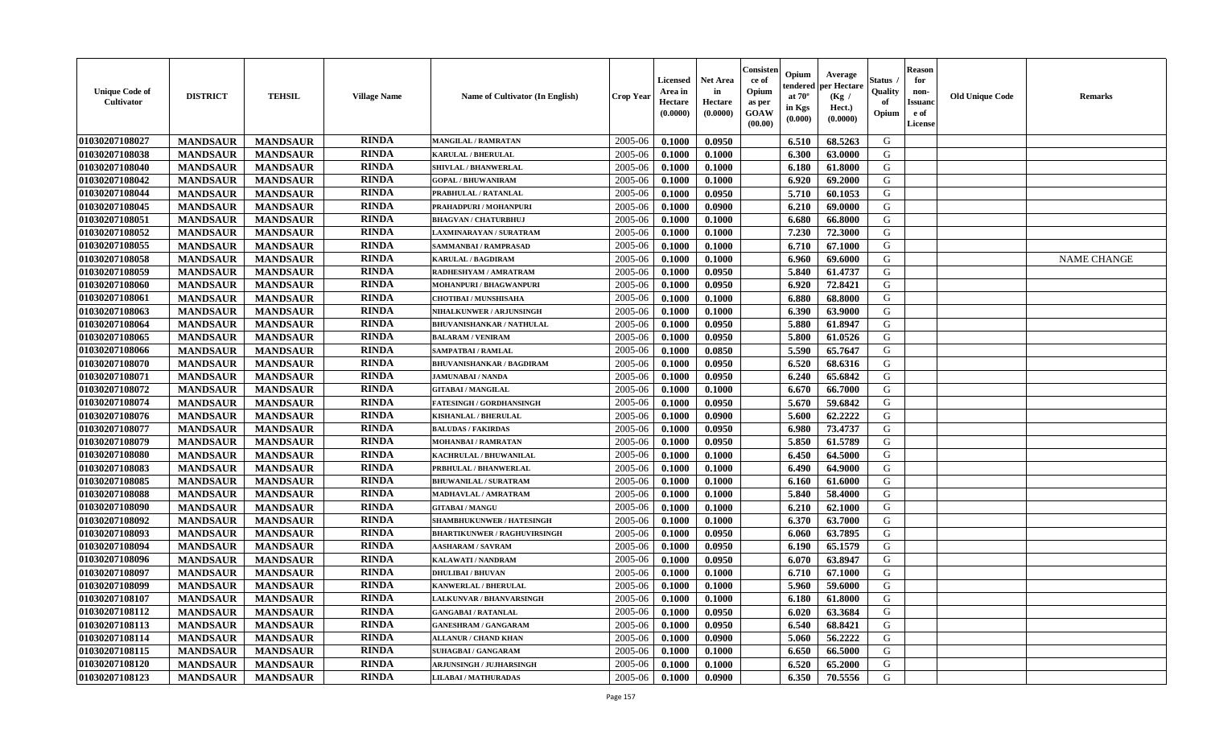| <b>Unique Code of</b><br><b>Cultivator</b> | <b>DISTRICT</b> | <b>TEHSIL</b>   | <b>Village Name</b> | Name of Cultivator (In English)     | <b>Crop Year</b> | <b>Licensed</b><br>Area in<br>Hectare<br>(0.0000) | <b>Net Area</b><br>in<br>Hectare<br>(0.0000) | Consister<br>ce of<br>Opium<br>as per<br><b>GOAW</b><br>(00.00) | Opium<br>endered<br>at $70^\circ$<br>in Kgs<br>(0.000) | Average<br>per Hectare<br>(Kg)<br>Hect.)<br>(0.0000) | Status<br>Quality<br>of<br>Opium | <b>Reason</b><br>for<br>non-<br><b>Issuand</b><br>e of<br><b>License</b> | <b>Old Unique Code</b> | <b>Remarks</b>     |
|--------------------------------------------|-----------------|-----------------|---------------------|-------------------------------------|------------------|---------------------------------------------------|----------------------------------------------|-----------------------------------------------------------------|--------------------------------------------------------|------------------------------------------------------|----------------------------------|--------------------------------------------------------------------------|------------------------|--------------------|
| 01030207108027                             | <b>MANDSAUR</b> | <b>MANDSAUR</b> | <b>RINDA</b>        | <b>MANGILAL / RAMRATAN</b>          | 2005-06          | 0.1000                                            | 0.0950                                       |                                                                 | 6.510                                                  | 68.5263                                              | G                                |                                                                          |                        |                    |
| 01030207108038                             | <b>MANDSAUR</b> | <b>MANDSAUR</b> | <b>RINDA</b>        | <b>KARULAL / BHERULAL</b>           | 2005-06          | 0.1000                                            | 0.1000                                       |                                                                 | 6.300                                                  | 63.0000                                              | G                                |                                                                          |                        |                    |
| 01030207108040                             | <b>MANDSAUR</b> | <b>MANDSAUR</b> | <b>RINDA</b>        | SHIVLAL / BHANWERLAL                | 2005-06          | 0.1000                                            | 0.1000                                       |                                                                 | 6.180                                                  | 61.8000                                              | G                                |                                                                          |                        |                    |
| 01030207108042                             | <b>MANDSAUR</b> | <b>MANDSAUR</b> | <b>RINDA</b>        | <b>GOPAL / BHUWANIRAM</b>           | 2005-06          | 0.1000                                            | 0.1000                                       |                                                                 | 6.920                                                  | 69.2000                                              | G                                |                                                                          |                        |                    |
| 01030207108044                             | <b>MANDSAUR</b> | <b>MANDSAUR</b> | <b>RINDA</b>        | PRABHULAL / RATANLAL                | 2005-06          | 0.1000                                            | 0.0950                                       |                                                                 | 5.710                                                  | 60.1053                                              | G                                |                                                                          |                        |                    |
| 01030207108045                             | <b>MANDSAUR</b> | <b>MANDSAUR</b> | <b>RINDA</b>        | PRAHADPURI / MOHANPURI              | 2005-06          | 0.1000                                            | 0.0900                                       |                                                                 | 6.210                                                  | 69.0000                                              | G                                |                                                                          |                        |                    |
| 01030207108051                             | <b>MANDSAUR</b> | <b>MANDSAUR</b> | <b>RINDA</b>        | <b>BHAGVAN / CHATURBHUJ</b>         | 2005-06          | 0.1000                                            | 0.1000                                       |                                                                 | 6.680                                                  | 66.8000                                              | G                                |                                                                          |                        |                    |
| 01030207108052                             | <b>MANDSAUR</b> | <b>MANDSAUR</b> | <b>RINDA</b>        | LAXMINARAYAN / SURATRAM             | 2005-06          | 0.1000                                            | 0.1000                                       |                                                                 | 7.230                                                  | 72.3000                                              | G                                |                                                                          |                        |                    |
| 01030207108055                             | <b>MANDSAUR</b> | <b>MANDSAUR</b> | <b>RINDA</b>        | SAMMANBAI / RAMPRASAD               | 2005-06          | 0.1000                                            | 0.1000                                       |                                                                 | 6.710                                                  | 67.1000                                              | G                                |                                                                          |                        |                    |
| 01030207108058                             | <b>MANDSAUR</b> | <b>MANDSAUR</b> | <b>RINDA</b>        | <b>KARULAL / BAGDIRAM</b>           | 2005-06          | 0.1000                                            | 0.1000                                       |                                                                 | 6.960                                                  | 69.6000                                              | G                                |                                                                          |                        | <b>NAME CHANGE</b> |
| 01030207108059                             | <b>MANDSAUR</b> | <b>MANDSAUR</b> | <b>RINDA</b>        | RADHESHYAM / AMRATRAM               | 2005-06          | 0.1000                                            | 0.0950                                       |                                                                 | 5.840                                                  | 61.4737                                              | G                                |                                                                          |                        |                    |
| 01030207108060                             | <b>MANDSAUR</b> | <b>MANDSAUR</b> | <b>RINDA</b>        | MOHANPURI / BHAGWANPURI             | 2005-06          | 0.1000                                            | 0.0950                                       |                                                                 | 6.920                                                  | 72.8421                                              | G                                |                                                                          |                        |                    |
| 01030207108061                             | <b>MANDSAUR</b> | <b>MANDSAUR</b> | <b>RINDA</b>        | <b>CHOTIBAI / MUNSHISAHA</b>        | 2005-06          | 0.1000                                            | 0.1000                                       |                                                                 | 6.880                                                  | 68.8000                                              | G                                |                                                                          |                        |                    |
| 01030207108063                             | <b>MANDSAUR</b> | <b>MANDSAUR</b> | <b>RINDA</b>        | <b>NIHALKUNWER / ARJUNSINGH</b>     | 2005-06          | 0.1000                                            | 0.1000                                       |                                                                 | 6.390                                                  | 63.9000                                              | G                                |                                                                          |                        |                    |
| 01030207108064                             | <b>MANDSAUR</b> | <b>MANDSAUR</b> | <b>RINDA</b>        | <b>BHUVANISHANKAR / NATHULAL</b>    | 2005-06          | 0.1000                                            | 0.0950                                       |                                                                 | 5.880                                                  | 61.8947                                              | G                                |                                                                          |                        |                    |
| 01030207108065                             | <b>MANDSAUR</b> | <b>MANDSAUR</b> | <b>RINDA</b>        | <b>BALARAM / VENIRAM</b>            | 2005-06          | 0.1000                                            | 0.0950                                       |                                                                 | 5.800                                                  | 61.0526                                              | G                                |                                                                          |                        |                    |
| 01030207108066                             | <b>MANDSAUR</b> | <b>MANDSAUR</b> | <b>RINDA</b>        | SAMPATBAI / RAMLAL                  | 2005-06          | 0.1000                                            | 0.0850                                       |                                                                 | 5.590                                                  | 65.7647                                              | G                                |                                                                          |                        |                    |
| 01030207108070                             | <b>MANDSAUR</b> | <b>MANDSAUR</b> | <b>RINDA</b>        | <b>BHUVANISHANKAR / BAGDIRAM</b>    | 2005-06          | 0.1000                                            | 0.0950                                       |                                                                 | 6.520                                                  | 68.6316                                              | G                                |                                                                          |                        |                    |
| 01030207108071                             | <b>MANDSAUR</b> | <b>MANDSAUR</b> | <b>RINDA</b>        | <b>JAMUNABAI / NANDA</b>            | 2005-06          | 0.1000                                            | 0.0950                                       |                                                                 | 6.240                                                  | 65.6842                                              | G                                |                                                                          |                        |                    |
| 01030207108072                             | <b>MANDSAUR</b> | <b>MANDSAUR</b> | <b>RINDA</b>        | <b>GITABAI/MANGILAL</b>             | 2005-06          | 0.1000                                            | 0.1000                                       |                                                                 | 6.670                                                  | 66.7000                                              | G                                |                                                                          |                        |                    |
| 01030207108074                             | <b>MANDSAUR</b> | <b>MANDSAUR</b> | <b>RINDA</b>        | <b>FATESINGH / GORDHANSINGH</b>     | 2005-06          | 0.1000                                            | 0.0950                                       |                                                                 | 5.670                                                  | 59.6842                                              | G                                |                                                                          |                        |                    |
| 01030207108076                             | <b>MANDSAUR</b> | <b>MANDSAUR</b> | <b>RINDA</b>        | <b>KISHANLAL / BHERULAL</b>         | 2005-06          | 0.1000                                            | 0.0900                                       |                                                                 | 5.600                                                  | 62.2222                                              | G                                |                                                                          |                        |                    |
| 01030207108077                             | <b>MANDSAUR</b> | <b>MANDSAUR</b> | <b>RINDA</b>        | <b>BALUDAS / FAKIRDAS</b>           | 2005-06          | 0.1000                                            | 0.0950                                       |                                                                 | 6.980                                                  | 73.4737                                              | G                                |                                                                          |                        |                    |
| 01030207108079                             | <b>MANDSAUR</b> | <b>MANDSAUR</b> | <b>RINDA</b>        | MOHANBAI / RAMRATAN                 | 2005-06          | 0.1000                                            | 0.0950                                       |                                                                 | 5.850                                                  | 61.5789                                              | G                                |                                                                          |                        |                    |
| 01030207108080                             | <b>MANDSAUR</b> | <b>MANDSAUR</b> | <b>RINDA</b>        | KACHRULAL / BHUWANILAL              | 2005-06          | 0.1000                                            | 0.1000                                       |                                                                 | 6.450                                                  | 64.5000                                              | G                                |                                                                          |                        |                    |
| 01030207108083                             | <b>MANDSAUR</b> | <b>MANDSAUR</b> | <b>RINDA</b>        | PRBHULAL / BHANWERLAL               | 2005-06          | 0.1000                                            | 0.1000                                       |                                                                 | 6.490                                                  | 64.9000                                              | G                                |                                                                          |                        |                    |
| 01030207108085                             | <b>MANDSAUR</b> | <b>MANDSAUR</b> | <b>RINDA</b>        | <b>BHUWANILAL / SURATRAM</b>        | 2005-06          | 0.1000                                            | 0.1000                                       |                                                                 | 6.160                                                  | 61.6000                                              | G                                |                                                                          |                        |                    |
| 01030207108088                             | <b>MANDSAUR</b> | <b>MANDSAUR</b> | <b>RINDA</b>        | <b>MADHAVLAL / AMRATRAM</b>         | 2005-06          | 0.1000                                            | 0.1000                                       |                                                                 | 5.840                                                  | 58.4000                                              | G                                |                                                                          |                        |                    |
| 01030207108090                             | <b>MANDSAUR</b> | <b>MANDSAUR</b> | <b>RINDA</b>        | <b>GITABAI/MANGU</b>                | 2005-06          | 0.1000                                            | 0.1000                                       |                                                                 | 6.210                                                  | 62.1000                                              | G                                |                                                                          |                        |                    |
| 01030207108092                             | <b>MANDSAUR</b> | <b>MANDSAUR</b> | <b>RINDA</b>        | <b>SHAMBHUKUNWER / HATESINGH</b>    | 2005-06          | 0.1000                                            | 0.1000                                       |                                                                 | 6.370                                                  | 63.7000                                              | G                                |                                                                          |                        |                    |
| 01030207108093                             | <b>MANDSAUR</b> | <b>MANDSAUR</b> | <b>RINDA</b>        | <b>BHARTIKUNWER / RAGHUVIRSINGH</b> | 2005-06          | 0.1000                                            | 0.0950                                       |                                                                 | 6.060                                                  | 63.7895                                              | G                                |                                                                          |                        |                    |
| 01030207108094                             | <b>MANDSAUR</b> | <b>MANDSAUR</b> | <b>RINDA</b>        | <b>AASHARAM / SAVRAM</b>            | 2005-06          | 0.1000                                            | 0.0950                                       |                                                                 | 6.190                                                  | 65.1579                                              | ${\bf G}$                        |                                                                          |                        |                    |
| 01030207108096                             | <b>MANDSAUR</b> | <b>MANDSAUR</b> | <b>RINDA</b>        | <b>KALAWATI / NANDRAM</b>           | 2005-06          | 0.1000                                            | 0.0950                                       |                                                                 | 6.070                                                  | 63.8947                                              | G                                |                                                                          |                        |                    |
| 01030207108097                             | <b>MANDSAUR</b> | <b>MANDSAUR</b> | <b>RINDA</b>        | <b>DHULIBAI / BHUVAN</b>            | 2005-06          | 0.1000                                            | 0.1000                                       |                                                                 | 6.710                                                  | 67.1000                                              | G                                |                                                                          |                        |                    |
| 01030207108099                             | <b>MANDSAUR</b> | <b>MANDSAUR</b> | <b>RINDA</b>        | KANWERLAL / BHERULAL                | 2005-06          | 0.1000                                            | 0.1000                                       |                                                                 | 5.960                                                  | 59.6000                                              | G                                |                                                                          |                        |                    |
| 01030207108107                             | <b>MANDSAUR</b> | <b>MANDSAUR</b> | <b>RINDA</b>        | LALKUNVAR / BHANVARSINGH            | 2005-06          | 0.1000                                            | 0.1000                                       |                                                                 | 6.180                                                  | 61.8000                                              | G                                |                                                                          |                        |                    |
| 01030207108112                             | <b>MANDSAUR</b> | <b>MANDSAUR</b> | <b>RINDA</b>        | <b>GANGABAI/RATANLAL</b>            | 2005-06          | 0.1000                                            | 0.0950                                       |                                                                 | 6.020                                                  | 63.3684                                              | G                                |                                                                          |                        |                    |
| 01030207108113                             | <b>MANDSAUR</b> | <b>MANDSAUR</b> | <b>RINDA</b>        | <b>GANESHRAM / GANGARAM</b>         | 2005-06          | 0.1000                                            | 0.0950                                       |                                                                 | 6.540                                                  | 68.8421                                              | G                                |                                                                          |                        |                    |
| 01030207108114                             | <b>MANDSAUR</b> | <b>MANDSAUR</b> | <b>RINDA</b>        | <b>ALLANUR / CHAND KHAN</b>         | 2005-06          | 0.1000                                            | 0.0900                                       |                                                                 | 5.060                                                  | 56.2222                                              | G                                |                                                                          |                        |                    |
| 01030207108115                             | <b>MANDSAUR</b> | <b>MANDSAUR</b> | <b>RINDA</b>        | <b>SUHAGBAI/GANGARAM</b>            | 2005-06          | 0.1000                                            | 0.1000                                       |                                                                 | 6.650                                                  | 66.5000                                              | G                                |                                                                          |                        |                    |
| 01030207108120                             | <b>MANDSAUR</b> | <b>MANDSAUR</b> | <b>RINDA</b>        | <b>ARJUNSINGH / JUJHARSINGH</b>     | 2005-06          | 0.1000                                            | 0.1000                                       |                                                                 | 6.520                                                  | 65.2000                                              | G                                |                                                                          |                        |                    |
| 01030207108123                             | <b>MANDSAUR</b> | <b>MANDSAUR</b> | RINDA               | <b>LILABAI/MATHURADAS</b>           | 2005-06          | 0.1000                                            | 0.0900                                       |                                                                 | 6.350                                                  | 70.5556                                              | G                                |                                                                          |                        |                    |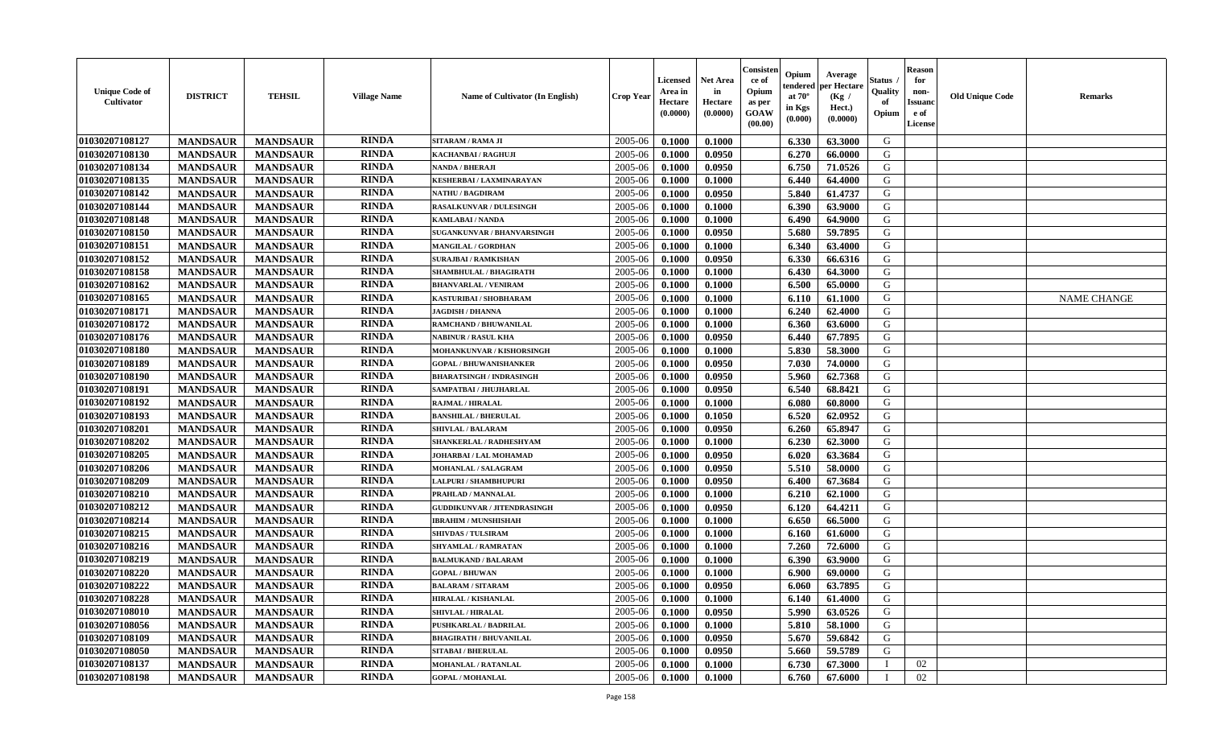| <b>Unique Code of</b><br><b>Cultivator</b> | <b>DISTRICT</b> | <b>TEHSIL</b>   | <b>Village Name</b> | <b>Name of Cultivator (In English)</b> | <b>Crop Year</b> | <b>Licensed</b><br>Area in<br>Hectare<br>(0.0000) | <b>Net Area</b><br>in<br>Hectare<br>(0.0000) | Consister<br>ce of<br>Opium<br>as per<br><b>GOAW</b><br>(00.00) | Opium<br>endered<br>at $70^\circ$<br>in Kgs<br>(0.000) | Average<br>per Hectare<br>(Kg)<br>Hect.)<br>(0.0000) | Status<br>Quality<br>of<br>Opium | <b>Reason</b><br>for<br>non-<br><b>Issuand</b><br>e of<br><b>License</b> | <b>Old Unique Code</b> | <b>Remarks</b>     |
|--------------------------------------------|-----------------|-----------------|---------------------|----------------------------------------|------------------|---------------------------------------------------|----------------------------------------------|-----------------------------------------------------------------|--------------------------------------------------------|------------------------------------------------------|----------------------------------|--------------------------------------------------------------------------|------------------------|--------------------|
| 01030207108127                             | <b>MANDSAUR</b> | <b>MANDSAUR</b> | <b>RINDA</b>        | SITARAM / RAMA JI                      | 2005-06          | 0.1000                                            | 0.1000                                       |                                                                 | 6.330                                                  | 63.3000                                              | G                                |                                                                          |                        |                    |
| 01030207108130                             | <b>MANDSAUR</b> | <b>MANDSAUR</b> | <b>RINDA</b>        | KACHANBAI / RAGHUJI                    | 2005-06          | 0.1000                                            | 0.0950                                       |                                                                 | 6.270                                                  | 66.0000                                              | G                                |                                                                          |                        |                    |
| 01030207108134                             | <b>MANDSAUR</b> | <b>MANDSAUR</b> | <b>RINDA</b>        | <b>NANDA / BHERAJI</b>                 | 2005-06          | 0.1000                                            | 0.0950                                       |                                                                 | 6.750                                                  | 71.0526                                              | G                                |                                                                          |                        |                    |
| 01030207108135                             | <b>MANDSAUR</b> | <b>MANDSAUR</b> | <b>RINDA</b>        | <b>KESHERBAI/LAXMINARAYAN</b>          | 2005-06          | 0.1000                                            | 0.1000                                       |                                                                 | 6.440                                                  | 64.4000                                              | G                                |                                                                          |                        |                    |
| 01030207108142                             | <b>MANDSAUR</b> | <b>MANDSAUR</b> | <b>RINDA</b>        | <b>NATHU / BAGDIRAM</b>                | 2005-06          | 0.1000                                            | 0.0950                                       |                                                                 | 5.840                                                  | 61.4737                                              | G                                |                                                                          |                        |                    |
| 01030207108144                             | <b>MANDSAUR</b> | <b>MANDSAUR</b> | <b>RINDA</b>        | <b>RASALKUNVAR / DULESINGH</b>         | 2005-06          | 0.1000                                            | 0.1000                                       |                                                                 | 6.390                                                  | 63.9000                                              | G                                |                                                                          |                        |                    |
| 01030207108148                             | <b>MANDSAUR</b> | <b>MANDSAUR</b> | <b>RINDA</b>        | <b>KAMLABAI/NANDA</b>                  | 2005-06          | 0.1000                                            | 0.1000                                       |                                                                 | 6.490                                                  | 64.9000                                              | G                                |                                                                          |                        |                    |
| 01030207108150                             | <b>MANDSAUR</b> | <b>MANDSAUR</b> | <b>RINDA</b>        | SUGANKUNVAR / BHANVARSINGH             | 2005-06          | 0.1000                                            | 0.0950                                       |                                                                 | 5.680                                                  | 59.7895                                              | G                                |                                                                          |                        |                    |
| 01030207108151                             | <b>MANDSAUR</b> | <b>MANDSAUR</b> | <b>RINDA</b>        | <b>MANGILAL / GORDHAN</b>              | 2005-06          | 0.1000                                            | 0.1000                                       |                                                                 | 6.340                                                  | 63.4000                                              | G                                |                                                                          |                        |                    |
| 01030207108152                             | <b>MANDSAUR</b> | <b>MANDSAUR</b> | <b>RINDA</b>        | <b>SURAJBAI / RAMKISHAN</b>            | 2005-06          | 0.1000                                            | 0.0950                                       |                                                                 | 6.330                                                  | 66.6316                                              | G                                |                                                                          |                        |                    |
| 01030207108158                             | <b>MANDSAUR</b> | <b>MANDSAUR</b> | <b>RINDA</b>        | <b>SHAMBHULAL / BHAGIRATH</b>          | 2005-06          | 0.1000                                            | 0.1000                                       |                                                                 | 6.430                                                  | 64.3000                                              | G                                |                                                                          |                        |                    |
| 01030207108162                             | <b>MANDSAUR</b> | <b>MANDSAUR</b> | <b>RINDA</b>        | <b>BHANVARLAL / VENIRAM</b>            | 2005-06          | 0.1000                                            | 0.1000                                       |                                                                 | 6.500                                                  | 65.0000                                              | G                                |                                                                          |                        |                    |
| 01030207108165                             | <b>MANDSAUR</b> | <b>MANDSAUR</b> | <b>RINDA</b>        | KASTURIBAI / SHOBHARAM                 | 2005-06          | 0.1000                                            | 0.1000                                       |                                                                 | 6.110                                                  | 61.1000                                              | G                                |                                                                          |                        | <b>NAME CHANGE</b> |
| 01030207108171                             | <b>MANDSAUR</b> | <b>MANDSAUR</b> | <b>RINDA</b>        | <b>JAGDISH / DHANNA</b>                | 2005-06          | 0.1000                                            | 0.1000                                       |                                                                 | 6.240                                                  | 62.4000                                              | G                                |                                                                          |                        |                    |
| 01030207108172                             | <b>MANDSAUR</b> | <b>MANDSAUR</b> | <b>RINDA</b>        | RAMCHAND / BHUWANILAL                  | 2005-06          | 0.1000                                            | 0.1000                                       |                                                                 | 6.360                                                  | 63.6000                                              | G                                |                                                                          |                        |                    |
| 01030207108176                             | <b>MANDSAUR</b> | <b>MANDSAUR</b> | <b>RINDA</b>        | <b>NABINUR / RASUL KHA</b>             | 2005-06          | 0.1000                                            | 0.0950                                       |                                                                 | 6.440                                                  | 67.7895                                              | G                                |                                                                          |                        |                    |
| 01030207108180                             | <b>MANDSAUR</b> | <b>MANDSAUR</b> | <b>RINDA</b>        | MOHANKUNVAR / KISHORSINGH              | 2005-06          | 0.1000                                            | 0.1000                                       |                                                                 | 5.830                                                  | 58.3000                                              | G                                |                                                                          |                        |                    |
| 01030207108189                             | <b>MANDSAUR</b> | <b>MANDSAUR</b> | <b>RINDA</b>        | <b>GOPAL / BHUWANISHANKER</b>          | 2005-06          | 0.1000                                            | 0.0950                                       |                                                                 | 7.030                                                  | 74.0000                                              | G                                |                                                                          |                        |                    |
| 01030207108190                             | <b>MANDSAUR</b> | <b>MANDSAUR</b> | <b>RINDA</b>        | <b>BHARATSINGH / INDRASINGH</b>        | 2005-06          | 0.1000                                            | 0.0950                                       |                                                                 | 5.960                                                  | 62.7368                                              | G                                |                                                                          |                        |                    |
| 01030207108191                             | <b>MANDSAUR</b> | <b>MANDSAUR</b> | <b>RINDA</b>        | SAMPATBAI / JHUJHARLAL                 | 2005-06          | 0.1000                                            | 0.0950                                       |                                                                 | 6.540                                                  | 68.8421                                              | G                                |                                                                          |                        |                    |
| 01030207108192                             | <b>MANDSAUR</b> | <b>MANDSAUR</b> | <b>RINDA</b>        | <b>RAJMAL / HIRALAL</b>                | 2005-06          | 0.1000                                            | 0.1000                                       |                                                                 | 6.080                                                  | 60.8000                                              | G                                |                                                                          |                        |                    |
| 01030207108193                             | <b>MANDSAUR</b> | <b>MANDSAUR</b> | <b>RINDA</b>        | <b>BANSHILAL / BHERULAL</b>            | 2005-06          | 0.1000                                            | 0.1050                                       |                                                                 | 6.520                                                  | 62.0952                                              | G                                |                                                                          |                        |                    |
| 01030207108201                             | <b>MANDSAUR</b> | <b>MANDSAUR</b> | <b>RINDA</b>        | <b>SHIVLAL / BALARAM</b>               | 2005-06          | 0.1000                                            | 0.0950                                       |                                                                 | 6.260                                                  | 65.8947                                              | G                                |                                                                          |                        |                    |
| 01030207108202                             | <b>MANDSAUR</b> | <b>MANDSAUR</b> | <b>RINDA</b>        | SHANKERLAL / RADHESHYAM                | 2005-06          | 0.1000                                            | 0.1000                                       |                                                                 | 6.230                                                  | 62.3000                                              | G                                |                                                                          |                        |                    |
| 01030207108205                             | <b>MANDSAUR</b> | <b>MANDSAUR</b> | <b>RINDA</b>        | JOHARBAI / LAL MOHAMAD                 | 2005-06          | 0.1000                                            | 0.0950                                       |                                                                 | 6.020                                                  | 63.3684                                              | G                                |                                                                          |                        |                    |
| 01030207108206                             | <b>MANDSAUR</b> | <b>MANDSAUR</b> | <b>RINDA</b>        | MOHANLAL / SALAGRAM                    | 2005-06          | 0.1000                                            | 0.0950                                       |                                                                 | 5.510                                                  | 58.0000                                              | G                                |                                                                          |                        |                    |
| 01030207108209                             | <b>MANDSAUR</b> | <b>MANDSAUR</b> | <b>RINDA</b>        | LALPURI / SHAMBHUPURI                  | 2005-06          | 0.1000                                            | 0.0950                                       |                                                                 | 6.400                                                  | 67.3684                                              | G                                |                                                                          |                        |                    |
| 01030207108210                             | <b>MANDSAUR</b> | <b>MANDSAUR</b> | <b>RINDA</b>        | PRAHLAD / MANNALAL                     | 2005-06          | 0.1000                                            | 0.1000                                       |                                                                 | 6.210                                                  | 62.1000                                              | G                                |                                                                          |                        |                    |
| 01030207108212                             | <b>MANDSAUR</b> | <b>MANDSAUR</b> | <b>RINDA</b>        | <b>GUDDIKUNVAR / JITENDRASINGH</b>     | 2005-06          | 0.1000                                            | 0.0950                                       |                                                                 | 6.120                                                  | 64.4211                                              | G                                |                                                                          |                        |                    |
| 01030207108214                             | <b>MANDSAUR</b> | <b>MANDSAUR</b> | <b>RINDA</b>        | <b>IBRAHIM / MUNSHISHAH</b>            | 2005-06          | 0.1000                                            | 0.1000                                       |                                                                 | 6.650                                                  | 66.5000                                              | G                                |                                                                          |                        |                    |
| 01030207108215                             | <b>MANDSAUR</b> | <b>MANDSAUR</b> | <b>RINDA</b>        | <b>SHIVDAS / TULSIRAM</b>              | 2005-06          | 0.1000                                            | 0.1000                                       |                                                                 | 6.160                                                  | 61.6000                                              | G                                |                                                                          |                        |                    |
| 01030207108216                             | <b>MANDSAUR</b> | <b>MANDSAUR</b> | <b>RINDA</b>        | SHYAMLAL / RAMRATAN                    | 2005-06          | 0.1000                                            | 0.1000                                       |                                                                 | 7.260                                                  | 72.6000                                              | ${\bf G}$                        |                                                                          |                        |                    |
| 01030207108219                             | <b>MANDSAUR</b> | <b>MANDSAUR</b> | <b>RINDA</b>        | <b>BALMUKAND / BALARAM</b>             | 2005-06          | 0.1000                                            | 0.1000                                       |                                                                 | 6.390                                                  | 63.9000                                              | G                                |                                                                          |                        |                    |
| 01030207108220                             | <b>MANDSAUR</b> | <b>MANDSAUR</b> | <b>RINDA</b>        | <b>GOPAL / BHUWAN</b>                  | 2005-06          | 0.1000                                            | 0.1000                                       |                                                                 | 6.900                                                  | 69.0000                                              | G                                |                                                                          |                        |                    |
| 01030207108222                             | <b>MANDSAUR</b> | <b>MANDSAUR</b> | <b>RINDA</b>        | <b>BALARAM / SITARAM</b>               | 2005-06          | 0.1000                                            | 0.0950                                       |                                                                 | 6.060                                                  | 63.7895                                              | G                                |                                                                          |                        |                    |
| 01030207108228                             | <b>MANDSAUR</b> | <b>MANDSAUR</b> | <b>RINDA</b>        | <b>HIRALAL / KISHANLAL</b>             | 2005-06          | 0.1000                                            | 0.1000                                       |                                                                 | 6.140                                                  | 61.4000                                              | G                                |                                                                          |                        |                    |
| 01030207108010                             | <b>MANDSAUR</b> | <b>MANDSAUR</b> | <b>RINDA</b>        | <b>SHIVLAL / HIRALAL</b>               | 2005-06          | 0.1000                                            | 0.0950                                       |                                                                 | 5.990                                                  | 63.0526                                              | G                                |                                                                          |                        |                    |
| 01030207108056                             | <b>MANDSAUR</b> | <b>MANDSAUR</b> | <b>RINDA</b>        | <b>PUSHKARLAL / BADRILAL</b>           | 2005-06          | 0.1000                                            | 0.1000                                       |                                                                 | 5.810                                                  | 58.1000                                              | G                                |                                                                          |                        |                    |
| 01030207108109                             | <b>MANDSAUR</b> | <b>MANDSAUR</b> | <b>RINDA</b>        | <b>BHAGIRATH / BHUVANILAL</b>          | 2005-06          | 0.1000                                            | 0.0950                                       |                                                                 | 5.670                                                  | 59.6842                                              | G                                |                                                                          |                        |                    |
| 01030207108050                             | <b>MANDSAUR</b> | <b>MANDSAUR</b> | <b>RINDA</b>        | <b>SITABAI/BHERULAL</b>                | 2005-06          | 0.1000                                            | 0.0950                                       |                                                                 | 5.660                                                  | 59.5789                                              | G                                |                                                                          |                        |                    |
| 01030207108137                             | <b>MANDSAUR</b> | <b>MANDSAUR</b> | <b>RINDA</b>        | <b>MOHANLAL / RATANLAL</b>             | 2005-06          | 0.1000                                            | 0.1000                                       |                                                                 | 6.730                                                  | 67.3000                                              |                                  | 02                                                                       |                        |                    |
| 01030207108198                             | <b>MANDSAUR</b> | <b>MANDSAUR</b> | RINDA               | <b>GOPAL / MOHANLAL</b>                | 2005-06          | 0.1000                                            | 0.1000                                       |                                                                 | 6.760                                                  | 67.6000                                              | T                                | 02                                                                       |                        |                    |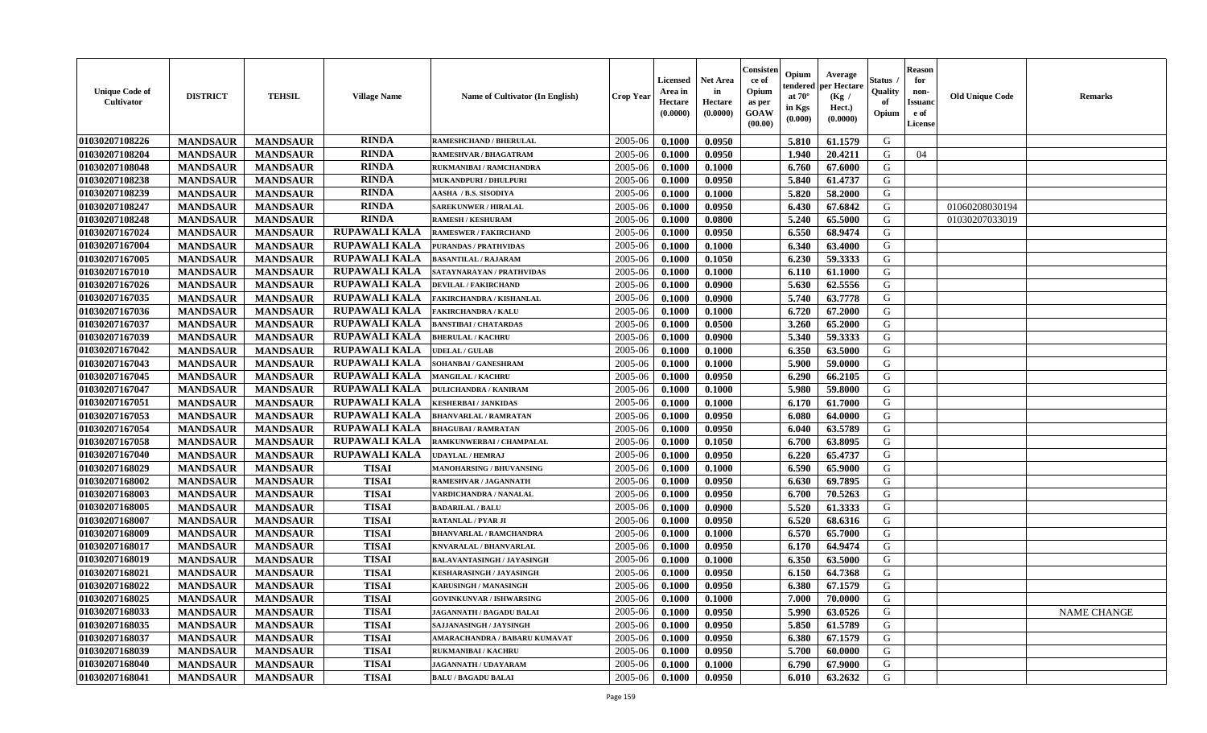| <b>Unique Code of</b><br><b>Cultivator</b> | <b>DISTRICT</b> | <b>TEHSIL</b>   | <b>Village Name</b>  | Name of Cultivator (In English) | <b>Crop Year</b> | <b>Licensed</b><br>Area in<br>Hectare<br>(0.0000) | <b>Net Area</b><br>in<br>Hectare<br>(0.0000) | Consisteı<br>ce of<br>Opium<br>as per<br><b>GOAW</b><br>(00.00) | Opium<br>endered<br>at $70^\circ$<br>in Kgs<br>$(\mathbf{0.000})$ | Average<br>per Hectare<br>(Kg /<br>Hect.)<br>(0.0000) | Status<br>Quality<br>of<br>Opium | Reason<br>for<br>non-<br>Issuan<br>e of<br>License | <b>Old Unique Code</b> | <b>Remarks</b>     |
|--------------------------------------------|-----------------|-----------------|----------------------|---------------------------------|------------------|---------------------------------------------------|----------------------------------------------|-----------------------------------------------------------------|-------------------------------------------------------------------|-------------------------------------------------------|----------------------------------|----------------------------------------------------|------------------------|--------------------|
| 01030207108226                             | <b>MANDSAUR</b> | <b>MANDSAUR</b> | <b>RINDA</b>         | <b>RAMESHCHAND / BHERULAL</b>   | 2005-06          | 0.1000                                            | 0.0950                                       |                                                                 | 5.810                                                             | 61.1579                                               | G                                |                                                    |                        |                    |
| 01030207108204                             | <b>MANDSAUR</b> | <b>MANDSAUR</b> | <b>RINDA</b>         | <b>RAMESHVAR / BHAGATRAM</b>    | 2005-06          | 0.1000                                            | 0.0950                                       |                                                                 | 1.940                                                             | 20.4211                                               | G                                | 04                                                 |                        |                    |
| 01030207108048                             | <b>MANDSAUR</b> | <b>MANDSAUR</b> | <b>RINDA</b>         | RUKMANIBAI / RAMCHANDRA         | 2005-06          | 0.1000                                            | 0.1000                                       |                                                                 | 6.760                                                             | 67.6000                                               | G                                |                                                    |                        |                    |
| 01030207108238                             | <b>MANDSAUR</b> | <b>MANDSAUR</b> | <b>RINDA</b>         | MUKANDPURI / DHULPURI           | 2005-06          | 0.1000                                            | 0.0950                                       |                                                                 | 5.840                                                             | 61.4737                                               | G                                |                                                    |                        |                    |
| 01030207108239                             | <b>MANDSAUR</b> | <b>MANDSAUR</b> | <b>RINDA</b>         | AASHA / B.S. SISODIYA           | 2005-06          | 0.1000                                            | 0.1000                                       |                                                                 | 5.820                                                             | 58.2000                                               | G                                |                                                    |                        |                    |
| 01030207108247                             | <b>MANDSAUR</b> | <b>MANDSAUR</b> | <b>RINDA</b>         | <b>SAREKUNWER / HIRALAL</b>     | 2005-06          | 0.1000                                            | 0.0950                                       |                                                                 | 6.430                                                             | 67.6842                                               | G                                |                                                    | 01060208030194         |                    |
| 01030207108248                             | <b>MANDSAUR</b> | <b>MANDSAUR</b> | <b>RINDA</b>         | <b>RAMESH / KESHURAM</b>        | 2005-06          | 0.1000                                            | 0.0800                                       |                                                                 | 5.240                                                             | 65.5000                                               | G                                |                                                    | 01030207033019         |                    |
| 01030207167024                             | <b>MANDSAUR</b> | <b>MANDSAUR</b> | <b>RUPAWALI KALA</b> | <b>RAMESWER / FAKIRCHAND</b>    | 2005-06          | 0.1000                                            | 0.0950                                       |                                                                 | 6.550                                                             | 68.9474                                               | G                                |                                                    |                        |                    |
| 01030207167004                             | <b>MANDSAUR</b> | <b>MANDSAUR</b> | <b>RUPAWALI KALA</b> | <b>PURANDAS / PRATHVIDAS</b>    | 2005-06          | 0.1000                                            | 0.1000                                       |                                                                 | 6.340                                                             | 63.4000                                               | G                                |                                                    |                        |                    |
| 01030207167005                             | <b>MANDSAUR</b> | <b>MANDSAUR</b> | <b>RUPAWALI KALA</b> | <b>BASANTILAL / RAJARAM</b>     | 2005-06          | 0.1000                                            | 0.1050                                       |                                                                 | 6.230                                                             | 59.3333                                               | G                                |                                                    |                        |                    |
| 01030207167010                             | <b>MANDSAUR</b> | <b>MANDSAUR</b> | <b>RUPAWALI KALA</b> | SATAYNARAYAN / PRATHVIDAS       | 2005-06          | 0.1000                                            | 0.1000                                       |                                                                 | 6.110                                                             | 61.1000                                               | G                                |                                                    |                        |                    |
| 01030207167026                             | <b>MANDSAUR</b> | <b>MANDSAUR</b> | <b>RUPAWALI KALA</b> | <b>DEVILAL / FAKIRCHAND</b>     | 2005-06          | 0.1000                                            | 0.0900                                       |                                                                 | 5.630                                                             | 62.5556                                               | G                                |                                                    |                        |                    |
| 01030207167035                             | <b>MANDSAUR</b> | <b>MANDSAUR</b> | <b>RUPAWALI KALA</b> | <b>FAKIRCHANDRA / KISHANLAL</b> | 2005-06          | 0.1000                                            | 0.0900                                       |                                                                 | 5.740                                                             | 63.7778                                               | G                                |                                                    |                        |                    |
| 01030207167036                             | <b>MANDSAUR</b> | <b>MANDSAUR</b> | <b>RUPAWALI KALA</b> | <b>FAKIRCHANDRA / KALU</b>      | 2005-06          | 0.1000                                            | 0.1000                                       |                                                                 | 6.720                                                             | 67.2000                                               | G                                |                                                    |                        |                    |
| 01030207167037                             | <b>MANDSAUR</b> | <b>MANDSAUR</b> | <b>RUPAWALI KALA</b> | <b>BANSTIBAI / CHATARDAS</b>    | 2005-06          | 0.1000                                            | 0.0500                                       |                                                                 | 3.260                                                             | 65.2000                                               | G                                |                                                    |                        |                    |
| 01030207167039                             | <b>MANDSAUR</b> | <b>MANDSAUR</b> | RUPAWALI KALA        | <b>BHERULAL / KACHRU</b>        | 2005-06          | 0.1000                                            | 0.0900                                       |                                                                 | 5.340                                                             | 59.3333                                               | G                                |                                                    |                        |                    |
| 01030207167042                             | <b>MANDSAUR</b> | <b>MANDSAUR</b> | <b>RUPAWALI KALA</b> | <b>UDELAL / GULAB</b>           | 2005-06          | 0.1000                                            | 0.1000                                       |                                                                 | 6.350                                                             | 63.5000                                               | G                                |                                                    |                        |                    |
| 01030207167043                             | <b>MANDSAUR</b> | <b>MANDSAUR</b> | RUPAWALI KALA        | SOHANBAI / GANESHRAM            | 2005-06          | 0.1000                                            | 0.1000                                       |                                                                 | 5.900                                                             | 59.0000                                               | G                                |                                                    |                        |                    |
| 01030207167045                             | <b>MANDSAUR</b> | <b>MANDSAUR</b> | RUPAWALI KALA        | <b>MANGILAL / KACHRU</b>        | 2005-06          | 0.1000                                            | 0.0950                                       |                                                                 | 6.290                                                             | 66.2105                                               | G                                |                                                    |                        |                    |
| 01030207167047                             | <b>MANDSAUR</b> | <b>MANDSAUR</b> | <b>RUPAWALI KALA</b> | <b>DULICHANDRA / KANIRAM</b>    | 2005-06          | 0.1000                                            | 0.1000                                       |                                                                 | 5.980                                                             | 59.8000                                               | G                                |                                                    |                        |                    |
| 01030207167051                             | <b>MANDSAUR</b> | <b>MANDSAUR</b> | <b>RUPAWALI KALA</b> | <b>KESHERBAI/JANKIDAS</b>       | 2005-06          | 0.1000                                            | 0.1000                                       |                                                                 | 6.170                                                             | 61.7000                                               | G                                |                                                    |                        |                    |
| 01030207167053                             | <b>MANDSAUR</b> | <b>MANDSAUR</b> | <b>RUPAWALI KALA</b> | <b>BHANVARLAL / RAMRATAN</b>    | 2005-06          | 0.1000                                            | 0.0950                                       |                                                                 | 6.080                                                             | 64.0000                                               | G                                |                                                    |                        |                    |
| 01030207167054                             | <b>MANDSAUR</b> | <b>MANDSAUR</b> | RUPAWALI KALA        | <b>BHAGUBAI/RAMRATAN</b>        | 2005-06          | 0.1000                                            | 0.0950                                       |                                                                 | 6.040                                                             | 63.5789                                               | G                                |                                                    |                        |                    |
| 01030207167058                             | <b>MANDSAUR</b> | <b>MANDSAUR</b> | <b>RUPAWALI KALA</b> | RAMKUNWERBAI / CHAMPALAL        | 2005-06          | 0.1000                                            | 0.1050                                       |                                                                 | 6.700                                                             | 63.8095                                               | G                                |                                                    |                        |                    |
| 01030207167040                             | <b>MANDSAUR</b> | <b>MANDSAUR</b> | <b>RUPAWALI KALA</b> | <b>UDAYLAL / HEMRAJ</b>         | 2005-06          | 0.1000                                            | 0.0950                                       |                                                                 | 6.220                                                             | 65,4737                                               | G                                |                                                    |                        |                    |
| 01030207168029                             | <b>MANDSAUR</b> | <b>MANDSAUR</b> | <b>TISAI</b>         | <b>MANOHARSING / BHUVANSING</b> | 2005-06          | 0.1000                                            | 0.1000                                       |                                                                 | 6.590                                                             | 65.9000                                               | G                                |                                                    |                        |                    |
| 01030207168002                             | <b>MANDSAUR</b> | <b>MANDSAUR</b> | <b>TISAI</b>         | RAMESHVAR / JAGANNATH           | 2005-06          | 0.1000                                            | 0.0950                                       |                                                                 | 6.630                                                             | 69.7895                                               | G                                |                                                    |                        |                    |
| 01030207168003                             | <b>MANDSAUR</b> | <b>MANDSAUR</b> | <b>TISAI</b>         | VARDICHANDRA / NANALAL          | 2005-06          | 0.1000                                            | 0.0950                                       |                                                                 | 6.700                                                             | 70.5263                                               | G                                |                                                    |                        |                    |
| 01030207168005                             | <b>MANDSAUR</b> | <b>MANDSAUR</b> | <b>TISAI</b>         | <b>BADARILAL / BALU</b>         | 2005-06          | 0.1000                                            | 0.0900                                       |                                                                 | 5.520                                                             | 61.3333                                               | G                                |                                                    |                        |                    |
| 01030207168007                             | <b>MANDSAUR</b> | <b>MANDSAUR</b> | <b>TISAI</b>         | <b>RATANLAL / PYAR JI</b>       | 2005-06          | 0.1000                                            | 0.0950                                       |                                                                 | 6.520                                                             | 68.6316                                               | G                                |                                                    |                        |                    |
| 01030207168009                             | <b>MANDSAUR</b> | <b>MANDSAUR</b> | <b>TISAI</b>         | <b>BHANVARLAL / RAMCHANDRA</b>  | 2005-06          | 0.1000                                            | 0.1000                                       |                                                                 | 6.570                                                             | 65.7000                                               | G                                |                                                    |                        |                    |
| 01030207168017                             | <b>MANDSAUR</b> | <b>MANDSAUR</b> | <b>TISAI</b>         | <b>KNVARALAL / BHANVARLAL</b>   | 2005-06          | 0.1000                                            | 0.0950                                       |                                                                 | 6.170                                                             | 64.9474                                               | G                                |                                                    |                        |                    |
| 01030207168019                             | <b>MANDSAUR</b> | <b>MANDSAUR</b> | <b>TISAI</b>         | BALAVANTASINGH / JAYASINGH      | 2005-06          | 0.1000                                            | 0.1000                                       |                                                                 | 6.350                                                             | 63.5000                                               | G                                |                                                    |                        |                    |
| 01030207168021                             | <b>MANDSAUR</b> | <b>MANDSAUR</b> | <b>TISAI</b>         | KESHARASINGH / JAYASINGH        | 2005-06          | 0.1000                                            | 0.0950                                       |                                                                 | 6.150                                                             | 64.7368                                               | G                                |                                                    |                        |                    |
| 01030207168022                             | <b>MANDSAUR</b> | <b>MANDSAUR</b> | <b>TISAI</b>         | <b>KARUSINGH / MANASINGH</b>    | 2005-06          | 0.1000                                            | 0.0950                                       |                                                                 | 6.380                                                             | 67.1579                                               | G                                |                                                    |                        |                    |
| <b>01030207168025</b>                      | <b>MANDSAUR</b> | <b>MANDSAUR</b> | TISAI                | <b>GOVINKUNVAR / ISHWARSING</b> | $2005 - 06$      | 0.1000                                            | 0.1000                                       |                                                                 | $7.000$ 1                                                         | 70.0000                                               | G                                |                                                    |                        |                    |
| 01030207168033                             | <b>MANDSAUR</b> | <b>MANDSAUR</b> | <b>TISAI</b>         | JAGANNATH / BAGADU BALAI        | 2005-06          | 0.1000                                            | 0.0950                                       |                                                                 | 5.990                                                             | 63.0526                                               | G                                |                                                    |                        | <b>NAME CHANGE</b> |
| 01030207168035                             | <b>MANDSAUR</b> | <b>MANDSAUR</b> | <b>TISAI</b>         | SAJJANASINGH / JAYSINGH         | 2005-06          | 0.1000                                            | 0.0950                                       |                                                                 | 5.850                                                             | 61.5789                                               | G                                |                                                    |                        |                    |
| 01030207168037                             | <b>MANDSAUR</b> | <b>MANDSAUR</b> | <b>TISAI</b>         | AMARACHANDRA / BABARU KUMAVAT   | 2005-06          | 0.1000                                            | 0.0950                                       |                                                                 | 6.380                                                             | 67.1579                                               | G                                |                                                    |                        |                    |
| 01030207168039                             | <b>MANDSAUR</b> | <b>MANDSAUR</b> | <b>TISAI</b>         | <b>RUKMANIBAI / KACHRU</b>      | 2005-06          | 0.1000                                            | 0.0950                                       |                                                                 | 5.700                                                             | 60.0000                                               | G                                |                                                    |                        |                    |
| 01030207168040                             | <b>MANDSAUR</b> | <b>MANDSAUR</b> | <b>TISAI</b>         | <b>JAGANNATH / UDAYARAM</b>     | 2005-06          | 0.1000                                            | 0.1000                                       |                                                                 | 6.790                                                             | 67.9000                                               | G                                |                                                    |                        |                    |
| 01030207168041                             | <b>MANDSAUR</b> | <b>MANDSAUR</b> | <b>TISAI</b>         | <b>BALU / BAGADU BALAI</b>      | 2005-06          | 0.1000                                            | 0.0950                                       |                                                                 | 6.010                                                             | 63.2632                                               | G                                |                                                    |                        |                    |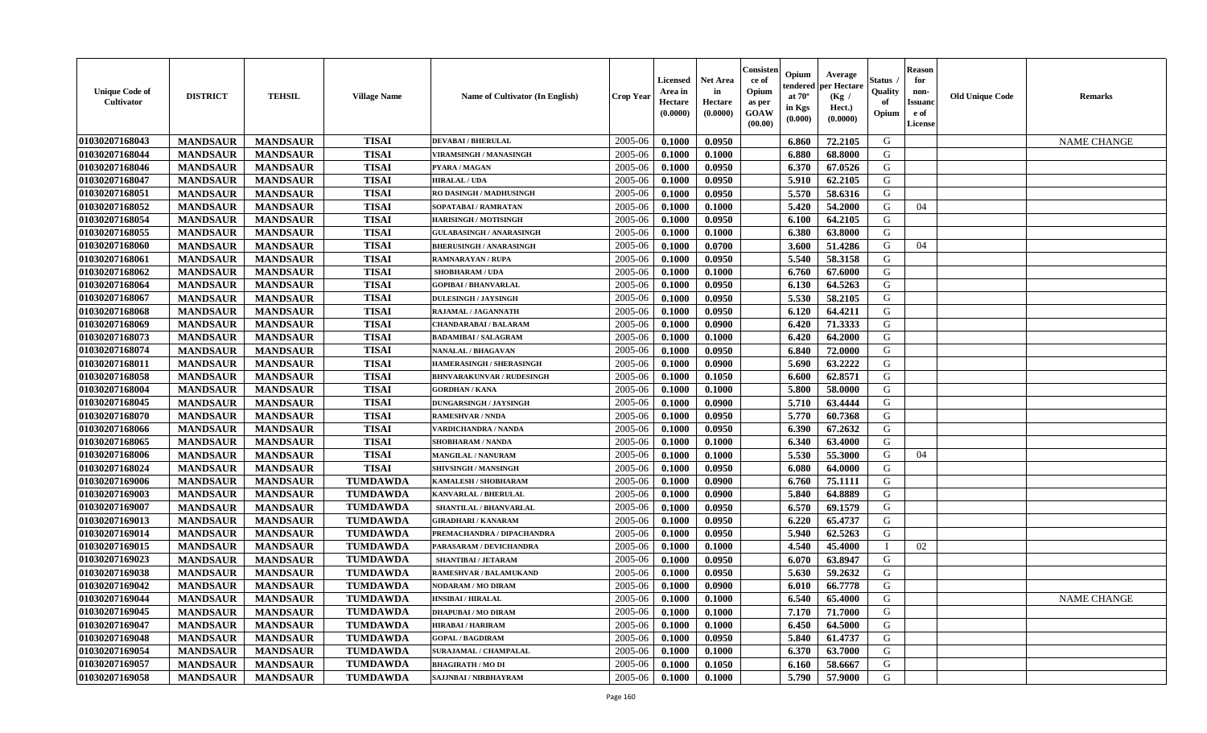| (0.0000)<br>GOAW<br>(0.0000)<br>Opium<br>e of<br>(0.0000)<br>(0.000)<br>(00.00)<br>License                                                                           | <b>NAME CHANGE</b> |
|----------------------------------------------------------------------------------------------------------------------------------------------------------------------|--------------------|
| 01030207168043<br><b>TISAI</b><br>2005-06<br>G<br><b>MANDSAUR</b><br>0.1000<br>0.0950<br><b>MANDSAUR</b><br><b>DEVABAI/BHERULAL</b><br>6.860<br>72.2105              |                    |
| 01030207168044<br><b>MANDSAUR</b><br><b>TISAI</b><br>2005-06<br>68.8000<br>G<br><b>MANDSAUR</b><br>6.880<br><b>VIRAMSINGH / MANASINGH</b><br>0.1000<br>0.1000        |                    |
| 01030207168046<br><b>MANDSAUR</b><br><b>MANDSAUR</b><br><b>TISAI</b><br>2005-06<br>6.370<br>67.0526<br>G<br>0.1000<br>0.0950<br>PYARA / MAGAN                        |                    |
| G<br>01030207168047<br><b>MANDSAUR</b><br><b>MANDSAUR</b><br><b>TISAI</b><br>2005-06<br>0.1000<br>0.0950<br>5.910<br>62.2105<br><b>HIRALAL / UDA</b>                 |                    |
| 5.570<br>01030207168051<br><b>MANDSAUR</b><br><b>MANDSAUR</b><br><b>TISAI</b><br>2005-06<br>0.1000<br>0.0950<br>58.6316<br>G<br>RO DASINGH / MADHUSINGH              |                    |
| 01030207168052<br><b>MANDSAUR</b><br><b>MANDSAUR</b><br><b>TISAI</b><br>2005-06<br>5.420<br>54.2000<br>SOPATABAI / RAMRATAN<br>0.1000<br>0.1000<br>G<br>04           |                    |
| 01030207168054<br><b>MANDSAUR</b><br><b>MANDSAUR</b><br><b>TISAI</b><br>64.2105<br>G<br>2005-06<br>0.1000<br>0.0950<br>6.100<br><b>HARISINGH / MOTISINGH</b>         |                    |
| 01030207168055<br><b>TISAI</b><br>G<br><b>MANDSAUR</b><br><b>MANDSAUR</b><br>2005-06<br>6.380<br><b>GULABASINGH / ANARASINGH</b><br>0.1000<br>0.1000<br>63.8000      |                    |
| 01030207168060<br><b>MANDSAUR</b><br><b>TISAI</b><br>2005-06<br>G<br>04<br><b>MANDSAUR</b><br><b>BHERUSINGH / ANARASINGH</b><br>0.1000<br>0.0700<br>3.600<br>51.4286 |                    |
| <b>TISAI</b><br>G<br>01030207168061<br>2005-06<br>5.540<br><b>MANDSAUR</b><br><b>MANDSAUR</b><br>0.1000<br>0.0950<br>58.3158<br><b>RAMNARAYAN / RUPA</b>             |                    |
| 01030207168062<br><b>MANDSAUR</b><br><b>MANDSAUR</b><br><b>TISAI</b><br>2005-06<br>6.760<br>G<br><b>SHOBHARAM / UDA</b><br>0.1000<br>0.1000<br>67.6000               |                    |
| <b>MANDSAUR</b><br><b>MANDSAUR</b><br><b>TISAI</b><br>0.0950<br>G<br>01030207168064<br><b>GOPIBAI/BHANVARLAL</b><br>2005-06<br>0.1000<br>6.130<br>64.5263            |                    |
| 01030207168067<br><b>MANDSAUR</b><br><b>TISAI</b><br>5.530<br>58.2105<br>G<br><b>MANDSAUR</b><br><b>DULESINGH / JAYSINGH</b><br>2005-06<br>0.1000<br>0.0950          |                    |
| 01030207168068<br><b>MANDSAUR</b><br><b>MANDSAUR</b><br><b>TISAI</b><br>6.120<br>64.4211<br>G<br>2005-06<br>0.1000<br>0.0950<br>RAJAMAL / JAGANNATH                  |                    |
| <b>TISAI</b><br>G<br>01030207168069<br><b>MANDSAUR</b><br><b>MANDSAUR</b><br>2005-06<br>0.1000<br>0.0900<br>6.420<br>71.3333<br><b>CHANDARABAI / BALARAM</b>         |                    |
| <b>TISAI</b><br>G<br>01030207168073<br><b>MANDSAUR</b><br><b>MANDSAUR</b><br>2005-06<br>0.1000<br>6.420<br>64.2000<br>0.1000<br><b>BADAMIBAI / SALAGRAM</b>          |                    |
| <b>TISAI</b><br>G<br>01030207168074<br><b>MANDSAUR</b><br><b>MANDSAUR</b><br>2005-06<br>0.1000<br>0.0950<br>6.840<br>72.0000<br><b>NANALAL / BHAGAVAN</b>            |                    |
| 01030207168011<br><b>TISAI</b><br>2005-06<br>G<br><b>MANDSAUR</b><br><b>MANDSAUR</b><br>63.2222<br><b>HAMERASINGH / SHERASINGH</b><br>0.1000<br>0.0900<br>5.690      |                    |
| 01030207168058<br><b>MANDSAUR</b><br><b>MANDSAUR</b><br>G<br><b>TISAI</b><br>2005-06<br>0.1050<br>6.600<br>62.8571<br><b>BHNVARAKUNVAR / RUDESINGH</b><br>0.1000     |                    |
| 01030207168004<br><b>MANDSAUR</b><br><b>MANDSAUR</b><br><b>TISAI</b><br>2005-06<br>5.800<br><b>GORDHAN / KANA</b><br>0.1000<br>0.1000<br>58.0000<br>G                |                    |
| <b>TISAI</b><br>G<br>01030207168045<br><b>MANDSAUR</b><br><b>MANDSAUR</b><br>2005-06<br>0.1000<br>0.0900<br>5.710<br>63.4444<br><b>DUNGARSINGH / JAYSINGH</b>        |                    |
| <b>MANDSAUR</b><br><b>MANDSAUR</b><br><b>TISAI</b><br>5.770<br>G<br>01030207168070<br>2005-06<br>0.1000<br>0.0950<br>60.7368<br><b>RAMESHVAR / NNDA</b>              |                    |
| <b>MANDSAUR</b><br><b>TISAI</b><br>01030207168066<br><b>MANDSAUR</b><br><b>VARDICHANDRA / NANDA</b><br>2005-06<br>0.1000<br>0.0950<br>6.390<br>67.2632<br>G          |                    |
| 01030207168065<br><b>TISAI</b><br>G<br><b>MANDSAUR</b><br>2005-06<br><b>MANDSAUR</b><br>0.1000<br>6.340<br>63.4000<br>SHOBHARAM / NANDA<br>0.1000                    |                    |
| 01030207168006<br><b>TISAI</b><br>G<br><b>MANDSAUR</b><br><b>MANDSAUR</b><br>2005-06<br>5.530<br>04<br>0.1000<br>0.1000<br>55.3000<br>MANGILAL / NANURAM             |                    |
| <b>TISAI</b><br>G<br>01030207168024<br><b>MANDSAUR</b><br>2005-06<br><b>MANDSAUR</b><br>SHIVSINGH / MANSINGH<br>0.1000<br>0.0950<br>6.080<br>64.0000                 |                    |
| 01030207169006<br><b>MANDSAUR</b><br><b>MANDSAUR</b><br><b>TUMDAWDA</b><br>2005-06<br>0.1000<br>0.0900<br>6.760<br>75.1111<br>G<br>KAMALESH / SHOBHARAM              |                    |
| 01030207169003<br><b>MANDSAUR</b><br><b>MANDSAUR</b><br><b>TUMDAWDA</b><br>2005-06<br>0.0900<br>5.840<br>64.8889<br>G<br>0.1000<br><b>KANVARLAL / BHERULAL</b>       |                    |
| <b>TUMDAWDA</b><br>01030207169007<br><b>MANDSAUR</b><br><b>MANDSAUR</b><br>6.570<br>69.1579<br>G<br>2005-06<br>0.1000<br>0.0950<br><b>SHANTILAL / BHANVARLAL</b>     |                    |
| 01030207169013<br><b>MANDSAUR</b><br><b>MANDSAUR</b><br><b>TUMDAWDA</b><br>6.220<br>65.4737<br>G<br>2005-06<br>0.0950<br><b>GIRADHARI / KANARAM</b><br>0.1000        |                    |
| 01030207169014<br><b>MANDSAUR</b><br><b>MANDSAUR</b><br><b>TUMDAWDA</b><br>5.940<br>PREMACHANDRA / DIPACHANDRA<br>2005-06<br>0.1000<br>0.0950<br>62.5263<br>G        |                    |
| 01030207169015<br><b>TUMDAWDA</b><br>2005-06<br>02<br><b>MANDSAUR</b><br><b>MANDSAUR</b><br>0.1000<br>0.1000<br>4.540<br>45.4000<br>PARASARAM / DEVICHANDRA          |                    |
| 01030207169023<br><b>TUMDAWDA</b><br>G<br>2005-06<br><b>MANDSAUR</b><br><b>MANDSAUR</b><br>0.1000<br>0.0950<br>6.070<br>63.8947<br><b>SHANTIBAI / JETARAM</b>        |                    |
| 01030207169038<br><b>MANDSAUR</b><br><b>TUMDAWDA</b><br>2005-06<br>0.0950<br>G<br><b>MANDSAUR</b><br>0.1000<br>5.630<br>59.2632<br>RAMESHVAR / BALAMUKAND            |                    |
| 66.7778<br>G<br>01030207169042<br><b>MANDSAUR</b><br><b>MANDSAUR</b><br><b>TUMDAWDA</b><br>2005-06<br>0.1000<br>0.0900<br>6.010<br>NODARAM / MO DIRAM                |                    |
| 01030207169044<br>MANDSAUR<br>$2005-06$ 0.1000<br>0.1000<br>6.540<br>65.4000<br>G<br><b>MANDSAUR</b><br><b>TUMDAWDA</b><br><b>HNSIBAI / HIRALAL</b>                  | NAME CHANGE        |
| 2005-06<br>01030207169045<br><b>MANDSAUR</b><br><b>MANDSAUR</b><br><b>TUMDAWDA</b><br><b>DHAPUBAI/MO DIRAM</b><br>0.1000<br>0.1000<br>7.170<br>71.7000<br>G          |                    |
| 01030207169047<br>64.5000<br>G<br><b>MANDSAUR</b><br><b>MANDSAUR</b><br><b>TUMDAWDA</b><br><b>HIRABAI/HARIRAM</b><br>2005-06<br>0.1000<br>0.1000<br>6.450            |                    |
| 01030207169048<br><b>MANDSAUR</b><br><b>MANDSAUR</b><br><b>TUMDAWDA</b><br>2005-06<br>0.0950<br>G<br><b>GOPAL / BAGDIRAM</b><br>0.1000<br>5.840<br>61.4737           |                    |
| 01030207169054<br><b>MANDSAUR</b><br><b>TUMDAWDA</b><br>G<br><b>MANDSAUR</b><br>2005-06<br>0.1000<br>0.1000<br>63.7000<br><b>SURAJAMAL / CHAMPALAL</b><br>6.370      |                    |
| 01030207169057<br><b>TUMDAWDA</b><br><b>MANDSAUR</b><br><b>MANDSAUR</b><br>2005-06<br>G<br><b>BHAGIRATH / MO DI</b><br>0.1000<br>0.1050<br>58.6667<br>6.160          |                    |
| 01030207169058<br><b>TUMDAWDA</b><br>2005-06<br>G<br><b>MANDSAUR</b><br><b>MANDSAUR</b><br>SAJJNBAI / NIRBHAYRAM<br>0.1000<br>5.790<br>57.9000<br>0.1000             |                    |